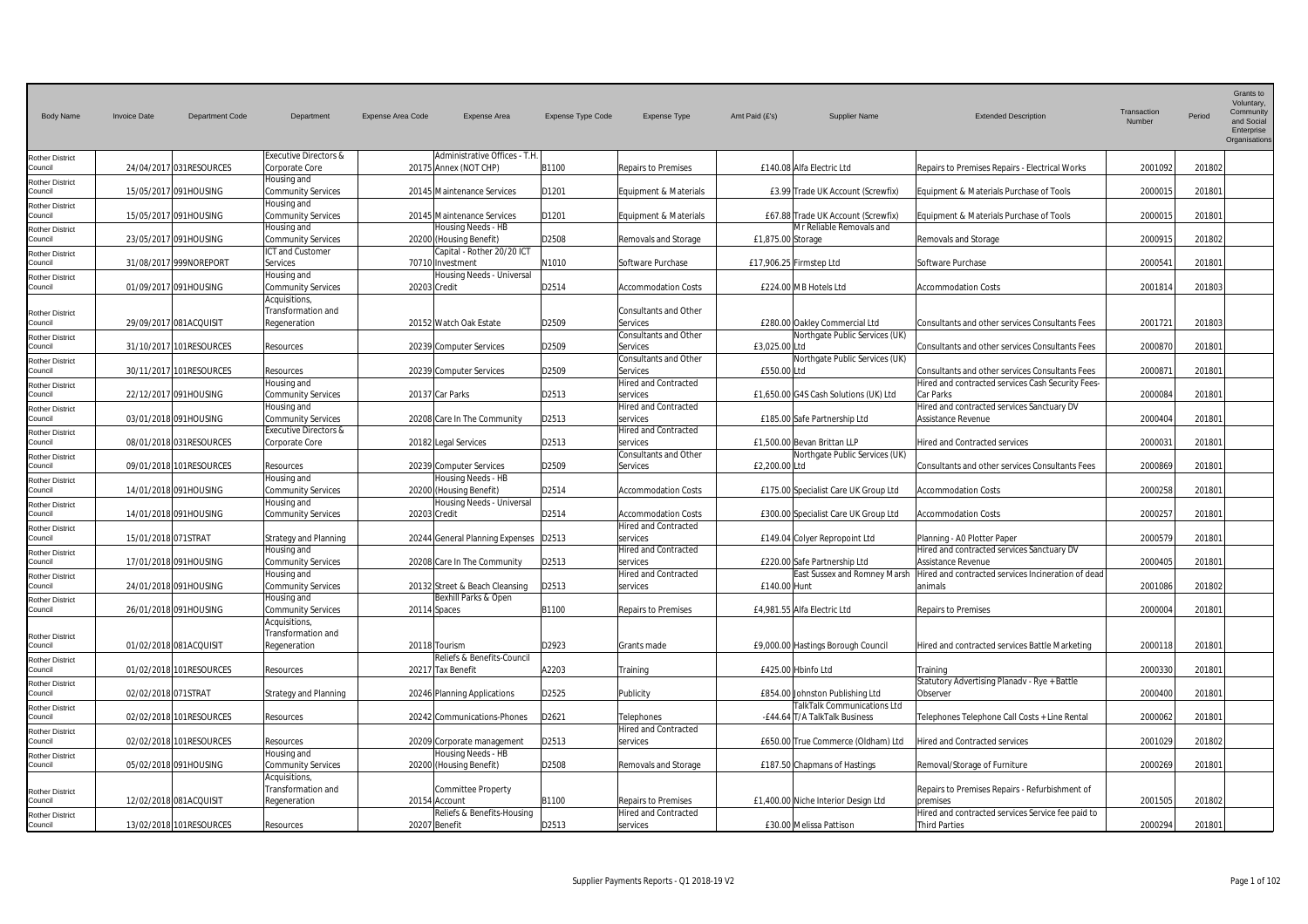| <b>Body Name</b>                              | <b>Invoice Date</b><br><b>Department Code</b> | Department                                                                   | <b>Expense Area Code</b><br>Expense Area               | Expense Type Code | <b>Expense Type</b>                                       | Amt Paid (£'s)    | <b>Supplier Name</b>                                                  | <b>Extended Description</b>                                               | Transaction<br>Number | Period | Grants to<br>Voluntary,<br>Community<br>and Social<br>Enterprise<br>Organisation |
|-----------------------------------------------|-----------------------------------------------|------------------------------------------------------------------------------|--------------------------------------------------------|-------------------|-----------------------------------------------------------|-------------------|-----------------------------------------------------------------------|---------------------------------------------------------------------------|-----------------------|--------|----------------------------------------------------------------------------------|
| <b>Rother District</b><br>Council             | 24/04/2017 031RESOURCES                       | <b>Executive Directors &amp;</b><br>Corporate Core                           | Administrative Offices - T.H<br>20175 Annex (NOT CHP)  | B1100             | Repairs to Premises                                       |                   | £140.08 Alfa Electric Ltd                                             | Repairs to Premises Repairs - Electrical Works                            | 2001092               | 201802 |                                                                                  |
| <b>Rother District</b><br>Council             | 15/05/2017 091HOUSING                         | Housing and<br><b>Community Services</b>                                     | 20145 Maintenance Services                             | D1201             | Equipment & Materials                                     |                   | £3.99 Trade UK Account (Screwfix)                                     | Equipment & Materials Purchase of Tools                                   | 200001                | 201801 |                                                                                  |
| <b>Rother District</b><br>Council             | 15/05/2017 091HOUSING                         | Housing and<br><b>Community Services</b>                                     | 20145 Maintenance Services                             | D1201             | Equipment & Materials                                     |                   | £67.88 Trade UK Account (Screwfix)                                    | Equipment & Materials Purchase of Tools                                   | 2000015               | 201801 |                                                                                  |
| Rother District<br>Council                    | 23/05/2017 091HOUSING                         | Housing and<br><b>Community Services</b>                                     | Housing Needs - HB<br>20200 (Housing Benefit)          | D2508             | Removals and Storage                                      | £1,875.00 Storage | Mr Reliable Removals and                                              | Removals and Storage                                                      | 2000915               | 201802 |                                                                                  |
| Rother District<br>Council                    | 31/08/2017 999NOREPORT                        | ICT and Customer<br><b>Services</b>                                          | Capital - Rother 20/20 ICT<br>70710 Investment         | N1010             | Software Purchase                                         |                   | £17,906.25 Firmstep Ltd                                               | Software Purchase                                                         | 2000541               | 201801 |                                                                                  |
| Rother District<br>Council                    | 01/09/2017 091HOUSING                         | Housing and<br><b>Community Services</b>                                     | Housing Needs - Universal<br>20203 Credit              | D2514             | <b>Accommodation Costs</b>                                |                   | £224.00 MB Hotels Ltd                                                 | <b>Accommodation Costs</b>                                                | 200181                | 201803 |                                                                                  |
| <b>Rother District</b><br>Council             | 29/09/2017 081ACQUISIT                        | Acquisitions,<br>Transformation and<br>Regeneration                          | 20152 Watch Oak Estate                                 | D2509             | Consultants and Other<br><b>Services</b>                  |                   | £280.00 Oakley Commercial Ltd                                         | Consultants and other services Consultants Fees                           | 2001721               | 201803 |                                                                                  |
| <b>Rother District</b><br>Council             | 31/10/2017 101RESOURCES                       | Resources                                                                    | 20239 Computer Services                                | D2509             | Consultants and Other<br>Services                         | £3.025.00 Ltd     | Northgate Public Services (UK)                                        | Consultants and other services Consultants Fees                           | 2000870               | 201801 |                                                                                  |
| <b>Rother District</b><br>Council             | 30/11/2017 101RESOURCES                       | Resources                                                                    | 20239 Computer Services                                | D2509             | Consultants and Other<br>Services                         | £550.00 Ltd       | Northgate Public Services (UK)                                        | Consultants and other services Consultants Fees                           | 200087                | 201801 |                                                                                  |
| <b>Rother District</b><br>Council             | 22/12/2017 091HOUSING                         | Housing and<br><b>Community Services</b>                                     | 20137 Car Parks                                        | D2513             | <b>Hired and Contracted</b><br>services                   |                   | £1,650.00 G4S Cash Solutions (UK) Ltd                                 | Hired and contracted services Cash Security Fees-<br>Car Parks            | 2000084               | 201801 |                                                                                  |
| Rother District<br>Council                    | 03/01/2018 091HOUSING                         | Housing and<br><b>Community Services</b><br><b>Executive Directors &amp;</b> | 20208 Care In The Community                            | D2513             | Hired and Contracted<br>services<br>Hired and Contracted  |                   | £185.00 Safe Partnership Ltd                                          | Hired and contracted services Sanctuary DV<br>Assistance Revenue          | 2000404               | 201801 |                                                                                  |
| Rother District<br>Council                    | 08/01/2018 031RESOURCES                       | Corporate Core                                                               | 20182 Legal Services                                   | D2513             | services<br>Consultants and Other                         |                   | £1,500.00 Bevan Brittan LLP<br>Northgate Public Services (UK)         | <b>Hired and Contracted services</b>                                      | 2000031               | 201801 |                                                                                  |
| Rother District<br>Council<br>Rother District | 09/01/2018 101RESOURCES                       | Resources<br>Housing and                                                     | 20239 Computer Services<br>Housing Needs - HB          | D2509             | <b>Services</b>                                           | £2,200.00 Ltd     |                                                                       | <b>Consultants and other services Consultants Fees</b>                    | 2000869               | 201801 |                                                                                  |
| Council<br><b>Rother District</b>             | 14/01/2018 091HOUSING                         | <b>Community Services</b><br>Housing and                                     | 20200 (Housing Benefit)<br>Housing Needs - Universal   | D2514             | <b>Accommodation Costs</b>                                |                   | £175.00 Specialist Care UK Group Ltd                                  | <b>Accommodation Costs</b>                                                | 2000258               | 201801 |                                                                                  |
| Council<br>Rother District                    | 14/01/2018 091HOUSING                         | <b>Community Services</b>                                                    | 20203 Credit                                           | D2514             | <b>Accommodation Costs</b><br><b>Hired and Contracted</b> |                   | £300.00 Specialist Care UK Group Ltd                                  | <b>Accommodation Costs</b>                                                | 200025                | 201801 |                                                                                  |
| Council<br><b>Rother District</b>             | 15/01/2018 071STRAT                           | <b>Strategy and Planning</b><br>Housing and                                  | 20244 General Planning Expenses                        | D2513             | services<br><b>Hired and Contracted</b>                   |                   | £149.04 Colyer Repropoint Ltd                                         | Planning - A0 Plotter Paper<br>Hired and contracted services Sanctuary DV | 2000579               | 201801 |                                                                                  |
| Council<br><b>Rother District</b>             | 17/01/2018 091HOUSING                         | <b>Community Services</b><br>Housing and                                     | 20208 Care In The Community                            | D2513             | services<br>Hired and Contracted                          |                   | £220.00 Safe Partnership Ltd<br>East Sussex and Romney Marsh          | Assistance Revenue<br>Hired and contracted services Incineration of dead  | 2000405               | 201801 |                                                                                  |
| Council<br>Rother District                    | 24/01/2018 091HOUSING                         | <b>Community Services</b><br>Housing and                                     | 20132 Street & Beach Cleansing<br>Bexhill Parks & Open | D2513             | services                                                  | £140.00 Hunt      |                                                                       | animals                                                                   | 2001086               | 201802 |                                                                                  |
| Council                                       | 26/01/2018 091HOUSING                         | <b>Community Services</b><br>Acquisitions,                                   | 20114 Spaces                                           | B1100             | <b>Repairs to Premises</b>                                |                   | £4,981.55 Alfa Electric Ltd                                           | <b>Repairs to Premises</b>                                                | 200000                | 201801 |                                                                                  |
| Rother District<br>Council                    | 01/02/2018 081ACQUISIT                        | Transformation and<br>Regeneration                                           | 20118 Tourism<br>Reliefs & Benefits-Council            | D2923             | Grants made                                               |                   | £9,000.00 Hastings Borough Council                                    | Hired and contracted services Battle Marketing                            | 2000118               | 201801 |                                                                                  |
| <b>Rother District</b><br>Council             | 01/02/2018 101RESOURCES                       | Resources                                                                    | 20217 Tax Benefit                                      | A2203             | Training                                                  |                   | £425.00 Hbinfo Ltd                                                    | Training                                                                  | 2000330               | 201801 |                                                                                  |
| Rother District<br>Council                    | 02/02/2018 071STRAT                           | <b>Strategy and Planning</b>                                                 | 20246 Planning Applications                            | D2525             | Publicity                                                 |                   | £854.00 Johnston Publishing Ltd<br><b>FalkTalk Communications Ltd</b> | Statutory Advertising Planadv - Rye + Battle<br>Observer                  | 2000400               | 201801 |                                                                                  |
| <b>Rother District</b><br>Council             | 02/02/2018 101RESOURCES                       | Resources                                                                    | 20242 Communications-Phones                            | D2621             | Telephones<br><b>Hired and Contracted</b>                 |                   | -£44.64 T/A TalkTalk Business                                         | Telephones Telephone Call Costs + Line Rental                             | 2000062               | 201801 |                                                                                  |
| Rother District<br>Council                    | 02/02/2018 101RESOURCES                       | Resources<br>Housing and                                                     | 20209 Corporate management<br>lousing Needs - HB       | D2513             | services                                                  |                   | £650.00 True Commerce (Oldham) Ltd                                    | Hired and Contracted services                                             | 2001029               | 201802 |                                                                                  |
| <b>Rother District</b><br>Council             | 05/02/2018 091HOUSING                         | <b>Community Services</b><br>Acquisitions,                                   | 20200 (Housing Benefit)                                | D2508             | Removals and Storage                                      |                   | £187.50 Chapmans of Hastings                                          | Removal/Storage of Furniture                                              | 2000269               | 201801 |                                                                                  |
| <b>Rother District</b><br>Council             | 12/02/2018 081ACQUISIT                        | Transformation and<br>Regeneration                                           | <b>Committee Property</b><br>20154 Account             | B1100             | Repairs to Premises                                       |                   | £1,400.00 Niche Interior Design Ltd                                   | Repairs to Premises Repairs - Refurbishment of<br>premises                | 2001505               | 201802 |                                                                                  |
| <b>Rother District</b><br>Council             | 13/02/2018 101RESOURCES                       | Resources                                                                    | Reliefs & Benefits-Housing<br>20207 Benefit            | D2513             | <b>Hired and Contracted</b><br>services                   |                   | £30.00 Melissa Pattison                                               | Hired and contracted services Service fee paid to<br><b>Third Parties</b> | 2000294               | 201801 |                                                                                  |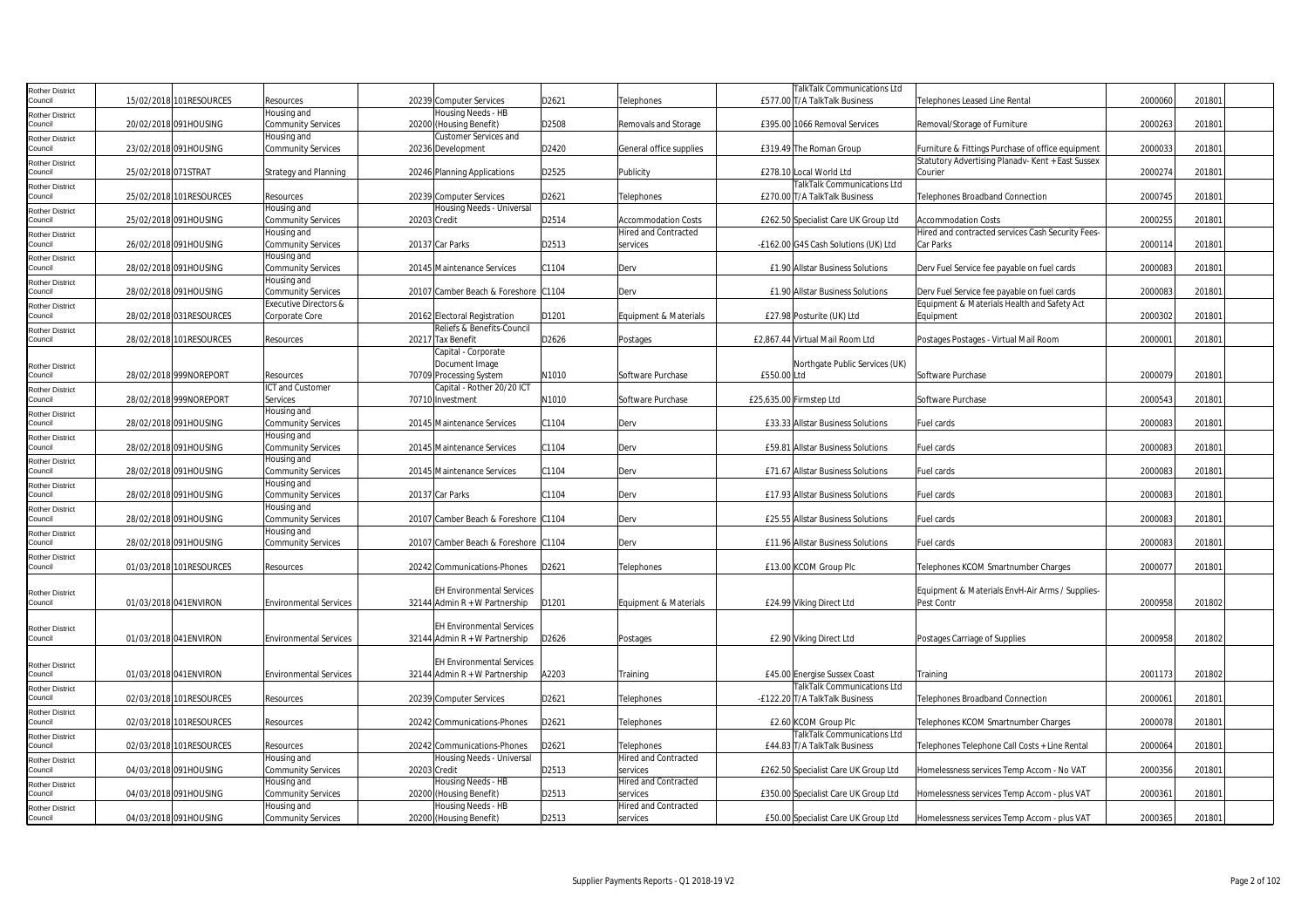| Rother District                   |                     |                         |                               |                                      |       |                             | TalkTalk Communications Ltd          |                                                   |         |        |  |
|-----------------------------------|---------------------|-------------------------|-------------------------------|--------------------------------------|-------|-----------------------------|--------------------------------------|---------------------------------------------------|---------|--------|--|
| Council                           |                     | 15/02/2018 101RESOURCES | Resources                     | 20239 Computer Services              | D2621 | Telephones                  | £577.00 T/A TalkTalk Business        | Telephones Leased Line Rental                     | 2000060 | 201801 |  |
| Rother District                   |                     |                         | Housing and                   | Housing Needs - HB                   |       |                             |                                      |                                                   |         |        |  |
| Council                           |                     | 20/02/2018 091HOUSING   | <b>Community Services</b>     | 20200 (Housing Benefit)              | D2508 | Removals and Storage        | £395.00 1066 Removal Services        | Removal/Storage of Furniture                      | 2000263 | 201801 |  |
|                                   |                     |                         | Housing and                   | Customer Services and                |       |                             |                                      |                                                   |         |        |  |
| <b>Rother District</b><br>Council |                     | 23/02/2018 091HOUSING   | <b>Community Services</b>     | 20236 Development                    | D2420 | General office supplies     | £319.49 The Roman Group              | Furniture & Fittings Purchase of office equipment | 2000033 | 201801 |  |
| Rother District                   |                     |                         |                               |                                      |       |                             |                                      | Statutory Advertising Planadv- Kent + East Sussex |         |        |  |
| Council                           | 25/02/2018 071STRAT |                         | <b>Strategy and Planning</b>  | 20246 Planning Applications          | D2525 | Publicity                   | £278.10 Local World Ltd              | Courier                                           | 2000274 | 201801 |  |
|                                   |                     |                         |                               |                                      |       |                             | TalkTalk Communications Ltd          |                                                   |         |        |  |
| Rother District<br>Council        |                     | 25/02/2018 101RESOURCES | Resources                     | 20239 Computer Services              | D2621 | Telephones                  | £270.00 T/A TalkTalk Business        | Telephones Broadband Connection                   | 2000745 | 201801 |  |
|                                   |                     |                         | Housing and                   | Housing Needs - Universal            |       |                             |                                      |                                                   |         |        |  |
| Rother District<br>Council        |                     | 25/02/2018 091HOUSING   | <b>Community Services</b>     | 20203 Credit                         | D2514 | <b>Accommodation Costs</b>  | £262.50 Specialist Care UK Group Ltd | <b>Accommodation Costs</b>                        | 2000255 | 201801 |  |
|                                   |                     |                         | Housing and                   |                                      |       | <b>Hired and Contracted</b> |                                      | Hired and contracted services Cash Security Fees- |         |        |  |
| Rother District<br>council        |                     | 26/02/2018 091HOUSING   | <b>Community Services</b>     | 20137 Car Parks                      | D2513 | services                    | -£162.00 G4S Cash Solutions (UK) Ltd | Car Parks                                         | 2000114 | 201801 |  |
|                                   |                     |                         | Housing and                   |                                      |       |                             |                                      |                                                   |         |        |  |
| <b>Rother District</b><br>Council |                     | 28/02/2018 091HOUSING   | <b>Community Services</b>     | 20145 Maintenance Services           | C1104 | Derv                        | £1.90 Allstar Business Solutions     | Derv Fuel Service fee payable on fuel cards       | 2000083 | 201801 |  |
|                                   |                     |                         | Housing and                   |                                      |       |                             |                                      |                                                   |         |        |  |
| Rother District                   |                     |                         |                               |                                      |       |                             |                                      |                                                   | 2000083 | 201801 |  |
| Council                           |                     | 28/02/2018 091HOUSING   | <b>Community Services</b>     | 20107 Camber Beach & Foreshore C1104 |       | Derv                        | £1.90 Allstar Business Solutions     | Derv Fuel Service fee payable on fuel cards       |         |        |  |
| Rother District                   |                     |                         | Executive Directors &         |                                      |       |                             |                                      | Equipment & Materials Health and Safety Act       |         |        |  |
| Council                           |                     | 28/02/2018 031RESOURCES | Corporate Core                | 20162 Electoral Registration         | D1201 | Equipment & Materials       | £27.98 Posturite (UK) Ltd            | Equipment                                         | 2000302 | 201801 |  |
| Rother District                   |                     |                         |                               | Reliefs & Benefits-Council           |       |                             |                                      |                                                   |         |        |  |
| Council                           |                     | 28/02/2018 101RESOURCES | Resources                     | 20217 Tax Benefit                    | D2626 | Postages                    | £2,867.44 Virtual Mail Room Ltd      | Postages Postages - Virtual Mail Room             | 2000001 | 201801 |  |
|                                   |                     |                         |                               | Capital - Corporate                  |       |                             |                                      |                                                   |         |        |  |
| Rother District                   |                     |                         |                               | Document Image                       |       |                             | Northgate Public Services (UK)       |                                                   |         |        |  |
| Council                           |                     | 28/02/2018 999NOREPORT  | Resources                     | 70709 Processing System              | N1010 | Software Purchase           | £550.00 Ltd                          | Software Purchase                                 | 2000079 | 201801 |  |
| Rother District                   |                     |                         | ICT and Customer              | Capital - Rother 20/20 ICT           |       |                             |                                      |                                                   |         |        |  |
| Council                           |                     | 28/02/2018 999NOREPORT  | Services                      | 70710 Investment                     | N1010 | Software Purchase           | £25,635.00 Firmstep Ltd              | Software Purchase                                 | 2000543 | 201801 |  |
| Rother District                   |                     |                         | Housing and                   |                                      |       |                             |                                      |                                                   |         |        |  |
| council                           |                     | 28/02/2018 091HOUSING   | <b>Community Services</b>     | 20145 Maintenance Services           | C1104 | Derv                        | £33.33 Allstar Business Solutions    | Fuel cards                                        | 2000083 | 201801 |  |
| Rother District                   |                     |                         | Housing and                   |                                      |       |                             |                                      |                                                   |         |        |  |
| Council                           |                     | 28/02/2018 091HOUSING   | <b>Community Services</b>     | 20145 Maintenance Services           | C1104 | Derv                        | £59.81 Allstar Business Solutions    | Fuel cards                                        | 2000083 | 201801 |  |
| Rother District                   |                     |                         | Housing and                   |                                      |       |                             |                                      |                                                   |         |        |  |
| Council                           |                     | 28/02/2018 091HOUSING   | <b>Community Services</b>     | 20145 Maintenance Services           | C1104 | Derv                        | £71.67 Allstar Business Solutions    | Fuel cards                                        | 2000083 | 201801 |  |
| Rother District                   |                     |                         | Housing and                   |                                      |       |                             |                                      |                                                   |         |        |  |
| Council                           |                     | 28/02/2018 091HOUSING   | <b>Community Services</b>     | 20137 Car Parks                      | C1104 | Derv                        | £17.93 Allstar Business Solutions    | Fuel cards                                        | 2000083 | 201801 |  |
| Rother District                   |                     |                         | Housing and                   |                                      |       |                             |                                      |                                                   |         |        |  |
| Council                           |                     | 28/02/2018 091HOUSING   | <b>Community Services</b>     | 20107 Camber Beach & Foreshore C1104 |       | Derv                        | £25.55 Allstar Business Solutions    | Fuel cards                                        | 2000083 | 201801 |  |
| Rother District                   |                     |                         | lousing and                   |                                      |       |                             |                                      |                                                   |         |        |  |
| ouncil                            |                     | 28/02/2018 091HOUSING   | <b>Community Services</b>     | 20107 Camber Beach & Foreshore C1104 |       | Derv                        | £11.96 Allstar Business Solutions    | Fuel cards                                        | 2000083 | 201801 |  |
| Rother District                   |                     |                         |                               |                                      |       |                             |                                      |                                                   |         |        |  |
| Council                           |                     | 01/03/2018 101RESOURCES | Resources                     | 20242 Communications-Phones          | D2621 | Telephones                  | £13.00 KCOM Group Plc                | Telephones KCOM Smartnumber Charges               | 2000077 | 201801 |  |
|                                   |                     |                         |                               |                                      |       |                             |                                      |                                                   |         |        |  |
| Rother District                   |                     |                         |                               | <b>EH Environmental Services</b>     |       |                             |                                      | Equipment & Materials EnvH-Air Arms / Supplies-   |         |        |  |
| Council                           |                     | 01/03/2018 041 ENVIRON  | <b>Environmental Services</b> | 32144 Admin $R + W$ Partnership      | D1201 | Equipment & Materials       | £24.99 Viking Direct Ltd             | Pest Contr                                        | 2000958 | 201802 |  |
|                                   |                     |                         |                               |                                      |       |                             |                                      |                                                   |         |        |  |
| <b>Rother District</b>            |                     |                         |                               | <b>EH Environmental Services</b>     |       |                             |                                      |                                                   |         |        |  |
| Council                           |                     | 01/03/2018 041 ENVIRON  | <b>Environmental Services</b> | 32144 Admin $R + W$ Partnership      | D2626 | Postages                    | £2.90 Viking Direct Ltd              | Postages Carriage of Supplies                     | 2000958 | 201802 |  |
|                                   |                     |                         |                               |                                      |       |                             |                                      |                                                   |         |        |  |
| <b>Rother District</b>            |                     |                         |                               | <b>EH Environmental Services</b>     |       |                             |                                      |                                                   |         |        |  |
| Council                           |                     | 01/03/2018 041 ENVIRON  | <b>Environmental Services</b> | 32144 Admin $R + W$ Partnership      | A2203 | Training                    | £45.00 Energise Sussex Coast         | Training                                          | 2001173 | 201802 |  |
| Rother District                   |                     |                         |                               |                                      |       |                             | TalkTalk Communications Ltd          |                                                   |         |        |  |
| Council                           |                     | 02/03/2018 101RESOURCES | Resources                     | 20239 Computer Services              | D2621 | Telephones                  | -£122.20 T/A TalkTalk Business       | Telephones Broadband Connection                   | 2000061 | 201801 |  |
| Rother District                   |                     |                         |                               |                                      |       |                             |                                      |                                                   |         |        |  |
| ouncil                            |                     | 02/03/2018 101RESOURCES | Resources                     | 20242 Communications-Phones          | D2621 | Telephones                  | £2.60 KCOM Group Plc                 | Telephones KCOM Smartnumber Charges               | 2000078 | 201801 |  |
| Rother District                   |                     |                         |                               |                                      |       |                             | TalkTalk Communications Ltd          |                                                   |         |        |  |
| Council                           |                     | 02/03/2018 101RESOURCES | Resources                     | 20242 Communications-Phones          | D2621 | Telephones                  | £44.83 T/A TalkTalk Business         | Telephones Telephone Call Costs + Line Rental     | 2000064 | 201801 |  |
| Rother District                   |                     |                         | Housing and                   | Housing Needs - Universal            |       | <b>Hired and Contracted</b> |                                      |                                                   |         |        |  |
| Council                           |                     | 04/03/2018 091HOUSING   | <b>Community Services</b>     | 20203 Credit                         | D2513 | services                    | £262.50 Specialist Care UK Group Ltd | Homelessness services Temp Accom - No VAT         | 2000356 | 201801 |  |
| Rother District                   |                     |                         | Housing and                   | Housing Needs - HB                   |       | Hired and Contracted        |                                      |                                                   |         |        |  |
| Council                           |                     | 04/03/2018 091HOUSING   | <b>Community Services</b>     | 20200 (Housing Benefit)              | D2513 | services                    | £350.00 Specialist Care UK Group Ltd | Homelessness services Temp Accom - plus VAT       | 2000361 | 201801 |  |
| Rother District                   |                     |                         | Housing and                   | Housing Needs - HB                   |       | Hired and Contracted        |                                      |                                                   |         |        |  |
| Council                           |                     | 04/03/2018 091HOUSING   | <b>Community Services</b>     | 20200 (Housing Benefit)              | D2513 | services                    | £50.00 Specialist Care UK Group Ltd  | Homelessness services Temp Accom - plus VAT       | 2000365 | 201801 |  |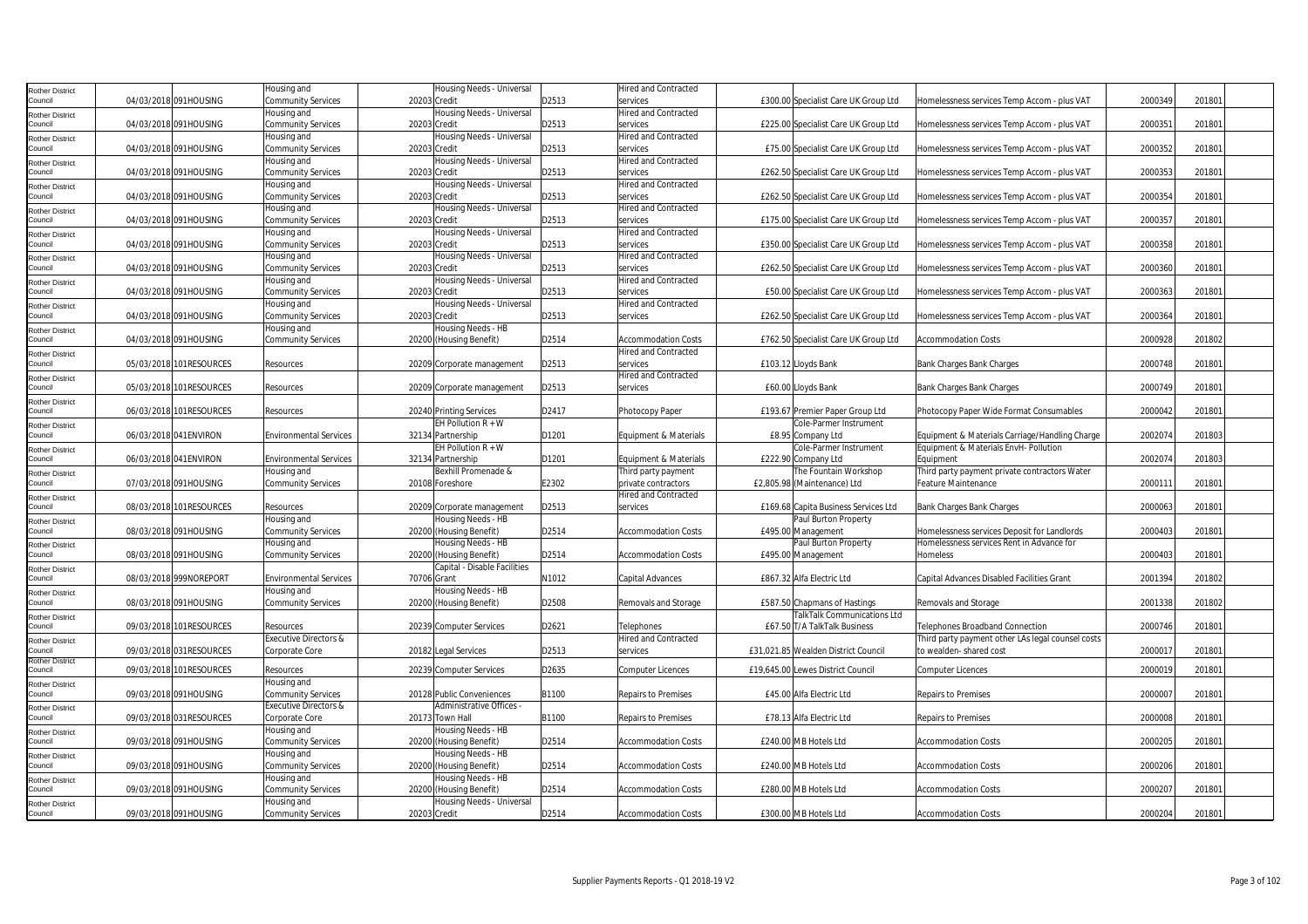| Rother District                   |                         | Housing and                              | Housing Needs - Universal                               |       | Hired and Contracted                    |                                      |                                                   |         |        |  |
|-----------------------------------|-------------------------|------------------------------------------|---------------------------------------------------------|-------|-----------------------------------------|--------------------------------------|---------------------------------------------------|---------|--------|--|
| Council                           | 04/03/2018 091HOUSING   | Community Services                       | 20203 Credit                                            | D2513 | services                                | £300.00 Specialist Care UK Group Ltd | Homelessness services Temp Accom - plus VAT       | 2000349 | 201801 |  |
| Rother District                   |                         | lousing and                              | Housing Needs - Universal                               |       | Hired and Contracted                    |                                      |                                                   |         |        |  |
| Council                           | 04/03/2018 091HOUSING   | Community Services                       | 20203 Credit                                            | D2513 | services                                | £225.00 Specialist Care UK Group Ltd | Homelessness services Temp Accom - plus VAT       | 200035  | 201801 |  |
| <b>Rother District</b>            |                         | Housing and                              | Housing Needs - Universal                               |       | <b>Hired and Contracted</b>             |                                      |                                                   |         |        |  |
| ouncil                            | 04/03/2018 091HOUSING   | <b>Community Services</b>                | 20203 Credit                                            | D2513 | services                                | £75.00 Specialist Care UK Group Ltd  | Homelessness services Temp Accom - plus VAT       | 2000352 | 201801 |  |
| Rother District                   |                         | Housing and                              | Housing Needs - Universal                               |       | <b>Hired and Contracted</b>             |                                      |                                                   |         |        |  |
| Council                           | 04/03/2018 091HOUSING   | <b>Community Services</b>                | 20203 Credit                                            | D2513 | services<br><b>Hired and Contracted</b> | £262.50 Specialist Care UK Group Ltd | Homelessness services Temp Accom - plus VAT       | 2000353 | 201801 |  |
| <b>Rother District</b><br>Council | 04/03/2018 091HOUSING   | lousing and<br><b>Community Services</b> | Housing Needs - Universal<br>20203 Credit               | D2513 | services                                | £262.50 Specialist Care UK Group Ltd | Homelessness services Temp Accom - plus VAT       | 2000354 | 201801 |  |
|                                   |                         | Housing and                              | Housing Needs - Universal                               |       | <b>Hired and Contracted</b>             |                                      |                                                   |         |        |  |
| <b>Rother District</b><br>Council | 04/03/2018 091HOUSING   | Community Services                       | 20203 Credit                                            | D2513 | services                                | £175.00 Specialist Care UK Group Ltd | Homelessness services Temp Accom - plus VAT       | 2000357 | 201801 |  |
| Rother District                   |                         | Housing and                              | Housing Needs - Universal                               |       | Hired and Contracted                    |                                      |                                                   |         |        |  |
| Council                           | 04/03/2018 091HOUSING   | <b>Community Services</b>                | 20203 Credit                                            | D2513 | services                                | £350.00 Specialist Care UK Group Ltd | Homelessness services Temp Accom - plus VAT       | 2000358 | 201801 |  |
| Rother District                   |                         | Housing and                              | Housing Needs - Universal                               |       | Hired and Contracted                    |                                      |                                                   |         |        |  |
| Council                           | 04/03/2018 091HOUSING   | <b>Community Services</b>                | 20203 Credit                                            | D2513 | services                                | £262.50 Specialist Care UK Group Ltd | Homelessness services Temp Accom - plus VAT       | 2000360 | 201801 |  |
| Rother District                   |                         | Housing and                              | Housing Needs - Universal                               |       | <b>Hired and Contracted</b>             |                                      |                                                   |         |        |  |
| Council                           | 04/03/2018 091HOUSING   | <b>Community Services</b>                | 20203 Credit                                            | D2513 | services                                | £50.00 Specialist Care UK Group Ltd  | Homelessness services Temp Accom - plus VAT       | 2000363 | 201801 |  |
| Rother District                   |                         | Housing and                              | Housing Needs - Universal                               |       | Hired and Contracted                    |                                      |                                                   |         |        |  |
| Council                           | 04/03/2018 091HOUSING   | <b>Community Services</b>                | 20203 Credit                                            | D2513 | services                                | £262.50 Specialist Care UK Group Ltd | Homelessness services Temp Accom - plus VAT       | 2000364 | 201801 |  |
| <b>Rother District</b>            |                         | Housing and                              | Housing Needs - HB                                      |       |                                         |                                      |                                                   |         |        |  |
| Council                           | 04/03/2018 091HOUSING   | <b>Community Services</b>                | 20200 (Housing Benefit)                                 | D2514 | <b>Accommodation Costs</b>              | £762.50 Specialist Care UK Group Ltd | <b>Accommodation Costs</b>                        | 2000928 | 201802 |  |
| Rother District                   |                         |                                          |                                                         |       | Hired and Contracted                    |                                      |                                                   |         |        |  |
| Council                           | 05/03/2018 101RESOURCES | Resources                                | 20209 Corporate management                              | D2513 | services                                | £103.12 Lloyds Bank                  | Bank Charges Bank Charges                         | 2000748 | 201801 |  |
| Rother District<br>Council        | 05/03/2018 101RESOURCES | Resources                                | 20209 Corporate management                              | D2513 | Hired and Contracted<br>services        | £60.00 Lloyds Bank                   | <b>Bank Charges Bank Charges</b>                  | 2000749 | 201801 |  |
|                                   |                         |                                          |                                                         |       |                                         |                                      |                                                   |         |        |  |
| Rother District<br>Council        | 06/03/2018 101RESOURCES | Resources                                | 20240 Printing Services                                 | D2417 | Photocopy Paper                         | £193.67 Premier Paper Group Ltd      | Photocopy Paper Wide Format Consumables           | 2000042 | 201801 |  |
| <b>Rother District</b>            |                         |                                          | EH Pollution $R + W$                                    |       |                                         | Cole-Parmer Instrument               |                                                   |         |        |  |
| Council                           | 06/03/2018 041ENVIRON   | <b>Environmental Services</b>            | 32134 Partnership                                       | D1201 | Equipment & Materials                   | £8.95 Company Ltd                    | Equipment & Materials Carriage/Handling Charge    | 2002074 | 201803 |  |
| Rother District                   |                         |                                          | EH Pollution $R + W$                                    |       |                                         | Cole-Parmer Instrument               | Equipment & Materials EnvH- Pollution             |         |        |  |
| Council                           | 06/03/2018 041ENVIRON   | <b>Environmental Services</b>            | 32134 Partnership                                       | D1201 | Equipment & Materials                   | £222.90 Company Ltd                  | Equipment                                         | 2002074 | 201803 |  |
| Rother District                   |                         | Housing and                              | Bexhill Promenade &                                     |       | Third party payment                     | The Fountain Workshop                | Third party payment private contractors Water     |         |        |  |
| Council                           | 07/03/2018 091HOUSING   | <b>Community Services</b>                | 20108 Foreshore                                         | E2302 | private contractors                     | £2,805.98 (Maintenance) Ltd          | Feature Maintenance                               | 200011  | 201801 |  |
| Rother District                   |                         |                                          |                                                         |       | Hired and Contracted                    |                                      |                                                   |         |        |  |
| Council                           | 08/03/2018 101RESOURCES | Resources                                | 20209 Corporate management                              | D2513 | services                                | £169.68 Capita Business Services Ltd | Bank Charges Bank Charges                         | 2000063 | 201801 |  |
| Rother District                   |                         | Housing and                              | Housing Needs - HB                                      |       |                                         | Paul Burton Property                 |                                                   |         |        |  |
| ouncil                            | 08/03/2018 091HOUSING   | Community Services                       | 20200 (Housing Benefit)                                 | D2514 | <b>Accommodation Costs</b>              | £495.00 Management                   | Homelessness services Deposit for Landlords       | 2000403 | 201801 |  |
| <b>Rother District</b>            |                         | Housing and                              | Housing Needs - HB                                      |       |                                         | Paul Burton Property                 | Homelessness services Rent in Advance for         |         |        |  |
| Council                           | 08/03/2018 091HOUSING   | <b>Community Services</b>                | 20200 (Housing Benefit)<br>Capital - Disable Facilities | D2514 | <b>Accommodation Costs</b>              | £495.00 Management                   | Homeless                                          | 2000403 | 201801 |  |
| Rother District<br>Council        | 08/03/2018 999NOREPORT  | <b>Environmental Services</b>            | 70706 Grant                                             | N1012 | Capital Advances                        | £867.32 Alfa Electric Ltd            | Capital Advances Disabled Facilities Grant        | 2001394 | 201802 |  |
|                                   |                         | Housing and                              | Housing Needs - HB                                      |       |                                         |                                      |                                                   |         |        |  |
| Rother District<br>Council        | 08/03/2018 091HOUSING   | <b>Community Services</b>                | 20200 (Housing Benefit)                                 | D2508 | Removals and Storage                    | £587.50 Chapmans of Hastings         | Removals and Storage                              | 2001338 | 201802 |  |
| Rother District                   |                         |                                          |                                                         |       |                                         | TalkTalk Communications Ltd          |                                                   |         |        |  |
| Council                           | 09/03/2018 101RESOURCES | Resources                                | 20239 Computer Services                                 | D2621 | Telephones                              | £67.50 T/A TalkTalk Business         | Telephones Broadband Connection                   | 2000746 | 201801 |  |
| Rother District                   |                         | <b>Executive Directors &amp;</b>         |                                                         |       | Hired and Contracted                    |                                      | Third party payment other LAs legal counsel costs |         |        |  |
| Council                           | 09/03/2018 031RESOURCES | Corporate Core                           | 20182 Legal Services                                    | D2513 | services                                | £31,021.85 Wealden District Council  | to wealden- shared cost                           | 200001  | 201801 |  |
| <b>Rother District</b><br>Council |                         |                                          |                                                         | D2635 |                                         |                                      |                                                   |         |        |  |
|                                   | 09/03/2018 101RESOURCES | Resources<br>Housing and                 | 20239 Computer Services                                 |       | <b>Computer Licences</b>                | £19,645.00 Lewes District Council    | <b>Computer Licences</b>                          | 2000019 | 201801 |  |
| <b>Rother District</b><br>Council | 09/03/2018 091HOUSING   | <b>Community Services</b>                | 20128 Public Conveniences                               | B1100 | Repairs to Premises                     | £45.00 Alfa Electric Ltd             | Repairs to Premises                               | 2000007 | 201801 |  |
|                                   |                         | <b>Executive Directors &amp;</b>         | Administrative Offices -                                |       |                                         |                                      |                                                   |         |        |  |
| Rother District<br>Council        | 09/03/2018 031RESOURCES | Corporate Core                           | 20173 Town Hall                                         | B1100 | Repairs to Premises                     | £78.13 Alfa Electric Ltd             | Repairs to Premises                               | 2000008 | 201801 |  |
| Rother District                   |                         | Housing and                              | Housing Needs - HB                                      |       |                                         |                                      |                                                   |         |        |  |
| Council                           | 09/03/2018 091HOUSING   | <b>Community Services</b>                | 20200 (Housing Benefit)                                 | D2514 | <b>Accommodation Costs</b>              | £240.00 MB Hotels Ltd                | <b>Accommodation Costs</b>                        | 2000205 | 201801 |  |
| Rother District                   |                         | Housing and                              | Housing Needs - HB                                      |       |                                         |                                      |                                                   |         |        |  |
| Council                           | 09/03/2018 091HOUSING   | Community Services                       | 20200 (Housing Benefit)                                 | D2514 | <b>Accommodation Costs</b>              | £240.00 MB Hotels Ltd                | <b>Accommodation Costs</b>                        | 2000206 | 201801 |  |
| Rother District                   |                         | Housing and                              | lousing Needs - HB                                      |       |                                         |                                      |                                                   |         |        |  |
| Council                           | 09/03/2018 091HOUSING   | <b>Community Services</b>                | 20200 (Housing Benefit)                                 | D2514 | <b>Accommodation Costs</b>              | £280.00 MB Hotels Ltd                | <b>Accommodation Costs</b>                        | 2000207 | 201801 |  |
| Rother District                   |                         | Housing and                              | Housing Needs - Universal                               |       |                                         |                                      |                                                   |         |        |  |
| Council                           | 09/03/2018 091HOUSING   | <b>Community Services</b>                | 20203 Credit                                            | D2514 | <b>Accommodation Costs</b>              | £300.00 MB Hotels Ltd                | <b>Accommodation Costs</b>                        | 2000204 | 201801 |  |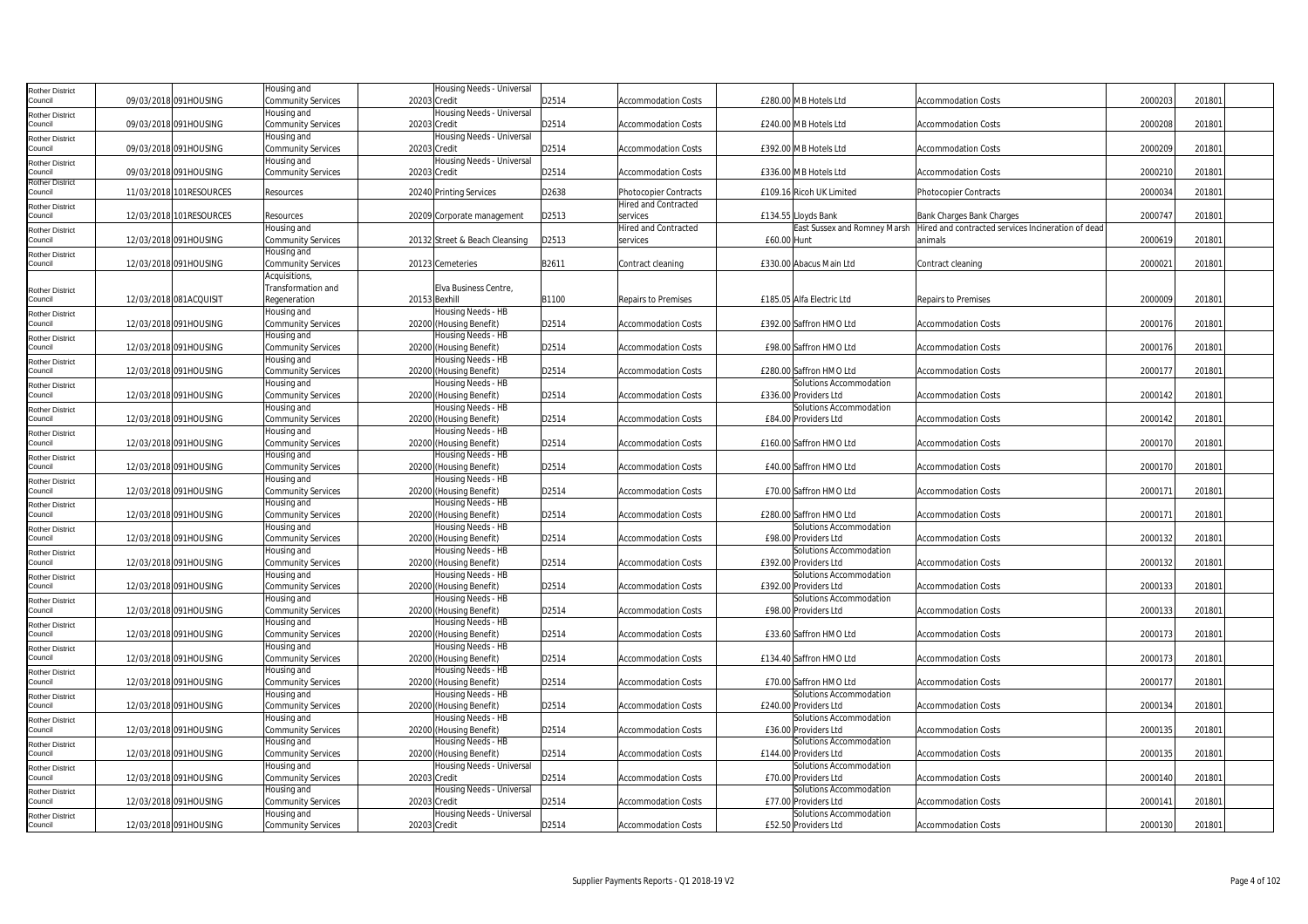| 09/03/2018 091HOUSING<br>D2514<br>2000203<br>Council<br>Community Services<br>20203 Credit<br><b>Accommodation Costs</b><br>£280.00 MB Hotels Ltd<br><b>Accommodation Costs</b><br>201801<br>Housing Needs - Universal<br>Housing and<br><b>Rother District</b><br>D2514<br>Council<br>09/03/2018 091HOUSING<br>£240.00 MB Hotels Ltd<br>2000208<br>201801<br>Community Services<br>20203 Credit<br><b>Accommodation Costs</b><br><b>Accommodation Costs</b><br>Housing and<br>Housing Needs - Universal<br><b>Rother District</b><br>09/03/2018 091HOUSING<br>D2514<br>£392.00 MB Hotels Ltd<br>2000209<br>201801<br>Council<br>Community Services<br>20203 Credit<br><b>Accommodation Costs</b><br><b>Accommodation Costs</b><br>Housing Needs - Universal<br>Housing and<br><b>Rother District</b><br>D2514<br>2000210<br>201801<br>09/03/2018 091HOUSING<br>Community Services<br>20203 Credit<br>£336.00 MB Hotels Ltd<br>Council<br>Accommodation Costs<br>Accommodation Costs<br><b>Rother District</b><br>20240 Printing Services<br>D2638<br>2000034<br>201801<br>Council<br>11/03/2018 101RESOURCES<br>£109.16 Ricoh UK Limited<br>Photocopier Contracts<br>Resources<br>Photocopier Contracts<br>Hired and Contracted<br><b>Rother District</b><br>Council<br>12/03/2018 101RESOURCES<br>20209 Corporate management<br>D2513<br>£134.55 Lloyds Bank<br>Bank Charges Bank Charges<br>2000747<br>201801<br>Resources<br>services<br>Housing and<br>East Sussex and Romney Marsh   Hired and contracted services Incineration of dead<br>Hired and Contracted<br><b>Rother District</b><br>Council<br>12/03/2018 091HOUSING<br>D2513<br>2000619<br>201801<br>Community Services<br>20132 Street & Beach Cleansing<br>£60.00 Hunt<br>services<br>animals<br>Housing and<br><b>Rother District</b><br>12/03/2018 091HOUSING<br>Community Services<br>20123 Cemeteries<br>B2611<br>Contract cleaning<br>£330.00 Abacus Main Ltd<br>200002<br>201801<br>Council<br>Contract cleaning<br>Acquisitions,<br>Transformation and<br>Elva Business Centre,<br><b>Rother District</b><br>Council<br>12/03/2018 081ACQUISIT<br>Regeneration<br>20153 Bexhill<br>B1100<br>£185.05 Alfa Electric Ltd<br>2000009<br>201801<br>Repairs to Premises<br>Repairs to Premises<br>Housing and<br>Housing Needs - HB<br>Rother District<br>D2514<br>2000176<br>Council<br>12/03/2018 091HOUSING<br><b>Community Services</b><br>20200 (Housing Benefit)<br><b>Accommodation Costs</b><br>£392.00 Saffron HMO Ltd<br><b>Accommodation Costs</b><br>201801<br>Housing and<br>Housing Needs - HB<br><b>Rother District</b><br>Council<br>12/03/2018 091HOUSING<br>20200 (Housing Benefit)<br>D2514<br>£98.00 Saffron HMO Ltd<br><b>Accommodation Costs</b><br>2000176<br>201801<br>Community Services<br><b>Accommodation Costs</b><br>Housing and<br>Housing Needs - HB<br><b>Rother District</b><br>D2514<br>12/03/2018 091HOUSING<br>Community Services<br>20200 (Housing Benefit)<br>£280.00 Saffron HMO Ltd<br>2000177<br>201801<br>Council<br><b>Accommodation Costs</b><br><b>Accommodation Costs</b><br>Solutions Accommodation<br>Housing and<br>Housing Needs - HB<br>Rother District<br>D2514<br>2000142<br>Council<br>12/03/2018 091HOUSING<br>Community Services<br>20200 (Housing Benefit)<br>£336.00 Providers Ltd<br><b>Accommodation Costs</b><br>201801<br><b>Accommodation Costs</b><br>Housing and<br>Housing Needs - HB<br>Solutions Accommodation<br><b>Rother District</b><br>12/03/2018 091HOUSING<br>D2514<br>2000142<br>201801<br>Council<br>Community Services<br>20200 (Housing Benefit)<br><b>Accommodation Costs</b><br>£84.00 Providers Ltd<br><b>Accommodation Costs</b><br>Housing and<br>Housing Needs - HB<br><b>Rother District</b><br>2000170<br>Council<br>12/03/2018 091HOUSING<br>20200 (Housing Benefit)<br>D2514<br>£160.00 Saffron HMO Ltd<br>201801<br>Community Services<br><b>Accommodation Costs</b><br><b>Accommodation Costs</b><br>Housing and<br>Housing Needs - HB<br><b>Rother District</b><br>12/03/2018 091HOUSING<br>Community Services<br>20200 (Housing Benefit)<br>D2514<br>£40.00 Saffron HMO Ltd<br>2000170<br>201801<br>Council<br><b>Accommodation Costs</b><br><b>Accommodation Costs</b><br>Housing and<br>Housing Needs - HB<br><b>Rother District</b><br>Council<br>12/03/2018 091HOUSING<br>Community Services<br>20200 (Housing Benefit)<br>D2514<br>£70.00 Saffron HMO Ltd<br><b>Accommodation Costs</b><br>2000171<br>201801<br><b>Accommodation Costs</b><br>Housing and<br>Housing Needs - HB<br><b>Rother District</b><br>12/03/2018 091HOUSING<br>20200 (Housing Benefit)<br>D2514<br>£280.00 Saffron HMO Ltd<br>2000171<br>201801<br>Council<br>Community Services<br><b>Accommodation Costs</b><br><b>Accommodation Costs</b><br>Housing and<br>Housing Needs - HB<br>Solutions Accommodation<br><b>Rother District</b><br>2000132<br>201801<br>12/03/2018 091HOUSING<br>Community Services<br>20200 (Housing Benefit)<br>D2514<br><b>Accommodation Costs</b><br>£98.00 Providers Ltd<br><b>Accommodation Costs</b><br>Council<br>Housing and<br>Housing Needs - HB<br>Solutions Accommodation<br><b>Rother District</b><br>D2514<br>2000132<br>201801<br>12/03/2018 091HOUSING<br>Community Services<br>20200 (Housing Benefit)<br>£392.00 Providers Ltd<br>Council<br><b>Accommodation Costs</b><br><b>Accommodation Costs</b><br>Housing and<br>Housing Needs - HB<br>Solutions Accommodation<br><b>Rother District</b><br>D2514<br>2000133<br>201801<br>Council<br>12/03/2018 091HOUSING<br>Community Services<br>20200 (Housing Benefit)<br><b>Accommodation Costs</b><br>£392.00 Providers Ltd<br><b>Accommodation Costs</b><br>Housing and<br>Solutions Accommodation<br>Housing Needs - HB<br><b>Rother District</b><br>12/03/2018 091HOUSING<br>20200 (Housing Benefit)<br>D2514<br>£98.00 Providers Ltd<br>2000133<br>201801<br>Council<br>Community Services<br>Accommodation Costs<br>Accommodation Costs<br>Housing Needs - HB<br>Housing and<br><b>Rother District</b><br>D2514<br>2000173<br>201801<br>12/03/2018 091HOUSING<br>Community Services<br>20200 (Housing Benefit)<br><b>Accommodation Costs</b><br>£33.60 Saffron HMO Ltd<br><b>Accommodation Costs</b><br>Council<br>Housing and<br>Housing Needs - HB<br><b>Rother District</b><br>D2514<br>2000173<br>12/03/2018 091HOUSING<br>Community Services<br>20200 (Housing Benefit)<br>£134.40 Saffron HMO Ltd<br>201801<br>Council<br>Accommodation Costs<br>Accommodation Costs<br>Housing and<br>Housing Needs - HB<br><b>Rother District</b><br>12/03/2018 091HOUSING<br>D2514<br>£70.00 Saffron HMO Ltd<br>2000177<br>201801<br>Community Services<br>20200 (Housing Benefit)<br><b>Accommodation Costs</b><br><b>Accommodation Costs</b><br>Council<br>Solutions Accommodation<br>Housing and<br>Housing Needs - HB<br><b>Rother District</b><br>2000134<br>12/03/2018 091HOUSING<br>Community Services<br>20200 (Housing Benefit)<br>D2514<br>£240.00 Providers Ltd<br>201801<br>Council<br>Accommodation Costs<br>Accommodation Costs<br>Housing and<br>Housing Needs - HB<br>Solutions Accommodation<br><b>Rother District</b><br>12/03/2018 091HOUSING<br>20200 (Housing Benefit)<br>D2514<br>£36.00 Providers Ltd<br>2000135<br>201801<br>Council<br>Community Services<br><b>Accommodation Costs</b><br><b>Accommodation Costs</b><br>Housing and<br>Housing Needs - HB<br>Solutions Accommodation<br><b>Rother District</b><br>20200 (Housing Benefit)<br>D2514<br>2000135<br>201801<br>Council<br>12/03/2018 091HOUSING<br>Community Services<br><b>Accommodation Costs</b><br>£144.00 Providers Ltd<br><b>Accommodation Costs</b><br>Housing Needs - Universal<br>Solutions Accommodation<br>Housing and<br><b>Rother District</b><br>Council<br>12/03/2018 091HOUSING<br>Community Services<br>20203 Credit<br>D2514<br>£70.00 Providers Ltd<br>2000140<br>201801<br><b>Accommodation Costs</b><br><b>Accommodation Costs</b><br>Housing and<br>Housing Needs - Universal<br>Solutions Accommodation<br><b>Rother District</b><br>D2514<br>2000141<br>201801<br>Council<br>12/03/2018 091HOUSING<br>Community Services<br>20203 Credit<br><b>Accommodation Costs</b><br>£77.00 Providers Ltd<br><b>Accommodation Costs</b><br>Housing Needs - Universal<br>Solutions Accommodation<br>Housing and<br><b>Rother District</b><br>D2514<br>2000130<br>Council<br>12/03/2018 091HOUSING<br>Community Services<br>20203 Credit<br>£52.50 Providers Ltd<br>201801<br><b>Accommodation Costs</b><br><b>Accommodation Costs</b> | <b>Rother District</b> | Housing and | Housing Needs - Universal |  |  |  |  |
|----------------------------------------------------------------------------------------------------------------------------------------------------------------------------------------------------------------------------------------------------------------------------------------------------------------------------------------------------------------------------------------------------------------------------------------------------------------------------------------------------------------------------------------------------------------------------------------------------------------------------------------------------------------------------------------------------------------------------------------------------------------------------------------------------------------------------------------------------------------------------------------------------------------------------------------------------------------------------------------------------------------------------------------------------------------------------------------------------------------------------------------------------------------------------------------------------------------------------------------------------------------------------------------------------------------------------------------------------------------------------------------------------------------------------------------------------------------------------------------------------------------------------------------------------------------------------------------------------------------------------------------------------------------------------------------------------------------------------------------------------------------------------------------------------------------------------------------------------------------------------------------------------------------------------------------------------------------------------------------------------------------------------------------------------------------------------------------------------------------------------------------------------------------------------------------------------------------------------------------------------------------------------------------------------------------------------------------------------------------------------------------------------------------------------------------------------------------------------------------------------------------------------------------------------------------------------------------------------------------------------------------------------------------------------------------------------------------------------------------------------------------------------------------------------------------------------------------------------------------------------------------------------------------------------------------------------------------------------------------------------------------------------------------------------------------------------------------------------------------------------------------------------------------------------------------------------------------------------------------------------------------------------------------------------------------------------------------------------------------------------------------------------------------------------------------------------------------------------------------------------------------------------------------------------------------------------------------------------------------------------------------------------------------------------------------------------------------------------------------------------------------------------------------------------------------------------------------------------------------------------------------------------------------------------------------------------------------------------------------------------------------------------------------------------------------------------------------------------------------------------------------------------------------------------------------------------------------------------------------------------------------------------------------------------------------------------------------------------------------------------------------------------------------------------------------------------------------------------------------------------------------------------------------------------------------------------------------------------------------------------------------------------------------------------------------------------------------------------------------------------------------------------------------------------------------------------------------------------------------------------------------------------------------------------------------------------------------------------------------------------------------------------------------------------------------------------------------------------------------------------------------------------------------------------------------------------------------------------------------------------------------------------------------------------------------------------------------------------------------------------------------------------------------------------------------------------------------------------------------------------------------------------------------------------------------------------------------------------------------------------------------------------------------------------------------------------------------------------------------------------------------------------------------------------------------------------------------------------------------------------------------------------------------------------------------------------------------------------------------------------------------------------------------------------------------------------------------------------------------------------------------------------------------------------------------------------------------------------------------------------------------------------------------------------------------------------------------------------------------------------------------------------------------------------------------------------------------------------------------------------------------------------------------------------------------------------------------------------------------------------------------------------------------------------------------------------------------------------------------------------------------------------------------------------------------------------------------------------------------------------------------------------------------------------------------------------------------------------------------------------------------------------------------------------------------------------------------------------------------------------------------------------------------------------------------------------------------------------------------------------------------------------------------------------------------------------------------------------------------------------------------------------------------------------------------------------------------------------------------------------------------------------------------------------------------------------------------------------------------------------------------------------------------------------------------------------------------------------------------------------------------------------------------------------------------------------------------------------------------------------------------------------------------------------------------------------------------------------------------------------------------------------------------------------------------------------------------------------------------------------------------------------------------------------------------------------------------------------------------------------------------------------------------------------------------------------------------------------------------------------------------------------------------------------------------------------------------------------------------------------------------------------------------------------------------------------|------------------------|-------------|---------------------------|--|--|--|--|
|                                                                                                                                                                                                                                                                                                                                                                                                                                                                                                                                                                                                                                                                                                                                                                                                                                                                                                                                                                                                                                                                                                                                                                                                                                                                                                                                                                                                                                                                                                                                                                                                                                                                                                                                                                                                                                                                                                                                                                                                                                                                                                                                                                                                                                                                                                                                                                                                                                                                                                                                                                                                                                                                                                                                                                                                                                                                                                                                                                                                                                                                                                                                                                                                                                                                                                                                                                                                                                                                                                                                                                                                                                                                                                                                                                                                                                                                                                                                                                                                                                                                                                                                                                                                                                                                                                                                                                                                                                                                                                                                                                                                                                                                                                                                                                                                                                                                                                                                                                                                                                                                                                                                                                                                                                                                                                                                                                                                                                                                                                                                                                                                                                                                                                                                                                                                                                                                                                                                                                                                                                                                                                                                                                                                                                                                                                                                                                                                                                                                                                                                                                                                                                                                                                                                                                                                                                                                                                                                                                                                                                                                                                                                                                                                                                                                                                                                                                                                                                                                                                                                                                                                                                                                                                                                                                                                                                                                                                                                                                                                                                                                                                                                                                                                                                                                                                                                                                                                                                                                                                                                                                            |                        |             |                           |  |  |  |  |
|                                                                                                                                                                                                                                                                                                                                                                                                                                                                                                                                                                                                                                                                                                                                                                                                                                                                                                                                                                                                                                                                                                                                                                                                                                                                                                                                                                                                                                                                                                                                                                                                                                                                                                                                                                                                                                                                                                                                                                                                                                                                                                                                                                                                                                                                                                                                                                                                                                                                                                                                                                                                                                                                                                                                                                                                                                                                                                                                                                                                                                                                                                                                                                                                                                                                                                                                                                                                                                                                                                                                                                                                                                                                                                                                                                                                                                                                                                                                                                                                                                                                                                                                                                                                                                                                                                                                                                                                                                                                                                                                                                                                                                                                                                                                                                                                                                                                                                                                                                                                                                                                                                                                                                                                                                                                                                                                                                                                                                                                                                                                                                                                                                                                                                                                                                                                                                                                                                                                                                                                                                                                                                                                                                                                                                                                                                                                                                                                                                                                                                                                                                                                                                                                                                                                                                                                                                                                                                                                                                                                                                                                                                                                                                                                                                                                                                                                                                                                                                                                                                                                                                                                                                                                                                                                                                                                                                                                                                                                                                                                                                                                                                                                                                                                                                                                                                                                                                                                                                                                                                                                                                            |                        |             |                           |  |  |  |  |
|                                                                                                                                                                                                                                                                                                                                                                                                                                                                                                                                                                                                                                                                                                                                                                                                                                                                                                                                                                                                                                                                                                                                                                                                                                                                                                                                                                                                                                                                                                                                                                                                                                                                                                                                                                                                                                                                                                                                                                                                                                                                                                                                                                                                                                                                                                                                                                                                                                                                                                                                                                                                                                                                                                                                                                                                                                                                                                                                                                                                                                                                                                                                                                                                                                                                                                                                                                                                                                                                                                                                                                                                                                                                                                                                                                                                                                                                                                                                                                                                                                                                                                                                                                                                                                                                                                                                                                                                                                                                                                                                                                                                                                                                                                                                                                                                                                                                                                                                                                                                                                                                                                                                                                                                                                                                                                                                                                                                                                                                                                                                                                                                                                                                                                                                                                                                                                                                                                                                                                                                                                                                                                                                                                                                                                                                                                                                                                                                                                                                                                                                                                                                                                                                                                                                                                                                                                                                                                                                                                                                                                                                                                                                                                                                                                                                                                                                                                                                                                                                                                                                                                                                                                                                                                                                                                                                                                                                                                                                                                                                                                                                                                                                                                                                                                                                                                                                                                                                                                                                                                                                                                            |                        |             |                           |  |  |  |  |
|                                                                                                                                                                                                                                                                                                                                                                                                                                                                                                                                                                                                                                                                                                                                                                                                                                                                                                                                                                                                                                                                                                                                                                                                                                                                                                                                                                                                                                                                                                                                                                                                                                                                                                                                                                                                                                                                                                                                                                                                                                                                                                                                                                                                                                                                                                                                                                                                                                                                                                                                                                                                                                                                                                                                                                                                                                                                                                                                                                                                                                                                                                                                                                                                                                                                                                                                                                                                                                                                                                                                                                                                                                                                                                                                                                                                                                                                                                                                                                                                                                                                                                                                                                                                                                                                                                                                                                                                                                                                                                                                                                                                                                                                                                                                                                                                                                                                                                                                                                                                                                                                                                                                                                                                                                                                                                                                                                                                                                                                                                                                                                                                                                                                                                                                                                                                                                                                                                                                                                                                                                                                                                                                                                                                                                                                                                                                                                                                                                                                                                                                                                                                                                                                                                                                                                                                                                                                                                                                                                                                                                                                                                                                                                                                                                                                                                                                                                                                                                                                                                                                                                                                                                                                                                                                                                                                                                                                                                                                                                                                                                                                                                                                                                                                                                                                                                                                                                                                                                                                                                                                                                            |                        |             |                           |  |  |  |  |
|                                                                                                                                                                                                                                                                                                                                                                                                                                                                                                                                                                                                                                                                                                                                                                                                                                                                                                                                                                                                                                                                                                                                                                                                                                                                                                                                                                                                                                                                                                                                                                                                                                                                                                                                                                                                                                                                                                                                                                                                                                                                                                                                                                                                                                                                                                                                                                                                                                                                                                                                                                                                                                                                                                                                                                                                                                                                                                                                                                                                                                                                                                                                                                                                                                                                                                                                                                                                                                                                                                                                                                                                                                                                                                                                                                                                                                                                                                                                                                                                                                                                                                                                                                                                                                                                                                                                                                                                                                                                                                                                                                                                                                                                                                                                                                                                                                                                                                                                                                                                                                                                                                                                                                                                                                                                                                                                                                                                                                                                                                                                                                                                                                                                                                                                                                                                                                                                                                                                                                                                                                                                                                                                                                                                                                                                                                                                                                                                                                                                                                                                                                                                                                                                                                                                                                                                                                                                                                                                                                                                                                                                                                                                                                                                                                                                                                                                                                                                                                                                                                                                                                                                                                                                                                                                                                                                                                                                                                                                                                                                                                                                                                                                                                                                                                                                                                                                                                                                                                                                                                                                                                            |                        |             |                           |  |  |  |  |
|                                                                                                                                                                                                                                                                                                                                                                                                                                                                                                                                                                                                                                                                                                                                                                                                                                                                                                                                                                                                                                                                                                                                                                                                                                                                                                                                                                                                                                                                                                                                                                                                                                                                                                                                                                                                                                                                                                                                                                                                                                                                                                                                                                                                                                                                                                                                                                                                                                                                                                                                                                                                                                                                                                                                                                                                                                                                                                                                                                                                                                                                                                                                                                                                                                                                                                                                                                                                                                                                                                                                                                                                                                                                                                                                                                                                                                                                                                                                                                                                                                                                                                                                                                                                                                                                                                                                                                                                                                                                                                                                                                                                                                                                                                                                                                                                                                                                                                                                                                                                                                                                                                                                                                                                                                                                                                                                                                                                                                                                                                                                                                                                                                                                                                                                                                                                                                                                                                                                                                                                                                                                                                                                                                                                                                                                                                                                                                                                                                                                                                                                                                                                                                                                                                                                                                                                                                                                                                                                                                                                                                                                                                                                                                                                                                                                                                                                                                                                                                                                                                                                                                                                                                                                                                                                                                                                                                                                                                                                                                                                                                                                                                                                                                                                                                                                                                                                                                                                                                                                                                                                                                            |                        |             |                           |  |  |  |  |
|                                                                                                                                                                                                                                                                                                                                                                                                                                                                                                                                                                                                                                                                                                                                                                                                                                                                                                                                                                                                                                                                                                                                                                                                                                                                                                                                                                                                                                                                                                                                                                                                                                                                                                                                                                                                                                                                                                                                                                                                                                                                                                                                                                                                                                                                                                                                                                                                                                                                                                                                                                                                                                                                                                                                                                                                                                                                                                                                                                                                                                                                                                                                                                                                                                                                                                                                                                                                                                                                                                                                                                                                                                                                                                                                                                                                                                                                                                                                                                                                                                                                                                                                                                                                                                                                                                                                                                                                                                                                                                                                                                                                                                                                                                                                                                                                                                                                                                                                                                                                                                                                                                                                                                                                                                                                                                                                                                                                                                                                                                                                                                                                                                                                                                                                                                                                                                                                                                                                                                                                                                                                                                                                                                                                                                                                                                                                                                                                                                                                                                                                                                                                                                                                                                                                                                                                                                                                                                                                                                                                                                                                                                                                                                                                                                                                                                                                                                                                                                                                                                                                                                                                                                                                                                                                                                                                                                                                                                                                                                                                                                                                                                                                                                                                                                                                                                                                                                                                                                                                                                                                                                            |                        |             |                           |  |  |  |  |
|                                                                                                                                                                                                                                                                                                                                                                                                                                                                                                                                                                                                                                                                                                                                                                                                                                                                                                                                                                                                                                                                                                                                                                                                                                                                                                                                                                                                                                                                                                                                                                                                                                                                                                                                                                                                                                                                                                                                                                                                                                                                                                                                                                                                                                                                                                                                                                                                                                                                                                                                                                                                                                                                                                                                                                                                                                                                                                                                                                                                                                                                                                                                                                                                                                                                                                                                                                                                                                                                                                                                                                                                                                                                                                                                                                                                                                                                                                                                                                                                                                                                                                                                                                                                                                                                                                                                                                                                                                                                                                                                                                                                                                                                                                                                                                                                                                                                                                                                                                                                                                                                                                                                                                                                                                                                                                                                                                                                                                                                                                                                                                                                                                                                                                                                                                                                                                                                                                                                                                                                                                                                                                                                                                                                                                                                                                                                                                                                                                                                                                                                                                                                                                                                                                                                                                                                                                                                                                                                                                                                                                                                                                                                                                                                                                                                                                                                                                                                                                                                                                                                                                                                                                                                                                                                                                                                                                                                                                                                                                                                                                                                                                                                                                                                                                                                                                                                                                                                                                                                                                                                                                            |                        |             |                           |  |  |  |  |
|                                                                                                                                                                                                                                                                                                                                                                                                                                                                                                                                                                                                                                                                                                                                                                                                                                                                                                                                                                                                                                                                                                                                                                                                                                                                                                                                                                                                                                                                                                                                                                                                                                                                                                                                                                                                                                                                                                                                                                                                                                                                                                                                                                                                                                                                                                                                                                                                                                                                                                                                                                                                                                                                                                                                                                                                                                                                                                                                                                                                                                                                                                                                                                                                                                                                                                                                                                                                                                                                                                                                                                                                                                                                                                                                                                                                                                                                                                                                                                                                                                                                                                                                                                                                                                                                                                                                                                                                                                                                                                                                                                                                                                                                                                                                                                                                                                                                                                                                                                                                                                                                                                                                                                                                                                                                                                                                                                                                                                                                                                                                                                                                                                                                                                                                                                                                                                                                                                                                                                                                                                                                                                                                                                                                                                                                                                                                                                                                                                                                                                                                                                                                                                                                                                                                                                                                                                                                                                                                                                                                                                                                                                                                                                                                                                                                                                                                                                                                                                                                                                                                                                                                                                                                                                                                                                                                                                                                                                                                                                                                                                                                                                                                                                                                                                                                                                                                                                                                                                                                                                                                                                            |                        |             |                           |  |  |  |  |
|                                                                                                                                                                                                                                                                                                                                                                                                                                                                                                                                                                                                                                                                                                                                                                                                                                                                                                                                                                                                                                                                                                                                                                                                                                                                                                                                                                                                                                                                                                                                                                                                                                                                                                                                                                                                                                                                                                                                                                                                                                                                                                                                                                                                                                                                                                                                                                                                                                                                                                                                                                                                                                                                                                                                                                                                                                                                                                                                                                                                                                                                                                                                                                                                                                                                                                                                                                                                                                                                                                                                                                                                                                                                                                                                                                                                                                                                                                                                                                                                                                                                                                                                                                                                                                                                                                                                                                                                                                                                                                                                                                                                                                                                                                                                                                                                                                                                                                                                                                                                                                                                                                                                                                                                                                                                                                                                                                                                                                                                                                                                                                                                                                                                                                                                                                                                                                                                                                                                                                                                                                                                                                                                                                                                                                                                                                                                                                                                                                                                                                                                                                                                                                                                                                                                                                                                                                                                                                                                                                                                                                                                                                                                                                                                                                                                                                                                                                                                                                                                                                                                                                                                                                                                                                                                                                                                                                                                                                                                                                                                                                                                                                                                                                                                                                                                                                                                                                                                                                                                                                                                                                            |                        |             |                           |  |  |  |  |
|                                                                                                                                                                                                                                                                                                                                                                                                                                                                                                                                                                                                                                                                                                                                                                                                                                                                                                                                                                                                                                                                                                                                                                                                                                                                                                                                                                                                                                                                                                                                                                                                                                                                                                                                                                                                                                                                                                                                                                                                                                                                                                                                                                                                                                                                                                                                                                                                                                                                                                                                                                                                                                                                                                                                                                                                                                                                                                                                                                                                                                                                                                                                                                                                                                                                                                                                                                                                                                                                                                                                                                                                                                                                                                                                                                                                                                                                                                                                                                                                                                                                                                                                                                                                                                                                                                                                                                                                                                                                                                                                                                                                                                                                                                                                                                                                                                                                                                                                                                                                                                                                                                                                                                                                                                                                                                                                                                                                                                                                                                                                                                                                                                                                                                                                                                                                                                                                                                                                                                                                                                                                                                                                                                                                                                                                                                                                                                                                                                                                                                                                                                                                                                                                                                                                                                                                                                                                                                                                                                                                                                                                                                                                                                                                                                                                                                                                                                                                                                                                                                                                                                                                                                                                                                                                                                                                                                                                                                                                                                                                                                                                                                                                                                                                                                                                                                                                                                                                                                                                                                                                                                            |                        |             |                           |  |  |  |  |
|                                                                                                                                                                                                                                                                                                                                                                                                                                                                                                                                                                                                                                                                                                                                                                                                                                                                                                                                                                                                                                                                                                                                                                                                                                                                                                                                                                                                                                                                                                                                                                                                                                                                                                                                                                                                                                                                                                                                                                                                                                                                                                                                                                                                                                                                                                                                                                                                                                                                                                                                                                                                                                                                                                                                                                                                                                                                                                                                                                                                                                                                                                                                                                                                                                                                                                                                                                                                                                                                                                                                                                                                                                                                                                                                                                                                                                                                                                                                                                                                                                                                                                                                                                                                                                                                                                                                                                                                                                                                                                                                                                                                                                                                                                                                                                                                                                                                                                                                                                                                                                                                                                                                                                                                                                                                                                                                                                                                                                                                                                                                                                                                                                                                                                                                                                                                                                                                                                                                                                                                                                                                                                                                                                                                                                                                                                                                                                                                                                                                                                                                                                                                                                                                                                                                                                                                                                                                                                                                                                                                                                                                                                                                                                                                                                                                                                                                                                                                                                                                                                                                                                                                                                                                                                                                                                                                                                                                                                                                                                                                                                                                                                                                                                                                                                                                                                                                                                                                                                                                                                                                                                            |                        |             |                           |  |  |  |  |
|                                                                                                                                                                                                                                                                                                                                                                                                                                                                                                                                                                                                                                                                                                                                                                                                                                                                                                                                                                                                                                                                                                                                                                                                                                                                                                                                                                                                                                                                                                                                                                                                                                                                                                                                                                                                                                                                                                                                                                                                                                                                                                                                                                                                                                                                                                                                                                                                                                                                                                                                                                                                                                                                                                                                                                                                                                                                                                                                                                                                                                                                                                                                                                                                                                                                                                                                                                                                                                                                                                                                                                                                                                                                                                                                                                                                                                                                                                                                                                                                                                                                                                                                                                                                                                                                                                                                                                                                                                                                                                                                                                                                                                                                                                                                                                                                                                                                                                                                                                                                                                                                                                                                                                                                                                                                                                                                                                                                                                                                                                                                                                                                                                                                                                                                                                                                                                                                                                                                                                                                                                                                                                                                                                                                                                                                                                                                                                                                                                                                                                                                                                                                                                                                                                                                                                                                                                                                                                                                                                                                                                                                                                                                                                                                                                                                                                                                                                                                                                                                                                                                                                                                                                                                                                                                                                                                                                                                                                                                                                                                                                                                                                                                                                                                                                                                                                                                                                                                                                                                                                                                                                            |                        |             |                           |  |  |  |  |
|                                                                                                                                                                                                                                                                                                                                                                                                                                                                                                                                                                                                                                                                                                                                                                                                                                                                                                                                                                                                                                                                                                                                                                                                                                                                                                                                                                                                                                                                                                                                                                                                                                                                                                                                                                                                                                                                                                                                                                                                                                                                                                                                                                                                                                                                                                                                                                                                                                                                                                                                                                                                                                                                                                                                                                                                                                                                                                                                                                                                                                                                                                                                                                                                                                                                                                                                                                                                                                                                                                                                                                                                                                                                                                                                                                                                                                                                                                                                                                                                                                                                                                                                                                                                                                                                                                                                                                                                                                                                                                                                                                                                                                                                                                                                                                                                                                                                                                                                                                                                                                                                                                                                                                                                                                                                                                                                                                                                                                                                                                                                                                                                                                                                                                                                                                                                                                                                                                                                                                                                                                                                                                                                                                                                                                                                                                                                                                                                                                                                                                                                                                                                                                                                                                                                                                                                                                                                                                                                                                                                                                                                                                                                                                                                                                                                                                                                                                                                                                                                                                                                                                                                                                                                                                                                                                                                                                                                                                                                                                                                                                                                                                                                                                                                                                                                                                                                                                                                                                                                                                                                                                            |                        |             |                           |  |  |  |  |
|                                                                                                                                                                                                                                                                                                                                                                                                                                                                                                                                                                                                                                                                                                                                                                                                                                                                                                                                                                                                                                                                                                                                                                                                                                                                                                                                                                                                                                                                                                                                                                                                                                                                                                                                                                                                                                                                                                                                                                                                                                                                                                                                                                                                                                                                                                                                                                                                                                                                                                                                                                                                                                                                                                                                                                                                                                                                                                                                                                                                                                                                                                                                                                                                                                                                                                                                                                                                                                                                                                                                                                                                                                                                                                                                                                                                                                                                                                                                                                                                                                                                                                                                                                                                                                                                                                                                                                                                                                                                                                                                                                                                                                                                                                                                                                                                                                                                                                                                                                                                                                                                                                                                                                                                                                                                                                                                                                                                                                                                                                                                                                                                                                                                                                                                                                                                                                                                                                                                                                                                                                                                                                                                                                                                                                                                                                                                                                                                                                                                                                                                                                                                                                                                                                                                                                                                                                                                                                                                                                                                                                                                                                                                                                                                                                                                                                                                                                                                                                                                                                                                                                                                                                                                                                                                                                                                                                                                                                                                                                                                                                                                                                                                                                                                                                                                                                                                                                                                                                                                                                                                                                            |                        |             |                           |  |  |  |  |
|                                                                                                                                                                                                                                                                                                                                                                                                                                                                                                                                                                                                                                                                                                                                                                                                                                                                                                                                                                                                                                                                                                                                                                                                                                                                                                                                                                                                                                                                                                                                                                                                                                                                                                                                                                                                                                                                                                                                                                                                                                                                                                                                                                                                                                                                                                                                                                                                                                                                                                                                                                                                                                                                                                                                                                                                                                                                                                                                                                                                                                                                                                                                                                                                                                                                                                                                                                                                                                                                                                                                                                                                                                                                                                                                                                                                                                                                                                                                                                                                                                                                                                                                                                                                                                                                                                                                                                                                                                                                                                                                                                                                                                                                                                                                                                                                                                                                                                                                                                                                                                                                                                                                                                                                                                                                                                                                                                                                                                                                                                                                                                                                                                                                                                                                                                                                                                                                                                                                                                                                                                                                                                                                                                                                                                                                                                                                                                                                                                                                                                                                                                                                                                                                                                                                                                                                                                                                                                                                                                                                                                                                                                                                                                                                                                                                                                                                                                                                                                                                                                                                                                                                                                                                                                                                                                                                                                                                                                                                                                                                                                                                                                                                                                                                                                                                                                                                                                                                                                                                                                                                                                            |                        |             |                           |  |  |  |  |
|                                                                                                                                                                                                                                                                                                                                                                                                                                                                                                                                                                                                                                                                                                                                                                                                                                                                                                                                                                                                                                                                                                                                                                                                                                                                                                                                                                                                                                                                                                                                                                                                                                                                                                                                                                                                                                                                                                                                                                                                                                                                                                                                                                                                                                                                                                                                                                                                                                                                                                                                                                                                                                                                                                                                                                                                                                                                                                                                                                                                                                                                                                                                                                                                                                                                                                                                                                                                                                                                                                                                                                                                                                                                                                                                                                                                                                                                                                                                                                                                                                                                                                                                                                                                                                                                                                                                                                                                                                                                                                                                                                                                                                                                                                                                                                                                                                                                                                                                                                                                                                                                                                                                                                                                                                                                                                                                                                                                                                                                                                                                                                                                                                                                                                                                                                                                                                                                                                                                                                                                                                                                                                                                                                                                                                                                                                                                                                                                                                                                                                                                                                                                                                                                                                                                                                                                                                                                                                                                                                                                                                                                                                                                                                                                                                                                                                                                                                                                                                                                                                                                                                                                                                                                                                                                                                                                                                                                                                                                                                                                                                                                                                                                                                                                                                                                                                                                                                                                                                                                                                                                                                            |                        |             |                           |  |  |  |  |
|                                                                                                                                                                                                                                                                                                                                                                                                                                                                                                                                                                                                                                                                                                                                                                                                                                                                                                                                                                                                                                                                                                                                                                                                                                                                                                                                                                                                                                                                                                                                                                                                                                                                                                                                                                                                                                                                                                                                                                                                                                                                                                                                                                                                                                                                                                                                                                                                                                                                                                                                                                                                                                                                                                                                                                                                                                                                                                                                                                                                                                                                                                                                                                                                                                                                                                                                                                                                                                                                                                                                                                                                                                                                                                                                                                                                                                                                                                                                                                                                                                                                                                                                                                                                                                                                                                                                                                                                                                                                                                                                                                                                                                                                                                                                                                                                                                                                                                                                                                                                                                                                                                                                                                                                                                                                                                                                                                                                                                                                                                                                                                                                                                                                                                                                                                                                                                                                                                                                                                                                                                                                                                                                                                                                                                                                                                                                                                                                                                                                                                                                                                                                                                                                                                                                                                                                                                                                                                                                                                                                                                                                                                                                                                                                                                                                                                                                                                                                                                                                                                                                                                                                                                                                                                                                                                                                                                                                                                                                                                                                                                                                                                                                                                                                                                                                                                                                                                                                                                                                                                                                                                            |                        |             |                           |  |  |  |  |
|                                                                                                                                                                                                                                                                                                                                                                                                                                                                                                                                                                                                                                                                                                                                                                                                                                                                                                                                                                                                                                                                                                                                                                                                                                                                                                                                                                                                                                                                                                                                                                                                                                                                                                                                                                                                                                                                                                                                                                                                                                                                                                                                                                                                                                                                                                                                                                                                                                                                                                                                                                                                                                                                                                                                                                                                                                                                                                                                                                                                                                                                                                                                                                                                                                                                                                                                                                                                                                                                                                                                                                                                                                                                                                                                                                                                                                                                                                                                                                                                                                                                                                                                                                                                                                                                                                                                                                                                                                                                                                                                                                                                                                                                                                                                                                                                                                                                                                                                                                                                                                                                                                                                                                                                                                                                                                                                                                                                                                                                                                                                                                                                                                                                                                                                                                                                                                                                                                                                                                                                                                                                                                                                                                                                                                                                                                                                                                                                                                                                                                                                                                                                                                                                                                                                                                                                                                                                                                                                                                                                                                                                                                                                                                                                                                                                                                                                                                                                                                                                                                                                                                                                                                                                                                                                                                                                                                                                                                                                                                                                                                                                                                                                                                                                                                                                                                                                                                                                                                                                                                                                                                            |                        |             |                           |  |  |  |  |
|                                                                                                                                                                                                                                                                                                                                                                                                                                                                                                                                                                                                                                                                                                                                                                                                                                                                                                                                                                                                                                                                                                                                                                                                                                                                                                                                                                                                                                                                                                                                                                                                                                                                                                                                                                                                                                                                                                                                                                                                                                                                                                                                                                                                                                                                                                                                                                                                                                                                                                                                                                                                                                                                                                                                                                                                                                                                                                                                                                                                                                                                                                                                                                                                                                                                                                                                                                                                                                                                                                                                                                                                                                                                                                                                                                                                                                                                                                                                                                                                                                                                                                                                                                                                                                                                                                                                                                                                                                                                                                                                                                                                                                                                                                                                                                                                                                                                                                                                                                                                                                                                                                                                                                                                                                                                                                                                                                                                                                                                                                                                                                                                                                                                                                                                                                                                                                                                                                                                                                                                                                                                                                                                                                                                                                                                                                                                                                                                                                                                                                                                                                                                                                                                                                                                                                                                                                                                                                                                                                                                                                                                                                                                                                                                                                                                                                                                                                                                                                                                                                                                                                                                                                                                                                                                                                                                                                                                                                                                                                                                                                                                                                                                                                                                                                                                                                                                                                                                                                                                                                                                                                            |                        |             |                           |  |  |  |  |
|                                                                                                                                                                                                                                                                                                                                                                                                                                                                                                                                                                                                                                                                                                                                                                                                                                                                                                                                                                                                                                                                                                                                                                                                                                                                                                                                                                                                                                                                                                                                                                                                                                                                                                                                                                                                                                                                                                                                                                                                                                                                                                                                                                                                                                                                                                                                                                                                                                                                                                                                                                                                                                                                                                                                                                                                                                                                                                                                                                                                                                                                                                                                                                                                                                                                                                                                                                                                                                                                                                                                                                                                                                                                                                                                                                                                                                                                                                                                                                                                                                                                                                                                                                                                                                                                                                                                                                                                                                                                                                                                                                                                                                                                                                                                                                                                                                                                                                                                                                                                                                                                                                                                                                                                                                                                                                                                                                                                                                                                                                                                                                                                                                                                                                                                                                                                                                                                                                                                                                                                                                                                                                                                                                                                                                                                                                                                                                                                                                                                                                                                                                                                                                                                                                                                                                                                                                                                                                                                                                                                                                                                                                                                                                                                                                                                                                                                                                                                                                                                                                                                                                                                                                                                                                                                                                                                                                                                                                                                                                                                                                                                                                                                                                                                                                                                                                                                                                                                                                                                                                                                                                            |                        |             |                           |  |  |  |  |
|                                                                                                                                                                                                                                                                                                                                                                                                                                                                                                                                                                                                                                                                                                                                                                                                                                                                                                                                                                                                                                                                                                                                                                                                                                                                                                                                                                                                                                                                                                                                                                                                                                                                                                                                                                                                                                                                                                                                                                                                                                                                                                                                                                                                                                                                                                                                                                                                                                                                                                                                                                                                                                                                                                                                                                                                                                                                                                                                                                                                                                                                                                                                                                                                                                                                                                                                                                                                                                                                                                                                                                                                                                                                                                                                                                                                                                                                                                                                                                                                                                                                                                                                                                                                                                                                                                                                                                                                                                                                                                                                                                                                                                                                                                                                                                                                                                                                                                                                                                                                                                                                                                                                                                                                                                                                                                                                                                                                                                                                                                                                                                                                                                                                                                                                                                                                                                                                                                                                                                                                                                                                                                                                                                                                                                                                                                                                                                                                                                                                                                                                                                                                                                                                                                                                                                                                                                                                                                                                                                                                                                                                                                                                                                                                                                                                                                                                                                                                                                                                                                                                                                                                                                                                                                                                                                                                                                                                                                                                                                                                                                                                                                                                                                                                                                                                                                                                                                                                                                                                                                                                                                            |                        |             |                           |  |  |  |  |
|                                                                                                                                                                                                                                                                                                                                                                                                                                                                                                                                                                                                                                                                                                                                                                                                                                                                                                                                                                                                                                                                                                                                                                                                                                                                                                                                                                                                                                                                                                                                                                                                                                                                                                                                                                                                                                                                                                                                                                                                                                                                                                                                                                                                                                                                                                                                                                                                                                                                                                                                                                                                                                                                                                                                                                                                                                                                                                                                                                                                                                                                                                                                                                                                                                                                                                                                                                                                                                                                                                                                                                                                                                                                                                                                                                                                                                                                                                                                                                                                                                                                                                                                                                                                                                                                                                                                                                                                                                                                                                                                                                                                                                                                                                                                                                                                                                                                                                                                                                                                                                                                                                                                                                                                                                                                                                                                                                                                                                                                                                                                                                                                                                                                                                                                                                                                                                                                                                                                                                                                                                                                                                                                                                                                                                                                                                                                                                                                                                                                                                                                                                                                                                                                                                                                                                                                                                                                                                                                                                                                                                                                                                                                                                                                                                                                                                                                                                                                                                                                                                                                                                                                                                                                                                                                                                                                                                                                                                                                                                                                                                                                                                                                                                                                                                                                                                                                                                                                                                                                                                                                                                            |                        |             |                           |  |  |  |  |
|                                                                                                                                                                                                                                                                                                                                                                                                                                                                                                                                                                                                                                                                                                                                                                                                                                                                                                                                                                                                                                                                                                                                                                                                                                                                                                                                                                                                                                                                                                                                                                                                                                                                                                                                                                                                                                                                                                                                                                                                                                                                                                                                                                                                                                                                                                                                                                                                                                                                                                                                                                                                                                                                                                                                                                                                                                                                                                                                                                                                                                                                                                                                                                                                                                                                                                                                                                                                                                                                                                                                                                                                                                                                                                                                                                                                                                                                                                                                                                                                                                                                                                                                                                                                                                                                                                                                                                                                                                                                                                                                                                                                                                                                                                                                                                                                                                                                                                                                                                                                                                                                                                                                                                                                                                                                                                                                                                                                                                                                                                                                                                                                                                                                                                                                                                                                                                                                                                                                                                                                                                                                                                                                                                                                                                                                                                                                                                                                                                                                                                                                                                                                                                                                                                                                                                                                                                                                                                                                                                                                                                                                                                                                                                                                                                                                                                                                                                                                                                                                                                                                                                                                                                                                                                                                                                                                                                                                                                                                                                                                                                                                                                                                                                                                                                                                                                                                                                                                                                                                                                                                                                            |                        |             |                           |  |  |  |  |
|                                                                                                                                                                                                                                                                                                                                                                                                                                                                                                                                                                                                                                                                                                                                                                                                                                                                                                                                                                                                                                                                                                                                                                                                                                                                                                                                                                                                                                                                                                                                                                                                                                                                                                                                                                                                                                                                                                                                                                                                                                                                                                                                                                                                                                                                                                                                                                                                                                                                                                                                                                                                                                                                                                                                                                                                                                                                                                                                                                                                                                                                                                                                                                                                                                                                                                                                                                                                                                                                                                                                                                                                                                                                                                                                                                                                                                                                                                                                                                                                                                                                                                                                                                                                                                                                                                                                                                                                                                                                                                                                                                                                                                                                                                                                                                                                                                                                                                                                                                                                                                                                                                                                                                                                                                                                                                                                                                                                                                                                                                                                                                                                                                                                                                                                                                                                                                                                                                                                                                                                                                                                                                                                                                                                                                                                                                                                                                                                                                                                                                                                                                                                                                                                                                                                                                                                                                                                                                                                                                                                                                                                                                                                                                                                                                                                                                                                                                                                                                                                                                                                                                                                                                                                                                                                                                                                                                                                                                                                                                                                                                                                                                                                                                                                                                                                                                                                                                                                                                                                                                                                                                            |                        |             |                           |  |  |  |  |
|                                                                                                                                                                                                                                                                                                                                                                                                                                                                                                                                                                                                                                                                                                                                                                                                                                                                                                                                                                                                                                                                                                                                                                                                                                                                                                                                                                                                                                                                                                                                                                                                                                                                                                                                                                                                                                                                                                                                                                                                                                                                                                                                                                                                                                                                                                                                                                                                                                                                                                                                                                                                                                                                                                                                                                                                                                                                                                                                                                                                                                                                                                                                                                                                                                                                                                                                                                                                                                                                                                                                                                                                                                                                                                                                                                                                                                                                                                                                                                                                                                                                                                                                                                                                                                                                                                                                                                                                                                                                                                                                                                                                                                                                                                                                                                                                                                                                                                                                                                                                                                                                                                                                                                                                                                                                                                                                                                                                                                                                                                                                                                                                                                                                                                                                                                                                                                                                                                                                                                                                                                                                                                                                                                                                                                                                                                                                                                                                                                                                                                                                                                                                                                                                                                                                                                                                                                                                                                                                                                                                                                                                                                                                                                                                                                                                                                                                                                                                                                                                                                                                                                                                                                                                                                                                                                                                                                                                                                                                                                                                                                                                                                                                                                                                                                                                                                                                                                                                                                                                                                                                                                            |                        |             |                           |  |  |  |  |
|                                                                                                                                                                                                                                                                                                                                                                                                                                                                                                                                                                                                                                                                                                                                                                                                                                                                                                                                                                                                                                                                                                                                                                                                                                                                                                                                                                                                                                                                                                                                                                                                                                                                                                                                                                                                                                                                                                                                                                                                                                                                                                                                                                                                                                                                                                                                                                                                                                                                                                                                                                                                                                                                                                                                                                                                                                                                                                                                                                                                                                                                                                                                                                                                                                                                                                                                                                                                                                                                                                                                                                                                                                                                                                                                                                                                                                                                                                                                                                                                                                                                                                                                                                                                                                                                                                                                                                                                                                                                                                                                                                                                                                                                                                                                                                                                                                                                                                                                                                                                                                                                                                                                                                                                                                                                                                                                                                                                                                                                                                                                                                                                                                                                                                                                                                                                                                                                                                                                                                                                                                                                                                                                                                                                                                                                                                                                                                                                                                                                                                                                                                                                                                                                                                                                                                                                                                                                                                                                                                                                                                                                                                                                                                                                                                                                                                                                                                                                                                                                                                                                                                                                                                                                                                                                                                                                                                                                                                                                                                                                                                                                                                                                                                                                                                                                                                                                                                                                                                                                                                                                                                            |                        |             |                           |  |  |  |  |
|                                                                                                                                                                                                                                                                                                                                                                                                                                                                                                                                                                                                                                                                                                                                                                                                                                                                                                                                                                                                                                                                                                                                                                                                                                                                                                                                                                                                                                                                                                                                                                                                                                                                                                                                                                                                                                                                                                                                                                                                                                                                                                                                                                                                                                                                                                                                                                                                                                                                                                                                                                                                                                                                                                                                                                                                                                                                                                                                                                                                                                                                                                                                                                                                                                                                                                                                                                                                                                                                                                                                                                                                                                                                                                                                                                                                                                                                                                                                                                                                                                                                                                                                                                                                                                                                                                                                                                                                                                                                                                                                                                                                                                                                                                                                                                                                                                                                                                                                                                                                                                                                                                                                                                                                                                                                                                                                                                                                                                                                                                                                                                                                                                                                                                                                                                                                                                                                                                                                                                                                                                                                                                                                                                                                                                                                                                                                                                                                                                                                                                                                                                                                                                                                                                                                                                                                                                                                                                                                                                                                                                                                                                                                                                                                                                                                                                                                                                                                                                                                                                                                                                                                                                                                                                                                                                                                                                                                                                                                                                                                                                                                                                                                                                                                                                                                                                                                                                                                                                                                                                                                                                            |                        |             |                           |  |  |  |  |
|                                                                                                                                                                                                                                                                                                                                                                                                                                                                                                                                                                                                                                                                                                                                                                                                                                                                                                                                                                                                                                                                                                                                                                                                                                                                                                                                                                                                                                                                                                                                                                                                                                                                                                                                                                                                                                                                                                                                                                                                                                                                                                                                                                                                                                                                                                                                                                                                                                                                                                                                                                                                                                                                                                                                                                                                                                                                                                                                                                                                                                                                                                                                                                                                                                                                                                                                                                                                                                                                                                                                                                                                                                                                                                                                                                                                                                                                                                                                                                                                                                                                                                                                                                                                                                                                                                                                                                                                                                                                                                                                                                                                                                                                                                                                                                                                                                                                                                                                                                                                                                                                                                                                                                                                                                                                                                                                                                                                                                                                                                                                                                                                                                                                                                                                                                                                                                                                                                                                                                                                                                                                                                                                                                                                                                                                                                                                                                                                                                                                                                                                                                                                                                                                                                                                                                                                                                                                                                                                                                                                                                                                                                                                                                                                                                                                                                                                                                                                                                                                                                                                                                                                                                                                                                                                                                                                                                                                                                                                                                                                                                                                                                                                                                                                                                                                                                                                                                                                                                                                                                                                                                            |                        |             |                           |  |  |  |  |
|                                                                                                                                                                                                                                                                                                                                                                                                                                                                                                                                                                                                                                                                                                                                                                                                                                                                                                                                                                                                                                                                                                                                                                                                                                                                                                                                                                                                                                                                                                                                                                                                                                                                                                                                                                                                                                                                                                                                                                                                                                                                                                                                                                                                                                                                                                                                                                                                                                                                                                                                                                                                                                                                                                                                                                                                                                                                                                                                                                                                                                                                                                                                                                                                                                                                                                                                                                                                                                                                                                                                                                                                                                                                                                                                                                                                                                                                                                                                                                                                                                                                                                                                                                                                                                                                                                                                                                                                                                                                                                                                                                                                                                                                                                                                                                                                                                                                                                                                                                                                                                                                                                                                                                                                                                                                                                                                                                                                                                                                                                                                                                                                                                                                                                                                                                                                                                                                                                                                                                                                                                                                                                                                                                                                                                                                                                                                                                                                                                                                                                                                                                                                                                                                                                                                                                                                                                                                                                                                                                                                                                                                                                                                                                                                                                                                                                                                                                                                                                                                                                                                                                                                                                                                                                                                                                                                                                                                                                                                                                                                                                                                                                                                                                                                                                                                                                                                                                                                                                                                                                                                                                            |                        |             |                           |  |  |  |  |
|                                                                                                                                                                                                                                                                                                                                                                                                                                                                                                                                                                                                                                                                                                                                                                                                                                                                                                                                                                                                                                                                                                                                                                                                                                                                                                                                                                                                                                                                                                                                                                                                                                                                                                                                                                                                                                                                                                                                                                                                                                                                                                                                                                                                                                                                                                                                                                                                                                                                                                                                                                                                                                                                                                                                                                                                                                                                                                                                                                                                                                                                                                                                                                                                                                                                                                                                                                                                                                                                                                                                                                                                                                                                                                                                                                                                                                                                                                                                                                                                                                                                                                                                                                                                                                                                                                                                                                                                                                                                                                                                                                                                                                                                                                                                                                                                                                                                                                                                                                                                                                                                                                                                                                                                                                                                                                                                                                                                                                                                                                                                                                                                                                                                                                                                                                                                                                                                                                                                                                                                                                                                                                                                                                                                                                                                                                                                                                                                                                                                                                                                                                                                                                                                                                                                                                                                                                                                                                                                                                                                                                                                                                                                                                                                                                                                                                                                                                                                                                                                                                                                                                                                                                                                                                                                                                                                                                                                                                                                                                                                                                                                                                                                                                                                                                                                                                                                                                                                                                                                                                                                                                            |                        |             |                           |  |  |  |  |
|                                                                                                                                                                                                                                                                                                                                                                                                                                                                                                                                                                                                                                                                                                                                                                                                                                                                                                                                                                                                                                                                                                                                                                                                                                                                                                                                                                                                                                                                                                                                                                                                                                                                                                                                                                                                                                                                                                                                                                                                                                                                                                                                                                                                                                                                                                                                                                                                                                                                                                                                                                                                                                                                                                                                                                                                                                                                                                                                                                                                                                                                                                                                                                                                                                                                                                                                                                                                                                                                                                                                                                                                                                                                                                                                                                                                                                                                                                                                                                                                                                                                                                                                                                                                                                                                                                                                                                                                                                                                                                                                                                                                                                                                                                                                                                                                                                                                                                                                                                                                                                                                                                                                                                                                                                                                                                                                                                                                                                                                                                                                                                                                                                                                                                                                                                                                                                                                                                                                                                                                                                                                                                                                                                                                                                                                                                                                                                                                                                                                                                                                                                                                                                                                                                                                                                                                                                                                                                                                                                                                                                                                                                                                                                                                                                                                                                                                                                                                                                                                                                                                                                                                                                                                                                                                                                                                                                                                                                                                                                                                                                                                                                                                                                                                                                                                                                                                                                                                                                                                                                                                                                            |                        |             |                           |  |  |  |  |
|                                                                                                                                                                                                                                                                                                                                                                                                                                                                                                                                                                                                                                                                                                                                                                                                                                                                                                                                                                                                                                                                                                                                                                                                                                                                                                                                                                                                                                                                                                                                                                                                                                                                                                                                                                                                                                                                                                                                                                                                                                                                                                                                                                                                                                                                                                                                                                                                                                                                                                                                                                                                                                                                                                                                                                                                                                                                                                                                                                                                                                                                                                                                                                                                                                                                                                                                                                                                                                                                                                                                                                                                                                                                                                                                                                                                                                                                                                                                                                                                                                                                                                                                                                                                                                                                                                                                                                                                                                                                                                                                                                                                                                                                                                                                                                                                                                                                                                                                                                                                                                                                                                                                                                                                                                                                                                                                                                                                                                                                                                                                                                                                                                                                                                                                                                                                                                                                                                                                                                                                                                                                                                                                                                                                                                                                                                                                                                                                                                                                                                                                                                                                                                                                                                                                                                                                                                                                                                                                                                                                                                                                                                                                                                                                                                                                                                                                                                                                                                                                                                                                                                                                                                                                                                                                                                                                                                                                                                                                                                                                                                                                                                                                                                                                                                                                                                                                                                                                                                                                                                                                                                            |                        |             |                           |  |  |  |  |
|                                                                                                                                                                                                                                                                                                                                                                                                                                                                                                                                                                                                                                                                                                                                                                                                                                                                                                                                                                                                                                                                                                                                                                                                                                                                                                                                                                                                                                                                                                                                                                                                                                                                                                                                                                                                                                                                                                                                                                                                                                                                                                                                                                                                                                                                                                                                                                                                                                                                                                                                                                                                                                                                                                                                                                                                                                                                                                                                                                                                                                                                                                                                                                                                                                                                                                                                                                                                                                                                                                                                                                                                                                                                                                                                                                                                                                                                                                                                                                                                                                                                                                                                                                                                                                                                                                                                                                                                                                                                                                                                                                                                                                                                                                                                                                                                                                                                                                                                                                                                                                                                                                                                                                                                                                                                                                                                                                                                                                                                                                                                                                                                                                                                                                                                                                                                                                                                                                                                                                                                                                                                                                                                                                                                                                                                                                                                                                                                                                                                                                                                                                                                                                                                                                                                                                                                                                                                                                                                                                                                                                                                                                                                                                                                                                                                                                                                                                                                                                                                                                                                                                                                                                                                                                                                                                                                                                                                                                                                                                                                                                                                                                                                                                                                                                                                                                                                                                                                                                                                                                                                                                            |                        |             |                           |  |  |  |  |
|                                                                                                                                                                                                                                                                                                                                                                                                                                                                                                                                                                                                                                                                                                                                                                                                                                                                                                                                                                                                                                                                                                                                                                                                                                                                                                                                                                                                                                                                                                                                                                                                                                                                                                                                                                                                                                                                                                                                                                                                                                                                                                                                                                                                                                                                                                                                                                                                                                                                                                                                                                                                                                                                                                                                                                                                                                                                                                                                                                                                                                                                                                                                                                                                                                                                                                                                                                                                                                                                                                                                                                                                                                                                                                                                                                                                                                                                                                                                                                                                                                                                                                                                                                                                                                                                                                                                                                                                                                                                                                                                                                                                                                                                                                                                                                                                                                                                                                                                                                                                                                                                                                                                                                                                                                                                                                                                                                                                                                                                                                                                                                                                                                                                                                                                                                                                                                                                                                                                                                                                                                                                                                                                                                                                                                                                                                                                                                                                                                                                                                                                                                                                                                                                                                                                                                                                                                                                                                                                                                                                                                                                                                                                                                                                                                                                                                                                                                                                                                                                                                                                                                                                                                                                                                                                                                                                                                                                                                                                                                                                                                                                                                                                                                                                                                                                                                                                                                                                                                                                                                                                                                            |                        |             |                           |  |  |  |  |
|                                                                                                                                                                                                                                                                                                                                                                                                                                                                                                                                                                                                                                                                                                                                                                                                                                                                                                                                                                                                                                                                                                                                                                                                                                                                                                                                                                                                                                                                                                                                                                                                                                                                                                                                                                                                                                                                                                                                                                                                                                                                                                                                                                                                                                                                                                                                                                                                                                                                                                                                                                                                                                                                                                                                                                                                                                                                                                                                                                                                                                                                                                                                                                                                                                                                                                                                                                                                                                                                                                                                                                                                                                                                                                                                                                                                                                                                                                                                                                                                                                                                                                                                                                                                                                                                                                                                                                                                                                                                                                                                                                                                                                                                                                                                                                                                                                                                                                                                                                                                                                                                                                                                                                                                                                                                                                                                                                                                                                                                                                                                                                                                                                                                                                                                                                                                                                                                                                                                                                                                                                                                                                                                                                                                                                                                                                                                                                                                                                                                                                                                                                                                                                                                                                                                                                                                                                                                                                                                                                                                                                                                                                                                                                                                                                                                                                                                                                                                                                                                                                                                                                                                                                                                                                                                                                                                                                                                                                                                                                                                                                                                                                                                                                                                                                                                                                                                                                                                                                                                                                                                                                            |                        |             |                           |  |  |  |  |
|                                                                                                                                                                                                                                                                                                                                                                                                                                                                                                                                                                                                                                                                                                                                                                                                                                                                                                                                                                                                                                                                                                                                                                                                                                                                                                                                                                                                                                                                                                                                                                                                                                                                                                                                                                                                                                                                                                                                                                                                                                                                                                                                                                                                                                                                                                                                                                                                                                                                                                                                                                                                                                                                                                                                                                                                                                                                                                                                                                                                                                                                                                                                                                                                                                                                                                                                                                                                                                                                                                                                                                                                                                                                                                                                                                                                                                                                                                                                                                                                                                                                                                                                                                                                                                                                                                                                                                                                                                                                                                                                                                                                                                                                                                                                                                                                                                                                                                                                                                                                                                                                                                                                                                                                                                                                                                                                                                                                                                                                                                                                                                                                                                                                                                                                                                                                                                                                                                                                                                                                                                                                                                                                                                                                                                                                                                                                                                                                                                                                                                                                                                                                                                                                                                                                                                                                                                                                                                                                                                                                                                                                                                                                                                                                                                                                                                                                                                                                                                                                                                                                                                                                                                                                                                                                                                                                                                                                                                                                                                                                                                                                                                                                                                                                                                                                                                                                                                                                                                                                                                                                                                            |                        |             |                           |  |  |  |  |
|                                                                                                                                                                                                                                                                                                                                                                                                                                                                                                                                                                                                                                                                                                                                                                                                                                                                                                                                                                                                                                                                                                                                                                                                                                                                                                                                                                                                                                                                                                                                                                                                                                                                                                                                                                                                                                                                                                                                                                                                                                                                                                                                                                                                                                                                                                                                                                                                                                                                                                                                                                                                                                                                                                                                                                                                                                                                                                                                                                                                                                                                                                                                                                                                                                                                                                                                                                                                                                                                                                                                                                                                                                                                                                                                                                                                                                                                                                                                                                                                                                                                                                                                                                                                                                                                                                                                                                                                                                                                                                                                                                                                                                                                                                                                                                                                                                                                                                                                                                                                                                                                                                                                                                                                                                                                                                                                                                                                                                                                                                                                                                                                                                                                                                                                                                                                                                                                                                                                                                                                                                                                                                                                                                                                                                                                                                                                                                                                                                                                                                                                                                                                                                                                                                                                                                                                                                                                                                                                                                                                                                                                                                                                                                                                                                                                                                                                                                                                                                                                                                                                                                                                                                                                                                                                                                                                                                                                                                                                                                                                                                                                                                                                                                                                                                                                                                                                                                                                                                                                                                                                                                            |                        |             |                           |  |  |  |  |
|                                                                                                                                                                                                                                                                                                                                                                                                                                                                                                                                                                                                                                                                                                                                                                                                                                                                                                                                                                                                                                                                                                                                                                                                                                                                                                                                                                                                                                                                                                                                                                                                                                                                                                                                                                                                                                                                                                                                                                                                                                                                                                                                                                                                                                                                                                                                                                                                                                                                                                                                                                                                                                                                                                                                                                                                                                                                                                                                                                                                                                                                                                                                                                                                                                                                                                                                                                                                                                                                                                                                                                                                                                                                                                                                                                                                                                                                                                                                                                                                                                                                                                                                                                                                                                                                                                                                                                                                                                                                                                                                                                                                                                                                                                                                                                                                                                                                                                                                                                                                                                                                                                                                                                                                                                                                                                                                                                                                                                                                                                                                                                                                                                                                                                                                                                                                                                                                                                                                                                                                                                                                                                                                                                                                                                                                                                                                                                                                                                                                                                                                                                                                                                                                                                                                                                                                                                                                                                                                                                                                                                                                                                                                                                                                                                                                                                                                                                                                                                                                                                                                                                                                                                                                                                                                                                                                                                                                                                                                                                                                                                                                                                                                                                                                                                                                                                                                                                                                                                                                                                                                                                            |                        |             |                           |  |  |  |  |
|                                                                                                                                                                                                                                                                                                                                                                                                                                                                                                                                                                                                                                                                                                                                                                                                                                                                                                                                                                                                                                                                                                                                                                                                                                                                                                                                                                                                                                                                                                                                                                                                                                                                                                                                                                                                                                                                                                                                                                                                                                                                                                                                                                                                                                                                                                                                                                                                                                                                                                                                                                                                                                                                                                                                                                                                                                                                                                                                                                                                                                                                                                                                                                                                                                                                                                                                                                                                                                                                                                                                                                                                                                                                                                                                                                                                                                                                                                                                                                                                                                                                                                                                                                                                                                                                                                                                                                                                                                                                                                                                                                                                                                                                                                                                                                                                                                                                                                                                                                                                                                                                                                                                                                                                                                                                                                                                                                                                                                                                                                                                                                                                                                                                                                                                                                                                                                                                                                                                                                                                                                                                                                                                                                                                                                                                                                                                                                                                                                                                                                                                                                                                                                                                                                                                                                                                                                                                                                                                                                                                                                                                                                                                                                                                                                                                                                                                                                                                                                                                                                                                                                                                                                                                                                                                                                                                                                                                                                                                                                                                                                                                                                                                                                                                                                                                                                                                                                                                                                                                                                                                                                            |                        |             |                           |  |  |  |  |
|                                                                                                                                                                                                                                                                                                                                                                                                                                                                                                                                                                                                                                                                                                                                                                                                                                                                                                                                                                                                                                                                                                                                                                                                                                                                                                                                                                                                                                                                                                                                                                                                                                                                                                                                                                                                                                                                                                                                                                                                                                                                                                                                                                                                                                                                                                                                                                                                                                                                                                                                                                                                                                                                                                                                                                                                                                                                                                                                                                                                                                                                                                                                                                                                                                                                                                                                                                                                                                                                                                                                                                                                                                                                                                                                                                                                                                                                                                                                                                                                                                                                                                                                                                                                                                                                                                                                                                                                                                                                                                                                                                                                                                                                                                                                                                                                                                                                                                                                                                                                                                                                                                                                                                                                                                                                                                                                                                                                                                                                                                                                                                                                                                                                                                                                                                                                                                                                                                                                                                                                                                                                                                                                                                                                                                                                                                                                                                                                                                                                                                                                                                                                                                                                                                                                                                                                                                                                                                                                                                                                                                                                                                                                                                                                                                                                                                                                                                                                                                                                                                                                                                                                                                                                                                                                                                                                                                                                                                                                                                                                                                                                                                                                                                                                                                                                                                                                                                                                                                                                                                                                                                            |                        |             |                           |  |  |  |  |
|                                                                                                                                                                                                                                                                                                                                                                                                                                                                                                                                                                                                                                                                                                                                                                                                                                                                                                                                                                                                                                                                                                                                                                                                                                                                                                                                                                                                                                                                                                                                                                                                                                                                                                                                                                                                                                                                                                                                                                                                                                                                                                                                                                                                                                                                                                                                                                                                                                                                                                                                                                                                                                                                                                                                                                                                                                                                                                                                                                                                                                                                                                                                                                                                                                                                                                                                                                                                                                                                                                                                                                                                                                                                                                                                                                                                                                                                                                                                                                                                                                                                                                                                                                                                                                                                                                                                                                                                                                                                                                                                                                                                                                                                                                                                                                                                                                                                                                                                                                                                                                                                                                                                                                                                                                                                                                                                                                                                                                                                                                                                                                                                                                                                                                                                                                                                                                                                                                                                                                                                                                                                                                                                                                                                                                                                                                                                                                                                                                                                                                                                                                                                                                                                                                                                                                                                                                                                                                                                                                                                                                                                                                                                                                                                                                                                                                                                                                                                                                                                                                                                                                                                                                                                                                                                                                                                                                                                                                                                                                                                                                                                                                                                                                                                                                                                                                                                                                                                                                                                                                                                                                            |                        |             |                           |  |  |  |  |
|                                                                                                                                                                                                                                                                                                                                                                                                                                                                                                                                                                                                                                                                                                                                                                                                                                                                                                                                                                                                                                                                                                                                                                                                                                                                                                                                                                                                                                                                                                                                                                                                                                                                                                                                                                                                                                                                                                                                                                                                                                                                                                                                                                                                                                                                                                                                                                                                                                                                                                                                                                                                                                                                                                                                                                                                                                                                                                                                                                                                                                                                                                                                                                                                                                                                                                                                                                                                                                                                                                                                                                                                                                                                                                                                                                                                                                                                                                                                                                                                                                                                                                                                                                                                                                                                                                                                                                                                                                                                                                                                                                                                                                                                                                                                                                                                                                                                                                                                                                                                                                                                                                                                                                                                                                                                                                                                                                                                                                                                                                                                                                                                                                                                                                                                                                                                                                                                                                                                                                                                                                                                                                                                                                                                                                                                                                                                                                                                                                                                                                                                                                                                                                                                                                                                                                                                                                                                                                                                                                                                                                                                                                                                                                                                                                                                                                                                                                                                                                                                                                                                                                                                                                                                                                                                                                                                                                                                                                                                                                                                                                                                                                                                                                                                                                                                                                                                                                                                                                                                                                                                                                            |                        |             |                           |  |  |  |  |
|                                                                                                                                                                                                                                                                                                                                                                                                                                                                                                                                                                                                                                                                                                                                                                                                                                                                                                                                                                                                                                                                                                                                                                                                                                                                                                                                                                                                                                                                                                                                                                                                                                                                                                                                                                                                                                                                                                                                                                                                                                                                                                                                                                                                                                                                                                                                                                                                                                                                                                                                                                                                                                                                                                                                                                                                                                                                                                                                                                                                                                                                                                                                                                                                                                                                                                                                                                                                                                                                                                                                                                                                                                                                                                                                                                                                                                                                                                                                                                                                                                                                                                                                                                                                                                                                                                                                                                                                                                                                                                                                                                                                                                                                                                                                                                                                                                                                                                                                                                                                                                                                                                                                                                                                                                                                                                                                                                                                                                                                                                                                                                                                                                                                                                                                                                                                                                                                                                                                                                                                                                                                                                                                                                                                                                                                                                                                                                                                                                                                                                                                                                                                                                                                                                                                                                                                                                                                                                                                                                                                                                                                                                                                                                                                                                                                                                                                                                                                                                                                                                                                                                                                                                                                                                                                                                                                                                                                                                                                                                                                                                                                                                                                                                                                                                                                                                                                                                                                                                                                                                                                                                            |                        |             |                           |  |  |  |  |
|                                                                                                                                                                                                                                                                                                                                                                                                                                                                                                                                                                                                                                                                                                                                                                                                                                                                                                                                                                                                                                                                                                                                                                                                                                                                                                                                                                                                                                                                                                                                                                                                                                                                                                                                                                                                                                                                                                                                                                                                                                                                                                                                                                                                                                                                                                                                                                                                                                                                                                                                                                                                                                                                                                                                                                                                                                                                                                                                                                                                                                                                                                                                                                                                                                                                                                                                                                                                                                                                                                                                                                                                                                                                                                                                                                                                                                                                                                                                                                                                                                                                                                                                                                                                                                                                                                                                                                                                                                                                                                                                                                                                                                                                                                                                                                                                                                                                                                                                                                                                                                                                                                                                                                                                                                                                                                                                                                                                                                                                                                                                                                                                                                                                                                                                                                                                                                                                                                                                                                                                                                                                                                                                                                                                                                                                                                                                                                                                                                                                                                                                                                                                                                                                                                                                                                                                                                                                                                                                                                                                                                                                                                                                                                                                                                                                                                                                                                                                                                                                                                                                                                                                                                                                                                                                                                                                                                                                                                                                                                                                                                                                                                                                                                                                                                                                                                                                                                                                                                                                                                                                                                            |                        |             |                           |  |  |  |  |
|                                                                                                                                                                                                                                                                                                                                                                                                                                                                                                                                                                                                                                                                                                                                                                                                                                                                                                                                                                                                                                                                                                                                                                                                                                                                                                                                                                                                                                                                                                                                                                                                                                                                                                                                                                                                                                                                                                                                                                                                                                                                                                                                                                                                                                                                                                                                                                                                                                                                                                                                                                                                                                                                                                                                                                                                                                                                                                                                                                                                                                                                                                                                                                                                                                                                                                                                                                                                                                                                                                                                                                                                                                                                                                                                                                                                                                                                                                                                                                                                                                                                                                                                                                                                                                                                                                                                                                                                                                                                                                                                                                                                                                                                                                                                                                                                                                                                                                                                                                                                                                                                                                                                                                                                                                                                                                                                                                                                                                                                                                                                                                                                                                                                                                                                                                                                                                                                                                                                                                                                                                                                                                                                                                                                                                                                                                                                                                                                                                                                                                                                                                                                                                                                                                                                                                                                                                                                                                                                                                                                                                                                                                                                                                                                                                                                                                                                                                                                                                                                                                                                                                                                                                                                                                                                                                                                                                                                                                                                                                                                                                                                                                                                                                                                                                                                                                                                                                                                                                                                                                                                                                            |                        |             |                           |  |  |  |  |
|                                                                                                                                                                                                                                                                                                                                                                                                                                                                                                                                                                                                                                                                                                                                                                                                                                                                                                                                                                                                                                                                                                                                                                                                                                                                                                                                                                                                                                                                                                                                                                                                                                                                                                                                                                                                                                                                                                                                                                                                                                                                                                                                                                                                                                                                                                                                                                                                                                                                                                                                                                                                                                                                                                                                                                                                                                                                                                                                                                                                                                                                                                                                                                                                                                                                                                                                                                                                                                                                                                                                                                                                                                                                                                                                                                                                                                                                                                                                                                                                                                                                                                                                                                                                                                                                                                                                                                                                                                                                                                                                                                                                                                                                                                                                                                                                                                                                                                                                                                                                                                                                                                                                                                                                                                                                                                                                                                                                                                                                                                                                                                                                                                                                                                                                                                                                                                                                                                                                                                                                                                                                                                                                                                                                                                                                                                                                                                                                                                                                                                                                                                                                                                                                                                                                                                                                                                                                                                                                                                                                                                                                                                                                                                                                                                                                                                                                                                                                                                                                                                                                                                                                                                                                                                                                                                                                                                                                                                                                                                                                                                                                                                                                                                                                                                                                                                                                                                                                                                                                                                                                                                            |                        |             |                           |  |  |  |  |
|                                                                                                                                                                                                                                                                                                                                                                                                                                                                                                                                                                                                                                                                                                                                                                                                                                                                                                                                                                                                                                                                                                                                                                                                                                                                                                                                                                                                                                                                                                                                                                                                                                                                                                                                                                                                                                                                                                                                                                                                                                                                                                                                                                                                                                                                                                                                                                                                                                                                                                                                                                                                                                                                                                                                                                                                                                                                                                                                                                                                                                                                                                                                                                                                                                                                                                                                                                                                                                                                                                                                                                                                                                                                                                                                                                                                                                                                                                                                                                                                                                                                                                                                                                                                                                                                                                                                                                                                                                                                                                                                                                                                                                                                                                                                                                                                                                                                                                                                                                                                                                                                                                                                                                                                                                                                                                                                                                                                                                                                                                                                                                                                                                                                                                                                                                                                                                                                                                                                                                                                                                                                                                                                                                                                                                                                                                                                                                                                                                                                                                                                                                                                                                                                                                                                                                                                                                                                                                                                                                                                                                                                                                                                                                                                                                                                                                                                                                                                                                                                                                                                                                                                                                                                                                                                                                                                                                                                                                                                                                                                                                                                                                                                                                                                                                                                                                                                                                                                                                                                                                                                                                            |                        |             |                           |  |  |  |  |
|                                                                                                                                                                                                                                                                                                                                                                                                                                                                                                                                                                                                                                                                                                                                                                                                                                                                                                                                                                                                                                                                                                                                                                                                                                                                                                                                                                                                                                                                                                                                                                                                                                                                                                                                                                                                                                                                                                                                                                                                                                                                                                                                                                                                                                                                                                                                                                                                                                                                                                                                                                                                                                                                                                                                                                                                                                                                                                                                                                                                                                                                                                                                                                                                                                                                                                                                                                                                                                                                                                                                                                                                                                                                                                                                                                                                                                                                                                                                                                                                                                                                                                                                                                                                                                                                                                                                                                                                                                                                                                                                                                                                                                                                                                                                                                                                                                                                                                                                                                                                                                                                                                                                                                                                                                                                                                                                                                                                                                                                                                                                                                                                                                                                                                                                                                                                                                                                                                                                                                                                                                                                                                                                                                                                                                                                                                                                                                                                                                                                                                                                                                                                                                                                                                                                                                                                                                                                                                                                                                                                                                                                                                                                                                                                                                                                                                                                                                                                                                                                                                                                                                                                                                                                                                                                                                                                                                                                                                                                                                                                                                                                                                                                                                                                                                                                                                                                                                                                                                                                                                                                                                            |                        |             |                           |  |  |  |  |
|                                                                                                                                                                                                                                                                                                                                                                                                                                                                                                                                                                                                                                                                                                                                                                                                                                                                                                                                                                                                                                                                                                                                                                                                                                                                                                                                                                                                                                                                                                                                                                                                                                                                                                                                                                                                                                                                                                                                                                                                                                                                                                                                                                                                                                                                                                                                                                                                                                                                                                                                                                                                                                                                                                                                                                                                                                                                                                                                                                                                                                                                                                                                                                                                                                                                                                                                                                                                                                                                                                                                                                                                                                                                                                                                                                                                                                                                                                                                                                                                                                                                                                                                                                                                                                                                                                                                                                                                                                                                                                                                                                                                                                                                                                                                                                                                                                                                                                                                                                                                                                                                                                                                                                                                                                                                                                                                                                                                                                                                                                                                                                                                                                                                                                                                                                                                                                                                                                                                                                                                                                                                                                                                                                                                                                                                                                                                                                                                                                                                                                                                                                                                                                                                                                                                                                                                                                                                                                                                                                                                                                                                                                                                                                                                                                                                                                                                                                                                                                                                                                                                                                                                                                                                                                                                                                                                                                                                                                                                                                                                                                                                                                                                                                                                                                                                                                                                                                                                                                                                                                                                                                            |                        |             |                           |  |  |  |  |
|                                                                                                                                                                                                                                                                                                                                                                                                                                                                                                                                                                                                                                                                                                                                                                                                                                                                                                                                                                                                                                                                                                                                                                                                                                                                                                                                                                                                                                                                                                                                                                                                                                                                                                                                                                                                                                                                                                                                                                                                                                                                                                                                                                                                                                                                                                                                                                                                                                                                                                                                                                                                                                                                                                                                                                                                                                                                                                                                                                                                                                                                                                                                                                                                                                                                                                                                                                                                                                                                                                                                                                                                                                                                                                                                                                                                                                                                                                                                                                                                                                                                                                                                                                                                                                                                                                                                                                                                                                                                                                                                                                                                                                                                                                                                                                                                                                                                                                                                                                                                                                                                                                                                                                                                                                                                                                                                                                                                                                                                                                                                                                                                                                                                                                                                                                                                                                                                                                                                                                                                                                                                                                                                                                                                                                                                                                                                                                                                                                                                                                                                                                                                                                                                                                                                                                                                                                                                                                                                                                                                                                                                                                                                                                                                                                                                                                                                                                                                                                                                                                                                                                                                                                                                                                                                                                                                                                                                                                                                                                                                                                                                                                                                                                                                                                                                                                                                                                                                                                                                                                                                                                            |                        |             |                           |  |  |  |  |
|                                                                                                                                                                                                                                                                                                                                                                                                                                                                                                                                                                                                                                                                                                                                                                                                                                                                                                                                                                                                                                                                                                                                                                                                                                                                                                                                                                                                                                                                                                                                                                                                                                                                                                                                                                                                                                                                                                                                                                                                                                                                                                                                                                                                                                                                                                                                                                                                                                                                                                                                                                                                                                                                                                                                                                                                                                                                                                                                                                                                                                                                                                                                                                                                                                                                                                                                                                                                                                                                                                                                                                                                                                                                                                                                                                                                                                                                                                                                                                                                                                                                                                                                                                                                                                                                                                                                                                                                                                                                                                                                                                                                                                                                                                                                                                                                                                                                                                                                                                                                                                                                                                                                                                                                                                                                                                                                                                                                                                                                                                                                                                                                                                                                                                                                                                                                                                                                                                                                                                                                                                                                                                                                                                                                                                                                                                                                                                                                                                                                                                                                                                                                                                                                                                                                                                                                                                                                                                                                                                                                                                                                                                                                                                                                                                                                                                                                                                                                                                                                                                                                                                                                                                                                                                                                                                                                                                                                                                                                                                                                                                                                                                                                                                                                                                                                                                                                                                                                                                                                                                                                                                            |                        |             |                           |  |  |  |  |
|                                                                                                                                                                                                                                                                                                                                                                                                                                                                                                                                                                                                                                                                                                                                                                                                                                                                                                                                                                                                                                                                                                                                                                                                                                                                                                                                                                                                                                                                                                                                                                                                                                                                                                                                                                                                                                                                                                                                                                                                                                                                                                                                                                                                                                                                                                                                                                                                                                                                                                                                                                                                                                                                                                                                                                                                                                                                                                                                                                                                                                                                                                                                                                                                                                                                                                                                                                                                                                                                                                                                                                                                                                                                                                                                                                                                                                                                                                                                                                                                                                                                                                                                                                                                                                                                                                                                                                                                                                                                                                                                                                                                                                                                                                                                                                                                                                                                                                                                                                                                                                                                                                                                                                                                                                                                                                                                                                                                                                                                                                                                                                                                                                                                                                                                                                                                                                                                                                                                                                                                                                                                                                                                                                                                                                                                                                                                                                                                                                                                                                                                                                                                                                                                                                                                                                                                                                                                                                                                                                                                                                                                                                                                                                                                                                                                                                                                                                                                                                                                                                                                                                                                                                                                                                                                                                                                                                                                                                                                                                                                                                                                                                                                                                                                                                                                                                                                                                                                                                                                                                                                                                            |                        |             |                           |  |  |  |  |
|                                                                                                                                                                                                                                                                                                                                                                                                                                                                                                                                                                                                                                                                                                                                                                                                                                                                                                                                                                                                                                                                                                                                                                                                                                                                                                                                                                                                                                                                                                                                                                                                                                                                                                                                                                                                                                                                                                                                                                                                                                                                                                                                                                                                                                                                                                                                                                                                                                                                                                                                                                                                                                                                                                                                                                                                                                                                                                                                                                                                                                                                                                                                                                                                                                                                                                                                                                                                                                                                                                                                                                                                                                                                                                                                                                                                                                                                                                                                                                                                                                                                                                                                                                                                                                                                                                                                                                                                                                                                                                                                                                                                                                                                                                                                                                                                                                                                                                                                                                                                                                                                                                                                                                                                                                                                                                                                                                                                                                                                                                                                                                                                                                                                                                                                                                                                                                                                                                                                                                                                                                                                                                                                                                                                                                                                                                                                                                                                                                                                                                                                                                                                                                                                                                                                                                                                                                                                                                                                                                                                                                                                                                                                                                                                                                                                                                                                                                                                                                                                                                                                                                                                                                                                                                                                                                                                                                                                                                                                                                                                                                                                                                                                                                                                                                                                                                                                                                                                                                                                                                                                                                            |                        |             |                           |  |  |  |  |
|                                                                                                                                                                                                                                                                                                                                                                                                                                                                                                                                                                                                                                                                                                                                                                                                                                                                                                                                                                                                                                                                                                                                                                                                                                                                                                                                                                                                                                                                                                                                                                                                                                                                                                                                                                                                                                                                                                                                                                                                                                                                                                                                                                                                                                                                                                                                                                                                                                                                                                                                                                                                                                                                                                                                                                                                                                                                                                                                                                                                                                                                                                                                                                                                                                                                                                                                                                                                                                                                                                                                                                                                                                                                                                                                                                                                                                                                                                                                                                                                                                                                                                                                                                                                                                                                                                                                                                                                                                                                                                                                                                                                                                                                                                                                                                                                                                                                                                                                                                                                                                                                                                                                                                                                                                                                                                                                                                                                                                                                                                                                                                                                                                                                                                                                                                                                                                                                                                                                                                                                                                                                                                                                                                                                                                                                                                                                                                                                                                                                                                                                                                                                                                                                                                                                                                                                                                                                                                                                                                                                                                                                                                                                                                                                                                                                                                                                                                                                                                                                                                                                                                                                                                                                                                                                                                                                                                                                                                                                                                                                                                                                                                                                                                                                                                                                                                                                                                                                                                                                                                                                                                            |                        |             |                           |  |  |  |  |
|                                                                                                                                                                                                                                                                                                                                                                                                                                                                                                                                                                                                                                                                                                                                                                                                                                                                                                                                                                                                                                                                                                                                                                                                                                                                                                                                                                                                                                                                                                                                                                                                                                                                                                                                                                                                                                                                                                                                                                                                                                                                                                                                                                                                                                                                                                                                                                                                                                                                                                                                                                                                                                                                                                                                                                                                                                                                                                                                                                                                                                                                                                                                                                                                                                                                                                                                                                                                                                                                                                                                                                                                                                                                                                                                                                                                                                                                                                                                                                                                                                                                                                                                                                                                                                                                                                                                                                                                                                                                                                                                                                                                                                                                                                                                                                                                                                                                                                                                                                                                                                                                                                                                                                                                                                                                                                                                                                                                                                                                                                                                                                                                                                                                                                                                                                                                                                                                                                                                                                                                                                                                                                                                                                                                                                                                                                                                                                                                                                                                                                                                                                                                                                                                                                                                                                                                                                                                                                                                                                                                                                                                                                                                                                                                                                                                                                                                                                                                                                                                                                                                                                                                                                                                                                                                                                                                                                                                                                                                                                                                                                                                                                                                                                                                                                                                                                                                                                                                                                                                                                                                                                            |                        |             |                           |  |  |  |  |
|                                                                                                                                                                                                                                                                                                                                                                                                                                                                                                                                                                                                                                                                                                                                                                                                                                                                                                                                                                                                                                                                                                                                                                                                                                                                                                                                                                                                                                                                                                                                                                                                                                                                                                                                                                                                                                                                                                                                                                                                                                                                                                                                                                                                                                                                                                                                                                                                                                                                                                                                                                                                                                                                                                                                                                                                                                                                                                                                                                                                                                                                                                                                                                                                                                                                                                                                                                                                                                                                                                                                                                                                                                                                                                                                                                                                                                                                                                                                                                                                                                                                                                                                                                                                                                                                                                                                                                                                                                                                                                                                                                                                                                                                                                                                                                                                                                                                                                                                                                                                                                                                                                                                                                                                                                                                                                                                                                                                                                                                                                                                                                                                                                                                                                                                                                                                                                                                                                                                                                                                                                                                                                                                                                                                                                                                                                                                                                                                                                                                                                                                                                                                                                                                                                                                                                                                                                                                                                                                                                                                                                                                                                                                                                                                                                                                                                                                                                                                                                                                                                                                                                                                                                                                                                                                                                                                                                                                                                                                                                                                                                                                                                                                                                                                                                                                                                                                                                                                                                                                                                                                                                            |                        |             |                           |  |  |  |  |
|                                                                                                                                                                                                                                                                                                                                                                                                                                                                                                                                                                                                                                                                                                                                                                                                                                                                                                                                                                                                                                                                                                                                                                                                                                                                                                                                                                                                                                                                                                                                                                                                                                                                                                                                                                                                                                                                                                                                                                                                                                                                                                                                                                                                                                                                                                                                                                                                                                                                                                                                                                                                                                                                                                                                                                                                                                                                                                                                                                                                                                                                                                                                                                                                                                                                                                                                                                                                                                                                                                                                                                                                                                                                                                                                                                                                                                                                                                                                                                                                                                                                                                                                                                                                                                                                                                                                                                                                                                                                                                                                                                                                                                                                                                                                                                                                                                                                                                                                                                                                                                                                                                                                                                                                                                                                                                                                                                                                                                                                                                                                                                                                                                                                                                                                                                                                                                                                                                                                                                                                                                                                                                                                                                                                                                                                                                                                                                                                                                                                                                                                                                                                                                                                                                                                                                                                                                                                                                                                                                                                                                                                                                                                                                                                                                                                                                                                                                                                                                                                                                                                                                                                                                                                                                                                                                                                                                                                                                                                                                                                                                                                                                                                                                                                                                                                                                                                                                                                                                                                                                                                                                            |                        |             |                           |  |  |  |  |
|                                                                                                                                                                                                                                                                                                                                                                                                                                                                                                                                                                                                                                                                                                                                                                                                                                                                                                                                                                                                                                                                                                                                                                                                                                                                                                                                                                                                                                                                                                                                                                                                                                                                                                                                                                                                                                                                                                                                                                                                                                                                                                                                                                                                                                                                                                                                                                                                                                                                                                                                                                                                                                                                                                                                                                                                                                                                                                                                                                                                                                                                                                                                                                                                                                                                                                                                                                                                                                                                                                                                                                                                                                                                                                                                                                                                                                                                                                                                                                                                                                                                                                                                                                                                                                                                                                                                                                                                                                                                                                                                                                                                                                                                                                                                                                                                                                                                                                                                                                                                                                                                                                                                                                                                                                                                                                                                                                                                                                                                                                                                                                                                                                                                                                                                                                                                                                                                                                                                                                                                                                                                                                                                                                                                                                                                                                                                                                                                                                                                                                                                                                                                                                                                                                                                                                                                                                                                                                                                                                                                                                                                                                                                                                                                                                                                                                                                                                                                                                                                                                                                                                                                                                                                                                                                                                                                                                                                                                                                                                                                                                                                                                                                                                                                                                                                                                                                                                                                                                                                                                                                                                            |                        |             |                           |  |  |  |  |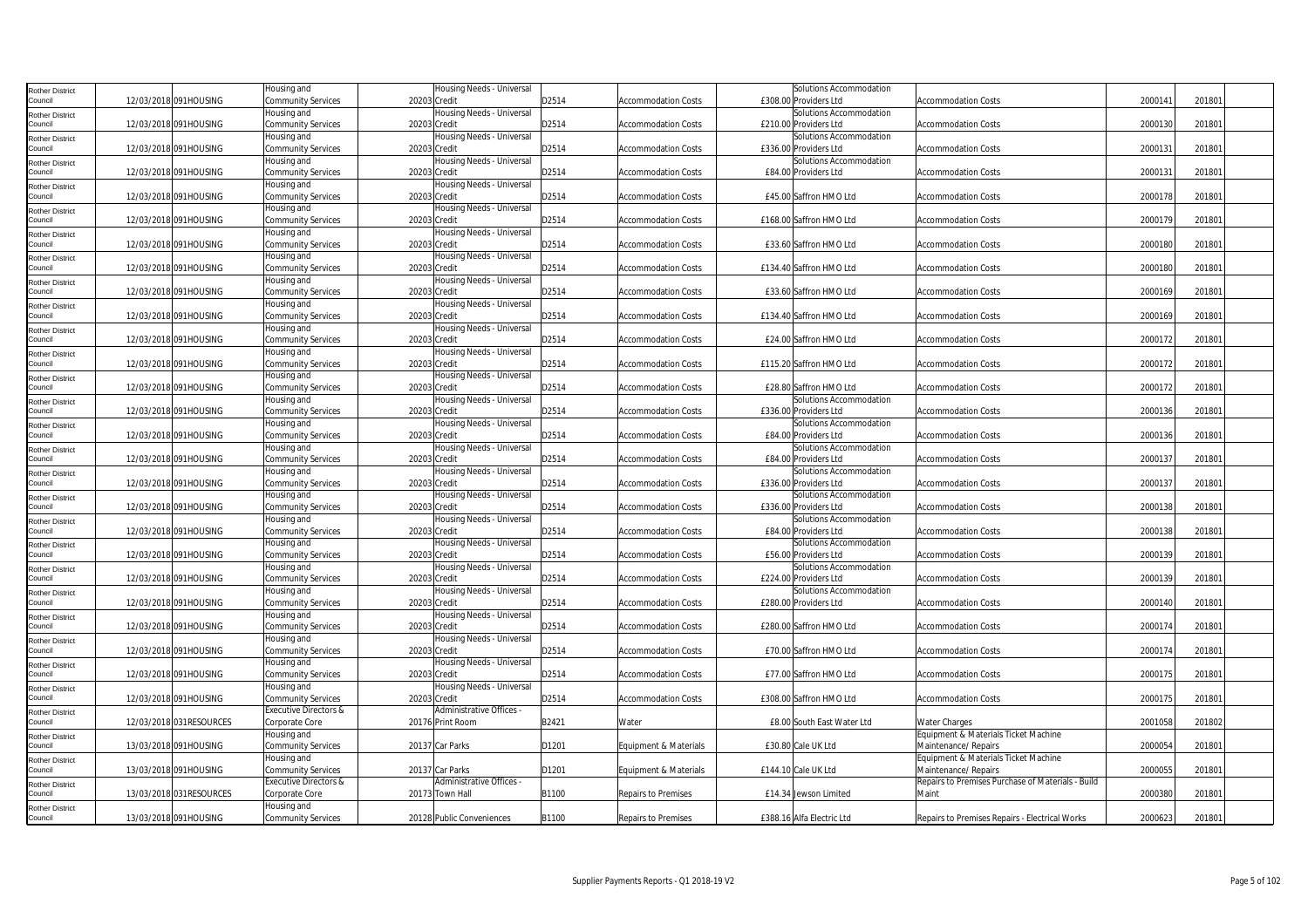| <b>Rother District</b>            |                          | Housing and               | Housing Needs - Universal                 |       |                            | Solutions Accommodation    |                                                   |         |        |  |
|-----------------------------------|--------------------------|---------------------------|-------------------------------------------|-------|----------------------------|----------------------------|---------------------------------------------------|---------|--------|--|
| Council                           | 12/03/2018 091HOUSING    | Community Services        | 20203 Credit                              | D2514 | <b>Accommodation Costs</b> | £308.00 Providers Ltd      | <b>Accommodation Costs</b>                        | 2000141 | 201801 |  |
| <b>Rother District</b>            |                          | Housing and               | Housing Needs - Universal                 |       |                            | Solutions Accommodation    |                                                   |         |        |  |
| Council                           | 12/03/2018 091HOUSING    | Community Services        | 20203 Credit                              | D2514 | <b>Accommodation Costs</b> | £210.00 Providers Ltd      | <b>Accommodation Costs</b>                        | 2000130 | 201801 |  |
| <b>Rother District</b>            |                          | Housing and               | Housing Needs - Universal                 |       |                            | Solutions Accommodation    |                                                   |         |        |  |
| Council                           | 12/03/2018 091HOUSING    | Community Services        | 20203 Credit                              | D2514 | <b>Accommodation Costs</b> | £336.00 Providers Ltd      | <b>Accommodation Costs</b>                        | 2000131 | 201801 |  |
| <b>Rother District</b>            |                          | Housing and               | Housing Needs - Universal                 |       |                            | Solutions Accommodation    |                                                   |         |        |  |
| Council                           | 12/03/2018 091HOUSING    | Community Services        | 20203 Credit                              | D2514 | <b>Accommodation Costs</b> | £84.00 Providers Ltd       | <b>Accommodation Costs</b>                        | 2000131 | 201801 |  |
| <b>Rother District</b>            |                          | Housing and               | Housing Needs - Universal                 |       |                            |                            |                                                   |         |        |  |
| Council                           | 12/03/2018 091HOUSING    | Community Services        | 20203 Credit                              | D2514 | Accommodation Costs        | £45.00 Saffron HMO Ltd     | Accommodation Costs                               | 2000178 | 201801 |  |
| <b>Rother District</b>            |                          | Housing and               | Housing Needs - Universal                 |       |                            |                            |                                                   |         |        |  |
| Council                           | 12/03/2018 091HOUSING    | Community Services        | 20203 Credit                              | D2514 | <b>Accommodation Costs</b> | £168.00 Saffron HMO Ltd    | <b>Accommodation Costs</b>                        | 2000179 | 201801 |  |
|                                   |                          | Housing and               | Housing Needs - Universal                 |       |                            |                            |                                                   |         |        |  |
| <b>Rother District</b><br>Council | 12/03/2018 091HOUSING    | Community Services        | 20203 Credit                              | D2514 | <b>Accommodation Costs</b> | £33.60 Saffron HMO Ltd     | <b>Accommodation Costs</b>                        | 2000180 | 201801 |  |
|                                   |                          | Housing and               | Housing Needs - Universal                 |       |                            |                            |                                                   |         |        |  |
| <b>Rother District</b><br>Council | 12/03/2018 091HOUSING    | Community Services        | 20203 Credit                              | D2514 | <b>Accommodation Costs</b> | £134.40 Saffron HMO Ltd    | <b>Accommodation Costs</b>                        | 2000180 | 201801 |  |
|                                   |                          | Housing and               | Housing Needs - Universal                 |       |                            |                            |                                                   |         |        |  |
| <b>Rother District</b>            |                          |                           | 20203 Credit                              |       | <b>Accommodation Costs</b> | £33.60 Saffron HMO Ltd     | <b>Accommodation Costs</b>                        | 2000169 | 201801 |  |
| Council                           | 12/03/2018 091HOUSING    | Community Services        |                                           | D2514 |                            |                            |                                                   |         |        |  |
| <b>Rother District</b>            | 12/03/2018 091HOUSING    | Housing and               | Housing Needs - Universal<br>20203 Credit | D2514 |                            | £134.40 Saffron HMO Ltd    |                                                   | 2000169 | 201801 |  |
| Council                           |                          | Community Services        |                                           |       | <b>Accommodation Costs</b> |                            | <b>Accommodation Costs</b>                        |         |        |  |
| <b>Rother District</b>            |                          | Housing and               | Housing Needs - Universal                 |       |                            |                            |                                                   |         |        |  |
| Council                           | 12/03/2018 091HOUSING    | <b>Community Services</b> | 20203 Credit                              | D2514 | <b>Accommodation Costs</b> | £24.00 Saffron HMO Ltd     | <b>Accommodation Costs</b>                        | 2000172 | 201801 |  |
| <b>Rother District</b>            |                          | Housing and               | Housing Needs - Universal                 |       |                            |                            |                                                   |         |        |  |
| Council                           | 12/03/2018 091HOUSING    | Community Services        | 20203 Credit                              | D2514 | <b>Accommodation Costs</b> | £115.20 Saffron HMO Ltd    | <b>Accommodation Costs</b>                        | 2000172 | 201801 |  |
| <b>Rother District</b>            |                          | Housing and               | Housing Needs - Universal                 |       |                            |                            |                                                   |         |        |  |
| Council                           | 12/03/2018 091HOUSING    | Community Services        | 20203 Credit                              | D2514 | <b>Accommodation Costs</b> | £28.80 Saffron HMO Ltd     | <b>Accommodation Costs</b>                        | 2000172 | 201801 |  |
| <b>Rother District</b>            |                          | Housing and               | Housing Needs - Universal                 |       |                            | Solutions Accommodation    |                                                   |         |        |  |
| Council                           | 12/03/2018 091HOUSING    | Community Services        | 20203 Credit                              | D2514 | <b>Accommodation Costs</b> | £336.00 Providers Ltd      | <b>Accommodation Costs</b>                        | 2000136 | 201801 |  |
| <b>Rother District</b>            |                          | Housing and               | Housing Needs - Universal                 |       |                            | Solutions Accommodation    |                                                   |         |        |  |
| Council                           | 12/03/2018 091HOUSING    | Community Services        | 20203 Credit                              | D2514 | <b>Accommodation Costs</b> | £84.00 Providers Ltd       | Accommodation Costs                               | 2000136 | 201801 |  |
| <b>Rother District</b>            |                          | Housing and               | Housing Needs - Universal                 |       |                            | Solutions Accommodation    |                                                   |         |        |  |
| Council                           | 12/03/2018 091HOUSING    | Community Services        | 20203 Credit                              | D2514 | <b>Accommodation Costs</b> | £84.00 Providers Ltd       | <b>Accommodation Costs</b>                        | 2000137 | 201801 |  |
| <b>Rother District</b>            |                          | Housing and               | Housing Needs - Universal                 |       |                            | Solutions Accommodation    |                                                   |         |        |  |
| Council                           | 12/03/2018 091HOUSING    | Community Services        | 20203 Credit                              | D2514 | <b>Accommodation Costs</b> | £336.00 Providers Ltd      | <b>Accommodation Costs</b>                        | 200013  | 201801 |  |
| <b>Rother District</b>            |                          | Housing and               | Housing Needs - Universal                 |       |                            | Solutions Accommodation    |                                                   |         |        |  |
| Council                           | 12/03/2018 091HOUSING    | Community Services        | 20203 Credit                              | D2514 | <b>Accommodation Costs</b> | £336.00 Providers Ltd      | <b>Accommodation Costs</b>                        | 2000138 | 201801 |  |
| <b>Rother District</b>            |                          | Housing and               | Housing Needs - Universal                 |       |                            | Solutions Accommodation    |                                                   |         |        |  |
| Council                           | 12/03/2018 091HOUSING    | Community Services        | 20203 Credit                              | D2514 | <b>Accommodation Costs</b> | £84.00 Providers Ltd       | <b>Accommodation Costs</b>                        | 2000138 | 201801 |  |
| <b>Rother District</b>            |                          | Housing and               | Housing Needs - Universal                 |       |                            | Solutions Accommodation    |                                                   |         |        |  |
| Council                           | 12/03/2018 091HOUSING    | Community Services        | 20203 Credit                              | D2514 | Accommodation Costs        | £56.00 Providers Ltd       | Accommodation Costs                               | 2000139 | 201801 |  |
| <b>Rother District</b>            |                          | Housing and               | Housing Needs - Universal                 |       |                            | Solutions Accommodation    |                                                   |         |        |  |
| Council                           | 12/03/2018 091HOUSING    | Community Services        | 20203 Credit                              | D2514 | Accommodation Costs        | £224.00 Providers Ltd      | <b>Accommodation Costs</b>                        | 2000139 | 201801 |  |
| <b>Rother District</b>            |                          | Housing and               | Housing Needs - Universal                 |       |                            | Solutions Accommodation    |                                                   |         |        |  |
| Council                           | 12/03/2018 091HOUSING    | <b>Community Services</b> | 20203 Credit                              | D2514 | <b>Accommodation Costs</b> | £280.00 Providers Ltd      | <b>Accommodation Costs</b>                        | 2000140 | 201801 |  |
| <b>Rother District</b>            |                          | Housing and               | Housing Needs - Universal                 |       |                            |                            |                                                   |         |        |  |
| Council                           | 12/03/2018 091HOUSING    | Community Services        | 20203 Credit                              | D2514 | <b>Accommodation Costs</b> | £280.00 Saffron HMO Ltd    | <b>Accommodation Costs</b>                        | 2000174 | 201801 |  |
| <b>Rother District</b>            |                          | Housing and               | Housing Needs - Universal                 |       |                            |                            |                                                   |         |        |  |
| Council                           | 12/03/2018 091HOUSING    | Community Services        | 20203 Credit                              | D2514 | <b>Accommodation Costs</b> | £70.00 Saffron HMO Ltd     | <b>Accommodation Costs</b>                        | 2000174 | 201801 |  |
| <b>Rother District</b>            |                          | Housing and               | Housing Needs - Universal                 |       |                            |                            |                                                   |         |        |  |
| Council                           | 12/03/2018 091HOUSING    | Community Services        | 20203 Credit                              | D2514 | <b>Accommodation Costs</b> | £77.00 Saffron HMO Ltd     | <b>Accommodation Costs</b>                        | 2000175 | 201801 |  |
| <b>Rother District</b>            |                          | Housing and               | Housing Needs - Universal                 |       |                            |                            |                                                   |         |        |  |
| Council                           | 12/03/2018 091HOUSING    | <b>Community Services</b> | 20203 Credit                              | D2514 | <b>Accommodation Costs</b> | £308.00 Saffron HMO Ltd    | <b>Accommodation Costs</b>                        | 2000175 | 201801 |  |
| <b>Rother District</b>            |                          | Executive Directors &     | Administrative Offices -                  |       |                            |                            |                                                   |         |        |  |
| Council                           | 12/03/2018 031RESOURCES  | Corporate Core            | 20176 Print Room                          | B2421 | Water                      | £8.00 South East Water Ltd | Water Charges                                     | 2001058 | 201802 |  |
| <b>Rother District</b>            |                          | Housing and               |                                           |       |                            |                            | Equipment & Materials Ticket Machine              |         |        |  |
| Council                           | 13/03/2018 091HOUSING    | Community Services        | 20137 Car Parks                           | D1201 | Equipment & Materials      | £30.80 Cale UK Ltd         | Maintenance/ Repairs                              | 2000054 | 201801 |  |
| <b>Rother District</b>            |                          | Housing and               |                                           |       |                            |                            | Equipment & Materials Ticket Machine              |         |        |  |
| Council                           | 13/03/2018 091HOUSING    | <b>Community Services</b> | 20137 Car Parks                           | D1201 | Equipment & Materials      | £144.10 Cale UK Ltd        | Maintenance/ Repairs                              | 2000055 | 201801 |  |
| <b>Rother District</b>            |                          | Executive Directors &     | Administrative Offices -                  |       |                            |                            | Repairs to Premises Purchase of Materials - Build |         |        |  |
| Council                           | 13/03/2018 031 RESOURCES | Corporate Core            | 20173 Town Hall                           | B1100 | Repairs to Premises        | £14.34 Jewson Limited      | Maint                                             | 2000380 | 201801 |  |
| <b>Rother District</b>            |                          | Housing and               |                                           |       |                            |                            |                                                   |         |        |  |
| Council                           | 13/03/2018 091HOUSING    | Community Services        | 20128 Public Conveniences                 | B1100 | <b>Repairs to Premises</b> | £388.16 Alfa Electric Ltd  | Repairs to Premises Repairs - Electrical Works    | 2000623 | 201801 |  |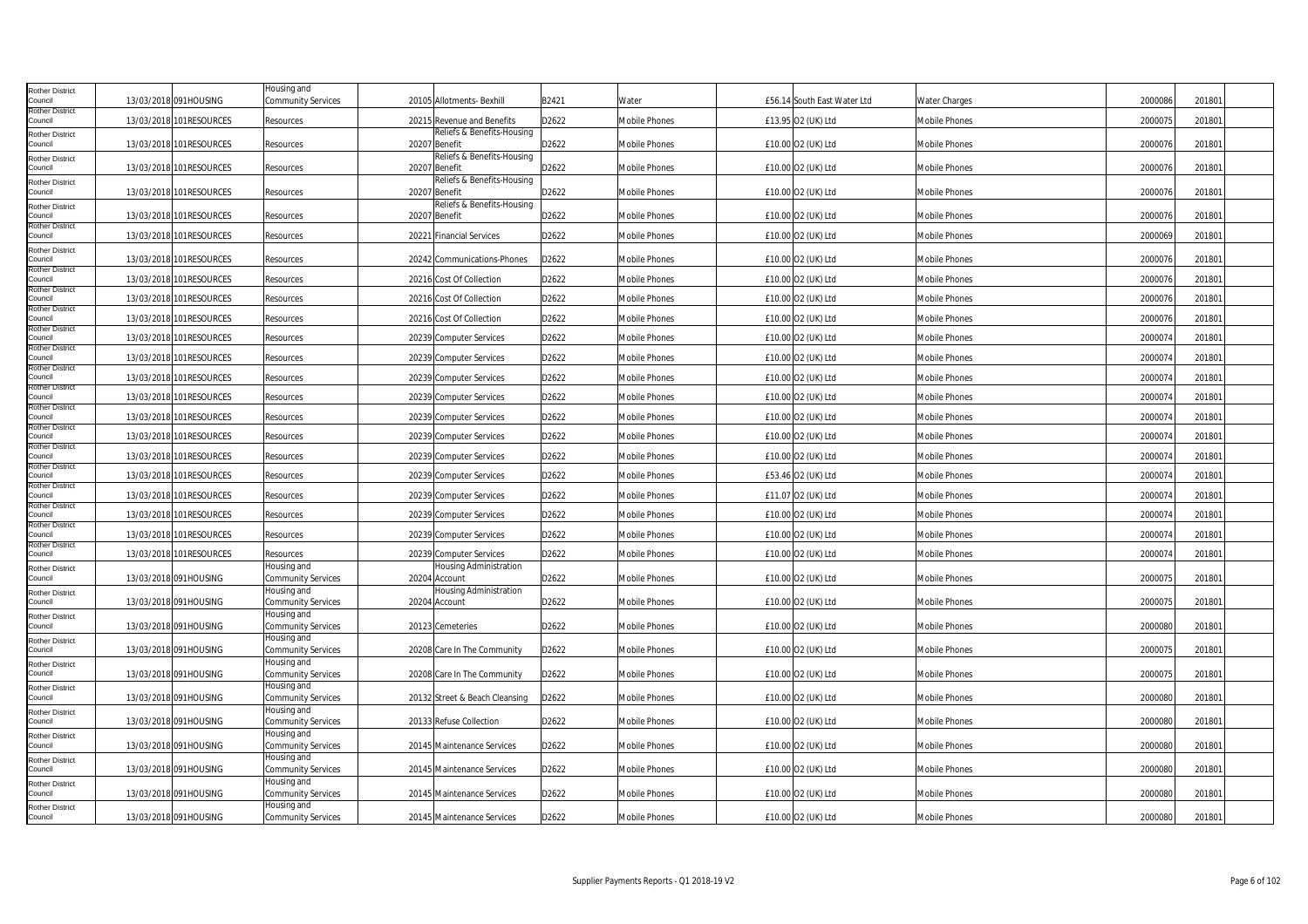| Rother District                   |                          | Housing and                              |               |                                |       |                      |                             |                      |         |        |  |
|-----------------------------------|--------------------------|------------------------------------------|---------------|--------------------------------|-------|----------------------|-----------------------------|----------------------|---------|--------|--|
| Council<br>Rother District        | 13/03/2018 091HOUSING    | Community Services                       |               | 20105 Allotments- Bexhill      | B2421 | Water                | £56.14 South East Water Ltd | <b>Water Charges</b> | 2000086 | 201801 |  |
| Council                           | 13/03/2018 101RESOURCES  | Resources                                |               | 20215 Revenue and Benefits     | D2622 | <b>Mobile Phones</b> | £13.95 O2 (UK) Ltd          | Mobile Phones        | 2000075 | 201801 |  |
| Rother District<br>Council        | 13/03/2018 101RESOURCES  | Resources                                | 20207 Benefit | Reliefs & Benefits-Housing     | D2622 | Mobile Phones        | £10.00 O2 (UK) Ltd          | Mobile Phones        | 200007  | 201801 |  |
| <b>Rother District</b>            |                          |                                          |               | Reliefs & Benefits-Housing     |       |                      |                             |                      |         |        |  |
| Council                           | 13/03/2018 101RESOURCES  | Resources                                | 20207 Benefit |                                | D2622 | Mobile Phones        | £10.00 O2 (UK) Ltd          | Mobile Phones        | 2000076 | 201801 |  |
| Rother District<br>Council        | 13/03/2018 101 RESOURCES | Resources                                | 20207 Benefit | Reliefs & Benefits-Housing     | D2622 | Mobile Phones        | £10.00 O2 (UK) Ltd          | Mobile Phones        | 2000076 | 201801 |  |
| Rother District                   |                          |                                          |               | Reliefs & Benefits-Housing     |       |                      |                             |                      |         |        |  |
| Council<br>Rother District        | 13/03/2018 101 RESOURCES | Resources                                | 20207 Benefit |                                | D2622 | Mobile Phones        | £10.00 O2 (UK) Ltd          | Mobile Phones        | 2000076 | 201801 |  |
| Council                           | 13/03/2018 101 RESOURCES | Resources                                |               | 20221 Financial Services       | D2622 | Mobile Phones        | £10.00 O2 (UK) Ltd          | Mobile Phones        | 2000069 | 201801 |  |
| Rother District<br>Council        | 13/03/2018 101RESOURCES  | Resources                                |               | 20242 Communications-Phones    | D2622 | <b>Mobile Phones</b> | £10.00 O2 (UK) Ltd          | Mobile Phones        | 2000076 | 201801 |  |
| <b>Rother District</b><br>Council | 13/03/2018 101RESOURCES  | Resources                                |               | 20216 Cost Of Collection       | D2622 | Mobile Phones        | £10.00 O2 (UK) Ltd          | Mobile Phones        | 2000076 | 201801 |  |
| Rother District<br>Council        | 13/03/2018 101RESOURCES  | Resources                                |               | 20216 Cost Of Collection       | D2622 | <b>Mobile Phones</b> | £10.00 O2 (UK) Ltd          | <b>Mobile Phones</b> | 2000076 | 201801 |  |
| Rother District                   |                          |                                          |               |                                |       |                      |                             |                      |         |        |  |
| Council<br>Rother District        | 13/03/2018 101 RESOURCES | Resources                                |               | 20216 Cost Of Collection       | D2622 | <b>Mobile Phones</b> | £10.00 O2 (UK) Ltd          | <b>Mobile Phones</b> | 2000076 | 201801 |  |
| Council<br>Rother District        | 13/03/2018 101 RESOURCES | Resources                                |               | 20239 Computer Services        | D2622 | Mobile Phones        | £10.00 O2 (UK) Ltd          | <b>Mobile Phones</b> | 2000074 | 201801 |  |
| Council                           | 13/03/2018 101 RESOURCES | Resources                                |               | 20239 Computer Services        | D2622 | Mobile Phones        | £10.00 O2 (UK) Ltd          | Mobile Phones        | 2000074 | 201801 |  |
| Rother District<br>Council        | 13/03/2018 101 RESOURCES | Resources                                |               | 20239 Computer Services        | D2622 | Mobile Phones        | £10.00 O2 (UK) Ltd          | Mobile Phones        | 2000074 | 201801 |  |
| Rother District<br>Council        | 13/03/2018 101RESOURCES  | Resources                                |               | 20239 Computer Services        | D2622 | Mobile Phones        | £10.00 O2 (UK) Ltd          | Mobile Phones        | 2000074 | 201801 |  |
| Rother District<br>Council        | 13/03/2018 101RESOURCES  | Resources                                |               | 20239 Computer Services        | D2622 | Mobile Phones        | £10.00 O2 (UK) Ltd          | Mobile Phones        | 2000074 | 201801 |  |
| Rother District<br>Council        |                          |                                          |               |                                |       |                      |                             |                      |         |        |  |
| Rother District                   | 13/03/2018 101RESOURCES  | Resources                                |               | 20239 Computer Services        | D2622 | Mobile Phones        | £10.00 O2 (UK) Ltd          | Mobile Phones        | 2000074 | 201801 |  |
| Council<br>Rother District        | 13/03/2018 101RESOURCES  | Resources                                |               | 20239 Computer Services        | D2622 | <b>Mobile Phones</b> | £10.00 O2 (UK) Ltd          | Mobile Phones        | 2000074 | 201801 |  |
| Council<br>Rother District        | 13/03/2018 101RESOURCES  | Resources                                |               | 20239 Computer Services        | D2622 | <b>Mobile Phones</b> | £53.46 O2 (UK) Ltd          | Mobile Phones        | 2000074 | 201801 |  |
| Council                           | 13/03/2018 101RESOURCES  | Resources                                |               | 20239 Computer Services        | D2622 | Mobile Phones        | £11.07 O2 (UK) Ltd          | Mobile Phones        | 2000074 | 201801 |  |
| Rother District<br>Council        | 13/03/2018 101 RESOURCES | Resources                                |               | 20239 Computer Services        | D2622 | Mobile Phones        | £10.00 O2 (UK) Ltd          | Mobile Phones        | 2000074 | 201801 |  |
| Rother District<br>Council        | 13/03/2018 101 RESOURCES | Resources                                |               | 20239 Computer Services        | D2622 | Mobile Phones        | £10.00 O2 (UK) Ltd          | Mobile Phones        | 2000074 | 201801 |  |
| Rother District<br>Council        | 13/03/2018 101 RESOURCES | Resources                                |               | 20239 Computer Services        | D2622 | Mobile Phones        | £10.00 O2 (UK) Ltd          | Mobile Phones        | 2000074 | 201801 |  |
| Rother District                   |                          | Housing and                              |               | Housing Administration         |       |                      |                             |                      |         |        |  |
| Council                           | 13/03/2018 091HOUSING    | Community Services<br>Housing and        | 20204 Account | Housing Administration         | D2622 | <b>Mobile Phones</b> | £10.00 O2 (UK) Ltd          | <b>Mobile Phones</b> | 2000075 | 201801 |  |
| Rother District<br>Council        | 13/03/2018 091HOUSING    | Community Services                       | 20204 Account |                                | D2622 | Mobile Phones        | £10.00 O2 (UK) Ltd          | Mobile Phones        | 200007  | 201801 |  |
| Rother District<br>Council        | 13/03/2018 091HOUSING    | Housing and<br><b>Community Services</b> |               | 20123 Cemeteries               | D2622 | Mobile Phones        | £10.00 O2 (UK) Ltd          | Mobile Phones        | 2000080 | 201801 |  |
| Rother District                   |                          | Housing and                              |               |                                |       |                      |                             |                      |         |        |  |
| Council                           | 13/03/2018 091HOUSING    | <b>Community Services</b>                |               | 20208 Care In The Community    | D2622 | Mobile Phones        | £10.00 O2 (UK) Ltd          | <b>Mobile Phones</b> | 2000075 | 201801 |  |
| Rother District<br>Council        | 13/03/2018 091HOUSING    | Housing and<br>Community Services        |               | 20208 Care In The Community    | D2622 | Mobile Phones        | £10.00 O2 (UK) Ltd          | Mobile Phones        | 2000075 | 201801 |  |
| Rother District                   |                          | Housing and                              |               |                                |       |                      |                             |                      |         |        |  |
| Council                           | 13/03/2018 091HOUSING    | Community Services<br>Housing and        |               | 20132 Street & Beach Cleansing | D2622 | Mobile Phones        | £10.00 O2 (UK) Ltd          | Mobile Phones        | 2000080 | 201801 |  |
| Rother District<br>Council        | 13/03/2018 091HOUSING    | Community Services                       |               | 20133 Refuse Collection        | D2622 | Mobile Phones        | £10.00 O2 (UK) Ltd          | <b>Mobile Phones</b> | 2000080 | 201801 |  |
| Rother District<br>Council        | 13/03/2018 091HOUSING    | Housing and<br>Community Services        |               | 20145 Maintenance Services     | D2622 | <b>Mobile Phones</b> | £10.00 O2 (UK) Ltd          | <b>Mobile Phones</b> | 2000080 | 201801 |  |
| Rother District                   |                          | Housing and                              |               |                                |       |                      |                             |                      |         |        |  |
| Council                           | 13/03/2018 091HOUSING    | Community Services                       |               | 20145 Maintenance Services     | D2622 | Mobile Phones        | £10.00 O2 (UK) Ltd          | Mobile Phones        | 2000080 | 201801 |  |
| Rother District<br>Council        | 13/03/2018 091HOUSING    | Housing and<br>Community Services        |               | 20145 Maintenance Services     | D2622 | Mobile Phones        | £10.00 O2 (UK) Ltd          | Mobile Phones        | 2000080 | 201801 |  |
| Rother District                   |                          | Housing and                              |               |                                |       |                      |                             |                      |         |        |  |
| Council                           | 13/03/2018 091HOUSING    | <b>Community Services</b>                |               | 20145 Maintenance Services     | D2622 | Mobile Phones        | £10.00 O2 (UK) Ltd          | <b>Mobile Phones</b> | 2000080 | 201801 |  |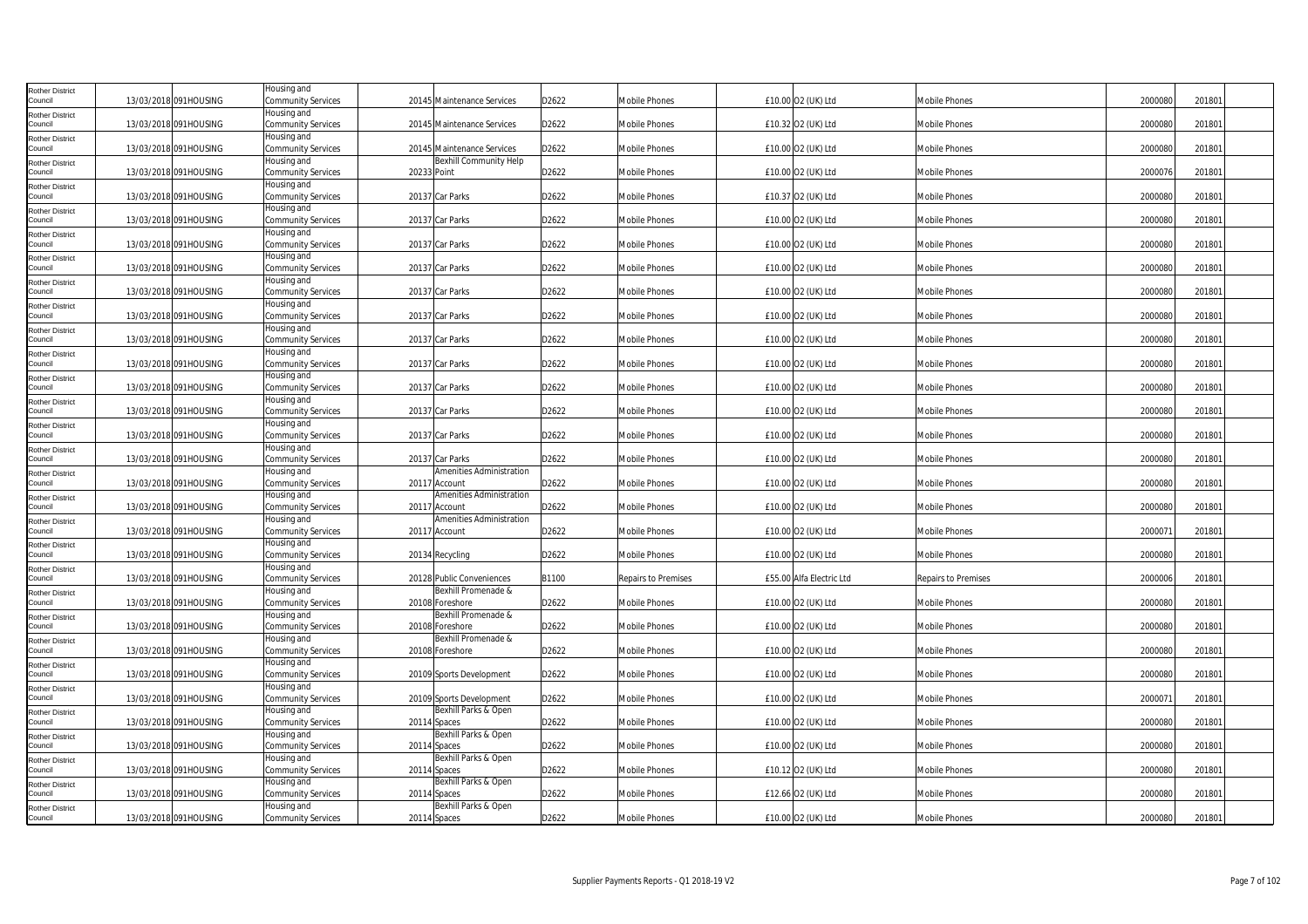| <b>Rother District</b>            |                       | Housing and                       |                                                  |       |                      |                          |                      |         |        |
|-----------------------------------|-----------------------|-----------------------------------|--------------------------------------------------|-------|----------------------|--------------------------|----------------------|---------|--------|
| Council                           | 13/03/2018 091HOUSING | Community Services                | 20145 Maintenance Services                       | D2622 | Mobile Phones        | £10.00 O2 (UK) Ltd       | Mobile Phones        | 2000080 | 201801 |
| <b>Rother District</b><br>Council | 13/03/2018 091HOUSING | Housing and<br>Community Services | 20145 Maintenance Services                       | D2622 | Mobile Phones        | £10.32 O2 (UK) Ltd       | Mobile Phones        | 2000080 | 201801 |
| <b>Rother District</b>            |                       | Housing and                       |                                                  |       |                      |                          |                      |         |        |
| Council                           | 13/03/2018 091HOUSING | <b>Community Services</b>         | 20145 Maintenance Services                       | D2622 | <b>Mobile Phones</b> | £10.00 O2 (UK) Ltd       | Mobile Phones        | 2000080 | 201801 |
| <b>Rother District</b><br>Council | 13/03/2018 091HOUSING | Housing and<br>Community Services | <b>Bexhill Community Help</b><br>20233 Point     | D2622 | Mobile Phones        | £10.00 O2 (UK) Ltd       | Mobile Phones        | 2000076 | 201801 |
| <b>Rother District</b>            |                       | Housing and                       |                                                  |       |                      |                          |                      |         |        |
| Council                           | 13/03/2018 091HOUSING | Community Services                | 20137 Car Parks                                  | D2622 | Mobile Phones        | £10.37 O2 (UK) Ltd       | Mobile Phones        | 2000080 | 201801 |
| <b>Rother District</b><br>Council | 13/03/2018 091HOUSING | Housing and<br>Community Services | 20137 Car Parks                                  | D2622 | <b>Mobile Phones</b> |                          | Mobile Phones        | 2000080 | 201801 |
| <b>Rother District</b>            |                       | Housing and                       |                                                  |       |                      | £10.00 O2 (UK) Ltd       |                      |         |        |
| Council                           | 13/03/2018 091HOUSING | Community Services                | 20137 Car Parks                                  | D2622 | Mobile Phones        | £10.00 O2 (UK) Ltd       | Mobile Phones        | 2000080 | 201801 |
| <b>Rother District</b><br>Council |                       | Housing and                       |                                                  |       |                      |                          |                      |         |        |
| <b>Rother District</b>            | 13/03/2018 091HOUSING | Community Services<br>Housing and | 20137 Car Parks                                  | D2622 | <b>Mobile Phones</b> | £10.00 O2 (UK) Ltd       | <b>Mobile Phones</b> | 2000080 | 201801 |
| Council                           | 13/03/2018 091HOUSING | <b>Community Services</b>         | 20137 Car Parks                                  | D2622 | <b>Mobile Phones</b> | £10.00 O2 (UK) Ltd       | Mobile Phones        | 2000080 | 201801 |
| <b>Rother District</b>            |                       | Housing and                       |                                                  |       |                      |                          |                      |         |        |
| Council<br><b>Rother District</b> | 13/03/2018 091HOUSING | Community Services<br>Housing and | 20137 Car Parks                                  | D2622 | Mobile Phones        | £10.00 O2 (UK) Ltd       | Mobile Phones        | 2000080 | 201801 |
| Council                           | 13/03/2018 091HOUSING | Community Services                | 20137 Car Parks                                  | D2622 | <b>Mobile Phones</b> | £10.00 O2 (UK) Ltd       | Mobile Phones        | 2000080 | 201801 |
| <b>Rother District</b>            |                       | Housing and                       |                                                  |       |                      |                          |                      |         |        |
| Council<br><b>Rother District</b> | 13/03/2018 091HOUSING | Community Services<br>Housing and | 20137 Car Parks                                  | D2622 | <b>Mobile Phones</b> | £10.00 O2 (UK) Ltd       | <b>Mobile Phones</b> | 200008  | 201801 |
| Council                           | 13/03/2018 091HOUSING | Community Services                | 20137 Car Parks                                  | D2622 | Mobile Phones        | £10.00 O2 (UK) Ltd       | Mobile Phones        | 2000080 | 201801 |
| <b>Rother District</b>            |                       | Housing and                       |                                                  |       |                      |                          |                      |         |        |
| Council                           | 13/03/2018 091HOUSING | Community Services<br>Housing and | 20137 Car Parks                                  | D2622 | <b>Mobile Phones</b> | £10.00 O2 (UK) Ltd       | Mobile Phones        | 2000080 | 201801 |
| Rother District<br>Council        | 13/03/2018 091HOUSING | Community Services                | 20137 Car Parks                                  | D2622 | Mobile Phones        | £10.00 O2 (UK) Ltd       | Mobile Phones        | 2000080 | 201801 |
| <b>Rother District</b>            |                       | Housing and                       |                                                  |       |                      |                          |                      |         |        |
| Council                           | 13/03/2018 091HOUSING | Community Services<br>Housing and | 20137 Car Parks<br>Amenities Administration      | D2622 | Mobile Phones        | £10.00 O2 (UK) Ltd       | Mobile Phones        | 2000080 | 201801 |
| <b>Rother District</b><br>Council | 13/03/2018 091HOUSING | Community Services                | 20117 Account                                    | D2622 | Mobile Phones        | £10.00 O2 (UK) Ltd       | Mobile Phones        | 2000080 | 201801 |
| <b>Rother District</b>            |                       | Housing and                       | Amenities Administration                         |       |                      |                          |                      |         |        |
| Council                           | 13/03/2018 091HOUSING | Community Services<br>Housing and | 20117 Account<br>Amenities Administration        | D2622 | Mobile Phones        | £10.00 O2 (UK) Ltd       | Mobile Phones        | 2000080 | 201801 |
| <b>Rother District</b><br>Council | 13/03/2018 091HOUSING | Community Services                | 20117 Account                                    | D2622 | <b>Mobile Phones</b> | £10.00 O2 (UK) Ltd       | <b>Mobile Phones</b> | 200007  | 201801 |
| <b>Rother District</b>            |                       | Housing and                       |                                                  |       |                      |                          |                      |         |        |
| Council                           | 13/03/2018 091HOUSING | Community Services<br>Housing and | 20134 Recycling                                  | D2622 | Mobile Phones        | £10.00 O2 (UK) Ltd       | Mobile Phones        | 2000080 | 201801 |
| <b>Rother District</b><br>Council | 13/03/2018 091HOUSING | Community Services                | 20128 Public Conveniences                        | B1100 | Repairs to Premises  | £55.00 Alfa Electric Ltd | Repairs to Premises  | 2000006 | 201801 |
| <b>Rother District</b>            |                       | Housing and                       | Bexhill Promenade &                              |       |                      |                          |                      |         |        |
| Council                           | 13/03/2018 091HOUSING | Community Services<br>Housing and | 20108 Foreshore<br>Bexhill Promenade &           | D2622 | <b>Mobile Phones</b> | £10.00 O2 (UK) Ltd       | <b>Mobile Phones</b> | 2000080 | 201801 |
| <b>Rother District</b><br>Council | 13/03/2018 091HOUSING | Community Services                | 20108 Foreshore                                  | D2622 | <b>Mobile Phones</b> | £10.00 O2 (UK) Ltd       | Mobile Phones        | 2000080 | 201801 |
| <b>Rother District</b>            |                       | Housing and                       | Bexhill Promenade &                              |       |                      |                          |                      |         |        |
| Council                           | 13/03/2018 091HOUSING | Community Services                | 20108 Foreshore                                  | D2622 | Mobile Phones        | £10.00 O2 (UK) Ltd       | Mobile Phones        | 2000080 | 201801 |
| <b>Rother District</b><br>Council | 13/03/2018 091HOUSING | Housing and<br>Community Services | 20109 Sports Development                         | D2622 | Mobile Phones        | £10.00 O2 (UK) Ltd       | Mobile Phones        | 2000080 | 201801 |
| <b>Rother District</b>            |                       | Housing and                       |                                                  |       |                      |                          |                      |         |        |
| Council                           | 13/03/2018 091HOUSING | Community Services<br>Housing and | 20109 Sports Development<br>Bexhill Parks & Open | D2622 | Mobile Phones        | £10.00 O2 (UK) Ltd       | <b>Mobile Phones</b> | 200007  | 201801 |
| <b>Rother District</b><br>Council | 13/03/2018 091HOUSING | Community Services                | 20114 Spaces                                     | D2622 | Mobile Phones        | £10.00 O2 (UK) Ltd       | Mobile Phones        | 2000080 | 201801 |
| <b>Rother District</b>            |                       | Housing and                       | Bexhill Parks & Open                             |       |                      |                          |                      |         |        |
| Council                           | 13/03/2018 091HOUSING | Community Services                | 20114 Spaces                                     | D2622 | Mobile Phones        | £10.00 O2 (UK) Ltd       | Mobile Phones        | 2000080 | 201801 |
| <b>Rother District</b><br>Council | 13/03/2018 091HOUSING | Housing and<br>Community Services | Bexhill Parks & Open<br>20114 Spaces             | D2622 | Mobile Phones        | £10.12 O2 (UK) Ltd       | Mobile Phones        | 2000080 | 201801 |
| <b>Rother District</b>            |                       | Housing and                       | Bexhill Parks & Open                             |       |                      |                          |                      |         |        |
| Council                           | 13/03/2018 091HOUSING | Community Services                | 20114 Spaces                                     | D2622 | Mobile Phones        | £12.66 O2 (UK) Ltd       | Mobile Phones        | 2000080 | 201801 |
| <b>Rother District</b><br>Council | 13/03/2018 091HOUSING | Housing and<br>Community Services | Bexhill Parks & Open<br>20114 Spaces             | D2622 | <b>Mobile Phones</b> | £10.00 O2 (UK) Ltd       | Mobile Phones        | 2000080 | 201801 |
|                                   |                       |                                   |                                                  |       |                      |                          |                      |         |        |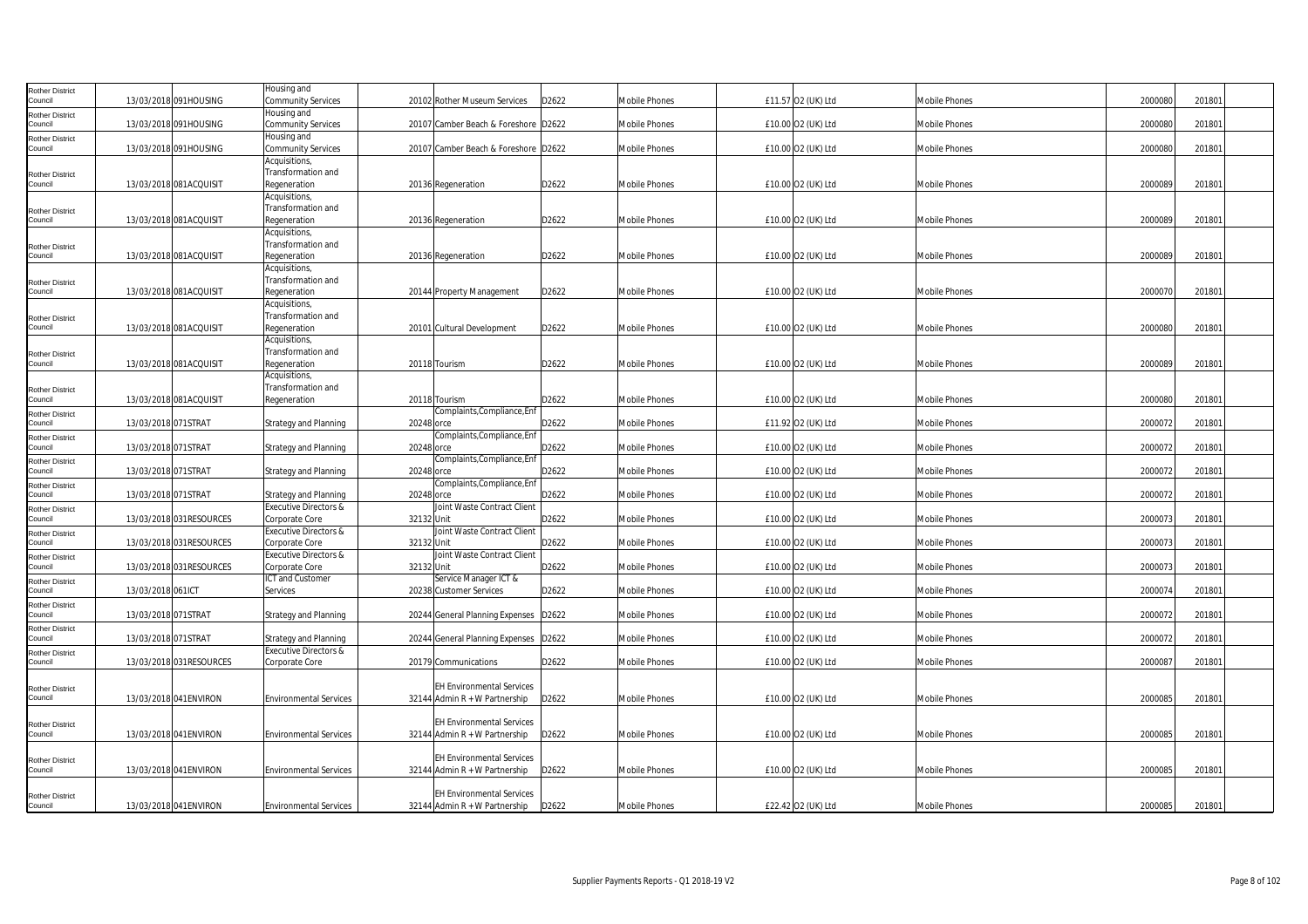| Rother District                   |                          | Housing and                                        |            |                                                                     |       |                      |                    |                      |         |        |  |
|-----------------------------------|--------------------------|----------------------------------------------------|------------|---------------------------------------------------------------------|-------|----------------------|--------------------|----------------------|---------|--------|--|
| Council                           | 13/03/2018 091HOUSING    | <b>Community Services</b>                          |            | 20102 Rother Museum Services                                        | D2622 | <b>Mobile Phones</b> | £11.57 O2 (UK) Ltd | <b>Mobile Phones</b> | 2000080 | 201801 |  |
| Rother District<br>Council        | 13/03/2018 091HOUSING    | Housing and<br><b>Community Services</b>           |            | 20107 Camber Beach & Foreshore D2622                                |       | <b>Mobile Phones</b> | £10.00 O2 (UK) Ltd | Mobile Phones        | 200008  | 201801 |  |
| Rother District                   |                          | Housing and                                        |            |                                                                     |       |                      |                    |                      |         |        |  |
| Council                           | 13/03/2018 091HOUSING    | Community Services                                 |            | 20107 Camber Beach & Foreshore D2622                                |       | Mobile Phones        | £10.00 O2 (UK) Ltd | Mobile Phones        | 2000080 | 201801 |  |
|                                   |                          | Acquisitions,                                      |            |                                                                     |       |                      |                    |                      |         |        |  |
| <b>Rother District</b><br>Council | 13/03/2018 081ACQUISIT   | Transformation and<br>Regeneration                 |            | 20136 Regeneration                                                  | D2622 | Mobile Phones        | £10.00 O2 (UK) Ltd | Mobile Phones        | 2000089 | 201801 |  |
|                                   |                          | Acquisitions,                                      |            |                                                                     |       |                      |                    |                      |         |        |  |
| Rother District                   |                          | Transformation and                                 |            |                                                                     |       |                      |                    |                      |         |        |  |
| Council                           | 13/03/2018 081ACQUISIT   | Regeneration                                       |            | 20136 Regeneration                                                  | D2622 | Mobile Phones        | £10.00 O2 (UK) Ltd | Mobile Phones        | 2000089 | 201801 |  |
|                                   |                          | Acquisitions,                                      |            |                                                                     |       |                      |                    |                      |         |        |  |
| Rother District                   | 13/03/2018 081ACQUISIT   | Transformation and                                 |            |                                                                     | D2622 |                      |                    |                      | 2000089 |        |  |
| Council                           |                          | Regeneration<br>Acquisitions,                      |            | 20136 Regeneration                                                  |       | Mobile Phones        | £10.00 O2 (UK) Ltd | Mobile Phones        |         | 201801 |  |
| <b>Rother District</b>            |                          | Transformation and                                 |            |                                                                     |       |                      |                    |                      |         |        |  |
| Council                           | 13/03/2018 081ACQUISIT   | Regeneration                                       |            | 20144 Property Management                                           | D2622 | <b>Mobile Phones</b> | £10.00 O2 (UK) Ltd | <b>Mobile Phones</b> | 2000070 | 201801 |  |
|                                   |                          | Acquisitions,                                      |            |                                                                     |       |                      |                    |                      |         |        |  |
| <b>Rother District</b>            |                          | Transformation and                                 |            |                                                                     |       |                      |                    |                      |         |        |  |
| Council                           | 13/03/2018 081ACQUISIT   | Regeneration<br>Acquisitions,                      |            | 20101 Cultural Development                                          | D2622 | <b>Mobile Phones</b> | £10.00 O2 (UK) Ltd | <b>Mobile Phones</b> | 2000080 | 201801 |  |
| Rother District                   |                          | Transformation and                                 |            |                                                                     |       |                      |                    |                      |         |        |  |
| Council                           | 13/03/2018 081ACQUISIT   | Regeneration                                       |            | 20118 Tourism                                                       | D2622 | Mobile Phones        | £10.00 O2 (UK) Ltd | Mobile Phones        | 2000089 | 201801 |  |
|                                   |                          | Acquisitions,                                      |            |                                                                     |       |                      |                    |                      |         |        |  |
| Rother District                   |                          | Transformation and                                 |            |                                                                     |       |                      |                    |                      |         |        |  |
| Council                           | 13/03/2018 081ACQUISIT   | Regeneration                                       |            | 20118 Tourism<br>Complaints, Compliance, Enf                        | D2622 | Mobile Phones        | £10.00 O2 (UK) Ltd | Mobile Phones        | 2000080 | 201801 |  |
| Rother District<br>Council        | 13/03/2018 071STRAT      | <b>Strategy and Planning</b>                       | 20248 orce |                                                                     | D2622 | Mobile Phones        | £11.92 O2 (UK) Ltd | Mobile Phones        | 2000072 | 201801 |  |
| Rother District                   |                          |                                                    |            | Complaints, Compliance, Enf                                         |       |                      |                    |                      |         |        |  |
| Council                           | 13/03/2018 071STRAT      | <b>Strategy and Planning</b>                       | 20248 orce |                                                                     | D2622 | Mobile Phones        | £10.00 O2 (UK) Ltd | Mobile Phones        | 200007  | 201801 |  |
| Rother District                   |                          |                                                    |            | Complaints, Compliance, Enf                                         |       |                      |                    |                      |         |        |  |
| Council                           | 13/03/2018 071STRAT      | <b>Strategy and Planning</b>                       | 20248 orce | Complaints, Compliance, Enf                                         | D2622 | Mobile Phones        | £10.00 O2 (UK) Ltd | Mobile Phones        | 2000072 | 201801 |  |
| Rother District<br>Council        | 13/03/2018 071STRAT      | <b>Strategy and Planning</b>                       | 20248 orce |                                                                     | D2622 | Mobile Phones        | £10.00 O2 (UK) Ltd | Mobile Phones        | 200007  | 20180  |  |
| <b>Rother District</b>            |                          | Executive Directors &                              |            | Joint Waste Contract Client                                         |       |                      |                    |                      |         |        |  |
| Council                           | 13/03/2018 031RESOURCES  | Corporate Core                                     | 32132 Unit |                                                                     | D2622 | <b>Mobile Phones</b> | £10.00 O2 (UK) Ltd | <b>Mobile Phones</b> | 2000073 | 201801 |  |
| Rother District                   |                          | Executive Directors &                              |            | Joint Waste Contract Client                                         |       |                      |                    |                      |         |        |  |
| Council                           | 13/03/2018 031RESOURCES  | Corporate Core<br><b>Executive Directors &amp;</b> | 32132 Unit | Joint Waste Contract Client                                         | D2622 | Mobile Phones        | £10.00 O2 (UK) Ltd | <b>Mobile Phones</b> | 2000073 | 201801 |  |
| Rother District<br>Council        | 13/03/2018 031RESOURCES  | Corporate Core                                     | 32132 Unit |                                                                     | D2622 | Mobile Phones        | £10.00 O2 (UK) Ltd | Mobile Phones        | 2000073 | 201801 |  |
| Rother District                   |                          | ICT and Customer                                   |            | Service Manager ICT &                                               |       |                      |                    |                      |         |        |  |
| Council                           | 13/03/2018 061ICT        | Services                                           |            | 20238 Customer Services                                             | D2622 | Mobile Phones        | £10.00 O2 (UK) Ltd | Mobile Phones        | 2000074 | 201801 |  |
| Rother District                   |                          |                                                    |            |                                                                     |       |                      |                    |                      |         |        |  |
| Council                           | 13/03/2018 071STRAT      | <b>Strategy and Planning</b>                       |            | 20244 General Planning Expenses D2622                               |       | Mobile Phones        | £10.00 O2 (UK) Ltd | Mobile Phones        | 2000072 | 201801 |  |
| Rother District<br>Council        | 13/03/2018 071STRAT      | <b>Strategy and Planning</b>                       |            | 20244 General Planning Expenses D2622                               |       | Mobile Phones        | £10.00 O2 (UK) Ltd | Mobile Phones        | 2000072 | 201801 |  |
| Rother District                   |                          | <b>Executive Directors &amp;</b>                   |            |                                                                     |       |                      |                    |                      |         |        |  |
| Council                           | 13/03/2018 031 RESOURCES | Corporate Core                                     |            | 20179 Communications                                                | D2622 | Mobile Phones        | £10.00 O2 (UK) Ltd | Mobile Phones        | 2000087 | 201801 |  |
|                                   |                          |                                                    |            |                                                                     |       |                      |                    |                      |         |        |  |
| <b>Rother District</b>            | 13/03/2018 041 ENVIRON   | <b>Environmental Services</b>                      |            | <b>EH Environmental Services</b><br>$32144$ Admin R + W Partnership | D2622 | Mobile Phones        | £10.00 O2 (UK) Ltd | Mobile Phones        | 2000085 | 201801 |  |
| Council                           |                          |                                                    |            |                                                                     |       |                      |                    |                      |         |        |  |
| Rother District                   |                          |                                                    |            | <b>EH Environmental Services</b>                                    |       |                      |                    |                      |         |        |  |
| Council                           | 13/03/2018 041 ENVIRON   | <b>Environmental Services</b>                      |            | 32144 Admin $R + W$ Partnership                                     | D2622 | Mobile Phones        | £10.00 O2 (UK) Ltd | Mobile Phones        | 2000085 | 201801 |  |
|                                   |                          |                                                    |            |                                                                     |       |                      |                    |                      |         |        |  |
| Rother District<br>Council        | 13/03/2018 041 ENVIRON   | <b>Environmental Services</b>                      |            | <b>EH Environmental Services</b><br>32144 Admin $R + W$ Partnership | D2622 | <b>Mobile Phones</b> | £10.00 O2 (UK) Ltd | <b>Mobile Phones</b> | 200008  | 201801 |  |
|                                   |                          |                                                    |            |                                                                     |       |                      |                    |                      |         |        |  |
| <b>Rother District</b>            |                          |                                                    |            | <b>EH Environmental Services</b>                                    |       |                      |                    |                      |         |        |  |
| Council                           | 13/03/2018 041 ENVIRON   | <b>Environmental Services</b>                      |            | 32144 Admin R + W Partnership                                       | D2622 | Mobile Phones        | £22.42 O2 (UK) Ltd | Mobile Phones        | 2000085 | 201801 |  |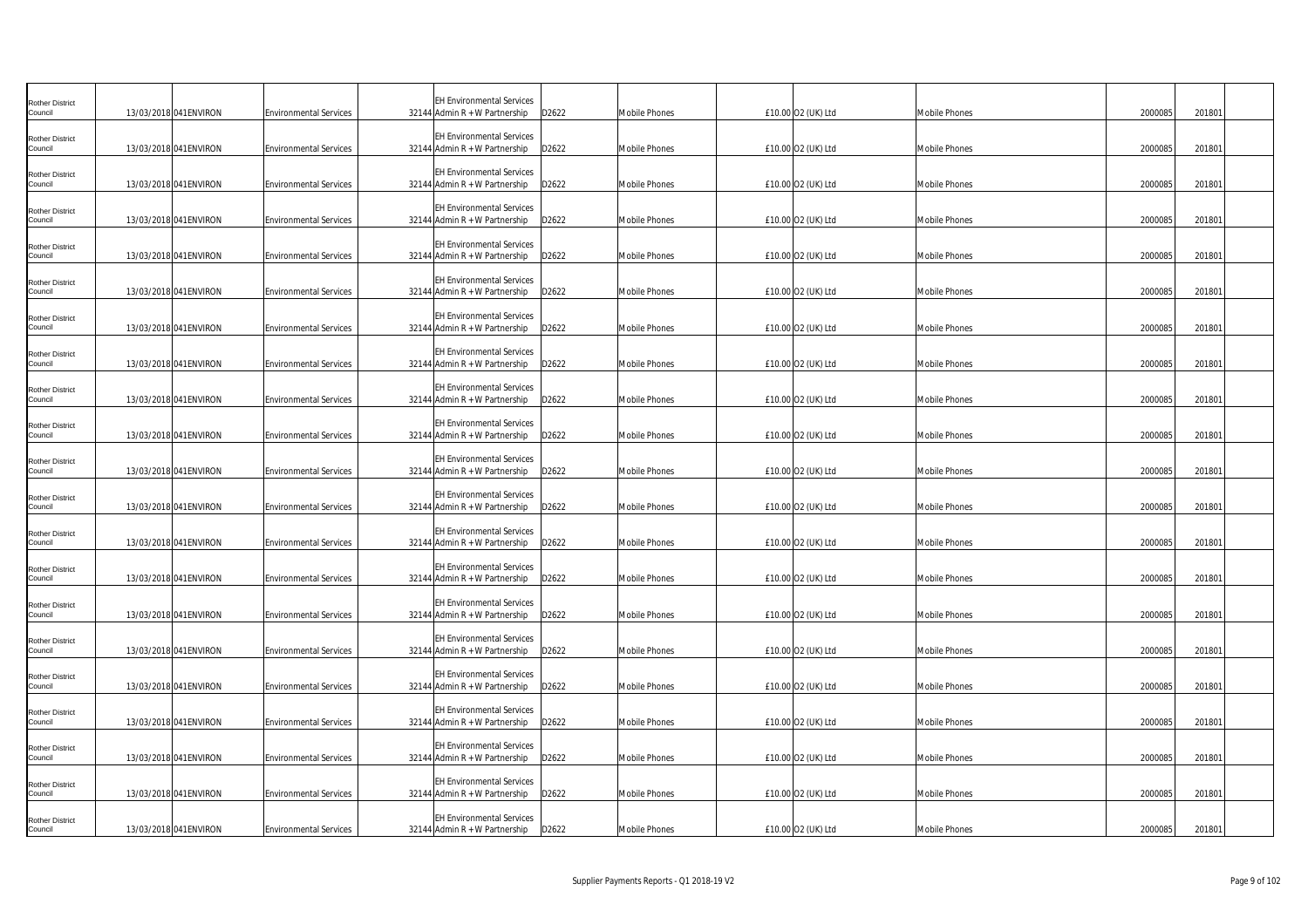| <b>Rother District</b><br>Council | 13/03/2018 041 ENVIRON | <b>Environmental Services</b> | <b>EH Environmental Services</b><br>32144 Admin R + W Partnership<br>D2622   | <b>Mobile Phones</b> | £10.00 O2 (UK) Ltd | <b>Mobile Phones</b> | 2000085<br>201801 |
|-----------------------------------|------------------------|-------------------------------|------------------------------------------------------------------------------|----------------------|--------------------|----------------------|-------------------|
| Rother District<br>Council        | 13/03/2018 041 ENVIRON | <b>Environmental Services</b> | <b>EH Environmental Services</b><br>32144 Admin $R + W$ Partnership<br>D2622 | Mobile Phones        | £10.00 O2 (UK) Ltd | <b>Mobile Phones</b> | 2000085<br>201801 |
| Rother District<br>Council        | 13/03/2018 041 ENVIRON | <b>Environmental Services</b> | <b>EH Environmental Services</b><br>$32144$ Admin R + W Partnership<br>D2622 | Mobile Phones        | £10.00 O2 (UK) Ltd | <b>Mobile Phones</b> | 2000085<br>201801 |
|                                   |                        |                               |                                                                              |                      |                    |                      |                   |
| Rother District<br>Council        | 13/03/2018 041ENVIRON  | <b>Environmental Services</b> | <b>EH Environmental Services</b><br>32144 Admin R + W Partnership<br>D2622   | Mobile Phones        | £10.00 O2 (UK) Ltd | Mobile Phones        | 2000085<br>201801 |
| <b>Rother District</b><br>Council | 13/03/2018 041 ENVIRON | <b>Environmental Services</b> | <b>EH Environmental Services</b><br>32144 Admin $R + W$ Partnership<br>D2622 | Mobile Phones        | £10.00 O2 (UK) Ltd | <b>Mobile Phones</b> | 2000085<br>201801 |
| <b>Rother District</b><br>Council | 13/03/2018 041 ENVIRON | <b>Environmental Services</b> | <b>EH Environmental Services</b><br>32144 Admin R + W Partnership<br>D2622   | Mobile Phones        | £10.00 O2 (UK) Ltd | <b>Mobile Phones</b> | 2000085<br>201801 |
| <b>Rother District</b><br>Council | 13/03/2018 041 ENVIRON | <b>Environmental Services</b> | <b>EH Environmental Services</b><br>32144 Admin $R + W$ Partnership<br>D2622 | Mobile Phones        | £10.00 O2 (UK) Ltd | Mobile Phones        | 2000085<br>201801 |
| <b>Rother District</b><br>Council | 13/03/2018 041 ENVIRON | <b>Environmental Services</b> | <b>EH Environmental Services</b><br>32144 Admin R + W Partnership<br>D2622   | <b>Mobile Phones</b> | £10.00 O2 (UK) Ltd | <b>Mobile Phones</b> | 2000085<br>201801 |
| <b>Rother District</b><br>Council | 13/03/2018 041 ENVIRON | <b>Environmental Services</b> | <b>EH Environmental Services</b><br>32144 Admin R + W Partnership<br>D2622   | Mobile Phones        | £10.00 O2 (UK) Ltd | <b>Mobile Phones</b> | 2000085<br>201801 |
| <b>Rother District</b><br>Council | 13/03/2018 041 ENVIRON | <b>Environmental Services</b> | <b>EH Environmental Services</b><br>32144 Admin R + W Partnership<br>D2622   | Mobile Phones        | £10.00 O2 (UK) Ltd | <b>Mobile Phones</b> | 2000085<br>201801 |
| Rother District<br>Council        | 13/03/2018 041 ENVIRON | <b>Environmental Services</b> | <b>EH Environmental Services</b><br>32144 Admin R + W Partnership<br>D2622   | Mobile Phones        | £10.00 O2 (UK) Ltd | Mobile Phones        | 2000085<br>201801 |
| <b>Rother District</b><br>Council | 13/03/2018 041 ENVIRON | <b>Environmental Services</b> | <b>EH Environmental Services</b><br>$32144$ Admin R + W Partnership<br>D2622 | Mobile Phones        | £10.00 O2 (UK) Ltd | <b>Mobile Phones</b> | 2000085<br>201801 |
| <b>Rother District</b><br>Council | 13/03/2018 041 ENVIRON | <b>Environmental Services</b> | <b>EH Environmental Services</b><br>$32144$ Admin R + W Partnership<br>D2622 | Mobile Phones        | £10.00 O2 (UK) Ltd | <b>Mobile Phones</b> | 2000085<br>201801 |
| <b>Rother District</b><br>Council | 13/03/2018 041 ENVIRON | <b>Environmental Services</b> | <b>EH Environmental Services</b><br>$32144$ Admin R + W Partnership<br>D2622 | Mobile Phones        | £10.00 O2 (UK) Ltd | <b>Mobile Phones</b> | 2000085<br>201801 |
| <b>Rother District</b><br>Council | 13/03/2018 041ENVIRON  | <b>Environmental Services</b> | <b>EH Environmental Services</b><br>D2622<br>32144 Admin $R + W$ Partnership | Mobile Phones        | £10.00 O2 (UK) Ltd | <b>Mobile Phones</b> | 2000085<br>201801 |
| <b>Rother District</b><br>Council | 13/03/2018 041 ENVIRON | <b>Environmental Services</b> | <b>EH Environmental Services</b><br>32144 Admin $R + W$ Partnership<br>D2622 | Mobile Phones        | £10.00 O2 (UK) Ltd | Mobile Phones        | 2000085<br>201801 |
| <b>Rother District</b><br>Council | 13/03/2018 041 ENVIRON | <b>Environmental Services</b> | <b>EH Environmental Services</b><br>$32144$ Admin R + W Partnership<br>D2622 | Mobile Phones        | £10.00 O2 (UK) Ltd | <b>Mobile Phones</b> | 2000085<br>201801 |
| Rother District<br>Council        | 13/03/2018 041 ENVIRON | <b>Environmental Services</b> | <b>EH Environmental Services</b><br>32144 Admin R + W Partnership<br>D2622   | Mobile Phones        | £10.00 O2 (UK) Ltd | <b>Mobile Phones</b> | 2000085<br>201801 |
| Rother District<br>Council        | 13/03/2018 041 ENVIRON | <b>Environmental Services</b> | <b>EH Environmental Services</b><br>32144 Admin R + W Partnership<br>D2622   | <b>Mobile Phones</b> | £10.00 O2 (UK) Ltd | <b>Mobile Phones</b> | 2000085<br>201801 |
| <b>Rother District</b><br>Council | 13/03/2018 041 ENVIRON | <b>Environmental Services</b> | <b>EH Environmental Services</b><br>32144 Admin R + W Partnership<br>D2622   | Mobile Phones        | £10.00 O2 (UK) Ltd | <b>Mobile Phones</b> | 2000085<br>201801 |
| <b>Rother District</b><br>Council | 13/03/2018 041 ENVIRON | <b>Environmental Services</b> | <b>EH Environmental Services</b><br>32144 Admin $R + W$ Partnership D2622    | <b>Mobile Phones</b> | £10.00 O2 (UK) Ltd | <b>Mobile Phones</b> | 2000085<br>201801 |
|                                   |                        |                               |                                                                              |                      |                    |                      |                   |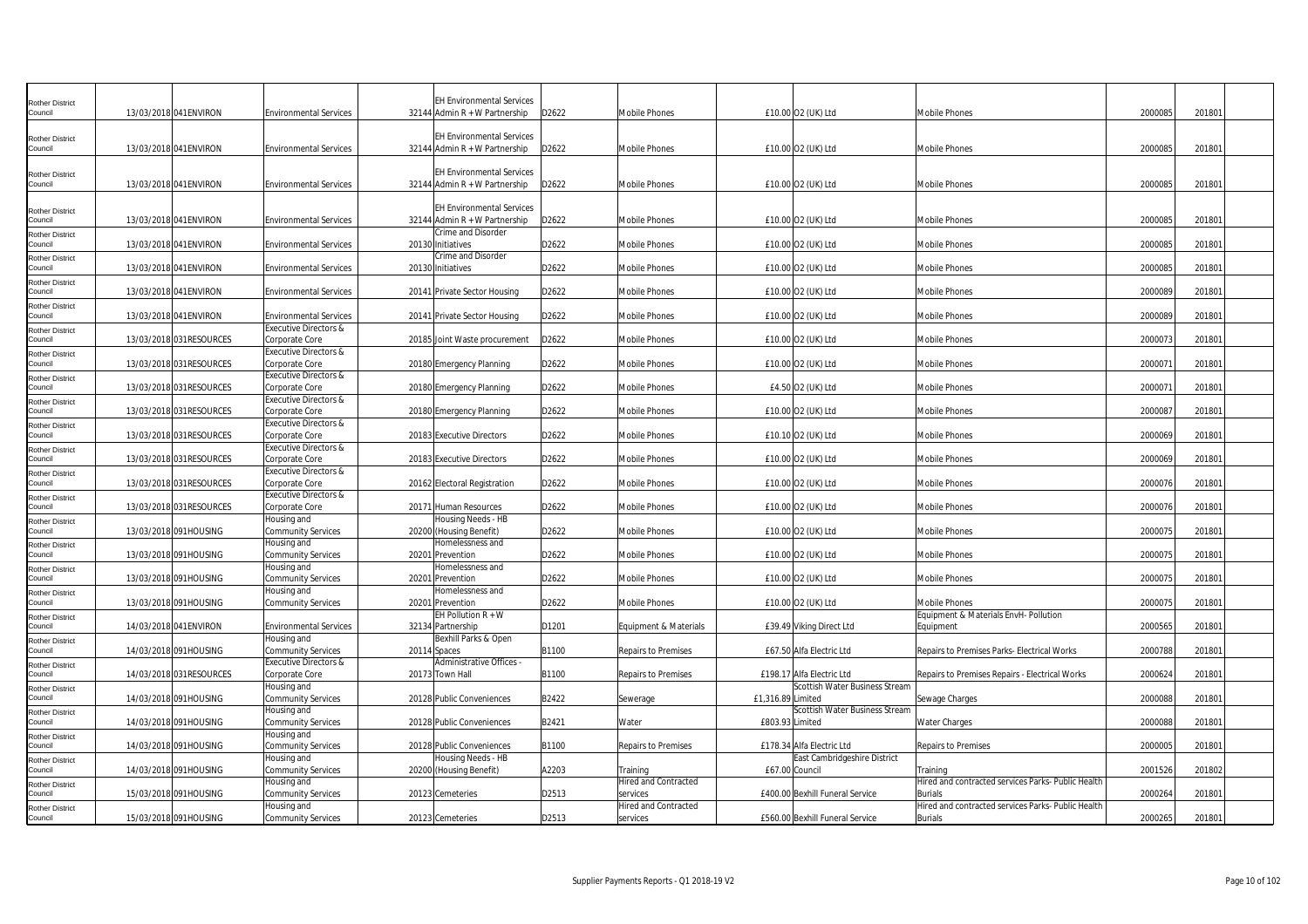| Rother District<br>Council        | 13/03/2018 041 ENVIRON   | <b>Environmental Services</b>                          | EH Environmental Services<br>32144 Admin R + W Partnership          | D2622 | Mobile Phones                    |                   | £10.00 O2 (UK) Ltd                                          | <b>Mobile Phones</b>                                                 | 2000085 | 201801 |  |
|-----------------------------------|--------------------------|--------------------------------------------------------|---------------------------------------------------------------------|-------|----------------------------------|-------------------|-------------------------------------------------------------|----------------------------------------------------------------------|---------|--------|--|
| Rother District<br>Council        | 13/03/2018 041 ENVIRON   | <b>Environmental Services</b>                          | <b>EH Environmental Services</b><br>32144 Admin $R + W$ Partnership | D2622 | Mobile Phones                    |                   | £10.00 O2 (UK) Ltd                                          | <b>Mobile Phones</b>                                                 | 2000085 | 20180  |  |
| Rother District<br>Council        | 13/03/2018 041 ENVIRON   | <b>Environmental Services</b>                          | <b>EH Environmental Services</b><br>32144 Admin $R + W$ Partnership | D2622 | Mobile Phones                    |                   | £10.00 O2 (UK) Ltd                                          | <b>Mobile Phones</b>                                                 | 2000085 | 201801 |  |
| Rother District<br>Council        | 13/03/2018 041 ENVIRON   | <b>Environmental Services</b>                          | <b>EH Environmental Services</b><br>32144 Admin R + W Partnership   | D2622 | Mobile Phones                    |                   | £10.00 O2 (UK) Ltd                                          | <b>Mobile Phones</b>                                                 | 2000085 | 201801 |  |
| <b>Rother District</b><br>Council | 13/03/2018 041 ENVIRON   | <b>Environmental Services</b>                          | Crime and Disorder<br>20130 Initiatives                             | D2622 | Mobile Phones                    |                   | £10.00 O2 (UK) Ltd                                          | <b>Mobile Phones</b>                                                 | 200008  | 201801 |  |
| Rother District<br>Council        | 13/03/2018 041 ENVIRON   | <b>Environmental Services</b>                          | Crime and Disorder<br>20130 Initiatives                             | D2622 | Mobile Phones                    |                   | £10.00 O2 (UK) Ltd                                          | <b>Mobile Phones</b>                                                 | 2000085 | 201801 |  |
| <b>Rother District</b><br>Council | 13/03/2018 041 ENVIRON   | <b>Environmental Services</b>                          | 20141 Private Sector Housing                                        | D2622 | <b>Mobile Phones</b>             |                   | £10.00 O2 (UK) Ltd                                          | <b>Mobile Phones</b>                                                 | 2000089 | 201801 |  |
| <b>Rother District</b><br>Council | 13/03/2018 041 ENVIRON   | <b>Environmental Services</b>                          | 20141 Private Sector Housing                                        | D2622 | <b>Mobile Phones</b>             |                   | £10.00 O2 (UK) Ltd                                          | <b>Mobile Phones</b>                                                 | 2000089 | 201801 |  |
| Rother District<br>Council        | 13/03/2018 031RESOURCES  | Executive Directors &<br>Corporate Core                | 20185 Joint Waste procurement                                       | D2622 | Mobile Phones                    |                   | £10.00 O2 (UK) Ltd                                          | <b>Mobile Phones</b>                                                 | 2000073 | 201801 |  |
| Rother District<br>Council        | 13/03/2018 031RESOURCES  | Executive Directors &<br>Corporate Core                | 20180 Emergency Planning                                            | D2622 | Mobile Phones                    |                   | £10.00 O2 (UK) Ltd                                          | <b>Mobile Phones</b>                                                 | 200007  | 201801 |  |
| Rother District<br>Council        | 13/03/2018 031RESOURCES  | <b>Executive Directors &amp;</b><br>Corporate Core     | 20180 Emergency Planning                                            | D2622 | Mobile Phones                    |                   | £4.50 O2 (UK) Ltd                                           | <b>Mobile Phones</b>                                                 | 200007  | 201801 |  |
| <b>Rother District</b><br>Council | 13/03/2018 031RESOURCES  | Executive Directors &<br>Corporate Core                | 20180 Emergency Planning                                            | D2622 | Mobile Phones                    |                   | £10.00 O2 (UK) Ltd                                          | <b>Mobile Phones</b>                                                 | 2000087 | 201801 |  |
| Rother District<br>Council        | 13/03/2018 031 RESOURCES | Executive Directors &<br>Corporate Core                | 20183 Executive Directors                                           | D2622 | Mobile Phones                    |                   | £10.10 02 (UK) Ltd                                          | <b>Mobile Phones</b>                                                 | 2000069 | 201801 |  |
| Rother District<br>Council        | 13/03/2018 031 RESOURCES | Executive Directors &<br>Corporate Core                |                                                                     |       | <b>Mobile Phones</b>             |                   |                                                             | <b>Mobile Phones</b>                                                 | 2000069 |        |  |
| Rother District                   |                          | Executive Directors &                                  | 20183 Executive Directors                                           | D2622 |                                  |                   | £10.00 O2 (UK) Ltd                                          |                                                                      |         | 201801 |  |
| Council<br>Rother District        | 13/03/2018 031RESOURCES  | Corporate Core<br>Executive Directors &                | 20162 Electoral Registration                                        | D2622 | Mobile Phones                    |                   | £10.00 O2 (UK) Ltd                                          | <b>Mobile Phones</b>                                                 | 200007  | 201801 |  |
| Council<br>Rother District        | 13/03/2018 031RESOURCES  | Corporate Core<br>Housing and                          | 20171 Human Resources<br>Housing Needs - HB                         | D2622 | Mobile Phones                    |                   | £10.00 O2 (UK) Ltd                                          | <b>Mobile Phones</b>                                                 | 2000076 | 201801 |  |
| Council<br>Rother District        | 13/03/2018 091HOUSING    | <b>Community Services</b><br>Housing and               | 20200 (Housing Benefit)<br>Homelessness and                         | D2622 | Mobile Phones                    |                   | £10.00 O2 (UK) Ltd                                          | <b>Mobile Phones</b>                                                 | 2000075 | 201801 |  |
| Council<br><b>Rother District</b> | 13/03/2018 091HOUSING    | Community Services<br>Housing and                      | 20201 Prevention<br>Homelessness and                                | D2622 | Mobile Phones                    |                   | £10.00 O2 (UK) Ltd                                          | <b>Mobile Phones</b>                                                 | 200007  | 201801 |  |
| Council<br>Rother District        | 13/03/2018 091HOUSING    | Community Services<br>Housing and                      | 20201 Prevention<br>Homelessness and                                | D2622 | Mobile Phones                    |                   | £10.00 O2 (UK) Ltd                                          | <b>Mobile Phones</b>                                                 | 200007  | 201801 |  |
| Council<br><b>Rother District</b> | 13/03/2018 091HOUSING    | Community Services                                     | 20201 Prevention<br>EH Pollution R + W                              | D2622 | Mobile Phones                    |                   | £10.00 O2 (UK) Ltd                                          | Mobile Phones<br>Equipment & Materials EnvH- Pollution               | 200007  | 201801 |  |
| Council<br>Rother District        | 14/03/2018 041 ENVIRON   | <b>Environmental Services</b><br>Housing and           | 32134 Partnership<br>Bexhill Parks & Open                           | D1201 | Equipment & Materials            |                   | £39.49 Viking Direct Ltd                                    | Equipment                                                            | 2000565 | 201801 |  |
| Council                           | 14/03/2018 091HOUSING    | Community Services<br><b>Executive Directors &amp;</b> | 20114 Spaces<br>Administrative Offices -                            | B1100 | Repairs to Premises              |                   | £67.50 Alfa Electric Ltd                                    | Repairs to Premises Parks- Electrical Works                          | 2000788 | 201801 |  |
| Rother District<br>Council        | 14/03/2018 031RESOURCES  | Corporate Core<br>Housing and                          | 20173 Town Hall                                                     | B1100 | Repairs to Premises              |                   | £198.17 Alfa Electric Ltd<br>Scottish Water Business Stream | Repairs to Premises Repairs - Electrical Works                       | 2000624 | 201801 |  |
| <b>Rother District</b><br>Council | 14/03/2018 091HOUSING    | Community Services                                     | 20128 Public Conveniences                                           | B2422 | Sewerage                         | £1,316.89 Limited | Scottish Water Business Stream                              | Sewage Charges                                                       | 2000088 | 201801 |  |
| Rother District<br>Council        | 14/03/2018 091HOUSING    | Housing and<br>Community Services                      | 20128 Public Conveniences                                           | B2421 | Water                            | £803.93 Limited   |                                                             | <b>Water Charges</b>                                                 | 2000088 | 201801 |  |
| Rother District<br>Council        | 14/03/2018 091HOUSING    | Housing and<br>Community Services                      | 20128 Public Conveniences                                           | B1100 | Repairs to Premises              |                   | £178.34 Alfa Electric Ltd                                   | <b>Repairs to Premises</b>                                           | 2000005 | 201801 |  |
| Rother District<br>Council        | 14/03/2018 091HOUSING    | Housing and<br><b>Community Services</b>               | Housing Needs - HB<br>20200 (Housing Benefit)                       | A2203 | Training                         | £67.00 Council    | East Cambridgeshire District                                | Training                                                             | 2001526 | 201802 |  |
| <b>Rother District</b><br>Council | 15/03/2018 091HOUSING    | Housing and<br><b>Community Services</b>               | 20123 Cemeteries                                                    | D2513 | Hired and Contracted<br>services |                   | £400.00 Bexhill Funeral Service                             | Hired and contracted services Parks- Public Health<br><b>Burials</b> | 2000264 | 201801 |  |
| Rother District<br>Council        | 15/03/2018 091HOUSING    | Housing and<br><b>Community Services</b>               | 20123 Cemeteries                                                    | D2513 | Hired and Contracted<br>services |                   | £560.00 Bexhill Funeral Service                             | Hired and contracted services Parks- Public Health<br><b>Burials</b> | 2000265 | 201801 |  |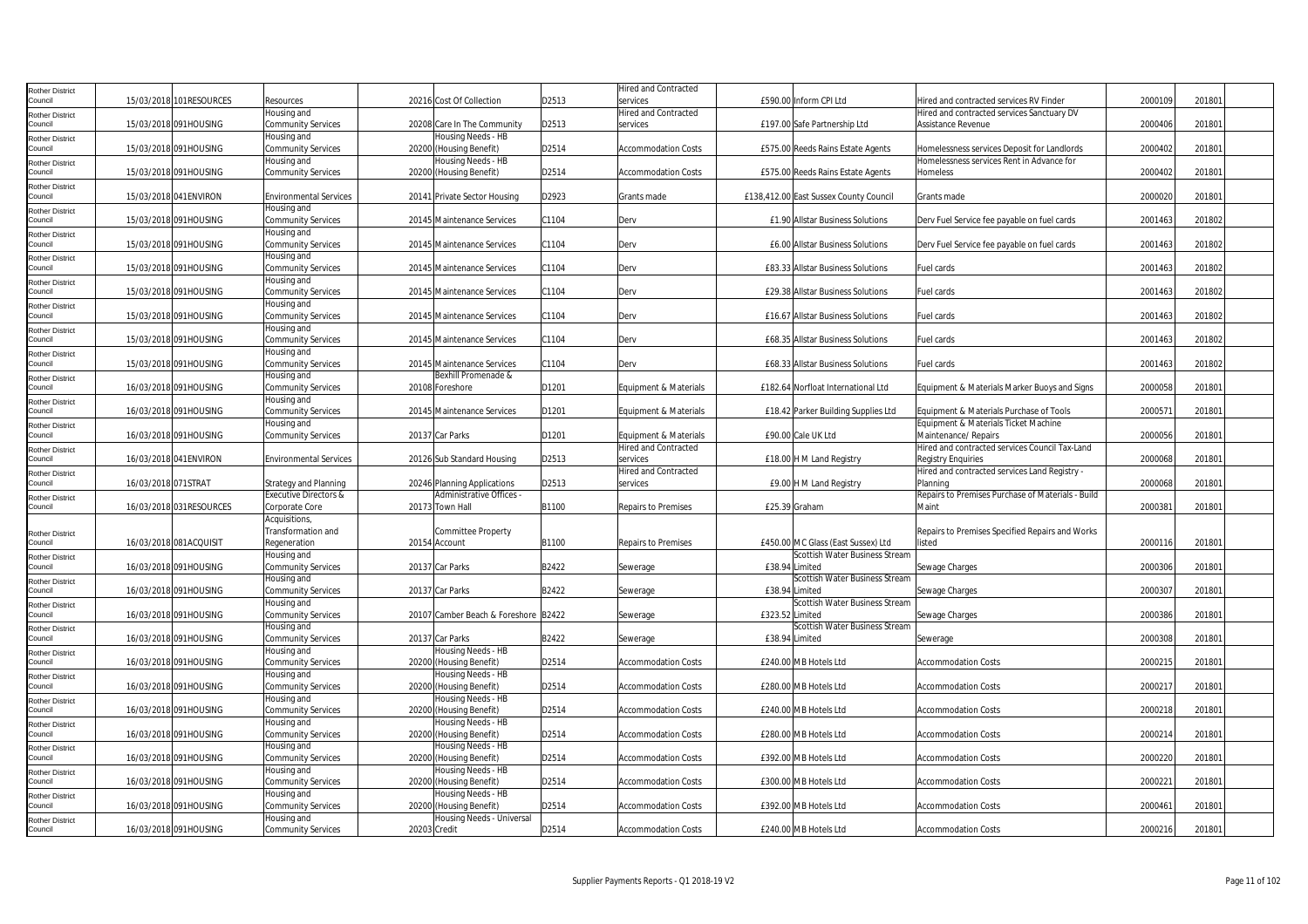| Rother District                   |                     |                         |                                          |                                               |       | Hired and Contracted                          |                                                   |                                                                        |         |        |  |
|-----------------------------------|---------------------|-------------------------|------------------------------------------|-----------------------------------------------|-------|-----------------------------------------------|---------------------------------------------------|------------------------------------------------------------------------|---------|--------|--|
| Council                           |                     | 15/03/2018 101RESOURCES | Resources                                | 20216 Cost Of Collection                      | D2513 | services                                      | £590.00 Inform CPI Ltd                            | Hired and contracted services RV Finder                                | 2000109 | 201801 |  |
| Rother District                   |                     |                         | Housing and                              |                                               |       | Hired and Contracted                          |                                                   | Hired and contracted services Sanctuary DV                             |         |        |  |
| Council                           |                     | 15/03/2018 091HOUSING   | <b>Community Services</b>                | 20208 Care In The Community                   | D2513 | services                                      | £197.00 Safe Partnership Ltd                      | Assistance Revenue                                                     | 2000406 | 201801 |  |
| <b>Rother District</b>            |                     |                         | Housing and                              | Housing Needs - HB                            |       |                                               |                                                   |                                                                        |         |        |  |
| Council                           |                     | 15/03/2018 091HOUSING   | <b>Community Services</b>                | 20200 (Housing Benefit)                       | D2514 | <b>Accommodation Costs</b>                    | £575.00 Reeds Rains Estate Agents                 | Homelessness services Deposit for Landlords                            | 2000402 | 201801 |  |
| <b>Rother District</b>            |                     |                         | Housing and                              | Housing Needs - HB                            |       |                                               |                                                   | Homelessness services Rent in Advance for                              |         |        |  |
| Council                           |                     | 15/03/2018 091HOUSING   | <b>Community Services</b>                | 20200 (Housing Benefit)                       | D2514 | <b>Accommodation Costs</b>                    | £575.00 Reeds Rains Estate Agents                 | Homeless                                                               | 2000402 | 201801 |  |
| Rother District                   |                     |                         |                                          |                                               |       |                                               |                                                   |                                                                        |         |        |  |
| Council                           |                     | 15/03/2018 041ENVIRON   | <b>Environmental Services</b>            | 20141 Private Sector Housing                  | D2923 | Grants made                                   | £138,412.00 East Sussex County Council            | Grants made                                                            | 2000020 | 201801 |  |
| <b>Rother District</b>            |                     |                         | Housing and                              |                                               |       |                                               |                                                   |                                                                        |         |        |  |
| Council                           |                     | 15/03/2018 091HOUSING   | <b>Community Services</b>                | 20145 Maintenance Services                    | C1104 | Derv                                          | £1.90 Allstar Business Solutions                  | Derv Fuel Service fee payable on fuel cards                            | 2001463 | 201802 |  |
| Rother District                   |                     |                         | Housing and                              |                                               |       |                                               |                                                   |                                                                        |         |        |  |
| Council                           |                     | 15/03/2018 091HOUSING   | <b>Community Services</b>                | 20145 Maintenance Services                    | C1104 | Derv                                          | £6.00 Allstar Business Solutions                  | Derv Fuel Service fee payable on fuel cards                            | 2001463 | 201802 |  |
| Rother District<br>Council        |                     | 15/03/2018 091HOUSING   | Housing and<br><b>Community Services</b> | 20145 Maintenance Services                    | C1104 | Derv                                          | £83.33 Allstar Business Solutions                 | Fuel cards                                                             | 2001463 | 201802 |  |
|                                   |                     |                         | Housing and                              |                                               |       |                                               |                                                   |                                                                        |         |        |  |
| <b>Rother District</b><br>ouncil  |                     | 15/03/2018 091HOUSING   | <b>Community Services</b>                | 20145 Maintenance Services                    | C1104 | Derv                                          | £29.38 Allstar Business Solutions                 | Fuel cards                                                             | 2001463 | 201802 |  |
| <b>Rother District</b>            |                     |                         | Housing and                              |                                               |       |                                               |                                                   |                                                                        |         |        |  |
| Council                           |                     | 15/03/2018 091HOUSING   | <b>Community Services</b>                | 20145 Maintenance Services                    | C1104 | Derv                                          | £16.67 Allstar Business Solutions                 | Fuel cards                                                             | 2001463 | 201802 |  |
| <b>Rother District</b>            |                     |                         | Housing and                              |                                               |       |                                               |                                                   |                                                                        |         |        |  |
| Council                           |                     | 15/03/2018 091HOUSING   | <b>Community Services</b>                | 20145 Maintenance Services                    | C1104 | Derv                                          | £68.35 Allstar Business Solutions                 | Fuel cards                                                             | 2001463 | 201802 |  |
| Rother District                   |                     |                         | Housing and                              |                                               |       |                                               |                                                   |                                                                        |         |        |  |
| Council                           |                     | 15/03/2018 091HOUSING   | Community Services                       | 20145 Maintenance Services                    | C1104 | Derv                                          | £68.33 Allstar Business Solutions                 | Fuel cards                                                             | 2001463 | 201802 |  |
| Rother District                   |                     |                         | Housing and                              | Bexhill Promenade &                           |       |                                               |                                                   |                                                                        |         |        |  |
| Council                           |                     | 16/03/2018 091HOUSING   | Community Services                       | 20108 Foreshore                               | D1201 | Equipment & Materials                         | £182.64 Norfloat International Ltd                | Equipment & Materials Marker Buoys and Signs                           | 2000058 | 201801 |  |
| Rother District                   |                     |                         | Housing and                              |                                               |       |                                               |                                                   |                                                                        |         |        |  |
| Council                           |                     | 16/03/2018 091HOUSING   | <b>Community Services</b>                | 20145 Maintenance Services                    | D1201 | Equipment & Materials                         | £18.42 Parker Building Supplies Ltd               | Equipment & Materials Purchase of Tools                                | 200057  | 201801 |  |
| Rother District<br>Council        |                     |                         | Housing and                              |                                               |       |                                               |                                                   | Equipment & Materials Ticket Machine                                   |         |        |  |
|                                   |                     | 16/03/2018 091HOUSING   | <b>Community Services</b>                | 20137 Car Parks                               | D1201 | Equipment & Materials<br>Hired and Contracted | £90.00 Cale UK Ltd                                | Maintenance/ Repairs<br>Hired and contracted services Council Tax-Land | 2000056 | 201801 |  |
| Rother District<br>Council        |                     | 16/03/2018 041 ENVIRON  | <b>Environmental Services</b>            | 20126 Sub Standard Housing                    | D2513 | services                                      | £18.00 H M Land Registry                          | <b>Registry Enquiries</b>                                              | 2000068 | 201801 |  |
| Rother District                   |                     |                         |                                          |                                               |       | <b>Hired and Contracted</b>                   |                                                   | Hired and contracted services Land Registry -                          |         |        |  |
| Council                           | 16/03/2018 071STRAT |                         | <b>Strategy and Planning</b>             | 20246 Planning Applications                   | D2513 | services                                      | £9.00 H M Land Registry                           | Planning                                                               | 2000068 | 201801 |  |
| Rother District                   |                     |                         | <b>Executive Directors &amp;</b>         | Administrative Offices -                      |       |                                               |                                                   | Repairs to Premises Purchase of Materials - Build                      |         |        |  |
| Council                           |                     | 16/03/2018 031RESOURCES | Corporate Core                           | 20173 Town Hall                               | B1100 | <b>Repairs to Premises</b>                    | £25.39 Graham                                     | Maint                                                                  | 2000381 | 201801 |  |
|                                   |                     |                         | Acquisitions,                            |                                               |       |                                               |                                                   |                                                                        |         |        |  |
| <b>Rother District</b>            |                     |                         | Transformation and                       | Committee Property                            |       |                                               |                                                   | Repairs to Premises Specified Repairs and Works                        |         |        |  |
| Council                           |                     | 16/03/2018 081ACQUISIT  | Regeneration                             | 20154 Account                                 | B1100 | <b>Repairs to Premises</b>                    | £450.00 MC Glass (East Sussex) Ltd                | listed                                                                 | 2000116 | 201801 |  |
| Rother District                   |                     |                         | Housing and                              |                                               |       |                                               | Scottish Water Business Stream                    |                                                                        |         |        |  |
| Council                           |                     | 16/03/2018 091HOUSING   | <b>Community Services</b>                | 20137 Car Parks                               | B2422 | Sewerage                                      | £38.94 Limited                                    | Sewage Charges                                                         | 2000306 | 201801 |  |
| Rother District                   |                     |                         | Housing and                              |                                               |       |                                               | Scottish Water Business Stream                    |                                                                        |         |        |  |
| Council                           |                     | 16/03/2018 091HOUSING   | <b>Community Services</b>                | 20137 Car Parks                               | B2422 | Sewerage                                      | £38.94 Limited                                    | Sewage Charges                                                         | 200030  | 201801 |  |
| Rother District<br>Council        |                     | 16/03/2018 091HOUSING   | Housing and<br><b>Community Services</b> | 20107 Camber Beach & Foreshore B2422          |       |                                               | Scottish Water Business Stream<br>£323.52 Limited |                                                                        | 2000386 | 201801 |  |
|                                   |                     |                         | Housing and                              |                                               |       | Sewerage                                      | Scottish Water Business Stream                    | Sewage Charges                                                         |         |        |  |
| <b>Rother District</b><br>Council |                     | 16/03/2018 091HOUSING   | Community Services                       | 20137 Car Parks                               | B2422 | Sewerage                                      | £38.94 Limited                                    | Sewerage                                                               | 2000308 | 201801 |  |
| Rother District                   |                     |                         | Housing and                              | lousing Needs - HB                            |       |                                               |                                                   |                                                                        |         |        |  |
| Council                           |                     | 16/03/2018 091HOUSING   | <b>Community Services</b>                | 20200 (Housing Benefit)                       | D2514 | <b>Accommodation Costs</b>                    | £240.00 MB Hotels Ltd                             | <b>Accommodation Costs</b>                                             | 2000215 | 201801 |  |
| Rother District                   |                     |                         | Housing and                              | Housing Needs - HB                            |       |                                               |                                                   |                                                                        |         |        |  |
| Council                           |                     | 16/03/2018 091HOUSING   | Community Services                       | 20200 (Housing Benefit)                       | D2514 | Accommodation Costs                           | £280.00 MB Hotels Ltd                             | Accommodation Costs                                                    | 200021  | 201801 |  |
| Rother District                   |                     |                         | lousing and                              | Housing Needs - HB                            |       |                                               |                                                   |                                                                        |         |        |  |
| Council                           |                     | 16/03/2018 091HOUSING   | <b>Community Services</b>                | 20200 (Housing Benefit)                       | D2514 | <b>Accommodation Costs</b>                    | £240.00 MB Hotels Ltd                             | <b>Accommodation Costs</b>                                             | 2000218 | 201801 |  |
| Rother District                   |                     |                         | Housing and                              | Housing Needs - HB                            |       |                                               |                                                   |                                                                        |         |        |  |
| Council                           |                     | 16/03/2018 091HOUSING   | <b>Community Services</b>                | 20200 (Housing Benefit)                       | D2514 | <b>Accommodation Costs</b>                    | £280.00 MB Hotels Ltd                             | Accommodation Costs                                                    | 2000214 | 201801 |  |
| Rother District<br>Council        |                     |                         | Housing and                              | Housing Needs - HB                            |       |                                               |                                                   |                                                                        |         |        |  |
|                                   |                     | 16/03/2018 091HOUSING   | <b>Community Services</b><br>Housing and | 20200 (Housing Benefit)<br>Housing Needs - HB | D2514 | <b>Accommodation Costs</b>                    | £392.00 MB Hotels Ltd                             | <b>Accommodation Costs</b>                                             | 2000220 | 201801 |  |
| Rother District<br>Council        |                     | 16/03/2018 091HOUSING   | <b>Community Services</b>                | 20200 (Housing Benefit)                       | D2514 | <b>Accommodation Costs</b>                    | £300.00 MB Hotels Ltd                             | <b>Accommodation Costs</b>                                             | 200022  | 201801 |  |
| Rother District                   |                     |                         | Housing and                              | Housing Needs - HB                            |       |                                               |                                                   |                                                                        |         |        |  |
| Council                           |                     | 16/03/2018 091HOUSING   | <b>Community Services</b>                | 20200 (Housing Benefit)                       | D2514 | <b>Accommodation Costs</b>                    | £392.00 MB Hotels Ltd                             | <b>Accommodation Costs</b>                                             | 200046  | 201801 |  |
| Rother District                   |                     |                         | Housing and                              | Housing Needs - Universal                     |       |                                               |                                                   |                                                                        |         |        |  |
| Council                           |                     | 16/03/2018 091HOUSING   | <b>Community Services</b>                | 20203 Credit                                  | D2514 | <b>Accommodation Costs</b>                    | £240.00 MB Hotels Ltd                             | <b>Accommodation Costs</b>                                             | 2000216 | 201801 |  |
|                                   |                     |                         |                                          |                                               |       |                                               |                                                   |                                                                        |         |        |  |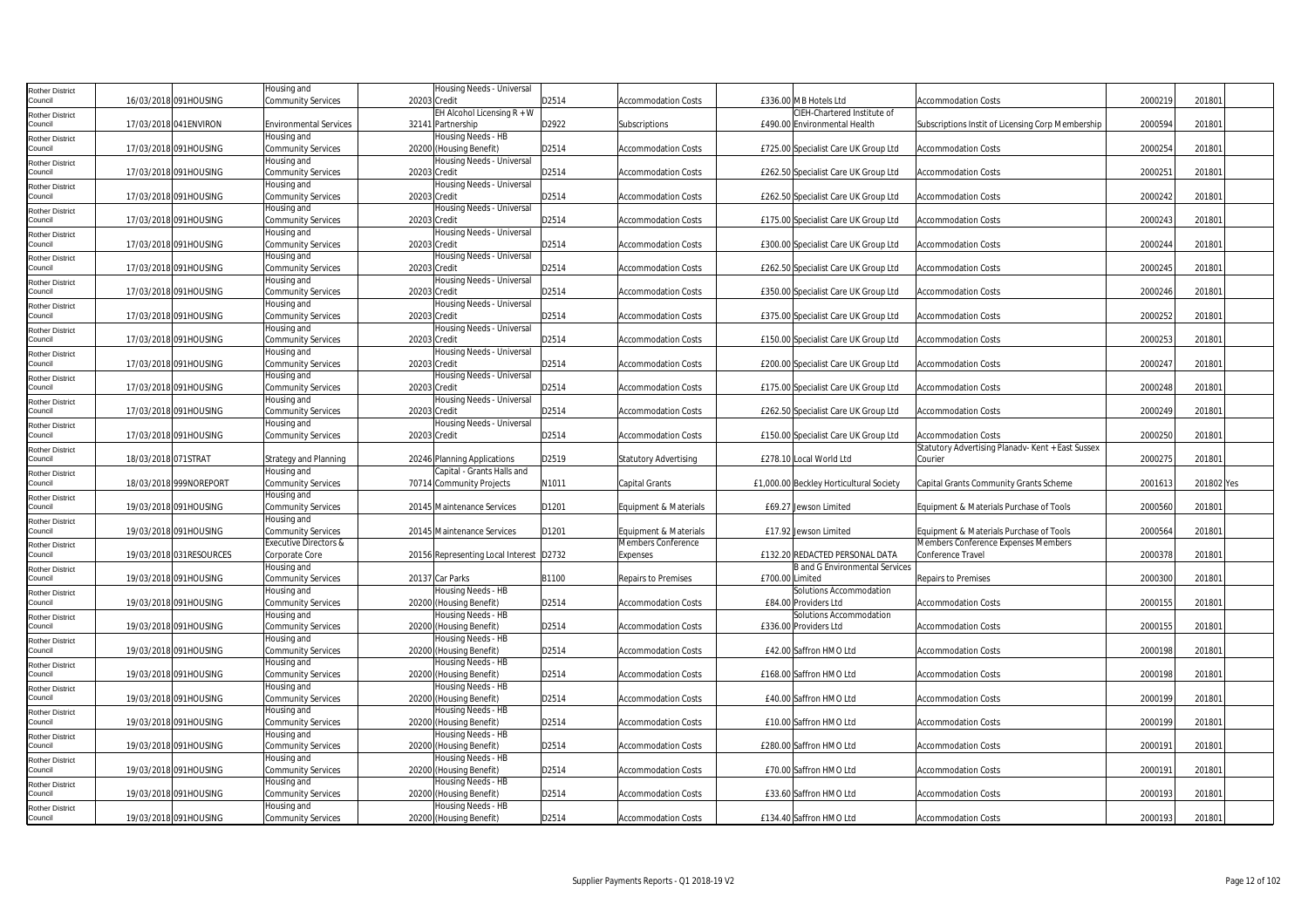| Rother District                   |                     |                          | lousing and                              | Housing Needs - Universal                     |       |                              |                 |                                         |                                                   |         |            |  |
|-----------------------------------|---------------------|--------------------------|------------------------------------------|-----------------------------------------------|-------|------------------------------|-----------------|-----------------------------------------|---------------------------------------------------|---------|------------|--|
| Council                           |                     | 16/03/2018 091HOUSING    | <b>Community Services</b>                | 20203 Credit                                  | D2514 | <b>Accommodation Costs</b>   |                 | £336.00 MB Hotels Ltd                   | <b>Accommodation Costs</b>                        | 2000219 | 201801     |  |
| Rother District                   |                     |                          |                                          | EH Alcohol Licensing $R + W$                  |       |                              |                 | CIEH-Chartered Institute of             |                                                   |         |            |  |
| Council                           |                     | 17/03/2018 041 ENVIRON   | <b>Environmental Services</b>            | 32141 Partnership                             | D2922 | Subscriptions                |                 | £490.00 Environmental Health            | Subscriptions Instit of Licensing Corp Membership | 200059  | 201801     |  |
| Rother District                   |                     |                          | lousing and                              | Housing Needs - HB                            |       |                              |                 |                                         |                                                   |         |            |  |
| Council                           |                     | 17/03/2018 091HOUSING    | <b>Community Services</b>                | 20200 (Housing Benefit)                       | D2514 | <b>Accommodation Costs</b>   |                 | £725.00 Specialist Care UK Group Ltd    | <b>Accommodation Costs</b>                        | 2000254 | 201801     |  |
| <b>Rother District</b>            |                     |                          | Housing and                              | Housing Needs - Universal                     |       |                              |                 |                                         |                                                   |         |            |  |
| Council                           |                     | 17/03/2018 091HOUSING    | Community Services                       | 20203 Credit                                  | D2514 | <b>Accommodation Costs</b>   |                 | £262.50 Specialist Care UK Group Ltd    | <b>Accommodation Costs</b>                        | 2000251 | 201801     |  |
| Rother District                   |                     |                          | Housing and                              | Housing Needs - Universal                     |       |                              |                 |                                         |                                                   |         |            |  |
| Council                           |                     | 17/03/2018 091HOUSING    | <b>Community Services</b>                | 20203 Credit                                  | D2514 | <b>Accommodation Costs</b>   |                 | £262.50 Specialist Care UK Group Ltd    | <b>Accommodation Costs</b>                        | 2000242 | 201801     |  |
| Rother District                   |                     |                          | Housing and                              | Housing Needs - Universal                     |       |                              |                 |                                         |                                                   |         |            |  |
| Council                           |                     | 17/03/2018 091HOUSING    | <b>Community Services</b>                | 20203 Credit                                  | D2514 | <b>Accommodation Costs</b>   |                 | £175.00 Specialist Care UK Group Ltd    | <b>Accommodation Costs</b>                        | 2000243 | 201801     |  |
| Rother District                   |                     |                          | Housing and                              | Housing Needs - Universal                     |       |                              |                 |                                         |                                                   |         |            |  |
| ouncil                            |                     | 17/03/2018 091HOUSING    | <b>Community Services</b>                | 20203 Credit                                  | D2514 | <b>Accommodation Costs</b>   |                 | £300.00 Specialist Care UK Group Ltd    | <b>Accommodation Costs</b>                        | 200024  | 201801     |  |
|                                   |                     |                          | lousing and                              | Housing Needs - Universal                     |       |                              |                 |                                         |                                                   |         |            |  |
| <b>Rother District</b><br>Council |                     | 17/03/2018 091HOUSING    | <b>Community Services</b>                | 20203 Credit                                  | D2514 | <b>Accommodation Costs</b>   |                 | £262.50 Specialist Care UK Group Ltd    | <b>Accommodation Costs</b>                        | 2000245 | 201801     |  |
| Rother District                   |                     |                          | Housing and                              | Housing Needs - Universal                     |       |                              |                 |                                         |                                                   |         |            |  |
| Council                           |                     | 17/03/2018 091HOUSING    | Community Services                       | 20203 Credit                                  | D2514 | <b>Accommodation Costs</b>   |                 | £350.00 Specialist Care UK Group Ltd    | <b>Accommodation Costs</b>                        | 2000246 | 201801     |  |
| Rother District                   |                     |                          | lousing and                              | Housing Needs - Universal                     |       |                              |                 |                                         |                                                   |         |            |  |
| Council                           |                     | 17/03/2018 091HOUSING    | Community Services                       | 20203 Credit                                  | D2514 | <b>Accommodation Costs</b>   |                 | £375.00 Specialist Care UK Group Ltd    | <b>Accommodation Costs</b>                        | 2000252 | 201801     |  |
| Rother District                   |                     |                          | Housing and                              | lousing Needs - Universal                     |       |                              |                 |                                         |                                                   |         |            |  |
| Council                           |                     | 17/03/2018 091HOUSING    | <b>Community Services</b>                | 20203 Credit                                  | D2514 | <b>Accommodation Costs</b>   |                 | £150.00 Specialist Care UK Group Ltd    | <b>Accommodation Costs</b>                        | 2000253 | 201801     |  |
| <b>Rother District</b>            |                     |                          | Housing and                              | Housing Needs - Universal                     |       |                              |                 |                                         |                                                   |         |            |  |
| ouncil                            |                     | 17/03/2018 091HOUSING    | <b>Community Services</b>                | 20203 Credit                                  | D2514 | <b>Accommodation Costs</b>   |                 | £200.00 Specialist Care UK Group Ltd    | <b>Accommodation Costs</b>                        | 200024  | 201801     |  |
| Rother District                   |                     |                          | Housing and                              | Housing Needs - Universal                     |       |                              |                 |                                         |                                                   |         |            |  |
| Council                           |                     | 17/03/2018 091HOUSING    | Community Services                       | 20203 Credit                                  | D2514 | <b>Accommodation Costs</b>   |                 | £175.00 Specialist Care UK Group Ltd    | <b>Accommodation Costs</b>                        | 2000248 | 201801     |  |
|                                   |                     |                          | Housing and                              | Housing Needs - Universal                     |       |                              |                 |                                         |                                                   |         |            |  |
| Rother District<br>Council        |                     | 17/03/2018 091HOUSING    | Community Services                       | 20203 Credit                                  | D2514 | <b>Accommodation Costs</b>   |                 | £262.50 Specialist Care UK Group Ltd    | <b>Accommodation Costs</b>                        | 2000249 | 201801     |  |
|                                   |                     |                          | Housing and                              | Housing Needs - Universal                     |       |                              |                 |                                         |                                                   |         |            |  |
| Rother District<br>Council        |                     | 17/03/2018 091HOUSING    | <b>Community Services</b>                | 20203 Credit                                  | D2514 | <b>Accommodation Costs</b>   |                 | £150.00 Specialist Care UK Group Ltd    | <b>Accommodation Costs</b>                        | 2000250 | 201801     |  |
|                                   |                     |                          |                                          |                                               |       |                              |                 |                                         | Statutory Advertising Planadv- Kent + East Sussex |         |            |  |
| Rother District<br>Council        | 18/03/2018 071STRAT |                          | <b>Strategy and Planning</b>             | 20246 Planning Applications                   | D2519 |                              |                 |                                         |                                                   |         |            |  |
|                                   |                     |                          |                                          |                                               |       |                              |                 |                                         |                                                   |         |            |  |
|                                   |                     |                          |                                          |                                               |       | <b>Statutory Advertising</b> |                 | £278.10 Local World Ltd                 | Courier                                           | 2000275 | 201801     |  |
| Rother District                   |                     |                          | Housing and                              | Capital - Grants Halls and                    |       |                              |                 |                                         |                                                   |         |            |  |
| Council                           |                     | 18/03/2018 999NOREPORT   | <b>Community Services</b>                | 70714 Community Projects                      | N1011 | <b>Capital Grants</b>        |                 | £1,000.00 Beckley Horticultural Society | Capital Grants Community Grants Scheme            | 200161  | 201802 Yes |  |
| <b>Rother District</b>            |                     |                          | Housing and                              |                                               |       |                              |                 |                                         |                                                   |         |            |  |
| Council                           |                     | 19/03/2018 091HOUSING    | <b>Community Services</b>                | 20145 Maintenance Services                    | D1201 | Equipment & Materials        |                 | £69.27 Jewson Limited                   | Equipment & Materials Purchase of Tools           | 2000560 | 201801     |  |
| <b>Rother District</b>            |                     |                          | lousing and                              |                                               |       |                              |                 |                                         |                                                   |         |            |  |
| Council                           |                     | 19/03/2018 091HOUSING    | Community Services                       | 20145 Maintenance Services                    | D1201 | Equipment & Materials        |                 | £17.92 Jewson Limited                   | Equipment & Materials Purchase of Tools           | 2000564 | 201801     |  |
| Rother District                   |                     |                          | <b>Executive Directors &amp;</b>         |                                               |       | Members Conference           |                 |                                         | Members Conference Expenses Members               |         |            |  |
| Council                           |                     | 19/03/2018 031 RESOURCES | Corporate Core                           | 20156 Representing Local Interest D2732       |       | Expenses                     |                 | £132.20 REDACTED PERSONAL DATA          | Conference Travel                                 | 2000378 | 201801     |  |
| Rother District                   |                     |                          | Housing and                              |                                               |       |                              |                 | <b>B</b> and G Environmental Services   |                                                   |         |            |  |
| Council                           |                     | 19/03/2018 091HOUSING    | <b>Community Services</b>                | 20137 Car Parks                               | B1100 | Repairs to Premises          | £700.00 Limited |                                         | <b>Repairs to Premises</b>                        | 2000300 | 201801     |  |
| Rother District                   |                     |                          | Housing and                              | Housing Needs - HB                            |       |                              |                 | Solutions Accommodation                 |                                                   |         |            |  |
| `ouncil                           |                     | 19/03/2018 091HOUSING    | <b>Community Services</b>                | 20200 (Housing Benefit)                       | D2514 | <b>Accommodation Costs</b>   |                 | £84.00 Providers Ltd                    | <b>Accommodation Costs</b>                        | 2000155 | 201801     |  |
| Rother District                   |                     |                          | Housing and                              | Housing Needs - HB                            |       |                              |                 | Solutions Accommodation                 |                                                   |         |            |  |
| Council                           |                     | 19/03/2018 091HOUSING    | <b>Community Services</b>                | 20200 (Housing Benefit)                       | D2514 | <b>Accommodation Costs</b>   |                 | £336.00 Providers Ltd                   | <b>Accommodation Costs</b>                        | 2000155 | 201801     |  |
| Rother District                   |                     |                          | Housing and                              | Housing Needs - HB                            |       |                              |                 |                                         |                                                   |         |            |  |
| Council                           |                     | 19/03/2018 091HOUSING    | <b>Community Services</b>                | 20200 (Housing Benefit)                       | D2514 | <b>Accommodation Costs</b>   |                 | £42.00 Saffron HMO Ltd                  | <b>Accommodation Costs</b>                        | 2000198 | 201801     |  |
| Rother District                   |                     |                          | lousing and                              | Housing Needs - HB                            |       |                              |                 |                                         |                                                   |         |            |  |
| Council                           |                     | 19/03/2018 091HOUSING    | Community Services                       | 20200 (Housing Benefit)                       | D2514 | <b>Accommodation Costs</b>   |                 | £168.00 Saffron HMO Ltd                 | <b>Accommodation Costs</b>                        | 2000198 | 201801     |  |
| Rother District                   |                     |                          | Housing and                              | -Iousing Needs - HB                           |       |                              |                 |                                         |                                                   |         |            |  |
| Council                           |                     | 19/03/2018 091HOUSING    | Community Services                       | 20200 (Housing Benefit)                       | D2514 | <b>Accommodation Costs</b>   |                 | £40.00 Saffron HMO Ltd                  | <b>Accommodation Costs</b>                        | 2000199 | 201801     |  |
| <b>Rother District</b>            |                     |                          | lousing and                              | <b>Housing Needs - HB</b>                     |       |                              |                 |                                         |                                                   |         |            |  |
| ouncil                            |                     | 19/03/2018 091HOUSING    | <b>Community Services</b>                | 20200 (Housing Benefit)                       | D2514 | <b>Accommodation Costs</b>   |                 | £10.00 Saffron HMO Ltd                  | <b>Accommodation Costs</b>                        | 2000199 | 201801     |  |
| <b>Rother District</b>            |                     |                          | Housing and                              | Housing Needs - HB                            |       |                              |                 |                                         |                                                   |         |            |  |
| Council                           |                     | 19/03/2018 091HOUSING    | <b>Community Services</b>                | 20200 (Housing Benefit)                       | D2514 | <b>Accommodation Costs</b>   |                 | £280.00 Saffron HMO Ltd                 | <b>Accommodation Costs</b>                        | 2000191 | 201801     |  |
| Rother District                   |                     |                          | Housing and                              | Housing Needs - HB                            |       |                              |                 |                                         |                                                   |         |            |  |
| Council                           |                     | 19/03/2018 091HOUSING    | Community Services                       | 20200 (Housing Benefit)                       | D2514 | <b>Accommodation Costs</b>   |                 | £70.00 Saffron HMO Ltd                  | <b>Accommodation Costs</b>                        | 2000191 | 201801     |  |
| Rother District                   |                     |                          | Housing and                              | Housing Needs - HB                            |       |                              |                 |                                         |                                                   |         |            |  |
| Council                           |                     | 19/03/2018 091HOUSING    | <b>Community Services</b>                | 20200 (Housing Benefit)                       | D2514 | <b>Accommodation Costs</b>   |                 | £33.60 Saffron HMO Ltd                  | <b>Accommodation Costs</b>                        | 2000193 | 201801     |  |
| Rother District<br>Council        |                     | 19/03/2018 091HOUSING    | Housing and<br><b>Community Services</b> | Housing Needs - HB<br>20200 (Housing Benefit) | D2514 | <b>Accommodation Costs</b>   |                 | £134.40 Saffron HMO Ltd                 | <b>Accommodation Costs</b>                        | 2000193 | 201801     |  |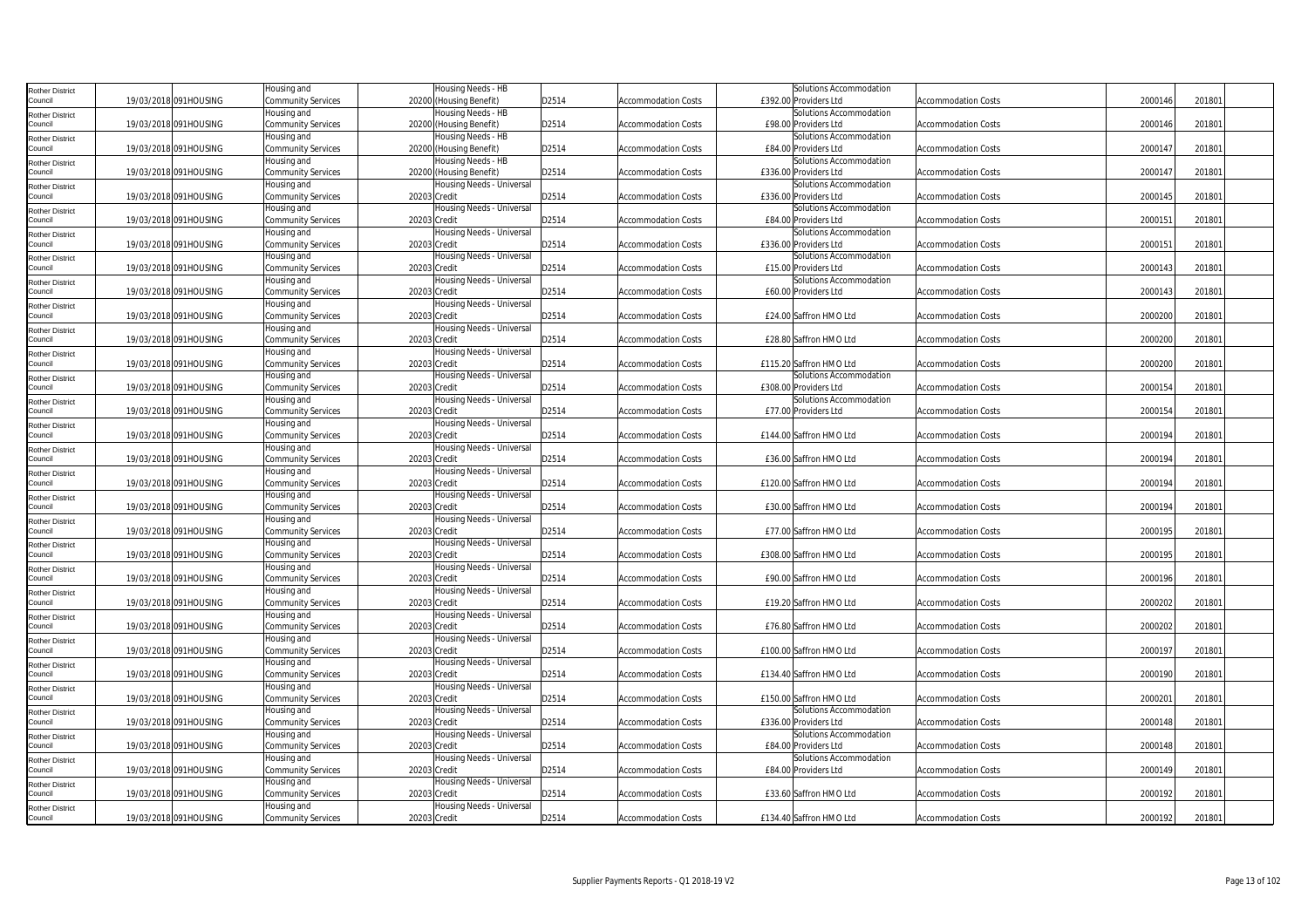| <b>Rother District</b>            |                       | Housing and                              | Housing Needs - HB                        |       |                            | Solutions Accommodation |                            |         |        |  |
|-----------------------------------|-----------------------|------------------------------------------|-------------------------------------------|-------|----------------------------|-------------------------|----------------------------|---------|--------|--|
| Council                           | 19/03/2018 091HOUSING | Community Services                       | 20200 (Housing Benefit)                   | D2514 | <b>Accommodation Costs</b> | £392.00 Providers Ltd   | <b>Accommodation Costs</b> | 2000146 | 201801 |  |
| <b>Rother District</b>            |                       | Housing and                              | Housing Needs - HB                        |       |                            | Solutions Accommodation |                            |         |        |  |
| Council                           | 19/03/2018 091HOUSING | Community Services                       | 20200 (Housing Benefit)                   | D2514 | <b>Accommodation Costs</b> | £98.00 Providers Ltd    | <b>Accommodation Costs</b> | 2000146 | 201801 |  |
| <b>Rother District</b>            |                       | Housing and                              | lousing Needs - HB                        |       |                            | Solutions Accommodation |                            |         |        |  |
| Council                           | 19/03/2018 091HOUSING | Community Services                       | 20200 (Housing Benefit)                   | D2514 | Accommodation Costs        | £84.00 Providers Ltd    | <b>Accommodation Costs</b> | 2000147 | 201801 |  |
| <b>Rother District</b>            |                       | Housing and                              | Housing Needs - HB                        |       |                            | Solutions Accommodation |                            |         |        |  |
| Council                           | 19/03/2018 091HOUSING | Community Services                       | 20200 (Housing Benefit)                   | D2514 | <b>Accommodation Costs</b> | £336.00 Providers Ltd   | <b>Accommodation Costs</b> | 2000147 | 201801 |  |
| <b>Rother District</b>            |                       | Housing and                              | Housing Needs - Universal                 |       |                            | Solutions Accommodation |                            |         |        |  |
| Council                           | 19/03/2018 091HOUSING | Community Services                       | 20203 Credit                              | D2514 | <b>Accommodation Costs</b> | £336.00 Providers Ltd   | <b>Accommodation Costs</b> | 2000145 | 201801 |  |
| <b>Rother District</b>            |                       | Housing and                              | Housing Needs - Universal                 |       |                            | Solutions Accommodation |                            |         |        |  |
| Council                           | 19/03/2018 091HOUSING | Community Services                       | 20203 Credit                              | D2514 | <b>Accommodation Costs</b> | £84.00 Providers Ltd    | <b>Accommodation Costs</b> | 2000151 | 201801 |  |
| <b>Rother District</b>            |                       | Housing and                              | Housing Needs - Universal                 |       |                            | Solutions Accommodation |                            |         |        |  |
| Council                           | 19/03/2018 091HOUSING | <b>Community Services</b>                | 20203 Credit                              | D2514 | <b>Accommodation Costs</b> | £336.00 Providers Ltd   | <b>Accommodation Costs</b> | 200015  | 201801 |  |
| <b>Rother District</b>            |                       | Housing and                              | Housing Needs - Universal                 |       |                            | Solutions Accommodation |                            |         |        |  |
| Council                           | 19/03/2018 091HOUSING | Community Services                       | 20203 Credit                              | D2514 | <b>Accommodation Costs</b> | £15.00 Providers Ltd    | <b>Accommodation Costs</b> | 2000143 | 201801 |  |
| <b>Rother District</b>            |                       | Housing and                              | Housing Needs - Universal                 |       |                            | Solutions Accommodation |                            |         |        |  |
| Council                           | 19/03/2018 091HOUSING | Community Services                       | 20203 Credit                              | D2514 | <b>Accommodation Costs</b> | £60.00 Providers Ltd    | <b>Accommodation Costs</b> | 2000143 | 201801 |  |
| <b>Rother District</b>            |                       | Housing and                              | Housing Needs - Universal                 |       |                            |                         |                            |         |        |  |
| Council                           | 19/03/2018 091HOUSING | Community Services                       | 20203 Credit                              | D2514 | <b>Accommodation Costs</b> | £24.00 Saffron HMO Ltd  | <b>Accommodation Costs</b> | 2000200 | 201801 |  |
| <b>Rother District</b>            |                       | Housing and                              | Housing Needs - Universal                 |       |                            |                         |                            |         |        |  |
| Council                           | 19/03/2018 091HOUSING | Community Services                       | 20203 Credit                              | D2514 | <b>Accommodation Costs</b> | £28.80 Saffron HMO Ltd  | <b>Accommodation Costs</b> | 2000200 | 201801 |  |
| <b>Rother District</b>            |                       | Housing and                              | Housing Needs - Universal                 |       |                            |                         |                            |         |        |  |
| Council                           | 19/03/2018 091HOUSING | Community Services                       | 20203 Credit                              | D2514 | <b>Accommodation Costs</b> | £115.20 Saffron HMO Ltd | <b>Accommodation Costs</b> | 200020  | 201801 |  |
| <b>Rother District</b>            |                       | Housing and                              | Housing Needs - Universal                 |       |                            | Solutions Accommodation |                            |         |        |  |
| Council                           | 19/03/2018 091HOUSING | Community Services                       | 20203 Credit                              | D2514 | <b>Accommodation Costs</b> | £308.00 Providers Ltd   | <b>Accommodation Costs</b> | 2000154 | 201801 |  |
| <b>Rother District</b>            |                       | Housing and                              | Housing Needs - Universal                 |       |                            | Solutions Accommodation |                            |         |        |  |
| Council                           | 19/03/2018 091HOUSING | Community Services                       | 20203 Credit                              | D2514 | <b>Accommodation Costs</b> | £77.00 Providers Ltd    | <b>Accommodation Costs</b> | 2000154 | 201801 |  |
| <b>Rother District</b><br>Council |                       | Housing and                              | Housing Needs - Universal                 | D2514 |                            |                         |                            | 2000194 | 201801 |  |
|                                   | 19/03/2018 091HOUSING | <b>Community Services</b><br>Housing and | 20203 Credit<br>Housing Needs - Universal |       | <b>Accommodation Costs</b> | £144.00 Saffron HMO Ltd | <b>Accommodation Costs</b> |         |        |  |
| <b>Rother District</b><br>Council | 19/03/2018 091HOUSING | Community Services                       | 20203 Credit                              | D2514 | <b>Accommodation Costs</b> | £36.00 Saffron HMO Ltd  | <b>Accommodation Costs</b> | 2000194 | 201801 |  |
|                                   |                       | Housing and                              | Housing Needs - Universal                 |       |                            |                         |                            |         |        |  |
| <b>Rother District</b><br>Council | 19/03/2018 091HOUSING | <b>Community Services</b>                | 20203 Credit                              | D2514 | <b>Accommodation Costs</b> | £120.00 Saffron HMO Ltd | <b>Accommodation Costs</b> | 200019  | 201801 |  |
|                                   |                       | Housing and                              | Housing Needs - Universal                 |       |                            |                         |                            |         |        |  |
| <b>Rother District</b><br>Council | 19/03/2018 091HOUSING | <b>Community Services</b>                | 20203 Credit                              | D2514 | <b>Accommodation Costs</b> | £30.00 Saffron HMO Ltd  | <b>Accommodation Costs</b> | 2000194 | 201801 |  |
|                                   |                       | Housing and                              | Housing Needs - Universal                 |       |                            |                         |                            |         |        |  |
| <b>Rother District</b><br>Council | 19/03/2018 091HOUSING | Community Services                       | 20203 Credit                              | D2514 | <b>Accommodation Costs</b> | £77.00 Saffron HMO Ltd  | <b>Accommodation Costs</b> | 2000195 | 201801 |  |
| <b>Rother District</b>            |                       | Housing and                              | Housing Needs - Universal                 |       |                            |                         |                            |         |        |  |
| Council                           | 19/03/2018 091HOUSING | Community Services                       | 20203 Credit                              | D2514 | <b>Accommodation Costs</b> | £308.00 Saffron HMO Ltd | <b>Accommodation Costs</b> | 2000195 | 201801 |  |
| <b>Rother District</b>            |                       | Housing and                              | Housing Needs - Universal                 |       |                            |                         |                            |         |        |  |
| Council                           | 19/03/2018 091HOUSING | Community Services                       | 20203 Credit                              | D2514 | Accommodation Costs        | £90.00 Saffron HMO Ltd  | <b>Accommodation Costs</b> | 2000196 | 201801 |  |
| <b>Rother District</b>            |                       | Housing and                              | Housing Needs - Universal                 |       |                            |                         |                            |         |        |  |
| Council                           | 19/03/2018 091HOUSING | <b>Community Services</b>                | 20203 Credit                              | D2514 | <b>Accommodation Costs</b> | £19.20 Saffron HMO Ltd  | <b>Accommodation Costs</b> | 200020  | 201801 |  |
| <b>Rother District</b>            |                       | Housing and                              | Housing Needs - Universal                 |       |                            |                         |                            |         |        |  |
| Council                           | 19/03/2018 091HOUSING | Community Services                       | 20203 Credit                              | D2514 | <b>Accommodation Costs</b> | £76.80 Saffron HMO Ltd  | <b>Accommodation Costs</b> | 2000202 | 201801 |  |
| <b>Rother District</b>            |                       | Housing and                              | Housing Needs - Universal                 |       |                            |                         |                            |         |        |  |
| Council                           | 19/03/2018 091HOUSING | Community Services                       | 20203 Credit                              | D2514 | <b>Accommodation Costs</b> | £100.00 Saffron HMO Ltd | <b>Accommodation Costs</b> | 2000197 | 201801 |  |
| <b>Rother District</b>            |                       | Housing and                              | Housing Needs - Universal                 |       |                            |                         |                            |         |        |  |
| Council                           | 19/03/2018 091HOUSING | Community Services                       | 20203 Credit                              | D2514 | <b>Accommodation Costs</b> | £134.40 Saffron HMO Ltd | <b>Accommodation Costs</b> | 2000190 | 201801 |  |
| <b>Rother District</b>            |                       | Housing and                              | Housing Needs - Universal                 |       |                            |                         |                            |         |        |  |
| Council                           | 19/03/2018 091HOUSING | Community Services                       | 20203 Credit                              | D2514 | <b>Accommodation Costs</b> | £150.00 Saffron HMO Ltd | <b>Accommodation Costs</b> | 2000201 | 201801 |  |
| <b>Rother District</b>            |                       | Housing and                              | Housing Needs - Universal                 |       |                            | Solutions Accommodation |                            |         |        |  |
| Council                           | 19/03/2018 091HOUSING | <b>Community Services</b>                | 20203 Credit                              | D2514 | <b>Accommodation Costs</b> | £336.00 Providers Ltd   | <b>Accommodation Costs</b> | 2000148 | 201801 |  |
| <b>Rother District</b>            |                       | Housing and                              | Housing Needs - Universal                 |       |                            | Solutions Accommodation |                            |         |        |  |
| Council                           | 19/03/2018 091HOUSING | Community Services                       | 20203 Credit                              | D2514 | <b>Accommodation Costs</b> | £84.00 Providers Ltd    | <b>Accommodation Costs</b> | 2000148 | 201801 |  |
| <b>Rother District</b>            |                       | Housing and                              | Housing Needs - Universal                 |       |                            | Solutions Accommodation |                            |         |        |  |
| Council                           | 19/03/2018 091HOUSING | Community Services                       | 20203 Credit                              | D2514 | <b>Accommodation Costs</b> | £84.00 Providers Ltd    | <b>Accommodation Costs</b> | 2000149 | 201801 |  |
| <b>Rother District</b>            |                       | Housing and                              | Housing Needs - Universal                 |       |                            |                         |                            |         |        |  |
| Council                           | 19/03/2018 091HOUSING | Community Services                       | 20203 Credit                              | D2514 | <b>Accommodation Costs</b> | £33.60 Saffron HMO Ltd  | <b>Accommodation Costs</b> | 2000192 | 201801 |  |
| <b>Rother District</b>            |                       | Housing and                              | Housing Needs - Universal                 |       |                            |                         |                            |         |        |  |
| Council                           | 19/03/2018 091HOUSING | <b>Community Services</b>                | 20203 Credit                              | D2514 | <b>Accommodation Costs</b> | £134.40 Saffron HMO Ltd | <b>Accommodation Costs</b> | 2000192 | 201801 |  |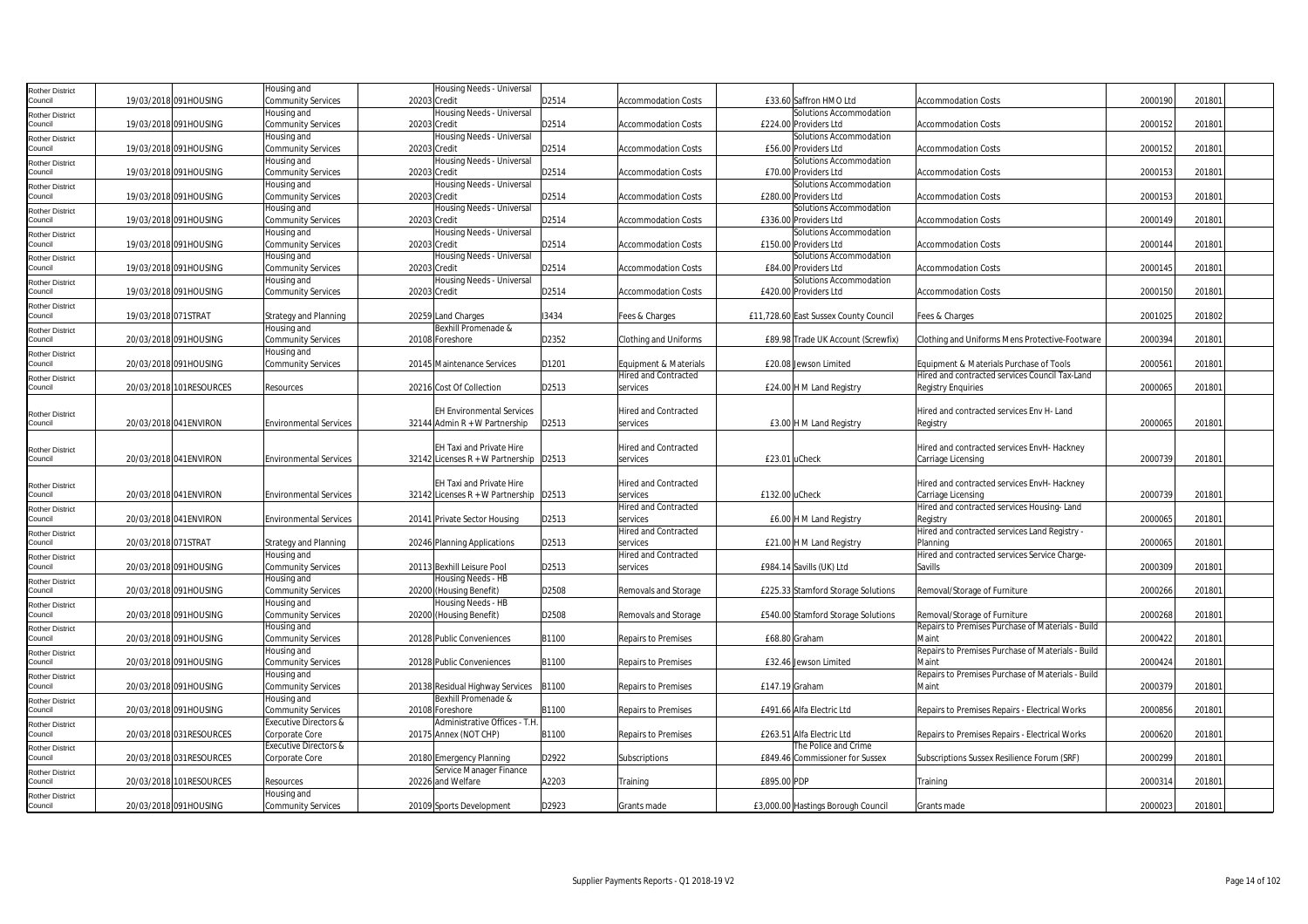| Rother District            |                     |                          | Housing and                      | Housing Needs - Universal                |       |                             |                                       |                                                   |         |        |  |
|----------------------------|---------------------|--------------------------|----------------------------------|------------------------------------------|-------|-----------------------------|---------------------------------------|---------------------------------------------------|---------|--------|--|
| Council                    |                     | 19/03/2018 091HOUSING    | Community Services               | 20203 Credit                             | D2514 | <b>Accommodation Costs</b>  | £33.60 Saffron HMO Ltd                | <b>Accommodation Costs</b>                        | 2000190 | 201801 |  |
| Rother District            |                     |                          | Housing and                      | Housing Needs - Universal                |       |                             | Solutions Accommodation               |                                                   |         |        |  |
| Council                    |                     | 19/03/2018 091HOUSING    | Community Services               | 20203 Credit                             | D2514 | <b>Accommodation Costs</b>  | £224.00 Providers Ltd                 | <b>Accommodation Costs</b>                        | 2000152 | 201801 |  |
| Rother District            |                     |                          | Housing and                      | Housing Needs - Universal                |       |                             | Solutions Accommodation               |                                                   |         |        |  |
| Council                    |                     | 19/03/2018 091HOUSING    | <b>Community Services</b>        | 20203 Credit                             | D2514 | <b>Accommodation Costs</b>  | £56.00 Providers Ltd                  | <b>Accommodation Costs</b>                        | 2000152 | 201801 |  |
| Rother District            |                     |                          | Housing and                      | Housing Needs - Universal                |       |                             | Solutions Accommodation               |                                                   |         |        |  |
| Council                    |                     | 19/03/2018 091HOUSING    | Community Services               | 20203 Credit                             | D2514 | <b>Accommodation Costs</b>  | £70.00 Providers Ltd                  | <b>Accommodation Costs</b>                        | 2000153 | 201801 |  |
| <b>Rother District</b>     |                     |                          | Housing and                      | Housing Needs - Universal                |       |                             | Solutions Accommodation               |                                                   |         |        |  |
| council                    |                     | 19/03/2018 091HOUSING    | Community Services               | 20203 Credit                             | D2514 | <b>Accommodation Costs</b>  | £280.00 Providers Ltd                 | <b>Accommodation Costs</b>                        | 2000153 | 201801 |  |
| Rother District            |                     |                          | Housing and                      | Housing Needs - Universal                |       |                             | Solutions Accommodation               |                                                   |         |        |  |
| Council                    |                     | 19/03/2018 091HOUSING    | <b>Community Services</b>        | 20203 Credit                             | D2514 | Accommodation Costs         | £336.00 Providers Ltd                 | <b>Accommodation Costs</b>                        | 2000149 | 201801 |  |
| Rother District            |                     |                          | Housing and                      | Housing Needs - Universal                |       |                             | Solutions Accommodation               |                                                   |         |        |  |
| Council                    |                     | 19/03/2018 091HOUSING    | <b>Community Services</b>        | 20203 Credit                             | D2514 | Accommodation Costs         | £150.00 Providers Ltd                 | <b>Accommodation Costs</b>                        | 2000144 | 201801 |  |
| Rother District            |                     |                          | Housing and                      | Housing Needs - Universal                |       |                             | Solutions Accommodation               |                                                   |         |        |  |
| Council                    |                     | 19/03/2018 091HOUSING    | <b>Community Services</b>        | 20203 Credit                             | D2514 | Accommodation Costs         | £84.00 Providers Ltd                  | <b>Accommodation Costs</b>                        | 2000145 | 201801 |  |
| Rother District            |                     |                          | Housing and                      | Housing Needs - Universal                |       |                             | Solutions Accommodation               |                                                   |         |        |  |
| Council                    |                     | 19/03/2018 091HOUSING    | Community Services               | 20203 Credit                             | D2514 | <b>Accommodation Costs</b>  | £420.00 Providers Ltd                 | <b>Accommodation Costs</b>                        | 2000150 | 201801 |  |
| Rother District            |                     |                          |                                  |                                          |       |                             |                                       |                                                   |         |        |  |
| Council                    | 19/03/2018 071STRAT |                          | <b>Strategy and Planning</b>     | 20259 Land Charges                       | 13434 | Fees & Charges              | £11,728.60 East Sussex County Council | Fees & Charges                                    | 2001025 | 201802 |  |
| Rother District            |                     |                          | Housing and                      | Bexhill Promenade &                      |       |                             |                                       |                                                   |         |        |  |
| Council                    |                     | 20/03/2018 091HOUSING    | Community Services               | 20108 Foreshore                          | D2352 | Clothing and Uniforms       | £89.98 Trade UK Account (Screwfix)    | Clothing and Uniforms Mens Protective-Footware    | 2000394 | 201801 |  |
| Rother District            |                     |                          | Housing and                      |                                          |       |                             |                                       |                                                   |         |        |  |
| Council                    |                     | 20/03/2018 091HOUSING    | Community Services               | 20145 Maintenance Services               | D1201 | Equipment & Materials       | £20.08 Jewson Limited                 | Equipment & Materials Purchase of Tools           | 200056  | 201801 |  |
| Rother District            |                     |                          |                                  |                                          |       | <b>Hired and Contracted</b> |                                       | Hired and contracted services Council Tax-Land    |         |        |  |
| Council                    |                     | 20/03/2018 101RESOURCES  | Resources                        | 20216 Cost Of Collection                 | D2513 | services                    | £24.00 H M Land Registry              | Registry Enquiries                                | 2000065 | 201801 |  |
|                            |                     |                          |                                  |                                          |       |                             |                                       |                                                   |         |        |  |
| Rother District            |                     |                          |                                  | <b>EH Environmental Services</b>         |       | <b>Hired and Contracted</b> |                                       | Hired and contracted services Env H- Land         |         |        |  |
| Council                    |                     | 20/03/2018 041 ENVIRON   | <b>Environmental Services</b>    | 32144 Admin R + W Partnership            | D2513 | services                    | £3.00 H M Land Registry               | Registry                                          | 2000065 | 201801 |  |
|                            |                     |                          |                                  |                                          |       |                             |                                       |                                                   |         |        |  |
| Rother District            |                     |                          |                                  | <b>EH Taxi and Private Hire</b>          |       | <b>Hired and Contracted</b> |                                       | Hired and contracted services EnvH- Hackney       |         |        |  |
| Council                    |                     | 20/03/2018 041 ENVIRON   | <b>Environmental Services</b>    | 32142 Licenses R + W Partnership   D2513 |       | services                    | £23.01 uCheck                         | Carriage Licensing                                | 2000739 | 201801 |  |
|                            |                     |                          |                                  |                                          |       |                             |                                       |                                                   |         |        |  |
|                            |                     |                          |                                  | EH Taxi and Private Hire                 |       | <b>Hired and Contracted</b> |                                       | Hired and contracted services EnvH- Hackney       |         |        |  |
| Rother District<br>Council |                     | 20/03/2018 041 ENVIRON   | <b>Environmental Services</b>    | 32142 Licenses R + W Partnership   D2513 |       | services                    | £132.00 uCheck                        | Carriage Licensing                                | 200073  | 201801 |  |
|                            |                     |                          |                                  |                                          |       | Hired and Contracted        |                                       | Hired and contracted services Housing-Land        |         |        |  |
| Rother District<br>Council |                     | 20/03/2018 041ENVIRON    | <b>Environmental Services</b>    | 20141 Private Sector Housing             | D2513 | services                    | £6.00 H M Land Registry               | Registry                                          | 2000065 | 201801 |  |
| Rother District            |                     |                          |                                  |                                          |       | Hired and Contracted        |                                       | Hired and contracted services Land Registry -     |         |        |  |
| Council                    | 20/03/2018 071STRAT |                          | <b>Strategy and Planning</b>     | 20246 Planning Applications              | D2513 | services                    | £21.00 H M Land Registry              | Planning                                          | 2000065 | 201801 |  |
| Rother District            |                     |                          | Housing and                      |                                          |       | Hired and Contracted        |                                       | Hired and contracted services Service Charge-     |         |        |  |
| Council                    |                     | 20/03/2018 091HOUSING    | Community Services               | 20113 Bexhill Leisure Pool               | D2513 | services                    | £984.14 Savills (UK) Ltd              | Savills                                           | 2000309 | 201801 |  |
| Rother District            |                     |                          | Housing and                      | lousing Needs - HB                       |       |                             |                                       |                                                   |         |        |  |
| Council                    |                     | 20/03/2018 091HOUSING    | <b>Community Services</b>        | 20200 (Housing Benefit)                  | D2508 | Removals and Storage        | £225.33 Stamford Storage Solutions    | Removal/Storage of Furniture                      | 2000266 | 201801 |  |
| Rother District            |                     |                          | Housing and                      | Housing Needs - HB                       |       |                             |                                       |                                                   |         |        |  |
| Council                    |                     | 20/03/2018 091HOUSING    | <b>Community Services</b>        | 20200 (Housing Benefit)                  | D2508 | Removals and Storage        | £540.00 Stamford Storage Solutions    | Removal/Storage of Furniture                      | 2000268 | 201801 |  |
| <b>Rother District</b>     |                     |                          | Housing and                      |                                          |       |                             |                                       | Repairs to Premises Purchase of Materials - Build |         |        |  |
| Council                    |                     | 20/03/2018 091HOUSING    | Community Services               | 20128 Public Conveniences                | B1100 | Repairs to Premises         | £68.80 Graham                         | Maint                                             | 2000422 | 201801 |  |
| Rother District            |                     |                          | Housing and                      |                                          |       |                             |                                       | Repairs to Premises Purchase of Materials - Build |         |        |  |
| Council                    |                     | 20/03/2018 091HOUSING    | Community Services               | 20128 Public Conveniences                | B1100 | Repairs to Premises         | £32.46 Jewson Limited                 | Maint                                             | 2000424 | 201801 |  |
| Rother District            |                     |                          | Housing and                      |                                          |       |                             |                                       | Repairs to Premises Purchase of Materials - Build |         |        |  |
| Council                    |                     | 20/03/2018 091HOUSING    | <b>Community Services</b>        | 20138 Residual Highway Services          | B1100 | Repairs to Premises         | £147.19 Graham                        | Maint                                             | 2000379 | 201801 |  |
| Rother District            |                     |                          | Housing and                      | Bexhill Promenade &                      |       |                             |                                       |                                                   |         |        |  |
| Council                    |                     | 20/03/2018 091HOUSING    | Community Services               | 20108 Foreshore                          | B1100 | Repairs to Premises         | £491.66 Alfa Electric Ltd             | Repairs to Premises Repairs - Electrical Works    | 2000856 | 201801 |  |
| Rother District            |                     |                          | <b>Executive Directors &amp;</b> | Administrative Offices - T.H.            |       |                             |                                       |                                                   |         |        |  |
| Council                    |                     | 20/03/2018 031 RESOURCES | Corporate Core                   | 20175 Annex (NOT CHP)                    | B1100 | Repairs to Premises         | £263.51 Alfa Electric Ltd             | Repairs to Premises Repairs - Electrical Works    | 2000620 | 201801 |  |
| Rother District            |                     |                          | <b>Executive Directors &amp;</b> |                                          |       |                             | The Police and Crime                  |                                                   |         |        |  |
| Council                    |                     | 20/03/2018 031RESOURCES  | Corporate Core                   | 20180 Emergency Planning                 | D2922 | Subscriptions               | £849.46 Commissioner for Sussex       | Subscriptions Sussex Resilience Forum (SRF)       | 2000299 | 201801 |  |
| Rother District            |                     |                          |                                  | Service Manager Finance                  |       |                             |                                       |                                                   |         |        |  |
| Council                    |                     | 20/03/2018 101RESOURCES  | Resources                        | 20226 and Welfare                        | A2203 | Training                    | £895.00 PDP                           | Training                                          | 2000314 | 201801 |  |
| Rother District            |                     |                          | Housing and                      |                                          |       |                             |                                       |                                                   |         |        |  |
| Council                    |                     | 20/03/2018 091HOUSING    | <b>Community Services</b>        | 20109 Sports Development                 | D2923 | Grants made                 | £3,000.00 Hastings Borough Council    | Grants made                                       | 2000023 | 201801 |  |
|                            |                     |                          |                                  |                                          |       |                             |                                       |                                                   |         |        |  |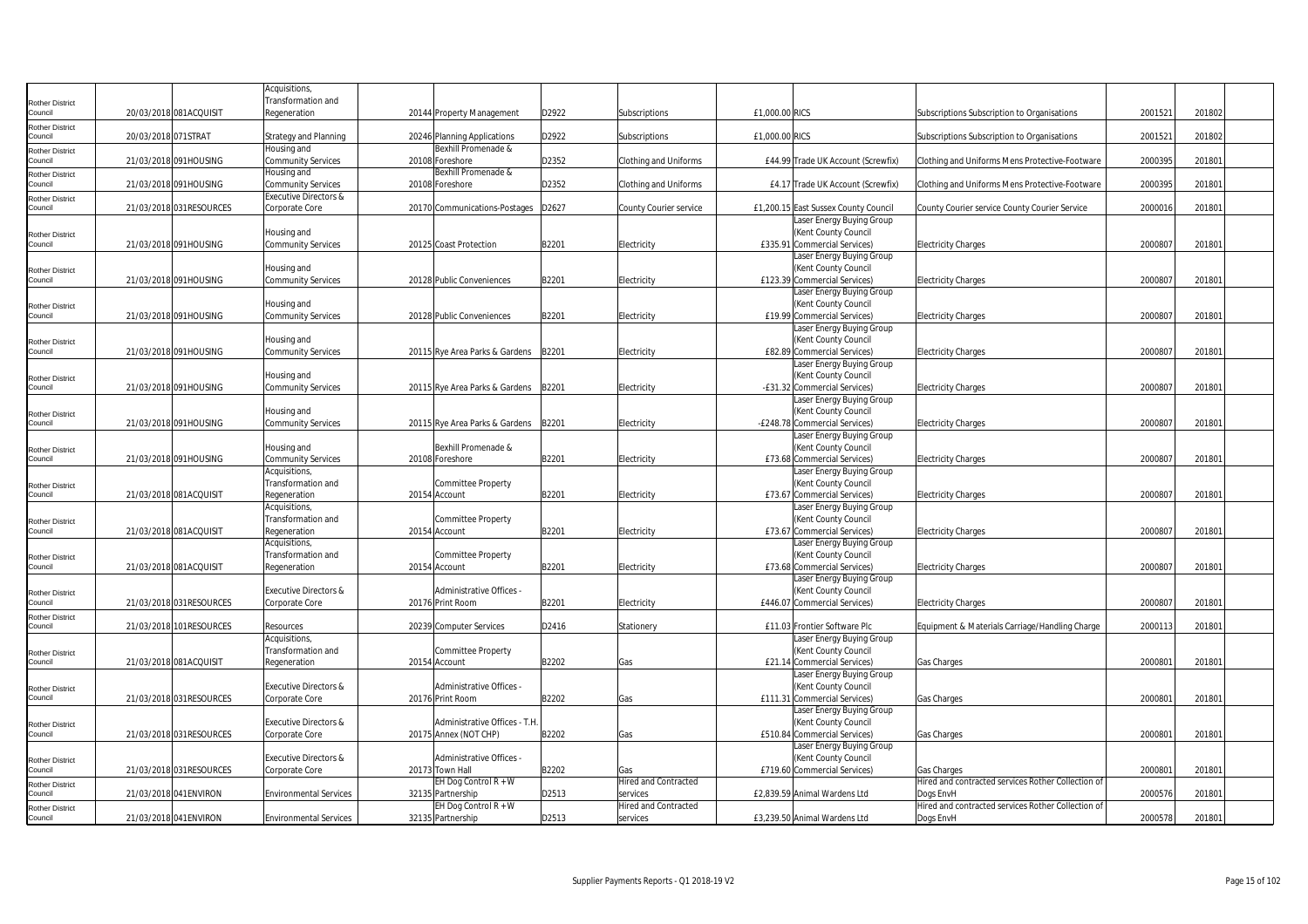|                                   |                         | Acquisitions,                                                 |                                        |       |                             |                                                          |                                                    |         |        |  |
|-----------------------------------|-------------------------|---------------------------------------------------------------|----------------------------------------|-------|-----------------------------|----------------------------------------------------------|----------------------------------------------------|---------|--------|--|
| <b>Rother District</b>            |                         | Transformation and                                            |                                        |       |                             |                                                          |                                                    |         |        |  |
| Council                           | 20/03/2018 081ACQUISIT  | Regeneration                                                  | 20144 Property Management              | D2922 | Subscriptions               | £1,000.00 RICS                                           | Subscriptions Subscription to Organisations        | 200152  | 201802 |  |
| <b>Rother District</b>            |                         |                                                               |                                        |       |                             |                                                          |                                                    |         |        |  |
| Council                           | 20/03/2018 071STRAT     | Strategy and Planning                                         | 20246 Planning Applications            | D2922 | Subscriptions               | £1,000,00 RICS                                           | Subscriptions Subscription to Organisations        | 2001521 | 201802 |  |
| Rother District                   |                         | Housing and                                                   | Bexhill Promenade &                    |       |                             |                                                          |                                                    |         |        |  |
| Council                           | 21/03/2018 091HOUSING   | <b>Community Services</b>                                     | 20108 Foreshore                        | D2352 | Clothing and Uniforms       | £44.99 Trade UK Account (Screwfix)                       | Clothing and Uniforms Mens Protective-Footware     | 2000395 | 201801 |  |
| Rother District<br>Council        | 21/03/2018 091HOUSING   | Housing and                                                   | Bexhill Promenade &<br>20108 Foreshore | D2352 |                             | £4.17 Trade UK Account (Screwfix)                        |                                                    | 2000395 | 201801 |  |
|                                   |                         | <b>Community Services</b><br><b>Executive Directors &amp;</b> |                                        |       | Clothing and Uniforms       |                                                          | Clothing and Uniforms Mens Protective-Footware     |         |        |  |
| Rother District<br>Council        | 21/03/2018 031RESOURCES | Corporate Core                                                | 20170 Communications-Postages          | D2627 | County Courier service      | £1.200.15 East Sussex County Council                     | County Courier service County Courier Service      | 200001  | 201801 |  |
|                                   |                         |                                                               |                                        |       |                             | Laser Energy Buying Group                                |                                                    |         |        |  |
| Rother District                   |                         | Housing and                                                   |                                        |       |                             | (Kent County Council                                     |                                                    |         |        |  |
| Council                           | 21/03/2018 091HOUSING   | <b>Community Services</b>                                     | 20125 Coast Protection                 | B2201 | Electricity                 | £335.91 Commercial Services)                             | Electricity Charges                                | 200080  | 201801 |  |
|                                   |                         |                                                               |                                        |       |                             | Laser Energy Buying Group                                |                                                    |         |        |  |
| <b>Rother District</b>            |                         | Housing and                                                   |                                        |       |                             | (Kent County Council                                     |                                                    |         |        |  |
| Council                           | 21/03/2018 091HOUSING   | <b>Community Services</b>                                     | 20128 Public Conveniences              | B2201 | Electricity                 | £123.39 Commercial Services)                             | Electricity Charges                                | 2000807 | 201801 |  |
|                                   |                         |                                                               |                                        |       |                             | Laser Energy Buying Group                                |                                                    |         |        |  |
| <b>Rother District</b>            |                         | Housing and                                                   |                                        |       |                             | (Kent County Council                                     |                                                    |         |        |  |
| Council                           | 21/03/2018 091HOUSING   | <b>Community Services</b>                                     | 20128 Public Conveniences              | B2201 | Electricity                 | £19.99 Commercial Services)                              | Electricity Charges                                | 2000807 | 201801 |  |
|                                   |                         |                                                               |                                        |       |                             | Laser Energy Buying Group                                |                                                    |         |        |  |
| <b>Rother District</b>            |                         | Housing and                                                   |                                        |       |                             | (Kent County Council                                     |                                                    |         |        |  |
| Council                           | 21/03/2018 091HOUSING   | <b>Community Services</b>                                     | 20115 Rye Area Parks & Gardens         | B2201 | Electricity                 | £82.89 Commercial Services)                              | Electricity Charges                                | 200080  | 20180  |  |
|                                   |                         |                                                               |                                        |       |                             | Laser Energy Buying Group                                |                                                    |         |        |  |
| Rother District                   |                         | Housing and                                                   |                                        |       |                             | (Kent County Council                                     |                                                    |         |        |  |
| Council                           | 21/03/2018 091HOUSING   | <b>Community Services</b>                                     | 20115 Rye Area Parks & Gardens         | B2201 | Electricity                 | -£31.32 Commercial Services)                             | Electricity Charges                                | 200080  | 201801 |  |
|                                   |                         |                                                               |                                        |       |                             | Laser Energy Buying Group                                |                                                    |         |        |  |
| Rother District                   |                         | Housing and                                                   |                                        |       |                             | (Kent County Council                                     |                                                    |         |        |  |
| Council                           | 21/03/2018 091HOUSING   | <b>Community Services</b>                                     | 20115 Rye Area Parks & Gardens         | B2201 | Electricity                 | -£248.78 Commercial Services)                            | Electricity Charges                                | 200080  | 201801 |  |
|                                   |                         |                                                               |                                        |       |                             | Laser Energy Buying Group                                |                                                    |         |        |  |
| <b>Rother District</b>            |                         | Housing and                                                   | Bexhill Promenade &                    |       |                             | (Kent County Council                                     |                                                    |         |        |  |
| Council                           | 21/03/2018 091HOUSING   | <b>Community Services</b>                                     | 20108 Foreshore                        | B2201 | Electricity                 | £73.68 Commercial Services)                              | Electricity Charges                                | 2000807 | 201801 |  |
|                                   |                         | Acquisitions,                                                 |                                        |       |                             | Laser Energy Buying Group                                |                                                    |         |        |  |
| <b>Rother District</b>            |                         | Transformation and                                            | <b>Committee Property</b>              |       |                             | Kent County Council)                                     |                                                    |         |        |  |
| Council                           | 21/03/2018 081ACQUISIT  | Regeneration                                                  | 20154 Account                          | B2201 | Electricity                 | £73.67 Commercial Services)                              | Electricity Charges                                | 2000807 | 201801 |  |
|                                   |                         | Acquisitions,                                                 |                                        |       |                             | Laser Energy Buying Group                                |                                                    |         |        |  |
| <b>Rother District</b><br>Council |                         | Transformation and                                            | Committee Property<br>20154 Account    |       |                             | (Kent County Council                                     |                                                    | 200080  | 20180  |  |
|                                   | 21/03/2018 081ACQUISIT  | Regeneration<br>Acquisitions,                                 |                                        | B2201 | Electricity                 | £73.67 Commercial Services)<br>Laser Energy Buying Group | Electricity Charges                                |         |        |  |
|                                   |                         | Transformation and                                            | <b>Committee Property</b>              |       |                             | (Kent County Council                                     |                                                    |         |        |  |
| Rother District<br>Council        | 21/03/2018 081ACQUISIT  | Regeneration                                                  | 20154 Account                          | B2201 | Electricity                 | £73.68 Commercial Services)                              | Electricity Charges                                | 2000807 | 201801 |  |
|                                   |                         |                                                               |                                        |       |                             | Laser Energy Buying Group                                |                                                    |         |        |  |
|                                   |                         | <b>Executive Directors &amp;</b>                              | Administrative Offices                 |       |                             | (Kent County Council                                     |                                                    |         |        |  |
| Rother District<br>Council        | 21/03/2018 031RESOURCES | Corporate Core                                                | 20176 Print Room                       | B2201 | Electricity                 | £446.07 Commercial Services)                             | Electricity Charges                                | 200080  | 201801 |  |
| <b>Rother District</b>            |                         |                                                               |                                        |       |                             |                                                          |                                                    |         |        |  |
| Council                           | 21/03/2018 101RESOURCES | Resources                                                     | 20239 Computer Services                | D2416 | Stationery                  | £11.03 Frontier Software Plc                             | Equipment & Materials Carriage/Handling Charge     | 200011  | 201801 |  |
|                                   |                         | Acquisitions,                                                 |                                        |       |                             | Laser Energy Buying Group                                |                                                    |         |        |  |
| Rother District                   |                         | Transformation and                                            | Committee Property                     |       |                             | (Kent County Council                                     |                                                    |         |        |  |
| Council                           | 21/03/2018 081ACQUISIT  | Regeneration                                                  | 20154 Account                          | B2202 | Gas                         | £21.14 Commercial Services)                              | Gas Charges                                        | 200080  | 201801 |  |
|                                   |                         |                                                               |                                        |       |                             | Laser Energy Buying Group                                |                                                    |         |        |  |
| <b>Rother District</b>            |                         | <b>Executive Directors &amp;</b>                              | Administrative Offices                 |       |                             | (Kent County Council                                     |                                                    |         |        |  |
| Council                           | 21/03/2018 031RESOURCES | Corporate Core                                                | 20176 Print Room                       | B2202 | Gas                         | £111.31 Commercial Services)                             | Gas Charges                                        | 2000801 | 201801 |  |
|                                   |                         |                                                               |                                        |       |                             | Laser Energy Buying Group                                |                                                    |         |        |  |
| <b>Rother District</b>            |                         | <b>Executive Directors &amp;</b>                              | Administrative Offices - T.H           |       |                             | (Kent County Council                                     |                                                    |         |        |  |
| Council                           | 21/03/2018 031RESOURCES | Corporate Core                                                | 20175 Annex (NOT CHP)                  | B2202 | Gas                         | £510.84 Commercial Services)                             | Gas Charges                                        | 2000801 | 201801 |  |
|                                   |                         |                                                               |                                        |       |                             | Laser Energy Buying Group                                |                                                    |         |        |  |
| <b>Rother District</b>            |                         | <b>Executive Directors &amp;</b>                              | Administrative Offices -               |       |                             | (Kent County Council                                     |                                                    |         |        |  |
| Council                           | 21/03/2018 031RESOURCES | Corporate Core                                                | 20173 Town Hall                        | B2202 | Gas                         | £719.60 Commercial Services)                             | Gas Charges                                        | 200080  | 20180  |  |
| Rother District                   |                         |                                                               | EH Dog Control $R + W$                 |       | <b>Hired and Contracted</b> |                                                          | Hired and contracted services Rother Collection of |         |        |  |
| Council                           | 21/03/2018 041 ENVIRON  | <b>Environmental Services</b>                                 | 32135 Partnership                      | D2513 | services                    | £2,839.59 Animal Wardens Ltd                             | Dogs EnvH                                          | 200057  | 201801 |  |
| <b>Rother District</b>            |                         |                                                               | EH Dog Control R + W                   |       | Hired and Contracted        |                                                          | Hired and contracted services Rother Collection of |         |        |  |
| Council                           | 21/03/2018 041 ENVIRON  | <b>Environmental Services</b>                                 | 32135 Partnership                      | D2513 | services                    | £3,239.50 Animal Wardens Ltd                             | Dogs EnvH                                          | 2000578 | 201801 |  |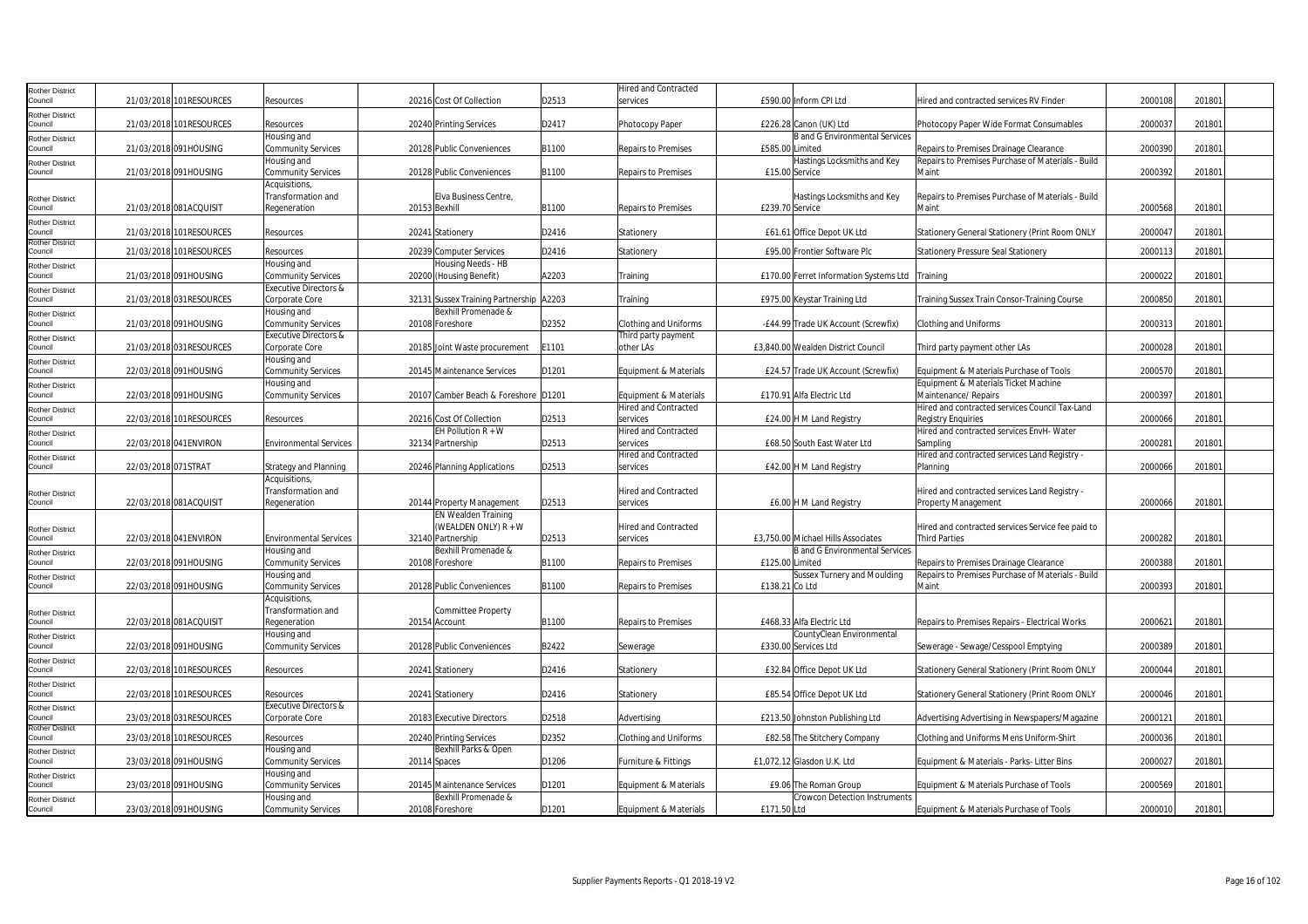| Rother District                   |                          |                                  |                                         |       | Hired and Contracted                                 |                 |                                                        |                                                                        |         |        |
|-----------------------------------|--------------------------|----------------------------------|-----------------------------------------|-------|------------------------------------------------------|-----------------|--------------------------------------------------------|------------------------------------------------------------------------|---------|--------|
| Council                           | 21/03/2018 101RESOURCES  | Resources                        | 20216 Cost Of Collection                | D2513 | services                                             |                 | £590.00 Inform CPI Ltd                                 | Hired and contracted services RV Finder                                | 2000108 | 201801 |
| <b>Rother District</b>            |                          |                                  |                                         |       |                                                      |                 |                                                        |                                                                        |         |        |
| Council                           | 21/03/2018 101 RESOURCES | Resources                        | 20240 Printing Services                 | D2417 | Photocopy Paper                                      |                 | £226.28 Canon (UK) Ltd                                 | Photocopy Paper Wide Format Consumables                                | 200003  | 201801 |
| <b>Rother District</b>            |                          | Housing and                      |                                         |       |                                                      |                 | <b>B</b> and G Environmental Services                  |                                                                        |         |        |
| ouncil                            | 21/03/2018 091HOUSING    | <b>Community Services</b>        | 20128 Public Conveniences               | B1100 | <b>Repairs to Premises</b>                           | £585.00 Limited |                                                        | Repairs to Premises Drainage Clearance                                 | 2000390 | 201801 |
| Rother District                   |                          | Housing and                      |                                         |       |                                                      |                 | Hastings Locksmiths and Key                            | Repairs to Premises Purchase of Materials - Build                      |         |        |
| Council                           | 21/03/2018 091HOUSING    | <b>Community Services</b>        | 20128 Public Conveniences               | B1100 | Repairs to Premises                                  |                 | £15.00 Service                                         | Maint                                                                  | 2000392 | 201801 |
|                                   |                          | Acquisitions                     |                                         |       |                                                      |                 |                                                        |                                                                        |         |        |
| Rother District                   |                          | Transformation and               | Elva Business Centre,                   |       |                                                      |                 | Hastings Locksmiths and Key                            | Repairs to Premises Purchase of Materials - Build                      |         |        |
| Council                           | 21/03/2018 081ACQUISIT   | Regeneration                     | 20153 Bexhill                           | B1100 | <b>Repairs to Premises</b>                           | £239.70 Service |                                                        | Maint                                                                  | 2000568 | 201801 |
| <b>Rother District</b>            |                          |                                  |                                         |       |                                                      |                 |                                                        |                                                                        |         |        |
| Council<br><b>Rother District</b> | 21/03/2018 101RESOURCES  | Resources                        | 20241 Stationery                        | D2416 | Stationery                                           |                 | £61.61 Office Depot UK Ltd                             | Stationery General Stationery (Print Room ONLY                         | 200004  | 201801 |
| Council                           | 21/03/2018 101RESOURCES  | Resources                        | 20239 Computer Services                 | D2416 | Stationery                                           |                 | £95.00 Frontier Software Plc                           | Stationery Pressure Seal Stationery                                    | 200011  | 201801 |
| Rother District                   |                          | Housing and                      | Housing Needs - HB                      |       |                                                      |                 |                                                        |                                                                        |         |        |
| Council                           | 21/03/2018 091HOUSING    | <b>Community Services</b>        | 20200 (Housing Benefit)                 | A2203 | Training                                             |                 | £170.00 Ferret Information Systems Ltd                 | Training                                                               | 2000022 | 201801 |
| Rother District                   |                          | <b>Executive Directors &amp;</b> |                                         |       |                                                      |                 |                                                        |                                                                        |         |        |
| Council                           | 21/03/2018 031RESOURCES  | Corporate Core                   | 32131 Sussex Training Partnership A2203 |       | Training                                             |                 | £975.00 Keystar Training Ltd                           | Training Sussex Train Consor-Training Course                           | 2000850 | 201801 |
| <b>Rother District</b>            |                          | Housing and                      | Bexhill Promenade &                     |       |                                                      |                 |                                                        |                                                                        |         |        |
| Council                           | 21/03/2018 091HOUSING    | <b>Community Services</b>        | 20108 Foreshore                         | D2352 | Clothing and Uniforms                                |                 | -£44.99 Trade UK Account (Screwfix)                    | <b>Clothing and Uniforms</b>                                           | 2000313 | 201801 |
| Rother District                   |                          | <b>Executive Directors &amp;</b> |                                         |       | Third party payment                                  |                 |                                                        |                                                                        |         |        |
| Council                           | 21/03/2018 031 RESOURCES | Corporate Core                   | 20185 Joint Waste procurement           | E1101 | other LAs                                            |                 | £3,840.00 Wealden District Council                     | Third party payment other LAs                                          | 2000028 | 201801 |
| Rother District                   |                          | Housing and                      |                                         |       |                                                      |                 |                                                        |                                                                        |         |        |
| Council                           | 22/03/2018 091HOUSING    | Community Services               | 20145 Maintenance Services              | D1201 | Equipment & Materials                                |                 | £24.57 Trade UK Account (Screwfix)                     | Equipment & Materials Purchase of Tools                                | 2000570 | 201801 |
| Rother District<br>Council        |                          | Housing and                      |                                         |       |                                                      |                 |                                                        | Equipment & Materials Ticket Machine                                   |         |        |
|                                   | 22/03/2018 091HOUSING    | <b>Community Services</b>        | 20107 Camber Beach & Foreshore D1201    |       | Equipment & Materials<br><b>Hired and Contracted</b> |                 | £170.91 Alfa Electric Ltd                              | Maintenance/ Repairs<br>Hired and contracted services Council Tax-Land | 2000397 | 201801 |
| Rother District<br>Council        | 22/03/2018 101RESOURCES  | Resources                        | 20216 Cost Of Collection                | D2513 | services                                             |                 | £24.00 H M Land Registry                               |                                                                        | 200006  | 201801 |
|                                   |                          |                                  | EH Pollution $R + W$                    |       | Hired and Contracted                                 |                 |                                                        | Registry Enquiries<br>Hired and contracted services EnvH-Water         |         |        |
| Rother District<br>Council        | 22/03/2018 041 ENVIRON   | <b>Environmental Services</b>    | 32134 Partnership                       | D2513 | services                                             |                 | £68.50 South East Water Ltd                            | Sampling                                                               | 200028  | 201801 |
| <b>Rother District</b>            |                          |                                  |                                         |       | <b>Hired and Contracted</b>                          |                 |                                                        | Hired and contracted services Land Registry -                          |         |        |
| Council                           | 22/03/2018 071STRAT      | <b>Strategy and Planning</b>     | 20246 Planning Applications             | D2513 | services                                             |                 | £42.00 H M Land Registry                               | Planning                                                               | 2000066 | 201801 |
|                                   |                          | Acquisitions,                    |                                         |       |                                                      |                 |                                                        |                                                                        |         |        |
| Rother District                   |                          | Transformation and               |                                         |       | <b>Hired and Contracted</b>                          |                 |                                                        | Hired and contracted services Land Registry -                          |         |        |
| Council                           | 22/03/2018 081ACQUISIT   | Regeneration                     | 20144 Property Management               | D2513 | services                                             |                 | £6.00 H M Land Registry                                | Property Management                                                    | 2000066 | 201801 |
|                                   |                          |                                  | EN Wealden Training                     |       |                                                      |                 |                                                        |                                                                        |         |        |
| <b>Rother District</b>            |                          |                                  | (WEALDEN ONLY) R + W                    |       | Hired and Contracted                                 |                 |                                                        | Hired and contracted services Service fee paid to                      |         |        |
| Council                           | 22/03/2018 041 ENVIRON   | <b>Environmental Services</b>    | 32140 Partnership                       | D2513 | services                                             |                 | £3,750.00 Michael Hills Associates                     | <b>Third Parties</b>                                                   | 2000282 | 201801 |
| Rother District                   |                          | Housing and                      | Bexhill Promenade &                     |       |                                                      |                 | <b>B</b> and G Environmental Services                  |                                                                        |         |        |
| Council                           | 22/03/2018 091HOUSING    | <b>Community Services</b>        | 20108 Foreshore                         | B1100 | <b>Repairs to Premises</b>                           | £125.00 Limited |                                                        | Repairs to Premises Drainage Clearance                                 | 2000388 | 201801 |
| Rother District                   |                          | Housing and                      |                                         |       |                                                      |                 | <b>Sussex Turnery and Moulding</b>                     | Repairs to Premises Purchase of Materials - Build                      |         |        |
| Council                           | 22/03/2018 091HOUSING    | <b>Community Services</b>        | 20128 Public Conveniences               | B1100 | <b>Repairs to Premises</b>                           | £138.21 Co Ltd  |                                                        | Maint                                                                  | 2000393 | 201801 |
|                                   |                          | <b>Acquisitions</b>              |                                         |       |                                                      |                 |                                                        |                                                                        |         |        |
| <b>Rother District</b>            |                          | Transformation and               | <b>Committee Property</b>               |       |                                                      |                 |                                                        |                                                                        |         |        |
| Council                           | 22/03/2018 081ACQUISIT   | Regeneration                     | 20154 Account                           | B1100 | <b>Repairs to Premises</b>                           |                 | £468.33 Alfa Electric Ltd<br>CountyClean Environmental | Repairs to Premises Repairs - Electrical Works                         | 2000621 | 201801 |
| Rother District<br>Council        | 22/03/2018 091HOUSING    | Housing and                      |                                         | B2422 |                                                      |                 | £330.00 Services Ltd                                   |                                                                        | 200038  | 201801 |
|                                   |                          | <b>Community Services</b>        | 20128 Public Conveniences               |       | Sewerage                                             |                 |                                                        | Sewerage - Sewage/Cesspool Emptying                                    |         |        |
| Rother District<br>Council        | 22/03/2018 101RESOURCES  | Resources                        | 20241 Stationery                        | D2416 | Stationery                                           |                 | £32.84 Office Depot UK Ltd                             | Stationery General Stationery (Print Room ONLY                         | 2000044 | 201801 |
|                                   |                          |                                  |                                         |       |                                                      |                 |                                                        |                                                                        |         |        |
| Rother District<br>Council        | 22/03/2018 101RESOURCES  | Resources                        | 20241 Stationery                        | D2416 | Stationery                                           |                 | £85.54 Office Depot UK Ltd                             | Stationery General Stationery (Print Room ONLY                         | 2000046 | 201801 |
| Rother District                   |                          | Executive Directors &            |                                         |       |                                                      |                 |                                                        |                                                                        |         |        |
| Council                           | 23/03/2018 031RESOURCES  | Corporate Core                   | 20183 Executive Directors               | D2518 | Advertising                                          |                 | £213.50 Johnston Publishing Ltd                        | Advertising Advertising in Newspapers/Magazine                         | 200012  | 201801 |
| Rother District                   |                          |                                  |                                         |       |                                                      |                 |                                                        |                                                                        |         |        |
| Council                           | 23/03/2018 101RESOURCES  | Resources                        | 20240 Printing Services                 | D2352 | <b>Clothing and Uniforms</b>                         |                 | £82.58 The Stitchery Company                           | Clothing and Uniforms Mens Uniform-Shirt                               | 2000036 | 201801 |
| Rother District                   |                          | Housing and                      | Bexhill Parks & Open                    |       |                                                      |                 |                                                        |                                                                        |         |        |
| Council                           | 23/03/2018 091HOUSING    | <b>Community Services</b>        | 20114 Spaces                            | D1206 | Furniture & Fittings                                 |                 | £1,072.12 Glasdon U.K. Ltd                             | Equipment & Materials - Parks- Litter Bins                             | 2000027 | 201801 |
| Rother District                   |                          | Housing and                      |                                         |       |                                                      |                 |                                                        |                                                                        |         |        |
| Council                           | 23/03/2018 091HOUSING    | <b>Community Services</b>        | 20145 Maintenance Services              | D1201 | Equipment & Materials                                |                 | £9.06 The Roman Group                                  | Equipment & Materials Purchase of Tools                                | 2000569 | 201801 |
| Rother District                   |                          | Housing and                      | Bexhill Promenade &                     |       |                                                      |                 | <b>Crowcon Detection Instruments</b>                   |                                                                        |         |        |
| Council                           | 23/03/2018 091HOUSING    | <b>Community Services</b>        | 20108 Foreshore                         | D1201 | Equipment & Materials                                | £171.50 Ltd     |                                                        | Equipment & Materials Purchase of Tools                                | 2000010 | 201801 |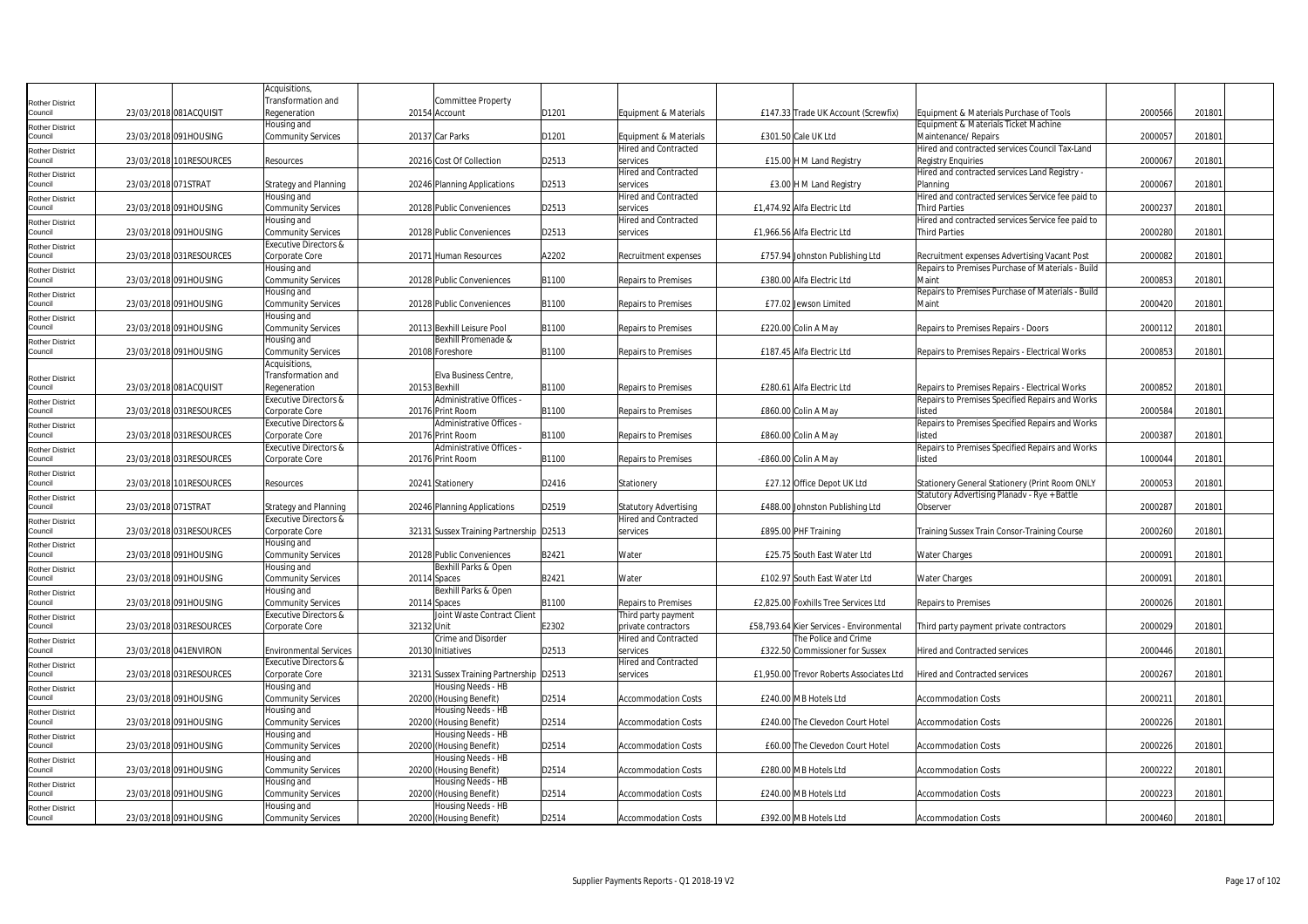|                                   |                     |                          | Acquisitions,                    |                                         |       |                              |                                          |                                                   |         |        |  |
|-----------------------------------|---------------------|--------------------------|----------------------------------|-----------------------------------------|-------|------------------------------|------------------------------------------|---------------------------------------------------|---------|--------|--|
| Rother District                   |                     |                          | Transformation and               | <b>Committee Property</b>               |       |                              |                                          |                                                   |         |        |  |
| Council                           |                     | 23/03/2018 081ACQUISIT   | Regeneration                     | 20154 Account                           | D1201 | Equipment & Materials        | £147.33 Trade UK Account (Screwfix)      | Equipment & Materials Purchase of Tools           | 2000566 | 201801 |  |
| Rother District                   |                     |                          | Housing and                      |                                         |       |                              |                                          | Equipment & Materials Ticket Machine              |         |        |  |
| Council                           |                     | 23/03/2018 091HOUSING    | <b>Community Services</b>        | 20137 Car Parks                         | D1201 | Equipment & Materials        | £301.50 Cale UK Ltd                      | Maintenance/ Repairs                              | 2000057 | 201801 |  |
| Rother District                   |                     |                          |                                  |                                         |       | <b>Hired and Contracted</b>  |                                          | Hired and contracted services Council Tax-Land    |         |        |  |
| Council                           |                     | 23/03/2018 101RESOURCES  | Resources                        | 20216 Cost Of Collection                | D2513 | services                     | £15.00 H M Land Registry                 | Registry Enguiries                                | 2000067 | 201801 |  |
| Rother District                   |                     |                          |                                  |                                         |       | Hired and Contracted         |                                          | Hired and contracted services Land Registry -     |         |        |  |
| Council                           | 23/03/2018 071STRAT |                          | <b>Strategy and Planning</b>     | 20246 Planning Applications             | D2513 | services                     | £3.00 H M Land Registry                  | Planning                                          | 2000067 | 201801 |  |
| <b>Rother District</b>            |                     |                          | Housing and                      |                                         |       | <b>Hired and Contracted</b>  |                                          | Hired and contracted services Service fee paid to |         |        |  |
| Council                           |                     | 23/03/2018 091HOUSING    | <b>Community Services</b>        | 20128 Public Conveniences               | D2513 | services                     | £1,474.92 Alfa Electric Ltd              | <b>Third Parties</b>                              | 2000237 | 201801 |  |
| Rother District                   |                     |                          | Housing and                      |                                         |       | <b>Hired and Contracted</b>  |                                          | Hired and contracted services Service fee paid to |         |        |  |
| Council                           |                     | 23/03/2018 091HOUSING    | <b>Community Services</b>        | 20128 Public Conveniences               | D2513 | services                     | £1,966.56 Alfa Electric Ltd              | <b>Third Parties</b>                              | 2000280 | 201801 |  |
| Rother District                   |                     |                          | Executive Directors &            |                                         |       |                              |                                          |                                                   |         |        |  |
| Council                           |                     | 23/03/2018 031RESOURCES  | Corporate Core                   | 20171 Human Resources                   | A2202 | Recruitment expenses         | £757.94 Johnston Publishing Ltd          | Recruitment expenses Advertising Vacant Post      | 2000082 | 201801 |  |
| Rother District                   |                     |                          | Housing and                      |                                         |       |                              |                                          | Repairs to Premises Purchase of Materials - Build |         |        |  |
| Council                           |                     | 23/03/2018 091HOUSING    | Community Services               | 20128 Public Conveniences               | B1100 | Repairs to Premises          | £380.00 Alfa Electric Ltd                | Maint                                             | 2000853 | 201801 |  |
| Rother District                   |                     |                          | Housing and                      |                                         |       |                              |                                          | Repairs to Premises Purchase of Materials - Build |         |        |  |
| Council                           |                     | 23/03/2018 091HOUSING    | <b>Community Services</b>        | 20128 Public Conveniences               | B1100 | <b>Repairs to Premises</b>   | £77.02 Jewson Limited                    | Maint                                             | 2000420 | 201801 |  |
|                                   |                     |                          | Housing and                      |                                         |       |                              |                                          |                                                   |         |        |  |
| <b>Rother District</b><br>Council |                     | 23/03/2018 091HOUSING    | <b>Community Services</b>        | 20113 Bexhill Leisure Pool              | B1100 | Repairs to Premises          | £220.00 Colin A May                      | Repairs to Premises Repairs - Doors               | 2000112 | 201801 |  |
|                                   |                     |                          | Housing and                      | Bexhill Promenade &                     |       |                              |                                          |                                                   |         |        |  |
| Rother District<br>Council        |                     | 23/03/2018 091HOUSING    | <b>Community Services</b>        | 20108 Foreshore                         | B1100 | <b>Repairs to Premises</b>   | £187.45 Alfa Electric Ltd                | Repairs to Premises Repairs - Electrical Works    | 2000853 | 201801 |  |
|                                   |                     |                          |                                  |                                         |       |                              |                                          |                                                   |         |        |  |
|                                   |                     |                          | Acquisitions,                    |                                         |       |                              |                                          |                                                   |         |        |  |
| Rother District                   |                     |                          | Transformation and               | Elva Business Centre                    |       |                              |                                          |                                                   |         |        |  |
| Council                           |                     | 23/03/2018 081ACQUISIT   | Regeneration                     | 20153 Bexhill                           | B1100 | Repairs to Premises          | £280.61 Alfa Electric Ltd                | Repairs to Premises Repairs - Electrical Works    | 2000852 | 201801 |  |
| Rother District                   |                     |                          | Executive Directors &            | Administrative Offices -                |       |                              |                                          | Repairs to Premises Specified Repairs and Works   |         |        |  |
| Council                           |                     | 23/03/2018 031RESOURCES  | Corporate Core                   | 20176 Print Room                        | B1100 | <b>Repairs to Premises</b>   | £860.00 Colin A May                      | listed                                            | 2000584 | 201801 |  |
| Rother District                   |                     |                          | Executive Directors &            | Administrative Offices -                |       |                              |                                          | Repairs to Premises Specified Repairs and Works   |         |        |  |
| Council                           |                     | 23/03/2018 031 RESOURCES | Corporate Core                   | 20176 Print Room                        | B1100 | <b>Repairs to Premises</b>   | £860.00 Colin A May                      | listed                                            | 2000387 | 201801 |  |
| Rother District                   |                     |                          | Executive Directors &            | Administrative Offices -                |       |                              |                                          | Repairs to Premises Specified Repairs and Works   |         |        |  |
| Council                           |                     | 23/03/2018 031RESOURCES  | Corporate Core                   | 20176 Print Room                        | B1100 | Repairs to Premises          | -£860.00 Colin A May                     | listed                                            | 1000044 | 201801 |  |
| Rother District                   |                     |                          |                                  |                                         |       |                              |                                          |                                                   |         |        |  |
| council                           |                     | 23/03/2018 101RESOURCES  | Resources                        | 20241 Stationery                        | D2416 | Stationery                   | £27.12 Office Depot UK Ltd               | Stationery General Stationery (Print Room ONLY    | 200005  | 201801 |  |
| <b>Rother District</b>            |                     |                          |                                  |                                         |       |                              |                                          | Statutory Advertising Planady - Rye + Battle      |         |        |  |
| Council                           | 23/03/2018 071STRAT |                          | <b>Strategy and Planning</b>     | 20246 Planning Applications             | D2519 | <b>Statutory Advertising</b> | £488.00 Johnston Publishing Ltd          | Observer                                          | 2000287 | 201801 |  |
| Rother District                   |                     |                          | <b>Executive Directors &amp;</b> |                                         |       | <b>Hired and Contracted</b>  |                                          |                                                   |         |        |  |
| Council                           |                     | 23/03/2018 031 RESOURCES | Corporate Core                   | 32131 Sussex Training Partnership D2513 |       | services                     | £895.00 PHF Training                     | Training Sussex Train Consor-Training Course      | 2000260 | 201801 |  |
| Rother District                   |                     |                          | Housing and                      |                                         |       |                              |                                          |                                                   |         |        |  |
| Council                           |                     | 23/03/2018 091HOUSING    | <b>Community Services</b>        | 20128 Public Conveniences               | B2421 | Water                        | £25.75 South East Water Ltd              | Water Charges                                     | 2000091 | 201801 |  |
| Rother District                   |                     |                          | Housing and                      | Bexhill Parks & Open                    |       |                              |                                          |                                                   |         |        |  |
| Council                           |                     | 23/03/2018 091HOUSING    | <b>Community Services</b>        | 20114 Spaces                            | B2421 | Water                        | £102.97 South East Water Ltd             | Water Charges                                     | 2000091 | 201801 |  |
| Rother District                   |                     |                          | Housing and                      | Bexhill Parks & Open                    |       |                              |                                          |                                                   |         |        |  |
| Council                           |                     | 23/03/2018 091HOUSING    | <b>Community Services</b>        | 20114 Spaces                            | B1100 | <b>Repairs to Premises</b>   | £2.825.00 Foxhills Tree Services Ltd     | <b>Repairs to Premises</b>                        | 200002  | 201801 |  |
|                                   |                     |                          | <b>Executive Directors &amp;</b> | Joint Waste Contract Client             |       | Third party payment          |                                          |                                                   |         |        |  |
| <b>Rother District</b><br>Council |                     | 23/03/2018 031RESOURCES  | Corporate Core                   | 32132 Unit                              | E2302 | private contractors          | £58,793.64 Kier Services - Environmental | Third party payment private contractors           | 2000029 | 201801 |  |
|                                   |                     |                          |                                  | Crime and Disorder                      |       | <b>Hired and Contracted</b>  | The Police and Crime                     |                                                   |         |        |  |
| Rother District<br>Council        |                     | 23/03/2018 041ENVIRON    | <b>Environmental Services</b>    | 20130 Initiatives                       | D2513 | services                     | £322.50 Commissioner for Sussex          | Hired and Contracted services                     | 2000446 | 201801 |  |
|                                   |                     |                          |                                  |                                         |       |                              |                                          |                                                   |         |        |  |
| Rother District                   |                     |                          | Executive Directors &            |                                         |       | <b>Hired and Contracted</b>  |                                          |                                                   |         |        |  |
| Council                           |                     | 23/03/2018 031 RESOURCES | Corporate Core                   | 32131 Sussex Training Partnership D2513 |       | services                     | £1,950.00 Trevor Roberts Associates Ltd  | Hired and Contracted services                     | 2000267 | 201801 |  |
| <b>Rother District</b><br>Council |                     |                          | Housing and                      | lousing Needs - HB                      |       |                              |                                          |                                                   |         |        |  |
|                                   |                     | 23/03/2018 091HOUSING    | <b>Community Services</b>        | 20200 (Housing Benefit)                 | D2514 | <b>Accommodation Costs</b>   | £240.00 MB Hotels Ltd                    | <b>Accommodation Costs</b>                        | 200021  | 201801 |  |
| Rother District                   |                     |                          | Housing and                      | Housing Needs - HB                      |       |                              |                                          |                                                   |         |        |  |
| council                           |                     | 23/03/2018 091HOUSING    | <b>Community Services</b>        | 20200 (Housing Benefit)                 | D2514 | <b>Accommodation Costs</b>   | £240.00 The Clevedon Court Hotel         | <b>Accommodation Costs</b>                        | 2000226 | 201801 |  |
| <b>Rother District</b>            |                     |                          | Housing and                      | Housing Needs - HB                      |       |                              |                                          |                                                   |         |        |  |
| Council                           |                     | 23/03/2018 091HOUSING    | <b>Community Services</b>        | 20200 (Housing Benefit)                 | D2514 | <b>Accommodation Costs</b>   | £60.00 The Clevedon Court Hotel          | <b>Accommodation Costs</b>                        | 2000226 | 201801 |  |
| Rother District                   |                     |                          | Housing and                      | Housing Needs - HB                      |       |                              |                                          |                                                   |         |        |  |
| Council                           |                     | 23/03/2018 091HOUSING    | <b>Community Services</b>        | 20200 (Housing Benefit)                 | D2514 | <b>Accommodation Costs</b>   | £280.00 MB Hotels Ltd                    | <b>Accommodation Costs</b>                        | 2000222 | 201801 |  |
| Rother District                   |                     |                          | Housing and                      | Housing Needs - HB                      |       |                              |                                          |                                                   |         |        |  |
| Council                           |                     | 23/03/2018 091HOUSING    | <b>Community Services</b>        | 20200 (Housing Benefit)                 | D2514 | <b>Accommodation Costs</b>   | £240.00 MB Hotels Ltd                    | <b>Accommodation Costs</b>                        | 2000223 | 201801 |  |
| Rother District                   |                     |                          | Housing and                      | Housing Needs - HB                      |       |                              |                                          |                                                   |         |        |  |
| Council                           |                     | 23/03/2018 091HOUSING    | <b>Community Services</b>        | 20200 (Housing Benefit)                 | D2514 | <b>Accommodation Costs</b>   | £392.00 MB Hotels Ltd                    | <b>Accommodation Costs</b>                        | 2000460 | 201801 |  |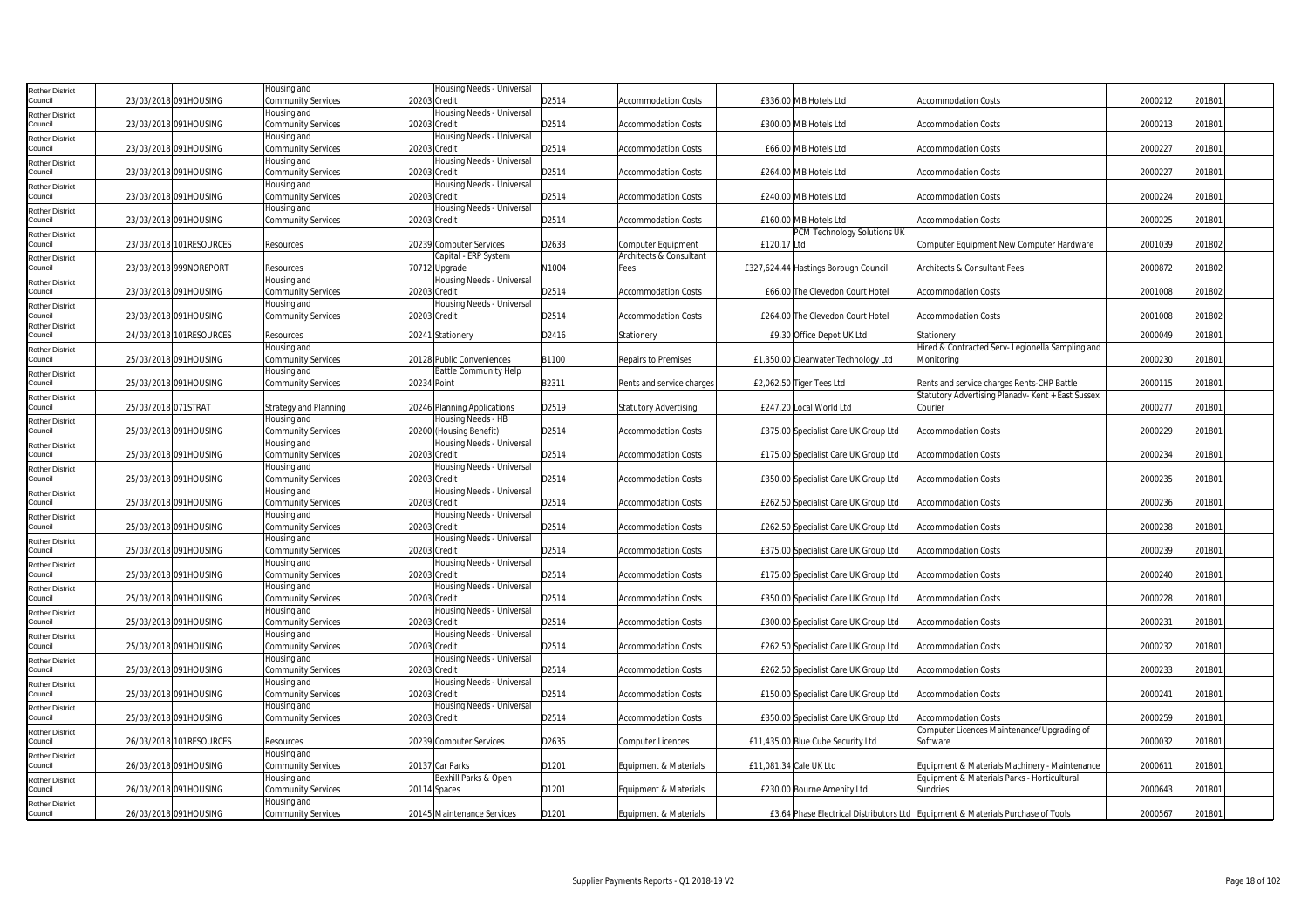| Rother District            |                     |                          | lousing and                              | Housing Needs - Universal                  |       |                              |                                      |                                                                                 |         |        |  |
|----------------------------|---------------------|--------------------------|------------------------------------------|--------------------------------------------|-------|------------------------------|--------------------------------------|---------------------------------------------------------------------------------|---------|--------|--|
| council                    |                     | 23/03/2018 091HOUSING    | Community Services                       | 20203 Credit                               | D2514 | <b>Accommodation Costs</b>   | £336.00 MB Hotels Ltd                | <b>Accommodation Costs</b>                                                      | 2000212 | 201801 |  |
| Rother District            |                     |                          | Housing and                              | Housing Needs - Universal                  |       |                              |                                      |                                                                                 |         |        |  |
| Council                    |                     | 23/03/2018 091HOUSING    | <b>Community Services</b>                | 20203 Credit                               | D2514 | Accommodation Costs          | £300.00 MB Hotels Ltd                | Accommodation Costs                                                             | 2000213 | 201801 |  |
| Rother District            |                     |                          | lousing and                              | Housing Needs - Universal                  |       |                              |                                      |                                                                                 |         |        |  |
| Council                    |                     | 23/03/2018 091HOUSING    | <b>Community Services</b>                | 20203 Credit                               | D2514 | <b>Accommodation Costs</b>   | £66.00 MB Hotels Ltd                 | <b>Accommodation Costs</b>                                                      | 2000227 | 201801 |  |
| Rother District            |                     |                          | Housing and                              | Housing Needs - Universal                  |       |                              |                                      |                                                                                 |         |        |  |
| Council                    |                     | 23/03/2018 091HOUSING    | <b>Community Services</b>                | 20203 Credit                               | D2514 | <b>Accommodation Costs</b>   | £264.00 MB Hotels Ltd                | <b>Accommodation Costs</b>                                                      | 2000227 | 201801 |  |
| Rother District            |                     |                          | lousing and                              | Housing Needs - Universal                  |       |                              |                                      |                                                                                 |         |        |  |
| Council                    |                     | 23/03/2018 091HOUSING    | Community Services                       | 20203 Credit                               | D2514 | <b>Accommodation Costs</b>   | £240.00 MB Hotels Ltd                | Accommodation Costs                                                             | 2000224 | 201801 |  |
| Rother District            |                     |                          | lousing and                              | Housing Needs - Universal                  |       |                              |                                      |                                                                                 |         |        |  |
| Council                    |                     | 23/03/2018 091HOUSING    | <b>Community Services</b>                | 20203 Credit                               | D2514 | <b>Accommodation Costs</b>   | £160.00 MB Hotels Ltd                | <b>Accommodation Costs</b>                                                      | 2000225 | 201801 |  |
| Rother District            |                     |                          |                                          |                                            |       |                              | PCM Technology Solutions UK          |                                                                                 |         |        |  |
| Council                    |                     | 23/03/2018 101RESOURCES  | Resources                                | 20239 Computer Services                    | D2633 | Computer Equipment           | £120.17 Ltd                          | Computer Equipment New Computer Hardware                                        | 2001039 | 201802 |  |
| <b>Rother District</b>     |                     |                          |                                          | Capital - ERP System                       | N1004 | Architects & Consultant      |                                      |                                                                                 | 2000872 | 201802 |  |
| Council                    |                     | 23/03/2018 999NOREPORT   | Resources                                | 70712 Upgrade<br>Housing Needs - Universal |       | Fees                         | £327,624.44 Hastings Borough Council | Architects & Consultant Fees                                                    |         |        |  |
| Rother District<br>Council |                     | 23/03/2018 091HOUSING    | Housing and<br><b>Community Services</b> | 20203 Credit                               | D2514 | <b>Accommodation Costs</b>   | £66.00 The Clevedon Court Hotel      | <b>Accommodation Costs</b>                                                      | 2001008 | 201802 |  |
|                            |                     |                          | lousing and                              | Housing Needs - Universal                  |       |                              |                                      |                                                                                 |         |        |  |
| Rother District<br>Council |                     | 23/03/2018 091HOUSING    | <b>Community Services</b>                | 20203 Credit                               | D2514 | <b>Accommodation Costs</b>   | £264.00 The Clevedon Court Hotel     | <b>Accommodation Costs</b>                                                      | 2001008 | 201802 |  |
| Rother District            |                     |                          |                                          |                                            |       |                              |                                      |                                                                                 |         |        |  |
| Council                    |                     | 24/03/2018 101 RESOURCES | Resources                                | 20241 Stationery                           | D2416 | Stationery                   | £9.30 Office Depot UK Ltd            | Stationerv                                                                      | 2000049 | 201801 |  |
| Rother District            |                     |                          | lousing and                              |                                            |       |                              |                                      | Hired & Contracted Serv- Legionella Sampling and                                |         |        |  |
| Council                    |                     | 25/03/2018 091HOUSING    | Community Services                       | 20128 Public Conveniences                  | B1100 | <b>Repairs to Premises</b>   | £1,350.00 Clearwater Technology Ltd  | Monitoring                                                                      | 2000230 | 201801 |  |
| Rother District            |                     |                          | lousing and                              | <b>Battle Community Help</b>               |       |                              |                                      |                                                                                 |         |        |  |
| Council                    |                     | 25/03/2018 091HOUSING    | <b>Community Services</b>                | 20234 Point                                | B2311 | Rents and service charges    | £2,062.50 Tiger Tees Ltd             | Rents and service charges Rents-CHP Battle                                      | 200011  | 201801 |  |
| Rother District            |                     |                          |                                          |                                            |       |                              |                                      | Statutory Advertising Planadv- Kent + East Sussex                               |         |        |  |
| Council                    | 25/03/2018 071STRAT |                          | <b>Strategy and Planning</b>             | 20246 Planning Applications                | D2519 | <b>Statutory Advertising</b> | £247.20 Local World Ltd              | Courier                                                                         | 2000277 | 201801 |  |
| Rother District            |                     |                          | lousing and                              | Housing Needs - HB                         |       |                              |                                      |                                                                                 |         |        |  |
| Council                    |                     | 25/03/2018 091HOUSING    | <b>Community Services</b>                | 20200 (Housing Benefit)                    | D2514 | <b>Accommodation Costs</b>   | £375.00 Specialist Care UK Group Ltd | <b>Accommodation Costs</b>                                                      | 2000229 | 201801 |  |
| Rother District            |                     |                          | lousing and                              | Housing Needs - Universal                  |       |                              |                                      |                                                                                 |         |        |  |
| Council                    |                     | 25/03/2018 091HOUSING    | <b>Community Services</b>                | 20203 Credit                               | D2514 | <b>Accommodation Costs</b>   | £175.00 Specialist Care UK Group Ltd | <b>Accommodation Costs</b>                                                      | 2000234 | 201801 |  |
| Rother District            |                     |                          | Housing and                              | Housing Needs - Universal                  |       |                              |                                      |                                                                                 |         |        |  |
| Council                    |                     | 25/03/2018 091HOUSING    | <b>Community Services</b>                | 20203 Credit                               | D2514 | <b>Accommodation Costs</b>   | £350.00 Specialist Care UK Group Ltd | <b>Accommodation Costs</b>                                                      | 2000235 | 201801 |  |
| Rother District            |                     |                          | Housing and                              | Housing Needs - Universal                  |       |                              |                                      |                                                                                 |         |        |  |
| Council                    |                     | 25/03/2018 091HOUSING    | <b>Community Services</b>                | 20203 Credit                               | D2514 | <b>Accommodation Costs</b>   | £262.50 Specialist Care UK Group Ltd | <b>Accommodation Costs</b>                                                      | 2000236 | 201801 |  |
| Rother District            |                     |                          | Housing and                              | Housing Needs - Universal                  |       |                              |                                      |                                                                                 |         |        |  |
| Council                    |                     | 25/03/2018 091HOUSING    | <b>Community Services</b>                | 20203 Credit                               | D2514 | <b>Accommodation Costs</b>   | £262.50 Specialist Care UK Group Ltd | <b>Accommodation Costs</b>                                                      | 2000238 | 201801 |  |
| Rother District            |                     |                          | Housing and                              | Housing Needs - Universal                  |       |                              |                                      |                                                                                 |         |        |  |
| Council                    |                     | 25/03/2018 091HOUSING    | Community Services                       | 20203 Credit                               | D2514 | <b>Accommodation Costs</b>   | £375.00 Specialist Care UK Group Ltd | <b>Accommodation Costs</b>                                                      | 2000239 | 201801 |  |
| Rother District            |                     |                          | Housing and                              | Housing Needs - Universal                  | D2514 |                              |                                      |                                                                                 | 2000240 |        |  |
| Council                    |                     | 25/03/2018 091HOUSING    | <b>Community Services</b>                | 20203 Credit                               |       | <b>Accommodation Costs</b>   | £175.00 Specialist Care UK Group Ltd | <b>Accommodation Costs</b>                                                      |         | 201801 |  |
| Rother District<br>Council |                     | 25/03/2018 091HOUSING    | Housing and<br><b>Community Services</b> | Housing Needs - Universal<br>20203 Credit  | D2514 | <b>Accommodation Costs</b>   | £350.00 Specialist Care UK Group Ltd | <b>Accommodation Costs</b>                                                      | 2000228 | 201801 |  |
| Rother District            |                     |                          | lousing and                              | Housing Needs - Universal                  |       |                              |                                      |                                                                                 |         |        |  |
| Council                    |                     | 25/03/2018 091HOUSING    | <b>Community Services</b>                | 20203 Credit                               | D2514 | <b>Accommodation Costs</b>   | £300.00 Specialist Care UK Group Ltd | <b>Accommodation Costs</b>                                                      | 2000231 | 201801 |  |
| Rother District            |                     |                          | Housing and                              | Housing Needs - Universal                  |       |                              |                                      |                                                                                 |         |        |  |
| Council                    |                     | 25/03/2018 091HOUSING    | Community Services                       | 20203 Credit                               | D2514 | <b>Accommodation Costs</b>   | £262.50 Specialist Care UK Group Ltd | Accommodation Costs                                                             | 2000232 | 201801 |  |
| Rother District            |                     |                          | Housing and                              | Housing Needs - Universal                  |       |                              |                                      |                                                                                 |         |        |  |
| Council                    |                     | 25/03/2018 091HOUSING    | <b>Community Services</b>                | 20203 Credit                               | D2514 | <b>Accommodation Costs</b>   | £262.50 Specialist Care UK Group Ltd | <b>Accommodation Costs</b>                                                      | 2000233 | 201801 |  |
| Rother District            |                     |                          | Housing and                              | Housing Needs - Universal                  |       |                              |                                      |                                                                                 |         |        |  |
| council                    |                     | 25/03/2018 091HOUSING    | Community Services                       | 20203 Credit                               | D2514 | <b>Accommodation Costs</b>   | £150.00 Specialist Care UK Group Ltd | <b>Accommodation Costs</b>                                                      | 200024  | 201801 |  |
| <b>Rother District</b>     |                     |                          | Housing and                              | Housing Needs - Universal                  |       |                              |                                      |                                                                                 |         |        |  |
| Council                    |                     | 25/03/2018 091HOUSING    | <b>Community Services</b>                | 20203 Credit                               | D2514 | Accommodation Costs          | £350.00 Specialist Care UK Group Ltd | Accommodation Costs                                                             | 2000259 | 201801 |  |
| Rother District            |                     |                          |                                          |                                            |       |                              |                                      | Computer Licences Maintenance/Upgrading of                                      |         |        |  |
| Council                    |                     | 26/03/2018 101RESOURCES  | Resources                                | 20239 Computer Services                    | D2635 | Computer Licences            | £11,435.00 Blue Cube Security Ltd    | Software                                                                        | 2000032 | 201801 |  |
| Rother District            |                     |                          | Housing and                              |                                            |       |                              |                                      |                                                                                 |         |        |  |
| Council                    |                     | 26/03/2018 091HOUSING    | Community Services                       | 20137 Car Parks                            | D1201 | Equipment & Materials        | £11,081.34 Cale UK Ltd               | Equipment & Materials Machinery - Maintenance                                   | 200061  | 201801 |  |
| Rother District            |                     |                          | lousing and                              | Bexhill Parks & Open                       |       |                              |                                      | Equipment & Materials Parks - Horticultural                                     |         |        |  |
| Council                    |                     | 26/03/2018 091HOUSING    | Community Services                       | 20114 Spaces                               | D1201 | Equipment & Materials        | £230.00 Bourne Amenity Ltd           | Sundries                                                                        | 2000643 | 201801 |  |
| Rother District            |                     |                          | Housing and                              |                                            |       |                              |                                      |                                                                                 |         |        |  |
| Council                    |                     | 26/03/2018 091HOUSING    | <b>Community Services</b>                | 20145 Maintenance Services                 | D1201 | Equipment & Materials        |                                      | £3.64 Phase Electrical Distributors Ltd Equipment & Materials Purchase of Tools | 2000567 | 201801 |  |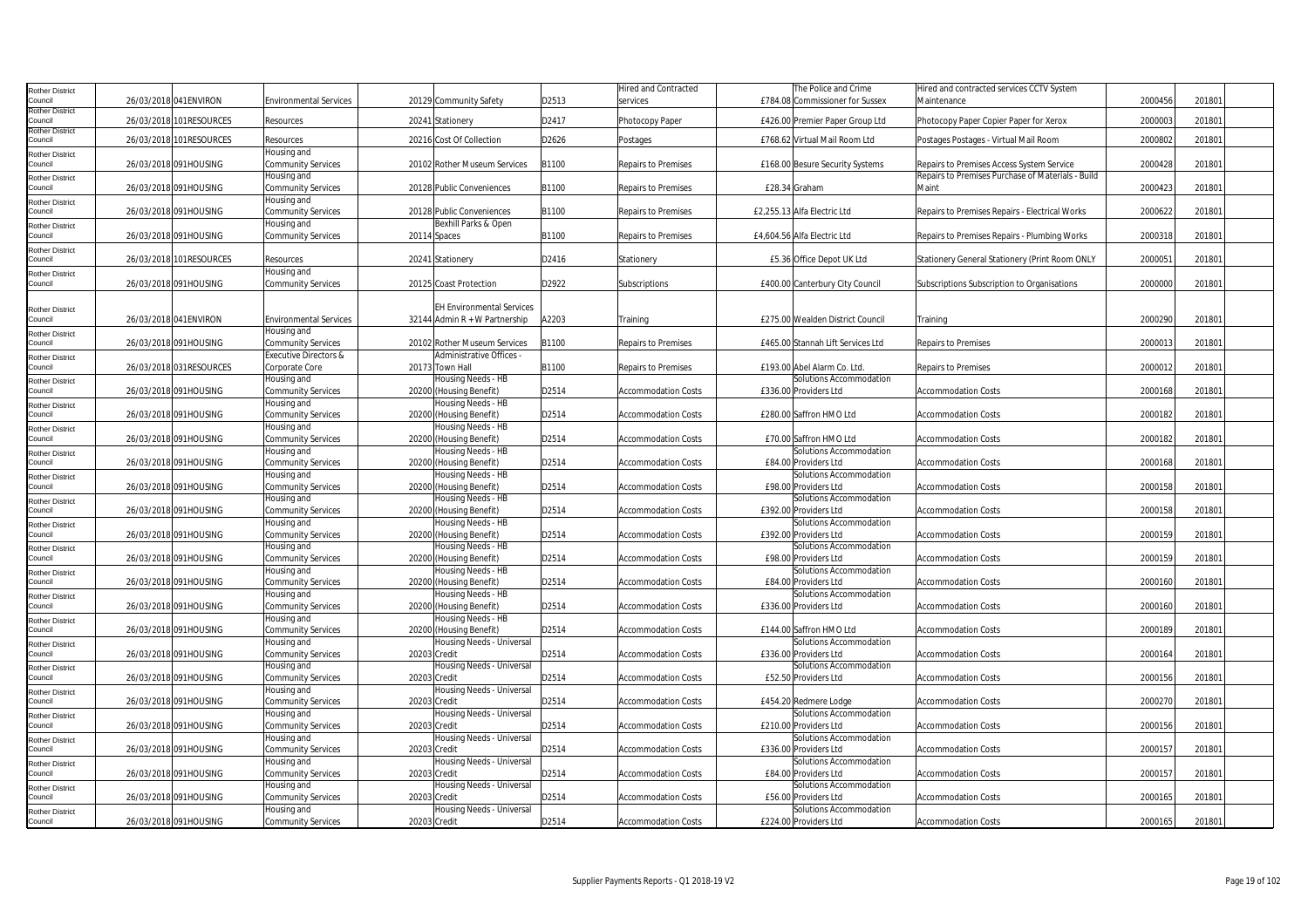| <b>Rother District</b>            |                         |                                          |              |                                               |       | Hired and Contracted       | The Police and Crime                             | Hired and contracted services CCTV System         |         |        |  |
|-----------------------------------|-------------------------|------------------------------------------|--------------|-----------------------------------------------|-------|----------------------------|--------------------------------------------------|---------------------------------------------------|---------|--------|--|
| Council                           | 26/03/2018 041 ENVIRON  | <b>Environmental Services</b>            |              | 20129 Community Safety                        | D2513 | services                   | £784.08 Commissioner for Sussex                  | Maintenance                                       | 2000456 | 201801 |  |
| <b>Rother District</b><br>Council | 26/03/2018 101RESOURCES |                                          |              |                                               | D2417 |                            |                                                  |                                                   | 2000003 | 201801 |  |
| <b>Rother District</b>            |                         | Resources                                |              | 20241 Stationery                              |       | Photocopy Paper            | £426.00 Premier Paper Group Ltd                  | Photocopy Paper Copier Paper for Xerox            |         |        |  |
| Council                           | 26/03/2018 101RESOURCES | Resources                                |              | 20216 Cost Of Collection                      | D2626 | Postages                   | £768.62 Virtual Mail Room Ltd                    | Postages Postages - Virtual Mail Room             | 2000802 | 201801 |  |
| <b>Rother District</b>            |                         | Housing and                              |              |                                               |       |                            |                                                  |                                                   |         |        |  |
| Council                           | 26/03/2018 091HOUSING   | Community Services                       |              | 20102 Rother Museum Services                  | B1100 | <b>Repairs to Premises</b> | £168.00 Besure Security Systems                  | Repairs to Premises Access System Service         | 2000428 | 201801 |  |
| Rother District                   |                         | Housing and                              |              |                                               |       |                            |                                                  | Repairs to Premises Purchase of Materials - Build |         |        |  |
| Council                           | 26/03/2018 091HOUSING   | <b>Community Services</b>                |              | 20128 Public Conveniences                     | B1100 | <b>Repairs to Premises</b> | £28.34 Graham                                    | Maint                                             | 2000423 | 201801 |  |
| <b>Rother District</b>            |                         | Housing and                              |              |                                               |       |                            |                                                  |                                                   |         |        |  |
| Council                           | 26/03/2018 091HOUSING   | <b>Community Services</b>                |              | 20128 Public Conveniences                     | B1100 | Repairs to Premises        | £2,255.13 Alfa Electric Ltd                      | Repairs to Premises Repairs - Electrical Works    | 2000622 | 201801 |  |
| <b>Rother District</b>            |                         | Housing and                              |              | Bexhill Parks & Open                          |       |                            |                                                  |                                                   |         |        |  |
| Council                           | 26/03/2018 091HOUSING   | <b>Community Services</b>                | 20114 Spaces |                                               | B1100 | <b>Repairs to Premises</b> | £4,604.56 Alfa Electric Ltd                      | Repairs to Premises Repairs - Plumbing Works      | 2000318 | 201801 |  |
| <b>Rother District</b>            |                         |                                          |              |                                               |       |                            |                                                  |                                                   |         |        |  |
| Council                           | 26/03/2018 101RESOURCES | Resources                                |              | 20241 Stationery                              | D2416 | Stationery                 | £5.36 Office Depot UK Ltd                        | Stationery General Stationery (Print Room ONLY    | 200005  | 201801 |  |
| <b>Rother District</b>            |                         | Housing and                              |              |                                               |       |                            |                                                  |                                                   |         |        |  |
| Council                           | 26/03/2018 091HOUSING   | <b>Community Services</b>                |              | 20125 Coast Protection                        | D2922 | Subscriptions              | £400.00 Canterbury City Council                  | Subscriptions Subscription to Organisations       | 2000000 | 201801 |  |
|                                   |                         |                                          |              |                                               |       |                            |                                                  |                                                   |         |        |  |
| <b>Rother District</b>            |                         |                                          |              | <b>EH Environmental Services</b>              |       |                            |                                                  |                                                   |         |        |  |
| Council                           | 26/03/2018 041 ENVIRON  | <b>Environmental Services</b>            |              | 32144 Admin $R + W$ Partnership               | A2203 | Training                   | £275.00 Wealden District Council                 | Training                                          | 2000290 | 201801 |  |
| <b>Rother District</b>            |                         | Housing and                              |              |                                               |       |                            |                                                  |                                                   |         |        |  |
| Council                           | 26/03/2018 091HOUSING   | <b>Community Services</b>                |              | 20102 Rother Museum Services                  | B1100 | <b>Repairs to Premises</b> | £465.00 Stannah Lift Services Ltd                | <b>Repairs to Premises</b>                        | 200001  | 201801 |  |
| <b>Rother District</b>            |                         | <b>Executive Directors &amp;</b>         |              | Administrative Offices -                      |       |                            |                                                  |                                                   |         |        |  |
| Council                           | 26/03/2018 031RESOURCES | Corporate Core                           |              | 20173 Town Hall                               | B1100 | <b>Repairs to Premises</b> | £193.00 Abel Alarm Co. Ltd                       | <b>Repairs to Premises</b>                        | 2000012 | 201801 |  |
| Rother District                   |                         | Housing and                              |              | Housing Needs - HB                            |       |                            | Solutions Accommodation                          |                                                   |         |        |  |
| Council                           | 26/03/2018 091HOUSING   | <b>Community Services</b>                |              | 20200 (Housing Benefit)                       | D2514 | Accommodation Costs        | £336.00 Providers Ltd                            | <b>Accommodation Costs</b>                        | 2000168 | 201801 |  |
| <b>Rother District</b>            |                         | Housing and                              |              | Housing Needs - HB                            |       |                            |                                                  |                                                   |         |        |  |
| Council                           | 26/03/2018 091HOUSING   | Community Services                       |              | 20200 (Housing Benefit)                       | D2514 | <b>Accommodation Costs</b> | £280.00 Saffron HMO Ltd                          | <b>Accommodation Costs</b>                        | 2000182 | 201801 |  |
| Rother District                   |                         | Housing and                              |              | Housing Needs - HB                            |       |                            |                                                  |                                                   |         |        |  |
| Council                           | 26/03/2018 091HOUSING   | <b>Community Services</b>                |              | 20200 (Housing Benefit)                       | D2514 | Accommodation Costs        | £70.00 Saffron HMO Ltd                           | <b>Accommodation Costs</b>                        | 2000182 | 201801 |  |
| <b>Rother District</b>            |                         | Housing and                              |              | Housing Needs - HB                            |       |                            | Solutions Accommodation                          |                                                   |         |        |  |
| Council                           | 26/03/2018 091HOUSING   | <b>Community Services</b>                |              | 20200 (Housing Benefit)                       | D2514 | <b>Accommodation Costs</b> | £84.00 Providers Ltd                             | <b>Accommodation Costs</b>                        | 2000168 | 201801 |  |
| Rother District                   |                         | Housing and                              |              | Housing Needs - HB                            |       |                            | Solutions Accommodation                          |                                                   |         |        |  |
| Council                           | 26/03/2018 091HOUSING   | <b>Community Services</b>                |              | 20200 (Housing Benefit)                       | D2514 | <b>Accommodation Costs</b> | £98.00 Providers Ltd                             | <b>Accommodation Costs</b>                        | 2000158 | 201801 |  |
| <b>Rother District</b>            |                         | Housing and                              |              | Housing Needs - HB                            |       |                            | Solutions Accommodation                          |                                                   |         |        |  |
| Council                           | 26/03/2018 091HOUSING   | <b>Community Services</b>                |              | 20200 (Housing Benefit)                       | D2514 | <b>Accommodation Costs</b> | £392.00 Providers Ltd                            | <b>Accommodation Costs</b>                        | 2000158 | 201801 |  |
| Rother District<br>Council        | 26/03/2018 091HOUSING   | Housing and                              |              | Housing Needs - HB                            | D2514 |                            | Solutions Accommodation<br>£392.00 Providers Ltd |                                                   |         |        |  |
|                                   |                         | <b>Community Services</b><br>Housing and |              | 20200 (Housing Benefit)<br>Housing Needs - HB |       | <b>Accommodation Costs</b> | Solutions Accommodation                          | <b>Accommodation Costs</b>                        | 2000159 | 201801 |  |
| Rother District<br>Council        | 26/03/2018 091HOUSING   |                                          |              |                                               | D2514 | <b>Accommodation Costs</b> | £98.00 Providers Ltd                             | <b>Accommodation Costs</b>                        | 2000159 | 201801 |  |
|                                   |                         | <b>Community Services</b><br>Housing and |              | 20200 (Housing Benefit)<br>Housing Needs - HB |       |                            | Solutions Accommodation                          |                                                   |         |        |  |
| <b>Rother District</b><br>Council | 26/03/2018 091HOUSING   | <b>Community Services</b>                |              | 20200 (Housing Benefit)                       | D2514 | <b>Accommodation Costs</b> | £84.00 Providers Ltd                             | <b>Accommodation Costs</b>                        | 2000160 | 201801 |  |
|                                   |                         | Housing and                              |              | Housing Needs - HB                            |       |                            | Solutions Accommodation                          |                                                   |         |        |  |
| <b>Rother District</b><br>Council | 26/03/2018 091HOUSING   | <b>Community Services</b>                |              | 20200 (Housing Benefit)                       | D2514 | <b>Accommodation Costs</b> | £336.00 Providers Ltd                            | <b>Accommodation Costs</b>                        | 2000160 | 201801 |  |
|                                   |                         | Housing and                              |              | Housing Needs - HB                            |       |                            |                                                  |                                                   |         |        |  |
| Rother District<br>Council        | 26/03/2018 091HOUSING   | <b>Community Services</b>                |              | 20200 (Housing Benefit)                       | D2514 | <b>Accommodation Costs</b> | £144.00 Saffron HMO Ltd                          | <b>Accommodation Costs</b>                        | 2000189 | 201801 |  |
| <b>Rother District</b>            |                         | Housing and                              |              | Housing Needs - Universal                     |       |                            | Solutions Accommodation                          |                                                   |         |        |  |
| Council                           | 26/03/2018 091HOUSING   | <b>Community Services</b>                | 20203 Credit |                                               | D2514 | Accommodation Costs        | £336.00 Providers Ltd                            | <b>Accommodation Costs</b>                        | 2000164 | 201801 |  |
| <b>Rother District</b>            |                         | Housing and                              |              | Housing Needs - Universal                     |       |                            | Solutions Accommodation                          |                                                   |         |        |  |
| Council                           | 26/03/2018 091HOUSING   | <b>Community Services</b>                | 20203 Credit |                                               | D2514 | <b>Accommodation Costs</b> | £52.50 Providers Ltd                             | <b>Accommodation Costs</b>                        | 2000156 | 201801 |  |
| <b>Rother District</b>            |                         | Housing and                              |              | Housing Needs - Universal                     |       |                            |                                                  |                                                   |         |        |  |
| Council                           | 26/03/2018 091HOUSING   | <b>Community Services</b>                | 20203 Credit |                                               | D2514 | <b>Accommodation Costs</b> | £454.20 Redmere Lodge                            | <b>Accommodation Costs</b>                        | 2000270 | 201801 |  |
| <b>Rother District</b>            |                         | Housing and                              |              | Housing Needs - Universal                     |       |                            | Solutions Accommodation                          |                                                   |         |        |  |
| Council                           | 26/03/2018 091HOUSING   | Community Services                       | 20203 Credit |                                               | D2514 | <b>Accommodation Costs</b> | £210.00 Providers Ltd                            | <b>Accommodation Costs</b>                        | 2000156 | 201801 |  |
| <b>Rother District</b>            |                         | Housing and                              |              | Housing Needs - Universal                     |       |                            | Solutions Accommodation                          |                                                   |         |        |  |
| Council                           | 26/03/2018 091HOUSING   | <b>Community Services</b>                | 20203 Credit |                                               | D2514 | <b>Accommodation Costs</b> | £336.00 Providers Ltd                            | <b>Accommodation Costs</b>                        | 2000157 | 201801 |  |
| <b>Rother District</b>            |                         | Housing and                              |              | Housing Needs - Universal                     |       |                            | Solutions Accommodation                          |                                                   |         |        |  |
| Council                           | 26/03/2018 091HOUSING   | <b>Community Services</b>                | 20203 Credit |                                               | D2514 | <b>Accommodation Costs</b> | £84.00 Providers Ltd                             | <b>Accommodation Costs</b>                        | 200015  | 201801 |  |
| <b>Rother District</b>            |                         | Housing and                              |              | Housing Needs - Universal                     |       |                            | Solutions Accommodation                          |                                                   |         |        |  |
| Council                           | 26/03/2018 091HOUSING   | <b>Community Services</b>                | 20203 Credit |                                               | D2514 | <b>Accommodation Costs</b> | £56.00 Providers Ltd                             | <b>Accommodation Costs</b>                        | 2000165 | 201801 |  |
| Rother District                   |                         | Housing and                              |              | Housing Needs - Universal                     |       |                            | Solutions Accommodation                          |                                                   |         |        |  |
| Council                           | 26/03/2018 091HOUSING   | <b>Community Services</b>                | 20203 Credit |                                               | D2514 | <b>Accommodation Costs</b> | £224.00 Providers Ltd                            | <b>Accommodation Costs</b>                        | 2000165 | 201801 |  |
|                                   |                         |                                          |              |                                               |       |                            |                                                  |                                                   |         |        |  |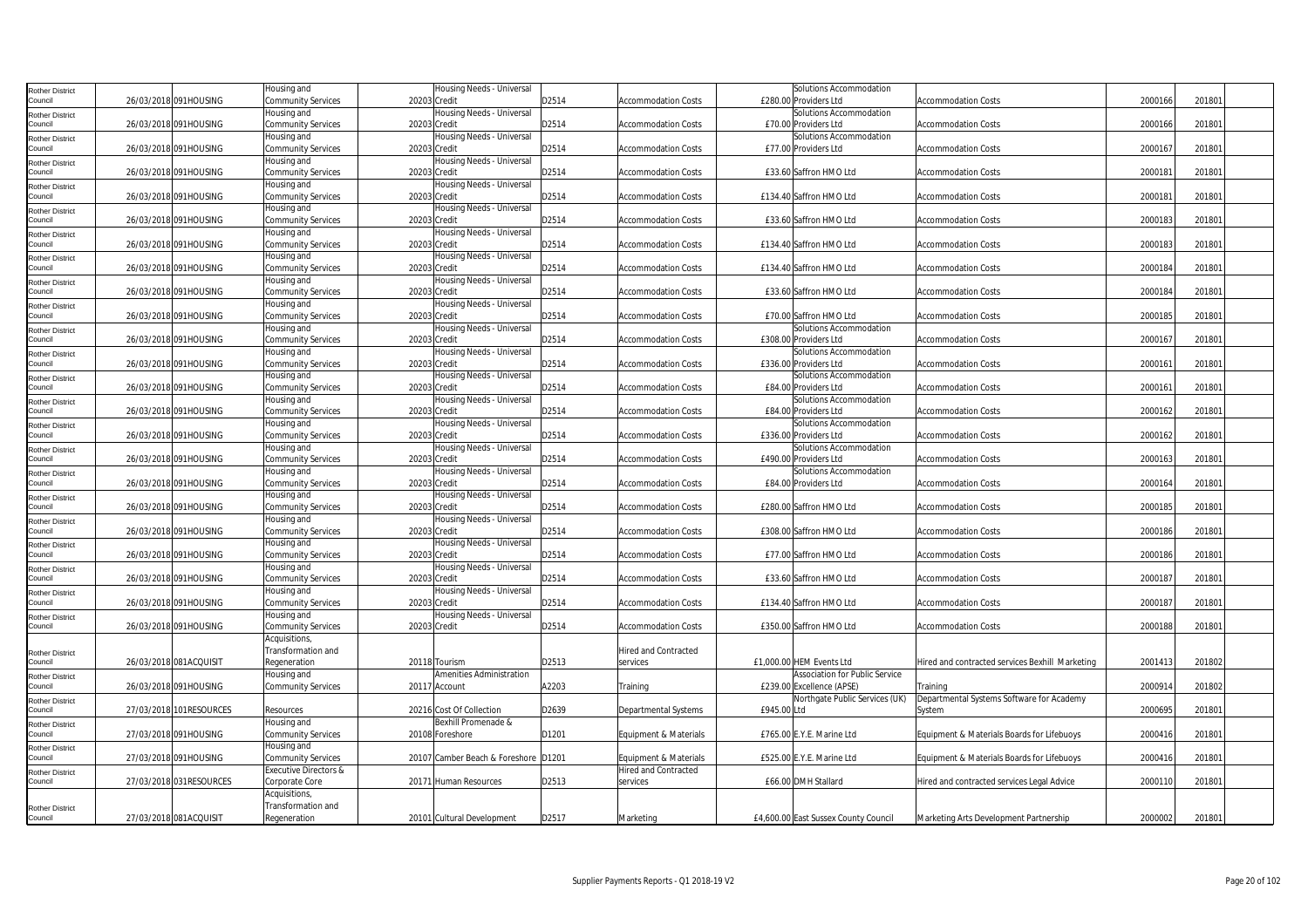| Rother District                   |                         | lousing and               | Housing Needs - Universal            |       |                            |             | Solutions Accommodation              |                                                 |         |        |
|-----------------------------------|-------------------------|---------------------------|--------------------------------------|-------|----------------------------|-------------|--------------------------------------|-------------------------------------------------|---------|--------|
| ouncil                            | 26/03/2018 091HOUSING   | Community Services        | 20203 Credit                         | D2514 | <b>Accommodation Costs</b> |             | £280.00 Providers Ltd                | <b>Accommodation Costs</b>                      | 2000166 | 201801 |
| <b>Rother District</b>            |                         | Housing and               | Housing Needs - Universal            |       |                            |             | Solutions Accommodation              |                                                 |         |        |
| Council                           | 26/03/2018 091HOUSING   | <b>Community Services</b> | 20203 Credit                         | D2514 | <b>Accommodation Costs</b> |             | £70.00 Providers Ltd                 | <b>Accommodation Costs</b>                      | 2000166 | 201801 |
|                                   |                         | lousing and               | Housing Needs - Universal            |       |                            |             | Solutions Accommodation              |                                                 |         |        |
| <b>Rother District</b><br>Council | 26/03/2018 091HOUSING   | <b>Community Services</b> | 20203 Credit                         | D2514 | <b>Accommodation Costs</b> |             | £77.00 Providers Ltd                 | <b>Accommodation Costs</b>                      | 2000167 | 201801 |
|                                   |                         |                           |                                      |       |                            |             |                                      |                                                 |         |        |
| Rother District                   |                         | Housing and               | Housing Needs - Universal            |       |                            |             |                                      |                                                 |         |        |
| Council                           | 26/03/2018 091HOUSING   | Community Services        | 20203 Credit                         | D2514 | <b>Accommodation Costs</b> |             | £33.60 Saffron HMO Ltd               | <b>Accommodation Costs</b>                      | 2000181 | 201801 |
| Rother District                   |                         | Housing and               | Housing Needs - Universal            |       |                            |             |                                      |                                                 |         |        |
| Council                           | 26/03/2018 091HOUSING   | <b>Community Services</b> | 20203 Credit                         | D2514 | <b>Accommodation Costs</b> |             | £134.40 Saffron HMO Ltd              | <b>Accommodation Costs</b>                      | 2000181 | 201801 |
| Rother District                   |                         | Housing and               | lousing Needs - Universal            |       |                            |             |                                      |                                                 |         |        |
| Council                           | 26/03/2018 091HOUSING   | <b>Community Services</b> | 20203 Credit                         | D2514 | <b>Accommodation Costs</b> |             | £33.60 Saffron HMO Ltd               | <b>Accommodation Costs</b>                      | 2000183 | 201801 |
| <b>Rother District</b>            |                         | Housing and               | Housing Needs - Universal            |       |                            |             |                                      |                                                 |         |        |
| Council                           | 26/03/2018 091HOUSING   | <b>Community Services</b> | 20203 Credit                         | D2514 | <b>Accommodation Costs</b> |             | £134.40 Saffron HMO Ltd              | <b>Accommodation Costs</b>                      | 2000183 | 201801 |
| <b>Rother District</b>            |                         | lousing and               | Housing Needs - Universal            |       |                            |             |                                      |                                                 |         |        |
| Council                           | 26/03/2018 091HOUSING   | <b>Community Services</b> | 20203 Credit                         | D2514 | <b>Accommodation Costs</b> |             | £134.40 Saffron HMO Ltd              | <b>Accommodation Costs</b>                      | 2000184 | 201801 |
|                                   |                         | Housing and               | Housing Needs - Universal            |       |                            |             |                                      |                                                 |         |        |
| Rother District<br>Council        | 26/03/2018 091HOUSING   | <b>Community Services</b> | 20203 Credit                         | D2514 | <b>Accommodation Costs</b> |             | £33.60 Saffron HMO Ltd               | <b>Accommodation Costs</b>                      | 2000184 | 201801 |
|                                   |                         |                           | Housing Needs - Universal            |       |                            |             |                                      |                                                 |         |        |
| Rother District                   |                         | lousing and               |                                      |       |                            |             |                                      |                                                 |         |        |
| Council                           | 26/03/2018 091HOUSING   | <b>Community Services</b> | 20203 Credit                         | D2514 | <b>Accommodation Costs</b> |             | £70.00 Saffron HMO Ltd               | <b>Accommodation Costs</b>                      | 2000185 | 201801 |
| Rother District                   |                         | Housing and               | lousing Needs - Universal            |       |                            |             | Solutions Accommodation              |                                                 |         |        |
| Council                           | 26/03/2018 091HOUSING   | <b>Community Services</b> | 20203 Credit                         | D2514 | Accommodation Costs        |             | £308.00 Providers Ltd                | <b>Accommodation Costs</b>                      | 2000167 | 201801 |
| <b>Rother District</b>            |                         | Housing and               | Housing Needs - Universal            |       |                            |             | Solutions Accommodation              |                                                 |         |        |
| Council                           | 26/03/2018 091HOUSING   | <b>Community Services</b> | 20203 Credit                         | D2514 | <b>Accommodation Costs</b> |             | £336.00 Providers Ltd                | <b>Accommodation Costs</b>                      | 200016  | 201801 |
| <b>Rother District</b>            |                         | Housing and               | Housing Needs - Universal            |       |                            |             | Solutions Accommodation              |                                                 |         |        |
| Council                           | 26/03/2018 091HOUSING   | <b>Community Services</b> | 20203 Credit                         | D2514 | <b>Accommodation Costs</b> |             | £84.00 Providers Ltd                 | <b>Accommodation Costs</b>                      | 2000161 | 201801 |
| Rother District                   |                         | Housing and               | Housing Needs - Universal            |       |                            |             | Solutions Accommodation              |                                                 |         |        |
| Council                           | 26/03/2018 091HOUSING   | <b>Community Services</b> | 20203 Credit                         | D2514 | <b>Accommodation Costs</b> |             | £84.00 Providers Ltd                 | <b>Accommodation Costs</b>                      | 2000162 | 201801 |
|                                   |                         | Housing and               | Housing Needs - Universal            |       |                            |             | Solutions Accommodation              |                                                 |         |        |
| Rother District<br>Council        | 26/03/2018 091HOUSING   |                           | 20203 Credit                         |       |                            |             | £336.00 Providers Ltd                |                                                 | 2000162 | 201801 |
|                                   |                         | Community Services        |                                      | D2514 | <b>Accommodation Costs</b> |             |                                      | <b>Accommodation Costs</b>                      |         |        |
| Rother District                   |                         | lousing and               | lousing Needs - Universal            |       |                            |             | Solutions Accommodation              |                                                 |         |        |
| Council                           | 26/03/2018 091HOUSING   | Community Services        | 20203 Credit                         | D2514 | <b>Accommodation Costs</b> |             | £490.00 Providers Ltd                | <b>Accommodation Costs</b>                      | 2000163 | 201801 |
| Rother District                   |                         | Housing and               | Housing Needs - Universal            |       |                            |             | Solutions Accommodation              |                                                 |         |        |
| Council                           | 26/03/2018 091HOUSING   | <b>Community Services</b> | 20203 Credit                         | D2514 | <b>Accommodation Costs</b> |             | £84.00 Providers Ltd                 | <b>Accommodation Costs</b>                      | 200016  | 201801 |
| <b>Rother District</b>            |                         | Housing and               | Housing Needs - Universal            |       |                            |             |                                      |                                                 |         |        |
| Council                           | 26/03/2018 091HOUSING   | <b>Community Services</b> | 20203 Credit                         | D2514 | <b>Accommodation Costs</b> |             | £280.00 Saffron HMO Ltd              | <b>Accommodation Costs</b>                      | 2000185 | 201801 |
| Rother District                   |                         | Housing and               | Housing Needs - Universal            |       |                            |             |                                      |                                                 |         |        |
| Council                           | 26/03/2018 091HOUSING   | <b>Community Services</b> | 20203 Credit                         | D2514 | <b>Accommodation Costs</b> |             | £308.00 Saffron HMO Ltd              | <b>Accommodation Costs</b>                      | 2000186 | 201801 |
| Rother District                   |                         | Housing and               | Housing Needs - Universal            |       |                            |             |                                      |                                                 |         |        |
| Council                           | 26/03/2018 091HOUSING   | Community Services        | 20203 Credit                         | D2514 | <b>Accommodation Costs</b> |             | £77.00 Saffron HMO Ltd               | <b>Accommodation Costs</b>                      | 2000186 | 201801 |
|                                   |                         | Housing and               | lousing Needs - Universal            |       |                            |             |                                      |                                                 |         |        |
| Rother District<br>Council        | 26/03/2018 091HOUSING   | Community Services        | 20203 Credit                         | D2514 | <b>Accommodation Costs</b> |             | £33.60 Saffron HMO Ltd               | <b>Accommodation Costs</b>                      | 2000187 | 201801 |
|                                   |                         |                           |                                      |       |                            |             |                                      |                                                 |         |        |
| <b>Rother District</b>            |                         | Housing and               | Housing Needs - Universal            |       |                            |             |                                      |                                                 |         |        |
| ouncil                            | 26/03/2018 091HOUSING   | <b>Community Services</b> | 20203 Credit                         | D2514 | <b>Accommodation Costs</b> |             | £134.40 Saffron HMO Ltd              | <b>Accommodation Costs</b>                      | 200018  | 201801 |
| Rother District                   |                         | lousing and               | Housing Needs - Universal            |       |                            |             |                                      |                                                 |         |        |
| Council                           | 26/03/2018 091HOUSING   | <b>Community Services</b> | 20203 Credit                         | D2514 | <b>Accommodation Costs</b> |             | £350.00 Saffron HMO Ltd              | <b>Accommodation Costs</b>                      | 2000188 | 201801 |
|                                   |                         | Acquisitions,             |                                      |       |                            |             |                                      |                                                 |         |        |
| Rother District                   |                         | Transformation and        |                                      |       | Hired and Contracted       |             |                                      |                                                 |         |        |
| Council                           | 26/03/2018 081ACQUISIT  | Regeneration              | 20118 Tourism                        | D2513 | services                   |             | £1,000.00 HEM Events Ltd             | Hired and contracted services Bexhill Marketing | 200141  | 201802 |
| Rother District                   |                         | Housing and               | Amenities Administration             |       |                            |             | Association for Public Service       |                                                 |         |        |
| Council                           | 26/03/2018 091HOUSING   | <b>Community Services</b> | 20117 Account                        | A2203 | Training                   |             | £239.00 Excellence (APSE)            | Training                                        | 2000914 | 201802 |
| Rother District                   |                         |                           |                                      |       |                            |             | Northgate Public Services (UK)       | Departmental Systems Software for Academy       |         |        |
| Council                           | 27/03/2018 101RESOURCES | Resources                 | 20216 Cost Of Collection             | D2639 | Departmental Systems       | £945.00 Ltd |                                      | System                                          | 2000695 | 201801 |
|                                   |                         | Housing and               | Bexhill Promenade &                  |       |                            |             |                                      |                                                 |         |        |
| Rother District<br>Council        |                         |                           |                                      |       |                            |             |                                      |                                                 |         |        |
|                                   | 27/03/2018 091HOUSING   | Community Services        | 20108 Foreshore                      | D1201 | Equipment & Materials      |             | £765.00 E.Y.E. Marine Ltd            | Equipment & Materials Boards for Lifebuoys      | 200041  | 201801 |
| Rother District                   |                         | Housing and               |                                      |       |                            |             |                                      |                                                 |         |        |
| Council                           | 27/03/2018 091HOUSING   | <b>Community Services</b> | 20107 Camber Beach & Foreshore D1201 |       | Equipment & Materials      |             | £525.00 E.Y.E. Marine Ltd            | Equipment & Materials Boards for Lifebuoys      | 2000416 | 201801 |
| Rother District                   |                         | Executive Directors &     |                                      |       | Hired and Contracted       |             |                                      |                                                 |         |        |
| Council                           | 27/03/2018 031RESOURCES | Corporate Core            | 20171 Human Resources                | D2513 | services                   |             | £66.00 DMH Stallard                  | Hired and contracted services Legal Advice      | 200011  | 201801 |
|                                   |                         | <b>Acquisitions</b>       |                                      |       |                            |             |                                      |                                                 |         |        |
| <b>Rother District</b>            |                         | Transformation and        |                                      |       |                            |             |                                      |                                                 |         |        |
| Council                           | 27/03/2018 081ACQUISIT  | Regeneration              | 20101 Cultural Development           | D2517 | Marketing                  |             | £4,600.00 East Sussex County Council | Marketing Arts Development Partnership          | 2000002 | 201801 |
|                                   |                         |                           |                                      |       |                            |             |                                      |                                                 |         |        |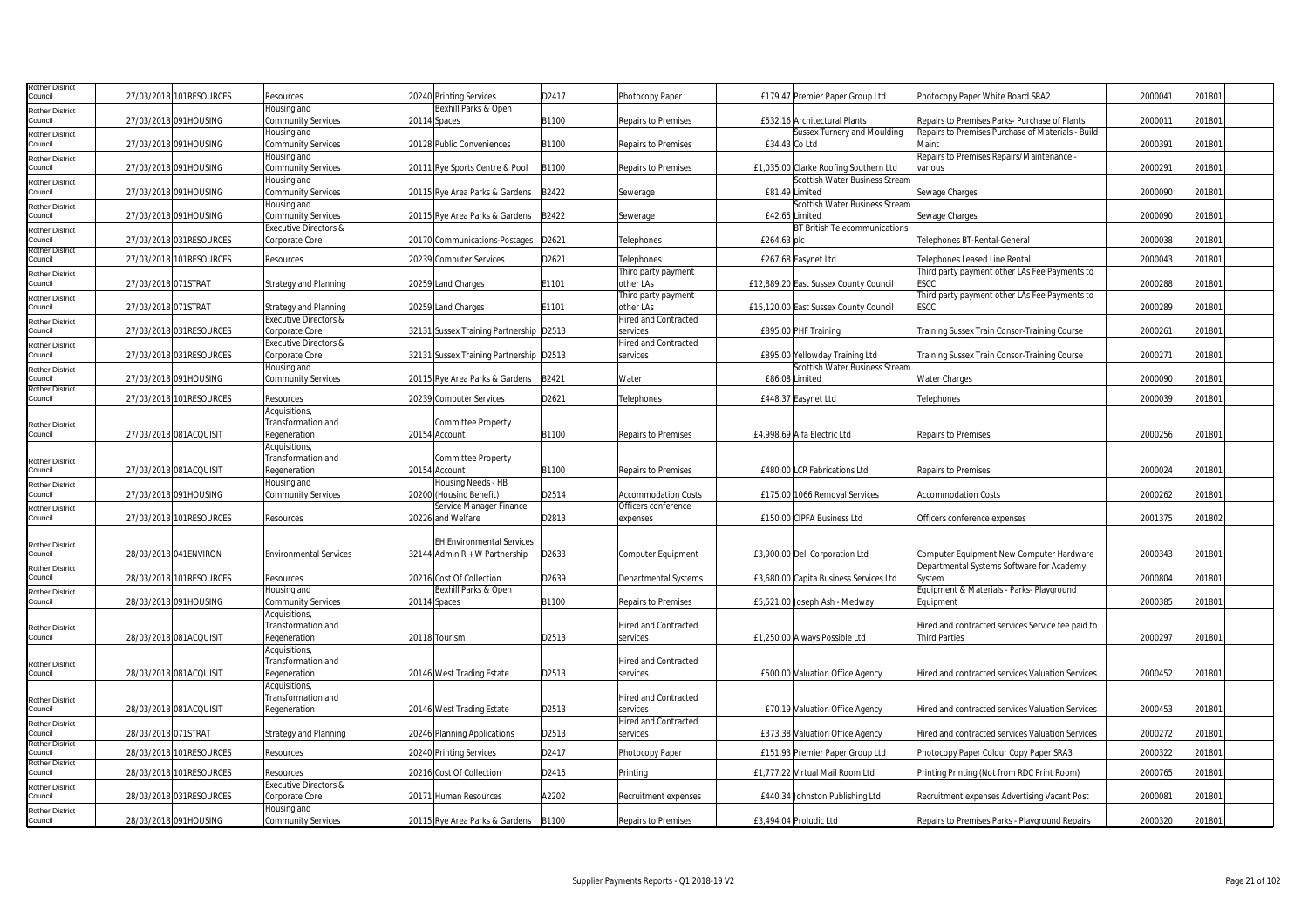| Rother District<br>Council |                     | 27/03/2018 101RESOURCES | Resources                                          | 20240 Printing Services                       | D2417 | Photocopy Paper                   | £179.47 Premier Paper Group Ltd                  | Photocopy Paper White Board SRA2                                               | 200004  | 201801 |  |
|----------------------------|---------------------|-------------------------|----------------------------------------------------|-----------------------------------------------|-------|-----------------------------------|--------------------------------------------------|--------------------------------------------------------------------------------|---------|--------|--|
| Rother District            |                     |                         | Housing and                                        | Bexhill Parks & Open                          |       |                                   |                                                  |                                                                                |         |        |  |
| Council                    |                     | 27/03/2018 091HOUSING   | Community Services                                 | 20114 Spaces                                  | B1100 | Repairs to Premises               | £532.16 Architectural Plants                     | Repairs to Premises Parks- Purchase of Plants                                  | 200001  | 201801 |  |
| Rother District<br>Council |                     | 27/03/2018 091HOUSING   | Housing and<br>Community Services                  | 20128 Public Conveniences                     | B1100 | Repairs to Premises               | Sussex Turnery and Moulding<br>£34.43 Co Ltd     | Repairs to Premises Purchase of Materials - Build<br>Maint                     | 200039  | 201801 |  |
| Rother District            |                     |                         | Housing and                                        |                                               |       |                                   |                                                  | Repairs to Premises Repairs/Maintenance -                                      |         |        |  |
| Council                    |                     | 27/03/2018 091HOUSING   | Community Services                                 | 20111 Rye Sports Centre & Pool                | B1100 | Repairs to Premises               | £1,035.00 Clarke Roofing Southern Ltd            | various                                                                        | 2000291 | 201801 |  |
| Rother District            |                     |                         | Housing and                                        |                                               |       |                                   | Scottish Water Business Stream                   |                                                                                |         |        |  |
| Council                    |                     | 27/03/2018 091HOUSING   | <b>Community Services</b>                          | 20115 Rye Area Parks & Gardens                | B2422 | Sewerage                          | £81.49 Limited                                   | Sewage Charges                                                                 | 2000090 | 201801 |  |
| Rother District<br>Council |                     | 27/03/2018 091HOUSING   | Housing and                                        |                                               | B2422 |                                   | Scottish Water Business Stream<br>£42.65 Limited |                                                                                | 2000090 | 201801 |  |
|                            |                     |                         | Community Services<br>Executive Directors &        | 20115 Rye Area Parks & Gardens                |       | Sewerage                          | <b>BT British Telecommunications</b>             | Sewage Charges                                                                 |         |        |  |
| Rother District<br>Council |                     | 27/03/2018 031RESOURCES | Corporate Core                                     | 20170 Communications-Postages                 | D2621 | Telephones                        | £264.63 plc                                      | Telephones BT-Rental-General                                                   | 2000038 | 201801 |  |
| Rother District            |                     |                         |                                                    |                                               |       |                                   |                                                  |                                                                                |         |        |  |
| Council                    |                     | 27/03/2018 101RESOURCES | Resources                                          | 20239 Computer Services                       | D2621 | Telephones<br>Third party payment | £267.68 Easynet Ltd                              | Telephones Leased Line Rental<br>Third party payment other LAs Fee Payments to | 2000043 | 201801 |  |
| Rother District<br>Council | 27/03/2018 071STRAT |                         | <b>Strategy and Planning</b>                       | 20259 Land Charges                            | E1101 | other LAs                         | £12,889.20 East Sussex County Council            | ESCC                                                                           | 2000288 | 201801 |  |
| Rother District            |                     |                         |                                                    |                                               |       | Third party payment               |                                                  | Third party payment other LAs Fee Payments to                                  |         |        |  |
| Council                    | 27/03/2018 071STRAT |                         | Strategy and Planning                              | 20259 Land Charges                            | E1101 | other LAs                         | £15,120.00 East Sussex County Council            | ESCC                                                                           | 2000289 | 201801 |  |
| Rother District            |                     |                         | Executive Directors &                              |                                               |       | Hired and Contracted              |                                                  |                                                                                |         |        |  |
| Council                    |                     | 27/03/2018 031RESOURCES | Corporate Core                                     | 32131 Sussex Training Partnership D2513       |       | services                          | £895.00 PHF Training                             | Training Sussex Train Consor-Training Course                                   | 200026  | 201801 |  |
| Rother District<br>Council |                     | 27/03/2018 031RESOURCES | <b>Executive Directors &amp;</b><br>Corporate Core | 32131 Sussex Training Partnership D2513       |       | Hired and Contracted<br>services  | £895.00 Yellowday Training Ltd                   | Training Sussex Train Consor-Training Course                                   | 200027  | 201801 |  |
| Rother District            |                     |                         | Housing and                                        |                                               |       |                                   | Scottish Water Business Stream                   |                                                                                |         |        |  |
| Council                    |                     | 27/03/2018 091HOUSING   | Community Services                                 | 20115 Rye Area Parks & Gardens                | B2421 | Water                             | £86.08 Limited                                   | Water Charges                                                                  | 2000090 | 201801 |  |
| Rother District            |                     |                         |                                                    |                                               |       |                                   |                                                  |                                                                                |         |        |  |
| Council                    |                     | 27/03/2018 101RESOURCES | Resources<br>Acquisitions                          | 20239 Computer Services                       | D2621 | Telephones                        | £448.37 Easynet Ltd                              | Telephones                                                                     | 2000039 | 201801 |  |
| Rother District            |                     |                         | Transformation and                                 | Committee Property                            |       |                                   |                                                  |                                                                                |         |        |  |
| Council                    |                     | 27/03/2018 081ACQUISIT  | Regeneration                                       | 20154 Account                                 | B1100 | Repairs to Premises               | £4,998.69 Alfa Electric Ltd                      | <b>Repairs to Premises</b>                                                     | 2000256 | 201801 |  |
|                            |                     |                         | Acquisitions                                       |                                               |       |                                   |                                                  |                                                                                |         |        |  |
| Rother District            |                     |                         | Transformation and                                 | Committee Property                            |       |                                   |                                                  |                                                                                |         |        |  |
| Council                    |                     | 27/03/2018 081ACQUISIT  | Regeneration                                       | 20154 Account                                 | B1100 | Repairs to Premises               | £480.00 LCR Fabrications Ltd                     | <b>Repairs to Premises</b>                                                     | 2000024 | 201801 |  |
| Rother District<br>Council |                     | 27/03/2018 091HOUSING   | Housing and<br><b>Community Services</b>           | Housing Needs - HB<br>20200 (Housing Benefit) | D2514 | <b>Accommodation Costs</b>        | £175.00 1066 Removal Services                    | <b>Accommodation Costs</b>                                                     | 2000262 | 201801 |  |
|                            |                     |                         |                                                    | Service Manager Finance                       |       | Officers conference               |                                                  |                                                                                |         |        |  |
| Rother District<br>Council |                     | 27/03/2018 101RESOURCES | Resources                                          | 20226 and Welfare                             | D2813 | expenses                          | £150.00 CIPFA Business Ltd                       | Officers conference expenses                                                   | 2001375 | 201802 |  |
|                            |                     |                         |                                                    |                                               |       |                                   |                                                  |                                                                                |         |        |  |
| Rother District            |                     |                         |                                                    | <b>EH Environmental Services</b>              |       |                                   |                                                  |                                                                                |         |        |  |
| Council                    |                     | 28/03/2018 041ENVIRON   | <b>Environmental Services</b>                      | 32144 Admin $R + W$ Partnership               | D2633 | Computer Equipment                | £3,900.00 Dell Corporation Ltd                   | Computer Equipment New Computer Hardware                                       | 2000343 | 201801 |  |
| Rother District<br>Council |                     | 28/03/2018 101RESOURCES | Resources                                          | 20216 Cost Of Collection                      | D2639 | Departmental Systems              | £3,680.00 Capita Business Services Ltd           | Departmental Systems Software for Academy<br>System                            | 2000804 | 201801 |  |
| Rother District            |                     |                         | Housing and                                        | Bexhill Parks & Open                          |       |                                   |                                                  | Equipment & Materials - Parks- Playground                                      |         |        |  |
| Council                    |                     | 28/03/2018 091HOUSING   | Community Services                                 | 20114 Spaces                                  | B1100 | Repairs to Premises               | £5,521.00 Joseph Ash - Medway                    | Equipment                                                                      | 200038  | 201801 |  |
|                            |                     |                         | Acquisitions                                       |                                               |       |                                   |                                                  |                                                                                |         |        |  |
| Rother District            |                     |                         | Transformation and                                 |                                               |       | Hired and Contracted              |                                                  | Hired and contracted services Service fee paid to                              |         |        |  |
| Council                    |                     | 28/03/2018 081ACQUISIT  | Regeneration                                       | 20118 Tourism                                 | D2513 | services                          | £1,250.00 Always Possible Ltd                    | <b>Third Parties</b>                                                           | 2000297 | 201801 |  |
|                            |                     |                         | Acquisitions,<br>Transformation and                |                                               |       | <b>Hired and Contracted</b>       |                                                  |                                                                                |         |        |  |
| Rother District<br>Council |                     | 28/03/2018 081ACQUISIT  | Regeneration                                       | 20146 West Trading Estate                     | D2513 | services                          | £500.00 Valuation Office Agency                  | Hired and contracted services Valuation Services                               | 2000452 | 201801 |  |
|                            |                     |                         | <b>Acquisitions</b>                                |                                               |       |                                   |                                                  |                                                                                |         |        |  |
| Rother District            |                     |                         | Transformation and                                 |                                               |       | <b>Hired and Contracted</b>       |                                                  |                                                                                |         |        |  |
| Council                    |                     | 28/03/2018 081ACQUISIT  | Regeneration                                       | 20146 West Trading Estate                     | D2513 | services                          | £70.19 Valuation Office Agency                   | Hired and contracted services Valuation Services                               | 2000453 | 201801 |  |
| Rother District            |                     |                         |                                                    |                                               |       | <b>Hired and Contracted</b>       |                                                  |                                                                                |         |        |  |
| Council<br>Rother District | 28/03/2018 071STRAT |                         | <b>Strategy and Planning</b>                       | 20246 Planning Applications                   | D2513 | services                          | £373.38 Valuation Office Agency                  | Hired and contracted services Valuation Services                               | 2000272 | 201801 |  |
| Council                    |                     | 28/03/2018 101RESOURCES | Resources                                          | 20240 Printing Services                       | D2417 | Photocopy Paper                   | £151.93 Premier Paper Group Ltd                  | Photocopy Paper Colour Copy Paper SRA3                                         | 2000322 | 201801 |  |
| Rother District<br>Council |                     | 28/03/2018 101RESOURCES | Resources                                          | 20216 Cost Of Collection                      | D2415 | Printing                          | £1,777.22 Virtual Mail Room Ltd                  | Printing Printing (Not from RDC Print Room)                                    | 2000765 | 201801 |  |
| <b>Rother District</b>     |                     |                         | <b>Executive Directors &amp;</b>                   |                                               |       |                                   |                                                  |                                                                                |         |        |  |
| Council                    |                     | 28/03/2018 031RESOURCES | Corporate Core                                     | 20171 Human Resources                         | A2202 | Recruitment expenses              | £440.34 Johnston Publishing Ltd                  | Recruitment expenses Advertising Vacant Post                                   | 200008  | 201801 |  |
| Rother District            |                     |                         | Housing and                                        |                                               |       |                                   |                                                  |                                                                                |         |        |  |
| Council                    |                     | 28/03/2018 091HOUSING   | <b>Community Services</b>                          | 20115 Rye Area Parks & Gardens                | B1100 | Repairs to Premises               | £3,494.04 Proludic Ltd                           | Repairs to Premises Parks - Playground Repairs                                 | 2000320 | 201801 |  |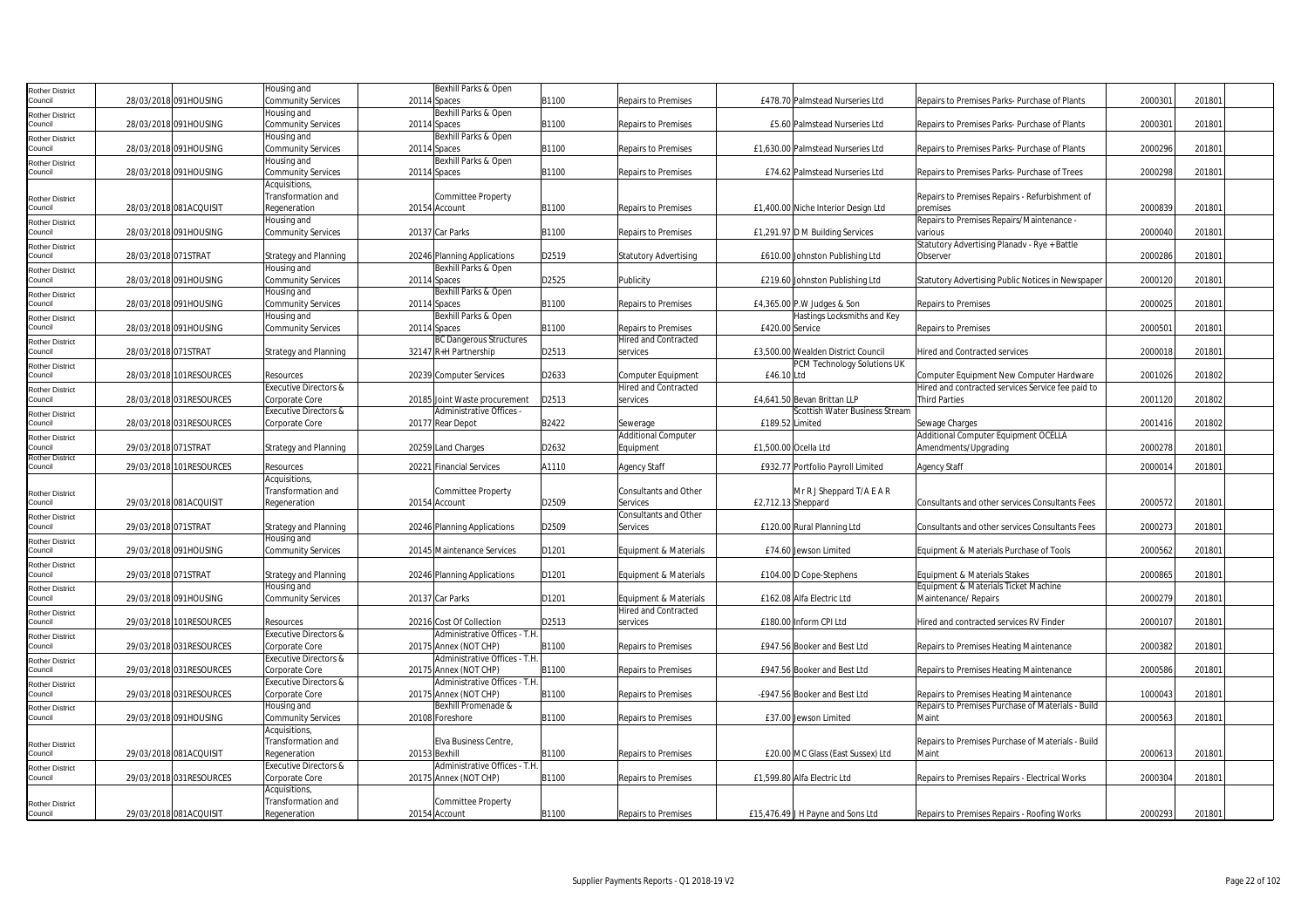| Rother District                   |                         |                          | Housing and                        | Bexhill Parks & Open                |       |                              |                                     |                                                   |         |        |  |
|-----------------------------------|-------------------------|--------------------------|------------------------------------|-------------------------------------|-------|------------------------------|-------------------------------------|---------------------------------------------------|---------|--------|--|
| Council                           |                         | 28/03/2018 091HOUSING    | <b>Community Services</b>          | 20114 Spaces                        | B1100 | <b>Repairs to Premises</b>   | £478.70 Palmstead Nurseries Ltd     | Repairs to Premises Parks- Purchase of Plants     | 2000301 | 201801 |  |
|                                   |                         |                          | Housing and                        | Bexhill Parks & Open                |       |                              |                                     |                                                   |         |        |  |
| Rother District<br>Council        |                         | 28/03/2018 091HOUSING    |                                    |                                     | B1100 | <b>Repairs to Premises</b>   | £5.60 Palmstead Nurseries Ltd       | Repairs to Premises Parks- Purchase of Plants     | 200030  | 201801 |  |
|                                   |                         |                          | <b>Community Services</b>          | 20114 Spaces                        |       |                              |                                     |                                                   |         |        |  |
| <b>Rother District</b>            |                         |                          | Housing and                        | Bexhill Parks & Open                |       |                              |                                     |                                                   |         |        |  |
| Council                           |                         | 28/03/2018 091HOUSING    | <b>Community Services</b>          | 20114 Spaces                        | B1100 | Repairs to Premises          | £1,630.00 Palmstead Nurseries Ltd   | Repairs to Premises Parks- Purchase of Plants     | 2000296 | 201801 |  |
| Rother District                   |                         |                          | Housing and                        | Bexhill Parks & Open                |       |                              |                                     |                                                   |         |        |  |
| Council                           |                         | 28/03/2018 091HOUSING    | <b>Community Services</b>          | 20114 Spaces                        | B1100 | Repairs to Premises          | £74.62 Palmstead Nurseries Ltd      | Repairs to Premises Parks- Purchase of Trees      | 2000298 | 201801 |  |
|                                   |                         |                          | Acquisitions                       |                                     |       |                              |                                     |                                                   |         |        |  |
| <b>Rother District</b>            |                         |                          | Transformation and                 | Committee Property                  |       |                              |                                     | Repairs to Premises Repairs - Refurbishment of    |         |        |  |
| Council                           |                         | 28/03/2018 081ACQUISIT   | Regeneration                       | 20154 Account                       | B1100 | Repairs to Premises          | £1,400.00 Niche Interior Design Ltd | premises                                          | 2000839 | 201801 |  |
|                                   |                         |                          | Housing and                        |                                     |       |                              |                                     | Repairs to Premises Repairs/Maintenance -         |         |        |  |
| Rother District<br>Council        |                         | 28/03/2018 091HOUSING    | <b>Community Services</b>          | 20137 Car Parks                     | B1100 | <b>Repairs to Premises</b>   | £1,291.97 D M Building Services     | various                                           | 2000040 | 201801 |  |
|                                   |                         |                          |                                    |                                     |       |                              |                                     |                                                   |         |        |  |
| Rother District                   |                         |                          |                                    |                                     |       |                              |                                     | Statutory Advertising Planadv - Rye + Battle      |         |        |  |
| Council                           | 28/03/2018 071STRAT     |                          | <b>Strategy and Planning</b>       | 20246 Planning Applications         | D2519 | <b>Statutory Advertising</b> | £610.00 Johnston Publishing Ltd     | Observer                                          | 2000286 | 201801 |  |
| Rother District                   |                         |                          | Housing and                        | Bexhill Parks & Open                |       |                              |                                     |                                                   |         |        |  |
| Council                           |                         | 28/03/2018 091HOUSING    | <b>Community Services</b>          | 20114 Spaces                        | D2525 | Publicity                    | £219.60 Johnston Publishing Ltd     | Statutory Advertising Public Notices in Newspaper | 2000120 | 201801 |  |
| Rother District                   |                         |                          | Housing and                        | Bexhill Parks & Open                |       |                              |                                     |                                                   |         |        |  |
| Council                           |                         | 28/03/2018 091HOUSING    | <b>Community Services</b>          | 20114 Spaces                        | B1100 | Repairs to Premises          | £4,365.00 P.W Judges & Son          | Repairs to Premises                               | 2000025 | 201801 |  |
| Rother District                   |                         |                          | Housing and                        | Bexhill Parks & Open                |       |                              | Hastings Locksmiths and Key         |                                                   |         |        |  |
| Council                           |                         | 28/03/2018 091HOUSING    | <b>Community Services</b>          | 20114 Spaces                        | B1100 | Repairs to Premises          | £420.00 Service                     | Repairs to Premises                               | 200050  | 201801 |  |
|                                   |                         |                          |                                    | <b>BC Dangerous Structures</b>      |       | <b>Hired and Contracted</b>  |                                     |                                                   |         |        |  |
| Rother District                   |                         |                          |                                    |                                     |       |                              |                                     |                                                   |         |        |  |
| Council                           | 28/03/2018 071STRAT     |                          | <b>Strategy and Planning</b>       | 32147 R+H Partnership               | D2513 | services                     | £3,500.00 Wealden District Council  | <b>Hired and Contracted services</b>              | 2000018 | 201801 |  |
| Rother District                   |                         |                          |                                    |                                     |       |                              | PCM Technology Solutions UK         |                                                   |         |        |  |
| Council                           |                         | 28/03/2018 101RESOURCES  | Resources                          | 20239 Computer Services             | D2633 | Computer Equipment           | £46.10 Ltd                          | Computer Equipment New Computer Hardware          | 2001026 | 201802 |  |
| Rother District                   |                         |                          | <b>Executive Directors &amp;</b>   |                                     |       | <b>Hired and Contracted</b>  |                                     | Hired and contracted services Service fee paid to |         |        |  |
| Council                           |                         | 28/03/2018 031RESOURCES  | Corporate Core                     | 20185 Joint Waste procurement       | D2513 | services                     | £4.641.50 Bevan Brittan LLP         | <b>Third Parties</b>                              | 2001120 | 201802 |  |
|                                   |                         |                          | Executive Directors &              | Administrative Offices -            |       |                              | Scottish Water Business Stream      |                                                   |         |        |  |
| Rother District<br>Council        |                         | 28/03/2018 031 RESOURCES | Corporate Core                     | 20177 Rear Depot                    | B2422 | Sewerage                     | £189.52 Limited                     | Sewage Charges                                    | 2001416 | 201802 |  |
|                                   |                         |                          |                                    |                                     |       |                              |                                     |                                                   |         |        |  |
| Rother District                   |                         |                          |                                    |                                     |       | <b>Additional Computer</b>   |                                     | Additional Computer Equipment OCELLA              |         |        |  |
| Council                           | 29/03/2018 071STRAT     |                          | <b>Strategy and Planning</b>       | 20259 Land Charges                  | D2632 | Equipment                    | £1,500.00 Ocella Ltd                | Amendments/Upgrading                              | 2000278 | 201801 |  |
| <b>Rother District</b><br>Council |                         | 29/03/2018 101RESOURCES  | Resources                          | 20221 Financial Services            | A1110 | <b>Agency Staff</b>          | £932.77 Portfolio Payroll Limited   | Agency Staff                                      | 2000014 | 201801 |  |
|                                   |                         |                          |                                    |                                     |       |                              |                                     |                                                   |         |        |  |
|                                   |                         |                          | Acquisitions,                      |                                     |       |                              |                                     |                                                   |         |        |  |
| Rother District                   |                         |                          | Transformation and                 | Committee Property                  |       | Consultants and Other        | Mr R J Sheppard T/A E A R           |                                                   |         |        |  |
| Council                           |                         | 29/03/2018 081ACQUISIT   | Regeneration                       | 20154 Account                       | D2509 | Services                     | £2,712.13 Sheppard                  | Consultants and other services Consultants Fees   | 2000572 | 201801 |  |
| Rother District                   |                         |                          |                                    |                                     |       | Consultants and Other        |                                     |                                                   |         |        |  |
| Council                           | 29/03/2018 071STRAT     |                          | <b>Strategy and Planning</b>       | 20246 Planning Applications         | D2509 | Services                     | £120.00 Rural Planning Ltd          | Consultants and other services Consultants Fees   | 2000273 | 201801 |  |
| <b>Rother District</b>            |                         |                          | Housing and                        |                                     |       |                              |                                     |                                                   |         |        |  |
| Council                           |                         | 29/03/2018 091HOUSING    | <b>Community Services</b>          | 20145 Maintenance Services          | D1201 | Equipment & Materials        | £74.60 Jewson Limited               | Equipment & Materials Purchase of Tools           | 2000562 | 201801 |  |
|                                   |                         |                          |                                    |                                     |       |                              |                                     |                                                   |         |        |  |
| <b>Rother District</b><br>Council | 29/03/2018 071STRAT     |                          |                                    |                                     | D1201 |                              |                                     |                                                   | 2000865 | 201801 |  |
|                                   |                         |                          | <b>Strategy and Planning</b>       | 20246 Planning Applications         |       | Equipment & Materials        | £104.00 D Cope-Stephens             | Equipment & Materials Stakes                      |         |        |  |
| Rother District                   |                         |                          | Housing and                        |                                     |       |                              |                                     | Equipment & Materials Ticket Machine              |         |        |  |
| Council                           |                         | 29/03/2018 091HOUSING    | <b>Community Services</b>          | 20137 Car Parks                     | D1201 | Equipment & Materials        | £162.08 Alfa Electric Ltd           | Maintenance/ Repairs                              | 2000279 | 201801 |  |
| Rother District                   |                         |                          |                                    |                                     |       | Hired and Contracted         |                                     |                                                   |         |        |  |
| Council                           |                         | 29/03/2018 101RESOURCES  | Resources                          | 20216 Cost Of Collection            | D2513 | services                     | £180.00 Inform CPI Ltd              | Hired and contracted services RV Finder           | 2000107 | 201801 |  |
| Rother District                   |                         |                          | Executive Directors &              | Administrative Offices - T.H.       |       |                              |                                     |                                                   |         |        |  |
|                                   |                         |                          |                                    |                                     | B1100 | <b>Repairs to Premises</b>   | £947.56 Booker and Best Ltd         | Repairs to Premises Heating Maintenance           | 2000382 | 201801 |  |
|                                   |                         |                          |                                    |                                     |       |                              |                                     |                                                   |         |        |  |
| Council                           | 29/03/2018 031RESOURCES |                          | Corporate Core                     | 20175 Annex (NOT CHP)               |       |                              |                                     |                                                   |         |        |  |
| Rother District                   |                         |                          | <b>Executive Directors &amp;</b>   | Administrative Offices - T.H.       |       |                              |                                     |                                                   |         |        |  |
| Council                           |                         | 29/03/2018 031 RESOURCES | Corporate Core                     | 20175 Annex (NOT CHP)               | B1100 | Repairs to Premises          | £947.56 Booker and Best Ltd         | Repairs to Premises Heating Maintenance           | 2000586 | 201801 |  |
| Rother District                   |                         |                          | <b>Executive Directors &amp;</b>   | Administrative Offices - T.H.       |       |                              |                                     |                                                   |         |        |  |
| council                           |                         | 29/03/2018 031RESOURCES  | Corporate Core                     | 20175 Annex (NOT CHP)               | B1100 | Repairs to Premises          | -£947.56 Booker and Best Ltd        | Repairs to Premises Heating Maintenance           | 1000043 | 201801 |  |
| Rother District                   |                         |                          | Housing and                        | Bexhill Promenade &                 |       |                              |                                     | Repairs to Premises Purchase of Materials - Build |         |        |  |
| Council                           |                         | 29/03/2018 091HOUSING    | <b>Community Services</b>          | 20108 Foreshore                     | B1100 | <b>Repairs to Premises</b>   | £37.00 Jewson Limited               | Maint                                             | 2000563 | 201801 |  |
|                                   |                         |                          | Acquisitions                       |                                     |       |                              |                                     |                                                   |         |        |  |
|                                   |                         |                          | Transformation and                 | Elva Business Centre,               |       |                              |                                     | Repairs to Premises Purchase of Materials - Build |         |        |  |
| <b>Rother District</b>            |                         |                          |                                    |                                     |       |                              |                                     |                                                   |         |        |  |
| Council                           |                         | 29/03/2018 081ACQUISIT   | Regeneration                       | 20153 Bexhill                       | B1100 | Repairs to Premises          | £20.00 MC Glass (East Sussex) Ltd   | Maint                                             | 2000613 | 201801 |  |
| Rother District                   |                         |                          | <b>Executive Directors &amp;</b>   | Administrative Offices - T.H.       |       |                              |                                     |                                                   |         |        |  |
| Council                           |                         | 29/03/2018 031RESOURCES  | Corporate Core                     | 20175 Annex (NOT CHP)               | B1100 | <b>Repairs to Premises</b>   | £1.599.80 Alfa Electric Ltd         | Repairs to Premises Repairs - Electrical Works    | 2000304 | 201801 |  |
|                                   |                         |                          | Acquisitions                       |                                     |       |                              |                                     |                                                   |         |        |  |
| <b>Rother District</b>            |                         | 29/03/2018 081ACQUISIT   | Transformation and<br>Regeneration | Committee Property<br>20154 Account | B1100 | Repairs to Premises          | £15,476.49 J H Payne and Sons Ltd   | Repairs to Premises Repairs - Roofing Works       | 2000293 | 201801 |  |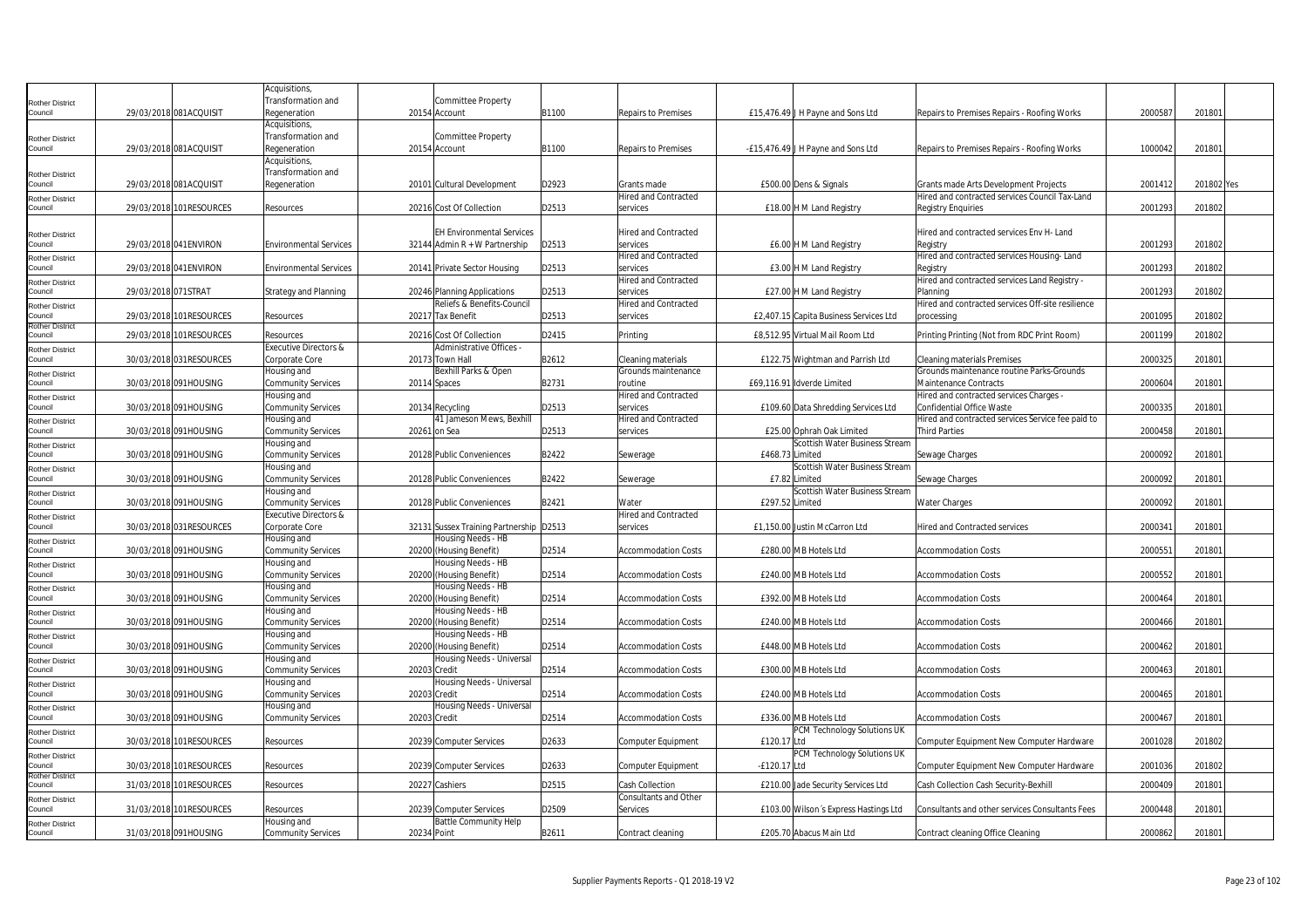|                                   |                          | Acquisitions,                    |              |                                         |       |                             |                 |                                        |                                                   |         |            |  |
|-----------------------------------|--------------------------|----------------------------------|--------------|-----------------------------------------|-------|-----------------------------|-----------------|----------------------------------------|---------------------------------------------------|---------|------------|--|
| <b>Rother District</b>            |                          | Transformation and               |              | <b>Committee Property</b>               |       |                             |                 |                                        |                                                   |         |            |  |
| Council                           | 29/03/2018 081ACQUISIT   | Regeneration                     |              | 20154 Account                           | B1100 | Repairs to Premises         |                 | £15,476.49 J H Payne and Sons Ltd      | Repairs to Premises Repairs - Roofing Works       | 2000587 | 201801     |  |
|                                   |                          | Acquisitions,                    |              |                                         |       |                             |                 |                                        |                                                   |         |            |  |
| <b>Rother District</b>            |                          | Transformation and               |              | <b>Committee Property</b>               |       |                             |                 |                                        |                                                   |         |            |  |
| Council                           | 29/03/2018 081ACQUISIT   | Regeneration                     |              | 20154 Account                           | B1100 | Repairs to Premises         |                 | -£15,476.49 J H Payne and Sons Ltd     | Repairs to Premises Repairs - Roofing Works       | 1000042 | 201801     |  |
|                                   |                          | Acquisitions,                    |              |                                         |       |                             |                 |                                        |                                                   |         |            |  |
|                                   |                          | Transformation and               |              |                                         |       |                             |                 |                                        |                                                   |         |            |  |
| <b>Rother District</b><br>Council | 29/03/2018 081ACQUISIT   | Regeneration                     |              | 20101 Cultural Development              | D2923 | Grants made                 |                 | £500.00 Dens & Signals                 | Grants made Arts Development Projects             | 2001412 | 201802 Yes |  |
|                                   |                          |                                  |              |                                         |       | Hired and Contracted        |                 |                                        | Hired and contracted services Council Tax-Land    |         |            |  |
| <b>Rother District</b><br>Council | 29/03/2018 101RESOURCES  | Resources                        |              | 20216 Cost Of Collection                | D2513 | services                    |                 | £18.00 H M Land Registry               | <b>Registry Enquiries</b>                         | 2001293 | 201802     |  |
|                                   |                          |                                  |              |                                         |       |                             |                 |                                        |                                                   |         |            |  |
|                                   |                          |                                  |              |                                         |       |                             |                 |                                        |                                                   |         |            |  |
| <b>Rother District</b>            |                          |                                  |              | <b>EH Environmental Services</b>        |       | <b>Hired and Contracted</b> |                 |                                        | Hired and contracted services Env H- Land         |         |            |  |
| Council                           | 29/03/2018 041 ENVIRON   | <b>Environmental Services</b>    |              | 32144 Admin R + W Partnership           | D2513 | services                    |                 | £6.00 H M Land Registry                | Registry                                          | 2001293 | 201802     |  |
| <b>Rother District</b>            |                          |                                  |              |                                         |       | <b>Hired and Contracted</b> |                 |                                        | Hired and contracted services Housing-Land        |         |            |  |
| Council                           | 29/03/2018 041 ENVIRON   | <b>Environmental Services</b>    |              | 20141 Private Sector Housing            | D2513 | services                    |                 | £3.00 H M Land Registry                | Registry                                          | 2001293 | 201802     |  |
| <b>Rother District</b>            |                          |                                  |              |                                         |       | Hired and Contracted        |                 |                                        | Hired and contracted services Land Registry -     |         |            |  |
| Council                           | 29/03/2018 071STRAT      | <b>Strategy and Planning</b>     |              | 20246 Planning Applications             | D2513 | services                    |                 | £27.00 H M Land Registry               | Planning                                          | 2001293 | 201802     |  |
| <b>Rother District</b>            |                          |                                  |              | Reliefs & Benefits-Council              |       | Hired and Contracted        |                 |                                        | Hired and contracted services Off-site resilience |         |            |  |
| Council                           | 29/03/2018 101RESOURCES  | Resources                        |              | 20217 Tax Benefit                       | D2513 | services                    |                 | £2,407.15 Capita Business Services Ltd | processing                                        | 2001095 | 201802     |  |
| <b>Rother District</b><br>Council | 29/03/2018 101RESOURCES  | Resources                        |              | 20216 Cost Of Collection                | D2415 | Printing                    |                 | £8,512.95 Virtual Mail Room Ltd        |                                                   | 2001199 | 201802     |  |
|                                   |                          |                                  |              |                                         |       |                             |                 |                                        | Printing Printing (Not from RDC Print Room)       |         |            |  |
| <b>Rother District</b>            |                          | <b>Executive Directors &amp;</b> |              | Administrative Offices -                |       |                             |                 |                                        |                                                   |         |            |  |
| Council                           | 30/03/2018 031RESOURCES  | Corporate Core                   |              | 20173 Town Hall                         | B2612 | Cleaning materials          |                 | £122.75 Wightman and Parrish Ltd       | <b>Cleaning materials Premises</b>                | 2000325 | 201801     |  |
| <b>Rother District</b>            |                          | Housing and                      |              | Bexhill Parks & Open                    |       | Grounds maintenance         |                 |                                        | Grounds maintenance routine Parks-Grounds         |         |            |  |
| Council                           | 30/03/2018 091HOUSING    | <b>Community Services</b>        | 20114 Spaces |                                         | B2731 | routine                     |                 | £69,116.91 Idverde Limited             | Maintenance Contracts                             | 2000604 | 201801     |  |
| <b>Rother District</b>            |                          | Housing and                      |              |                                         |       | Hired and Contracted        |                 |                                        | Hired and contracted services Charges -           |         |            |  |
| Council                           | 30/03/2018 091HOUSING    | <b>Community Services</b>        |              | 20134 Recycling                         | D2513 | services                    |                 | £109.60 Data Shredding Services Ltd    | <b>Confidential Office Waste</b>                  | 2000335 | 201801     |  |
| <b>Rother District</b>            |                          | Housing and                      |              | 41 Jameson Mews, Bexhill                |       | Hired and Contracted        |                 |                                        | Hired and contracted services Service fee paid to |         |            |  |
| Council                           | 30/03/2018 091HOUSING    | <b>Community Services</b>        | 20261 on Sea |                                         | D2513 | services                    |                 | £25.00 Ophrah Oak Limited              | Third Parties                                     | 2000458 | 201801     |  |
| <b>Rother District</b>            |                          | Housing and                      |              |                                         |       |                             |                 | Scottish Water Business Stream         |                                                   |         |            |  |
| Council                           | 30/03/2018 091HOUSING    | <b>Community Services</b>        |              | 20128 Public Conveniences               | B2422 | Sewerage                    | £468.73 Limited |                                        | Sewage Charges                                    | 2000092 | 201801     |  |
| <b>Rother District</b>            |                          | Housing and                      |              |                                         |       |                             |                 | Scottish Water Business Stream         |                                                   |         |            |  |
| Council                           | 30/03/2018 091HOUSING    | <b>Community Services</b>        |              | 20128 Public Conveniences               | B2422 | Sewerage                    |                 | £7.82 Limited                          | Sewage Charges                                    | 2000092 | 201801     |  |
| <b>Rother District</b>            |                          | Housing and                      |              |                                         |       |                             |                 | Scottish Water Business Stream         |                                                   |         |            |  |
| Council                           | 30/03/2018 091HOUSING    | Community Services               |              | 20128 Public Conveniences               | B2421 | Water                       | £297.52 Limited |                                        | <b>Water Charges</b>                              | 2000092 | 201801     |  |
| Rother District                   |                          | <b>Executive Directors &amp;</b> |              |                                         |       | <b>Hired and Contracted</b> |                 |                                        |                                                   |         |            |  |
| Council                           | 30/03/2018 031RESOURCES  | Corporate Core                   |              | 32131 Sussex Training Partnership D2513 |       | services                    |                 | £1,150.00 Justin McCarron Ltd          | Hired and Contracted services                     | 200034  | 201801     |  |
| <b>Rother District</b>            |                          | Housing and                      |              | Housing Needs - HB                      |       |                             |                 |                                        |                                                   |         |            |  |
| Council                           | 30/03/2018 091HOUSING    | <b>Community Services</b>        |              | 20200 (Housing Benefit)                 | D2514 | <b>Accommodation Costs</b>  |                 | £280.00 MB Hotels Ltd                  | <b>Accommodation Costs</b>                        | 200055  | 201801     |  |
| <b>Rother District</b>            |                          | Housing and                      |              | Housing Needs - HB                      |       |                             |                 |                                        |                                                   |         |            |  |
| Council                           | 30/03/2018 091HOUSING    | <b>Community Services</b>        |              | 20200 (Housing Benefit)                 | D2514 | <b>Accommodation Costs</b>  |                 | £240.00 MB Hotels Ltd                  | <b>Accommodation Costs</b>                        | 2000552 | 201801     |  |
| <b>Rother District</b>            |                          | Housing and                      |              | Housing Needs - HB                      |       |                             |                 |                                        |                                                   |         |            |  |
| Council                           | 30/03/2018 091HOUSING    | <b>Community Services</b>        |              | 20200 (Housing Benefit)                 | D2514 | Accommodation Costs         |                 | £392.00 MB Hotels Ltd                  | <b>Accommodation Costs</b>                        | 2000464 | 201801     |  |
|                                   |                          | Housing and                      |              | Housing Needs - HB                      |       |                             |                 |                                        |                                                   |         |            |  |
| <b>Rother District</b><br>Council | 30/03/2018 091HOUSING    | <b>Community Services</b>        |              | 20200 (Housing Benefit)                 | D2514 | <b>Accommodation Costs</b>  |                 | £240.00 MB Hotels Ltd                  | <b>Accommodation Costs</b>                        | 2000466 | 201801     |  |
|                                   |                          | Housing and                      |              | Housing Needs - HB                      |       |                             |                 |                                        |                                                   |         |            |  |
| <b>Rother District</b><br>Council | 30/03/2018 091HOUSING    | <b>Community Services</b>        |              | 20200 (Housing Benefit)                 | D2514 | <b>Accommodation Costs</b>  |                 | £448.00 MB Hotels Ltd                  | <b>Accommodation Costs</b>                        | 2000462 | 201801     |  |
|                                   |                          | Housing and                      |              | Housing Needs - Universal               |       |                             |                 |                                        |                                                   |         |            |  |
| <b>Rother District</b><br>Council |                          |                                  |              |                                         | D2514 |                             |                 |                                        | <b>Accommodation Costs</b>                        |         |            |  |
|                                   | 30/03/2018 091HOUSING    | <b>Community Services</b>        | 20203 Credit |                                         |       | <b>Accommodation Costs</b>  |                 | £300.00 MB Hotels Ltd                  |                                                   | 2000463 | 201801     |  |
| <b>Rother District</b><br>Council | 30/03/2018 091HOUSING    | Housing and                      |              | Housing Needs - Universal               |       | <b>Accommodation Costs</b>  |                 | £240.00 MB Hotels Ltd                  | <b>Accommodation Costs</b>                        | 2000465 |            |  |
|                                   |                          | <b>Community Services</b>        | 20203 Credit |                                         | D2514 |                             |                 |                                        |                                                   |         | 201801     |  |
| Rother District                   |                          | Housing and                      |              | Housing Needs - Universal               |       |                             |                 |                                        |                                                   |         |            |  |
| Council                           | 30/03/2018 091HOUSING    | <b>Community Services</b>        | 20203 Credit |                                         | D2514 | <b>Accommodation Costs</b>  |                 | £336.00 MB Hotels Ltd                  | <b>Accommodation Costs</b>                        | 2000467 | 201801     |  |
| <b>Rother District</b>            |                          |                                  |              |                                         |       |                             |                 | PCM Technology Solutions UK            |                                                   |         |            |  |
| Council                           | 30/03/2018 101 RESOURCES | Resources                        |              | 20239 Computer Services                 | D2633 | <b>Computer Equipment</b>   | £120.17 Ltd     |                                        | Computer Equipment New Computer Hardware          | 2001028 | 201802     |  |
| <b>Rother District</b>            |                          |                                  |              |                                         |       |                             |                 | PCM Technology Solutions UK            |                                                   |         |            |  |
| Council                           | 30/03/2018 101RESOURCES  | Resources                        |              | 20239 Computer Services                 | D2633 | Computer Equipment          | -£120.17 Ltd    |                                        | Computer Equipment New Computer Hardware          | 2001036 | 201802     |  |
| <b>Rother District</b>            |                          |                                  |              |                                         |       |                             |                 |                                        |                                                   |         |            |  |
| Council                           | 31/03/2018 101RESOURCES  | Resources                        |              | 20227 Cashiers                          | D2515 | <b>Cash Collection</b>      |                 | £210.00 Jade Security Services Ltd     | Cash Collection Cash Security-Bexhill             | 2000409 | 201801     |  |
| <b>Rother District</b>            |                          |                                  |              |                                         |       | Consultants and Other       |                 |                                        |                                                   |         |            |  |
| Council                           | 31/03/2018 101RESOURCES  | Resources                        |              | 20239 Computer Services                 | D2509 | Services                    |                 | £103.00 Wilson's Express Hastings Ltd  | Consultants and other services Consultants Fees   | 2000448 | 201801     |  |
| <b>Rother District</b>            |                          | Housing and                      |              | <b>Battle Community Help</b>            |       |                             |                 |                                        |                                                   |         |            |  |
| Council                           | 31/03/2018 091HOUSING    | <b>Community Services</b>        | 20234 Point  |                                         | B2611 | Contract cleaning           |                 | £205.70 Abacus Main Ltd                | Contract cleaning Office Cleaning                 | 2000862 | 201801     |  |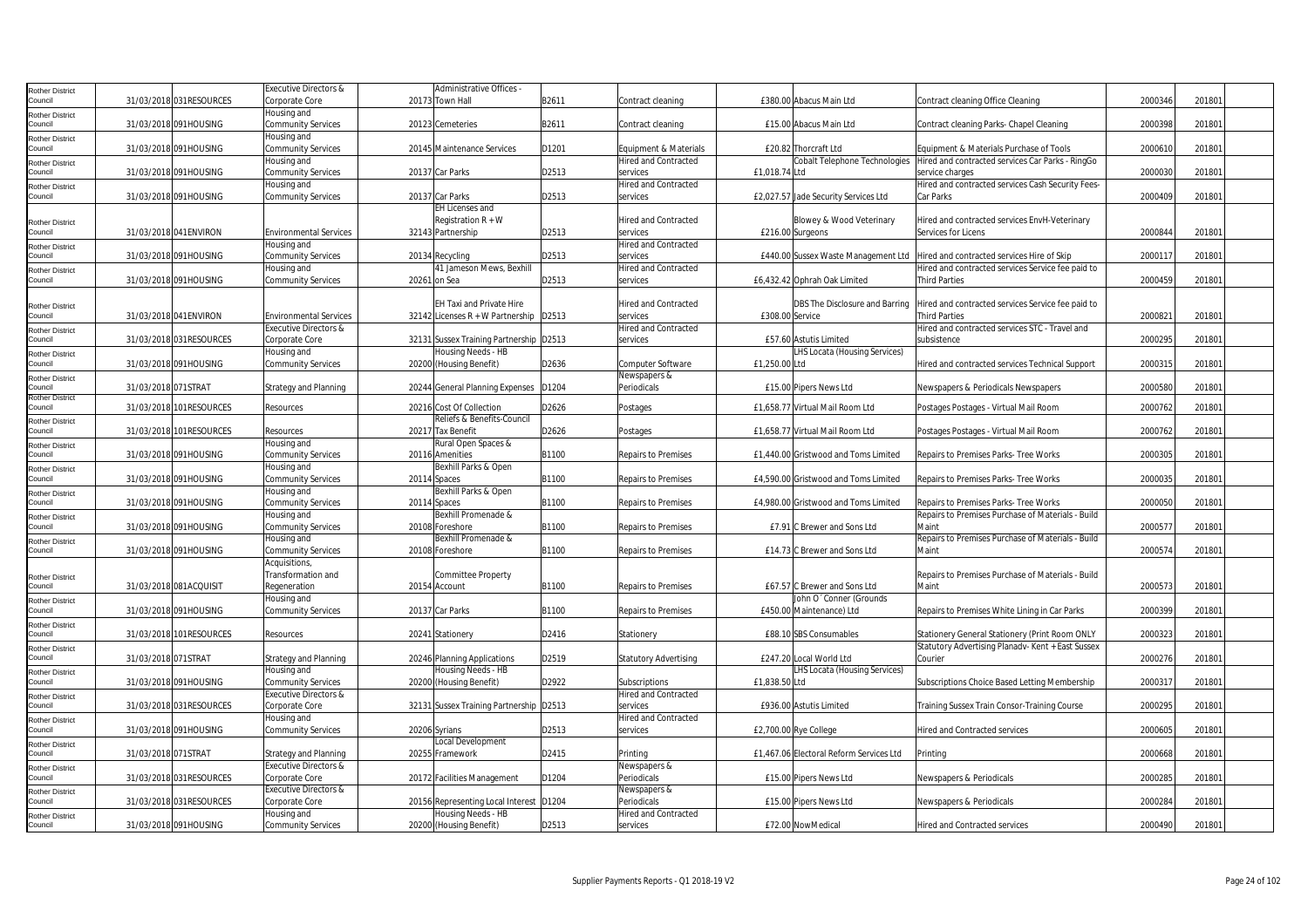| Rother District        |                     |                         | <b>Executive Directors &amp;</b> | Administrative Offices                  |       |                              |                                         |                                                   |         |        |  |
|------------------------|---------------------|-------------------------|----------------------------------|-----------------------------------------|-------|------------------------------|-----------------------------------------|---------------------------------------------------|---------|--------|--|
| Council                |                     | 31/03/2018 031RESOURCES | Corporate Core                   | 20173 Town Hall                         | B2611 | Contract cleaning            | £380.00 Abacus Main Ltd                 | Contract cleaning Office Cleaning                 | 2000346 | 201801 |  |
| Rother District        |                     |                         | Housing and                      |                                         |       |                              |                                         |                                                   |         |        |  |
| Council                |                     | 31/03/2018 091HOUSING   | Community Services               | 20123 Cemeteries                        | B2611 | Contract cleaning            | £15.00 Abacus Main Ltd                  | Contract cleaning Parks- Chapel Cleaning          | 2000398 | 201801 |  |
| Rother District        |                     |                         | Housing and                      |                                         |       |                              |                                         |                                                   |         |        |  |
| Council                |                     | 31/03/2018 091HOUSING   | Community Services               | 20145 Maintenance Services              | D1201 | Equipment & Materials        | £20.82 Thorcraft Ltd                    | Equipment & Materials Purchase of Tools           | 2000610 | 201801 |  |
| Rother District        |                     |                         | Housing and                      |                                         |       | <b>Hired and Contracted</b>  | Cobalt Telephone Technologies           | Hired and contracted services Car Parks - RingGo  |         |        |  |
| Council                |                     | 31/03/2018 091HOUSING   | Community Services               | 20137 Car Parks                         | D2513 | services                     | £1,018.74 Ltd                           | service charges                                   | 2000030 | 201801 |  |
| Rother District        |                     |                         | Housing and                      |                                         |       | <b>Hired and Contracted</b>  |                                         | Hired and contracted services Cash Security Fees- |         |        |  |
| Council                |                     | 31/03/2018 091HOUSING   | Community Services               | 20137 Car Parks                         | D2513 | services                     | £2,027.57 Jade Security Services Ltd    | Car Parks                                         | 2000409 | 201801 |  |
|                        |                     |                         |                                  | <b>EH Licenses and</b>                  |       |                              |                                         |                                                   |         |        |  |
| Rother District        |                     |                         |                                  | Registration $R + W$                    |       | <b>Hired and Contracted</b>  | Blowey & Wood Veterinary                | Hired and contracted services EnvH-Veterinary     |         |        |  |
| Council                |                     | 31/03/2018 041ENVIRON   | <b>Environmental Services</b>    | 32143 Partnership                       | D2513 | services                     | £216.00 Surgeons                        | Services for Licens                               | 2000844 | 201801 |  |
| Rother District        |                     |                         | Housing and                      |                                         |       | <b>Hired and Contracted</b>  |                                         |                                                   |         |        |  |
| Council                |                     | 31/03/2018 091HOUSING   | <b>Community Services</b>        | 20134 Recycling                         | D2513 | services                     | £440.00 Sussex Waste Management Ltd     | Hired and contracted services Hire of Skip        | 200011  | 201801 |  |
| Rother District        |                     |                         | Housing and                      | 41 Jameson Mews, Bexhill                |       | <b>Hired and Contracted</b>  |                                         | Hired and contracted services Service fee paid to |         |        |  |
| Council                |                     | 31/03/2018 091HOUSING   | <b>Community Services</b>        | 20261 on Sea                            | D2513 | services                     | £6,432.42 Ophrah Oak Limited            | <b>Third Parties</b>                              | 2000459 | 201801 |  |
|                        |                     |                         |                                  |                                         |       |                              |                                         |                                                   |         |        |  |
| Rother District        |                     |                         |                                  | EH Taxi and Private Hire                |       | <b>Hired and Contracted</b>  | DBS The Disclosure and Barring          | Hired and contracted services Service fee paid to |         |        |  |
| Council                |                     | 31/03/2018 041 ENVIRON  | <b>Environmental Services</b>    | 32142 Licenses R + W Partnership D2513  |       | services                     | £308.00 Service                         | <b>Third Parties</b>                              | 200082  | 201801 |  |
| <b>Rother District</b> |                     |                         | Executive Directors &            |                                         |       | <b>Hired and Contracted</b>  |                                         | Hired and contracted services STC - Travel and    |         |        |  |
| Council                |                     | 31/03/2018 031RESOURCES | Corporate Core                   | 32131 Sussex Training Partnership D2513 |       | services                     | £57.60 Astutis Limited                  | subsistence                                       | 2000295 | 201801 |  |
| Rother District        |                     |                         | Housing and                      | Housing Needs - HB                      |       |                              | LHS Locata (Housing Services)           |                                                   |         |        |  |
| Council                |                     | 31/03/2018 091HOUSING   | Community Services               | 20200 (Housing Benefit)                 | D2636 | Computer Software            | £1,250.00 Ltd                           | Hired and contracted services Technical Support   | 2000315 | 201801 |  |
| Rother District        |                     |                         |                                  |                                         |       | Newspapers &                 |                                         |                                                   |         |        |  |
| Council                | 31/03/2018 071STRAT |                         | <b>Strategy and Planning</b>     | 20244 General Planning Expenses         | D1204 | Periodicals                  | £15.00 Pipers News Ltd                  | Newspapers & Periodicals Newspapers               | 2000580 | 201801 |  |
| Rother District        |                     |                         |                                  |                                         |       |                              |                                         |                                                   |         |        |  |
| Council                |                     | 31/03/2018 101RESOURCES | Resources                        | 20216 Cost Of Collection                | D2626 | Postages                     | £1,658.77 Virtual Mail Room Ltd         | Postages Postages - Virtual Mail Room             | 2000762 | 201801 |  |
| Rother District        |                     |                         |                                  | Reliefs & Benefits-Council              |       |                              |                                         |                                                   |         |        |  |
| Council                |                     | 31/03/2018 101RESOURCES | Resources                        | 20217 Tax Benefit                       | D2626 | Postages                     | £1,658.77 Virtual Mail Room Ltd         | Postages Postages - Virtual Mail Room             | 2000762 | 201801 |  |
| Rother District        |                     |                         | Housing and                      | Rural Open Spaces &                     |       |                              |                                         |                                                   |         |        |  |
| Council                |                     | 31/03/2018 091HOUSING   | Community Services               | 20116 Amenities                         | B1100 | <b>Repairs to Premises</b>   | £1,440.00 Gristwood and Toms Limited    | Repairs to Premises Parks- Tree Works             | 2000305 | 201801 |  |
| Rother District        |                     |                         | Housing and                      | Bexhill Parks & Open                    |       |                              |                                         |                                                   |         |        |  |
| Council                |                     | 31/03/2018 091HOUSING   | Community Services               | 20114 Spaces                            | B1100 | Repairs to Premises          | £4,590.00 Gristwood and Toms Limited    | Repairs to Premises Parks-Tree Works              | 2000035 | 201801 |  |
| Rother District        |                     |                         | Housing and                      | Bexhill Parks & Open                    |       |                              |                                         |                                                   |         |        |  |
| Council                |                     | 31/03/2018 091HOUSING   | Community Services               | 20114 Spaces                            | B1100 | <b>Repairs to Premises</b>   | £4.980.00 Gristwood and Toms Limited    | Repairs to Premises Parks-Tree Works              | 2000050 | 201801 |  |
| Rother District        |                     |                         | Housing and                      | Bexhill Promenade &                     |       |                              |                                         | Repairs to Premises Purchase of Materials - Build |         |        |  |
| Council                |                     | 31/03/2018 091HOUSING   | Community Services               | 20108 Foreshore                         | B1100 | Repairs to Premises          | £7.91 C Brewer and Sons Ltd             | Maint                                             | 200057  | 201801 |  |
| Rother District        |                     |                         | Housing and                      | Bexhill Promenade &                     |       |                              |                                         | Repairs to Premises Purchase of Materials - Build |         |        |  |
| Council                |                     | 31/03/2018 091HOUSING   | Community Services               | 20108 Foreshore                         | B1100 | <b>Repairs to Premises</b>   | £14.73 C Brewer and Sons Ltd            | Maint                                             | 2000574 | 201801 |  |
|                        |                     |                         | Acquisitions,                    |                                         |       |                              |                                         |                                                   |         |        |  |
| Rother District        |                     |                         | Transformation and               | Committee Property                      |       |                              |                                         | Repairs to Premises Purchase of Materials - Build |         |        |  |
| Council                |                     | 31/03/2018 081ACQUISIT  | Regeneration                     | 20154 Account                           | B1100 | Repairs to Premises          | £67.57 C Brewer and Sons Ltd            | Maint                                             | 200057  | 201801 |  |
| Rother District        |                     |                         | Housing and                      |                                         |       |                              | John O' Conner (Grounds                 |                                                   |         |        |  |
| Council                |                     | 31/03/2018 091HOUSING   | <b>Community Services</b>        | 20137 Car Parks                         | B1100 | Repairs to Premises          | £450.00 Maintenance) Ltd                | Repairs to Premises White Lining in Car Parks     | 2000399 | 201801 |  |
| <b>Rother District</b> |                     |                         |                                  |                                         |       |                              |                                         |                                                   |         |        |  |
| Council                |                     | 31/03/2018 101RESOURCES | Resources                        | 20241 Stationery                        | D2416 | Stationery                   | £88.10 SBS Consumables                  | Stationery General Stationery (Print Room ONLY    | 2000323 | 201801 |  |
| Rother District        |                     |                         |                                  |                                         |       |                              |                                         | Statutory Advertising Planadv- Kent + East Sussex |         |        |  |
| Council                | 31/03/2018 071STRAT |                         | Strategy and Planning            | 20246 Planning Applications             | D2519 | <b>Statutory Advertising</b> | £247.20 Local World Ltd                 | Courier                                           | 2000276 | 201801 |  |
| <b>Rother District</b> |                     |                         | Housing and                      | Housing Needs - HB                      |       |                              | LHS Locata (Housing Services)           |                                                   |         |        |  |
| Council                |                     | 31/03/2018 091HOUSING   | <b>Community Services</b>        | 20200 (Housing Benefit)                 | D2922 | Subscriptions                | £1.838.50 Ltd                           | Subscriptions Choice Based Letting Membership     | 2000317 | 201801 |  |
| Rother District        |                     |                         | Executive Directors &            |                                         |       | Hired and Contracted         |                                         |                                                   |         |        |  |
| Council                |                     | 31/03/2018 031RESOURCES | Corporate Core                   | 32131 Sussex Training Partnership D2513 |       | services                     | £936.00 Astutis Limited                 | Training Sussex Train Consor-Training Course      | 2000295 | 201801 |  |
| Rother District        |                     |                         | Housing and                      |                                         |       | <b>Hired and Contracted</b>  |                                         |                                                   |         |        |  |
| Council                |                     | 31/03/2018 091HOUSING   | Community Services               | 20206 Syrians                           | D2513 | services                     | £2,700.00 Rye College                   | <b>Hired and Contracted services</b>              | 2000605 | 201801 |  |
| Rother District        |                     |                         |                                  | Local Development                       |       |                              |                                         |                                                   |         |        |  |
| Council                | 31/03/2018 071STRAT |                         | <b>Strategy and Planning</b>     | 20255 Framework                         | D2415 | Printing                     | £1,467.06 Electoral Reform Services Ltd | Printing                                          | 2000668 | 201801 |  |
| Rother District        |                     |                         | <b>Executive Directors &amp;</b> |                                         |       | Newspapers &                 |                                         |                                                   |         |        |  |
| Council                |                     | 31/03/2018 031RESOURCES | Corporate Core                   | 20172 Facilities Management             | D1204 | Periodicals                  | £15.00 Pipers News Ltd                  | Newspapers & Periodicals                          | 2000285 | 201801 |  |
| Rother District        |                     |                         | Executive Directors &            |                                         |       | Newspapers &                 |                                         |                                                   |         |        |  |
| Council                |                     | 31/03/2018 031RESOURCES | Corporate Core                   | 20156 Representing Local Interest D1204 |       | Periodicals                  | £15.00 Pipers News Ltd                  | Newspapers & Periodicals                          | 2000284 | 201801 |  |
| Rother District        |                     |                         | Housing and                      | Housing Needs - HB                      |       | <b>Hired and Contracted</b>  |                                         |                                                   |         |        |  |
| Council                |                     | 31/03/2018 091HOUSING   | <b>Community Services</b>        | 20200 (Housing Benefit)                 | D2513 | services                     | £72.00 NowMedical                       | <b>Hired and Contracted services</b>              | 2000490 | 201801 |  |
|                        |                     |                         |                                  |                                         |       |                              |                                         |                                                   |         |        |  |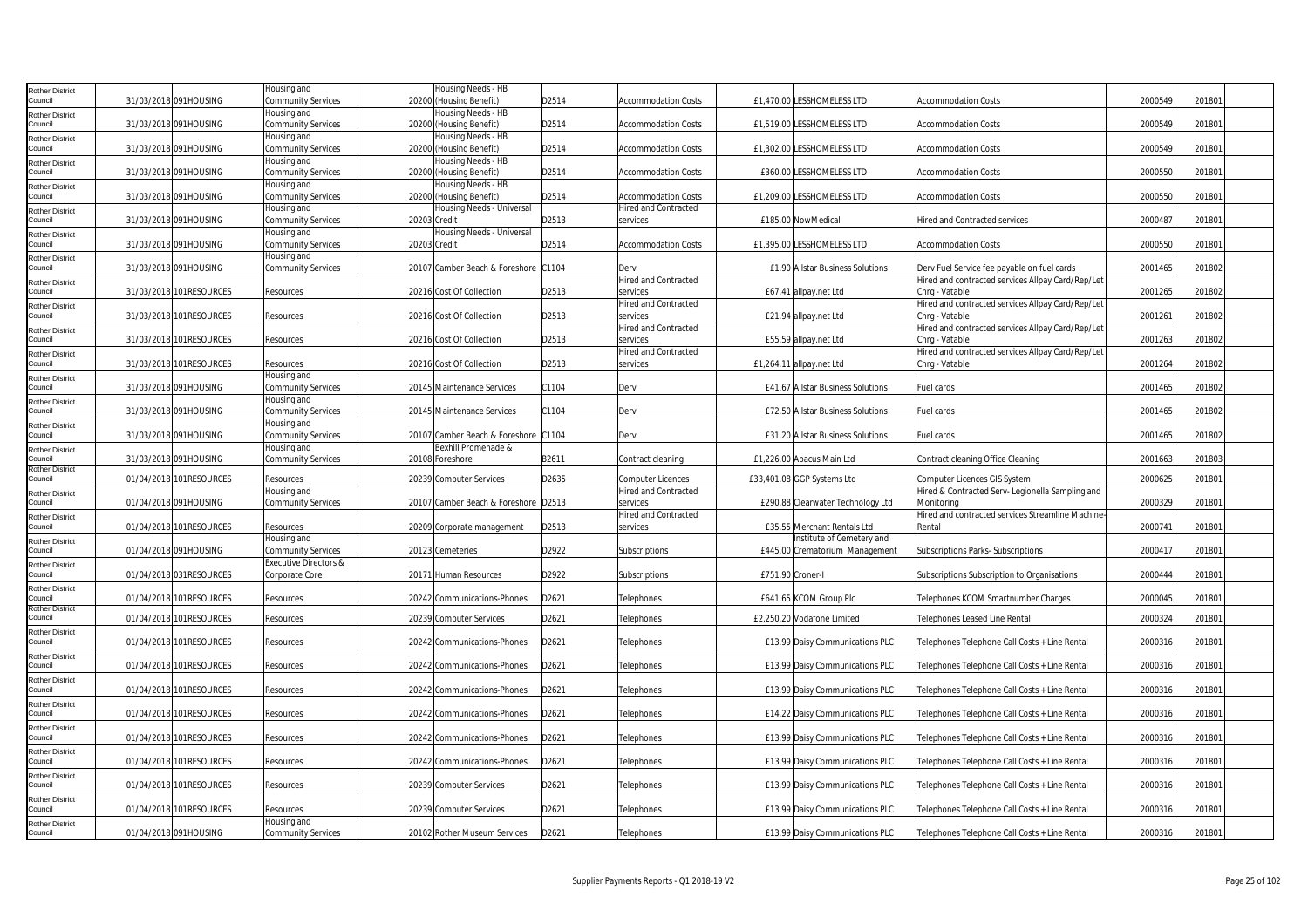| <b>Rother District</b>            |                          | Housing and                       |              | Housing Needs - HB                   |       |                                         |                                   |                                                             |         |        |  |
|-----------------------------------|--------------------------|-----------------------------------|--------------|--------------------------------------|-------|-----------------------------------------|-----------------------------------|-------------------------------------------------------------|---------|--------|--|
| Council                           | 31/03/2018 091HOUSING    | Community Services                |              | 20200 (Housing Benefit)              | D2514 | <b>Accommodation Costs</b>              | £1,470.00 LESSHOMELESS LTD        | <b>Accommodation Costs</b>                                  | 2000549 | 201801 |  |
| <b>Rother District</b>            |                          | Housing and                       |              | Housing Needs - HB                   |       |                                         |                                   |                                                             |         |        |  |
| Council                           | 31/03/2018 091HOUSING    | Community Services                |              | 20200 (Housing Benefit)              | D2514 | <b>Accommodation Costs</b>              | £1,519.00 LESSHOMELESS LTD        | <b>Accommodation Costs</b>                                  | 2000549 | 201801 |  |
| <b>Rother District</b>            |                          | Housing and                       |              | Housing Needs - HB                   |       |                                         |                                   |                                                             |         |        |  |
| Council                           | 31/03/2018 091HOUSING    | Community Services                |              | 20200 (Housing Benefit)              | D2514 | <b>Accommodation Costs</b>              | £1,302.00 LESSHOMELESS LTD        | <b>Accommodation Costs</b>                                  | 2000549 | 201801 |  |
| <b>Rother District</b>            |                          | Housing and                       |              | Housing Needs - HB                   |       |                                         |                                   |                                                             |         |        |  |
| Council                           | 31/03/2018 091HOUSING    | Community Services                |              | 20200 (Housing Benefit)              | D2514 | <b>Accommodation Costs</b>              | £360.00 LESSHOMELESS LTD          | <b>Accommodation Costs</b>                                  | 2000550 | 201801 |  |
| <b>Rother District</b>            |                          | Housing and                       |              | Housing Needs - HB                   |       |                                         |                                   |                                                             |         |        |  |
| Council                           | 31/03/2018 091HOUSING    | Community Services                |              | 20200 (Housing Benefit)              | D2514 | Accommodation Costs                     | £1,209.00 LESSHOMELESS LTD        | Accommodation Costs                                         | 2000550 | 201801 |  |
| <b>Rother District</b>            |                          | Housing and                       |              | Housing Needs - Universal            |       | <b>Hired and Contracted</b>             |                                   |                                                             |         |        |  |
| Council                           | 31/03/2018 091HOUSING    | Community Services                | 20203 Credit |                                      | D2513 | services                                | £185.00 NowMedical                | <b>Hired and Contracted services</b>                        | 2000487 | 201801 |  |
| <b>Rother District</b><br>Council | 31/03/2018 091HOUSING    | Housing and<br>Community Services | 20203 Credit | Housing Needs - Universal            | D2514 | <b>Accommodation Costs</b>              | £1,395.00 LESSHOMELESS LTD        | <b>Accommodation Costs</b>                                  | 2000550 | 201801 |  |
|                                   |                          | Housing and                       |              |                                      |       |                                         |                                   |                                                             |         |        |  |
| <b>Rother District</b><br>Council | 31/03/2018 091HOUSING    | Community Services                |              | 20107 Camber Beach & Foreshore C1104 |       | Derv                                    | £1.90 Allstar Business Solutions  | Derv Fuel Service fee payable on fuel cards                 | 2001465 | 201802 |  |
|                                   |                          |                                   |              |                                      |       | <b>Hired and Contracted</b>             |                                   | Hired and contracted services Allpay Card/Rep/Let           |         |        |  |
| <b>Rother District</b><br>Council | 31/03/2018 101RESOURCES  | Resources                         |              | 20216 Cost Of Collection             | D2513 | services                                | £67.41 allpay.net Ltd             | Chrg - Vatable                                              | 2001265 | 201802 |  |
| <b>Rother District</b>            |                          |                                   |              |                                      |       | <b>Hired and Contracted</b>             |                                   | Hired and contracted services Allpay Card/Rep/Let           |         |        |  |
| Council                           | 31/03/2018 101RESOURCES  | Resources                         |              | 20216 Cost Of Collection             | D2513 | services                                | £21.94 allpay.net Ltd             | Chrg - Vatable                                              | 2001261 | 201802 |  |
| <b>Rother District</b>            |                          |                                   |              |                                      |       | <b>Hired and Contracted</b>             |                                   | Hired and contracted services Allpay Card/Rep/Let           |         |        |  |
| Council                           | 31/03/2018 101RESOURCES  | Resources                         |              | 20216 Cost Of Collection             | D2513 | services                                | £55.59 allpay.net Ltd             | Chrg - Vatable                                              | 2001263 | 201802 |  |
| <b>Rother District</b>            |                          |                                   |              |                                      |       | <b>Hired and Contracted</b>             |                                   | Hired and contracted services Allpay Card/Rep/Let           |         |        |  |
| Council                           | 31/03/2018 101RESOURCES  | Resources                         |              | 20216 Cost Of Collection             | D2513 | services                                | £1,264.11 allpay.net Ltd          | Chrq - Vatable                                              | 2001264 | 201802 |  |
| <b>Rother District</b>            |                          | Housing and                       |              |                                      |       |                                         |                                   |                                                             |         |        |  |
| Council                           | 31/03/2018 091HOUSING    | Community Services                |              | 20145 Maintenance Services           | C1104 | Derv                                    | £41.67 Allstar Business Solutions | Fuel cards                                                  | 2001465 | 201802 |  |
| <b>Rother District</b>            |                          | Housing and                       |              |                                      |       |                                         |                                   |                                                             |         |        |  |
| Council                           | 31/03/2018 091HOUSING    | Community Services<br>Housing and |              | 20145 Maintenance Services           | C1104 | Derv                                    | £72.50 Allstar Business Solutions | Fuel cards                                                  | 2001465 | 201802 |  |
| <b>Rother District</b><br>Council | 31/03/2018 091HOUSING    | Community Services                |              | 20107 Camber Beach & Foreshore C1104 |       | Derv                                    | £31.20 Allstar Business Solutions | Fuel cards                                                  | 2001465 | 201802 |  |
| <b>Rother District</b>            |                          | Housing and                       |              | Bexhill Promenade &                  |       |                                         |                                   |                                                             |         |        |  |
| Council                           | 31/03/2018 091HOUSING    | Community Services                |              | 20108 Foreshore                      | B2611 | Contract cleaning                       | £1,226.00 Abacus Main Ltd         | Contract cleaning Office Cleaning                           | 2001663 | 201803 |  |
| <b>Rother District</b>            |                          |                                   |              |                                      |       |                                         |                                   |                                                             |         |        |  |
| Council                           | 01/04/2018 101RESOURCES  | Resources                         |              | 20239 Computer Services              | D2635 | Computer Licences                       | £33,401.08 GGP Systems Ltd        | Computer Licences GIS System                                | 2000625 | 201801 |  |
| Rother District                   |                          | Housing and                       |              |                                      |       | <b>Hired and Contracted</b>             |                                   | Hired & Contracted Serv- Legionella Sampling and            |         |        |  |
| Council                           | 01/04/2018 091HOUSING    | Community Services                |              | 20107 Camber Beach & Foreshore D2513 |       | services                                | £290.88 Clearwater Technology Ltd | Monitoring                                                  | 2000329 | 201801 |  |
| <b>Rother District</b><br>Council | 01/04/2018 101 RESOURCES | Resources                         |              | 20209 Corporate management           | D2513 | <b>Hired and Contracted</b><br>services | £35.55 Merchant Rentals Ltd       | Hired and contracted services Streamline Machine-<br>Rental | 2000741 | 201801 |  |
|                                   |                          | Housing and                       |              |                                      |       |                                         | Institute of Cemetery and         |                                                             |         |        |  |
| <b>Rother District</b><br>Council | 01/04/2018 091HOUSING    | Community Services                |              | 20123 Cemeteries                     | D2922 | Subscriptions                           | £445.00 Crematorium Management    | Subscriptions Parks-Subscriptions                           | 200041  | 201801 |  |
| <b>Rother District</b>            |                          | <b>Executive Directors &amp;</b>  |              |                                      |       |                                         |                                   |                                                             |         |        |  |
| Council                           | 01/04/2018 031RESOURCES  | Corporate Core                    |              | 20171 Human Resources                | D2922 | Subscriptions                           | £751.90 Croner-I                  | Subscriptions Subscription to Organisations                 | 2000444 | 201801 |  |
| <b>Rother District</b>            |                          |                                   |              |                                      |       |                                         |                                   |                                                             |         |        |  |
| Council                           | 01/04/2018 101RESOURCES  | Resources                         |              | 20242 Communications-Phones          | D2621 | Telephones                              | £641.65 KCOM Group Plc            | Telephones KCOM Smartnumber Charges                         | 2000045 | 201801 |  |
| <b>Rother District</b>            |                          |                                   |              |                                      | D2621 | Telephones                              | £2.250.20 Vodafone Limited        | Telephones Leased Line Rental                               | 2000324 | 201801 |  |
| Council                           | 01/04/2018 101RESOURCES  | Resources                         |              | 20239 Computer Services              |       |                                         |                                   |                                                             |         |        |  |
| <b>Rother District</b><br>Council | 01/04/2018 101RESOURCES  | Resources                         |              | 20242 Communications-Phones          | D2621 | Telephones                              | £13.99 Daisy Communications PLC   | Telephones Telephone Call Costs + Line Rental               | 2000316 | 201801 |  |
| <b>Rother District</b>            |                          |                                   |              |                                      |       |                                         |                                   |                                                             |         |        |  |
| Council                           | 01/04/2018 101RESOURCES  | Resources                         |              | 20242 Communications-Phones          | D2621 | Telephones                              | £13.99 Daisy Communications PLC   | Telephones Telephone Call Costs + Line Rental               | 2000316 | 201801 |  |
| <b>Rother District</b>            |                          |                                   |              |                                      |       |                                         |                                   |                                                             |         |        |  |
| Council                           | 01/04/2018 101RESOURCES  | Resources                         |              | 20242 Communications-Phones          | D2621 | Telephones                              | £13.99 Daisy Communications PLC   | Telephones Telephone Call Costs + Line Rental               | 2000316 | 201801 |  |
| <b>Rother District</b>            |                          |                                   |              |                                      |       |                                         |                                   |                                                             |         |        |  |
| Council                           | 01/04/2018 101RESOURCES  | Resources                         |              | 20242 Communications-Phones          | D2621 | Telephones                              | £14.22 Daisy Communications PLC   | Telephones Telephone Call Costs + Line Rental               | 200031  | 201801 |  |
| <b>Rother District</b>            |                          |                                   |              |                                      |       |                                         |                                   |                                                             |         |        |  |
| Council                           | 01/04/2018 101RESOURCES  | Resources                         |              | 20242 Communications-Phones          | D2621 | Telephones                              | £13.99 Daisy Communications PLC   | Telephones Telephone Call Costs + Line Rental               | 2000316 | 201801 |  |
| <b>Rother District</b><br>Council |                          |                                   |              |                                      |       |                                         |                                   |                                                             |         |        |  |
|                                   | 01/04/2018 101RESOURCES  | Resources                         |              | 20242 Communications-Phones          | D2621 | Telephones                              | £13.99 Daisy Communications PLC   | Telephones Telephone Call Costs + Line Rental               | 2000316 | 201801 |  |
| <b>Rother District</b><br>Council | 01/04/2018 101RESOURCES  | Resources                         |              | 20239 Computer Services              | D2621 | Telephones                              | £13.99 Daisy Communications PLC   | Telephones Telephone Call Costs + Line Rental               | 2000316 | 201801 |  |
| <b>Rother District</b>            |                          |                                   |              |                                      |       |                                         |                                   |                                                             |         |        |  |
| Council                           | 01/04/2018 101RESOURCES  | Resources                         |              | 20239 Computer Services              | D2621 | Telephones                              | £13.99 Daisy Communications PLC   | Telephones Telephone Call Costs + Line Rental               | 2000316 | 201801 |  |
| Rother District                   |                          | Housing and                       |              |                                      |       |                                         |                                   |                                                             |         |        |  |
| Council                           | 01/04/2018 091HOUSING    | Community Services                |              | 20102 Rother Museum Services         | D2621 | Telephones                              | £13.99 Daisy Communications PLC   | Telephones Telephone Call Costs + Line Rental               | 2000316 | 201801 |  |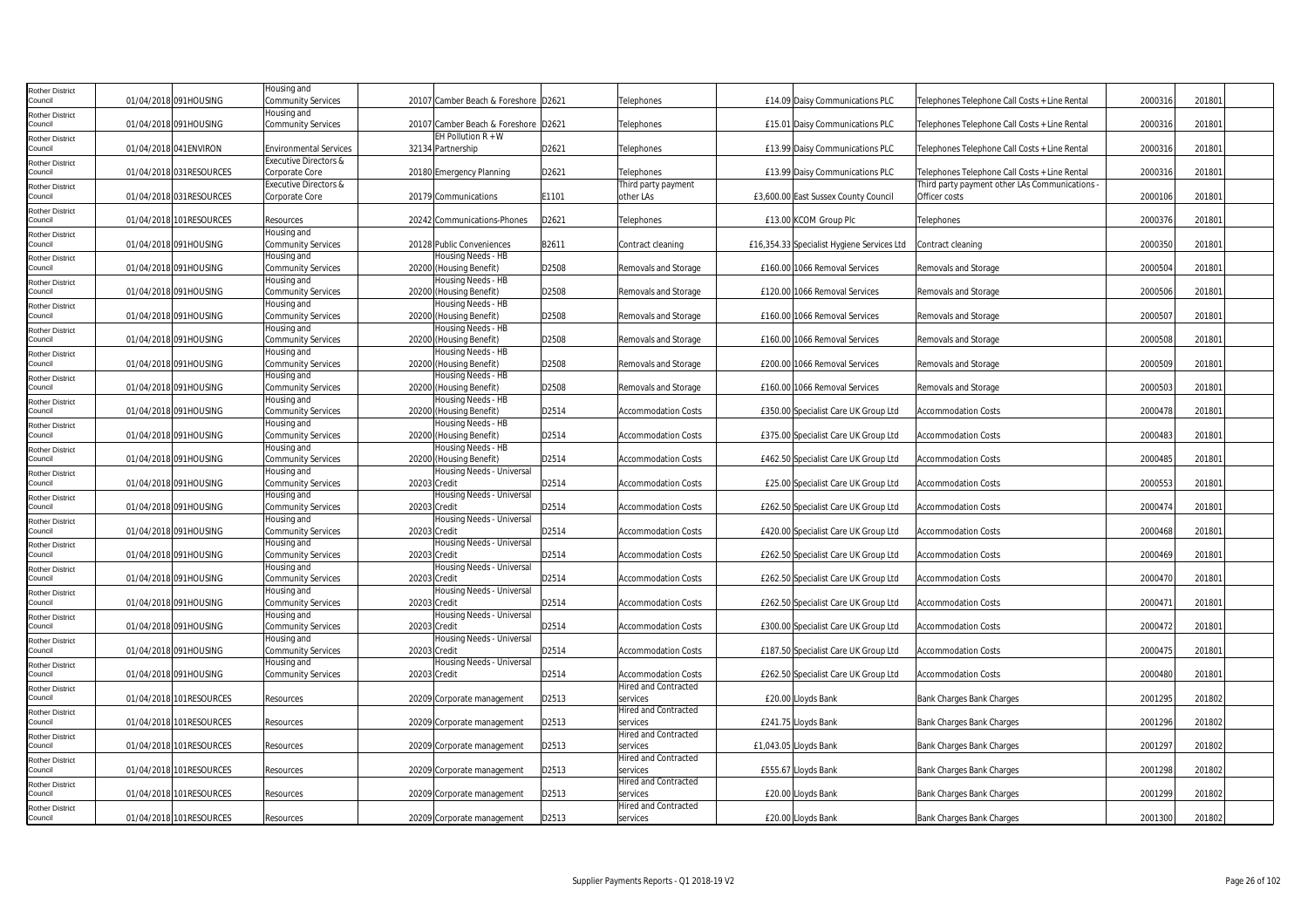| <b>Rother District</b>            |                         | Housing and                       |              |                                               |       |                                         |                                            |                                                |         |        |  |
|-----------------------------------|-------------------------|-----------------------------------|--------------|-----------------------------------------------|-------|-----------------------------------------|--------------------------------------------|------------------------------------------------|---------|--------|--|
| Council                           | 01/04/2018 091HOUSING   | Community Services                |              | 20107 Camber Beach & Foreshore D2621          |       | Telephones                              | £14.09 Daisy Communications PLC            | Telephones Telephone Call Costs + Line Rental  | 2000316 | 201801 |  |
| <b>Rother District</b>            |                         | Housing and                       |              |                                               |       |                                         |                                            |                                                |         |        |  |
| Council                           | 01/04/2018 091HOUSING   | Community Services                |              | 20107 Camber Beach & Foreshore D2621          |       | Telephones                              | £15.01 Daisy Communications PLC            | Telephones Telephone Call Costs + Line Rental  | 200031  | 201801 |  |
| <b>Rother District</b><br>Council | 01/04/2018 041ENVIRON   | <b>Environmental Services</b>     |              | EH Pollution $R + W$<br>32134 Partnership     | D2621 | Telephones                              | £13.99 Daisy Communications PLC            | Telephones Telephone Call Costs + Line Rental  | 2000316 | 201801 |  |
| <b>Rother District</b>            |                         | Executive Directors &             |              |                                               |       |                                         |                                            |                                                |         |        |  |
| Council                           | 01/04/2018 031RESOURCES | Corporate Core                    |              | 20180 Emergency Planning                      | D2621 | Telephones                              | £13.99 Daisy Communications PLC            | Felephones Telephone Call Costs + Line Rental  | 2000316 | 201801 |  |
| <b>Rother District</b>            |                         | Executive Directors &             |              |                                               |       | Third party payment                     |                                            | Third party payment other LAs Communications - |         |        |  |
| Council                           | 01/04/2018 031RESOURCES | Corporate Core                    |              | 20179 Communications                          | E1101 | other LAs                               | £3,600.00 East Sussex County Council       | Officer costs                                  | 2000106 | 201801 |  |
| <b>Rother District</b>            |                         |                                   |              |                                               |       |                                         |                                            |                                                |         |        |  |
| Council                           | 01/04/2018 101RESOURCES | Resources                         |              | 20242 Communications-Phones                   | D2621 | Telephones                              | £13.00 KCOM Group Plc                      | Telephones                                     | 2000376 | 201801 |  |
| <b>Rother District</b><br>Council | 01/04/2018 091HOUSING   | Housing and<br>Community Services |              | 20128 Public Conveniences                     | B2611 | Contract cleaning                       | £16,354.33 Specialist Hygiene Services Ltd | Contract cleaning                              | 2000350 | 201801 |  |
| <b>Rother District</b>            |                         | Housing and                       |              | Housing Needs - HB                            |       |                                         |                                            |                                                |         |        |  |
| Council                           | 01/04/2018 091HOUSING   | Community Services                |              | 20200 (Housing Benefit)                       | D2508 | Removals and Storage                    | £160.00 1066 Removal Services              | Removals and Storage                           | 2000504 | 201801 |  |
| <b>Rother District</b>            |                         | Housing and                       |              | Housing Needs - HB                            |       |                                         |                                            |                                                |         |        |  |
| Council                           | 01/04/2018 091HOUSING   | Community Services                |              | 20200 (Housing Benefit)                       | D2508 | Removals and Storage                    | £120.00 1066 Removal Services              | Removals and Storage                           | 2000506 | 201801 |  |
| Rother District                   |                         | Housing and                       |              | Housing Needs - HB                            |       |                                         |                                            |                                                |         |        |  |
| Council                           | 01/04/2018 091HOUSING   | Community Services                |              | 20200 (Housing Benefit)                       | D2508 | Removals and Storage                    | £160.00 1066 Removal Services              | Removals and Storage                           | 2000507 | 201801 |  |
| <b>Rother District</b><br>Council | 01/04/2018 091HOUSING   | Housing and<br>Community Services |              | Housing Needs - HB<br>20200 (Housing Benefit) | D2508 |                                         | £160.00 1066 Removal Services              |                                                | 2000508 | 201801 |  |
|                                   |                         | Housing and                       |              | Housing Needs - HB                            |       | Removals and Storage                    |                                            | Removals and Storage                           |         |        |  |
| <b>Rother District</b><br>Council | 01/04/2018 091HOUSING   | Community Services                |              | 20200 (Housing Benefit)                       | D2508 | Removals and Storage                    | £200.00 1066 Removal Services              | Removals and Storage                           | 2000509 | 201801 |  |
| <b>Rother District</b>            |                         | Housing and                       |              | Housing Needs - HB                            |       |                                         |                                            |                                                |         |        |  |
| Council                           | 01/04/2018 091HOUSING   | Community Services                |              | 20200 (Housing Benefit)                       | D2508 | Removals and Storage                    | £160.00 1066 Removal Services              | Removals and Storage                           | 2000503 | 201801 |  |
| <b>Rother District</b>            |                         | Housing and                       |              | Housing Needs - HB                            |       |                                         |                                            |                                                |         |        |  |
| Council                           | 01/04/2018 091HOUSING   | Community Services                |              | 20200 (Housing Benefit)                       | D2514 | <b>Accommodation Costs</b>              | £350.00 Specialist Care UK Group Ltd       | <b>Accommodation Costs</b>                     | 2000478 | 201801 |  |
| <b>Rother District</b>            |                         | Housing and                       |              | Housing Needs - HB                            |       |                                         |                                            |                                                |         |        |  |
| Council                           | 01/04/2018 091HOUSING   | Community Services<br>Housing and |              | 20200 (Housing Benefit)<br>Housing Needs - HB | D2514 | <b>Accommodation Costs</b>              | £375.00 Specialist Care UK Group Ltd       | Accommodation Costs                            | 2000483 | 201801 |  |
| <b>Rother District</b><br>Council | 01/04/2018 091HOUSING   | Community Services                |              | 20200 (Housing Benefit)                       | D2514 | <b>Accommodation Costs</b>              | £462.50 Specialist Care UK Group Ltd       | <b>Accommodation Costs</b>                     | 2000485 | 201801 |  |
| <b>Rother District</b>            |                         | Housing and                       |              | Housing Needs - Universal                     |       |                                         |                                            |                                                |         |        |  |
| Council                           | 01/04/2018 091HOUSING   | Community Services                | 20203 Credit |                                               | D2514 | <b>Accommodation Costs</b>              | £25.00 Specialist Care UK Group Ltd        | <b>Accommodation Costs</b>                     | 2000553 | 201801 |  |
| <b>Rother District</b>            |                         | Housing and                       |              | Housing Needs - Universal                     |       |                                         |                                            |                                                |         |        |  |
| Council                           | 01/04/2018 091HOUSING   | Community Services                | 20203 Credit |                                               | D2514 | <b>Accommodation Costs</b>              | £262.50 Specialist Care UK Group Ltd       | <b>Accommodation Costs</b>                     | 2000474 | 201801 |  |
| <b>Rother District</b>            |                         | Housing and                       |              | Housing Needs - Universal                     |       |                                         |                                            |                                                |         |        |  |
| Council                           | 01/04/2018 091HOUSING   | Community Services<br>Housing and | 20203 Credit | Housing Needs - Universal                     | D2514 | <b>Accommodation Costs</b>              | £420.00 Specialist Care UK Group Ltd       | <b>Accommodation Costs</b>                     | 2000468 | 201801 |  |
| <b>Rother District</b><br>Council | 01/04/2018 091HOUSING   | Community Services                | 20203 Credit |                                               | D2514 | <b>Accommodation Costs</b>              | £262.50 Specialist Care UK Group Ltd       | <b>Accommodation Costs</b>                     | 2000469 | 201801 |  |
| <b>Rother District</b>            |                         | Housing and                       |              | Housing Needs - Universal                     |       |                                         |                                            |                                                |         |        |  |
| Council                           | 01/04/2018 091HOUSING   | Community Services                | 20203 Credit |                                               | D2514 | <b>Accommodation Costs</b>              | £262.50 Specialist Care UK Group Ltd       | <b>Accommodation Costs</b>                     | 2000470 | 201801 |  |
| <b>Rother District</b>            |                         | Housing and                       |              | Housing Needs - Universal                     |       |                                         |                                            |                                                |         |        |  |
| Council                           | 01/04/2018 091HOUSING   | Community Services                | 20203 Credit |                                               | D2514 | Accommodation Costs                     | £262.50 Specialist Care UK Group Ltd       | Accommodation Costs                            | 200047  | 201801 |  |
| <b>Rother District</b><br>Council | 01/04/2018 091HOUSING   | Housing and                       | 20203 Credit | Housing Needs - Universal                     | D2514 | <b>Accommodation Costs</b>              | £300.00 Specialist Care UK Group Ltd       | <b>Accommodation Costs</b>                     | 2000472 | 201801 |  |
|                                   |                         | Community Services<br>Housing and |              | Housing Needs - Universal                     |       |                                         |                                            |                                                |         |        |  |
| <b>Rother District</b><br>Council | 01/04/2018 091HOUSING   | Community Services                | 20203 Credit |                                               | D2514 | Accommodation Costs                     | £187.50 Specialist Care UK Group Ltd       | Accommodation Costs                            | 2000475 | 201801 |  |
| <b>Rother District</b>            |                         | Housing and                       |              | Housing Needs - Universal                     |       |                                         |                                            |                                                |         |        |  |
| Council                           | 01/04/2018 091HOUSING   | Community Services                | 20203 Credit |                                               | D2514 | <b>Accommodation Costs</b>              | £262.50 Specialist Care UK Group Ltd       | <b>Accommodation Costs</b>                     | 2000480 | 201801 |  |
| <b>Rother District</b>            |                         |                                   |              |                                               |       | <b>Hired and Contracted</b>             |                                            |                                                |         |        |  |
| Council                           | 01/04/2018 101RESOURCES | Resources                         |              | 20209 Corporate management                    | D2513 | services                                | £20.00 Lloyds Bank                         | Bank Charges Bank Charges                      | 2001295 | 201802 |  |
| <b>Rother District</b>            |                         |                                   |              |                                               |       | Hired and Contracted                    |                                            |                                                |         |        |  |
| Council                           | 01/04/2018 101RESOURCES | Resources                         |              | 20209 Corporate management                    | D2513 | services<br><b>Hired and Contracted</b> | £241.75 Lloyds Bank                        | Bank Charges Bank Charges                      | 2001296 | 201802 |  |
| <b>Rother District</b><br>Council | 01/04/2018 101RESOURCES | Resources                         |              | 20209 Corporate management                    | D2513 | services                                | £1,043.05 Lloyds Bank                      | Bank Charges Bank Charges                      | 2001297 | 201802 |  |
| <b>Rother District</b>            |                         |                                   |              |                                               |       | <b>Hired and Contracted</b>             |                                            |                                                |         |        |  |
| Council                           | 01/04/2018 101RESOURCES | Resources                         |              | 20209 Corporate management                    | D2513 | services                                | £555.67 Lloyds Bank                        | Bank Charges Bank Charges                      | 2001298 | 201802 |  |
| <b>Rother District</b>            |                         |                                   |              |                                               |       | <b>Hired and Contracted</b>             |                                            |                                                |         |        |  |
| Council                           | 01/04/2018 101RESOURCES | Resources                         |              | 20209 Corporate management                    | D2513 | services                                | £20.00 Lloyds Bank                         | <b>Bank Charges Bank Charges</b>               | 2001299 | 201802 |  |
| <b>Rother District</b>            |                         |                                   |              |                                               |       | <b>Hired and Contracted</b>             |                                            |                                                |         |        |  |
| Council                           | 01/04/2018 101RESOURCES | Resources                         |              | 20209 Corporate management                    | D2513 | services                                | £20.00 Lloyds Bank                         | Bank Charges Bank Charges                      | 2001300 | 201802 |  |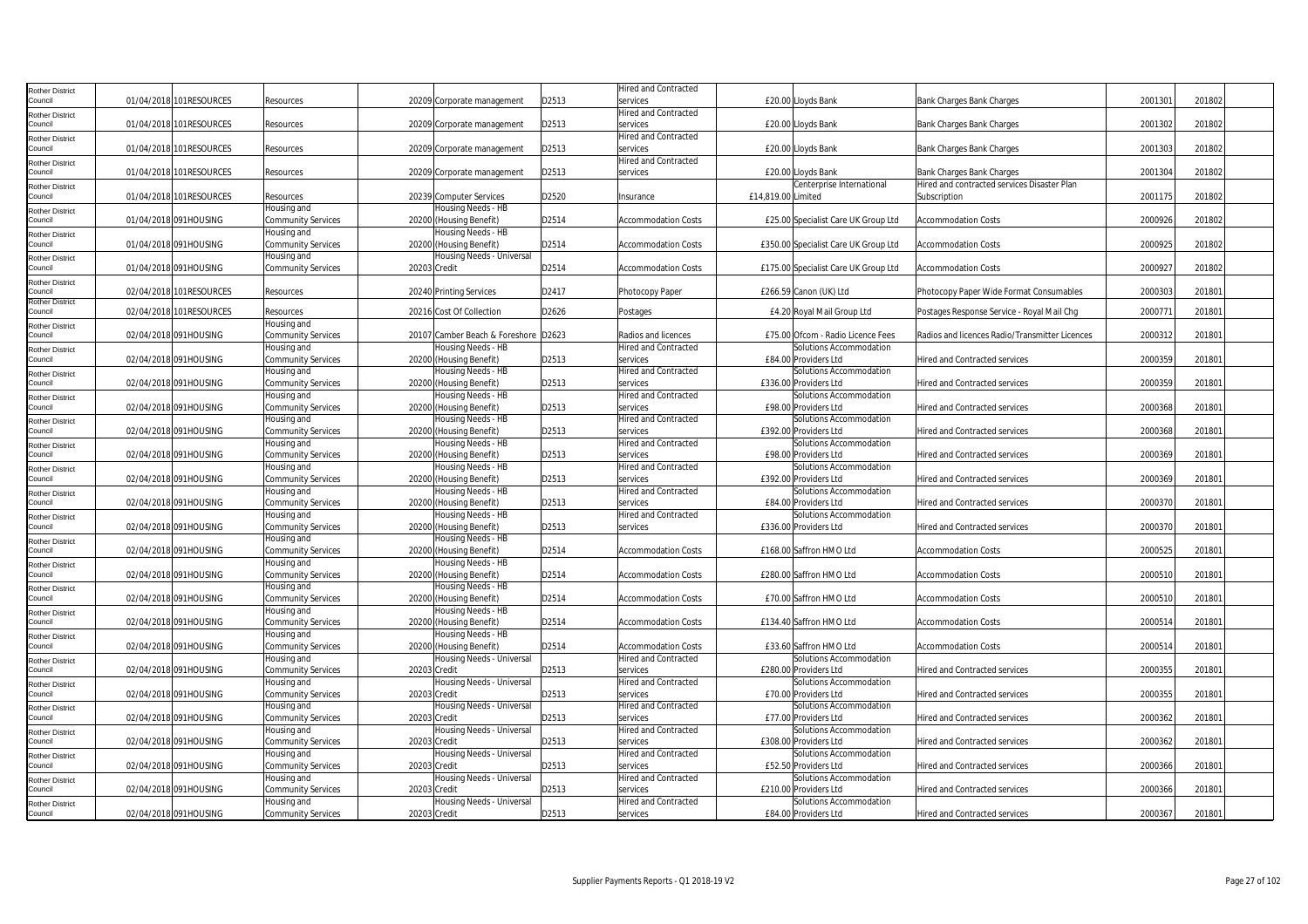| Rother District        |                          |                           |                                      |       | <b>Hired and Contracted</b> |                                      |                                                |         |        |  |
|------------------------|--------------------------|---------------------------|--------------------------------------|-------|-----------------------------|--------------------------------------|------------------------------------------------|---------|--------|--|
| Council                | 01/04/2018 101RESOURCES  | Resources                 | 20209 Corporate management           | D2513 | services                    | £20.00 Lloyds Bank                   | Bank Charges Bank Charges                      | 2001301 | 201802 |  |
| Rother District        |                          |                           |                                      |       | <b>Hired and Contracted</b> |                                      |                                                |         |        |  |
| Council                | 01/04/2018 101 RESOURCES | Resources                 | 20209 Corporate management           | D2513 | services                    | £20.00 Lloyds Bank                   | Bank Charges Bank Charges                      | 2001302 | 201802 |  |
| Rother District        |                          |                           |                                      |       | <b>Hired and Contracted</b> |                                      |                                                |         |        |  |
| Council                | 01/04/2018 101RESOURCES  | Resources                 | 20209 Corporate management           | D2513 | services                    | £20.00 Lloyds Bank                   | Bank Charges Bank Charges                      | 2001303 | 201802 |  |
| Rother District        |                          |                           |                                      |       | <b>Hired and Contracted</b> |                                      |                                                |         |        |  |
| Council                | 01/04/2018 101RESOURCES  | Resources                 | 20209 Corporate management           | D2513 | services                    | £20.00 Lloyds Bank                   | Bank Charges Bank Charges                      | 2001304 | 201802 |  |
| Rother District        |                          |                           |                                      |       |                             | Centerprise International            | Hired and contracted services Disaster Plan    |         |        |  |
| Council                | 01/04/2018 101 RESOURCES | Resources                 | 20239 Computer Services              | D2520 | Insurance                   | £14,819.00 Limited                   | Subscription                                   | 2001175 | 201802 |  |
| Rother District        |                          | Housing and               | Housing Needs - HB                   |       |                             |                                      |                                                |         |        |  |
| Council                | 01/04/2018 091HOUSING    | Community Services        | 20200 (Housing Benefit)              | D2514 | <b>Accommodation Costs</b>  | £25.00 Specialist Care UK Group Ltd  | <b>Accommodation Costs</b>                     | 2000926 | 201802 |  |
| <b>Rother District</b> |                          | Housing and               | lousing Needs - HB                   |       |                             |                                      |                                                |         |        |  |
| Council                | 01/04/2018 091 HOUSING   | Community Services        | 20200 (Housing Benefit)              | D2514 | <b>Accommodation Costs</b>  | £350.00 Specialist Care UK Group Ltd | <b>Accommodation Costs</b>                     | 2000925 | 201802 |  |
| Rother District        |                          | Housing and               | Housing Needs - Universal            |       |                             |                                      |                                                |         |        |  |
| Council                | 01/04/2018 091HOUSING    | <b>Community Services</b> | 20203 Credit                         | D2514 | <b>Accommodation Costs</b>  | £175.00 Specialist Care UK Group Ltd | <b>Accommodation Costs</b>                     | 2000927 | 201802 |  |
| Rother District        |                          |                           |                                      |       |                             |                                      |                                                |         |        |  |
| Council                | 02/04/2018 101RESOURCES  | Resources                 | 20240 Printing Services              | D2417 | Photocopy Paper             | £266.59 Canon (UK) Ltd               | Photocopy Paper Wide Format Consumables        | 2000303 | 201801 |  |
| <b>Rother District</b> |                          |                           |                                      |       |                             |                                      |                                                |         |        |  |
| Council                | 02/04/2018 101RESOURCES  | Resources                 | 20216 Cost Of Collection             | D2626 | Postages                    | £4.20 Royal Mail Group Ltd           | Postages Response Service - Royal Mail Chg     | 200077  | 201801 |  |
| Rother District        |                          | Housing and               |                                      |       |                             |                                      |                                                |         |        |  |
| Council                | 02/04/2018 091HOUSING    | Community Services        | 20107 Camber Beach & Foreshore D2623 |       | Radios and licences         | £75.00 Ofcom - Radio Licence Fees    | Radios and licences Radio/Transmitter Licences | 2000312 | 201801 |  |
| Rother District        |                          | Housing and               | Housing Needs - HB                   |       | <b>Hired and Contracted</b> | Solutions Accommodation              |                                                |         |        |  |
| Council                | 02/04/2018 091HOUSING    | <b>Community Services</b> | 20200 (Housing Benefit)              | D2513 | services                    | £84.00 Providers Ltd                 | <b>Hired and Contracted services</b>           | 2000359 | 201801 |  |
| Rother District        |                          | Housing and               | Housing Needs - HB                   |       | <b>Hired and Contracted</b> | Solutions Accommodation              |                                                |         |        |  |
| Council                | 02/04/2018 091HOUSING    | Community Services        | 20200 (Housing Benefit)              | D2513 | services                    | £336.00 Providers Ltd                | <b>Hired and Contracted services</b>           | 2000359 | 201801 |  |
| <b>Rother District</b> |                          | Housing and               | lousing Needs - HB                   |       | <b>Hired and Contracted</b> | Solutions Accommodation              |                                                |         |        |  |
| Council                | 02/04/2018 091HOUSING    | Community Services        | 20200 (Housing Benefit)              | D2513 | services                    | £98.00 Providers Ltd                 | <b>Hired and Contracted services</b>           | 2000368 | 201801 |  |
| Rother District        |                          | Housing and               | Housing Needs - HB                   |       | <b>Hired and Contracted</b> | Solutions Accommodation              |                                                |         |        |  |
| ouncil                 | 02/04/2018 091HOUSING    | <b>Community Services</b> | 20200 (Housing Benefit)              | D2513 | services                    | £392.00 Providers Ltd                | Hired and Contracted services                  | 2000368 | 201801 |  |
| Rother District        |                          | Housing and               | Housing Needs - HB                   |       | <b>Hired and Contracted</b> | Solutions Accommodation              |                                                |         |        |  |
| Council                | 02/04/2018 091HOUSING    | Community Services        | 20200 (Housing Benefit)              | D2513 | services                    | £98.00 Providers Ltd                 | <b>Hired and Contracted services</b>           | 2000369 | 201801 |  |
| Rother District        |                          | Housing and               | Housing Needs - HB                   |       | <b>Hired and Contracted</b> | Solutions Accommodation              |                                                |         |        |  |
| Council                | 02/04/2018 091HOUSING    | <b>Community Services</b> | 20200 (Housing Benefit)              | D2513 | services                    | £392.00 Providers Ltd                | <b>Hired and Contracted services</b>           | 200036  | 201801 |  |
| Rother District        |                          | Housing and               | Housing Needs - HB                   |       | <b>Hired and Contracted</b> | Solutions Accommodation              |                                                |         |        |  |
| Council                | 02/04/2018 091HOUSING    | Community Services        | 20200 (Housing Benefit)              | D2513 | services                    | £84.00 Providers Ltd                 | <b>Hired and Contracted services</b>           | 2000370 | 201801 |  |
| Rother District        |                          | Housing and               | Housing Needs - HB                   |       | <b>Hired and Contracted</b> | Solutions Accommodation              |                                                |         |        |  |
| Council                | 02/04/2018 091HOUSING    | Community Services        | 20200 (Housing Benefit)              | D2513 | services                    | £336.00 Providers Ltd                | <b>Hired and Contracted services</b>           | 2000370 | 201801 |  |
| Rother District        |                          | Housing and               | lousing Needs - HB                   |       |                             |                                      |                                                |         |        |  |
| Council                | 02/04/2018 091HOUSING    | Community Services        | 20200 (Housing Benefit)              | D2514 | <b>Accommodation Costs</b>  | £168.00 Saffron HMO Ltd              | <b>Accommodation Costs</b>                     | 200052  | 201801 |  |
| Rother District        |                          | Housing and               | Housing Needs - HB                   |       |                             |                                      |                                                |         |        |  |
| Council                | 02/04/2018 091HOUSING    | <b>Community Services</b> | 20200 (Housing Benefit)              | D2514 | <b>Accommodation Costs</b>  | £280.00 Saffron HMO Ltd              | <b>Accommodation Costs</b>                     | 2000510 | 201801 |  |
| Rother District        |                          | Housing and               | Housing Needs - HB                   |       |                             |                                      |                                                |         |        |  |
| Council                | 02/04/2018 091HOUSING    | Community Services        | 20200 (Housing Benefit)              | D2514 | Accommodation Costs         | £70.00 Saffron HMO Ltd               | <b>Accommodation Costs</b>                     | 2000510 | 201801 |  |
| Rother District        |                          | Housing and               | Housing Needs - HB                   |       |                             |                                      |                                                |         |        |  |
| Council                | 02/04/2018 091HOUSING    | Community Services        | 20200 (Housing Benefit)              | D2514 | <b>Accommodation Costs</b>  | £134.40 Saffron HMO Ltd              | <b>Accommodation Costs</b>                     | 2000514 | 201801 |  |
| Rother District        |                          | Housing and               | Housing Needs - HB                   |       |                             |                                      |                                                |         |        |  |
| Council                | 02/04/2018 091HOUSING    | <b>Community Services</b> | 20200 (Housing Benefit)              | D2514 | <b>Accommodation Costs</b>  | £33.60 Saffron HMO Ltd               | <b>Accommodation Costs</b>                     | 2000514 | 201801 |  |
| Rother District        |                          | Housing and               | Housing Needs - Universal            |       | <b>Hired and Contracted</b> | Solutions Accommodation              |                                                |         |        |  |
| Council                | 02/04/2018 091HOUSING    | Community Services        | 20203 Credit                         | D2513 | services                    | £280.00 Providers Ltd                | <b>Hired and Contracted services</b>           | 2000355 | 201801 |  |
| <b>Rother District</b> |                          | Housing and               | Housing Needs - Universal            |       | <b>Hired and Contracted</b> | Solutions Accommodation              |                                                |         |        |  |
| Council                | 02/04/2018 091HOUSING    | <b>Community Services</b> | 20203 Credit                         | D2513 | services                    | £70.00 Providers Ltd                 | Hired and Contracted services                  | 2000355 | 201801 |  |
| Rother District        |                          | Housing and               | Housing Needs - Universal            |       | <b>Hired and Contracted</b> | Solutions Accommodation              |                                                |         |        |  |
| Council                | 02/04/2018 091HOUSING    | <b>Community Services</b> | 20203 Credit                         | D2513 | services                    | £77.00 Providers Ltd                 | Hired and Contracted services                  | 2000362 | 201801 |  |
| Rother District        |                          | Housing and               | Housing Needs - Universal            |       | <b>Hired and Contracted</b> | Solutions Accommodation              |                                                |         |        |  |
| Council                | 02/04/2018 091HOUSING    | Community Services        | 20203 Credit                         | D2513 | services                    | £308.00 Providers Ltd                | <b>Hired and Contracted services</b>           | 2000362 | 201801 |  |
| Rother District        |                          | Housing and               | Housing Needs - Universal            |       | <b>Hired and Contracted</b> | Solutions Accommodation              |                                                |         |        |  |
| Council                | 02/04/2018 091HOUSING    | Community Services        | 20203 Credit                         | D2513 | services                    | £52.50 Providers Ltd                 | <b>Hired and Contracted services</b>           | 2000366 | 201801 |  |
| Rother District        |                          | Housing and               | Housing Needs - Universal            |       | <b>Hired and Contracted</b> | Solutions Accommodation              |                                                |         |        |  |
| Council                | 02/04/2018 091HOUSING    | Community Services        | 20203 Credit                         | D2513 | services                    | £210.00 Providers Ltd                | <b>Hired and Contracted services</b>           | 2000366 | 201801 |  |
| Rother District        |                          | Housing and               | lousing Needs - Universal            |       | <b>Hired and Contracted</b> | Solutions Accommodation              |                                                |         |        |  |
| Council                | 02/04/2018 091HOUSING    | <b>Community Services</b> | 20203 Credit                         | D2513 | services                    | £84.00 Providers Ltd                 | <b>Hired and Contracted services</b>           | 2000367 | 201801 |  |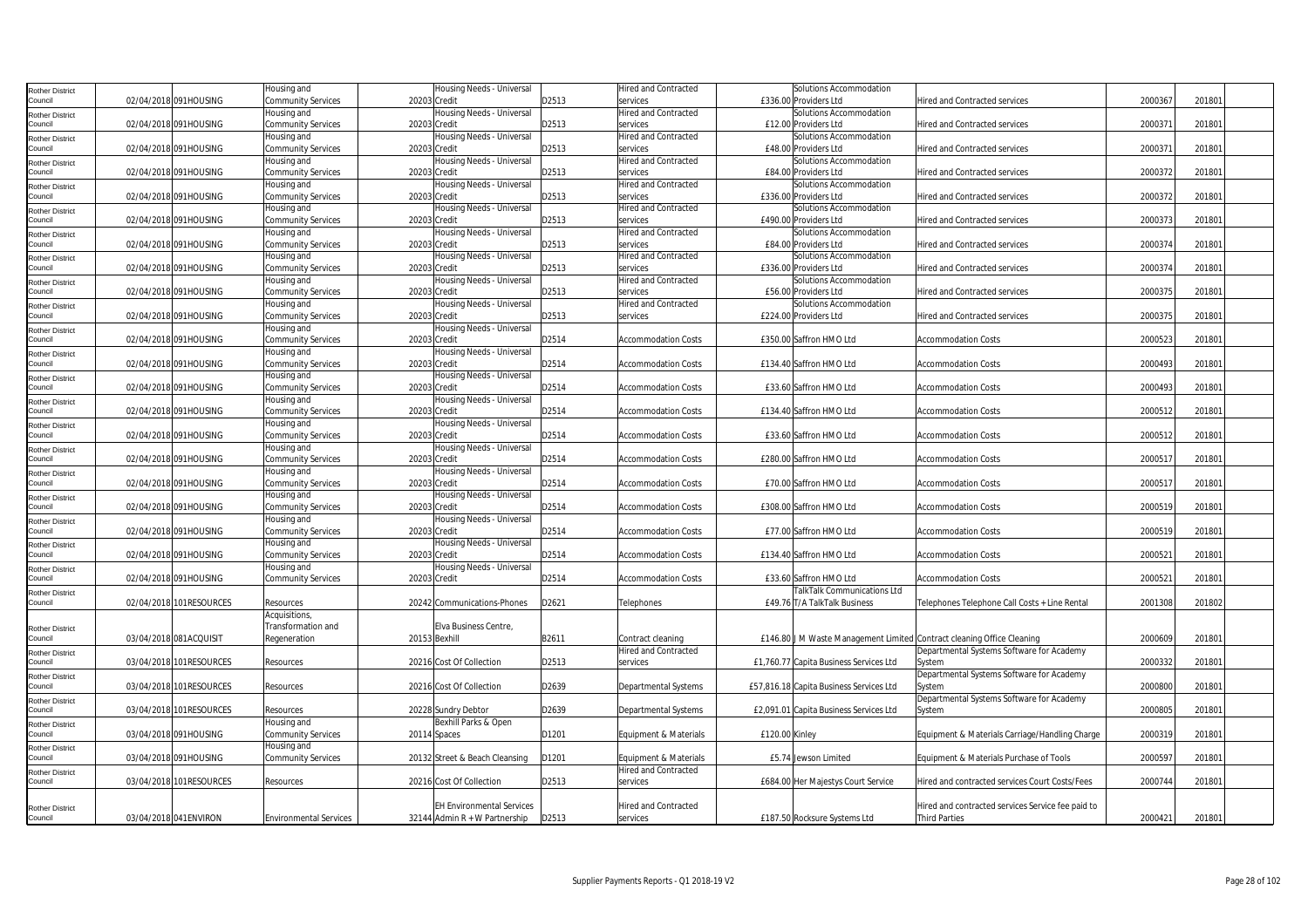| Rother District            |                         | Housing and                   | Housing Needs - Universal        |       | <b>Hired and Contracted</b> | Solutions Accommodation                                                |                                                   |         |        |  |
|----------------------------|-------------------------|-------------------------------|----------------------------------|-------|-----------------------------|------------------------------------------------------------------------|---------------------------------------------------|---------|--------|--|
| Council                    | 02/04/2018 091HOUSING   | <b>Community Services</b>     | 20203 Credit                     | D2513 | services                    | £336.00 Providers Ltd                                                  | Hired and Contracted services                     | 2000367 | 201801 |  |
|                            |                         | Housing and                   | Housing Needs - Universal        |       | Hired and Contracted        | Solutions Accommodation                                                |                                                   |         |        |  |
| Rother District<br>Council | 02/04/2018 091HOUSING   | <b>Community Services</b>     | 20203 Credit                     | D2513 | services                    | £12.00 Providers Ltd                                                   | Hired and Contracted services                     | 200037  | 201801 |  |
|                            |                         | Housing and                   | Housing Needs - Universal        |       | <b>Hired and Contracted</b> | Solutions Accommodation                                                |                                                   |         |        |  |
| Rother District<br>Council | 02/04/2018 091HOUSING   |                               | 20203 Credit                     | D2513 |                             | £48.00 Providers Ltd                                                   | Hired and Contracted services                     | 2000371 | 201801 |  |
|                            |                         | <b>Community Services</b>     |                                  |       | services                    |                                                                        |                                                   |         |        |  |
| Rother District            |                         | Housing and                   | Housing Needs - Universal        |       | <b>Hired and Contracted</b> | Solutions Accommodation                                                |                                                   |         |        |  |
| Council                    | 02/04/2018 091HOUSING   | <b>Community Services</b>     | 20203 Credit                     | D2513 | services                    | £84.00 Providers Ltd                                                   | Hired and Contracted services                     | 2000372 | 201801 |  |
| Rother District            |                         | Housing and                   | Housing Needs - Universal        |       | Hired and Contracted        | Solutions Accommodation                                                |                                                   |         |        |  |
| Council                    | 02/04/2018 091HOUSING   | <b>Community Services</b>     | 20203 Credit                     | D2513 | services                    | £336.00 Providers Ltd                                                  | Hired and Contracted services                     | 2000372 | 201801 |  |
| Rother District            |                         | Housing and                   | Housing Needs - Universal        |       | <b>Hired and Contracted</b> | Solutions Accommodation                                                |                                                   |         |        |  |
| Council                    | 02/04/2018 091HOUSING   | Community Services            | 20203 Credit                     | D2513 | services                    | £490.00 Providers Ltd                                                  | Hired and Contracted services                     | 2000373 | 201801 |  |
| <b>Rother District</b>     |                         | Housing and                   | Housing Needs - Universal        |       | <b>Hired and Contracted</b> | Solutions Accommodation                                                |                                                   |         |        |  |
| ouncil                     | 02/04/2018 091HOUSING   | <b>Community Services</b>     | 20203 Credit                     | D2513 | services                    | £84.00 Providers Ltd                                                   | <b>Hired and Contracted services</b>              | 2000374 | 201801 |  |
| Rother District            |                         | Housing and                   | Housing Needs - Universal        |       | <b>Hired and Contracted</b> | Solutions Accommodation                                                |                                                   |         |        |  |
| Council                    | 02/04/2018 091HOUSING   | <b>Community Services</b>     | 20203 Credit                     | D2513 | services                    | £336.00 Providers Ltd                                                  | Hired and Contracted services                     | 2000374 | 201801 |  |
| Rother District            |                         | Housing and                   | Housing Needs - Universal        |       | <b>Hired and Contracted</b> | Solutions Accommodation                                                |                                                   |         |        |  |
| Council                    | 02/04/2018 091HOUSING   | <b>Community Services</b>     | 20203 Credit                     | D2513 | services                    | £56.00 Providers Ltd                                                   | Hired and Contracted services                     | 2000375 | 201801 |  |
|                            |                         | lousing and                   | Housing Needs - Universal        |       | Hired and Contracted        | Solutions Accommodation                                                |                                                   |         |        |  |
| Rother District<br>Council | 02/04/2018 091HOUSING   | <b>Community Services</b>     | 20203 Credit                     | D2513 | services                    | £224.00 Providers Ltd                                                  | Hired and Contracted services                     | 2000375 | 201801 |  |
|                            |                         |                               |                                  |       |                             |                                                                        |                                                   |         |        |  |
| Rother District<br>Council | 02/04/2018 091HOUSING   | Housing and                   | Housing Needs - Universal        | D2514 |                             | £350.00 Saffron HMO Ltd                                                |                                                   | 2000523 | 201801 |  |
|                            |                         | <b>Community Services</b>     | 20203 Credit                     |       | <b>Accommodation Costs</b>  |                                                                        | <b>Accommodation Costs</b>                        |         |        |  |
| <b>Rother District</b>     |                         | Housing and                   | Housing Needs - Universal        |       |                             |                                                                        |                                                   |         |        |  |
| Council                    | 02/04/2018 091HOUSING   | <b>Community Services</b>     | 20203 Credit                     | D2514 | <b>Accommodation Costs</b>  | £134.40 Saffron HMO Ltd                                                | <b>Accommodation Costs</b>                        | 2000493 | 201801 |  |
| <b>Rother District</b>     |                         | Housing and                   | Housing Needs - Universal        |       |                             |                                                                        |                                                   |         |        |  |
| Council                    | 02/04/2018 091HOUSING   | <b>Community Services</b>     | 20203 Credit                     | D2514 | <b>Accommodation Costs</b>  | £33.60 Saffron HMO Ltd                                                 | <b>Accommodation Costs</b>                        | 2000493 | 201801 |  |
| Rother District            |                         | Housing and                   | Housing Needs - Universal        |       |                             |                                                                        |                                                   |         |        |  |
| Council                    | 02/04/2018 091HOUSING   | Community Services            | 20203 Credit                     | D2514 | <b>Accommodation Costs</b>  | £134.40 Saffron HMO Ltd                                                | <b>Accommodation Costs</b>                        | 2000512 | 201801 |  |
| Rother District            |                         | Housing and                   | Housing Needs - Universal        |       |                             |                                                                        |                                                   |         |        |  |
| Council                    | 02/04/2018 091HOUSING   | Community Services            | 20203 Credit                     | D2514 | <b>Accommodation Costs</b>  | £33.60 Saffron HMO Ltd                                                 | <b>Accommodation Costs</b>                        | 2000512 | 201801 |  |
| Rother District            |                         | Housing and                   | lousing Needs - Universal        |       |                             |                                                                        |                                                   |         |        |  |
| Council                    | 02/04/2018 091HOUSING   | Community Services            | 20203 Credit                     | D2514 | <b>Accommodation Costs</b>  | £280.00 Saffron HMO Ltd                                                | <b>Accommodation Costs</b>                        | 200051  | 201801 |  |
| Rother District            |                         | Housing and                   | Housing Needs - Universal        |       |                             |                                                                        |                                                   |         |        |  |
| Council                    | 02/04/2018 091HOUSING   | <b>Community Services</b>     | 20203 Credit                     | D2514 | <b>Accommodation Costs</b>  | £70.00 Saffron HMO Ltd                                                 | <b>Accommodation Costs</b>                        | 200051  | 201801 |  |
| Rother District            |                         | Housing and                   | Housing Needs - Universal        |       |                             |                                                                        |                                                   |         |        |  |
| Council                    | 02/04/2018 091HOUSING   | <b>Community Services</b>     | 20203 Credit                     | D2514 | <b>Accommodation Costs</b>  | £308.00 Saffron HMO Ltd                                                | <b>Accommodation Costs</b>                        | 2000519 | 201801 |  |
| Rother District            |                         | Housing and                   | Housing Needs - Universal        |       |                             |                                                                        |                                                   |         |        |  |
| Council                    | 02/04/2018 091HOUSING   | <b>Community Services</b>     | 20203 Credit                     | D2514 | <b>Accommodation Costs</b>  | £77.00 Saffron HMO Ltd                                                 | <b>Accommodation Costs</b>                        | 2000519 | 201801 |  |
|                            |                         | Housing and                   | Housing Needs - Universal        |       |                             |                                                                        |                                                   |         |        |  |
| Rother District<br>Council | 02/04/2018 091HOUSING   |                               | 20203 Credit                     | D2514 | <b>Accommodation Costs</b>  | £134.40 Saffron HMO Ltd                                                | <b>Accommodation Costs</b>                        | 2000521 | 201801 |  |
|                            |                         | <b>Community Services</b>     |                                  |       |                             |                                                                        |                                                   |         |        |  |
| Rother District            |                         | Housing and                   | Housing Needs - Universal        |       |                             |                                                                        |                                                   |         |        |  |
| Council                    | 02/04/2018 091HOUSING   | <b>Community Services</b>     | 20203 Credit                     | D2514 | <b>Accommodation Costs</b>  | £33.60 Saffron HMO Ltd                                                 | <b>Accommodation Costs</b>                        | 200052  | 201801 |  |
| <b>Rother District</b>     |                         |                               |                                  |       |                             | <b>TalkTalk Communications Ltd</b>                                     |                                                   |         |        |  |
| Council                    | 02/04/2018 101RESOURCES | Resources                     | 20242 Communications-Phones      | D2621 | Telephones                  | £49.76 T/A TalkTalk Business                                           | Telephones Telephone Call Costs + Line Rental     | 2001308 | 201802 |  |
|                            |                         | Acquisitions,                 |                                  |       |                             |                                                                        |                                                   |         |        |  |
| <b>Rother District</b>     |                         | Transformation and            | Elva Business Centre             |       |                             |                                                                        |                                                   |         |        |  |
| Council                    | 03/04/2018 081ACQUISIT  | Regeneration                  | 20153 Bexhill                    | B2611 | Contract cleaning           | £146.80 J M Waste Management Limited Contract cleaning Office Cleaning |                                                   | 2000609 | 201801 |  |
| Rother District            |                         |                               |                                  |       | Hired and Contracted        |                                                                        | Departmental Systems Software for Academy         |         |        |  |
| Council                    | 03/04/2018 101RESOURCES | Resources                     | 20216 Cost Of Collection         | D2513 | services                    | £1,760.77 Capita Business Services Ltd                                 | System                                            | 2000332 | 201801 |  |
| Rother District            |                         |                               |                                  |       |                             |                                                                        | Departmental Systems Software for Academy         |         |        |  |
| Council                    | 03/04/2018 101RESOURCES | Resources                     | 20216 Cost Of Collection         | D2639 | <b>Departmental Systems</b> | £57,816.18 Capita Business Services Ltd                                | System                                            | 2000800 | 201801 |  |
| Rother District            |                         |                               |                                  |       |                             |                                                                        | Departmental Systems Software for Academy         |         |        |  |
| Council                    | 03/04/2018 101RESOURCES | Resources                     | 20228 Sundry Debtor              | D2639 | <b>Departmental Systems</b> | £2,091.01 Capita Business Services Ltd                                 | System                                            | 2000805 | 201801 |  |
|                            |                         | Housing and                   | Bexhill Parks & Open             |       |                             |                                                                        |                                                   |         |        |  |
| Rother District<br>Council | 03/04/2018 091HOUSING   | Community Services            | 20114 Spaces                     | D1201 | Equipment & Materials       | £120.00 Kinley                                                         | Equipment & Materials Carriage/Handling Charge    | 2000319 | 201801 |  |
|                            |                         | Housing and                   |                                  |       |                             |                                                                        |                                                   |         |        |  |
| Rother District<br>council | 03/04/2018 091HOUSING   | <b>Community Services</b>     | 20132 Street & Beach Cleansing   | D1201 | Equipment & Materials       | £5.74 Jewson Limited                                                   | Equipment & Materials Purchase of Tools           | 2000597 | 201801 |  |
|                            |                         |                               |                                  |       |                             |                                                                        |                                                   |         |        |  |
| <b>Rother District</b>     |                         |                               |                                  |       | Hired and Contracted        |                                                                        |                                                   |         |        |  |
| Council                    | 03/04/2018 101RESOURCES | Resources                     | 20216 Cost Of Collection         | D2513 | services                    | £684.00 Her Majestys Court Service                                     | Hired and contracted services Court Costs/Fees    | 2000744 | 201801 |  |
|                            |                         |                               |                                  |       |                             |                                                                        |                                                   |         |        |  |
| <b>Rother District</b>     |                         |                               | <b>EH Environmental Services</b> |       | <b>Hired and Contracted</b> |                                                                        | Hired and contracted services Service fee paid to |         |        |  |
| Council                    | 03/04/2018 041ENVIRON   | <b>Environmental Services</b> | 32144 Admin $R + W$ Partnership  | D2513 | services                    | £187.50 Rocksure Systems Ltd                                           | <b>Third Parties</b>                              | 2000421 | 201801 |  |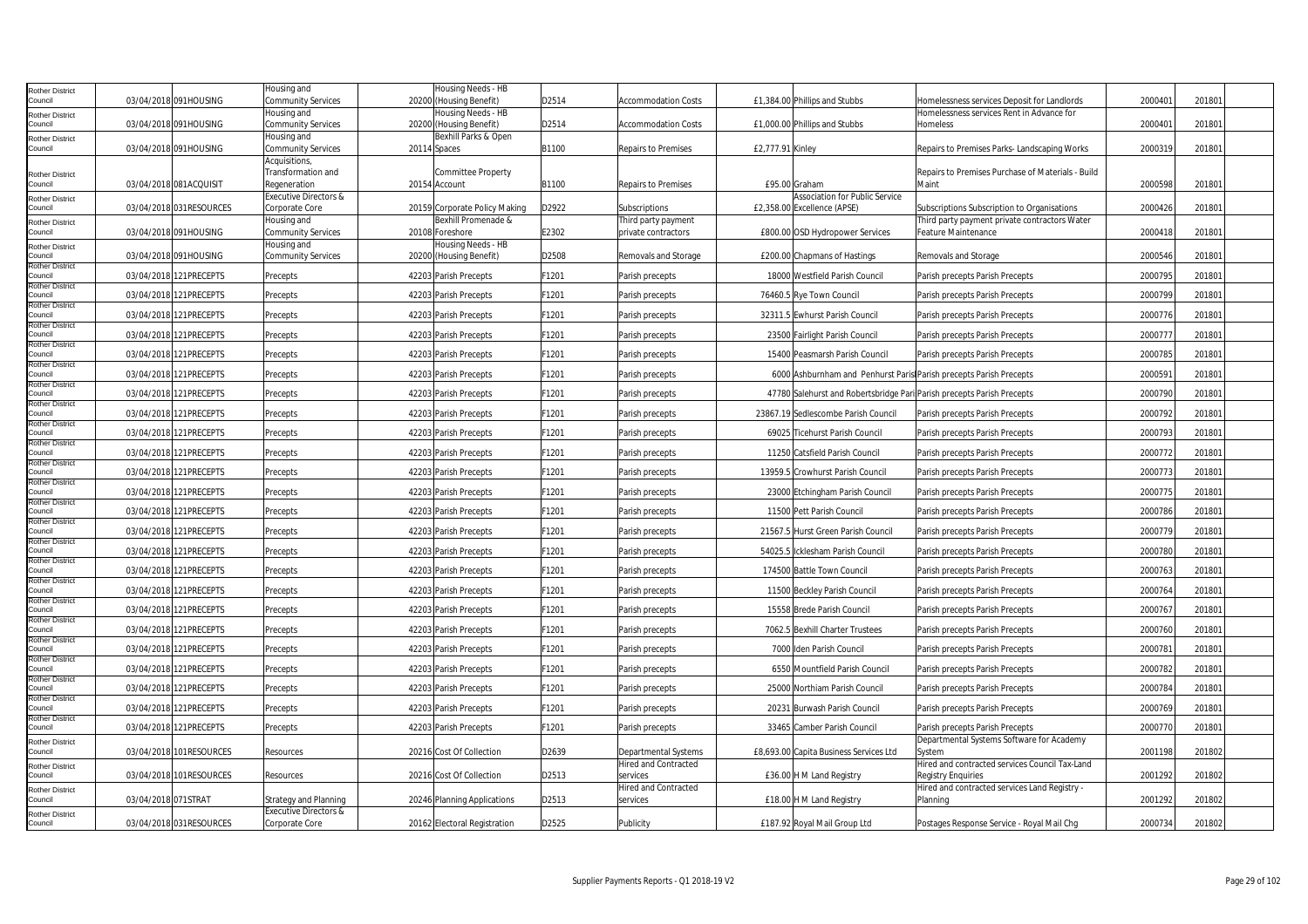| Rother District                   |                     |                         | lousing and                                        | lousing Needs - HB                              |       |                                  |                  |                                                                        |                                                           |         |        |  |
|-----------------------------------|---------------------|-------------------------|----------------------------------------------------|-------------------------------------------------|-------|----------------------------------|------------------|------------------------------------------------------------------------|-----------------------------------------------------------|---------|--------|--|
| Council                           |                     | 03/04/2018 091HOUSING   | Community Services                                 | 20200 (Housing Benefit)                         | D2514 | <b>Accommodation Costs</b>       |                  | £1,384.00 Phillips and Stubbs                                          | Homelessness services Deposit for Landlords               | 2000401 | 201801 |  |
| Rother District                   |                     |                         | lousing and                                        | Housing Needs - HB                              |       |                                  |                  |                                                                        | Homelessness services Rent in Advance for                 |         |        |  |
| Council                           |                     | 03/04/2018 091HOUSING   | <b>Community Services</b><br>lousing and           | 20200 (Housing Benefit)<br>Bexhill Parks & Open | D2514 | <b>Accommodation Costs</b>       |                  | £1,000.00 Phillips and Stubbs                                          | Homeless                                                  | 200040  | 201801 |  |
| Rother District<br>Council        |                     | 03/04/2018 091HOUSING   | <b>Community Services</b>                          | 20114 Spaces                                    | B1100 | Repairs to Premises              | £2,777.91 Kinley |                                                                        | Repairs to Premises Parks-Landscaping Works               | 2000319 | 201801 |  |
|                                   |                     |                         | Acquisitions,                                      |                                                 |       |                                  |                  |                                                                        |                                                           |         |        |  |
| Rother District                   |                     |                         | Transformation and                                 | Committee Property                              |       |                                  |                  |                                                                        | Repairs to Premises Purchase of Materials - Build         |         |        |  |
| Council                           |                     | 03/04/2018 081ACQUISIT  | Regeneration                                       | 20154 Account                                   | B1100 | <b>Repairs to Premises</b>       |                  | £95.00 Graham<br>Association for Public Service                        | Maint                                                     | 200059  | 20180  |  |
| Rother District<br>Council        |                     | 03/04/2018 031RESOURCES | <b>Executive Directors &amp;</b><br>Corporate Core | 20159 Corporate Policy Making                   | D2922 | Subscriptions                    |                  | £2,358.00 Excellence (APSE)                                            | Subscriptions Subscription to Organisations               | 2000426 | 201801 |  |
| Rother District                   |                     |                         | Housing and                                        | Bexhill Promenade &                             |       | Third party payment              |                  |                                                                        | Third party payment private contractors Water             |         |        |  |
| Council                           |                     | 03/04/2018 091HOUSING   | Community Services                                 | 20108 Foreshore                                 | E2302 | private contractors              |                  | £800.00 OSD Hydropower Services                                        | Feature Maintenance                                       | 2000418 | 201801 |  |
| Rother District                   |                     |                         | Housing and                                        | Housing Needs - HB                              |       |                                  |                  |                                                                        |                                                           |         |        |  |
| Council<br>Rother District        |                     | 03/04/2018 091HOUSING   | <b>Community Services</b>                          | 20200 (Housing Benefit)                         | D2508 | Removals and Storage             |                  | £200.00 Chapmans of Hastings                                           | Removals and Storage                                      | 2000546 | 201801 |  |
| Council                           |                     | 03/04/2018 121PRECEPTS  | Precepts                                           | 42203 Parish Precepts                           | F1201 | Parish precepts                  |                  | 18000 Westfield Parish Council                                         | Parish precepts Parish Precepts                           | 2000795 | 201801 |  |
| Rother District<br>ouncil         |                     | 03/04/2018 121PRECEPTS  | Precepts                                           | 42203 Parish Precepts                           | F1201 | Parish precepts                  |                  | 76460.5 Rye Town Council                                               | Parish precepts Parish Precepts                           | 2000799 | 201801 |  |
| Rother District                   |                     |                         |                                                    |                                                 |       |                                  |                  |                                                                        |                                                           |         |        |  |
| Council<br>Rother District        |                     | 03/04/2018 121PRECEPTS  | Precepts                                           | 42203 Parish Precepts                           | F1201 | Parish precepts                  |                  | 32311.5 Ewhurst Parish Council                                         | Parish precepts Parish Precepts                           | 2000776 | 201801 |  |
| Council                           |                     | 03/04/2018 121PRECEPTS  | Precepts                                           | 42203 Parish Precepts                           | F1201 | Parish precepts                  |                  | 23500 Fairlight Parish Council                                         | Parish precepts Parish Precepts                           | 2000777 | 201801 |  |
| Rother District<br>Council        |                     | 03/04/2018 121PRECEPTS  | Precepts                                           | 42203 Parish Precepts                           | F1201 | Parish precepts                  |                  | 15400 Peasmarsh Parish Council                                         | Parish precepts Parish Precepts                           | 2000785 | 201801 |  |
| Rother District                   |                     |                         |                                                    |                                                 |       |                                  |                  |                                                                        |                                                           |         |        |  |
| Council<br>Rother District        |                     | 03/04/2018 121PRECEPTS  | Precepts                                           | 42203 Parish Precepts                           | F1201 | Parish precepts                  |                  | 6000 Ashburnham and Penhurst Paris Parish precepts Parish Precepts     |                                                           | 200059  | 201801 |  |
| Council                           |                     | 03/04/2018 121PRECEPTS  | Precepts                                           | 42203 Parish Precepts                           | F1201 | Parish precepts                  |                  | 47780 Salehurst and Robertsbridge Pari Parish precepts Parish Precepts |                                                           | 2000790 | 201801 |  |
| <b>Rother District</b><br>Council |                     | 03/04/2018 121PRECEPTS  | Precepts                                           | 42203 Parish Precepts                           | F1201 | Parish precepts                  |                  | 23867.19 Sedlescombe Parish Council                                    | Parish precepts Parish Precepts                           | 2000792 | 201801 |  |
| Rother District                   |                     |                         |                                                    |                                                 |       |                                  |                  |                                                                        |                                                           |         |        |  |
| Council<br>Rother District        |                     | 03/04/2018 121PRECEPTS  | Precepts                                           | 42203 Parish Precepts                           | F1201 | Parish precepts                  |                  | 69025 Ticehurst Parish Council                                         | Parish precepts Parish Precepts                           | 2000793 | 201801 |  |
| Council                           |                     | 03/04/2018 121PRECEPTS  | Precepts                                           | 42203 Parish Precepts                           | F1201 | Parish precepts                  |                  | 11250 Catsfield Parish Council                                         | Parish precepts Parish Precepts                           | 2000772 | 201801 |  |
| Rother District<br>Council        |                     | 03/04/2018 121PRECEPTS  | Precepts                                           | 42203 Parish Precepts                           | F1201 | Parish precepts                  |                  | 13959.5 Crowhurst Parish Council                                       | Parish precepts Parish Precepts                           | 2000773 | 201801 |  |
| <b>Rother District</b><br>Council |                     |                         |                                                    |                                                 | F1201 |                                  |                  |                                                                        |                                                           | 2000775 | 201801 |  |
| <b>Rother District</b>            |                     | 03/04/2018 121PRECEPTS  | Precepts                                           | 42203 Parish Precepts                           |       | Parish precepts                  |                  | 23000 Etchingham Parish Council                                        | Parish precepts Parish Precepts                           |         |        |  |
| Council<br>Rother District        |                     | 03/04/2018 121PRECEPTS  | Precepts                                           | 42203 Parish Precepts                           | F1201 | Parish precepts                  |                  | 11500 Pett Parish Council                                              | Parish precepts Parish Precepts                           | 2000786 | 201801 |  |
| council                           |                     | 03/04/2018 121PRECEPTS  | Precepts                                           | 42203 Parish Precepts                           | F1201 | Parish precepts                  |                  | 21567.5 Hurst Green Parish Council                                     | Parish precepts Parish Precepts                           | 2000779 | 201801 |  |
| Rother District                   |                     | 03/04/2018 121PRECEPTS  |                                                    |                                                 | F1201 |                                  |                  |                                                                        |                                                           | 2000780 | 201801 |  |
| council<br>Rother District        |                     |                         | Precepts                                           | 42203 Parish Precepts                           |       | Parish precepts                  |                  | 54025.5 Icklesham Parish Council                                       | Parish precepts Parish Precepts                           |         |        |  |
| Council<br>Rother District        |                     | 03/04/2018 121PRECEPTS  | Precepts                                           | 42203 Parish Precepts                           | F1201 | Parish precepts                  |                  | 174500 Battle Town Council                                             | Parish precepts Parish Precepts                           | 2000763 | 201801 |  |
| Council                           |                     | 03/04/2018 121PRECEPTS  | Precepts                                           | 42203 Parish Precepts                           | F1201 | Parish precepts                  |                  | 11500 Beckley Parish Council                                           | Parish precepts Parish Precepts                           | 2000764 | 201801 |  |
| Rother District<br>Council        |                     | 03/04/2018 121PRECEPTS  | Precepts                                           | 42203 Parish Precepts                           | F1201 | Parish precepts                  |                  | 15558 Brede Parish Council                                             | Parish precepts Parish Precepts                           | 2000767 | 201801 |  |
| Rother District                   |                     |                         |                                                    |                                                 |       |                                  |                  |                                                                        |                                                           |         |        |  |
| Council<br><b>Rother District</b> |                     | 03/04/2018 121PRECEPTS  | Precepts                                           | 42203 Parish Precepts                           | F1201 | Parish precepts                  |                  | 7062.5 Bexhill Charter Trustees                                        | Parish precepts Parish Precepts                           | 2000760 | 201801 |  |
| ouncil                            |                     | 03/04/2018 121PRECEPTS  | Precepts                                           | 42203 Parish Precepts                           | F1201 | Parish precepts                  |                  | 7000 Iden Parish Council                                               | Parish precepts Parish Precepts                           | 2000781 | 201801 |  |
| Rother District<br>Council        |                     | 03/04/2018 121PRECEPTS  | Precepts                                           | 42203 Parish Precepts                           | F1201 | Parish precepts                  |                  | 6550 Mountfield Parish Council                                         | Parish precepts Parish Precepts                           | 2000782 | 201801 |  |
| Rother District                   |                     |                         |                                                    |                                                 |       |                                  |                  |                                                                        |                                                           |         |        |  |
| Council<br>Rother District        |                     | 03/04/2018 121PRECEPTS  | Precepts                                           | 42203 Parish Precepts                           | F1201 | Parish precepts                  |                  | 25000 Northiam Parish Council                                          | Parish precepts Parish Precepts                           | 2000784 | 201801 |  |
| Council                           |                     | 03/04/2018 121PRECEPTS  | Precepts                                           | 42203 Parish Precepts                           | F1201 | Parish precepts                  |                  | 20231 Burwash Parish Council                                           | Parish precepts Parish Precepts                           | 2000769 | 201801 |  |
| Rother District<br>Council        |                     | 03/04/2018 121PRECEPTS  | Precepts                                           | 42203 Parish Precepts                           | F1201 | Parish precepts                  |                  | 33465 Camber Parish Council                                            | Parish precepts Parish Precepts                           | 2000770 | 201801 |  |
| Rother District                   |                     |                         |                                                    |                                                 |       |                                  |                  |                                                                        | Departmental Systems Software for Academy                 |         |        |  |
| Council                           |                     | 03/04/2018 101RESOURCES | Resources                                          | 20216 Cost Of Collection                        | D2639 | Departmental Systems             |                  | £8,693.00 Capita Business Services Ltd                                 | System                                                    | 2001198 | 201802 |  |
| Rother District                   |                     |                         |                                                    |                                                 |       | Hired and Contracted             |                  |                                                                        | Hired and contracted services Council Tax-Land            |         |        |  |
| Council                           |                     | 03/04/2018 101RESOURCES | Resources                                          | 20216 Cost Of Collection                        | D2513 | services                         |                  | £36.00 H M Land Registry                                               | <b>Registry Enquiries</b>                                 | 2001292 | 201802 |  |
| Rother District<br>Council        | 03/04/2018 071STRAT |                         | <b>Strategy and Planning</b>                       | 20246 Planning Applications                     | D2513 | Hired and Contracted<br>services |                  | £18.00 H M Land Registry                                               | Hired and contracted services Land Registry -<br>Planning | 2001292 | 201802 |  |
| Rother District                   |                     |                         | <b>Executive Directors &amp;</b>                   |                                                 |       |                                  |                  |                                                                        |                                                           |         |        |  |
| Council                           |                     | 03/04/2018 031RESOURCES | Corporate Core                                     | 20162 Electoral Registration                    | D2525 | Publicity                        |                  | £187.92 Royal Mail Group Ltd                                           | Postages Response Service - Royal Mail Chg                | 2000734 | 201802 |  |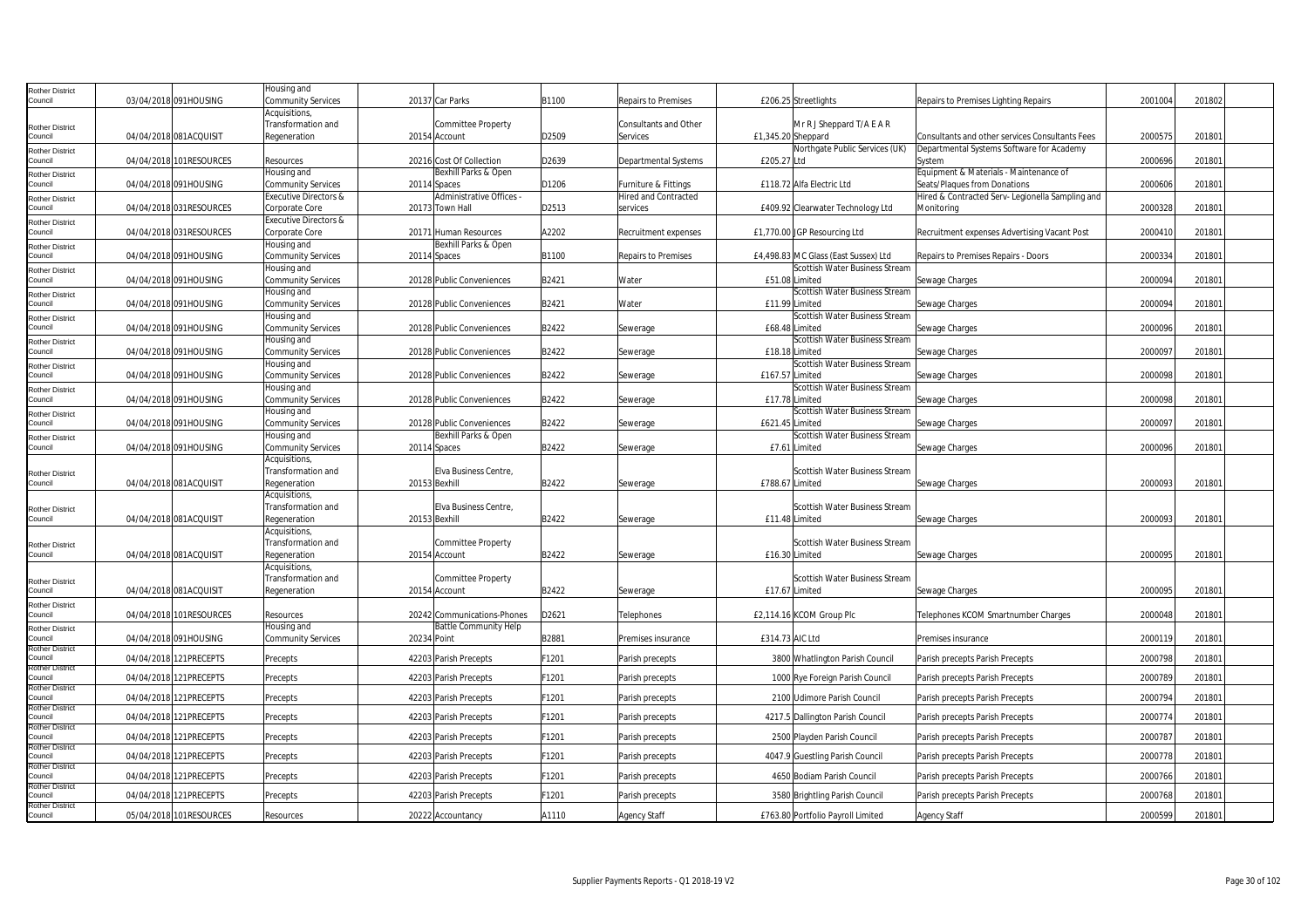| <b>Rother District</b>            |                         | Housing and               |             |                              |       |                             |                                      |                                                  |         |        |  |
|-----------------------------------|-------------------------|---------------------------|-------------|------------------------------|-------|-----------------------------|--------------------------------------|--------------------------------------------------|---------|--------|--|
| Council                           | 03/04/2018 091HOUSING   | Community Services        |             | 20137 Car Parks              | B1100 | Repairs to Premises         | £206.25 Streetlights                 | Repairs to Premises Lighting Repairs             | 2001004 | 201802 |  |
|                                   |                         | Acquisitions              |             |                              |       |                             |                                      |                                                  |         |        |  |
| <b>Rother District</b>            |                         | Transformation and        |             | Committee Property           |       | Consultants and Other       | Mr R J Sheppard T/A E A R            |                                                  |         |        |  |
| Council                           | 04/04/2018 081ACQUISIT  | Regeneration              |             | 20154 Account                | D2509 | <b>Services</b>             | £1,345.20 Sheppard                   | Consultants and other services Consultants Fees  | 2000575 | 201801 |  |
| <b>Rother District</b>            |                         |                           |             |                              |       |                             | Northgate Public Services (UK)       | Departmental Systems Software for Academy        |         |        |  |
| Council                           | 04/04/2018 101RESOURCES | Resources                 |             | 20216 Cost Of Collection     | D2639 | <b>Departmental Systems</b> | £205.27 Ltd                          | System                                           | 2000696 | 201801 |  |
| <b>Rother District</b>            |                         | Housing and               |             | Bexhill Parks & Open         |       |                             |                                      | Equipment & Materials - Maintenance of           |         |        |  |
| Council                           | 04/04/2018 091HOUSING   | Community Services        |             | 20114 Spaces                 | D1206 | Furniture & Fittings        | £118.72 Alfa Electric Ltd            | Seats/Plagues from Donations                     | 2000606 | 201801 |  |
| <b>Rother District</b>            |                         | Executive Directors &     |             | Administrative Offices -     |       | <b>Hired and Contracted</b> |                                      | Hired & Contracted Serv- Legionella Sampling and |         |        |  |
| Council                           | 04/04/2018 031RESOURCES | Corporate Core            |             | 20173 Town Hall              | D2513 | services                    | £409.92 Clearwater Technology Ltd    | Monitoring                                       | 2000328 | 201801 |  |
| <b>Rother District</b>            |                         | Executive Directors &     |             |                              |       |                             |                                      |                                                  |         |        |  |
| Council                           | 04/04/2018 031RESOURCES | Corporate Core            |             | 20171 Human Resources        | A2202 | Recruitment expenses        | £1,770.00 JGP Resourcing Ltd         | Recruitment expenses Advertising Vacant Post     | 2000410 | 201801 |  |
| <b>Rother District</b>            |                         | Housing and               |             | Bexhill Parks & Open         |       |                             |                                      |                                                  |         |        |  |
| Council                           | 04/04/2018 091HOUSING   | Community Services        |             | 20114 Spaces                 | B1100 | <b>Repairs to Premises</b>  | £4,498.83 MC Glass (East Sussex) Ltd | Repairs to Premises Repairs - Doors              | 2000334 | 201801 |  |
| <b>Rother District</b>            |                         | Housing and               |             |                              |       |                             | Scottish Water Business Stream       |                                                  |         |        |  |
| Council                           | 04/04/2018 091HOUSING   | Community Services        |             | 20128 Public Conveniences    | B2421 | Water                       | £51.08 Limited                       | Sewage Charges                                   | 2000094 | 201801 |  |
| <b>Rother District</b>            |                         | Housing and               |             |                              |       |                             | Scottish Water Business Stream       |                                                  |         |        |  |
| Council                           | 04/04/2018 091HOUSING   | Community Services        |             | 20128 Public Conveniences    | B2421 | Water                       | £11.99 Limited                       | Sewage Charges                                   | 2000094 | 201801 |  |
| <b>Rother District</b>            |                         | Housing and               |             |                              |       |                             | Scottish Water Business Stream       |                                                  |         |        |  |
| Council                           | 04/04/2018 091HOUSING   | Community Services        |             | 20128 Public Conveniences    | B2422 | Sewerage                    | £68.48 Limited                       | Sewage Charges                                   | 2000096 | 201801 |  |
| <b>Rother District</b>            |                         | Housing and               |             |                              |       |                             | Scottish Water Business Stream       |                                                  |         |        |  |
| Council                           | 04/04/2018 091HOUSING   | Community Services        |             | 20128 Public Conveniences    | B2422 | Sewerage                    | £18.18 Limited                       | Sewage Charges                                   | 2000097 | 201801 |  |
| <b>Rother District</b>            |                         | Housing and               |             |                              |       |                             | Scottish Water Business Stream       |                                                  |         |        |  |
| Council                           | 04/04/2018 091HOUSING   | Community Services        |             | 20128 Public Conveniences    | B2422 | Sewerage                    | £167.57 Limited                      | Sewage Charges                                   | 2000098 | 201801 |  |
| <b>Rother District</b>            |                         | Housing and               |             |                              |       |                             | Scottish Water Business Stream       |                                                  |         |        |  |
| Council                           | 04/04/2018 091HOUSING   | Community Services        |             | 20128 Public Conveniences    | B2422 | Sewerage                    | £17.78 Limited                       | Sewage Charges                                   | 2000098 | 201801 |  |
| <b>Rother District</b>            |                         | Housing and               |             |                              |       |                             | Scottish Water Business Stream       |                                                  |         |        |  |
| Council                           | 04/04/2018 091HOUSING   | Community Services        |             | 20128 Public Conveniences    | B2422 | Sewerage                    | £621.45 Limited                      | Sewage Charges                                   | 200009  | 201801 |  |
| <b>Rother District</b>            |                         | Housing and               |             | Bexhill Parks & Open         |       |                             | Scottish Water Business Stream       |                                                  |         |        |  |
| Council                           | 04/04/2018 091HOUSING   | <b>Community Services</b> |             | 20114 Spaces                 | B2422 | Sewerage                    | £7.61 Limited                        | Sewage Charges                                   | 2000096 | 201801 |  |
|                                   |                         | Acquisitions,             |             |                              |       |                             |                                      |                                                  |         |        |  |
| <b>Rother District</b>            |                         | Transformation and        |             | Elva Business Centre,        |       |                             | Scottish Water Business Stream       |                                                  |         |        |  |
| Council                           | 04/04/2018 081ACQUISIT  | Regeneration              |             | 20153 Bexhill                | B2422 | Sewerage                    | £788.67 Limited                      | Sewage Charges                                   | 2000093 | 201801 |  |
|                                   |                         | Acquisitions,             |             |                              |       |                             |                                      |                                                  |         |        |  |
| <b>Rother District</b>            |                         | Transformation and        |             | Elva Business Centre,        |       |                             | Scottish Water Business Stream       |                                                  |         |        |  |
| Council                           | 04/04/2018 081ACQUISIT  | Regeneration              |             | 20153 Bexhill                | B2422 | Sewerage                    | £11.48 Limited                       | Sewage Charges                                   | 2000093 | 201801 |  |
|                                   |                         | Acquisitions,             |             |                              |       |                             |                                      |                                                  |         |        |  |
| <b>Rother District</b>            |                         | Transformation and        |             | <b>Committee Property</b>    |       |                             | Scottish Water Business Stream       |                                                  |         |        |  |
| Council                           | 04/04/2018 081ACQUISIT  | Regeneration              |             | 20154 Account                | B2422 | Sewerage                    | £16.30 Limited                       | Sewage Charges                                   | 2000095 | 201801 |  |
|                                   |                         | Acquisitions,             |             |                              |       |                             |                                      |                                                  |         |        |  |
| <b>Rother District</b>            |                         | Transformation and        |             | Committee Property           |       |                             | Scottish Water Business Stream       |                                                  |         |        |  |
| Council                           | 04/04/2018 081ACQUISIT  | Regeneration              |             | 20154 Account                | B2422 | Sewerage                    | £17.67 Limited                       | Sewage Charges                                   | 2000095 | 201801 |  |
| <b>Rother District</b>            |                         |                           |             |                              |       |                             |                                      |                                                  |         |        |  |
| Council                           | 04/04/2018 101RESOURCES | Resources                 |             | 20242 Communications-Phones  | D2621 | Telephones                  | £2,114.16 KCOM Group Plc             | Telephones KCOM Smartnumber Charges              | 2000048 | 201801 |  |
| <b>Rother District</b>            |                         | Housing and               |             | <b>Battle Community Help</b> |       |                             |                                      |                                                  |         |        |  |
| Council                           | 04/04/2018 091HOUSING   | Community Services        | 20234 Point |                              | B2881 | Premises insurance          | £314.73 AIC Ltd                      | Premises insurance                               | 2000119 | 201801 |  |
| <b>Rother District</b><br>Council | 04/04/2018 121PRECEPTS  |                           |             |                              | F1201 |                             |                                      |                                                  | 2000798 | 201801 |  |
| <b>Rother District</b>            |                         | Precepts                  |             | 42203 Parish Precepts        |       | Parish precepts             | 3800 Whatlington Parish Council      | Parish precepts Parish Precepts                  |         |        |  |
| Council                           | 04/04/2018 121PRECEPTS  | Precepts                  |             | 42203 Parish Precepts        | F1201 | Parish precepts             | 1000 Rye Foreign Parish Council      | Parish precepts Parish Precepts                  | 2000789 | 201801 |  |
| <b>Rother District</b>            |                         |                           |             |                              |       |                             |                                      |                                                  |         |        |  |
| Council                           | 04/04/2018 121PRECEPTS  | Precepts                  |             | 42203 Parish Precepts        | F1201 | Parish precepts             | 2100 Udimore Parish Council          | Parish precepts Parish Precepts                  | 2000794 | 201801 |  |
| <b>Rother District</b><br>Council | 04/04/2018 121PRECEPTS  | Precepts                  |             | 42203 Parish Precepts        | F1201 | Parish precepts             | 4217.5 Dallington Parish Council     | Parish precepts Parish Precepts                  | 2000774 | 201801 |  |
| <b>Rother District</b>            |                         |                           |             |                              |       |                             |                                      |                                                  |         |        |  |
| Council                           | 04/04/2018 121PRECEPTS  | Precepts                  |             | 42203 Parish Precepts        | F1201 | Parish precepts             | 2500 Playden Parish Council          | Parish precepts Parish Precepts                  | 2000787 | 201801 |  |
| <b>Rother District</b>            |                         |                           |             |                              |       |                             |                                      |                                                  |         |        |  |
| Council                           | 04/04/2018 121PRECEPTS  | Precepts                  |             | 42203 Parish Precepts        | F1201 | Parish precepts             | 4047.9 Guestling Parish Council      | Parish precepts Parish Precepts                  | 2000778 | 201801 |  |
| <b>Rother District</b><br>Council | 04/04/2018 121PRECEPTS  | Precepts                  |             | 42203 Parish Precepts        | F1201 | Parish precepts             | 4650 Bodiam Parish Council           | Parish precepts Parish Precepts                  | 2000766 | 201801 |  |
| <b>Rother District</b>            |                         |                           |             |                              |       |                             |                                      |                                                  |         |        |  |
| Council                           | 04/04/2018 121PRECEPTS  | Precepts                  |             | 42203 Parish Precepts        | F1201 | Parish precepts             | 3580 Brightling Parish Council       | Parish precepts Parish Precepts                  | 2000768 | 201801 |  |
| <b>Rother District</b>            |                         |                           |             |                              |       |                             |                                      |                                                  |         |        |  |
| Council                           | 05/04/2018 101RESOURCES | Resources                 |             | 20222 Accountancy            | A1110 | <b>Agency Staff</b>         | £763.80 Portfolio Payroll Limited    | Agency Staff                                     | 2000599 | 201801 |  |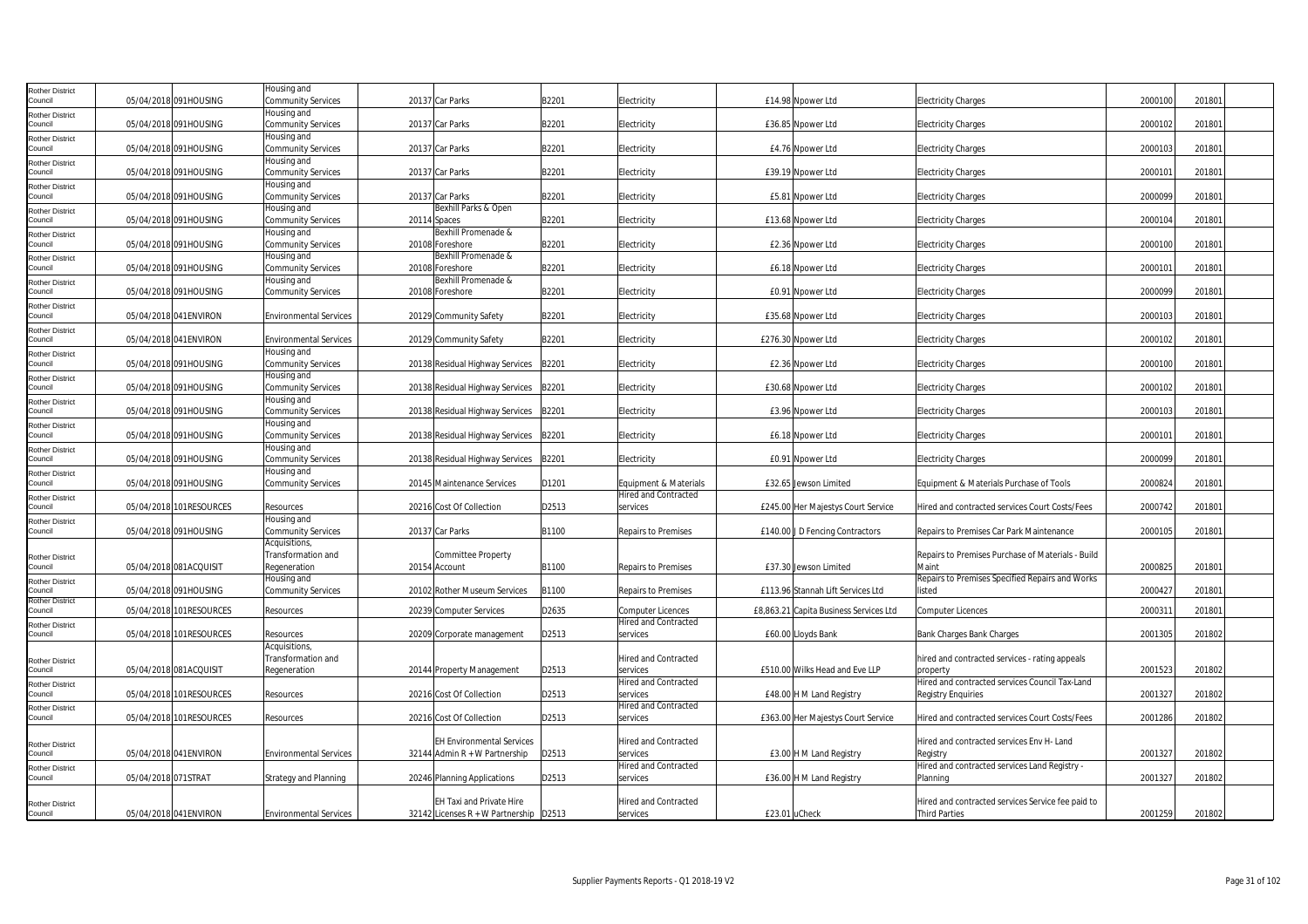| Rother District                   |                     |                         | lousing and                              |                                        |       |                                                         |                                        |                                                           |         |        |
|-----------------------------------|---------------------|-------------------------|------------------------------------------|----------------------------------------|-------|---------------------------------------------------------|----------------------------------------|-----------------------------------------------------------|---------|--------|
| council                           |                     | 05/04/2018 091HOUSING   | Community Services                       | 20137 Car Parks                        | B2201 | Electricity                                             | £14.98 Npower Ltd                      | <b>Electricity Charges</b>                                | 2000100 | 201801 |
| <b>Rother District</b>            |                     |                         | Housing and                              |                                        |       |                                                         |                                        |                                                           |         |        |
| Council                           |                     | 05/04/2018 091HOUSING   | <b>Community Services</b>                | 20137 Car Parks                        | B2201 | Electricity                                             | £36.85 Npower Ltd                      | <b>Electricity Charges</b>                                | 2000102 | 201801 |
| <b>Rother District</b>            |                     |                         | lousing and                              |                                        |       |                                                         |                                        |                                                           |         |        |
| Council                           |                     | 05/04/2018 091HOUSING   | <b>Community Services</b>                | 20137 Car Parks                        | B2201 | Electricity                                             | £4.76 Npower Ltd                       | <b>Electricity Charges</b>                                | 2000103 | 201801 |
| Rother District                   |                     |                         | Housing and                              | 20137 Car Parks                        |       |                                                         |                                        |                                                           |         |        |
| Council                           |                     | 05/04/2018 091HOUSING   | Community Services<br>lousing and        |                                        | B2201 | Electricity                                             | £39.19 Npower Ltd                      | <b>Electricity Charges</b>                                | 200010  | 201801 |
| <b>Rother District</b><br>Council |                     | 05/04/2018 091HOUSING   | <b>Community Services</b>                | 20137 Car Parks                        | B2201 | Electricity                                             | £5.81 Npower Ltd                       | <b>Electricity Charges</b>                                | 2000099 | 201801 |
| Rother District                   |                     |                         | Housing and                              | Bexhill Parks & Open                   |       |                                                         |                                        |                                                           |         |        |
| Council                           |                     | 05/04/2018 091HOUSING   | <b>Community Services</b>                | 20114 Spaces                           | B2201 | Electricity                                             | £13.68 Npower Ltd                      | <b>Electricity Charges</b>                                | 2000104 | 201801 |
| Rother District                   |                     |                         | Housing and                              | Bexhill Promenade &                    |       |                                                         |                                        |                                                           |         |        |
| Council                           |                     | 05/04/2018 091HOUSING   | Community Services                       | 20108 Foreshore                        | B2201 | Electricity                                             | £2.36 Npower Ltd                       | <b>Electricity Charges</b>                                | 2000100 | 201801 |
| other District                    |                     |                         | Housing and                              | Bexhill Promenade &                    |       |                                                         |                                        |                                                           |         |        |
| council                           |                     | 05/04/2018 091HOUSING   | <b>Community Services</b>                | 20108 Foreshore                        | B2201 | Electricity                                             | £6.18 Npower Ltd                       | <b>Electricity Charges</b>                                | 2000101 | 201801 |
| Rother District                   |                     |                         | Housing and                              | Bexhill Promenade &                    |       |                                                         |                                        |                                                           |         |        |
| Council                           |                     | 05/04/2018 091HOUSING   | <b>Community Services</b>                | 20108 Foreshore                        | B2201 | Electricity                                             | £0.91 Npower Ltd                       | <b>Electricity Charges</b>                                | 2000099 | 201801 |
| Rother District                   |                     |                         |                                          |                                        |       |                                                         |                                        |                                                           |         |        |
| Council                           |                     | 05/04/2018 041ENVIRON   | <b>Environmental Services</b>            | 20129 Community Safety                 | B2201 | Electricity                                             | £35.68 Noower Ltd                      | <b>Electricity Charges</b>                                | 2000103 | 201801 |
| <b>Rother District</b>            |                     |                         |                                          |                                        |       |                                                         |                                        |                                                           |         |        |
| Council                           |                     | 05/04/2018 041ENVIRON   | <b>Environmental Services</b>            | 20129 Community Safety                 | B2201 | Electricity                                             | £276.30 Npower Ltd                     | Electricity Charges                                       | 2000102 | 201801 |
| Rother District<br>Council        |                     | 05/04/2018 091HOUSING   | Housing and<br><b>Community Services</b> | 20138 Residual Highway Services        | B2201 | Electricity                                             | £2.36 Npower Ltd                       | <b>Electricity Charges</b>                                | 2000100 | 201801 |
|                                   |                     |                         | Housing and                              |                                        |       |                                                         |                                        |                                                           |         |        |
| Rother District<br>Council        |                     | 05/04/2018 091HOUSING   | Community Services                       | 20138 Residual Highway Services        | B2201 | Electricity                                             | £30.68 Npower Ltd                      | <b>Electricity Charges</b>                                | 2000102 | 201801 |
| <b>Rother District</b>            |                     |                         | Housing and                              |                                        |       |                                                         |                                        |                                                           |         |        |
| Council                           |                     | 05/04/2018 091HOUSING   | <b>Community Services</b>                | 20138 Residual Highway Services        | B2201 | Electricity                                             | £3.96 Npower Ltd                       | <b>Electricity Charges</b>                                | 2000103 | 201801 |
| <b>Rother District</b>            |                     |                         | Housing and                              |                                        |       |                                                         |                                        |                                                           |         |        |
| Council                           |                     | 05/04/2018 091HOUSING   | <b>Community Services</b>                | 20138 Residual Highway Services        | B2201 | Electricity                                             | £6.18 Npower Ltd                       | <b>Electricity Charges</b>                                | 2000101 | 201801 |
| Rother District                   |                     |                         | Housing and                              |                                        |       |                                                         |                                        |                                                           |         |        |
| Council                           |                     | 05/04/2018 091HOUSING   | Community Services                       | 20138 Residual Highway Services        | B2201 | Electricity                                             | £0.91 Npower Ltd                       | <b>Electricity Charges</b>                                | 2000099 | 201801 |
| <b>Rother District</b>            |                     |                         | Housing and                              |                                        |       |                                                         |                                        |                                                           |         |        |
| Council                           |                     | 05/04/2018 091HOUSING   | <b>Community Services</b>                | 20145 Maintenance Services             | D1201 | Equipment & Materials                                   | £32.65 Jewson Limited                  | Equipment & Materials Purchase of Tools                   | 2000824 | 201801 |
| Rother District<br>Council        |                     |                         |                                          |                                        |       | <b>Hired and Contracted</b>                             |                                        |                                                           |         |        |
|                                   |                     | 05/04/2018 101RESOURCES | Resources                                | 20216 Cost Of Collection               | D2513 | services                                                | £245.00 Her Majestys Court Service     | Hired and contracted services Court Costs/Fees            | 2000742 | 201801 |
| Rother District<br>Council        |                     | 05/04/2018 091HOUSING   | Housing and<br><b>Community Services</b> | 20137 Car Parks                        | B1100 | <b>Repairs to Premises</b>                              | £140.00 J D Fencing Contractors        | Repairs to Premises Car Park Maintenance                  | 2000105 | 201801 |
|                                   |                     |                         | Acquisitions,                            |                                        |       |                                                         |                                        |                                                           |         |        |
| Rother District                   |                     |                         | Transformation and                       | <b>Committee Property</b>              |       |                                                         |                                        | Repairs to Premises Purchase of Materials - Build         |         |        |
| Council                           |                     | 05/04/2018 081ACQUISIT  | Regeneration                             | 20154 Account                          | B1100 | <b>Repairs to Premises</b>                              | £37.30 Jewson Limited                  | Maint                                                     | 2000825 | 201801 |
| Rother District                   |                     |                         | Housing and                              |                                        |       |                                                         |                                        | Repairs to Premises Specified Repairs and Works           |         |        |
| Council                           |                     | 05/04/2018 091HOUSING   | <b>Community Services</b>                | 20102 Rother Museum Services           | B1100 | Repairs to Premises                                     | £113.96 Stannah Lift Services Ltd      | listed                                                    | 2000427 | 201801 |
| Rother District                   |                     |                         |                                          |                                        |       |                                                         |                                        |                                                           |         |        |
| Council                           |                     | 05/04/2018 101RESOURCES | Resources                                | 20239 Computer Services                | D2635 | <b>Computer Licences</b><br><b>Hired and Contracted</b> | £8,863.21 Capita Business Services Ltd | Computer Licences                                         | 200031  | 201801 |
| <b>Rother District</b><br>ouncil  |                     | 05/04/2018 101RESOURCES | Resources                                | 20209 Corporate management             | D2513 | services                                                | £60.00 Lloyds Bank                     | <b>Bank Charges Bank Charges</b>                          | 2001305 | 201802 |
|                                   |                     |                         | Acquisitions                             |                                        |       |                                                         |                                        |                                                           |         |        |
| Rother District                   |                     |                         | Transformation and                       |                                        |       | Hired and Contracted                                    |                                        | hired and contracted services - rating appeals            |         |        |
| Council                           |                     | 05/04/2018 081ACQUISIT  | Regeneration                             | 20144 Property Management              | D2513 | services                                                | £510.00 Wilks Head and Eve LLP         | property                                                  | 2001523 | 201802 |
| Rother District                   |                     |                         |                                          |                                        |       | <b>Hired and Contracted</b>                             |                                        | Hired and contracted services Council Tax-Land            |         |        |
| council                           |                     | 05/04/2018 101RESOURCES | Resources                                | 20216 Cost Of Collection               | D2513 | services                                                | £48.00 H M Land Registry               | <b>Registry Enquiries</b>                                 | 2001327 | 201802 |
| <b>Rother District</b>            |                     |                         |                                          |                                        |       | <b>Hired and Contracted</b>                             |                                        |                                                           |         |        |
| Council                           |                     | 05/04/2018 101RESOURCES | Resources                                | 20216 Cost Of Collection               | D2513 | services                                                | £363.00 Her Majestys Court Service     | Hired and contracted services Court Costs/Fees            | 2001286 | 201802 |
|                                   |                     |                         |                                          |                                        |       |                                                         |                                        |                                                           |         |        |
| Rother District                   |                     |                         |                                          | <b>EH Environmental Services</b>       |       | Hired and Contracted                                    |                                        | Hired and contracted services Env H- Land                 |         |        |
| Council                           |                     | 05/04/2018 041 ENVIRON  | <b>Environmental Services</b>            | 32144 Admin $R + W$ Partnership        | D2513 | services                                                | £3.00 H M Land Registry                | Registry                                                  | 2001327 | 201802 |
| Rother District<br>Council        | 05/04/2018 071STRAT |                         |                                          |                                        |       | <b>Hired and Contracted</b><br>services                 | £36.00 H M Land Registry               | Hired and contracted services Land Registry -<br>Planning |         |        |
|                                   |                     |                         | <b>Strategy and Planning</b>             | 20246 Planning Applications            | D2513 |                                                         |                                        |                                                           | 200132  | 201802 |
|                                   |                     |                         |                                          | EH Taxi and Private Hire               |       | Hired and Contracted                                    |                                        | Hired and contracted services Service fee paid to         |         |        |
| <b>Rother District</b><br>Council |                     | 05/04/2018 041 ENVIRON  | <b>Environmental Services</b>            | 32142 Licenses R + W Partnership D2513 |       | services                                                | £23.01 uCheck                          | <b>Third Parties</b>                                      | 2001259 | 201802 |
|                                   |                     |                         |                                          |                                        |       |                                                         |                                        |                                                           |         |        |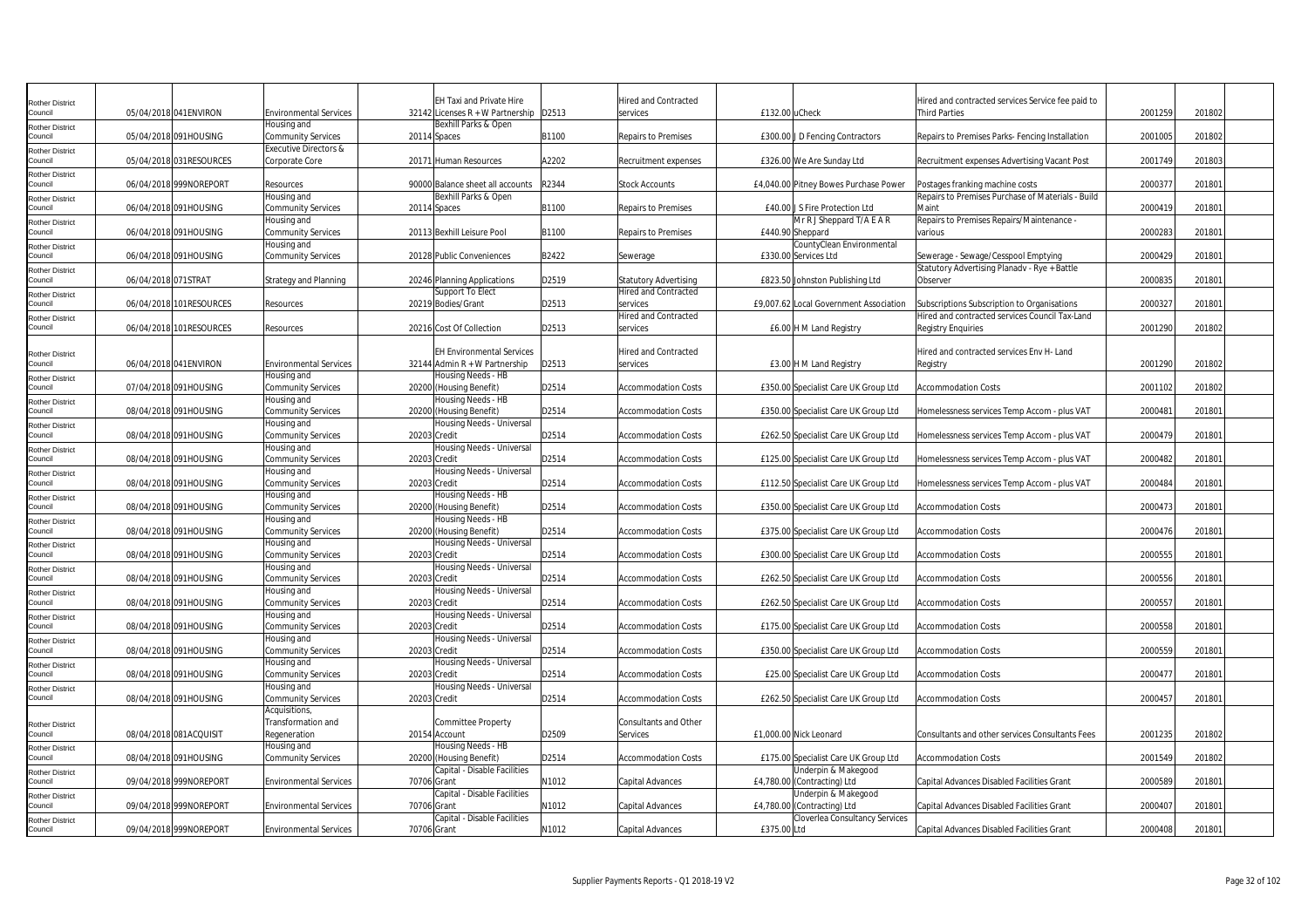| <b>Rother District</b>            |                     |                         |                                  |              | <b>EH Taxi and Private Hire</b>        |       | <b>Hired and Contracted</b>  |                                        | Hired and contracted services Service fee paid to |         |        |  |
|-----------------------------------|---------------------|-------------------------|----------------------------------|--------------|----------------------------------------|-------|------------------------------|----------------------------------------|---------------------------------------------------|---------|--------|--|
| Council                           |                     | 05/04/2018 041 ENVIRON  | <b>Environmental Services</b>    |              | 32142 Licenses R + W Partnership D2513 |       | services                     | £132.00luCheck                         | Third Parties                                     | 2001259 | 201802 |  |
|                                   |                     |                         | Housing and                      |              | Bexhill Parks & Open                   |       |                              |                                        |                                                   |         |        |  |
| <b>Rother District</b><br>Council |                     | 05/04/2018 091HOUSING   | <b>Community Services</b>        |              | 20114 Spaces                           | B1100 | Repairs to Premises          | £300.00 J D Fencing Contractors        | Repairs to Premises Parks- Fencing Installation   | 2001005 | 201802 |  |
|                                   |                     |                         | <b>Executive Directors &amp;</b> |              |                                        |       |                              |                                        |                                                   |         |        |  |
| Rother District                   |                     |                         |                                  |              |                                        | A2202 |                              |                                        |                                                   |         |        |  |
| Council                           |                     | 05/04/2018 031RESOURCES | Corporate Core                   |              | 20171 Human Resources                  |       | Recruitment expenses         | £326.00 We Are Sunday Ltd              | Recruitment expenses Advertising Vacant Post      | 2001749 | 201803 |  |
| <b>Rother District</b>            |                     |                         |                                  |              |                                        |       |                              |                                        |                                                   |         |        |  |
| Council                           |                     | 06/04/2018 999NOREPORT  | Resources                        |              | 90000 Balance sheet all accounts       | R2344 | <b>Stock Accounts</b>        | £4,040.00 Pitney Bowes Purchase Power  | Postages franking machine costs                   | 200037  | 201801 |  |
| <b>Rother District</b>            |                     |                         | Housing and                      |              | Bexhill Parks & Open                   |       |                              |                                        | Repairs to Premises Purchase of Materials - Build |         |        |  |
| Council                           |                     | 06/04/2018 091HOUSING   | <b>Community Services</b>        |              | 20114 Spaces                           | B1100 | Repairs to Premises          | £40.00 J S Fire Protection Ltd         | Maint                                             | 2000419 | 201801 |  |
| <b>Rother District</b>            |                     |                         | Housing and                      |              |                                        |       |                              | Mr R J Sheppard T/A E A R              | Repairs to Premises Repairs/Maintenance           |         |        |  |
| Council                           |                     | 06/04/2018 091HOUSING   | <b>Community Services</b>        |              | 20113 Bexhill Leisure Pool             | B1100 | <b>Repairs to Premises</b>   | £440.90 Sheppard                       | various                                           | 2000283 | 201801 |  |
| <b>Rother District</b>            |                     |                         | Housing and                      |              |                                        |       |                              | CountyClean Environmental              |                                                   |         |        |  |
| Council                           |                     | 06/04/2018 091HOUSING   | <b>Community Services</b>        |              | 20128 Public Conveniences              | B2422 | Sewerage                     | £330.00 Services Ltd                   | Sewerage - Sewage/Cesspool Emptying               | 2000429 | 201801 |  |
| <b>Rother District</b>            |                     |                         |                                  |              |                                        |       |                              |                                        | Statutory Advertising Planadv - Rye + Battle      |         |        |  |
| Council                           | 06/04/2018 071STRAT |                         | <b>Strategy and Planning</b>     |              | 20246 Planning Applications            | D2519 | <b>Statutory Advertising</b> | £823.50 Johnston Publishing Ltd        | Observer                                          | 2000835 | 201801 |  |
| <b>Rother District</b>            |                     |                         |                                  |              | Support To Elect                       |       | <b>Hired and Contracted</b>  |                                        |                                                   |         |        |  |
| Council                           |                     | 06/04/2018 101RESOURCES | Resources                        |              | 20219 Bodies/Grant                     | D2513 | services                     | £9,007.62 Local Government Association | Subscriptions Subscription to Organisations       | 2000327 | 201801 |  |
| <b>Rother District</b>            |                     |                         |                                  |              |                                        |       | Hired and Contracted         |                                        | Hired and contracted services Council Tax-Land    |         |        |  |
| Council                           |                     | 06/04/2018 101RESOURCES | Resources                        |              | 20216 Cost Of Collection               | D2513 | services                     | £6.00 H M Land Registry                | Registry Enguiries                                | 2001290 | 201802 |  |
|                                   |                     |                         |                                  |              |                                        |       |                              |                                        |                                                   |         |        |  |
|                                   |                     |                         |                                  |              | <b>EH Environmental Services</b>       |       | Hired and Contracted         |                                        | Hired and contracted services Env H- Land         |         |        |  |
| <b>Rother District</b><br>Council |                     | 06/04/2018 041ENVIRON   | <b>Environmental Services</b>    |              | 32144 Admin R + W Partnership          | D2513 | services                     | £3.00 H M Land Registry                | Registry                                          | 2001290 | 201802 |  |
|                                   |                     |                         | Housing and                      |              | Housing Needs - HB                     |       |                              |                                        |                                                   |         |        |  |
| <b>Rother District</b><br>Council |                     |                         |                                  |              |                                        | D2514 |                              |                                        |                                                   | 2001102 | 201802 |  |
|                                   |                     | 07/04/2018 091HOUSING   | <b>Community Services</b>        |              | 20200 (Housing Benefit)                |       | <b>Accommodation Costs</b>   | £350.00 Specialist Care UK Group Ltd   | Accommodation Costs                               |         |        |  |
| Rother District                   |                     |                         | Housing and                      |              | Housing Needs - HB                     |       |                              |                                        |                                                   |         |        |  |
| Council                           |                     | 08/04/2018 091HOUSING   | <b>Community Services</b>        |              | 20200 (Housing Benefit)                | D2514 | <b>Accommodation Costs</b>   | £350.00 Specialist Care UK Group Ltd   | Homelessness services Temp Accom - plus VAT       | 2000481 | 201801 |  |
| <b>Rother District</b>            |                     |                         | Housing and                      |              | Housing Needs - Universal              |       |                              |                                        |                                                   |         |        |  |
| Council                           |                     | 08/04/2018 091HOUSING   | <b>Community Services</b>        | 20203 Credit |                                        | D2514 | <b>Accommodation Costs</b>   | £262.50 Specialist Care UK Group Ltd   | Homelessness services Temp Accom - plus VAT       | 2000479 | 201801 |  |
| <b>Rother District</b>            |                     |                         | Housing and                      |              | Housing Needs - Universal              |       |                              |                                        |                                                   |         |        |  |
| Council                           |                     | 08/04/2018 091HOUSING   | Community Services               | 20203 Credit |                                        | D2514 | <b>Accommodation Costs</b>   | £125.00 Specialist Care UK Group Ltd   | Homelessness services Temp Accom - plus VAT       | 2000482 | 201801 |  |
| <b>Rother District</b>            |                     |                         | Housing and                      |              | Housing Needs - Universal              |       |                              |                                        |                                                   |         |        |  |
| Council                           |                     | 08/04/2018 091HOUSING   | <b>Community Services</b>        | 20203 Credit |                                        | D2514 | <b>Accommodation Costs</b>   | £112.50 Specialist Care UK Group Ltd   | Homelessness services Temp Accom - plus VAT       | 2000484 | 201801 |  |
| <b>Rother District</b>            |                     |                         | Housing and                      |              | Housing Needs - HB                     |       |                              |                                        |                                                   |         |        |  |
| Council                           |                     | 08/04/2018 091HOUSING   | <b>Community Services</b>        |              | 20200 (Housing Benefit)                | D2514 | <b>Accommodation Costs</b>   | £350.00 Specialist Care UK Group Ltd   | <b>Accommodation Costs</b>                        | 2000473 | 201801 |  |
| <b>Rother District</b>            |                     |                         | Housing and                      |              | Housing Needs - HB                     |       |                              |                                        |                                                   |         |        |  |
| Council                           |                     | 08/04/2018 091HOUSING   | Community Services               |              | 20200 (Housing Benefit)                | D2514 | <b>Accommodation Costs</b>   | £375.00 Specialist Care UK Group Ltd   | <b>Accommodation Costs</b>                        | 2000476 | 201801 |  |
| <b>Rother District</b>            |                     |                         | Housing and                      |              | Housing Needs - Universal              |       |                              |                                        |                                                   |         |        |  |
| Council                           |                     | 08/04/2018 091HOUSING   | Community Services               | 20203 Credit |                                        | D2514 | Accommodation Costs          | £300.00 Specialist Care UK Group Ltd   | Accommodation Costs                               | 2000555 | 201801 |  |
| <b>Rother District</b>            |                     |                         | Housing and                      |              | Housing Needs - Universal              |       |                              |                                        |                                                   |         |        |  |
| Council                           |                     | 08/04/2018 091HOUSING   | <b>Community Services</b>        | 20203 Credit |                                        | D2514 | <b>Accommodation Costs</b>   | £262.50 Specialist Care UK Group Ltd   | <b>Accommodation Costs</b>                        | 2000556 | 201801 |  |
|                                   |                     |                         | Housing and                      |              | Housing Needs - Universal              |       |                              |                                        |                                                   |         |        |  |
| <b>Rother District</b><br>Council |                     | 08/04/2018 091HOUSING   | <b>Community Services</b>        | 20203 Credit |                                        | D2514 | <b>Accommodation Costs</b>   | £262.50 Specialist Care UK Group Ltd   | <b>Accommodation Costs</b>                        | 2000557 | 201801 |  |
|                                   |                     |                         | Housing and                      |              | Housing Needs - Universal              |       |                              |                                        |                                                   |         |        |  |
| <b>Rother District</b><br>Council |                     | 08/04/2018 091HOUSING   |                                  |              |                                        | D2514 | Accommodation Costs          |                                        | Accommodation Costs                               | 2000558 | 201801 |  |
|                                   |                     |                         | <b>Community Services</b>        | 20203 Credit |                                        |       |                              | £175.00 Specialist Care UK Group Ltd   |                                                   |         |        |  |
| Rother District                   |                     |                         | Housing and                      |              | Housing Needs - Universal              |       |                              |                                        |                                                   |         |        |  |
| Council                           |                     | 08/04/2018 091HOUSING   | <b>Community Services</b>        | 20203 Credit |                                        | D2514 | <b>Accommodation Costs</b>   | £350.00 Specialist Care UK Group Ltd   | <b>Accommodation Costs</b>                        | 200055  | 201801 |  |
| <b>Rother District</b>            |                     |                         | Housing and                      |              | Housing Needs - Universal              |       |                              |                                        |                                                   |         |        |  |
| Council                           |                     | 08/04/2018 091HOUSING   | <b>Community Services</b>        | 20203 Credit |                                        | D2514 | <b>Accommodation Costs</b>   | £25.00 Specialist Care UK Group Ltd    | <b>Accommodation Costs</b>                        | 2000477 | 201801 |  |
| <b>Rother District</b>            |                     |                         | Housing and                      |              | Housing Needs - Universal              |       |                              |                                        |                                                   |         |        |  |
| Council                           |                     | 08/04/2018 091HOUSING   | <b>Community Services</b>        | 20203 Credit |                                        | D2514 | <b>Accommodation Costs</b>   | £262.50 Specialist Care UK Group Ltd   | <b>Accommodation Costs</b>                        | 2000457 | 201801 |  |
|                                   |                     |                         | Acquisitions,                    |              |                                        |       |                              |                                        |                                                   |         |        |  |
| <b>Rother District</b>            |                     |                         | Transformation and               |              | <b>Committee Property</b>              |       | <b>Consultants and Other</b> |                                        |                                                   |         |        |  |
| Council                           |                     | 08/04/2018 081ACQUISIT  | Regeneration                     |              | 20154 Account                          | D2509 | Services                     | £1.000.00 Nick Leonard                 | Consultants and other services Consultants Fees   | 2001235 | 201802 |  |
| <b>Rother District</b>            |                     |                         | Housing and                      |              | Housing Needs - HB                     |       |                              |                                        |                                                   |         |        |  |
| Council                           |                     | 08/04/2018 091HOUSING   | <b>Community Services</b>        |              | 20200 (Housing Benefit)                | D2514 | Accommodation Costs          | £175.00 Specialist Care UK Group Ltd   | <b>Accommodation Costs</b>                        | 2001549 | 201802 |  |
| <b>Rother District</b>            |                     |                         |                                  |              | Capital - Disable Facilities           |       |                              | Underpin & Makegood                    |                                                   |         |        |  |
| Council                           |                     | 09/04/2018 999NOREPORT  | <b>Environmental Services</b>    | 70706 Grant  |                                        | N1012 | Capital Advances             | £4,780.00 (Contracting) Ltd            | Capital Advances Disabled Facilities Grant        | 2000589 | 201801 |  |
| <b>Rother District</b>            |                     |                         |                                  |              | Capital - Disable Facilities           |       |                              | Underpin & Makegood                    |                                                   |         |        |  |
| Council                           |                     | 09/04/2018 999NOREPORT  | <b>Environmental Services</b>    | 70706 Grant  |                                        | N1012 | <b>Capital Advances</b>      | £4,780.00 (Contracting) Ltd            | Capital Advances Disabled Facilities Grant        | 2000407 | 201801 |  |
|                                   |                     |                         |                                  |              | Capital - Disable Facilities           |       |                              | Cloverlea Consultancy Services         |                                                   |         |        |  |
| Rother District<br>Council        |                     | 09/04/2018 999NOREPORT  | <b>Environmental Services</b>    | 70706 Grant  |                                        | N1012 | Capital Advances             | £375.00 Ltd                            | Capital Advances Disabled Facilities Grant        | 2000408 | 201801 |  |
|                                   |                     |                         |                                  |              |                                        |       |                              |                                        |                                                   |         |        |  |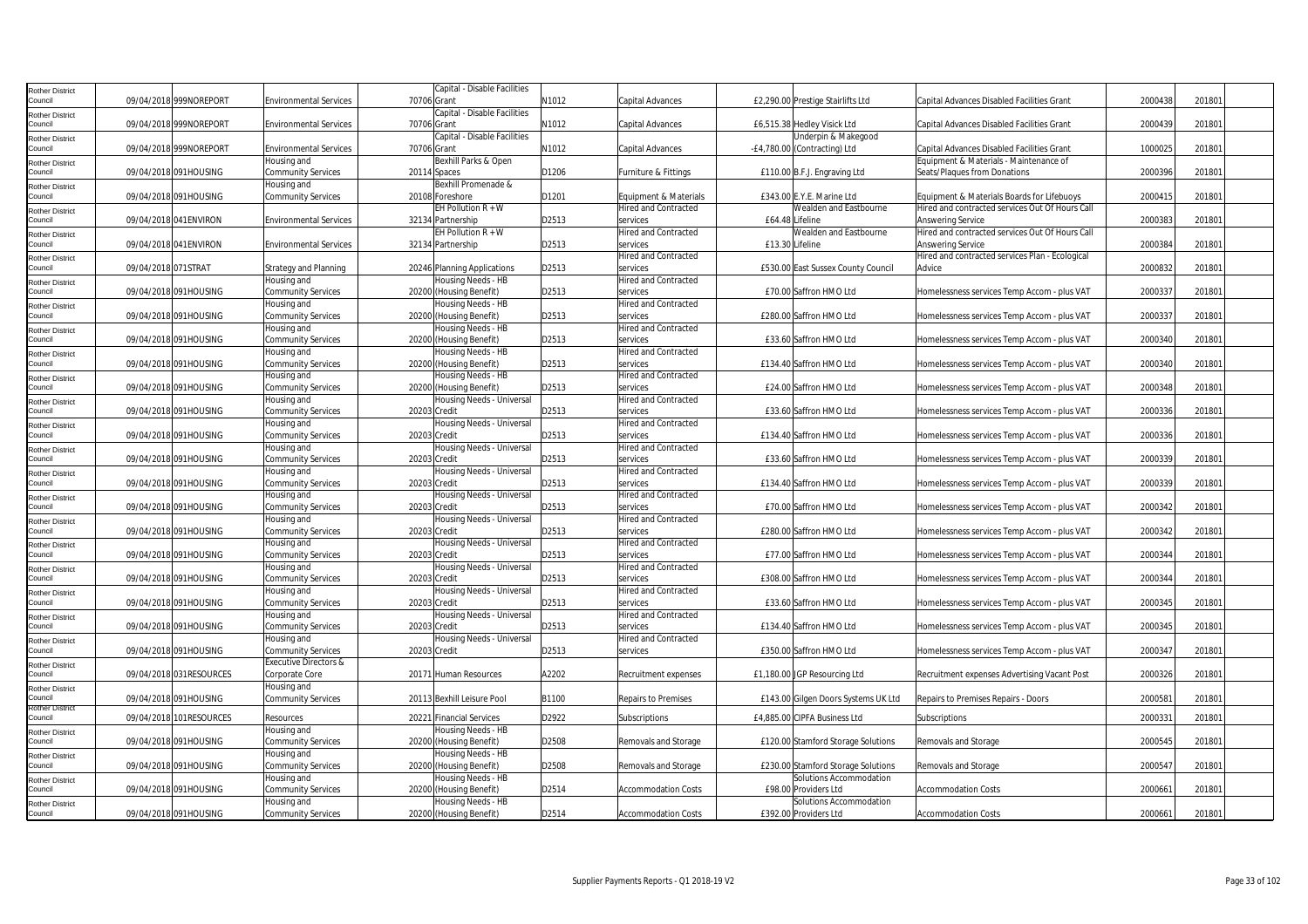| Rother District                   |                         |                                  |              | Capital - Disable Facilities |       |                             |                 |                                     |                                                 |         |        |  |
|-----------------------------------|-------------------------|----------------------------------|--------------|------------------------------|-------|-----------------------------|-----------------|-------------------------------------|-------------------------------------------------|---------|--------|--|
| Council                           | 09/04/2018 999NOREPORT  | <b>Environmental Services</b>    | 70706 Grant  |                              | N1012 | Capital Advances            |                 | £2,290.00 Prestige Stairlifts Ltd   | Capital Advances Disabled Facilities Grant      | 2000438 | 201801 |  |
| Rother District                   |                         |                                  |              | Capital - Disable Facilities |       |                             |                 |                                     |                                                 |         |        |  |
| Council                           | 09/04/2018 999NOREPORT  | <b>Environmental Services</b>    | 70706 Grant  |                              | N1012 | <b>Capital Advances</b>     |                 | £6,515.38 Hedley Visick Ltd         | Capital Advances Disabled Facilities Grant      | 200043  | 20180  |  |
|                                   |                         |                                  |              | Capital - Disable Facilities |       |                             |                 | Underpin & Makegood                 |                                                 |         |        |  |
| <b>Rother District</b><br>Council | 09/04/2018 999NOREPORT  | <b>Environmental Services</b>    | 70706 Grant  |                              | N1012 | Capital Advances            |                 | -£4,780.00 (Contracting) Ltd        | Capital Advances Disabled Facilities Grant      | 100002  | 20180  |  |
|                                   |                         | Housing and                      |              | Bexhill Parks & Open         |       |                             |                 |                                     | Equipment & Materials - Maintenance of          |         |        |  |
| Rother District<br>Council        | 09/04/2018 091HOUSING   | Community Services               |              | 20114 Spaces                 | D1206 | Furniture & Fittings        |                 | £110.00 B.F.J. Engraving Ltd        | Seats/Plaques from Donations                    | 200039  | 20180  |  |
|                                   |                         | Housing and                      |              | Bexhill Promenade &          |       |                             |                 |                                     |                                                 |         |        |  |
| Rother District<br>Council        | 09/04/2018 091HOUSING   | Community Services               |              | 20108 Foreshore              | D1201 | Equipment & Materials       |                 | £343.00 E.Y.E. Marine Ltd           | Equipment & Materials Boards for Lifebuoys      | 200041  | 201801 |  |
|                                   |                         |                                  |              | EH Pollution $R + W$         |       | Hired and Contracted        |                 | Wealden and Eastbourne              | Hired and contracted services Out Of Hours Call |         |        |  |
| Rother District<br>Council        | 09/04/2018 041 ENVIRON  | <b>Environmental Services</b>    |              | 32134 Partnership            | D2513 | services                    |                 | £64.48 Lifeline                     | Answering Service                               | 2000383 | 201801 |  |
|                                   |                         |                                  |              | EH Pollution $R + W$         |       | Hired and Contracted        |                 | Wealden and Eastbourne              | Hired and contracted services Out Of Hours Call |         |        |  |
| Rother District<br>Council        | 09/04/2018 041 ENVIRON  | <b>Environmental Services</b>    |              | 32134 Partnership            | D2513 | services                    | £13.30 Lifeline |                                     | Answering Service                               | 200038  | 201801 |  |
|                                   |                         |                                  |              |                              |       | <b>Hired and Contracted</b> |                 |                                     | Hired and contracted services Plan - Ecological |         |        |  |
| Rother District<br>Council        | 09/04/2018 071STRAT     | <b>Strategy and Planning</b>     |              | 20246 Planning Applications  | D2513 | services                    |                 | £530.00 East Sussex County Council  | Advice                                          | 200083  | 201801 |  |
|                                   |                         | Housing and                      |              | Housing Needs - HB           |       | <b>Hired and Contracted</b> |                 |                                     |                                                 |         |        |  |
| Rother District<br>Council        | 09/04/2018 091HOUSING   | <b>Community Services</b>        |              | 20200 (Housing Benefit)      | D2513 | services                    |                 | £70.00 Saffron HMO Ltd              | Homelessness services Temp Accom - plus VAT     | 200033  | 20180  |  |
|                                   |                         | Housing and                      |              | Housing Needs - HB           |       | Hired and Contracted        |                 |                                     |                                                 |         |        |  |
| Rother District<br>Council        | 09/04/2018 091HOUSING   | Community Services               |              | 20200 (Housing Benefit)      | D2513 | services                    |                 | £280.00 Saffron HMO Ltd             | Homelessness services Temp Accom - plus VAT     | 200033  | 20180  |  |
|                                   |                         | Housing and                      |              | Housing Needs - HB           |       | Hired and Contracted        |                 |                                     |                                                 |         |        |  |
| Rother District<br>Council        | 09/04/2018 091HOUSING   | <b>Community Services</b>        |              | 20200 (Housing Benefit)      | D2513 | services                    |                 | £33.60 Saffron HMO Ltd              | Homelessness services Temp Accom - plus VAT     | 2000340 | 201801 |  |
|                                   |                         | Housing and                      |              | Housing Needs - HB           |       | Hired and Contracted        |                 |                                     |                                                 |         |        |  |
| Rother District<br>Council        | 09/04/2018 091HOUSING   | Community Services               |              | 20200 (Housing Benefit)      | D2513 | services                    |                 | £134.40 Saffron HMO Ltd             | Homelessness services Temp Accom - plus VAT     | 200034  | 201801 |  |
| <b>Rother District</b>            |                         | Housing and                      |              | Housing Needs - HB           |       | <b>Hired and Contracted</b> |                 |                                     |                                                 |         |        |  |
| Council                           | 09/04/2018 091HOUSING   | Community Services               |              | 20200 (Housing Benefit)      | D2513 | services                    |                 | £24.00 Saffron HMO Ltd              | Homelessness services Temp Accom - plus VAT     | 2000348 | 201801 |  |
|                                   |                         | Housing and                      |              | Housing Needs - Universal    |       | <b>Hired and Contracted</b> |                 |                                     |                                                 |         |        |  |
| <b>Rother District</b><br>Council | 09/04/2018 091HOUSING   | <b>Community Services</b>        | 20203 Credit |                              | D2513 | services                    |                 | £33.60 Saffron HMO Ltd              | Homelessness services Temp Accom - plus VAT     | 200033  | 20180  |  |
|                                   |                         | Housing and                      |              | Housing Needs - Universal    |       | Hired and Contracted        |                 |                                     |                                                 |         |        |  |
| Rother District<br>Council        | 09/04/2018 091HOUSING   | <b>Community Services</b>        | 20203 Credit |                              | D2513 | services                    |                 | £134.40 Saffron HMO Ltd             | Homelessness services Temp Accom - plus VAT     | 200033  | 20180  |  |
| Rother District                   |                         | Housing and                      |              | Housing Needs - Universal    |       | <b>Hired and Contracted</b> |                 |                                     |                                                 |         |        |  |
| Council                           | 09/04/2018 091HOUSING   | <b>Community Services</b>        | 20203 Credit |                              | D2513 | services                    |                 | £33.60 Saffron HMO Ltd              | Homelessness services Temp Accom - plus VAT     | 200033  | 201801 |  |
| <b>Rother District</b>            |                         | Housing and                      |              | Housing Needs - Universal    |       | <b>Hired and Contracted</b> |                 |                                     |                                                 |         |        |  |
| Council                           | 09/04/2018 091HOUSING   | <b>Community Services</b>        | 20203 Credit |                              | D2513 | services                    |                 | £134.40 Saffron HMO Ltd             | Homelessness services Temp Accom - plus VAT     | 200033  | 20180  |  |
| Rother District                   |                         | Housing and                      |              | Housing Needs - Universal    |       | Hired and Contracted        |                 |                                     |                                                 |         |        |  |
| Council                           | 09/04/2018 091HOUSING   | Community Services               | 20203 Credit |                              | D2513 | services                    |                 | £70.00 Saffron HMO Ltd              | Homelessness services Temp Accom - plus VAT     | 2000342 | 201801 |  |
| Rother District                   |                         | Housing and                      |              | Housing Needs - Universal    |       | <b>Hired and Contracted</b> |                 |                                     |                                                 |         |        |  |
| Council                           | 09/04/2018 091HOUSING   | <b>Community Services</b>        | 20203 Credit |                              | D2513 | services                    |                 | £280.00 Saffron HMO Ltd             | Homelessness services Temp Accom - plus VAT     | 200034  | 201801 |  |
| Rother District                   |                         | Housing and                      |              | Housing Needs - Universal    |       | <b>Hired and Contracted</b> |                 |                                     |                                                 |         |        |  |
| Council                           | 09/04/2018 091HOUSING   | <b>Community Services</b>        | 20203 Credit |                              | D2513 | services                    |                 | £77.00 Saffron HMO Ltd              | Homelessness services Temp Accom - plus VAT     | 2000344 | 201801 |  |
| Rother District                   |                         | Housing and                      |              | Housing Needs - Universal    |       | <b>Hired and Contracted</b> |                 |                                     |                                                 |         |        |  |
| Council                           | 09/04/2018 091HOUSING   | <b>Community Services</b>        | 20203 Credit |                              | D2513 | services                    |                 | £308.00 Saffron HMO Ltd             | Homelessness services Temp Accom - plus VAT     | 200034  | 20180  |  |
| Rother District                   |                         | Housing and                      |              | Housing Needs - Universal    |       | Hired and Contracted        |                 |                                     |                                                 |         |        |  |
| Council                           | 09/04/2018 091HOUSING   | <b>Community Services</b>        | 20203 Credit |                              | D2513 | services                    |                 | £33.60 Saffron HMO Ltd              | Homelessness services Temp Accom - plus VAT     | 2000345 | 20180  |  |
| Rother District                   |                         | Housing and                      |              | Housing Needs - Universal    |       | <b>Hired and Contracted</b> |                 |                                     |                                                 |         |        |  |
| Council                           | 09/04/2018 091HOUSING   | <b>Community Services</b>        | 20203 Credit |                              | D2513 | services                    |                 | £134.40 Saffron HMO Ltd             | Homelessness services Temp Accom - plus VAT     | 2000345 | 201801 |  |
| Rother District                   |                         | Housing and                      |              | Housing Needs - Universal    |       | Hired and Contracted        |                 |                                     |                                                 |         |        |  |
| Council                           | 09/04/2018 091HOUSING   | Community Services               | 20203 Credit |                              | D2513 | services                    |                 | £350.00 Saffron HMO Ltd             | Homelessness services Temp Accom - plus VAT     | 200034  | 201801 |  |
| Rother District                   |                         | <b>Executive Directors &amp;</b> |              |                              |       |                             |                 |                                     |                                                 |         |        |  |
| Council                           | 09/04/2018 031RESOURCES | Corporate Core                   |              | 20171 Human Resources        | A2202 | Recruitment expenses        |                 | £1,180.00 JGP Resourcing Ltd        | Recruitment expenses Advertising Vacant Post    | 2000326 | 201801 |  |
| <b>Rother District</b>            |                         | Housing and                      |              |                              |       |                             |                 |                                     |                                                 |         |        |  |
| ouncil                            | 09/04/2018 091HOUSING   | <b>Community Services</b>        |              | 20113 Bexhill Leisure Pool   | B1100 | <b>Repairs to Premises</b>  |                 | £143.00 Gilgen Doors Systems UK Ltd | Repairs to Premises Repairs - Doors             | 200058  | 20180  |  |
| <b>Rother District</b>            |                         |                                  |              |                              |       |                             |                 |                                     |                                                 |         |        |  |
| Council                           | 09/04/2018 101RESOURCES | Resources                        |              | 20221 Financial Services     | D2922 | Subscriptions               |                 | £4,885.00 CIPFA Business Ltd        | Subscriptions                                   | 200033  | 20180  |  |
| Rother District                   |                         | Housing and                      |              | Housing Needs - HB           |       |                             |                 |                                     |                                                 |         |        |  |
| Council                           | 09/04/2018 091HOUSING   | Community Services               |              | 20200 (Housing Benefit)      | D2508 | Removals and Storage        |                 | £120.00 Stamford Storage Solutions  | Removals and Storage                            | 2000545 | 20180  |  |
| Rother District                   |                         | Housing and                      |              | Housing Needs - HB           |       |                             |                 |                                     |                                                 |         |        |  |
| Council                           | 09/04/2018 091HOUSING   | Community Services               |              | 20200 (Housing Benefit)      | D2508 | Removals and Storage        |                 | £230.00 Stamford Storage Solutions  | Removals and Storage                            | 200054  | 20180  |  |
| Rother District                   |                         | Housing and                      |              | Housing Needs - HB           |       |                             |                 | Solutions Accommodation             |                                                 |         |        |  |
| Council                           | 09/04/2018 091HOUSING   | Community Services               |              | 20200 (Housing Benefit)      | D2514 | <b>Accommodation Costs</b>  |                 | £98.00 Providers Ltd                | <b>Accommodation Costs</b>                      | 200066  | 201801 |  |
| Rother District                   |                         | Housing and                      |              | Housing Needs - HB           |       |                             |                 | Solutions Accommodation             |                                                 |         |        |  |
| Council                           | 09/04/2018 091HOUSING   | <b>Community Services</b>        |              | 20200 (Housing Benefit)      | D2514 | <b>Accommodation Costs</b>  |                 | £392.00 Providers Ltd               | <b>Accommodation Costs</b>                      | 2000661 | 201801 |  |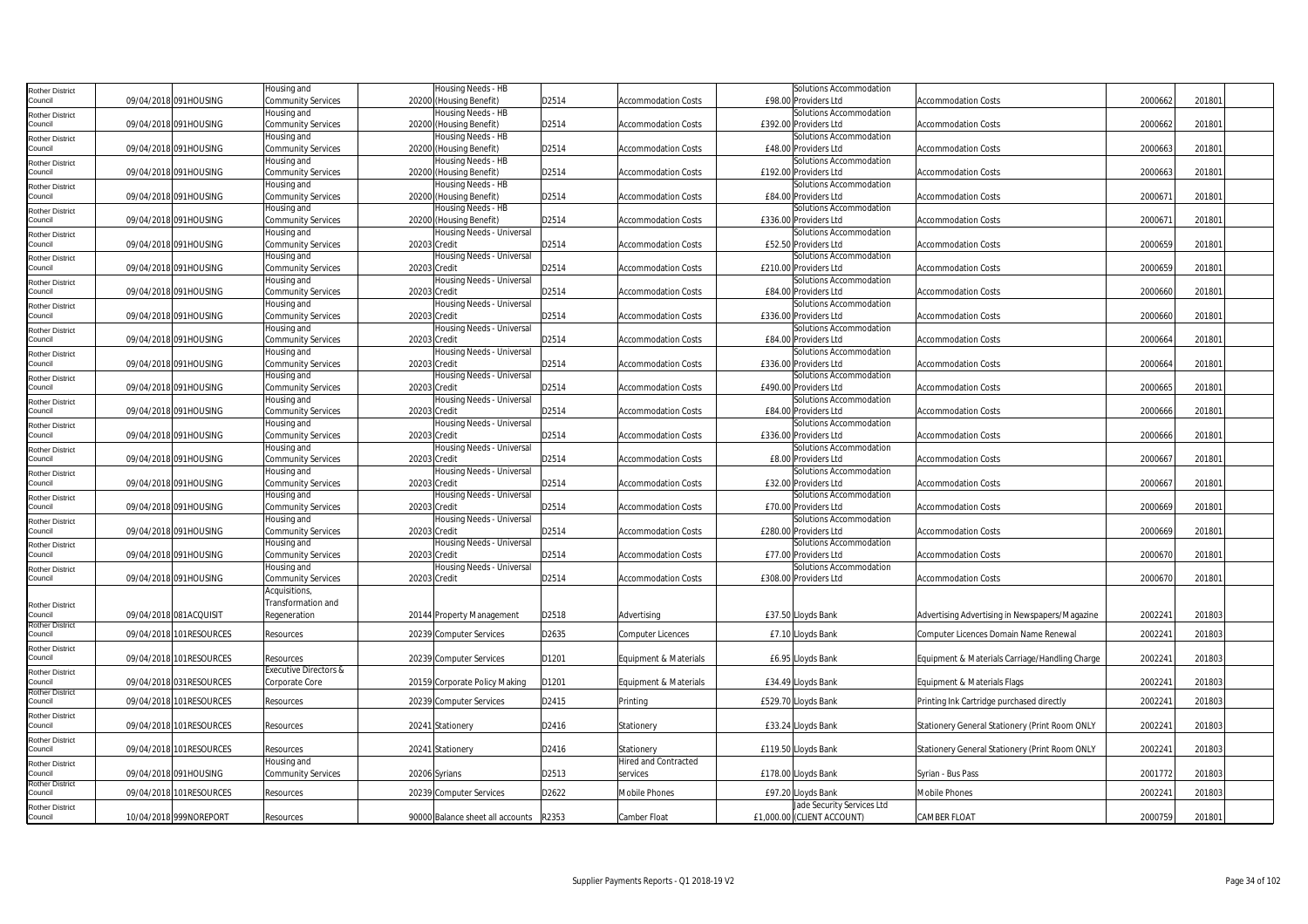| Rother District                   |                         | Housing and                       |              | Housing Needs - HB               |       |                            | Solutions Accommodation                          |                                                |         |        |  |
|-----------------------------------|-------------------------|-----------------------------------|--------------|----------------------------------|-------|----------------------------|--------------------------------------------------|------------------------------------------------|---------|--------|--|
| Council                           | 09/04/2018 091HOUSING   | Community Services                |              | 20200 (Housing Benefit)          | D2514 | <b>Accommodation Costs</b> | £98.00 Providers Ltd                             | <b>Accommodation Costs</b>                     | 2000662 | 201801 |  |
| <b>Rother District</b>            |                         | Housing and                       |              | Housing Needs - HB               |       |                            | Solutions Accommodation                          |                                                |         |        |  |
| Council                           | 09/04/2018 091HOUSING   | <b>Community Services</b>         |              | 20200 (Housing Benefit)          | D2514 | <b>Accommodation Costs</b> | £392.00 Providers Ltd                            | <b>Accommodation Costs</b>                     | 2000662 | 201801 |  |
| <b>Rother District</b>            |                         | Housing and                       |              | Housing Needs - HB               |       |                            | Solutions Accommodation                          |                                                |         |        |  |
| Council                           | 09/04/2018 091HOUSING   | Community Services                |              | 20200 (Housing Benefit)          | D2514 | <b>Accommodation Costs</b> | £48.00 Providers Ltd                             | <b>Accommodation Costs</b>                     | 2000663 | 201801 |  |
| <b>Rother District</b>            |                         | Housing and                       |              | Housing Needs - HB               |       |                            | Solutions Accommodation                          |                                                |         |        |  |
| Council                           | 09/04/2018 091HOUSING   | Community Services                |              | 20200 (Housing Benefit)          | D2514 | <b>Accommodation Costs</b> | £192.00 Providers Ltd                            | <b>Accommodation Costs</b>                     | 2000663 | 201801 |  |
| <b>Rother District</b>            |                         | Housing and                       |              | Housing Needs - HB               |       |                            | Solutions Accommodation                          |                                                |         |        |  |
| Council                           | 09/04/2018 091HOUSING   | Community Services                |              | 20200 (Housing Benefit)          | D2514 | <b>Accommodation Costs</b> | £84.00 Providers Ltd                             | Accommodation Costs                            | 2000671 | 201801 |  |
| <b>Rother District</b>            |                         | Housing and                       |              | Housing Needs - HB               |       |                            | Solutions Accommodation                          |                                                |         |        |  |
| Council                           | 09/04/2018 091HOUSING   | Community Services                |              | 20200 (Housing Benefit)          | D2514 | <b>Accommodation Costs</b> | £336.00 Providers Ltd                            | <b>Accommodation Costs</b>                     | 2000671 | 201801 |  |
| <b>Rother District</b>            |                         | Housing and                       |              | Housing Needs - Universal        |       |                            | Solutions Accommodation                          |                                                |         |        |  |
| Council                           | 09/04/2018 091HOUSING   | Community Services                | 20203 Credit |                                  | D2514 | <b>Accommodation Costs</b> | £52.50 Providers Ltd                             | <b>Accommodation Costs</b>                     | 2000659 | 201801 |  |
| <b>Rother District</b><br>Council | 09/04/2018 091HOUSING   | Housing and                       | 20203 Credit | Housing Needs - Universal        | D2514 |                            | Solutions Accommodation<br>£210.00 Providers Ltd | <b>Accommodation Costs</b>                     | 2000659 | 201801 |  |
|                                   |                         | Community Services                |              |                                  |       | <b>Accommodation Costs</b> | Solutions Accommodation                          |                                                |         |        |  |
| <b>Rother District</b><br>Council | 09/04/2018 091HOUSING   | Housing and<br>Community Services | 20203 Credit | Housing Needs - Universal        | D2514 | <b>Accommodation Costs</b> | £84.00 Providers Ltd                             | <b>Accommodation Costs</b>                     | 2000660 | 201801 |  |
|                                   |                         | Housing and                       |              | Housing Needs - Universal        |       |                            | Solutions Accommodation                          |                                                |         |        |  |
| <b>Rother District</b><br>Council | 09/04/2018 091HOUSING   | Community Services                | 20203 Credit |                                  | D2514 | <b>Accommodation Costs</b> | £336.00 Providers Ltd                            | <b>Accommodation Costs</b>                     | 2000660 | 201801 |  |
| <b>Rother District</b>            |                         | Housing and                       |              | Housing Needs - Universal        |       |                            | Solutions Accommodation                          |                                                |         |        |  |
| Council                           | 09/04/2018 091HOUSING   | Community Services                |              | 20203 Credit                     | D2514 | <b>Accommodation Costs</b> | £84.00 Providers Ltd                             | <b>Accommodation Costs</b>                     | 2000664 | 201801 |  |
| <b>Rother District</b>            |                         | Housing and                       |              | Housing Needs - Universal        |       |                            | Solutions Accommodation                          |                                                |         |        |  |
| Council                           | 09/04/2018 091HOUSING   | Community Services                | 20203 Credit |                                  | D2514 | <b>Accommodation Costs</b> | £336.00 Providers Ltd                            | <b>Accommodation Costs</b>                     | 2000664 | 201801 |  |
| <b>Rother District</b>            |                         | Housing and                       |              | Housing Needs - Universal        |       |                            | Solutions Accommodation                          |                                                |         |        |  |
| Council                           | 09/04/2018 091HOUSING   | Community Services                | 20203 Credit |                                  | D2514 | <b>Accommodation Costs</b> | £490.00 Providers Ltd                            | <b>Accommodation Costs</b>                     | 2000665 | 201801 |  |
| <b>Rother District</b>            |                         | Housing and                       |              | Housing Needs - Universal        |       |                            | Solutions Accommodation                          |                                                |         |        |  |
| Council                           | 09/04/2018 091HOUSING   | Community Services                | 20203 Credit |                                  | D2514 | <b>Accommodation Costs</b> | £84.00 Providers Ltd                             | <b>Accommodation Costs</b>                     | 2000666 | 201801 |  |
| <b>Rother District</b>            |                         | Housing and                       |              | Housing Needs - Universal        |       |                            | Solutions Accommodation                          |                                                |         |        |  |
| Council                           | 09/04/2018 091HOUSING   | Community Services                | 20203 Credit |                                  | D2514 | <b>Accommodation Costs</b> | £336.00 Providers Ltd                            | Accommodation Costs                            | 2000666 | 201801 |  |
| <b>Rother District</b>            |                         | Housing and                       |              | Housing Needs - Universal        |       |                            | Solutions Accommodation                          |                                                |         |        |  |
| Council                           | 09/04/2018 091HOUSING   | Community Services                |              | 20203 Credit                     | D2514 | <b>Accommodation Costs</b> | £8.00 Providers Ltd                              | <b>Accommodation Costs</b>                     | 2000667 | 201801 |  |
| <b>Rother District</b>            |                         | Housing and                       |              | Housing Needs - Universal        |       |                            | Solutions Accommodation                          |                                                |         |        |  |
| Council                           | 09/04/2018 091HOUSING   | Community Services                | 20203 Credit |                                  | D2514 | <b>Accommodation Costs</b> | £32.00 Providers Ltd                             | <b>Accommodation Costs</b>                     | 200066  | 201801 |  |
| <b>Rother District</b><br>Council | 09/04/2018 091HOUSING   | Housing and                       | 20203 Credit | Housing Needs - Universal        | D2514 |                            | Solutions Accommodation<br>£70.00 Providers Ltd  | <b>Accommodation Costs</b>                     | 2000669 | 201801 |  |
|                                   |                         | Community Services<br>Housing and |              | Housing Needs - Universal        |       | <b>Accommodation Costs</b> | Solutions Accommodation                          |                                                |         |        |  |
| <b>Rother District</b><br>Council | 09/04/2018 091HOUSING   | Community Services                |              | 20203 Credit                     | D2514 | <b>Accommodation Costs</b> | £280.00 Providers Ltd                            | <b>Accommodation Costs</b>                     | 2000669 | 201801 |  |
|                                   |                         | Housing and                       |              | Housing Needs - Universal        |       |                            | Solutions Accommodation                          |                                                |         |        |  |
| <b>Rother District</b><br>Council | 09/04/2018 091HOUSING   | Community Services                | 20203 Credit |                                  | D2514 | <b>Accommodation Costs</b> | £77.00 Providers Ltd                             | Accommodation Costs                            | 2000670 | 201801 |  |
| <b>Rother District</b>            |                         | Housing and                       |              | Housing Needs - Universal        |       |                            | Solutions Accommodation                          |                                                |         |        |  |
| Council                           | 09/04/2018 091HOUSING   | Community Services                |              | 20203 Credit                     | D2514 | <b>Accommodation Costs</b> | £308.00 Providers Ltd                            | <b>Accommodation Costs</b>                     | 2000670 | 201801 |  |
|                                   |                         | Acquisitions                      |              |                                  |       |                            |                                                  |                                                |         |        |  |
| <b>Rother District</b>            |                         | Transformation and                |              |                                  |       |                            |                                                  |                                                |         |        |  |
| Council                           | 09/04/2018 081ACQUISIT  | Regeneration                      |              | 20144 Property Management        | D2518 | Advertising                | £37.50 Lloyds Bank                               | Advertising Advertising in Newspapers/Magazine | 2002241 | 201803 |  |
| <b>Rother District</b><br>Council | 09/04/2018 101RESOURCES | Resources                         |              | 20239 Computer Services          | D2635 | <b>Computer Licences</b>   | £7.10 Lloyds Bank                                | Computer Licences Domain Name Renewal          | 2002241 | 201803 |  |
|                                   |                         |                                   |              |                                  |       |                            |                                                  |                                                |         |        |  |
| <b>Rother District</b><br>Council | 09/04/2018 101RESOURCES | Resources                         |              | 20239 Computer Services          | D1201 | Equipment & Materials      | £6.95 Lloyds Bank                                | Equipment & Materials Carriage/Handling Charge | 2002241 | 201803 |  |
| <b>Rother District</b>            |                         | <b>Executive Directors &amp;</b>  |              |                                  |       |                            |                                                  |                                                |         |        |  |
| Council                           | 09/04/2018 031RESOURCES | Corporate Core                    |              | 20159 Corporate Policy Making    | D1201 | Equipment & Materials      | £34.49 Lloyds Bank                               | Equipment & Materials Flags                    | 200224  | 201803 |  |
| <b>Rother District</b>            |                         |                                   |              |                                  |       |                            |                                                  |                                                |         |        |  |
| Council                           | 09/04/2018 101RESOURCES | Resources                         |              | 20239 Computer Services          | D2415 | Printing                   | £529.70 Lloyds Bank                              | Printing Ink Cartridge purchased directly      | 200224  | 201803 |  |
| <b>Rother District</b>            |                         |                                   |              |                                  |       |                            |                                                  |                                                |         |        |  |
| Council                           | 09/04/2018 101RESOURCES | Resources                         |              | 20241 Stationery                 | D2416 | Stationery                 | £33.24 Lloyds Bank                               | Stationery General Stationery (Print Room ONLY | 2002241 | 201803 |  |
| <b>Rother District</b><br>Council | 09/04/2018 101RESOURCES | Resources                         |              | 20241 Stationery                 | D2416 | Stationery                 | £119.50 Lloyds Bank                              | Stationery General Stationery (Print Room ONLY | 2002241 | 201803 |  |
|                                   |                         | Housing and                       |              |                                  |       | Hired and Contracted       |                                                  |                                                |         |        |  |
| <b>Rother District</b><br>Council | 09/04/2018 091HOUSING   | Community Services                |              | 20206 Syrians                    | D2513 | services                   | £178.00 Lloyds Bank                              | Syrian - Bus Pass                              | 2001772 | 201803 |  |
| Rother District                   |                         |                                   |              |                                  |       |                            |                                                  |                                                |         |        |  |
| Council                           | 09/04/2018 101RESOURCES | Resources                         |              | 20239 Computer Services          | D2622 | Mobile Phones              | £97.20 Lloyds Bank                               | Mobile Phones                                  | 2002241 | 201803 |  |
| <b>Rother District</b>            |                         |                                   |              |                                  |       |                            | Jade Security Services Ltd                       |                                                |         |        |  |
| Council                           | 10/04/2018 999NOREPORT  | Resources                         |              | 90000 Balance sheet all accounts | R2353 | Camber Float               | £1,000.00 (CLIENT ACCOUNT)                       | CAMBER FLOAT                                   | 2000759 | 201801 |  |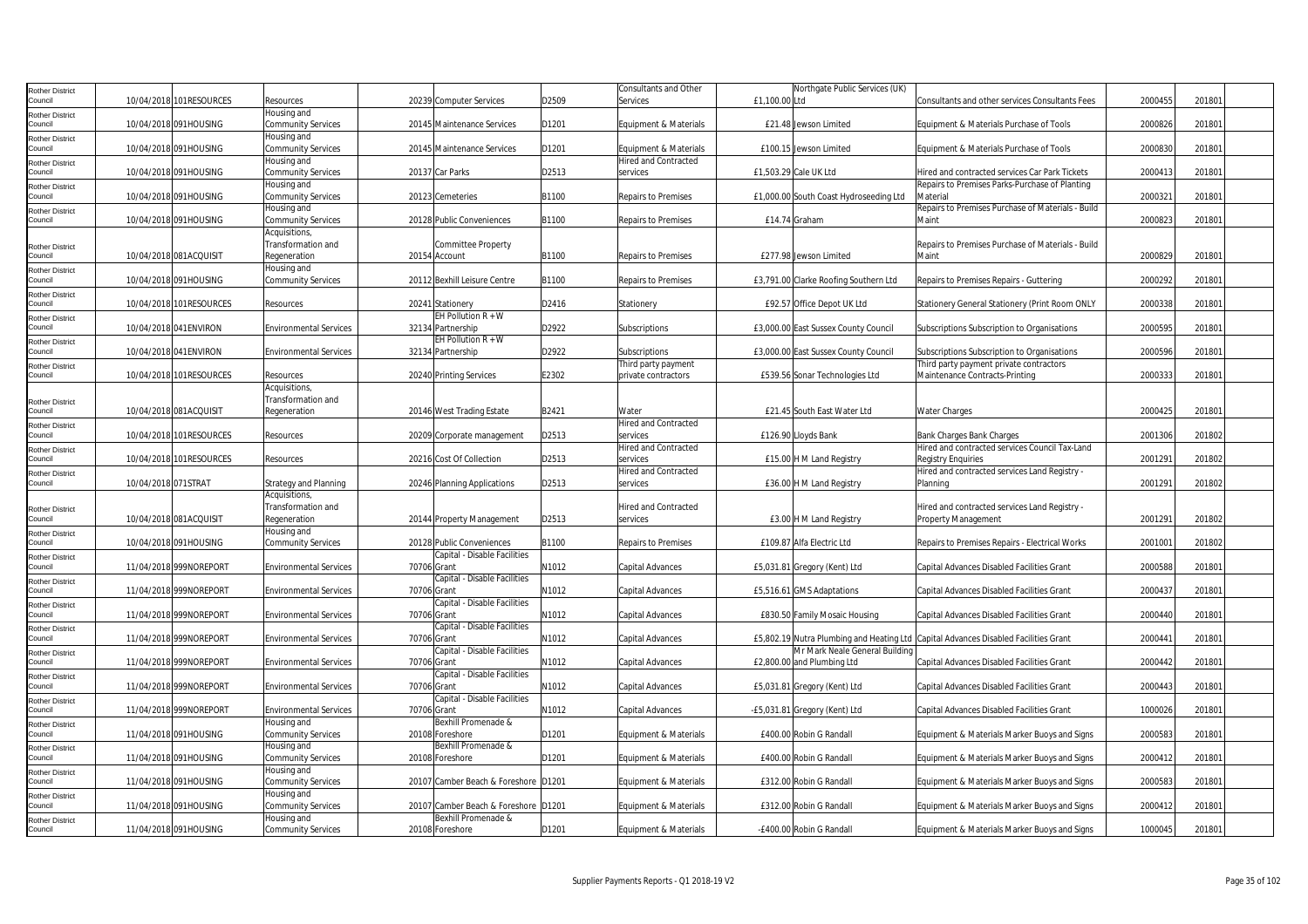| Rother District                   |                     |                         |                                               |             |                                      |       | Consultants and Other                   |               | Northgate Public Services (UK)         |                                                                                     |         |        |
|-----------------------------------|---------------------|-------------------------|-----------------------------------------------|-------------|--------------------------------------|-------|-----------------------------------------|---------------|----------------------------------------|-------------------------------------------------------------------------------------|---------|--------|
| Council                           |                     | 10/04/2018 101RESOURCES | Resources                                     |             | 20239 Computer Services              | D2509 | Services                                | £1,100.00 Ltd |                                        | Consultants and other services Consultants Fees                                     | 2000455 | 201801 |
| Rother District                   |                     |                         | Housing and                                   |             |                                      |       |                                         |               |                                        |                                                                                     |         |        |
| Council                           |                     | 10/04/2018 091HOUSING   | Community Services                            |             | 20145 Maintenance Services           | D1201 | Equipment & Materials                   |               | £21.48 Jewson Limited                  | Equipment & Materials Purchase of Tools                                             | 2000826 | 201801 |
| Rother District                   |                     |                         | Housing and                                   |             |                                      |       |                                         |               |                                        |                                                                                     |         |        |
| Council                           |                     | 10/04/2018 091HOUSING   | <b>Community Services</b>                     |             | 20145 Maintenance Services           | D1201 | Equipment & Materials                   |               | £100.15 Jewson Limited                 | Equipment & Materials Purchase of Tools                                             | 2000830 | 201801 |
| Rother District                   |                     |                         | Housing and                                   |             |                                      |       | Hired and Contracted                    |               |                                        |                                                                                     |         |        |
| Council                           |                     | 10/04/2018 091HOUSING   | Community Services                            |             | 20137 Car Parks                      | D2513 | services                                |               | £1,503.29 Cale UK Ltd                  | Hired and contracted services Car Park Tickets                                      | 2000413 | 201801 |
| Rother District                   |                     |                         | Housing and                                   |             |                                      |       |                                         |               |                                        | Repairs to Premises Parks-Purchase of Planting                                      |         |        |
| Council                           |                     | 10/04/2018 091HOUSING   | Community Services                            |             | 20123 Cemeteries                     | B1100 | <b>Repairs to Premises</b>              |               | £1,000.00 South Coast Hydroseeding Ltd | Material                                                                            | 200032  | 201801 |
|                                   |                     |                         | lousing and                                   |             |                                      |       |                                         |               |                                        | Repairs to Premises Purchase of Materials - Build                                   |         |        |
| Rother District<br>Council        |                     | 10/04/2018 091HOUSING   | <b>Community Services</b>                     |             | 20128 Public Conveniences            | B1100 | <b>Repairs to Premises</b>              |               | £14.74 Graham                          | Maint                                                                               | 2000823 | 201801 |
|                                   |                     |                         | Acquisitions,                                 |             |                                      |       |                                         |               |                                        |                                                                                     |         |        |
|                                   |                     |                         | Transformation and                            |             | <b>Committee Property</b>            |       |                                         |               |                                        | Repairs to Premises Purchase of Materials - Build                                   |         |        |
| Rother District<br>Council        |                     | 10/04/2018 081ACQUISIT  | Regeneration                                  |             | 20154 Account                        | B1100 | <b>Repairs to Premises</b>              |               | £277.98 Jewson Limited                 | Maint                                                                               | 2000829 | 201801 |
|                                   |                     |                         | Housing and                                   |             |                                      |       |                                         |               |                                        |                                                                                     |         |        |
| Rother District<br>Council        |                     | 10/04/2018 091HOUSING   | <b>Community Services</b>                     |             | 20112 Bexhill Leisure Centre         | B1100 | <b>Repairs to Premises</b>              |               | £3,791.00 Clarke Roofing Southern Ltd  | Repairs to Premises Repairs - Guttering                                             | 2000292 | 201801 |
|                                   |                     |                         |                                               |             |                                      |       |                                         |               |                                        |                                                                                     |         |        |
| Rother District<br>Council        |                     | 10/04/2018 101RESOURCES | Resources                                     |             | 20241 Stationery                     | D2416 | Stationery                              |               | £92.57 Office Depot UK Ltd             | Stationery General Stationery (Print Room ONLY                                      | 2000338 | 201801 |
|                                   |                     |                         |                                               |             | EH Pollution $R + W$                 |       |                                         |               |                                        |                                                                                     |         |        |
| Rother District<br>Council        |                     | 10/04/2018 041 ENVIRON  | <b>Environmental Services</b>                 |             | 32134 Partnership                    | D2922 | Subscriptions                           |               | £3,000.00 East Sussex County Council   | Subscriptions Subscription to Organisations                                         | 2000595 | 201801 |
|                                   |                     |                         |                                               |             | EH Pollution $R + W$                 |       |                                         |               |                                        |                                                                                     |         |        |
| Rother District<br>Council        |                     | 10/04/2018 041ENVIRON   | <b>Environmental Services</b>                 |             | 32134 Partnership                    | D2922 | Subscriptions                           |               | £3,000.00 East Sussex County Council   | Subscriptions Subscription to Organisations                                         | 2000596 | 201801 |
|                                   |                     |                         |                                               |             |                                      |       | Third party payment                     |               |                                        | Third party payment private contractors                                             |         |        |
| Rother District<br>Council        |                     | 10/04/2018 101RESOURCES | Resources                                     |             | 20240 Printing Services              | E2302 | private contractors                     |               | £539.56 Sonar Technologies Ltd         | Maintenance Contracts-Printing                                                      | 2000333 | 201801 |
|                                   |                     |                         | Acquisitions,                                 |             |                                      |       |                                         |               |                                        |                                                                                     |         |        |
|                                   |                     |                         | Transformation and                            |             |                                      |       |                                         |               |                                        |                                                                                     |         |        |
| <b>Rother District</b><br>Council |                     | 10/04/2018 081ACQUISIT  | Regeneration                                  |             | 20146 West Trading Estate            | B2421 | Water                                   |               | £21.45 South East Water Ltd            | <b>Water Charges</b>                                                                | 2000425 | 201801 |
|                                   |                     |                         |                                               |             |                                      |       | Hired and Contracted                    |               |                                        |                                                                                     |         |        |
| Rother District<br>Council        |                     | 10/04/2018 101RESOURCES |                                               |             |                                      | D2513 | services                                |               | £126.90 Lloyds Bank                    | Bank Charges Bank Charges                                                           | 2001306 | 201802 |
|                                   |                     |                         | Resources                                     |             | 20209 Corporate management           |       | Hired and Contracted                    |               |                                        | Hired and contracted services Council Tax-Land                                      |         |        |
| Rother District<br>Council        |                     | 10/04/2018 101RESOURCES |                                               |             | 20216 Cost Of Collection             | D2513 | services                                |               | £15.00 H M Land Registry               |                                                                                     | 2001291 | 201802 |
|                                   |                     |                         | Resources                                     |             |                                      |       | Hired and Contracted                    |               |                                        | <b>Registry Enguiries</b><br>Hired and contracted services Land Registry -          |         |        |
| <b>Rother District</b><br>Council | 10/04/2018 071STRAT |                         |                                               |             |                                      | D2513 | services                                |               |                                        | Planning                                                                            | 2001291 | 201802 |
|                                   |                     |                         | <b>Strategy and Planning</b><br>Acquisitions, |             | 20246 Planning Applications          |       |                                         |               | £36.00 H M Land Registry               |                                                                                     |         |        |
|                                   |                     |                         |                                               |             |                                      |       |                                         |               |                                        |                                                                                     |         |        |
| Rother District<br>Council        |                     | 10/04/2018 081ACQUISIT  | Transformation and<br>Regeneration            |             | 20144 Property Management            | D2513 | <b>Hired and Contracted</b><br>services |               | £3.00 H M Land Registry                | Hired and contracted services Land Registry -<br>Property Management                | 2001291 | 201802 |
|                                   |                     |                         |                                               |             |                                      |       |                                         |               |                                        |                                                                                     |         |        |
| Rother District<br>Council        |                     | 10/04/2018 091HOUSING   | Housing and<br><b>Community Services</b>      |             | 20128 Public Conveniences            | B1100 | <b>Repairs to Premises</b>              |               | £109.87 Alfa Electric Ltd              | Repairs to Premises Repairs - Electrical Works                                      | 2001001 | 201802 |
|                                   |                     |                         |                                               |             |                                      |       |                                         |               |                                        |                                                                                     |         |        |
| Rother District<br>Council        |                     | 11/04/2018 999NOREPORT  | <b>Environmental Services</b>                 | 70706 Grant | Capital - Disable Facilities         | N1012 | Capital Advances                        |               |                                        | Capital Advances Disabled Facilities Grant                                          | 2000588 | 201801 |
|                                   |                     |                         |                                               |             |                                      |       |                                         |               | £5,031.81 Gregory (Kent) Ltd           |                                                                                     |         |        |
| Rother District<br>ouncil         |                     | 11/04/2018 999NOREPORT  | <b>Environmental Services</b>                 | 70706 Grant | Capital - Disable Facilities         | N1012 | Capital Advances                        |               | £5.516.61 GMS Adaptations              | Capital Advances Disabled Facilities Grant                                          | 2000437 | 201801 |
|                                   |                     |                         |                                               |             |                                      |       |                                         |               |                                        |                                                                                     |         |        |
| Rother District<br>Council        |                     |                         |                                               |             | Capital - Disable Facilities         |       |                                         |               |                                        |                                                                                     |         |        |
|                                   |                     | 11/04/2018 999NOREPORT  | <b>Environmental Services</b>                 | 70706 Grant | Capital - Disable Facilities         | N1012 | Capital Advances                        |               | £830.50 Family Mosaic Housing          | Capital Advances Disabled Facilities Grant                                          | 2000440 | 201801 |
| Rother District                   |                     |                         |                                               |             |                                      |       |                                         |               |                                        |                                                                                     |         |        |
| Council                           |                     | 11/04/2018 999NOREPORT  | <b>Environmental Services</b>                 | 70706 Grant |                                      | N1012 | Capital Advances                        |               |                                        | £5,802.19 Nutra Plumbing and Heating Ltd Capital Advances Disabled Facilities Grant | 2000441 | 201801 |
| Rother District                   |                     |                         |                                               |             | Capital - Disable Facilities         |       |                                         |               | Mr Mark Neale General Building         |                                                                                     |         |        |
| Council                           |                     | 11/04/2018 999NOREPORT  | <b>Environmental Services</b>                 | 70706 Grant |                                      | N1012 | Capital Advances                        |               | £2,800.00 and Plumbing Ltd             | Capital Advances Disabled Facilities Grant                                          | 2000442 | 201801 |
| <b>Rother District</b>            |                     |                         |                                               |             | Capital - Disable Facilities         |       |                                         |               |                                        |                                                                                     |         |        |
| Council                           |                     | 11/04/2018 999NOREPORT  | <b>Environmental Services</b>                 | 70706 Grant |                                      | N1012 | Capital Advances                        |               | £5,031.81 Gregory (Kent) Ltd           | Capital Advances Disabled Facilities Grant                                          | 2000443 | 201801 |
| Rother District                   |                     |                         |                                               |             | Capital - Disable Facilities         |       |                                         |               |                                        |                                                                                     |         |        |
| Council                           |                     | 11/04/2018 999NOREPORT  | <b>Environmental Services</b>                 | 70706 Grant |                                      | N1012 | Capital Advances                        |               | -£5,031.81 Gregory (Kent) Ltd          | Capital Advances Disabled Facilities Grant                                          | 1000026 | 201801 |
| Rother District                   |                     |                         | Housing and                                   |             | Bexhill Promenade &                  |       |                                         |               |                                        |                                                                                     |         |        |
| Council                           |                     | 11/04/2018 091HOUSING   | Community Services                            |             | 20108 Foreshore                      | D1201 | Equipment & Materials                   |               | £400.00 Robin G Randall                | Equipment & Materials Marker Buoys and Signs                                        | 2000583 | 201801 |
| Rother District                   |                     |                         | Housing and                                   |             | Bexhill Promenade &                  |       |                                         |               |                                        |                                                                                     |         |        |
| Council                           |                     | 11/04/2018 091HOUSING   | Community Services                            |             | 20108 Foreshore                      | D1201 | Equipment & Materials                   |               | £400.00 Robin G Randall                | Equipment & Materials Marker Buoys and Signs                                        | 2000412 | 201801 |
| Rother District                   |                     |                         | Housing and                                   |             |                                      |       |                                         |               |                                        |                                                                                     |         |        |
| Council                           |                     | 11/04/2018 091HOUSING   | <b>Community Services</b>                     |             | 20107 Camber Beach & Foreshore D1201 |       | Equipment & Materials                   |               | £312.00 Robin G Randall                | Equipment & Materials Marker Buoys and Signs                                        | 2000583 | 201801 |
| <b>Rother District</b>            |                     |                         | Housing and                                   |             |                                      |       |                                         |               |                                        |                                                                                     |         |        |
| Council                           |                     | 11/04/2018 091HOUSING   | Community Services                            |             | 20107 Camber Beach & Foreshore D1201 |       | Equipment & Materials                   |               | £312.00 Robin G Randall                | Equipment & Materials Marker Buoys and Signs                                        | 2000412 | 201801 |
| Rother District                   |                     |                         | Housing and                                   |             | Bexhill Promenade &                  |       |                                         |               |                                        |                                                                                     |         |        |
| Council                           |                     | 11/04/2018 091HOUSING   | <b>Community Services</b>                     |             | 20108 Foreshore                      | D1201 | Equipment & Materials                   |               | -£400.00 Robin G Randall               | Equipment & Materials Marker Buoys and Signs                                        | 1000045 | 201801 |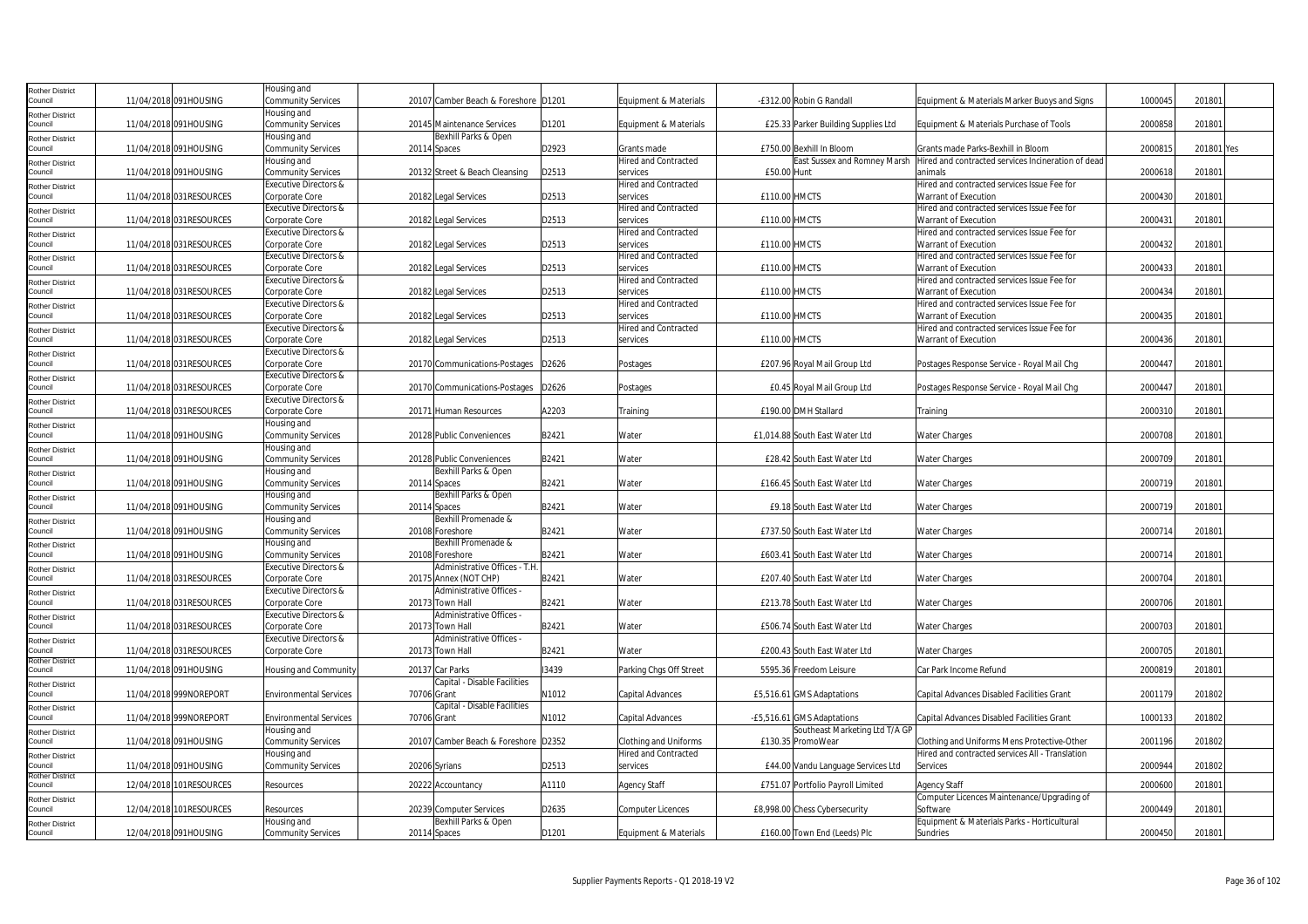| <b>Rother District</b>            |                          | Housing and                                  |              |                                             |       |                                  |               |                                                              |                                                                     |         |            |  |
|-----------------------------------|--------------------------|----------------------------------------------|--------------|---------------------------------------------|-------|----------------------------------|---------------|--------------------------------------------------------------|---------------------------------------------------------------------|---------|------------|--|
| Council                           | 11/04/2018 091HOUSING    | <b>Community Services</b><br>Housing and     |              | 20107 Camber Beach & Foreshore D1201        |       | Equipment & Materials            |               | -£312.00 Robin G Randall                                     | Equipment & Materials Marker Buoys and Signs                        | 1000045 | 201801     |  |
| <b>Rother District</b><br>Council | 11/04/2018 091HOUSING    | Community Services                           |              | 20145 Maintenance Services                  | D1201 | Equipment & Materials            |               | £25.33 Parker Building Supplies Ltd                          | Equipment & Materials Purchase of Tools                             | 200085  | 20180      |  |
| <b>Rother District</b>            |                          | Housing and                                  |              | Bexhill Parks & Open                        |       |                                  |               |                                                              |                                                                     |         |            |  |
| Council                           | 11/04/2018 091HOUSING    | Community Services                           | 20114 Spaces |                                             | D2923 | Grants made                      |               | £750.00 Bexhill In Bloom                                     | Grants made Parks-Bexhill in Bloom                                  | 200081  | 201801 Yes |  |
| <b>Rother District</b>            |                          | Housing and                                  |              |                                             |       | <b>Hired and Contracted</b>      |               | East Sussex and Romney Marsh                                 | Hired and contracted services Incineration of dead                  |         |            |  |
| Council                           | 11/04/2018 091HOUSING    | Community Services                           |              | 20132 Street & Beach Cleansing              | D2513 | services                         | £50.00 Hunt   |                                                              | animals                                                             | 200061  | 201801     |  |
| <b>Rother District</b><br>Council | 11/04/2018 031RESOURCES  | Executive Directors &<br>Corporate Core      |              | 20182 Legal Services                        | D2513 | Hired and Contracted<br>services | £110.00 HMCTS |                                                              | Hired and contracted services Issue Fee for<br>Warrant of Execution | 200043  | 20180      |  |
| <b>Rother District</b>            |                          | Executive Directors &                        |              |                                             |       | Hired and Contracted             |               |                                                              | Hired and contracted services Issue Fee for                         |         |            |  |
| Council                           | 11/04/2018 031RESOURCES  | Corporate Core                               |              | 20182 Legal Services                        | D2513 | services                         | £110.00 HMCTS |                                                              | Warrant of Execution                                                | 200043  | 201801     |  |
| <b>Rother District</b>            |                          | Executive Directors &                        |              |                                             |       | Hired and Contracted             |               |                                                              | Hired and contracted services Issue Fee for                         |         |            |  |
| Council                           | 11/04/2018 031RESOURCES  | Corporate Core                               |              | 20182 Legal Services                        | D2513 | services                         | £110.00 HMCTS |                                                              | Warrant of Execution                                                | 2000432 | 201801     |  |
| <b>Rother District</b><br>Council | 11/04/2018 031 RESOURCES | Executive Directors &<br>Corporate Core      |              | 20182 Legal Services                        | D2513 | Hired and Contracted<br>services | £110.00 HMCTS |                                                              | Hired and contracted services Issue Fee for<br>Warrant of Execution | 200043  | 20180      |  |
| <b>Rother District</b>            |                          | Executive Directors &                        |              |                                             |       | Hired and Contracted             |               |                                                              | Hired and contracted services Issue Fee for                         |         |            |  |
| Council                           | 11/04/2018 031RESOURCES  | Corporate Core                               |              | 20182 Legal Services                        | D2513 | services                         | £110.00 HMCTS |                                                              | Warrant of Execution                                                | 2000434 | 20180      |  |
| <b>Rother District</b>            |                          | Executive Directors &                        |              |                                             |       | Hired and Contracted             |               |                                                              | Hired and contracted services Issue Fee for                         |         |            |  |
| Council                           | 11/04/2018 031RESOURCES  | Corporate Core                               |              | 20182 Legal Services                        | D2513 | services                         | £110.00 HMCTS |                                                              | Warrant of Execution                                                | 2000435 | 201801     |  |
| <b>Rother District</b>            |                          | Executive Directors &                        |              |                                             |       | <b>Hired and Contracted</b>      |               |                                                              | Hired and contracted services Issue Fee for                         |         |            |  |
| Council<br><b>Rother District</b> | 11/04/2018 031RESOURCES  | Corporate Core<br>Executive Directors &      |              | 20182 Legal Services                        | D2513 | services                         | £110.00 HMCTS |                                                              | Warrant of Execution                                                | 200043  | 20180      |  |
| Council                           | 11/04/2018 031RESOURCES  | Corporate Core                               |              | 20170 Communications-Postages               | D2626 | Postages                         |               | £207.96 Royal Mail Group Ltd                                 | Postages Response Service - Royal Mail Chg                          | 2000447 | 20180      |  |
| Rother District                   |                          | Executive Directors &                        |              |                                             |       |                                  |               |                                                              |                                                                     |         |            |  |
| Council                           | 11/04/2018 031RESOURCES  | Corporate Core                               |              | 20170 Communications-Postages               | D2626 | Postages                         |               | £0.45 Royal Mail Group Ltd                                   | Postages Response Service - Royal Mail Chg                          | 2000447 | 201801     |  |
| <b>Rother District</b><br>Council | 11/04/2018 031RESOURCES  | Executive Directors &<br>Corporate Core      |              | 20171 Human Resources                       | A2203 | Training                         |               | £190.00 DMH Stallard                                         |                                                                     | 200031  | 201801     |  |
| <b>Rother District</b>            |                          | Housing and                                  |              |                                             |       |                                  |               |                                                              | Training                                                            |         |            |  |
| Council                           | 11/04/2018 091HOUSING    | Community Services                           |              | 20128 Public Conveniences                   | B2421 | Water                            |               | £1,014.88 South East Water Ltd                               | <b>Water Charges</b>                                                | 2000708 | 201801     |  |
| <b>Rother District</b>            |                          | Housing and                                  |              |                                             |       |                                  |               |                                                              |                                                                     |         |            |  |
| Council                           | 11/04/2018 091HOUSING    | Community Services                           |              | 20128 Public Conveniences                   | B2421 | Water                            |               | £28.42 South East Water Ltd                                  | <b>Water Charges</b>                                                | 2000709 | 20180      |  |
| <b>Rother District</b><br>Council | 11/04/2018 091HOUSING    | Housing and<br>Community Services            | 20114 Spaces | Bexhill Parks & Open                        | B2421 | Water                            |               | £166.45 South East Water Ltd                                 | <b>Water Charges</b>                                                | 200071  | 201801     |  |
| <b>Rother District</b>            |                          | Housing and                                  |              | Bexhill Parks & Open                        |       |                                  |               |                                                              |                                                                     |         |            |  |
| Council                           | 11/04/2018 091HOUSING    | <b>Community Services</b>                    | 20114 Spaces |                                             | B2421 | Water                            |               | £9.18 South East Water Ltd                                   | <b>Water Charges</b>                                                | 200071  | 201801     |  |
| <b>Rother District</b>            |                          | Housing and                                  |              | Bexhill Promenade &                         |       |                                  |               |                                                              |                                                                     |         |            |  |
| Council                           | 11/04/2018 091HOUSING    | Community Services                           |              | 20108 Foreshore                             | B2421 | Water                            |               | £737.50 South East Water Ltd                                 | <b>Water Charges</b>                                                | 200071  | 20180      |  |
| <b>Rother District</b><br>Council | 11/04/2018 091HOUSING    | Housing and<br>Community Services            |              | Bexhill Promenade &<br>20108 Foreshore      | B2421 | Water                            |               | £603.41 South East Water Ltd                                 | <b>Water Charges</b>                                                | 200071  | 201801     |  |
| <b>Rother District</b>            |                          | Executive Directors &                        |              | Administrative Offices - T.H                |       |                                  |               |                                                              |                                                                     |         |            |  |
| Council                           | 11/04/2018 031 RESOURCES | Corporate Core                               |              | 20175 Annex (NOT CHP)                       | B2421 | Water                            |               | £207.40 South East Water Ltd                                 | <b>Water Charges</b>                                                | 2000704 | 201801     |  |
| <b>Rother District</b>            |                          | Executive Directors &                        |              | Administrative Offices -                    |       |                                  |               |                                                              |                                                                     |         |            |  |
| Council                           | 11/04/2018 031 RESOURCES | Corporate Core                               |              | 20173 Town Hall<br>Administrative Offices - | B2421 | Water                            |               | £213.78 South East Water Ltd                                 | <b>Water Charges</b>                                                | 200070  | 20180      |  |
| <b>Rother District</b><br>Council | 11/04/2018 031RESOURCES  | Executive Directors &<br>Corporate Core      |              | 20173 Town Hall                             | B2421 | Water                            |               | £506.74 South East Water Ltd                                 | <b>Water Charges</b>                                                | 2000703 | 201801     |  |
| Rother District                   |                          | Executive Directors &                        |              | Administrative Offices -                    |       |                                  |               |                                                              |                                                                     |         |            |  |
| Council                           | 11/04/2018 031 RESOURCES | Corporate Core                               |              | 20173 Town Hall                             | B2421 | Water                            |               | £200.43 South East Water Ltd                                 | <b>Water Charges</b>                                                | 2000705 | 201801     |  |
| <b>Rother District</b><br>Council | 11/04/2018 091HOUSING    | Housing and Community                        |              | 20137 Car Parks                             | 13439 | Parking Chgs Off Street          |               | 5595.36 Freedom Leisure                                      | Car Park Income Refund                                              | 200081  | 201801     |  |
| <b>Rother District</b>            |                          |                                              |              | Capital - Disable Facilities                |       |                                  |               |                                                              |                                                                     |         |            |  |
| Council                           | 11/04/2018 999NOREPORT   | <b>Environmental Services</b>                | 70706 Grant  |                                             | N1012 | Capital Advances                 |               | £5,516.61 GMS Adaptations                                    | Capital Advances Disabled Facilities Grant                          | 200117  | 201802     |  |
| <b>Rother District</b>            |                          |                                              |              | Capital - Disable Facilities                |       |                                  |               |                                                              |                                                                     |         |            |  |
| Council                           | 11/04/2018 999NOREPORT   | <b>Environmental Services</b><br>Housing and | 70706 Grant  |                                             | N1012 | Capital Advances                 |               | -£5,516.61 GMS Adaptations<br>Southeast Marketing Ltd T/A GP | Capital Advances Disabled Facilities Grant                          | 100013  | 201802     |  |
| <b>Rother District</b><br>Council | 11/04/2018 091HOUSING    | Community Services                           |              | 20107 Camber Beach & Foreshore D2352        |       | Clothing and Uniforms            |               | £130.35 PromoWear                                            | Clothing and Uniforms Mens Protective-Other                         | 2001196 | 201802     |  |
| <b>Rother District</b>            |                          | Housing and                                  |              |                                             |       | <b>Hired and Contracted</b>      |               |                                                              | Hired and contracted services All - Translation                     |         |            |  |
| Council                           | 11/04/2018 091HOUSING    | Community Services                           |              | 20206 Syrians                               | D2513 | services                         |               | £44.00 Vandu Language Services Ltd                           | Services                                                            | 200094  | 201802     |  |
| <b>Rother District</b><br>Council | 12/04/2018 101RESOURCES  | Resources                                    |              | 20222 Accountancy                           | A1110 | <b>Agency Staff</b>              |               | £751.07 Portfolio Payroll Limited                            | Agency Staff                                                        | 200060  | 20180      |  |
| <b>Rother District</b>            |                          |                                              |              |                                             |       |                                  |               |                                                              | Computer Licences Maintenance/Upgrading of                          |         |            |  |
| Council                           | 12/04/2018 101RESOURCES  | Resources                                    |              | 20239 Computer Services                     | D2635 | <b>Computer Licences</b>         |               | £8,998.00 Chess Cybersecurity                                | Software                                                            | 2000449 | 201801     |  |
| <b>Rother District</b>            |                          | Housing and                                  |              | Bexhill Parks & Open                        |       |                                  |               |                                                              | Equipment & Materials Parks - Horticultural                         |         |            |  |
| Council                           | 12/04/2018 091HOUSING    | Community Services                           |              | 20114 Spaces                                | D1201 | Equipment & Materials            |               | £160.00 Town End (Leeds) Plc                                 | Sundries                                                            | 2000450 | 201801     |  |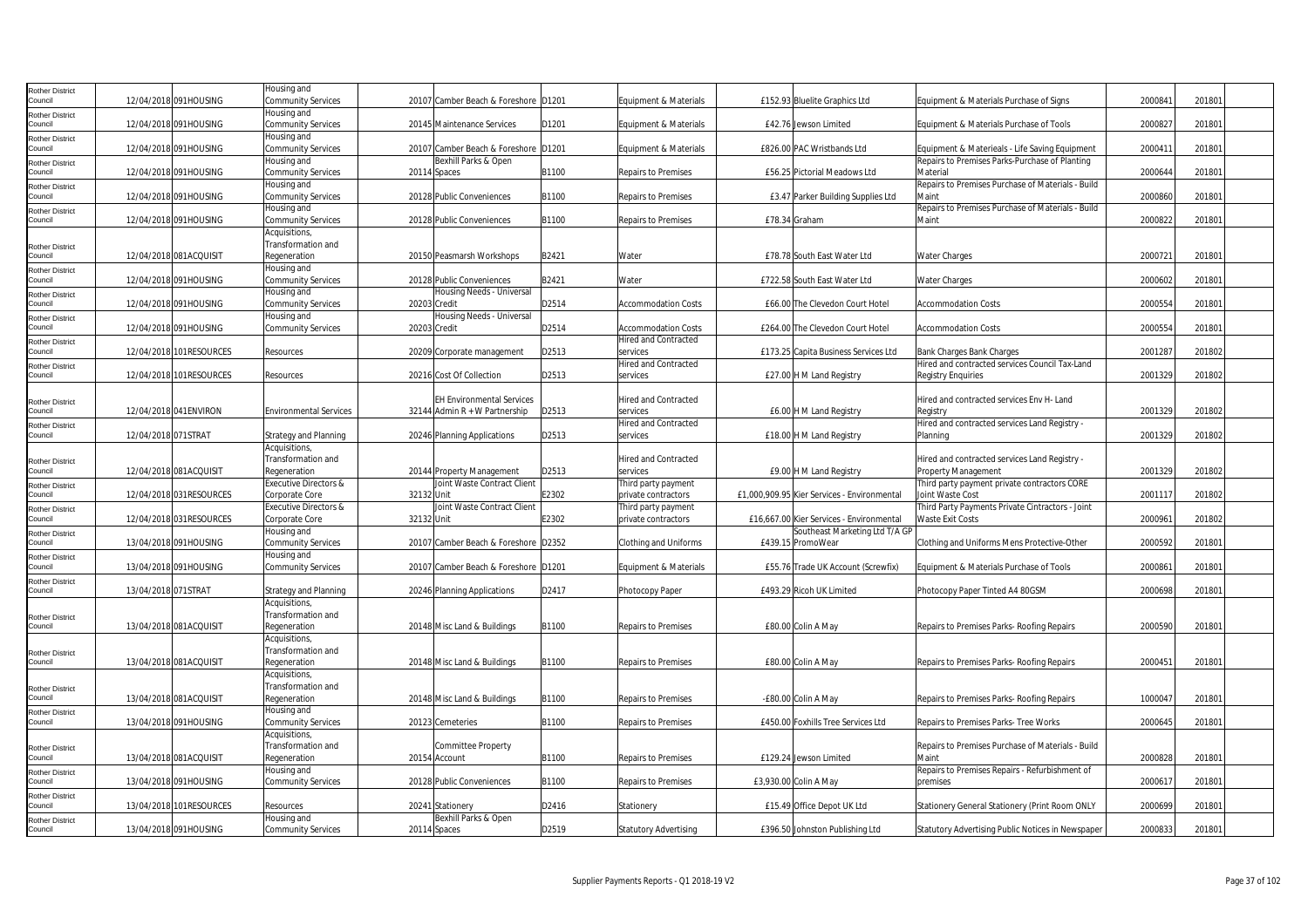| Rother District        |                     |                          | Housing and                      |                                      |       |                              |                                             |                                                   |         |        |  |
|------------------------|---------------------|--------------------------|----------------------------------|--------------------------------------|-------|------------------------------|---------------------------------------------|---------------------------------------------------|---------|--------|--|
| Council                |                     | 12/04/2018 091HOUSING    | <b>Community Services</b>        | 20107 Camber Beach & Foreshore D1201 |       | Equipment & Materials        | £152.93 Bluelite Graphics Ltd               | Equipment & Materials Purchase of Signs           | 2000841 | 201801 |  |
| Rother District        |                     |                          | Housing and                      |                                      |       |                              |                                             |                                                   |         |        |  |
| Council                |                     | 12/04/2018 091HOUSING    | <b>Community Services</b>        | 20145 Maintenance Services           | D1201 | Equipment & Materials        | £42.76 Jewson Limited                       | Equipment & Materials Purchase of Tools           | 200082  | 201801 |  |
| <b>Rother District</b> |                     |                          | Housing and                      |                                      |       |                              |                                             |                                                   |         |        |  |
| Council                |                     | 12/04/2018 091HOUSING    | <b>Community Services</b>        | 20107 Camber Beach & Foreshore D1201 |       | Equipment & Materials        | £826.00 PAC Wristbands Ltd                  | Equipment & Materieals - Life Saving Equipment    | 2000411 | 201801 |  |
| Rother District        |                     |                          | Housing and                      | Bexhill Parks & Open                 |       |                              |                                             | Repairs to Premises Parks-Purchase of Planting    |         |        |  |
| Council                |                     | 12/04/2018 091HOUSING    | Community Services               | 20114 Spaces                         | B1100 | Repairs to Premises          | £56.25 Pictorial Meadows Ltd                | Material                                          | 2000644 | 201801 |  |
| Rother District        |                     |                          | Housing and                      |                                      |       |                              |                                             | Repairs to Premises Purchase of Materials - Build |         |        |  |
| Council                |                     | 12/04/2018 091HOUSING    | Community Services               | 20128 Public Conveniences            | B1100 | Repairs to Premises          | £3.47 Parker Building Supplies Ltd          | Maint                                             | 2000860 | 201801 |  |
| Rother District        |                     |                          | Housing and                      |                                      |       |                              |                                             | Repairs to Premises Purchase of Materials - Build |         |        |  |
| Council                |                     | 12/04/2018 091HOUSING    | <b>Community Services</b>        | 20128 Public Conveniences            | B1100 | Repairs to Premises          | £78.34 Graham                               | Maint                                             | 2000822 | 201801 |  |
|                        |                     |                          | Acquisitions,                    |                                      |       |                              |                                             |                                                   |         |        |  |
| Rother District        |                     |                          | Transformation and               |                                      |       |                              |                                             |                                                   |         |        |  |
| Council                |                     | 12/04/2018 081ACQUISIT   | Regeneration                     | 20150 Peasmarsh Workshops            | B2421 | Water                        | £78.78 South East Water Ltd                 | <b>Water Charges</b>                              | 200072  | 201801 |  |
| Rother District        |                     |                          | Housing and                      |                                      |       |                              |                                             |                                                   |         |        |  |
| Council                |                     | 12/04/2018 091HOUSING    | <b>Community Services</b>        | 20128 Public Conveniences            | B2421 | Water                        | £722.58 South East Water Ltd                | <b>Water Charges</b>                              | 2000602 | 201801 |  |
| Rother District        |                     |                          | Housing and                      | Housing Needs - Universal            |       |                              |                                             |                                                   |         |        |  |
| Council                |                     | 12/04/2018 091HOUSING    | Community Services               | 20203 Credit                         | D2514 | <b>Accommodation Costs</b>   | £66.00 The Clevedon Court Hotel             | <b>Accommodation Costs</b>                        | 2000554 | 201801 |  |
| Rother District        |                     |                          | Housing and                      | Housing Needs - Universal            |       |                              |                                             |                                                   |         |        |  |
| Council                |                     | 12/04/2018 091HOUSING    | <b>Community Services</b>        | 20203 Credit                         | D2514 | <b>Accommodation Costs</b>   | £264.00 The Clevedon Court Hotel            | <b>Accommodation Costs</b>                        | 2000554 | 201801 |  |
| Rother District        |                     |                          |                                  |                                      |       | <b>Hired and Contracted</b>  |                                             |                                                   |         |        |  |
| Council                |                     | 12/04/2018 101RESOURCES  | Resources                        | 20209 Corporate management           | D2513 | services                     | £173.25 Capita Business Services Ltd        | Bank Charges Bank Charges                         | 200128  | 201802 |  |
| Rother District        |                     |                          |                                  |                                      |       | <b>Hired and Contracted</b>  |                                             | Hired and contracted services Council Tax-Land    |         |        |  |
| Council                |                     | 12/04/2018 101RESOURCES  | Resources                        | 20216 Cost Of Collection             | D2513 | services                     | £27.00 H M Land Registry                    | Registry Enguiries                                | 2001329 | 201802 |  |
|                        |                     |                          |                                  |                                      |       |                              |                                             |                                                   |         |        |  |
| Rother District        |                     |                          |                                  | <b>EH Environmental Services</b>     |       | <b>Hired and Contracted</b>  |                                             | Hired and contracted services Env H- Land         |         |        |  |
| Council                |                     | 12/04/2018 041 ENVIRON   | <b>Environmental Services</b>    | 32144 Admin R + W Partnership        | D2513 | services                     | £6.00 H M Land Registry                     | Registry                                          | 2001329 | 201802 |  |
| <b>Rother District</b> |                     |                          |                                  |                                      |       | Hired and Contracted         |                                             | Hired and contracted services Land Registry -     |         |        |  |
| Council                | 12/04/2018 071STRAT |                          | <b>Strategy and Planning</b>     | 20246 Planning Applications          | D2513 | services                     | £18.00 H M Land Registry                    | Planning                                          | 2001329 | 201802 |  |
|                        |                     |                          | Acquisitions                     |                                      |       |                              |                                             |                                                   |         |        |  |
| Rother District        |                     |                          | Transformation and               |                                      |       | <b>Hired and Contracted</b>  |                                             | Hired and contracted services Land Registry -     |         |        |  |
| Council                |                     | 12/04/2018 081ACQUISIT   | Regeneration                     | 20144 Property Management            | D2513 | services                     | £9.00 H M Land Registry                     | Property Management                               | 2001329 | 201802 |  |
| <b>Rother District</b> |                     |                          | <b>Executive Directors &amp;</b> | Joint Waste Contract Client          |       | Third party payment          |                                             | Third party payment private contractors CORE      |         |        |  |
| Council                |                     | 12/04/2018 031 RESOURCES | Corporate Core                   | 32132 Unit                           | E2302 | private contractors          | £1,000,909.95 Kier Services - Environmental | Joint Waste Cost                                  | 2001117 | 201802 |  |
| Rother District        |                     |                          | <b>Executive Directors &amp;</b> | Joint Waste Contract Client          |       | Third party payment          |                                             | Third Party Payments Private Cintractors - Joint  |         |        |  |
| Council                |                     | 12/04/2018 031RESOURCES  | Corporate Core                   | 32132 Unit                           | E2302 | private contractors          | £16,667.00 Kier Services - Environmental    | Waste Exit Costs                                  | 200096  | 201802 |  |
| Rother District        |                     |                          | Housing and                      |                                      |       |                              | Southeast Marketing Ltd T/A GP              |                                                   |         |        |  |
| Council                |                     | 13/04/2018 091HOUSING    | Community Services               | 20107 Camber Beach & Foreshore D2352 |       | Clothing and Uniforms        | £439.15 PromoWear                           | Clothing and Uniforms Mens Protective-Other       | 2000592 | 201801 |  |
| Rother District        |                     |                          | Housing and                      |                                      |       |                              |                                             |                                                   |         |        |  |
| Council                |                     | 13/04/2018 091HOUSING    | <b>Community Services</b>        | 20107 Camber Beach & Foreshore D1201 |       | Equipment & Materials        | £55.76 Trade UK Account (Screwfix)          | Equipment & Materials Purchase of Tools           | 200086  | 201801 |  |
| Rother District        |                     |                          |                                  |                                      |       |                              |                                             |                                                   |         |        |  |
| Council                | 13/04/2018 071STRAT |                          | Strategy and Planning            | 20246 Planning Applications          | D2417 | Photocopy Paper              | £493.29 Ricoh UK Limited                    | Photocopy Paper Tinted A4 80GSM                   | 2000698 | 201801 |  |
|                        |                     |                          | Acquisitions,                    |                                      |       |                              |                                             |                                                   |         |        |  |
| Rother District        |                     |                          | Transformation and               |                                      |       |                              |                                             |                                                   |         |        |  |
| Council                |                     | 13/04/2018 081ACQUISIT   | Regeneration                     | 20148 Misc Land & Buildings          | B1100 | Repairs to Premises          | £80.00 Colin A May                          | Repairs to Premises Parks- Roofing Repairs        | 2000590 | 201801 |  |
|                        |                     |                          | <b>Acquisitions</b>              |                                      |       |                              |                                             |                                                   |         |        |  |
| <b>Rother District</b> |                     |                          | Transformation and               |                                      |       |                              |                                             |                                                   |         |        |  |
| Council                |                     | 13/04/2018 081ACQUISIT   | Regeneration                     | 20148 Misc Land & Buildings          | B1100 | Repairs to Premises          | £80.00 Colin A May                          | Repairs to Premises Parks- Roofing Repairs        | 2000451 | 201801 |  |
|                        |                     |                          | Acquisitions                     |                                      |       |                              |                                             |                                                   |         |        |  |
| Rother District        |                     |                          | Transformation and               |                                      |       |                              |                                             |                                                   |         |        |  |
| Council                |                     | 13/04/2018 081ACQUISIT   | Regeneration                     | 20148 Misc Land & Buildings          | B1100 | Repairs to Premises          | -£80.00 Colin A May                         | Repairs to Premises Parks- Roofing Repairs        | 1000047 | 201801 |  |
| Rother District        |                     |                          | Housing and                      |                                      |       |                              |                                             |                                                   |         |        |  |
| Council                |                     | 13/04/2018 091HOUSING    | <b>Community Services</b>        | 20123 Cemeteries                     | B1100 | Repairs to Premises          | £450.00 Foxhills Tree Services Ltd          | Repairs to Premises Parks- Tree Works             | 200064  | 201801 |  |
|                        |                     |                          | <b>Acquisitions</b>              |                                      |       |                              |                                             |                                                   |         |        |  |
| Rother District        |                     |                          | Transformation and               | Committee Property                   |       |                              |                                             | Repairs to Premises Purchase of Materials - Build |         |        |  |
| Council                |                     | 13/04/2018 081ACQUISIT   | Regeneration                     | 20154 Account                        | B1100 | Repairs to Premises          | £129.24 Jewson Limited                      | Maint                                             | 2000828 | 201801 |  |
| Rother District        |                     |                          | Housing and                      |                                      |       |                              |                                             | Repairs to Premises Repairs - Refurbishment of    |         |        |  |
| Council                |                     | 13/04/2018 091HOUSING    | Community Services               | 20128 Public Conveniences            | B1100 | Repairs to Premises          | £3,930.00 Colin A May                       | premises                                          | 200061  | 201801 |  |
| <b>Rother District</b> |                     |                          |                                  |                                      |       |                              |                                             |                                                   |         |        |  |
| Council                |                     | 13/04/2018 101RESOURCES  | Resources                        | 20241 Stationery                     | D2416 | Stationery                   | £15.49 Office Depot UK Ltd                  | Stationery General Stationery (Print Room ONLY    | 2000699 | 201801 |  |
| Rother District        |                     |                          | Housing and                      | Bexhill Parks & Open                 |       |                              |                                             |                                                   |         |        |  |
| Council                |                     | 13/04/2018 091HOUSING    | <b>Community Services</b>        | 20114 Spaces                         | D2519 | <b>Statutory Advertising</b> | £396.50 Johnston Publishing Ltd             | Statutory Advertising Public Notices in Newspaper | 2000833 | 201801 |  |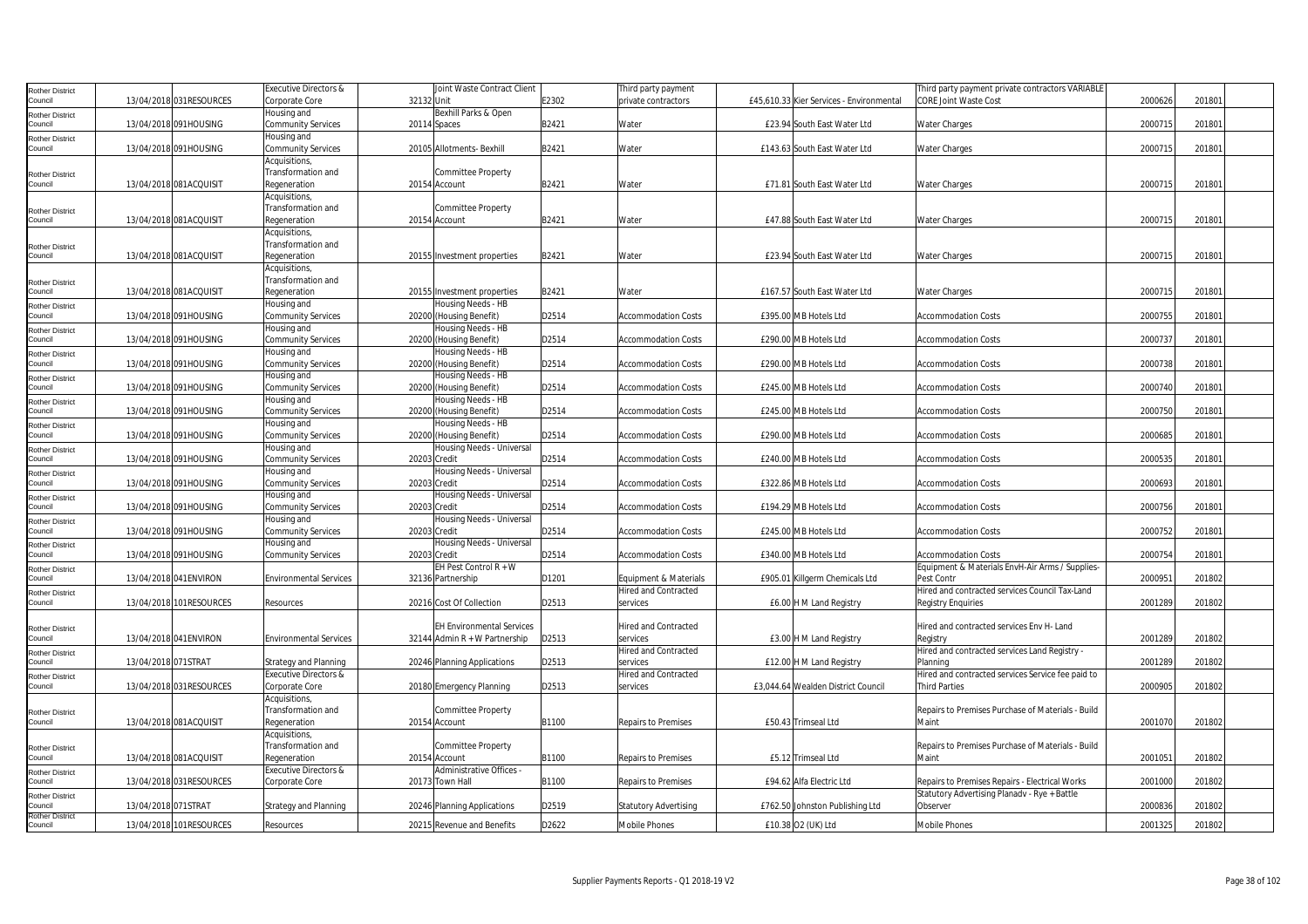| <b>Rother District</b>            |                        |                          | Executive Directors &            | Joint Waste Contract Client      |       | Third party payment          |                                          | Third party payment private contractors VARIABLE  |         |        |  |
|-----------------------------------|------------------------|--------------------------|----------------------------------|----------------------------------|-------|------------------------------|------------------------------------------|---------------------------------------------------|---------|--------|--|
| Council                           |                        | 13/04/2018 031RESOURCES  | Corporate Core                   | 32132 Unit                       | E2302 | private contractors          | £45,610.33 Kier Services - Environmental | <b>CORE Joint Waste Cost</b>                      | 2000626 | 201801 |  |
| Rother District                   |                        |                          | Housing and                      | Bexhill Parks & Open             |       |                              |                                          |                                                   |         |        |  |
| Council                           |                        | 13/04/2018 091HOUSING    | <b>Community Services</b>        | 20114 Spaces                     | B2421 | Water                        | £23.94 South East Water Ltd              | Water Charges                                     | 200071  | 201801 |  |
| Rother District                   |                        |                          | Housing and                      |                                  |       |                              |                                          |                                                   |         |        |  |
| Council                           |                        | 13/04/2018 091HOUSING    | <b>Community Services</b>        | 20105 Allotments- Bexhill        | B2421 | Water                        | £143.63 South East Water Ltd             | Water Charges                                     | 2000715 | 201801 |  |
|                                   |                        |                          | Acquisitions,                    |                                  |       |                              |                                          |                                                   |         |        |  |
| <b>Rother District</b>            |                        |                          | Transformation and               | Committee Property               |       |                              |                                          |                                                   |         |        |  |
| Council                           | 13/04/2018 081ACQUISIT |                          | Regeneration                     | 20154 Account                    | B2421 | Water                        | £71.81 South East Water Ltd              | Water Charges                                     | 2000715 | 201801 |  |
|                                   |                        |                          | Acquisitions,                    |                                  |       |                              |                                          |                                                   |         |        |  |
|                                   |                        |                          | Transformation and               | Committee Property               |       |                              |                                          |                                                   |         |        |  |
| <b>Rother District</b><br>Council | 13/04/2018 081ACQUISIT |                          | Regeneration                     | 20154 Account                    | B2421 | Water                        | £47.88 South East Water Ltd              | Water Charges                                     | 2000715 | 201801 |  |
|                                   |                        |                          |                                  |                                  |       |                              |                                          |                                                   |         |        |  |
|                                   |                        |                          | Acquisitions,                    |                                  |       |                              |                                          |                                                   |         |        |  |
| Rother District                   |                        |                          | Transformation and               |                                  |       |                              |                                          |                                                   |         |        |  |
| Council                           | 13/04/2018 081ACQUISIT |                          | Regeneration                     | 20155 Investment properties      | B2421 | Water                        | £23.94 South East Water Ltd              | Water Charges                                     | 2000715 | 201801 |  |
|                                   |                        |                          | Acquisitions,                    |                                  |       |                              |                                          |                                                   |         |        |  |
| Rother District                   |                        |                          | Transformation and               |                                  |       |                              |                                          |                                                   |         |        |  |
| Council                           | 13/04/2018 081ACQUISIT |                          | Regeneration                     | 20155 Investment properties      | B2421 | Water                        | £167.57 South East Water Ltd             | Water Charges                                     | 2000715 | 201801 |  |
| Rother District                   |                        |                          | Housing and                      | Housing Needs - HB               |       |                              |                                          |                                                   |         |        |  |
| Council                           |                        | 13/04/2018 091HOUSING    | <b>Community Services</b>        | 20200 (Housing Benefit)          | D2514 | <b>Accommodation Costs</b>   | £395.00 MB Hotels Ltd                    | <b>Accommodation Costs</b>                        | 2000755 | 201801 |  |
| Rother District                   |                        |                          | Housing and                      | Housing Needs - HB               |       |                              |                                          |                                                   |         |        |  |
| Council                           |                        | 13/04/2018 091HOUSING    | <b>Community Services</b>        | 20200 (Housing Benefit)          | D2514 | <b>Accommodation Costs</b>   | £290.00 MB Hotels Ltd                    | Accommodation Costs                               | 2000737 | 201801 |  |
| <b>Rother District</b>            |                        |                          | Housing and                      | Housing Needs - HB               |       |                              |                                          |                                                   |         |        |  |
| Council                           |                        | 13/04/2018 091HOUSING    | <b>Community Services</b>        | 20200 (Housing Benefit)          | D2514 | <b>Accommodation Costs</b>   | £290.00 MB Hotels Ltd                    | <b>Accommodation Costs</b>                        | 2000738 | 201801 |  |
| <b>Rother District</b>            |                        |                          | Housing and                      | Housing Needs - HB               |       |                              |                                          |                                                   |         |        |  |
| council                           |                        | 13/04/2018 091HOUSING    | <b>Community Services</b>        | 20200 (Housing Benefit)          | D2514 | <b>Accommodation Costs</b>   | £245.00 MB Hotels Ltd                    | <b>Accommodation Costs</b>                        | 2000740 | 201801 |  |
| <b>Rother District</b>            |                        |                          | Housing and                      | Housing Needs - HB               |       |                              |                                          |                                                   |         |        |  |
| Council                           |                        | 13/04/2018 091HOUSING    | <b>Community Services</b>        | 20200 (Housing Benefit)          | D2514 | <b>Accommodation Costs</b>   | £245.00 MB Hotels Ltd                    | <b>Accommodation Costs</b>                        | 2000750 | 201801 |  |
|                                   |                        |                          | Housing and                      | Housing Needs - HB               |       |                              |                                          |                                                   |         |        |  |
| Rother District<br>Council        |                        | 13/04/2018 091HOUSING    | <b>Community Services</b>        | 20200 (Housing Benefit)          | D2514 | <b>Accommodation Costs</b>   | £290.00 MB Hotels Ltd                    | <b>Accommodation Costs</b>                        | 2000685 | 201801 |  |
|                                   |                        |                          |                                  |                                  |       |                              |                                          |                                                   |         |        |  |
| Rother District<br>Council        |                        |                          | Housing and                      | Housing Needs - Universal        |       |                              |                                          |                                                   |         |        |  |
|                                   |                        | 13/04/2018 091HOUSING    | <b>Community Services</b>        | 20203 Credit                     | D2514 | <b>Accommodation Costs</b>   | £240.00 MB Hotels Ltd                    | <b>Accommodation Costs</b>                        | 2000535 | 201801 |  |
| <b>Rother District</b>            |                        |                          | Housing and                      | Housing Needs - Universal        |       |                              |                                          |                                                   |         |        |  |
| Council                           |                        | 13/04/2018 091HOUSING    | <b>Community Services</b>        | 20203 Credit                     | D2514 | <b>Accommodation Costs</b>   | £322.86 MB Hotels Ltd                    | <b>Accommodation Costs</b>                        | 2000693 | 201801 |  |
| Rother District                   |                        |                          | Housing and                      | Housing Needs - Universal        |       |                              |                                          |                                                   |         |        |  |
| Council                           |                        | 13/04/2018 091HOUSING    | <b>Community Services</b>        | 20203 Credit                     | D2514 | <b>Accommodation Costs</b>   | £194.29 MB Hotels Ltd                    | <b>Accommodation Costs</b>                        | 2000756 | 201801 |  |
| Rother District                   |                        |                          | Housing and                      | Housing Needs - Universal        |       |                              |                                          |                                                   |         |        |  |
| Council                           |                        | 13/04/2018 091HOUSING    | <b>Community Services</b>        | 20203 Credit                     | D2514 | <b>Accommodation Costs</b>   | £245.00 MB Hotels Ltd                    | <b>Accommodation Costs</b>                        | 2000752 | 201801 |  |
| Rother District                   |                        |                          | Housing and                      | Housing Needs - Universal        |       |                              |                                          |                                                   |         |        |  |
| Council                           |                        | 13/04/2018 091HOUSING    | <b>Community Services</b>        | 20203 Credit                     | D2514 | <b>Accommodation Costs</b>   | £340.00 MB Hotels Ltd                    | <b>Accommodation Costs</b>                        | 2000754 | 201801 |  |
| Rother District                   |                        |                          |                                  | EH Pest Control $R + W$          |       |                              |                                          | Equipment & Materials EnvH-Air Arms / Supplies-   |         |        |  |
| council                           | 13/04/2018 041 ENVIRON |                          | <b>Environmental Services</b>    | 32136 Partnership                | D1201 | Equipment & Materials        | £905.01 Killgerm Chemicals Ltd           | Pest Contr                                        | 200095  | 201802 |  |
| Rother District                   |                        |                          |                                  |                                  |       | <b>Hired and Contracted</b>  |                                          | Hired and contracted services Council Tax-Land    |         |        |  |
| Council                           |                        | 13/04/2018 101 RESOURCES | Resources                        | 20216 Cost Of Collection         | D2513 | services                     | £6.00 H M Land Registry                  | <b>Registry Enquiries</b>                         | 2001289 | 201802 |  |
|                                   |                        |                          |                                  |                                  |       |                              |                                          |                                                   |         |        |  |
| Rother District                   |                        |                          |                                  | <b>EH Environmental Services</b> |       | <b>Hired and Contracted</b>  |                                          | Hired and contracted services Env H- Land         |         |        |  |
| Council                           | 13/04/2018 041 ENVIRON |                          | <b>Environmental Services</b>    | 32144 Admin $R + W$ Partnership  | D2513 | services                     | £3.00 H M Land Registry                  | Registry                                          | 2001289 | 201802 |  |
| Rother District                   |                        |                          |                                  |                                  |       | <b>Hired and Contracted</b>  |                                          | Hired and contracted services Land Registry -     |         |        |  |
| Council                           | 13/04/2018 071STRAT    |                          | <b>Strategy and Planning</b>     | 20246 Planning Applications      | D2513 | services                     | £12.00 H M Land Registry                 | Planning                                          | 2001289 | 201802 |  |
|                                   |                        |                          | <b>Executive Directors &amp;</b> |                                  |       | <b>Hired and Contracted</b>  |                                          | Hired and contracted services Service fee paid to |         |        |  |
| <b>Rother District</b><br>Council |                        | 13/04/2018 031RESOURCES  |                                  |                                  | D2513 |                              | £3,044.64 Wealden District Council       |                                                   | 2000905 | 201802 |  |
|                                   |                        |                          | Corporate Core                   | 20180 Emergency Planning         |       | services                     |                                          | <b>Third Parties</b>                              |         |        |  |
|                                   |                        |                          | Acquisitions,                    |                                  |       |                              |                                          |                                                   |         |        |  |
| <b>Rother District</b>            |                        |                          | Transformation and               | Committee Property               |       |                              |                                          | Repairs to Premises Purchase of Materials - Build |         |        |  |
| Council                           | 13/04/2018 081ACQUISIT |                          | Regeneration                     | 20154 Account                    | B1100 | <b>Repairs to Premises</b>   | £50.43 Trimseal Ltd                      | Maint                                             | 2001070 | 201802 |  |
|                                   |                        |                          | Acquisitions,                    |                                  |       |                              |                                          |                                                   |         |        |  |
| <b>Rother District</b>            |                        |                          | Transformation and               | Committee Property               |       |                              |                                          | Repairs to Premises Purchase of Materials - Build |         |        |  |
| Council                           | 13/04/2018 081ACQUISIT |                          | Regeneration                     | 20154 Account                    | B1100 | Repairs to Premises          | £5.12 Trimseal Ltd                       | Maint                                             | 2001051 | 201802 |  |
| Rother District                   |                        |                          | <b>Executive Directors &amp;</b> | Administrative Offices -         |       |                              |                                          |                                                   |         |        |  |
| Council                           |                        | 13/04/2018 031RESOURCES  | Corporate Core                   | 20173 Town Hall                  | B1100 | Repairs to Premises          | £94.62 Alfa Electric Ltd                 | Repairs to Premises Repairs - Electrical Works    | 2001000 | 201802 |  |
| Rother District                   |                        |                          |                                  |                                  |       |                              |                                          | Statutory Advertising Planadv - Rye + Battle      |         |        |  |
| Council                           | 13/04/2018 071STRAT    |                          | <b>Strategy and Planning</b>     | 20246 Planning Applications      | D2519 | <b>Statutory Advertising</b> | £762.50 Johnston Publishing Ltd          | Observer                                          | 2000836 | 201802 |  |
| Rother District                   |                        |                          |                                  |                                  |       |                              |                                          |                                                   |         |        |  |
| Council                           |                        | 13/04/2018 101RESOURCES  | Resources                        | 20215 Revenue and Benefits       | D2622 | Mobile Phones                | £10.38 O2 (UK) Ltd                       | <b>Mobile Phones</b>                              | 2001325 | 201802 |  |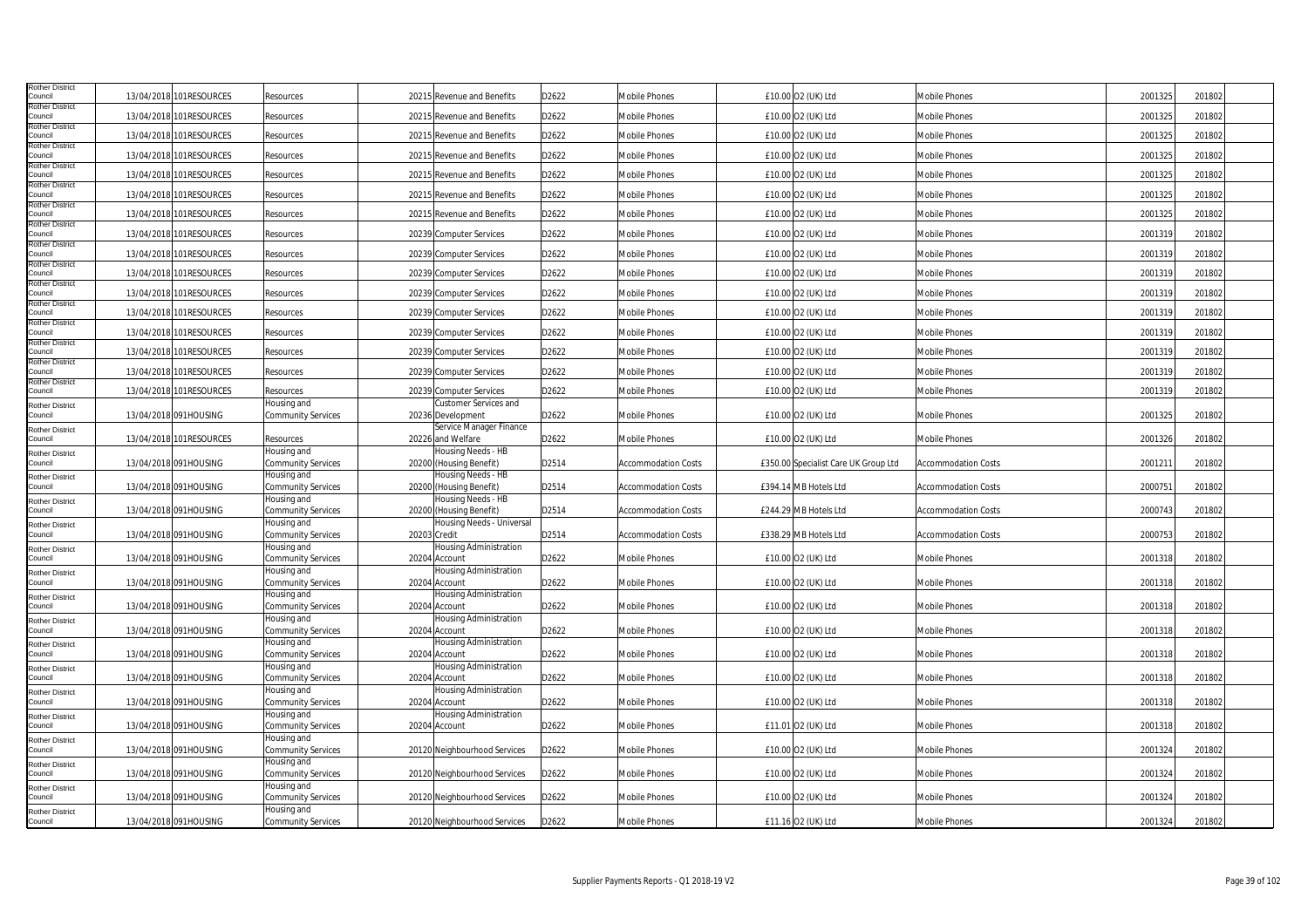| <b>Rother District</b>            |            |                          |                                   |                                                |       |                            |                                      |                            |         |        |  |
|-----------------------------------|------------|--------------------------|-----------------------------------|------------------------------------------------|-------|----------------------------|--------------------------------------|----------------------------|---------|--------|--|
| Council                           |            | 13/04/2018 101RESOURCES  | Resources                         | 20215 Revenue and Benefits                     | D2622 | Mobile Phones              | £10.00 O2 (UK) Ltd                   | Mobile Phones              | 2001325 | 201802 |  |
| <b>Rother District</b><br>Council |            | 13/04/2018 101 RESOURCES | Resources                         | 20215 Revenue and Benefits                     | D2622 | Mobile Phones              | £10.00 O2 (UK) Ltd                   | Mobile Phones              | 2001325 | 201802 |  |
| <b>Rother District</b>            |            |                          |                                   |                                                |       |                            |                                      |                            |         |        |  |
| Council                           |            | 13/04/2018 101 RESOURCES | Resources                         | 20215 Revenue and Benefits                     | D2622 | Mobile Phones              | £10.00 O2 (UK) Ltd                   | Mobile Phones              | 2001325 | 201802 |  |
| <b>Rother District</b><br>Council |            | 13/04/2018 101RESOURCES  | Resources                         | 20215 Revenue and Benefits                     | D2622 | Mobile Phones              | £10.00 O2 (UK) Ltd                   | Mobile Phones              | 2001325 | 201802 |  |
| <b>Rother District</b>            |            |                          |                                   |                                                |       |                            |                                      |                            |         |        |  |
| Council                           |            | 13/04/2018 101 RESOURCES | Resources                         | 20215 Revenue and Benefits                     | D2622 | Mobile Phones              | £10.00 O2 (UK) Ltd                   | Mobile Phones              | 2001325 | 201802 |  |
| <b>Rother District</b><br>Council |            | 13/04/2018 101RESOURCES  | Resources                         | 20215 Revenue and Benefits                     | D2622 | Mobile Phones              | £10.00 O2 (UK) Ltd                   | Mobile Phones              | 2001325 | 201802 |  |
| <b>Rother District</b>            |            |                          |                                   |                                                |       |                            |                                      |                            |         |        |  |
| Council                           |            | 13/04/2018 101RESOURCES  | Resources                         | 20215 Revenue and Benefits                     | D2622 | Mobile Phones              | £10.00 O2 (UK) Ltd                   | Mobile Phones              | 2001325 | 201802 |  |
| <b>Rother District</b><br>Council | 13/04/2018 | 101RESOURCES             | Resources                         | 20239 Computer Services                        | D2622 | Mobile Phones              | £10.00 O2 (UK) Ltd                   | <b>Mobile Phones</b>       | 2001319 | 201802 |  |
| <b>Rother District</b>            |            |                          |                                   |                                                |       |                            |                                      |                            |         |        |  |
| Council<br>Rother District        | 13/04/2018 | 101RESOURCES             | Resources                         | 20239 Computer Services                        | D2622 | Mobile Phones              | £10.00 O2 (UK) Ltd                   | Mobile Phones              | 2001319 | 201802 |  |
| Council                           | 13/04/2018 | 101RESOURCES             | Resources                         | 20239 Computer Services                        | D2622 | Mobile Phones              | £10.00 O2 (UK) Ltd                   | Mobile Phones              | 200131  | 201802 |  |
| <b>Rother District</b>            |            |                          |                                   |                                                |       |                            |                                      |                            |         |        |  |
| Council<br><b>Rother District</b> | 13/04/2018 | 101RESOURCES             | Resources                         | 20239 Computer Services                        | D2622 | <b>Mobile Phones</b>       | £10.00 O2 (UK) Ltd                   | <b>Mobile Phones</b>       | 2001319 | 201802 |  |
| Council                           |            | 13/04/2018 101RESOURCES  | Resources                         | 20239 Computer Services                        | D2622 | Mobile Phones              | £10.00 O2 (UK) Ltd                   | Mobile Phones              | 2001319 | 201802 |  |
| <b>Rother District</b><br>Council |            | 13/04/2018 101RESOURCES  |                                   |                                                |       | <b>Mobile Phones</b>       | £10.00 O2 (UK) Ltd                   | Mobile Phones              | 2001319 | 201802 |  |
| <b>Rother District</b>            |            |                          | Resources                         | 20239 Computer Services                        | D2622 |                            |                                      |                            |         |        |  |
| Council                           |            | 13/04/2018 101 RESOURCES | Resources                         | 20239 Computer Services                        | D2622 | Mobile Phones              | £10.00 O2 (UK) Ltd                   | Mobile Phones              | 2001319 | 201802 |  |
| <b>Rother District</b><br>Council |            | 13/04/2018 101 RESOURCES | Resources                         | 20239 Computer Services                        | D2622 | Mobile Phones              | £10.00 O2 (UK) Ltd                   | Mobile Phones              | 2001319 | 201802 |  |
| <b>Rother District</b>            |            |                          |                                   |                                                |       |                            |                                      |                            |         |        |  |
| Council                           |            | 13/04/2018 101RESOURCES  | Resources                         | 20239 Computer Services                        | D2622 | Mobile Phones              | £10.00 O2 (UK) Ltd                   | Mobile Phones              | 2001319 | 201802 |  |
| <b>Rother District</b>            |            |                          | Housing and                       | Customer Services and                          |       |                            |                                      |                            |         |        |  |
| Council                           |            | 13/04/2018 091HOUSING    | Community Services                | 20236 Development                              | D2622 | Mobile Phones              | £10.00 O2 (UK) Ltd                   | Mobile Phones              | 2001325 | 201802 |  |
| <b>Rother District</b><br>Council |            | 13/04/2018 101RESOURCES  | Resources                         | Service Manager Finance<br>20226 and Welfare   | D2622 | Mobile Phones              | £10.00 O2 (UK) Ltd                   | Mobile Phones              | 2001326 | 201802 |  |
|                                   |            |                          | Housing and                       | Housing Needs - HB                             |       |                            |                                      |                            |         |        |  |
| <b>Rother District</b><br>Council |            |                          |                                   |                                                |       |                            |                                      |                            |         |        |  |
|                                   |            | 13/04/2018 091HOUSING    |                                   | 20200 (Housing Benefit)                        |       | <b>Accommodation Costs</b> | £350.00 Specialist Care UK Group Ltd | <b>Accommodation Costs</b> | 200121  | 201802 |  |
|                                   |            |                          | Community Services<br>Housing and | Housing Needs - HB                             | D2514 |                            |                                      |                            |         |        |  |
| <b>Rother District</b><br>Council |            | 13/04/2018 091HOUSING    | Community Services                | 20200 (Housing Benefit)                        | D2514 | <b>Accommodation Costs</b> | £394.14 MB Hotels Ltd                | <b>Accommodation Costs</b> | 2000751 | 201802 |  |
| <b>Rother District</b>            |            |                          | Housing and                       | Housing Needs - HB                             |       |                            |                                      |                            |         |        |  |
| Council                           |            | 13/04/2018 091HOUSING    | Community Services                | 20200 (Housing Benefit)                        | D2514 | <b>Accommodation Costs</b> | £244.29 MB Hotels Ltd                | <b>Accommodation Costs</b> | 2000743 | 201802 |  |
| <b>Rother District</b>            |            |                          | Housing and                       | Housing Needs - Universal                      |       |                            |                                      |                            |         |        |  |
| Council                           |            | 13/04/2018 091HOUSING    | Community Services                | 20203 Credit                                   | D2514 | <b>Accommodation Costs</b> | £338.29 MB Hotels Ltd                | <b>Accommodation Costs</b> | 2000753 | 201802 |  |
| <b>Rother District</b><br>Council |            |                          | Housing and                       | <b>Housing Administration</b>                  |       | <b>Mobile Phones</b>       |                                      | <b>Mobile Phones</b>       |         |        |  |
|                                   |            | 13/04/2018 091HOUSING    | Community Services<br>Housing and | 20204 Account<br><b>Housing Administration</b> | D2622 |                            | £10.00 O2 (UK) Ltd                   |                            | 2001318 | 201802 |  |
| <b>Rother District</b><br>Council |            | 13/04/2018 091HOUSING    | <b>Community Services</b>         | 20204 Account                                  | D2622 | Mobile Phones              | £10.00 O2 (UK) Ltd                   | Mobile Phones              | 2001318 | 201802 |  |
| <b>Rother District</b>            |            |                          | Housing and                       | Housing Administration                         |       |                            |                                      |                            |         |        |  |
| Council                           |            | 13/04/2018 091HOUSING    | Community Services                | 20204 Account                                  | D2622 | Mobile Phones              | £10.00 O2 (UK) Ltd                   | Mobile Phones              | 2001318 | 201802 |  |
| <b>Rother District</b>            |            |                          | Housing and                       | <b>Housing Administration</b>                  |       |                            |                                      |                            |         |        |  |
| Council                           |            | 13/04/2018 091HOUSING    | Community Services                | 20204 Account                                  | D2622 | <b>Mobile Phones</b>       | £10.00 O2 (UK) Ltd                   | <b>Mobile Phones</b>       | 2001318 | 201802 |  |
| <b>Rother District</b>            |            |                          | Housing and                       | <b>Housing Administration</b>                  |       |                            |                                      |                            |         |        |  |
| Council                           |            | 13/04/2018 091HOUSING    | Community Services<br>Housing and | 20204 Account<br>Housing Administration        | D2622 | Mobile Phones              | £10.00 O2 (UK) Ltd                   | Mobile Phones              | 2001318 | 201802 |  |
| <b>Rother District</b><br>Council |            | 13/04/2018 091HOUSING    | Community Services                | 20204 Account                                  | D2622 | Mobile Phones              | £10.00 O2 (UK) Ltd                   | Mobile Phones              | 2001318 | 201802 |  |
| <b>Rother District</b>            |            |                          | Housing and                       | Housing Administration                         |       |                            |                                      |                            |         |        |  |
| Council                           |            | 13/04/2018 091HOUSING    | Community Services                | 20204 Account                                  | D2622 | Mobile Phones              | £10.00 O2 (UK) Ltd                   | Mobile Phones              | 2001318 | 201802 |  |
| <b>Rother District</b>            |            |                          | Housing and                       | Housing Administration                         |       |                            |                                      |                            |         |        |  |
| Council                           |            | 13/04/2018 091HOUSING    | Community Services                | 20204 Account                                  | D2622 | <b>Mobile Phones</b>       | £11.01 O2 (UK) Ltd                   | Mobile Phones              | 2001318 | 201802 |  |
| <b>Rother District</b>            |            |                          | Housing and                       |                                                |       |                            |                                      |                            |         |        |  |
| Council                           |            | 13/04/2018 091HOUSING    | Community Services                | 20120 Neighbourhood Services                   | D2622 | Mobile Phones              | £10.00 O2 (UK) Ltd                   | Mobile Phones              | 2001324 | 201802 |  |
| <b>Rother District</b><br>Council |            | 13/04/2018 091HOUSING    | Housing and<br>Community Services | 20120 Neighbourhood Services                   | D2622 | Mobile Phones              | £10.00 O2 (UK) Ltd                   | Mobile Phones              | 2001324 | 201802 |  |
| <b>Rother District</b>            |            |                          | Housing and                       |                                                |       |                            |                                      |                            |         |        |  |
| Council                           |            | 13/04/2018 091HOUSING    | Community Services                | 20120 Neighbourhood Services                   | D2622 | Mobile Phones              | £10.00 O2 (UK) Ltd                   | Mobile Phones              | 2001324 | 201802 |  |
| <b>Rother District</b><br>Council |            | 13/04/2018 091HOUSING    | Housing and<br>Community Services | 20120 Neighbourhood Services                   | D2622 | Mobile Phones              | £11.16 O2 (UK) Ltd                   | Mobile Phones              | 2001324 | 201802 |  |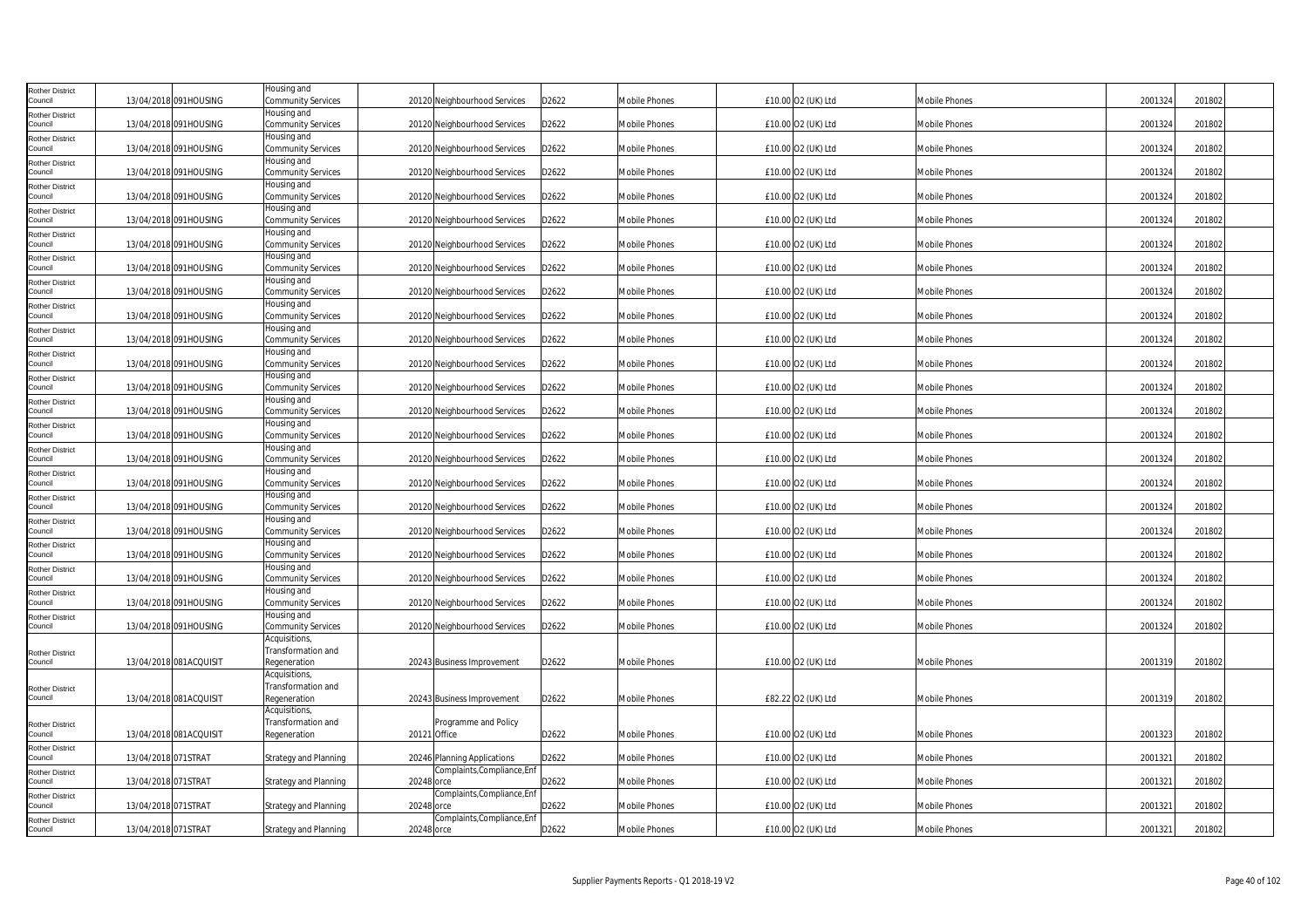| <b>Rother District</b>            |                        | Housing and                         |                                           |       |                      |                    |                      |         |        |
|-----------------------------------|------------------------|-------------------------------------|-------------------------------------------|-------|----------------------|--------------------|----------------------|---------|--------|
| Council                           | 13/04/2018 091HOUSING  | Community Services<br>Housing and   | 20120 Neighbourhood Services              | D2622 | Mobile Phones        | £10.00 O2 (UK) Ltd | <b>Mobile Phones</b> | 2001324 | 201802 |
| <b>Rother District</b><br>Council | 13/04/2018 091HOUSING  | Community Services                  | 20120 Neighbourhood Services              | D2622 | <b>Mobile Phones</b> | £10.00 O2 (UK) Ltd | Mobile Phones        | 2001324 | 201802 |
| <b>Rother District</b><br>Council | 13/04/2018 091HOUSING  | Housing and<br>Community Services   | 20120 Neighbourhood Services              | D2622 | Mobile Phones        | £10.00 O2 (UK) Ltd | Mobile Phones        | 2001324 | 201802 |
| <b>Rother District</b><br>Council | 13/04/2018 091HOUSING  | Housing and<br>Community Services   | 20120 Neighbourhood Services              | D2622 | Mobile Phones        | £10.00 O2 (UK) Ltd | Mobile Phones        | 2001324 | 201802 |
| <b>Rother District</b><br>Council | 13/04/2018 091HOUSING  | Housing and<br>Community Services   | 20120 Neighbourhood Services              | D2622 | Mobile Phones        | £10.00 O2 (UK) Ltd | Mobile Phones        | 2001324 | 201802 |
| <b>Rother District</b>            |                        | Housing and                         |                                           |       |                      |                    |                      |         |        |
| Council<br><b>Rother District</b> | 13/04/2018 091HOUSING  | Community Services<br>Housing and   | 20120 Neighbourhood Services              | D2622 | Mobile Phones        | £10.00 O2 (UK) Ltd | Mobile Phones        | 2001324 | 201802 |
| Council                           | 13/04/2018 091HOUSING  | Community Services                  | 20120 Neighbourhood Services              | D2622 | Mobile Phones        | £10.00 O2 (UK) Ltd | Mobile Phones        | 2001324 | 201802 |
| <b>Rother District</b><br>Council | 13/04/2018 091HOUSING  | Housing and<br>Community Services   | 20120 Neighbourhood Services              | D2622 | <b>Mobile Phones</b> | £10.00 O2 (UK) Ltd | Mobile Phones        | 2001324 | 201802 |
| <b>Rother District</b><br>Council | 13/04/2018 091HOUSING  | Housing and<br>Community Services   | 20120 Neighbourhood Services              | D2622 | <b>Mobile Phones</b> | £10.00 O2 (UK) Ltd | Mobile Phones        | 2001324 | 201802 |
| <b>Rother District</b><br>Council | 13/04/2018 091HOUSING  | Housing and<br>Community Services   | 20120 Neighbourhood Services              | D2622 | Mobile Phones        | £10.00 O2 (UK) Ltd | Mobile Phones        | 2001324 | 201802 |
| Rother District                   |                        | Housing and                         |                                           |       |                      |                    |                      |         |        |
| Council<br><b>Rother District</b> | 13/04/2018 091HOUSING  | Community Services<br>Housing and   | 20120 Neighbourhood Services              | D2622 | Mobile Phones        | £10.00 O2 (UK) Ltd | Mobile Phones        | 2001324 | 201802 |
| Council                           | 13/04/2018 091HOUSING  | Community Services                  | 20120 Neighbourhood Services              | D2622 | <b>Mobile Phones</b> | £10.00 O2 (UK) Ltd | <b>Mobile Phones</b> | 2001324 | 201802 |
| <b>Rother District</b><br>Council | 13/04/2018 091HOUSING  | Housing and<br>Community Services   | 20120 Neighbourhood Services              | D2622 | <b>Mobile Phones</b> | £10.00 O2 (UK) Ltd | Mobile Phones        | 2001324 | 201802 |
| <b>Rother District</b><br>Council | 13/04/2018 091HOUSING  | Housing and<br>Community Services   | 20120 Neighbourhood Services              | D2622 | Mobile Phones        | £10.00 O2 (UK) Ltd | Mobile Phones        | 2001324 | 201802 |
| <b>Rother District</b><br>Council | 13/04/2018 091HOUSING  | Housing and<br>Community Services   | 20120 Neighbourhood Services              | D2622 | Mobile Phones        | £10.00 O2 (UK) Ltd | Mobile Phones        | 2001324 | 201802 |
| <b>Rother District</b>            |                        | Housing and                         |                                           |       |                      |                    |                      |         |        |
| Council                           | 13/04/2018 091HOUSING  | Community Services                  | 20120 Neighbourhood Services              | D2622 | Mobile Phones        | £10.00 O2 (UK) Ltd | Mobile Phones        | 2001324 | 201802 |
| <b>Rother District</b><br>Council | 13/04/2018 091HOUSING  | Housing and<br>Community Services   | 20120 Neighbourhood Services              | D2622 | Mobile Phones        | £10.00 O2 (UK) Ltd | Mobile Phones        | 2001324 | 201802 |
| <b>Rother District</b><br>Council | 13/04/2018 091HOUSING  | Housing and<br>Community Services   | 20120 Neighbourhood Services              | D2622 | Mobile Phones        | £10.00 O2 (UK) Ltd | Mobile Phones        | 2001324 | 201802 |
| <b>Rother District</b>            |                        | Housing and                         |                                           |       |                      |                    |                      |         |        |
| Council<br><b>Rother District</b> | 13/04/2018 091HOUSING  | Community Services<br>Housing and   | 20120 Neighbourhood Services              | D2622 | <b>Mobile Phones</b> | £10.00 O2 (UK) Ltd | <b>Mobile Phones</b> | 2001324 | 201802 |
| Council                           | 13/04/2018 091HOUSING  | Community Services<br>Housing and   | 20120 Neighbourhood Services              | D2622 | Mobile Phones        | £10.00 O2 (UK) Ltd | Mobile Phones        | 2001324 | 201802 |
| <b>Rother District</b><br>Council | 13/04/2018 091HOUSING  | Community Services                  | 20120 Neighbourhood Services              | D2622 | Mobile Phones        | £10.00 O2 (UK) Ltd | Mobile Phones        | 2001324 | 201802 |
| <b>Rother District</b><br>Council | 13/04/2018 091HOUSING  | Housing and<br>Community Services   | 20120 Neighbourhood Services              | D2622 | Mobile Phones        | £10.00 O2 (UK) Ltd | Mobile Phones        | 2001324 | 201802 |
| <b>Rother District</b>            |                        | Housing and                         |                                           |       |                      |                    |                      |         |        |
| Council                           | 13/04/2018 091HOUSING  | Community Services<br>Acquisitions, | 20120 Neighbourhood Services              | D2622 | Mobile Phones        | £10.00 O2 (UK) Ltd | Mobile Phones        | 2001324 | 201802 |
| <b>Rother District</b>            |                        | Transformation and                  |                                           |       |                      |                    |                      |         |        |
| Council                           | 13/04/2018 081ACQUISIT | Regeneration                        | 20243 Business Improvement                | D2622 | <b>Mobile Phones</b> | £10.00 O2 (UK) Ltd | Mobile Phones        | 2001319 | 201802 |
| <b>Rother District</b>            |                        | Acquisitions,<br>Transformation and |                                           |       |                      |                    |                      |         |        |
| Council                           | 13/04/2018 081ACQUISIT | Regeneration<br>Acquisitions,       | 20243 Business Improvement                | D2622 | <b>Mobile Phones</b> | £82.22 O2 (UK) Ltd | Mobile Phones        | 2001319 | 201802 |
| Rother District                   |                        | Transformation and                  | Programme and Policy                      |       |                      |                    |                      |         |        |
| Council                           | 13/04/2018 081ACQUISIT | Regeneration                        | 20121 Office                              | D2622 | Mobile Phones        | £10.00 O2 (UK) Ltd | Mobile Phones        | 2001323 | 201802 |
| <b>Rother District</b><br>Council | 13/04/2018 071STRAT    | Strategy and Planning               | 20246 Planning Applications               | D2622 | Mobile Phones        | £10.00 O2 (UK) Ltd | Mobile Phones        | 2001321 | 201802 |
| <b>Rother District</b><br>Council | 13/04/2018 071STRAT    | Strategy and Planning               | Complaints, Compliance, Enf<br>20248 orce | D2622 | Mobile Phones        | £10.00 O2 (UK) Ltd | Mobile Phones        | 2001321 | 201802 |
| Rother District<br>Council        | 13/04/2018 071STRAT    | <b>Strategy and Planning</b>        | Complaints, Compliance, Enf<br>20248 orce | D2622 | <b>Mobile Phones</b> | £10.00 O2 (UK) Ltd | Mobile Phones        | 2001321 | 201802 |
| <b>Rother District</b><br>Council | 13/04/2018 071STRAT    | <b>Strategy and Planning</b>        | Complaints, Compliance, Enf<br>20248 orce | D2622 | Mobile Phones        | £10.00 O2 (UK) Ltd | Mobile Phones        | 2001321 | 201802 |
|                                   |                        |                                     |                                           |       |                      |                    |                      |         |        |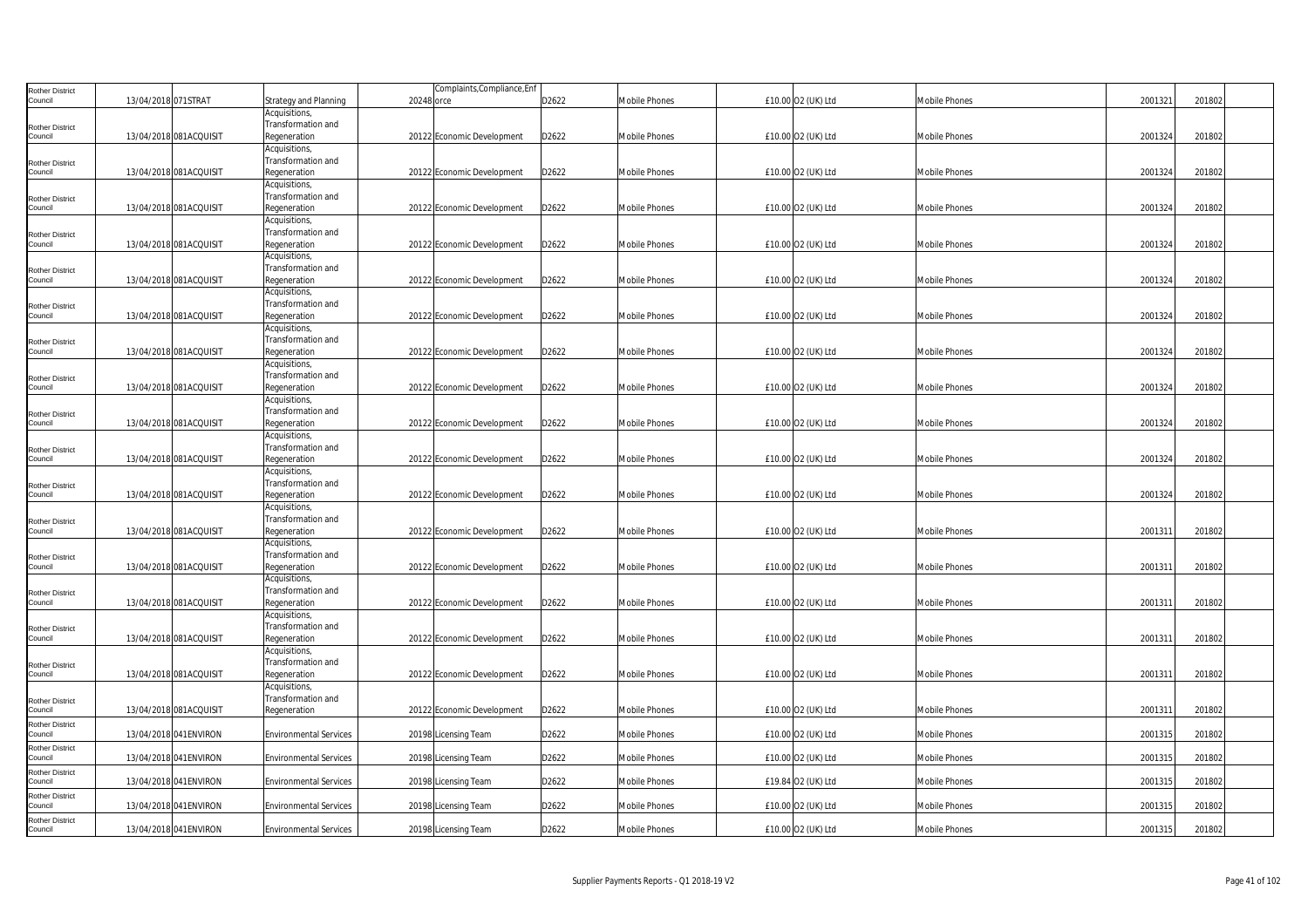| <b>Rother District</b>            |                        |                               |            | Complaints, Compliance, Enf |       |                      |                    |                      |         |        |  |
|-----------------------------------|------------------------|-------------------------------|------------|-----------------------------|-------|----------------------|--------------------|----------------------|---------|--------|--|
| Council                           | 13/04/2018 071STRAT    | <b>Strategy and Planning</b>  | 20248 orce |                             | D2622 | Mobile Phones        | £10.00 O2 (UK) Ltd | Mobile Phones        | 2001321 | 201802 |  |
|                                   |                        | Acquisitions,                 |            |                             |       |                      |                    |                      |         |        |  |
| <b>Rother District</b>            |                        | Transformation and            |            |                             |       |                      |                    |                      |         |        |  |
| Council                           | 13/04/2018 081ACQUISIT | Regeneration                  |            | 20122 Economic Development  | D2622 | Mobile Phones        | £10.00 O2 (UK) Ltd | <b>Mobile Phones</b> | 2001324 | 201802 |  |
|                                   |                        | Acquisitions,                 |            |                             |       |                      |                    |                      |         |        |  |
| <b>Rother District</b>            |                        | Transformation and            |            |                             |       |                      |                    |                      |         |        |  |
| Council                           | 13/04/2018 081ACQUISIT | Regeneration                  |            | 20122 Economic Development  | D2622 | <b>Mobile Phones</b> | £10.00 O2 (UK) Ltd | <b>Mobile Phones</b> | 2001324 | 201802 |  |
|                                   |                        | Acquisitions,                 |            |                             |       |                      |                    |                      |         |        |  |
| <b>Rother District</b>            |                        | Transformation and            |            |                             |       |                      |                    |                      |         |        |  |
| Council                           | 13/04/2018 081ACQUISIT | Regeneration                  |            | 20122 Economic Development  | D2622 | <b>Mobile Phones</b> | £10.00 O2 (UK) Ltd | <b>Mobile Phones</b> | 2001324 | 201802 |  |
|                                   |                        | Acquisitions,                 |            |                             |       |                      |                    |                      |         |        |  |
|                                   |                        | Transformation and            |            |                             |       |                      |                    |                      |         |        |  |
| <b>Rother District</b><br>Council | 13/04/2018 081ACQUISIT | Regeneration                  |            | 20122 Economic Development  | D2622 | <b>Mobile Phones</b> | £10.00 O2 (UK) Ltd | <b>Mobile Phones</b> | 2001324 | 201802 |  |
|                                   |                        | Acquisitions,                 |            |                             |       |                      |                    |                      |         |        |  |
|                                   |                        | Transformation and            |            |                             |       |                      |                    |                      |         |        |  |
| <b>Rother District</b><br>Council | 13/04/2018 081ACQUISIT | Regeneration                  |            | 20122 Economic Development  | D2622 | Mobile Phones        | £10.00 O2 (UK) Ltd | <b>Mobile Phones</b> | 2001324 | 201802 |  |
|                                   |                        | Acquisitions,                 |            |                             |       |                      |                    |                      |         |        |  |
|                                   |                        | Transformation and            |            |                             |       |                      |                    |                      |         |        |  |
| <b>Rother District</b><br>Council | 13/04/2018 081ACQUISIT | Regeneration                  |            | 20122 Economic Development  | D2622 | Mobile Phones        | £10.00 O2 (UK) Ltd | <b>Mobile Phones</b> | 2001324 | 201802 |  |
|                                   |                        | Acquisitions,                 |            |                             |       |                      |                    |                      |         |        |  |
|                                   |                        | Transformation and            |            |                             |       |                      |                    |                      |         |        |  |
| <b>Rother District</b><br>Council | 13/04/2018 081ACQUISIT | Regeneration                  |            | 20122 Economic Development  | D2622 | Mobile Phones        | £10.00 O2 (UK) Ltd | <b>Mobile Phones</b> | 2001324 | 201802 |  |
|                                   |                        | Acquisitions,                 |            |                             |       |                      |                    |                      |         |        |  |
|                                   |                        | Transformation and            |            |                             |       |                      |                    |                      |         |        |  |
| <b>Rother District</b><br>Council | 13/04/2018 081ACQUISIT | Regeneration                  |            | 20122 Economic Development  | D2622 | Mobile Phones        | £10.00 O2 (UK) Ltd | <b>Mobile Phones</b> | 2001324 | 201802 |  |
|                                   |                        | Acquisitions,                 |            |                             |       |                      |                    |                      |         |        |  |
|                                   |                        | Transformation and            |            |                             |       |                      |                    |                      |         |        |  |
| <b>Rother District</b><br>Council | 13/04/2018 081ACQUISIT | Regeneration                  |            | 20122 Economic Development  | D2622 | <b>Mobile Phones</b> | £10.00 O2 (UK) Ltd | <b>Mobile Phones</b> | 2001324 | 201802 |  |
|                                   |                        | Acquisitions,                 |            |                             |       |                      |                    |                      |         |        |  |
|                                   |                        | Transformation and            |            |                             |       |                      |                    |                      |         |        |  |
| <b>Rother District</b><br>Council | 13/04/2018 081ACQUISIT | Regeneration                  |            | 20122 Economic Development  | D2622 | Mobile Phones        | £10.00 O2 (UK) Ltd | <b>Mobile Phones</b> | 2001324 | 201802 |  |
|                                   |                        | Acquisitions,                 |            |                             |       |                      |                    |                      |         |        |  |
|                                   |                        | Transformation and            |            |                             |       |                      |                    |                      |         |        |  |
| <b>Rother District</b><br>Council | 13/04/2018 081ACQUISIT | Regeneration                  |            | 20122 Economic Development  | D2622 | Mobile Phones        | £10.00 O2 (UK) Ltd | <b>Mobile Phones</b> | 2001324 | 201802 |  |
|                                   |                        | Acquisitions,                 |            |                             |       |                      |                    |                      |         |        |  |
|                                   |                        | Transformation and            |            |                             |       |                      |                    |                      |         |        |  |
| <b>Rother District</b><br>Council | 13/04/2018 081ACQUISIT | Regeneration                  |            | 20122 Economic Development  | D2622 | Mobile Phones        | £10.00 O2 (UK) Ltd | <b>Mobile Phones</b> | 200131  | 201802 |  |
|                                   |                        | Acquisitions,                 |            |                             |       |                      |                    |                      |         |        |  |
|                                   |                        | Transformation and            |            |                             |       |                      |                    |                      |         |        |  |
| <b>Rother District</b><br>Council | 13/04/2018 081ACQUISIT | Regeneration                  |            | 20122 Economic Development  | D2622 | Mobile Phones        | £10.00 O2 (UK) Ltd | <b>Mobile Phones</b> | 200131  | 201802 |  |
|                                   |                        | Acquisitions,                 |            |                             |       |                      |                    |                      |         |        |  |
|                                   |                        | Transformation and            |            |                             |       |                      |                    |                      |         |        |  |
| <b>Rother District</b><br>Council | 13/04/2018 081ACQUISIT | Regeneration                  |            | 20122 Economic Development  | D2622 | Mobile Phones        | £10.00 O2 (UK) Ltd | <b>Mobile Phones</b> | 2001311 | 201802 |  |
|                                   |                        | Acquisitions,                 |            |                             |       |                      |                    |                      |         |        |  |
|                                   |                        | Transformation and            |            |                             |       |                      |                    |                      |         |        |  |
| <b>Rother District</b><br>Council | 13/04/2018 081ACQUISIT | Regeneration                  |            | 20122 Economic Development  | D2622 | Mobile Phones        | £10.00 O2 (UK) Ltd | <b>Mobile Phones</b> | 2001311 | 201802 |  |
|                                   |                        | Acquisitions,                 |            |                             |       |                      |                    |                      |         |        |  |
|                                   |                        | Transformation and            |            |                             |       |                      |                    |                      |         |        |  |
| <b>Rother District</b><br>Council | 13/04/2018 081ACQUISIT | Regeneration                  |            | 20122 Economic Development  | D2622 | Mobile Phones        | £10.00 O2 (UK) Ltd | Mobile Phones        | 2001311 | 201802 |  |
|                                   |                        | Acquisitions,                 |            |                             |       |                      |                    |                      |         |        |  |
| <b>Rother District</b>            |                        | Transformation and            |            |                             |       |                      |                    |                      |         |        |  |
| Council                           | 13/04/2018 081ACQUISIT | Regeneration                  |            | 20122 Economic Development  | D2622 | Mobile Phones        | £10.00 O2 (UK) Ltd | <b>Mobile Phones</b> | 200131  | 201802 |  |
| <b>Rother District</b>            |                        |                               |            |                             |       |                      |                    |                      |         |        |  |
| Council                           | 13/04/2018 041 ENVIRON | <b>Environmental Services</b> |            | 20198 Licensing Team        | D2622 | Mobile Phones        | £10.00 O2 (UK) Ltd | Mobile Phones        | 2001315 | 201802 |  |
| <b>Rother District</b>            |                        |                               |            |                             |       |                      |                    |                      |         |        |  |
| Council                           | 13/04/2018 041ENVIRON  | <b>Environmental Services</b> |            | 20198 Licensing Team        | D2622 | Mobile Phones        | £10.00 O2 (UK) Ltd | <b>Mobile Phones</b> | 2001315 | 201802 |  |
| <b>Rother District</b>            |                        |                               |            |                             |       |                      |                    |                      |         |        |  |
| Council                           | 13/04/2018 041ENVIRON  | <b>Environmental Services</b> |            | 20198 Licensing Team        | D2622 | Mobile Phones        | £19.84 O2 (UK) Ltd | Mobile Phones        | 2001315 | 201802 |  |
| <b>Rother District</b>            |                        |                               |            |                             |       |                      |                    |                      |         |        |  |
| Council                           | 13/04/2018 041ENVIRON  | <b>Environmental Services</b> |            | 20198 Licensing Team        | D2622 | Mobile Phones        | £10.00 O2 (UK) Ltd | <b>Mobile Phones</b> | 2001315 | 201802 |  |
| <b>Rother District</b>            |                        |                               |            |                             |       |                      |                    |                      |         |        |  |
| Council                           | 13/04/2018 041 ENVIRON | <b>Environmental Services</b> |            | 20198 Licensing Team        | D2622 | Mobile Phones        | £10.00 O2 (UK) Ltd | <b>Mobile Phones</b> | 2001315 | 201802 |  |
|                                   |                        |                               |            |                             |       |                      |                    |                      |         |        |  |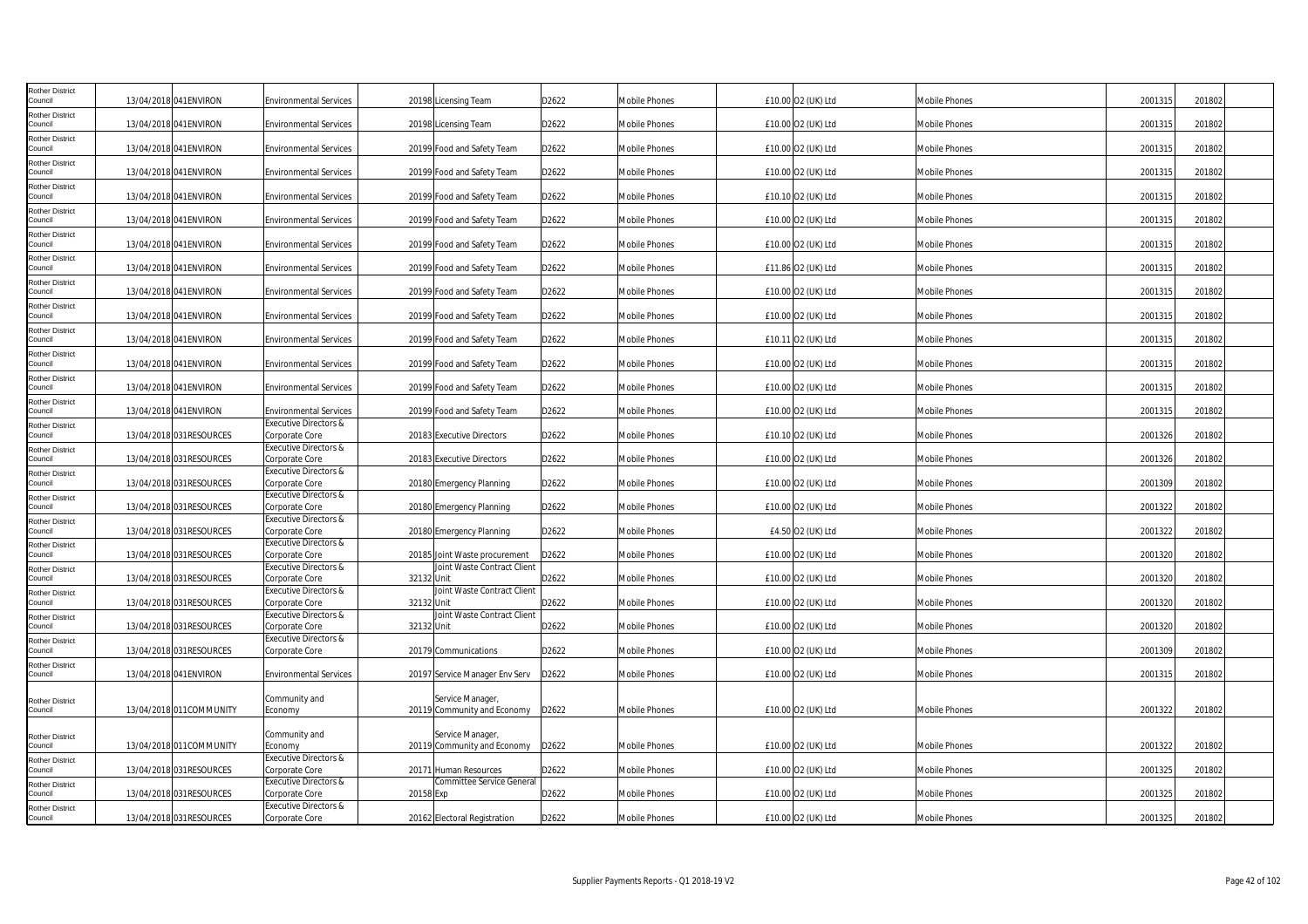| Rother District<br>ouncil         | 13/04/2018 041 ENVIRON   | <b>Environmental Services</b>                      | 20198 Licensing Team                               | D2622 | <b>Mobile Phones</b> | £10.00 O2 (UK) Ltd | Mobile Phones        | 2001315 | 201802 |
|-----------------------------------|--------------------------|----------------------------------------------------|----------------------------------------------------|-------|----------------------|--------------------|----------------------|---------|--------|
| Rother District<br>Council        | 13/04/2018 041 ENVIRON   |                                                    |                                                    |       |                      |                    |                      |         |        |
| Rother District                   |                          | <b>Environmental Services</b>                      | 20198 Licensing Team                               | D2622 | <b>Mobile Phones</b> | £10.00 O2 (UK) Ltd | Mobile Phones        | 2001315 | 201802 |
| Council                           | 13/04/2018 041ENVIRON    | <b>Environmental Services</b>                      | 20199 Food and Safety Team                         | D2622 | Mobile Phones        | £10.00 O2 (UK) Ltd | Mobile Phones        | 2001315 | 201802 |
| Rother District<br>Council        | 13/04/2018 041ENVIRON    | <b>Environmental Services</b>                      | 20199 Food and Safety Team                         | D2622 | Mobile Phones        | £10.00 O2 (UK) Ltd | Mobile Phones        | 2001315 | 201802 |
| Rother District<br>Council        | 13/04/2018 041ENVIRON    | <b>Environmental Services</b>                      | 20199 Food and Safety Team                         | D2622 | Mobile Phones        | £10.10 O2 (UK) Ltd | Mobile Phones        | 2001315 | 201802 |
| Rother District<br>Council        | 13/04/2018 041 ENVIRON   | <b>Environmental Services</b>                      | 20199 Food and Safety Team                         | D2622 | Mobile Phones        | £10.00 O2 (UK) Ltd | Mobile Phones        | 2001315 | 201802 |
| Rother District<br>Council        | 13/04/2018 041 ENVIRON   | <b>Environmental Services</b>                      | 20199 Food and Safety Team                         | D2622 | Mobile Phones        | £10.00 O2 (UK) Ltd | Mobile Phones        | 2001315 | 201802 |
| Rother District                   |                          |                                                    |                                                    |       |                      |                    |                      |         |        |
| Council<br>Rother District        | 13/04/2018 041ENVIRON    | <b>Environmental Services</b>                      | 20199 Food and Safety Team                         | D2622 | Mobile Phones        | £11.86 O2 (UK) Ltd | Mobile Phones        | 2001315 | 201802 |
| Council                           | 13/04/2018 041 ENVIRON   | <b>Environmental Services</b>                      | 20199 Food and Safety Team                         | D2622 | Mobile Phones        | £10.00 O2 (UK) Ltd | Mobile Phones        | 2001315 | 201802 |
| Rother District<br>Council        | 13/04/2018 041ENVIRON    | <b>Environmental Services</b>                      | 20199 Food and Safety Team                         | D2622 | <b>Mobile Phones</b> | £10.00 O2 (UK) Ltd | Mobile Phones        | 2001315 | 201802 |
| Rother District<br>Council        | 13/04/2018 041 ENVIRON   | <b>Environmental Services</b>                      | 20199 Food and Safety Team                         | D2622 | <b>Mobile Phones</b> | £10.11 02 (UK) Ltd | <b>Mobile Phones</b> | 2001315 | 201802 |
| Rother District<br>Council        | 13/04/2018 041 ENVIRON   | <b>Environmental Services</b>                      | 20199 Food and Safety Team                         | D2622 | <b>Mobile Phones</b> | £10.00 O2 (UK) Ltd | Mobile Phones        | 2001315 | 201802 |
| Rother District<br>Council        | 13/04/2018 041 ENVIRON   | <b>Environmental Services</b>                      | 20199 Food and Safety Team                         | D2622 | Mobile Phones        | £10.00 O2 (UK) Ltd | <b>Mobile Phones</b> | 2001315 | 201802 |
| Rother District<br>Council        | 13/04/2018 041ENVIRON    | <b>Environmental Services</b>                      | 20199 Food and Safety Team                         | D2622 | Mobile Phones        | £10.00 O2 (UK) Ltd | Mobile Phones        | 2001315 | 201802 |
| <b>Rother District</b><br>Council | 13/04/2018 031 RESOURCES | <b>Executive Directors &amp;</b><br>Corporate Core | 20183 Executive Directors                          | D2622 | Mobile Phones        | £10.10 O2 (UK) Ltd | Mobile Phones        | 2001326 | 201802 |
| Rother District                   |                          | <b>Executive Directors &amp;</b>                   |                                                    |       |                      |                    |                      |         |        |
| Council<br>Rother District        | 13/04/2018 031 RESOURCES | Corporate Core<br><b>Executive Directors &amp;</b> | 20183 Executive Directors                          | D2622 | <b>Mobile Phones</b> | £10.00 O2 (UK) Ltd | <b>Mobile Phones</b> | 2001326 | 201802 |
| Council                           | 13/04/2018 031 RESOURCES | Corporate Core<br>Executive Directors &            | 20180 Emergency Planning                           | D2622 | Mobile Phones        | £10.00 O2 (UK) Ltd | Mobile Phones        | 2001309 | 201802 |
| Rother District<br>Council        | 13/04/2018 031RESOURCES  | Corporate Core                                     | 20180 Emergency Planning                           | D2622 | Mobile Phones        | £10.00 O2 (UK) Ltd | Mobile Phones        | 2001322 | 201802 |
| Rother District<br>Council        | 13/04/2018 031 RESOURCES | <b>Executive Directors &amp;</b><br>Corporate Core | 20180 Emergency Planning                           | D2622 | Mobile Phones        | £4.50 O2 (UK) Ltd  | Mobile Phones        | 2001322 | 201802 |
| <b>Rother District</b><br>Council | 13/04/2018 031RESOURCES  | <b>Executive Directors &amp;</b><br>Corporate Core | 20185 Joint Waste procurement                      | D2622 | Mobile Phones        | £10.00 O2 (UK) Ltd | Mobile Phones        | 2001320 | 201802 |
| Rother District                   |                          | <b>Executive Directors &amp;</b>                   | Joint Waste Contract Client                        |       |                      |                    |                      |         |        |
| Council<br>Rother District        | 13/04/2018 031RESOURCES  | Corporate Core<br><b>Executive Directors &amp;</b> | 32132 Unit<br>Joint Waste Contract Client          | D2622 | <b>Mobile Phones</b> | £10.00 O2 (UK) Ltd | Mobile Phones        | 2001320 | 201802 |
| Council<br>Rother District        | 13/04/2018 031RESOURCES  | Corporate Core<br><b>Executive Directors &amp;</b> | 32132 Unit<br>Joint Waste Contract Client          | D2622 | Mobile Phones        | £10.00 O2 (UK) Ltd | Mobile Phones        | 2001320 | 201802 |
| Council                           | 13/04/2018 031 RESOURCES | Corporate Core                                     | 32132 Unit                                         | D2622 | Mobile Phones        | £10.00 O2 (UK) Ltd | Mobile Phones        | 2001320 | 201802 |
| Rother District<br>Council        | 13/04/2018 031RESOURCES  | Executive Directors &<br>Corporate Core            | 20179 Communications                               | D2622 | Mobile Phones        | £10.00 O2 (UK) Ltd | Mobile Phones        | 2001309 | 201802 |
| Rother District<br>Council        | 13/04/2018 041 ENVIRON   | <b>Environmental Services</b>                      | 20197 Service Manager Env Serv                     | D2622 | Mobile Phones        | £10.00 O2 (UK) Ltd | Mobile Phones        | 2001315 | 201802 |
| Rother District                   |                          | Community and                                      | Service Manager,                                   |       |                      |                    |                      |         |        |
| Council                           | 13/04/2018 011 COMMUNITY | Economy                                            | 20119 Community and Economy                        | D2622 | Mobile Phones        | £10.00 O2 (UK) Ltd | Mobile Phones        | 2001322 | 201802 |
| <b>Rother District</b>            |                          | Community and                                      | Service Manager                                    |       |                      |                    |                      |         |        |
| Council<br>Rother District        | 13/04/2018 011 COMMUNITY | Economy<br><b>Executive Directors &amp;</b>        | 20119 Community and Economy                        | D2622 | Mobile Phones        | £10.00 O2 (UK) Ltd | Mobile Phones        | 2001322 | 201802 |
| Council<br><b>Rother District</b> | 13/04/2018 031RESOURCES  | Corporate Core<br><b>Executive Directors &amp;</b> | 20171 Human Resources<br>Committee Service General | D2622 | <b>Mobile Phones</b> | £10.00 O2 (UK) Ltd | <b>Mobile Phones</b> | 2001325 | 201802 |
| Council                           | 13/04/2018 031RESOURCES  | Corporate Core                                     | 20158 Exp                                          | D2622 | Mobile Phones        | £10.00 O2 (UK) Ltd | Mobile Phones        | 2001325 | 201802 |
| Rother District<br>Council        | 13/04/2018 031RESOURCES  | <b>Executive Directors &amp;</b><br>Corporate Core | 20162 Electoral Registration                       | D2622 | <b>Mobile Phones</b> | £10.00 O2 (UK) Ltd | <b>Mobile Phones</b> | 2001325 | 201802 |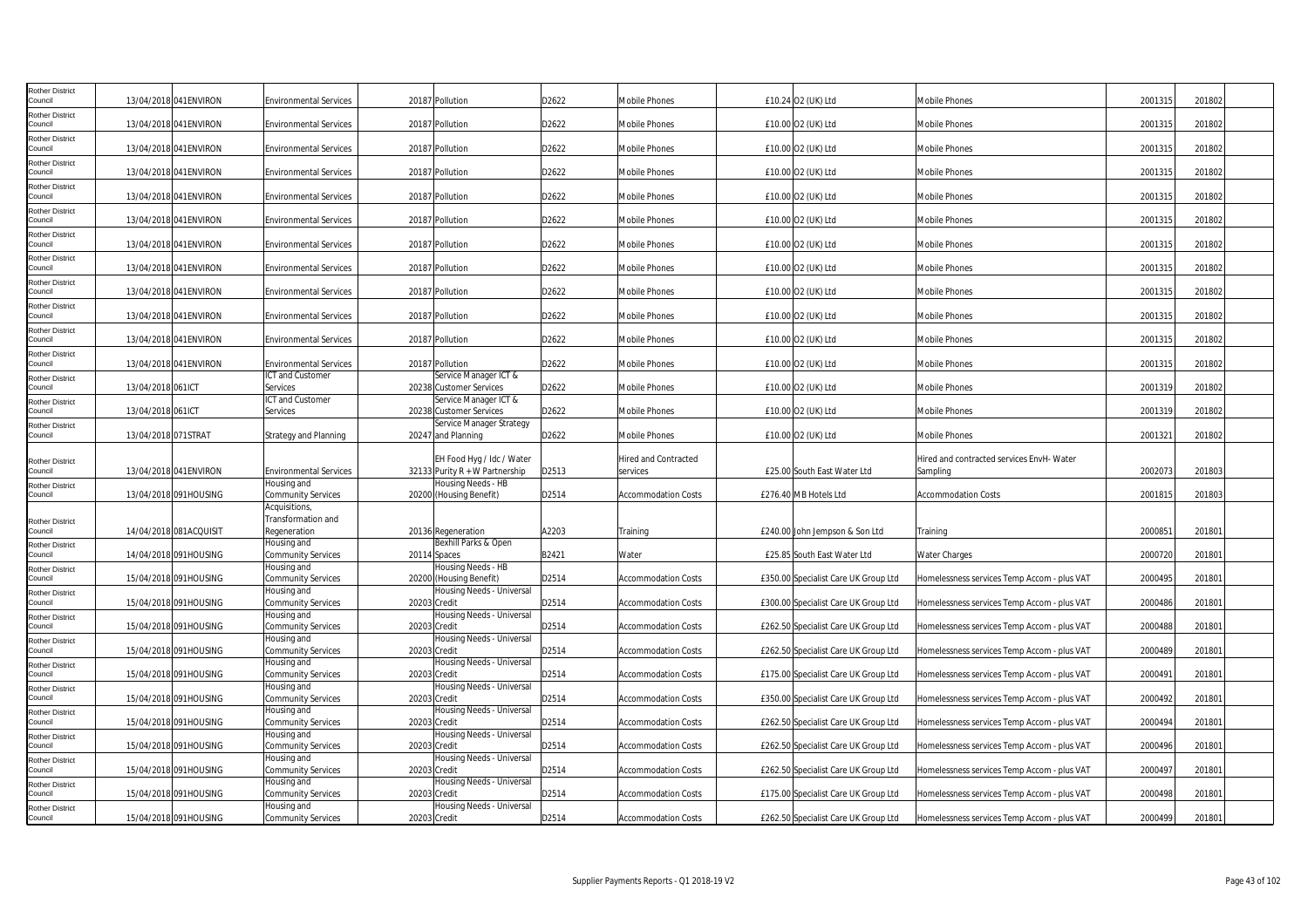| Rother District<br>ouncil         |                     | 13/04/2018 041 ENVIRON | <b>Environmental Services</b>                     | 20187 Pollution                                               | D2622 | <b>Mobile Phones</b>                    | £10.24 O2 (UK) Ltd                   | Mobile Phones                                         | 2001315 | 201802 |
|-----------------------------------|---------------------|------------------------|---------------------------------------------------|---------------------------------------------------------------|-------|-----------------------------------------|--------------------------------------|-------------------------------------------------------|---------|--------|
| Rother District<br>Council        |                     | 13/04/2018 041 ENVIRON | <b>Environmental Services</b>                     | 20187 Pollution                                               | D2622 | <b>Mobile Phones</b>                    | £10.00 O2 (UK) Ltd                   | Mobile Phones                                         | 2001315 | 201802 |
| Rother District<br>Council        |                     | 13/04/2018 041ENVIRON  | <b>Environmental Services</b>                     | 20187 Pollution                                               | D2622 | Mobile Phones                           | £10.00 O2 (UK) Ltd                   | Mobile Phones                                         | 2001315 | 201802 |
| Rother District<br>Council        |                     | 13/04/2018 041ENVIRON  | <b>Environmental Services</b>                     | 20187 Pollution                                               | D2622 | Mobile Phones                           | £10.00 O2 (UK) Ltd                   | <b>Mobile Phones</b>                                  | 2001315 | 201802 |
| Rother District<br>Council        |                     | 13/04/2018 041ENVIRON  | <b>Environmental Services</b>                     | 20187 Pollution                                               | D2622 | Mobile Phones                           | £10.00 O2 (UK) Ltd                   | Mobile Phones                                         | 2001315 | 201802 |
| Rother District<br>Council        |                     | 13/04/2018 041 ENVIRON | <b>Environmental Services</b>                     | 20187 Pollution                                               | D2622 | <b>Mobile Phones</b>                    | £10.00 O2 (UK) Ltd                   | <b>Mobile Phones</b>                                  | 2001315 | 201802 |
| Rother District<br>Council        |                     | 13/04/2018 041 ENVIRON | <b>Environmental Services</b>                     | 20187 Pollution                                               | D2622 | Mobile Phones                           | £10.00 O2 (UK) Ltd                   | Mobile Phones                                         | 2001315 | 201802 |
| Rother District<br>Council        |                     | 13/04/2018 041ENVIRON  | <b>Environmental Services</b>                     | 20187 Pollution                                               | D2622 | Mobile Phones                           | £10.00 O2 (UK) Ltd                   | Mobile Phones                                         | 2001315 | 201802 |
| <b>Rother District</b><br>Council |                     | 13/04/2018 041 ENVIRON | <b>Environmental Services</b>                     | 20187 Pollution                                               | D2622 | Mobile Phones                           | £10.00 O2 (UK) Ltd                   | Mobile Phones                                         | 2001315 | 201802 |
| Rother District<br>Council        |                     | 13/04/2018 041ENVIRON  | <b>Environmental Services</b>                     | 20187 Pollution                                               | D2622 | <b>Mobile Phones</b>                    | £10.00 O2 (UK) Ltd                   | Mobile Phones                                         | 2001315 | 201802 |
| Rother District                   |                     |                        |                                                   |                                                               |       |                                         |                                      |                                                       |         |        |
| Council<br>Rother District        |                     | 13/04/2018 041 ENVIRON | <b>Environmental Services</b>                     | 20187 Pollution                                               | D2622 | <b>Mobile Phones</b>                    | £10.00 O2 (UK) Ltd                   | <b>Mobile Phones</b>                                  | 2001315 | 201802 |
| Council<br>Rother District        |                     | 13/04/2018 041 ENVIRON | <b>Environmental Services</b><br>ICT and Customer | 20187 Pollution<br>Service Manager ICT &                      | D2622 | Mobile Phones                           | £10.00 O2 (UK) Ltd                   | Mobile Phones                                         | 200131  | 201802 |
| Council<br>Rother District        | 13/04/2018 061ICT   |                        | Services<br>ICT and Customer                      | 20238 Customer Services<br>Service Manager ICT &              | D2622 | Mobile Phones                           | £10.00 O2 (UK) Ltd                   | <b>Mobile Phones</b>                                  | 2001319 | 201802 |
| Council<br><b>Rother District</b> | 13/04/2018 061ICT   |                        | Services                                          | 20238 Customer Services<br>Service Manager Strategy           | D2622 | Mobile Phones                           | £10.00 O2 (UK) Ltd                   | <b>Mobile Phones</b>                                  | 2001319 | 201802 |
| Council                           | 13/04/2018 071STRAT |                        | <b>Strategy and Planning</b>                      | 20247 and Planning                                            | D2622 | Mobile Phones                           | £10.00 O2 (UK) Ltd                   | Mobile Phones                                         | 2001321 | 201802 |
| Rother District<br>Council        |                     | 13/04/2018 041 ENVIRON | Environmental Services                            | EH Food Hyg / Idc / Water<br>32133 Purity $R + W$ Partnership | D2513 | <b>Hired and Contracted</b><br>services | £25.00 South East Water Ltd          | Hired and contracted services EnvH- Water<br>Sampling | 2002073 | 201803 |
| <b>Rother District</b><br>Council |                     | 13/04/2018 091HOUSING  | Housing and<br><b>Community Services</b>          | Housing Needs - HB<br>20200 (Housing Benefit)                 | D2514 | <b>Accommodation Costs</b>              | £276.40 MB Hotels Ltd                | <b>Accommodation Costs</b>                            | 2001815 | 201803 |
| Rother District                   |                     |                        | Acquisitions,<br>Transformation and               |                                                               |       |                                         |                                      |                                                       |         |        |
| Council<br>Rother District        |                     | 14/04/2018 081ACQUISIT | Regeneration<br>Housing and                       | 20136 Regeneration<br>Bexhill Parks & Open                    | A2203 | Training                                | £240.00 John Jempson & Son Ltd       | Training                                              | 2000851 | 201801 |
| Council                           |                     | 14/04/2018 091HOUSING  | <b>Community Services</b><br>Housing and          | 20114 Spaces<br>Housing Needs - HB                            | B2421 | Water                                   | £25.85 South East Water Ltd          | Water Charges                                         | 2000720 | 201801 |
| Rother District<br>Council        |                     | 15/04/2018 091HOUSING  | <b>Community Services</b><br>Housing and          | 20200 (Housing Benefit)<br>Housing Needs - Universal          | D2514 | <b>Accommodation Costs</b>              | £350.00 Specialist Care UK Group Ltd | Homelessness services Temp Accom - plus VAT           | 2000495 | 201801 |
| Rother District<br>Council        |                     | 15/04/2018 091HOUSING  | <b>Community Services</b>                         | 20203 Credit                                                  | D2514 | <b>Accommodation Costs</b>              | £300.00 Specialist Care UK Group Ltd | Homelessness services Temp Accom - plus VAT           | 2000486 | 201801 |
| <b>Rother District</b><br>Council |                     | 15/04/2018 091HOUSING  | Housing and<br><b>Community Services</b>          | Housing Needs - Universal<br>20203 Credit                     | D2514 | <b>Accommodation Costs</b>              | £262.50 Specialist Care UK Group Ltd | Homelessness services Temp Accom - plus VAT           | 2000488 | 201801 |
| Rother District<br>Council        |                     | 15/04/2018 091HOUSING  | lousing and<br>Community Services                 | Housing Needs - Universal<br>20203 Credit                     | D2514 | Accommodation Costs                     | £262.50 Specialist Care UK Group Ltd | Homelessness services Temp Accom - plus VAT           | 2000489 | 201801 |
| Rother District<br>Council        |                     | 15/04/2018 091HOUSING  | Housing and<br><b>Community Services</b>          | Housing Needs - Universal<br>20203 Credit                     | D2514 | <b>Accommodation Costs</b>              | £175.00 Specialist Care UK Group Ltd | Homelessness services Temp Accom - plus VAT           | 200049  | 201801 |
| <b>Rother District</b><br>ouncil  |                     | 15/04/2018 091HOUSING  | Housing and<br><b>Community Services</b>          | Housing Needs - Universal<br>20203 Credit                     | D2514 | Accommodation Costs                     | £350.00 Specialist Care UK Group Ltd | Homelessness services Temp Accom - plus VAT           | 2000492 | 201801 |
| Rother District<br>Council        |                     | 15/04/2018 091HOUSING  | Housing and<br><b>Community Services</b>          | Housing Needs - Universal<br>20203 Credit                     | D2514 | <b>Accommodation Costs</b>              | £262.50 Specialist Care UK Group Ltd | Homelessness services Temp Accom - plus VAT           | 2000494 | 201801 |
| Rother District<br>Council        |                     | 15/04/2018 091HOUSING  | Housing and<br><b>Community Services</b>          | Housing Needs - Universal<br>20203 Credit                     | D2514 | <b>Accommodation Costs</b>              | £262.50 Specialist Care UK Group Ltd | Homelessness services Temp Accom - plus VAT           | 2000496 | 201801 |
| Rother District<br>Council        |                     | 15/04/2018 091HOUSING  | Housing and<br><b>Community Services</b>          | Housing Needs - Universal<br>20203 Credit                     | D2514 | <b>Accommodation Costs</b>              | £262.50 Specialist Care UK Group Ltd | Homelessness services Temp Accom - plus VAT           | 2000497 | 201801 |
| <b>Rother District</b><br>Council |                     | 15/04/2018 091HOUSING  | lousing and<br><b>Community Services</b>          | Housing Needs - Universal<br>20203 Credit                     | D2514 | <b>Accommodation Costs</b>              | £175.00 Specialist Care UK Group Ltd | Homelessness services Temp Accom - plus VAT           | 2000498 | 201801 |
| <b>Rother District</b><br>Council |                     | 15/04/2018 091HOUSING  | Housing and<br><b>Community Services</b>          | Housing Needs - Universal<br>20203 Credit                     | D2514 | <b>Accommodation Costs</b>              | £262.50 Specialist Care UK Group Ltd | Homelessness services Temp Accom - plus VAT           | 2000499 | 201801 |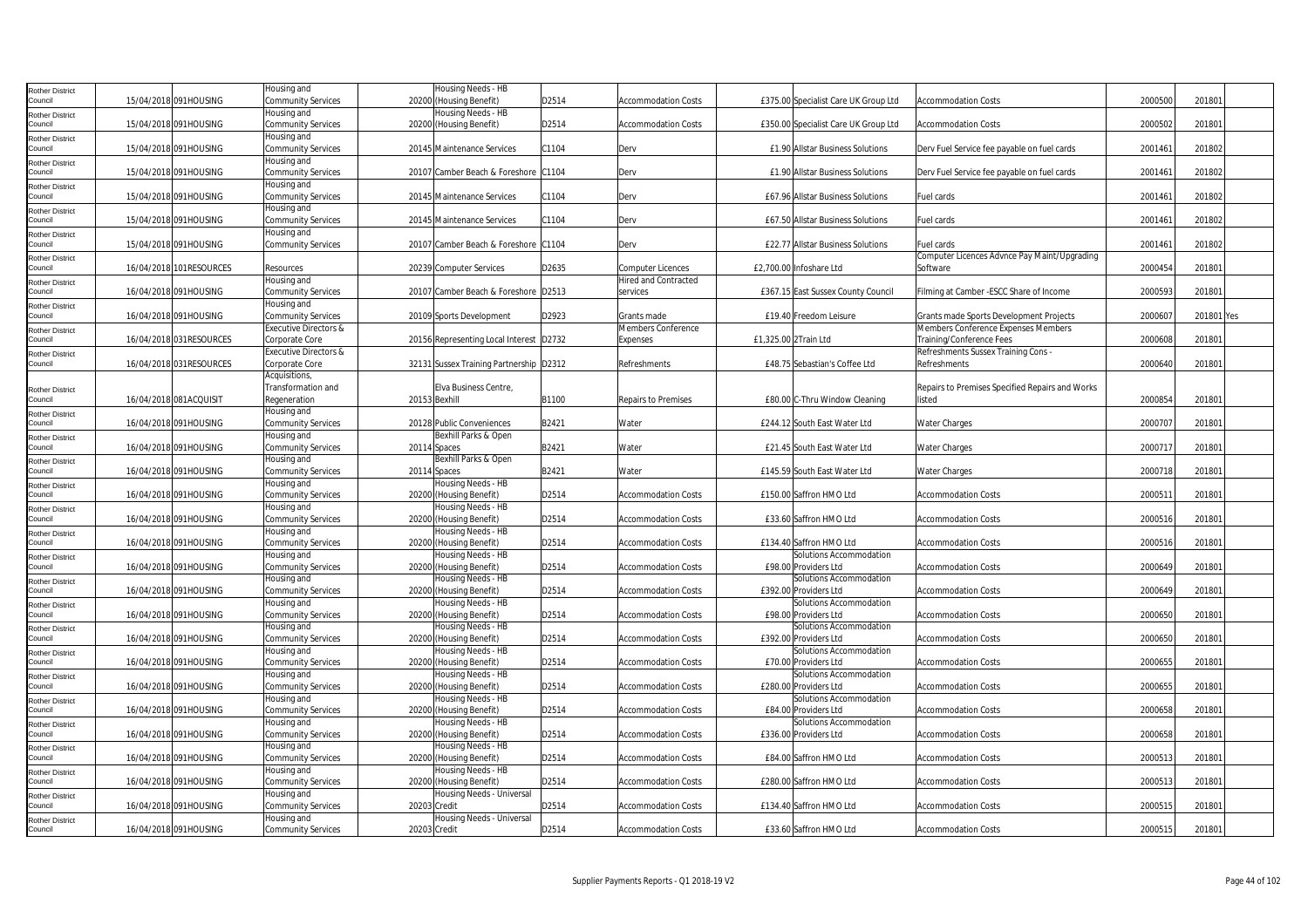| Rother District                   |                          | Housing and                              |              | Housing Needs - HB                                   |       |                                                         |                                                    |                                                 |         |            |  |
|-----------------------------------|--------------------------|------------------------------------------|--------------|------------------------------------------------------|-------|---------------------------------------------------------|----------------------------------------------------|-------------------------------------------------|---------|------------|--|
| Council                           | 15/04/2018 091HOUSING    | Community Services                       |              | 20200 (Housing Benefit)                              | D2514 | <b>Accommodation Costs</b>                              | £375.00 Specialist Care UK Group Ltd               | <b>Accommodation Costs</b>                      | 2000500 | 201801     |  |
| Rother District                   |                          | Housing and                              |              | Housing Needs - HB                                   |       |                                                         |                                                    |                                                 |         |            |  |
| Council                           | 15/04/2018 091HOUSING    | Community Services                       |              | 20200 (Housing Benefit)                              | D2514 | <b>Accommodation Costs</b>                              | £350.00 Specialist Care UK Group Ltd               | <b>Accommodation Costs</b>                      | 2000502 | 201801     |  |
| <b>Rother District</b>            |                          | Housing and                              |              |                                                      |       |                                                         |                                                    |                                                 |         |            |  |
| Council                           | 15/04/2018 091HOUSING    | <b>Community Services</b>                |              | 20145 Maintenance Services                           | C1104 | Derv                                                    | £1.90 Allstar Business Solutions                   | Derv Fuel Service fee payable on fuel cards     | 2001461 | 201802     |  |
| Rother District                   |                          | Housing and                              |              |                                                      |       |                                                         |                                                    |                                                 |         |            |  |
| Council                           | 15/04/2018 091HOUSING    | Community Services                       |              | 20107 Camber Beach & Foreshore C1104                 |       | Derv                                                    | £1.90 Allstar Business Solutions                   | Derv Fuel Service fee payable on fuel cards     | 2001461 | 201802     |  |
| Rother District                   |                          | Housing and                              |              |                                                      |       |                                                         |                                                    |                                                 |         |            |  |
| Council                           | 15/04/2018 091HOUSING    | Community Services                       |              | 20145 Maintenance Services                           | C1104 | Derv                                                    | £67.96 Allstar Business Solutions                  | Fuel cards                                      | 200146  | 201802     |  |
| tother District                   |                          | Housing and                              |              |                                                      |       |                                                         |                                                    |                                                 |         |            |  |
| Council                           | 15/04/2018 091HOUSING    | Community Services                       |              | 20145 Maintenance Services                           | C1104 | Derv                                                    | £67.50 Allstar Business Solutions                  | Fuel cards                                      | 2001461 | 201802     |  |
| Rother District                   |                          | Housing and                              |              |                                                      |       |                                                         |                                                    |                                                 |         |            |  |
| Council                           | 15/04/2018 091HOUSING    | <b>Community Services</b>                |              | 20107 Camber Beach & Foreshore C1104                 |       | Derv                                                    | £22.77 Allstar Business Solutions                  | Fuel cards                                      | 2001461 | 201802     |  |
| Rother District<br>Council        |                          |                                          |              |                                                      |       |                                                         | £2,700.00 Infoshare Ltd                            | Computer Licences Advnce Pay Maint/Upgrading    |         |            |  |
|                                   | 16/04/2018 101RESOURCES  | Resources<br>Housing and                 |              | 20239 Computer Services                              | D2635 | <b>Computer Licences</b><br><b>Hired and Contracted</b> |                                                    | Software                                        | 2000454 | 201801     |  |
| tother District<br>Council        | 16/04/2018 091HOUSING    | Community Services                       |              | 20107 Camber Beach & Foreshore D2513                 |       | services                                                | £367.15 East Sussex County Council                 | Filming at Camber -ESCC Share of Income         | 2000593 | 201801     |  |
|                                   |                          | Housing and                              |              |                                                      |       |                                                         |                                                    |                                                 |         |            |  |
| Rother District<br>Council        | 16/04/2018 091HOUSING    | Community Services                       |              | 20109 Sports Development                             | D2923 | Grants made                                             | £19.40 Freedom Leisure                             | Grants made Sports Development Projects         | 2000607 | 201801 Yes |  |
|                                   |                          | Executive Directors &                    |              |                                                      |       | Members Conference                                      |                                                    | Members Conference Expenses Members             |         |            |  |
| Rother District<br>Council        | 16/04/2018 031 RESOURCES | Corporate Core                           |              | 20156 Representing Local Interest D2732              |       | Expenses                                                | £1,325.00 2Train Ltd                               | Training/Conference Fees                        | 2000608 | 201801     |  |
| <b>Rother District</b>            |                          | Executive Directors &                    |              |                                                      |       |                                                         |                                                    | Refreshments Sussex Training Cons -             |         |            |  |
| Council                           | 16/04/2018 031 RESOURCES | Corporate Core                           |              | 32131 Sussex Training Partnership   D2312            |       | Refreshments                                            | £48.75 Sebastian's Coffee Ltd                      | Refreshments                                    | 2000640 | 201801     |  |
|                                   |                          | Acquisitions,                            |              |                                                      |       |                                                         |                                                    |                                                 |         |            |  |
| Rother District                   |                          | Transformation and                       |              | Elva Business Centre,                                |       |                                                         |                                                    | Repairs to Premises Specified Repairs and Works |         |            |  |
| Council                           | 16/04/2018 081ACQUISIT   | Regeneration                             |              | 20153 Bexhill                                        | B1100 | Repairs to Premises                                     | £80.00 C-Thru Window Cleaning                      | listed                                          | 2000854 | 201801     |  |
| Rother District                   |                          | Housing and                              |              |                                                      |       |                                                         |                                                    |                                                 |         |            |  |
| Council                           | 16/04/2018 091HOUSING    | Community Services                       |              | 20128 Public Conveniences                            | B2421 | Water                                                   | £244.12 South East Water Ltd                       | Water Charges                                   | 2000707 | 201801     |  |
| Rother District                   |                          | Housing and                              |              | Bexhill Parks & Open                                 |       |                                                         |                                                    |                                                 |         |            |  |
| Council                           | 16/04/2018 091HOUSING    | Community Services                       |              | 20114 Spaces                                         | B2421 | Water                                                   | £21.45 South East Water Ltd                        | Water Charges                                   | 200071  | 201801     |  |
| Rother District                   |                          | Housing and                              |              | Bexhill Parks & Open                                 |       |                                                         |                                                    |                                                 |         |            |  |
| Council                           | 16/04/2018 091HOUSING    | Community Services                       |              | 20114 Spaces                                         | B2421 | Water                                                   | £145.59 South East Water Ltd                       | Water Charges                                   | 2000718 | 201801     |  |
| <b>Rother District</b>            |                          | Housing and                              |              | Housing Needs - HB                                   |       |                                                         |                                                    |                                                 |         |            |  |
| Council                           | 16/04/2018 091HOUSING    | Community Services                       |              | 20200 (Housing Benefit)                              | D2514 | <b>Accommodation Costs</b>                              | £150.00 Saffron HMO Ltd                            | <b>Accommodation Costs</b>                      | 200051  | 201801     |  |
| Rother District                   |                          | Housing and                              |              | Housing Needs - HB                                   |       |                                                         |                                                    |                                                 |         |            |  |
| Council                           | 16/04/2018 091HOUSING    | Community Services                       |              | 20200 (Housing Benefit)                              | D2514 | <b>Accommodation Costs</b>                              | £33.60 Saffron HMO Ltd                             | <b>Accommodation Costs</b>                      | 2000516 | 201801     |  |
| Rother District                   |                          | Housing and                              |              | Housing Needs - HB                                   |       |                                                         |                                                    |                                                 |         |            |  |
| Council                           | 16/04/2018 091HOUSING    | Community Services                       |              | 20200 (Housing Benefit)<br>Housing Needs - HB        | D2514 | <b>Accommodation Costs</b>                              | £134.40 Saffron HMO Ltd<br>Solutions Accommodation | <b>Accommodation Costs</b>                      | 2000516 | 201801     |  |
| Rother District<br>Council        | 16/04/2018 091HOUSING    | Housing and<br><b>Community Services</b> |              | 20200 (Housing Benefit)                              | D2514 | <b>Accommodation Costs</b>                              | £98.00 Providers Ltd                               | <b>Accommodation Costs</b>                      | 2000649 | 201801     |  |
|                                   |                          | Housing and                              |              | Housing Needs - HB                                   |       |                                                         | Solutions Accommodation                            |                                                 |         |            |  |
| Rother District<br>ouncil         | 16/04/2018 091HOUSING    | Community Services                       |              | 20200 (Housing Benefit)                              | D2514 | <b>Accommodation Costs</b>                              | £392.00 Providers Ltd                              | <b>Accommodation Costs</b>                      | 2000649 | 201801     |  |
| tother District                   |                          | Housing and                              |              | Housing Needs - HB                                   |       |                                                         | Solutions Accommodation                            |                                                 |         |            |  |
| Council                           | 16/04/2018 091HOUSING    | Community Services                       |              | 20200 (Housing Benefit)                              | D2514 | <b>Accommodation Costs</b>                              | £98.00 Providers Ltd                               | <b>Accommodation Costs</b>                      | 2000650 | 201801     |  |
| Rother District                   |                          | Housing and                              |              | Housing Needs - HB                                   |       |                                                         | Solutions Accommodation                            |                                                 |         |            |  |
| Council                           | 16/04/2018 091HOUSING    | <b>Community Services</b>                |              | 20200 (Housing Benefit)                              | D2514 | <b>Accommodation Costs</b>                              | £392.00 Providers Ltd                              | <b>Accommodation Costs</b>                      | 2000650 | 201801     |  |
| Rother District                   |                          | Housing and                              |              | Housing Needs - HB                                   |       |                                                         | Solutions Accommodation                            |                                                 |         |            |  |
| Council                           | 16/04/2018 091HOUSING    | Community Services                       |              | 20200 (Housing Benefit)                              | D2514 | <b>Accommodation Costs</b>                              | £70.00 Providers Ltd                               | <b>Accommodation Costs</b>                      | 2000655 | 201801     |  |
| Rother District                   |                          | Housing and                              |              | Housing Needs - HB                                   |       |                                                         | Solutions Accommodation                            |                                                 |         |            |  |
| Council                           | 16/04/2018 091HOUSING    | <b>Community Services</b>                |              | 20200 (Housing Benefit)                              | D2514 | <b>Accommodation Costs</b>                              | £280.00 Providers Ltd                              | <b>Accommodation Costs</b>                      | 2000655 | 201801     |  |
| <b>Rother District</b>            |                          | Housing and                              |              | Housing Needs - HB                                   |       |                                                         | Solutions Accommodation                            |                                                 |         |            |  |
| Council                           | 16/04/2018 091HOUSING    | Community Services                       |              | 20200 (Housing Benefit)                              | D2514 | <b>Accommodation Costs</b>                              | £84.00 Providers Ltd                               | <b>Accommodation Costs</b>                      | 2000658 | 201801     |  |
| Rother District                   |                          | Housing and                              |              | Housing Needs - HB                                   |       |                                                         | Solutions Accommodation                            |                                                 |         |            |  |
| Council                           | 16/04/2018 091HOUSING    | Community Services                       |              | 20200 (Housing Benefit)                              | D2514 | <b>Accommodation Costs</b>                              | £336.00 Providers Ltd                              | <b>Accommodation Costs</b>                      | 2000658 | 201801     |  |
| Rother District                   |                          | Housing and                              |              | Housing Needs - HB                                   |       |                                                         |                                                    |                                                 |         |            |  |
| Council                           | 16/04/2018 091HOUSING    | <b>Community Services</b>                |              | 20200 (Housing Benefit)                              | D2514 | <b>Accommodation Costs</b>                              | £84.00 Saffron HMO Ltd                             | <b>Accommodation Costs</b>                      | 2000513 | 201801     |  |
| Rother District<br>Council        |                          | Housing and                              |              | Housing Needs - HB                                   | D2514 |                                                         |                                                    |                                                 | 200051  | 201801     |  |
|                                   | 16/04/2018 091HOUSING    | Community Services<br>Housing and        |              | 20200 (Housing Benefit)<br>Housing Needs - Universal |       | <b>Accommodation Costs</b>                              | £280.00 Saffron HMO Ltd                            | <b>Accommodation Costs</b>                      |         |            |  |
| <b>Rother District</b><br>Council | 16/04/2018 091HOUSING    | Community Services                       | 20203 Credit |                                                      | D2514 | <b>Accommodation Costs</b>                              | £134.40 Saffron HMO Ltd                            | <b>Accommodation Costs</b>                      | 200051  | 201801     |  |
|                                   |                          | Housing and                              |              | Housing Needs - Universal                            |       |                                                         |                                                    |                                                 |         |            |  |
| Rother District<br>Council        | 16/04/2018 091HOUSING    | <b>Community Services</b>                | 20203 Credit |                                                      | D2514 | <b>Accommodation Costs</b>                              | £33.60 Saffron HMO Ltd                             | <b>Accommodation Costs</b>                      | 2000515 | 201801     |  |
|                                   |                          |                                          |              |                                                      |       |                                                         |                                                    |                                                 |         |            |  |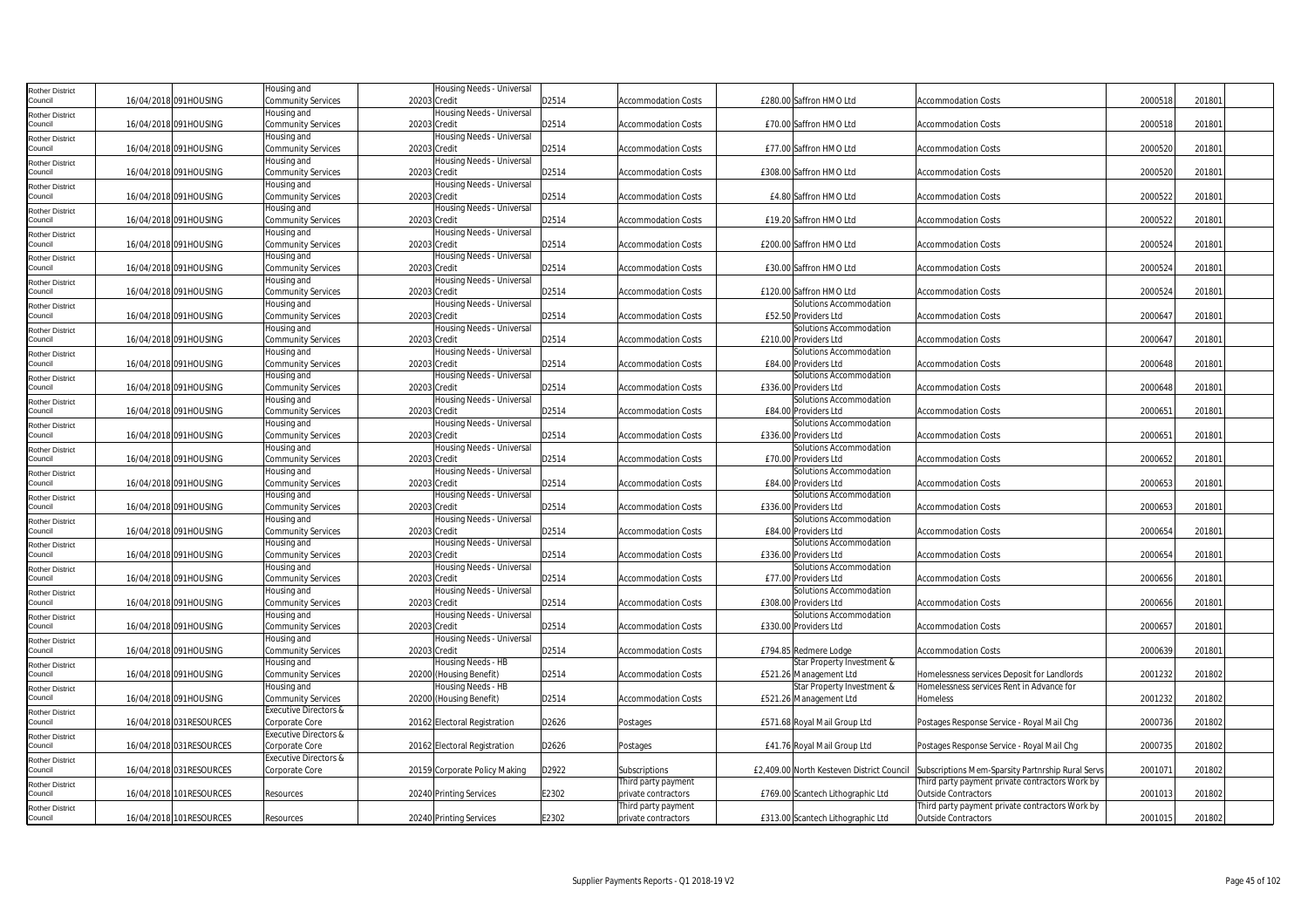| Rother District                   |                         | lousing and                      | Housing Needs - Universal     |       |                            |                                           |                                                   |         |        |
|-----------------------------------|-------------------------|----------------------------------|-------------------------------|-------|----------------------------|-------------------------------------------|---------------------------------------------------|---------|--------|
| ouncil                            | 16/04/2018 091HOUSING   | Community Services               | 20203 Credit                  | D2514 | <b>Accommodation Costs</b> | £280.00 Saffron HMO Ltd                   | <b>Accommodation Costs</b>                        | 2000518 | 201801 |
| <b>Rother District</b>            |                         | Housing and                      | Housing Needs - Universal     |       |                            |                                           |                                                   |         |        |
| Council                           | 16/04/2018 091HOUSING   | <b>Community Services</b>        | 20203 Credit                  | D2514 | <b>Accommodation Costs</b> | £70.00 Saffron HMO Ltd                    | <b>Accommodation Costs</b>                        | 2000518 | 201801 |
| <b>Rother District</b>            |                         | lousing and                      | Housing Needs - Universal     |       |                            |                                           |                                                   |         |        |
| Council                           | 16/04/2018 091HOUSING   | <b>Community Services</b>        | 20203 Credit                  | D2514 | <b>Accommodation Costs</b> | £77.00 Saffron HMO Ltd                    | <b>Accommodation Costs</b>                        | 2000520 | 201801 |
| Rother District                   |                         | Housing and                      | Housing Needs - Universal     |       |                            |                                           |                                                   |         |        |
| Council                           | 16/04/2018 091HOUSING   | <b>Community Services</b>        | 20203 Credit                  | D2514 | <b>Accommodation Costs</b> | £308.00 Saffron HMO Ltd                   | <b>Accommodation Costs</b>                        | 2000520 | 201801 |
|                                   |                         | Housing and                      | Housing Needs - Universal     |       |                            |                                           |                                                   |         |        |
| Rother District<br>Council        | 16/04/2018 091HOUSING   | <b>Community Services</b>        | 20203 Credit                  | D2514 | <b>Accommodation Costs</b> | £4.80 Saffron HMO Ltd                     | <b>Accommodation Costs</b>                        | 2000522 | 201801 |
| Rother District                   |                         | Housing and                      | Housing Needs - Universal     |       |                            |                                           |                                                   |         |        |
| Council                           | 16/04/2018 091HOUSING   | Community Services               | 20203 Credit                  | D2514 | <b>Accommodation Costs</b> | £19.20 Saffron HMO Ltd                    | <b>Accommodation Costs</b>                        | 2000522 | 201801 |
|                                   |                         | Housing and                      | Housing Needs - Universal     |       |                            |                                           |                                                   |         |        |
| <b>Rother District</b><br>Council | 16/04/2018 091HOUSING   | <b>Community Services</b>        | 20203 Credit                  | D2514 | <b>Accommodation Costs</b> | £200.00 Saffron HMO Ltd                   | <b>Accommodation Costs</b>                        | 2000524 | 201801 |
|                                   |                         | Housing and                      | Housing Needs - Universal     |       |                            |                                           |                                                   |         |        |
| <b>Rother District</b><br>Council | 16/04/2018 091HOUSING   | <b>Community Services</b>        | 20203 Credit                  | D2514 | <b>Accommodation Costs</b> | £30.00 Saffron HMO Ltd                    | <b>Accommodation Costs</b>                        | 2000524 | 201801 |
|                                   |                         | Housing and                      | Housing Needs - Universal     |       |                            |                                           |                                                   |         |        |
| Rother District<br>Council        | 16/04/2018 091HOUSING   | <b>Community Services</b>        | 20203 Credit                  | D2514 | <b>Accommodation Costs</b> | £120.00 Saffron HMO Ltd                   | <b>Accommodation Costs</b>                        | 2000524 | 201801 |
|                                   |                         |                                  |                               |       |                            |                                           |                                                   |         |        |
| Rother District                   |                         | Housing and                      | Housing Needs - Universal     |       |                            | Solutions Accommodation                   |                                                   |         |        |
| Council                           | 16/04/2018 091HOUSING   | <b>Community Services</b>        | 20203 Credit                  | D2514 | <b>Accommodation Costs</b> | £52.50 Providers Ltd                      | <b>Accommodation Costs</b>                        | 2000647 | 201801 |
| Rother District                   |                         | Housing and                      | Housing Needs - Universal     | D2514 |                            | Solutions Accommodation                   |                                                   |         |        |
| Council                           | 16/04/2018 091HOUSING   | <b>Community Services</b>        | 20203 Credit                  |       | Accommodation Costs        | £210.00 Providers Ltd                     | <b>Accommodation Costs</b>                        | 2000647 | 201801 |
| Rother District                   |                         | Housing and                      | Housing Needs - Universal     |       |                            | Solutions Accommodation                   |                                                   |         |        |
| Council                           | 16/04/2018 091HOUSING   | <b>Community Services</b>        | 20203 Credit                  | D2514 | <b>Accommodation Costs</b> | £84.00 Providers Ltd                      | <b>Accommodation Costs</b>                        | 2000648 | 201801 |
| Rother District                   |                         | Housing and                      | Housing Needs - Universal     |       |                            | Solutions Accommodation                   |                                                   |         |        |
| Council                           | 16/04/2018 091HOUSING   | <b>Community Services</b>        | 20203 Credit                  | D2514 | <b>Accommodation Costs</b> | £336.00 Providers Ltd                     | <b>Accommodation Costs</b>                        | 2000648 | 201801 |
| Rother District                   |                         | Housing and                      | Housing Needs - Universal     |       |                            | Solutions Accommodation                   |                                                   |         |        |
| Council                           | 16/04/2018 091HOUSING   | <b>Community Services</b>        | 20203 Credit                  | D2514 | Accommodation Costs        | £84.00 Providers Ltd                      | <b>Accommodation Costs</b>                        | 2000651 | 201801 |
| Rother District                   |                         | lousing and                      | Housing Needs - Universal     |       |                            | Solutions Accommodation                   |                                                   |         |        |
| Council                           | 16/04/2018 091HOUSING   | Community Services               | 20203 Credit                  | D2514 | <b>Accommodation Costs</b> | £336.00 Providers Ltd                     | <b>Accommodation Costs</b>                        | 2000651 | 201801 |
| Rother District                   |                         | Housing and                      | lousing Needs - Universal     |       |                            | Solutions Accommodation                   |                                                   |         |        |
| Council                           | 16/04/2018 091HOUSING   | <b>Community Services</b>        | 20203 Credit                  | D2514 | <b>Accommodation Costs</b> | £70.00 Providers Ltd                      | <b>Accommodation Costs</b>                        | 2000652 | 201801 |
| Rother District                   |                         | Housing and                      | Housing Needs - Universal     |       |                            | Solutions Accommodation                   |                                                   |         |        |
| Council                           | 16/04/2018 091HOUSING   | <b>Community Services</b>        | 20203 Credit                  | D2514 | <b>Accommodation Costs</b> | £84.00 Providers Ltd                      | <b>Accommodation Costs</b>                        | 2000653 | 201801 |
| <b>Rother District</b>            |                         | Housing and                      | Housing Needs - Universal     |       |                            | Solutions Accommodation                   |                                                   |         |        |
| Council                           | 16/04/2018 091HOUSING   | <b>Community Services</b>        | 20203 Credit                  | D2514 | <b>Accommodation Costs</b> | £336.00 Providers Ltd                     | <b>Accommodation Costs</b>                        | 2000653 | 201801 |
| Rother District                   |                         | Housing and                      | Housing Needs - Universal     |       |                            | Solutions Accommodation                   |                                                   |         |        |
| Council                           | 16/04/2018 091HOUSING   | <b>Community Services</b>        | 20203 Credit                  | D2514 | Accommodation Costs        | £84.00 Providers Ltd                      | <b>Accommodation Costs</b>                        | 2000654 | 201801 |
| Rother District                   |                         | Housing and                      | Housing Needs - Universal     |       |                            | Solutions Accommodation                   |                                                   |         |        |
| Council                           | 16/04/2018 091HOUSING   | Community Services               | 20203 Credit                  | D2514 | <b>Accommodation Costs</b> | £336.00 Providers Ltd                     | <b>Accommodation Costs</b>                        | 2000654 | 201801 |
| Rother District                   |                         | Housing and                      | lousing Needs - Universal     |       |                            | Solutions Accommodation                   |                                                   |         |        |
| Council                           | 16/04/2018 091HOUSING   | Community Services               | 20203 Credit                  | D2514 | <b>Accommodation Costs</b> | £77.00 Providers Ltd                      | <b>Accommodation Costs</b>                        | 2000656 | 201801 |
| <b>Rother District</b>            |                         | Housing and                      | Housing Needs - Universal     |       |                            | Solutions Accommodation                   |                                                   |         |        |
| ouncil                            | 16/04/2018 091HOUSING   | <b>Community Services</b>        | 20203 Credit                  | D2514 | <b>Accommodation Costs</b> | £308.00 Providers Ltd                     | <b>Accommodation Costs</b>                        | 2000656 | 201801 |
| Rother District                   |                         | Housing and                      | Housing Needs - Universal     |       |                            | Solutions Accommodation                   |                                                   |         |        |
| Council                           | 16/04/2018 091HOUSING   | <b>Community Services</b>        | 20203 Credit                  | D2514 | <b>Accommodation Costs</b> | £330.00 Providers Ltd                     | <b>Accommodation Costs</b>                        | 2000657 | 201801 |
| Rother District                   |                         | Housing and                      | Housing Needs - Universal     |       |                            |                                           |                                                   |         |        |
| Council                           | 16/04/2018 091HOUSING   | <b>Community Services</b>        | 20203 Credit                  | D2514 | <b>Accommodation Costs</b> | £794.85 Redmere Lodge                     | <b>Accommodation Costs</b>                        | 2000639 | 201801 |
| Rother District                   |                         | lousing and                      | Housing Needs - HB            |       |                            | Star Property Investment &                |                                                   |         |        |
| Council                           | 16/04/2018 091HOUSING   | Community Services               | 20200 (Housing Benefit)       | D2514 | <b>Accommodation Costs</b> | £521.26 Management Ltd                    | Homelessness services Deposit for Landlords       | 2001232 | 201802 |
| Rother District                   |                         | Housing and                      | Housing Needs - HB            |       |                            | Star Property Investment &                | Homelessness services Rent in Advance for         |         |        |
| Council                           | 16/04/2018 091HOUSING   | Community Services               | 20200 (Housing Benefit)       | D2514 | <b>Accommodation Costs</b> | £521.26 Management Ltd                    | Homeless                                          | 2001232 | 201802 |
| <b>Rother District</b>            |                         | <b>Executive Directors &amp;</b> |                               |       |                            |                                           |                                                   |         |        |
| ouncil                            | 16/04/2018 031RESOURCES | Corporate Core                   | 20162 Electoral Registration  | D2626 | Postages                   | £571.68 Royal Mail Group Ltd              | Postages Response Service - Royal Mail Chg        | 2000736 | 201802 |
| <b>Rother District</b>            |                         | Executive Directors &            |                               |       |                            |                                           |                                                   |         |        |
| Council                           | 16/04/2018 031RESOURCES | Corporate Core                   | 20162 Electoral Registration  | D2626 | Postages                   | £41.76 Royal Mail Group Ltd               | Postages Response Service - Royal Mail Chg        | 2000735 | 201802 |
| Rother District                   |                         | <b>Executive Directors &amp;</b> |                               |       |                            |                                           |                                                   |         |        |
| Council                           | 16/04/2018 031RESOURCES | Corporate Core                   | 20159 Corporate Policy Making | D2922 | Subscriptions              | £2,409.00 North Kesteven District Council | Subscriptions Mem-Sparsity Partnrship Rural Servs | 200107  | 201802 |
| Rother District                   |                         |                                  |                               |       | Third party payment        |                                           | Third party payment private contractors Work by   |         |        |
| Council                           | 16/04/2018 101RESOURCES | Resources                        | 20240 Printing Services       | E2302 | private contractors        | £769.00 Scantech Lithographic Ltd         | Outside Contractors                               | 2001013 | 201802 |
| Rother District                   |                         |                                  |                               |       | Third party payment        |                                           | Third party payment private contractors Work by   |         |        |
| Council                           | 16/04/2018 101RESOURCES | Resources                        | 20240 Printing Services       | E2302 | private contractors        | £313.00 Scantech Lithographic Ltd         | Outside Contractors                               | 2001015 | 201802 |
|                                   |                         |                                  |                               |       |                            |                                           |                                                   |         |        |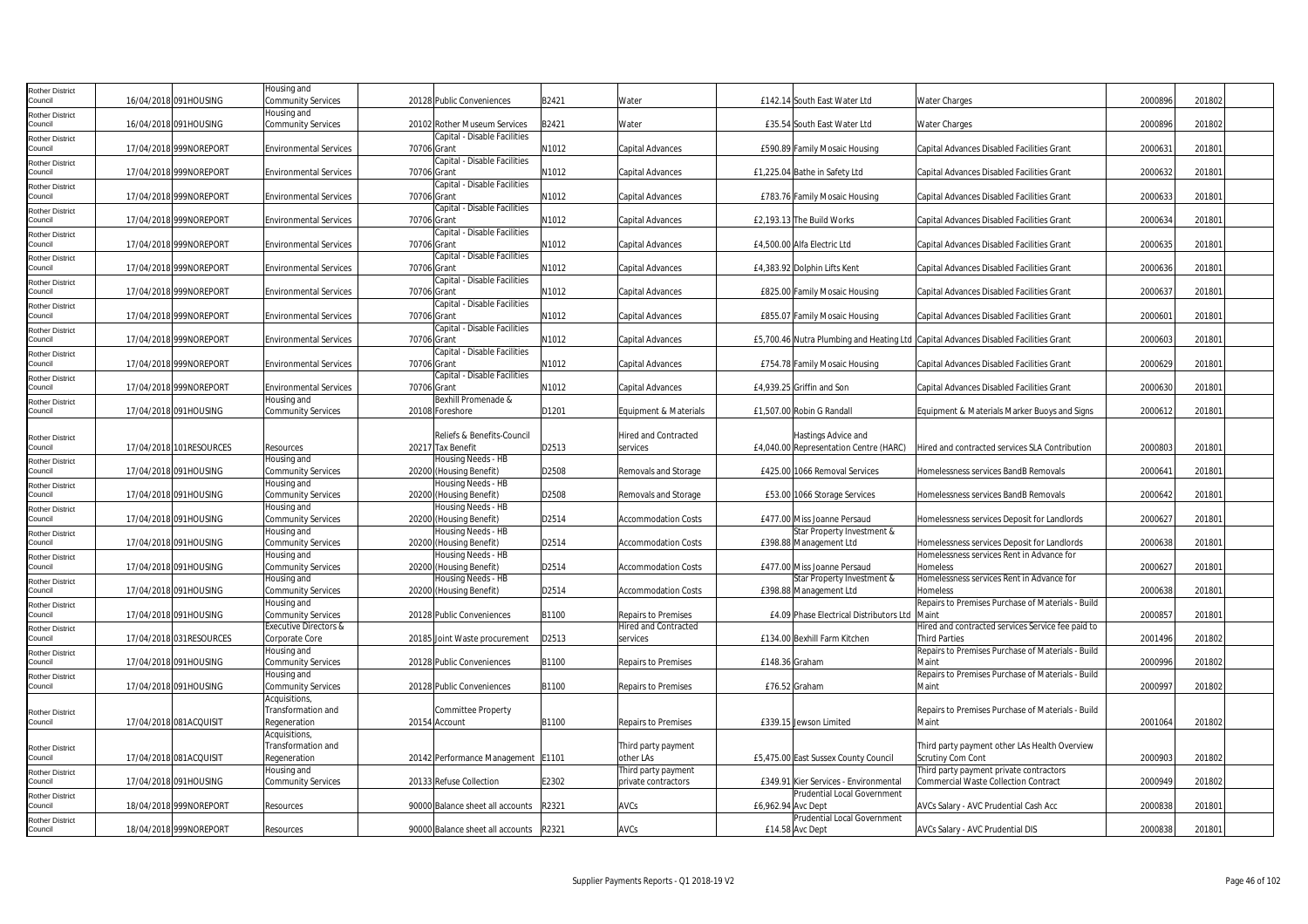| <b>Rother District</b><br>Council | 16/04/2018 091HOUSING   | Housing and<br><b>Community Services</b>     |             | 20128 Public Conveniences                       | B2421 | Water                                   |                    | £142.14 South East Water Ltd                  | <b>Water Charges</b>                                                                     | 2000896 | 201802 |  |
|-----------------------------------|-------------------------|----------------------------------------------|-------------|-------------------------------------------------|-------|-----------------------------------------|--------------------|-----------------------------------------------|------------------------------------------------------------------------------------------|---------|--------|--|
| Rother District                   |                         | Housing and                                  |             |                                                 |       |                                         |                    |                                               |                                                                                          |         |        |  |
| Council                           | 16/04/2018 091HOUSING   | <b>Community Services</b>                    |             | 20102 Rother Museum Services                    | B2421 | Water                                   |                    | £35.54 South East Water Ltd                   | <b>Water Charges</b>                                                                     | 2000896 | 201802 |  |
| <b>Rother District</b><br>Council | 17/04/2018 999NOREPORT  | <b>Environmental Services</b>                | 70706 Grant | Capital - Disable Facilities                    | N1012 | Capital Advances                        |                    | £590.89 Family Mosaic Housing                 | Capital Advances Disabled Facilities Grant                                               | 2000631 | 201801 |  |
| Rother District                   |                         |                                              |             | Capital - Disable Facilities                    |       |                                         |                    |                                               |                                                                                          |         |        |  |
| Council                           | 17/04/2018 999NOREPORT  | <b>Environmental Services</b>                | 70706 Grant |                                                 | N1012 | Capital Advances                        |                    | £1,225.04 Bathe in Safety Ltd                 | Capital Advances Disabled Facilities Grant                                               | 2000632 | 201801 |  |
| <b>Rother District</b>            |                         |                                              |             | Capital - Disable Facilities                    |       |                                         |                    |                                               | Capital Advances Disabled Facilities Grant                                               | 2000633 | 201801 |  |
| Council<br><b>Rother District</b> | 17/04/2018 999NOREPORT  | <b>Environmental Services</b>                |             | 70706 Grant<br>Capital - Disable Facilities     | N1012 | Capital Advances                        |                    | £783.76 Family Mosaic Housing                 |                                                                                          |         |        |  |
| Council                           | 17/04/2018 999NOREPORT  | <b>Environmental Services</b>                | 70706 Grant |                                                 | N1012 | Capital Advances                        |                    | £2,193.13 The Build Works                     | Capital Advances Disabled Facilities Grant                                               | 2000634 | 201801 |  |
| <b>Rother District</b>            |                         |                                              |             | Capital - Disable Facilities                    |       |                                         |                    |                                               |                                                                                          |         |        |  |
| Council                           | 17/04/2018 999NOREPORT  | <b>Environmental Services</b>                |             | 70706 Grant<br>Capital - Disable Facilities     | N1012 | Capital Advances                        |                    | £4,500.00 Alfa Electric Ltd                   | Capital Advances Disabled Facilities Grant                                               | 2000635 | 201801 |  |
| <b>Rother District</b><br>Council | 17/04/2018 999NOREPORT  | <b>Environmental Services</b>                | 70706 Grant |                                                 | N1012 | Capital Advances                        |                    | £4,383.92 Dolphin Lifts Kent                  | Capital Advances Disabled Facilities Grant                                               | 2000636 | 201801 |  |
| <b>Rother District</b>            |                         |                                              |             | Capital - Disable Facilities                    |       |                                         |                    |                                               |                                                                                          |         |        |  |
| Council                           | 17/04/2018 999NOREPORT  | <b>Environmental Services</b>                | 70706 Grant | Capital - Disable Facilities                    | N1012 | Capital Advances                        |                    | £825.00 Family Mosaic Housing                 | Capital Advances Disabled Facilities Grant                                               | 2000637 | 201801 |  |
| Rother District<br>Council        | 17/04/2018 999NOREPORT  | <b>Environmental Services</b>                |             | 70706 Grant                                     | N1012 | Capital Advances                        |                    | £855.07 Family Mosaic Housing                 | Capital Advances Disabled Facilities Grant                                               | 200060  | 201801 |  |
| <b>Rother District</b>            |                         |                                              |             | Capital - Disable Facilities                    |       |                                         |                    |                                               |                                                                                          |         |        |  |
| Council                           | 17/04/2018 999NOREPORT  | <b>Environmental Services</b>                | 70706 Grant |                                                 | N1012 | Capital Advances                        |                    |                                               | £5,700.46 Nutra Plumbing and Heating Ltd Capital Advances Disabled Facilities Grant      | 2000603 | 201801 |  |
| <b>Rother District</b><br>Council | 17/04/2018 999NOREPORT  | <b>Environmental Services</b>                | 70706 Grant | Capital - Disable Facilities                    | N1012 | Capital Advances                        |                    | £754.78 Family Mosaic Housing                 | Capital Advances Disabled Facilities Grant                                               | 2000629 | 201801 |  |
| Rother District                   |                         |                                              |             | Capital - Disable Facilities                    |       |                                         |                    |                                               |                                                                                          |         |        |  |
| Council                           | 17/04/2018 999NOREPORT  | <b>Environmental Services</b><br>Housing and | 70706 Grant | Bexhill Promenade &                             | N1012 | Capital Advances                        |                    | £4,939.25 Griffin and Son                     | Capital Advances Disabled Facilities Grant                                               | 200063  | 201801 |  |
| <b>Rother District</b><br>Council | 17/04/2018 091HOUSING   | <b>Community Services</b>                    |             | 20108 Foreshore                                 | D1201 | Equipment & Materials                   |                    | £1,507.00 Robin G Randall                     | Equipment & Materials Marker Buoys and Signs                                             | 2000612 | 201801 |  |
|                                   |                         |                                              |             |                                                 |       |                                         |                    |                                               |                                                                                          |         |        |  |
| <b>Rother District</b><br>Council | 17/04/2018 101RESOURCES |                                              |             | Reliefs & Benefits-Council<br>20217 Tax Benefit | D2513 | <b>Hired and Contracted</b><br>services |                    | Hastings Advice and                           | Hired and contracted services SLA Contribution                                           | 2000803 |        |  |
| <b>Rother District</b>            |                         | Resources<br>Housing and                     |             | Housing Needs - HB                              |       |                                         |                    | £4,040.00 Representation Centre (HARC)        |                                                                                          |         | 201801 |  |
| Council                           | 17/04/2018 091HOUSING   | <b>Community Services</b>                    |             | 20200 (Housing Benefit)                         | D2508 | Removals and Storage                    |                    | £425.00 1066 Removal Services                 | Homelessness services BandB Removals                                                     | 200064  | 201801 |  |
| <b>Rother District</b>            |                         | Housing and                                  |             | Housing Needs - HB                              |       |                                         |                    |                                               |                                                                                          |         |        |  |
| Council<br><b>Rother District</b> | 17/04/2018 091HOUSING   | <b>Community Services</b><br>Housing and     |             | 20200 (Housing Benefit)<br>Housing Needs - HB   | D2508 | Removals and Storage                    |                    | £53.00 1066 Storage Services                  | Homelessness services BandB Removals                                                     | 2000642 | 201801 |  |
| Council                           | 17/04/2018 091HOUSING   | <b>Community Services</b>                    |             | 20200 (Housing Benefit)                         | D2514 | <b>Accommodation Costs</b>              |                    | £477.00 Miss Joanne Persaud                   | Homelessness services Deposit for Landlords                                              | 2000627 | 201801 |  |
| <b>Rother District</b>            |                         | Housing and                                  |             | Housing Needs - HB                              |       |                                         |                    | Star Property Investment &                    |                                                                                          |         |        |  |
| Council                           | 17/04/2018 091HOUSING   | <b>Community Services</b><br>Housing and     |             | 20200 (Housing Benefit)<br>Housing Needs - HB   | D2514 | <b>Accommodation Costs</b>              |                    | £398.88 Management Ltd                        | Homelessness services Deposit for Landlords<br>Homelessness services Rent in Advance for | 2000638 | 201801 |  |
| <b>Rother District</b><br>Council | 17/04/2018 091HOUSING   | <b>Community Services</b>                    |             | 20200 (Housing Benefit)                         | D2514 | <b>Accommodation Costs</b>              |                    | £477.00 Miss Joanne Persaud                   | Homeless                                                                                 | 2000627 | 201801 |  |
| <b>Rother District</b>            |                         | Housing and                                  |             | Housing Needs - HB                              |       |                                         |                    | Star Property Investment &                    | Homelessness services Rent in Advance for                                                |         |        |  |
| Council                           | 17/04/2018 091HOUSING   | Community Services                           |             | 20200 (Housing Benefit)                         | D2514 | <b>Accommodation Costs</b>              |                    | £398.88 Management Ltd                        | Homeless<br>Repairs to Premises Purchase of Materials - Build                            | 2000638 | 201801 |  |
| Rother District<br>Council        | 17/04/2018 091HOUSING   | Housing and<br><b>Community Services</b>     |             | 20128 Public Conveniences                       | B1100 | Repairs to Premises                     |                    | £4.09 Phase Electrical Distributors Ltd Maint |                                                                                          | 2000857 | 201801 |  |
| <b>Rother District</b>            |                         | <b>Executive Directors &amp;</b>             |             |                                                 |       | Hired and Contracted                    |                    |                                               | Hired and contracted services Service fee paid to                                        |         |        |  |
| Council                           | 17/04/2018 031RESOURCES | Corporate Core                               |             | 20185 Joint Waste procurement                   | D2513 | services                                |                    | £134.00 Bexhill Farm Kitchen                  | <b>Third Parties</b><br>Repairs to Premises Purchase of Materials - Build                | 2001496 | 201802 |  |
| <b>Rother District</b><br>Council | 17/04/2018 091HOUSING   | Housing and<br><b>Community Services</b>     |             | 20128 Public Conveniences                       | B1100 | <b>Repairs to Premises</b>              | £148.36 Graham     |                                               | Maint                                                                                    | 2000996 | 201802 |  |
| Rother District                   |                         | Housing and                                  |             |                                                 |       |                                         |                    |                                               | Repairs to Premises Purchase of Materials - Build                                        |         |        |  |
| Council                           | 17/04/2018 091HOUSING   | <b>Community Services</b>                    |             | 20128 Public Conveniences                       | B1100 | <b>Repairs to Premises</b>              |                    | £76.52 Graham                                 | Maint                                                                                    | 2000997 | 201802 |  |
|                                   |                         | Acquisitions,<br>Transformation and          |             | <b>Committee Property</b>                       |       |                                         |                    |                                               | Repairs to Premises Purchase of Materials - Build                                        |         |        |  |
| <b>Rother District</b><br>Council | 17/04/2018 081ACQUISIT  | Regeneration                                 |             | 20154 Account                                   | B1100 | Repairs to Premises                     |                    | £339.15 Jewson Limited                        | Maint                                                                                    | 2001064 | 201802 |  |
|                                   |                         | Acquisitions,                                |             |                                                 |       |                                         |                    |                                               |                                                                                          |         |        |  |
| <b>Rother District</b><br>Council | 17/04/2018 081ACQUISIT  | Transformation and<br>Regeneration           |             | 20142 Performance Management   E1101            |       | Third party payment<br>other LAs        |                    | £5,475.00 East Sussex County Council          | Third party payment other LAs Health Overview<br><b>Scrutiny Com Cont</b>                | 2000903 | 201802 |  |
| <b>Rother District</b>            |                         | Housing and                                  |             |                                                 |       | Third party payment                     |                    |                                               | Third party payment private contractors                                                  |         |        |  |
| Council                           | 17/04/2018 091HOUSING   | <b>Community Services</b>                    |             | 20133 Refuse Collection                         | E2302 | private contractors                     |                    | £349.91 Kier Services - Environmental         | <b>Commercial Waste Collection Contract</b>                                              | 2000949 | 201802 |  |
| <b>Rother District</b><br>Council | 18/04/2018 999NOREPORT  | Resources                                    |             | 90000 Balance sheet all accounts                | R2321 | AVCs                                    | £6,962.94 Avc Dept | Prudential Local Government                   | AVCs Salary - AVC Prudential Cash Acc                                                    | 2000838 | 201801 |  |
| <b>Rother District</b>            |                         |                                              |             |                                                 |       |                                         |                    | Prudential Local Government                   |                                                                                          |         |        |  |
| Council                           | 18/04/2018 999NOREPORT  | Resources                                    |             | 90000 Balance sheet all accounts                | R2321 | AVCs                                    |                    | £14.58 Avc Dept                               | AVCs Salary - AVC Prudential DIS                                                         | 2000838 | 201801 |  |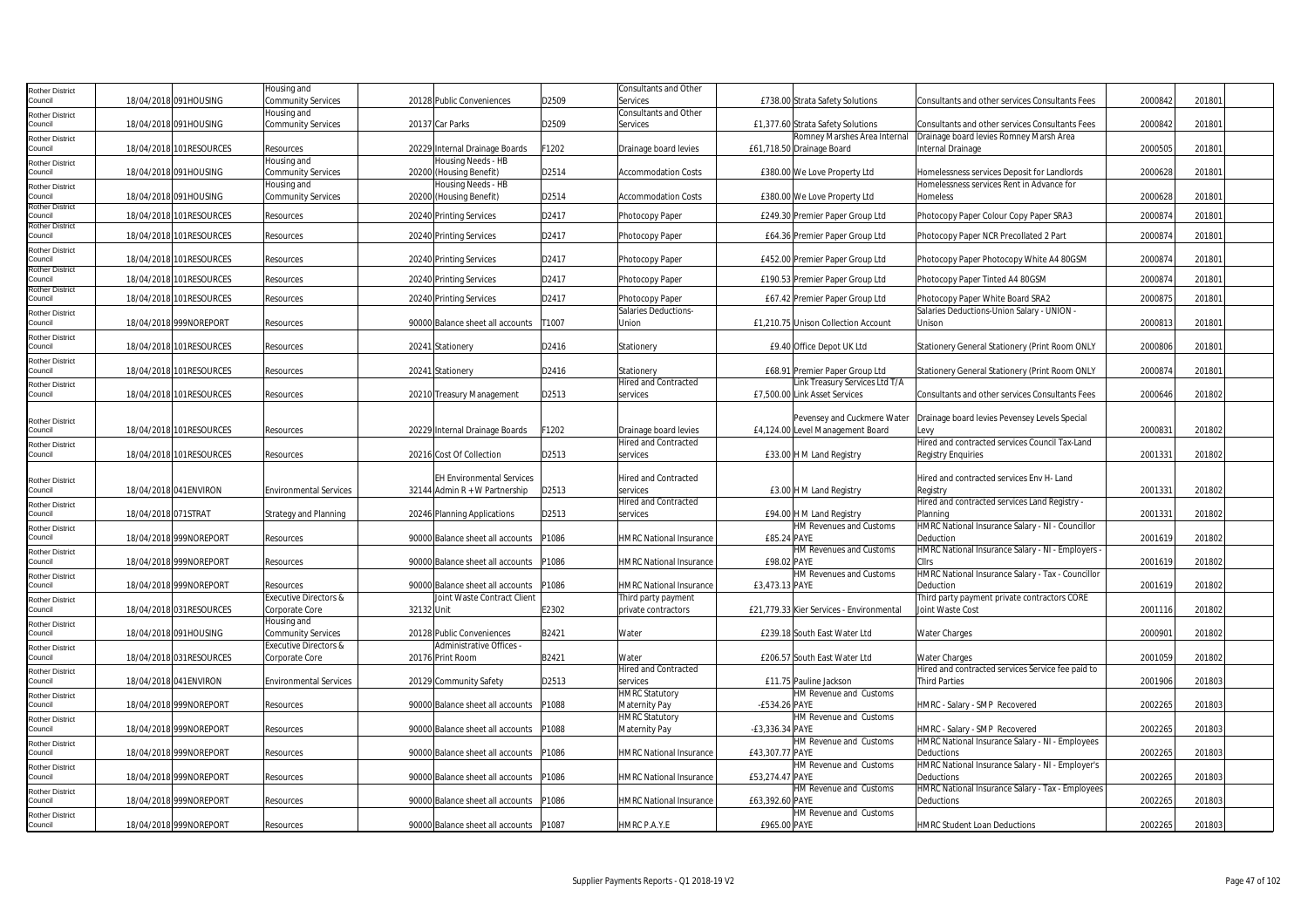| Rother District                   |                          | Housing and                   |            |                                  |       | <b>Consultants and Other</b>   |                 |                                                     |                                                                |         |        |
|-----------------------------------|--------------------------|-------------------------------|------------|----------------------------------|-------|--------------------------------|-----------------|-----------------------------------------------------|----------------------------------------------------------------|---------|--------|
| Council                           | 18/04/2018 091HOUSING    | Community Services            |            | 20128 Public Conveniences        | D2509 | Services                       |                 | £738.00 Strata Safety Solutions                     | Consultants and other services Consultants Fees                | 2000842 | 201801 |
| <b>Rother District</b>            |                          | Housing and                   |            |                                  |       | Consultants and Other          |                 |                                                     |                                                                |         |        |
| Council                           | 18/04/2018 091HOUSING    | Community Services            |            | 20137 Car Parks                  | D2509 | Services                       |                 | £1,377.60 Strata Safety Solutions                   | Consultants and other services Consultants Fees                | 200084  | 20180  |
| <b>Rother District</b>            |                          |                               |            |                                  |       |                                |                 | Romney Marshes Area Internal                        | Drainage board levies Romney Marsh Area                        |         |        |
| Council                           | 18/04/2018 101RESOURCES  | Resources                     |            | 20229 Internal Drainage Boards   | F1202 | Drainage board levies          |                 | £61,718.50 Drainage Board                           | Internal Drainage                                              | 2000505 | 201801 |
| <b>Rother District</b>            |                          | Housing and                   |            | Housing Needs - HB               |       |                                |                 |                                                     |                                                                |         |        |
| Council                           | 18/04/2018 091HOUSING    | Community Services            |            | 20200 (Housing Benefit)          | D2514 | <b>Accommodation Costs</b>     |                 | £380.00 We Love Property Ltd                        | Homelessness services Deposit for Landlords                    | 2000628 | 201801 |
| <b>Rother District</b>            |                          | Housing and                   |            | Housing Needs - HB               |       |                                |                 |                                                     | Homelessness services Rent in Advance for                      |         |        |
| Council                           | 18/04/2018 091HOUSING    | Community Services            |            | 20200 (Housing Benefit)          | D2514 | <b>Accommodation Costs</b>     |                 | £380.00 We Love Property Ltd                        | Homeless                                                       | 2000628 | 201801 |
| <b>Rother District</b><br>Council |                          |                               |            |                                  |       |                                |                 |                                                     |                                                                |         |        |
| <b>Rother District</b>            | 18/04/2018 101RESOURCES  | Resources                     |            | 20240 Printing Services          | D2417 | Photocopy Paper                |                 | £249.30 Premier Paper Group Ltd                     | Photocopy Paper Colour Copy Paper SRA3                         | 200087  | 201801 |
| Council                           | 18/04/2018 101RESOURCES  | Resources                     |            | 20240 Printing Services          | D2417 | Photocopy Paper                |                 | £64.36 Premier Paper Group Ltd                      | Photocopy Paper NCR Precollated 2 Part                         | 200087  | 201801 |
| <b>Rother District</b>            |                          |                               |            |                                  |       |                                |                 |                                                     |                                                                |         |        |
| Council                           | 18/04/2018 101 RESOURCES | Resources                     |            | 20240 Printing Services          | D2417 | Photocopy Paper                |                 | £452.00 Premier Paper Group Ltd                     | Photocopy Paper Photocopy White A4 80GSM                       | 200087  | 20180  |
| <b>Rother District</b>            |                          |                               |            |                                  |       |                                |                 |                                                     |                                                                |         |        |
| Council                           | 18/04/2018 101RESOURCES  | Resources                     |            | 20240 Printing Services          | D2417 | Photocopy Paper                |                 | £190.53 Premier Paper Group Ltd                     | Photocopy Paper Tinted A4 80GSM                                | 2000874 | 201801 |
| Rother District<br>Council        | 18/04/2018 101RESOURCES  | Resources                     |            | 20240 Printing Services          | D2417 | Photocopy Paper                |                 | £67.42 Premier Paper Group Ltd                      | Photocopy Paper White Board SRA2                               | 200087  | 20180  |
| Rother District                   |                          |                               |            |                                  |       | Salaries Deductions-           |                 |                                                     | Salaries Deductions-Union Salary - UNION -                     |         |        |
| Council                           | 18/04/2018 999NOREPORT   | Resources                     |            | 90000 Balance sheet all accounts | T1007 | Union                          |                 | £1,210.75 Unison Collection Account                 | Unison                                                         | 200081  | 201801 |
| <b>Rother District</b>            |                          |                               |            |                                  |       |                                |                 |                                                     |                                                                |         |        |
| Council                           | 18/04/2018 101RESOURCES  | Resources                     |            | 20241 Stationery                 | D2416 | Stationery                     |                 | £9.40 Office Depot UK Ltd                           | Stationery General Stationery (Print Room ONLY                 | 200080  | 201801 |
| <b>Rother District</b>            |                          |                               |            |                                  |       |                                |                 |                                                     |                                                                |         |        |
| Council                           | 18/04/2018 101 RESOURCES | Resources                     |            | 20241 Stationery                 | D2416 | Stationery                     |                 | £68.91 Premier Paper Group Ltd                      | Stationery General Stationery (Print Room ONLY                 | 200087  | 20180  |
| <b>Rother District</b>            |                          |                               |            |                                  |       | <b>Hired and Contracted</b>    |                 | Link Treasury Services Ltd T/A                      |                                                                |         |        |
| Council                           | 18/04/2018 101RESOURCES  | Resources                     |            | 20210 Treasury Management        | D2513 | services                       |                 | £7,500.00 Link Asset Services                       | Consultants and other services Consultants Fees                | 200064  | 201802 |
|                                   |                          |                               |            |                                  |       |                                |                 |                                                     |                                                                |         |        |
| <b>Rother District</b>            |                          |                               |            |                                  |       |                                |                 | Pevensey and Cuckmere Water                         | Drainage board levies Pevensey Levels Special                  |         |        |
| Council                           | 18/04/2018 101RESOURCES  | Resources                     |            | 20229 Internal Drainage Boards   | F1202 | Drainage board levies          |                 | £4,124.00 Level Management Board                    | evv                                                            | 200083  | 201802 |
| <b>Rother District</b>            |                          |                               |            |                                  |       | <b>Hired and Contracted</b>    |                 |                                                     | Hired and contracted services Council Tax-Land                 |         |        |
| Council                           | 18/04/2018 101RESOURCES  | Resources                     |            | 20216 Cost Of Collection         | D2513 | services                       |                 | £33.00 H M Land Registry                            | <b>Registry Enquiries</b>                                      | 200133  | 201802 |
|                                   |                          |                               |            |                                  |       |                                |                 |                                                     |                                                                |         |        |
| <b>Rother District</b>            |                          |                               |            | <b>EH Environmental Services</b> |       | <b>Hired and Contracted</b>    |                 |                                                     | Hired and contracted services Env H- Land                      |         |        |
| Council                           | 18/04/2018 041 ENVIRON   | <b>Environmental Services</b> |            | 32144 Admin R + W Partnership    | D2513 | services                       |                 | £3.00 H M Land Registry                             | Registry                                                       | 200133  | 201802 |
| Rother District                   |                          |                               |            |                                  |       | Hired and Contracted           |                 |                                                     | Hired and contracted services Land Registry -                  |         |        |
| Council                           | 18/04/2018 071STRAT      | Strategy and Planning         |            | 20246 Planning Applications      | D2513 | services                       |                 | £94.00 H M Land Registry<br>HM Revenues and Customs | Planning<br>HMRC National Insurance Salary - NI - Councillor   | 200133  | 201802 |
| <b>Rother District</b><br>Council | 18/04/2018 999NOREPORT   |                               |            | 90000 Balance sheet all accounts | P1086 | <b>HMRC National Insurance</b> | £85.24 PAYE     |                                                     |                                                                | 200161  | 201802 |
|                                   |                          | Resources                     |            |                                  |       |                                |                 | <b>HM Revenues and Customs</b>                      | Deduction<br>HMRC National Insurance Salary - NI - Employers - |         |        |
| <b>Rother District</b><br>Council | 18/04/2018 999NOREPORT   | Resources                     |            | 90000 Balance sheet all accounts | P1086 | <b>HMRC National Insurance</b> | £98.02 PAYE     |                                                     |                                                                | 200161  | 201802 |
|                                   |                          |                               |            |                                  |       |                                |                 | HM Revenues and Customs                             | HMRC National Insurance Salary - Tax - Councillor              |         |        |
| <b>Rother District</b><br>Council | 18/04/2018 999NOREPORT   | Resources                     |            | 90000 Balance sheet all accounts | P1086 | <b>HMRC National Insurance</b> | £3,473.13 PAYE  |                                                     | Deduction                                                      | 200161  | 201802 |
| <b>Rother District</b>            |                          | Executive Directors &         |            | Joint Waste Contract Client      |       | Third party payment            |                 |                                                     | Third party payment private contractors CORE                   |         |        |
| Council                           | 18/04/2018 031RESOURCES  | Corporate Core                | 32132 Unit |                                  | E2302 | private contractors            |                 | £21,779.33 Kier Services - Environmental            | Joint Waste Cost                                               | 200111  | 201802 |
| <b>Rother District</b>            |                          | Housing and                   |            |                                  |       |                                |                 |                                                     |                                                                |         |        |
| Council                           | 18/04/2018 091HOUSING    | Community Services            |            | 20128 Public Conveniences        | B2421 | Water                          |                 | £239.18 South East Water Ltd                        | Water Charges                                                  | 2000901 | 201802 |
| <b>Rother District</b>            |                          | Executive Directors &         |            | Administrative Offices -         |       |                                |                 |                                                     |                                                                |         |        |
| Council                           | 18/04/2018 031RESOURCES  | Corporate Core                |            | 20176 Print Room                 | B2421 | Water                          |                 | £206.57 South East Water Ltd                        | Water Charges                                                  | 200105  | 201802 |
| <b>Rother District</b>            |                          |                               |            |                                  |       | <b>Hired and Contracted</b>    |                 |                                                     | Hired and contracted services Service fee paid to              |         |        |
| Council                           | 18/04/2018 041 ENVIRON   | <b>Environmental Services</b> |            | 20129 Community Safety           | D2513 | services                       |                 | £11.75 Pauline Jackson                              | <b>Third Parties</b>                                           | 2001906 | 201803 |
| <b>Rother District</b>            |                          |                               |            |                                  |       | <b>HMRC Statutory</b>          |                 | <b>HM Revenue and Customs</b>                       |                                                                |         |        |
| Council                           | 18/04/2018 999NOREPORT   | Resources                     |            | 90000 Balance sheet all accounts | P1088 | Maternity Pay                  | -£534.26 PAYE   |                                                     | HMRC - Salary - SMP Recovered                                  | 200226  | 201803 |
| <b>Rother District</b>            |                          |                               |            |                                  |       | <b>HMRC Statutory</b>          |                 | HM Revenue and Customs                              |                                                                |         |        |
| Council                           | 18/04/2018 999NOREPORT   | Resources                     |            | 90000 Balance sheet all accounts | P1088 | Maternity Pay                  | -£3,336.34 PAYE |                                                     | HMRC - Salary - SMP Recovered                                  | 200226  | 201803 |
| <b>Rother District</b>            |                          |                               |            |                                  |       |                                |                 | HM Revenue and Customs                              | HMRC National Insurance Salary - NI - Employees                |         |        |
| Council                           | 18/04/2018 999NOREPORT   | Resources                     |            | 90000 Balance sheet all accounts | P1086 | <b>HMRC National Insurance</b> | £43,307.77 PAYE |                                                     | Deductions                                                     | 2002265 | 201803 |
| <b>Rother District</b>            |                          |                               |            |                                  |       |                                |                 | HM Revenue and Customs                              | HMRC National Insurance Salary - NI - Employer's               |         |        |
| Council                           | 18/04/2018 999NOREPORT   | Resources                     |            | 90000 Balance sheet all accounts | P1086 | <b>HMRC National Insurance</b> | £53,274.47 PAYE |                                                     | Deductions                                                     | 200226  | 201803 |
| <b>Rother District</b><br>Council | 18/04/2018 999NOREPORT   | Resources                     |            | 90000 Balance sheet all accounts | P1086 | <b>HMRC National Insurance</b> | £63,392.60 PAYE | HM Revenue and Customs                              | HMRC National Insurance Salary - Tax - Employees               | 2002265 | 201803 |
|                                   |                          |                               |            |                                  |       |                                |                 | HM Revenue and Customs                              | Deductions                                                     |         |        |
| <b>Rother District</b>            | 18/04/2018 999NOREPORT   |                               |            | 90000 Balance sheet all accounts | P1087 | HMRC P.A.Y.E                   | £965.00 PAYE    |                                                     | <b>HMRC Student Loan Deductions</b>                            | 2002265 | 201803 |
| Council                           |                          | Resources                     |            |                                  |       |                                |                 |                                                     |                                                                |         |        |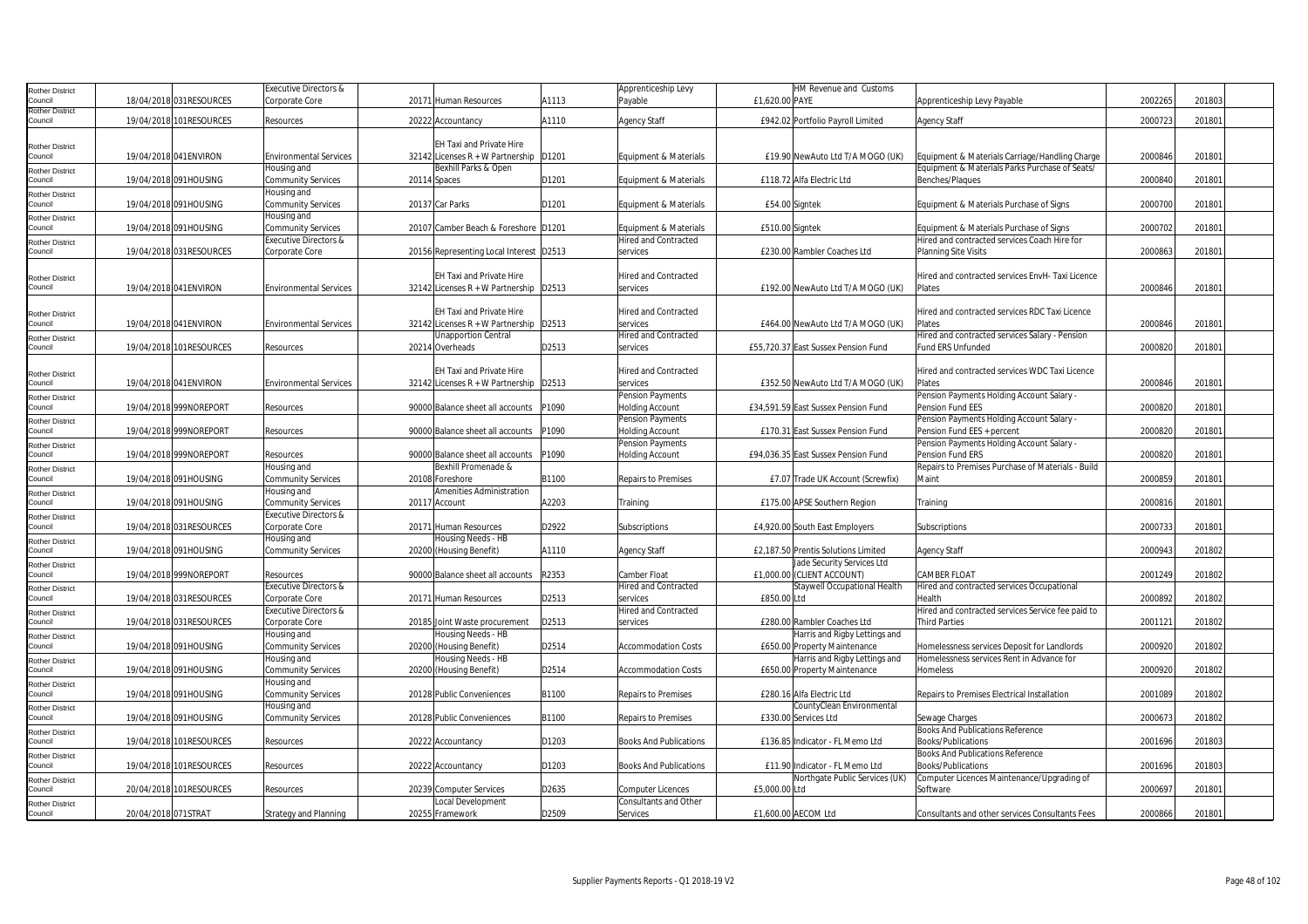| <b>Rother District</b>     |                         | <b>Executive Directors &amp;</b> |                                          |       | Apprenticeship Levy           | HM Revenue and Customs              |                                                   |         |        |  |
|----------------------------|-------------------------|----------------------------------|------------------------------------------|-------|-------------------------------|-------------------------------------|---------------------------------------------------|---------|--------|--|
| Council                    | 18/04/2018 031RESOURCES | Corporate Core                   | 20171 Human Resources                    | A1113 | Payable                       | £1,620.00 PAYE                      | Apprenticeship Levy Payable                       | 2002265 | 201803 |  |
| <b>Rother District</b>     |                         |                                  |                                          |       |                               |                                     |                                                   |         |        |  |
| Council                    | 19/04/2018 101RESOURCES | Resources                        | 20222 Accountancy                        | A1110 | <b>Agency Staff</b>           | £942.02 Portfolio Payroll Limited   | Agency Staff                                      | 2000723 | 201801 |  |
|                            |                         |                                  |                                          |       |                               |                                     |                                                   |         |        |  |
|                            |                         |                                  | <b>EH Taxi and Private Hire</b>          |       |                               |                                     |                                                   |         |        |  |
| Rother District<br>Council | 19/04/2018 041 ENVIRON  | <b>Environmental Services</b>    | 32142 Licenses R + W Partnership   D1201 |       | Equipment & Materials         | £19.90 NewAuto Ltd T/A MOGO (UK)    | Equipment & Materials Carriage/Handling Charge    | 2000846 | 201801 |  |
|                            |                         |                                  | Bexhill Parks & Open                     |       |                               |                                     | Equipment & Materials Parks Purchase of Seats/    |         |        |  |
| <b>Rother District</b>     |                         | Housing and                      |                                          |       |                               |                                     |                                                   |         |        |  |
| Council                    | 19/04/2018 091HOUSING   | <b>Community Services</b>        | 20114 Spaces                             | D1201 | Equipment & Materials         | £118.72 Alfa Electric Ltd           | Benches/Plaques                                   | 2000840 | 201801 |  |
| Rother District            |                         | Housing and                      |                                          |       |                               |                                     |                                                   |         |        |  |
| Council                    | 19/04/2018 091HOUSING   | <b>Community Services</b>        | 20137 Car Parks                          | D1201 | Equipment & Materials         | £54.00 Signtek                      | Equipment & Materials Purchase of Signs           | 200070  | 20180  |  |
| Rother District            |                         | Housing and                      |                                          |       |                               |                                     |                                                   |         |        |  |
| Council                    | 19/04/2018 091HOUSING   | <b>Community Services</b>        | 20107 Camber Beach & Foreshore D1201     |       | Equipment & Materials         | £510.00 Signtek                     | Equipment & Materials Purchase of Signs           | 200070  | 20180  |  |
| Rother District            |                         | <b>Executive Directors &amp;</b> |                                          |       | <b>Hired and Contracted</b>   |                                     | Hired and contracted services Coach Hire for      |         |        |  |
| Council                    | 19/04/2018 031RESOURCES | Corporate Core                   | 20156 Representing Local Interest D2513  |       | services                      | £230.00 Rambler Coaches Ltd         | <b>Planning Site Visits</b>                       | 200086  | 20180  |  |
|                            |                         |                                  |                                          |       |                               |                                     |                                                   |         |        |  |
|                            |                         |                                  | <b>EH Taxi and Private Hire</b>          |       | <b>Hired and Contracted</b>   |                                     | Hired and contracted services EnvH-Taxi Licence   |         |        |  |
| Rother District            |                         |                                  |                                          |       |                               |                                     |                                                   |         |        |  |
| Council                    | 19/04/2018 041ENVIRON   | <b>Environmental Services</b>    | 32142 Licenses R + W Partnership   D2513 |       | services                      | £192.00 NewAuto Ltd T/A MOGO (UK)   | Plates                                            | 2000846 | 201801 |  |
|                            |                         |                                  |                                          |       |                               |                                     |                                                   |         |        |  |
| <b>Rother District</b>     |                         |                                  | EH Taxi and Private Hire                 |       | Hired and Contracted          |                                     | Hired and contracted services RDC Taxi Licence    |         |        |  |
| Council                    | 19/04/2018 041 ENVIRON  | <b>Environmental Services</b>    | 32142 Licenses $R + W$ Partnership D2513 |       | services                      | £464.00 NewAuto Ltd T/A MOGO (UK)   | Plates                                            | 2000846 | 201801 |  |
| Rother District            |                         |                                  | <b>Unapportion Central</b>               |       | <b>Hired and Contracted</b>   |                                     | Hired and contracted services Salary - Pension    |         |        |  |
| Council                    | 19/04/2018 101RESOURCES | Resources                        | 20214 Overheads                          | D2513 | services                      | £55,720.37 East Sussex Pension Fund | Fund ERS Unfunded                                 | 2000820 | 201801 |  |
|                            |                         |                                  |                                          |       |                               |                                     |                                                   |         |        |  |
|                            |                         |                                  | EH Taxi and Private Hire                 |       | Hired and Contracted          |                                     | Hired and contracted services WDC Taxi Licence    |         |        |  |
| Rother District            | 19/04/2018 041 ENVIRON  | <b>Environmental Services</b>    | 32142 Licenses $R + W$ Partnership D2513 |       | services                      | £352.50 NewAuto Ltd T/A MOGO (UK)   | Plates                                            | 200084  | 201801 |  |
| Council                    |                         |                                  |                                          |       |                               |                                     |                                                   |         |        |  |
| <b>Rother District</b>     |                         |                                  |                                          |       | Pension Payments              |                                     | Pension Payments Holding Account Salary           |         |        |  |
| Council                    | 19/04/2018 999NOREPORT  | Resources                        | 90000 Balance sheet all accounts         | P1090 | <b>Holding Account</b>        | £34,591.59 East Sussex Pension Fund | Pension Fund EES                                  | 200082  | 201801 |  |
| <b>Rother District</b>     |                         |                                  |                                          |       | <b>Pension Payments</b>       |                                     | Pension Payments Holding Account Salary -         |         |        |  |
| Council                    | 19/04/2018 999NOREPORT  | Resources                        | 90000 Balance sheet all accounts         | P1090 | <b>Holding Account</b>        | £170.31 East Sussex Pension Fund    | Pension Fund EES + percent                        | 200082  | 20180  |  |
| Rother District            |                         |                                  |                                          |       | <b>Pension Payments</b>       |                                     | Pension Payments Holding Account Salary -         |         |        |  |
| Council                    | 19/04/2018 999NOREPORT  | Resources                        | 90000 Balance sheet all accounts         | P1090 | <b>Holding Account</b>        | £94,036.35 East Sussex Pension Fund | Pension Fund ERS                                  | 200082  | 20180  |  |
| Rother District            |                         | Housing and                      | Bexhill Promenade &                      |       |                               |                                     | Repairs to Premises Purchase of Materials - Build |         |        |  |
| Council                    | 19/04/2018 091HOUSING   | <b>Community Services</b>        | 20108 Foreshore                          | B1100 | Repairs to Premises           | £7.07 Trade UK Account (Screwfix)   | Maint                                             | 2000859 | 201801 |  |
|                            |                         |                                  | <b>Amenities Administration</b>          |       |                               |                                     |                                                   |         |        |  |
| Rother District            |                         | Housing and                      |                                          |       |                               |                                     |                                                   |         |        |  |
| Council                    | 19/04/2018 091HOUSING   | <b>Community Services</b>        | 20117 Account                            | A2203 | Training                      | £175.00 APSE Southern Region        | Training                                          | 200081  | 201801 |  |
| Rother District            |                         | <b>Executive Directors &amp;</b> |                                          |       |                               |                                     |                                                   |         |        |  |
| Council                    | 19/04/2018 031RESOURCES | Corporate Core                   | 20171 Human Resources                    | D2922 | Subscriptions                 | £4,920.00 South East Employers      | Subscriptions                                     | 2000733 | 201801 |  |
| Rother District            |                         | Housing and                      | Housing Needs - HB                       |       |                               |                                     |                                                   |         |        |  |
| Council                    | 19/04/2018 091HOUSING   | <b>Community Services</b>        | 20200 (Housing Benefit)                  | A1110 | <b>Agency Staff</b>           | £2,187.50 Prentis Solutions Limited | <b>Agency Staff</b>                               | 200094  | 201802 |  |
| Rother District            |                         |                                  |                                          |       |                               | Jade Security Services Ltd          |                                                   |         |        |  |
| Council                    | 19/04/2018 999NOREPORT  | Resources                        | 90000 Balance sheet all accounts         | R2353 | Camber Float                  | £1,000.00 (CLIENT ACCOUNT)          | CAMBER FLOAT                                      | 2001249 | 201802 |  |
|                            |                         | Executive Directors &            |                                          |       | <b>Hired and Contracted</b>   | Staywell Occupational Health        | Hired and contracted services Occupational        |         |        |  |
| Rother District<br>Council | 19/04/2018 031RESOURCES | Corporate Core                   | 20171 Human Resources                    | D2513 | services                      | £850.00 Ltd                         | Health                                            | 200089  | 201802 |  |
|                            |                         |                                  |                                          |       |                               |                                     |                                                   |         |        |  |
| <b>Rother District</b>     |                         | Executive Directors &            |                                          |       | Hired and Contracted          |                                     | Hired and contracted services Service fee paid to |         |        |  |
| Council                    | 19/04/2018 031RESOURCES | Corporate Core                   | 20185 Joint Waste procurement            | D2513 | services                      | £280.00 Rambler Coaches Ltd         | <b>Third Parties</b>                              | 200112  | 201802 |  |
| Rother District            |                         | Housing and                      | Housing Needs - HB                       |       |                               | Harris and Rigby Lettings and       |                                                   |         |        |  |
| Council                    | 19/04/2018 091HOUSING   | <b>Community Services</b>        | 20200 (Housing Benefit)                  | D2514 | <b>Accommodation Costs</b>    | £650.00 Property Maintenance        | Homelessness services Deposit for Landlords       | 2000920 | 201802 |  |
| <b>Rother District</b>     |                         | Housing and                      | Housing Needs - HB                       |       |                               | Harris and Rigby Lettings and       | Homelessness services Rent in Advance for         |         |        |  |
| Council                    | 19/04/2018 091HOUSING   | Community Services               | 20200 (Housing Benefit)                  | D2514 | <b>Accommodation Costs</b>    | £650.00 Property Maintenance        | Homeless                                          | 200092  | 201802 |  |
| Rother District            |                         | Housing and                      |                                          |       |                               |                                     |                                                   |         |        |  |
| Council                    | 19/04/2018 091HOUSING   | <b>Community Services</b>        | 20128 Public Conveniences                | B1100 | Repairs to Premises           | £280.16 Alfa Electric Ltd           | Repairs to Premises Electrical Installation       | 2001089 | 201802 |  |
|                            |                         | Housing and                      |                                          |       |                               | CountyClean Environmental           |                                                   |         |        |  |
| Rother District<br>Council | 19/04/2018 091HOUSING   | <b>Community Services</b>        | 20128 Public Conveniences                | B1100 | Repairs to Premises           | £330.00 Services Ltd                | Sewage Charges                                    | 200067  | 201802 |  |
|                            |                         |                                  |                                          |       |                               |                                     | <b>Books And Publications Reference</b>           |         |        |  |
| <b>Rother District</b>     |                         |                                  |                                          |       |                               |                                     |                                                   |         |        |  |
| Council                    | 19/04/2018 101RESOURCES | Resources                        | 20222 Accountancy                        | D1203 | <b>Books And Publications</b> | £136.85 Indicator - FL Memo Ltd     | Books/Publications                                | 2001696 | 201803 |  |
| <b>Rother District</b>     |                         |                                  |                                          |       |                               |                                     | Books And Publications Reference                  |         |        |  |
| Council                    | 19/04/2018 101RESOURCES | Resources                        | 20222 Accountancy                        | D1203 | <b>Books And Publications</b> | £11.90 Indicator - FL Memo Ltd      | Books/Publications                                | 2001696 | 201803 |  |
| <b>Rother District</b>     |                         |                                  |                                          |       |                               | Northgate Public Services (UK)      | Computer Licences Maintenance/Upgrading of        |         |        |  |
| Council                    | 20/04/2018 101RESOURCES | Resources                        | 20239 Computer Services                  | D2635 | <b>Computer Licences</b>      | £5,000.00 Ltd                       | Software                                          | 2000697 | 201801 |  |
| <b>Rother District</b>     |                         |                                  | <b>Local Development</b>                 |       | Consultants and Other         |                                     |                                                   |         |        |  |
| Council                    | 20/04/2018 071STRAT     | <b>Strategy and Planning</b>     | 20255 Framework                          | D2509 | Services                      | £1,600.00 AECOM Ltd                 | Consultants and other services Consultants Fees   | 2000866 | 201801 |  |
|                            |                         |                                  |                                          |       |                               |                                     |                                                   |         |        |  |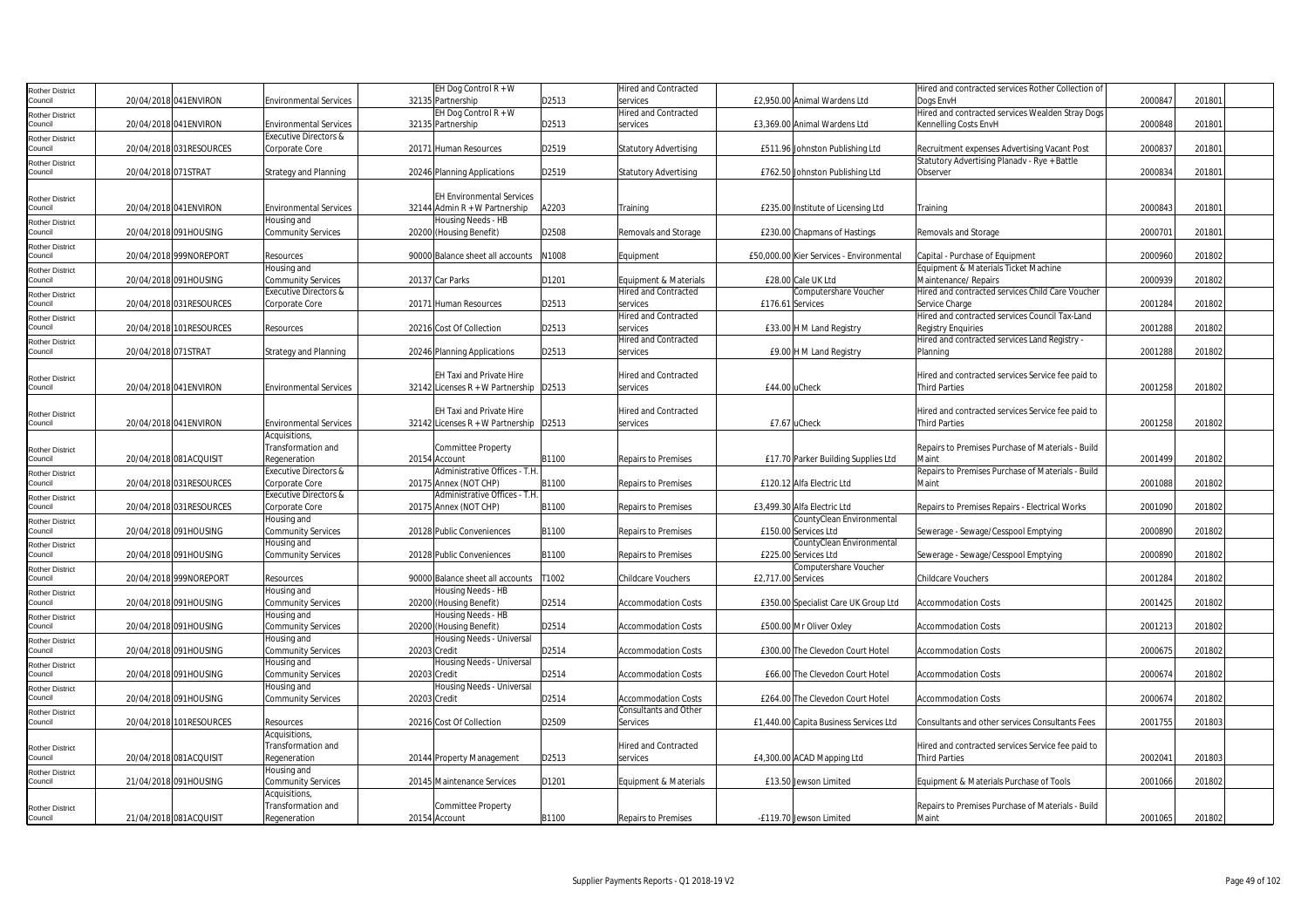| Rother District                   |                          |                                  |              | EH Dog Control R + W                     |       | Hired and Contracted         |                                          | Hired and contracted services Rother Collection of |         |        |  |
|-----------------------------------|--------------------------|----------------------------------|--------------|------------------------------------------|-------|------------------------------|------------------------------------------|----------------------------------------------------|---------|--------|--|
| Council                           | 20/04/2018 041 ENVIRON   | <b>Environmental Services</b>    |              | 32135 Partnership                        | D2513 | services                     | £2,950.00 Animal Wardens Ltd             | Doas EnvH                                          | 200084  | 201801 |  |
| Rother District                   |                          |                                  |              | EH Dog Control $R + W$                   |       | Hired and Contracted         |                                          | Hired and contracted services Wealden Stray Dogs   |         |        |  |
| Council                           | 20/04/2018 041 ENVIRON   | <b>Environmental Services</b>    |              | 32135 Partnership                        | D2513 | services                     | £3,369.00 Animal Wardens Ltd             | Kennelling Costs EnvH                              | 200084  | 201801 |  |
| <b>Rother District</b>            |                          | <b>Executive Directors &amp;</b> |              |                                          |       |                              |                                          |                                                    |         |        |  |
| Council                           | 20/04/2018 031 RESOURCES | Corporate Core                   |              | 20171 Human Resources                    | D2519 | <b>Statutory Advertising</b> | £511.96 Johnston Publishing Ltd          | Recruitment expenses Advertising Vacant Post       | 200083  | 20180  |  |
| <b>Rother District</b>            |                          |                                  |              |                                          |       |                              |                                          | Statutory Advertising Planadv - Rye + Battle       |         |        |  |
| Council                           | 20/04/2018 071STRAT      | <b>Strategy and Planning</b>     |              | 20246 Planning Applications              | D2519 | <b>Statutory Advertising</b> | £762.50 Johnston Publishing Ltd          | Observer                                           | 2000834 | 20180  |  |
|                                   |                          |                                  |              |                                          |       |                              |                                          |                                                    |         |        |  |
|                                   |                          |                                  |              | <b>EH Environmental Services</b>         |       |                              |                                          |                                                    |         |        |  |
| <b>Rother District</b><br>Council | 20/04/2018 041 ENVIRON   | <b>Environmental Services</b>    |              | 32144 Admin R + W Partnership            | A2203 | Training                     | £235.00 Institute of Licensing Ltd       |                                                    | 200084  | 20180  |  |
|                                   |                          | Housing and                      |              | Housing Needs - HB                       |       |                              |                                          | Training                                           |         |        |  |
| Rother District                   |                          |                                  |              |                                          |       |                              |                                          |                                                    |         |        |  |
| Council                           | 20/04/2018 091HOUSING    | <b>Community Services</b>        |              | 20200 (Housing Benefit)                  | D2508 | Removals and Storage         | £230.00 Chapmans of Hastings             | Removals and Storage                               | 200070  | 20180  |  |
| <b>Rother District</b>            |                          |                                  |              |                                          |       |                              |                                          |                                                    |         |        |  |
| Council                           | 20/04/2018 999NOREPORT   | Resources                        |              | 90000 Balance sheet all accounts         | N1008 | Equipment                    | £50,000.00 Kier Services - Environmental | Capital - Purchase of Equipment                    | 2000960 | 201802 |  |
| Rother District                   |                          | Housing and                      |              |                                          |       |                              |                                          | Equipment & Materials Ticket Machine               |         |        |  |
| Council                           | 20/04/2018 091HOUSING    | <b>Community Services</b>        |              | 20137 Car Parks                          | D1201 | Equipment & Materials        | £28,00 Cale UK Ltd                       | Maintenance/ Repairs                               | 2000939 | 201802 |  |
| Rother District                   |                          | <b>Executive Directors &amp;</b> |              |                                          |       | <b>Hired and Contracted</b>  | Computershare Voucher                    | Hired and contracted services Child Care Voucher   |         |        |  |
| Council                           | 20/04/2018 031RESOURCES  | Corporate Core                   |              | 20171 Human Resources                    | D2513 | services                     | £176.61 Services                         | Service Charge                                     | 200128  | 201802 |  |
| <b>Rother District</b>            |                          |                                  |              |                                          |       | <b>Hired and Contracted</b>  |                                          | Hired and contracted services Council Tax-Land     |         |        |  |
| Council                           | 20/04/2018 101RESOURCES  | Resources                        |              | 20216 Cost Of Collection                 | D2513 | services                     | £33.00 H M Land Registry                 | <b>Registry Enquiries</b>                          | 2001288 | 201802 |  |
| Rother District                   |                          |                                  |              |                                          |       | Hired and Contracted         |                                          | Hired and contracted services Land Registry -      |         |        |  |
| Council                           | 20/04/2018 071STRAT      | <b>Strategy and Planning</b>     |              | 20246 Planning Applications              | D2513 | services                     | £9.00 H M Land Registry                  | Planning                                           | 2001288 | 201802 |  |
|                                   |                          |                                  |              |                                          |       |                              |                                          |                                                    |         |        |  |
| Rother District                   |                          |                                  |              | EH Taxi and Private Hire                 |       | Hired and Contracted         |                                          | Hired and contracted services Service fee paid to  |         |        |  |
| Council                           | 20/04/2018 041 ENVIRON   | <b>Environmental Services</b>    |              | 32142 Licenses $R + W$ Partnership D2513 |       | services                     | £44.00 uCheck                            | <b>Third Parties</b>                               | 2001258 | 201802 |  |
|                                   |                          |                                  |              |                                          |       |                              |                                          |                                                    |         |        |  |
| Rother District                   |                          |                                  |              | <b>EH Taxi and Private Hire</b>          |       | Hired and Contracted         |                                          | Hired and contracted services Service fee paid to  |         |        |  |
| Council                           | 20/04/2018 041ENVIRON    | <b>Environmental Services</b>    |              | 32142 Licenses R + W Partnership   D2513 |       | services                     | £7.67 uCheck                             | <b>Third Parties</b>                               | 2001258 | 201802 |  |
|                                   |                          | Acquisitions,                    |              |                                          |       |                              |                                          |                                                    |         |        |  |
| <b>Rother District</b>            |                          | Transformation and               |              | <b>Committee Property</b>                |       |                              |                                          | Repairs to Premises Purchase of Materials - Build  |         |        |  |
| Council                           | 20/04/2018 081ACQUISIT   | Regeneration                     |              | 20154 Account                            | B1100 | <b>Repairs to Premises</b>   | £17.70 Parker Building Supplies Ltd      | Maint                                              | 2001499 | 201802 |  |
|                                   |                          | <b>Executive Directors &amp;</b> |              | Administrative Offices - T.H.            |       |                              |                                          | Repairs to Premises Purchase of Materials - Build  |         |        |  |
| Rother District<br>Council        | 20/04/2018 031RESOURCES  |                                  |              | 20175 Annex (NOT CHP)                    |       |                              |                                          | Maint                                              |         |        |  |
|                                   |                          | Corporate Core                   |              |                                          | B1100 | <b>Repairs to Premises</b>   | £120.12 Alfa Electric Ltd                |                                                    | 200108  | 201802 |  |
| <b>Rother District</b>            |                          | <b>Executive Directors &amp;</b> |              | Administrative Offices - T.H.            |       |                              |                                          |                                                    |         |        |  |
| Council                           | 20/04/2018 031RESOURCES  | Corporate Core                   |              | 20175 Annex (NOT CHP)                    | B1100 | Repairs to Premises          | £3,499.30 Alfa Electric Ltd              | Repairs to Premises Repairs - Electrical Works     | 2001090 | 201802 |  |
| Rother District                   |                          | Housing and                      |              |                                          |       |                              | CountyClean Environmental                |                                                    |         |        |  |
| Council                           | 20/04/2018 091HOUSING    | <b>Community Services</b>        |              | 20128 Public Conveniences                | B1100 | <b>Repairs to Premises</b>   | £150.00 Services Ltd                     | Sewerage - Sewage/Cesspool Emptying                | 2000890 | 201802 |  |
| Rother District                   |                          | Housing and                      |              |                                          |       |                              | CountyClean Environmental                |                                                    |         |        |  |
| Council                           | 20/04/2018 091HOUSING    | <b>Community Services</b>        |              | 20128 Public Conveniences                | B1100 | Repairs to Premises          | £225.00 Services Ltd                     | Sewerage - Sewage/Cesspool Emptying                | 2000890 | 201802 |  |
| <b>Rother District</b>            |                          |                                  |              |                                          |       |                              | Computershare Voucher                    |                                                    |         |        |  |
| Council                           | 20/04/2018 999NOREPORT   | Resources                        |              | 90000 Balance sheet all accounts         | T1002 | <b>Childcare Vouchers</b>    | £2,717.00 Services                       | Childcare Vouchers                                 | 2001284 | 201802 |  |
| Rother District                   |                          | Housing and                      |              | Housing Needs - HB                       |       |                              |                                          |                                                    |         |        |  |
| Council                           | 20/04/2018 091HOUSING    | <b>Community Services</b>        |              | 20200 (Housing Benefit)                  | D2514 | <b>Accommodation Costs</b>   | £350.00 Specialist Care UK Group Ltd     | <b>Accommodation Costs</b>                         | 2001425 | 201802 |  |
| <b>Rother District</b>            |                          | Housing and                      |              | Housing Needs - HB                       |       |                              |                                          |                                                    |         |        |  |
| Council                           | 20/04/2018 091HOUSING    | <b>Community Services</b>        |              | 20200 (Housing Benefit)                  | D2514 | <b>Accommodation Costs</b>   | £500.00 Mr Oliver Oxley                  | <b>Accommodation Costs</b>                         | 200121  | 201802 |  |
| <b>Rother District</b>            |                          | Housing and                      |              | Housing Needs - Universal                |       |                              |                                          |                                                    |         |        |  |
| Council                           | 20/04/2018 091HOUSING    | <b>Community Services</b>        | 20203 Credit |                                          | D2514 | <b>Accommodation Costs</b>   | £300.00 The Clevedon Court Hotel         | Accommodation Costs                                | 2000675 | 201802 |  |
| Rother District                   |                          | Housing and                      |              | Housing Needs - Universal                |       |                              |                                          |                                                    |         |        |  |
| Council                           | 20/04/2018 091HOUSING    | <b>Community Services</b>        | 20203 Credit |                                          | D2514 | <b>Accommodation Costs</b>   | £66.00 The Clevedon Court Hotel          | <b>Accommodation Costs</b>                         | 2000674 | 201802 |  |
| <b>Rother District</b>            |                          | Housing and                      |              | Housing Needs - Universal                |       |                              |                                          |                                                    |         |        |  |
| Council                           | 20/04/2018 091HOUSING    | <b>Community Services</b>        | 20203 Credit |                                          | D2514 | <b>Accommodation Costs</b>   | £264.00 The Clevedon Court Hotel         | <b>Accommodation Costs</b>                         | 2000674 | 201802 |  |
| Rother District                   |                          |                                  |              |                                          |       | <b>Consultants and Other</b> |                                          |                                                    |         |        |  |
| Council                           | 20/04/2018 101RESOURCES  | Resources                        |              | 20216 Cost Of Collection                 | D2509 | Services                     | £1,440.00 Capita Business Services Ltd   | Consultants and other services Consultants Fees    | 2001755 | 201803 |  |
|                                   |                          | Acquisitions,                    |              |                                          |       |                              |                                          |                                                    |         |        |  |
|                                   |                          | Transformation and               |              |                                          |       | Hired and Contracted         |                                          | Hired and contracted services Service fee paid to  |         |        |  |
| <b>Rother District</b><br>Council | 20/04/2018 081ACQUISIT   | Regeneration                     |              | 20144 Property Management                | D2513 | services                     | £4,300.00 ACAD Mapping Ltd               | <b>Third Parties</b>                               | 2002041 | 201803 |  |
|                                   |                          | Housing and                      |              |                                          |       |                              |                                          |                                                    |         |        |  |
| Rother District<br>Council        | 21/04/2018 091HOUSING    | <b>Community Services</b>        |              | 20145 Maintenance Services               | D1201 | Equipment & Materials        | £13.50 Jewson Limited                    | Equipment & Materials Purchase of Tools            | 2001066 | 201802 |  |
|                                   |                          | Acquisitions,                    |              |                                          |       |                              |                                          |                                                    |         |        |  |
|                                   |                          |                                  |              |                                          |       |                              |                                          |                                                    |         |        |  |
| <b>Rother District</b>            |                          | Transformation and               |              | <b>Committee Property</b>                |       |                              |                                          | Repairs to Premises Purchase of Materials - Build  |         |        |  |
| Council                           | 21/04/2018 081ACQUISIT   | Regeneration                     |              | 20154 Account                            | B1100 | Repairs to Premises          | -£119.70 Jewson Limited                  | Maint                                              | 2001065 | 201802 |  |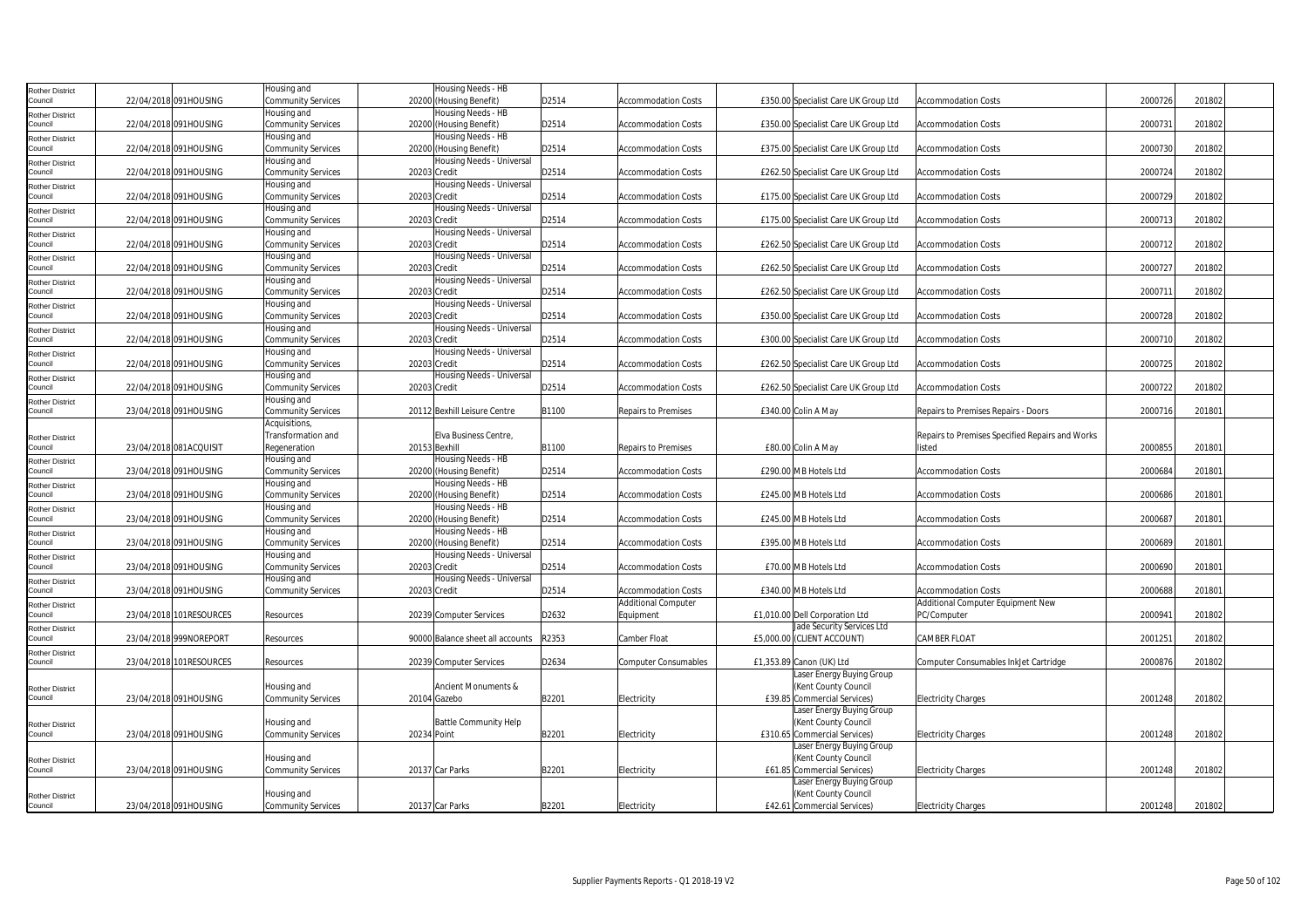| Rother District                   |                         | Housing and               |               | Housing Needs - HB               |       |                             |                                      |                                                 |         |        |  |
|-----------------------------------|-------------------------|---------------------------|---------------|----------------------------------|-------|-----------------------------|--------------------------------------|-------------------------------------------------|---------|--------|--|
| Council                           | 22/04/2018 091HOUSING   | Community Services        |               | 20200 (Housing Benefit)          | D2514 | <b>Accommodation Costs</b>  | £350.00 Specialist Care UK Group Ltd | <b>Accommodation Costs</b>                      | 2000726 | 201802 |  |
| Rother District                   |                         | Housing and               |               | Housing Needs - HB               |       |                             |                                      |                                                 |         |        |  |
| Council                           | 22/04/2018 091HOUSING   | Community Services        |               | 20200 (Housing Benefit)          | D2514 | <b>Accommodation Costs</b>  | £350.00 Specialist Care UK Group Ltd | <b>Accommodation Costs</b>                      | 200073  | 201802 |  |
| Rother District                   |                         | Housing and               |               | Housing Needs - HB               |       |                             |                                      |                                                 |         |        |  |
| Council                           | 22/04/2018 091HOUSING   | <b>Community Services</b> |               | 20200 (Housing Benefit)          | D2514 | <b>Accommodation Costs</b>  | £375.00 Specialist Care UK Group Ltd | <b>Accommodation Costs</b>                      | 2000730 | 201802 |  |
| Rother District                   |                         | Housing and               |               | Housing Needs - Universal        |       |                             |                                      |                                                 |         |        |  |
| Council                           | 22/04/2018 091HOUSING   | <b>Community Services</b> | 20203 Credit  |                                  | D2514 | <b>Accommodation Costs</b>  | £262.50 Specialist Care UK Group Ltd | <b>Accommodation Costs</b>                      | 2000724 | 201802 |  |
|                                   |                         | Housing and               |               | Housing Needs - Universal        |       |                             |                                      |                                                 |         |        |  |
| Rother District<br>Council        | 22/04/2018 091HOUSING   | <b>Community Services</b> | 20203 Credit  |                                  | D2514 | <b>Accommodation Costs</b>  | £175.00 Specialist Care UK Group Ltd | <b>Accommodation Costs</b>                      | 2000729 | 201802 |  |
| Rother District                   |                         | Housing and               |               | Housing Needs - Universal        |       |                             |                                      |                                                 |         |        |  |
| Council                           | 22/04/2018 091HOUSING   | Community Services        | 20203 Credit  |                                  | D2514 | <b>Accommodation Costs</b>  | £175.00 Specialist Care UK Group Ltd | <b>Accommodation Costs</b>                      | 2000713 | 201802 |  |
| Rother District                   |                         | Housing and               |               | Housing Needs - Universal        |       |                             |                                      |                                                 |         |        |  |
| Council                           | 22/04/2018 091HOUSING   | <b>Community Services</b> | 20203 Credit  |                                  | D2514 | <b>Accommodation Costs</b>  | £262.50 Specialist Care UK Group Ltd | <b>Accommodation Costs</b>                      | 2000712 | 201802 |  |
| Rother District                   |                         | Housing and               |               | Housing Needs - Universal        |       |                             |                                      |                                                 |         |        |  |
| Council                           | 22/04/2018 091HOUSING   | <b>Community Services</b> | 20203 Credit  |                                  | D2514 | <b>Accommodation Costs</b>  | £262.50 Specialist Care UK Group Ltd | Accommodation Costs                             | 2000727 | 201802 |  |
|                                   |                         | Housing and               |               | Housing Needs - Universal        |       |                             |                                      |                                                 |         |        |  |
| Rother District<br>Council        | 22/04/2018 091HOUSING   | Community Services        | 20203 Credit  |                                  | D2514 | <b>Accommodation Costs</b>  | £262.50 Specialist Care UK Group Ltd | <b>Accommodation Costs</b>                      | 200071  | 201802 |  |
|                                   |                         | Housing and               |               | Housing Needs - Universal        |       |                             |                                      |                                                 |         |        |  |
| Rother District<br>Council        | 22/04/2018 091HOUSING   | Community Services        | 20203 Credit  |                                  | D2514 | <b>Accommodation Costs</b>  | £350.00 Specialist Care UK Group Ltd | <b>Accommodation Costs</b>                      | 2000728 | 201802 |  |
| Rother District                   |                         | Housing and               |               | Housing Needs - Universal        |       |                             |                                      |                                                 |         |        |  |
| Council                           | 22/04/2018 091HOUSING   | Community Services        | 20203 Credit  |                                  | D2514 | <b>Accommodation Costs</b>  | £300.00 Specialist Care UK Group Ltd | <b>Accommodation Costs</b>                      | 2000710 | 201802 |  |
|                                   |                         | Housing and               |               | Housing Needs - Universal        |       |                             |                                      |                                                 |         |        |  |
| <b>Rother District</b><br>Council | 22/04/2018 091HOUSING   | Community Services        | 20203 Credit  |                                  | D2514 | <b>Accommodation Costs</b>  | £262.50 Specialist Care UK Group Ltd | <b>Accommodation Costs</b>                      | 2000725 | 201802 |  |
|                                   |                         | Housing and               |               | Housing Needs - Universal        |       |                             |                                      |                                                 |         |        |  |
| Rother District<br>Council        | 22/04/2018 091HOUSING   | <b>Community Services</b> | 20203 Credit  |                                  | D2514 | <b>Accommodation Costs</b>  | £262.50 Specialist Care UK Group Ltd | <b>Accommodation Costs</b>                      | 2000722 | 201802 |  |
|                                   |                         | Housing and               |               |                                  |       |                             |                                      |                                                 |         |        |  |
| Rother District<br>Council        | 23/04/2018 091HOUSING   | Community Services        |               | 20112 Bexhill Leisure Centre     | B1100 | <b>Repairs to Premises</b>  | £340.00 Colin A May                  | Repairs to Premises Repairs - Doors             | 2000716 | 201801 |  |
|                                   |                         | Acquisitions,             |               |                                  |       |                             |                                      |                                                 |         |        |  |
|                                   |                         | Transformation and        |               | Elva Business Centre,            |       |                             |                                      | Repairs to Premises Specified Repairs and Works |         |        |  |
| Rother District<br>Council        | 23/04/2018 081ACQUISIT  | Regeneration              | 20153 Bexhill |                                  | B1100 | <b>Repairs to Premises</b>  | £80.00 Colin A May                   | listed                                          | 2000855 | 201801 |  |
|                                   |                         | Housing and               |               | lousing Needs - HB               |       |                             |                                      |                                                 |         |        |  |
| Rother District<br>Council        | 23/04/2018 091HOUSING   | Community Services        |               | 20200 (Housing Benefit)          | D2514 | <b>Accommodation Costs</b>  | £290.00 MB Hotels Ltd                | <b>Accommodation Costs</b>                      | 2000684 | 201801 |  |
| Rother District                   |                         | Housing and               |               | Housing Needs - HB               |       |                             |                                      |                                                 |         |        |  |
| Council                           | 23/04/2018 091HOUSING   | Community Services        |               | 20200 (Housing Benefit)          | D2514 | <b>Accommodation Costs</b>  | £245.00 MB Hotels Ltd                | <b>Accommodation Costs</b>                      | 2000686 | 201801 |  |
| <b>Rother District</b>            |                         | Housing and               |               | Housing Needs - HB               |       |                             |                                      |                                                 |         |        |  |
| Council                           | 23/04/2018 091HOUSING   | Community Services        |               | 20200 (Housing Benefit)          | D2514 | <b>Accommodation Costs</b>  | £245.00 MB Hotels Ltd                | <b>Accommodation Costs</b>                      | 2000687 | 201801 |  |
| Rother District                   |                         | Housing and               |               | Housing Needs - HB               |       |                             |                                      |                                                 |         |        |  |
| Council                           | 23/04/2018 091HOUSING   | Community Services        |               | 20200 (Housing Benefit)          | D2514 | <b>Accommodation Costs</b>  | £395.00 MB Hotels Ltd                | <b>Accommodation Costs</b>                      | 2000689 | 201801 |  |
| Rother District                   |                         | Housing and               |               | Housing Needs - Universal        |       |                             |                                      |                                                 |         |        |  |
| Council                           | 23/04/2018 091HOUSING   | Community Services        | 20203 Credit  |                                  | D2514 | <b>Accommodation Costs</b>  | £70.00 MB Hotels Ltd                 | <b>Accommodation Costs</b>                      | 2000690 | 201801 |  |
| Rother District                   |                         | Housing and               |               | Housing Needs - Universal        |       |                             |                                      |                                                 |         |        |  |
| Council                           | 23/04/2018 091HOUSING   | Community Services        | 20203 Credit  |                                  | D2514 | <b>Accommodation Costs</b>  | £340.00 MB Hotels Ltd                | <b>Accommodation Costs</b>                      | 2000688 | 201801 |  |
| Rother District                   |                         |                           |               |                                  |       | <b>Additional Computer</b>  |                                      | Additional Computer Equipment New               |         |        |  |
| Council                           | 23/04/2018 101RESOURCES | Resources                 |               | 20239 Computer Services          | D2632 | Equipment                   | £1,010.00 Dell Corporation Ltd       | PC/Computer                                     | 200094  | 201802 |  |
| Rother District                   |                         |                           |               |                                  |       |                             | Jade Security Services Ltd           |                                                 |         |        |  |
| Council                           | 23/04/2018 999NOREPORT  | Resources                 |               | 90000 Balance sheet all accounts | R2353 | Camber Float                | £5,000.00 (CLIENT ACCOUNT)           | CAMBER FLOAT                                    | 2001251 | 201802 |  |
| Rother District                   |                         |                           |               |                                  |       |                             |                                      |                                                 |         |        |  |
| Council                           | 23/04/2018 101RESOURCES | Resources                 |               | 20239 Computer Services          | D2634 | <b>Computer Consumables</b> | £1,353.89 Canon (UK) Ltd             | Computer Consumables InkJet Cartridge           | 2000876 | 201802 |  |
|                                   |                         |                           |               |                                  |       |                             | Laser Energy Buying Group            |                                                 |         |        |  |
| Rother District                   |                         | Housing and               |               | Ancient Monuments &              |       |                             | (Kent County Council                 |                                                 |         |        |  |
| Council                           | 23/04/2018 091HOUSING   | <b>Community Services</b> |               | 20104 Gazebo                     | B2201 | Electricity                 | £39.85 Commercial Services)          | <b>Electricity Charges</b>                      | 2001248 | 201802 |  |
|                                   |                         |                           |               |                                  |       |                             | Laser Energy Buying Group            |                                                 |         |        |  |
| Rother District                   |                         | Housing and               |               | <b>Battle Community Help</b>     |       |                             | (Kent County Council                 |                                                 |         |        |  |
| Council                           | 23/04/2018 091HOUSING   | <b>Community Services</b> | 20234 Point   |                                  | B2201 | Electricity                 | £310.65 Commercial Services)         | <b>Electricity Charges</b>                      | 2001248 | 201802 |  |
|                                   |                         |                           |               |                                  |       |                             | Laser Energy Buying Group            |                                                 |         |        |  |
| Rother District                   |                         | Housing and               |               |                                  |       |                             | (Kent County Council                 |                                                 |         |        |  |
| Council                           | 23/04/2018 091HOUSING   | <b>Community Services</b> |               | 20137 Car Parks                  | B2201 | Electricity                 | £61.85 Commercial Services)          | <b>Electricity Charges</b>                      | 2001248 | 201802 |  |
|                                   |                         |                           |               |                                  |       |                             | Laser Energy Buying Group            |                                                 |         |        |  |
| <b>Rother District</b>            |                         | Housing and               |               |                                  |       |                             | (Kent County Council                 |                                                 |         |        |  |
| Council                           | 23/04/2018 091HOUSING   | <b>Community Services</b> |               | 20137 Car Parks                  | B2201 | Electricity                 | £42.61 Commercial Services)          | <b>Electricity Charges</b>                      | 2001248 | 201802 |  |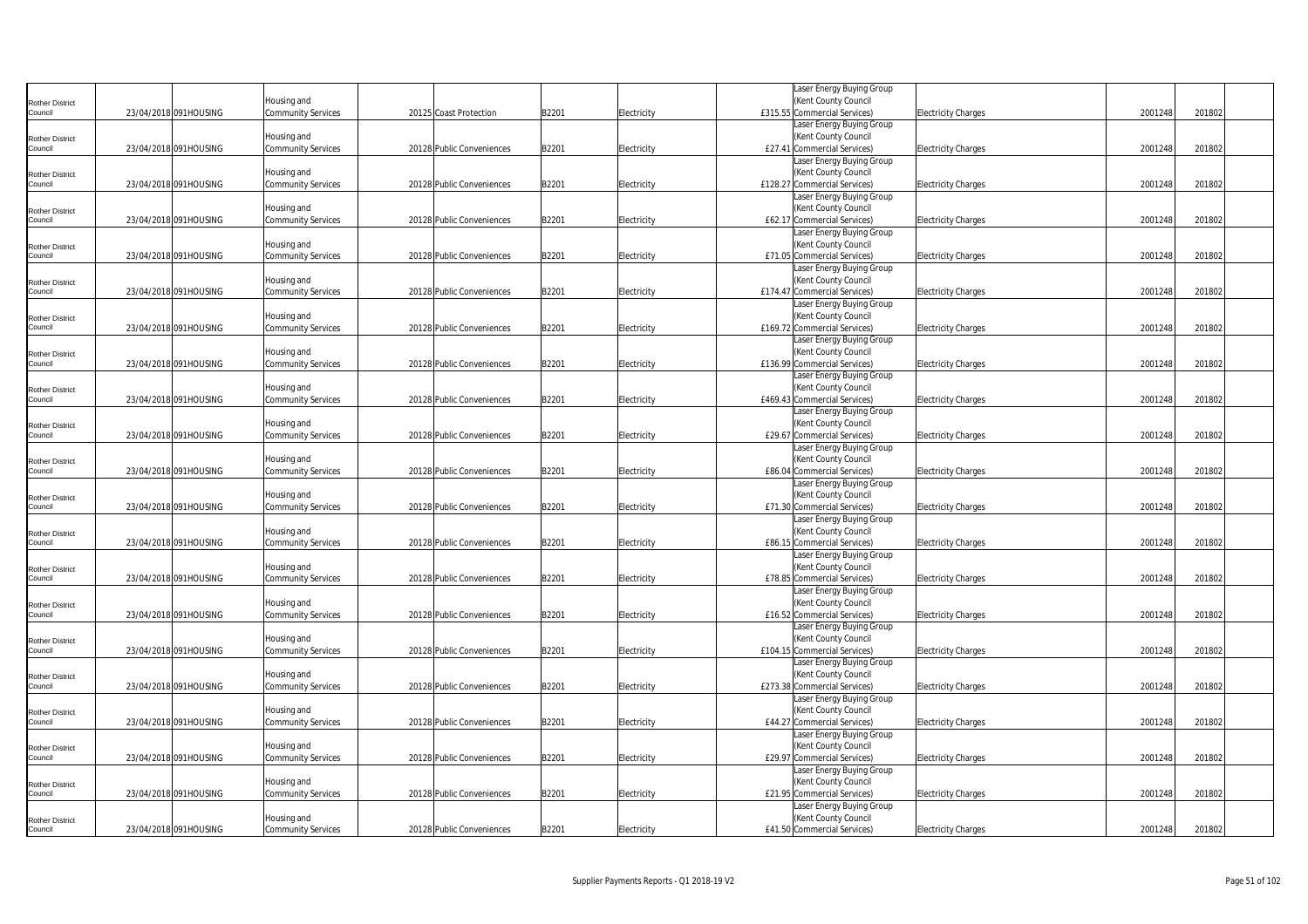|                                   |                       |                                          |                           |       |             | Laser Energy Buying Group                         |                            |         |        |
|-----------------------------------|-----------------------|------------------------------------------|---------------------------|-------|-------------|---------------------------------------------------|----------------------------|---------|--------|
| <b>Rother District</b>            |                       | Housing and                              |                           |       |             | (Kent County Council                              |                            |         |        |
| Council                           | 23/04/2018 091HOUSING | <b>Community Services</b>                | 20125 Coast Protection    | B2201 | Electricity | £315.55 Commercial Services)                      | <b>Electricity Charges</b> | 2001248 | 201802 |
|                                   |                       |                                          |                           |       |             | Laser Energy Buying Group                         |                            |         |        |
| <b>Rother District</b>            |                       | Housing and                              |                           |       |             | (Kent County Council                              |                            |         |        |
| Council                           | 23/04/2018 091HOUSING | <b>Community Services</b>                | 20128 Public Conveniences | B2201 | Electricity | £27.41 Commercial Services)                       | <b>Electricity Charges</b> | 2001248 | 201802 |
|                                   |                       |                                          |                           |       |             | Laser Energy Buying Group                         |                            |         |        |
| <b>Rother District</b>            |                       | Housing and                              |                           |       |             | (Kent County Council                              |                            |         |        |
| Council                           | 23/04/2018 091HOUSING | <b>Community Services</b>                | 20128 Public Conveniences | B2201 | Electricity | £128.27 Commercial Services)                      | <b>Electricity Charges</b> | 2001248 | 201802 |
|                                   |                       |                                          |                           |       |             | Laser Energy Buying Group                         |                            |         |        |
| <b>Rother District</b>            |                       | Housing and                              |                           |       |             | (Kent County Council                              |                            |         |        |
| Council                           | 23/04/2018 091HOUSING | <b>Community Services</b>                | 20128 Public Conveniences | B2201 | Electricity | £62.17 Commercial Services)                       | <b>Electricity Charges</b> | 2001248 | 201802 |
|                                   |                       |                                          |                           |       |             | Laser Energy Buying Group                         |                            |         |        |
| <b>Rother District</b>            |                       | Housing and                              |                           |       |             | (Kent County Council                              |                            |         |        |
| Council                           | 23/04/2018 091HOUSING | <b>Community Services</b>                | 20128 Public Conveniences | B2201 | Electricity | £71.05 Commercial Services)                       | <b>Electricity Charges</b> | 2001248 | 201802 |
|                                   |                       |                                          |                           |       |             | Laser Energy Buying Group                         |                            |         |        |
| <b>Rother District</b>            |                       | Housing and                              |                           |       |             | (Kent County Council                              |                            |         |        |
| Council                           | 23/04/2018 091HOUSING | Community Services                       | 20128 Public Conveniences | B2201 | Electricity | £174.47 Commercial Services)                      | <b>Electricity Charges</b> | 2001248 | 201802 |
|                                   |                       |                                          |                           |       |             | Laser Energy Buying Group                         |                            |         |        |
| <b>Rother District</b>            |                       | Housing and                              |                           |       |             | (Kent County Council                              |                            |         |        |
| Council                           | 23/04/2018 091HOUSING | <b>Community Services</b>                | 20128 Public Conveniences | B2201 | Electricity | £169.72 Commercial Services)                      | <b>Electricity Charges</b> | 2001248 | 201802 |
|                                   |                       |                                          |                           |       |             | Laser Energy Buying Group                         |                            |         |        |
| <b>Rother District</b>            |                       | Housing and                              |                           |       |             | (Kent County Council                              |                            |         |        |
| Council                           | 23/04/2018 091HOUSING | Community Services                       | 20128 Public Conveniences | B2201 | Electricity | £136.99 Commercial Services)                      | <b>Electricity Charges</b> | 2001248 | 201802 |
|                                   |                       |                                          |                           |       |             | Laser Energy Buying Group                         |                            |         |        |
| Rother District                   |                       | Housing and                              |                           |       |             | (Kent County Council                              |                            |         |        |
| Council                           | 23/04/2018 091HOUSING | <b>Community Services</b>                | 20128 Public Conveniences | B2201 | Electricity | £469.43 Commercial Services)                      | <b>Electricity Charges</b> | 2001248 | 201802 |
|                                   |                       |                                          |                           |       |             | Laser Energy Buying Group                         |                            |         |        |
| <b>Rother District</b><br>Council |                       | Housing and                              |                           |       |             | (Kent County Council                              |                            |         |        |
|                                   | 23/04/2018 091HOUSING | Community Services                       | 20128 Public Conveniences | B2201 | Electricity | £29.67 Commercial Services)                       | <b>Electricity Charges</b> | 2001248 | 201802 |
|                                   |                       |                                          |                           |       |             | Laser Energy Buying Group<br>(Kent County Council |                            |         |        |
| <b>Rother District</b><br>Council | 23/04/2018 091HOUSING | Housing and<br><b>Community Services</b> | 20128 Public Conveniences | B2201 | Electricity | £86.04 Commercial Services)                       | <b>Electricity Charges</b> | 2001248 | 201802 |
|                                   |                       |                                          |                           |       |             | Laser Energy Buying Group                         |                            |         |        |
|                                   |                       | Housing and                              |                           |       |             | (Kent County Council                              |                            |         |        |
| <b>Rother District</b><br>Council | 23/04/2018 091HOUSING | <b>Community Services</b>                | 20128 Public Conveniences | B2201 | Electricity | £71.30 Commercial Services)                       | <b>Electricity Charges</b> | 2001248 | 201802 |
|                                   |                       |                                          |                           |       |             | Laser Energy Buying Group                         |                            |         |        |
| <b>Rother District</b>            |                       | Housing and                              |                           |       |             | (Kent County Council                              |                            |         |        |
| Council                           | 23/04/2018 091HOUSING | <b>Community Services</b>                | 20128 Public Conveniences | B2201 | Electricity | £86.15 Commercial Services)                       | <b>Electricity Charges</b> | 2001248 | 201802 |
|                                   |                       |                                          |                           |       |             | Laser Energy Buying Group                         |                            |         |        |
| Rother District                   |                       | Housing and                              |                           |       |             | (Kent County Council                              |                            |         |        |
| Council                           | 23/04/2018 091HOUSING | <b>Community Services</b>                | 20128 Public Conveniences | B2201 | Electricity | £78.85 Commercial Services)                       | <b>Electricity Charges</b> | 2001248 | 201802 |
|                                   |                       |                                          |                           |       |             | Laser Energy Buying Group                         |                            |         |        |
| <b>Rother District</b>            |                       | Housing and                              |                           |       |             | (Kent County Council                              |                            |         |        |
| Council                           | 23/04/2018 091HOUSING | <b>Community Services</b>                | 20128 Public Conveniences | B2201 | Electricity | £16.52 Commercial Services)                       | <b>Electricity Charges</b> | 2001248 | 201802 |
|                                   |                       |                                          |                           |       |             | Laser Energy Buying Group                         |                            |         |        |
| <b>Rother District</b>            |                       | Housing and                              |                           |       |             | (Kent County Council                              |                            |         |        |
| Council                           | 23/04/2018 091HOUSING | <b>Community Services</b>                | 20128 Public Conveniences | B2201 | Electricity | £104.15 Commercial Services)                      | <b>Electricity Charges</b> | 2001248 | 201802 |
|                                   |                       |                                          |                           |       |             | Laser Energy Buying Group                         |                            |         |        |
| <b>Rother District</b>            |                       | Housing and                              |                           |       |             | (Kent County Council                              |                            |         |        |
| Council                           | 23/04/2018 091HOUSING | Community Services                       | 20128 Public Conveniences | B2201 | Electricity | £273.38 Commercial Services)                      | Electricity Charges        | 2001248 | 201802 |
|                                   |                       |                                          |                           |       |             | Laser Energy Buying Group                         |                            |         |        |
| <b>Rother District</b>            |                       | Housing and                              |                           |       |             | (Kent County Council                              |                            |         |        |
| Council                           | 23/04/2018 091HOUSING | <b>Community Services</b>                | 20128 Public Conveniences | B2201 | Electricity | £44.27 Commercial Services)                       | <b>Electricity Charges</b> | 2001248 | 201802 |
|                                   |                       |                                          |                           |       |             | Laser Energy Buying Group                         |                            |         |        |
| <b>Rother District</b>            |                       | Housing and                              |                           |       |             | (Kent County Council                              |                            |         |        |
| Council                           | 23/04/2018 091HOUSING | Community Services                       | 20128 Public Conveniences | B2201 | Electricity | £29.97 Commercial Services)                       | <b>Electricity Charges</b> | 2001248 | 201802 |
|                                   |                       |                                          |                           |       |             | Laser Energy Buying Group                         |                            |         |        |
| <b>Rother District</b>            |                       | Housing and                              |                           |       |             | (Kent County Council                              |                            |         |        |
| Council                           | 23/04/2018 091HOUSING | <b>Community Services</b>                | 20128 Public Conveniences | B2201 | Electricity | £21.95 Commercial Services)                       | <b>Electricity Charges</b> | 2001248 | 201802 |
|                                   |                       |                                          |                           |       |             | Laser Energy Buying Group                         |                            |         |        |
| <b>Rother District</b>            |                       | Housing and                              |                           |       |             | (Kent County Council                              |                            |         |        |
| Council                           | 23/04/2018 091HOUSING | <b>Community Services</b>                | 20128 Public Conveniences | B2201 | Electricity | £41.50 Commercial Services)                       | <b>Electricity Charges</b> | 2001248 | 201802 |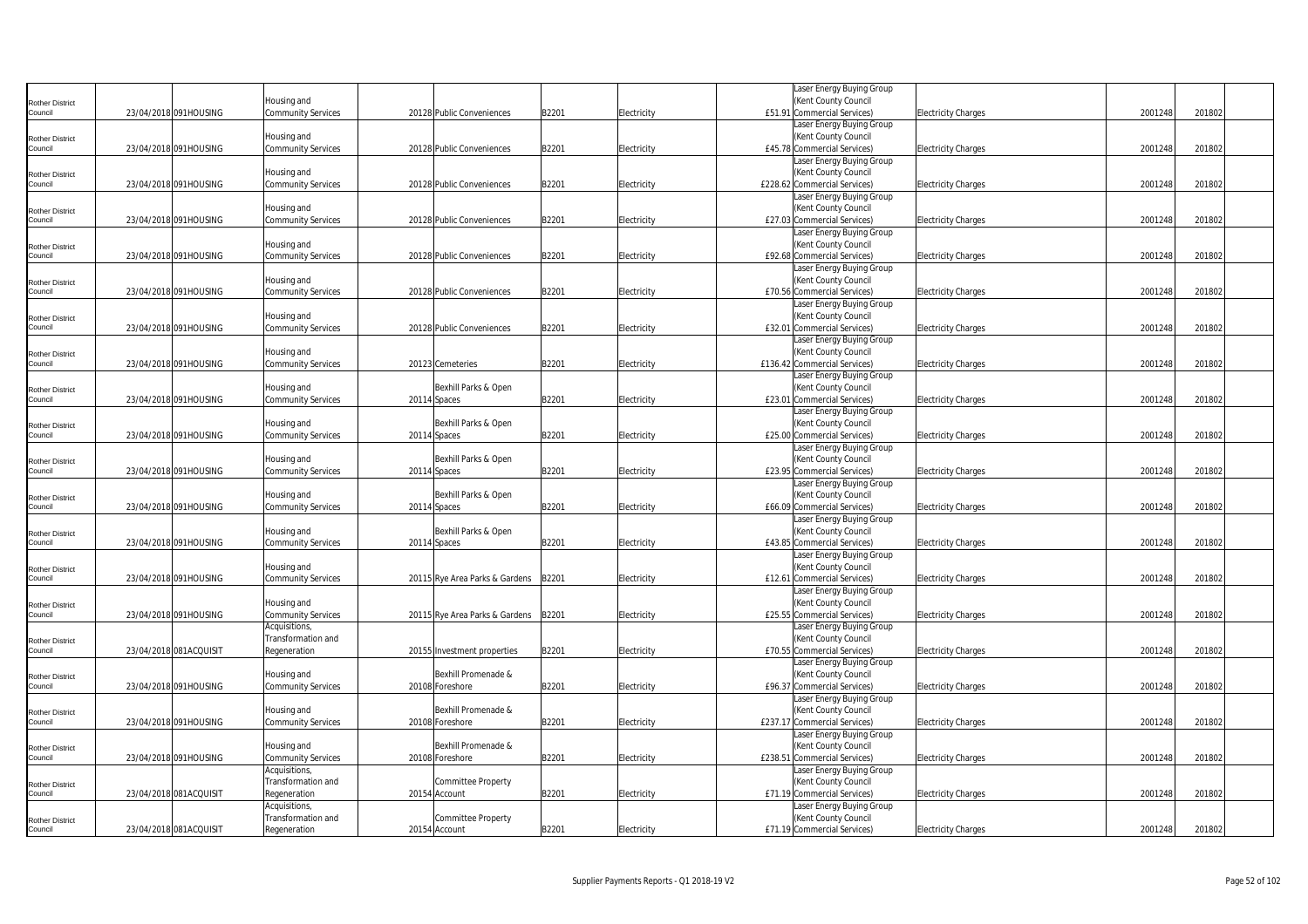|                                   |                        |                                          |                                |       |             | Laser Energy Buying Group                         |                            |         |        |
|-----------------------------------|------------------------|------------------------------------------|--------------------------------|-------|-------------|---------------------------------------------------|----------------------------|---------|--------|
| <b>Rother District</b>            |                        | lousing and                              |                                |       |             | (Kent County Council                              |                            |         |        |
| Council                           | 23/04/2018 091HOUSING  | <b>Community Services</b>                | 20128 Public Conveniences      | B2201 | Electricity | £51.91 Commercial Services)                       | <b>Electricity Charges</b> | 2001248 | 201802 |
|                                   |                        |                                          |                                |       |             | Laser Energy Buying Group                         |                            |         |        |
| <b>Rother District</b>            |                        | Housing and                              |                                |       |             | (Kent County Council                              |                            |         |        |
| Council                           | 23/04/2018 091HOUSING  | <b>Community Services</b>                | 20128 Public Conveniences      | B2201 | Electricity | £45.78 Commercial Services)                       | <b>Electricity Charges</b> | 2001248 | 201802 |
|                                   |                        |                                          |                                |       |             | aser Energy Buying Group                          |                            |         |        |
| <b>Rother District</b>            |                        | Housing and                              |                                |       |             | (Kent County Council                              |                            |         |        |
| Council                           | 23/04/2018 091HOUSING  | <b>Community Services</b>                | 20128 Public Conveniences      | B2201 | Electricity | £228.62 Commercial Services)                      | <b>Electricity Charges</b> | 2001248 | 201802 |
|                                   |                        |                                          |                                |       |             | Laser Energy Buying Group                         |                            |         |        |
| <b>Rother District</b>            |                        | Housing and                              |                                |       |             | (Kent County Council                              |                            |         |        |
| Council                           | 23/04/2018 091HOUSING  | <b>Community Services</b>                | 20128 Public Conveniences      | B2201 | Electricity | £27.03 Commercial Services)                       | <b>Electricity Charges</b> | 2001248 | 201802 |
|                                   |                        |                                          |                                |       |             | Laser Energy Buying Group                         |                            |         |        |
| <b>Rother District</b>            |                        | Housing and                              |                                |       |             | (Kent County Council                              |                            |         |        |
| Council                           | 23/04/2018 091HOUSING  | <b>Community Services</b>                | 20128 Public Conveniences      | B2201 | Electricity | £92.68 Commercial Services)                       | <b>Electricity Charges</b> | 2001248 | 201802 |
|                                   |                        |                                          |                                |       |             | Laser Energy Buying Group                         |                            |         |        |
| <b>Rother District</b>            |                        | Housing and                              |                                |       |             | (Kent County Council                              |                            |         |        |
| Council                           | 23/04/2018 091HOUSING  | <b>Community Services</b>                | 20128 Public Conveniences      | B2201 | Electricity | £70.56 Commercial Services)                       | <b>Electricity Charges</b> | 2001248 | 201802 |
|                                   |                        |                                          |                                |       |             | Laser Energy Buying Group                         |                            |         |        |
| <b>Rother District</b>            |                        | Housing and                              |                                |       |             | (Kent County Council                              |                            |         |        |
| Council                           | 23/04/2018 091HOUSING  | <b>Community Services</b>                | 20128 Public Conveniences      | B2201 | Electricity | £32.01 Commercial Services)                       | <b>Electricity Charges</b> | 2001248 | 201802 |
|                                   |                        |                                          |                                |       |             | Laser Energy Buying Group                         |                            |         |        |
| <b>Rother District</b>            |                        | Housing and                              |                                |       |             | (Kent County Council                              |                            |         |        |
| Council                           | 23/04/2018 091HOUSING  | <b>Community Services</b>                | 20123 Cemeteries               | B2201 | Electricity | £136.42 Commercial Services)                      | <b>Electricity Charges</b> | 2001248 | 201802 |
|                                   |                        |                                          |                                |       |             | Laser Energy Buying Group                         |                            |         |        |
| <b>Rother District</b>            |                        | Housing and                              | Bexhill Parks & Open           |       |             | (Kent County Council                              |                            |         |        |
| Council                           | 23/04/2018 091HOUSING  | <b>Community Services</b>                | 20114 Spaces                   | B2201 | Electricity | £23.01 Commercial Services)                       | <b>Electricity Charges</b> | 2001248 | 201802 |
|                                   |                        |                                          |                                |       |             | Laser Energy Buying Group                         |                            |         |        |
| <b>Rother District</b>            |                        | Housing and                              | Bexhill Parks & Open           |       |             | (Kent County Council                              |                            |         |        |
| Council                           | 23/04/2018 091HOUSING  | Community Services                       | 20114 Spaces                   | B2201 | Electricity | £25.00 Commercial Services)                       | <b>Electricity Charges</b> | 2001248 | 201802 |
|                                   |                        |                                          |                                |       |             | Laser Energy Buying Group                         |                            |         |        |
| <b>Rother District</b>            |                        | Housing and                              | Bexhill Parks & Open           |       |             | (Kent County Council                              |                            |         |        |
| Council                           | 23/04/2018 091HOUSING  | <b>Community Services</b>                | 20114 Spaces                   | B2201 | Electricity | £23.95 Commercial Services)                       | <b>Electricity Charges</b> | 2001248 | 201802 |
|                                   |                        |                                          |                                |       |             | Laser Energy Buying Group                         |                            |         |        |
| <b>Rother District</b>            |                        | Housing and                              | Bexhill Parks & Open           |       |             | (Kent County Council                              |                            |         |        |
| Council                           | 23/04/2018 091HOUSING  | <b>Community Services</b>                | 20114 Spaces                   | B2201 | Electricity | £66.09 Commercial Services)                       | <b>Electricity Charges</b> | 2001248 | 201802 |
|                                   |                        |                                          | Bexhill Parks & Open           |       |             | Laser Energy Buying Group<br>(Kent County Council |                            |         |        |
| <b>Rother District</b><br>Council | 23/04/2018 091HOUSING  | Housing and<br><b>Community Services</b> | 20114 Spaces                   | B2201 | Electricity | £43.85 Commercial Services)                       | <b>Electricity Charges</b> | 2001248 | 201802 |
|                                   |                        |                                          |                                |       |             | Laser Energy Buying Group                         |                            |         |        |
|                                   |                        | Housing and                              |                                |       |             | (Kent County Council                              |                            |         |        |
| <b>Rother District</b><br>Council | 23/04/2018 091HOUSING  | <b>Community Services</b>                | 20115 Rye Area Parks & Gardens | B2201 | Electricity | £12.61 Commercial Services)                       | <b>Electricity Charges</b> | 2001248 | 201802 |
|                                   |                        |                                          |                                |       |             | Laser Energy Buying Group                         |                            |         |        |
|                                   |                        | Housing and                              |                                |       |             | (Kent County Council                              |                            |         |        |
| Rother District<br>Council        | 23/04/2018 091HOUSING  | <b>Community Services</b>                | 20115 Rye Area Parks & Gardens | B2201 | Electricity | £25.55 Commercial Services)                       | <b>Electricity Charges</b> | 2001248 | 201802 |
|                                   |                        | Acquisitions,                            |                                |       |             | Laser Energy Buying Group                         |                            |         |        |
| <b>Rother District</b>            |                        | Transformation and                       |                                |       |             | (Kent County Council                              |                            |         |        |
| Council                           | 23/04/2018 081ACQUISIT | Regeneration                             | 20155 Investment properties    | B2201 | Electricity | £70.55 Commercial Services)                       | <b>Electricity Charges</b> | 2001248 | 201802 |
|                                   |                        |                                          |                                |       |             | Laser Energy Buying Group                         |                            |         |        |
| <b>Rother District</b>            |                        | Housing and                              | Bexhill Promenade &            |       |             | (Kent County Council                              |                            |         |        |
| Council                           | 23/04/2018 091HOUSING  | Community Services                       | 20108 Foreshore                | B2201 | Electricity | £96.37 Commercial Services)                       | Electricity Charges        | 2001248 | 201802 |
|                                   |                        |                                          |                                |       |             | Laser Energy Buying Group                         |                            |         |        |
| <b>Rother District</b>            |                        | Housing and                              | Bexhill Promenade &            |       |             | (Kent County Council                              |                            |         |        |
| Council                           | 23/04/2018 091HOUSING  | <b>Community Services</b>                | 20108 Foreshore                | B2201 | Electricity | £237.17 Commercial Services)                      | <b>Electricity Charges</b> | 2001248 | 201802 |
|                                   |                        |                                          |                                |       |             | Laser Energy Buying Group                         |                            |         |        |
| <b>Rother District</b>            |                        | Housing and                              | Bexhill Promenade &            |       |             | (Kent County Council                              |                            |         |        |
| Council                           | 23/04/2018 091HOUSING  | Community Services                       | 20108 Foreshore                | B2201 | Electricity | £238.51 Commercial Services)                      | <b>Electricity Charges</b> | 2001248 | 201802 |
|                                   |                        | Acquisitions,                            |                                |       |             | Laser Energy Buying Group                         |                            |         |        |
| <b>Rother District</b>            |                        | Transformation and                       | Committee Property             |       |             | (Kent County Council                              |                            |         |        |
| Council                           | 23/04/2018 081ACQUISIT | Regeneration                             | 20154 Account                  | B2201 | Electricity | £71.19 Commercial Services)                       | <b>Electricity Charges</b> | 2001248 | 201802 |
|                                   |                        | Acquisitions,                            |                                |       |             | aser Energy Buying Group.                         |                            |         |        |
| <b>Rother District</b>            |                        | Transformation and                       | Committee Property             |       |             | (Kent County Council                              |                            |         |        |
| Council                           | 23/04/2018 081ACQUISIT | Regeneration                             | 20154 Account                  | B2201 | Electricity | £71.19 Commercial Services)                       | <b>Electricity Charges</b> | 2001248 | 201802 |
|                                   |                        |                                          |                                |       |             |                                                   |                            |         |        |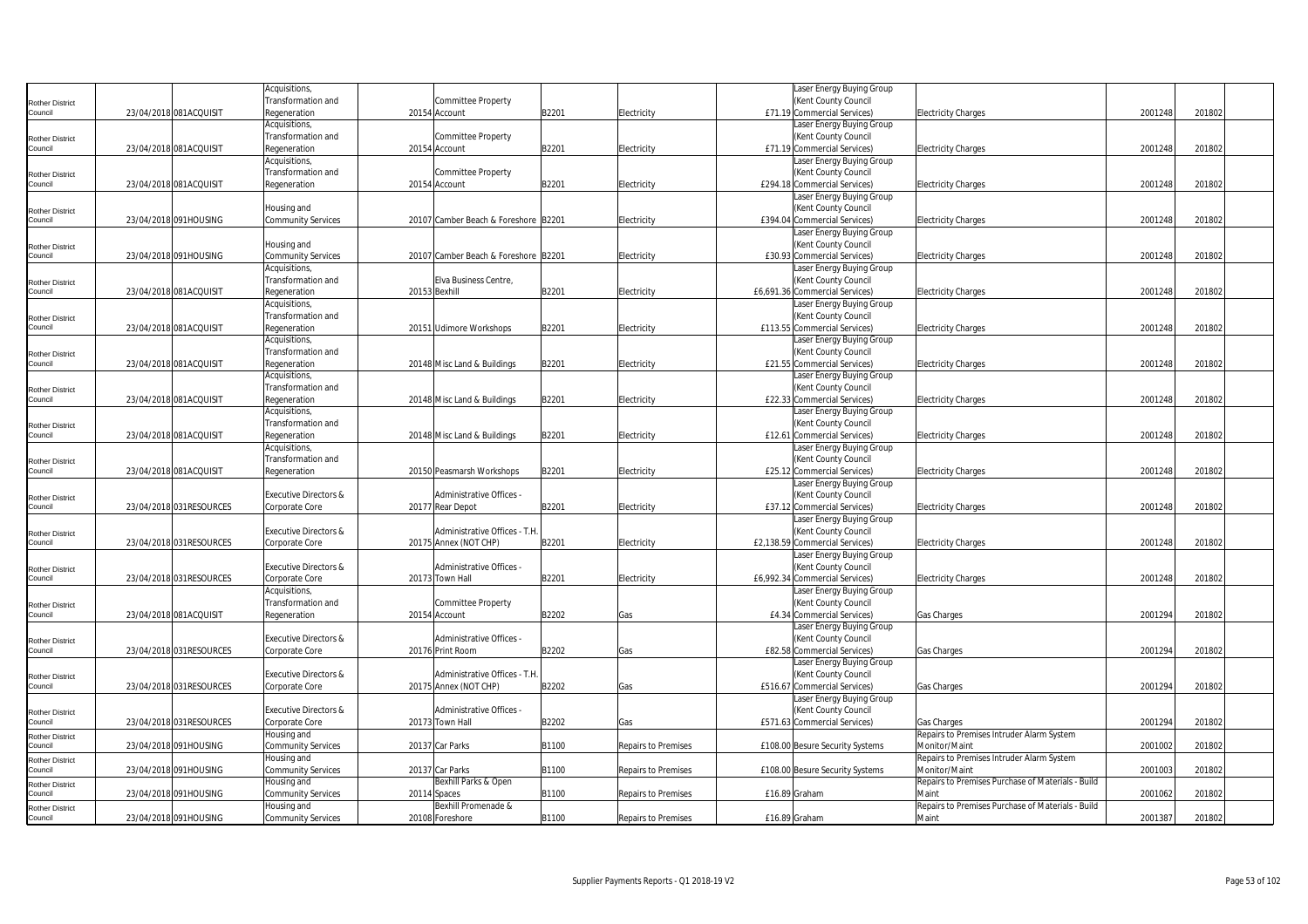|                                   |                          | Acquisitions,                    |                                      |       |                            | Laser Energy Buying Group       |                                                            |         |        |  |
|-----------------------------------|--------------------------|----------------------------------|--------------------------------------|-------|----------------------------|---------------------------------|------------------------------------------------------------|---------|--------|--|
| <b>Rother District</b>            |                          | Transformation and               | Committee Property                   |       |                            | (Kent County Council            |                                                            |         |        |  |
| Council                           | 23/04/2018 081ACQUISIT   | Regeneration                     | 20154 Account                        | B2201 | Electricity                | £71.19 Commercial Services)     | <b>Electricity Charges</b>                                 | 2001248 | 201802 |  |
|                                   |                          | Acquisitions,                    |                                      |       |                            | Laser Energy Buying Group       |                                                            |         |        |  |
| <b>Rother District</b>            |                          | Transformation and               | <b>Committee Property</b>            |       |                            | (Kent County Council            |                                                            |         |        |  |
| Council                           | 23/04/2018 081ACQUISIT   | Regeneration                     | 20154 Account                        | B2201 | Electricity                | £71.19 Commercial Services)     | Electricity Charges                                        | 2001248 | 201802 |  |
|                                   |                          | Acquisitions,                    |                                      |       |                            | Laser Energy Buying Group       |                                                            |         |        |  |
| <b>Rother District</b>            |                          | Transformation and               | <b>Committee Property</b>            |       |                            | (Kent County Council            |                                                            |         |        |  |
| Council                           | 23/04/2018 081ACQUISIT   | Regeneration                     | 20154 Account                        | B2201 | Electricity                | £294.18 Commercial Services)    | <b>Electricity Charges</b>                                 | 2001248 | 201802 |  |
|                                   |                          |                                  |                                      |       |                            | Laser Energy Buying Group       |                                                            |         |        |  |
| <b>Rother District</b>            |                          | Housing and                      |                                      |       |                            | (Kent County Council            |                                                            |         |        |  |
| Council                           | 23/04/2018 091HOUSING    | <b>Community Services</b>        | 20107 Camber Beach & Foreshore B2201 |       | Electricity                | £394.04 Commercial Services)    | Electricity Charges                                        | 2001248 | 201802 |  |
|                                   |                          |                                  |                                      |       |                            | Laser Energy Buying Group       |                                                            |         |        |  |
| <b>Rother District</b>            |                          | Housing and                      |                                      |       |                            | (Kent County Council            |                                                            |         |        |  |
| Council                           | 23/04/2018 091HOUSING    | <b>Community Services</b>        | 20107 Camber Beach & Foreshore B2201 |       | Electricity                | £30.93 Commercial Services)     | <b>Electricity Charges</b>                                 | 2001248 | 201802 |  |
|                                   |                          | Acquisitions,                    |                                      |       |                            | Laser Energy Buying Group       |                                                            |         |        |  |
| <b>Rother District</b>            |                          | Transformation and               | Elva Business Centre,                |       |                            | (Kent County Council            |                                                            |         |        |  |
| Council                           | 23/04/2018 081ACQUISIT   | Regeneration                     | 20153 Bexhill                        | B2201 | Electricity                | £6,691.36 Commercial Services)  | Electricity Charges                                        | 2001248 | 201802 |  |
|                                   |                          | Acquisitions,                    |                                      |       |                            | Laser Energy Buying Group       |                                                            |         |        |  |
| <b>Rother District</b>            |                          | Transformation and               |                                      |       |                            | (Kent County Council            |                                                            |         |        |  |
| Council                           | 23/04/2018 081ACQUISIT   | Regeneration                     | 20151 Udimore Workshops              | B2201 | Electricity                | £113.55 Commercial Services)    | <b>Electricity Charges</b>                                 | 2001248 | 201802 |  |
|                                   |                          | Acquisitions,                    |                                      |       |                            | Laser Energy Buying Group       |                                                            |         |        |  |
| <b>Rother District</b>            |                          | Transformation and               |                                      |       |                            | (Kent County Council            |                                                            |         |        |  |
| Council                           | 23/04/2018 081ACQUISIT   | Regeneration                     | 20148 Misc Land & Buildings          | B2201 | Electricity                | £21.55 Commercial Services)     | <b>Electricity Charges</b>                                 | 2001248 | 201802 |  |
|                                   |                          | Acquisitions,                    |                                      |       |                            | Laser Energy Buying Group       |                                                            |         |        |  |
| <b>Rother District</b>            |                          | Transformation and               |                                      |       |                            | (Kent County Council            |                                                            |         |        |  |
| Council                           | 23/04/2018 081ACQUISIT   | Regeneration                     | 20148 Misc Land & Buildings          | B2201 | Electricity                | £22.33 Commercial Services)     | <b>Electricity Charges</b>                                 | 2001248 | 201802 |  |
|                                   |                          | Acquisitions,                    |                                      |       |                            | Laser Energy Buying Group       |                                                            |         |        |  |
| <b>Rother District</b>            |                          | Transformation and               |                                      |       |                            | (Kent County Council            |                                                            |         |        |  |
| Council                           | 23/04/2018 081ACQUISIT   | Regeneration                     | 20148 Misc Land & Buildings          | B2201 | Electricity                | £12.61 Commercial Services)     | <b>Electricity Charges</b>                                 | 2001248 | 201802 |  |
|                                   |                          | Acquisitions,                    |                                      |       |                            | Laser Energy Buying Group       |                                                            |         |        |  |
| <b>Rother District</b>            |                          | Transformation and               |                                      |       |                            | (Kent County Council            |                                                            |         |        |  |
| Council                           | 23/04/2018 081ACQUISIT   | Regeneration                     | 20150 Peasmarsh Workshops            | B2201 | Electricity                | £25.12 Commercial Services)     | Electricity Charges                                        | 2001248 | 201802 |  |
|                                   |                          |                                  |                                      |       |                            | Laser Energy Buying Group       |                                                            |         |        |  |
| <b>Rother District</b>            |                          | <b>Executive Directors &amp;</b> | Administrative Offices -             |       |                            | (Kent County Council            |                                                            |         |        |  |
| Council                           | 23/04/2018 031RESOURCES  | Corporate Core                   | 20177 Rear Depot                     | B2201 | Electricity                | £37.12 Commercial Services)     | <b>Electricity Charges</b>                                 | 2001248 | 201802 |  |
|                                   |                          |                                  |                                      |       |                            | Laser Energy Buying Group       |                                                            |         |        |  |
| <b>Rother District</b>            |                          | <b>Executive Directors &amp;</b> | Administrative Offices - T.H         |       |                            | (Kent County Council            |                                                            |         |        |  |
| Council                           | 23/04/2018 031RESOURCES  | Corporate Core                   | 20175 Annex (NOT CHP)                | B2201 | Electricity                | £2,138.59 Commercial Services)  | <b>Electricity Charges</b>                                 | 2001248 | 201802 |  |
|                                   |                          |                                  |                                      |       |                            | Laser Energy Buying Group       |                                                            |         |        |  |
| <b>Rother District</b>            |                          | <b>Executive Directors &amp;</b> | Administrative Offices               |       |                            | (Kent County Council            |                                                            |         |        |  |
| Council                           | 23/04/2018 031RESOURCES  | Corporate Core                   | 20173 Town Hall                      | B2201 | Electricity                | £6,992.34 Commercial Services)  | <b>Electricity Charges</b>                                 | 2001248 | 201802 |  |
|                                   |                          | Acquisitions,                    |                                      |       |                            | Laser Energy Buying Group       |                                                            |         |        |  |
| <b>Rother District</b>            |                          | Transformation and               | <b>Committee Property</b>            |       |                            | (Kent County Council            |                                                            |         |        |  |
| Council                           | 23/04/2018 081ACQUISIT   | Regeneration                     | 20154 Account                        | B2202 | Gas                        | £4.34 Commercial Services)      | Gas Charges                                                | 2001294 | 201802 |  |
|                                   |                          |                                  |                                      |       |                            | Laser Energy Buying Group       |                                                            |         |        |  |
| <b>Rother District</b>            |                          | <b>Executive Directors &amp;</b> | Administrative Offices               |       |                            | (Kent County Council            |                                                            |         |        |  |
| Council                           | 23/04/2018 031RESOURCES  | Corporate Core                   | 20176 Print Room                     | B2202 | Gas                        | £82.58 Commercial Services)     | Gas Charges                                                | 2001294 | 201802 |  |
|                                   |                          |                                  |                                      |       |                            | Laser Energy Buying Group       |                                                            |         |        |  |
| <b>Rother District</b>            |                          | <b>Executive Directors &amp;</b> | Administrative Offices - T.H         |       |                            | (Kent County Council            |                                                            |         |        |  |
| Council                           | 23/04/2018 031 RESOURCES | Corporate Core                   | 20175 Annex (NOT CHP)                | B2202 | Gas                        | £516.67 Commercial Services)    | Gas Charges                                                | 2001294 | 201802 |  |
|                                   |                          |                                  |                                      |       |                            | Laser Energy Buying Group       |                                                            |         |        |  |
| <b>Rother District</b>            | 23/04/2018 031RESOURCES  | <b>Executive Directors &amp;</b> | Administrative Offices -             | B2202 |                            | (Kent County Council            |                                                            |         | 201802 |  |
| Council                           |                          | Corporate Core                   | 20173 Town Hall                      |       | Gas                        | £571.63 Commercial Services)    | <b>Gas Charges</b>                                         | 2001294 |        |  |
| <b>Rother District</b>            | 23/04/2018 091HOUSING    | Housing and                      | 20137 Car Parks                      | B1100 | Repairs to Premises        | £108.00 Besure Security Systems | Repairs to Premises Intruder Alarm System<br>Monitor/Maint | 2001002 | 201802 |  |
| Council                           |                          | <b>Community Services</b>        |                                      |       |                            |                                 |                                                            |         |        |  |
| <b>Rother District</b><br>Council | 23/04/2018 091HOUSING    | Housing and                      | 20137 Car Parks                      | B1100 | <b>Repairs to Premises</b> |                                 | Repairs to Premises Intruder Alarm System<br>Monitor/Maint | 2001003 | 201802 |  |
|                                   |                          | <b>Community Services</b>        | Bexhill Parks & Open                 |       |                            | £108.00 Besure Security Systems | Repairs to Premises Purchase of Materials - Build          |         |        |  |
| <b>Rother District</b><br>Council | 23/04/2018 091HOUSING    | Housing and                      |                                      | B1100 |                            |                                 | Maint                                                      | 2001062 | 201802 |  |
|                                   |                          | <b>Community Services</b>        | 20114 Spaces<br>Bexhill Promenade &  |       | Repairs to Premises        | £16.89 Graham                   |                                                            |         |        |  |
| <b>Rother District</b><br>Council | 23/04/2018 091HOUSING    | Housing and                      | 20108 Foreshore                      | B1100 |                            |                                 | Repairs to Premises Purchase of Materials - Build<br>Maint | 2001387 | 201802 |  |
|                                   |                          | <b>Community Services</b>        |                                      |       | Repairs to Premises        | £16.89 Graham                   |                                                            |         |        |  |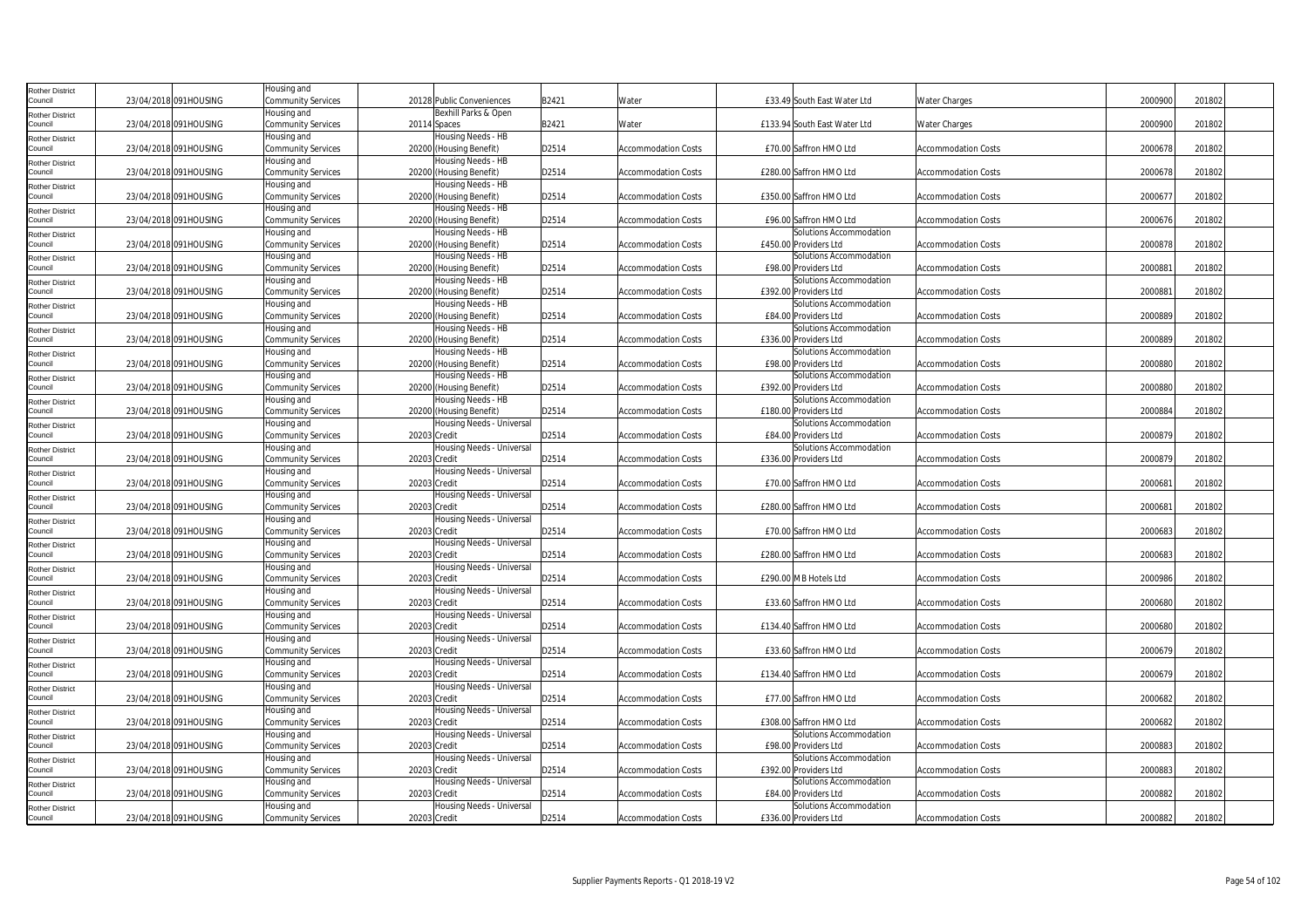| Rother District                   |                       | Housing and               |                                               |       |                            |                                                                            |
|-----------------------------------|-----------------------|---------------------------|-----------------------------------------------|-------|----------------------------|----------------------------------------------------------------------------|
| Council                           | 23/04/2018 091HOUSING | Community Services        | 20128 Public Conveniences                     | B2421 | Water                      | £33.49 South East Water Ltd<br>2000900<br>201802<br>Water Charges          |
| Rother District                   |                       | Housing and               | Bexhill Parks & Open                          |       |                            |                                                                            |
| Council                           | 23/04/2018 091HOUSING | <b>Community Services</b> | 20114 Spaces                                  | B2421 | Water                      | 2000900<br>201802<br>£133.94 South East Water Ltd<br><b>Water Charges</b>  |
| <b>Rother District</b>            |                       | Housing and               | Housing Needs - HB                            |       |                            |                                                                            |
| Council                           | 23/04/2018 091HOUSING | <b>Community Services</b> | 20200 (Housing Benefit)                       | D2514 | <b>Accommodation Costs</b> | £70.00 Saffron HMO Ltd<br>2000678<br>201802<br><b>Accommodation Costs</b>  |
| Rother District                   |                       | Housing and               | Housing Needs - HB                            |       |                            |                                                                            |
| Council                           | 23/04/2018 091HOUSING | Community Services        | 20200 (Housing Benefit)                       | D2514 | <b>Accommodation Costs</b> | 2000678<br>£280.00 Saffron HMO Ltd<br>201802<br><b>Accommodation Costs</b> |
|                                   |                       | Housing and               | Housing Needs - HB                            |       |                            |                                                                            |
| Rother District<br>Council        | 23/04/2018 091HOUSING | Community Services        | 20200 (Housing Benefit)                       | D2514 | <b>Accommodation Costs</b> | 200067<br>201802<br>£350.00 Saffron HMO Ltd<br>Accommodation Costs         |
|                                   |                       | Housing and               | Housing Needs - HB                            |       |                            |                                                                            |
| Rother District<br>Council        | 23/04/2018 091HOUSING | Community Services        | 20200 (Housing Benefit)                       | D2514 | <b>Accommodation Costs</b> | 2000676<br>201802<br>£96.00 Saffron HMO Ltd<br><b>Accommodation Costs</b>  |
|                                   |                       | Housing and               |                                               |       |                            | Solutions Accommodation                                                    |
| Rother District<br>ouncil         | 23/04/2018 091HOUSING | <b>Community Services</b> | Housing Needs - HB<br>20200 (Housing Benefit) | D2514 | <b>Accommodation Costs</b> | 2000878<br>£450.00 Providers Ltd<br>201802<br><b>Accommodation Costs</b>   |
|                                   |                       |                           |                                               |       |                            |                                                                            |
| <b>Rother District</b>            |                       | Housing and               | Housing Needs - HB                            |       |                            | Solutions Accommodation                                                    |
| Council                           | 23/04/2018 091HOUSING | <b>Community Services</b> | 20200 (Housing Benefit)                       | D2514 | <b>Accommodation Costs</b> | £98.00 Providers Ltd<br>200088<br>201802<br><b>Accommodation Costs</b>     |
| Rother District                   |                       | Housing and               | Housing Needs - HB                            |       |                            | Solutions Accommodation                                                    |
| Council                           | 23/04/2018 091HOUSING | <b>Community Services</b> | 20200 (Housing Benefit)                       | D2514 | <b>Accommodation Costs</b> | 200088<br>£392.00 Providers Ltd<br><b>Accommodation Costs</b><br>201802    |
| Rother District                   |                       | Housing and               | Housing Needs - HB                            |       |                            | Solutions Accommodation                                                    |
| Council                           | 23/04/2018 091HOUSING | Community Services        | 20200 (Housing Benefit)                       | D2514 | <b>Accommodation Costs</b> | 2000889<br>201802<br>£84.00 Providers Ltd<br><b>Accommodation Costs</b>    |
| Rother District                   |                       | Housing and               | Housing Needs - HB                            |       |                            | Solutions Accommodation                                                    |
| Council                           | 23/04/2018 091HOUSING | Community Services        | 20200 (Housing Benefit)                       | D2514 | <b>Accommodation Costs</b> | 2000889<br>201802<br>£336.00 Providers Ltd<br><b>Accommodation Costs</b>   |
| <b>Rother District</b>            |                       | Housing and               | Housing Needs - HB                            |       |                            | Solutions Accommodation                                                    |
| ouncil                            | 23/04/2018 091HOUSING | <b>Community Services</b> | 20200 (Housing Benefit)                       | D2514 | <b>Accommodation Costs</b> | 2000880<br>£98.00 Providers Ltd<br><b>Accommodation Costs</b><br>201802    |
| <b>Rother District</b>            |                       | Housing and               | Housing Needs - HB                            |       |                            | Solutions Accommodation                                                    |
| Council                           | 23/04/2018 091HOUSING | <b>Community Services</b> | 20200 (Housing Benefit)                       | D2514 | <b>Accommodation Costs</b> | £392.00 Providers Ltd<br>2000880<br>201802<br><b>Accommodation Costs</b>   |
| Rother District                   |                       | Housing and               | Housing Needs - HB                            |       |                            | Solutions Accommodation                                                    |
| Council                           | 23/04/2018 091HOUSING | Community Services        | 20200 (Housing Benefit)                       | D2514 | <b>Accommodation Costs</b> | 2000884<br>201802<br>£180.00 Providers Ltd<br><b>Accommodation Costs</b>   |
| Rother District                   |                       | Housing and               | Housing Needs - Universal                     |       |                            | Solutions Accommodation                                                    |
| Council                           | 23/04/2018 091HOUSING | Community Services        | 20203 Credit                                  | D2514 | <b>Accommodation Costs</b> | 2000879<br>201802<br>£84.00 Providers Ltd<br>Accommodation Costs           |
| Rother District                   |                       | Housing and               | Housing Needs - Universal                     |       |                            | Solutions Accommodation                                                    |
| Council                           | 23/04/2018 091HOUSING | <b>Community Services</b> | 20203 Credit                                  | D2514 | <b>Accommodation Costs</b> | 2000879<br>£336.00 Providers Ltd<br>201802<br><b>Accommodation Costs</b>   |
| <b>Rother District</b>            |                       | Housing and               | Housing Needs - Universal                     |       |                            |                                                                            |
| council                           | 23/04/2018 091HOUSING | Community Services        | 20203 Credit                                  | D2514 | <b>Accommodation Costs</b> | 200068<br>201802<br>£70.00 Saffron HMO Ltd<br><b>Accommodation Costs</b>   |
| Rother District                   |                       | Housing and               | Housing Needs - Universal                     |       |                            |                                                                            |
| Council                           | 23/04/2018 091HOUSING | <b>Community Services</b> | 20203 Credit                                  | D2514 | <b>Accommodation Costs</b> | 200068<br>201802<br>£280.00 Saffron HMO Ltd<br>Accommodation Costs         |
| Rother District                   |                       | Housing and               | Housing Needs - Universal                     |       |                            |                                                                            |
| Council                           | 23/04/2018 091HOUSING | Community Services        | 20203 Credit                                  | D2514 | <b>Accommodation Costs</b> | £70.00 Saffron HMO Ltd<br>2000683<br>201802<br><b>Accommodation Costs</b>  |
| Rother District                   |                       | Housing and               | Housing Needs - Universal                     |       |                            |                                                                            |
| Council                           | 23/04/2018 091HOUSING | <b>Community Services</b> | 20203 Credit                                  | D2514 | <b>Accommodation Costs</b> | 2000683<br>201802<br>£280.00 Saffron HMO Ltd<br>Accommodation Costs        |
| Rother District                   |                       | Housing and               | Housing Needs - Universal                     |       |                            |                                                                            |
| Council                           | 23/04/2018 091HOUSING | <b>Community Services</b> | 20203 Credit                                  | D2514 | <b>Accommodation Costs</b> | 2000986<br>201802<br>£290.00 MB Hotels Ltd<br><b>Accommodation Costs</b>   |
| Rother District                   |                       | Housing and               | Housing Needs - Universal                     |       |                            |                                                                            |
| ouncil                            | 23/04/2018 091HOUSING | <b>Community Services</b> | 20203 Credit                                  | D2514 | <b>Accommodation Costs</b> | 2000680<br>201802<br>£33.60 Saffron HMO Ltd<br><b>Accommodation Costs</b>  |
|                                   |                       | Housing and               | Housing Needs - Universal                     |       |                            |                                                                            |
| <b>Rother District</b><br>Council | 23/04/2018 091HOUSING | <b>Community Services</b> | 20203 Credit                                  | D2514 | <b>Accommodation Costs</b> | 2000680<br>£134.40 Saffron HMO Ltd<br>201802<br><b>Accommodation Costs</b> |
| Rother District                   |                       | Housing and               | Housing Needs - Universal                     |       |                            |                                                                            |
| Council                           | 23/04/2018 091HOUSING | Community Services        | 20203 Credit                                  | D2514 | <b>Accommodation Costs</b> | 2000679<br>£33.60 Saffron HMO Ltd<br><b>Accommodation Costs</b><br>201802  |
|                                   |                       | Housing and               | Housing Needs - Universal                     |       |                            |                                                                            |
| Rother District<br>Council        | 23/04/2018 091HOUSING | Community Services        | 20203 Credit                                  | D2514 | <b>Accommodation Costs</b> | 2000679<br>201802<br>£134.40 Saffron HMO Ltd<br><b>Accommodation Costs</b> |
|                                   |                       | Housing and               | Housing Needs - Universal                     |       |                            |                                                                            |
| Rother District<br>Council        | 23/04/2018 091HOUSING | Community Services        | 20203 Credit                                  | D2514 | <b>Accommodation Costs</b> | 2000682<br>201802<br>£77.00 Saffron HMO Ltd<br><b>Accommodation Costs</b>  |
|                                   |                       |                           | Housing Needs - Universal                     |       |                            |                                                                            |
| <b>Rother District</b><br>ouncil  | 23/04/2018 091HOUSING | Housing and               | 20203 Credit                                  | D2514 |                            | 2000682<br>201802<br>£308.00 Saffron HMO Ltd                               |
|                                   |                       | <b>Community Services</b> |                                               |       | <b>Accommodation Costs</b> | <b>Accommodation Costs</b>                                                 |
| <b>Rother District</b>            |                       | Housing and               | Housing Needs - Universal                     |       |                            | Solutions Accommodation                                                    |
| Council                           | 23/04/2018 091HOUSING | <b>Community Services</b> | 20203 Credit                                  | D2514 | <b>Accommodation Costs</b> | £98.00 Providers Ltd<br>2000883<br>201802<br><b>Accommodation Costs</b>    |
| Rother District                   |                       | Housing and               | Housing Needs - Universal                     |       |                            | Solutions Accommodation                                                    |
| Council                           | 23/04/2018 091HOUSING | Community Services        | 20203 Credit                                  | D2514 | <b>Accommodation Costs</b> | 2000883<br>£392.00 Providers Ltd<br><b>Accommodation Costs</b><br>201802   |
| Rother District                   |                       | Housing and               | Housing Needs - Universal                     |       |                            | Solutions Accommodation                                                    |
| Council                           | 23/04/2018 091HOUSING | Community Services        | 20203 Credit                                  | D2514 | <b>Accommodation Costs</b> | 2000882<br>201802<br>£84.00 Providers Ltd<br><b>Accommodation Costs</b>    |
| Rother District                   |                       | Housing and               | Housing Needs - Universal                     |       |                            | Solutions Accommodation                                                    |
| Council                           | 23/04/2018 091HOUSING | <b>Community Services</b> | 20203 Credit                                  | D2514 | <b>Accommodation Costs</b> | 2000882<br>201802<br>£336.00 Providers Ltd<br><b>Accommodation Costs</b>   |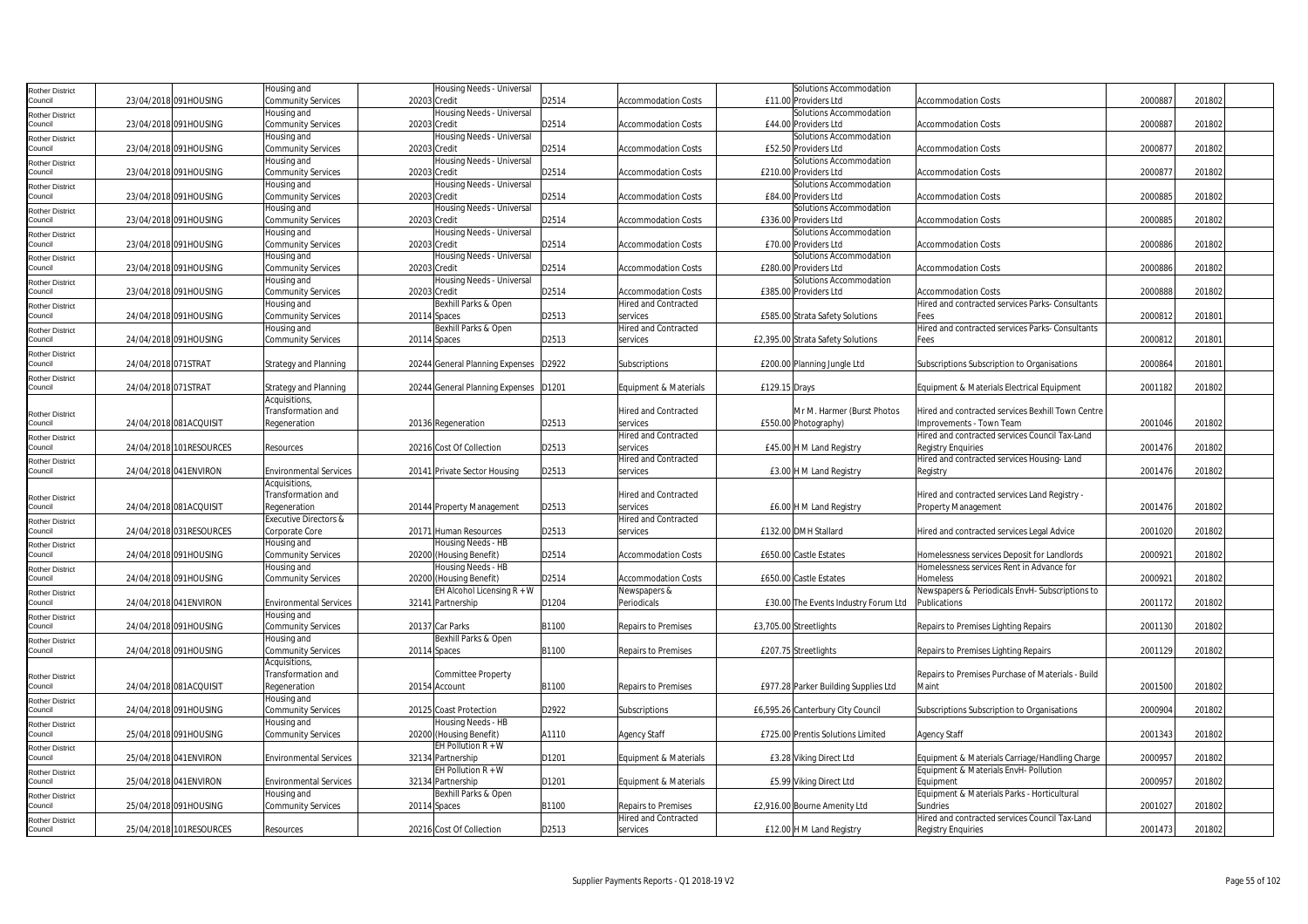| Rother District                   |                     |                         | lousing and                      | Housing Needs - Universal               |       |                             | Solutions Accommodation              |                                                   |         |        |
|-----------------------------------|---------------------|-------------------------|----------------------------------|-----------------------------------------|-------|-----------------------------|--------------------------------------|---------------------------------------------------|---------|--------|
| Council                           |                     | 23/04/2018 091HOUSING   | <b>Community Services</b>        | 20203 Credit                            | D2514 | <b>Accommodation Costs</b>  | £11.00 Providers Ltd                 | <b>Accommodation Costs</b>                        | 2000887 | 201802 |
| Rother District                   |                     |                         | Housing and                      | Housing Needs - Universal               |       |                             | Solutions Accommodation              |                                                   |         |        |
| Council                           |                     | 23/04/2018 091HOUSING   | <b>Community Services</b>        | 20203 Credit                            | D2514 | <b>Accommodation Costs</b>  | £44.00 Providers Ltd                 | <b>Accommodation Costs</b>                        | 200088  | 201802 |
| <b>Rother District</b>            |                     |                         | lousing and                      | Housing Needs - Universal               |       |                             | Solutions Accommodation              |                                                   |         |        |
| Council                           |                     | 23/04/2018 091HOUSING   | <b>Community Services</b>        | 20203 Credit                            | D2514 | <b>Accommodation Costs</b>  | £52.50 Providers Ltd                 | <b>Accommodation Costs</b>                        | 2000877 | 201802 |
| Rother District                   |                     |                         | Housing and                      | Housing Needs - Universal               |       |                             | Solutions Accommodation              |                                                   |         |        |
| Council                           |                     | 23/04/2018 091HOUSING   | Community Services               | 20203 Credit                            | D2514 | <b>Accommodation Costs</b>  | £210.00 Providers Ltd                | Accommodation Costs                               | 2000877 | 201802 |
| Rother District                   |                     |                         | Housing and                      | Housing Needs - Universal               |       |                             | Solutions Accommodation              |                                                   |         |        |
| Council                           |                     | 23/04/2018 091HOUSING   | <b>Community Services</b>        | 20203 Credit                            | D2514 | <b>Accommodation Costs</b>  | £84.00 Providers Ltd                 | <b>Accommodation Costs</b>                        | 2000885 | 201802 |
| Rother District                   |                     |                         | Housing and                      | Housing Needs - Universal               |       |                             | Solutions Accommodation              |                                                   |         |        |
| Council                           |                     | 23/04/2018 091HOUSING   | <b>Community Services</b>        | 20203 Credit                            | D2514 | <b>Accommodation Costs</b>  | £336.00 Providers Ltd                | <b>Accommodation Costs</b>                        | 2000885 | 201802 |
| Rother District                   |                     |                         | Housing and                      | Housing Needs - Universal               |       |                             | Solutions Accommodation              |                                                   |         |        |
| Council                           |                     | 23/04/2018 091HOUSING   | <b>Community Services</b>        | 20203 Credit                            | D2514 | <b>Accommodation Costs</b>  | £70.00 Providers Ltd                 | <b>Accommodation Costs</b>                        | 2000886 | 201802 |
| Rother District                   |                     |                         | Housing and                      | Housing Needs - Universal               |       |                             | Solutions Accommodation              |                                                   |         |        |
| Council                           |                     | 23/04/2018 091HOUSING   | <b>Community Services</b>        | 20203 Credit                            | D2514 | <b>Accommodation Costs</b>  | £280.00 Providers Ltd                | <b>Accommodation Costs</b>                        | 2000886 | 201802 |
| <b>Rother District</b>            |                     |                         | Housing and                      | Housing Needs - Universal               |       |                             | Solutions Accommodation              |                                                   |         |        |
| Council                           |                     | 23/04/2018 091HOUSING   | Community Services               | 20203 Credit                            | D2514 | Accommodation Costs         | £385.00 Providers Ltd                | Accommodation Costs                               | 2000888 | 201802 |
| Rother District                   |                     |                         | Housing and                      | Bexhill Parks & Open                    |       | <b>Hired and Contracted</b> |                                      | Hired and contracted services Parks- Consultants  |         |        |
| Council                           |                     | 24/04/2018 091HOUSING   | Community Services               | 20114 Spaces                            | D2513 | services                    | £585.00 Strata Safety Solutions      | Fees                                              | 200081  | 201801 |
| Rother District                   |                     |                         | lousing and                      | Bexhill Parks & Open                    |       | Hired and Contracted        |                                      | Hired and contracted services Parks- Consultants  |         |        |
| Council                           |                     | 24/04/2018 091HOUSING   | <b>Community Services</b>        | 20114 Spaces                            | D2513 | services                    | £2,395.00 Strata Safety Solutions    | Fees                                              | 2000812 | 201801 |
| Rother District                   |                     |                         |                                  |                                         |       |                             |                                      |                                                   |         |        |
| Council                           | 24/04/2018 071STRAT |                         | Strategy and Planning            | 20244 General Planning Expenses   D2922 |       | Subscriptions               | £200.00 Planning Jungle Ltd          | Subscriptions Subscription to Organisations       | 2000864 | 201801 |
| Rother District                   |                     |                         |                                  |                                         |       |                             |                                      |                                                   |         |        |
| Council                           | 24/04/2018 071STRAT |                         | <b>Strategy and Planning</b>     | 20244 General Planning Expenses         | D1201 | Equipment & Materials       | £129.15 Drays                        | Equipment & Materials Electrical Equipment        | 2001182 | 201802 |
|                                   |                     |                         | Acquisitions,                    |                                         |       |                             |                                      |                                                   |         |        |
|                                   |                     |                         | Transformation and               |                                         |       | <b>Hired and Contracted</b> | Mr M. Harmer (Burst Photos           | Hired and contracted services Bexhill Town Centre |         |        |
| Rother District<br>Council        |                     | 24/04/2018 081ACQUISIT  | Regeneration                     | 20136 Regeneration                      | D2513 | services                    | £550.00 Photography)                 | Improvements - Town Team                          | 2001046 | 201802 |
|                                   |                     |                         |                                  |                                         |       | <b>Hired and Contracted</b> |                                      | Hired and contracted services Council Tax-Land    |         |        |
| Rother District<br>Council        |                     | 24/04/2018 101RESOURCES | Resources                        | 20216 Cost Of Collection                | D2513 | services                    | £45.00 H M Land Registry             | Registry Enquiries                                | 2001476 | 201802 |
|                                   |                     |                         |                                  |                                         |       | Hired and Contracted        |                                      | Hired and contracted services Housing-Land        |         |        |
| Rother District<br>Council        |                     | 24/04/2018 041ENVIRON   | <b>Environmental Services</b>    | 20141 Private Sector Housing            | D2513 | services                    | £3.00 H M Land Registry              | Registry                                          | 2001476 | 201802 |
|                                   |                     |                         | Acquisitions,                    |                                         |       |                             |                                      |                                                   |         |        |
|                                   |                     |                         | Transformation and               |                                         |       | <b>Hired and Contracted</b> |                                      | Hired and contracted services Land Registry -     |         |        |
| <b>Rother District</b><br>Council |                     | 24/04/2018 081ACQUISIT  | Regeneration                     | 20144 Property Management               | D2513 | services                    | £6.00 H M Land Registry              | Property Management                               | 2001476 | 201802 |
|                                   |                     |                         | <b>Executive Directors &amp;</b> |                                         |       | Hired and Contracted        |                                      |                                                   |         |        |
| Rother District<br>Council        |                     | 24/04/2018 031RESOURCES | Corporate Core                   | 20171 Human Resources                   | D2513 | services                    | £132.00 DMH Stallard                 | Hired and contracted services Legal Advice        | 2001020 | 201802 |
|                                   |                     |                         | Housing and                      | Housing Needs - HB                      |       |                             |                                      |                                                   |         |        |
| Rother District<br>Council        |                     | 24/04/2018 091HOUSING   | <b>Community Services</b>        | 20200 (Housing Benefit)                 | D2514 | Accommodation Costs         | £650.00 Castle Estates               | Iomelessness services Deposit for Landlords       | 2000921 | 201802 |
|                                   |                     |                         | lousing and                      | Housing Needs - HB                      |       |                             |                                      | Homelessness services Rent in Advance for         |         |        |
| Rother District<br>Council        |                     | 24/04/2018 091HOUSING   | <b>Community Services</b>        | 20200 (Housing Benefit)                 | D2514 | <b>Accommodation Costs</b>  | £650.00 Castle Estates               | Homeless                                          | 200092  | 201802 |
|                                   |                     |                         |                                  | EH Alcohol Licensing $R + W$            |       | Newspapers &                |                                      | Newspapers & Periodicals EnvH-Subscriptions to    |         |        |
| Rother District<br>Council        |                     | 24/04/2018 041 ENVIRON  | <b>Environmental Services</b>    | 32141 Partnership                       | D1204 | Periodicals                 | £30.00 The Events Industry Forum Ltd | Publications                                      | 2001172 | 201802 |
|                                   |                     |                         | Housing and                      |                                         |       |                             |                                      |                                                   |         |        |
| Rother District<br>Council        |                     | 24/04/2018 091HOUSING   | <b>Community Services</b>        | 20137 Car Parks                         | B1100 | Repairs to Premises         | £3,705.00 Streetlights               | Repairs to Premises Lighting Repairs              | 2001130 | 201802 |
|                                   |                     |                         | Housing and                      | Bexhill Parks & Open                    |       |                             |                                      |                                                   |         |        |
| Rother District<br>Council        |                     | 24/04/2018 091HOUSING   | Community Services               | 20114 Spaces                            | B1100 | Repairs to Premises         | £207.75 Streetlights                 | Repairs to Premises Lighting Repairs              | 2001129 | 201802 |
|                                   |                     |                         | Acquisitions                     |                                         |       |                             |                                      |                                                   |         |        |
|                                   |                     |                         | Transformation and               | Committee Property                      |       |                             |                                      | Repairs to Premises Purchase of Materials - Build |         |        |
| Rother District<br>Council        |                     | 24/04/2018 081ACQUISIT  | Regeneration                     | 20154 Account                           | B1100 | Repairs to Premises         | £977.28 Parker Building Supplies Ltd | Maint                                             | 2001500 | 201802 |
| <b>Rother District</b>            |                     |                         | Housing and                      |                                         |       |                             |                                      |                                                   |         |        |
| Council                           |                     | 24/04/2018 091HOUSING   | <b>Community Services</b>        | 20125 Coast Protection                  | D2922 | Subscriptions               | £6,595.26 Canterbury City Council    | Subscriptions Subscription to Organisations       | 2000904 | 201802 |
|                                   |                     |                         | lousing and                      | Housing Needs - HB                      |       |                             |                                      |                                                   |         |        |
| <b>Rother District</b><br>Council |                     | 25/04/2018 091HOUSING   | <b>Community Services</b>        | 20200 (Housing Benefit)                 | A1110 | <b>Agency Staff</b>         | £725.00 Prentis Solutions Limited    | Agency Staff                                      | 2001343 | 201802 |
|                                   |                     |                         |                                  | EH Pollution $R + W$                    |       |                             |                                      |                                                   |         |        |
| Rother District<br>Council        |                     | 25/04/2018 041 ENVIRON  | <b>Environmental Services</b>    | 32134 Partnership                       | D1201 | Equipment & Materials       | £3.28 Viking Direct Ltd              | Equipment & Materials Carriage/Handling Charge    | 2000957 | 201802 |
|                                   |                     |                         |                                  | EH Pollution $R + W$                    |       |                             |                                      | Equipment & Materials EnvH- Pollution             |         |        |
| Rother District<br>Council        |                     | 25/04/2018 041ENVIRON   | <b>Environmental Services</b>    | 32134 Partnership                       | D1201 | Equipment & Materials       | £5.99 Viking Direct Ltd              | Equipment                                         | 200095  | 201802 |
|                                   |                     |                         | Housing and                      | Bexhill Parks & Open                    |       |                             |                                      | Equipment & Materials Parks - Horticultural       |         |        |
| <b>Rother District</b><br>Council |                     | 25/04/2018 091HOUSING   | <b>Community Services</b>        | 20114 Spaces                            | B1100 | Repairs to Premises         | £2,916.00 Bourne Amenity Ltd         | Sundries                                          | 2001027 | 201802 |
|                                   |                     |                         |                                  |                                         |       | Hired and Contracted        |                                      | Hired and contracted services Council Tax-Land    |         |        |
| Rother District<br>Council        |                     | 25/04/2018 101RESOURCES | Resources                        | 20216 Cost Of Collection                | D2513 | services                    | £12.00 H M Land Registry             | <b>Registry Enquiries</b>                         | 2001473 | 201802 |
|                                   |                     |                         |                                  |                                         |       |                             |                                      |                                                   |         |        |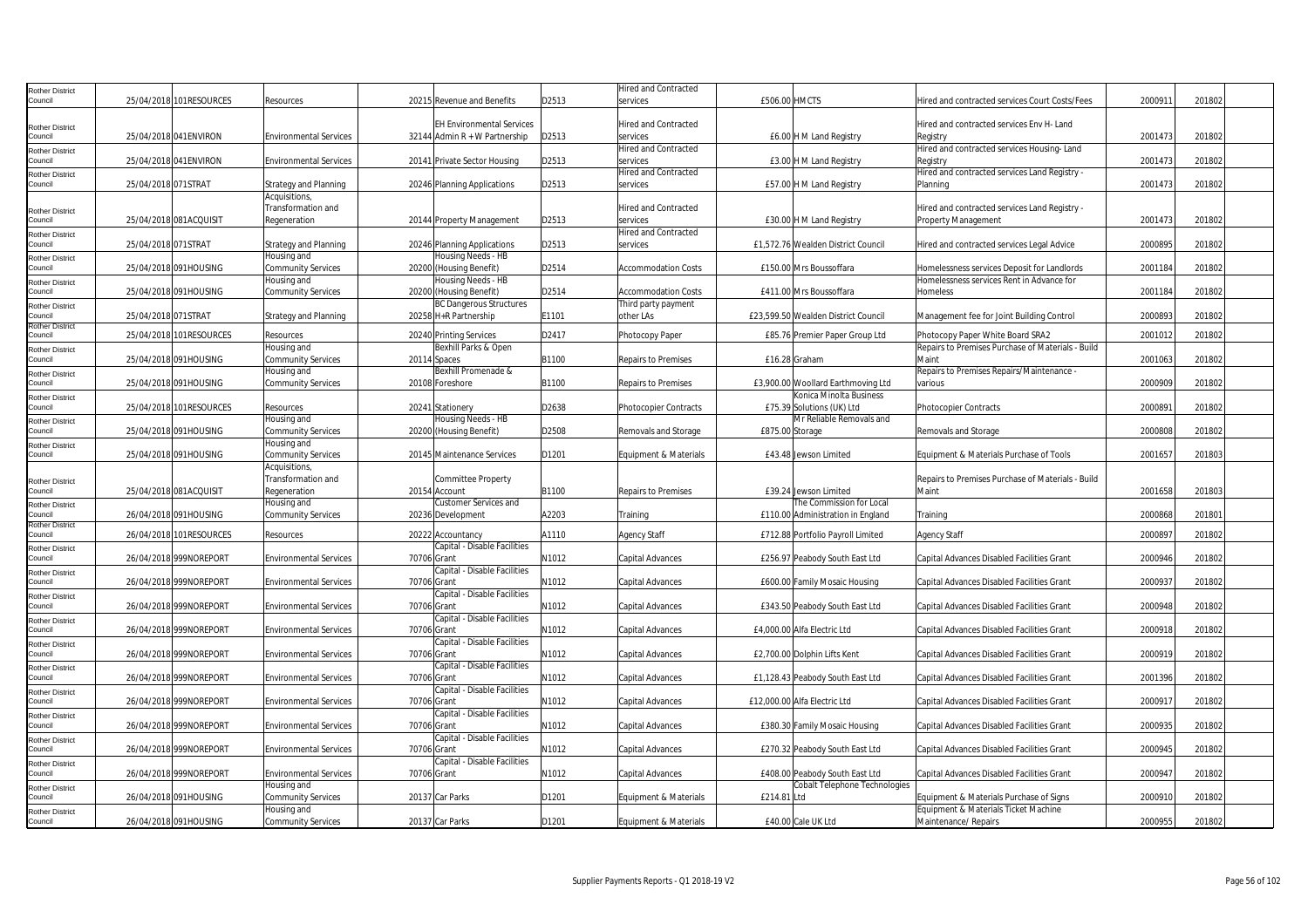| Rother District                   |                          |                                               |                                             |       | <b>Hired and Contracted</b>             |                 |                                     |                                                                                 |         |        |  |
|-----------------------------------|--------------------------|-----------------------------------------------|---------------------------------------------|-------|-----------------------------------------|-----------------|-------------------------------------|---------------------------------------------------------------------------------|---------|--------|--|
| Council                           | 25/04/2018 101 RESOURCES | Resources                                     | 20215 Revenue and Benefits                  | D2513 | services                                | £506.00 HMCTS   |                                     | Hired and contracted services Court Costs/Fees                                  | 2000911 | 201802 |  |
|                                   |                          |                                               |                                             |       |                                         |                 |                                     |                                                                                 |         |        |  |
| Rother District                   |                          |                                               | <b>EH Environmental Services</b>            |       | <b>Hired and Contracted</b>             |                 |                                     | Hired and contracted services Env H- Land                                       |         |        |  |
| Council                           | 25/04/2018 041ENVIRON    | <b>Environmental Services</b>                 | 32144 Admin $R + W$ Partnership             | D2513 | services                                |                 | £6.00 H M Land Registry             | Registry                                                                        | 2001473 | 201802 |  |
| Rother District                   |                          |                                               |                                             |       | <b>Hired and Contracted</b>             |                 |                                     | Hired and contracted services Housing-Land                                      |         |        |  |
| Council                           | 25/04/2018 041 ENVIRON   | <b>Environmental Services</b>                 | 20141 Private Sector Housing                | D2513 | services<br><b>Hired and Contracted</b> |                 | £3.00 H M Land Registry             | Registry<br>Hired and contracted services Land Registry -                       | 2001473 | 201802 |  |
| Rother District<br>Council        | 25/04/2018 071STRAT      |                                               |                                             | D2513 | services                                |                 |                                     | Planning                                                                        | 2001473 | 201802 |  |
|                                   |                          | <b>Strategy and Planning</b><br>Acquisitions, | 20246 Planning Applications                 |       |                                         |                 | £57.00 H M Land Registry            |                                                                                 |         |        |  |
|                                   |                          | Transformation and                            |                                             |       | <b>Hired and Contracted</b>             |                 |                                     | Hired and contracted services Land Registry -                                   |         |        |  |
| <b>Rother District</b><br>Council | 25/04/2018 081ACQUISIT   | Regeneration                                  | 20144 Property Management                   | D2513 | services                                |                 | £30.00 H M Land Registry            | Property Management                                                             | 2001473 | 201802 |  |
| Rother District                   |                          |                                               |                                             |       | <b>Hired and Contracted</b>             |                 |                                     |                                                                                 |         |        |  |
| Council                           | 25/04/2018 071STRAT      | <b>Strategy and Planning</b>                  | 20246 Planning Applications                 | D2513 | services                                |                 | £1,572.76 Wealden District Council  | Hired and contracted services Legal Advice                                      | 2000895 | 201802 |  |
| Rother District                   |                          | Housing and                                   | Housing Needs - HB                          |       |                                         |                 |                                     |                                                                                 |         |        |  |
| Council                           | 25/04/2018 091HOUSING    | <b>Community Services</b>                     | 20200 (Housing Benefit)                     | D2514 | <b>Accommodation Costs</b>              |                 | £150.00 Mrs Boussoffara             | Homelessness services Deposit for Landlords                                     | 2001184 | 201802 |  |
| Rother District                   |                          | Housing and                                   | Housing Needs - HB                          |       |                                         |                 |                                     | Homelessness services Rent in Advance for                                       |         |        |  |
| Council                           | 25/04/2018 091HOUSING    | <b>Community Services</b>                     | 20200 (Housing Benefit)                     | D2514 | <b>Accommodation Costs</b>              |                 | £411.00 Mrs Boussoffara             | <b>Homeless</b>                                                                 | 2001184 | 201802 |  |
| Rother District                   |                          |                                               | <b>BC Dangerous Structures</b>              |       | Third party payment                     |                 |                                     |                                                                                 |         |        |  |
| Council<br>Rother District        | 25/04/2018 071STRAT      | <b>Strategy and Planning</b>                  | 20258 H+R Partnership                       | E1101 | other LAs                               |                 | £23.599.50 Wealden District Council | Management fee for Joint Building Control                                       | 2000893 | 201802 |  |
| Council                           | 25/04/2018 101RESOURCES  | Resources                                     | 20240 Printing Services                     | D2417 | Photocopy Paper                         |                 | £85.76 Premier Paper Group Ltd      | Photocopy Paper White Board SRA2                                                | 2001012 | 201802 |  |
| <b>Rother District</b>            |                          | Housing and                                   | Bexhill Parks & Open                        |       |                                         |                 |                                     | Repairs to Premises Purchase of Materials - Build                               |         |        |  |
| Council                           | 25/04/2018 091HOUSING    | <b>Community Services</b>                     | 20114 Spaces                                | B1100 | <b>Repairs to Premises</b>              |                 | £16.28 Graham                       | Maint                                                                           | 2001063 | 201802 |  |
| Rother District                   |                          | Housing and                                   | Bexhill Promenade &                         |       |                                         |                 |                                     | Repairs to Premises Repairs/Maintenance -                                       |         |        |  |
| Council                           | 25/04/2018 091HOUSING    | <b>Community Services</b>                     | 20108 Foreshore                             | B1100 | <b>Repairs to Premises</b>              |                 | £3,900.00 Woollard Earthmoving Ltd  | various                                                                         | 2000909 | 201802 |  |
| Rother District                   |                          |                                               |                                             |       |                                         |                 | Konica Minolta Business             |                                                                                 |         |        |  |
| Council                           | 25/04/2018 101RESOURCES  | Resources                                     | 20241 Stationery                            | D2638 | Photocopier Contracts                   |                 | £75.39 Solutions (UK) Ltd           | Photocopier Contracts                                                           | 2000891 | 201802 |  |
| Rother District                   |                          | Housing and                                   | Housing Needs - HB                          |       |                                         |                 | Mr Reliable Removals and            |                                                                                 |         |        |  |
| Council                           | 25/04/2018 091HOUSING    | Community Services                            | 20200 (Housing Benefit)                     | D2508 | Removals and Storage                    | £875.00 Storage |                                     | Removals and Storage                                                            | 2000808 | 201802 |  |
| Rother District                   |                          | Housing and                                   |                                             |       |                                         |                 |                                     |                                                                                 |         |        |  |
| Council                           | 25/04/2018 091HOUSING    | <b>Community Services</b>                     | 20145 Maintenance Services                  | D1201 | Equipment & Materials                   |                 | £43.48 Jewson Limited               | Equipment & Materials Purchase of Tools                                         | 2001657 | 201803 |  |
|                                   |                          | Acquisitions,<br>Transformation and           |                                             |       |                                         |                 |                                     | Repairs to Premises Purchase of Materials - Build                               |         |        |  |
| <b>Rother District</b><br>Council | 25/04/2018 081ACQUISIT   | Regeneration                                  | <b>Committee Property</b><br>20154 Account  | B1100 | Repairs to Premises                     |                 | £39.24 Jewson Limited               | Maint                                                                           | 2001658 | 201803 |  |
|                                   |                          | Housing and                                   | Customer Services and                       |       |                                         |                 | The Commission for Local            |                                                                                 |         |        |  |
| Rother District<br>Council        | 26/04/2018 091HOUSING    | Community Services                            | 20236 Development                           | A2203 | Training                                |                 | £110.00 Administration in England   | Training                                                                        | 2000868 | 201801 |  |
| <b>Rother District</b>            |                          |                                               |                                             |       |                                         |                 |                                     |                                                                                 |         |        |  |
| Council                           | 26/04/2018 101RESOURCES  | Resources                                     | 20222 Accountancy                           | A1110 | <b>Agency Staff</b>                     |                 | £712.88 Portfolio Payroll Limited   | Agency Staff                                                                    | 2000897 | 201802 |  |
| Rother District                   |                          |                                               | Capital - Disable Facilities                |       |                                         |                 |                                     |                                                                                 |         |        |  |
| Council                           | 26/04/2018 999NOREPORT   | <b>Environmental Services</b>                 | 70706 Grant                                 | N1012 | Capital Advances                        |                 | £256.97 Peabody South East Ltd      | Capital Advances Disabled Facilities Grant                                      | 2000946 | 201802 |  |
| Rother District<br>Council        |                          |                                               | Capital - Disable Facilities                |       |                                         |                 |                                     |                                                                                 |         |        |  |
|                                   | 26/04/2018 999NOREPORT   | <b>Environmental Services</b>                 | 70706 Grant<br>Capital - Disable Facilities | N1012 | Capital Advances                        |                 | £600.00 Family Mosaic Housing       | Capital Advances Disabled Facilities Grant                                      | 2000937 | 201802 |  |
| Rother District<br>council        | 26/04/2018 999NOREPORT   | <b>Environmental Services</b>                 | 70706 Grant                                 | N1012 | Capital Advances                        |                 | £343.50 Peabody South East Ltd      | Capital Advances Disabled Facilities Grant                                      | 2000948 | 201802 |  |
|                                   |                          |                                               | Capital - Disable Facilities                |       |                                         |                 |                                     |                                                                                 |         |        |  |
| <b>Rother District</b><br>Council | 26/04/2018 999NOREPORT   | <b>Environmental Services</b>                 | 70706 Grant                                 | N1012 | Capital Advances                        |                 | £4,000.00 Alfa Electric Ltd         | Capital Advances Disabled Facilities Grant                                      | 2000918 | 201802 |  |
| Rother District                   |                          |                                               | Capital - Disable Facilities                |       |                                         |                 |                                     |                                                                                 |         |        |  |
| Council                           | 26/04/2018 999NOREPORT   | <b>Environmental Services</b>                 | 70706 Grant                                 | N1012 | Capital Advances                        |                 | £2,700.00 Dolphin Lifts Kent        | Capital Advances Disabled Facilities Grant                                      | 200091  | 201802 |  |
| <b>Rother District</b>            |                          |                                               | Capital - Disable Facilities                |       |                                         |                 |                                     |                                                                                 |         |        |  |
| Council                           | 26/04/2018 999NOREPORT   | <b>Environmental Services</b>                 | 70706 Grant                                 | N1012 | <b>Capital Advances</b>                 |                 | £1,128.43 Peabody South East Ltd    | Capital Advances Disabled Facilities Grant                                      | 2001396 | 201802 |  |
| Rother District                   |                          |                                               | Capital - Disable Facilities                |       |                                         |                 |                                     |                                                                                 |         |        |  |
| Council                           | 26/04/2018 999NOREPORT   | <b>Environmental Services</b>                 | 70706 Grant                                 | N1012 | <b>Capital Advances</b>                 |                 | £12.000.00 Alfa Electric Ltd        | Capital Advances Disabled Facilities Grant                                      | 200091  | 201802 |  |
| Rother District                   |                          |                                               | Capital - Disable Facilities                |       |                                         |                 |                                     |                                                                                 |         |        |  |
| ouncil                            | 26/04/2018 999NOREPORT   | <b>Environmental Services</b>                 | 70706 Grant                                 | N1012 | Capital Advances                        |                 | £380.30 Family Mosaic Housing       | Capital Advances Disabled Facilities Grant                                      | 200093  | 201802 |  |
| <b>Rother District</b>            |                          |                                               | Capital - Disable Facilities                |       |                                         |                 |                                     |                                                                                 |         |        |  |
| Council                           | 26/04/2018 999NOREPORT   | <b>Environmental Services</b>                 | 70706 Grant                                 | N1012 | Capital Advances                        |                 | £270.32 Peabody South East Ltd      | Capital Advances Disabled Facilities Grant                                      | 2000945 | 201802 |  |
| Rother District                   |                          |                                               | Capital - Disable Facilities                |       |                                         |                 |                                     |                                                                                 |         |        |  |
| Council                           | 26/04/2018 999NOREPORT   | <b>Environmental Services</b>                 | 70706 Grant                                 | N1012 | Capital Advances                        |                 | £408.00 Peabody South East Ltd      | Capital Advances Disabled Facilities Grant                                      | 2000947 | 201802 |  |
| Rother District<br>Council        | 26/04/2018 091HOUSING    | Housing and                                   | 20137 Car Parks                             | D1201 | Equipment & Materials                   | £214.81 Ltd     | Cobalt Telephone Technologies       |                                                                                 | 2000910 | 201802 |  |
|                                   |                          | <b>Community Services</b><br>Housing and      |                                             |       |                                         |                 |                                     | Equipment & Materials Purchase of Signs<br>Equipment & Materials Ticket Machine |         |        |  |
| Rother District<br>Council        | 26/04/2018 091HOUSING    | <b>Community Services</b>                     | 20137 Car Parks                             | D1201 | Equipment & Materials                   |                 | £40.00 Cale UK Ltd                  | Maintenance/ Repairs                                                            | 2000955 | 201802 |  |
|                                   |                          |                                               |                                             |       |                                         |                 |                                     |                                                                                 |         |        |  |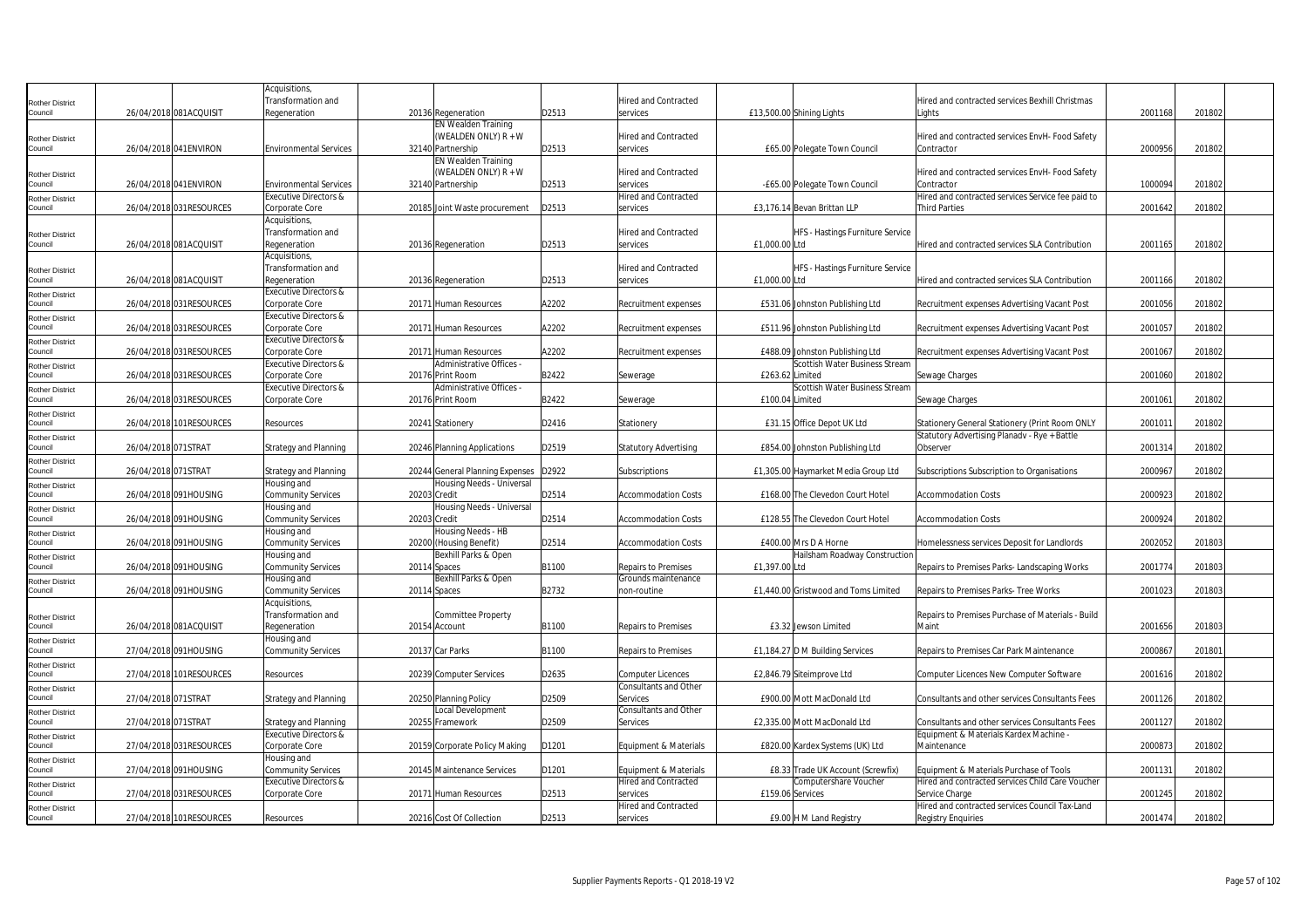|                                   |                     |                          | Acquisitions,                    |              |                                 |       |                              |                                      |                                                   |         |        |  |
|-----------------------------------|---------------------|--------------------------|----------------------------------|--------------|---------------------------------|-------|------------------------------|--------------------------------------|---------------------------------------------------|---------|--------|--|
| <b>Rother District</b>            |                     |                          | Transformation and               |              |                                 |       | Hired and Contracted         |                                      | Hired and contracted services Bexhill Christmas   |         |        |  |
| Council                           |                     | 26/04/2018 081ACQUISIT   | Regeneration                     |              | 20136 Regeneration              | D2513 | services                     | £13,500.00 Shining Lights            | Liahts                                            | 2001168 | 201802 |  |
|                                   |                     |                          |                                  |              |                                 |       |                              |                                      |                                                   |         |        |  |
|                                   |                     |                          |                                  |              | <b>EN Wealden Training</b>      |       |                              |                                      |                                                   |         |        |  |
| <b>Rother District</b>            |                     |                          |                                  |              | (WEALDEN ONLY) R + W            |       | Hired and Contracted         |                                      | Hired and contracted services EnvH- Food Safety   |         |        |  |
| Council                           |                     | 26/04/2018 041 ENVIRON   | <b>Environmental Services</b>    |              | 32140 Partnership               | D2513 | services                     | £65.00 Polegate Town Council         | Contractor                                        | 2000956 | 201802 |  |
|                                   |                     |                          |                                  |              | <b>EN Wealden Training</b>      |       |                              |                                      |                                                   |         |        |  |
| <b>Rother District</b>            |                     |                          |                                  |              | (WEALDEN ONLY) R + W            |       | Hired and Contracted         |                                      | Hired and contracted services EnvH- Food Safety   |         |        |  |
| Council                           |                     | 26/04/2018 041 ENVIRON   | <b>Environmental Services</b>    |              | 32140 Partnership               | D2513 | services                     | -£65.00 Polegate Town Council        | Contractor                                        | 100009  | 201802 |  |
|                                   |                     |                          | <b>Executive Directors &amp;</b> |              |                                 |       | Hired and Contracted         |                                      | Hired and contracted services Service fee paid to |         |        |  |
| <b>Rother District</b><br>Council |                     | 26/04/2018 031 RESOURCES | Corporate Core                   |              | 20185 Joint Waste procurement   | D2513 | services                     | £3,176.14 Bevan Brittan LLP          | <b>Third Parties</b>                              | 2001642 | 201802 |  |
|                                   |                     |                          |                                  |              |                                 |       |                              |                                      |                                                   |         |        |  |
|                                   |                     |                          | Acquisitions,                    |              |                                 |       |                              |                                      |                                                   |         |        |  |
| <b>Rother District</b>            |                     |                          | Transformation and               |              |                                 |       | Hired and Contracted         | HFS - Hastings Furniture Service     |                                                   |         |        |  |
| Council                           |                     | 26/04/2018 081ACQUISIT   | Regeneration                     |              | 20136 Regeneration              | D2513 | services                     | £1,000.00 Ltd                        | Hired and contracted services SLA Contribution    | 2001165 | 201802 |  |
|                                   |                     |                          | Acquisitions,                    |              |                                 |       |                              |                                      |                                                   |         |        |  |
| <b>Rother District</b>            |                     |                          | Transformation and               |              |                                 |       | <b>Hired and Contracted</b>  | HFS - Hastings Furniture Service     |                                                   |         |        |  |
| Council                           |                     | 26/04/2018 081ACQUISIT   | Regeneration                     |              | 20136 Regeneration              | D2513 | services                     | £1,000.00 Ltd                        | Hired and contracted services SLA Contribution    | 2001166 | 201802 |  |
| <b>Rother District</b>            |                     |                          | <b>Executive Directors &amp;</b> |              |                                 |       |                              |                                      |                                                   |         |        |  |
| Council                           |                     | 26/04/2018 031RESOURCES  | Corporate Core                   |              | 20171 Human Resources           | A2202 | Recruitment expenses         | £531.06 Johnston Publishing Ltd      | Recruitment expenses Advertising Vacant Post      | 2001056 | 201802 |  |
|                                   |                     |                          | Executive Directors &            |              |                                 |       |                              |                                      |                                                   |         |        |  |
| <b>Rother District</b><br>Council |                     | 26/04/2018 031 RESOURCES | Corporate Core                   |              | 20171 Human Resources           | A2202 |                              | £511.96 Johnston Publishing Ltd      | Recruitment expenses Advertising Vacant Post      | 2001057 | 201802 |  |
|                                   |                     |                          |                                  |              |                                 |       | Recruitment expenses         |                                      |                                                   |         |        |  |
| <b>Rother District</b>            |                     |                          | <b>Executive Directors &amp;</b> |              |                                 |       |                              |                                      |                                                   |         |        |  |
| Council                           |                     | 26/04/2018 031RESOURCES  | Corporate Core                   |              | 20171 Human Resources           | A2202 | Recruitment expenses         | £488.09 Johnston Publishing Ltd      | Recruitment expenses Advertising Vacant Post      | 2001067 | 201802 |  |
| <b>Rother District</b>            |                     |                          | <b>Executive Directors &amp;</b> |              | Administrative Offices -        |       |                              | Scottish Water Business Stream       |                                                   |         |        |  |
| Council                           |                     | 26/04/2018 031RESOURCES  | Corporate Core                   |              | 20176 Print Room                | B2422 | Sewerage                     | £263.62 Limited                      | Sewage Charges                                    | 2001060 | 201802 |  |
| <b>Rother District</b>            |                     |                          | <b>Executive Directors &amp;</b> |              | Administrative Offices          |       |                              | Scottish Water Business Stream       |                                                   |         |        |  |
| Council                           |                     | 26/04/2018 031RESOURCES  | Corporate Core                   |              | 20176 Print Room                | B2422 | Sewerage                     | £100.04 Limited                      | Sewage Charges                                    | 2001061 | 201802 |  |
| <b>Rother District</b>            |                     |                          |                                  |              |                                 |       |                              |                                      |                                                   |         |        |  |
| Council                           |                     | 26/04/2018 101RESOURCES  | Resources                        |              | 20241 Stationery                | D2416 | Stationery                   | £31.15 Office Depot UK Ltd           | Stationery General Stationery (Print Room ONLY    | 200101  | 201802 |  |
| <b>Rother District</b>            |                     |                          |                                  |              |                                 |       |                              |                                      | Statutory Advertising Planadv - Rye + Battle      |         |        |  |
| Council                           | 26/04/2018 071STRAT |                          | <b>Strategy and Planning</b>     |              | 20246 Planning Applications     | D2519 | <b>Statutory Advertising</b> | £854.00 Johnston Publishing Ltd      | Observer                                          | 2001314 | 201802 |  |
| <b>Rother District</b>            |                     |                          |                                  |              |                                 |       |                              |                                      |                                                   |         |        |  |
| Council                           | 26/04/2018 071STRAT |                          | <b>Strategy and Planning</b>     |              | 20244 General Planning Expenses | D2922 | <b>Subscriptions</b>         | £1,305.00 Haymarket Media Group Ltd  | Subscriptions Subscription to Organisations       | 2000967 | 201802 |  |
|                                   |                     |                          | Housing and                      |              | Housing Needs - Universal       |       |                              |                                      |                                                   |         |        |  |
| <b>Rother District</b>            |                     |                          |                                  |              |                                 |       |                              |                                      |                                                   |         |        |  |
| Council                           |                     | 26/04/2018 091HOUSING    | <b>Community Services</b>        | 20203 Credit |                                 | D2514 | <b>Accommodation Costs</b>   | £168.00 The Clevedon Court Hotel     | <b>Accommodation Costs</b>                        | 2000923 | 201802 |  |
| <b>Rother District</b>            |                     |                          | Housing and                      |              | Housing Needs - Universal       |       |                              |                                      |                                                   |         |        |  |
| Council                           |                     | 26/04/2018 091HOUSING    | Community Services               | 20203 Credit |                                 | D2514 | <b>Accommodation Costs</b>   | £128.55 The Clevedon Court Hotel     | <b>Accommodation Costs</b>                        | 2000924 | 201802 |  |
| <b>Rother District</b>            |                     |                          | Housing and                      |              | Housing Needs - HB              |       |                              |                                      |                                                   |         |        |  |
| Council                           |                     | 26/04/2018 091HOUSING    | <b>Community Services</b>        |              | 20200 (Housing Benefit)         | D2514 | <b>Accommodation Costs</b>   | £400.00 Mrs D A Horne                | Homelessness services Deposit for Landlords       | 2002052 | 201803 |  |
| <b>Rother District</b>            |                     |                          | Housing and                      |              | Bexhill Parks & Open            |       |                              | Hailsham Roadway Construction        |                                                   |         |        |  |
| Council                           |                     | 26/04/2018 091HOUSING    | <b>Community Services</b>        | 20114 Spaces |                                 | B1100 | Repairs to Premises          | £1,397.00 Ltd                        | Repairs to Premises Parks- Landscaping Works      | 2001774 | 201803 |  |
| <b>Rother District</b>            |                     |                          | Housing and                      |              | Bexhill Parks & Open            |       | Grounds maintenance          |                                      |                                                   |         |        |  |
| Council                           |                     | 26/04/2018 091HOUSING    | <b>Community Services</b>        | 20114 Spaces |                                 | B2732 | non-routine                  | £1,440.00 Gristwood and Toms Limited | Repairs to Premises Parks- Tree Works             | 2001023 | 201803 |  |
|                                   |                     |                          | Acquisitions,                    |              |                                 |       |                              |                                      |                                                   |         |        |  |
|                                   |                     |                          | Transformation and               |              | <b>Committee Property</b>       |       |                              |                                      | Repairs to Premises Purchase of Materials - Build |         |        |  |
| <b>Rother District</b><br>Council |                     | 26/04/2018 081ACQUISIT   | Regeneration                     |              | 20154 Account                   | B1100 | Repairs to Premises          | £3.32 Jewson Limited                 | Maint                                             | 2001656 | 201803 |  |
|                                   |                     |                          |                                  |              |                                 |       |                              |                                      |                                                   |         |        |  |
| <b>Rother District</b>            |                     |                          | Housing and                      |              |                                 |       |                              |                                      |                                                   |         |        |  |
| Council                           |                     | 27/04/2018 091HOUSING    | <b>Community Services</b>        |              | 20137 Car Parks                 | B1100 | <b>Repairs to Premises</b>   | £1,184.27 D M Building Services      | Repairs to Premises Car Park Maintenance          | 2000867 | 201801 |  |
| <b>Rother District</b>            |                     |                          |                                  |              |                                 |       |                              |                                      |                                                   |         |        |  |
| Council                           |                     | 27/04/2018 101RESOURCES  | Resources                        |              | 20239 Computer Services         | D2635 | <b>Computer Licences</b>     | £2,846.79 Site improve Ltd           | Computer Licences New Computer Software           | 2001616 | 201802 |  |
| <b>Rother District</b>            |                     |                          |                                  |              |                                 |       | Consultants and Other        |                                      |                                                   |         |        |  |
| Council                           | 27/04/2018 071STRAT |                          | <b>Strategy and Planning</b>     |              | 20250 Planning Policy           | D2509 | Services                     | £900.00 Mott MacDonald Ltd           | Consultants and other services Consultants Fees   | 2001126 | 201802 |  |
| <b>Rother District</b>            |                     |                          |                                  |              | <b>Local Development</b>        |       | Consultants and Other        |                                      |                                                   |         |        |  |
| Council                           | 27/04/2018 071STRAT |                          | <b>Strategy and Planning</b>     |              | 20255 Framework                 | D2509 | Services                     | £2,335.00 Mott MacDonald Ltd         | Consultants and other services Consultants Fees   | 2001127 | 201802 |  |
| <b>Rother District</b>            |                     |                          | <b>Executive Directors &amp;</b> |              |                                 |       |                              |                                      | Equipment & Materials Kardex Machine              |         |        |  |
| Council                           |                     | 27/04/2018 031RESOURCES  | Corporate Core                   |              | 20159 Corporate Policy Making   | D1201 | Equipment & Materials        | £820.00 Kardex Systems (UK) Ltd      | Maintenance                                       | 2000873 | 201802 |  |
|                                   |                     |                          | Housing and                      |              |                                 |       |                              |                                      |                                                   |         |        |  |
| <b>Rother District</b><br>Council |                     | 27/04/2018 091HOUSING    | <b>Community Services</b>        |              | 20145 Maintenance Services      | D1201 |                              | £8.33 Trade UK Account (Screwfix)    | Equipment & Materials Purchase of Tools           | 200113  | 201802 |  |
|                                   |                     |                          |                                  |              |                                 |       | Equipment & Materials        |                                      |                                                   |         |        |  |
| <b>Rother District</b>            |                     |                          | Executive Directors &            |              |                                 |       | <b>Hired and Contracted</b>  | Computershare Voucher                | Hired and contracted services Child Care Voucher  |         |        |  |
| Council                           |                     | 27/04/2018 031RESOURCES  | Corporate Core                   |              | 20171 Human Resources           | D2513 | services                     | £159.06 Services                     | Service Charge                                    | 2001245 | 201802 |  |
| <b>Rother District</b>            |                     |                          |                                  |              |                                 |       | Hired and Contracted         |                                      | Hired and contracted services Council Tax-Land    |         |        |  |
| Council                           |                     | 27/04/2018 101RESOURCES  | Resources                        |              | 20216 Cost Of Collection        | D2513 | services                     | £9.00 H M Land Registry              | <b>Registry Enquiries</b>                         | 2001474 | 201802 |  |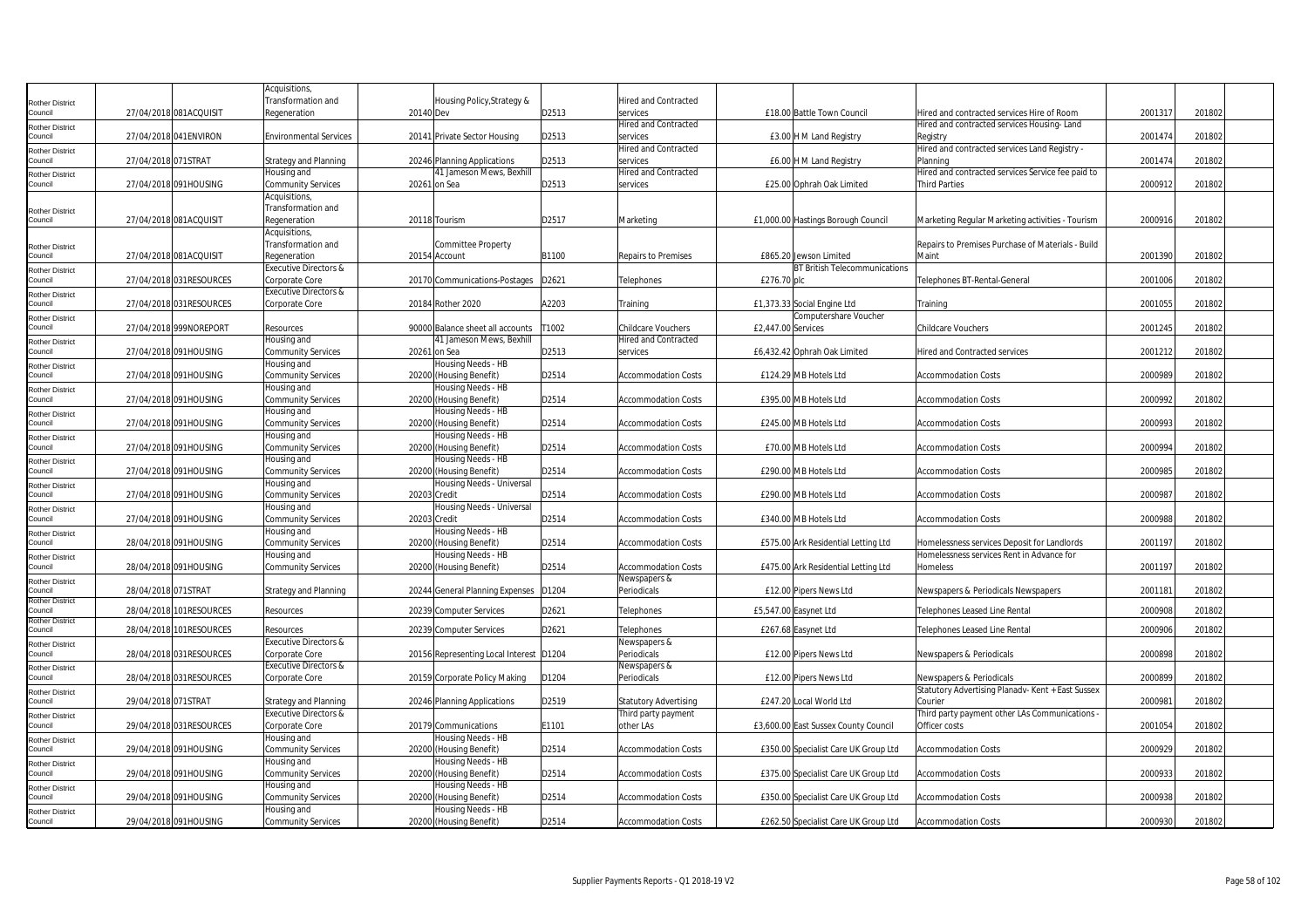|                                   |                     |                          | Acquisitions                                                     |                                                              |                   |                                                     |                                      |                                                           |         |        |  |
|-----------------------------------|---------------------|--------------------------|------------------------------------------------------------------|--------------------------------------------------------------|-------------------|-----------------------------------------------------|--------------------------------------|-----------------------------------------------------------|---------|--------|--|
| <b>Rother District</b>            |                     |                          | Transformation and                                               | Housing Policy, Strategy &                                   |                   | <b>Hired and Contracted</b>                         |                                      |                                                           |         |        |  |
| Council                           |                     | 27/04/2018 081ACQUISIT   | Regeneration                                                     | 20140 Dev                                                    | D2513             | services                                            | £18.00 Battle Town Council           | Hired and contracted services Hire of Room                | 200131  | 201802 |  |
| Rother District                   |                     |                          |                                                                  |                                                              |                   | Hired and Contracted                                |                                      | Hired and contracted services Housing-Land                |         |        |  |
| Council                           |                     | 27/04/2018 041 ENVIRON   | <b>Environmental Services</b>                                    | 20141 Private Sector Housing                                 | D2513             | services<br>Hired and Contracted                    | £3.00 H M Land Registry              | Registry                                                  | 2001474 | 201802 |  |
| Rother District<br>Council        | 27/04/2018 071STRAT |                          | <b>Strategy and Planning</b>                                     |                                                              | D2513             | services                                            |                                      | Hired and contracted services Land Registry -<br>Planning | 2001474 | 201802 |  |
|                                   |                     |                          | Housing and                                                      | 20246 Planning Applications<br>41 Jameson Mews, Bexhill      |                   | Hired and Contracted                                | £6.00 H M Land Registry              | Hired and contracted services Service fee paid to         |         |        |  |
| Rother District<br>Council        |                     | 27/04/2018 091HOUSING    | Community Services                                               | 20261 on Sea                                                 | D2513             | services                                            | £25.00 Ophrah Oak Limited            | Third Parties                                             | 200091  | 201802 |  |
|                                   |                     |                          | Acquisitions                                                     |                                                              |                   |                                                     |                                      |                                                           |         |        |  |
| <b>Rother District</b>            |                     |                          | Transformation and                                               |                                                              |                   |                                                     |                                      |                                                           |         |        |  |
| Council                           |                     | 27/04/2018 081ACQUISIT   | Regeneration                                                     | 20118 Tourism                                                | D2517             | Marketing                                           | £1,000.00 Hastings Borough Council   | Marketing Regular Marketing activities - Tourism          | 2000916 | 201802 |  |
|                                   |                     |                          | <b>Acquisitions</b>                                              |                                                              |                   |                                                     |                                      |                                                           |         |        |  |
| Rother District                   |                     |                          | Transformation and                                               | <b>Committee Property</b>                                    |                   |                                                     |                                      | Repairs to Premises Purchase of Materials - Build         |         |        |  |
| Council                           |                     | 27/04/2018 081ACQUISIT   | Regeneration                                                     | 20154 Account                                                | B1100             | Repairs to Premises                                 | £865.20 Jewson Limited               | Maint                                                     | 2001390 | 201802 |  |
| Rother District                   |                     |                          | <b>Executive Directors &amp;</b>                                 |                                                              |                   |                                                     | <b>BT British Telecommunications</b> |                                                           |         |        |  |
| council                           |                     | 27/04/2018 031RESOURCES  | Corporate Core                                                   | 20170 Communications-Postages                                | D2621             | Telephones                                          | £276.70 plc                          | Telephones BT-Rental-General                              | 2001006 | 201802 |  |
| Rother District                   |                     |                          | Executive Directors &                                            |                                                              |                   |                                                     |                                      |                                                           |         |        |  |
| Council                           |                     | 27/04/2018 031 RESOURCES | Corporate Core                                                   | 20184 Rother 2020                                            | A2203             | Training                                            | £1,373.33 Social Engine Ltd          | Training                                                  | 2001055 | 201802 |  |
| Rother District                   |                     |                          |                                                                  |                                                              |                   |                                                     | Computershare Voucher                |                                                           |         |        |  |
| ouncil                            |                     | 27/04/2018 999NOREPORT   | Resources<br>Housing and                                         | 90000 Balance sheet all accounts<br>41 Jameson Mews, Bexhill | T1002             | Childcare Vouchers<br>Hired and Contracted          | £2,447.00 Services                   | Childcare Vouchers                                        | 2001245 | 201802 |  |
| Rother District<br>Council        |                     | 27/04/2018 091HOUSING    | <b>Community Services</b>                                        | 20261 on Sea                                                 | D2513             | services                                            | £6,432.42 Ophrah Oak Limited         | Hired and Contracted services                             | 2001212 | 201802 |  |
|                                   |                     |                          | lousing and                                                      | Housing Needs - HB                                           |                   |                                                     |                                      |                                                           |         |        |  |
| Rother District<br>Council        |                     | 27/04/2018 091HOUSING    | <b>Community Services</b>                                        | 20200 (Housing Benefit)                                      | D2514             | <b>Accommodation Costs</b>                          | £124.29 MB Hotels Ltd                | <b>Accommodation Costs</b>                                | 2000989 | 201802 |  |
| <b>Rother District</b>            |                     |                          | lousing and                                                      | Housing Needs - HB                                           |                   |                                                     |                                      |                                                           |         |        |  |
| Council                           |                     | 27/04/2018 091HOUSING    | <b>Community Services</b>                                        | 20200 (Housing Benefit)                                      | D2514             | Accommodation Costs                                 | £395.00 MB Hotels Ltd                | <b>Accommodation Costs</b>                                | 2000992 | 201802 |  |
| Rother District                   |                     |                          | Housing and                                                      | Housing Needs - HB                                           |                   |                                                     |                                      |                                                           |         |        |  |
| Council                           |                     | 27/04/2018 091HOUSING    | <b>Community Services</b>                                        | 20200 (Housing Benefit)                                      | D2514             | <b>Accommodation Costs</b>                          | £245.00 MB Hotels Ltd                | <b>Accommodation Costs</b>                                | 2000993 | 201802 |  |
| <b>Rother District</b>            |                     |                          | Housing and                                                      | Housing Needs - HB                                           |                   |                                                     |                                      |                                                           |         |        |  |
| Council                           |                     | 27/04/2018 091HOUSING    | <b>Community Services</b>                                        | 20200 (Housing Benefit)                                      | D2514             | <b>Accommodation Costs</b>                          | £70.00 MB Hotels Ltd                 | Accommodation Costs                                       | 2000994 | 201802 |  |
| Rother District                   |                     |                          | Housing and                                                      | Housing Needs - HB                                           |                   |                                                     |                                      |                                                           |         |        |  |
| Council                           |                     | 27/04/2018 091HOUSING    | <b>Community Services</b>                                        | 20200 (Housing Benefit)                                      | D2514             | <b>Accommodation Costs</b>                          | £290.00 MB Hotels Ltd                | <b>Accommodation Costs</b>                                | 2000985 | 201802 |  |
| Rother District                   |                     |                          | Housing and                                                      | Housing Needs - Universal                                    |                   |                                                     |                                      |                                                           |         |        |  |
| ouncil                            |                     | 27/04/2018 091HOUSING    | <b>Community Services</b>                                        | 20203 Credit                                                 | D2514             | <b>Accommodation Costs</b>                          | £290.00 MB Hotels Ltd                | <b>Accommodation Costs</b>                                | 2000987 | 201802 |  |
| <b>Rother District</b><br>Council |                     | 27/04/2018 091HOUSING    | Housing and<br><b>Community Services</b>                         | Housing Needs - Universal<br>20203 Credit                    | D2514             | <b>Accommodation Costs</b>                          | £340.00 MB Hotels Ltd                | <b>Accommodation Costs</b>                                | 2000988 | 201802 |  |
| Rother District                   |                     |                          | Housing and                                                      | Housing Needs - HB                                           |                   |                                                     |                                      |                                                           |         |        |  |
| Council                           |                     | 28/04/2018 091HOUSING    | <b>Community Services</b>                                        | 20200 (Housing Benefit)                                      | D2514             | <b>Accommodation Costs</b>                          | £575.00 Ark Residential Letting Ltd  | Homelessness services Deposit for Landlords               | 2001197 | 201802 |  |
| <b>Rother District</b>            |                     |                          | Housing and                                                      | Housing Needs - HB                                           |                   |                                                     |                                      | Homelessness services Rent in Advance for                 |         |        |  |
| Council                           |                     | 28/04/2018 091HOUSING    | <b>Community Services</b>                                        | 20200 (Housing Benefit)                                      | D2514             | <b>Accommodation Costs</b>                          | £475.00 Ark Residential Letting Ltd  | Homeless                                                  | 2001197 | 201802 |  |
| Rother District                   |                     |                          |                                                                  |                                                              |                   | Newspapers &                                        |                                      |                                                           |         |        |  |
| Council                           | 28/04/2018 071STRAT |                          | <b>Strategy and Planning</b>                                     | 20244 General Planning Expenses                              | D <sub>1204</sub> | Periodicals                                         | £12.00 Pipers News Ltd               | Newspapers & Periodicals Newspapers                       | 2001181 | 201802 |  |
| Rother District<br>council        |                     | 28/04/2018 101RESOURCES  | Resources                                                        | 20239 Computer Services                                      | D2621             | Telephones                                          | £5,547.00 Easynet Ltd                | Telephones Leased Line Rental                             | 2000908 | 201802 |  |
| Rother District                   |                     |                          |                                                                  |                                                              |                   |                                                     |                                      |                                                           |         |        |  |
| council                           |                     | 28/04/2018 101RESOURCES  | Resources                                                        | 20239 Computer Services                                      | D2621             | Telephones                                          | £267.68 Easynet Ltd                  | Telephones Leased Line Rental                             | 2000906 | 201802 |  |
| Rother District                   |                     |                          | <b>Executive Directors &amp;</b>                                 |                                                              |                   | Newspapers &                                        |                                      |                                                           |         |        |  |
| Council                           |                     | 28/04/2018 031RESOURCES  | Corporate Core                                                   | 20156 Representing Local Interest D1204                      |                   | Periodicals                                         | £12.00 Pipers News Ltd               | Newspapers & Periodicals                                  | 2000898 | 201802 |  |
| Rother District                   |                     |                          | Executive Directors &                                            |                                                              |                   | Newspapers &                                        |                                      |                                                           |         |        |  |
| Council                           |                     | 28/04/2018 031 RESOURCES | Corporate Core                                                   | 20159 Corporate Policy Making                                | D1204             | Periodicals                                         | £12.00 Pipers News Ltd               | Newspapers & Periodicals                                  | 2000899 | 201802 |  |
| Rother District<br>Council        | 29/04/2018 071STRAT |                          |                                                                  |                                                              | D2519             |                                                     | £247.20 Local World Ltd              | Statutory Advertising Planadv- Kent + East Sussex         | 2000981 | 201802 |  |
|                                   |                     |                          | <b>Strategy and Planning</b><br><b>Executive Directors &amp;</b> | 20246 Planning Applications                                  |                   | <b>Statutory Advertising</b><br>Third party payment |                                      | Courier<br>Third party payment other LAs Communications   |         |        |  |
| Rother District<br>Council        |                     | 29/04/2018 031 RESOURCES | Corporate Core                                                   | 20179 Communications                                         | E1101             | other LAs                                           | £3,600.00 East Sussex County Council | Officer costs                                             | 2001054 | 201802 |  |
| <b>Rother District</b>            |                     |                          | Housing and                                                      | Housing Needs - HB                                           |                   |                                                     |                                      |                                                           |         |        |  |
| Council                           |                     | 29/04/2018 091HOUSING    | <b>Community Services</b>                                        | 20200 (Housing Benefit)                                      | D2514             | <b>Accommodation Costs</b>                          | £350.00 Specialist Care UK Group Ltd | <b>Accommodation Costs</b>                                | 2000929 | 201802 |  |
| Rother District                   |                     |                          | Housing and                                                      | Housing Needs - HB                                           |                   |                                                     |                                      |                                                           |         |        |  |
| Council                           |                     | 29/04/2018 091HOUSING    | <b>Community Services</b>                                        | 20200 (Housing Benefit)                                      | D2514             | <b>Accommodation Costs</b>                          | £375.00 Specialist Care UK Group Ltd | <b>Accommodation Costs</b>                                | 2000933 | 201802 |  |
| Rother District                   |                     |                          | Housing and                                                      | Housing Needs - HB                                           |                   |                                                     |                                      |                                                           |         |        |  |
| Council                           |                     | 29/04/2018 091HOUSING    | <b>Community Services</b>                                        | 20200 (Housing Benefit)                                      | D2514             | <b>Accommodation Costs</b>                          | £350.00 Specialist Care UK Group Ltd | <b>Accommodation Costs</b>                                | 2000938 | 201802 |  |
| Rother District                   |                     |                          | Housing and                                                      | Housing Needs - HB                                           |                   |                                                     |                                      |                                                           |         |        |  |
| Council                           |                     | 29/04/2018 091HOUSING    | <b>Community Services</b>                                        | 20200 (Housing Benefit)                                      | D2514             | <b>Accommodation Costs</b>                          | £262.50 Specialist Care UK Group Ltd | <b>Accommodation Costs</b>                                | 2000930 | 201802 |  |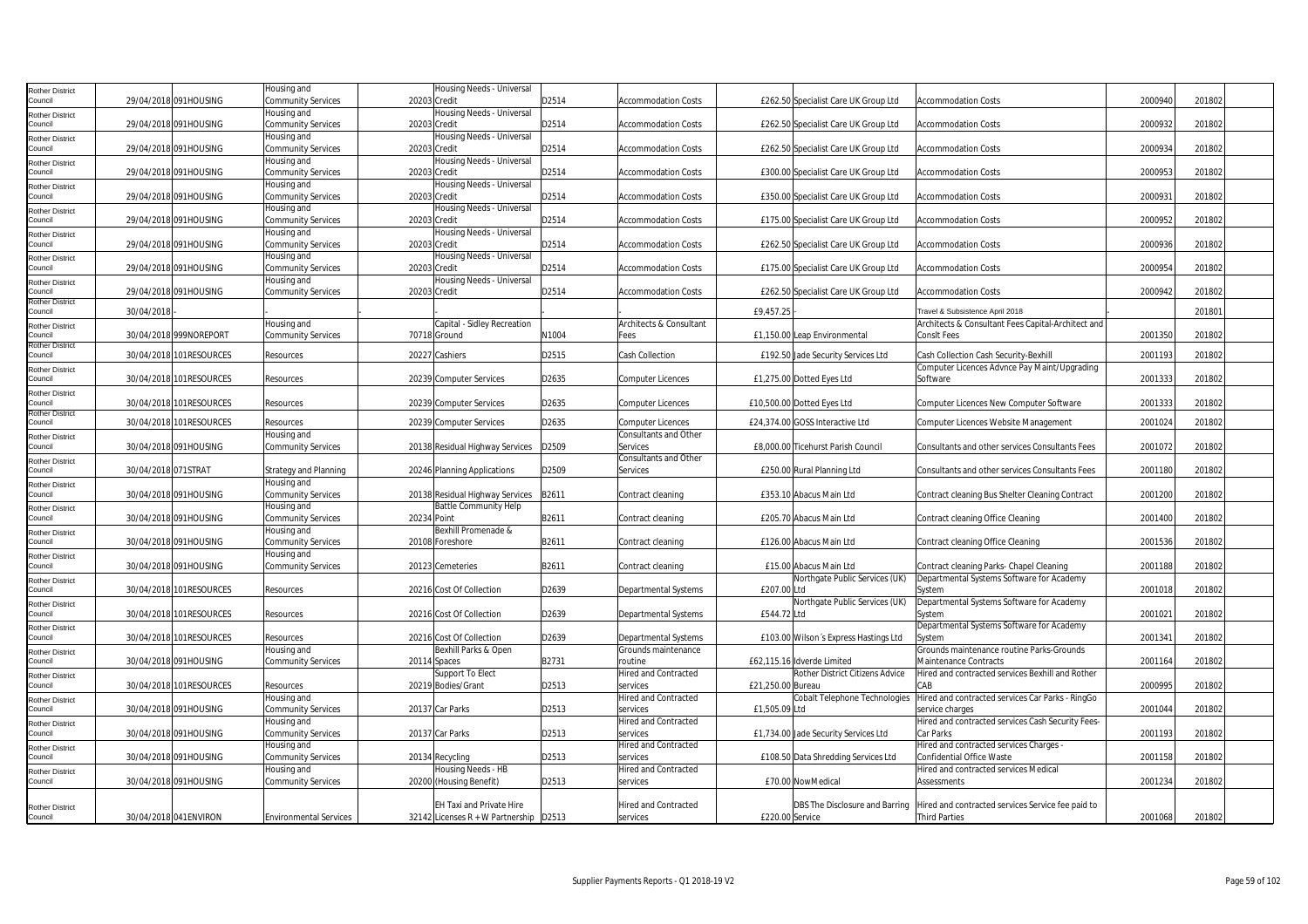| Rother District                  |                     |                         | lousing and                   | Housing Needs - Universal                |       |                              |                   |                                        |                                                    |         |        |  |
|----------------------------------|---------------------|-------------------------|-------------------------------|------------------------------------------|-------|------------------------------|-------------------|----------------------------------------|----------------------------------------------------|---------|--------|--|
| Council                          |                     | 29/04/2018 091HOUSING   | Community Services            | 20203 Credit                             | D2514 | <b>Accommodation Costs</b>   |                   | £262.50 Specialist Care UK Group Ltd   | <b>Accommodation Costs</b>                         | 2000940 | 201802 |  |
|                                  |                     |                         | Housing and                   | Housing Needs - Universal                |       |                              |                   |                                        |                                                    |         |        |  |
| Rother District<br>Council       |                     | 29/04/2018 091HOUSING   | <b>Community Services</b>     | 20203 Credit                             | D2514 | <b>Accommodation Costs</b>   |                   | £262.50 Specialist Care UK Group Ltd   | <b>Accommodation Costs</b>                         | 2000932 | 201802 |  |
|                                  |                     |                         |                               |                                          |       |                              |                   |                                        |                                                    |         |        |  |
| <b>Rother District</b>           |                     |                         | lousing and                   | Housing Needs - Universal                |       |                              |                   |                                        |                                                    |         |        |  |
| Council                          |                     | 29/04/2018 091HOUSING   | <b>Community Services</b>     | 20203 Credit                             | D2514 | <b>Accommodation Costs</b>   |                   | £262.50 Specialist Care UK Group Ltd   | <b>Accommodation Costs</b>                         | 2000934 | 201802 |  |
| Rother District                  |                     |                         | Housing and                   | Housing Needs - Universal                |       |                              |                   |                                        |                                                    |         |        |  |
| Council                          |                     | 29/04/2018 091HOUSING   | <b>Community Services</b>     | 20203 Credit                             | D2514 | <b>Accommodation Costs</b>   |                   | £300.00 Specialist Care UK Group Ltd   | <b>Accommodation Costs</b>                         | 2000953 | 201802 |  |
| Rother District                  |                     |                         | Housing and                   | Housing Needs - Universal                |       |                              |                   |                                        |                                                    |         |        |  |
| Council                          |                     | 29/04/2018 091HOUSING   | <b>Community Services</b>     | 20203 Credit                             | D2514 | <b>Accommodation Costs</b>   |                   | £350.00 Specialist Care UK Group Ltd   | <b>Accommodation Costs</b>                         | 2000931 | 201802 |  |
| Rother District                  |                     |                         | Housing and                   | Housing Needs - Universal                |       |                              |                   |                                        |                                                    |         |        |  |
| Council                          |                     | 29/04/2018 091HOUSING   | <b>Community Services</b>     | 20203 Credit                             | D2514 | <b>Accommodation Costs</b>   |                   | £175.00 Specialist Care UK Group Ltd   | <b>Accommodation Costs</b>                         | 2000952 | 201802 |  |
| Rother District                  |                     |                         | Housing and                   | lousing Needs - Universal                |       |                              |                   |                                        |                                                    |         |        |  |
| Council                          |                     | 29/04/2018 091HOUSING   | <b>Community Services</b>     | 20203 Credit                             | D2514 | <b>Accommodation Costs</b>   |                   | £262.50 Specialist Care UK Group Ltd   | <b>Accommodation Costs</b>                         | 2000936 | 201802 |  |
| <b>Rother District</b>           |                     |                         | lousing and                   | Housing Needs - Universal                |       |                              |                   |                                        |                                                    |         |        |  |
| Council                          |                     | 29/04/2018 091HOUSING   | Community Services            | 20203 Credit                             | D2514 | <b>Accommodation Costs</b>   |                   | £175.00 Specialist Care UK Group Ltd   | <b>Accommodation Costs</b>                         | 2000954 | 201802 |  |
|                                  |                     |                         | lousing and                   | Housing Needs - Universal                |       |                              |                   |                                        |                                                    |         |        |  |
| Rother District<br>Council       |                     | 29/04/2018 091HOUSING   | <b>Community Services</b>     | 20203 Credit                             | D2514 | <b>Accommodation Costs</b>   |                   | £262.50 Specialist Care UK Group Ltd   | <b>Accommodation Costs</b>                         | 2000942 | 201802 |  |
| <b>Rother District</b>           |                     |                         |                               |                                          |       |                              |                   |                                        |                                                    |         |        |  |
| Council                          | 30/04/2018          |                         |                               |                                          |       |                              | £9.457.2          |                                        | Travel & Subsistence April 2018                    |         | 20180  |  |
|                                  |                     |                         | Housing and                   | Capital - Sidley Recreation              |       | Architects & Consultant      |                   |                                        | Architects & Consultant Fees Capital-Architect and |         |        |  |
| Rother District<br>Council       |                     | 30/04/2018 999NOREPORT  | <b>Community Services</b>     | 70718 Ground                             | N1004 | Fees                         |                   | £1,150.00 Leap Environmental           | <b>ConsIt Fees</b>                                 | 2001350 | 201802 |  |
| Rother District                  |                     |                         |                               |                                          |       |                              |                   |                                        |                                                    |         |        |  |
| Council                          |                     | 30/04/2018 101RESOURCES | Resources                     | 20227 Cashiers                           | D2515 | Cash Collection              |                   | £192.50 Jade Security Services Ltd     | Cash Collection Cash Security-Bexhill              | 2001193 | 201802 |  |
|                                  |                     |                         |                               |                                          |       |                              |                   |                                        | Computer Licences Advnce Pay Maint/Upgrading       |         |        |  |
| Rother District<br>Council       |                     | 30/04/2018 101RESOURCES | Resources                     | 20239 Computer Services                  | D2635 | <b>Computer Licences</b>     |                   | £1,275.00 Dotted Eyes Ltd              | Software                                           | 2001333 | 201802 |  |
|                                  |                     |                         |                               |                                          |       |                              |                   |                                        |                                                    |         |        |  |
| Rother District                  |                     |                         |                               |                                          |       |                              |                   |                                        |                                                    |         |        |  |
| Council<br>Rother District       |                     | 30/04/2018 101RESOURCES | Resources                     | 20239 Computer Services                  | D2635 | <b>Computer Licences</b>     |                   | £10,500.00 Dotted Eyes Ltd             | Computer Licences New Computer Software            | 200133  | 201802 |  |
| ouncil                           |                     | 30/04/2018 101RESOURCES | Resources                     | 20239 Computer Services                  | D2635 | <b>Computer Licences</b>     |                   | £24,374.00 GOSS Interactive Ltd        | Computer Licences Website Management               | 200102  | 201802 |  |
|                                  |                     |                         | lousing and                   |                                          |       | <b>Consultants and Other</b> |                   |                                        |                                                    |         |        |  |
| <b>Rother District</b>           |                     |                         |                               |                                          |       |                              |                   |                                        |                                                    |         |        |  |
| Council                          |                     | 30/04/2018 091HOUSING   | <b>Community Services</b>     | 20138 Residual Highway Services          | D2509 | Services                     |                   | £8,000.00 Ticehurst Parish Council     | Consultants and other services Consultants Fees    | 2001072 | 201802 |  |
| Rother District                  |                     |                         |                               |                                          |       | Consultants and Other        |                   |                                        |                                                    |         |        |  |
| Council                          | 30/04/2018 071STRAT |                         | <b>Strategy and Planning</b>  | 20246 Planning Applications              | D2509 | Services                     |                   | £250.00 Rural Planning Ltd             | Consultants and other services Consultants Fees    | 2001180 | 201802 |  |
| Rother District                  |                     |                         | Housing and                   |                                          |       |                              |                   |                                        |                                                    |         |        |  |
| Council                          |                     | 30/04/2018 091HOUSING   | <b>Community Services</b>     | 20138 Residual Highway Services          | B2611 | Contract cleaning            |                   | £353.10 Abacus Main Ltd                | Contract cleaning Bus Shelter Cleaning Contract    | 2001200 | 201802 |  |
| Rother District                  |                     |                         | Housing and                   | <b>Battle Community Help</b>             |       |                              |                   |                                        |                                                    |         |        |  |
| Council                          |                     | 30/04/2018 091HOUSING   | <b>Community Services</b>     | 20234 Point                              | B2611 | Contract cleaning            |                   | £205.70 Abacus Main Ltd                | Contract cleaning Office Cleaning                  | 2001400 | 201802 |  |
| Rother District                  |                     |                         | Housing and                   | Bexhill Promenade &                      |       |                              |                   |                                        |                                                    |         |        |  |
| Council                          |                     | 30/04/2018 091HOUSING   | Community Services            | 20108 Foreshore                          | B2611 | Contract cleaning            |                   | £126.00 Abacus Main Ltd                | Contract cleaning Office Cleaning                  | 2001536 | 201802 |  |
|                                  |                     |                         | Housing and                   |                                          |       |                              |                   |                                        |                                                    |         |        |  |
| <b>Rother District</b><br>ouncil |                     | 30/04/2018 091HOUSING   | <b>Community Services</b>     | 20123 Cemeteries                         | B2611 | Contract cleaning            |                   | £15.00 Abacus Main Ltd                 | Contract cleaning Parks- Chapel Cleaning           | 2001188 | 201802 |  |
|                                  |                     |                         |                               |                                          |       |                              |                   | Northgate Public Services (UK)         | Departmental Systems Software for Academy          |         |        |  |
| Rother District                  |                     |                         |                               |                                          |       |                              |                   |                                        |                                                    |         |        |  |
| Council                          |                     | 30/04/2018 101RESOURCES | Resources                     | 20216 Cost Of Collection                 | D2639 | Departmental Systems         | £207.00 Ltd       |                                        | System                                             | 200101  | 201802 |  |
| Rother District                  |                     |                         |                               |                                          |       |                              |                   | Northgate Public Services (UK)         | Departmental Systems Software for Academy          |         |        |  |
| Council                          |                     | 30/04/2018 101RESOURCES | Resources                     | 20216 Cost Of Collection                 | D2639 | Departmental Systems         | £544.72 Ltd       |                                        | System                                             | 2001021 | 201802 |  |
| <b>Rother District</b>           |                     |                         |                               |                                          |       |                              |                   |                                        | Departmental Systems Software for Academy          |         |        |  |
| Council                          |                     | 30/04/2018 101RESOURCES | Resources                     | 20216 Cost Of Collection                 | D2639 | Departmental Systems         |                   | £103.00 Wilson's Express Hastings Ltd  | System                                             | 200134  | 201802 |  |
| Rother District                  |                     |                         | Housing and                   | Bexhill Parks & Open                     |       | Grounds maintenance          |                   |                                        | Grounds maintenance routine Parks-Grounds          |         |        |  |
| Council                          |                     | 30/04/2018 091HOUSING   | <b>Community Services</b>     | 20114 Spaces                             | B2731 | routine                      |                   | £62,115.16 Idverde Limited             | Maintenance Contracts                              | 200116  | 201802 |  |
| <b>Rother District</b>           |                     |                         |                               | Support To Elect                         |       | Hired and Contracted         |                   | <b>Rother District Citizens Advice</b> | Hired and contracted services Bexhill and Rother   |         |        |  |
| council                          |                     | 30/04/2018 101RESOURCES | Resources                     | 20219 Bodies/Grant                       | D2513 | services                     | £21,250.00 Bureau |                                        | CAB                                                | 2000995 | 201802 |  |
| Rother District                  |                     |                         | Housing and                   |                                          |       | <b>Hired and Contracted</b>  |                   | Cobalt Telephone Technologies          | Hired and contracted services Car Parks - RingGo   |         |        |  |
| Council                          |                     | 30/04/2018 091HOUSING   | <b>Community Services</b>     | 20137 Car Parks                          | D2513 | services                     | £1,505.09 Ltd     |                                        | service charges                                    | 2001044 | 201802 |  |
|                                  |                     |                         | Housing and                   |                                          |       | <b>Hired and Contracted</b>  |                   |                                        | Hired and contracted services Cash Security Fees-  |         |        |  |
| Rother District<br>Council       |                     | 30/04/2018 091HOUSING   | <b>Community Services</b>     | 20137 Car Parks                          | D2513 | services                     |                   | £1,734.00 Jade Security Services Ltd   | <b>Car Parks</b>                                   | 2001193 | 201802 |  |
|                                  |                     |                         |                               |                                          |       |                              |                   |                                        |                                                    |         |        |  |
| <b>Rother District</b>           |                     |                         | Housing and                   |                                          |       | <b>Hired and Contracted</b>  |                   |                                        | Hired and contracted services Charges -            |         |        |  |
| Council                          |                     | 30/04/2018 091HOUSING   | Community Services            | 20134 Recycling                          | D2513 | services                     |                   | £108.50 Data Shredding Services Ltd    | Confidential Office Waste                          | 2001158 | 201802 |  |
| Rother District                  |                     |                         | Housing and                   | Housing Needs - HB                       |       | Hired and Contracted         |                   |                                        | Hired and contracted services Medical              |         |        |  |
| Council                          |                     | 30/04/2018 091HOUSING   | <b>Community Services</b>     | 20200 (Housing Benefit)                  | D2513 | services                     |                   | £70.00 NowMedical                      | Assessments                                        | 2001234 | 201802 |  |
|                                  |                     |                         |                               |                                          |       |                              |                   |                                        |                                                    |         |        |  |
| <b>Rother District</b>           |                     |                         |                               | EH Taxi and Private Hire                 |       | <b>Hired and Contracted</b>  |                   | DBS The Disclosure and Barring         | Hired and contracted services Service fee paid to  |         |        |  |
| Council                          |                     | 30/04/2018 041ENVIRON   | <b>Environmental Services</b> | 32142 Licenses R + W Partnership   D2513 |       | services                     | £220.00 Service   |                                        | <b>Third Parties</b>                               | 2001068 | 201802 |  |
|                                  |                     |                         |                               |                                          |       |                              |                   |                                        |                                                    |         |        |  |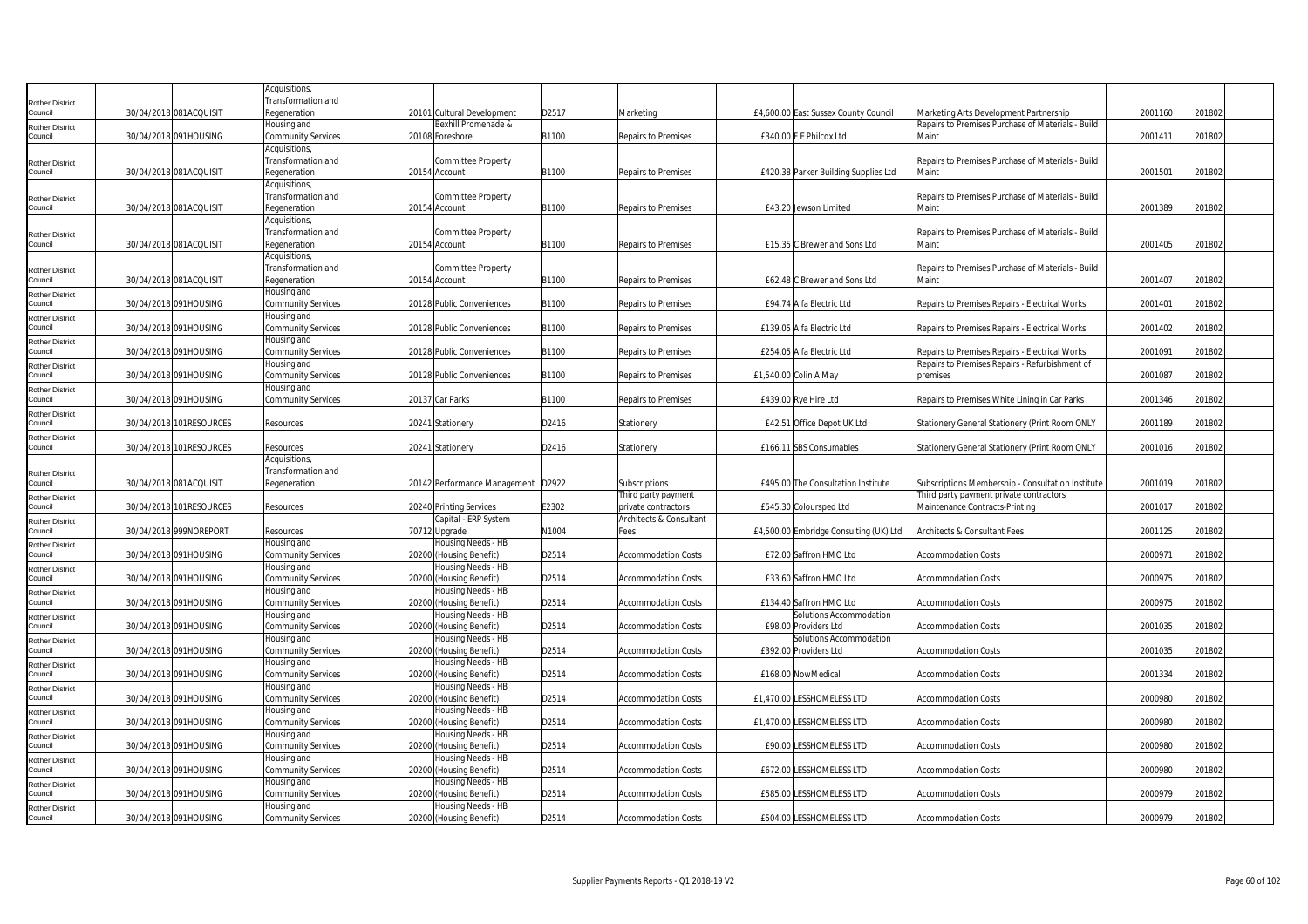|                            |                         | Acquisitions,                            |                                               |       |                            |                                        |                                                   |         |        |
|----------------------------|-------------------------|------------------------------------------|-----------------------------------------------|-------|----------------------------|----------------------------------------|---------------------------------------------------|---------|--------|
| <b>Rother District</b>     |                         | Transformation and                       |                                               |       |                            |                                        |                                                   |         |        |
| Council                    | 30/04/2018 081ACQUISIT  | Regeneration                             | 20101 Cultural Development                    | D2517 | Marketing                  | £4,600.00 East Sussex County Council   | Marketing Arts Development Partnership            | 2001160 | 201802 |
| <b>Rother District</b>     |                         | Housing and                              | Bexhill Promenade &                           |       |                            |                                        | Repairs to Premises Purchase of Materials - Build |         |        |
| Council                    | 30/04/2018 091HOUSING   | <b>Community Services</b>                | 20108 Foreshore                               | B1100 | Repairs to Premises        | £340.00 F E Philcox Ltd                | Maint                                             | 2001411 | 201802 |
|                            |                         | Acquisitions,                            |                                               |       |                            |                                        |                                                   |         |        |
| Rother District            |                         | Transformation and                       | Committee Property                            |       |                            |                                        | Repairs to Premises Purchase of Materials - Build |         |        |
| Council                    | 30/04/2018 081ACQUISIT  | Regeneration                             | 20154 Account                                 | B1100 | Repairs to Premises        | £420.38 Parker Building Supplies Ltd   | Maint                                             | 200150  | 201802 |
|                            |                         | Acquisitions,                            |                                               |       |                            |                                        |                                                   |         |        |
| <b>Rother District</b>     |                         | Transformation and                       | <b>Committee Property</b>                     |       |                            |                                        | Repairs to Premises Purchase of Materials - Build |         |        |
| Council                    | 30/04/2018 081ACQUISIT  | Regeneration                             | 20154 Account                                 | B1100 | Repairs to Premises        | £43.20 Jewson Limited                  | Maint                                             | 2001389 | 201802 |
|                            |                         | Acquisitions,                            |                                               |       |                            |                                        |                                                   |         |        |
| Rother District            |                         | Transformation and                       | <b>Committee Property</b>                     |       |                            |                                        | Repairs to Premises Purchase of Materials - Build |         |        |
| Council                    | 30/04/2018 081ACQUISIT  | Regeneration                             | 20154 Account                                 | B1100 | <b>Repairs to Premises</b> | £15.35 C Brewer and Sons Ltd           | Maint                                             | 2001405 | 201802 |
|                            |                         | Acquisitions,                            |                                               |       |                            |                                        |                                                   |         |        |
| <b>Rother District</b>     |                         | Transformation and                       | Committee Property                            |       |                            |                                        | Repairs to Premises Purchase of Materials - Build |         |        |
| Council                    | 30/04/2018 081ACQUISIT  | Regeneration                             | 20154 Account                                 | B1100 | <b>Repairs to Premises</b> | £62.48 C Brewer and Sons Ltd           | Maint                                             | 2001407 | 201802 |
| Rother District            |                         | Housing and                              |                                               |       |                            |                                        |                                                   |         |        |
| Council                    | 30/04/2018 091HOUSING   | <b>Community Services</b>                | 20128 Public Conveniences                     | B1100 | Repairs to Premises        | £94.74 Alfa Electric Ltd               | Repairs to Premises Repairs - Electrical Works    | 200140  | 201802 |
| Rother District            |                         | Housing and                              |                                               |       |                            |                                        |                                                   |         |        |
| Council                    | 30/04/2018 091HOUSING   | <b>Community Services</b>                | 20128 Public Conveniences                     | B1100 | Repairs to Premises        | £139.05 Alfa Electric Ltd              | Repairs to Premises Repairs - Electrical Works    | 2001402 | 201802 |
| Rother District            |                         | Housing and                              |                                               |       |                            |                                        |                                                   |         |        |
| Council                    | 30/04/2018 091HOUSING   | <b>Community Services</b>                | 20128 Public Conveniences                     | B1100 | Repairs to Premises        | £254.05 Alfa Electric Ltd              | Repairs to Premises Repairs - Electrical Works    | 200109  | 201802 |
| Rother District            |                         | Housing and                              |                                               |       |                            |                                        | Repairs to Premises Repairs - Refurbishment of    |         |        |
| Council                    | 30/04/2018 091HOUSING   | <b>Community Services</b>                | 20128 Public Conveniences                     | B1100 | <b>Repairs to Premises</b> | £1,540.00 Colin A May                  | premises                                          | 2001087 | 201802 |
| Rother District            |                         | Housing and                              |                                               |       |                            |                                        |                                                   |         |        |
| Council                    | 30/04/2018 091HOUSING   | <b>Community Services</b>                | 20137 Car Parks                               | B1100 | <b>Repairs to Premises</b> | £439.00 Rye Hire Ltd                   | Repairs to Premises White Lining in Car Parks     | 2001346 | 201802 |
| Rother District            |                         |                                          |                                               |       |                            |                                        |                                                   |         |        |
| ouncil                     | 30/04/2018 101RESOURCES | Resources                                | 20241 Stationery                              | D2416 | Stationery                 | £42.51 Office Depot UK Ltd             | Stationery General Stationery (Print Room ONLY    | 2001189 | 201802 |
| Rother District            |                         |                                          |                                               |       |                            |                                        |                                                   |         |        |
| Council                    | 30/04/2018 101RESOURCES | Resources                                | 20241 Stationery                              | D2416 | Stationery                 | £166.11 SBS Consumables                | Stationery General Stationery (Print Room ONLY    | 2001016 | 201802 |
|                            |                         | Acquisitions,                            |                                               |       |                            |                                        |                                                   |         |        |
| Rother District            |                         | Transformation and                       |                                               |       |                            |                                        |                                                   |         |        |
| Council                    | 30/04/2018 081ACQUISIT  | Regeneration                             | 20142 Performance Management   D2922          |       | Subscriptions              | £495.00 The Consultation Institute     | Subscriptions Membership - Consultation Institute | 200101  | 201802 |
| Rother District            |                         |                                          |                                               |       | Third party payment        |                                        | Third party payment private contractors           |         |        |
| Council                    | 30/04/2018 101RESOURCES | Resources                                | 20240 Printing Services                       | E2302 | private contractors        | £545.30 Coloursped Ltd                 | Maintenance Contracts-Printing                    | 200101  | 201802 |
| <b>Rother District</b>     |                         |                                          | Capital - ERP System                          |       | Architects & Consultant    |                                        |                                                   |         |        |
| Council                    | 30/04/2018 999NOREPORT  | Resources                                | 70712 Upgrade                                 | N1004 | Fees                       | £4,500.00 Embridge Consulting (UK) Ltd | Architects & Consultant Fees                      | 2001125 | 201802 |
| Rother District            |                         | Housing and                              | Housing Needs - HB                            |       |                            |                                        |                                                   |         |        |
| Council                    | 30/04/2018 091HOUSING   | <b>Community Services</b>                | 20200 (Housing Benefit)                       | D2514 | <b>Accommodation Costs</b> | £72.00 Saffron HMO Ltd                 | Accommodation Costs                               | 2000971 | 201802 |
| Rother District            |                         | Housing and                              | lousing Needs - HB                            |       |                            |                                        |                                                   |         |        |
| Council                    | 30/04/2018 091HOUSING   | <b>Community Services</b>                | 20200 (Housing Benefit)                       | D2514 | <b>Accommodation Costs</b> | £33.60 Saffron HMO Ltd                 | <b>Accommodation Costs</b>                        | 2000975 | 201802 |
| Rother District            |                         | Housing and                              | Housing Needs - HB                            |       |                            |                                        |                                                   |         |        |
| council                    | 30/04/2018 091HOUSING   | <b>Community Services</b>                | 20200 (Housing Benefit)                       | D2514 | <b>Accommodation Costs</b> | £134.40 Saffron HMO Ltd                | <b>Accommodation Costs</b>                        | 2000975 | 201802 |
| Rother District            |                         | Housing and                              | Housing Needs - HB                            |       |                            | Solutions Accommodation                |                                                   |         |        |
| Council                    | 30/04/2018 091HOUSING   | <b>Community Services</b>                | 20200 (Housing Benefit)                       | D2514 | <b>Accommodation Costs</b> | £98.00 Providers Ltd                   | <b>Accommodation Costs</b>                        | 2001035 | 201802 |
| Rother District            |                         | Housing and                              | Housing Needs - HB                            |       |                            | Solutions Accommodation                |                                                   |         |        |
| Council                    | 30/04/2018 091HOUSING   | <b>Community Services</b>                | 20200 (Housing Benefit)                       | D2514 | Accommodation Costs        | £392.00 Providers Ltd                  | Accommodation Costs                               | 2001035 | 201802 |
| Rother District            |                         |                                          |                                               |       |                            |                                        |                                                   |         |        |
| Council                    |                         | lousing and                              | Housing Needs - HB                            |       |                            |                                        |                                                   |         |        |
|                            | 30/04/2018 091HOUSING   | <b>Community Services</b>                | 20200 (Housing Benefit)                       | D2514 | <b>Accommodation Costs</b> | £168.00 NowMedical                     | <b>Accommodation Costs</b>                        | 2001334 | 201802 |
| Rother District            |                         | Housing and                              | Housing Needs - HB                            |       |                            |                                        |                                                   |         |        |
| Council                    | 30/04/2018 091HOUSING   | <b>Community Services</b>                | 20200 (Housing Benefit)                       | D2514 | <b>Accommodation Costs</b> | £1,470.00 LESSHOMELESS LTD             | <b>Accommodation Costs</b>                        | 2000980 | 201802 |
| <b>Rother District</b>     |                         | Housing and                              | Housing Needs - HB                            |       |                            |                                        |                                                   |         |        |
| ouncil                     | 30/04/2018 091HOUSING   | <b>Community Services</b>                | 20200 (Housing Benefit)                       | D2514 | <b>Accommodation Costs</b> | £1,470.00 LESSHOMELESS LTD             | <b>Accommodation Costs</b>                        | 2000980 | 201802 |
| <b>Rother District</b>     |                         | Housing and                              | Housing Needs - HB                            |       |                            |                                        |                                                   |         |        |
| Council                    | 30/04/2018 091HOUSING   | <b>Community Services</b>                | 20200 (Housing Benefit)                       | D2514 | <b>Accommodation Costs</b> | £90.00 LESSHOMELESS LTD                | <b>Accommodation Costs</b>                        | 2000980 | 201802 |
| Rother District            |                         | Housing and                              | Housing Needs - HB                            |       |                            |                                        |                                                   |         |        |
| Council                    | 30/04/2018 091HOUSING   | <b>Community Services</b>                | 20200 (Housing Benefit)                       | D2514 | <b>Accommodation Costs</b> | <b>£672.00 LESSHOMELESS LTD</b>        | <b>Accommodation Costs</b>                        | 2000980 | 201802 |
| Rother District            |                         | Housing and                              | Housing Needs - HB                            |       |                            |                                        |                                                   |         |        |
| Council                    | 30/04/2018 091HOUSING   | <b>Community Services</b>                | 20200 (Housing Benefit)                       | D2514 | <b>Accommodation Costs</b> | £585.00 LESSHOMELESS LTD               | <b>Accommodation Costs</b>                        | 2000979 | 201802 |
| Rother District<br>Council | 30/04/2018 091HOUSING   | Housing and<br><b>Community Services</b> | Housing Needs - HB<br>20200 (Housing Benefit) | D2514 | <b>Accommodation Costs</b> | £504.00 LESSHOMELESS LTD               | <b>Accommodation Costs</b>                        | 2000979 | 201802 |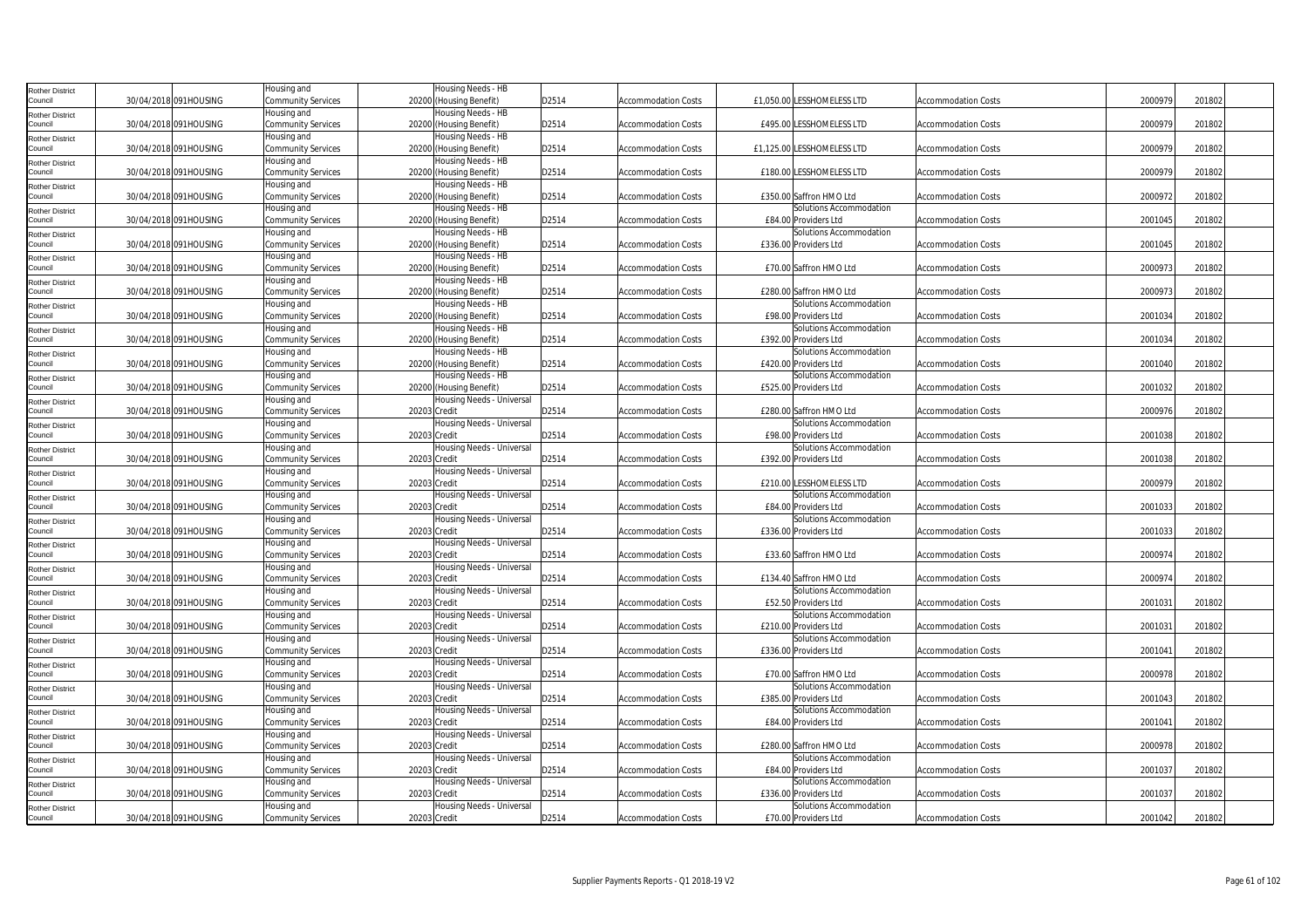| <b>Rother District</b>            |                       | Housing and                       | Housing Needs - HB                            |       |                            |                                                  |                            |         |        |
|-----------------------------------|-----------------------|-----------------------------------|-----------------------------------------------|-------|----------------------------|--------------------------------------------------|----------------------------|---------|--------|
| Council                           | 30/04/2018 091HOUSING | Community Services                | 20200 (Housing Benefit)                       | D2514 | <b>Accommodation Costs</b> | £1.050.00 LESSHOMELESS LTD                       | <b>Accommodation Costs</b> | 2000979 | 201802 |
| <b>Rother District</b>            |                       | Housing and                       | Housing Needs - HB                            |       |                            |                                                  |                            |         |        |
| Council                           | 30/04/2018 091HOUSING | Community Services                | 20200 (Housing Benefit)                       | D2514 | <b>Accommodation Costs</b> | £495.00 LESSHOMELESS LTD                         | <b>Accommodation Costs</b> | 2000979 | 201802 |
| <b>Rother District</b>            |                       | Housing and                       | Housing Needs - HB                            |       |                            |                                                  |                            |         |        |
| Council                           | 30/04/2018 091HOUSING | Community Services                | 20200 (Housing Benefit)                       | D2514 | <b>Accommodation Costs</b> | £1,125.00 LESSHOMELESS LTD                       | <b>Accommodation Costs</b> | 2000979 | 201802 |
| <b>Rother District</b>            |                       | Housing and                       | Housing Needs - HB                            |       |                            |                                                  |                            |         |        |
| Council                           | 30/04/2018 091HOUSING | Community Services                | 20200 (Housing Benefit)                       | D2514 | <b>Accommodation Costs</b> | £180.00 LESSHOMELESS LTD                         | <b>Accommodation Costs</b> | 2000979 | 201802 |
| <b>Rother District</b>            |                       | Housing and                       | Housing Needs - HB                            |       |                            |                                                  |                            |         |        |
| Council                           | 30/04/2018 091HOUSING | Community Services                | 20200 (Housing Benefit)                       | D2514 | Accommodation Costs        | £350.00 Saffron HMO Ltd                          | <b>Accommodation Costs</b> | 2000972 | 201802 |
| <b>Rother District</b>            |                       | Housing and                       | Housing Needs - HB                            |       |                            | Solutions Accommodation                          |                            |         |        |
| Council                           | 30/04/2018 091HOUSING | Community Services                | 20200 (Housing Benefit)                       | D2514 | <b>Accommodation Costs</b> | £84.00 Providers Ltd                             | <b>Accommodation Costs</b> | 2001045 | 201802 |
| <b>Rother District</b>            | 30/04/2018 091HOUSING | Housing and                       | Housing Needs - HB<br>20200 (Housing Benefit) | D2514 |                            | Solutions Accommodation<br>£336.00 Providers Ltd |                            | 2001045 | 201802 |
| Council                           |                       | Community Services                |                                               |       | <b>Accommodation Costs</b> |                                                  | <b>Accommodation Costs</b> |         |        |
| <b>Rother District</b><br>Council | 30/04/2018 091HOUSING | Housing and<br>Community Services | Housing Needs - HB<br>20200 (Housing Benefit) | D2514 | <b>Accommodation Costs</b> | £70.00 Saffron HMO Ltd                           | <b>Accommodation Costs</b> | 2000973 | 201802 |
|                                   |                       | Housing and                       | Housing Needs - HB                            |       |                            |                                                  |                            |         |        |
| <b>Rother District</b><br>Council | 30/04/2018 091HOUSING | Community Services                | 20200 (Housing Benefit)                       | D2514 | <b>Accommodation Costs</b> | £280.00 Saffron HMO Ltd                          | <b>Accommodation Costs</b> | 2000973 | 201802 |
|                                   |                       | Housing and                       | Housing Needs - HB                            |       |                            | Solutions Accommodation                          |                            |         |        |
| <b>Rother District</b><br>Council | 30/04/2018 091HOUSING | Community Services                | 20200 (Housing Benefit)                       | D2514 | <b>Accommodation Costs</b> | £98.00 Providers Ltd                             | <b>Accommodation Costs</b> | 2001034 | 201802 |
| <b>Rother District</b>            |                       | Housing and                       | Housing Needs - HB                            |       |                            | Solutions Accommodation                          |                            |         |        |
| Council                           | 30/04/2018 091HOUSING | Community Services                | 20200 (Housing Benefit)                       | D2514 | <b>Accommodation Costs</b> | £392.00 Providers Ltd                            | <b>Accommodation Costs</b> | 2001034 | 201802 |
| <b>Rother District</b>            |                       | Housing and                       | Housing Needs - HB                            |       |                            | Solutions Accommodation                          |                            |         |        |
| Council                           | 30/04/2018 091HOUSING | Community Services                | 20200 (Housing Benefit)                       | D2514 | <b>Accommodation Costs</b> | £420.00 Providers Ltd                            | <b>Accommodation Costs</b> | 2001040 | 201802 |
| <b>Rother District</b>            |                       | Housing and                       | Housing Needs - HB                            |       |                            | Solutions Accommodation                          |                            |         |        |
| Council                           | 30/04/2018 091HOUSING | Community Services                | 20200 (Housing Benefit)                       | D2514 | <b>Accommodation Costs</b> | £525.00 Providers Ltd                            | <b>Accommodation Costs</b> | 2001032 | 201802 |
| <b>Rother District</b>            |                       | Housing and                       | Housing Needs - Universal                     |       |                            |                                                  |                            |         |        |
| Council                           | 30/04/2018 091HOUSING | Community Services                | 20203 Credit                                  | D2514 | <b>Accommodation Costs</b> | £280.00 Saffron HMO Ltd                          | <b>Accommodation Costs</b> | 2000976 | 201802 |
| <b>Rother District</b>            |                       | Housing and                       | Housing Needs - Universal                     |       |                            | Solutions Accommodation                          |                            |         |        |
| Council                           | 30/04/2018 091HOUSING | Community Services                | 20203 Credit                                  | D2514 | <b>Accommodation Costs</b> | £98.00 Providers Ltd                             | Accommodation Costs        | 2001038 | 201802 |
| <b>Rother District</b>            |                       | Housing and                       | Housing Needs - Universal                     |       |                            | Solutions Accommodation                          |                            |         |        |
| Council                           | 30/04/2018 091HOUSING | Community Services                | 20203 Credit                                  | D2514 | <b>Accommodation Costs</b> | £392.00 Providers Ltd                            | <b>Accommodation Costs</b> | 2001038 | 201802 |
| <b>Rother District</b><br>Council | 30/04/2018 091HOUSING | Housing and<br>Community Services | Housing Needs - Universal<br>20203 Credit     | D2514 | <b>Accommodation Costs</b> | <b>£210.00 LESSHOMELESS LTD</b>                  | <b>Accommodation Costs</b> | 2000979 | 201802 |
|                                   |                       | Housing and                       | Housing Needs - Universal                     |       |                            | Solutions Accommodation                          |                            |         |        |
| <b>Rother District</b><br>Council | 30/04/2018 091HOUSING | Community Services                | 20203 Credit                                  | D2514 | <b>Accommodation Costs</b> | £84.00 Providers Ltd                             | <b>Accommodation Costs</b> | 2001033 | 201802 |
| <b>Rother District</b>            |                       | Housing and                       | Housing Needs - Universal                     |       |                            | Solutions Accommodation                          |                            |         |        |
| Council                           | 30/04/2018 091HOUSING | Community Services                | 20203 Credit                                  | D2514 | <b>Accommodation Costs</b> | £336.00 Providers Ltd                            | <b>Accommodation Costs</b> | 2001033 | 201802 |
| <b>Rother District</b>            |                       | Housing and                       | Housing Needs - Universal                     |       |                            |                                                  |                            |         |        |
| Council                           | 30/04/2018 091HOUSING | Community Services                | 20203 Credit                                  | D2514 | Accommodation Costs        | £33.60 Saffron HMO Ltd                           | Accommodation Costs        | 2000974 | 201802 |
| <b>Rother District</b>            |                       | Housing and                       | Housing Needs - Universal                     |       |                            |                                                  |                            |         |        |
| Council                           | 30/04/2018 091HOUSING | Community Services                | 20203 Credit                                  | D2514 | Accommodation Costs        | £134.40 Saffron HMO Ltd                          | <b>Accommodation Costs</b> | 2000974 | 201802 |
| <b>Rother District</b>            |                       | Housing and                       | Housing Needs - Universal                     |       |                            | Solutions Accommodation                          |                            |         |        |
| Council                           | 30/04/2018 091HOUSING | <b>Community Services</b>         | 20203 Credit                                  | D2514 | <b>Accommodation Costs</b> | £52.50 Providers Ltd                             | <b>Accommodation Costs</b> | 200103  | 201802 |
| <b>Rother District</b>            |                       | Housing and                       | Housing Needs - Universal                     |       |                            | Solutions Accommodation                          |                            |         |        |
| Council                           | 30/04/2018 091HOUSING | Community Services                | 20203 Credit                                  | D2514 | <b>Accommodation Costs</b> | £210.00 Providers Ltd                            | <b>Accommodation Costs</b> | 2001031 | 201802 |
| <b>Rother District</b>            | 30/04/2018 091HOUSING | Housing and<br>Community Services | Housing Needs - Universal<br>20203 Credit     | D2514 | <b>Accommodation Costs</b> | Solutions Accommodation<br>£336.00 Providers Ltd | <b>Accommodation Costs</b> | 200104  | 201802 |
| Council                           |                       |                                   | Housing Needs - Universal                     |       |                            |                                                  |                            |         |        |
| <b>Rother District</b><br>Council | 30/04/2018 091HOUSING | Housing and<br>Community Services | 20203 Credit                                  | D2514 | <b>Accommodation Costs</b> | £70.00 Saffron HMO Ltd                           | <b>Accommodation Costs</b> | 2000978 | 201802 |
| <b>Rother District</b>            |                       | Housing and                       | Housing Needs - Universal                     |       |                            | Solutions Accommodation                          |                            |         |        |
| Council                           | 30/04/2018 091HOUSING | Community Services                | 20203 Credit                                  | D2514 | <b>Accommodation Costs</b> | £385.00 Providers Ltd                            | <b>Accommodation Costs</b> | 2001043 | 201802 |
| <b>Rother District</b>            |                       | Housing and                       | Housing Needs - Universal                     |       |                            | Solutions Accommodation                          |                            |         |        |
| Council                           | 30/04/2018 091HOUSING | <b>Community Services</b>         | 20203 Credit                                  | D2514 | <b>Accommodation Costs</b> | £84.00 Providers Ltd                             | <b>Accommodation Costs</b> | 200104  | 201802 |
| <b>Rother District</b>            |                       | Housing and                       | Housing Needs - Universal                     |       |                            |                                                  |                            |         |        |
| Council                           | 30/04/2018 091HOUSING | Community Services                | 20203 Credit                                  | D2514 | <b>Accommodation Costs</b> | £280.00 Saffron HMO Ltd                          | <b>Accommodation Costs</b> | 2000978 | 201802 |
| <b>Rother District</b>            |                       | Housing and                       | Housing Needs - Universal                     |       |                            | Solutions Accommodation                          |                            |         |        |
| Council                           | 30/04/2018 091HOUSING | Community Services                | 20203 Credit                                  | D2514 | <b>Accommodation Costs</b> | £84.00 Providers Ltd                             | <b>Accommodation Costs</b> | 2001037 | 201802 |
| <b>Rother District</b>            |                       | Housing and                       | Housing Needs - Universal                     |       |                            | Solutions Accommodation                          |                            |         |        |
| Council                           | 30/04/2018 091HOUSING | Community Services                | 20203 Credit                                  | D2514 | <b>Accommodation Costs</b> | £336.00 Providers Ltd                            | <b>Accommodation Costs</b> | 2001037 | 201802 |
| <b>Rother District</b>            |                       | Housing and                       | Housing Needs - Universal                     |       |                            | Solutions Accommodation                          |                            |         |        |
| Council                           | 30/04/2018 091HOUSING | Community Services                | 20203 Credit                                  | D2514 | <b>Accommodation Costs</b> | £70.00 Providers Ltd                             | <b>Accommodation Costs</b> | 2001042 | 201802 |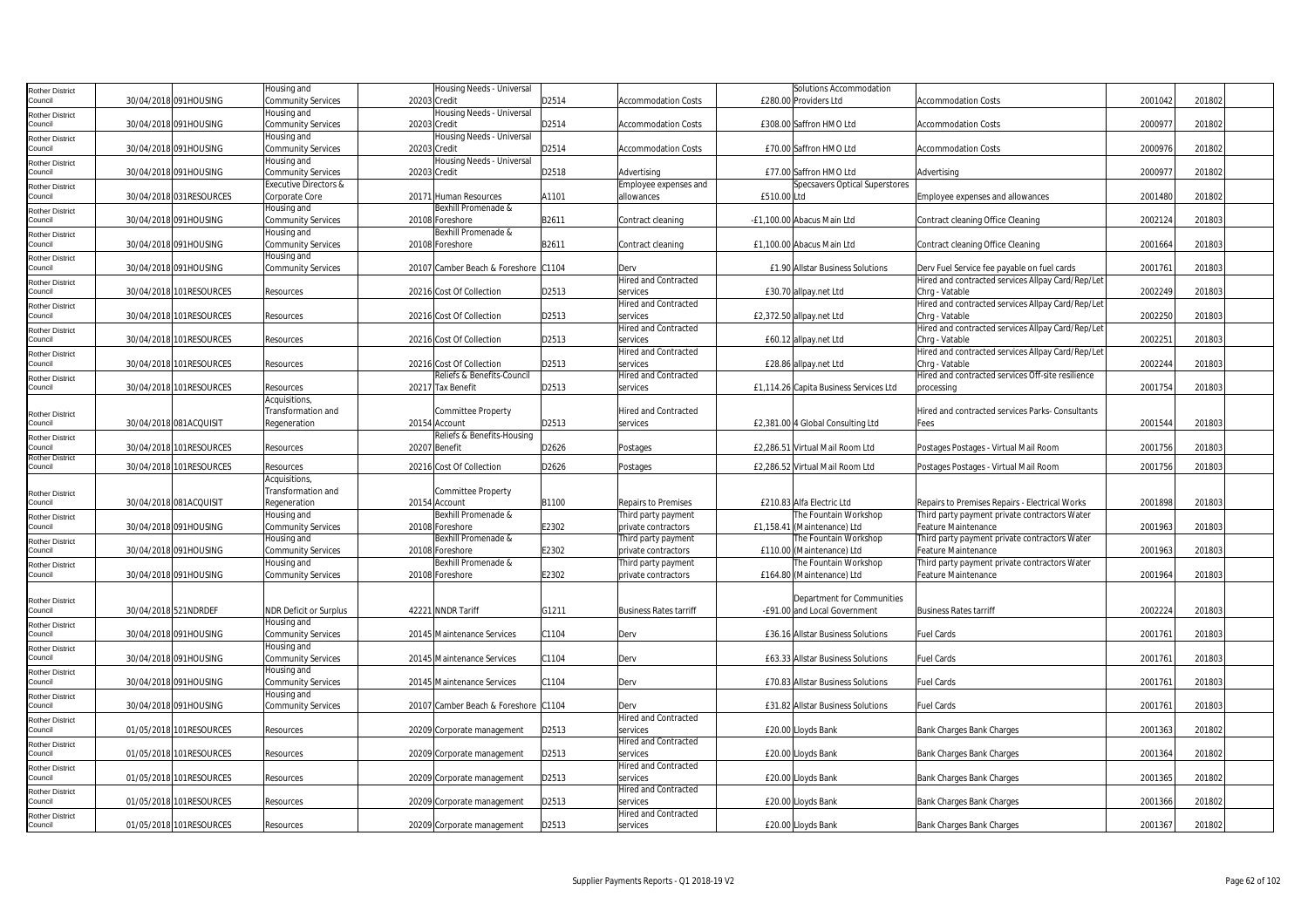| Rother District                   |                      |                         | Housing and                      | Housing Needs - Universal            |       |                               | Solutions Accommodation                |                                                   |         |        |  |
|-----------------------------------|----------------------|-------------------------|----------------------------------|--------------------------------------|-------|-------------------------------|----------------------------------------|---------------------------------------------------|---------|--------|--|
| Council                           |                      | 30/04/2018 091HOUSING   | <b>Community Services</b>        | 20203 Credit                         | D2514 | <b>Accommodation Costs</b>    | £280.00 Providers Ltd                  | <b>Accommodation Costs</b>                        | 2001042 | 201802 |  |
|                                   |                      |                         | Housing and                      | Housing Needs - Universal            |       |                               |                                        |                                                   |         |        |  |
| <b>Rother District</b><br>Council |                      | 30/04/2018 091HOUSING   | <b>Community Services</b>        | 20203 Credit                         | D2514 | <b>Accommodation Costs</b>    | £308.00 Saffron HMO Ltd                | <b>Accommodation Costs</b>                        | 200097  | 201802 |  |
|                                   |                      |                         | Housing and                      | Housing Needs - Universal            |       |                               |                                        |                                                   |         |        |  |
| Rother District<br>Council        |                      | 30/04/2018 091HOUSING   |                                  | 20203 Credit                         | D2514 | <b>Accommodation Costs</b>    | £70.00 Saffron HMO Ltd                 | <b>Accommodation Costs</b>                        | 2000976 | 201802 |  |
|                                   |                      |                         | <b>Community Services</b>        |                                      |       |                               |                                        |                                                   |         |        |  |
| <b>Rother District</b>            |                      |                         | Housing and                      | Housing Needs - Universal            |       |                               |                                        |                                                   |         |        |  |
| Council                           |                      | 30/04/2018 091HOUSING   | <b>Community Services</b>        | 20203 Credit                         | D2518 | Advertising                   | £77.00 Saffron HMO Ltd                 | Advertising                                       | 2000977 | 201802 |  |
| Rother District                   |                      |                         | <b>Executive Directors &amp;</b> |                                      |       | Employee expenses and         | Specsavers Optical Superstores         |                                                   |         |        |  |
| Council                           |                      | 30/04/2018 031RESOURCES | Corporate Core                   | 20171 Human Resources                | A1101 | allowances                    | £510.00 Ltd                            | Employee expenses and allowances                  | 2001480 | 201802 |  |
| <b>Rother District</b>            |                      |                         | Housing and                      | Bexhill Promenade &                  |       |                               |                                        |                                                   |         |        |  |
| Council                           |                      | 30/04/2018 091HOUSING   | <b>Community Services</b>        | 20108 Foreshore                      | B2611 | Contract cleaning             | -£1,100.00 Abacus Main Ltd             | Contract cleaning Office Cleaning                 | 2002124 | 201803 |  |
| Rother District                   |                      |                         | Housing and                      | Bexhill Promenade &                  |       |                               |                                        |                                                   |         |        |  |
| Council                           |                      | 30/04/2018 091HOUSING   | <b>Community Services</b>        | 20108 Foreshore                      | B2611 | Contract cleaning             | £1,100.00 Abacus Main Ltd              | Contract cleaning Office Cleaning                 | 2001664 | 201803 |  |
| <b>Rother District</b>            |                      |                         | lousing and                      |                                      |       |                               |                                        |                                                   |         |        |  |
| Council                           |                      | 30/04/2018 091HOUSING   | <b>Community Services</b>        | 20107 Camber Beach & Foreshore C1104 |       | Derv                          | £1.90 Allstar Business Solutions       | Derv Fuel Service fee payable on fuel cards       | 2001761 | 201803 |  |
|                                   |                      |                         |                                  |                                      |       | Hired and Contracted          |                                        | Hired and contracted services Allpay Card/Rep/Let |         |        |  |
| <b>Rother District</b><br>Council |                      | 30/04/2018 101RESOURCES | Resources                        | 20216 Cost Of Collection             | D2513 | services                      | £30.70 allpay.net Ltd                  | Chrg - Vatable                                    | 2002249 | 201803 |  |
|                                   |                      |                         |                                  |                                      |       |                               |                                        |                                                   |         |        |  |
| Rother District                   |                      |                         |                                  |                                      |       | Hired and Contracted          |                                        | Hired and contracted services Allpay Card/Rep/Let |         |        |  |
| Council                           |                      | 30/04/2018 101RESOURCES | Resources                        | 20216 Cost Of Collection             | D2513 | services                      | £2,372.50 allpay.net Ltd               | Chrq - Vatable                                    | 2002250 | 201803 |  |
| Rother District                   |                      |                         |                                  |                                      |       | <b>Hired and Contracted</b>   |                                        | Hired and contracted services Allpay Card/Rep/Let |         |        |  |
| Council                           |                      | 30/04/2018 101RESOURCES | Resources                        | 20216 Cost Of Collection             | D2513 | services                      | £60.12 allpay.net Ltd                  | Chrq - Vatable                                    | 2002251 | 201803 |  |
| Rother District                   |                      |                         |                                  |                                      |       | Hired and Contracted          |                                        | Hired and contracted services Allpay Card/Rep/Let |         |        |  |
| Council                           |                      | 30/04/2018 101RESOURCES | Resources                        | 20216 Cost Of Collection             | D2513 | services                      | £28.86 allpay.net Ltd                  | Chrg - Vatable                                    | 2002244 | 201803 |  |
| Rother District                   |                      |                         |                                  | Reliefs & Benefits-Council           |       | <b>Hired and Contracted</b>   |                                        | Hired and contracted services Off-site resilience |         |        |  |
| Council                           |                      | 30/04/2018 101RESOURCES | Resources                        | 20217 Tax Benefit                    | D2513 | services                      | £1,114.26 Capita Business Services Ltd | processing                                        | 2001754 | 201803 |  |
|                                   |                      |                         | Acquisitions                     |                                      |       |                               |                                        |                                                   |         |        |  |
|                                   |                      |                         | Transformation and               | Committee Property                   |       | Hired and Contracted          |                                        | Hired and contracted services Parks- Consultants  |         |        |  |
| Rother District<br>Council        |                      | 30/04/2018 081ACQUISIT  |                                  | 20154 Account                        | D2513 | services                      | £2,381.00 4 Global Consulting Ltd      |                                                   | 2001544 | 201803 |  |
|                                   |                      |                         | Regeneration                     |                                      |       |                               |                                        | Fees                                              |         |        |  |
| Rother District                   |                      |                         |                                  | Reliefs & Benefits-Housing           |       |                               |                                        |                                                   |         |        |  |
| ouncil                            |                      | 30/04/2018 101RESOURCES | Resources                        | 20207 Benefit                        | D2626 | Postages                      | £2,286.51 Virtual Mail Room Ltd        | Postages Postages - Virtual Mail Room             | 2001756 | 201803 |  |
| Rother District<br>Council        |                      | 30/04/2018 101RESOURCES | Resources                        | 20216 Cost Of Collection             | D2626 |                               | £2,286.52 Virtual Mail Room Ltd        | Postages Postages - Virtual Mail Room             | 2001756 | 201803 |  |
|                                   |                      |                         |                                  |                                      |       | Postages                      |                                        |                                                   |         |        |  |
|                                   |                      |                         | Acquisitions,                    |                                      |       |                               |                                        |                                                   |         |        |  |
| Rother District                   |                      |                         | Transformation and               | Committee Property                   |       |                               |                                        |                                                   |         |        |  |
| ouncil                            |                      | 30/04/2018 081ACQUISIT  | Regeneration                     | 20154 Account                        | B1100 | <b>Repairs to Premises</b>    | £210.83 Alfa Electric Ltd              | Repairs to Premises Repairs - Electrical Works    | 2001898 | 201803 |  |
| Rother District                   |                      |                         | Housing and                      | Bexhill Promenade &                  |       | Third party payment           | The Fountain Workshop                  | Third party payment private contractors Water     |         |        |  |
| Council                           |                      | 30/04/2018 091HOUSING   | <b>Community Services</b>        | 20108 Foreshore                      | E2302 | private contractors           | £1,158.41 (Maintenance) Ltd            | Feature Maintenance                               | 2001963 | 201803 |  |
| <b>Rother District</b>            |                      |                         | Housing and                      | Bexhill Promenade &                  |       | Third party payment           | The Fountain Workshop                  | Third party payment private contractors Water     |         |        |  |
| Council                           |                      | 30/04/2018 091HOUSING   | <b>Community Services</b>        | 20108 Foreshore                      | E2302 | private contractors           | £110.00 (Maintenance) Ltd              | Feature Maintenance                               | 2001963 | 201803 |  |
| Rother District                   |                      |                         | Housing and                      | Bexhill Promenade &                  |       | Third party payment           | The Fountain Workshop                  | Third party payment private contractors Water     |         |        |  |
| Council                           |                      | 30/04/2018 091HOUSING   | <b>Community Services</b>        | 20108 Foreshore                      | E2302 | private contractors           | £164.80 (Maintenance) Ltd              | Feature Maintenance                               | 2001964 | 201803 |  |
|                                   |                      |                         |                                  |                                      |       |                               |                                        |                                                   |         |        |  |
|                                   |                      |                         |                                  |                                      |       |                               | Department for Communities             |                                                   |         |        |  |
| Rother District                   |                      |                         |                                  |                                      |       |                               |                                        |                                                   | 2002224 | 201803 |  |
| Council                           | 30/04/2018 521NDRDEF |                         | <b>NDR Deficit or Surplus</b>    | 42221 NNDR Tariff                    | G1211 | <b>Business Rates tarriff</b> | -£91.00 and Local Government           | <b>Business Rates tarriff</b>                     |         |        |  |
| Rother District                   |                      |                         | Housing and                      |                                      |       |                               |                                        |                                                   |         |        |  |
| Council                           |                      | 30/04/2018 091HOUSING   | Community Services               | 20145 Maintenance Services           | C1104 | Derv                          | £36.16 Allstar Business Solutions      | Fuel Cards                                        | 2001761 | 201803 |  |
| Rother District                   |                      |                         | Housing and                      |                                      |       |                               |                                        |                                                   |         |        |  |
| Council                           |                      | 30/04/2018 091HOUSING   | <b>Community Services</b>        | 20145 Maintenance Services           | C1104 | Derv                          | £63.33 Allstar Business Solutions      | <b>Fuel Cards</b>                                 | 2001761 | 201803 |  |
| <b>Rother District</b>            |                      |                         | Housing and                      |                                      |       |                               |                                        |                                                   |         |        |  |
| Council                           |                      | 30/04/2018 091HOUSING   | <b>Community Services</b>        | 20145 Maintenance Services           | C1104 | Derv                          | £70.83 Allstar Business Solutions      | Fuel Cards                                        | 2001761 | 201803 |  |
| <b>Rother District</b>            |                      |                         | Housing and                      |                                      |       |                               |                                        |                                                   |         |        |  |
| Council                           |                      | 30/04/2018 091HOUSING   | <b>Community Services</b>        | 20107 Camber Beach & Foreshore C1104 |       | Derv                          | £31.82 Allstar Business Solutions      | <b>Fuel Cards</b>                                 | 2001761 | 201803 |  |
|                                   |                      |                         |                                  |                                      |       | <b>Hired and Contracted</b>   |                                        |                                                   |         |        |  |
| Rother District<br>Council        |                      | 01/05/2018 101RESOURCES |                                  |                                      |       |                               |                                        |                                                   |         | 201802 |  |
|                                   |                      |                         | Resources                        | 20209 Corporate management           | D2513 | services                      | £20.00 Lloyds Bank                     | Bank Charges Bank Charges                         | 2001363 |        |  |
| <b>Rother District</b>            |                      |                         |                                  |                                      |       | Hired and Contracted          |                                        |                                                   |         |        |  |
| Council                           |                      | 01/05/2018 101RESOURCES | Resources                        | 20209 Corporate management           | D2513 | services                      | £20.00 Lloyds Bank                     | Bank Charges Bank Charges                         | 2001364 | 201802 |  |
| Rother District                   |                      |                         |                                  |                                      |       | <b>Hired and Contracted</b>   |                                        |                                                   |         |        |  |
| Council                           |                      | 01/05/2018 101RESOURCES | Resources                        | 20209 Corporate management           | D2513 | services                      | £20.00 Lloyds Bank                     | Bank Charges Bank Charges                         | 2001365 | 201802 |  |
| Rother District                   |                      |                         |                                  |                                      |       | Hired and Contracted          |                                        |                                                   |         |        |  |
| Council                           |                      | 01/05/2018 101RESOURCES | Resources                        | 20209 Corporate management           | D2513 | services                      | £20.00 Lloyds Bank                     | Bank Charges Bank Charges                         | 2001366 | 201802 |  |
| Rother District                   |                      |                         |                                  |                                      |       | <b>Hired and Contracted</b>   |                                        |                                                   |         |        |  |
| Council                           |                      | 01/05/2018 101RESOURCES | Resources                        | 20209 Corporate management           | D2513 | services                      | £20.00 Lloyds Bank                     | Bank Charges Bank Charges                         | 2001367 | 201802 |  |
|                                   |                      |                         |                                  |                                      |       |                               |                                        |                                                   |         |        |  |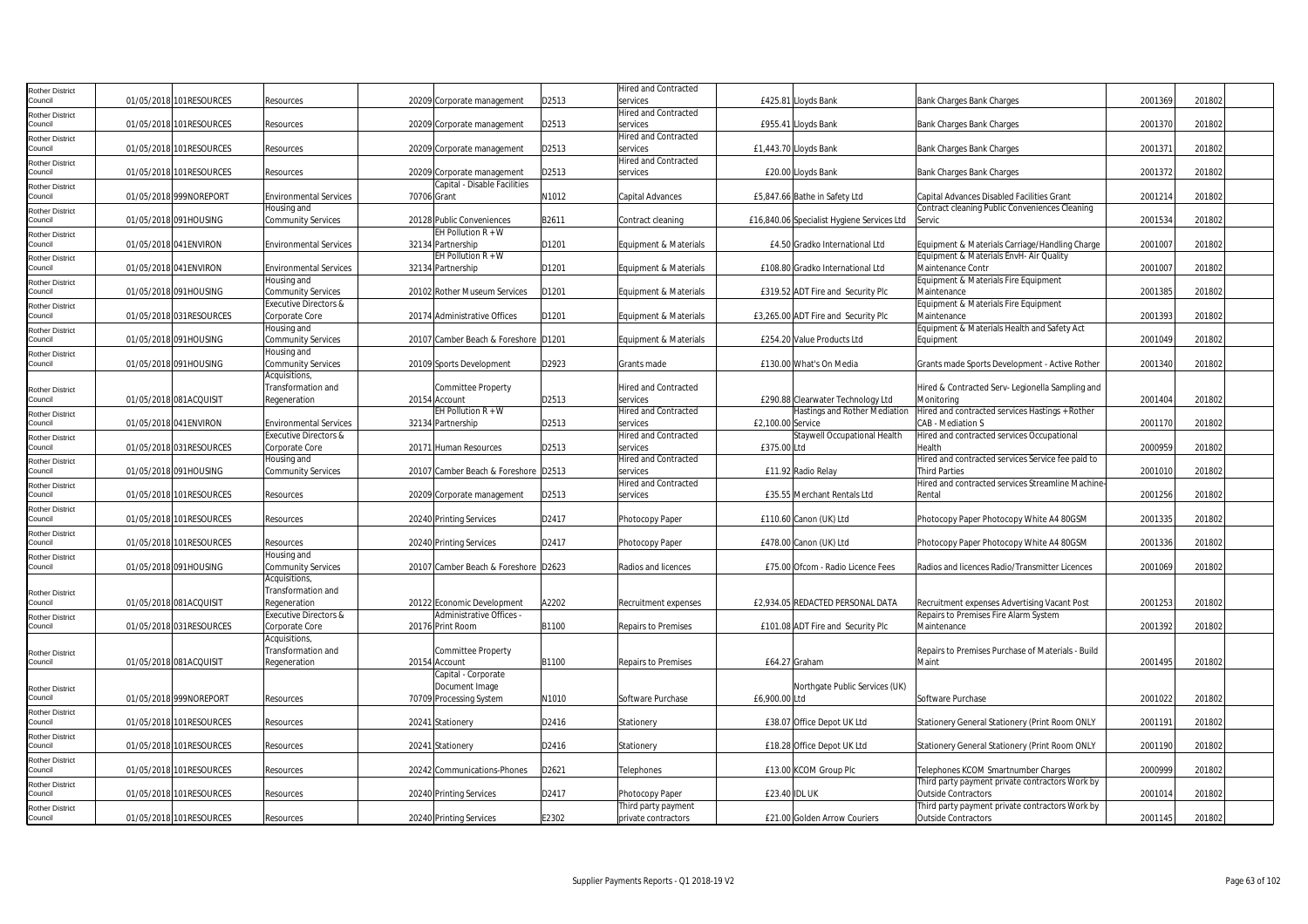| Rother District                   |                         |                                                    |                                      |       | <b>Hired and Contracted</b>             |                                            |                                                             |         |        |  |
|-----------------------------------|-------------------------|----------------------------------------------------|--------------------------------------|-------|-----------------------------------------|--------------------------------------------|-------------------------------------------------------------|---------|--------|--|
| Council                           | 01/05/2018 101RESOURCES | Resources                                          | 20209 Corporate management           | D2513 | services                                | £425.81 Lloyds Bank                        | Bank Charges Bank Charges                                   | 2001369 | 201802 |  |
| Rother District                   |                         |                                                    |                                      |       | Hired and Contracted                    |                                            |                                                             |         |        |  |
| Council                           | 01/05/2018 101RESOURCES | Resources                                          | 20209 Corporate management           | D2513 | services                                | £955.41 Lloyds Bank                        | Bank Charges Bank Charges                                   | 2001370 | 201802 |  |
| <b>Rother District</b>            |                         |                                                    |                                      |       | <b>Hired and Contracted</b>             |                                            |                                                             |         |        |  |
| Council                           | 01/05/2018 101RESOURCES | Resources                                          | 20209 Corporate management           | D2513 | services                                | £1,443.70 Lloyds Bank                      | Bank Charges Bank Charges                                   | 2001371 | 201802 |  |
| <b>Rother District</b><br>Council | 01/05/2018 101RESOURCES | Resources                                          | 20209 Corporate management           | D2513 | <b>Hired and Contracted</b><br>services | £20.00 Lloyds Bank                         | Bank Charges Bank Charges                                   | 2001372 | 201802 |  |
| Rother District                   |                         |                                                    | Capital - Disable Facilities         |       |                                         |                                            |                                                             |         |        |  |
| Council                           | 01/05/2018 999NOREPORT  | <b>Environmental Services</b>                      | 70706 Grant                          | N1012 | Capital Advances                        | £5,847.66 Bathe in Safety Ltd              | Capital Advances Disabled Facilities Grant                  | 2001214 | 201802 |  |
| Rother District                   |                         | Housing and                                        |                                      |       |                                         |                                            | Contract cleaning Public Conveniences Cleaning              |         |        |  |
| Council                           | 01/05/2018 091HOUSING   | <b>Community Services</b>                          | 20128 Public Conveniences            | B2611 | Contract cleaning                       | £16,840.06 Specialist Hygiene Services Ltd | Servic                                                      | 2001534 | 201802 |  |
| Rother District                   |                         |                                                    | EH Pollution $R + W$                 |       |                                         |                                            |                                                             |         |        |  |
| Council                           | 01/05/2018 041 ENVIRON  | <b>Environmental Services</b>                      | 32134 Partnership                    | D1201 | Equipment & Materials                   | £4.50 Gradko International Ltd             | Equipment & Materials Carriage/Handling Charge              | 200100  | 201802 |  |
| Rother District                   |                         |                                                    | EH Pollution $R + W$                 |       |                                         |                                            | Equipment & Materials EnvH- Air Quality                     |         |        |  |
| Council                           | 01/05/2018 041 ENVIRON  | <b>Environmental Services</b>                      | 32134 Partnership                    | D1201 | Equipment & Materials                   | £108.80 Gradko International Ltd           | Maintenance Contr                                           | 2001007 | 201802 |  |
| Rother District                   |                         | Housing and                                        |                                      |       |                                         |                                            | Equipment & Materials Fire Equipment                        |         |        |  |
| Council                           | 01/05/2018 091HOUSING   | Community Services                                 | 20102 Rother Museum Services         | D1201 | Equipment & Materials                   | £319.52 ADT Fire and Security Plc          | Maintenance                                                 | 2001385 | 201802 |  |
| Rother District<br>Council        | 01/05/2018 031RESOURCES | <b>Executive Directors &amp;</b><br>Corporate Core | 20174 Administrative Offices         | D1201 | Equipment & Materials                   | £3,265.00 ADT Fire and Security Plc        | Equipment & Materials Fire Equipment<br>Maintenance         | 2001393 | 201802 |  |
|                                   |                         | Housing and                                        |                                      |       |                                         |                                            | Equipment & Materials Health and Safety Act                 |         |        |  |
| Rother District<br>Council        | 01/05/2018 091HOUSING   | Community Services                                 | 20107 Camber Beach & Foreshore D1201 |       | Equipment & Materials                   | £254.20 Value Products Ltd                 | Equipment                                                   | 2001049 | 201802 |  |
| Rother District                   |                         | Housing and                                        |                                      |       |                                         |                                            |                                                             |         |        |  |
| Council                           | 01/05/2018 091 HOUSING  | Community Services                                 | 20109 Sports Development             | D2923 | Grants made                             | £130.00 What's On Media                    | Grants made Sports Development - Active Rother              | 2001340 | 201802 |  |
|                                   |                         | Acquisitions                                       |                                      |       |                                         |                                            |                                                             |         |        |  |
| Rother District                   |                         | Transformation and                                 | <b>Committee Property</b>            |       | <b>Hired and Contracted</b>             |                                            | Hired & Contracted Serv- Legionella Sampling and            |         |        |  |
| Council                           | 01/05/2018 081ACQUISIT  | Regeneration                                       | 20154 Account                        | D2513 | <b>PANICAS</b>                          | £290.88 Clearwater Technology Ltd          | Monitorina                                                  | 2001404 | 201802 |  |
| Rother District                   |                         |                                                    | EH Pollution $R + W$                 |       | Hired and Contracted                    | Hastings and Rother Mediation              | Hired and contracted services Hastings + Rother             |         |        |  |
| Council                           | 01/05/2018 041 ENVIRON  | <b>Environmental Services</b>                      | 32134 Partnership                    | D2513 | services                                | £2,100.00 Service                          | CAB - Mediation S                                           | 2001170 | 201802 |  |
| Rother District                   |                         | <b>Executive Directors &amp;</b>                   |                                      |       | Hired and Contracted                    | Staywell Occupational Health               | Hired and contracted services Occupational                  |         |        |  |
| Council                           | 01/05/2018 031RESOURCES | Corporate Core                                     | 20171 Human Resources                | D2513 | services                                | £375.00 Ltd                                | Health                                                      | 2000959 | 201802 |  |
| Rother District                   |                         | Housing and                                        |                                      |       | <b>Hired and Contracted</b>             |                                            | Hired and contracted services Service fee paid to           |         |        |  |
| Council                           | 01/05/2018 091HOUSING   | <b>Community Services</b>                          | 20107 Camber Beach & Foreshore D2513 |       | services                                | £11.92 Radio Relay                         | Third Parties                                               | 2001010 | 201802 |  |
| Rother District<br>Council        | 01/05/2018 101RESOURCES |                                                    |                                      | D2513 | Hired and Contracted<br>services        | £35.55 Merchant Rentals Ltd                | Hired and contracted services Streamline Machine-<br>Rental | 2001256 | 201802 |  |
|                                   |                         | Resources                                          | 20209 Corporate management           |       |                                         |                                            |                                                             |         |        |  |
| Rother District<br>Council        | 01/05/2018 101RESOURCES | Resources                                          | 20240 Printing Services              | D2417 | Photocopy Paper                         | £110.60 Canon (UK) Ltd                     | Photocopy Paper Photocopy White A4 80GSM                    | 2001335 | 201802 |  |
| Rother District                   |                         |                                                    |                                      |       |                                         |                                            |                                                             |         |        |  |
| Council                           | 01/05/2018 101RESOURCES | Resources                                          | 20240 Printing Services              | D2417 | Photocopy Paper                         | £478.00 Canon (UK) Ltd                     | Photocopy Paper Photocopy White A4 80GSM                    | 2001336 | 201802 |  |
| Rother District                   |                         | Housing and                                        |                                      |       |                                         |                                            |                                                             |         |        |  |
| Council                           | 01/05/2018 091HOUSING   | <b>Community Services</b>                          | 20107 Camber Beach & Foreshore D2623 |       | Radios and licences                     | £75.00 Ofcom - Radio Licence Fees          | Radios and licences Radio/Transmitter Licences              | 2001069 | 201802 |  |
|                                   |                         | Acquisitions,                                      |                                      |       |                                         |                                            |                                                             |         |        |  |
| Rother District                   |                         | Transformation and                                 |                                      |       |                                         |                                            |                                                             |         |        |  |
| Council                           | 01/05/2018 081ACQUISIT  | Regeneration                                       | 20122 Economic Development           | A2202 | Recruitment expenses                    | £2,934.05 REDACTED PERSONAL DATA           | Recruitment expenses Advertising Vacant Post                | 2001253 | 201802 |  |
| Rother District                   |                         | Executive Directors &                              | Administrative Offices -             |       |                                         |                                            | Repairs to Premises Fire Alarm System                       |         |        |  |
| Council                           | 01/05/2018 031RESOURCES | Corporate Core                                     | 20176 Print Room                     | B1100 | Repairs to Premises                     | £101.08 ADT Fire and Security Plc          | Maintenance                                                 | 2001392 | 201802 |  |
|                                   |                         | Acquisitions,                                      |                                      |       |                                         |                                            |                                                             |         |        |  |
| Rother District<br>Council        |                         | Transformation and                                 | Committee Property                   | B1100 |                                         |                                            | Repairs to Premises Purchase of Materials - Build<br>Maint  | 2001495 |        |  |
|                                   | 01/05/2018 081ACQUISIT  | Regeneration                                       | 20154 Account<br>Capital - Corporate |       | Repairs to Premises                     | £64.27 Graham                              |                                                             |         | 201802 |  |
|                                   |                         |                                                    | Document Image                       |       |                                         | Northqate Public Services (UK)             |                                                             |         |        |  |
| Rother District<br>Council        | 01/05/2018 999NOREPORT  | Resources                                          | 70709 Processing System              | N1010 | Software Purchase                       | £6,900.00 Ltd                              | Software Purchase                                           | 2001022 | 201802 |  |
| Rother District                   |                         |                                                    |                                      |       |                                         |                                            |                                                             |         |        |  |
| Council                           | 01/05/2018 101RESOURCES | Resources                                          | 20241 Stationery                     | D2416 | Stationery                              | £38.07 Office Depot UK Ltd                 | Stationery General Stationery (Print Room ONLY              | 200119  | 201802 |  |
| Rother District                   |                         |                                                    |                                      |       |                                         |                                            |                                                             |         |        |  |
| Council                           | 01/05/2018 101RESOURCES | Resources                                          | 20241 Stationery                     | D2416 | Stationery                              | £18.28 Office Depot UK Ltd                 | Stationery General Stationery (Print Room ONLY              | 2001190 | 201802 |  |
| Rother District                   |                         |                                                    |                                      |       |                                         |                                            |                                                             |         |        |  |
| Council                           | 01/05/2018 101RESOURCES | Resources                                          | 20242 Communications-Phones          | D2621 | Telephones                              | £13.00 KCOM Group Plc                      | Telephones KCOM Smartnumber Charges                         | 2000999 | 201802 |  |
| Rother District                   |                         |                                                    |                                      |       |                                         |                                            | Third party payment private contractors Work by             |         |        |  |
| Council                           | 01/05/2018 101RESOURCES | Resources                                          | 20240 Printing Services              | D2417 | Photocopy Paper                         | <b>£23.40 IDL UK</b>                       | <b>Outside Contractors</b>                                  | 2001014 | 201802 |  |
| Rother District                   |                         |                                                    |                                      |       | Third party payment                     |                                            | Third party payment private contractors Work by             |         |        |  |
| Council                           | 01/05/2018 101RESOURCES | Resources                                          | 20240 Printing Services              | E2302 | private contractors                     | £21.00 Golden Arrow Couriers               | <b>Outside Contractors</b>                                  | 2001145 | 201802 |  |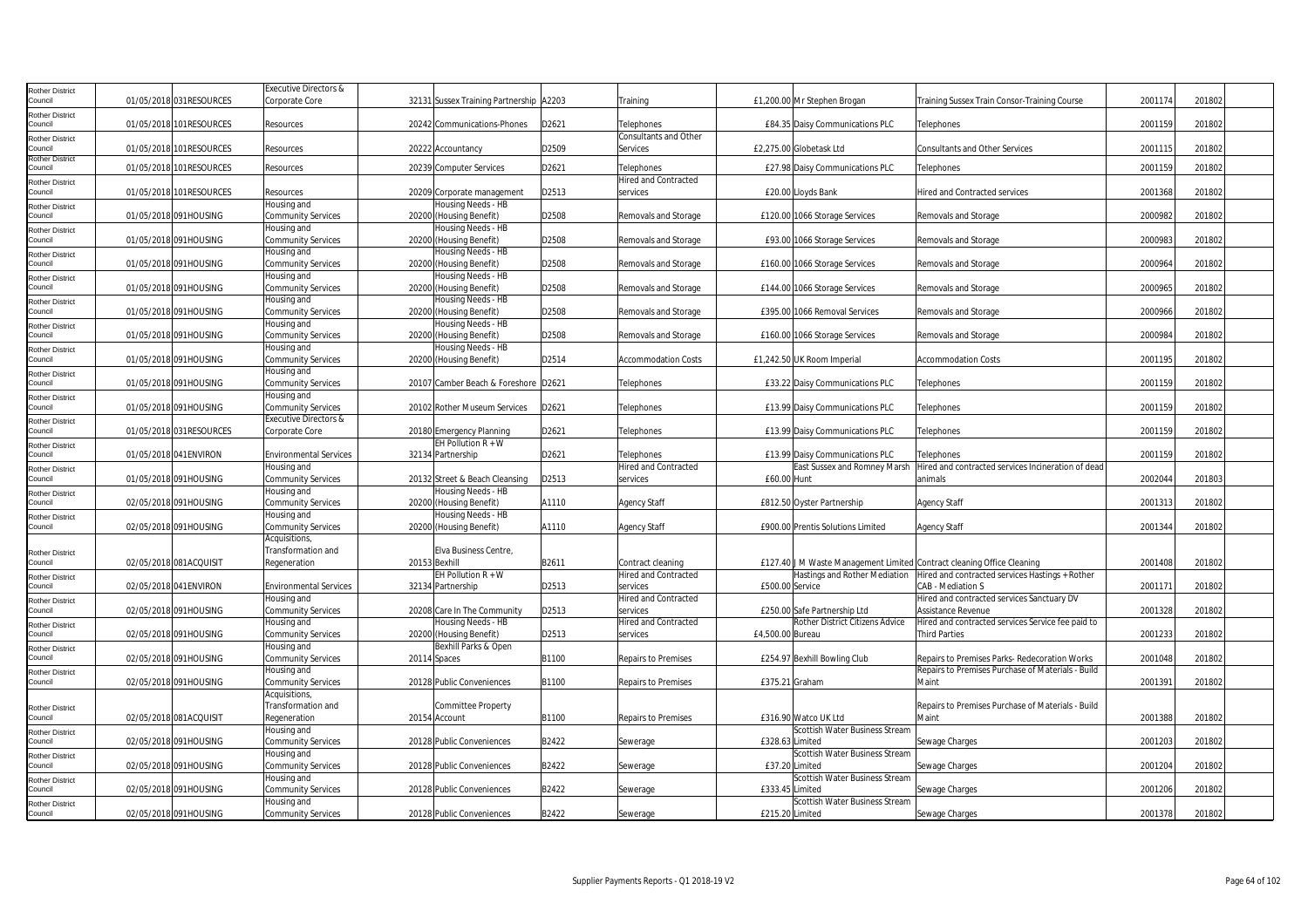| <b>Rother District</b>            |                          | Executive Directors &                       |                                               |       |                                           |                                                                                                         |                                                    |         |        |  |
|-----------------------------------|--------------------------|---------------------------------------------|-----------------------------------------------|-------|-------------------------------------------|---------------------------------------------------------------------------------------------------------|----------------------------------------------------|---------|--------|--|
| Council                           | 01/05/2018 031RESOURCES  | Corporate Core                              | 32131 Sussex Training Partnership A2203       |       | Training                                  | £1,200.00 Mr Stephen Brogan                                                                             | Training Sussex Train Consor-Training Course       | 2001174 | 201802 |  |
| <b>Rother District</b><br>Council | 01/05/2018 101 RESOURCES | Resources                                   | 20242 Communications-Phones                   | D2621 | Telephones                                | £84.35 Daisy Communications PLC                                                                         | Telephones                                         | 2001159 | 201802 |  |
| <b>Rother District</b>            |                          |                                             |                                               |       | Consultants and Other                     |                                                                                                         |                                                    |         |        |  |
| Council                           | 01/05/2018 101RESOURCES  | Resources                                   | 20222 Accountancy                             | D2509 | Services                                  | £2,275.00 Globetask Ltd                                                                                 | <b>Consultants and Other Services</b>              | 2001115 | 201802 |  |
| <b>Rother District</b><br>Council | 01/05/2018 101RESOURCES  | Resources                                   | 20239 Computer Services                       | D2621 | Telephones                                | £27.98 Daisy Communications PLC                                                                         | Telephones                                         | 2001159 | 201802 |  |
| <b>Rother District</b>            |                          |                                             |                                               |       | <b>Hired and Contracted</b>               |                                                                                                         |                                                    |         |        |  |
| Council                           | 01/05/2018 101RESOURCES  | Resources                                   | 20209 Corporate management                    | D2513 | services                                  | £20.00 Lloyds Bank                                                                                      | <b>Hired and Contracted services</b>               | 2001368 | 201802 |  |
| <b>Rother District</b>            |                          | Housing and                                 | Housing Needs - HB                            |       |                                           |                                                                                                         |                                                    |         |        |  |
| Council                           | 01/05/2018 091HOUSING    | Community Services                          | 20200 (Housing Benefit)                       | D2508 | Removals and Storage                      | £120.00 1066 Storage Services                                                                           | Removals and Storage                               | 2000982 | 201802 |  |
| <b>Rother District</b>            |                          | Housing and                                 | Housing Needs - HB                            |       |                                           |                                                                                                         |                                                    |         |        |  |
| Council                           | 01/05/2018 091HOUSING    | Community Services                          | 20200 (Housing Benefit)                       | D2508 | Removals and Storage                      | £93.00 1066 Storage Services                                                                            | Removals and Storage                               | 2000983 | 201802 |  |
| <b>Rother District</b><br>Council | 01/05/2018 091HOUSING    | Housing and<br>Community Services           | Housing Needs - HB<br>20200 (Housing Benefit) | D2508 | Removals and Storage                      | £160.00 1066 Storage Services                                                                           | Removals and Storage                               | 2000964 | 201802 |  |
| <b>Rother District</b>            |                          | Housing and                                 | Housing Needs - HB                            |       |                                           |                                                                                                         |                                                    |         |        |  |
| Council                           | 01/05/2018 091HOUSING    | Community Services                          | 20200 (Housing Benefit)                       | D2508 | Removals and Storage                      | £144.00 1066 Storage Services                                                                           | Removals and Storage                               | 2000965 | 201802 |  |
| <b>Rother District</b>            |                          | Housing and                                 | Housing Needs - HB                            |       |                                           |                                                                                                         |                                                    |         |        |  |
| Council                           | 01/05/2018 091HOUSING    | Community Services                          | 20200 (Housing Benefit)                       | D2508 | Removals and Storage                      | £395.00 1066 Removal Services                                                                           | Removals and Storage                               | 2000966 | 201802 |  |
| <b>Rother District</b>            |                          | Housing and                                 | Housing Needs - HB                            | D2508 |                                           |                                                                                                         |                                                    | 2000984 | 201802 |  |
| Council                           | 01/05/2018 091HOUSING    | Community Services<br>Housing and           | 20200 (Housing Benefit)<br>Housing Needs - HB |       | Removals and Storage                      | £160.00 1066 Storage Services                                                                           | Removals and Storage                               |         |        |  |
| <b>Rother District</b><br>Council | 01/05/2018 091HOUSING    | <b>Community Services</b>                   | 20200 (Housing Benefit)                       | D2514 | <b>Accommodation Costs</b>                | £1,242.50 UK Room Imperial                                                                              | <b>Accommodation Costs</b>                         | 2001195 | 201802 |  |
| Rother District                   |                          | Housing and                                 |                                               |       |                                           |                                                                                                         |                                                    |         |        |  |
| Council                           | 01/05/2018 091HOUSING    | Community Services                          | 20107 Camber Beach & Foreshore D2621          |       | Telephones                                | £33.22 Daisy Communications PLC                                                                         | Telephones                                         | 2001159 | 201802 |  |
| <b>Rother District</b>            |                          | Housing and                                 |                                               |       |                                           |                                                                                                         |                                                    |         |        |  |
| Council                           | 01/05/2018 091HOUSING    | Community Services<br>Executive Directors & | 20102 Rother Museum Services                  | D2621 | Telephones                                | £13.99 Daisy Communications PLC                                                                         | Telephones                                         | 2001159 | 201802 |  |
| <b>Rother District</b><br>Council | 01/05/2018 031RESOURCES  | Corporate Core                              | 20180 Emergency Planning                      | D2621 | Telephones                                | £13.99 Daisy Communications PLC                                                                         | Telephones                                         | 2001159 | 201802 |  |
| <b>Rother District</b>            |                          |                                             | EH Pollution $R + W$                          |       |                                           |                                                                                                         |                                                    |         |        |  |
| Council                           | 01/05/2018 041 ENVIRON   | <b>Environmental Services</b>               | 32134 Partnership                             | D2621 | Telephones                                | £13.99 Daisy Communications PLC                                                                         | Telephones                                         | 2001159 | 201802 |  |
| <b>Rother District</b>            |                          | Housing and                                 |                                               |       | <b>Hired and Contracted</b>               | East Sussex and Romney Marsh                                                                            | Hired and contracted services Incineration of dead |         |        |  |
| Council                           | 01/05/2018 091HOUSING    | Community Services                          | 20132 Street & Beach Cleansing                | D2513 | services                                  | £60.00 Hunt                                                                                             | animals                                            | 2002044 | 201803 |  |
| <b>Rother District</b><br>Council | 02/05/2018 091HOUSING    | Housing and<br>Community Services           | Housing Needs - HB<br>20200 (Housing Benefit) | A1110 | <b>Agency Staff</b>                       | £812.50 Oyster Partnership                                                                              | Agency Staff                                       | 2001313 | 201802 |  |
| <b>Rother District</b>            |                          | Housing and                                 | Housing Needs - HB                            |       |                                           |                                                                                                         |                                                    |         |        |  |
| Council                           | 02/05/2018 091HOUSING    | Community Services                          | 20200 (Housing Benefit)                       | A1110 | <b>Agency Staff</b>                       | £900.00 Prentis Solutions Limited                                                                       | Agency Staff                                       | 2001344 | 201802 |  |
|                                   |                          | Acquisitions                                |                                               |       |                                           |                                                                                                         |                                                    |         |        |  |
| <b>Rother District</b>            |                          | Transformation and                          | Elva Business Centre.                         |       |                                           |                                                                                                         |                                                    |         |        |  |
| Council                           | 02/05/2018 081ACQUISIT   | Regeneration                                | 20153 Bexhill<br>EH Pollution $R + W$         | B2611 | Contract cleaning<br>Hired and Contracted | £127.40 J M Waste Management Limited Contract cleaning Office Cleaning<br>Hastings and Rother Mediation | Hired and contracted services Hastings + Rother    | 2001408 | 201802 |  |
| <b>Rother District</b><br>Council | 02/05/2018 041 ENVIRON   | <b>Environmental Services</b>               | 32134 Partnership                             | D2513 | services                                  | £500.00 Service                                                                                         | CAB - Mediation S                                  | 2001171 | 201802 |  |
| <b>Rother District</b>            |                          | Housing and                                 |                                               |       | Hired and Contracted                      |                                                                                                         | Hired and contracted services Sanctuary DV         |         |        |  |
| Council                           | 02/05/2018 091HOUSING    | Community Services                          | 20208 Care In The Community                   | D2513 | services                                  | £250.00 Safe Partnership Ltd                                                                            | Assistance Revenue                                 | 2001328 | 201802 |  |
| <b>Rother District</b>            |                          | Housing and                                 | Housing Needs - HB                            |       | <b>Hired and Contracted</b>               | Rother District Citizens Advice                                                                         | Hired and contracted services Service fee paid to  |         |        |  |
| Council                           | 02/05/2018 091HOUSING    | Community Services                          | 20200 (Housing Benefit)                       | D2513 | services                                  | £4,500.00 Bureau                                                                                        | <b>Third Parties</b>                               | 2001233 | 201802 |  |
| <b>Rother District</b><br>Council | 02/05/2018 091HOUSING    | Housing and<br>Community Services           | Bexhill Parks & Open<br>20114 Spaces          | B1100 | Repairs to Premises                       | £254.97 Bexhill Bowling Club                                                                            | Repairs to Premises Parks- Redecoration Works      | 2001048 | 201802 |  |
| <b>Rother District</b>            |                          | Housing and                                 |                                               |       |                                           |                                                                                                         | Repairs to Premises Purchase of Materials - Build  |         |        |  |
| Council                           | 02/05/2018 091HOUSING    | Community Services                          | 20128 Public Conveniences                     | B1100 | Repairs to Premises                       | £375.21 Graham                                                                                          | Maint                                              | 2001391 | 201802 |  |
|                                   |                          | Acquisitions,                               |                                               |       |                                           |                                                                                                         |                                                    |         |        |  |
| <b>Rother District</b>            |                          | Transformation and                          | <b>Committee Property</b>                     |       |                                           |                                                                                                         | Repairs to Premises Purchase of Materials - Build  |         |        |  |
| Council                           | 02/05/2018 081ACQUISIT   | Regeneration                                | 20154 Account                                 | B1100 | <b>Repairs to Premises</b>                | £316.90 Watco UK Ltd<br>Scottish Water Business Stream                                                  | Maint                                              | 2001388 | 201802 |  |
| <b>Rother District</b><br>Council | 02/05/2018 091HOUSING    | Housing and<br>Community Services           | 20128 Public Conveniences                     | B2422 | Sewerage                                  | £328.63 Limited                                                                                         | Sewage Charges                                     | 2001203 | 201802 |  |
| <b>Rother District</b>            |                          | Housing and                                 |                                               |       |                                           | Scottish Water Business Stream                                                                          |                                                    |         |        |  |
| Council                           | 02/05/2018 091HOUSING    | Community Services                          | 20128 Public Conveniences                     | B2422 | Sewerage                                  | £37.20 Limited                                                                                          | Sewage Charges                                     | 2001204 | 201802 |  |
| <b>Rother District</b>            |                          | Housing and                                 |                                               |       |                                           | Scottish Water Business Stream                                                                          |                                                    |         |        |  |
| Council                           | 02/05/2018 091HOUSING    | Community Services                          | 20128 Public Conveniences                     | B2422 | Sewerage                                  | £333.45 Limited                                                                                         | Sewage Charges                                     | 2001206 | 201802 |  |
| Rother District<br>Council        | 02/05/2018 091HOUSING    | Housing and<br><b>Community Services</b>    | 20128 Public Conveniences                     | B2422 | Sewerage                                  | Scottish Water Business Stream<br>£215.20 Limited                                                       | Sewage Charges                                     | 2001378 | 201802 |  |
|                                   |                          |                                             |                                               |       |                                           |                                                                                                         |                                                    |         |        |  |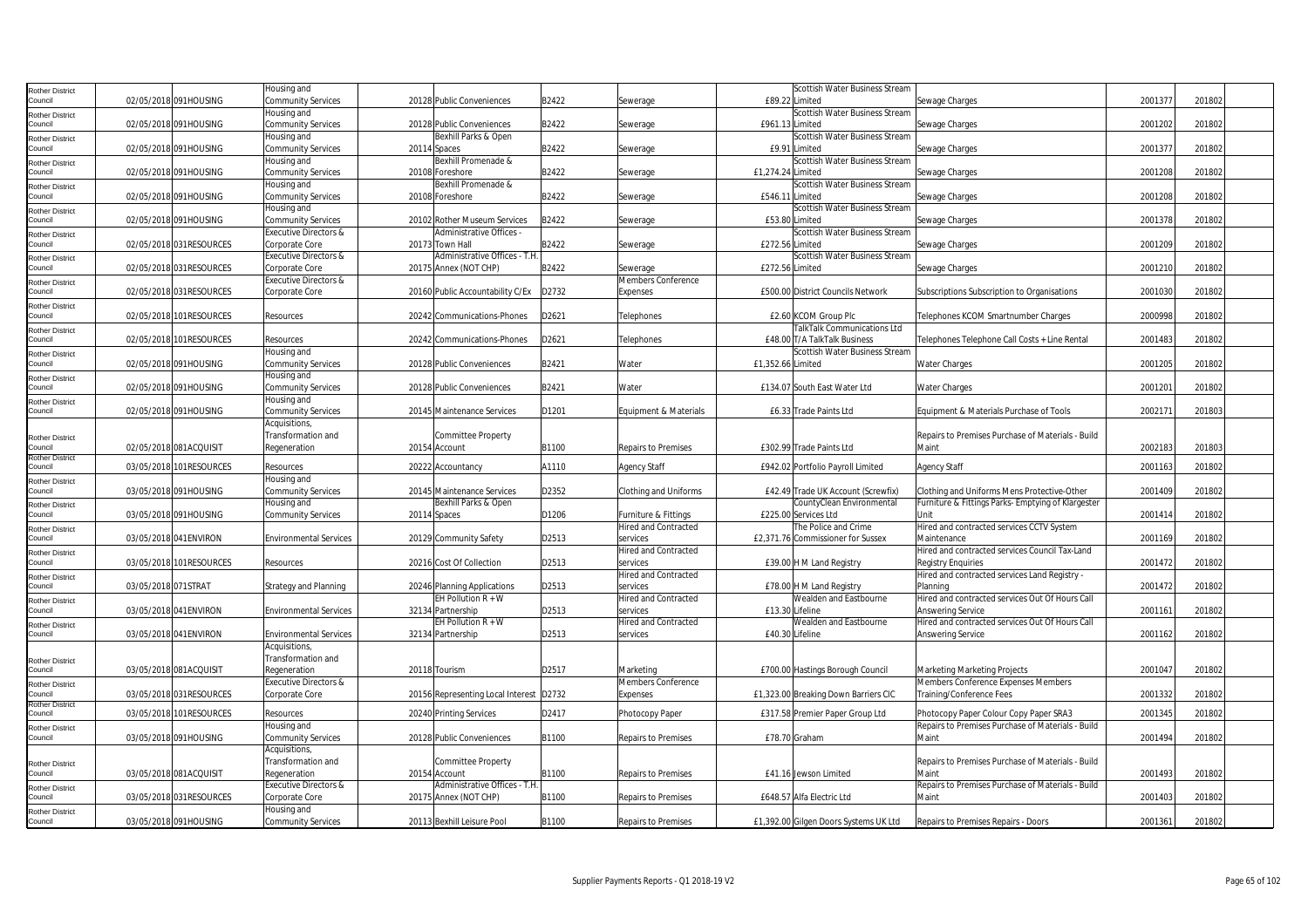| Rother District            |                     |                          | lousing and                                 |                                         |       |                                  | Scottish Water Business Stream                   |                                                           |         |        |
|----------------------------|---------------------|--------------------------|---------------------------------------------|-----------------------------------------|-------|----------------------------------|--------------------------------------------------|-----------------------------------------------------------|---------|--------|
| Council                    |                     | 02/05/2018 091HOUSING    | Community Services                          | 20128 Public Conveniences               | B2422 | Sewerage                         | £89.22 Limited                                   | Sewage Charges                                            | 2001377 | 201802 |
| Rother District            |                     |                          | Housing and                                 |                                         |       |                                  | Scottish Water Business Stream                   |                                                           |         |        |
| Council                    |                     | 02/05/2018 091HOUSING    | <b>Community Services</b>                   | 20128 Public Conveniences               | B2422 | Sewerage                         | £961.13 Limited                                  | Sewage Charges                                            | 2001202 | 201802 |
| Rother District            |                     |                          | Housing and                                 | Bexhill Parks & Open                    |       |                                  | Scottish Water Business Stream                   |                                                           |         |        |
| Council                    |                     | 02/05/2018 091HOUSING    | <b>Community Services</b>                   | 20114 Spaces                            | B2422 | Sewerage                         | £9.91 Limited                                    | Sewage Charges                                            | 2001377 | 201802 |
| Rother District            |                     |                          | Housing and                                 | Bexhill Promenade &                     |       |                                  | Scottish Water Business Stream                   |                                                           |         |        |
| Council                    |                     | 02/05/2018 091HOUSING    | Community Services                          | 20108 Foreshore                         | B2422 | Sewerage                         | £1,274.24 Limited                                | Sewage Charges                                            | 2001208 | 201802 |
| Rother District            |                     |                          | Housing and                                 | Bexhill Promenade &                     |       |                                  | Scottish Water Business Stream                   |                                                           |         |        |
| Council                    |                     | 02/05/2018 091HOUSING    | Community Services                          | 20108 Foreshore                         | B2422 | Sewerage                         | £546.11 Limited                                  | Sewage Charges                                            | 2001208 | 201802 |
| Rother District            |                     | 02/05/2018 091HOUSING    | Housing and                                 | 20102 Rother Museum Services            | B2422 |                                  | Scottish Water Business Stream<br>£53.80 Limited |                                                           | 2001378 | 201802 |
| Council                    |                     |                          | Community Services<br>Executive Directors & | Administrative Offices -                |       | Sewerage                         | Scottish Water Business Stream                   | Sewage Charges                                            |         |        |
| Rother District<br>Council |                     | 02/05/2018 031RESOURCES  | Corporate Core                              | 20173 Town Hall                         | B2422 | Sewerage                         | £272.56 Limited                                  | Sewage Charges                                            | 200120  | 201802 |
|                            |                     |                          | Executive Directors &                       | Administrative Offices - T.H.           |       |                                  | Scottish Water Business Stream                   |                                                           |         |        |
| Rother District<br>Council |                     | 02/05/2018 031RESOURCES  | Corporate Core                              | 20175 Annex (NOT CHP)                   | B2422 | Sewerage                         | £272.56 Limited                                  | Sewage Charges                                            | 2001210 | 201802 |
|                            |                     |                          | Executive Directors &                       |                                         |       | Members Conference               |                                                  |                                                           |         |        |
| Rother District<br>Council |                     | 02/05/2018 031RESOURCES  | Corporate Core                              | 20160 Public Accountability C/Ex        | D2732 | Expenses                         | £500.00 District Councils Network                | Subscriptions Subscription to Organisations               | 2001030 | 201802 |
|                            |                     |                          |                                             |                                         |       |                                  |                                                  |                                                           |         |        |
| Rother District<br>Council |                     | 02/05/2018 101RESOURCES  | Resources                                   | 20242 Communications-Phones             | D2621 | Telephones                       | £2.60 KCOM Group Plc                             | Telephones KCOM Smartnumber Charges                       | 2000998 | 201802 |
|                            |                     |                          |                                             |                                         |       |                                  | TalkTalk Communications Ltd                      |                                                           |         |        |
| Rother District<br>Council |                     | 02/05/2018 101RESOURCES  | Resources                                   | 20242 Communications-Phones             | D2621 | Telephones                       | £48.00 T/A TalkTalk Business                     | Telephones Telephone Call Costs + Line Rental             | 2001483 | 201802 |
| Rother District            |                     |                          | Housing and                                 |                                         |       |                                  | Scottish Water Business Stream                   |                                                           |         |        |
| Council                    |                     | 02/05/2018 091HOUSING    | <b>Community Services</b>                   | 20128 Public Conveniences               | B2421 | Water                            | £1,352.66 Limited                                | <b>Water Charges</b>                                      | 2001205 | 201802 |
| Rother District            |                     |                          | Housing and                                 |                                         |       |                                  |                                                  |                                                           |         |        |
| Council                    |                     | 02/05/2018 091HOUSING    | Community Services                          | 20128 Public Conveniences               | B2421 | Water                            | £134.07 South East Water Ltd                     | Water Charges                                             | 2001201 | 201802 |
| Rother District            |                     |                          | Housing and                                 |                                         |       |                                  |                                                  |                                                           |         |        |
| Council                    |                     | 02/05/2018 091HOUSING    | Community Services                          | 20145 Maintenance Services              | D1201 | Equipment & Materials            | £6.33 Trade Paints Ltd                           | Equipment & Materials Purchase of Tools                   | 2002171 | 201803 |
|                            |                     |                          | Acquisitions                                |                                         |       |                                  |                                                  |                                                           |         |        |
| Rother District            |                     |                          | Transformation and                          | Committee Property                      |       |                                  |                                                  | Repairs to Premises Purchase of Materials - Build         |         |        |
| Council                    |                     | 02/05/2018 081ACQUISIT   | Regeneration                                | 20154 Account                           | B1100 | Repairs to Premises              | £302.99 Trade Paints Ltd                         | Maint                                                     | 2002183 | 201803 |
| Rother District            |                     |                          |                                             |                                         |       |                                  |                                                  |                                                           |         |        |
| Council                    |                     | 03/05/2018 101RESOURCES  | Resources                                   | 20222 Accountancy                       | A1110 | <b>Agency Staff</b>              | £942.02 Portfolio Payroll Limited                | Agency Staff                                              | 2001163 | 201802 |
| Rother District            |                     |                          | Housing and                                 |                                         |       |                                  |                                                  |                                                           |         |        |
| Council                    |                     | 03/05/2018 091HOUSING    | <b>Community Services</b>                   | 20145 Maintenance Services              | D2352 | Clothing and Uniforms            | £42.49 Trade UK Account (Screwfix)               | Clothing and Uniforms Mens Protective-Other               | 2001409 | 201802 |
| Rother District            |                     |                          | Housing and                                 | Bexhill Parks & Open                    |       |                                  | CountyClean Environmental                        | Furniture & Fittings Parks- Emptying of Klargester        |         |        |
| Council                    |                     | 03/05/2018 091HOUSING    | <b>Community Services</b>                   | 20114 Spaces                            | D1206 | Furniture & Fittings             | £225.00 Services Ltd                             | Unit                                                      | 2001414 | 201802 |
| Rother District            |                     |                          |                                             |                                         |       | <b>Hired and Contracted</b>      | The Police and Crime                             | Hired and contracted services CCTV System                 |         |        |
| Council                    |                     | 03/05/2018 041ENVIRON    | <b>Environmental Services</b>               | 20129 Community Safety                  | D2513 | services                         | £2,371.76 Commissioner for Sussex                | Maintenance                                               | 2001169 | 201802 |
| Rother District            |                     |                          |                                             |                                         |       | <b>Hired and Contracted</b>      |                                                  | Hired and contracted services Council Tax-Land            |         |        |
| Council                    |                     | 03/05/2018 101RESOURCES  | Resources                                   | 20216 Cost Of Collection                | D2513 | services                         | £39.00 H M Land Registry                         | Registry Enquiries                                        | 2001472 | 201802 |
| Rother District<br>Council | 03/05/2018 071STRAT |                          | <b>Strategy and Planning</b>                | 20246 Planning Applications             | D2513 | Hired and Contracted<br>services | £78.00 H M Land Registry                         | Hired and contracted services Land Registry -<br>Planning | 2001472 | 201802 |
|                            |                     |                          |                                             | EH Pollution $R + W$                    |       | <b>Hired and Contracted</b>      | Wealden and Eastbourne                           | Hired and contracted services Out Of Hours Call           |         |        |
| Rother District<br>Council |                     | 03/05/2018 041ENVIRON    | <b>Environmental Services</b>               | 32134 Partnership                       | D2513 | services                         | £13.30 Lifeline                                  | Answering Service                                         | 2001161 | 201802 |
| Rother District            |                     |                          |                                             | EH Pollution $R + W$                    |       | <b>Hired and Contracted</b>      | Wealden and Eastbourne                           | Hired and contracted services Out Of Hours Call           |         |        |
| Council                    |                     | 03/05/2018 041ENVIRON    | <b>Environmental Services</b>               | 32134 Partnership                       | D2513 | services                         | £40.30 Lifeline                                  | Answering Service                                         | 2001162 | 201802 |
|                            |                     |                          | Acquisitions,                               |                                         |       |                                  |                                                  |                                                           |         |        |
|                            |                     |                          | Transformation and                          |                                         |       |                                  |                                                  |                                                           |         |        |
| Rother District<br>Council |                     | 03/05/2018 081ACQUISIT   | Regeneration                                | 20118 Tourism                           | D2517 | Marketing                        | £700.00 Hastings Borough Council                 | Marketing Marketing Projects                              | 2001047 | 201802 |
| Rother District            |                     |                          | Executive Directors &                       |                                         |       | Members Conference               |                                                  | Members Conference Expenses Members                       |         |        |
| Council                    |                     | 03/05/2018 031 RESOURCES | Corporate Core                              | 20156 Representing Local Interest D2732 |       | Expenses                         | £1,323.00 Breaking Down Barriers CIC             | Training/Conference Fees                                  | 2001332 | 201802 |
| Rother District            |                     |                          |                                             |                                         |       |                                  |                                                  |                                                           |         |        |
| Council                    |                     | 03/05/2018 101RESOURCES  | Resources                                   | 20240 Printing Services                 | D2417 | Photocopy Paper                  | £317.58 Premier Paper Group Ltd                  | Photocopy Paper Colour Copy Paper SRA3                    | 2001345 | 201802 |
| Rother District            |                     |                          | Housing and                                 |                                         |       |                                  |                                                  | Repairs to Premises Purchase of Materials - Build         |         |        |
| Council                    |                     | 03/05/2018 091HOUSING    | Community Services                          | 20128 Public Conveniences               | B1100 | Repairs to Premises              | £78.70 Graham                                    | Maint                                                     | 2001494 | 201802 |
|                            |                     |                          | Acquisitions,                               |                                         |       |                                  |                                                  |                                                           |         |        |
| Rother District            |                     |                          | Transformation and                          | Committee Property                      |       |                                  |                                                  | Repairs to Premises Purchase of Materials - Build         |         |        |
| Council                    |                     | 03/05/2018 081ACQUISIT   | Regeneration                                | 20154 Account                           | B1100 | Repairs to Premises              | £41.16 Jewson Limited                            | Maint                                                     | 2001493 | 201802 |
| Rother District            |                     |                          | <b>Executive Directors &amp;</b>            | Administrative Offices - T.H            |       |                                  |                                                  | Repairs to Premises Purchase of Materials - Build         |         |        |
| Council                    |                     | 03/05/2018 031RESOURCES  | Corporate Core                              | 20175 Annex (NOT CHP)                   | B1100 | Repairs to Premises              | £648.57 Alfa Electric Ltd                        | Maint                                                     | 2001403 | 201802 |
| Rother District            |                     |                          | Housing and                                 |                                         |       |                                  |                                                  |                                                           |         |        |
| Council                    |                     | 03/05/2018 091HOUSING    | <b>Community Services</b>                   | 20113 Bexhill Leisure Pool              | B1100 | Repairs to Premises              | £1,392.00 Gilgen Doors Systems UK Ltd            | Repairs to Premises Repairs - Doors                       | 2001361 | 201802 |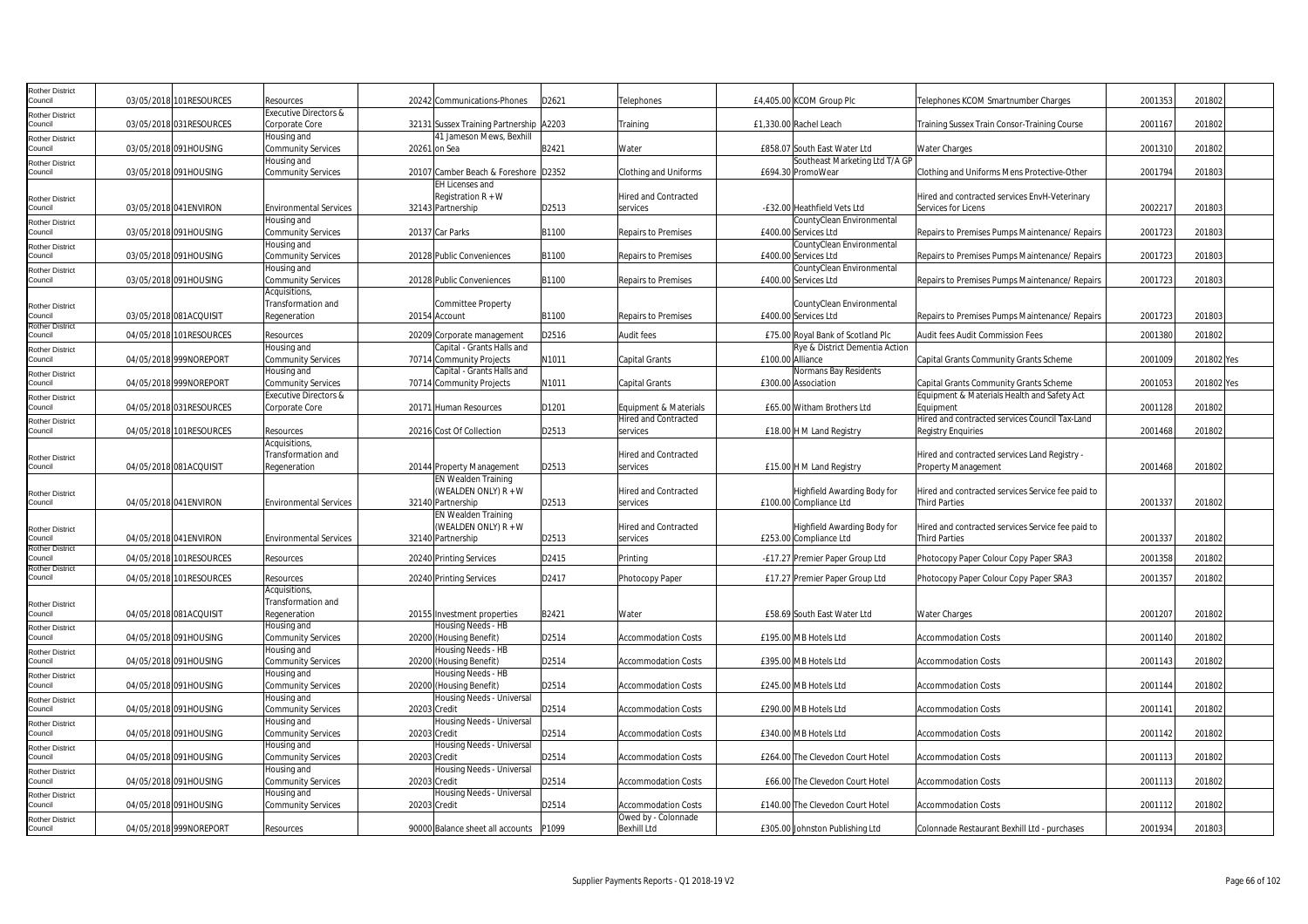| <b>Rother District</b><br>Council |            | 03/05/2018 101RESOURCES  | Resources                                  |                   | 20242 Communications-Phones                                    | D2621 | Telephones                              | £4,405.00 KCOM Group Plc                                            | Telephones KCOM Smartnumber Charges                                       | 2001353 | 201802     |  |
|-----------------------------------|------------|--------------------------|--------------------------------------------|-------------------|----------------------------------------------------------------|-------|-----------------------------------------|---------------------------------------------------------------------|---------------------------------------------------------------------------|---------|------------|--|
| <b>Rother District</b>            |            |                          | <b>Executive Directors &amp;</b>           |                   |                                                                |       |                                         |                                                                     |                                                                           |         |            |  |
| Council                           |            | 03/05/2018 031RESOURCES  | Corporate Core                             |                   | 32131 Sussex Training Partnership A2203                        |       | Training                                | £1,330.00 Rachel Leach                                              | Training Sussex Train Consor-Training Course                              | 200116  | 201802     |  |
| Rother District                   |            |                          | Housing and                                |                   | 41 Jameson Mews, Bexhill                                       |       |                                         |                                                                     |                                                                           |         |            |  |
| Council                           |            | 03/05/2018 091HOUSING    | <b>Community Services</b>                  | 20261 on Sea      |                                                                | B2421 | Water                                   | £858.07 South East Water Ltd                                        | Water Charges                                                             | 2001310 | 201802     |  |
| <b>Rother District</b>            |            |                          | Housing and                                |                   |                                                                |       |                                         | Southeast Marketing Ltd T/A GP                                      |                                                                           |         |            |  |
| Council                           |            | 03/05/2018 091HOUSING    | <b>Community Services</b>                  |                   | 20107 Camber Beach & Foreshore D2352<br><b>EH Licenses and</b> |       | Clothing and Uniforms                   | £694.30 PromoWear                                                   | Clothing and Uniforms Mens Protective-Other                               | 2001794 | 201803     |  |
| <b>Rother District</b>            |            |                          |                                            |                   | Registration R + W                                             |       | Hired and Contracted                    |                                                                     | Hired and contracted services EnvH-Veterinary                             |         |            |  |
| Council                           |            | 03/05/2018 041 ENVIRON   | <b>Environmental Services</b>              | 32143 Partnership |                                                                | D2513 | services                                | -£32.00 Heathfield Vets Ltd                                         | Services for Licens                                                       | 200221  | 201803     |  |
| <b>Rother District</b>            |            |                          | Housing and                                |                   |                                                                |       |                                         | CountyClean Environmental                                           |                                                                           |         |            |  |
| Council                           |            | 03/05/2018 091HOUSING    | <b>Community Services</b>                  | 20137 Car Parks   |                                                                | B1100 | <b>Repairs to Premises</b>              | £400.00 Services Ltd                                                | Repairs to Premises Pumps Maintenance/ Repairs                            | 2001723 | 201803     |  |
| <b>Rother District</b>            |            |                          | Housing and                                |                   |                                                                |       |                                         | CountyClean Environmental                                           |                                                                           |         |            |  |
| Council                           |            | 03/05/2018 091HOUSING    | <b>Community Services</b>                  |                   | 20128 Public Conveniences                                      | B1100 | <b>Repairs to Premises</b>              | £400.00 Services Ltd                                                | Repairs to Premises Pumps Maintenance/ Repairs                            | 2001723 | 201803     |  |
| <b>Rother District</b><br>Council |            | 03/05/2018 091HOUSING    | Housing and                                |                   | 20128 Public Conveniences                                      | B1100 | Repairs to Premises                     | CountyClean Environmental<br>£400.00 Services Ltd                   | Repairs to Premises Pumps Maintenance/ Repairs                            | 2001723 | 201803     |  |
|                                   |            |                          | <b>Community Services</b><br>Acquisitions, |                   |                                                                |       |                                         |                                                                     |                                                                           |         |            |  |
| <b>Rother District</b>            |            |                          | Transformation and                         |                   | Committee Property                                             |       |                                         | CountyClean Environmental                                           |                                                                           |         |            |  |
| Council                           |            | 03/05/2018 081ACQUISIT   | Regeneration                               | 20154 Account     |                                                                | B1100 | <b>Repairs to Premises</b>              | £400.00 Services Ltd                                                | Repairs to Premises Pumps Maintenance/ Repairs                            | 2001723 | 201803     |  |
| <b>Rother District</b>            |            |                          |                                            |                   |                                                                |       |                                         |                                                                     |                                                                           |         |            |  |
| Council                           |            | 04/05/2018 101 RESOURCES | Resources<br>Housing and                   |                   | 20209 Corporate management<br>Capital - Grants Halls and       | D2516 | Audit fees                              | £75.00 Roval Bank of Scotland Plc<br>Rye & District Dementia Action | Audit fees Audit Commission Fees                                          | 2001380 | 201802     |  |
| <b>Rother District</b><br>Council |            | 04/05/2018 999NOREPORT   | <b>Community Services</b>                  |                   | 70714 Community Projects                                       | N1011 | Capital Grants                          | £100.00 Alliance                                                    | Capital Grants Community Grants Scheme                                    | 2001009 | 201802 Yes |  |
| <b>Rother District</b>            |            |                          | Housing and                                |                   | Capital - Grants Halls and                                     |       |                                         | Normans Bay Residents                                               |                                                                           |         |            |  |
| Council                           |            | 04/05/2018 999NOREPORT   | <b>Community Services</b>                  |                   | 70714 Community Projects                                       | N1011 | Capital Grants                          | £300.00 Association                                                 | Capital Grants Community Grants Scheme                                    | 2001053 | 201802 Yes |  |
| <b>Rother District</b>            |            |                          | <b>Executive Directors &amp;</b>           |                   |                                                                |       |                                         |                                                                     | Equipment & Materials Health and Safety Act                               |         |            |  |
| Council                           |            | 04/05/2018 031RESOURCES  | Corporate Core                             |                   | 20171 Human Resources                                          | D1201 | Equipment & Materials                   | £65.00 Witham Brothers Ltd                                          | Equipment                                                                 | 2001128 | 201802     |  |
| <b>Rother District</b>            |            |                          |                                            |                   |                                                                |       | Hired and Contracted                    |                                                                     | Hired and contracted services Council Tax-Land                            |         |            |  |
| Council                           |            | 04/05/2018 101RESOURCES  | Resources                                  |                   | 20216 Cost Of Collection                                       | D2513 | services                                | £18.00 H M Land Registry                                            | <b>Registry Enguiries</b>                                                 | 2001468 | 201802     |  |
|                                   |            |                          | Acquisitions,<br>Transformation and        |                   |                                                                |       | <b>Hired and Contracted</b>             |                                                                     | Hired and contracted services Land Registry -                             |         |            |  |
| <b>Rother District</b><br>Council |            | 04/05/2018 081ACQUISIT   | Regeneration                               |                   | 20144 Property Management                                      | D2513 | services                                | £15.00 H M Land Registry                                            | <b>Property Management</b>                                                | 2001468 | 201802     |  |
|                                   |            |                          |                                            |                   | <b>EN Wealden Training</b>                                     |       |                                         |                                                                     |                                                                           |         |            |  |
| <b>Rother District</b>            |            |                          |                                            |                   | (WEALDEN ONLY) R + W                                           |       | Hired and Contracted                    | Highfield Awarding Body for                                         | Hired and contracted services Service fee paid to                         |         |            |  |
| Council                           |            | 04/05/2018 041 ENVIRON   | <b>Environmental Services</b>              |                   | 32140 Partnership                                              | D2513 | services                                | £100.00 Compliance Ltd                                              | <b>Third Parties</b>                                                      | 2001337 | 201802     |  |
|                                   |            |                          |                                            |                   | <b>EN Wealden Training</b>                                     |       |                                         |                                                                     |                                                                           |         |            |  |
| <b>Rother District</b><br>Council |            | 04/05/2018 041 ENVIRON   | <b>Environmental Services</b>              | 32140 Partnership | (WEALDEN ONLY) R + W                                           | D2513 | <b>Hired and Contracted</b><br>services | Highfield Awarding Body for<br>£253.00 Compliance Ltd               | Hired and contracted services Service fee paid to<br><b>Third Parties</b> | 200133  | 201802     |  |
| <b>Rother District</b>            |            |                          |                                            |                   |                                                                |       |                                         |                                                                     |                                                                           |         |            |  |
| Council                           | 04/05/2018 | 101RESOURCES             | Resources                                  |                   | 20240 Printing Services                                        | D2415 | Printina                                | -£17.27 Premier Paper Group Ltd                                     | Photocopy Paper Colour Copy Paper SRA3                                    | 2001358 | 201802     |  |
| <b>Rother District</b><br>Council |            | 04/05/2018 101RESOURCES  | Resources                                  |                   | 20240 Printing Services                                        | D2417 | Photocopy Paper                         | £17.27 Premier Paper Group Ltd                                      | Photocopy Paper Colour Copy Paper SRA3                                    | 2001357 | 201802     |  |
|                                   |            |                          | Acquisitions,                              |                   |                                                                |       |                                         |                                                                     |                                                                           |         |            |  |
| <b>Rother District</b>            |            |                          | Transformation and                         |                   |                                                                |       |                                         |                                                                     |                                                                           |         |            |  |
| Council                           |            | 04/05/2018 081ACQUISIT   | Regeneration                               |                   | 20155 Investment properties                                    | B2421 | Water                                   | £58.69 South East Water Ltd                                         | <b>Water Charges</b>                                                      | 2001207 | 201802     |  |
| <b>Rother District</b>            |            |                          | Housing and                                |                   | Housing Needs - HB                                             |       |                                         |                                                                     |                                                                           |         |            |  |
| Council                           |            | 04/05/2018 091HOUSING    | <b>Community Services</b>                  |                   | 20200 (Housing Benefit)                                        | D2514 | <b>Accommodation Costs</b>              | £195.00 MB Hotels Ltd                                               | <b>Accommodation Costs</b>                                                | 2001140 | 201802     |  |
| <b>Rother District</b><br>Council |            | 04/05/2018 091HOUSING    | Housing and<br><b>Community Services</b>   |                   | Housing Needs - HB<br>20200 (Housing Benefit)                  | D2514 | <b>Accommodation Costs</b>              | £395.00 MB Hotels Ltd                                               | <b>Accommodation Costs</b>                                                | 2001143 | 201802     |  |
| <b>Rother District</b>            |            |                          | Housing and                                |                   | Housing Needs - HB                                             |       |                                         |                                                                     |                                                                           |         |            |  |
| Council                           |            | 04/05/2018 091HOUSING    | <b>Community Services</b>                  |                   | 20200 (Housing Benefit)                                        | D2514 | <b>Accommodation Costs</b>              | £245.00 MB Hotels Ltd                                               | Accommodation Costs                                                       | 2001144 | 201802     |  |
| <b>Rother District</b>            |            |                          | Housing and                                |                   | Housing Needs - Universal                                      |       |                                         |                                                                     |                                                                           |         |            |  |
| Council                           |            | 04/05/2018 091HOUSING    | <b>Community Services</b>                  | 20203 Credit      |                                                                | D2514 | Accommodation Costs                     | £290.00 MB Hotels Ltd                                               | Accommodation Costs                                                       | 2001141 | 201802     |  |
| Rother District                   |            |                          | Housing and                                |                   | Housing Needs - Universal                                      |       |                                         |                                                                     |                                                                           |         |            |  |
| Council                           |            | 04/05/2018 091HOUSING    | <b>Community Services</b><br>Housing and   | 20203 Credit      | Housing Needs - Universal                                      | D2514 | <b>Accommodation Costs</b>              | £340.00 MB Hotels Ltd                                               | <b>Accommodation Costs</b>                                                | 2001142 | 201802     |  |
| <b>Rother District</b><br>Council |            | 04/05/2018 091HOUSING    | <b>Community Services</b>                  | 20203 Credit      |                                                                | D2514 | <b>Accommodation Costs</b>              | £264.00 The Clevedon Court Hotel                                    | <b>Accommodation Costs</b>                                                | 2001113 | 201802     |  |
| Rother District                   |            |                          | Housing and                                |                   | Housing Needs - Universal                                      |       |                                         |                                                                     |                                                                           |         |            |  |
| Council                           |            | 04/05/2018 091HOUSING    | <b>Community Services</b>                  | 20203 Credit      |                                                                | D2514 | <b>Accommodation Costs</b>              | £66.00 The Clevedon Court Hotel                                     | <b>Accommodation Costs</b>                                                | 2001113 | 201802     |  |
| <b>Rother District</b>            |            |                          | Housing and                                |                   | Housing Needs - Universal                                      |       |                                         |                                                                     |                                                                           |         |            |  |
| Council                           |            | 04/05/2018 091HOUSING    | <b>Community Services</b>                  | 20203 Credit      |                                                                | D2514 | <b>Accommodation Costs</b>              | £140.00 The Clevedon Court Hotel                                    | <b>Accommodation Costs</b>                                                | 2001112 | 201802     |  |
| <b>Rother District</b>            |            |                          |                                            |                   |                                                                |       | Owed by - Colonnade                     |                                                                     |                                                                           |         |            |  |
| Council                           |            | 04/05/2018 999NOREPORT   | Resources                                  |                   | 90000 Balance sheet all accounts                               | P1099 | <b>Bexhill Ltd</b>                      | £305.00 Johnston Publishing Ltd                                     | Colonnade Restaurant Bexhill Ltd - purchases                              | 2001934 | 201803     |  |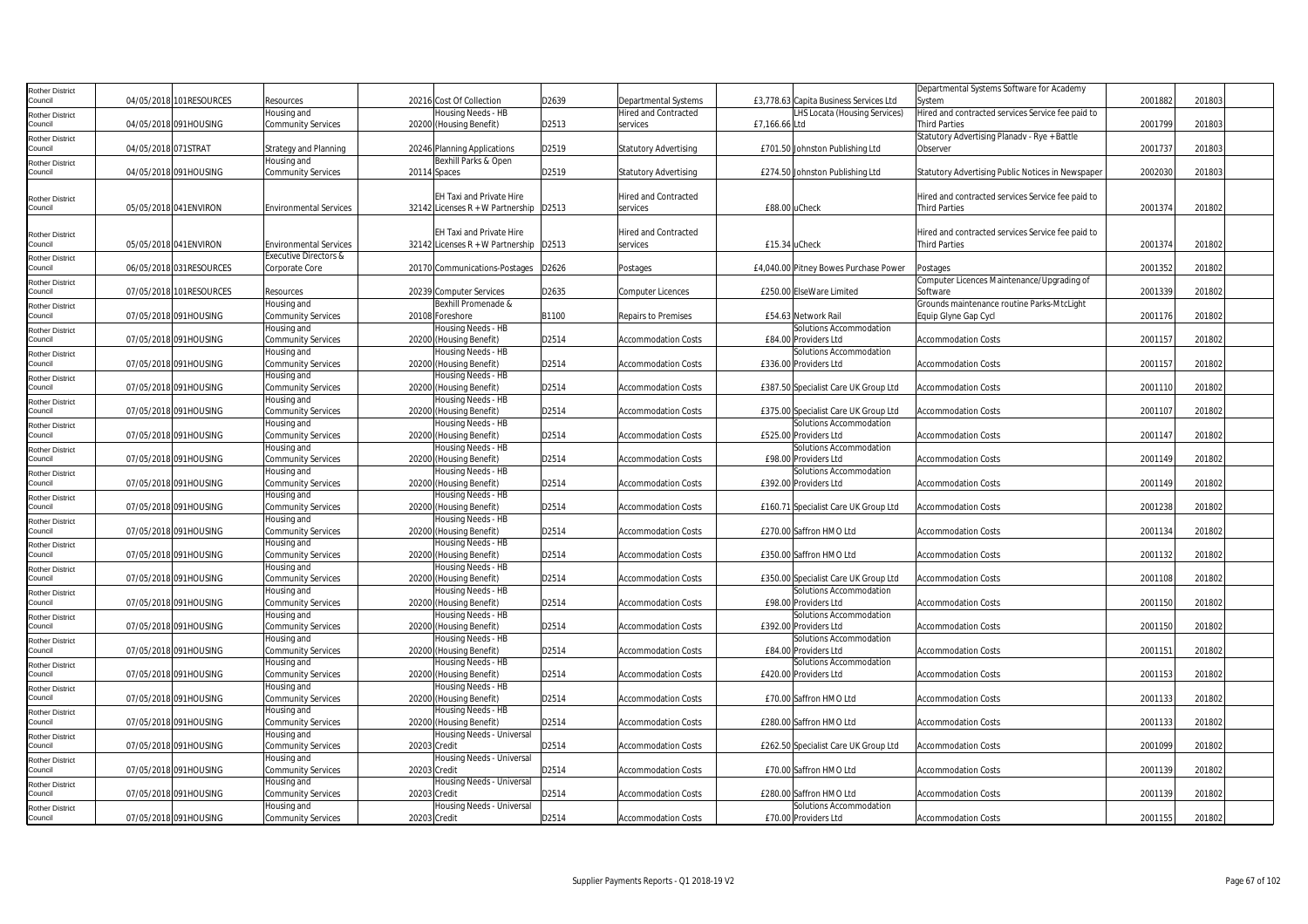| <b>Rother District</b>            |                     |                          |                                  |              |                                            |       |                              |                                        | Departmental Systems Software for Academy         |         |        |  |
|-----------------------------------|---------------------|--------------------------|----------------------------------|--------------|--------------------------------------------|-------|------------------------------|----------------------------------------|---------------------------------------------------|---------|--------|--|
| Council                           |                     | 04/05/2018 101RESOURCES  | Resources                        |              | 20216 Cost Of Collection                   | D2639 | <b>Departmental Systems</b>  | £3,778.63 Capita Business Services Ltd | Svstem                                            | 2001882 | 201803 |  |
| <b>Rother District</b>            |                     |                          | Housing and                      |              | Housing Needs - HB                         |       | Hired and Contracted         | LHS Locata (Housing Services)          | Hired and contracted services Service fee paid to |         |        |  |
| Council                           |                     | 04/05/2018 091HOUSING    | <b>Community Services</b>        |              | 20200 (Housing Benefit)                    | D2513 | services                     | £7,166.66 Ltd                          | <b>Third Parties</b>                              | 200179  | 201803 |  |
|                                   |                     |                          |                                  |              |                                            |       |                              |                                        | Statutory Advertising Planady - Rye + Battle      |         |        |  |
| Rother District<br>Council        | 04/05/2018 071STRAT |                          | Strategy and Planning            |              | 20246 Planning Applications                | D2519 | <b>Statutory Advertising</b> | £701.50 Johnston Publishing Ltd        | Observer                                          | 200173  | 201803 |  |
|                                   |                     |                          | Housing and                      |              | Bexhill Parks & Open                       |       |                              |                                        |                                                   |         |        |  |
| <b>Rother District</b><br>Council |                     | 04/05/2018 091HOUSING    | <b>Community Services</b>        | 20114 Spaces |                                            | D2519 | <b>Statutory Advertising</b> | £274.50 Johnston Publishing Ltd        | Statutory Advertising Public Notices in Newspaper | 2002030 | 201803 |  |
|                                   |                     |                          |                                  |              |                                            |       |                              |                                        |                                                   |         |        |  |
|                                   |                     |                          |                                  |              |                                            |       |                              |                                        |                                                   |         |        |  |
| <b>Rother District</b>            |                     |                          |                                  |              | EH Taxi and Private Hire                   |       | Hired and Contracted         |                                        | Hired and contracted services Service fee paid to |         |        |  |
| Council                           |                     | 05/05/2018 041 ENVIRON   | <b>Environmental Services</b>    |              | $32142$ Licenses R + W Partnership         | D2513 | services                     | £88.00 uCheck                          | <b>Third Parties</b>                              | 2001374 | 201802 |  |
|                                   |                     |                          |                                  |              |                                            |       |                              |                                        |                                                   |         |        |  |
| <b>Rother District</b>            |                     |                          |                                  |              | <b>EH Taxi and Private Hire</b>            |       | Hired and Contracted         |                                        | Hired and contracted services Service fee paid to |         |        |  |
| Council                           |                     | 05/05/2018 041 ENVIRON   | <b>Environmental Services</b>    |              | 32142 Licenses $R + W$ Partnership   D2513 |       | services                     | £15.34 uCheck                          | <b>Third Parties</b>                              | 2001374 | 201802 |  |
| <b>Rother District</b>            |                     |                          | <b>Executive Directors &amp;</b> |              |                                            |       |                              |                                        |                                                   |         |        |  |
| Council                           |                     | 06/05/2018 031RESOURCES  | Corporate Core                   |              | 20170 Communications-Postages              | D2626 | Postages                     | £4,040.00 Pitney Bowes Purchase Power  | Postages                                          | 2001352 | 201802 |  |
| <b>Rother District</b>            |                     |                          |                                  |              |                                            |       |                              |                                        | Computer Licences Maintenance/Upgrading of        |         |        |  |
| Council                           |                     | 07/05/2018 101 RESOURCES | Resources                        |              | 20239 Computer Services                    | D2635 | Computer Licences            | £250.00 ElseWare Limited               | Software                                          | 2001339 | 201802 |  |
| <b>Rother District</b>            |                     |                          | Housing and                      |              | Bexhill Promenade &                        |       |                              |                                        | Grounds maintenance routine Parks-MtcLight        |         |        |  |
| Council                           |                     | 07/05/2018 091HOUSING    | <b>Community Services</b>        |              | 20108 Foreshore                            | B1100 | <b>Repairs to Premises</b>   | £54.63 Network Rail                    | Equip Glyne Gap Cycl                              | 2001176 | 201802 |  |
| <b>Rother District</b>            |                     |                          | Housing and                      |              | Housing Needs - HB                         |       |                              | Solutions Accommodation                |                                                   |         |        |  |
| Council                           |                     | 07/05/2018 091HOUSING    | Community Services               |              | 20200 (Housing Benefit)                    | D2514 | <b>Accommodation Costs</b>   | £84.00 Providers Ltd                   | <b>Accommodation Costs</b>                        | 2001157 | 201802 |  |
| <b>Rother District</b>            |                     |                          | Housing and                      |              | Housing Needs - HB                         |       |                              | Solutions Accommodation                |                                                   |         |        |  |
| Council                           |                     | 07/05/2018 091HOUSING    | Community Services               |              | 20200 (Housing Benefit)                    | D2514 | <b>Accommodation Costs</b>   | £336.00 Providers Ltd                  | <b>Accommodation Costs</b>                        | 2001157 | 201802 |  |
| <b>Rother District</b>            |                     |                          | Housing and                      |              | Housing Needs - HB                         |       |                              |                                        |                                                   |         |        |  |
| Council                           |                     | 07/05/2018 091HOUSING    | <b>Community Services</b>        |              | 20200 (Housing Benefit)                    | D2514 | <b>Accommodation Costs</b>   | £387.50 Specialist Care UK Group Ltd   | <b>Accommodation Costs</b>                        | 2001110 | 201802 |  |
| <b>Rother District</b>            |                     |                          | Housing and                      |              | Housing Needs - HB                         |       |                              |                                        |                                                   |         |        |  |
| Council                           |                     | 07/05/2018 091HOUSING    | <b>Community Services</b>        |              | 20200 (Housing Benefit)                    | D2514 | <b>Accommodation Costs</b>   | £375.00 Specialist Care UK Group Ltd   | <b>Accommodation Costs</b>                        | 2001107 | 201802 |  |
| <b>Rother District</b>            |                     |                          | Housing and                      |              | Housing Needs - HB                         |       |                              | Solutions Accommodation                |                                                   |         |        |  |
| Council                           |                     | 07/05/2018 091HOUSING    | <b>Community Services</b>        |              | 20200 (Housing Benefit)                    | D2514 | <b>Accommodation Costs</b>   | £525.00 Providers Ltd                  | Accommodation Costs                               | 2001147 | 201802 |  |
| <b>Rother District</b>            |                     |                          | Housing and                      |              | Housing Needs - HB                         |       |                              | Solutions Accommodation                |                                                   |         |        |  |
| Council                           |                     | 07/05/2018 091HOUSING    | <b>Community Services</b>        |              | 20200 (Housing Benefit)                    | D2514 | <b>Accommodation Costs</b>   | £98.00 Providers Ltd                   | <b>Accommodation Costs</b>                        | 2001149 | 201802 |  |
| <b>Rother District</b>            |                     |                          | Housing and                      |              | Housing Needs - HB                         |       |                              | Solutions Accommodation                |                                                   |         |        |  |
| Council                           |                     | 07/05/2018 091HOUSING    | Community Services               |              | 20200 (Housing Benefit)                    | D2514 | <b>Accommodation Costs</b>   | £392.00 Providers Ltd                  | <b>Accommodation Costs</b>                        | 2001149 | 201802 |  |
| Rother District                   |                     |                          | Housing and                      |              | Housing Needs - HB                         |       |                              |                                        |                                                   |         |        |  |
| Council                           |                     | 07/05/2018 091HOUSING    | <b>Community Services</b>        |              | 20200 (Housing Benefit)                    | D2514 | Accommodation Costs          | £160.71 Specialist Care UK Group Ltd   | <b>Accommodation Costs</b>                        | 2001238 | 201802 |  |
| <b>Rother District</b>            |                     |                          | Housing and                      |              | Housing Needs - HB                         |       |                              |                                        |                                                   |         |        |  |
| Council                           |                     | 07/05/2018 091HOUSING    | <b>Community Services</b>        |              | 20200 (Housing Benefit)                    | D2514 | <b>Accommodation Costs</b>   | £270.00 Saffron HMO Ltd                | <b>Accommodation Costs</b>                        | 2001134 | 201802 |  |
| <b>Rother District</b>            |                     |                          | Housing and                      |              | Housing Needs - HB                         |       |                              |                                        |                                                   |         |        |  |
| Council                           |                     | 07/05/2018 091HOUSING    | <b>Community Services</b>        |              | 20200 (Housing Benefit)                    | D2514 | <b>Accommodation Costs</b>   | £350.00 Saffron HMO Ltd                | Accommodation Costs                               | 2001132 | 201802 |  |
| <b>Rother District</b>            |                     |                          | Housing and                      |              | Housing Needs - HB                         |       |                              |                                        |                                                   |         |        |  |
| Council                           |                     | 07/05/2018 091HOUSING    | <b>Community Services</b>        |              | 20200 (Housing Benefit)                    | D2514 | <b>Accommodation Costs</b>   | £350.00 Specialist Care UK Group Ltd   | <b>Accommodation Costs</b>                        | 2001108 | 201802 |  |
| <b>Rother District</b>            |                     |                          | Housing and                      |              | Housing Needs - HB                         |       |                              | Solutions Accommodation                |                                                   |         |        |  |
| Council                           |                     | 07/05/2018 091HOUSING    | Community Services               |              | 20200 (Housing Benefit)                    | D2514 | <b>Accommodation Costs</b>   | £98.00 Providers Ltd                   | <b>Accommodation Costs</b>                        | 2001150 | 201802 |  |
| Rother District                   |                     |                          | Housing and                      |              | Housing Needs - HB                         |       |                              | Solutions Accommodation                |                                                   |         |        |  |
| Council                           |                     | 07/05/2018 091HOUSING    | Community Services               |              | 20200 (Housing Benefit)                    | D2514 | Accommodation Costs          | £392.00 Providers Ltd                  | <b>Accommodation Costs</b>                        | 2001150 | 201802 |  |
| <b>Rother District</b>            |                     |                          | Housing and                      |              | Housing Needs - HB                         |       |                              | Solutions Accommodation                |                                                   |         |        |  |
| Council                           |                     | 07/05/2018 091HOUSING    | Community Services               |              | 20200 (Housing Benefit)                    | D2514 | Accommodation Costs          | £84.00 Providers Ltd                   | Accommodation Costs                               | 200115  | 201802 |  |
| <b>Rother District</b>            |                     |                          | Housing and                      |              | Housing Needs - HB                         |       |                              | Solutions Accommodation                |                                                   |         |        |  |
| Council                           |                     | 07/05/2018 091HOUSING    | <b>Community Services</b>        |              | 20200 (Housing Benefit)                    | D2514 | <b>Accommodation Costs</b>   | £420.00 Providers Ltd                  | Accommodation Costs                               | 2001153 | 201802 |  |
| <b>Rother District</b>            |                     |                          | Housing and                      |              | Housing Needs - HB                         |       |                              |                                        |                                                   |         |        |  |
| Council                           |                     | 07/05/2018 091HOUSING    | <b>Community Services</b>        |              | 20200 (Housing Benefit)                    | D2514 | <b>Accommodation Costs</b>   | £70.00 Saffron HMO Ltd                 | <b>Accommodation Costs</b>                        | 2001133 | 201802 |  |
| <b>Rother District</b>            |                     |                          | Housing and                      |              | Housing Needs - HB                         |       |                              |                                        |                                                   |         |        |  |
| Council                           |                     | 07/05/2018 091HOUSING    | <b>Community Services</b>        |              | 20200 (Housing Benefit)                    | D2514 | <b>Accommodation Costs</b>   | £280.00 Saffron HMO Ltd                | <b>Accommodation Costs</b>                        | 2001133 | 201802 |  |
|                                   |                     |                          | Housing and                      |              | Housing Needs - Universal                  |       |                              |                                        |                                                   |         |        |  |
| Rother District<br>Council        |                     | 07/05/2018 091HOUSING    | <b>Community Services</b>        | 20203 Credit |                                            | D2514 | <b>Accommodation Costs</b>   | £262.50 Specialist Care UK Group Ltd   | <b>Accommodation Costs</b>                        | 2001099 | 201802 |  |
| <b>Rother District</b>            |                     |                          | Housing and                      |              | Housing Needs - Universal                  |       |                              |                                        |                                                   |         |        |  |
| Council                           |                     | 07/05/2018 091HOUSING    | Community Services               | 20203 Credit |                                            | D2514 | <b>Accommodation Costs</b>   | £70.00 Saffron HMO Ltd                 | <b>Accommodation Costs</b>                        | 2001139 | 201802 |  |
|                                   |                     |                          | Housing and                      |              | Housing Needs - Universal                  |       |                              |                                        |                                                   |         |        |  |
| <b>Rother District</b><br>Council |                     | 07/05/2018 091HOUSING    | <b>Community Services</b>        | 20203 Credit |                                            | D2514 | <b>Accommodation Costs</b>   | £280.00 Saffron HMO Ltd                | <b>Accommodation Costs</b>                        | 2001139 | 201802 |  |
|                                   |                     |                          | Housing and                      |              | Housing Needs - Universal                  |       |                              | Solutions Accommodation                |                                                   |         |        |  |
| <b>Rother District</b><br>Council |                     | 07/05/2018 091HOUSING    | <b>Community Services</b>        | 20203 Credit |                                            | D2514 | <b>Accommodation Costs</b>   | £70.00 Providers Ltd                   | <b>Accommodation Costs</b>                        | 2001155 | 201802 |  |
|                                   |                     |                          |                                  |              |                                            |       |                              |                                        |                                                   |         |        |  |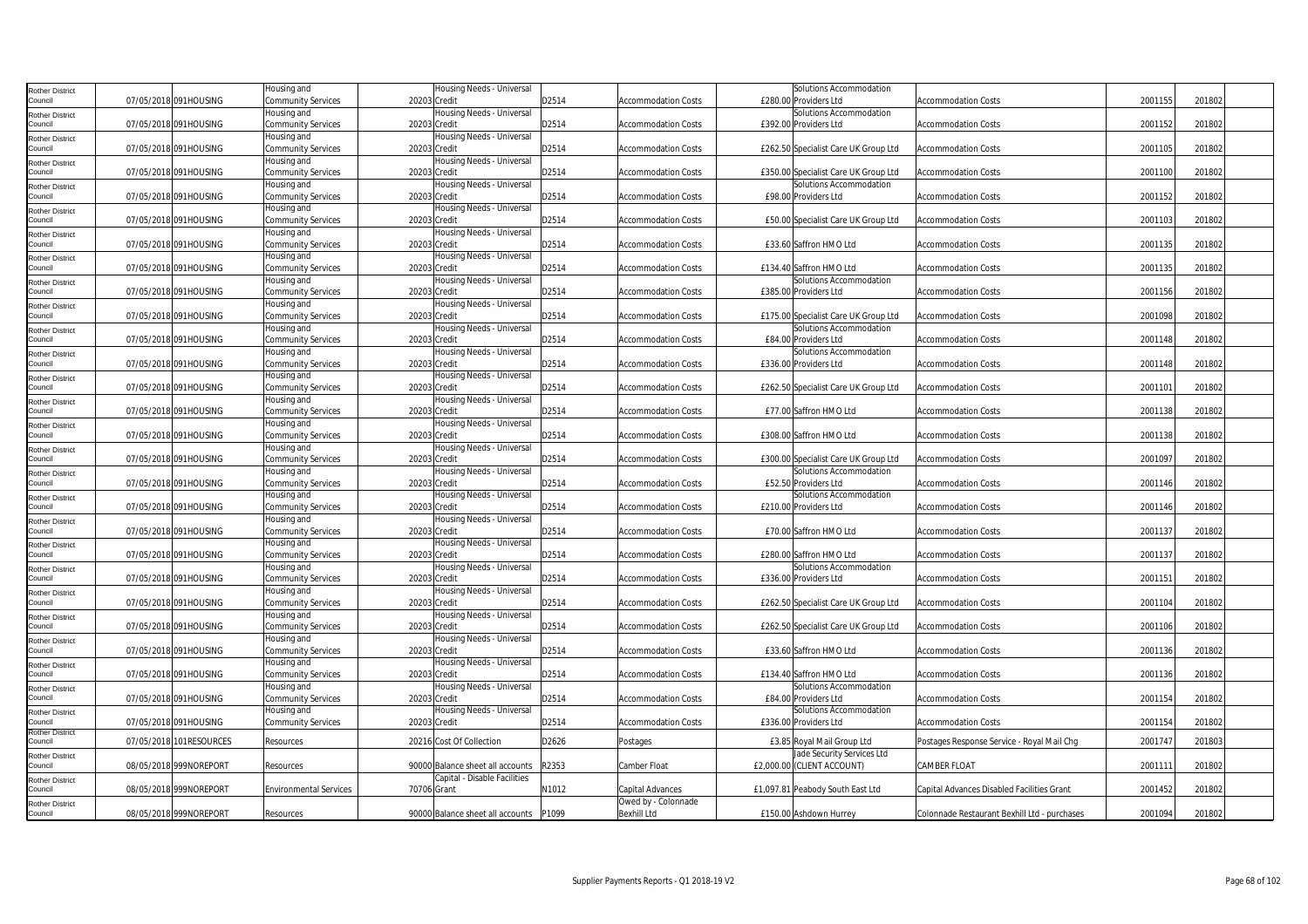| <b>Rother District</b>            |                         | Housing and                       | Housing Needs - Universal                 |       |                            | Solutions Accommodation                          |                                              |         |        |  |
|-----------------------------------|-------------------------|-----------------------------------|-------------------------------------------|-------|----------------------------|--------------------------------------------------|----------------------------------------------|---------|--------|--|
| Council                           | 07/05/2018 091HOUSING   | Community Services                | 20203 Credit                              | D2514 | <b>Accommodation Costs</b> | £280.00 Providers Ltd                            | <b>Accommodation Costs</b>                   | 2001155 | 201802 |  |
| <b>Rother District</b>            |                         | Housing and                       | Housing Needs - Universal                 |       |                            | Solutions Accommodation                          |                                              |         |        |  |
| Council                           | 07/05/2018 091HOUSING   | <b>Community Services</b>         | 20203 Credit                              | D2514 | Accommodation Costs        | £392.00 Providers Ltd                            | Accommodation Costs                          | 2001152 | 201802 |  |
| <b>Rother District</b><br>Council | 07/05/2018 091HOUSING   | Housing and<br>Community Services | Housing Needs - Universal<br>20203 Credit | D2514 | <b>Accommodation Costs</b> | £262.50 Specialist Care UK Group Ltd             | <b>Accommodation Costs</b>                   | 2001105 | 201802 |  |
| <b>Rother District</b>            |                         | Housing and                       | Housing Needs - Universal                 |       |                            |                                                  |                                              |         |        |  |
| Council                           | 07/05/2018 091HOUSING   | Community Services                | 20203 Credit                              | D2514 | <b>Accommodation Costs</b> | £350.00 Specialist Care UK Group Ltd             | <b>Accommodation Costs</b>                   | 2001100 | 201802 |  |
| <b>Rother District</b>            |                         | Housing and                       | Housing Needs - Universal                 |       |                            | Solutions Accommodation                          |                                              |         |        |  |
| Council                           | 07/05/2018 091HOUSING   | Community Services                | 20203 Credit                              | D2514 | Accommodation Costs        | £98.00 Providers Ltd                             | Accommodation Costs                          | 2001152 | 201802 |  |
| <b>Rother District</b>            |                         | Housing and                       | Housing Needs - Universal                 |       |                            |                                                  |                                              |         |        |  |
| Council                           | 07/05/2018 091HOUSING   | Community Services                | 20203 Credit                              | D2514 | <b>Accommodation Costs</b> | £50.00 Specialist Care UK Group Ltd              | <b>Accommodation Costs</b>                   | 2001103 | 201802 |  |
| <b>Rother District</b>            |                         | Housing and                       | Housing Needs - Universal                 |       |                            |                                                  |                                              |         |        |  |
| Council                           | 07/05/2018 091HOUSING   | Community Services                | 20203 Credit                              | D2514 | <b>Accommodation Costs</b> | £33.60 Saffron HMO Ltd                           | <b>Accommodation Costs</b>                   | 2001135 | 201802 |  |
| <b>Rother District</b><br>Council | 07/05/2018 091HOUSING   | Housing and<br>Community Services | Housing Needs - Universal<br>20203 Credit | D2514 | Accommodation Costs        | £134.40 Saffron HMO Ltd                          | <b>Accommodation Costs</b>                   | 2001135 | 201802 |  |
|                                   |                         | Housing and                       | Housing Needs - Universal                 |       |                            | Solutions Accommodation                          |                                              |         |        |  |
| <b>Rother District</b><br>Council | 07/05/2018 091HOUSING   | Community Services                | 20203 Credit                              | D2514 | <b>Accommodation Costs</b> | £385.00 Providers Ltd                            | <b>Accommodation Costs</b>                   | 2001156 | 201802 |  |
| <b>Rother District</b>            |                         | Housing and                       | Housing Needs - Universal                 |       |                            |                                                  |                                              |         |        |  |
| Council                           | 07/05/2018 091HOUSING   | Community Services                | 20203 Credit                              | D2514 | <b>Accommodation Costs</b> | £175.00 Specialist Care UK Group Ltd             | <b>Accommodation Costs</b>                   | 2001098 | 201802 |  |
| <b>Rother District</b>            |                         | Housing and                       | Housing Needs - Universal                 |       |                            | Solutions Accommodation                          |                                              |         |        |  |
| Council                           | 07/05/2018 091HOUSING   | Community Services                | 20203 Credit                              | D2514 | Accommodation Costs        | £84.00 Providers Ltd                             | <b>Accommodation Costs</b>                   | 2001148 | 201802 |  |
| <b>Rother District</b>            |                         | Housing and                       | Housing Needs - Universal                 |       |                            | Solutions Accommodation                          |                                              |         |        |  |
| Council                           | 07/05/2018 091HOUSING   | Community Services                | 20203 Credit                              | D2514 | <b>Accommodation Costs</b> | £336.00 Providers Ltd                            | <b>Accommodation Costs</b>                   | 2001148 | 201802 |  |
| <b>Rother District</b><br>Council | 07/05/2018 091HOUSING   | Housing and<br>Community Services | Housing Needs - Universal<br>20203 Credit | D2514 | <b>Accommodation Costs</b> | £262.50 Specialist Care UK Group Ltd             | <b>Accommodation Costs</b>                   | 2001101 | 201802 |  |
|                                   |                         | Housing and                       | Housing Needs - Universal                 |       |                            |                                                  |                                              |         |        |  |
| <b>Rother District</b><br>Council | 07/05/2018 091HOUSING   | Community Services                | 20203 Credit                              | D2514 | <b>Accommodation Costs</b> | £77.00 Saffron HMO Ltd                           | <b>Accommodation Costs</b>                   | 2001138 | 201802 |  |
| <b>Rother District</b>            |                         | Housing and                       | Housing Needs - Universal                 |       |                            |                                                  |                                              |         |        |  |
| Council                           | 07/05/2018 091HOUSING   | Community Services                | 20203 Credit                              | D2514 | Accommodation Costs        | £308.00 Saffron HMO Ltd                          | <b>Accommodation Costs</b>                   | 2001138 | 201802 |  |
| <b>Rother District</b>            |                         | Housing and                       | Housing Needs - Universal                 |       |                            |                                                  |                                              |         |        |  |
| Council                           | 07/05/2018 091HOUSING   | Community Services                | 20203 Credit                              | D2514 | <b>Accommodation Costs</b> | £300.00 Specialist Care UK Group Ltd             | <b>Accommodation Costs</b>                   | 2001097 | 201802 |  |
| <b>Rother District</b>            |                         | Housing and                       | Housing Needs - Universal                 |       |                            | Solutions Accommodation                          |                                              |         |        |  |
| Council                           | 07/05/2018 091HOUSING   | <b>Community Services</b>         | 20203 Credit                              | D2514 | <b>Accommodation Costs</b> | £52.50 Providers Ltd                             | <b>Accommodation Costs</b>                   | 2001146 | 201802 |  |
| <b>Rother District</b><br>Council | 07/05/2018 091HOUSING   | Housing and<br>Community Services | Housing Needs - Universal<br>20203 Credit | D2514 | Accommodation Costs        | Solutions Accommodation<br>£210.00 Providers Ltd | Accommodation Costs                          | 2001146 | 201802 |  |
|                                   |                         | Housing and                       | Housing Needs - Universal                 |       |                            |                                                  |                                              |         |        |  |
| <b>Rother District</b><br>Council | 07/05/2018 091HOUSING   | Community Services                | 20203 Credit                              | D2514 | <b>Accommodation Costs</b> | £70.00 Saffron HMO Ltd                           | <b>Accommodation Costs</b>                   | 2001137 | 201802 |  |
| <b>Rother District</b>            |                         | Housing and                       | Housing Needs - Universal                 |       |                            |                                                  |                                              |         |        |  |
| Council                           | 07/05/2018 091HOUSING   | Community Services                | 20203 Credit                              | D2514 | <b>Accommodation Costs</b> | £280.00 Saffron HMO Ltd                          | <b>Accommodation Costs</b>                   | 2001137 | 201802 |  |
| <b>Rother District</b>            |                         | Housing and                       | Housing Needs - Universal                 |       |                            | Solutions Accommodation                          |                                              |         |        |  |
| Council                           | 07/05/2018 091HOUSING   | Community Services                | 20203 Credit                              | D2514 | <b>Accommodation Costs</b> | £336.00 Providers Ltd                            | <b>Accommodation Costs</b>                   | 200115  | 201802 |  |
| <b>Rother District</b>            |                         | Housing and                       | Housing Needs - Universal                 |       |                            |                                                  |                                              |         |        |  |
| Council                           | 07/05/2018 091HOUSING   | Community Services                | 20203 Credit                              | D2514 | <b>Accommodation Costs</b> | £262.50 Specialist Care UK Group Ltd             | <b>Accommodation Costs</b>                   | 2001104 | 201802 |  |
| <b>Rother District</b><br>Council | 07/05/2018 091HOUSING   | Housing and<br>Community Services | Housing Needs - Universal<br>20203 Credit | D2514 | Accommodation Costs        | £262.50 Specialist Care UK Group Ltd             | Accommodation Costs                          | 2001106 | 201802 |  |
| <b>Rother District</b>            |                         | Housing and                       | Housing Needs - Universal                 |       |                            |                                                  |                                              |         |        |  |
| Council                           | 07/05/2018 091HOUSING   | Community Services                | 20203 Credit                              | D2514 | <b>Accommodation Costs</b> | £33.60 Saffron HMO Ltd                           | <b>Accommodation Costs</b>                   | 2001136 | 201802 |  |
| <b>Rother District</b>            |                         | Housing and                       | Housing Needs - Universal                 |       |                            |                                                  |                                              |         |        |  |
| Council                           | 07/05/2018 091HOUSING   | Community Services                | 20203 Credit                              | D2514 | <b>Accommodation Costs</b> | £134.40 Saffron HMO Ltd                          | <b>Accommodation Costs</b>                   | 2001136 | 201802 |  |
| <b>Rother District</b>            |                         | Housing and                       | Housing Needs - Universal                 |       |                            | Solutions Accommodation                          |                                              |         |        |  |
| Council                           | 07/05/2018 091HOUSING   | Community Services                | 20203 Credit                              | D2514 | <b>Accommodation Costs</b> | £84.00 Providers Ltd                             | <b>Accommodation Costs</b>                   | 2001154 | 201802 |  |
| <b>Rother District</b>            |                         | Housing and                       | Housing Needs - Universal                 |       |                            | Solutions Accommodation                          |                                              |         |        |  |
| Council<br><b>Rother District</b> | 07/05/2018 091HOUSING   | Community Services                | 20203 Credit                              | D2514 | <b>Accommodation Costs</b> | £336.00 Providers Ltd                            | <b>Accommodation Costs</b>                   | 2001154 | 201802 |  |
| Council                           | 07/05/2018 101RESOURCES | Resources                         | 20216 Cost Of Collection                  | D2626 | Postages                   | £3.85 Royal Mail Group Ltd                       | Postages Response Service - Royal Mail Chg   | 2001747 | 201803 |  |
| <b>Rother District</b>            |                         |                                   |                                           |       |                            | Jade Security Services Ltd                       |                                              |         |        |  |
| Council                           | 08/05/2018 999NOREPORT  | Resources                         | 90000 Balance sheet all accounts          | R2353 | Camber Float               | £2,000.00 (CLIENT ACCOUNT)                       | CAMBER FLOAT                                 | 2001111 | 201802 |  |
| <b>Rother District</b>            |                         |                                   | Capital - Disable Facilities              |       |                            |                                                  |                                              |         |        |  |
| Council                           | 08/05/2018 999NOREPORT  | <b>Environmental Services</b>     | 70706 Grant                               | N1012 | Capital Advances           | £1,097.81 Peabody South East Ltd                 | Capital Advances Disabled Facilities Grant   | 2001452 | 201802 |  |
| <b>Rother District</b>            |                         |                                   |                                           |       | Owed by - Colonnade        |                                                  |                                              |         |        |  |
| Council                           | 08/05/2018 999NOREPORT  | Resources                         | 90000 Balance sheet all accounts          | P1099 | Bexhill Ltd                | £150.00 Ashdown Hurrey                           | Colonnade Restaurant Bexhill Ltd - purchases | 2001094 | 201802 |  |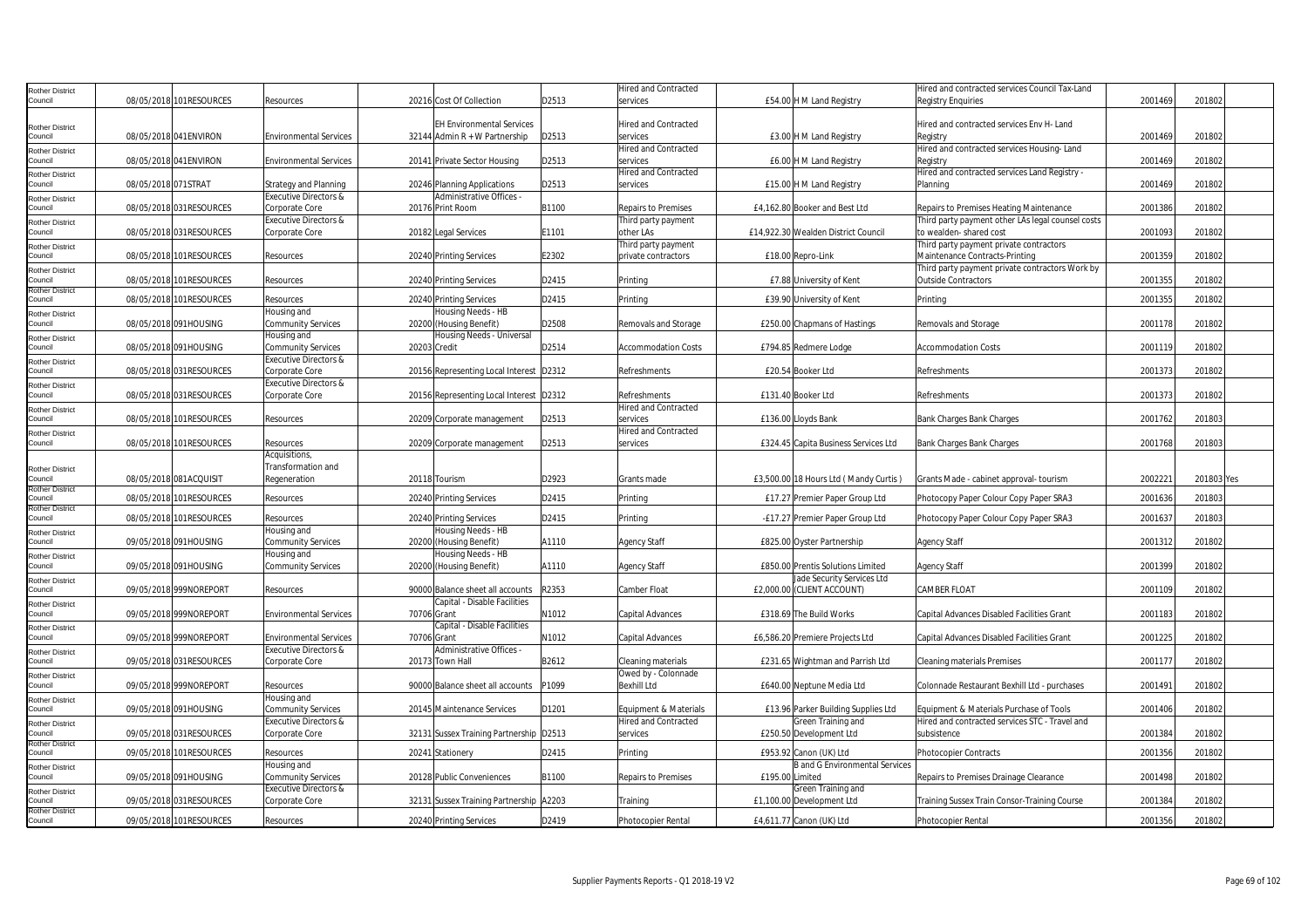| Rother District                   |                          |                                  |             |                                         |       | <b>Hired and Contracted</b>                 |                 |                                       | Hired and contracted services Council Tax-Land            |         |            |  |
|-----------------------------------|--------------------------|----------------------------------|-------------|-----------------------------------------|-------|---------------------------------------------|-----------------|---------------------------------------|-----------------------------------------------------------|---------|------------|--|
| Council                           | 08/05/2018 101RESOURCES  | Resources                        |             | 20216 Cost Of Collection                | D2513 | services                                    |                 | £54.00 H M Land Registry              | Registry Enguiries                                        | 2001469 | 201802     |  |
|                                   |                          |                                  |             |                                         |       |                                             |                 |                                       |                                                           |         |            |  |
| Rother District                   |                          |                                  |             | <b>EH Environmental Services</b>        |       | <b>Hired and Contracted</b>                 |                 |                                       | Hired and contracted services Env H- Land                 |         |            |  |
| Council                           | 08/05/2018 041ENVIRON    | <b>Environmental Services</b>    |             | 32144 Admin R + W Partnership           | D2513 | services                                    |                 | £3.00 H M Land Registry               | Registry                                                  | 2001469 | 201802     |  |
| <b>Rother District</b><br>Council | 08/05/2018 041 ENVIRON   | <b>Environmental Services</b>    |             | 20141 Private Sector Housing            | D2513 | <b>Hired and Contracted</b><br>services     |                 |                                       | Hired and contracted services Housing-Land                | 2001469 | 201802     |  |
|                                   |                          |                                  |             |                                         |       | <b>Hired and Contracted</b>                 |                 | £6.00 H M Land Registry               | Registry<br>Hired and contracted services Land Registry - |         |            |  |
| Rother District<br>Council        | 08/05/2018 071STRAT      | <b>Strategy and Planning</b>     |             | 20246 Planning Applications             | D2513 | services                                    |                 | £15.00 H M Land Registry              | Planning                                                  | 200146  | 201802     |  |
| Rother District                   |                          | Executive Directors &            |             | Administrative Offices -                |       |                                             |                 |                                       |                                                           |         |            |  |
| Council                           | 08/05/2018 031RESOURCES  | Corporate Core                   |             | 20176 Print Room                        | B1100 | Repairs to Premises                         |                 | £4,162.80 Booker and Best Ltd         | Repairs to Premises Heating Maintenance                   | 2001386 | 201802     |  |
| <b>Rother District</b>            |                          | Executive Directors &            |             |                                         |       | Third party payment                         |                 |                                       | Third party payment other LAs legal counsel costs         |         |            |  |
| Council                           | 08/05/2018 031 RESOURCES | Corporate Core                   |             | 20182 Legal Services                    | E1101 | other LAs                                   |                 | £14,922.30 Wealden District Council   | to wealden- shared cost                                   | 2001093 | 201802     |  |
| <b>Rother District</b>            |                          |                                  |             |                                         |       | Third party payment                         |                 |                                       | Third party payment private contractors                   |         |            |  |
| Council                           | 08/05/2018 101RESOURCES  | Resources                        |             | 20240 Printing Services                 | E2302 | private contractors                         |                 | £18.00 Repro-Link                     | Maintenance Contracts-Printing                            | 2001359 | 201802     |  |
| <b>Rother District</b>            |                          |                                  |             |                                         |       |                                             |                 |                                       | Third party payment private contractors Work by           |         |            |  |
| council<br>Rother District        | 08/05/2018 101 RESOURCES | Resources                        |             | 20240 Printing Services                 | D2415 | Printina                                    |                 | £7.88 University of Kent              | <b>Outside Contractors</b>                                | 2001355 | 201802     |  |
| ouncil                            | 08/05/2018 101RESOURCES  | Resources                        |             | 20240 Printing Services                 | D2415 | Printina                                    |                 | £39.90 University of Kent             | Printina                                                  | 2001355 | 201802     |  |
| Rother District                   |                          | Housing and                      |             | Housing Needs - HB                      |       |                                             |                 |                                       |                                                           |         |            |  |
| Council                           | 08/05/2018 091HOUSING    | Community Services               |             | 20200 (Housing Benefit)                 | D2508 | Removals and Storage                        |                 | £250.00 Chapmans of Hastings          | Removals and Storage                                      | 200117  | 201802     |  |
| Rother District                   |                          | Housing and                      |             | Housing Needs - Universal               |       |                                             |                 |                                       |                                                           |         |            |  |
| Council                           | 08/05/2018 091HOUSING    | Community Services               |             | 20203 Credit                            | D2514 | <b>Accommodation Costs</b>                  |                 | £794.85 Redmere Lodge                 | <b>Accommodation Costs</b>                                | 200111  | 201802     |  |
| Rother District                   |                          | <b>Executive Directors &amp;</b> |             |                                         |       |                                             |                 |                                       |                                                           |         |            |  |
| Council                           | 08/05/2018 031 RESOURCES | Corporate Core                   |             | 20156 Representing Local Interest D2312 |       | Refreshments                                |                 | £20.54 Booker Ltd                     | Refreshments                                              | 2001373 | 201802     |  |
| <b>Rother District</b>            |                          | <b>Executive Directors &amp;</b> |             |                                         |       |                                             |                 |                                       |                                                           |         |            |  |
| Council                           | 08/05/2018 031 RESOURCES | Corporate Core                   |             | 20156 Representing Local Interest D2312 |       | Refreshments<br><b>Hired and Contracted</b> |                 | £131.40 Booker Ltd                    | Refreshments                                              | 2001373 | 201802     |  |
| <b>Rother District</b><br>Council | 08/05/2018 101RESOURCES  | Resources                        |             | 20209 Corporate management              | D2513 | services                                    |                 | £136.00 Lloyds Bank                   | Bank Charges Bank Charges                                 | 2001762 | 201803     |  |
|                                   |                          |                                  |             |                                         |       | <b>Hired and Contracted</b>                 |                 |                                       |                                                           |         |            |  |
| <b>Rother District</b><br>Council | 08/05/2018 101RESOURCES  | Resources                        |             | 20209 Corporate management              | D2513 | services                                    |                 | £324.45 Capita Business Services Ltd  | Bank Charges Bank Charges                                 | 2001768 | 201803     |  |
|                                   |                          | Acquisitions,                    |             |                                         |       |                                             |                 |                                       |                                                           |         |            |  |
| <b>Rother District</b>            |                          | Transformation and               |             |                                         |       |                                             |                 |                                       |                                                           |         |            |  |
| Council                           | 08/05/2018 081ACQUISIT   | Regeneration                     |             | 20118 Tourism                           | D2923 | Grants made                                 |                 | £3,500.00 18 Hours Ltd (Mandy Curtis) | Grants Made - cabinet approval- tourism                   | 2002221 | 201803 Yes |  |
| Rother District                   |                          |                                  |             |                                         |       |                                             |                 |                                       |                                                           |         |            |  |
| Council<br>Rother District        | 08/05/2018 101RESOURCES  | Resources                        |             | 20240 Printing Services                 | D2415 | Printing                                    |                 | £17.27 Premier Paper Group Ltd        | Photocopy Paper Colour Copy Paper SRA3                    | 2001636 | 201803     |  |
| Council                           | 08/05/2018 101RESOURCES  | Resources                        |             | 20240 Printing Services                 | D2415 | Printing                                    |                 | -£17.27 Premier Paper Group Ltd       | Photocopy Paper Colour Copy Paper SRA3                    | 2001637 | 201803     |  |
| Rother District                   |                          | Housing and                      |             | Housing Needs - HB                      |       |                                             |                 |                                       |                                                           |         |            |  |
| Council                           | 09/05/2018 091HOUSING    | Community Services               |             | 20200 (Housing Benefit)                 | A1110 | <b>Agency Staff</b>                         |                 | £825.00 Oyster Partnership            | Agency Staff                                              | 200131  | 201802     |  |
| Rother District                   |                          | Housing and                      |             | Housing Needs - HB                      |       |                                             |                 |                                       |                                                           |         |            |  |
| Council                           | 09/05/2018 091HOUSING    | Community Services               |             | 20200 (Housing Benefit)                 | A1110 | <b>Agency Staff</b>                         |                 | £850.00 Prentis Solutions Limited     | Agency Staff                                              | 2001399 | 201802     |  |
| <b>Rother District</b>            |                          |                                  |             |                                         |       |                                             |                 | Jade Security Services Ltd            |                                                           |         |            |  |
| Council                           | 09/05/2018 999NOREPORT   | Resources                        |             | 90000 Balance sheet all accounts        | R2353 | Camber Float                                |                 | £2,000.00 (CLIENT ACCOUNT)            | CAMBER FLOAT                                              | 2001109 | 201802     |  |
| Rother District<br>Council        | 09/05/2018 999NOREPORT   | <b>Environmental Services</b>    | 70706 Grant | Capital - Disable Facilities            | N1012 | Capital Advances                            |                 | £318.69 The Build Works               | Capital Advances Disabled Facilities Grant                | 200118  | 201802     |  |
|                                   |                          |                                  |             | Capital - Disable Facilities            |       |                                             |                 |                                       |                                                           |         |            |  |
| Rother District<br>Council        | 09/05/2018 999NOREPORT   | <b>Environmental Services</b>    | 70706 Grant |                                         | N1012 | Capital Advances                            |                 | £6,586.20 Premiere Projects Ltd       | Capital Advances Disabled Facilities Grant                | 2001225 | 201802     |  |
| <b>Rother District</b>            |                          | Executive Directors &            |             | Administrative Offices -                |       |                                             |                 |                                       |                                                           |         |            |  |
| Council                           | 09/05/2018 031RESOURCES  | Corporate Core                   |             | 20173 Town Hall                         | B2612 | Cleaning materials                          |                 | £231.65 Wightman and Parrish Ltd      | Cleaning materials Premises                               | 200117  | 201802     |  |
| Rother District                   |                          |                                  |             |                                         |       | Owed by - Colonnade                         |                 |                                       |                                                           |         |            |  |
| Council                           | 09/05/2018 999NOREPORT   | Resources                        |             | 90000 Balance sheet all accounts        | P1099 | <b>Bexhill Ltd</b>                          |                 | £640.00 Neptune Media Ltd             | Colonnade Restaurant Bexhill Ltd - purchases              | 2001491 | 201802     |  |
| Rother District                   |                          | Housing and                      |             |                                         |       |                                             |                 |                                       |                                                           |         |            |  |
| council                           | 09/05/2018 091HOUSING    | <b>Community Services</b>        |             | 20145 Maintenance Services              | D1201 | Equipment & Materials                       |                 | £13.96 Parker Building Supplies Ltd   | Equipment & Materials Purchase of Tools                   | 2001406 | 201802     |  |
| Rother District                   |                          | <b>Executive Directors &amp;</b> |             |                                         |       | <b>Hired and Contracted</b>                 |                 | Green Training and                    | Hired and contracted services STC - Travel and            |         |            |  |
| Council                           | 09/05/2018 031RESOURCES  | Corporate Core                   |             | 32131 Sussex Training Partnership D2513 |       | services                                    |                 | £250.50 Development Ltd               | subsistence                                               | 2001384 | 201802     |  |
| Rother District<br>Council        | 09/05/2018 101RESOURCES  | Resources                        |             | 20241 Stationery                        | D2415 | Printing                                    |                 | £953.92 Canon (UK) Ltd                | Photocopier Contracts                                     | 200135  | 201802     |  |
| Rother District                   |                          | Housing and                      |             |                                         |       |                                             |                 | <b>B</b> and G Environmental Services |                                                           |         |            |  |
| Council                           | 09/05/2018 091HOUSING    | <b>Community Services</b>        |             | 20128 Public Conveniences               | B1100 | <b>Repairs to Premises</b>                  | £195.00 Limited |                                       | Repairs to Premises Drainage Clearance                    | 2001498 | 201802     |  |
| Rother District                   |                          | <b>Executive Directors &amp;</b> |             |                                         |       |                                             |                 | Green Training and                    |                                                           |         |            |  |
| Council                           | 09/05/2018 031RESOURCES  | Corporate Core                   |             | 32131 Sussex Training Partnership A2203 |       | Training                                    |                 | £1,100.00 Development Ltd             | Training Sussex Train Consor-Training Course              | 2001384 | 201802     |  |
| <b>Rother District</b>            |                          |                                  |             |                                         |       |                                             |                 |                                       |                                                           |         |            |  |
| Council                           | 09/05/2018 101RESOURCES  | Resources                        |             | 20240 Printing Services                 | D2419 | Photocopier Rental                          |                 | £4,611.77 Canon (UK) Ltd              | Photocopier Rental                                        | 2001356 | 201802     |  |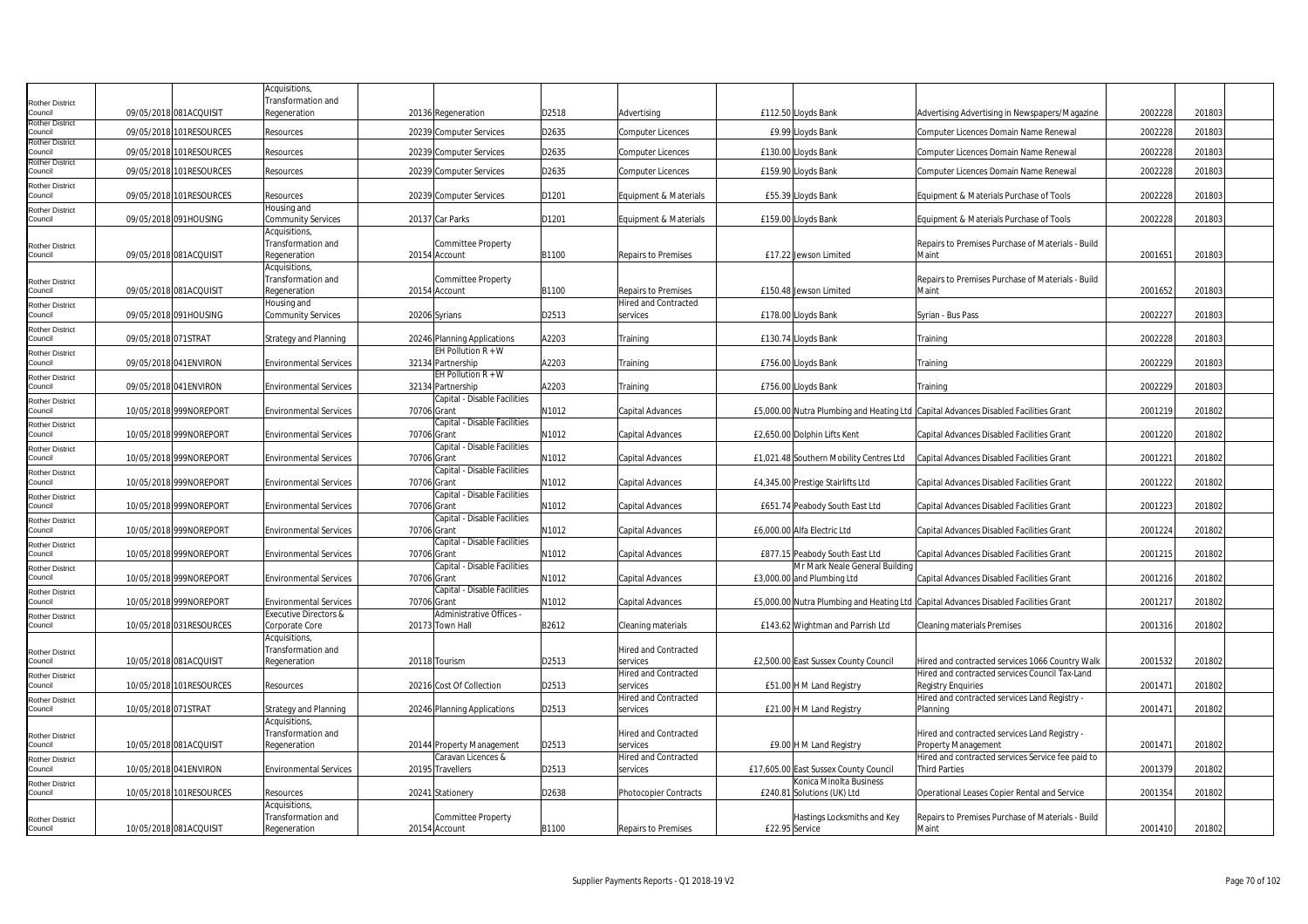|                                   |                         | Acquisitions,                            |               |                              |       |                                  |                                                                                       |                                                            |         |        |
|-----------------------------------|-------------------------|------------------------------------------|---------------|------------------------------|-------|----------------------------------|---------------------------------------------------------------------------------------|------------------------------------------------------------|---------|--------|
| <b>Rother District</b>            |                         | Transformation and                       |               |                              |       |                                  |                                                                                       |                                                            |         |        |
| Council                           | 09/05/2018 081ACQUISIT  | Regeneration                             |               | 20136 Regeneration           | D2518 | Advertising                      | £112.50 Lloyds Bank                                                                   | Advertising Advertising in Newspapers/Magazine             | 2002228 | 201803 |
| <b>Rother District</b><br>Council | 09/05/2018 101RESOURCES | Resources                                |               | 20239 Computer Services      | D2635 | <b>Computer Licences</b>         | £9.99 Lloyds Bank                                                                     | Computer Licences Domain Name Renewal                      | 2002228 | 201803 |
| <b>Rother District</b>            |                         |                                          |               |                              |       |                                  |                                                                                       |                                                            |         |        |
| Council                           | 09/05/2018 101RESOURCES | Resources                                |               | 20239 Computer Services      | D2635 | <b>Computer Licences</b>         | £130.00 Lloyds Bank                                                                   | Computer Licences Domain Name Renewal                      | 2002228 | 201803 |
| <b>Rother District</b>            |                         |                                          |               |                              |       |                                  |                                                                                       |                                                            |         |        |
| Council                           | 09/05/2018 101RESOURCES | Resources                                |               | 20239 Computer Services      | D2635 | Computer Licences                | £159.90 Lloyds Bank                                                                   | Computer Licences Domain Name Renewal                      | 2002228 | 201803 |
| <b>Rother District</b>            |                         |                                          |               |                              |       |                                  |                                                                                       |                                                            |         |        |
| Council                           | 09/05/2018 101RESOURCES | Resources                                |               | 20239 Computer Services      | D1201 | Equipment & Materials            | £55.39 Lloyds Bank                                                                    | Equipment & Materials Purchase of Tools                    | 2002228 | 201803 |
| Rother District                   |                         | Housing and                              |               |                              |       |                                  |                                                                                       |                                                            |         |        |
| Council                           | 09/05/2018 091HOUSING   | <b>Community Services</b>                |               | 20137 Car Parks              | D1201 | Equipment & Materials            | £159.00 Lloyds Bank                                                                   | Equipment & Materials Purchase of Tools                    | 2002228 | 201803 |
|                                   |                         | Acquisitions,                            |               |                              |       |                                  |                                                                                       |                                                            |         |        |
| <b>Rother District</b>            |                         | Transformation and                       |               | Committee Property           |       |                                  |                                                                                       | Repairs to Premises Purchase of Materials - Build<br>Maint |         |        |
| Council                           | 09/05/2018 081ACQUISIT  | Regeneration                             |               | 20154 Account                | B1100 | Repairs to Premises              | £17.22 Jewson Limited                                                                 |                                                            | 2001651 | 201803 |
|                                   |                         | Acquisitions,<br>Transformation and      |               | Committee Property           |       |                                  |                                                                                       | Repairs to Premises Purchase of Materials - Build          |         |        |
| <b>Rother District</b>            | 09/05/2018 081ACQUISIT  |                                          |               |                              | B1100 |                                  |                                                                                       | Maint                                                      | 2001652 | 201803 |
| Council                           |                         | Regeneration                             |               | 20154 Account                |       | Repairs to Premises              | £150.48 Jewson Limited                                                                |                                                            |         |        |
| <b>Rother District</b><br>Council | 09/05/2018 091HOUSING   | Housing and<br><b>Community Services</b> | 20206 Syrians |                              | D2513 | Hired and Contracted<br>services | £178.00 Lloyds Bank                                                                   | Syrian - Bus Pass                                          | 2002227 | 201803 |
|                                   |                         |                                          |               |                              |       |                                  |                                                                                       |                                                            |         |        |
| <b>Rother District</b><br>Council | 09/05/2018 071STRAT     | <b>Strategy and Planning</b>             |               | 20246 Planning Applications  | A2203 | Training                         | £130.74 Lloyds Bank                                                                   | Training                                                   | 2002228 | 201803 |
|                                   |                         |                                          |               | EH Pollution $R + W$         |       |                                  |                                                                                       |                                                            |         |        |
| <b>Rother District</b><br>Council | 09/05/2018 041 ENVIRON  | <b>Environmental Services</b>            |               | 32134 Partnership            | A2203 | Training                         | £756.00 Lloyds Bank                                                                   | Training                                                   | 2002229 | 201803 |
|                                   |                         |                                          |               | EH Pollution R + W           |       |                                  |                                                                                       |                                                            |         |        |
| Rother District<br>Council        | 09/05/2018 041 ENVIRON  | <b>Environmental Services</b>            |               | 32134 Partnership            | A2203 | Training                         | £756.00 Lloyds Bank                                                                   | Training                                                   | 2002229 | 201803 |
| <b>Rother District</b>            |                         |                                          |               | Capital - Disable Facilities |       |                                  |                                                                                       |                                                            |         |        |
| Council                           | 10/05/2018 999NOREPORT  | <b>Environmental Services</b>            | 70706 Grant   |                              | N1012 | Capital Advances                 | £5,000.00 Nutra Plumbing and Heating Ltd Capital Advances Disabled Facilities Grant   |                                                            | 2001219 | 201802 |
| <b>Rother District</b>            |                         |                                          |               | Capital - Disable Facilities |       |                                  |                                                                                       |                                                            |         |        |
| Council                           | 10/05/2018 999NOREPORT  | <b>Environmental Services</b>            | 70706 Grant   |                              | N1012 | Capital Advances                 | £2,650.00 Dolphin Lifts Kent                                                          | Capital Advances Disabled Facilities Grant                 | 2001220 | 201802 |
| <b>Rother District</b>            |                         |                                          |               | Capital - Disable Facilities |       |                                  |                                                                                       |                                                            |         |        |
| Council                           | 10/05/2018 999NOREPORT  | <b>Environmental Services</b>            | 70706 Grant   |                              | N1012 | Capital Advances                 | £1,021.48 Southern Mobility Centres Ltd                                               | Capital Advances Disabled Facilities Grant                 | 2001221 | 201802 |
| <b>Rother District</b>            |                         |                                          |               | Capital - Disable Facilities |       |                                  |                                                                                       |                                                            |         |        |
| Council                           | 10/05/2018 999NOREPORT  | <b>Environmental Services</b>            | 70706 Grant   |                              | N1012 | Capital Advances                 | £4,345.00 Prestige Stairlifts Ltd                                                     | Capital Advances Disabled Facilities Grant                 | 2001222 | 201802 |
| Rother District                   |                         |                                          |               | Capital - Disable Facilities |       |                                  |                                                                                       |                                                            |         |        |
| Council                           | 10/05/2018 999NOREPORT  | <b>Environmental Services</b>            | 70706 Grant   |                              | V1012 | Capital Advances                 | £651.74 Peabody South East Ltd                                                        | Capital Advances Disabled Facilities Grant                 | 2001223 | 201802 |
| <b>Rother District</b>            |                         |                                          |               | Capital - Disable Facilities |       |                                  |                                                                                       |                                                            |         |        |
| Council                           | 10/05/2018 999NOREPORT  | <b>Environmental Services</b>            | 70706 Grant   |                              | N1012 | Capital Advances                 | £6,000.00 Alfa Electric Ltd                                                           | Capital Advances Disabled Facilities Grant                 | 2001224 | 201802 |
| Rother District                   |                         |                                          |               | Capital - Disable Facilities |       |                                  |                                                                                       |                                                            |         |        |
| Council                           | 10/05/2018 999NOREPORT  | <b>Environmental Services</b>            | 70706 Grant   |                              | N1012 | Capital Advances                 | £877.15 Peabody South East Ltd                                                        | Capital Advances Disabled Facilities Grant                 | 2001215 | 201802 |
| <b>Rother District</b>            |                         |                                          |               | Capital - Disable Facilities |       |                                  | Mr Mark Neale General Building                                                        |                                                            |         |        |
| Council                           | 10/05/2018 999NOREPORT  | <b>Environmental Services</b>            | 70706 Grant   |                              | N1012 | Capital Advances                 | £3,000.00 and Plumbing Ltd                                                            | Capital Advances Disabled Facilities Grant                 | 2001216 | 201802 |
| <b>Rother District</b>            |                         |                                          |               | Capital - Disable Facilities |       |                                  |                                                                                       |                                                            |         |        |
| Council                           | 10/05/2018 999NOREPORT  | <b>Environmental Services</b>            | 70706 Grant   |                              | N1012 | Capital Advances                 | £5,000.00 Nutra Plumbing and Heating Ltd   Capital Advances Disabled Facilities Grant |                                                            | 2001217 | 201802 |
| <b>Rother District</b>            |                         | <b>Executive Directors &amp;</b>         |               | Administrative Offices       |       |                                  |                                                                                       |                                                            |         |        |
| Council                           | 10/05/2018 031RESOURCES | Corporate Core                           |               | 20173 Town Hall              | B2612 | Cleaning materials               | £143.62 Wightman and Parrish Ltd                                                      | Cleaning materials Premises                                | 2001316 | 201802 |
|                                   |                         | Acquisitions,                            |               |                              |       |                                  |                                                                                       |                                                            |         |        |
| <b>Rother District</b>            |                         | Transformation and                       |               |                              |       | <b>Hired and Contracted</b>      |                                                                                       |                                                            |         |        |
| Council                           | 10/05/2018 081ACQUISIT  | Regeneration                             |               | 20118 Tourism                | D2513 | services                         | £2,500.00 East Sussex County Council                                                  | Hired and contracted services 1066 Country Walk            | 2001532 | 201802 |
| <b>Rother District</b>            |                         |                                          |               |                              |       | <b>Hired and Contracted</b>      |                                                                                       | Hired and contracted services Council Tax-Land             |         |        |
| Council                           | 10/05/2018 101RESOURCES | Resources                                |               | 20216 Cost Of Collection     | D2513 | services                         | £51.00 H M Land Registry                                                              | <b>Registry Enquiries</b>                                  | 2001471 | 201802 |
| <b>Rother District</b>            |                         |                                          |               |                              |       | <b>Hired and Contracted</b>      |                                                                                       | Hired and contracted services Land Registry -              |         |        |
| Council                           | 10/05/2018 071STRAT     | Strategy and Planning                    |               | 20246 Planning Applications  | D2513 | services                         | £21.00 H M Land Registry                                                              | Planning                                                   | 2001471 | 201802 |
|                                   |                         | Acquisitions,                            |               |                              |       |                                  |                                                                                       |                                                            |         |        |
| <b>Rother District</b><br>Council |                         | Transformation and                       |               |                              |       | <b>Hired and Contracted</b>      |                                                                                       | Hired and contracted services Land Registry -              |         |        |
|                                   | 10/05/2018 081ACQUISIT  | Regeneration                             |               | 20144 Property Management    | D2513 | services                         | £9.00 H M Land Registry                                                               | <b>Property Management</b>                                 | 2001471 | 201802 |
| Rother District                   |                         |                                          |               | Caravan Licences &           |       | <b>Hired and Contracted</b>      |                                                                                       | Hired and contracted services Service fee paid to          |         |        |
| Council                           | 10/05/2018 041 ENVIRON  | <b>Environmental Services</b>            |               | 20195 Travellers             | D2513 | services                         | £17,605.00 East Sussex County Council                                                 | Third Parties                                              | 2001379 | 201802 |
| <b>Rother District</b><br>Council | 10/05/2018 101RESOURCES | Resources                                |               | 20241 Stationery             | D2638 |                                  | Konica Minolta Business<br>£240.81 Solutions (UK) Ltd                                 | Operational Leases Copier Rental and Service               | 2001354 | 201802 |
|                                   |                         | Acquisitions,                            |               |                              |       | Photocopier Contracts            |                                                                                       |                                                            |         |        |
|                                   |                         | Transformation and                       |               | Committee Property           |       |                                  | Hastings Locksmiths and Key                                                           | Repairs to Premises Purchase of Materials - Build          |         |        |
| <b>Rother District</b><br>Council | 10/05/2018 081ACQUISIT  | Regeneration                             |               | 20154 Account                | B1100 | Repairs to Premises              | £22.95 Service                                                                        | Maint                                                      | 2001410 | 201802 |
|                                   |                         |                                          |               |                              |       |                                  |                                                                                       |                                                            |         |        |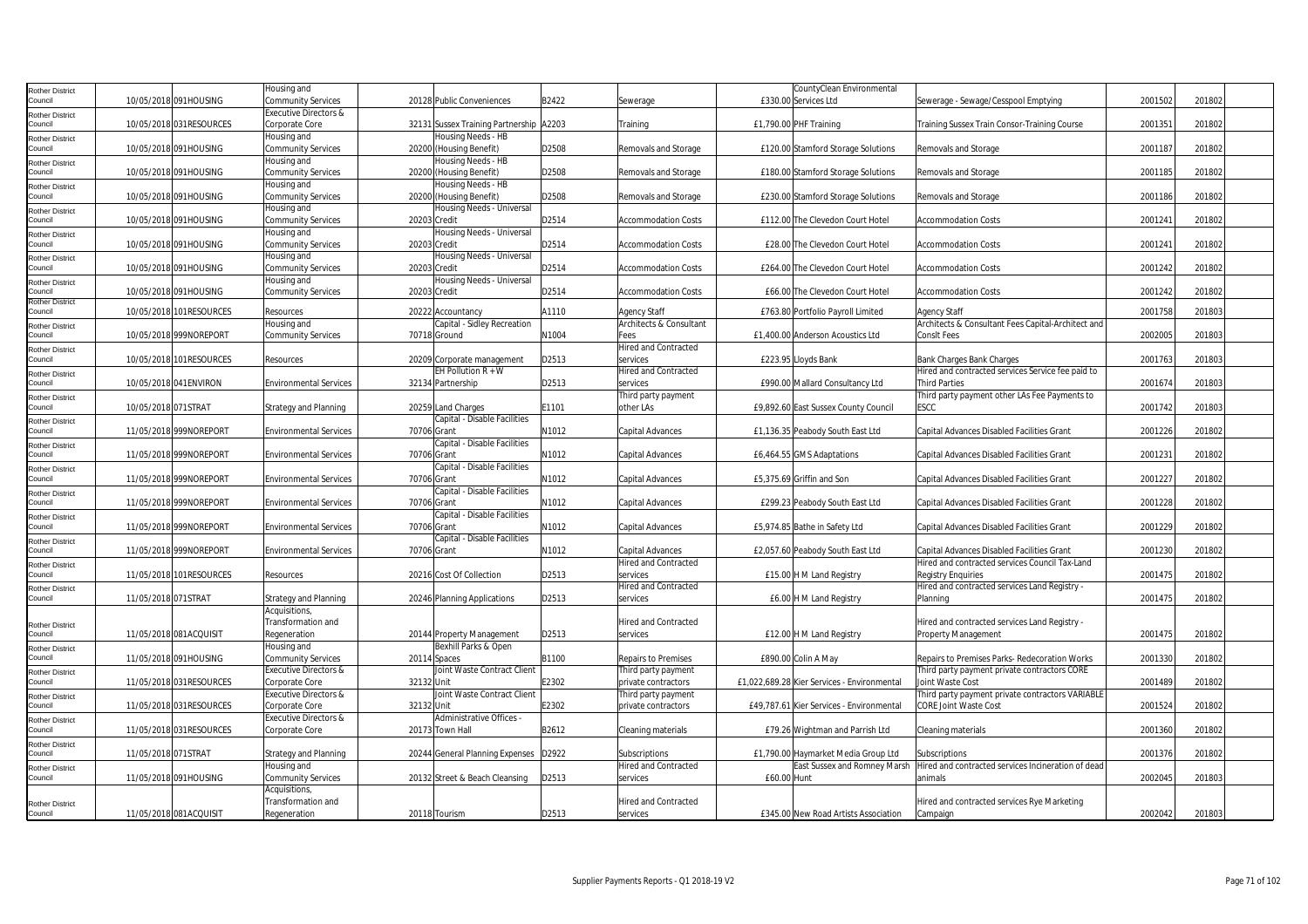| Rother District                   |                     |                          | Housing and                      |                                         |       |                             | CountyClean Environmental                   |                                                    |         |        |
|-----------------------------------|---------------------|--------------------------|----------------------------------|-----------------------------------------|-------|-----------------------------|---------------------------------------------|----------------------------------------------------|---------|--------|
| Council                           |                     | 10/05/2018 091HOUSING    | <b>Community Services</b>        | 20128 Public Conveniences               | B2422 | Sewerage                    | £330.00 Services Ltd                        | Sewerage - Sewage/Cesspool Emptying                | 2001502 | 201802 |
|                                   |                     |                          | <b>Executive Directors &amp;</b> |                                         |       |                             |                                             |                                                    |         |        |
| Rother District<br>Council        |                     | 10/05/2018 031 RESOURCES | Corporate Core                   | 32131 Sussex Training Partnership A2203 |       | Training                    | £1.790.00 PHF Training                      | Training Sussex Train Consor-Training Course       | 200135  | 201802 |
|                                   |                     |                          |                                  | Housing Needs - HB                      |       |                             |                                             |                                                    |         |        |
| <b>Rother District</b>            |                     |                          | Housing and                      |                                         | D2508 |                             |                                             |                                                    | 2001187 | 201802 |
| Council                           |                     | 10/05/2018 091HOUSING    | <b>Community Services</b>        | 20200 (Housing Benefit)                 |       | Removals and Storage        | £120.00 Stamford Storage Solutions          | Removals and Storage                               |         |        |
| Rother District                   |                     |                          | Housing and                      | Housing Needs - HB                      |       |                             |                                             |                                                    |         |        |
| Council                           |                     | 10/05/2018 091HOUSING    | <b>Community Services</b>        | 20200 (Housing Benefit)                 | D2508 | Removals and Storage        | £180.00 Stamford Storage Solutions          | Removals and Storage                               | 2001185 | 201802 |
| Rother District                   |                     |                          | Housing and                      | Housing Needs - HB                      |       |                             |                                             |                                                    |         |        |
| Council                           |                     | 10/05/2018 091HOUSING    | <b>Community Services</b>        | 20200 (Housing Benefit)                 | D2508 | Removals and Storage        | £230.00 Stamford Storage Solutions          | Removals and Storage                               | 2001186 | 201802 |
| Rother District                   |                     |                          | Housing and                      | Housing Needs - Universal               |       |                             |                                             |                                                    |         |        |
| Council                           |                     | 10/05/2018 091HOUSING    | <b>Community Services</b>        | 20203 Credit                            | D2514 | <b>Accommodation Costs</b>  | £112.00 The Clevedon Court Hotel            | <b>Accommodation Costs</b>                         | 2001241 | 201802 |
| Rother District                   |                     |                          | Housing and                      | Housing Needs - Universal               |       |                             |                                             |                                                    |         |        |
| Council                           |                     | 10/05/2018 091HOUSING    | <b>Community Services</b>        | 20203 Credit                            | D2514 | <b>Accommodation Costs</b>  | £28.00 The Clevedon Court Hotel             | <b>Accommodation Costs</b>                         | 200124  | 201802 |
| Rother District                   |                     |                          | Housing and                      | Housing Needs - Universal               |       |                             |                                             |                                                    |         |        |
| Council                           |                     | 10/05/2018 091HOUSING    | <b>Community Services</b>        | 20203 Credit                            | D2514 | <b>Accommodation Costs</b>  | £264.00 The Clevedon Court Hotel            | <b>Accommodation Costs</b>                         | 2001242 | 201802 |
| Rother District                   |                     |                          | Housing and                      | Housing Needs - Universal               |       |                             |                                             |                                                    |         |        |
| Council                           |                     | 10/05/2018 091HOUSING    | <b>Community Services</b>        | 20203 Credit                            | D2514 | <b>Accommodation Costs</b>  | £66.00 The Clevedon Court Hotel             | <b>Accommodation Costs</b>                         | 2001242 | 201802 |
| Rother District                   |                     |                          |                                  |                                         |       |                             |                                             |                                                    |         |        |
| Council                           |                     | 10/05/2018 101RESOURCES  | Resources                        | 20222 Accountancy                       | A1110 | Agency Staff                | £763.80 Portfolio Payroll Limited           | Agency Staff                                       | 2001758 | 201803 |
| Rother District                   |                     |                          | Housing and                      | Capital - Sidley Recreation             |       | Architects & Consultant     |                                             | Architects & Consultant Fees Capital-Architect and |         |        |
| Council                           |                     | 10/05/2018 999NOREPORT   | <b>Community Services</b>        | 70718 Ground                            | N1004 | Fees                        | £1,400.00 Anderson Acoustics Ltd            | ConsIt Fees                                        | 2002005 | 201803 |
| Rother District                   |                     |                          |                                  |                                         |       | <b>Hired and Contracted</b> |                                             |                                                    |         |        |
| Council                           |                     | 10/05/2018 101RESOURCES  | Resources                        | 20209 Corporate management              | D2513 | services                    | £223.95 Lloyds Bank                         | Bank Charges Bank Charges                          | 2001763 | 201803 |
|                                   |                     |                          |                                  | EH Pollution $R + W$                    |       | Hired and Contracted        |                                             | Hired and contracted services Service fee paid to  |         |        |
| Rother District<br>Council        |                     | 10/05/2018 041 ENVIRON   | <b>Environmental Services</b>    | 32134 Partnership                       | D2513 | services                    | £990.00 Mallard Consultancy Ltd             |                                                    | 2001674 | 201803 |
|                                   |                     |                          |                                  |                                         |       |                             |                                             | Third Parties                                      |         |        |
| <b>Rother District</b>            |                     |                          |                                  |                                         |       | Third party payment         |                                             | Third party payment other LAs Fee Payments to      |         |        |
| Council                           | 10/05/2018 071STRAT |                          | <b>Strategy and Planning</b>     | 20259 Land Charges                      | E1101 | other LAs                   | £9,892.60 East Sussex County Council        | ESCC                                               | 2001742 | 201803 |
| <b>Rother District</b>            |                     |                          |                                  | Capital - Disable Facilities            |       |                             |                                             |                                                    |         |        |
| ouncil                            |                     | 11/05/2018 999NOREPORT   | <b>Environmental Services</b>    | 70706 Grant                             | N1012 | Capital Advances            | £1,136.35 Peabody South East Ltd            | Capital Advances Disabled Facilities Grant         | 2001226 | 201802 |
| Rother District                   |                     |                          |                                  | Capital - Disable Facilities            |       |                             |                                             |                                                    |         |        |
| Council                           |                     | 11/05/2018 999NOREPORT   | <b>Environmental Services</b>    | 70706 Grant                             | N1012 | Capital Advances            | £6,464.55 GMS Adaptations                   | Capital Advances Disabled Facilities Grant         | 2001231 | 201802 |
| Rother District                   |                     |                          |                                  | Capital - Disable Facilities            |       |                             |                                             |                                                    |         |        |
| Council                           |                     | 11/05/2018 999NOREPORT   | <b>Environmental Services</b>    | 70706 Grant                             | N1012 | Capital Advances            | £5.375.69 Griffin and Son                   | Capital Advances Disabled Facilities Grant         | 2001227 | 201802 |
| Rother District                   |                     |                          |                                  | Capital - Disable Facilities            |       |                             |                                             |                                                    |         |        |
| Council                           |                     | 11/05/2018 999NOREPORT   | <b>Environmental Services</b>    | 70706 Grant                             | N1012 | Capital Advances            | £299.23 Peabody South East Ltd              | Capital Advances Disabled Facilities Grant         | 2001228 | 201802 |
| Rother District                   |                     |                          |                                  | Capital - Disable Facilities            |       |                             |                                             |                                                    |         |        |
| Council                           |                     | 11/05/2018 999NOREPORT   | <b>Environmental Services</b>    | 70706 Grant                             | N1012 | Capital Advances            | £5,974.85 Bathe in Safety Ltd               | Capital Advances Disabled Facilities Grant         | 2001229 | 201802 |
| Rother District                   |                     |                          |                                  | Capital - Disable Facilities            |       |                             |                                             |                                                    |         |        |
| Council                           |                     | 11/05/2018 999NOREPORT   | <b>Environmental Services</b>    | 70706 Grant                             | N1012 | Capital Advances            | £2,057.60 Peabody South East Ltd            | Capital Advances Disabled Facilities Grant         | 2001230 | 201802 |
|                                   |                     |                          |                                  |                                         |       | <b>Hired and Contracted</b> |                                             | Hired and contracted services Council Tax-Land     |         |        |
| <b>Rother District</b><br>Council |                     | 11/05/2018 101RESOURCES  | Resources                        | 20216 Cost Of Collection                | D2513 | services                    |                                             | <b>Registry Enguiries</b>                          | 2001475 | 201802 |
|                                   |                     |                          |                                  |                                         |       |                             | £15.00 H M Land Registry                    |                                                    |         |        |
| Rother District                   |                     |                          |                                  |                                         |       | <b>Hired and Contracted</b> |                                             | Hired and contracted services Land Registry -      |         |        |
| Council                           | 11/05/2018 071STRAT |                          | <b>Strategy and Planning</b>     | 20246 Planning Applications             | D2513 | services                    | £6.00 H M Land Registry                     | Planning                                           | 2001475 | 201802 |
|                                   |                     |                          | Acquisitions,                    |                                         |       |                             |                                             |                                                    |         |        |
| Rother District                   |                     |                          | Transformation and               |                                         |       | <b>Hired and Contracted</b> |                                             | Hired and contracted services Land Registry -      |         |        |
| council                           |                     | 11/05/2018 081ACQUISIT   | Regeneration                     | 20144 Property Management               | D2513 | services                    | £12.00 H M Land Registry                    | Property Management                                | 2001475 | 201802 |
| Rother District                   |                     |                          | Housing and                      | Bexhill Parks & Open                    |       |                             |                                             |                                                    |         |        |
| Council                           |                     | 11/05/2018 091HOUSING    | <b>Community Services</b>        | 20114 Spaces                            | B1100 | Repairs to Premises         | £890.00 Colin A May                         | Repairs to Premises Parks- Redecoration Works      | 2001330 | 201802 |
| Rother District                   |                     |                          | Executive Directors &            | Joint Waste Contract Client             |       | Third party payment         |                                             | Third party payment private contractors CORE       |         |        |
| Council                           |                     | 11/05/2018 031RESOURCES  | Corporate Core                   | 32132 Unit                              | E2302 | private contractors         | £1,022,689.28 Kier Services - Environmental | Joint Waste Cost                                   | 2001489 | 201802 |
| Rother District                   |                     |                          | Executive Directors &            | Joint Waste Contract Client             |       | Third party payment         |                                             | Third party payment private contractors VARIABLE   |         |        |
| Council                           |                     | 11/05/2018 031RESOURCES  | Corporate Core                   | 32132 Unit                              | E2302 | private contractors         | £49,787.61 Kier Services - Environmental    | <b>CORE Joint Waste Cost</b>                       | 2001524 | 201802 |
|                                   |                     |                          | Executive Directors &            | Administrative Offices -                |       |                             |                                             |                                                    |         |        |
| Rother District<br>Council        |                     | 11/05/2018 031 RESOURCES | Corporate Core                   | 20173 Town Hall                         | B2612 | Cleaning materials          | £79.26 Wightman and Parrish Ltd             | Cleaning materials                                 | 2001360 | 201802 |
|                                   |                     |                          |                                  |                                         |       |                             |                                             |                                                    |         |        |
| <b>Rother District</b><br>Council |                     |                          |                                  |                                         |       |                             |                                             |                                                    |         |        |
|                                   | 11/05/2018 071STRAT |                          | <b>Strategy and Planning</b>     | 20244 General Planning Expenses D2922   |       | Subscriptions               | £1,790.00 Haymarket Media Group Ltd         | Subscriptions                                      | 2001376 | 201802 |
| <b>Rother District</b>            |                     |                          | Housing and                      |                                         |       | <b>Hired and Contracted</b> | East Sussex and Romney Marsh                | Hired and contracted services Incineration of dead |         |        |
| Council                           |                     | 11/05/2018 091HOUSING    | <b>Community Services</b>        | 20132 Street & Beach Cleansing          | D2513 | services                    | £60.00 Hunt                                 | animals                                            | 2002045 | 201803 |
|                                   |                     |                          | Acquisitions                     |                                         |       |                             |                                             |                                                    |         |        |
| <b>Rother District</b>            |                     |                          | Transformation and               |                                         |       | <b>Hired and Contracted</b> |                                             | Hired and contracted services Rye Marketing        |         |        |
| Council                           |                     | 11/05/2018 081ACQUISIT   | Regeneration                     | 20118 Tourism                           | D2513 | services                    | £345.00 New Road Artists Association        | Campaign                                           | 2002042 | 201803 |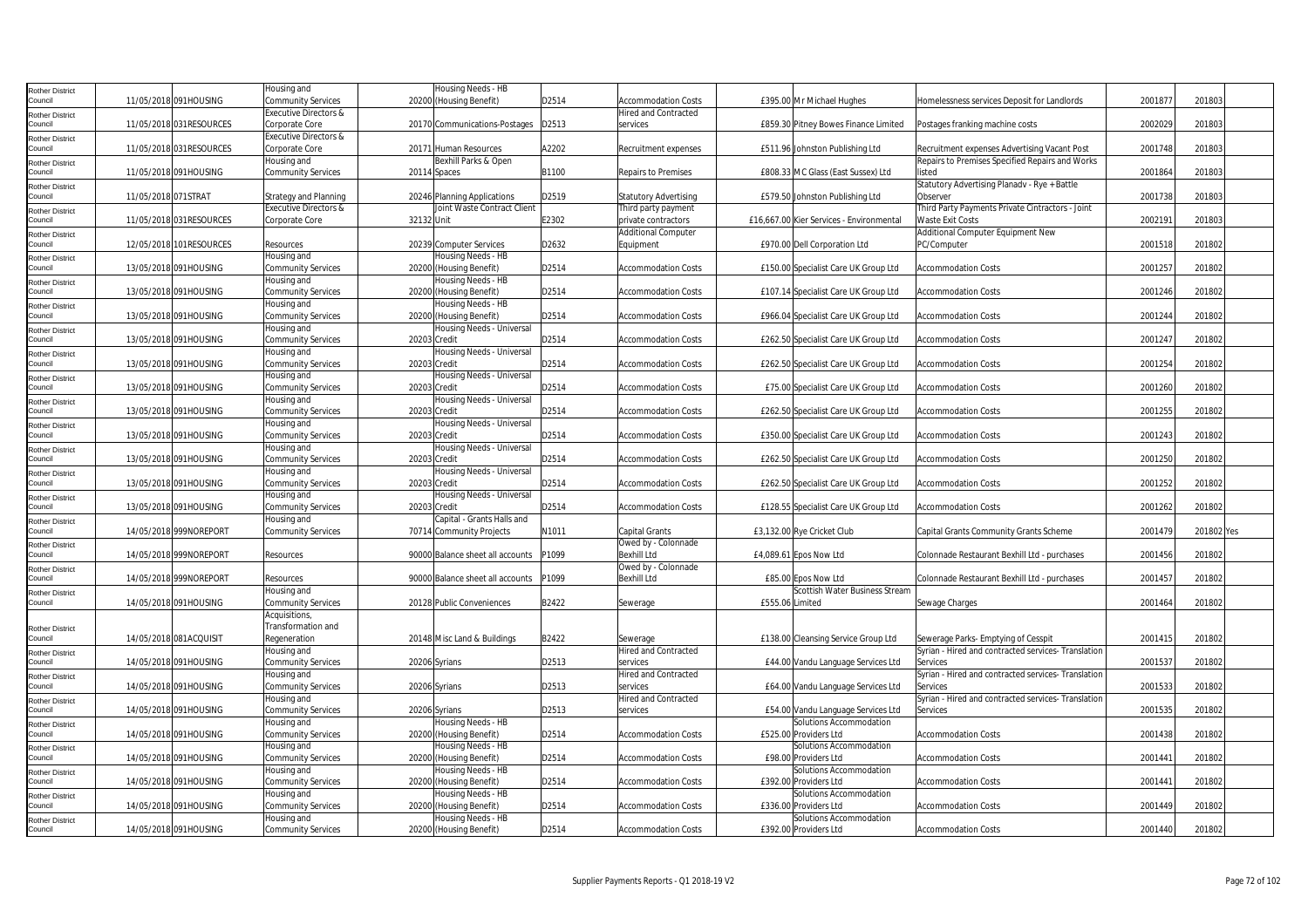| Rother District            |                         | Housing and                      |            | Housing Needs - HB               |       |                              |                 |                                          |                                                     |         |            |  |
|----------------------------|-------------------------|----------------------------------|------------|----------------------------------|-------|------------------------------|-----------------|------------------------------------------|-----------------------------------------------------|---------|------------|--|
| Council                    | 11/05/2018 091HOUSING   | Community Services               |            | 20200 (Housing Benefit)          | D2514 | <b>Accommodation Costs</b>   |                 | £395.00 Mr Michael Hughes                | Homelessness services Deposit for Landlords         | 2001877 | 201803     |  |
| Rother District            |                         | <b>Executive Directors &amp;</b> |            |                                  |       | <b>Hired and Contracted</b>  |                 |                                          |                                                     |         |            |  |
| Council                    | 11/05/2018 031RESOURCES | Corporate Core                   |            | 20170 Communications-Postages    | D2513 | services                     |                 | £859.30 Pitney Bowes Finance Limited     | Postages franking machine costs                     | 200202  | 20180      |  |
| <b>Rother District</b>     |                         | Executive Directors &            |            |                                  |       |                              |                 |                                          |                                                     |         |            |  |
| Council                    | 11/05/2018 031RESOURCES | Corporate Core                   |            | 20171 Human Resources            | A2202 | Recruitment expenses         |                 | £511.96 Johnston Publishing Ltd          | Recruitment expenses Advertising Vacant Post        | 2001748 | 201803     |  |
|                            |                         | Housing and                      |            | Bexhill Parks & Open             |       |                              |                 |                                          | Repairs to Premises Specified Repairs and Works     |         |            |  |
| Rother District<br>Council | 11/05/2018 091HOUSING   | Community Services               |            | 20114 Spaces                     | B1100 | Repairs to Premises          |                 | £808.33 MC Glass (East Sussex) Ltd       | listed                                              | 2001864 | 201803     |  |
|                            |                         |                                  |            |                                  |       |                              |                 |                                          | Statutory Advertising Planadv - Rye + Battle        |         |            |  |
| Rother District            | 11/05/2018 071STRAT     |                                  |            |                                  | D2519 | <b>Statutory Advertising</b> |                 | £579.50 Johnston Publishing Ltd          | Observer                                            | 200173  | 201803     |  |
| Council                    |                         | <b>Strategy and Planning</b>     |            | 20246 Planning Applications      |       |                              |                 |                                          |                                                     |         |            |  |
| Rother District            |                         | Executive Directors &            |            | Joint Waste Contract Client      |       | Third party payment          |                 |                                          | Third Party Payments Private Cintractors - Joint    |         |            |  |
| Council                    | 11/05/2018 031RESOURCES | Corporate Core                   | 32132 Unit |                                  | E2302 | private contractors          |                 | £16,667.00 Kier Services - Environmental | <b>Waste Exit Costs</b>                             | 2002191 | 201803     |  |
| Rother District            |                         |                                  |            |                                  |       | <b>Additional Computer</b>   |                 |                                          | Additional Computer Equipment New                   |         |            |  |
| Council                    | 12/05/2018 101RESOURCES | Resources                        |            | 20239 Computer Services          | D2632 | Equipment                    |                 | £970.00 Dell Corporation Ltd             | PC/Computer                                         | 2001518 | 201802     |  |
| <b>Rother District</b>     |                         | Housing and                      |            | Housing Needs - HB               |       |                              |                 |                                          |                                                     |         |            |  |
| Council                    | 13/05/2018 091HOUSING   | Community Services               |            | 20200 (Housing Benefit)          | D2514 | <b>Accommodation Costs</b>   |                 | £150.00 Specialist Care UK Group Ltd     | <b>Accommodation Costs</b>                          | 2001257 | 201802     |  |
| <b>Rother District</b>     |                         | Housing and                      |            | Housing Needs - HB               |       |                              |                 |                                          |                                                     |         |            |  |
| Council                    | 13/05/2018 091HOUSING   | Community Services               |            | 20200 (Housing Benefit)          | D2514 | <b>Accommodation Costs</b>   |                 | £107.14 Specialist Care UK Group Ltd     | <b>Accommodation Costs</b>                          | 2001246 | 201802     |  |
| <b>Rother District</b>     |                         | Housing and                      |            | Housing Needs - HB               |       |                              |                 |                                          |                                                     |         |            |  |
| Council                    | 13/05/2018 091HOUSING   | Community Services               |            | 20200 (Housing Benefit)          | D2514 | <b>Accommodation Costs</b>   |                 | £966.04 Specialist Care UK Group Ltd     | <b>Accommodation Costs</b>                          | 2001244 | 201802     |  |
| Rother District            |                         | Housing and                      |            | Housing Needs - Universal        |       |                              |                 |                                          |                                                     |         |            |  |
| Council                    | 13/05/2018 091HOUSING   | <b>Community Services</b>        |            | 20203 Credit                     | D2514 | <b>Accommodation Costs</b>   |                 | £262.50 Specialist Care UK Group Ltd     | <b>Accommodation Costs</b>                          | 2001247 | 201802     |  |
| <b>Rother District</b>     |                         | Housing and                      |            | Housing Needs - Universal        |       |                              |                 |                                          |                                                     |         |            |  |
| Council                    | 13/05/2018 091HOUSING   | Community Services               |            | 20203 Credit                     | D2514 | <b>Accommodation Costs</b>   |                 | £262.50 Specialist Care UK Group Ltd     | <b>Accommodation Costs</b>                          | 2001254 | 201802     |  |
| Rother District            |                         | Housing and                      |            | Housing Needs - Universal        |       |                              |                 |                                          |                                                     |         |            |  |
| Council                    | 13/05/2018 091HOUSING   | Community Services               |            | 20203 Credit                     | D2514 | <b>Accommodation Costs</b>   |                 | £75.00 Specialist Care UK Group Ltd      | <b>Accommodation Costs</b>                          | 200126  | 201802     |  |
| Rother District            |                         | Housing and                      |            | Housing Needs - Universal        |       |                              |                 |                                          |                                                     |         |            |  |
| Council                    | 13/05/2018 091HOUSING   | Community Services               |            | 20203 Credit                     | D2514 | <b>Accommodation Costs</b>   |                 | £262.50 Specialist Care UK Group Ltd     | <b>Accommodation Costs</b>                          | 2001255 | 201802     |  |
| <b>Rother District</b>     |                         | Housing and                      |            | Housing Needs - Universal        |       |                              |                 |                                          |                                                     |         |            |  |
| Council                    | 13/05/2018 091HOUSING   | Community Services               |            | 20203 Credit                     | D2514 | <b>Accommodation Costs</b>   |                 | £350.00 Specialist Care UK Group Ltd     | <b>Accommodation Costs</b>                          | 2001243 | 201802     |  |
| Rother District            |                         | Housing and                      |            | Housing Needs - Universal        |       |                              |                 |                                          |                                                     |         |            |  |
| Council                    | 13/05/2018 091HOUSING   | Community Services               |            | 20203 Credit                     | D2514 | <b>Accommodation Costs</b>   |                 | £262.50 Specialist Care UK Group Ltd     | <b>Accommodation Costs</b>                          | 2001250 | 201802     |  |
|                            |                         | Housing and                      |            | Housing Needs - Universal        |       |                              |                 |                                          |                                                     |         |            |  |
| Rother District<br>Council | 13/05/2018 091HOUSING   | Community Services               |            | 20203 Credit                     | D2514 | <b>Accommodation Costs</b>   |                 | £262.50 Specialist Care UK Group Ltd     | <b>Accommodation Costs</b>                          | 2001252 | 201802     |  |
|                            |                         | Housing and                      |            | Housing Needs - Universal        |       |                              |                 |                                          |                                                     |         |            |  |
| Rother District<br>Council | 13/05/2018 091HOUSING   | <b>Community Services</b>        |            | 20203 Credit                     | D2514 | <b>Accommodation Costs</b>   |                 | £128.55 Specialist Care UK Group Ltd     | <b>Accommodation Costs</b>                          | 2001262 | 201802     |  |
|                            |                         |                                  |            |                                  |       |                              |                 |                                          |                                                     |         |            |  |
| Rother District<br>Council |                         | Housing and                      |            | Capital - Grants Halls and       |       |                              |                 |                                          |                                                     |         | 201802 Yes |  |
|                            | 14/05/2018 999NOREPORT  | <b>Community Services</b>        |            | 70714 Community Projects         | N1011 | <b>Capital Grants</b>        |                 | £3,132.00 Rye Cricket Club               | Capital Grants Community Grants Scheme              | 200147  |            |  |
| Rother District            |                         |                                  |            |                                  |       | Owed by - Colonnade          |                 |                                          |                                                     |         |            |  |
| Council                    | 14/05/2018 999NOREPORT  | Resources                        |            | 90000 Balance sheet all accounts | P1099 | Bexhill Ltd                  |                 | £4,089.61 Epos Now Ltd                   | Colonnade Restaurant Bexhill Ltd - purchases        | 2001456 | 201802     |  |
| <b>Rother District</b>     |                         |                                  |            |                                  |       | Owed by - Colonnade          |                 |                                          |                                                     |         |            |  |
| Council                    | 14/05/2018 999NOREPORT  | Resources                        |            | 90000 Balance sheet all accounts | P1099 | <b>Bexhill Ltd</b>           |                 | £85.00 Epos Now Ltd                      | Colonnade Restaurant Bexhill Ltd - purchases        | 200145  | 201802     |  |
| Rother District            |                         | Housing and                      |            |                                  |       |                              |                 | Scottish Water Business Stream           |                                                     |         |            |  |
| Council                    | 14/05/2018 091HOUSING   | Community Services               |            | 20128 Public Conveniences        | B2422 | Sewerage                     | £555.06 Limited |                                          | Sewage Charges                                      | 2001464 | 201802     |  |
|                            |                         | Acquisitions,                    |            |                                  |       |                              |                 |                                          |                                                     |         |            |  |
| Rother District            |                         | Transformation and               |            |                                  |       |                              |                 |                                          |                                                     |         |            |  |
| Council                    | 14/05/2018 081ACQUISIT  | Regeneration                     |            | 20148 Misc Land & Buildings      | B2422 | Sewerage                     |                 | £138.00 Cleansing Service Group Ltd      | Sewerage Parks- Emptying of Cesspit                 | 2001415 | 201802     |  |
| <b>Rother District</b>     |                         | Housing and                      |            |                                  |       | Hired and Contracted         |                 |                                          | Syrian - Hired and contracted services- Translation |         |            |  |
| Council                    | 14/05/2018 091HOUSING   | <b>Community Services</b>        |            | 20206 Syrians                    | D2513 | services                     |                 | £44.00 Vandu Language Services Ltd       | Services                                            | 200153  | 201802     |  |
| Rother District            |                         | Housing and                      |            |                                  |       | Hired and Contracted         |                 |                                          | Syrian - Hired and contracted services- Translation |         |            |  |
| Council                    | 14/05/2018 091HOUSING   | <b>Community Services</b>        |            | 20206 Syrians                    | D2513 | services                     |                 | £64.00 Vandu Language Services Ltd       | Services                                            | 2001533 | 201802     |  |
| Rother District            |                         | Housing and                      |            |                                  |       | <b>Hired and Contracted</b>  |                 |                                          | Syrian - Hired and contracted services- Translation |         |            |  |
| Council                    | 14/05/2018 091HOUSING   | Community Services               |            | 20206 Syrians                    | D2513 | services                     |                 | £54.00 Vandu Language Services Ltd       | Services                                            | 200153  | 201802     |  |
| <b>Rother District</b>     |                         | Housing and                      |            | Housing Needs - HB               |       |                              |                 | Solutions Accommodation                  |                                                     |         |            |  |
| Council                    | 14/05/2018 091HOUSING   | Community Services               |            | 20200 (Housing Benefit)          | D2514 | <b>Accommodation Costs</b>   |                 | £525.00 Providers Ltd                    | <b>Accommodation Costs</b>                          | 2001438 | 201802     |  |
| <b>Rother District</b>     |                         | Housing and                      |            | Housing Needs - HB               |       |                              |                 | Solutions Accommodation                  |                                                     |         |            |  |
| Council                    | 14/05/2018 091HOUSING   | Community Services               |            | 20200 (Housing Benefit)          | D2514 | <b>Accommodation Costs</b>   |                 | £98.00 Providers Ltd                     | <b>Accommodation Costs</b>                          | 2001441 | 201802     |  |
| Rother District            |                         | Housing and                      |            | Housing Needs - HB               |       |                              |                 | Solutions Accommodation                  |                                                     |         |            |  |
| Council                    | 14/05/2018 091HOUSING   | Community Services               |            | 20200 (Housing Benefit)          | D2514 | <b>Accommodation Costs</b>   |                 | £392.00 Providers Ltd                    | <b>Accommodation Costs</b>                          | 200144  | 201802     |  |
| <b>Rother District</b>     |                         | Housing and                      |            | Housing Needs - HB               |       |                              |                 | Solutions Accommodation                  |                                                     |         |            |  |
| Council                    | 14/05/2018 091HOUSING   | Community Services               |            | 20200 (Housing Benefit)          | D2514 | <b>Accommodation Costs</b>   |                 | £336.00 Providers Ltd                    | <b>Accommodation Costs</b>                          | 2001449 | 201802     |  |
|                            |                         | Housing and                      |            | Housing Needs - HB               |       |                              |                 | Solutions Accommodation                  |                                                     |         |            |  |
| Rother District<br>Council | 14/05/2018 091HOUSING   | <b>Community Services</b>        |            | 20200 (Housing Benefit)          | D2514 | <b>Accommodation Costs</b>   |                 | £392.00 Providers Ltd                    | <b>Accommodation Costs</b>                          | 2001440 | 201802     |  |
|                            |                         |                                  |            |                                  |       |                              |                 |                                          |                                                     |         |            |  |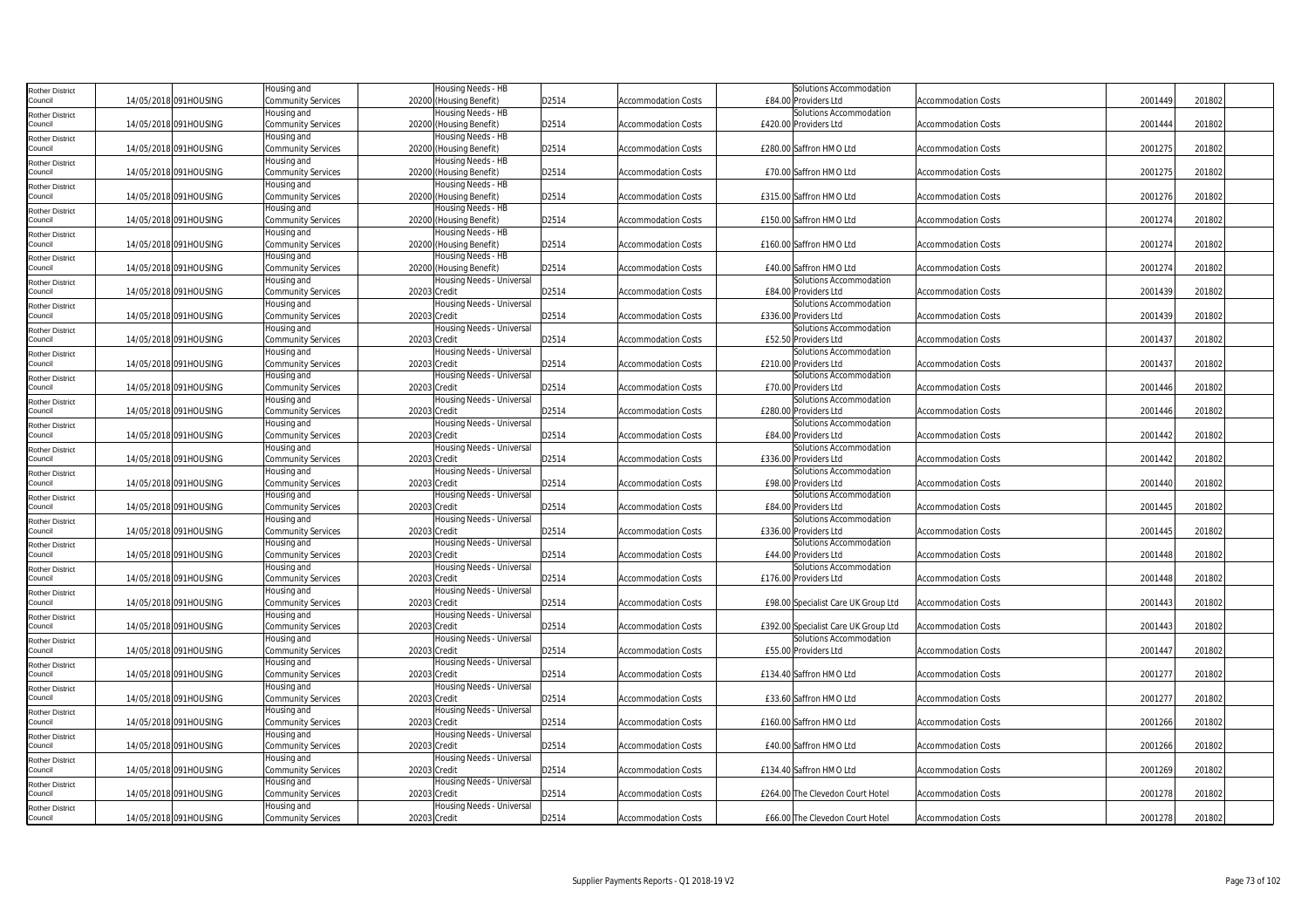| <b>Rother District</b>            |                       | Housing and                              | Housing Needs - HB                        |       |                            | Solutions Accommodation                          |                            |         |        |
|-----------------------------------|-----------------------|------------------------------------------|-------------------------------------------|-------|----------------------------|--------------------------------------------------|----------------------------|---------|--------|
| Council                           | 14/05/2018 091HOUSING | Community Services                       | 20200 (Housing Benefit)                   | D2514 | <b>Accommodation Costs</b> | £84.00 Providers Ltd                             | <b>Accommodation Costs</b> | 2001449 | 201802 |
| <b>Rother District</b>            |                       | Housing and                              | Housing Needs - HB                        |       |                            | Solutions Accommodation                          |                            |         |        |
| Council                           | 14/05/2018 091HOUSING | Community Services                       | 20200 (Housing Benefit)                   | D2514 | <b>Accommodation Costs</b> | £420.00 Providers Ltd                            | <b>Accommodation Costs</b> | 2001444 | 201802 |
| <b>Rother District</b>            |                       | Housing and                              | Housing Needs - HB                        |       |                            |                                                  |                            |         |        |
| Council                           | 14/05/2018 091HOUSING | Community Services                       | 20200 (Housing Benefit)                   | D2514 | <b>Accommodation Costs</b> | £280.00 Saffron HMO Ltd                          | <b>Accommodation Costs</b> | 2001275 | 201802 |
| <b>Rother District</b>            |                       | Housing and                              | Housing Needs - HB                        |       |                            |                                                  |                            |         |        |
| Council                           | 14/05/2018 091HOUSING | Community Services                       | 20200 (Housing Benefit)                   | D2514 | <b>Accommodation Costs</b> | £70.00 Saffron HMO Ltd                           | <b>Accommodation Costs</b> | 2001275 | 201802 |
| <b>Rother District</b>            |                       | Housing and                              | Housing Needs - HB                        |       |                            |                                                  |                            |         |        |
| Council                           | 14/05/2018 091HOUSING | Community Services                       | 20200 (Housing Benefit)                   | D2514 | <b>Accommodation Costs</b> | £315.00 Saffron HMO Ltd                          | <b>Accommodation Costs</b> | 2001276 | 201802 |
| Rother District                   |                       | Housing and                              | Housing Needs - HB                        |       |                            |                                                  |                            |         |        |
| Council                           | 14/05/2018 091HOUSING | Community Services                       | 20200 (Housing Benefit)                   | D2514 | <b>Accommodation Costs</b> | £150.00 Saffron HMO Ltd                          | <b>Accommodation Costs</b> | 2001274 | 201802 |
| <b>Rother District</b>            |                       | Housing and                              | Housing Needs - HB                        |       |                            |                                                  |                            |         |        |
| Council                           | 14/05/2018 091HOUSING | Community Services                       | 20200 (Housing Benefit)                   | D2514 | <b>Accommodation Costs</b> | £160.00 Saffron HMO Ltd                          | <b>Accommodation Costs</b> | 2001274 | 201802 |
| <b>Rother District</b>            |                       | Housing and                              | Housing Needs - HB                        |       |                            |                                                  |                            |         |        |
| Council                           | 14/05/2018 091HOUSING | Community Services                       | 20200 (Housing Benefit)                   | D2514 | <b>Accommodation Costs</b> | £40.00 Saffron HMO Ltd                           | <b>Accommodation Costs</b> | 2001274 | 201802 |
| <b>Rother District</b>            |                       | Housing and                              | Housing Needs - Universal                 |       |                            | Solutions Accommodation                          |                            |         |        |
| Council                           | 14/05/2018 091HOUSING | Community Services                       | 20203 Credit                              | D2514 | <b>Accommodation Costs</b> | £84.00 Providers Ltd                             | <b>Accommodation Costs</b> | 2001439 | 201802 |
| <b>Rother District</b>            |                       | Housing and                              | Housing Needs - Universal                 |       |                            | Solutions Accommodation                          |                            |         |        |
| Council                           | 14/05/2018 091HOUSING | Community Services                       | 20203 Credit                              | D2514 | <b>Accommodation Costs</b> | £336.00 Providers Ltd                            | <b>Accommodation Costs</b> | 2001439 | 201802 |
| <b>Rother District</b>            |                       | Housing and                              | Housing Needs - Universal                 |       |                            | Solutions Accommodation                          |                            |         |        |
| Council                           | 14/05/2018 091HOUSING | <b>Community Services</b>                | 20203 Credit                              | D2514 | <b>Accommodation Costs</b> | £52.50 Providers Ltd                             | <b>Accommodation Costs</b> | 2001437 | 201802 |
| <b>Rother District</b>            |                       | Housing and                              | Housing Needs - Universal                 |       |                            | Solutions Accommodation                          |                            |         |        |
| Council                           | 14/05/2018 091HOUSING | Community Services                       | 20203 Credit                              | D2514 | <b>Accommodation Costs</b> | £210.00 Providers Ltd                            | <b>Accommodation Costs</b> | 2001437 | 201802 |
| <b>Rother District</b>            |                       | Housing and                              | Housing Needs - Universal                 |       |                            | Solutions Accommodation                          |                            |         |        |
| Council                           | 14/05/2018 091HOUSING | Community Services                       | 20203 Credit                              | D2514 | <b>Accommodation Costs</b> | £70.00 Providers Ltd                             | <b>Accommodation Costs</b> | 2001446 | 201802 |
| <b>Rother District</b><br>Council | 14/05/2018 091HOUSING | Housing and                              | Housing Needs - Universal<br>20203 Credit |       |                            | Solutions Accommodation<br>£280.00 Providers Ltd |                            | 2001446 | 201802 |
|                                   |                       | Community Services<br>Housing and        | Housing Needs - Universal                 | D2514 | <b>Accommodation Costs</b> | Solutions Accommodation                          | <b>Accommodation Costs</b> |         |        |
| <b>Rother District</b><br>Council | 14/05/2018 091HOUSING | Community Services                       | 20203 Credit                              | D2514 | <b>Accommodation Costs</b> | £84.00 Providers Ltd                             | Accommodation Costs        | 2001442 | 201802 |
| <b>Rother District</b>            |                       | Housing and                              | Housing Needs - Universal                 |       |                            | Solutions Accommodation                          |                            |         |        |
| Council                           | 14/05/2018 091HOUSING | Community Services                       | 20203 Credit                              | D2514 | <b>Accommodation Costs</b> | £336.00 Providers Ltd                            | <b>Accommodation Costs</b> | 2001442 | 201802 |
|                                   |                       | Housing and                              | Housing Needs - Universal                 |       |                            | Solutions Accommodation                          |                            |         |        |
| <b>Rother District</b><br>Council | 14/05/2018 091HOUSING | Community Services                       | 20203 Credit                              | D2514 | <b>Accommodation Costs</b> | £98.00 Providers Ltd                             | <b>Accommodation Costs</b> | 2001440 | 201802 |
| <b>Rother District</b>            |                       | Housing and                              | Housing Needs - Universal                 |       |                            | Solutions Accommodation                          |                            |         |        |
| Council                           | 14/05/2018 091HOUSING | Community Services                       | 20203 Credit                              | D2514 | <b>Accommodation Costs</b> | £84.00 Providers Ltd                             | <b>Accommodation Costs</b> | 2001445 | 201802 |
| <b>Rother District</b>            |                       | Housing and                              | Housing Needs - Universal                 |       |                            | Solutions Accommodation                          |                            |         |        |
| Council                           | 14/05/2018 091HOUSING | Community Services                       | 20203 Credit                              | D2514 | <b>Accommodation Costs</b> | £336.00 Providers Ltd                            | <b>Accommodation Costs</b> | 2001445 | 201802 |
| <b>Rother District</b>            |                       | Housing and                              | Housing Needs - Universal                 |       |                            | Solutions Accommodation                          |                            |         |        |
| Council                           | 14/05/2018 091HOUSING | Community Services                       | 20203 Credit                              | D2514 | Accommodation Costs        | £44.00 Providers Ltd                             | Accommodation Costs        | 2001448 | 201802 |
| <b>Rother District</b>            |                       | Housing and                              | Housing Needs - Universal                 |       |                            | Solutions Accommodation                          |                            |         |        |
| Council                           | 14/05/2018 091HOUSING | Community Services                       | 20203 Credit                              | D2514 | <b>Accommodation Costs</b> | £176.00 Providers Ltd                            | <b>Accommodation Costs</b> | 2001448 | 201802 |
| <b>Rother District</b>            |                       | Housing and                              | Housing Needs - Universal                 |       |                            |                                                  |                            |         |        |
| Council                           | 14/05/2018 091HOUSING | <b>Community Services</b>                | 20203 Credit                              | D2514 | <b>Accommodation Costs</b> | £98.00 Specialist Care UK Group Ltd              | <b>Accommodation Costs</b> | 2001443 | 201802 |
| <b>Rother District</b>            |                       | Housing and                              | Housing Needs - Universal                 |       |                            |                                                  |                            |         |        |
| Council                           | 14/05/2018 091HOUSING | Community Services                       | 20203 Credit                              | D2514 | <b>Accommodation Costs</b> | £392.00 Specialist Care UK Group Ltd             | <b>Accommodation Costs</b> | 2001443 | 201802 |
| <b>Rother District</b>            |                       | Housing and                              | Housing Needs - Universal                 |       |                            | Solutions Accommodation                          |                            |         |        |
| Council                           | 14/05/2018 091HOUSING | Community Services                       | 20203 Credit                              | D2514 | <b>Accommodation Costs</b> | £55.00 Providers Ltd                             | <b>Accommodation Costs</b> | 2001447 | 201802 |
| <b>Rother District</b>            |                       | Housing and                              | Housing Needs - Universal                 |       |                            |                                                  |                            |         |        |
| Council                           | 14/05/2018 091HOUSING | Community Services                       | 20203 Credit                              | D2514 | <b>Accommodation Costs</b> | £134.40 Saffron HMO Ltd                          | <b>Accommodation Costs</b> | 2001277 | 201802 |
| <b>Rother District</b>            |                       | Housing and                              | Housing Needs - Universal                 |       |                            |                                                  |                            |         |        |
| Council                           | 14/05/2018 091HOUSING | <b>Community Services</b>                | 20203 Credit                              | D2514 | <b>Accommodation Costs</b> | £33.60 Saffron HMO Ltd                           | <b>Accommodation Costs</b> | 2001277 | 201802 |
| <b>Rother District</b><br>Council | 14/05/2018 091HOUSING | Housing and<br><b>Community Services</b> | Housing Needs - Universal<br>20203 Credit | D2514 | <b>Accommodation Costs</b> | £160.00 Saffron HMO Ltd                          | <b>Accommodation Costs</b> | 2001266 | 201802 |
|                                   |                       |                                          | Housing Needs - Universal                 |       |                            |                                                  |                            |         |        |
| <b>Rother District</b><br>Council | 14/05/2018 091HOUSING | Housing and<br>Community Services        | 20203 Credit                              | D2514 | <b>Accommodation Costs</b> | £40.00 Saffron HMO Ltd                           | <b>Accommodation Costs</b> | 2001266 | 201802 |
|                                   |                       | Housing and                              | Housing Needs - Universal                 |       |                            |                                                  |                            |         |        |
| <b>Rother District</b><br>Council | 14/05/2018 091HOUSING | Community Services                       | 20203 Credit                              | D2514 | <b>Accommodation Costs</b> | £134.40 Saffron HMO Ltd                          | <b>Accommodation Costs</b> | 2001269 | 201802 |
| <b>Rother District</b>            |                       | Housing and                              | Housing Needs - Universal                 |       |                            |                                                  |                            |         |        |
| Council                           | 14/05/2018 091HOUSING | Community Services                       | 20203 Credit                              | D2514 | <b>Accommodation Costs</b> | £264.00 The Clevedon Court Hotel                 | <b>Accommodation Costs</b> | 2001278 | 201802 |
| <b>Rother District</b>            |                       | Housing and                              | Housing Needs - Universal                 |       |                            |                                                  |                            |         |        |
| Council                           | 14/05/2018 091HOUSING | Community Services                       | 20203 Credit                              | D2514 | <b>Accommodation Costs</b> | £66.00 The Clevedon Court Hotel                  | <b>Accommodation Costs</b> | 2001278 | 201802 |
|                                   |                       |                                          |                                           |       |                            |                                                  |                            |         |        |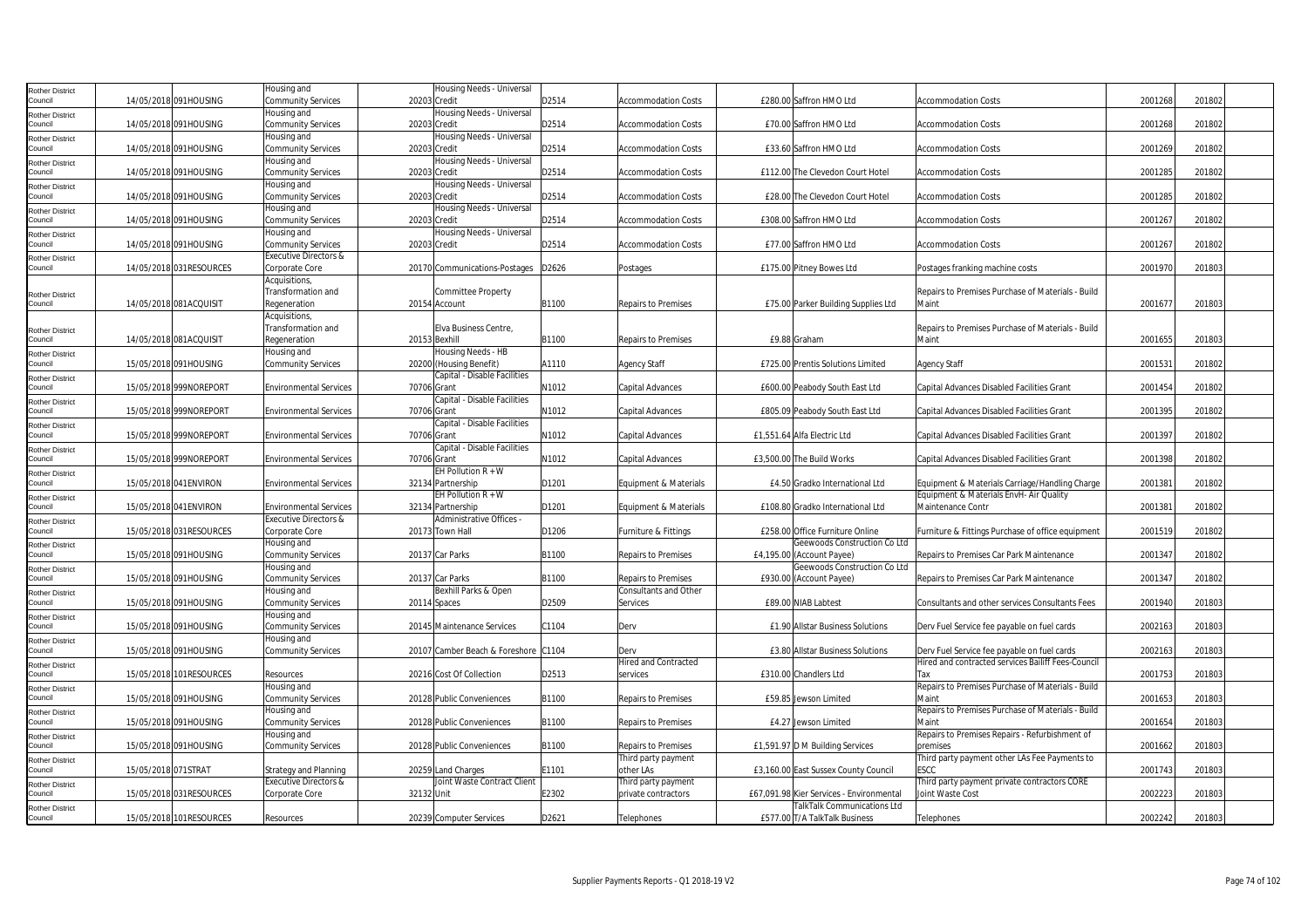| <b>Rother District</b>            |                          | Housing and                                                       |              | Housing Needs - Universal                     |       |                            |                                                              |                                                            |         |        |  |
|-----------------------------------|--------------------------|-------------------------------------------------------------------|--------------|-----------------------------------------------|-------|----------------------------|--------------------------------------------------------------|------------------------------------------------------------|---------|--------|--|
| Council                           | 14/05/2018 091HOUSING    | <b>Community Services</b><br>Housing and                          | 20203 Credit | Housing Needs - Universal                     | D2514 | <b>Accommodation Costs</b> | £280.00 Saffron HMO Ltd                                      | <b>Accommodation Costs</b>                                 | 2001268 | 201802 |  |
| <b>Rother District</b><br>Council | 14/05/2018 091HOUSING    | <b>Community Services</b>                                         | 20203 Credit |                                               | D2514 | <b>Accommodation Costs</b> | £70.00 Saffron HMO Ltd                                       | <b>Accommodation Costs</b>                                 | 2001268 | 201802 |  |
| Rother District                   |                          | Housing and                                                       |              | Housing Needs - Universal                     |       |                            |                                                              |                                                            |         |        |  |
| Council                           | 14/05/2018 091HOUSING    | <b>Community Services</b>                                         | 20203 Credit |                                               | D2514 | <b>Accommodation Costs</b> | £33.60 Saffron HMO Ltd                                       | <b>Accommodation Costs</b>                                 | 2001269 | 201802 |  |
| <b>Rother District</b>            |                          | Housing and                                                       |              | Housing Needs - Universal                     |       |                            |                                                              |                                                            |         |        |  |
| Council                           | 14/05/2018 091HOUSING    | <b>Community Services</b>                                         | 20203 Credit |                                               | D2514 | <b>Accommodation Costs</b> | £112.00 The Clevedon Court Hotel                             | <b>Accommodation Costs</b>                                 | 2001285 | 201802 |  |
| <b>Rother District</b>            |                          | Housing and                                                       |              | Housing Needs - Universal                     |       |                            |                                                              |                                                            |         |        |  |
| Council                           | 14/05/2018 091HOUSING    | <b>Community Services</b>                                         | 20203 Credit |                                               | D2514 | <b>Accommodation Costs</b> | £28.00 The Clevedon Court Hotel                              | <b>Accommodation Costs</b>                                 | 2001285 | 201802 |  |
| <b>Rother District</b><br>Council |                          | Housing and                                                       |              | Housing Needs - Universal                     |       |                            |                                                              |                                                            |         |        |  |
|                                   | 14/05/2018 091HOUSING    | <b>Community Services</b><br>Housing and                          | 20203 Credit | Housing Needs - Universal                     | D2514 | <b>Accommodation Costs</b> | £308.00 Saffron HMO Ltd                                      | <b>Accommodation Costs</b>                                 | 2001267 | 201802 |  |
| <b>Rother District</b><br>Council | 14/05/2018 091HOUSING    | <b>Community Services</b>                                         | 20203 Credit |                                               | D2514 | <b>Accommodation Costs</b> | £77.00 Saffron HMO Ltd                                       | <b>Accommodation Costs</b>                                 | 2001267 | 201802 |  |
| Rother District                   |                          | <b>Executive Directors &amp;</b>                                  |              |                                               |       |                            |                                                              |                                                            |         |        |  |
| Council                           | 14/05/2018 031RESOURCES  | Corporate Core                                                    |              | 20170 Communications-Postages                 | D2626 | Postages                   | £175.00 Pitney Bowes Ltd                                     | Postages franking machine costs                            | 2001970 | 201803 |  |
|                                   |                          | Acquisitions,                                                     |              |                                               |       |                            |                                                              |                                                            |         |        |  |
| <b>Rother District</b>            |                          | Transformation and                                                |              | <b>Committee Property</b>                     |       |                            |                                                              | Repairs to Premises Purchase of Materials - Build          |         |        |  |
| Council                           | 14/05/2018 081ACQUISIT   | Regeneration                                                      |              | 20154 Account                                 | B1100 | <b>Repairs to Premises</b> | £75.00 Parker Building Supplies Ltd                          | Maint                                                      | 200167  | 201803 |  |
|                                   |                          | Acquisitions,<br>Transformation and                               |              | Elva Business Centre,                         |       |                            |                                                              | Repairs to Premises Purchase of Materials - Build          |         |        |  |
| <b>Rother District</b><br>Council | 14/05/2018 081ACQUISIT   | Regeneration                                                      |              | 20153 Bexhill                                 | B1100 | <b>Repairs to Premises</b> | £9.88 Graham                                                 | Maint                                                      | 2001655 | 201803 |  |
| <b>Rother District</b>            |                          | Housing and                                                       |              | Housing Needs - HB                            |       |                            |                                                              |                                                            |         |        |  |
| Council                           | 15/05/2018 091HOUSING    | <b>Community Services</b>                                         |              | 20200 (Housing Benefit)                       | A1110 | <b>Agency Staff</b>        | £725.00 Prentis Solutions Limited                            | <b>Agency Staff</b>                                        | 200153  | 201802 |  |
| <b>Rother District</b>            |                          |                                                                   |              | Capital - Disable Facilities                  |       |                            |                                                              |                                                            |         |        |  |
| Council                           | 15/05/2018 999NOREPORT   | <b>Environmental Services</b>                                     | 70706 Grant  |                                               | N1012 | Capital Advances           | £600.00 Peabody South East Ltd                               | Capital Advances Disabled Facilities Grant                 | 2001454 | 201802 |  |
| <b>Rother District</b>            |                          |                                                                   |              | Capital - Disable Facilities                  |       |                            |                                                              |                                                            |         |        |  |
| Council                           | 15/05/2018 999NOREPORT   | <b>Environmental Services</b>                                     | 70706 Grant  | Capital - Disable Facilities                  | N1012 | Capital Advances           | £805.09 Peabody South East Ltd                               | Capital Advances Disabled Facilities Grant                 | 2001395 | 201802 |  |
| <b>Rother District</b><br>Council | 15/05/2018 999NOREPORT   | <b>Environmental Services</b>                                     | 70706 Grant  |                                               | N1012 | Capital Advances           | £1,551.64 Alfa Electric Ltd                                  | Capital Advances Disabled Facilities Grant                 | 2001397 | 201802 |  |
| <b>Rother District</b>            |                          |                                                                   |              | Capital - Disable Facilities                  |       |                            |                                                              |                                                            |         |        |  |
| Council                           | 15/05/2018 999NOREPORT   | <b>Environmental Services</b>                                     | 70706 Grant  |                                               | N1012 | Capital Advances           | £3,500.00 The Build Works                                    | Capital Advances Disabled Facilities Grant                 | 2001398 | 201802 |  |
| <b>Rother District</b>            |                          |                                                                   |              | EH Pollution $R + W$                          |       |                            |                                                              |                                                            |         |        |  |
| Council                           | 15/05/2018 041 ENVIRON   | <b>Environmental Services</b>                                     |              | 32134 Partnership                             | D1201 | Equipment & Materials      | £4.50 Gradko International Ltd                               | Equipment & Materials Carriage/Handling Charge             | 200138  | 201802 |  |
| <b>Rother District</b>            |                          |                                                                   |              | EH Pollution $R + W$                          |       |                            |                                                              | Equipment & Materials EnvH- Air Quality                    |         |        |  |
| Council                           | 15/05/2018 041ENVIRON    | <b>Environmental Services</b><br><b>Executive Directors &amp;</b> |              | 32134 Partnership<br>Administrative Offices - | D1201 | Equipment & Materials      | £108.80 Gradko International Ltd                             | Maintenance Contr                                          | 2001381 | 201802 |  |
| <b>Rother District</b><br>Council | 15/05/2018 031 RESOURCES | Corporate Core                                                    |              | 20173 Town Hall                               | D1206 | Furniture & Fittings       | £258.00 Office Furniture Online                              | Furniture & Fittings Purchase of office equipment          | 2001519 | 201802 |  |
| <b>Rother District</b>            |                          | Housing and                                                       |              |                                               |       |                            | Geewoods Construction Co Ltd                                 |                                                            |         |        |  |
| Council                           | 15/05/2018 091HOUSING    | <b>Community Services</b>                                         |              | 20137 Car Parks                               | B1100 | <b>Repairs to Premises</b> | £4,195.00 (Account Payee)                                    | Repairs to Premises Car Park Maintenance                   | 2001347 | 201802 |  |
| <b>Rother District</b>            |                          | Housing and                                                       |              |                                               |       |                            | Geewoods Construction Co Ltd                                 |                                                            |         |        |  |
| Council                           | 15/05/2018 091HOUSING    | <b>Community Services</b>                                         |              | 20137 Car Parks                               | B1100 | Repairs to Premises        | £930.00 (Account Payee)                                      | Repairs to Premises Car Park Maintenance                   | 2001347 | 201802 |  |
| <b>Rother District</b>            |                          | Housing and                                                       |              | Bexhill Parks & Open                          |       | Consultants and Other      |                                                              |                                                            |         |        |  |
| Council                           | 15/05/2018 091HOUSING    | Community Services                                                |              | 20114 Spaces                                  | D2509 | Services                   | £89.00 NIAB Labtest                                          | Consultants and other services Consultants Fees            | 2001940 | 201803 |  |
| <b>Rother District</b><br>Council | 15/05/2018 091HOUSING    | Housing and<br><b>Community Services</b>                          |              | 20145 Maintenance Services                    | C1104 | Derv                       | £1.90 Allstar Business Solutions                             | Derv Fuel Service fee payable on fuel cards                | 2002163 | 201803 |  |
| <b>Rother District</b>            |                          | Housing and                                                       |              |                                               |       |                            |                                                              |                                                            |         |        |  |
| Council                           | 15/05/2018 091HOUSING    | <b>Community Services</b>                                         |              | 20107 Camber Beach & Foreshore C1104          |       | Derv                       | £3.80 Allstar Business Solutions                             | Derv Fuel Service fee payable on fuel cards                | 2002163 | 201803 |  |
| <b>Rother District</b>            |                          |                                                                   |              |                                               |       | Hired and Contracted       |                                                              | Hired and contracted services Bailiff Fees-Council         |         |        |  |
| Council                           | 15/05/2018 101 RESOURCES | Resources                                                         |              | 20216 Cost Of Collection                      | D2513 | services                   | £310.00 Chandlers Ltd                                        | Tax                                                        | 2001753 | 201803 |  |
| <b>Rother District</b>            |                          | Housing and                                                       |              |                                               |       |                            |                                                              | Repairs to Premises Purchase of Materials - Build          |         |        |  |
| Council                           | 15/05/2018 091HOUSING    | <b>Community Services</b>                                         |              | 20128 Public Conveniences                     | B1100 | <b>Repairs to Premises</b> | £59.85 Jewson Limited                                        | Maint                                                      | 2001653 | 201803 |  |
| <b>Rother District</b><br>Council | 15/05/2018 091HOUSING    | Housing and<br><b>Community Services</b>                          |              | 20128 Public Conveniences                     | B1100 | <b>Repairs to Premises</b> | £4.27 Jewson Limited                                         | Repairs to Premises Purchase of Materials - Build<br>Maint | 2001654 | 201803 |  |
| <b>Rother District</b>            |                          | Housing and                                                       |              |                                               |       |                            |                                                              | Repairs to Premises Repairs - Refurbishment of             |         |        |  |
| Council                           | 15/05/2018 091HOUSING    | <b>Community Services</b>                                         |              | 20128 Public Conveniences                     | B1100 | Repairs to Premises        | £1,591.97 D M Building Services                              | premises                                                   | 2001662 | 201803 |  |
| <b>Rother District</b>            |                          |                                                                   |              |                                               |       | Third party payment        |                                                              | Third party payment other LAs Fee Payments to              |         |        |  |
| Council                           | 15/05/2018 071STRAT      | Strategy and Planning                                             |              | 20259 Land Charges                            | E1101 | other LAs                  | £3,160.00 East Sussex County Council                         | <b>ESCC</b>                                                | 2001743 | 201803 |  |
| <b>Rother District</b>            |                          | Executive Directors &                                             |              | Joint Waste Contract Client                   |       | Third party payment        |                                                              | Third party payment private contractors CORE               |         |        |  |
| Council                           | 15/05/2018 031 RESOURCES | Corporate Core                                                    | 32132 Unit   |                                               | E2302 | private contractors        | £67,091.98 Kier Services - Environmental                     | Joint Waste Cost                                           | 2002223 | 201803 |  |
| <b>Rother District</b><br>Council | 15/05/2018 101 RESOURCES | Resources                                                         |              | 20239 Computer Services                       | D2621 | Telephones                 | TalkTalk Communications Ltd<br>£577.00 T/A TalkTalk Business | Telephones                                                 | 2002242 | 201803 |  |
|                                   |                          |                                                                   |              |                                               |       |                            |                                                              |                                                            |         |        |  |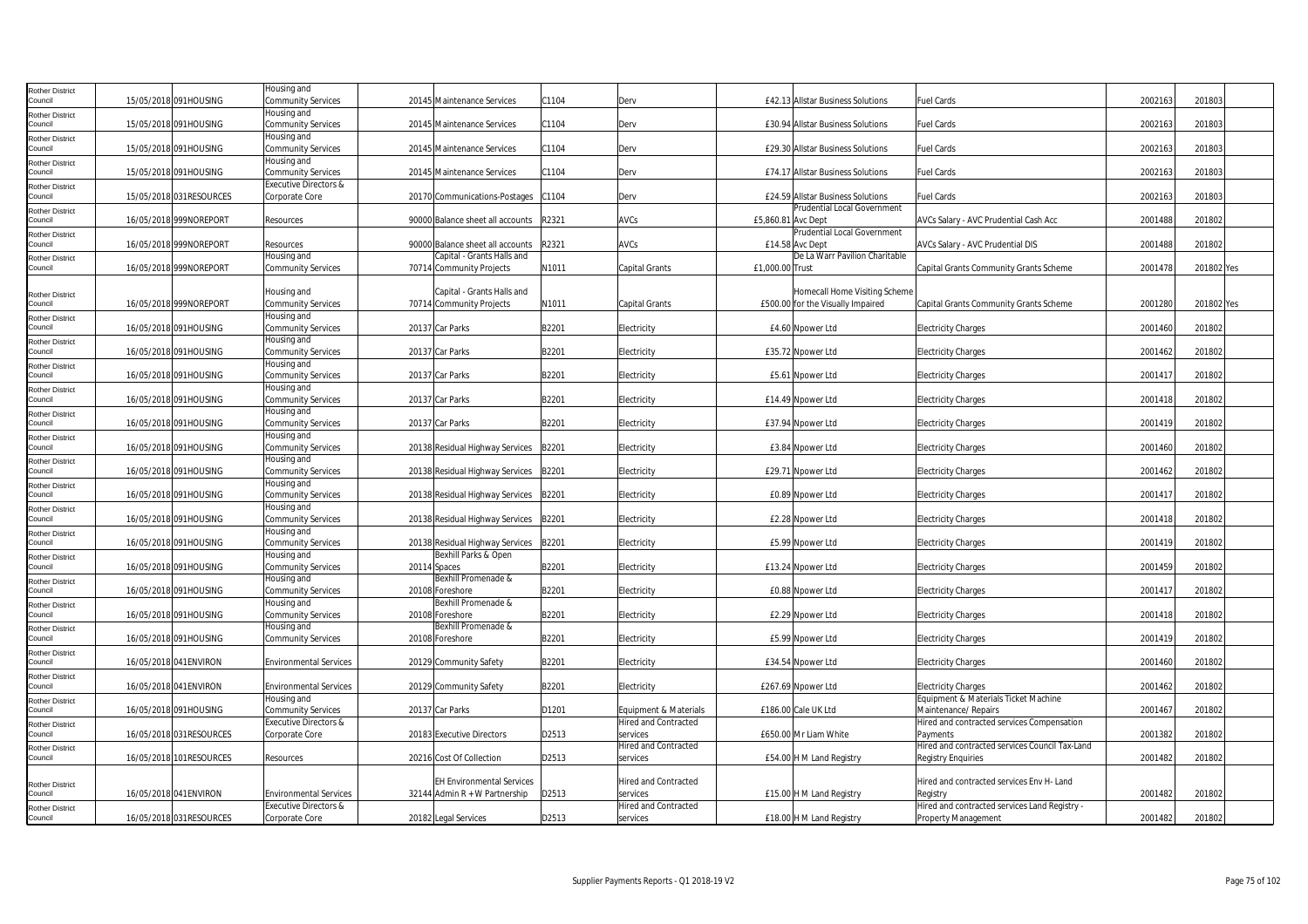| Rother District<br>Council |                          | Housing and                       |                                  |       |                             |                                                   |                                                |         |            |
|----------------------------|--------------------------|-----------------------------------|----------------------------------|-------|-----------------------------|---------------------------------------------------|------------------------------------------------|---------|------------|
|                            | 15/05/2018 091HOUSING    | Community Services                | 20145 Maintenance Services       | C1104 | Derv                        | £42.13 Allstar Business Solutions                 | Fuel Cards                                     | 2002163 | 201803     |
| Rother District            |                          | Housing and                       |                                  |       |                             |                                                   |                                                |         |            |
| Council                    | 15/05/2018 091HOUSING    | Community Services                | 20145 Maintenance Services       | C1104 | Derv                        | £30.94 Allstar Business Solutions                 | Fuel Cards                                     | 2002163 | 201803     |
| Rother District            |                          | Housing and                       |                                  |       |                             |                                                   |                                                |         |            |
| Council                    | 15/05/2018 091HOUSING    | Community Services                | 20145 Maintenance Services       | C1104 | Derv                        | £29.30 Allstar Business Solutions                 | <b>Fuel Cards</b>                              | 2002163 | 201803     |
| Rother District            |                          | Housing and                       |                                  |       |                             |                                                   |                                                |         |            |
| Council                    | 15/05/2018 091HOUSING    | <b>Community Services</b>         | 20145 Maintenance Services       | C1104 | Derv                        | £74.17 Allstar Business Solutions                 | <b>Fuel Cards</b>                              | 2002163 | 201803     |
| Rother District            |                          | Executive Directors &             |                                  |       |                             |                                                   |                                                |         |            |
| Council                    | 15/05/2018 031RESOURCES  | Corporate Core                    | 20170 Communications-Postages    | C1104 | Derv                        | £24.59 Allstar Business Solutions                 | <b>Fuel Cards</b>                              | 2002163 | 201803     |
| Rother District            |                          |                                   |                                  |       |                             | <b>Prudential Local Government</b>                |                                                |         |            |
| Council                    | 16/05/2018 999NOREPORT   | Resources                         | 90000 Balance sheet all accounts | R2321 | AVCs                        | £5,860.81 Avc Dept                                | AVCs Salary - AVC Prudential Cash Acc          | 2001488 | 201802     |
| Rother District            |                          |                                   | 90000 Balance sheet all accounts |       | <b>AVCs</b>                 | Prudential Local Government                       |                                                |         | 201802     |
| Council                    | 16/05/2018 999NOREPORT   | Resources                         |                                  | R2321 |                             | £14.58 Avc Dept                                   | AVCs Salary - AVC Prudential DIS               | 2001488 |            |
| Rother District            | 16/05/2018 999NOREPORT   | Housing and                       | apital - Grants Halls and        | N1011 | Capital Grants              | De La Warr Pavilion Charitable<br>£1,000.00 Trust |                                                | 2001478 | 201802 Yes |
| Council                    |                          | Community Services                | 70714 Community Projects         |       |                             |                                                   | Capital Grants Community Grants Scheme         |         |            |
|                            |                          |                                   |                                  |       |                             |                                                   |                                                |         |            |
| Rother District            |                          | Housing and                       | Capital - Grants Halls and       |       |                             | Homecall Home Visiting Scheme                     |                                                |         |            |
| Council                    | 16/05/2018 999NOREPORT   | Community Services<br>Housing and | 70714 Community Projects         | N1011 | Capital Grants              | £500.00 for the Visually Impaired                 | Capital Grants Community Grants Scheme         | 2001280 | 201802 Yes |
| Rother District<br>Council | 16/05/2018 091HOUSING    | Community Services                | 20137 Car Parks                  | B2201 | Electricity                 | £4.60 Npower Ltd                                  | Electricity Charges                            | 2001460 | 201802     |
|                            |                          | Housing and                       |                                  |       |                             |                                                   |                                                |         |            |
| Rother District<br>Council | 16/05/2018 091HOUSING    | Community Services                | 20137 Car Parks                  | B2201 | Electricity                 | £35.72 Noower Ltd                                 | Electricity Charges                            | 2001462 | 201802     |
|                            |                          | Housing and                       |                                  |       |                             |                                                   |                                                |         |            |
| Rother District<br>Council | 16/05/2018 091HOUSING    | <b>Community Services</b>         | 20137 Car Parks                  | B2201 | Electricity                 | £5.61 Npower Ltd                                  | <b>Electricity Charges</b>                     | 2001417 | 201802     |
|                            |                          | Housing and                       |                                  |       |                             |                                                   |                                                |         |            |
| Rother District<br>Council | 16/05/2018 091HOUSING    | Community Services                | 20137 Car Parks                  | B2201 | Electricity                 | £14.49 Npower Ltd                                 | Electricity Charges                            | 2001418 | 201802     |
| Rother District            |                          | Housing and                       |                                  |       |                             |                                                   |                                                |         |            |
| Council                    | 16/05/2018 091HOUSING    | Community Services                | 20137 Car Parks                  | B2201 | Electricity                 | £37.94 Npower Ltd                                 | Electricity Charges                            | 2001419 | 201802     |
|                            |                          | Housing and                       |                                  |       |                             |                                                   |                                                |         |            |
| Rother District<br>Council | 16/05/2018 091HOUSING    | Community Services                | 20138 Residual Highway Services  | B2201 | Electricity                 | £3.84 Npower Ltd                                  | Electricity Charges                            | 2001460 | 201802     |
| Rother District            |                          | Housing and                       |                                  |       |                             |                                                   |                                                |         |            |
| Council                    | 16/05/2018 091HOUSING    | <b>Community Services</b>         | 20138 Residual Highway Services  | B2201 | Electricity                 | £29.71 Npower Ltd                                 | Electricity Charges                            | 2001462 | 201802     |
| Rother District            |                          | Housing and                       |                                  |       |                             |                                                   |                                                |         |            |
| Council                    | 16/05/2018 091HOUSING    | <b>Community Services</b>         | 20138 Residual Highway Services  | B2201 | Electricity                 | £0.89 Npower Ltd                                  | <b>Electricity Charges</b>                     | 2001417 | 201802     |
| Rother District            |                          | Housing and                       |                                  |       |                             |                                                   |                                                |         |            |
| Council                    | 16/05/2018 091HOUSING    | Community Services                | 20138 Residual Highway Services  | B2201 | Electricity                 | £2.28 Npower Ltd                                  | Electricity Charges                            | 2001418 | 201802     |
| Rother District            |                          | Housing and                       |                                  |       |                             |                                                   |                                                |         |            |
| Council                    | 16/05/2018 091HOUSING    | <b>Community Services</b>         | 20138 Residual Highway Services  | B2201 | Electricity                 | £5.99 Noower Ltd                                  | Electricity Charges                            | 2001419 | 201802     |
| Rother District            |                          | lousing and                       | Bexhill Parks & Open             |       |                             |                                                   |                                                |         |            |
| Council                    | 16/05/2018 091HOUSING    | Community Services                | 20114 Spaces                     | B2201 | Electricity                 | £13.24 Npower Ltd                                 | Electricity Charges                            | 2001459 | 201802     |
| Rother District            |                          | Housing and                       | Bexhill Promenade &              |       |                             |                                                   |                                                |         |            |
| Council                    | 16/05/2018 091HOUSING    | Community Services                | 20108 Foreshore                  | B2201 | Electricity                 | £0.88 Npower Ltd                                  | Electricity Charges                            | 2001411 | 201802     |
| Rother District            |                          | Housing and                       | Bexhill Promenade &              |       |                             |                                                   |                                                |         |            |
| Council                    | 16/05/2018 091HOUSING    | <b>Community Services</b>         | 20108 Foreshore                  | B2201 | Electricity                 | £2.29 Noower Ltd                                  | <b>Electricity Charges</b>                     | 2001418 | 201802     |
| Rother District            |                          | Housing and                       | Bexhill Promenade &              |       |                             |                                                   |                                                |         |            |
| Council                    | 16/05/2018 091HOUSING    | <b>Community Services</b>         | 20108 Foreshore                  | B2201 | Electricity                 | £5.99 Npower Ltd                                  | <b>Electricity Charges</b>                     | 2001419 | 201802     |
| Rother District            |                          |                                   |                                  |       |                             |                                                   |                                                |         |            |
| Council                    | 16/05/2018 041 ENVIRON   | <b>Environmental Services</b>     | 20129 Community Safety           | B2201 | Electricity                 | £34.54 Npower Ltd                                 | Electricity Charges                            | 2001460 | 201802     |
| Rother District            |                          |                                   |                                  |       |                             |                                                   |                                                |         |            |
| Council                    | 16/05/2018 041ENVIRON    | <b>Environmental Services</b>     | 20129 Community Safety           | B2201 | Electricity                 | £267.69 Npower Ltd                                | <b>Electricity Charges</b>                     | 2001462 | 201802     |
| Rother District            |                          | Housing and                       |                                  |       |                             |                                                   | Equipment & Materials Ticket Machine           |         |            |
| Council                    | 16/05/2018 091HOUSING    | <b>Community Services</b>         | 20137 Car Parks                  | D1201 | Equipment & Materials       | £186.00 Cale UK Ltd                               | Maintenance/ Repairs                           | 200146  | 201802     |
| Rother District            |                          | <b>Executive Directors &amp;</b>  |                                  |       | <b>Hired and Contracted</b> |                                                   | Hired and contracted services Compensation     |         |            |
| Council                    | 16/05/2018 031 RESOURCES | Corporate Core                    | 20183 Executive Directors        | D2513 | services                    | £650.00 Mr Liam White                             | Payments                                       | 2001382 | 201802     |
| Rother District            |                          |                                   |                                  |       | <b>Hired and Contracted</b> |                                                   | Hired and contracted services Council Tax-Land |         |            |
| Council                    | 16/05/2018 101RESOURCES  | Resources                         | 20216 Cost Of Collection         | D2513 | services                    | £54.00 H M Land Registry                          | Registry Enquiries                             | 2001482 | 201802     |
|                            |                          |                                   |                                  |       |                             |                                                   |                                                |         |            |
| Rother District            |                          |                                   | <b>EH Environmental Services</b> |       | <b>Hired and Contracted</b> |                                                   | Hired and contracted services Env H- Land      |         |            |
| Council                    | 16/05/2018 041ENVIRON    | <b>Environmental Services</b>     | 32144 Admin $R + W$ Partnership  | D2513 | services                    | £15.00 H M Land Registry                          | Registry                                       | 2001482 | 201802     |
| Rother District            |                          | <b>Executive Directors &amp;</b>  |                                  |       | <b>Hired and Contracted</b> |                                                   | Hired and contracted services Land Registry -  |         |            |
| Council                    | 16/05/2018 031RESOURCES  | Corporate Core                    | 20182 Legal Services             | D2513 | services                    | £18.00 H M Land Registry                          | Property Management                            | 2001482 | 201802     |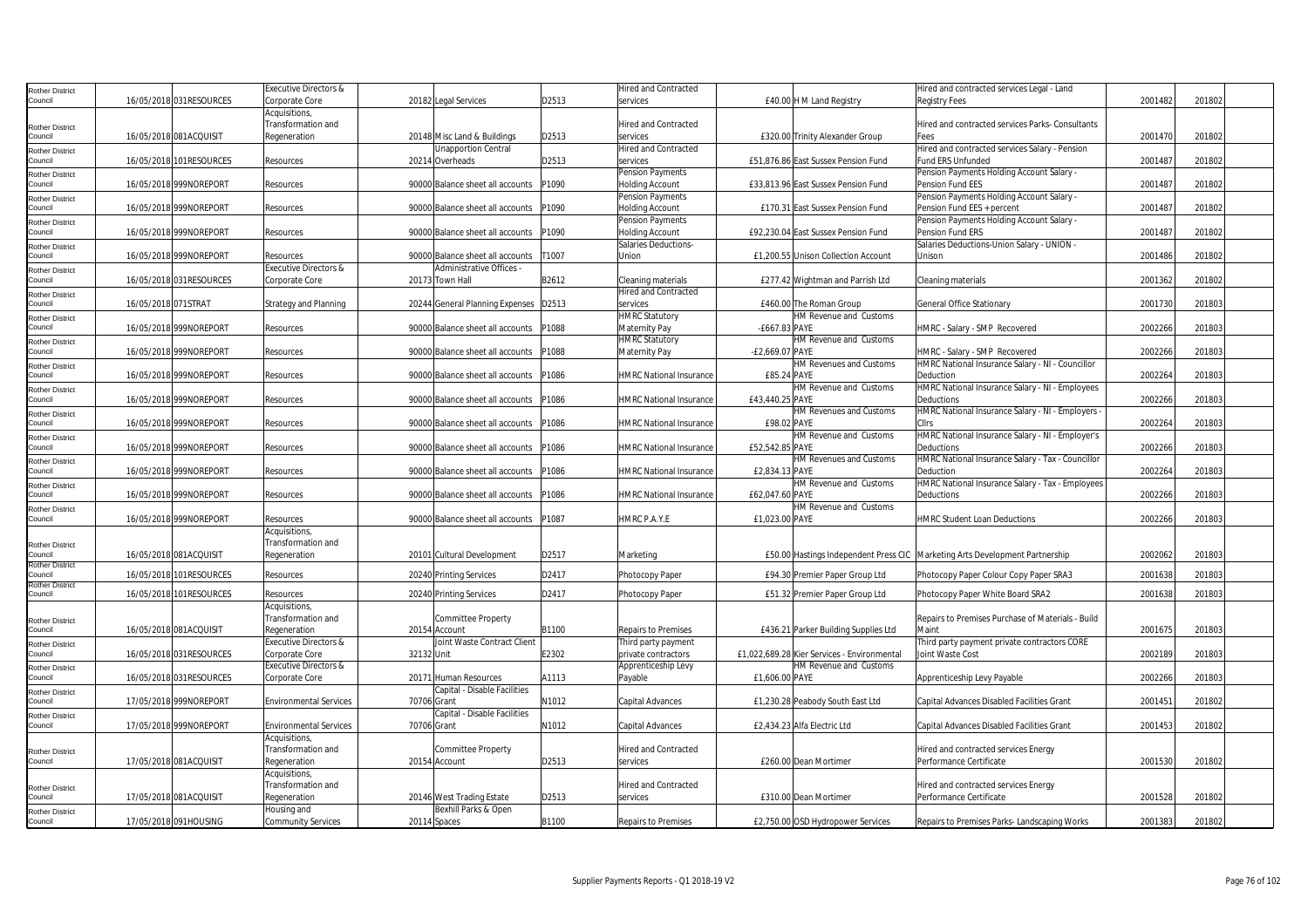| Rother District        |                          | Executive Directors &            |             |                                  |       | Hired and Contracted           |                 |                                             | Hired and contracted services Legal - Land                                     |         |        |
|------------------------|--------------------------|----------------------------------|-------------|----------------------------------|-------|--------------------------------|-----------------|---------------------------------------------|--------------------------------------------------------------------------------|---------|--------|
| Council                | 16/05/2018 031 RESOURCES | Corporate Core                   |             | 20182 Legal Services             | D2513 | services                       |                 | £40.00 H M Land Registry                    | <b>Registry Fees</b>                                                           | 2001482 | 201802 |
|                        |                          | Acquisitions,                    |             |                                  |       |                                |                 |                                             |                                                                                |         |        |
| Rother District        |                          | Transformation and               |             |                                  |       | Hired and Contracted           |                 |                                             | Hired and contracted services Parks- Consultants                               |         |        |
| Council                | 16/05/2018 081ACQUISIT   | Regeneration                     |             | 20148 Misc Land & Buildings      | D2513 | services                       |                 | £320.00 Trinity Alexander Group             | Fees                                                                           | 2001470 | 201802 |
| <b>Rother District</b> |                          |                                  |             | <b>Unapportion Central</b>       |       | Hired and Contracted           |                 |                                             | Hired and contracted services Salary - Pension                                 |         |        |
| Council                | 16/05/2018 101RESOURCES  | Resources                        |             | 20214 Overheads                  | D2513 | services                       |                 | £51,876.86 East Sussex Pension Fund         | <b>Fund ERS Unfunded</b>                                                       | 2001487 | 201802 |
| Rother District        |                          |                                  |             |                                  |       | <b>Pension Payments</b>        |                 |                                             | Pension Payments Holding Account Salary -                                      |         |        |
| Council                | 16/05/2018 999NOREPORT   | Resources                        |             | 90000 Balance sheet all accounts | P1090 | <b>Holding Account</b>         |                 | £33,813.96 East Sussex Pension Fund         | Pension Fund EES                                                               | 200148  | 201802 |
| Rother District        |                          |                                  |             |                                  |       | <b>Pension Payments</b>        |                 |                                             | Pension Payments Holding Account Salary -                                      |         |        |
| Council                | 16/05/2018 999NOREPORT   | Resources                        |             | 90000 Balance sheet all accounts | P1090 | <b>Holding Account</b>         |                 | £170.31 East Sussex Pension Fund            | Pension Fund EES + percent                                                     | 2001487 | 201802 |
| Rother District        |                          |                                  |             |                                  |       | Pension Payments               |                 |                                             | Pension Payments Holding Account Salary -                                      |         |        |
| Council                | 16/05/2018 999NOREPORT   | Resources                        |             | 90000 Balance sheet all accounts | P1090 | <b>Holding Account</b>         |                 | £92,230.04 East Sussex Pension Fund         | Pension Fund ERS                                                               | 2001487 | 201802 |
| Rother District        |                          |                                  |             |                                  |       | Salaries Deductions-           |                 |                                             | Salaries Deductions-Union Salary - UNION -                                     |         |        |
| Council                | 16/05/2018 999NOREPORT   | Resources                        |             | 90000 Balance sheet all accounts | T1007 | Union                          |                 | £1,200.55 Unison Collection Account         | Unison                                                                         | 2001486 | 201802 |
| <b>Rother District</b> |                          | <b>Executive Directors &amp;</b> |             | Administrative Offices           |       |                                |                 |                                             |                                                                                |         |        |
| Council                | 16/05/2018 031RESOURCES  | Corporate Core                   |             | 20173 Town Hall                  | B2612 | Cleaning materials             |                 | £277.42 Wightman and Parrish Ltd            | Cleaning materials                                                             | 2001362 | 201802 |
| Rother District        |                          |                                  |             |                                  |       | Hired and Contracted           |                 |                                             |                                                                                |         |        |
| Council                | 16/05/2018 071STRAT      | <b>Strategy and Planning</b>     |             | 20244 General Planning Expenses  | D2513 | services                       |                 | £460.00 The Roman Group                     | <b>General Office Stationary</b>                                               | 2001730 | 201803 |
| Rother District        |                          |                                  |             |                                  |       | <b>HMRC Statutory</b>          |                 | HM Revenue and Customs                      |                                                                                |         |        |
| Council                | 16/05/2018 999NOREPORT   | Resources                        |             | 90000 Balance sheet all accounts | P1088 | Maternity Pay                  | -£667.83 PAYE   |                                             | HMRC - Salary - SMP Recovered                                                  | 2002266 | 201803 |
| Rother District        |                          |                                  |             |                                  |       | <b>HMRC Statutory</b>          |                 | HM Revenue and Customs                      |                                                                                |         |        |
| Council                | 16/05/2018 999NOREPORT   | Resources                        |             | 90000 Balance sheet all accounts | P1088 | <b>Maternity Pay</b>           | -£2,669.07 PAYE |                                             | HMRC - Salary - SMP Recovered                                                  | 2002266 | 201803 |
| <b>Rother District</b> |                          |                                  |             |                                  |       |                                |                 | HM Revenues and Customs                     | HMRC National Insurance Salary - NI - Councillor                               |         |        |
| Council                | 16/05/2018 999NOREPORT   | Resources                        |             | 90000 Balance sheet all accounts | P1086 | <b>HMRC National Insurance</b> | £85.24 PAYE     |                                             | Deduction                                                                      | 2002264 | 201803 |
| <b>Rother District</b> |                          |                                  |             |                                  |       |                                |                 | HM Revenue and Customs                      | HMRC National Insurance Salary - NI - Employees                                |         |        |
| Council                | 16/05/2018 999NOREPORT   | Resources                        |             | 90000 Balance sheet all accounts | P1086 | <b>HMRC National Insurance</b> | £43,440.25 PAYE |                                             | Deductions                                                                     | 2002266 | 201803 |
| <b>Rother District</b> |                          |                                  |             |                                  |       |                                |                 | HM Revenues and Customs                     | HMRC National Insurance Salary - NI - Employers -                              |         |        |
| Council                | 16/05/2018 999NOREPORT   | Resources                        |             | 90000 Balance sheet all accounts | P1086 | <b>HMRC National Insurance</b> | £98.02 PAYE     |                                             | Cllrs                                                                          | 2002264 | 201803 |
| Rother District        |                          |                                  |             |                                  |       |                                |                 | HM Revenue and Customs                      | HMRC National Insurance Salary - NI - Employer's                               |         |        |
| Council                | 16/05/2018 999NOREPORT   | Resources                        |             | 90000 Balance sheet all accounts | P1086 | <b>HMRC National Insurance</b> | £52,542.85 PAYE |                                             | Deductions                                                                     | 2002266 | 201803 |
| <b>Rother District</b> |                          |                                  |             |                                  |       |                                |                 | HM Revenues and Customs                     | HMRC National Insurance Salary - Tax - Councillor                              |         |        |
| Council                | 16/05/2018 999NOREPORT   | Resources                        |             | 90000 Balance sheet all accounts | P1086 | <b>HMRC National Insurance</b> | £2,834.13 PAYE  |                                             | Deduction                                                                      | 2002264 | 201803 |
| Rother District        |                          |                                  |             |                                  |       |                                |                 | HM Revenue and Customs                      | HMRC National Insurance Salary - Tax - Employees                               |         |        |
| Council                | 16/05/2018 999NOREPORT   | Resources                        |             | 90000 Balance sheet all accounts | P1086 | <b>HMRC National Insurance</b> | £62,047.60 PAYE |                                             | Deductions                                                                     | 2002266 | 201803 |
| Rother District        |                          |                                  |             |                                  |       |                                |                 | HM Revenue and Customs                      |                                                                                |         |        |
| Council                | 16/05/2018 999NOREPORT   | Resources                        |             | 90000 Balance sheet all accounts | P1087 | HMRC P.A.Y.E                   | £1,023.00 PAYE  |                                             | <b>HMRC Student Loan Deductions</b>                                            | 2002266 | 201803 |
|                        |                          | Acquisitions,                    |             |                                  |       |                                |                 |                                             |                                                                                |         |        |
| <b>Rother District</b> |                          | <b>Transformation and</b>        |             |                                  |       |                                |                 |                                             |                                                                                |         |        |
| Council                | 16/05/2018 081ACQUISIT   | Regeneration                     |             | 20101 Cultural Development       | D2517 | Marketing                      |                 |                                             | £50.00 Hastings Independent Press CIC   Marketing Arts Development Partnership | 2002062 | 201803 |
| <b>Rother District</b> |                          |                                  |             |                                  |       |                                |                 |                                             |                                                                                |         |        |
| Council                | 16/05/2018 101RESOURCES  | Resources                        |             | 20240 Printing Services          | D2417 | Photocopy Paper                |                 | £94.30 Premier Paper Group Ltd              | Photocopy Paper Colour Copy Paper SRA3                                         | 2001638 | 201803 |
| <b>Rother District</b> |                          |                                  |             |                                  |       |                                |                 |                                             |                                                                                |         |        |
| Council                | 16/05/2018 101RESOURCES  | Resources                        |             | 20240 Printing Services          | D2417 | Photocopy Paper                |                 | £51.32 Premier Paper Group Ltd              | Photocopy Paper White Board SRA2                                               | 2001638 | 201803 |
|                        |                          | Acquisitions,                    |             |                                  |       |                                |                 |                                             |                                                                                |         |        |
| Rother District        |                          | Transformation and               |             | Committee Property               |       |                                |                 |                                             | Repairs to Premises Purchase of Materials - Build                              |         |        |
| Council                | 16/05/2018 081ACQUISIT   | Regeneration                     |             | 20154 Account                    | B1100 | <b>Repairs to Premises</b>     |                 | £436.21 Parker Building Supplies Ltd        | Maint                                                                          | 2001675 | 201803 |
| Rother District        |                          | Executive Directors &            |             | Joint Waste Contract Client      |       | Third party payment            |                 |                                             | Third party payment private contractors CORE                                   |         |        |
| Council                | 16/05/2018 031RESOURCES  | Corporate Core                   | 32132 Unit  |                                  | E2302 | private contractors            |                 | £1,022,689.28 Kier Services - Environmental | Joint Waste Cost                                                               | 2002189 | 201803 |
| <b>Rother District</b> |                          | Executive Directors &            |             |                                  |       | Apprenticeship Levy            |                 | HM Revenue and Customs                      |                                                                                |         |        |
| Council                | 16/05/2018 031RESOURCES  | Corporate Core                   |             | 20171 Human Resources            | A1113 | Pavable                        | £1.606.00 PAYE  |                                             | Apprenticeship Levy Payable                                                    | 2002266 | 201803 |
| Rother District        |                          |                                  |             | Capital - Disable Facilities     |       |                                |                 |                                             |                                                                                |         |        |
| Council                | 17/05/2018 999NOREPORT   | <b>Environmental Services</b>    | 70706 Grant |                                  | N1012 | Capital Advances               |                 | £1,230.28 Peabody South East Ltd            | Capital Advances Disabled Facilities Grant                                     | 2001451 | 201802 |
| Rother District        |                          |                                  |             | Capital - Disable Facilities     |       |                                |                 |                                             |                                                                                |         |        |
| Council                | 17/05/2018 999NOREPORT   | <b>Environmental Services</b>    | 70706 Grant |                                  | N1012 | <b>Capital Advances</b>        |                 | £2,434.23 Alfa Electric Ltd                 | Capital Advances Disabled Facilities Grant                                     | 2001453 | 201802 |
|                        |                          | Acquisitions,                    |             |                                  |       |                                |                 |                                             |                                                                                |         |        |
| Rother District        |                          | Transformation and               |             | Committee Property               |       | Hired and Contracted           |                 |                                             | Hired and contracted services Energy                                           |         |        |
| Council                | 17/05/2018 081ACQUISIT   | Regeneration                     |             | 20154 Account                    | D2513 | services                       |                 | £260.00 Dean Mortimer                       | Performance Certificate                                                        | 2001530 | 201802 |
|                        |                          | Acquisitions,                    |             |                                  |       |                                |                 |                                             |                                                                                |         |        |
| <b>Rother District</b> |                          | Transformation and               |             |                                  |       | Hired and Contracted           |                 |                                             | Hired and contracted services Energy                                           |         |        |
| Council                | 17/05/2018 081ACQUISIT   | Regeneration                     |             | 20146 West Trading Estate        | D2513 | services                       |                 | £310.00 Dean Mortimer                       | Performance Certificate                                                        | 2001528 | 201802 |
| Rother District        |                          | Housing and                      |             | Bexhill Parks & Open             |       |                                |                 |                                             |                                                                                |         |        |
| Council                | 17/05/2018 091HOUSING    | Community Services               |             | 20114 Spaces                     | B1100 | Repairs to Premises            |                 | £2,750.00 OSD Hydropower Services           | Repairs to Premises Parks-Landscaping Works                                    | 2001383 | 201802 |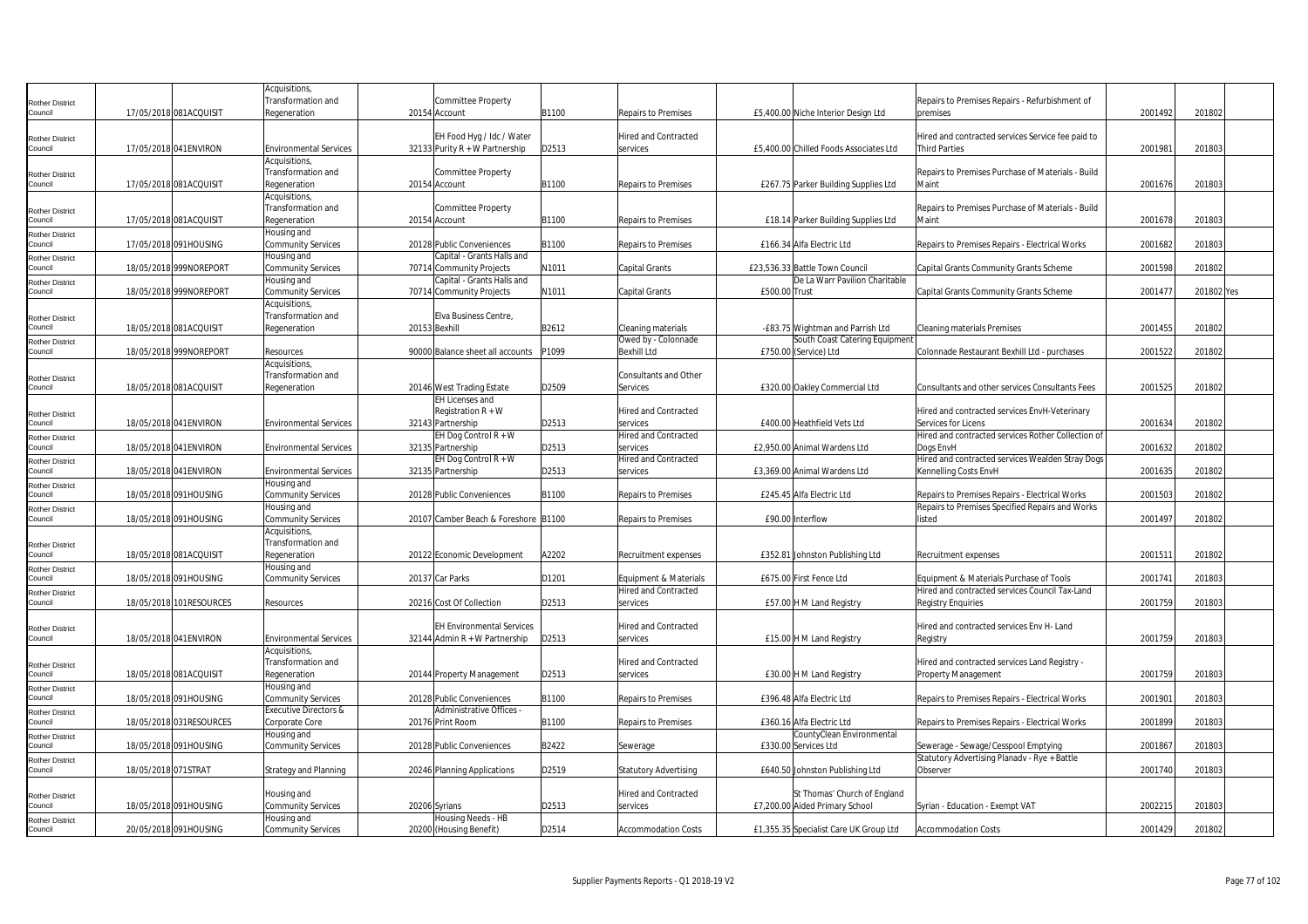|                                   |                         | Acquisitions,                    |                                      |       |                              |               |                                        |                                                    |         |            |  |
|-----------------------------------|-------------------------|----------------------------------|--------------------------------------|-------|------------------------------|---------------|----------------------------------------|----------------------------------------------------|---------|------------|--|
| <b>Rother District</b>            |                         | Transformation and               | Committee Property                   |       |                              |               |                                        | Repairs to Premises Repairs - Refurbishment of     |         |            |  |
| Council                           | 17/05/2018 081ACQUISIT  | Regeneration                     | 20154 Account                        | B1100 | Repairs to Premises          |               | £5,400.00 Niche Interior Design Ltd    | premises                                           | 2001492 | 201802     |  |
|                                   |                         |                                  |                                      |       |                              |               |                                        |                                                    |         |            |  |
| <b>Rother District</b>            |                         |                                  | EH Food Hyg / Idc / Water            |       | Hired and Contracted         |               |                                        | Hired and contracted services Service fee paid to  |         |            |  |
| Council                           | 17/05/2018 041 ENVIRON  | <b>Environmental Services</b>    | 32133 Purity $R + W$ Partnership     | D2513 | services                     |               | £5,400.00 Chilled Foods Associates Ltd | <b>Third Parties</b>                               | 2001981 | 201803     |  |
|                                   |                         | Acquisitions,                    |                                      |       |                              |               |                                        |                                                    |         |            |  |
|                                   |                         | Transformation and               | <b>Committee Property</b>            |       |                              |               |                                        | Repairs to Premises Purchase of Materials - Build  |         |            |  |
| <b>Rother District</b><br>Council |                         |                                  |                                      |       |                              |               |                                        | Maint                                              |         |            |  |
|                                   | 17/05/2018 081ACQUISIT  | Regeneration                     | 20154 Account                        | B1100 | Repairs to Premises          |               | £267.75 Parker Building Supplies Ltd   |                                                    | 2001676 | 201803     |  |
|                                   |                         | Acquisitions,                    |                                      |       |                              |               |                                        |                                                    |         |            |  |
| <b>Rother District</b>            |                         | Transformation and               | Committee Property                   |       |                              |               |                                        | Repairs to Premises Purchase of Materials - Build  |         |            |  |
| Council                           | 17/05/2018 081ACQUISIT  | Regeneration                     | 20154 Account                        | B1100 | <b>Repairs to Premises</b>   |               | £18.14 Parker Building Supplies Ltd    | Maint                                              | 2001678 | 201803     |  |
| <b>Rother District</b>            |                         | Housing and                      |                                      |       |                              |               |                                        |                                                    |         |            |  |
| Council                           | 17/05/2018 091HOUSING   | <b>Community Services</b>        | 20128 Public Conveniences            | B1100 | Repairs to Premises          |               | £166.34 Alfa Electric Ltd              | Repairs to Premises Repairs - Electrical Works     | 2001682 | 201803     |  |
| <b>Rother District</b>            |                         | Housing and                      | Capital - Grants Halls and           |       |                              |               |                                        |                                                    |         |            |  |
| Council                           | 18/05/2018 999NOREPORT  | <b>Community Services</b>        | 70714 Community Projects             | N1011 | Capital Grants               |               | £23,536.33 Battle Town Council         | Capital Grants Community Grants Scheme             | 2001598 | 201802     |  |
| <b>Rother District</b>            |                         | Housing and                      | Capital - Grants Halls and           |       |                              |               | De La Warr Pavilion Charitable         |                                                    |         |            |  |
| Council                           | 18/05/2018 999NOREPORT  | <b>Community Services</b>        | 70714 Community Projects             | N1011 | Capital Grants               | £500.00 Trust |                                        | Capital Grants Community Grants Scheme             | 2001477 | 201802 Yes |  |
|                                   |                         | Acquisitions,                    |                                      |       |                              |               |                                        |                                                    |         |            |  |
| <b>Rother District</b>            |                         | Transformation and               | Elva Business Centre                 |       |                              |               |                                        |                                                    |         |            |  |
| Council                           | 18/05/2018 081ACQUISIT  | Regeneration                     | 20153 Bexhill                        | B2612 | Cleaning materials           |               | -£83.75 Wightman and Parrish Ltd       | <b>Cleaning materials Premises</b>                 | 2001455 | 201802     |  |
| <b>Rother District</b>            |                         |                                  |                                      |       | Owed by - Colonnade          |               | South Coast Catering Equipment         |                                                    |         |            |  |
| Council                           | 18/05/2018 999NOREPORT  | Resources                        | 90000 Balance sheet all accounts     | P1099 | Bexhill Ltd                  |               | £750.00 (Service) Ltd                  | Colonnade Restaurant Bexhill Ltd - purchases       | 2001522 | 201802     |  |
|                                   |                         | Acquisitions.                    |                                      |       |                              |               |                                        |                                                    |         |            |  |
|                                   |                         | Transformation and               |                                      |       | Consultants and Other        |               |                                        |                                                    |         |            |  |
| <b>Rother District</b><br>Council | 18/05/2018 081ACQUISIT  | Regeneration                     | 20146 West Trading Estate            | D2509 | Services                     |               | £320.00 Oakley Commercial Ltd          | Consultants and other services Consultants Fees    | 2001525 | 201802     |  |
|                                   |                         |                                  | <b>EH Licenses and</b>               |       |                              |               |                                        |                                                    |         |            |  |
|                                   |                         |                                  | Registration $R + W$                 |       | Hired and Contracted         |               |                                        | Hired and contracted services EnvH-Veterinary      |         |            |  |
| <b>Rother District</b><br>Council | 18/05/2018 041 ENVIRON  | <b>Environmental Services</b>    | 32143 Partnership                    | D2513 | services                     |               | £400.00 Heathfield Vets Ltd            | Services for Licens                                | 2001634 | 201802     |  |
|                                   |                         |                                  |                                      |       |                              |               |                                        |                                                    |         |            |  |
| <b>Rother District</b>            |                         |                                  | EH Dog Control R + W                 |       | Hired and Contracted         |               |                                        | Hired and contracted services Rother Collection of |         |            |  |
| Council                           | 18/05/2018 041ENVIRON   | <b>Environmental Services</b>    | 32135 Partnership                    | D2513 | services                     |               | £2,950.00 Animal Wardens Ltd           | Doas EnvH                                          | 2001632 | 201802     |  |
| <b>Rother District</b>            |                         |                                  | EH Dog Control $R + W$               |       | Hired and Contracted         |               |                                        | Hired and contracted services Wealden Stray Dogs   |         |            |  |
| Council                           | 18/05/2018 041ENVIRON   | <b>Environmental Services</b>    | 32135 Partnership                    | D2513 | services                     |               | £3,369.00 Animal Wardens Ltd           | Kennelling Costs EnvH                              | 2001635 | 201802     |  |
| <b>Rother District</b>            |                         | Housing and                      |                                      |       |                              |               |                                        |                                                    |         |            |  |
| Council                           | 18/05/2018 091HOUSING   | <b>Community Services</b>        | 20128 Public Conveniences            | B1100 | Repairs to Premises          |               | £245.45 Alfa Electric Ltd              | Repairs to Premises Repairs - Electrical Works     | 2001503 | 201802     |  |
| <b>Rother District</b>            |                         | Housing and                      |                                      |       |                              |               |                                        | Repairs to Premises Specified Repairs and Works    |         |            |  |
| Council                           | 18/05/2018 091HOUSING   | <b>Community Services</b>        | 20107 Camber Beach & Foreshore B1100 |       | Repairs to Premises          |               | £90.00 Interflow                       | listed                                             | 2001497 | 201802     |  |
|                                   |                         | Acquisitions,                    |                                      |       |                              |               |                                        |                                                    |         |            |  |
| <b>Rother District</b>            |                         | Transformation and               |                                      |       |                              |               |                                        |                                                    |         |            |  |
| Council                           | 18/05/2018 081ACQUISIT  | Regeneration                     | 20122 Economic Development           | A2202 | Recruitment expenses         |               | £352.81 Johnston Publishing Ltd        | Recruitment expenses                               | 2001511 | 201802     |  |
| <b>Rother District</b>            |                         | Housing and                      |                                      |       |                              |               |                                        |                                                    |         |            |  |
| Council                           | 18/05/2018 091HOUSING   | <b>Community Services</b>        | 20137 Car Parks                      | D1201 | Equipment & Materials        |               | £675.00 First Fence Ltd                | Equipment & Materials Purchase of Tools            | 2001741 | 201803     |  |
| <b>Rother District</b>            |                         |                                  |                                      |       | Hired and Contracted         |               |                                        | Hired and contracted services Council Tax-Land     |         |            |  |
| Council                           | 18/05/2018 101RESOURCES | Resources                        | 20216 Cost Of Collection             | D2513 | services                     |               | £57.00 H M Land Registry               | <b>Registry Enquiries</b>                          | 2001759 | 201803     |  |
|                                   |                         |                                  |                                      |       |                              |               |                                        |                                                    |         |            |  |
| <b>Rother District</b>            |                         |                                  | <b>EH Environmental Services</b>     |       | Hired and Contracted         |               |                                        | Hired and contracted services Env H- Land          |         |            |  |
| Council                           | 18/05/2018 041 ENVIRON  | <b>Environmental Services</b>    | 32144 Admin $R + W$ Partnership      | D2513 | services                     |               | £15.00 H M Land Registry               | Registry                                           | 2001759 | 201803     |  |
|                                   |                         | Acquisitions,                    |                                      |       |                              |               |                                        |                                                    |         |            |  |
|                                   |                         | Transformation and               |                                      |       | Hired and Contracted         |               |                                        | Hired and contracted services Land Registry -      |         |            |  |
| <b>Rother District</b><br>Council | 18/05/2018 081ACQUISIT  | Regeneration                     | 20144 Property Management            | D2513 | services                     |               | £30.00 H M Land Registry               | Property Management                                | 2001759 | 201803     |  |
|                                   |                         | Housing and                      |                                      |       |                              |               |                                        |                                                    |         |            |  |
| <b>Rother District</b>            |                         |                                  |                                      |       |                              |               | £396.48 Alfa Electric Ltd              |                                                    | 2001901 | 201803     |  |
| Council                           | 18/05/2018 091HOUSING   | <b>Community Services</b>        | 20128 Public Conveniences            | B1100 | Repairs to Premises          |               |                                        | Repairs to Premises Repairs - Electrical Works     |         |            |  |
| <b>Rother District</b>            |                         | <b>Executive Directors &amp;</b> | Administrative Offices -             |       |                              |               |                                        |                                                    |         |            |  |
| Council                           | 18/05/2018 031RESOURCES | Corporate Core                   | 20176 Print Room                     | B1100 | Repairs to Premises          |               | £360.16 Alfa Electric Ltd              | Repairs to Premises Repairs - Electrical Works     | 2001899 | 201803     |  |
| <b>Rother District</b>            |                         | Housing and                      |                                      |       |                              |               | CountyClean Environmental              |                                                    |         |            |  |
| Council                           | 18/05/2018 091HOUSING   | <b>Community Services</b>        | 20128 Public Conveniences            | B2422 | Sewerage                     |               | £330.00 Services Ltd                   | Sewerage - Sewage/Cesspool Emptying                | 2001867 | 201803     |  |
| <b>Rother District</b>            |                         |                                  |                                      |       |                              |               |                                        | Statutory Advertising Planadv - Rye + Battle       |         |            |  |
| Council                           | 18/05/2018 071STRAT     | <b>Strategy and Planning</b>     | 20246 Planning Applications          | D2519 | <b>Statutory Advertising</b> |               | £640.50 Johnston Publishing Ltd        | Observer                                           | 2001740 | 201803     |  |
|                                   |                         |                                  |                                      |       |                              |               |                                        |                                                    |         |            |  |
| <b>Rother District</b>            |                         | Housing and                      |                                      |       | Hired and Contracted         |               | St Thomas' Church of England           |                                                    |         |            |  |
| Council                           | 18/05/2018 091HOUSING   | <b>Community Services</b>        | 20206 Syrians                        | D2513 | services                     |               | £7,200.00 Aided Primary School         | Syrian - Education - Exempt VAT                    | 2002215 | 201803     |  |
| <b>Rother District</b>            |                         | Housing and                      | Housing Needs - HB                   |       |                              |               |                                        |                                                    |         |            |  |
| Council                           | 20/05/2018 091HOUSING   | <b>Community Services</b>        | 20200 (Housing Benefit)              | D2514 | Accommodation Costs          |               | £1,355.35 Specialist Care UK Group Ltd | <b>Accommodation Costs</b>                         | 2001429 | 201802     |  |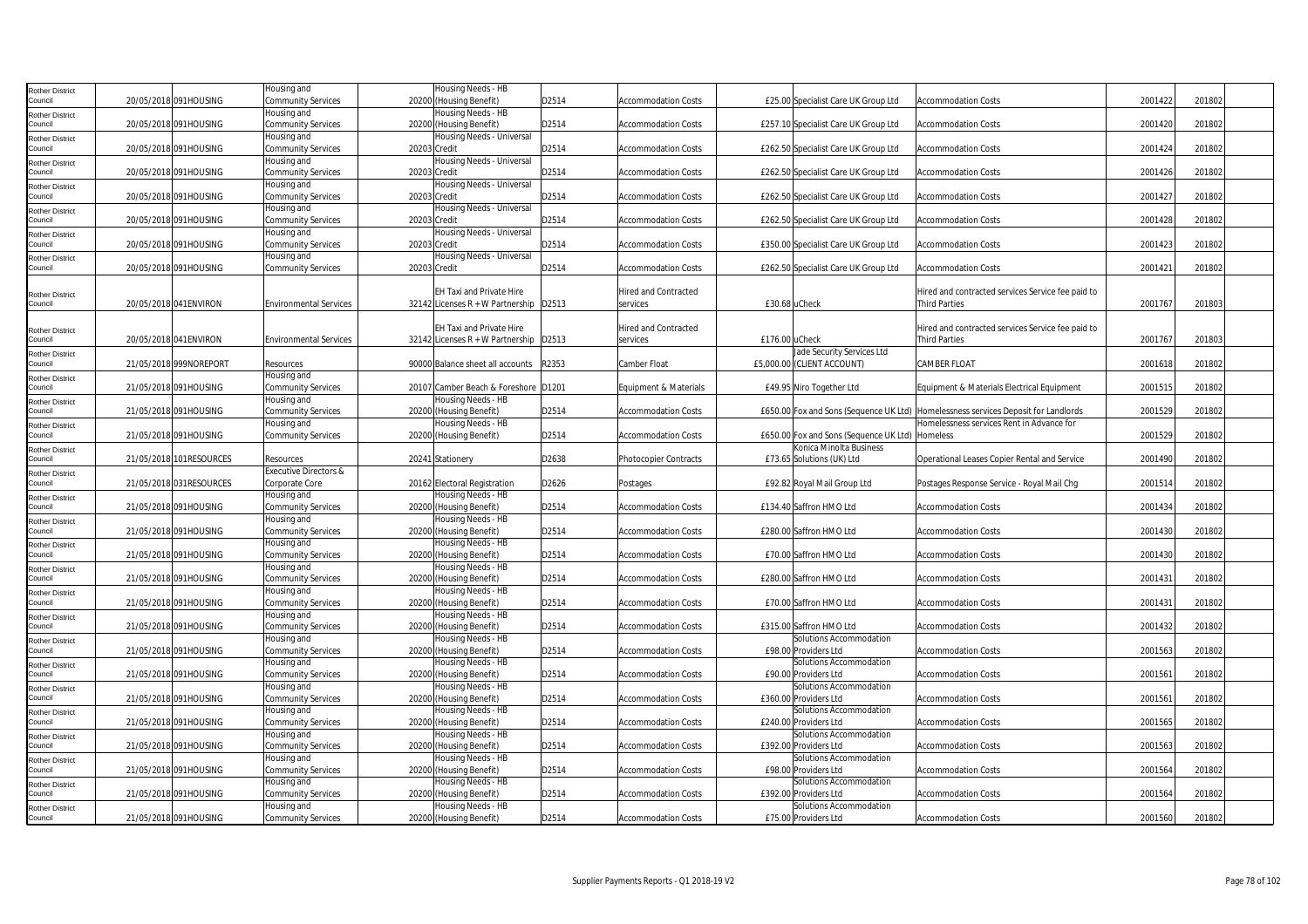| <b>Rother District</b>            |                         | Housing and                              |              | Housing Needs - HB                                   |       |                            |                |                                                  |                                                                                                                                 |         |        |  |
|-----------------------------------|-------------------------|------------------------------------------|--------------|------------------------------------------------------|-------|----------------------------|----------------|--------------------------------------------------|---------------------------------------------------------------------------------------------------------------------------------|---------|--------|--|
| Council                           | 20/05/2018 091HOUSING   | <b>Community Services</b>                |              | 20200 (Housing Benefit)                              | D2514 | Accommodation Costs        |                | £25.00 Specialist Care UK Group Ltd              | <b>Accommodation Costs</b>                                                                                                      | 2001422 | 201802 |  |
| <b>Rother District</b>            |                         | Housing and                              |              | Housing Needs - HB                                   |       |                            |                |                                                  |                                                                                                                                 |         |        |  |
| Council                           | 20/05/2018 091HOUSING   | Community Services<br>Housing and        |              | 20200 (Housing Benefit)<br>Housing Needs - Universal | D2514 | <b>Accommodation Costs</b> |                | £257.10 Specialist Care UK Group Ltd             | <b>Accommodation Costs</b>                                                                                                      | 2001420 | 201802 |  |
| Rother District<br>Council        | 20/05/2018 091HOUSING   | <b>Community Services</b>                | 20203 Credit |                                                      | D2514 | Accommodation Costs        |                | £262.50 Specialist Care UK Group Ltd             | <b>Accommodation Costs</b>                                                                                                      | 2001424 | 201802 |  |
|                                   |                         | Housing and                              |              | Housing Needs - Universal                            |       |                            |                |                                                  |                                                                                                                                 |         |        |  |
| <b>Rother District</b><br>Council | 20/05/2018 091HOUSING   | <b>Community Services</b>                | 20203 Credit |                                                      | D2514 | <b>Accommodation Costs</b> |                | £262.50 Specialist Care UK Group Ltd             | <b>Accommodation Costs</b>                                                                                                      | 2001426 | 201802 |  |
| <b>Rother District</b>            |                         | Housing and                              |              | Housing Needs - Universal                            |       |                            |                |                                                  |                                                                                                                                 |         |        |  |
| Council                           | 20/05/2018 091HOUSING   | <b>Community Services</b>                | 20203 Credit |                                                      | D2514 | <b>Accommodation Costs</b> |                | £262.50 Specialist Care UK Group Ltd             | <b>Accommodation Costs</b>                                                                                                      | 2001427 | 201802 |  |
| <b>Rother District</b>            |                         | Housing and                              |              | Housing Needs - Universal                            |       |                            |                |                                                  |                                                                                                                                 |         |        |  |
| Council                           | 20/05/2018 091HOUSING   | <b>Community Services</b>                | 20203 Credit |                                                      | D2514 | Accommodation Costs        |                | £262.50 Specialist Care UK Group Ltd             | <b>Accommodation Costs</b>                                                                                                      | 2001428 | 201802 |  |
| <b>Rother District</b>            |                         | Housing and                              |              | Housing Needs - Universal                            |       |                            |                |                                                  |                                                                                                                                 |         |        |  |
| Council                           | 20/05/2018 091HOUSING   | <b>Community Services</b>                | 20203 Credit |                                                      | D2514 | <b>Accommodation Costs</b> |                | £350.00 Specialist Care UK Group Ltd             | <b>Accommodation Costs</b>                                                                                                      | 2001423 | 201802 |  |
| Rother District                   |                         | Housing and                              |              | Housing Needs - Universal                            |       |                            |                |                                                  |                                                                                                                                 |         |        |  |
| Council                           | 20/05/2018 091HOUSING   | <b>Community Services</b>                | 20203 Credit |                                                      | D2514 | <b>Accommodation Costs</b> |                | £262.50 Specialist Care UK Group Ltd             | <b>Accommodation Costs</b>                                                                                                      | 2001421 | 201802 |  |
|                                   |                         |                                          |              | <b>EH Taxi and Private Hire</b>                      |       | Hired and Contracted       |                |                                                  | Hired and contracted services Service fee paid to                                                                               |         |        |  |
| <b>Rother District</b><br>Council | 20/05/2018 041 ENVIRON  | <b>Environmental Services</b>            |              | 32142 Licenses R + W Partnership   D2513             |       | services                   | £30.68 uCheck  |                                                  | <b>Third Parties</b>                                                                                                            | 2001767 | 201803 |  |
|                                   |                         |                                          |              |                                                      |       |                            |                |                                                  |                                                                                                                                 |         |        |  |
| <b>Rother District</b>            |                         |                                          |              | <b>EH Taxi and Private Hire</b>                      |       | Hired and Contracted       |                |                                                  | Hired and contracted services Service fee paid to                                                                               |         |        |  |
| Council                           | 20/05/2018 041 ENVIRON  | <b>Environmental Services</b>            |              | 32142 Licenses R + W Partnership   D2513             |       | services                   | £176.00 uCheck |                                                  | <b>Third Parties</b>                                                                                                            | 2001767 | 201803 |  |
| <b>Rother District</b>            |                         |                                          |              |                                                      |       |                            |                | Jade Security Services Ltd                       |                                                                                                                                 |         |        |  |
| Council                           | 21/05/2018 999NOREPORT  | Resources                                |              | 90000 Balance sheet all accounts                     | R2353 | Camber Float               |                | £5,000.00 (CLIENT ACCOUNT)                       | CAMBER FLOAT                                                                                                                    | 2001618 | 201802 |  |
| <b>Rother District</b>            |                         | Housing and                              |              |                                                      |       |                            |                |                                                  |                                                                                                                                 |         |        |  |
| Council                           | 21/05/2018 091HOUSING   | <b>Community Services</b>                |              | 20107 Camber Beach & Foreshore D1201                 |       | Equipment & Materials      |                | £49.95 Niro Together Ltd                         | Equipment & Materials Electrical Equipment                                                                                      | 2001515 | 201802 |  |
| Rother District<br>Council        |                         | Housing and                              |              | Housing Needs - HB                                   |       |                            |                |                                                  |                                                                                                                                 |         |        |  |
|                                   | 21/05/2018 091HOUSING   | <b>Community Services</b><br>Housing and |              | 20200 (Housing Benefit)<br>Housing Needs - HB        | D2514 | <b>Accommodation Costs</b> |                |                                                  | £650.00 Fox and Sons (Sequence UK Ltd) Homelessness services Deposit for Landlords<br>Homelessness services Rent in Advance for | 2001529 | 201802 |  |
| <b>Rother District</b><br>Council | 21/05/2018 091HOUSING   | <b>Community Services</b>                |              | 20200 (Housing Benefit)                              | D2514 | <b>Accommodation Costs</b> |                | £650.00 Fox and Sons (Sequence UK Ltd) Homeless  |                                                                                                                                 | 2001529 | 201802 |  |
| <b>Rother District</b>            |                         |                                          |              |                                                      |       |                            |                | Konica Minolta Business                          |                                                                                                                                 |         |        |  |
| Council                           | 21/05/2018 101RESOURCES | Resources                                |              | 20241 Stationery                                     | D2638 | Photocopier Contracts      |                | £73.65 Solutions (UK) Ltd                        | Operational Leases Copier Rental and Service                                                                                    | 2001490 | 201802 |  |
| <b>Rother District</b>            |                         | <b>Executive Directors &amp;</b>         |              |                                                      |       |                            |                |                                                  |                                                                                                                                 |         |        |  |
| Council                           | 21/05/2018 031RESOURCES | Corporate Core                           |              | 20162 Electoral Registration                         | D2626 | Postages                   |                | £92.82 Royal Mail Group Ltd                      | Postages Response Service - Royal Mail Chg                                                                                      | 2001514 | 201802 |  |
| Rother District                   |                         | Housing and                              |              | Housing Needs - HB                                   |       |                            |                |                                                  |                                                                                                                                 |         |        |  |
| Council                           | 21/05/2018 091HOUSING   | <b>Community Services</b>                |              | 20200 (Housing Benefit)                              | D2514 | <b>Accommodation Costs</b> |                | £134.40 Saffron HMO Ltd                          | <b>Accommodation Costs</b>                                                                                                      | 2001434 | 201802 |  |
| <b>Rother District</b>            |                         | Housing and                              |              | Housing Needs - HB                                   |       |                            |                |                                                  |                                                                                                                                 |         |        |  |
| Council                           | 21/05/2018 091HOUSING   | <b>Community Services</b>                |              | 20200 (Housing Benefit)                              | D2514 | <b>Accommodation Costs</b> |                | £280.00 Saffron HMO Ltd                          | <b>Accommodation Costs</b>                                                                                                      | 2001430 | 201802 |  |
| <b>Rother District</b><br>Council | 21/05/2018 091HOUSING   | Housing and<br><b>Community Services</b> |              | Housing Needs - HB<br>20200 (Housing Benefit)        | D2514 | <b>Accommodation Costs</b> |                | £70.00 Saffron HMO Ltd                           | <b>Accommodation Costs</b>                                                                                                      | 2001430 | 201802 |  |
|                                   |                         | Housing and                              |              | Housing Needs - HB                                   |       |                            |                |                                                  |                                                                                                                                 |         |        |  |
| <b>Rother District</b><br>Council | 21/05/2018 091HOUSING   | <b>Community Services</b>                |              | 20200 (Housing Benefit)                              | D2514 | Accommodation Costs        |                | £280.00 Saffron HMO Ltd                          | <b>Accommodation Costs</b>                                                                                                      | 2001431 | 201802 |  |
| <b>Rother District</b>            |                         | Housing and                              |              | Housing Needs - HB                                   |       |                            |                |                                                  |                                                                                                                                 |         |        |  |
| Council                           | 21/05/2018 091HOUSING   | Community Services                       |              | 20200 (Housing Benefit)                              | D2514 | <b>Accommodation Costs</b> |                | £70.00 Saffron HMO Ltd                           | <b>Accommodation Costs</b>                                                                                                      | 2001431 | 201802 |  |
| Rother District                   |                         | Housing and                              |              | Housing Needs - HB                                   |       |                            |                |                                                  |                                                                                                                                 |         |        |  |
| Council                           | 21/05/2018 091HOUSING   | <b>Community Services</b>                |              | 20200 (Housing Benefit)                              | D2514 | Accommodation Costs        |                | £315.00 Saffron HMO Ltd                          | <b>Accommodation Costs</b>                                                                                                      | 2001432 | 201802 |  |
| Rother District                   |                         | Housing and                              |              | Housing Needs - HB                                   |       |                            |                | Solutions Accommodation                          |                                                                                                                                 |         |        |  |
| Council                           | 21/05/2018 091HOUSING   | <b>Community Services</b>                |              | 20200 (Housing Benefit)                              | D2514 | <b>Accommodation Costs</b> |                | £98.00 Providers Ltd                             | <b>Accommodation Costs</b>                                                                                                      | 2001563 | 201802 |  |
| Rother District<br>Council        | 21/05/2018 091HOUSING   | Housing and<br><b>Community Services</b> |              | Housing Needs - HB<br>20200 (Housing Benefit)        | D2514 | <b>Accommodation Costs</b> |                | Solutions Accommodation<br>£90.00 Providers Ltd  | <b>Accommodation Costs</b>                                                                                                      | 200156  | 201802 |  |
|                                   |                         | Housing and                              |              | Housing Needs - HB                                   |       |                            |                | Solutions Accommodation                          |                                                                                                                                 |         |        |  |
| <b>Rother District</b><br>Council | 21/05/2018 091HOUSING   | <b>Community Services</b>                |              | 20200 (Housing Benefit)                              | D2514 | <b>Accommodation Costs</b> |                | £360.00 Providers Ltd                            | <b>Accommodation Costs</b>                                                                                                      | 2001561 | 201802 |  |
| <b>Rother District</b>            |                         | Housing and                              |              | Housing Needs - HB                                   |       |                            |                | Solutions Accommodation                          |                                                                                                                                 |         |        |  |
| Council                           | 21/05/2018 091HOUSING   | <b>Community Services</b>                |              | 20200 (Housing Benefit)                              | D2514 | <b>Accommodation Costs</b> |                | £240.00 Providers Ltd                            | <b>Accommodation Costs</b>                                                                                                      | 2001565 | 201802 |  |
| <b>Rother District</b>            |                         | Housing and                              |              | Housing Needs - HB                                   |       |                            |                | Solutions Accommodation                          |                                                                                                                                 |         |        |  |
| Council                           | 21/05/2018 091HOUSING   | <b>Community Services</b>                |              | 20200 (Housing Benefit)                              | D2514 | <b>Accommodation Costs</b> |                | £392.00 Providers Ltd                            | <b>Accommodation Costs</b>                                                                                                      | 2001563 | 201802 |  |
| <b>Rother District</b>            |                         | Housing and                              |              | Housing Needs - HB                                   |       |                            |                | Solutions Accommodation                          |                                                                                                                                 |         |        |  |
| Council                           | 21/05/2018 091HOUSING   | <b>Community Services</b>                |              | 20200 (Housing Benefit)                              | D2514 | <b>Accommodation Costs</b> |                | £98.00 Providers Ltd                             | <b>Accommodation Costs</b>                                                                                                      | 2001564 | 201802 |  |
| <b>Rother District</b><br>Council | 21/05/2018 091HOUSING   | Housing and                              |              | Housing Needs - HB<br>20200 (Housing Benefit)        | D2514 | <b>Accommodation Costs</b> |                | Solutions Accommodation<br>£392.00 Providers Ltd | <b>Accommodation Costs</b>                                                                                                      | 2001564 | 201802 |  |
|                                   |                         | <b>Community Services</b><br>Housing and |              | Housing Needs - HB                                   |       |                            |                | Solutions Accommodation                          |                                                                                                                                 |         |        |  |
| <b>Rother District</b><br>Council | 21/05/2018 091HOUSING   | <b>Community Services</b>                |              | 20200 (Housing Benefit)                              | D2514 | <b>Accommodation Costs</b> |                | £75.00 Providers Ltd                             | <b>Accommodation Costs</b>                                                                                                      | 2001560 | 201802 |  |
|                                   |                         |                                          |              |                                                      |       |                            |                |                                                  |                                                                                                                                 |         |        |  |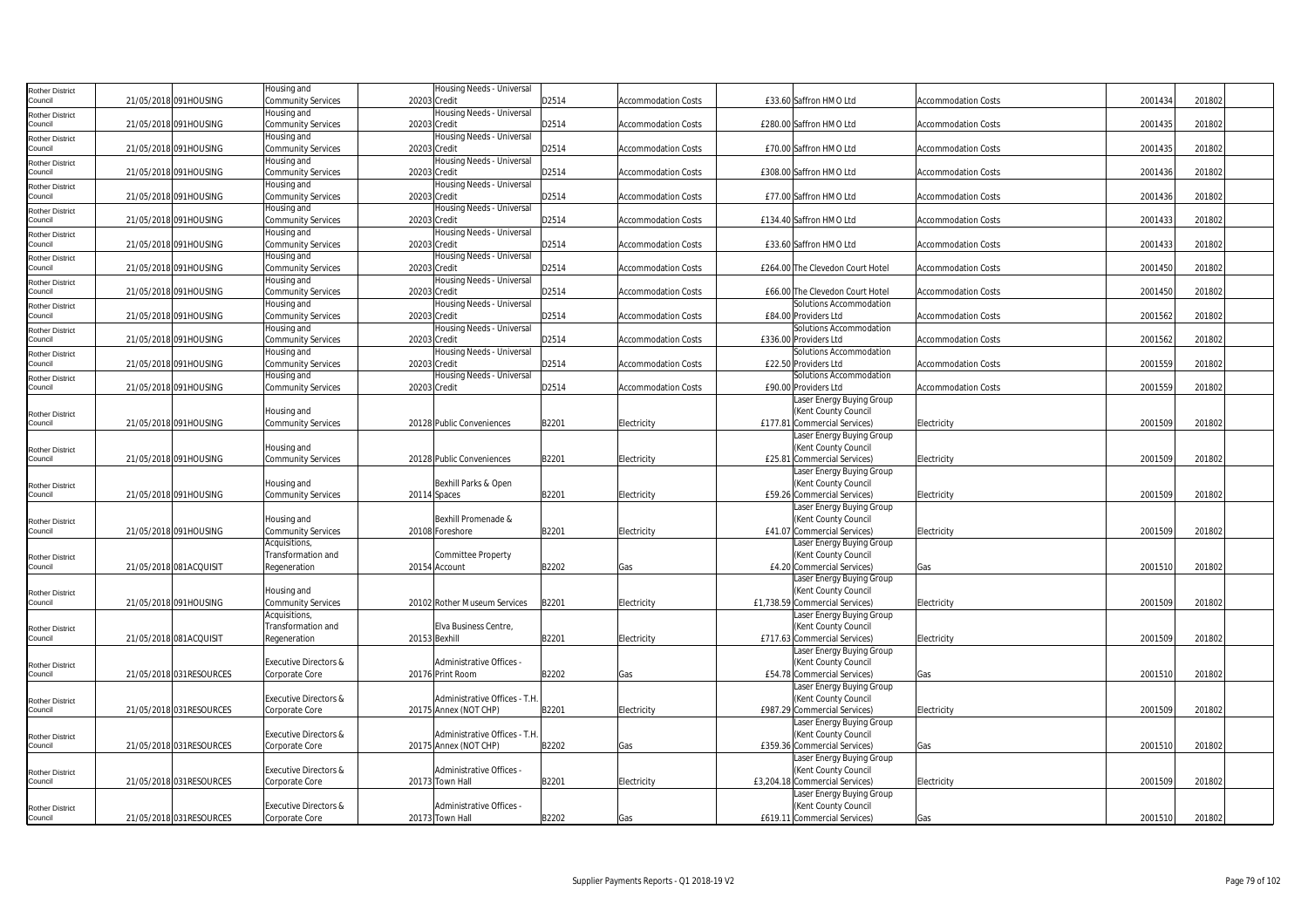| Rother District                   |                          | Housing and                                        | Housing Needs - Universal                             |       |                            |                                                      |                            |         |        |
|-----------------------------------|--------------------------|----------------------------------------------------|-------------------------------------------------------|-------|----------------------------|------------------------------------------------------|----------------------------|---------|--------|
| Council                           | 21/05/2018 091HOUSING    | <b>Community Services</b>                          | 20203 Credit                                          | D2514 | <b>Accommodation Costs</b> | £33.60 Saffron HMO Ltd                               | <b>Accommodation Costs</b> | 2001434 | 201802 |
| Rother District                   |                          | Housing and                                        | Housing Needs - Universal                             |       |                            |                                                      |                            |         |        |
| Council                           | 21/05/2018 091HOUSING    | <b>Community Services</b>                          | 20203 Credit                                          | D2514 | <b>Accommodation Costs</b> | £280.00 Saffron HMO Ltd                              | <b>Accommodation Costs</b> | 2001435 | 201802 |
| <b>Rother District</b>            |                          | Housing and                                        | Housing Needs - Universal                             |       |                            |                                                      |                            |         |        |
| Council                           | 21/05/2018 091HOUSING    | <b>Community Services</b>                          | 20203 Credit                                          | D2514 | <b>Accommodation Costs</b> | £70.00 Saffron HMO Ltd                               | <b>Accommodation Costs</b> | 2001435 | 201802 |
| Rother District                   |                          | Housing and                                        | Housing Needs - Universal                             |       |                            |                                                      |                            |         |        |
| Council                           | 21/05/2018 091HOUSING    | <b>Community Services</b>                          | 20203 Credit                                          | D2514 | <b>Accommodation Costs</b> | £308.00 Saffron HMO Ltd                              | <b>Accommodation Costs</b> | 2001436 | 201802 |
| Rother District                   |                          | Housing and                                        | Housing Needs - Universal                             |       |                            |                                                      |                            |         |        |
| Council                           | 21/05/2018 091HOUSING    | <b>Community Services</b>                          | 20203 Credit                                          | D2514 | <b>Accommodation Costs</b> | £77.00 Saffron HMO Ltd                               | Accommodation Costs        | 2001436 | 201802 |
| Rother District                   |                          | Housing and                                        | Housing Needs - Universal                             |       |                            |                                                      |                            |         |        |
| Council                           | 21/05/2018 091HOUSING    | <b>Community Services</b>                          | 20203 Credit                                          | D2514 | <b>Accommodation Costs</b> | £134.40 Saffron HMO Ltd                              | <b>Accommodation Costs</b> | 2001433 | 201802 |
| Rother District                   |                          | Housing and                                        | Housing Needs - Universal                             |       |                            |                                                      |                            |         |        |
| ouncil                            | 21/05/2018 091HOUSING    | <b>Community Services</b>                          | 20203 Credit                                          | D2514 | <b>Accommodation Costs</b> | £33.60 Saffron HMO Ltd                               | <b>Accommodation Costs</b> | 2001433 | 201802 |
| <b>Rother District</b>            |                          | Housing and                                        | Housing Needs - Universal                             |       |                            |                                                      |                            |         |        |
| Council                           | 21/05/2018 091HOUSING    | <b>Community Services</b>                          | 20203 Credit                                          | D2514 | <b>Accommodation Costs</b> | £264.00 The Clevedon Court Hotel                     | <b>Accommodation Costs</b> | 2001450 | 201802 |
| Rother District                   |                          | Housing and                                        | Housing Needs - Universal                             |       |                            |                                                      |                            |         |        |
| Council                           | 21/05/2018 091HOUSING    | <b>Community Services</b>                          | 20203 Credit                                          | D2514 | <b>Accommodation Costs</b> | £66.00 The Clevedon Court Hotel                      | <b>Accommodation Costs</b> | 2001450 | 201802 |
| Rother District                   |                          | lousing and                                        | Housing Needs - Universal                             |       |                            | Solutions Accommodation                              |                            |         |        |
| Council                           | 21/05/2018 091HOUSING    | <b>Community Services</b>                          | 20203 Credit                                          | D2514 | <b>Accommodation Costs</b> | £84.00 Providers Ltd                                 | <b>Accommodation Costs</b> | 2001562 | 201802 |
| Rother District                   |                          | Housing and                                        | Housing Needs - Universal                             |       |                            | Solutions Accommodation                              |                            |         |        |
| Council                           | 21/05/2018 091HOUSING    | <b>Community Services</b>                          | 20203 Credit                                          | D2514 | <b>Accommodation Costs</b> | £336.00 Providers Ltd                                | <b>Accommodation Costs</b> | 2001562 | 201802 |
| Rother District                   |                          | Housing and                                        | Housing Needs - Universal                             |       |                            | Solutions Accommodation                              |                            |         |        |
| ouncil                            | 21/05/2018 091HOUSING    | Community Services                                 | 20203 Credit                                          | D2514 | <b>Accommodation Costs</b> | £22.50 Providers Ltd                                 | <b>Accommodation Costs</b> | 2001559 | 201802 |
| Rother District                   |                          | Housing and                                        | Housing Needs - Universal                             |       |                            | Solutions Accommodation                              |                            |         |        |
| Council                           | 21/05/2018 091HOUSING    | <b>Community Services</b>                          | 20203 Credit                                          | D2514 | <b>Accommodation Costs</b> | £90.00 Providers Ltd                                 | <b>Accommodation Costs</b> | 2001559 | 201802 |
|                                   |                          |                                                    |                                                       |       |                            | Laser Energy Buying Group                            |                            |         |        |
| <b>Rother District</b>            |                          | lousing and                                        |                                                       |       |                            | (Kent County Council                                 |                            |         |        |
| Council                           | 21/05/2018 091HOUSING    | <b>Community Services</b>                          | 20128 Public Conveniences                             | B2201 | Electricity                | £177.81 Commercial Services)                         | Electricity                | 2001509 | 201802 |
|                                   |                          |                                                    |                                                       |       |                            | Laser Energy Buying Group                            |                            |         |        |
| <b>Rother District</b>            |                          | Housing and                                        |                                                       |       |                            | (Kent County Council                                 |                            |         |        |
| Council                           | 21/05/2018 091HOUSING    | <b>Community Services</b>                          | 20128 Public Conveniences                             | B2201 | Electricity                | £25.81 Commercial Services)                          | Electricity                | 2001509 | 201802 |
|                                   |                          |                                                    |                                                       |       |                            | Laser Energy Buying Group                            |                            |         |        |
| Rother District                   |                          | Housing and                                        | Bexhill Parks & Open                                  |       |                            | (Kent County Council                                 |                            |         |        |
| Council                           | 21/05/2018 091HOUSING    | <b>Community Services</b>                          | 20114 Spaces                                          | B2201 | Electricity                | £59.26 Commercial Services)                          | Electricity                | 2001509 | 201802 |
|                                   |                          |                                                    |                                                       |       |                            | Laser Energy Buying Group                            |                            |         |        |
| <b>Rother District</b>            |                          | Housing and                                        | Bexhill Promenade &                                   |       |                            | (Kent County Council                                 |                            |         |        |
| Council                           | 21/05/2018 091HOUSING    | <b>Community Services</b>                          | 20108 Foreshore                                       | B2201 | Electricity                | £41.07 Commercial Services)                          | Electricity                | 2001509 | 201802 |
|                                   |                          | Acquisitions                                       |                                                       |       |                            | Laser Energy Buying Group                            |                            |         |        |
| Rother District                   |                          | Transformation and                                 | <b>Committee Property</b>                             |       |                            | (Kent County Council                                 |                            |         |        |
| Council                           | 21/05/2018 081ACQUISIT   | Regeneration                                       | 20154 Account                                         | B2202 | Gas                        | £4.20 Commercial Services)                           | Gas                        | 2001510 | 201802 |
|                                   |                          |                                                    |                                                       |       |                            | Laser Energy Buying Group                            |                            |         |        |
| <b>Rother District</b>            |                          | Housing and                                        |                                                       |       |                            | (Kent County Council                                 |                            |         |        |
| Council                           | 21/05/2018 091HOUSING    | Community Services                                 | 20102 Rother Museum Services                          | B2201 | Electricity                | £1,738.59 Commercial Services)                       | Electricity                | 2001509 | 201802 |
|                                   |                          | <b>Acquisitions</b>                                |                                                       |       |                            | Laser Energy Buying Group                            |                            |         |        |
| <b>Rother District</b>            |                          | Transformation and                                 | Elva Business Centre                                  |       |                            | (Kent County Council                                 |                            |         |        |
| Council                           | 21/05/2018 081ACQUISIT   | Regeneration                                       | 20153 Bexhill                                         | B2201 | Electricity                | £717.63 Commercial Services)                         | Electricity                | 2001509 | 201802 |
|                                   |                          |                                                    |                                                       |       |                            | Laser Energy Buying Group                            |                            |         |        |
| <b>Rother District</b>            |                          | <b>Executive Directors &amp;</b>                   | Administrative Offices -                              |       |                            | (Kent County Council                                 |                            |         |        |
| Council                           | 21/05/2018 031RESOURCES  | Corporate Core                                     | 20176 Print Room                                      | B2202 | Gas                        | £54.78 Commercial Services)                          | Gas                        | 2001510 | 201802 |
|                                   |                          |                                                    |                                                       |       |                            | Laser Energy Buying Group                            |                            |         |        |
| Rother District<br>Council        | 21/05/2018 031RESOURCES  | <b>Executive Directors &amp;</b>                   | Administrative Offices - T.H                          |       |                            | (Kent County Council                                 |                            | 2001509 |        |
|                                   |                          | Corporate Core                                     | 20175 Annex (NOT CHP)                                 | B2201 | Electricity                | £987.29 Commercial Services)                         | Electricity                |         | 201802 |
|                                   |                          |                                                    |                                                       |       |                            | Laser Energy Buying Group                            |                            |         |        |
| Rother District                   | 21/05/2018 031 RESOURCES | <b>Executive Directors &amp;</b><br>Corporate Core | Administrative Offices - T.H<br>20175 Annex (NOT CHP) | B2202 |                            | (Kent County Council<br>£359.36 Commercial Services) |                            | 2001510 | 201802 |
| Council                           |                          |                                                    |                                                       |       | Gas                        |                                                      | Gas                        |         |        |
|                                   |                          | <b>Executive Directors &amp;</b>                   | Administrative Offices -                              |       |                            | Laser Energy Buying Group<br>(Kent County Council    |                            |         |        |
| <b>Rother District</b><br>Council | 21/05/2018 031RESOURCES  | Corporate Core                                     | 20173 Town Hall                                       | B2201 | Electricity                | £3,204.18 Commercial Services)                       | Electricity                | 2001509 | 201802 |
|                                   |                          |                                                    |                                                       |       |                            | Laser Energy Buying Group                            |                            |         |        |
|                                   |                          |                                                    | Administrative Offices -                              |       |                            |                                                      |                            |         |        |
| Rother District<br>Council        |                          | <b>Executive Directors &amp;</b>                   |                                                       | B2202 |                            | (Kent County Council<br>£619.11 Commercial Services) |                            | 2001510 | 201802 |
|                                   | 21/05/2018 031RESOURCES  | Corporate Core                                     | 20173 Town Hall                                       |       | Gas                        |                                                      | Gas                        |         |        |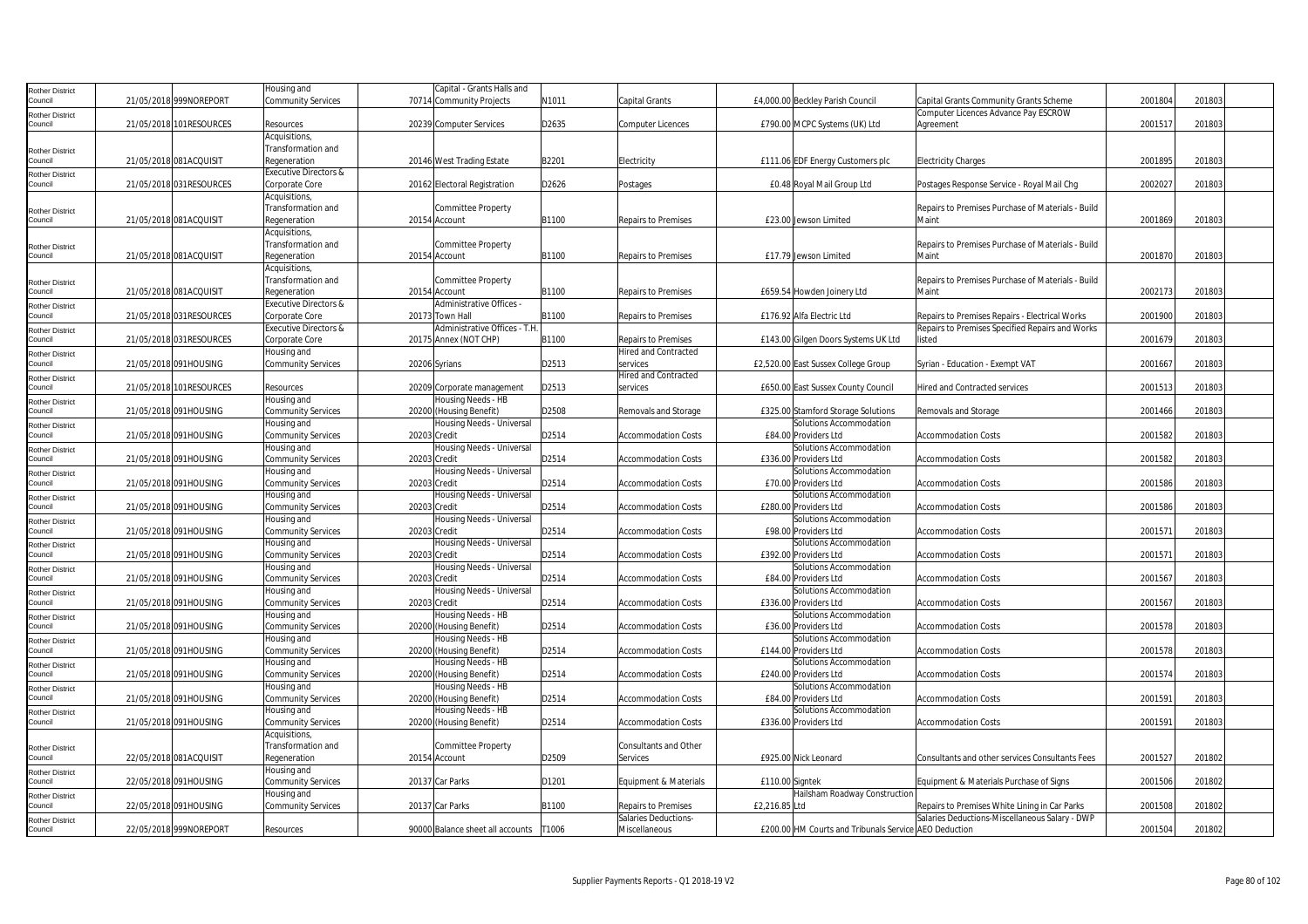| <b>Rother District</b>            |                         | lousing and                      |               | Capital - Grants Halls and       |       |                             |                 |                                                       |                                                            |         |        |  |
|-----------------------------------|-------------------------|----------------------------------|---------------|----------------------------------|-------|-----------------------------|-----------------|-------------------------------------------------------|------------------------------------------------------------|---------|--------|--|
| Council                           | 21/05/2018 999NOREPORT  | <b>Community Services</b>        |               | 70714 Community Projects         | N1011 | Capital Grants              |                 | £4,000.00 Beckley Parish Council                      | Capital Grants Community Grants Scheme                     | 2001804 | 201803 |  |
| <b>Rother District</b>            |                         |                                  |               |                                  |       |                             |                 |                                                       | Computer Licences Advance Pay ESCROW                       |         |        |  |
| Council                           | 21/05/2018 101RESOURCES | Resources                        |               | 20239 Computer Services          | D2635 | <b>Computer Licences</b>    |                 | £790.00 MCPC Systems (UK) Ltd                         | Agreement                                                  | 200151  | 201803 |  |
|                                   |                         | Acquisitions,                    |               |                                  |       |                             |                 |                                                       |                                                            |         |        |  |
| <b>Rother District</b>            |                         | Transformation and               |               |                                  |       |                             |                 |                                                       |                                                            |         |        |  |
| Council                           | 21/05/2018 081ACQUISIT  | Regeneration                     |               | 20146 West Trading Estate        | B2201 | Electricity                 |                 | £111.06 EDF Energy Customers plc                      | <b>Electricity Charges</b>                                 | 2001895 | 201803 |  |
| Rother District                   |                         | <b>Executive Directors &amp;</b> |               |                                  |       |                             |                 |                                                       |                                                            |         |        |  |
| Council                           | 21/05/2018 031RESOURCES | Corporate Core                   |               | 20162 Electoral Registration     | D2626 | Postages                    |                 | £0.48 Royal Mail Group Ltd                            | Postages Response Service - Royal Mail Chg                 | 2002027 | 201803 |  |
|                                   |                         | Acquisitions,                    |               |                                  |       |                             |                 |                                                       |                                                            |         |        |  |
|                                   |                         | Transformation and               |               | Committee Property               |       |                             |                 |                                                       | Repairs to Premises Purchase of Materials - Build          |         |        |  |
| <b>Rother District</b><br>Council | 21/05/2018 081ACQUISIT  | Regeneration                     |               | 20154 Account                    | B1100 | <b>Repairs to Premises</b>  |                 | £23.00 Jewson Limited                                 | Maint                                                      | 2001869 | 201803 |  |
|                                   |                         | Acquisitions,                    |               |                                  |       |                             |                 |                                                       |                                                            |         |        |  |
|                                   |                         |                                  |               |                                  |       |                             |                 |                                                       |                                                            |         |        |  |
| <b>Rother District</b><br>Council |                         | Transformation and               |               | Committee Property               |       |                             |                 |                                                       | Repairs to Premises Purchase of Materials - Build<br>Maint |         |        |  |
|                                   | 21/05/2018 081ACQUISIT  | Regeneration                     |               | 20154 Account                    | B1100 | <b>Repairs to Premises</b>  |                 | £17.79 Jewson Limited                                 |                                                            | 2001870 | 201803 |  |
|                                   |                         | Acquisitions,                    |               |                                  |       |                             |                 |                                                       |                                                            |         |        |  |
| <b>Rother District</b>            |                         | Transformation and               |               | Committee Property               |       |                             |                 |                                                       | Repairs to Premises Purchase of Materials - Build          |         |        |  |
| Council                           | 21/05/2018 081ACQUISIT  | Regeneration                     |               | 20154 Account                    | B1100 | <b>Repairs to Premises</b>  |                 | £659.54 Howden Joinery Ltd                            | Maint                                                      | 2002173 | 201803 |  |
| <b>Rother District</b>            |                         | <b>Executive Directors &amp;</b> |               | Administrative Offices -         |       |                             |                 |                                                       |                                                            |         |        |  |
| Council                           | 21/05/2018 031RESOURCES | Corporate Core                   |               | 20173 Town Hall                  | B1100 | Repairs to Premises         |                 | £176.92 Alfa Electric Ltd                             | Repairs to Premises Repairs - Electrical Works             | 2001900 | 201803 |  |
| <b>Rother District</b>            |                         | <b>Executive Directors &amp;</b> |               | Administrative Offices - T.H.    |       |                             |                 |                                                       | Repairs to Premises Specified Repairs and Works            |         |        |  |
| Council                           | 21/05/2018 031RESOURCES | Corporate Core                   |               | 20175 Annex (NOT CHP)            | B1100 | <b>Repairs to Premises</b>  |                 | £143.00 Gilgen Doors Systems UK Ltd                   | listed                                                     | 2001679 | 201803 |  |
| Rother District                   |                         | Housing and                      |               |                                  |       | <b>Hired and Contracted</b> |                 |                                                       |                                                            |         |        |  |
| Council                           | 21/05/2018 091HOUSING   | <b>Community Services</b>        | 20206 Syrians |                                  | D2513 | services                    |                 | £2,520.00 East Sussex College Group                   | Syrian - Education - Exempt VAT                            | 2001667 | 201803 |  |
| Rother District                   |                         |                                  |               |                                  |       | Hired and Contracted        |                 |                                                       |                                                            |         |        |  |
| Council                           | 21/05/2018 101RESOURCES | Resources                        |               | 20209 Corporate management       | D2513 | services                    |                 | £650.00 East Sussex County Council                    | <b>Hired and Contracted services</b>                       | 2001513 | 201803 |  |
| <b>Rother District</b>            |                         | Housing and                      |               | Housing Needs - HB               |       |                             |                 |                                                       |                                                            |         |        |  |
| Council                           | 21/05/2018 091HOUSING   | <b>Community Services</b>        |               | 20200 (Housing Benefit)          | D2508 | Removals and Storage        |                 | £325.00 Stamford Storage Solutions                    | Removals and Storage                                       | 2001466 | 201803 |  |
| <b>Rother District</b>            |                         | Housing and                      |               | Housing Needs - Universal        |       |                             |                 | Solutions Accommodation                               |                                                            |         |        |  |
| Council                           | 21/05/2018 091HOUSING   | <b>Community Services</b>        | 20203 Credit  |                                  | D2514 | <b>Accommodation Costs</b>  |                 | £84.00 Providers Ltd                                  | <b>Accommodation Costs</b>                                 | 2001582 | 201803 |  |
| <b>Rother District</b>            |                         | Housing and                      |               | Housing Needs - Universal        |       |                             |                 | Solutions Accommodation                               |                                                            |         |        |  |
| Council                           | 21/05/2018 091HOUSING   | <b>Community Services</b>        | 20203 Credit  |                                  | D2514 | <b>Accommodation Costs</b>  |                 | £336.00 Providers Ltd                                 | <b>Accommodation Costs</b>                                 | 2001582 | 201803 |  |
| <b>Rother District</b>            |                         | Housing and                      |               | Housing Needs - Universal        |       |                             |                 | Solutions Accommodation                               |                                                            |         |        |  |
| Council                           | 21/05/2018 091HOUSING   | <b>Community Services</b>        | 20203 Credit  |                                  | D2514 | <b>Accommodation Costs</b>  |                 | £70.00 Providers Ltd                                  | <b>Accommodation Costs</b>                                 | 2001586 | 201803 |  |
|                                   |                         | Housing and                      |               | Housing Needs - Universal        |       |                             |                 | Solutions Accommodation                               |                                                            |         |        |  |
| <b>Rother District</b><br>Council | 21/05/2018 091HOUSING   | <b>Community Services</b>        | 20203 Credit  |                                  | D2514 | Accommodation Costs         |                 | £280.00 Providers Ltd                                 | <b>Accommodation Costs</b>                                 | 2001586 | 201803 |  |
|                                   |                         | Housing and                      |               | Housing Needs - Universal        |       |                             |                 | Solutions Accommodation                               |                                                            |         |        |  |
| <b>Rother District</b><br>Council | 21/05/2018 091HOUSING   | <b>Community Services</b>        | 20203 Credit  |                                  | D2514 | <b>Accommodation Costs</b>  |                 | £98.00 Providers Ltd                                  | <b>Accommodation Costs</b>                                 | 200157  | 201803 |  |
|                                   |                         | Housing and                      |               | Housing Needs - Universal        |       |                             |                 | Solutions Accommodation                               |                                                            |         |        |  |
| <b>Rother District</b><br>Council |                         |                                  |               |                                  |       |                             |                 |                                                       |                                                            |         |        |  |
|                                   | 21/05/2018 091HOUSING   | <b>Community Services</b>        | 20203 Credit  | Housing Needs - Universal        | D2514 | Accommodation Costs         |                 | £392.00 Providers Ltd<br>Solutions Accommodation      | <b>Accommodation Costs</b>                                 | 200157  | 201803 |  |
| <b>Rother District</b>            |                         | Housing and                      |               |                                  |       |                             |                 |                                                       |                                                            |         |        |  |
| Council                           | 21/05/2018 091HOUSING   | <b>Community Services</b>        | 20203 Credit  |                                  | D2514 | Accommodation Costs         |                 | £84.00 Providers Ltd                                  | <b>Accommodation Costs</b>                                 | 2001567 | 201803 |  |
| <b>Rother District</b>            |                         | Housing and                      |               | Housing Needs - Universal        |       |                             |                 | Solutions Accommodation                               |                                                            |         |        |  |
| Council                           | 21/05/2018 091HOUSING   | <b>Community Services</b>        | 20203 Credit  |                                  | D2514 | <b>Accommodation Costs</b>  |                 | £336.00 Providers Ltd                                 | <b>Accommodation Costs</b>                                 | 2001567 | 201803 |  |
| <b>Rother District</b>            |                         | Housing and                      |               | Housing Needs - HB               |       |                             |                 | Solutions Accommodation                               |                                                            |         |        |  |
| Council                           | 21/05/2018 091HOUSING   | <b>Community Services</b>        |               | 20200 (Housing Benefit)          | D2514 | <b>Accommodation Costs</b>  |                 | £36.00 Providers Ltd                                  | <b>Accommodation Costs</b>                                 | 2001578 | 201803 |  |
| <b>Rother District</b>            |                         | Housing and                      |               | Housing Needs - HB               |       |                             |                 | Solutions Accommodation                               |                                                            |         |        |  |
| Council                           | 21/05/2018 091HOUSING   | <b>Community Services</b>        |               | 20200 (Housing Benefit)          | D2514 | <b>Accommodation Costs</b>  |                 | £144.00 Providers Ltd                                 | <b>Accommodation Costs</b>                                 | 2001578 | 201803 |  |
| <b>Rother District</b>            |                         | Housing and                      |               | Housing Needs - HB               |       |                             |                 | Solutions Accommodation                               |                                                            |         |        |  |
| Council                           | 21/05/2018 091HOUSING   | <b>Community Services</b>        |               | 20200 (Housing Benefit)          | D2514 | <b>Accommodation Costs</b>  |                 | £240.00 Providers Ltd                                 | <b>Accommodation Costs</b>                                 | 2001574 | 201803 |  |
| <b>Rother District</b>            |                         | Housing and                      |               | Housing Needs - HB               |       |                             |                 | Solutions Accommodation                               |                                                            |         |        |  |
| Council                           | 21/05/2018 091HOUSING   | <b>Community Services</b>        |               | 20200 (Housing Benefit)          | D2514 | <b>Accommodation Costs</b>  |                 | £84.00 Providers Ltd                                  | <b>Accommodation Costs</b>                                 | 200159  | 201803 |  |
| <b>Rother District</b>            |                         | Housing and                      |               | Housing Needs - HB               |       |                             |                 | Solutions Accommodation                               |                                                            |         |        |  |
| Council                           | 21/05/2018 091HOUSING   | <b>Community Services</b>        |               | 20200 (Housing Benefit)          | D2514 | <b>Accommodation Costs</b>  |                 | £336.00 Providers Ltd                                 | <b>Accommodation Costs</b>                                 | 200159  | 201803 |  |
|                                   |                         | Acquisitions,                    |               |                                  |       |                             |                 |                                                       |                                                            |         |        |  |
| Rother District                   |                         | Transformation and               |               | Committee Property               |       | Consultants and Other       |                 |                                                       |                                                            |         |        |  |
| Council                           | 22/05/2018 081ACQUISIT  | Regeneration                     |               | 20154 Account                    | D2509 | Services                    |                 | £925.00 Nick Leonard                                  | Consultants and other services Consultants Fees            | 2001527 | 201802 |  |
| <b>Rother District</b>            |                         | Housing and                      |               |                                  |       |                             |                 |                                                       |                                                            |         |        |  |
| Council                           | 22/05/2018 091HOUSING   | <b>Community Services</b>        |               | 20137 Car Parks                  | D1201 | Equipment & Materials       | £110.00 Signtek |                                                       | Equipment & Materials Purchase of Signs                    | 2001506 | 201802 |  |
| <b>Rother District</b>            |                         | Housing and                      |               |                                  |       |                             |                 | -lailsham Roadway Construction                        |                                                            |         |        |  |
| Council                           | 22/05/2018 091HOUSING   | <b>Community Services</b>        |               | 20137 Car Parks                  | B1100 | <b>Repairs to Premises</b>  | £2,216.85 Ltd   |                                                       | Repairs to Premises White Lining in Car Parks              | 2001508 | 201802 |  |
|                                   |                         |                                  |               |                                  |       | Salaries Deductions-        |                 |                                                       | Salaries Deductions-Miscellaneous Salary - DWP             |         |        |  |
| <b>Rother District</b><br>Council | 22/05/2018 999NOREPORT  | Resources                        |               | 90000 Balance sheet all accounts | T1006 | Miscellaneous               |                 | £200.00 HM Courts and Tribunals Service AEO Deduction |                                                            | 2001504 | 201802 |  |
|                                   |                         |                                  |               |                                  |       |                             |                 |                                                       |                                                            |         |        |  |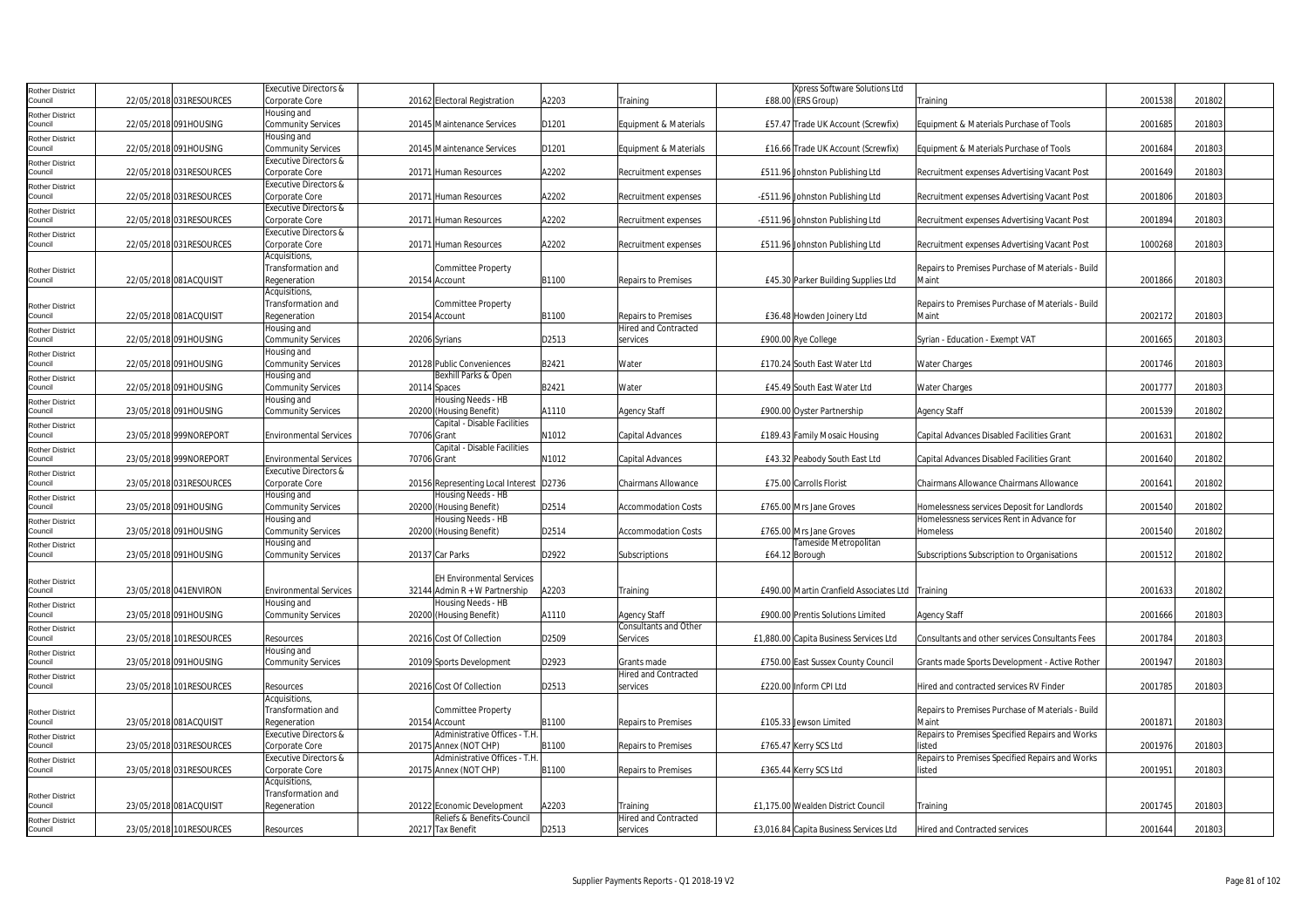|                                   |                          | <b>Executive Directors &amp;</b>         |             |                                           |       |                              | Xpress Software Solutions Ltd           |                                                   |         |        |  |
|-----------------------------------|--------------------------|------------------------------------------|-------------|-------------------------------------------|-------|------------------------------|-----------------------------------------|---------------------------------------------------|---------|--------|--|
| <b>Rother District</b><br>Council | 22/05/2018 031RESOURCES  | Corporate Core                           |             | 20162 Electoral Registration              | A2203 | Training                     | £88.00 (ERS Group)                      | Training                                          | 2001538 | 201802 |  |
|                                   |                          | Housing and                              |             |                                           |       |                              |                                         |                                                   |         |        |  |
| <b>Rother District</b><br>Council | 22/05/2018 091HOUSING    | <b>Community Services</b>                |             | 20145 Maintenance Services                | D1201 | Equipment & Materials        | £57.47 Trade UK Account (Screwfix)      | Equipment & Materials Purchase of Tools           | 200168  | 201803 |  |
|                                   |                          |                                          |             |                                           |       |                              |                                         |                                                   |         |        |  |
| <b>Rother District</b><br>Council | 22/05/2018 091HOUSING    | Housing and                              |             | 20145 Maintenance Services                | D1201 | Equipment & Materials        | £16.66 Trade UK Account (Screwfix)      | Equipment & Materials Purchase of Tools           | 2001684 | 201803 |  |
|                                   |                          | <b>Community Services</b>                |             |                                           |       |                              |                                         |                                                   |         |        |  |
| <b>Rother District</b>            |                          | Executive Directors &                    |             |                                           |       |                              |                                         |                                                   |         |        |  |
| Council                           | 22/05/2018 031RESOURCES  | Corporate Core                           |             | 20171 Human Resources                     | A2202 | Recruitment expenses         | £511.96 Johnston Publishing Ltd         | Recruitment expenses Advertising Vacant Post      | 2001649 | 201803 |  |
| <b>Rother District</b>            |                          | <b>Executive Directors &amp;</b>         |             |                                           |       |                              |                                         |                                                   |         |        |  |
| Council                           | 22/05/2018 031RESOURCES  | Corporate Core                           |             | 20171 Human Resources                     | A2202 | Recruitment expenses         | -£511.96 Johnston Publishing Ltd        | Recruitment expenses Advertising Vacant Post      | 2001806 | 201803 |  |
| Rother District                   |                          | <b>Executive Directors &amp;</b>         |             |                                           |       |                              |                                         |                                                   |         |        |  |
| Council                           | 22/05/2018 031RESOURCES  | Corporate Core                           |             | 20171 Human Resources                     | A2202 | Recruitment expenses         | -£511.96 Johnston Publishing Ltd        | Recruitment expenses Advertising Vacant Post      | 2001894 | 201803 |  |
| Rother District                   |                          | <b>Executive Directors &amp;</b>         |             |                                           |       |                              |                                         |                                                   |         |        |  |
| Council                           | 22/05/2018 031RESOURCES  | Corporate Core                           |             | 20171 Human Resources                     | A2202 | Recruitment expenses         | £511.96 Johnston Publishing Ltd         | Recruitment expenses Advertising Vacant Post      | 1000268 | 201803 |  |
|                                   |                          | Acquisitions,                            |             |                                           |       |                              |                                         |                                                   |         |        |  |
| <b>Rother District</b>            |                          | Transformation and                       |             | Committee Property                        |       |                              |                                         | Repairs to Premises Purchase of Materials - Build |         |        |  |
| Council                           | 22/05/2018 081ACQUISIT   | Regeneration                             |             | 20154 Account                             | B1100 | <b>Repairs to Premises</b>   | £45.30 Parker Building Supplies Ltd     | Maint                                             | 2001866 | 201803 |  |
|                                   |                          | Acquisitions,                            |             |                                           |       |                              |                                         |                                                   |         |        |  |
| <b>Rother District</b>            |                          | Transformation and                       |             | <b>Committee Property</b>                 |       |                              |                                         | Repairs to Premises Purchase of Materials - Build |         |        |  |
| Council                           | 22/05/2018 081ACQUISIT   | Regeneration                             |             | 20154 Account                             | B1100 | <b>Repairs to Premises</b>   | £36.48 Howden Joinery Ltd               | Maint                                             | 2002172 | 201803 |  |
|                                   |                          |                                          |             |                                           |       | Hired and Contracted         |                                         |                                                   |         |        |  |
| <b>Rother District</b><br>Council | 22/05/2018 091HOUSING    | Housing and<br><b>Community Services</b> |             | 20206 Syrians                             | D2513 |                              | £900.00 Rye College                     | Syrian - Education - Exempt VAT                   | 2001665 | 201803 |  |
|                                   |                          |                                          |             |                                           |       | services                     |                                         |                                                   |         |        |  |
| <b>Rother District</b>            |                          | Housing and                              |             |                                           |       |                              |                                         |                                                   |         |        |  |
| Council                           | 22/05/2018 091HOUSING    | <b>Community Services</b>                |             | 20128 Public Conveniences                 | B2421 | Water                        | £170.24 South East Water Ltd            | <b>Water Charges</b>                              | 2001746 | 201803 |  |
| Rother District                   |                          | Housing and                              |             | Bexhill Parks & Open                      |       |                              |                                         |                                                   |         |        |  |
| Council                           | 22/05/2018 091HOUSING    | <b>Community Services</b>                |             | 20114 Spaces                              | B2421 | Water                        | £45.49 South East Water Ltd             | <b>Water Charges</b>                              | 200177  | 201803 |  |
| Rother District                   |                          | Housing and                              |             | Housing Needs - HB                        |       |                              |                                         |                                                   |         |        |  |
| Council                           | 23/05/2018 091HOUSING    | <b>Community Services</b>                |             | 20200 (Housing Benefit)                   | A1110 | <b>Agency Staff</b>          | £900.00 Oyster Partnership              | <b>Agency Staff</b>                               | 2001539 | 201802 |  |
| <b>Rother District</b>            |                          |                                          |             | Capital - Disable Facilities              |       |                              |                                         |                                                   |         |        |  |
| Council                           | 23/05/2018 999NOREPORT   | <b>Environmental Services</b>            | 70706 Grant |                                           | N1012 | Capital Advances             | £189.43 Family Mosaic Housing           | Capital Advances Disabled Facilities Grant        | 2001631 | 201802 |  |
| <b>Rother District</b>            |                          |                                          |             | Capital - Disable Facilities              |       |                              |                                         |                                                   |         |        |  |
| Council                           | 23/05/2018 999NOREPORT   | <b>Environmental Services</b>            | 70706 Grant |                                           | N1012 | Capital Advances             | £43.32 Peabody South East Ltd           | Capital Advances Disabled Facilities Grant        | 2001640 | 201802 |  |
| Rother District                   |                          | <b>Executive Directors &amp;</b>         |             |                                           |       |                              |                                         |                                                   |         |        |  |
| Council                           | 23/05/2018 031 RESOURCES | Corporate Core                           |             | 20156 Representing Local Interest   D2736 |       | Chairmans Allowance          | £75.00 Carrolls Florist                 | Chairmans Allowance Chairmans Allowance           | 200164  | 201802 |  |
|                                   |                          | Housing and                              |             | Housing Needs - HB                        |       |                              |                                         |                                                   |         |        |  |
| <b>Rother District</b><br>Council | 23/05/2018 091HOUSING    | <b>Community Services</b>                |             | 20200 (Housing Benefit)                   | D2514 | <b>Accommodation Costs</b>   | £765.00 Mrs Jane Groves                 | Homelessness services Deposit for Landlords       | 2001540 | 201802 |  |
|                                   |                          | Housing and                              |             | Housing Needs - HB                        |       |                              |                                         | Homelessness services Rent in Advance for         |         |        |  |
| <b>Rother District</b><br>Council | 23/05/2018 091HOUSING    | <b>Community Services</b>                |             | 20200 (Housing Benefit)                   | D2514 | <b>Accommodation Costs</b>   | £765.00 Mrs Jane Groves                 | Homeless                                          | 2001540 | 201802 |  |
|                                   |                          |                                          |             |                                           |       |                              |                                         |                                                   |         |        |  |
| <b>Rother District</b>            |                          | Housing and                              |             |                                           |       |                              | <b>Tameside Metropolitan</b>            |                                                   |         |        |  |
| Council                           | 23/05/2018 091HOUSING    | <b>Community Services</b>                |             | 20137 Car Parks                           | D2922 | Subscriptions                | £64.12 Borough                          | Subscriptions Subscription to Organisations       | 2001512 | 201802 |  |
|                                   |                          |                                          |             |                                           |       |                              |                                         |                                                   |         |        |  |
| <b>Rother District</b>            |                          |                                          |             | <b>EH Environmental Services</b>          |       |                              |                                         |                                                   |         |        |  |
| Council                           | 23/05/2018 041 ENVIRON   | <b>Environmental Services</b>            |             | $32144$ Admin R + W Partnership           | A2203 | Training                     | £490.00 Martin Cranfield Associates Ltd | Training                                          | 2001633 | 201802 |  |
| Rother District                   |                          | Housing and                              |             | Housing Needs - HB                        |       |                              |                                         |                                                   |         |        |  |
| Council                           | 23/05/2018 091HOUSING    | <b>Community Services</b>                |             | 20200 (Housing Benefit)                   | A1110 | Agency Staff                 | £900.00 Prentis Solutions Limited       | Agency Staff                                      | 2001666 | 201803 |  |
| <b>Rother District</b>            |                          |                                          |             |                                           |       | <b>Consultants and Other</b> |                                         |                                                   |         |        |  |
| Council                           | 23/05/2018 101RESOURCES  | Resources                                |             | 20216 Cost Of Collection                  | D2509 | Services                     | £1,880.00 Capita Business Services Ltd  | Consultants and other services Consultants Fees   | 2001784 | 201803 |  |
| <b>Rother District</b>            |                          | Housing and                              |             |                                           |       |                              |                                         |                                                   |         |        |  |
| Council                           | 23/05/2018 091HOUSING    | <b>Community Services</b>                |             | 20109 Sports Development                  | D2923 | Grants made                  | £750.00 East Sussex County Council      | Grants made Sports Development - Active Rother    | 2001947 | 201803 |  |
| <b>Rother District</b>            |                          |                                          |             |                                           |       | <b>Hired and Contracted</b>  |                                         |                                                   |         |        |  |
| Council                           | 23/05/2018 101RESOURCES  | Resources                                |             | 20216 Cost Of Collection                  | D2513 | services                     | £220.00 Inform CPI Ltd                  | Hired and contracted services RV Finder           | 2001785 | 201803 |  |
|                                   |                          | Acquisitions,                            |             |                                           |       |                              |                                         |                                                   |         |        |  |
|                                   |                          | Transformation and                       |             | <b>Committee Property</b>                 |       |                              |                                         | Repairs to Premises Purchase of Materials - Build |         |        |  |
| <b>Rother District</b><br>Council | 23/05/2018 081ACQUISIT   | Regeneration                             |             | 20154 Account                             | B1100 | <b>Repairs to Premises</b>   | £105.33 Jewson Limited                  | Maint                                             | 200187  | 201803 |  |
|                                   |                          | <b>Executive Directors &amp;</b>         |             | Administrative Offices - T.H.             |       |                              |                                         | Repairs to Premises Specified Repairs and Works   |         |        |  |
| <b>Rother District</b><br>Council | 23/05/2018 031RESOURCES  | Corporate Core                           |             | 20175 Annex (NOT CHP)                     | B1100 | Repairs to Premises          | £765.47 Kerry SCS Ltd                   | listed                                            | 2001976 | 201803 |  |
|                                   |                          |                                          |             |                                           |       |                              |                                         |                                                   |         |        |  |
| Rother District                   |                          | Executive Directors &                    |             | Administrative Offices - T.H.             |       |                              |                                         | Repairs to Premises Specified Repairs and Works   |         |        |  |
| Council                           | 23/05/2018 031RESOURCES  | Corporate Core                           |             | 20175 Annex (NOT CHP)                     | B1100 | Repairs to Premises          | £365.44 Kerry SCS Ltd                   | listed                                            | 200195  | 201803 |  |
|                                   |                          | Acquisitions,                            |             |                                           |       |                              |                                         |                                                   |         |        |  |
| <b>Rother District</b>            |                          | Transformation and                       |             |                                           |       |                              |                                         |                                                   |         |        |  |
| Council                           | 23/05/2018 081ACQUISIT   | Regeneration                             |             | 20122 Economic Development                | A2203 | Training                     | £1,175.00 Wealden District Council      | Training                                          | 2001745 | 201803 |  |
| <b>Rother District</b>            |                          |                                          |             | Reliefs & Benefits-Council                |       | Hired and Contracted         |                                         |                                                   |         |        |  |
| Council                           | 23/05/2018 101 RESOURCES | Resources                                |             | 20217 Tax Benefit                         | D2513 | services                     | £3,016.84 Capita Business Services Ltd  | <b>Hired and Contracted services</b>              | 2001644 | 201803 |  |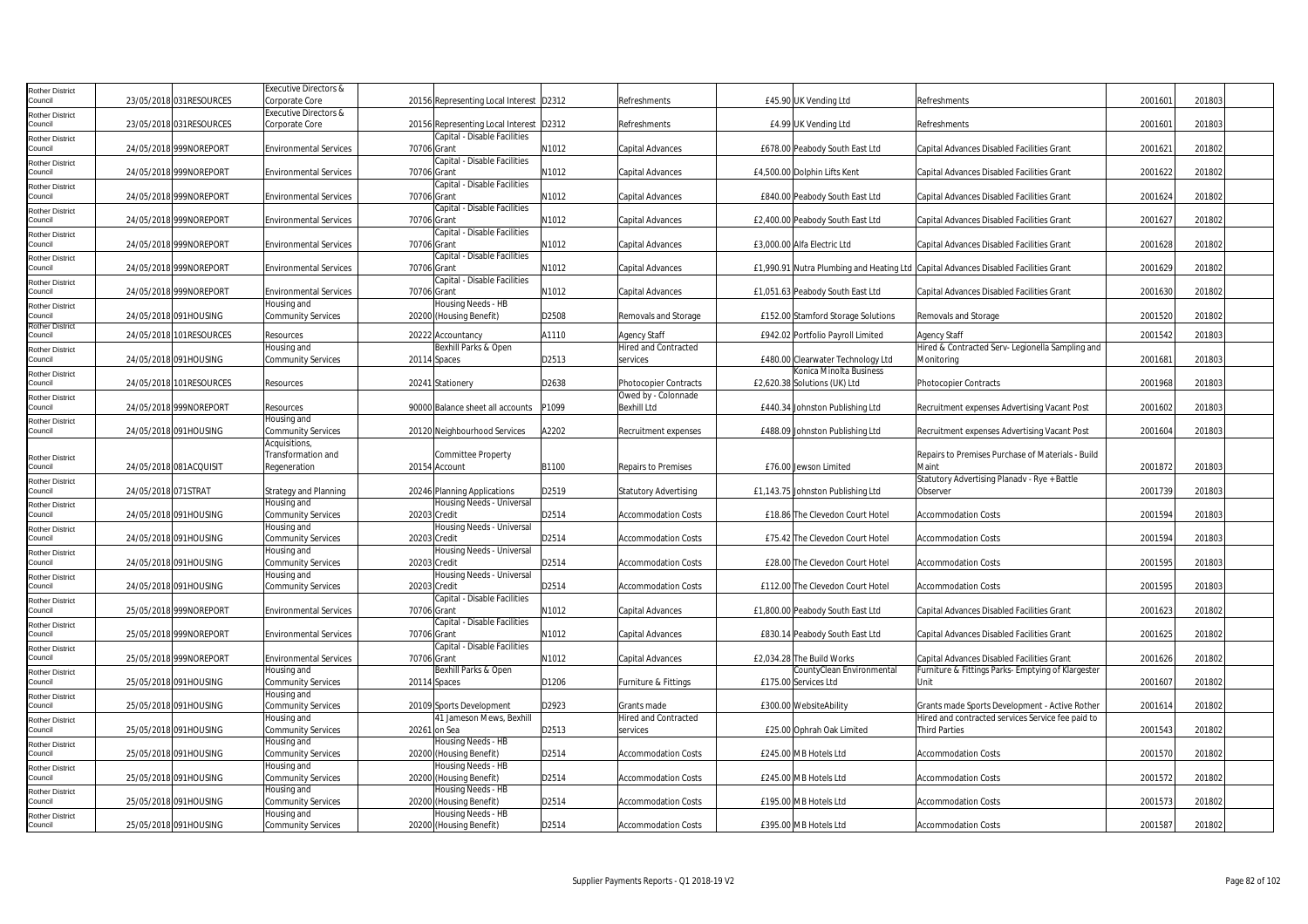| Rother District            |                     |                          | Executive Directors &                    |              |                                               |       |                              |                                    |                                                                                     |         |        |  |
|----------------------------|---------------------|--------------------------|------------------------------------------|--------------|-----------------------------------------------|-------|------------------------------|------------------------------------|-------------------------------------------------------------------------------------|---------|--------|--|
| Council                    |                     | 23/05/2018 031 RESOURCES | Corporate Core                           |              | 20156 Representing Local Interest D2312       |       | Refreshments                 | £45.90 UK Vending Ltd              | Refreshments                                                                        | 2001601 | 201803 |  |
| Rother District            |                     |                          | Executive Directors &                    |              |                                               |       |                              |                                    |                                                                                     |         |        |  |
| Council                    |                     | 23/05/2018 031RESOURCES  | Corporate Core                           |              | 20156 Representing Local Interest             | D2312 | Refreshments                 | £4.99 UK Vending Ltd               | Refreshments                                                                        | 200160  | 201803 |  |
| Rother District            |                     |                          |                                          |              | Capital - Disable Facilities                  |       |                              |                                    |                                                                                     |         |        |  |
| Council                    |                     | 24/05/2018 999NOREPORT   | <b>Environmental Services</b>            | 70706 Grant  |                                               | N1012 | Capital Advances             | £678.00 Peabody South East Ltd     | Capital Advances Disabled Facilities Grant                                          | 2001621 | 201802 |  |
| Rother District            |                     |                          |                                          |              | Capital - Disable Facilities                  |       |                              |                                    |                                                                                     |         |        |  |
| Council                    |                     | 24/05/2018 999NOREPORT   | <b>Environmental Services</b>            | 70706 Grant  |                                               | N1012 | Capital Advances             | £4,500.00 Dolphin Lifts Kent       | Capital Advances Disabled Facilities Grant                                          | 2001622 | 201802 |  |
| Rother District            |                     |                          |                                          |              | Capital - Disable Facilities                  |       |                              |                                    |                                                                                     |         |        |  |
| Council                    |                     | 24/05/2018 999NOREPORT   | <b>Environmental Services</b>            | 70706 Grant  |                                               | N1012 | Capital Advances             | £840.00 Peabody South East Ltd     | Capital Advances Disabled Facilities Grant                                          | 2001624 | 201802 |  |
| Rother District            |                     |                          |                                          |              | Capital - Disable Facilities                  |       |                              |                                    |                                                                                     |         |        |  |
| Council                    |                     | 24/05/2018 999NOREPORT   | <b>Environmental Services</b>            | 70706 Grant  |                                               | N1012 | Capital Advances             | £2,400.00 Peabody South East Ltd   | Capital Advances Disabled Facilities Grant                                          | 2001627 | 201802 |  |
| Rother District            |                     |                          |                                          |              | Capital - Disable Facilities                  |       |                              |                                    |                                                                                     |         |        |  |
| Council                    |                     | 24/05/2018 999NOREPORT   | <b>Environmental Services</b>            | 70706 Grant  |                                               | N1012 | Capital Advances             | £3,000.00 Alfa Electric Ltd        | Capital Advances Disabled Facilities Grant                                          | 2001628 | 201802 |  |
| Rother District            |                     |                          |                                          |              | Capital - Disable Facilities                  |       |                              |                                    |                                                                                     |         |        |  |
| Council                    |                     | 24/05/2018 999NOREPORT   | <b>Environmental Services</b>            | 70706 Grant  |                                               | N1012 | Capital Advances             |                                    | £1,990.91 Nutra Plumbing and Heating Ltd Capital Advances Disabled Facilities Grant | 2001629 | 201802 |  |
| Rother District            |                     |                          |                                          |              | Capital - Disable Facilities                  |       |                              |                                    |                                                                                     |         |        |  |
| Council                    |                     | 24/05/2018 999NOREPORT   | <b>Environmental Services</b>            | 70706 Grant  |                                               | N1012 | <b>Capital Advances</b>      | £1,051.63 Peabody South East Ltd   | Capital Advances Disabled Facilities Grant                                          | 2001630 | 201802 |  |
| Rother District            |                     | 24/05/2018 091HOUSING    | Housing and<br><b>Community Services</b> |              | Housing Needs - HB<br>20200 (Housing Benefit) | D2508 | Removals and Storage         | £152.00 Stamford Storage Solutions | Removals and Storage                                                                | 2001520 | 201802 |  |
| Council<br>Rother District |                     |                          |                                          |              |                                               |       |                              |                                    |                                                                                     |         |        |  |
| Council                    |                     | 24/05/2018 101RESOURCES  | Resources                                |              | 20222 Accountancy                             | A1110 | <b>Agency Staff</b>          | £942.02 Portfolio Payroll Limited  | Agency Staff                                                                        | 2001542 | 201803 |  |
| Rother District            |                     |                          | Housing and                              |              | Bexhill Parks & Open                          |       | Hired and Contracted         |                                    | Hired & Contracted Serv- Legionella Sampling and                                    |         |        |  |
| Council                    |                     | 24/05/2018 091HOUSING    | <b>Community Services</b>                |              | 20114 Spaces                                  | D2513 | services                     | £480.00 Clearwater Technology Ltd  | Monitoring                                                                          | 2001681 | 201803 |  |
| Rother District            |                     |                          |                                          |              |                                               |       |                              | Konica Minolta Business            |                                                                                     |         |        |  |
| Council                    |                     | 24/05/2018 101RESOURCES  | Resources                                |              | 20241 Stationery                              | D2638 | <b>Photocopier Contracts</b> | £2,620.38 Solutions (UK) Ltd       | Photocopier Contracts                                                               | 2001968 | 201803 |  |
| Rother District            |                     |                          |                                          |              |                                               |       | Owed by - Colonnade          |                                    |                                                                                     |         |        |  |
| Council                    |                     | 24/05/2018 999NOREPORT   | Resources                                |              | 90000 Balance sheet all accounts              | P1099 | <b>Bexhill Ltd</b>           | £440.34 Johnston Publishing Ltd    | Recruitment expenses Advertising Vacant Post                                        | 2001602 | 201803 |  |
| <b>Rother District</b>     |                     |                          | Housing and                              |              |                                               |       |                              |                                    |                                                                                     |         |        |  |
| Council                    |                     | 24/05/2018 091HOUSING    | <b>Community Services</b>                |              | 20120 Neighbourhood Services                  | A2202 | Recruitment expenses         | £488.09 Johnston Publishing Ltd    | Recruitment expenses Advertising Vacant Post                                        | 2001604 | 201803 |  |
|                            |                     |                          | Acquisitions,                            |              |                                               |       |                              |                                    |                                                                                     |         |        |  |
| Rother District            |                     |                          | Transformation and                       |              | <b>Committee Property</b>                     |       |                              |                                    | Repairs to Premises Purchase of Materials - Build                                   |         |        |  |
| Council                    |                     | 24/05/2018 081ACQUISIT   | Regeneration                             |              | 20154 Account                                 | B1100 | <b>Repairs to Premises</b>   | £76.00 Jewson Limited              | Maint                                                                               | 2001872 | 201803 |  |
| Rother District            |                     |                          |                                          |              |                                               |       |                              |                                    | Statutory Advertising Planady - Rye + Battle                                        |         |        |  |
| Council                    | 24/05/2018 071STRAT |                          | <b>Strategy and Planning</b>             |              | 20246 Planning Applications                   | D2519 | <b>Statutory Advertising</b> | £1,143.75 Johnston Publishing Ltd  | Observer                                                                            | 2001739 | 201803 |  |
| Rother District            |                     |                          | Housing and                              |              | Housing Needs - Universal                     |       |                              |                                    |                                                                                     |         |        |  |
| Council                    |                     | 24/05/2018 091HOUSING    | Community Services<br>Housing and        | 20203 Credit | Housing Needs - Universal                     | D2514 | <b>Accommodation Costs</b>   | £18.86 The Clevedon Court Hotel    | <b>Accommodation Costs</b>                                                          | 2001594 | 201803 |  |
| Rother District<br>Council |                     | 24/05/2018 091HOUSING    | Community Services                       | 20203 Credit |                                               | D2514 | <b>Accommodation Costs</b>   | £75.42 The Clevedon Court Hotel    | <b>Accommodation Costs</b>                                                          | 2001594 | 201803 |  |
|                            |                     |                          | Housing and                              |              | Housing Needs - Universal                     |       |                              |                                    |                                                                                     |         |        |  |
| Rother District<br>Council |                     | 24/05/2018 091HOUSING    | Community Services                       | 20203 Credit |                                               | D2514 | <b>Accommodation Costs</b>   | £28.00 The Clevedon Court Hotel    | <b>Accommodation Costs</b>                                                          | 2001595 | 201803 |  |
| Rother District            |                     |                          | Housing and                              |              | Housing Needs - Universal                     |       |                              |                                    |                                                                                     |         |        |  |
| Council                    |                     | 24/05/2018 091HOUSING    | <b>Community Services</b>                | 20203 Credit |                                               | D2514 | <b>Accommodation Costs</b>   | £112.00 The Clevedon Court Hotel   | <b>Accommodation Costs</b>                                                          | 2001595 | 201803 |  |
| Rother District            |                     |                          |                                          |              | Capital - Disable Facilities                  |       |                              |                                    |                                                                                     |         |        |  |
| Council                    |                     | 25/05/2018 999NOREPORT   | <b>Environmental Services</b>            | 70706 Grant  |                                               | N1012 | Capital Advances             | £1,800.00 Peabody South East Ltd   | Capital Advances Disabled Facilities Grant                                          | 2001623 | 201802 |  |
| Rother District            |                     |                          |                                          |              | Capital - Disable Facilities                  |       |                              |                                    |                                                                                     |         |        |  |
| Council                    |                     | 25/05/2018 999NOREPORT   | <b>Environmental Services</b>            | 70706 Grant  |                                               | N1012 | Capital Advances             | £830.14 Peabody South East Ltd     | Capital Advances Disabled Facilities Grant                                          | 2001625 | 201802 |  |
| Rother District            |                     |                          |                                          |              | Capital - Disable Facilities                  |       |                              |                                    |                                                                                     |         |        |  |
| Council                    |                     | 25/05/2018 999NOREPORT   | <b>Environmental Services</b>            | 70706 Grant  |                                               | N1012 | Capital Advances             | £2,034.28 The Build Works          | Capital Advances Disabled Facilities Grant                                          | 2001626 | 201802 |  |
| Rother District            |                     |                          | Housing and                              |              | Bexhill Parks & Open                          |       |                              | CountyClean Environmental          | Furniture & Fittings Parks- Emptying of Klargester                                  |         |        |  |
| Council                    |                     | 25/05/2018 091HOUSING    | <b>Community Services</b>                |              | 20114 Spaces                                  | D1206 | Furniture & Fittings         | £175.00 Services Ltd               | Unit                                                                                | 2001607 | 201802 |  |
| Rother District            |                     |                          | Housing and                              |              |                                               |       |                              |                                    |                                                                                     |         |        |  |
| Council                    |                     | 25/05/2018 091HOUSING    | <b>Community Services</b>                |              | 20109 Sports Development                      | D2923 | Grants made                  | £300.00 WebsiteAbility             | Grants made Sports Development - Active Rother                                      | 2001614 | 201802 |  |
| Rother District            |                     |                          | Housing and                              |              | 41 Jameson Mews, Bexhill                      |       | Hired and Contracted         |                                    | Hired and contracted services Service fee paid to                                   |         |        |  |
| Council                    |                     | 25/05/2018 091HOUSING    | Community Services                       |              | 20261 on Sea                                  | D2513 | services                     | £25.00 Ophrah Oak Limited          | Third Parties                                                                       | 2001543 | 201802 |  |
| Rother District            |                     |                          | Housing and                              |              | Housing Needs - HB                            |       |                              |                                    |                                                                                     |         |        |  |
| Council                    |                     | 25/05/2018 091HOUSING    | Community Services                       |              | 20200 (Housing Benefit)                       | D2514 | <b>Accommodation Costs</b>   | £245.00 MB Hotels Ltd              | Accommodation Costs                                                                 | 2001570 | 201802 |  |
| Rother District            |                     |                          | Housing and                              |              | Housing Needs - HB                            |       |                              |                                    |                                                                                     |         |        |  |
| Council                    |                     | 25/05/2018 091HOUSING    | Community Services                       |              | 20200 (Housing Benefit)                       | D2514 | <b>Accommodation Costs</b>   | £245.00 MB Hotels Ltd              | <b>Accommodation Costs</b>                                                          | 2001572 | 201802 |  |
| Rother District<br>Council |                     |                          | Housing and                              |              | Housing Needs - HB                            |       |                              |                                    |                                                                                     |         |        |  |
|                            |                     | 25/05/2018 091HOUSING    | Community Services<br>Housing and        |              | 20200 (Housing Benefit)<br>Housing Needs - HB | D2514 | <b>Accommodation Costs</b>   | £195.00 MB Hotels Ltd              | <b>Accommodation Costs</b>                                                          | 2001573 | 201802 |  |
| Rother District<br>Council |                     | 25/05/2018 091HOUSING    |                                          |              |                                               | D2514 | <b>Accommodation Costs</b>   | £395.00 MB Hotels Ltd              | <b>Accommodation Costs</b>                                                          | 2001587 | 201802 |  |
|                            |                     |                          | <b>Community Services</b>                |              | 20200 (Housing Benefit)                       |       |                              |                                    |                                                                                     |         |        |  |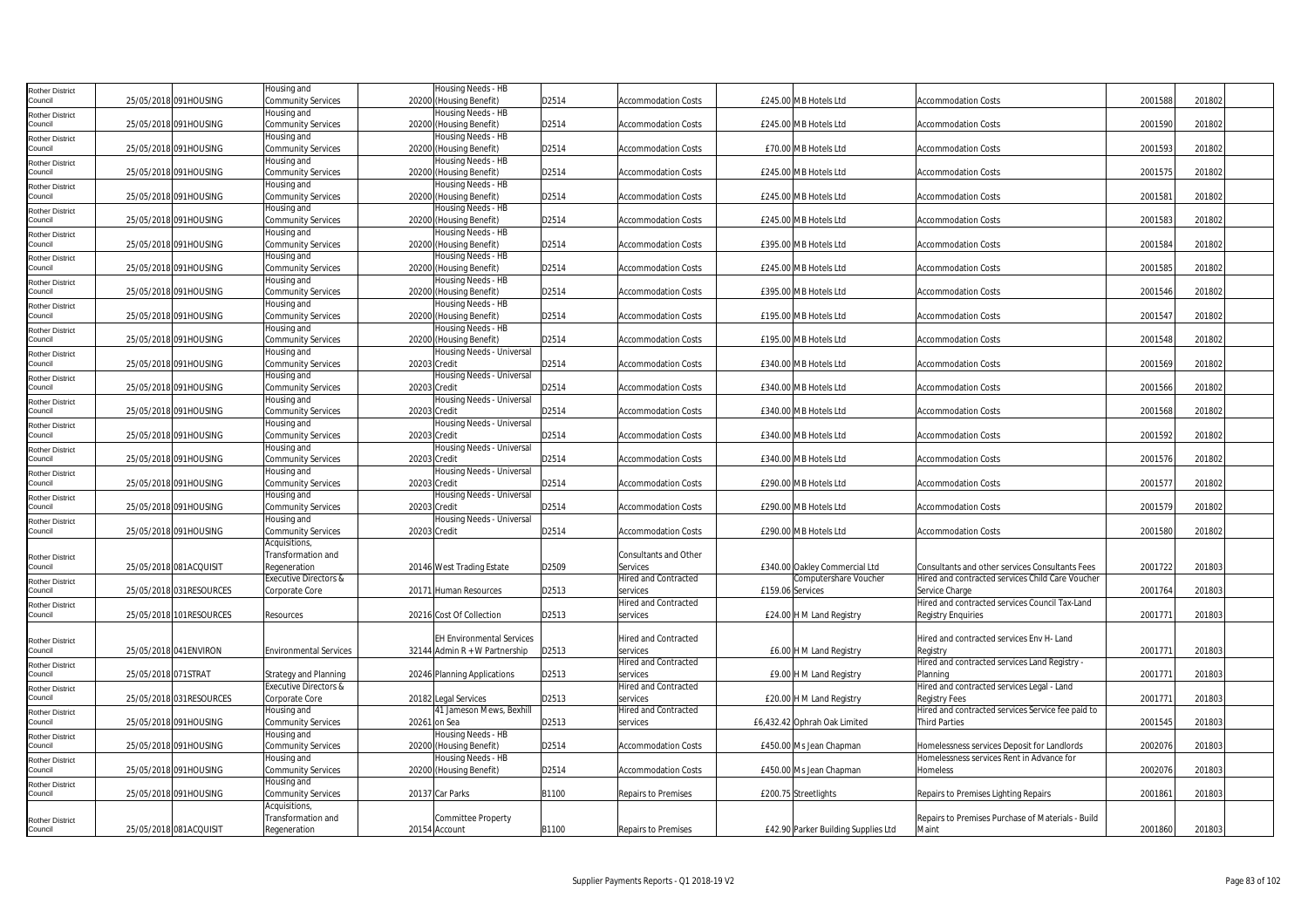| <b>Rother District</b> |                          | Housing and                   | Housing Needs - HB               |       |                             |                                     |                                                   |         |        |  |
|------------------------|--------------------------|-------------------------------|----------------------------------|-------|-----------------------------|-------------------------------------|---------------------------------------------------|---------|--------|--|
| Council                | 25/05/2018 091HOUSING    | <b>Community Services</b>     | 20200 (Housing Benefit)          | D2514 | <b>Accommodation Costs</b>  | £245.00 MB Hotels Ltd               | <b>Accommodation Costs</b>                        | 2001588 | 201802 |  |
| <b>Rother District</b> |                          | Housing and                   | Housing Needs - HB               |       |                             |                                     |                                                   |         |        |  |
| Council                | 25/05/2018 091HOUSING    | Community Services            | 20200 (Housing Benefit)          | D2514 | <b>Accommodation Costs</b>  | £245.00 MB Hotels Ltd               | <b>Accommodation Costs</b>                        | 2001590 | 201802 |  |
| <b>Rother District</b> |                          | Housing and                   | Housing Needs - HB               |       |                             |                                     |                                                   |         |        |  |
| Council                | 25/05/2018 091HOUSING    | <b>Community Services</b>     | 20200 (Housing Benefit)          | D2514 | <b>Accommodation Costs</b>  | £70.00 MB Hotels Ltd                | <b>Accommodation Costs</b>                        | 2001593 | 201802 |  |
| <b>Rother District</b> |                          | Housing and                   | Housing Needs - HB               |       |                             |                                     |                                                   |         |        |  |
| Council                | 25/05/2018 091HOUSING    | Community Services            | 20200 (Housing Benefit)          | D2514 | <b>Accommodation Costs</b>  | £245.00 MB Hotels Ltd               | <b>Accommodation Costs</b>                        | 2001575 | 201802 |  |
| <b>Rother District</b> |                          | Housing and                   | Housing Needs - HB               |       |                             |                                     |                                                   |         |        |  |
| Council                | 25/05/2018 091HOUSING    | Community Services            | 20200 (Housing Benefit)          | D2514 | Accommodation Costs         | £245.00 MB Hotels Ltd               | <b>Accommodation Costs</b>                        | 200158  | 201802 |  |
| <b>Rother District</b> |                          | Housing and                   | Housing Needs - HB               |       |                             |                                     |                                                   |         |        |  |
| Council                | 25/05/2018 091HOUSING    | Community Services            | 20200 (Housing Benefit)          | D2514 | <b>Accommodation Costs</b>  | £245.00 MB Hotels Ltd               | <b>Accommodation Costs</b>                        | 2001583 | 201802 |  |
| <b>Rother District</b> |                          | Housing and                   | Housing Needs - HB               |       |                             |                                     |                                                   |         |        |  |
| Council                | 25/05/2018 091HOUSING    | Community Services            | 20200 (Housing Benefit)          | D2514 | Accommodation Costs         | £395.00 MB Hotels Ltd               | <b>Accommodation Costs</b>                        | 2001584 | 201802 |  |
| <b>Rother District</b> |                          | Housing and                   | Housing Needs - HB               |       |                             |                                     |                                                   |         |        |  |
| Council                | 25/05/2018 091HOUSING    | Community Services            | 20200 (Housing Benefit)          | D2514 | <b>Accommodation Costs</b>  | £245.00 MB Hotels Ltd               | <b>Accommodation Costs</b>                        | 2001585 | 201802 |  |
| <b>Rother District</b> |                          | Housing and                   | Housing Needs - HB               |       |                             |                                     |                                                   |         |        |  |
| Council                | 25/05/2018 091HOUSING    | Community Services            | 20200 (Housing Benefit)          | D2514 | <b>Accommodation Costs</b>  | £395.00 MB Hotels Ltd               | <b>Accommodation Costs</b>                        | 2001546 | 201802 |  |
| <b>Rother District</b> |                          | Housing and                   | Housing Needs - HB               |       |                             |                                     |                                                   |         |        |  |
| Council                | 25/05/2018 091HOUSING    | Community Services            | 20200 (Housing Benefit)          | D2514 | <b>Accommodation Costs</b>  | £195.00 MB Hotels Ltd               | <b>Accommodation Costs</b>                        | 2001547 | 201802 |  |
| <b>Rother District</b> |                          | Housing and                   | Housing Needs - HB               |       |                             |                                     |                                                   |         |        |  |
| Council                | 25/05/2018 091HOUSING    | Community Services            | 20200 (Housing Benefit)          | D2514 | <b>Accommodation Costs</b>  | £195.00 MB Hotels Ltd               | <b>Accommodation Costs</b>                        | 2001548 | 201802 |  |
| <b>Rother District</b> |                          | Housing and                   | Housing Needs - Universal        |       |                             |                                     |                                                   |         |        |  |
| Council                | 25/05/2018 091HOUSING    | Community Services            | 20203 Credit                     | D2514 | <b>Accommodation Costs</b>  | £340.00 MB Hotels Ltd               | <b>Accommodation Costs</b>                        | 2001569 | 201802 |  |
| <b>Rother District</b> |                          | Housing and                   | Housing Needs - Universal        |       |                             |                                     |                                                   |         |        |  |
| Council                | 25/05/2018 091HOUSING    | Community Services            | 20203 Credit                     | D2514 | <b>Accommodation Costs</b>  | £340.00 MB Hotels Ltd               | <b>Accommodation Costs</b>                        | 2001566 | 201802 |  |
| <b>Rother District</b> |                          | Housing and                   | Housing Needs - Universal        |       |                             |                                     |                                                   |         |        |  |
| Council                | 25/05/2018 091HOUSING    | Community Services            | 20203 Credit                     | D2514 | <b>Accommodation Costs</b>  | £340.00 MB Hotels Ltd               | <b>Accommodation Costs</b>                        | 2001568 | 201802 |  |
| <b>Rother District</b> |                          | Housing and                   | Housing Needs - Universal        |       |                             |                                     |                                                   |         |        |  |
| Council                | 25/05/2018 091HOUSING    | Community Services            | 20203 Credit                     | D2514 | <b>Accommodation Costs</b>  | £340.00 MB Hotels Ltd               | <b>Accommodation Costs</b>                        | 2001592 | 201802 |  |
| <b>Rother District</b> |                          | Housing and                   | Housing Needs - Universal        |       |                             |                                     |                                                   |         |        |  |
| Council                | 25/05/2018 091HOUSING    | Community Services            | 20203 Credit                     | D2514 | <b>Accommodation Costs</b>  | £340.00 MB Hotels Ltd               | <b>Accommodation Costs</b>                        | 2001576 | 201802 |  |
| <b>Rother District</b> |                          | Housing and                   | Housing Needs - Universal        |       |                             |                                     |                                                   |         |        |  |
| Council                | 25/05/2018 091HOUSING    | Community Services            | 20203 Credit                     | D2514 | <b>Accommodation Costs</b>  | £290.00 MB Hotels Ltd               | <b>Accommodation Costs</b>                        | 2001577 | 201802 |  |
| <b>Rother District</b> |                          | Housing and                   | Housing Needs - Universal        |       |                             |                                     |                                                   |         |        |  |
| Council                | 25/05/2018 091HOUSING    | Community Services            | 20203 Credit                     | D2514 | <b>Accommodation Costs</b>  | £290.00 MB Hotels Ltd               | <b>Accommodation Costs</b>                        | 2001579 | 201802 |  |
| <b>Rother District</b> |                          | Housing and                   | Housing Needs - Universal        |       |                             |                                     |                                                   |         |        |  |
| Council                | 25/05/2018 091HOUSING    | Community Services            | 20203 Credit                     | D2514 | <b>Accommodation Costs</b>  | £290.00 MB Hotels Ltd               | <b>Accommodation Costs</b>                        | 2001580 | 201802 |  |
|                        |                          | Acquisitions,                 |                                  |       |                             |                                     |                                                   |         |        |  |
| <b>Rother District</b> |                          | Transformation and            |                                  |       | Consultants and Other       |                                     |                                                   |         |        |  |
| Council                | 25/05/2018 081ACQUISIT   | Regeneration                  | 20146 West Trading Estate        | D2509 | Services                    | £340.00 Oakley Commercial Ltd       | Consultants and other services Consultants Fees   | 2001722 | 201803 |  |
| <b>Rother District</b> |                          | Executive Directors &         |                                  |       | <b>Hired and Contracted</b> | Computershare Voucher               | Hired and contracted services Child Care Voucher  |         |        |  |
| Council                | 25/05/2018 031RESOURCES  | Corporate Core                | 20171 Human Resources            | D2513 | services                    | £159.06 Services                    | Service Charge                                    | 2001764 | 201803 |  |
| <b>Rother District</b> |                          |                               |                                  |       | <b>Hired and Contracted</b> |                                     | Hired and contracted services Council Tax-Land    |         |        |  |
| Council                | 25/05/2018 101RESOURCES  | Resources                     | 20216 Cost Of Collection         | D2513 | services                    | £24.00 H M Land Registry            | <b>Registry Enquiries</b>                         | 2001771 | 201803 |  |
|                        |                          |                               |                                  |       |                             |                                     |                                                   |         |        |  |
| <b>Rother District</b> |                          |                               | <b>EH Environmental Services</b> |       | <b>Hired and Contracted</b> |                                     | Hired and contracted services Env H- Land         |         |        |  |
| Council                | 25/05/2018 041 ENVIRON   | <b>Environmental Services</b> | 32144 Admin $R + W$ Partnership  | D2513 | services                    | £6.00 H M Land Registry             | Registry                                          | 200177  | 201803 |  |
| <b>Rother District</b> |                          |                               |                                  |       | <b>Hired and Contracted</b> |                                     | Hired and contracted services Land Registry -     |         |        |  |
| Council                | 25/05/2018 071STRAT      | <b>Strategy and Planning</b>  | 20246 Planning Applications      | D2513 | services                    | £9.00 H M Land Registry             | Planning                                          | 2001771 | 201803 |  |
| Rother District        |                          | Executive Directors &         |                                  |       | Hired and Contracted        |                                     | Hired and contracted services Legal - Land        |         |        |  |
| Council                | 25/05/2018 031 RESOURCES | Corporate Core                | 20182 Legal Services             | D2513 | services                    | £20.00 H M Land Registry            | Registry Fees                                     | 2001771 | 201803 |  |
| <b>Rother District</b> |                          | Housing and                   | 41 Jameson Mews, Bexhill         |       | <b>Hired and Contracted</b> |                                     | Hired and contracted services Service fee paid to |         |        |  |
| Council                | 25/05/2018 091HOUSING    | Community Services            | 20261 on Sea                     | D2513 | services                    | £6,432.42 Ophrah Oak Limited        | <b>Third Parties</b>                              | 2001545 | 201803 |  |
| <b>Rother District</b> |                          | Housing and                   | Housing Needs - HB               |       |                             |                                     |                                                   |         |        |  |
| Council                | 25/05/2018 091HOUSING    | Community Services            | 20200 (Housing Benefit)          | D2514 | <b>Accommodation Costs</b>  | £450.00 Ms Jean Chapman             | Homelessness services Deposit for Landlords       | 2002076 | 201803 |  |
| <b>Rother District</b> |                          | Housing and                   | Housing Needs - HB               |       |                             |                                     | Homelessness services Rent in Advance for         |         |        |  |
| Council                | 25/05/2018 091HOUSING    | Community Services            | 20200 (Housing Benefit)          | D2514 | Accommodation Costs         | £450.00 Ms Jean Chapman             | Homeless                                          | 2002076 | 201803 |  |
| <b>Rother District</b> |                          | Housing and                   |                                  |       |                             |                                     |                                                   |         |        |  |
| Council                | 25/05/2018 091HOUSING    | Community Services            | 20137 Car Parks                  | B1100 | Repairs to Premises         | £200.75 Streetlights                | Repairs to Premises Lighting Repairs              | 2001861 | 201803 |  |
|                        |                          | Acquisitions,                 |                                  |       |                             |                                     |                                                   |         |        |  |
| <b>Rother District</b> |                          | Transformation and            | <b>Committee Property</b>        |       |                             |                                     | Repairs to Premises Purchase of Materials - Build |         |        |  |
| Council                | 25/05/2018 081ACQUISIT   | Regeneration                  | 20154 Account                    | B1100 | Repairs to Premises         | £42.90 Parker Building Supplies Ltd | Maint                                             | 2001860 | 201803 |  |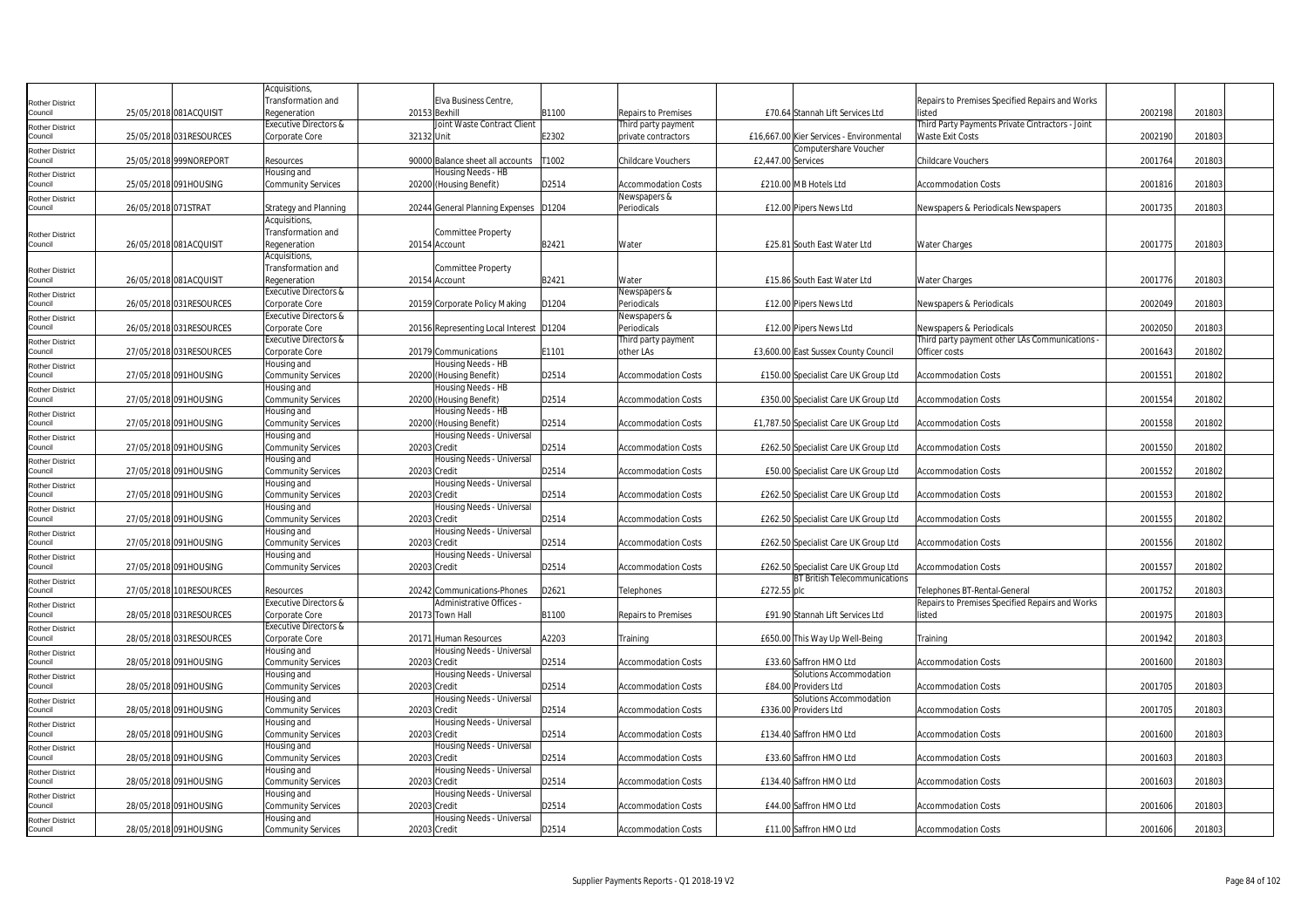| Elva Business Centre,<br>Transformation and<br>Repairs to Premises Specified Repairs and Works<br>Rother District<br>25/05/2018 081ACQUISIT<br>Regeneration<br>20153 Bexhill<br>B1100<br>Repairs to Premises<br>£70.64 Stannah Lift Services Ltd<br>2002198<br>201803<br>listed<br>Joint Waste Contract Client<br>Third Party Payments Private Cintractors - Joint<br><b>Executive Directors &amp;</b><br>Third party payment<br>Rother District<br>25/05/2018 031RESOURCES<br>32132 Unit<br>E2302<br>£16,667.00 Kier Services - Environmental<br>2002190<br>201803<br>Corporate Core<br>private contractors<br>Waste Exit Costs<br>Computershare Voucher<br>Rother District<br>25/05/2018 999NOREPORT<br>90000 Balance sheet all accounts<br>T1002<br>Childcare Vouchers<br>£2,447.00 Services<br>2001764<br>201803<br>Council<br>Resources<br><b>Childcare Vouchers</b><br>Housing and<br>Housing Needs - HB<br>Rother District<br>25/05/2018 091HOUSING<br>D2514<br>£210.00 MB Hotels Ltd<br>200181<br>201803<br>Council<br><b>Community Services</b><br>20200 (Housing Benefit)<br><b>Accommodation Costs</b><br><b>Accommodation Costs</b><br>Newspapers &<br>Rother District<br>Council<br>26/05/2018 071STRAT<br><b>Strategy and Planning</b><br>20244 General Planning Expenses D1204<br>Periodicals<br>£12.00 Pipers News Ltd<br>Newspapers & Periodicals Newspapers<br>2001735<br>201803<br>Acquisitions,<br>Transformation and<br>Committee Property<br>Rother District<br>26/05/2018 081ACQUISIT<br>Regeneration<br>20154 Account<br>B2421<br>Water<br>£25.81 South East Water Ltd<br><b>Water Charges</b><br>2001775<br>201803<br>Council<br>Acquisitions,<br>Transformation and<br><b>Committee Property</b><br>Rother District<br>26/05/2018 081ACQUISIT<br>B2421<br>201803<br>Council<br>Regeneration<br>20154 Account<br>Water<br>£15.86 South East Water Ltd<br><b>Water Charges</b><br>2001776<br>Executive Directors &<br>Newspapers &<br>Rother District<br>D1204<br>Council<br>26/05/2018 031RESOURCES<br>Corporate Core<br>20159 Corporate Policy Making<br>Periodicals<br>£12.00 Pipers News Ltd<br>Newspapers & Periodicals<br>2002049<br>201803<br><b>Executive Directors &amp;</b><br>Newspapers &<br>Rother District<br>26/05/2018 031RESOURCES<br>20156 Representing Local Interest D1204<br>Periodicals<br>£12.00 Pipers News Ltd<br>2002050<br>201803<br>Council<br>Corporate Core<br>Newspapers & Periodicals<br><b>Executive Directors &amp;</b><br>Third party payment<br>Third party payment other LAs Communications<br>Rother District<br>27/05/2018 031RESOURCES<br>E1101<br>2001643<br>201802<br>20179 Communications<br>other LAs<br>£3,600.00 East Sussex County Council<br>Officer costs<br>Council<br>Corporate Core<br>Housing and<br>Housing Needs - HB<br><b>Rother District</b><br>2001551<br>27/05/2018 091HOUSING<br>Community Services<br>20200 (Housing Benefit)<br>D2514<br><b>Accommodation Costs</b><br>£150.00 Specialist Care UK Group Ltd<br><b>Accommodation Costs</b><br>201802<br>Council<br>Housing Needs - HB<br>Housing and<br>Rother District<br>27/05/2018 091HOUSING<br>20200 (Housing Benefit)<br>D2514<br>£350.00 Specialist Care UK Group Ltd<br>2001554<br>201802<br>Community Services<br><b>Accommodation Costs</b><br><b>Accommodation Costs</b><br>Council<br>Housing Needs - HB<br>Housing and<br>Rother District<br>27/05/2018 091HOUSING<br>D2514<br>2001558<br>201802<br><b>Community Services</b><br>20200 (Housing Benefit)<br><b>Accommodation Costs</b><br>£1,787.50 Specialist Care UK Group Ltd<br><b>Accommodation Costs</b><br>Council<br>Housing and<br>Housing Needs - Universal<br>Rother District<br>27/05/2018 091HOUSING<br><b>Community Services</b><br>20203 Credit<br>D2514<br><b>Accommodation Costs</b><br>£262.50 Specialist Care UK Group Ltd<br><b>Accommodation Costs</b><br>2001550<br>201802<br>Council<br>Housing and<br>Housing Needs - Universal<br>Rother District<br>D2514<br>27/05/2018 091HOUSING<br>Community Services<br>20203 Credit<br>£50.00 Specialist Care UK Group Ltd<br><b>Accommodation Costs</b><br>2001552<br>201802<br>Council<br><b>Accommodation Costs</b><br>Housing Needs - Universal<br>Housing and<br>Rother District<br>27/05/2018 091HOUSING<br>D2514<br>£262.50 Specialist Care UK Group Ltd<br>2001553<br>201802<br>Council<br><b>Community Services</b><br>20203 Credit<br><b>Accommodation Costs</b><br><b>Accommodation Costs</b><br>Housing Needs - Universal<br>Housing and<br>Rother District<br>27/05/2018 091HOUSING<br>D2514<br>2001555<br>201802<br>Community Services<br>20203 Credit<br>£262.50 Specialist Care UK Group Ltd<br><b>Accommodation Costs</b><br><b>Accommodation Costs</b><br>Council<br>Housing Needs - Universal<br>Housing and<br><b>Rother District</b><br>27/05/2018 091HOUSING<br>Community Services<br>20203 Credit<br>D2514<br><b>Accommodation Costs</b><br>£262.50 Specialist Care UK Group Ltd<br><b>Accommodation Costs</b><br>2001556<br>201802<br>Council<br>Housing Needs - Universal<br>Housing and<br><b>Rother District</b><br>D2514<br>2001557<br>201802<br>27/05/2018 091HOUSING<br>Community Services<br>20203 Credit<br><b>Accommodation Costs</b><br>£262.50 Specialist Care UK Group Ltd<br><b>Accommodation Costs</b><br><b>BT British Telecommunications</b><br>Rother District<br>27/05/2018 101RESOURCES<br>20242 Communications-Phones<br>D2621<br>£272.55 plc<br>Telephones BT-Rental-General<br>2001752<br>201803<br>Resources<br>Telephones<br>Administrative Offices -<br>Repairs to Premises Specified Repairs and Works<br><b>Executive Directors &amp;</b><br>tother District<br>28/05/2018 031RESOURCES<br>20173 Town Hall<br>B1100<br>£91.90 Stannah Lift Services Ltd<br>2001975<br>201803<br>Corporate Core<br>Repairs to Premises<br>listed<br><b>Executive Directors &amp;</b><br>Rother District<br>A2203<br>2001942<br>28/05/2018 031RESOURCES<br>Corporate Core<br>20171 Human Resources<br>Training<br>£650.00 This Way Up Well-Being<br>Training<br>201803<br>Housing Needs - Universal<br>Housing and<br>Rother District<br>28/05/2018 091HOUSING<br>20203 Credit<br>D2514<br>£33.60 Saffron HMO Ltd<br>2001600<br>201803<br>Community Services<br><b>Accommodation Costs</b><br><b>Accommodation Costs</b><br>Housing and<br>Housing Needs - Universal<br>Solutions Accommodation<br>Rother District<br>D2514<br>28/05/2018 091HOUSING<br>£84.00 Providers Ltd<br>2001705<br>201803<br><b>Community Services</b><br>20203 Credit<br><b>Accommodation Costs</b><br><b>Accommodation Costs</b><br>Housing Needs - Universal<br>Housing and<br>Solutions Accommodation<br>28/05/2018 091HOUSING<br>Community Services<br>20203 Credit<br>D2514<br><b>Accommodation Costs</b><br>£336.00 Providers Ltd<br><b>Accommodation Costs</b><br>2001705<br>201803<br>Housing Needs - Universal<br>Housing and<br>Rother District<br>D2514<br>201803<br>28/05/2018 091HOUSING<br>Community Services<br>20203 Credit<br>£134.40 Saffron HMO Ltd<br>2001600<br><b>Accommodation Costs</b><br><b>Accommodation Costs</b><br>Housing and<br>Housing Needs - Universal<br>Rother District<br>28/05/2018 091HOUSING<br>20203 Credit<br>D2514<br>£33.60 Saffron HMO Ltd<br>2001603<br>201803<br><b>Community Services</b><br><b>Accommodation Costs</b><br><b>Accommodation Costs</b><br>Housing Needs - Universal<br>Housing and<br>Rother District<br>28/05/2018 091HOUSING<br>D2514<br>2001603<br>201803<br>Community Services<br>20203 Credit<br>£134.40 Saffron HMO Ltd<br><b>Accommodation Costs</b><br><b>Accommodation Costs</b><br>Housing Needs - Universal<br>lousing and<br>28/05/2018 091HOUSING<br>Community Services<br>20203 Credit<br>D2514<br><b>Accommodation Costs</b><br>£44.00 Saffron HMO Ltd<br><b>Accommodation Costs</b><br>2001606<br>201803<br>Housing Needs - Universal<br>Housing and<br>Rother District<br>201803<br>28/05/2018 091HOUSING<br>20203 Credit<br>D2514<br>£11.00 Saffron HMO Ltd<br>2001606<br><b>Community Services</b><br><b>Accommodation Costs</b><br><b>Accommodation Costs</b> |                        |  | Acquisitions, |  |  |  |  |  |
|-------------------------------------------------------------------------------------------------------------------------------------------------------------------------------------------------------------------------------------------------------------------------------------------------------------------------------------------------------------------------------------------------------------------------------------------------------------------------------------------------------------------------------------------------------------------------------------------------------------------------------------------------------------------------------------------------------------------------------------------------------------------------------------------------------------------------------------------------------------------------------------------------------------------------------------------------------------------------------------------------------------------------------------------------------------------------------------------------------------------------------------------------------------------------------------------------------------------------------------------------------------------------------------------------------------------------------------------------------------------------------------------------------------------------------------------------------------------------------------------------------------------------------------------------------------------------------------------------------------------------------------------------------------------------------------------------------------------------------------------------------------------------------------------------------------------------------------------------------------------------------------------------------------------------------------------------------------------------------------------------------------------------------------------------------------------------------------------------------------------------------------------------------------------------------------------------------------------------------------------------------------------------------------------------------------------------------------------------------------------------------------------------------------------------------------------------------------------------------------------------------------------------------------------------------------------------------------------------------------------------------------------------------------------------------------------------------------------------------------------------------------------------------------------------------------------------------------------------------------------------------------------------------------------------------------------------------------------------------------------------------------------------------------------------------------------------------------------------------------------------------------------------------------------------------------------------------------------------------------------------------------------------------------------------------------------------------------------------------------------------------------------------------------------------------------------------------------------------------------------------------------------------------------------------------------------------------------------------------------------------------------------------------------------------------------------------------------------------------------------------------------------------------------------------------------------------------------------------------------------------------------------------------------------------------------------------------------------------------------------------------------------------------------------------------------------------------------------------------------------------------------------------------------------------------------------------------------------------------------------------------------------------------------------------------------------------------------------------------------------------------------------------------------------------------------------------------------------------------------------------------------------------------------------------------------------------------------------------------------------------------------------------------------------------------------------------------------------------------------------------------------------------------------------------------------------------------------------------------------------------------------------------------------------------------------------------------------------------------------------------------------------------------------------------------------------------------------------------------------------------------------------------------------------------------------------------------------------------------------------------------------------------------------------------------------------------------------------------------------------------------------------------------------------------------------------------------------------------------------------------------------------------------------------------------------------------------------------------------------------------------------------------------------------------------------------------------------------------------------------------------------------------------------------------------------------------------------------------------------------------------------------------------------------------------------------------------------------------------------------------------------------------------------------------------------------------------------------------------------------------------------------------------------------------------------------------------------------------------------------------------------------------------------------------------------------------------------------------------------------------------------------------------------------------------------------------------------------------------------------------------------------------------------------------------------------------------------------------------------------------------------------------------------------------------------------------------------------------------------------------------------------------------------------------------------------------------------------------------------------------------------------------------------------------------------------------------------------------------------------------------------------------------------------------------------------------------------------------------------------------------------------------------------------------------------------------------------------------------------------------------------------------------------------------------------------------------------------------------------------------------------------------------------------------------------------------------------------------------------------------------------------------------------------------------------------------------------------------------------------------------------------------------------------------------------------------------------------------------------------------------------------------------------------------------------------------------------------------------------------------------------------------------------------------------------------------------------------------------------------------------------------------------------------------------------------------------------------------------------------------------|------------------------|--|---------------|--|--|--|--|--|
|                                                                                                                                                                                                                                                                                                                                                                                                                                                                                                                                                                                                                                                                                                                                                                                                                                                                                                                                                                                                                                                                                                                                                                                                                                                                                                                                                                                                                                                                                                                                                                                                                                                                                                                                                                                                                                                                                                                                                                                                                                                                                                                                                                                                                                                                                                                                                                                                                                                                                                                                                                                                                                                                                                                                                                                                                                                                                                                                                                                                                                                                                                                                                                                                                                                                                                                                                                                                                                                                                                                                                                                                                                                                                                                                                                                                                                                                                                                                                                                                                                                                                                                                                                                                                                                                                                                                                                                                                                                                                                                                                                                                                                                                                                                                                                                                                                                                                                                                                                                                                                                                                                                                                                                                                                                                                                                                                                                                                                                                                                                                                                                                                                                                                                                                                                                                                                                                                                                                                                                                                                                                                                                                                                                                                                                                                                                                                                                                                                                                                                                                                                                                                                                                                                                                                                                                                                                                                                                                                                                                                                                                                                                                                                                                                                                                                                                                                                                                                                                                                                                                                                                                                                                                                                                                                                                                                                                                                                                                                                                                                                                                                                                               |                        |  |               |  |  |  |  |  |
|                                                                                                                                                                                                                                                                                                                                                                                                                                                                                                                                                                                                                                                                                                                                                                                                                                                                                                                                                                                                                                                                                                                                                                                                                                                                                                                                                                                                                                                                                                                                                                                                                                                                                                                                                                                                                                                                                                                                                                                                                                                                                                                                                                                                                                                                                                                                                                                                                                                                                                                                                                                                                                                                                                                                                                                                                                                                                                                                                                                                                                                                                                                                                                                                                                                                                                                                                                                                                                                                                                                                                                                                                                                                                                                                                                                                                                                                                                                                                                                                                                                                                                                                                                                                                                                                                                                                                                                                                                                                                                                                                                                                                                                                                                                                                                                                                                                                                                                                                                                                                                                                                                                                                                                                                                                                                                                                                                                                                                                                                                                                                                                                                                                                                                                                                                                                                                                                                                                                                                                                                                                                                                                                                                                                                                                                                                                                                                                                                                                                                                                                                                                                                                                                                                                                                                                                                                                                                                                                                                                                                                                                                                                                                                                                                                                                                                                                                                                                                                                                                                                                                                                                                                                                                                                                                                                                                                                                                                                                                                                                                                                                                                                               | Council                |  |               |  |  |  |  |  |
|                                                                                                                                                                                                                                                                                                                                                                                                                                                                                                                                                                                                                                                                                                                                                                                                                                                                                                                                                                                                                                                                                                                                                                                                                                                                                                                                                                                                                                                                                                                                                                                                                                                                                                                                                                                                                                                                                                                                                                                                                                                                                                                                                                                                                                                                                                                                                                                                                                                                                                                                                                                                                                                                                                                                                                                                                                                                                                                                                                                                                                                                                                                                                                                                                                                                                                                                                                                                                                                                                                                                                                                                                                                                                                                                                                                                                                                                                                                                                                                                                                                                                                                                                                                                                                                                                                                                                                                                                                                                                                                                                                                                                                                                                                                                                                                                                                                                                                                                                                                                                                                                                                                                                                                                                                                                                                                                                                                                                                                                                                                                                                                                                                                                                                                                                                                                                                                                                                                                                                                                                                                                                                                                                                                                                                                                                                                                                                                                                                                                                                                                                                                                                                                                                                                                                                                                                                                                                                                                                                                                                                                                                                                                                                                                                                                                                                                                                                                                                                                                                                                                                                                                                                                                                                                                                                                                                                                                                                                                                                                                                                                                                                                               |                        |  |               |  |  |  |  |  |
|                                                                                                                                                                                                                                                                                                                                                                                                                                                                                                                                                                                                                                                                                                                                                                                                                                                                                                                                                                                                                                                                                                                                                                                                                                                                                                                                                                                                                                                                                                                                                                                                                                                                                                                                                                                                                                                                                                                                                                                                                                                                                                                                                                                                                                                                                                                                                                                                                                                                                                                                                                                                                                                                                                                                                                                                                                                                                                                                                                                                                                                                                                                                                                                                                                                                                                                                                                                                                                                                                                                                                                                                                                                                                                                                                                                                                                                                                                                                                                                                                                                                                                                                                                                                                                                                                                                                                                                                                                                                                                                                                                                                                                                                                                                                                                                                                                                                                                                                                                                                                                                                                                                                                                                                                                                                                                                                                                                                                                                                                                                                                                                                                                                                                                                                                                                                                                                                                                                                                                                                                                                                                                                                                                                                                                                                                                                                                                                                                                                                                                                                                                                                                                                                                                                                                                                                                                                                                                                                                                                                                                                                                                                                                                                                                                                                                                                                                                                                                                                                                                                                                                                                                                                                                                                                                                                                                                                                                                                                                                                                                                                                                                                               | Council                |  |               |  |  |  |  |  |
|                                                                                                                                                                                                                                                                                                                                                                                                                                                                                                                                                                                                                                                                                                                                                                                                                                                                                                                                                                                                                                                                                                                                                                                                                                                                                                                                                                                                                                                                                                                                                                                                                                                                                                                                                                                                                                                                                                                                                                                                                                                                                                                                                                                                                                                                                                                                                                                                                                                                                                                                                                                                                                                                                                                                                                                                                                                                                                                                                                                                                                                                                                                                                                                                                                                                                                                                                                                                                                                                                                                                                                                                                                                                                                                                                                                                                                                                                                                                                                                                                                                                                                                                                                                                                                                                                                                                                                                                                                                                                                                                                                                                                                                                                                                                                                                                                                                                                                                                                                                                                                                                                                                                                                                                                                                                                                                                                                                                                                                                                                                                                                                                                                                                                                                                                                                                                                                                                                                                                                                                                                                                                                                                                                                                                                                                                                                                                                                                                                                                                                                                                                                                                                                                                                                                                                                                                                                                                                                                                                                                                                                                                                                                                                                                                                                                                                                                                                                                                                                                                                                                                                                                                                                                                                                                                                                                                                                                                                                                                                                                                                                                                                                               |                        |  |               |  |  |  |  |  |
|                                                                                                                                                                                                                                                                                                                                                                                                                                                                                                                                                                                                                                                                                                                                                                                                                                                                                                                                                                                                                                                                                                                                                                                                                                                                                                                                                                                                                                                                                                                                                                                                                                                                                                                                                                                                                                                                                                                                                                                                                                                                                                                                                                                                                                                                                                                                                                                                                                                                                                                                                                                                                                                                                                                                                                                                                                                                                                                                                                                                                                                                                                                                                                                                                                                                                                                                                                                                                                                                                                                                                                                                                                                                                                                                                                                                                                                                                                                                                                                                                                                                                                                                                                                                                                                                                                                                                                                                                                                                                                                                                                                                                                                                                                                                                                                                                                                                                                                                                                                                                                                                                                                                                                                                                                                                                                                                                                                                                                                                                                                                                                                                                                                                                                                                                                                                                                                                                                                                                                                                                                                                                                                                                                                                                                                                                                                                                                                                                                                                                                                                                                                                                                                                                                                                                                                                                                                                                                                                                                                                                                                                                                                                                                                                                                                                                                                                                                                                                                                                                                                                                                                                                                                                                                                                                                                                                                                                                                                                                                                                                                                                                                                               |                        |  |               |  |  |  |  |  |
|                                                                                                                                                                                                                                                                                                                                                                                                                                                                                                                                                                                                                                                                                                                                                                                                                                                                                                                                                                                                                                                                                                                                                                                                                                                                                                                                                                                                                                                                                                                                                                                                                                                                                                                                                                                                                                                                                                                                                                                                                                                                                                                                                                                                                                                                                                                                                                                                                                                                                                                                                                                                                                                                                                                                                                                                                                                                                                                                                                                                                                                                                                                                                                                                                                                                                                                                                                                                                                                                                                                                                                                                                                                                                                                                                                                                                                                                                                                                                                                                                                                                                                                                                                                                                                                                                                                                                                                                                                                                                                                                                                                                                                                                                                                                                                                                                                                                                                                                                                                                                                                                                                                                                                                                                                                                                                                                                                                                                                                                                                                                                                                                                                                                                                                                                                                                                                                                                                                                                                                                                                                                                                                                                                                                                                                                                                                                                                                                                                                                                                                                                                                                                                                                                                                                                                                                                                                                                                                                                                                                                                                                                                                                                                                                                                                                                                                                                                                                                                                                                                                                                                                                                                                                                                                                                                                                                                                                                                                                                                                                                                                                                                                               |                        |  |               |  |  |  |  |  |
|                                                                                                                                                                                                                                                                                                                                                                                                                                                                                                                                                                                                                                                                                                                                                                                                                                                                                                                                                                                                                                                                                                                                                                                                                                                                                                                                                                                                                                                                                                                                                                                                                                                                                                                                                                                                                                                                                                                                                                                                                                                                                                                                                                                                                                                                                                                                                                                                                                                                                                                                                                                                                                                                                                                                                                                                                                                                                                                                                                                                                                                                                                                                                                                                                                                                                                                                                                                                                                                                                                                                                                                                                                                                                                                                                                                                                                                                                                                                                                                                                                                                                                                                                                                                                                                                                                                                                                                                                                                                                                                                                                                                                                                                                                                                                                                                                                                                                                                                                                                                                                                                                                                                                                                                                                                                                                                                                                                                                                                                                                                                                                                                                                                                                                                                                                                                                                                                                                                                                                                                                                                                                                                                                                                                                                                                                                                                                                                                                                                                                                                                                                                                                                                                                                                                                                                                                                                                                                                                                                                                                                                                                                                                                                                                                                                                                                                                                                                                                                                                                                                                                                                                                                                                                                                                                                                                                                                                                                                                                                                                                                                                                                                               |                        |  |               |  |  |  |  |  |
|                                                                                                                                                                                                                                                                                                                                                                                                                                                                                                                                                                                                                                                                                                                                                                                                                                                                                                                                                                                                                                                                                                                                                                                                                                                                                                                                                                                                                                                                                                                                                                                                                                                                                                                                                                                                                                                                                                                                                                                                                                                                                                                                                                                                                                                                                                                                                                                                                                                                                                                                                                                                                                                                                                                                                                                                                                                                                                                                                                                                                                                                                                                                                                                                                                                                                                                                                                                                                                                                                                                                                                                                                                                                                                                                                                                                                                                                                                                                                                                                                                                                                                                                                                                                                                                                                                                                                                                                                                                                                                                                                                                                                                                                                                                                                                                                                                                                                                                                                                                                                                                                                                                                                                                                                                                                                                                                                                                                                                                                                                                                                                                                                                                                                                                                                                                                                                                                                                                                                                                                                                                                                                                                                                                                                                                                                                                                                                                                                                                                                                                                                                                                                                                                                                                                                                                                                                                                                                                                                                                                                                                                                                                                                                                                                                                                                                                                                                                                                                                                                                                                                                                                                                                                                                                                                                                                                                                                                                                                                                                                                                                                                                                               |                        |  |               |  |  |  |  |  |
|                                                                                                                                                                                                                                                                                                                                                                                                                                                                                                                                                                                                                                                                                                                                                                                                                                                                                                                                                                                                                                                                                                                                                                                                                                                                                                                                                                                                                                                                                                                                                                                                                                                                                                                                                                                                                                                                                                                                                                                                                                                                                                                                                                                                                                                                                                                                                                                                                                                                                                                                                                                                                                                                                                                                                                                                                                                                                                                                                                                                                                                                                                                                                                                                                                                                                                                                                                                                                                                                                                                                                                                                                                                                                                                                                                                                                                                                                                                                                                                                                                                                                                                                                                                                                                                                                                                                                                                                                                                                                                                                                                                                                                                                                                                                                                                                                                                                                                                                                                                                                                                                                                                                                                                                                                                                                                                                                                                                                                                                                                                                                                                                                                                                                                                                                                                                                                                                                                                                                                                                                                                                                                                                                                                                                                                                                                                                                                                                                                                                                                                                                                                                                                                                                                                                                                                                                                                                                                                                                                                                                                                                                                                                                                                                                                                                                                                                                                                                                                                                                                                                                                                                                                                                                                                                                                                                                                                                                                                                                                                                                                                                                                                               |                        |  |               |  |  |  |  |  |
|                                                                                                                                                                                                                                                                                                                                                                                                                                                                                                                                                                                                                                                                                                                                                                                                                                                                                                                                                                                                                                                                                                                                                                                                                                                                                                                                                                                                                                                                                                                                                                                                                                                                                                                                                                                                                                                                                                                                                                                                                                                                                                                                                                                                                                                                                                                                                                                                                                                                                                                                                                                                                                                                                                                                                                                                                                                                                                                                                                                                                                                                                                                                                                                                                                                                                                                                                                                                                                                                                                                                                                                                                                                                                                                                                                                                                                                                                                                                                                                                                                                                                                                                                                                                                                                                                                                                                                                                                                                                                                                                                                                                                                                                                                                                                                                                                                                                                                                                                                                                                                                                                                                                                                                                                                                                                                                                                                                                                                                                                                                                                                                                                                                                                                                                                                                                                                                                                                                                                                                                                                                                                                                                                                                                                                                                                                                                                                                                                                                                                                                                                                                                                                                                                                                                                                                                                                                                                                                                                                                                                                                                                                                                                                                                                                                                                                                                                                                                                                                                                                                                                                                                                                                                                                                                                                                                                                                                                                                                                                                                                                                                                                                               |                        |  |               |  |  |  |  |  |
|                                                                                                                                                                                                                                                                                                                                                                                                                                                                                                                                                                                                                                                                                                                                                                                                                                                                                                                                                                                                                                                                                                                                                                                                                                                                                                                                                                                                                                                                                                                                                                                                                                                                                                                                                                                                                                                                                                                                                                                                                                                                                                                                                                                                                                                                                                                                                                                                                                                                                                                                                                                                                                                                                                                                                                                                                                                                                                                                                                                                                                                                                                                                                                                                                                                                                                                                                                                                                                                                                                                                                                                                                                                                                                                                                                                                                                                                                                                                                                                                                                                                                                                                                                                                                                                                                                                                                                                                                                                                                                                                                                                                                                                                                                                                                                                                                                                                                                                                                                                                                                                                                                                                                                                                                                                                                                                                                                                                                                                                                                                                                                                                                                                                                                                                                                                                                                                                                                                                                                                                                                                                                                                                                                                                                                                                                                                                                                                                                                                                                                                                                                                                                                                                                                                                                                                                                                                                                                                                                                                                                                                                                                                                                                                                                                                                                                                                                                                                                                                                                                                                                                                                                                                                                                                                                                                                                                                                                                                                                                                                                                                                                                                               |                        |  |               |  |  |  |  |  |
|                                                                                                                                                                                                                                                                                                                                                                                                                                                                                                                                                                                                                                                                                                                                                                                                                                                                                                                                                                                                                                                                                                                                                                                                                                                                                                                                                                                                                                                                                                                                                                                                                                                                                                                                                                                                                                                                                                                                                                                                                                                                                                                                                                                                                                                                                                                                                                                                                                                                                                                                                                                                                                                                                                                                                                                                                                                                                                                                                                                                                                                                                                                                                                                                                                                                                                                                                                                                                                                                                                                                                                                                                                                                                                                                                                                                                                                                                                                                                                                                                                                                                                                                                                                                                                                                                                                                                                                                                                                                                                                                                                                                                                                                                                                                                                                                                                                                                                                                                                                                                                                                                                                                                                                                                                                                                                                                                                                                                                                                                                                                                                                                                                                                                                                                                                                                                                                                                                                                                                                                                                                                                                                                                                                                                                                                                                                                                                                                                                                                                                                                                                                                                                                                                                                                                                                                                                                                                                                                                                                                                                                                                                                                                                                                                                                                                                                                                                                                                                                                                                                                                                                                                                                                                                                                                                                                                                                                                                                                                                                                                                                                                                                               |                        |  |               |  |  |  |  |  |
|                                                                                                                                                                                                                                                                                                                                                                                                                                                                                                                                                                                                                                                                                                                                                                                                                                                                                                                                                                                                                                                                                                                                                                                                                                                                                                                                                                                                                                                                                                                                                                                                                                                                                                                                                                                                                                                                                                                                                                                                                                                                                                                                                                                                                                                                                                                                                                                                                                                                                                                                                                                                                                                                                                                                                                                                                                                                                                                                                                                                                                                                                                                                                                                                                                                                                                                                                                                                                                                                                                                                                                                                                                                                                                                                                                                                                                                                                                                                                                                                                                                                                                                                                                                                                                                                                                                                                                                                                                                                                                                                                                                                                                                                                                                                                                                                                                                                                                                                                                                                                                                                                                                                                                                                                                                                                                                                                                                                                                                                                                                                                                                                                                                                                                                                                                                                                                                                                                                                                                                                                                                                                                                                                                                                                                                                                                                                                                                                                                                                                                                                                                                                                                                                                                                                                                                                                                                                                                                                                                                                                                                                                                                                                                                                                                                                                                                                                                                                                                                                                                                                                                                                                                                                                                                                                                                                                                                                                                                                                                                                                                                                                                                               |                        |  |               |  |  |  |  |  |
|                                                                                                                                                                                                                                                                                                                                                                                                                                                                                                                                                                                                                                                                                                                                                                                                                                                                                                                                                                                                                                                                                                                                                                                                                                                                                                                                                                                                                                                                                                                                                                                                                                                                                                                                                                                                                                                                                                                                                                                                                                                                                                                                                                                                                                                                                                                                                                                                                                                                                                                                                                                                                                                                                                                                                                                                                                                                                                                                                                                                                                                                                                                                                                                                                                                                                                                                                                                                                                                                                                                                                                                                                                                                                                                                                                                                                                                                                                                                                                                                                                                                                                                                                                                                                                                                                                                                                                                                                                                                                                                                                                                                                                                                                                                                                                                                                                                                                                                                                                                                                                                                                                                                                                                                                                                                                                                                                                                                                                                                                                                                                                                                                                                                                                                                                                                                                                                                                                                                                                                                                                                                                                                                                                                                                                                                                                                                                                                                                                                                                                                                                                                                                                                                                                                                                                                                                                                                                                                                                                                                                                                                                                                                                                                                                                                                                                                                                                                                                                                                                                                                                                                                                                                                                                                                                                                                                                                                                                                                                                                                                                                                                                                               |                        |  |               |  |  |  |  |  |
|                                                                                                                                                                                                                                                                                                                                                                                                                                                                                                                                                                                                                                                                                                                                                                                                                                                                                                                                                                                                                                                                                                                                                                                                                                                                                                                                                                                                                                                                                                                                                                                                                                                                                                                                                                                                                                                                                                                                                                                                                                                                                                                                                                                                                                                                                                                                                                                                                                                                                                                                                                                                                                                                                                                                                                                                                                                                                                                                                                                                                                                                                                                                                                                                                                                                                                                                                                                                                                                                                                                                                                                                                                                                                                                                                                                                                                                                                                                                                                                                                                                                                                                                                                                                                                                                                                                                                                                                                                                                                                                                                                                                                                                                                                                                                                                                                                                                                                                                                                                                                                                                                                                                                                                                                                                                                                                                                                                                                                                                                                                                                                                                                                                                                                                                                                                                                                                                                                                                                                                                                                                                                                                                                                                                                                                                                                                                                                                                                                                                                                                                                                                                                                                                                                                                                                                                                                                                                                                                                                                                                                                                                                                                                                                                                                                                                                                                                                                                                                                                                                                                                                                                                                                                                                                                                                                                                                                                                                                                                                                                                                                                                                                               |                        |  |               |  |  |  |  |  |
|                                                                                                                                                                                                                                                                                                                                                                                                                                                                                                                                                                                                                                                                                                                                                                                                                                                                                                                                                                                                                                                                                                                                                                                                                                                                                                                                                                                                                                                                                                                                                                                                                                                                                                                                                                                                                                                                                                                                                                                                                                                                                                                                                                                                                                                                                                                                                                                                                                                                                                                                                                                                                                                                                                                                                                                                                                                                                                                                                                                                                                                                                                                                                                                                                                                                                                                                                                                                                                                                                                                                                                                                                                                                                                                                                                                                                                                                                                                                                                                                                                                                                                                                                                                                                                                                                                                                                                                                                                                                                                                                                                                                                                                                                                                                                                                                                                                                                                                                                                                                                                                                                                                                                                                                                                                                                                                                                                                                                                                                                                                                                                                                                                                                                                                                                                                                                                                                                                                                                                                                                                                                                                                                                                                                                                                                                                                                                                                                                                                                                                                                                                                                                                                                                                                                                                                                                                                                                                                                                                                                                                                                                                                                                                                                                                                                                                                                                                                                                                                                                                                                                                                                                                                                                                                                                                                                                                                                                                                                                                                                                                                                                                                               |                        |  |               |  |  |  |  |  |
|                                                                                                                                                                                                                                                                                                                                                                                                                                                                                                                                                                                                                                                                                                                                                                                                                                                                                                                                                                                                                                                                                                                                                                                                                                                                                                                                                                                                                                                                                                                                                                                                                                                                                                                                                                                                                                                                                                                                                                                                                                                                                                                                                                                                                                                                                                                                                                                                                                                                                                                                                                                                                                                                                                                                                                                                                                                                                                                                                                                                                                                                                                                                                                                                                                                                                                                                                                                                                                                                                                                                                                                                                                                                                                                                                                                                                                                                                                                                                                                                                                                                                                                                                                                                                                                                                                                                                                                                                                                                                                                                                                                                                                                                                                                                                                                                                                                                                                                                                                                                                                                                                                                                                                                                                                                                                                                                                                                                                                                                                                                                                                                                                                                                                                                                                                                                                                                                                                                                                                                                                                                                                                                                                                                                                                                                                                                                                                                                                                                                                                                                                                                                                                                                                                                                                                                                                                                                                                                                                                                                                                                                                                                                                                                                                                                                                                                                                                                                                                                                                                                                                                                                                                                                                                                                                                                                                                                                                                                                                                                                                                                                                                                               |                        |  |               |  |  |  |  |  |
|                                                                                                                                                                                                                                                                                                                                                                                                                                                                                                                                                                                                                                                                                                                                                                                                                                                                                                                                                                                                                                                                                                                                                                                                                                                                                                                                                                                                                                                                                                                                                                                                                                                                                                                                                                                                                                                                                                                                                                                                                                                                                                                                                                                                                                                                                                                                                                                                                                                                                                                                                                                                                                                                                                                                                                                                                                                                                                                                                                                                                                                                                                                                                                                                                                                                                                                                                                                                                                                                                                                                                                                                                                                                                                                                                                                                                                                                                                                                                                                                                                                                                                                                                                                                                                                                                                                                                                                                                                                                                                                                                                                                                                                                                                                                                                                                                                                                                                                                                                                                                                                                                                                                                                                                                                                                                                                                                                                                                                                                                                                                                                                                                                                                                                                                                                                                                                                                                                                                                                                                                                                                                                                                                                                                                                                                                                                                                                                                                                                                                                                                                                                                                                                                                                                                                                                                                                                                                                                                                                                                                                                                                                                                                                                                                                                                                                                                                                                                                                                                                                                                                                                                                                                                                                                                                                                                                                                                                                                                                                                                                                                                                                                               |                        |  |               |  |  |  |  |  |
|                                                                                                                                                                                                                                                                                                                                                                                                                                                                                                                                                                                                                                                                                                                                                                                                                                                                                                                                                                                                                                                                                                                                                                                                                                                                                                                                                                                                                                                                                                                                                                                                                                                                                                                                                                                                                                                                                                                                                                                                                                                                                                                                                                                                                                                                                                                                                                                                                                                                                                                                                                                                                                                                                                                                                                                                                                                                                                                                                                                                                                                                                                                                                                                                                                                                                                                                                                                                                                                                                                                                                                                                                                                                                                                                                                                                                                                                                                                                                                                                                                                                                                                                                                                                                                                                                                                                                                                                                                                                                                                                                                                                                                                                                                                                                                                                                                                                                                                                                                                                                                                                                                                                                                                                                                                                                                                                                                                                                                                                                                                                                                                                                                                                                                                                                                                                                                                                                                                                                                                                                                                                                                                                                                                                                                                                                                                                                                                                                                                                                                                                                                                                                                                                                                                                                                                                                                                                                                                                                                                                                                                                                                                                                                                                                                                                                                                                                                                                                                                                                                                                                                                                                                                                                                                                                                                                                                                                                                                                                                                                                                                                                                                               |                        |  |               |  |  |  |  |  |
|                                                                                                                                                                                                                                                                                                                                                                                                                                                                                                                                                                                                                                                                                                                                                                                                                                                                                                                                                                                                                                                                                                                                                                                                                                                                                                                                                                                                                                                                                                                                                                                                                                                                                                                                                                                                                                                                                                                                                                                                                                                                                                                                                                                                                                                                                                                                                                                                                                                                                                                                                                                                                                                                                                                                                                                                                                                                                                                                                                                                                                                                                                                                                                                                                                                                                                                                                                                                                                                                                                                                                                                                                                                                                                                                                                                                                                                                                                                                                                                                                                                                                                                                                                                                                                                                                                                                                                                                                                                                                                                                                                                                                                                                                                                                                                                                                                                                                                                                                                                                                                                                                                                                                                                                                                                                                                                                                                                                                                                                                                                                                                                                                                                                                                                                                                                                                                                                                                                                                                                                                                                                                                                                                                                                                                                                                                                                                                                                                                                                                                                                                                                                                                                                                                                                                                                                                                                                                                                                                                                                                                                                                                                                                                                                                                                                                                                                                                                                                                                                                                                                                                                                                                                                                                                                                                                                                                                                                                                                                                                                                                                                                                                               |                        |  |               |  |  |  |  |  |
|                                                                                                                                                                                                                                                                                                                                                                                                                                                                                                                                                                                                                                                                                                                                                                                                                                                                                                                                                                                                                                                                                                                                                                                                                                                                                                                                                                                                                                                                                                                                                                                                                                                                                                                                                                                                                                                                                                                                                                                                                                                                                                                                                                                                                                                                                                                                                                                                                                                                                                                                                                                                                                                                                                                                                                                                                                                                                                                                                                                                                                                                                                                                                                                                                                                                                                                                                                                                                                                                                                                                                                                                                                                                                                                                                                                                                                                                                                                                                                                                                                                                                                                                                                                                                                                                                                                                                                                                                                                                                                                                                                                                                                                                                                                                                                                                                                                                                                                                                                                                                                                                                                                                                                                                                                                                                                                                                                                                                                                                                                                                                                                                                                                                                                                                                                                                                                                                                                                                                                                                                                                                                                                                                                                                                                                                                                                                                                                                                                                                                                                                                                                                                                                                                                                                                                                                                                                                                                                                                                                                                                                                                                                                                                                                                                                                                                                                                                                                                                                                                                                                                                                                                                                                                                                                                                                                                                                                                                                                                                                                                                                                                                                               |                        |  |               |  |  |  |  |  |
|                                                                                                                                                                                                                                                                                                                                                                                                                                                                                                                                                                                                                                                                                                                                                                                                                                                                                                                                                                                                                                                                                                                                                                                                                                                                                                                                                                                                                                                                                                                                                                                                                                                                                                                                                                                                                                                                                                                                                                                                                                                                                                                                                                                                                                                                                                                                                                                                                                                                                                                                                                                                                                                                                                                                                                                                                                                                                                                                                                                                                                                                                                                                                                                                                                                                                                                                                                                                                                                                                                                                                                                                                                                                                                                                                                                                                                                                                                                                                                                                                                                                                                                                                                                                                                                                                                                                                                                                                                                                                                                                                                                                                                                                                                                                                                                                                                                                                                                                                                                                                                                                                                                                                                                                                                                                                                                                                                                                                                                                                                                                                                                                                                                                                                                                                                                                                                                                                                                                                                                                                                                                                                                                                                                                                                                                                                                                                                                                                                                                                                                                                                                                                                                                                                                                                                                                                                                                                                                                                                                                                                                                                                                                                                                                                                                                                                                                                                                                                                                                                                                                                                                                                                                                                                                                                                                                                                                                                                                                                                                                                                                                                                                               |                        |  |               |  |  |  |  |  |
|                                                                                                                                                                                                                                                                                                                                                                                                                                                                                                                                                                                                                                                                                                                                                                                                                                                                                                                                                                                                                                                                                                                                                                                                                                                                                                                                                                                                                                                                                                                                                                                                                                                                                                                                                                                                                                                                                                                                                                                                                                                                                                                                                                                                                                                                                                                                                                                                                                                                                                                                                                                                                                                                                                                                                                                                                                                                                                                                                                                                                                                                                                                                                                                                                                                                                                                                                                                                                                                                                                                                                                                                                                                                                                                                                                                                                                                                                                                                                                                                                                                                                                                                                                                                                                                                                                                                                                                                                                                                                                                                                                                                                                                                                                                                                                                                                                                                                                                                                                                                                                                                                                                                                                                                                                                                                                                                                                                                                                                                                                                                                                                                                                                                                                                                                                                                                                                                                                                                                                                                                                                                                                                                                                                                                                                                                                                                                                                                                                                                                                                                                                                                                                                                                                                                                                                                                                                                                                                                                                                                                                                                                                                                                                                                                                                                                                                                                                                                                                                                                                                                                                                                                                                                                                                                                                                                                                                                                                                                                                                                                                                                                                                               |                        |  |               |  |  |  |  |  |
|                                                                                                                                                                                                                                                                                                                                                                                                                                                                                                                                                                                                                                                                                                                                                                                                                                                                                                                                                                                                                                                                                                                                                                                                                                                                                                                                                                                                                                                                                                                                                                                                                                                                                                                                                                                                                                                                                                                                                                                                                                                                                                                                                                                                                                                                                                                                                                                                                                                                                                                                                                                                                                                                                                                                                                                                                                                                                                                                                                                                                                                                                                                                                                                                                                                                                                                                                                                                                                                                                                                                                                                                                                                                                                                                                                                                                                                                                                                                                                                                                                                                                                                                                                                                                                                                                                                                                                                                                                                                                                                                                                                                                                                                                                                                                                                                                                                                                                                                                                                                                                                                                                                                                                                                                                                                                                                                                                                                                                                                                                                                                                                                                                                                                                                                                                                                                                                                                                                                                                                                                                                                                                                                                                                                                                                                                                                                                                                                                                                                                                                                                                                                                                                                                                                                                                                                                                                                                                                                                                                                                                                                                                                                                                                                                                                                                                                                                                                                                                                                                                                                                                                                                                                                                                                                                                                                                                                                                                                                                                                                                                                                                                                               |                        |  |               |  |  |  |  |  |
|                                                                                                                                                                                                                                                                                                                                                                                                                                                                                                                                                                                                                                                                                                                                                                                                                                                                                                                                                                                                                                                                                                                                                                                                                                                                                                                                                                                                                                                                                                                                                                                                                                                                                                                                                                                                                                                                                                                                                                                                                                                                                                                                                                                                                                                                                                                                                                                                                                                                                                                                                                                                                                                                                                                                                                                                                                                                                                                                                                                                                                                                                                                                                                                                                                                                                                                                                                                                                                                                                                                                                                                                                                                                                                                                                                                                                                                                                                                                                                                                                                                                                                                                                                                                                                                                                                                                                                                                                                                                                                                                                                                                                                                                                                                                                                                                                                                                                                                                                                                                                                                                                                                                                                                                                                                                                                                                                                                                                                                                                                                                                                                                                                                                                                                                                                                                                                                                                                                                                                                                                                                                                                                                                                                                                                                                                                                                                                                                                                                                                                                                                                                                                                                                                                                                                                                                                                                                                                                                                                                                                                                                                                                                                                                                                                                                                                                                                                                                                                                                                                                                                                                                                                                                                                                                                                                                                                                                                                                                                                                                                                                                                                                               |                        |  |               |  |  |  |  |  |
|                                                                                                                                                                                                                                                                                                                                                                                                                                                                                                                                                                                                                                                                                                                                                                                                                                                                                                                                                                                                                                                                                                                                                                                                                                                                                                                                                                                                                                                                                                                                                                                                                                                                                                                                                                                                                                                                                                                                                                                                                                                                                                                                                                                                                                                                                                                                                                                                                                                                                                                                                                                                                                                                                                                                                                                                                                                                                                                                                                                                                                                                                                                                                                                                                                                                                                                                                                                                                                                                                                                                                                                                                                                                                                                                                                                                                                                                                                                                                                                                                                                                                                                                                                                                                                                                                                                                                                                                                                                                                                                                                                                                                                                                                                                                                                                                                                                                                                                                                                                                                                                                                                                                                                                                                                                                                                                                                                                                                                                                                                                                                                                                                                                                                                                                                                                                                                                                                                                                                                                                                                                                                                                                                                                                                                                                                                                                                                                                                                                                                                                                                                                                                                                                                                                                                                                                                                                                                                                                                                                                                                                                                                                                                                                                                                                                                                                                                                                                                                                                                                                                                                                                                                                                                                                                                                                                                                                                                                                                                                                                                                                                                                                               |                        |  |               |  |  |  |  |  |
|                                                                                                                                                                                                                                                                                                                                                                                                                                                                                                                                                                                                                                                                                                                                                                                                                                                                                                                                                                                                                                                                                                                                                                                                                                                                                                                                                                                                                                                                                                                                                                                                                                                                                                                                                                                                                                                                                                                                                                                                                                                                                                                                                                                                                                                                                                                                                                                                                                                                                                                                                                                                                                                                                                                                                                                                                                                                                                                                                                                                                                                                                                                                                                                                                                                                                                                                                                                                                                                                                                                                                                                                                                                                                                                                                                                                                                                                                                                                                                                                                                                                                                                                                                                                                                                                                                                                                                                                                                                                                                                                                                                                                                                                                                                                                                                                                                                                                                                                                                                                                                                                                                                                                                                                                                                                                                                                                                                                                                                                                                                                                                                                                                                                                                                                                                                                                                                                                                                                                                                                                                                                                                                                                                                                                                                                                                                                                                                                                                                                                                                                                                                                                                                                                                                                                                                                                                                                                                                                                                                                                                                                                                                                                                                                                                                                                                                                                                                                                                                                                                                                                                                                                                                                                                                                                                                                                                                                                                                                                                                                                                                                                                                               |                        |  |               |  |  |  |  |  |
|                                                                                                                                                                                                                                                                                                                                                                                                                                                                                                                                                                                                                                                                                                                                                                                                                                                                                                                                                                                                                                                                                                                                                                                                                                                                                                                                                                                                                                                                                                                                                                                                                                                                                                                                                                                                                                                                                                                                                                                                                                                                                                                                                                                                                                                                                                                                                                                                                                                                                                                                                                                                                                                                                                                                                                                                                                                                                                                                                                                                                                                                                                                                                                                                                                                                                                                                                                                                                                                                                                                                                                                                                                                                                                                                                                                                                                                                                                                                                                                                                                                                                                                                                                                                                                                                                                                                                                                                                                                                                                                                                                                                                                                                                                                                                                                                                                                                                                                                                                                                                                                                                                                                                                                                                                                                                                                                                                                                                                                                                                                                                                                                                                                                                                                                                                                                                                                                                                                                                                                                                                                                                                                                                                                                                                                                                                                                                                                                                                                                                                                                                                                                                                                                                                                                                                                                                                                                                                                                                                                                                                                                                                                                                                                                                                                                                                                                                                                                                                                                                                                                                                                                                                                                                                                                                                                                                                                                                                                                                                                                                                                                                                                               |                        |  |               |  |  |  |  |  |
|                                                                                                                                                                                                                                                                                                                                                                                                                                                                                                                                                                                                                                                                                                                                                                                                                                                                                                                                                                                                                                                                                                                                                                                                                                                                                                                                                                                                                                                                                                                                                                                                                                                                                                                                                                                                                                                                                                                                                                                                                                                                                                                                                                                                                                                                                                                                                                                                                                                                                                                                                                                                                                                                                                                                                                                                                                                                                                                                                                                                                                                                                                                                                                                                                                                                                                                                                                                                                                                                                                                                                                                                                                                                                                                                                                                                                                                                                                                                                                                                                                                                                                                                                                                                                                                                                                                                                                                                                                                                                                                                                                                                                                                                                                                                                                                                                                                                                                                                                                                                                                                                                                                                                                                                                                                                                                                                                                                                                                                                                                                                                                                                                                                                                                                                                                                                                                                                                                                                                                                                                                                                                                                                                                                                                                                                                                                                                                                                                                                                                                                                                                                                                                                                                                                                                                                                                                                                                                                                                                                                                                                                                                                                                                                                                                                                                                                                                                                                                                                                                                                                                                                                                                                                                                                                                                                                                                                                                                                                                                                                                                                                                                                               |                        |  |               |  |  |  |  |  |
|                                                                                                                                                                                                                                                                                                                                                                                                                                                                                                                                                                                                                                                                                                                                                                                                                                                                                                                                                                                                                                                                                                                                                                                                                                                                                                                                                                                                                                                                                                                                                                                                                                                                                                                                                                                                                                                                                                                                                                                                                                                                                                                                                                                                                                                                                                                                                                                                                                                                                                                                                                                                                                                                                                                                                                                                                                                                                                                                                                                                                                                                                                                                                                                                                                                                                                                                                                                                                                                                                                                                                                                                                                                                                                                                                                                                                                                                                                                                                                                                                                                                                                                                                                                                                                                                                                                                                                                                                                                                                                                                                                                                                                                                                                                                                                                                                                                                                                                                                                                                                                                                                                                                                                                                                                                                                                                                                                                                                                                                                                                                                                                                                                                                                                                                                                                                                                                                                                                                                                                                                                                                                                                                                                                                                                                                                                                                                                                                                                                                                                                                                                                                                                                                                                                                                                                                                                                                                                                                                                                                                                                                                                                                                                                                                                                                                                                                                                                                                                                                                                                                                                                                                                                                                                                                                                                                                                                                                                                                                                                                                                                                                                                               |                        |  |               |  |  |  |  |  |
|                                                                                                                                                                                                                                                                                                                                                                                                                                                                                                                                                                                                                                                                                                                                                                                                                                                                                                                                                                                                                                                                                                                                                                                                                                                                                                                                                                                                                                                                                                                                                                                                                                                                                                                                                                                                                                                                                                                                                                                                                                                                                                                                                                                                                                                                                                                                                                                                                                                                                                                                                                                                                                                                                                                                                                                                                                                                                                                                                                                                                                                                                                                                                                                                                                                                                                                                                                                                                                                                                                                                                                                                                                                                                                                                                                                                                                                                                                                                                                                                                                                                                                                                                                                                                                                                                                                                                                                                                                                                                                                                                                                                                                                                                                                                                                                                                                                                                                                                                                                                                                                                                                                                                                                                                                                                                                                                                                                                                                                                                                                                                                                                                                                                                                                                                                                                                                                                                                                                                                                                                                                                                                                                                                                                                                                                                                                                                                                                                                                                                                                                                                                                                                                                                                                                                                                                                                                                                                                                                                                                                                                                                                                                                                                                                                                                                                                                                                                                                                                                                                                                                                                                                                                                                                                                                                                                                                                                                                                                                                                                                                                                                                                               |                        |  |               |  |  |  |  |  |
|                                                                                                                                                                                                                                                                                                                                                                                                                                                                                                                                                                                                                                                                                                                                                                                                                                                                                                                                                                                                                                                                                                                                                                                                                                                                                                                                                                                                                                                                                                                                                                                                                                                                                                                                                                                                                                                                                                                                                                                                                                                                                                                                                                                                                                                                                                                                                                                                                                                                                                                                                                                                                                                                                                                                                                                                                                                                                                                                                                                                                                                                                                                                                                                                                                                                                                                                                                                                                                                                                                                                                                                                                                                                                                                                                                                                                                                                                                                                                                                                                                                                                                                                                                                                                                                                                                                                                                                                                                                                                                                                                                                                                                                                                                                                                                                                                                                                                                                                                                                                                                                                                                                                                                                                                                                                                                                                                                                                                                                                                                                                                                                                                                                                                                                                                                                                                                                                                                                                                                                                                                                                                                                                                                                                                                                                                                                                                                                                                                                                                                                                                                                                                                                                                                                                                                                                                                                                                                                                                                                                                                                                                                                                                                                                                                                                                                                                                                                                                                                                                                                                                                                                                                                                                                                                                                                                                                                                                                                                                                                                                                                                                                                               |                        |  |               |  |  |  |  |  |
|                                                                                                                                                                                                                                                                                                                                                                                                                                                                                                                                                                                                                                                                                                                                                                                                                                                                                                                                                                                                                                                                                                                                                                                                                                                                                                                                                                                                                                                                                                                                                                                                                                                                                                                                                                                                                                                                                                                                                                                                                                                                                                                                                                                                                                                                                                                                                                                                                                                                                                                                                                                                                                                                                                                                                                                                                                                                                                                                                                                                                                                                                                                                                                                                                                                                                                                                                                                                                                                                                                                                                                                                                                                                                                                                                                                                                                                                                                                                                                                                                                                                                                                                                                                                                                                                                                                                                                                                                                                                                                                                                                                                                                                                                                                                                                                                                                                                                                                                                                                                                                                                                                                                                                                                                                                                                                                                                                                                                                                                                                                                                                                                                                                                                                                                                                                                                                                                                                                                                                                                                                                                                                                                                                                                                                                                                                                                                                                                                                                                                                                                                                                                                                                                                                                                                                                                                                                                                                                                                                                                                                                                                                                                                                                                                                                                                                                                                                                                                                                                                                                                                                                                                                                                                                                                                                                                                                                                                                                                                                                                                                                                                                                               |                        |  |               |  |  |  |  |  |
|                                                                                                                                                                                                                                                                                                                                                                                                                                                                                                                                                                                                                                                                                                                                                                                                                                                                                                                                                                                                                                                                                                                                                                                                                                                                                                                                                                                                                                                                                                                                                                                                                                                                                                                                                                                                                                                                                                                                                                                                                                                                                                                                                                                                                                                                                                                                                                                                                                                                                                                                                                                                                                                                                                                                                                                                                                                                                                                                                                                                                                                                                                                                                                                                                                                                                                                                                                                                                                                                                                                                                                                                                                                                                                                                                                                                                                                                                                                                                                                                                                                                                                                                                                                                                                                                                                                                                                                                                                                                                                                                                                                                                                                                                                                                                                                                                                                                                                                                                                                                                                                                                                                                                                                                                                                                                                                                                                                                                                                                                                                                                                                                                                                                                                                                                                                                                                                                                                                                                                                                                                                                                                                                                                                                                                                                                                                                                                                                                                                                                                                                                                                                                                                                                                                                                                                                                                                                                                                                                                                                                                                                                                                                                                                                                                                                                                                                                                                                                                                                                                                                                                                                                                                                                                                                                                                                                                                                                                                                                                                                                                                                                                                               |                        |  |               |  |  |  |  |  |
|                                                                                                                                                                                                                                                                                                                                                                                                                                                                                                                                                                                                                                                                                                                                                                                                                                                                                                                                                                                                                                                                                                                                                                                                                                                                                                                                                                                                                                                                                                                                                                                                                                                                                                                                                                                                                                                                                                                                                                                                                                                                                                                                                                                                                                                                                                                                                                                                                                                                                                                                                                                                                                                                                                                                                                                                                                                                                                                                                                                                                                                                                                                                                                                                                                                                                                                                                                                                                                                                                                                                                                                                                                                                                                                                                                                                                                                                                                                                                                                                                                                                                                                                                                                                                                                                                                                                                                                                                                                                                                                                                                                                                                                                                                                                                                                                                                                                                                                                                                                                                                                                                                                                                                                                                                                                                                                                                                                                                                                                                                                                                                                                                                                                                                                                                                                                                                                                                                                                                                                                                                                                                                                                                                                                                                                                                                                                                                                                                                                                                                                                                                                                                                                                                                                                                                                                                                                                                                                                                                                                                                                                                                                                                                                                                                                                                                                                                                                                                                                                                                                                                                                                                                                                                                                                                                                                                                                                                                                                                                                                                                                                                                                               |                        |  |               |  |  |  |  |  |
|                                                                                                                                                                                                                                                                                                                                                                                                                                                                                                                                                                                                                                                                                                                                                                                                                                                                                                                                                                                                                                                                                                                                                                                                                                                                                                                                                                                                                                                                                                                                                                                                                                                                                                                                                                                                                                                                                                                                                                                                                                                                                                                                                                                                                                                                                                                                                                                                                                                                                                                                                                                                                                                                                                                                                                                                                                                                                                                                                                                                                                                                                                                                                                                                                                                                                                                                                                                                                                                                                                                                                                                                                                                                                                                                                                                                                                                                                                                                                                                                                                                                                                                                                                                                                                                                                                                                                                                                                                                                                                                                                                                                                                                                                                                                                                                                                                                                                                                                                                                                                                                                                                                                                                                                                                                                                                                                                                                                                                                                                                                                                                                                                                                                                                                                                                                                                                                                                                                                                                                                                                                                                                                                                                                                                                                                                                                                                                                                                                                                                                                                                                                                                                                                                                                                                                                                                                                                                                                                                                                                                                                                                                                                                                                                                                                                                                                                                                                                                                                                                                                                                                                                                                                                                                                                                                                                                                                                                                                                                                                                                                                                                                                               |                        |  |               |  |  |  |  |  |
|                                                                                                                                                                                                                                                                                                                                                                                                                                                                                                                                                                                                                                                                                                                                                                                                                                                                                                                                                                                                                                                                                                                                                                                                                                                                                                                                                                                                                                                                                                                                                                                                                                                                                                                                                                                                                                                                                                                                                                                                                                                                                                                                                                                                                                                                                                                                                                                                                                                                                                                                                                                                                                                                                                                                                                                                                                                                                                                                                                                                                                                                                                                                                                                                                                                                                                                                                                                                                                                                                                                                                                                                                                                                                                                                                                                                                                                                                                                                                                                                                                                                                                                                                                                                                                                                                                                                                                                                                                                                                                                                                                                                                                                                                                                                                                                                                                                                                                                                                                                                                                                                                                                                                                                                                                                                                                                                                                                                                                                                                                                                                                                                                                                                                                                                                                                                                                                                                                                                                                                                                                                                                                                                                                                                                                                                                                                                                                                                                                                                                                                                                                                                                                                                                                                                                                                                                                                                                                                                                                                                                                                                                                                                                                                                                                                                                                                                                                                                                                                                                                                                                                                                                                                                                                                                                                                                                                                                                                                                                                                                                                                                                                                               |                        |  |               |  |  |  |  |  |
|                                                                                                                                                                                                                                                                                                                                                                                                                                                                                                                                                                                                                                                                                                                                                                                                                                                                                                                                                                                                                                                                                                                                                                                                                                                                                                                                                                                                                                                                                                                                                                                                                                                                                                                                                                                                                                                                                                                                                                                                                                                                                                                                                                                                                                                                                                                                                                                                                                                                                                                                                                                                                                                                                                                                                                                                                                                                                                                                                                                                                                                                                                                                                                                                                                                                                                                                                                                                                                                                                                                                                                                                                                                                                                                                                                                                                                                                                                                                                                                                                                                                                                                                                                                                                                                                                                                                                                                                                                                                                                                                                                                                                                                                                                                                                                                                                                                                                                                                                                                                                                                                                                                                                                                                                                                                                                                                                                                                                                                                                                                                                                                                                                                                                                                                                                                                                                                                                                                                                                                                                                                                                                                                                                                                                                                                                                                                                                                                                                                                                                                                                                                                                                                                                                                                                                                                                                                                                                                                                                                                                                                                                                                                                                                                                                                                                                                                                                                                                                                                                                                                                                                                                                                                                                                                                                                                                                                                                                                                                                                                                                                                                                                               |                        |  |               |  |  |  |  |  |
|                                                                                                                                                                                                                                                                                                                                                                                                                                                                                                                                                                                                                                                                                                                                                                                                                                                                                                                                                                                                                                                                                                                                                                                                                                                                                                                                                                                                                                                                                                                                                                                                                                                                                                                                                                                                                                                                                                                                                                                                                                                                                                                                                                                                                                                                                                                                                                                                                                                                                                                                                                                                                                                                                                                                                                                                                                                                                                                                                                                                                                                                                                                                                                                                                                                                                                                                                                                                                                                                                                                                                                                                                                                                                                                                                                                                                                                                                                                                                                                                                                                                                                                                                                                                                                                                                                                                                                                                                                                                                                                                                                                                                                                                                                                                                                                                                                                                                                                                                                                                                                                                                                                                                                                                                                                                                                                                                                                                                                                                                                                                                                                                                                                                                                                                                                                                                                                                                                                                                                                                                                                                                                                                                                                                                                                                                                                                                                                                                                                                                                                                                                                                                                                                                                                                                                                                                                                                                                                                                                                                                                                                                                                                                                                                                                                                                                                                                                                                                                                                                                                                                                                                                                                                                                                                                                                                                                                                                                                                                                                                                                                                                                                               | Council                |  |               |  |  |  |  |  |
|                                                                                                                                                                                                                                                                                                                                                                                                                                                                                                                                                                                                                                                                                                                                                                                                                                                                                                                                                                                                                                                                                                                                                                                                                                                                                                                                                                                                                                                                                                                                                                                                                                                                                                                                                                                                                                                                                                                                                                                                                                                                                                                                                                                                                                                                                                                                                                                                                                                                                                                                                                                                                                                                                                                                                                                                                                                                                                                                                                                                                                                                                                                                                                                                                                                                                                                                                                                                                                                                                                                                                                                                                                                                                                                                                                                                                                                                                                                                                                                                                                                                                                                                                                                                                                                                                                                                                                                                                                                                                                                                                                                                                                                                                                                                                                                                                                                                                                                                                                                                                                                                                                                                                                                                                                                                                                                                                                                                                                                                                                                                                                                                                                                                                                                                                                                                                                                                                                                                                                                                                                                                                                                                                                                                                                                                                                                                                                                                                                                                                                                                                                                                                                                                                                                                                                                                                                                                                                                                                                                                                                                                                                                                                                                                                                                                                                                                                                                                                                                                                                                                                                                                                                                                                                                                                                                                                                                                                                                                                                                                                                                                                                                               |                        |  |               |  |  |  |  |  |
|                                                                                                                                                                                                                                                                                                                                                                                                                                                                                                                                                                                                                                                                                                                                                                                                                                                                                                                                                                                                                                                                                                                                                                                                                                                                                                                                                                                                                                                                                                                                                                                                                                                                                                                                                                                                                                                                                                                                                                                                                                                                                                                                                                                                                                                                                                                                                                                                                                                                                                                                                                                                                                                                                                                                                                                                                                                                                                                                                                                                                                                                                                                                                                                                                                                                                                                                                                                                                                                                                                                                                                                                                                                                                                                                                                                                                                                                                                                                                                                                                                                                                                                                                                                                                                                                                                                                                                                                                                                                                                                                                                                                                                                                                                                                                                                                                                                                                                                                                                                                                                                                                                                                                                                                                                                                                                                                                                                                                                                                                                                                                                                                                                                                                                                                                                                                                                                                                                                                                                                                                                                                                                                                                                                                                                                                                                                                                                                                                                                                                                                                                                                                                                                                                                                                                                                                                                                                                                                                                                                                                                                                                                                                                                                                                                                                                                                                                                                                                                                                                                                                                                                                                                                                                                                                                                                                                                                                                                                                                                                                                                                                                                                               | Council                |  |               |  |  |  |  |  |
|                                                                                                                                                                                                                                                                                                                                                                                                                                                                                                                                                                                                                                                                                                                                                                                                                                                                                                                                                                                                                                                                                                                                                                                                                                                                                                                                                                                                                                                                                                                                                                                                                                                                                                                                                                                                                                                                                                                                                                                                                                                                                                                                                                                                                                                                                                                                                                                                                                                                                                                                                                                                                                                                                                                                                                                                                                                                                                                                                                                                                                                                                                                                                                                                                                                                                                                                                                                                                                                                                                                                                                                                                                                                                                                                                                                                                                                                                                                                                                                                                                                                                                                                                                                                                                                                                                                                                                                                                                                                                                                                                                                                                                                                                                                                                                                                                                                                                                                                                                                                                                                                                                                                                                                                                                                                                                                                                                                                                                                                                                                                                                                                                                                                                                                                                                                                                                                                                                                                                                                                                                                                                                                                                                                                                                                                                                                                                                                                                                                                                                                                                                                                                                                                                                                                                                                                                                                                                                                                                                                                                                                                                                                                                                                                                                                                                                                                                                                                                                                                                                                                                                                                                                                                                                                                                                                                                                                                                                                                                                                                                                                                                                                               |                        |  |               |  |  |  |  |  |
|                                                                                                                                                                                                                                                                                                                                                                                                                                                                                                                                                                                                                                                                                                                                                                                                                                                                                                                                                                                                                                                                                                                                                                                                                                                                                                                                                                                                                                                                                                                                                                                                                                                                                                                                                                                                                                                                                                                                                                                                                                                                                                                                                                                                                                                                                                                                                                                                                                                                                                                                                                                                                                                                                                                                                                                                                                                                                                                                                                                                                                                                                                                                                                                                                                                                                                                                                                                                                                                                                                                                                                                                                                                                                                                                                                                                                                                                                                                                                                                                                                                                                                                                                                                                                                                                                                                                                                                                                                                                                                                                                                                                                                                                                                                                                                                                                                                                                                                                                                                                                                                                                                                                                                                                                                                                                                                                                                                                                                                                                                                                                                                                                                                                                                                                                                                                                                                                                                                                                                                                                                                                                                                                                                                                                                                                                                                                                                                                                                                                                                                                                                                                                                                                                                                                                                                                                                                                                                                                                                                                                                                                                                                                                                                                                                                                                                                                                                                                                                                                                                                                                                                                                                                                                                                                                                                                                                                                                                                                                                                                                                                                                                                               | Council                |  |               |  |  |  |  |  |
|                                                                                                                                                                                                                                                                                                                                                                                                                                                                                                                                                                                                                                                                                                                                                                                                                                                                                                                                                                                                                                                                                                                                                                                                                                                                                                                                                                                                                                                                                                                                                                                                                                                                                                                                                                                                                                                                                                                                                                                                                                                                                                                                                                                                                                                                                                                                                                                                                                                                                                                                                                                                                                                                                                                                                                                                                                                                                                                                                                                                                                                                                                                                                                                                                                                                                                                                                                                                                                                                                                                                                                                                                                                                                                                                                                                                                                                                                                                                                                                                                                                                                                                                                                                                                                                                                                                                                                                                                                                                                                                                                                                                                                                                                                                                                                                                                                                                                                                                                                                                                                                                                                                                                                                                                                                                                                                                                                                                                                                                                                                                                                                                                                                                                                                                                                                                                                                                                                                                                                                                                                                                                                                                                                                                                                                                                                                                                                                                                                                                                                                                                                                                                                                                                                                                                                                                                                                                                                                                                                                                                                                                                                                                                                                                                                                                                                                                                                                                                                                                                                                                                                                                                                                                                                                                                                                                                                                                                                                                                                                                                                                                                                                               |                        |  |               |  |  |  |  |  |
|                                                                                                                                                                                                                                                                                                                                                                                                                                                                                                                                                                                                                                                                                                                                                                                                                                                                                                                                                                                                                                                                                                                                                                                                                                                                                                                                                                                                                                                                                                                                                                                                                                                                                                                                                                                                                                                                                                                                                                                                                                                                                                                                                                                                                                                                                                                                                                                                                                                                                                                                                                                                                                                                                                                                                                                                                                                                                                                                                                                                                                                                                                                                                                                                                                                                                                                                                                                                                                                                                                                                                                                                                                                                                                                                                                                                                                                                                                                                                                                                                                                                                                                                                                                                                                                                                                                                                                                                                                                                                                                                                                                                                                                                                                                                                                                                                                                                                                                                                                                                                                                                                                                                                                                                                                                                                                                                                                                                                                                                                                                                                                                                                                                                                                                                                                                                                                                                                                                                                                                                                                                                                                                                                                                                                                                                                                                                                                                                                                                                                                                                                                                                                                                                                                                                                                                                                                                                                                                                                                                                                                                                                                                                                                                                                                                                                                                                                                                                                                                                                                                                                                                                                                                                                                                                                                                                                                                                                                                                                                                                                                                                                                                               | Council                |  |               |  |  |  |  |  |
|                                                                                                                                                                                                                                                                                                                                                                                                                                                                                                                                                                                                                                                                                                                                                                                                                                                                                                                                                                                                                                                                                                                                                                                                                                                                                                                                                                                                                                                                                                                                                                                                                                                                                                                                                                                                                                                                                                                                                                                                                                                                                                                                                                                                                                                                                                                                                                                                                                                                                                                                                                                                                                                                                                                                                                                                                                                                                                                                                                                                                                                                                                                                                                                                                                                                                                                                                                                                                                                                                                                                                                                                                                                                                                                                                                                                                                                                                                                                                                                                                                                                                                                                                                                                                                                                                                                                                                                                                                                                                                                                                                                                                                                                                                                                                                                                                                                                                                                                                                                                                                                                                                                                                                                                                                                                                                                                                                                                                                                                                                                                                                                                                                                                                                                                                                                                                                                                                                                                                                                                                                                                                                                                                                                                                                                                                                                                                                                                                                                                                                                                                                                                                                                                                                                                                                                                                                                                                                                                                                                                                                                                                                                                                                                                                                                                                                                                                                                                                                                                                                                                                                                                                                                                                                                                                                                                                                                                                                                                                                                                                                                                                                                               |                        |  |               |  |  |  |  |  |
|                                                                                                                                                                                                                                                                                                                                                                                                                                                                                                                                                                                                                                                                                                                                                                                                                                                                                                                                                                                                                                                                                                                                                                                                                                                                                                                                                                                                                                                                                                                                                                                                                                                                                                                                                                                                                                                                                                                                                                                                                                                                                                                                                                                                                                                                                                                                                                                                                                                                                                                                                                                                                                                                                                                                                                                                                                                                                                                                                                                                                                                                                                                                                                                                                                                                                                                                                                                                                                                                                                                                                                                                                                                                                                                                                                                                                                                                                                                                                                                                                                                                                                                                                                                                                                                                                                                                                                                                                                                                                                                                                                                                                                                                                                                                                                                                                                                                                                                                                                                                                                                                                                                                                                                                                                                                                                                                                                                                                                                                                                                                                                                                                                                                                                                                                                                                                                                                                                                                                                                                                                                                                                                                                                                                                                                                                                                                                                                                                                                                                                                                                                                                                                                                                                                                                                                                                                                                                                                                                                                                                                                                                                                                                                                                                                                                                                                                                                                                                                                                                                                                                                                                                                                                                                                                                                                                                                                                                                                                                                                                                                                                                                                               | Council                |  |               |  |  |  |  |  |
|                                                                                                                                                                                                                                                                                                                                                                                                                                                                                                                                                                                                                                                                                                                                                                                                                                                                                                                                                                                                                                                                                                                                                                                                                                                                                                                                                                                                                                                                                                                                                                                                                                                                                                                                                                                                                                                                                                                                                                                                                                                                                                                                                                                                                                                                                                                                                                                                                                                                                                                                                                                                                                                                                                                                                                                                                                                                                                                                                                                                                                                                                                                                                                                                                                                                                                                                                                                                                                                                                                                                                                                                                                                                                                                                                                                                                                                                                                                                                                                                                                                                                                                                                                                                                                                                                                                                                                                                                                                                                                                                                                                                                                                                                                                                                                                                                                                                                                                                                                                                                                                                                                                                                                                                                                                                                                                                                                                                                                                                                                                                                                                                                                                                                                                                                                                                                                                                                                                                                                                                                                                                                                                                                                                                                                                                                                                                                                                                                                                                                                                                                                                                                                                                                                                                                                                                                                                                                                                                                                                                                                                                                                                                                                                                                                                                                                                                                                                                                                                                                                                                                                                                                                                                                                                                                                                                                                                                                                                                                                                                                                                                                                                               |                        |  |               |  |  |  |  |  |
|                                                                                                                                                                                                                                                                                                                                                                                                                                                                                                                                                                                                                                                                                                                                                                                                                                                                                                                                                                                                                                                                                                                                                                                                                                                                                                                                                                                                                                                                                                                                                                                                                                                                                                                                                                                                                                                                                                                                                                                                                                                                                                                                                                                                                                                                                                                                                                                                                                                                                                                                                                                                                                                                                                                                                                                                                                                                                                                                                                                                                                                                                                                                                                                                                                                                                                                                                                                                                                                                                                                                                                                                                                                                                                                                                                                                                                                                                                                                                                                                                                                                                                                                                                                                                                                                                                                                                                                                                                                                                                                                                                                                                                                                                                                                                                                                                                                                                                                                                                                                                                                                                                                                                                                                                                                                                                                                                                                                                                                                                                                                                                                                                                                                                                                                                                                                                                                                                                                                                                                                                                                                                                                                                                                                                                                                                                                                                                                                                                                                                                                                                                                                                                                                                                                                                                                                                                                                                                                                                                                                                                                                                                                                                                                                                                                                                                                                                                                                                                                                                                                                                                                                                                                                                                                                                                                                                                                                                                                                                                                                                                                                                                                               | Council                |  |               |  |  |  |  |  |
|                                                                                                                                                                                                                                                                                                                                                                                                                                                                                                                                                                                                                                                                                                                                                                                                                                                                                                                                                                                                                                                                                                                                                                                                                                                                                                                                                                                                                                                                                                                                                                                                                                                                                                                                                                                                                                                                                                                                                                                                                                                                                                                                                                                                                                                                                                                                                                                                                                                                                                                                                                                                                                                                                                                                                                                                                                                                                                                                                                                                                                                                                                                                                                                                                                                                                                                                                                                                                                                                                                                                                                                                                                                                                                                                                                                                                                                                                                                                                                                                                                                                                                                                                                                                                                                                                                                                                                                                                                                                                                                                                                                                                                                                                                                                                                                                                                                                                                                                                                                                                                                                                                                                                                                                                                                                                                                                                                                                                                                                                                                                                                                                                                                                                                                                                                                                                                                                                                                                                                                                                                                                                                                                                                                                                                                                                                                                                                                                                                                                                                                                                                                                                                                                                                                                                                                                                                                                                                                                                                                                                                                                                                                                                                                                                                                                                                                                                                                                                                                                                                                                                                                                                                                                                                                                                                                                                                                                                                                                                                                                                                                                                                                               | <b>Rother District</b> |  |               |  |  |  |  |  |
|                                                                                                                                                                                                                                                                                                                                                                                                                                                                                                                                                                                                                                                                                                                                                                                                                                                                                                                                                                                                                                                                                                                                                                                                                                                                                                                                                                                                                                                                                                                                                                                                                                                                                                                                                                                                                                                                                                                                                                                                                                                                                                                                                                                                                                                                                                                                                                                                                                                                                                                                                                                                                                                                                                                                                                                                                                                                                                                                                                                                                                                                                                                                                                                                                                                                                                                                                                                                                                                                                                                                                                                                                                                                                                                                                                                                                                                                                                                                                                                                                                                                                                                                                                                                                                                                                                                                                                                                                                                                                                                                                                                                                                                                                                                                                                                                                                                                                                                                                                                                                                                                                                                                                                                                                                                                                                                                                                                                                                                                                                                                                                                                                                                                                                                                                                                                                                                                                                                                                                                                                                                                                                                                                                                                                                                                                                                                                                                                                                                                                                                                                                                                                                                                                                                                                                                                                                                                                                                                                                                                                                                                                                                                                                                                                                                                                                                                                                                                                                                                                                                                                                                                                                                                                                                                                                                                                                                                                                                                                                                                                                                                                                                               | Council                |  |               |  |  |  |  |  |
|                                                                                                                                                                                                                                                                                                                                                                                                                                                                                                                                                                                                                                                                                                                                                                                                                                                                                                                                                                                                                                                                                                                                                                                                                                                                                                                                                                                                                                                                                                                                                                                                                                                                                                                                                                                                                                                                                                                                                                                                                                                                                                                                                                                                                                                                                                                                                                                                                                                                                                                                                                                                                                                                                                                                                                                                                                                                                                                                                                                                                                                                                                                                                                                                                                                                                                                                                                                                                                                                                                                                                                                                                                                                                                                                                                                                                                                                                                                                                                                                                                                                                                                                                                                                                                                                                                                                                                                                                                                                                                                                                                                                                                                                                                                                                                                                                                                                                                                                                                                                                                                                                                                                                                                                                                                                                                                                                                                                                                                                                                                                                                                                                                                                                                                                                                                                                                                                                                                                                                                                                                                                                                                                                                                                                                                                                                                                                                                                                                                                                                                                                                                                                                                                                                                                                                                                                                                                                                                                                                                                                                                                                                                                                                                                                                                                                                                                                                                                                                                                                                                                                                                                                                                                                                                                                                                                                                                                                                                                                                                                                                                                                                                               |                        |  |               |  |  |  |  |  |
|                                                                                                                                                                                                                                                                                                                                                                                                                                                                                                                                                                                                                                                                                                                                                                                                                                                                                                                                                                                                                                                                                                                                                                                                                                                                                                                                                                                                                                                                                                                                                                                                                                                                                                                                                                                                                                                                                                                                                                                                                                                                                                                                                                                                                                                                                                                                                                                                                                                                                                                                                                                                                                                                                                                                                                                                                                                                                                                                                                                                                                                                                                                                                                                                                                                                                                                                                                                                                                                                                                                                                                                                                                                                                                                                                                                                                                                                                                                                                                                                                                                                                                                                                                                                                                                                                                                                                                                                                                                                                                                                                                                                                                                                                                                                                                                                                                                                                                                                                                                                                                                                                                                                                                                                                                                                                                                                                                                                                                                                                                                                                                                                                                                                                                                                                                                                                                                                                                                                                                                                                                                                                                                                                                                                                                                                                                                                                                                                                                                                                                                                                                                                                                                                                                                                                                                                                                                                                                                                                                                                                                                                                                                                                                                                                                                                                                                                                                                                                                                                                                                                                                                                                                                                                                                                                                                                                                                                                                                                                                                                                                                                                                                               | Council                |  |               |  |  |  |  |  |
|                                                                                                                                                                                                                                                                                                                                                                                                                                                                                                                                                                                                                                                                                                                                                                                                                                                                                                                                                                                                                                                                                                                                                                                                                                                                                                                                                                                                                                                                                                                                                                                                                                                                                                                                                                                                                                                                                                                                                                                                                                                                                                                                                                                                                                                                                                                                                                                                                                                                                                                                                                                                                                                                                                                                                                                                                                                                                                                                                                                                                                                                                                                                                                                                                                                                                                                                                                                                                                                                                                                                                                                                                                                                                                                                                                                                                                                                                                                                                                                                                                                                                                                                                                                                                                                                                                                                                                                                                                                                                                                                                                                                                                                                                                                                                                                                                                                                                                                                                                                                                                                                                                                                                                                                                                                                                                                                                                                                                                                                                                                                                                                                                                                                                                                                                                                                                                                                                                                                                                                                                                                                                                                                                                                                                                                                                                                                                                                                                                                                                                                                                                                                                                                                                                                                                                                                                                                                                                                                                                                                                                                                                                                                                                                                                                                                                                                                                                                                                                                                                                                                                                                                                                                                                                                                                                                                                                                                                                                                                                                                                                                                                                                               |                        |  |               |  |  |  |  |  |
|                                                                                                                                                                                                                                                                                                                                                                                                                                                                                                                                                                                                                                                                                                                                                                                                                                                                                                                                                                                                                                                                                                                                                                                                                                                                                                                                                                                                                                                                                                                                                                                                                                                                                                                                                                                                                                                                                                                                                                                                                                                                                                                                                                                                                                                                                                                                                                                                                                                                                                                                                                                                                                                                                                                                                                                                                                                                                                                                                                                                                                                                                                                                                                                                                                                                                                                                                                                                                                                                                                                                                                                                                                                                                                                                                                                                                                                                                                                                                                                                                                                                                                                                                                                                                                                                                                                                                                                                                                                                                                                                                                                                                                                                                                                                                                                                                                                                                                                                                                                                                                                                                                                                                                                                                                                                                                                                                                                                                                                                                                                                                                                                                                                                                                                                                                                                                                                                                                                                                                                                                                                                                                                                                                                                                                                                                                                                                                                                                                                                                                                                                                                                                                                                                                                                                                                                                                                                                                                                                                                                                                                                                                                                                                                                                                                                                                                                                                                                                                                                                                                                                                                                                                                                                                                                                                                                                                                                                                                                                                                                                                                                                                                               | Council                |  |               |  |  |  |  |  |
|                                                                                                                                                                                                                                                                                                                                                                                                                                                                                                                                                                                                                                                                                                                                                                                                                                                                                                                                                                                                                                                                                                                                                                                                                                                                                                                                                                                                                                                                                                                                                                                                                                                                                                                                                                                                                                                                                                                                                                                                                                                                                                                                                                                                                                                                                                                                                                                                                                                                                                                                                                                                                                                                                                                                                                                                                                                                                                                                                                                                                                                                                                                                                                                                                                                                                                                                                                                                                                                                                                                                                                                                                                                                                                                                                                                                                                                                                                                                                                                                                                                                                                                                                                                                                                                                                                                                                                                                                                                                                                                                                                                                                                                                                                                                                                                                                                                                                                                                                                                                                                                                                                                                                                                                                                                                                                                                                                                                                                                                                                                                                                                                                                                                                                                                                                                                                                                                                                                                                                                                                                                                                                                                                                                                                                                                                                                                                                                                                                                                                                                                                                                                                                                                                                                                                                                                                                                                                                                                                                                                                                                                                                                                                                                                                                                                                                                                                                                                                                                                                                                                                                                                                                                                                                                                                                                                                                                                                                                                                                                                                                                                                                                               |                        |  |               |  |  |  |  |  |
|                                                                                                                                                                                                                                                                                                                                                                                                                                                                                                                                                                                                                                                                                                                                                                                                                                                                                                                                                                                                                                                                                                                                                                                                                                                                                                                                                                                                                                                                                                                                                                                                                                                                                                                                                                                                                                                                                                                                                                                                                                                                                                                                                                                                                                                                                                                                                                                                                                                                                                                                                                                                                                                                                                                                                                                                                                                                                                                                                                                                                                                                                                                                                                                                                                                                                                                                                                                                                                                                                                                                                                                                                                                                                                                                                                                                                                                                                                                                                                                                                                                                                                                                                                                                                                                                                                                                                                                                                                                                                                                                                                                                                                                                                                                                                                                                                                                                                                                                                                                                                                                                                                                                                                                                                                                                                                                                                                                                                                                                                                                                                                                                                                                                                                                                                                                                                                                                                                                                                                                                                                                                                                                                                                                                                                                                                                                                                                                                                                                                                                                                                                                                                                                                                                                                                                                                                                                                                                                                                                                                                                                                                                                                                                                                                                                                                                                                                                                                                                                                                                                                                                                                                                                                                                                                                                                                                                                                                                                                                                                                                                                                                                                               | Council                |  |               |  |  |  |  |  |
|                                                                                                                                                                                                                                                                                                                                                                                                                                                                                                                                                                                                                                                                                                                                                                                                                                                                                                                                                                                                                                                                                                                                                                                                                                                                                                                                                                                                                                                                                                                                                                                                                                                                                                                                                                                                                                                                                                                                                                                                                                                                                                                                                                                                                                                                                                                                                                                                                                                                                                                                                                                                                                                                                                                                                                                                                                                                                                                                                                                                                                                                                                                                                                                                                                                                                                                                                                                                                                                                                                                                                                                                                                                                                                                                                                                                                                                                                                                                                                                                                                                                                                                                                                                                                                                                                                                                                                                                                                                                                                                                                                                                                                                                                                                                                                                                                                                                                                                                                                                                                                                                                                                                                                                                                                                                                                                                                                                                                                                                                                                                                                                                                                                                                                                                                                                                                                                                                                                                                                                                                                                                                                                                                                                                                                                                                                                                                                                                                                                                                                                                                                                                                                                                                                                                                                                                                                                                                                                                                                                                                                                                                                                                                                                                                                                                                                                                                                                                                                                                                                                                                                                                                                                                                                                                                                                                                                                                                                                                                                                                                                                                                                                               | <b>Rother District</b> |  |               |  |  |  |  |  |
|                                                                                                                                                                                                                                                                                                                                                                                                                                                                                                                                                                                                                                                                                                                                                                                                                                                                                                                                                                                                                                                                                                                                                                                                                                                                                                                                                                                                                                                                                                                                                                                                                                                                                                                                                                                                                                                                                                                                                                                                                                                                                                                                                                                                                                                                                                                                                                                                                                                                                                                                                                                                                                                                                                                                                                                                                                                                                                                                                                                                                                                                                                                                                                                                                                                                                                                                                                                                                                                                                                                                                                                                                                                                                                                                                                                                                                                                                                                                                                                                                                                                                                                                                                                                                                                                                                                                                                                                                                                                                                                                                                                                                                                                                                                                                                                                                                                                                                                                                                                                                                                                                                                                                                                                                                                                                                                                                                                                                                                                                                                                                                                                                                                                                                                                                                                                                                                                                                                                                                                                                                                                                                                                                                                                                                                                                                                                                                                                                                                                                                                                                                                                                                                                                                                                                                                                                                                                                                                                                                                                                                                                                                                                                                                                                                                                                                                                                                                                                                                                                                                                                                                                                                                                                                                                                                                                                                                                                                                                                                                                                                                                                                                               | Council                |  |               |  |  |  |  |  |
|                                                                                                                                                                                                                                                                                                                                                                                                                                                                                                                                                                                                                                                                                                                                                                                                                                                                                                                                                                                                                                                                                                                                                                                                                                                                                                                                                                                                                                                                                                                                                                                                                                                                                                                                                                                                                                                                                                                                                                                                                                                                                                                                                                                                                                                                                                                                                                                                                                                                                                                                                                                                                                                                                                                                                                                                                                                                                                                                                                                                                                                                                                                                                                                                                                                                                                                                                                                                                                                                                                                                                                                                                                                                                                                                                                                                                                                                                                                                                                                                                                                                                                                                                                                                                                                                                                                                                                                                                                                                                                                                                                                                                                                                                                                                                                                                                                                                                                                                                                                                                                                                                                                                                                                                                                                                                                                                                                                                                                                                                                                                                                                                                                                                                                                                                                                                                                                                                                                                                                                                                                                                                                                                                                                                                                                                                                                                                                                                                                                                                                                                                                                                                                                                                                                                                                                                                                                                                                                                                                                                                                                                                                                                                                                                                                                                                                                                                                                                                                                                                                                                                                                                                                                                                                                                                                                                                                                                                                                                                                                                                                                                                                                               |                        |  |               |  |  |  |  |  |
|                                                                                                                                                                                                                                                                                                                                                                                                                                                                                                                                                                                                                                                                                                                                                                                                                                                                                                                                                                                                                                                                                                                                                                                                                                                                                                                                                                                                                                                                                                                                                                                                                                                                                                                                                                                                                                                                                                                                                                                                                                                                                                                                                                                                                                                                                                                                                                                                                                                                                                                                                                                                                                                                                                                                                                                                                                                                                                                                                                                                                                                                                                                                                                                                                                                                                                                                                                                                                                                                                                                                                                                                                                                                                                                                                                                                                                                                                                                                                                                                                                                                                                                                                                                                                                                                                                                                                                                                                                                                                                                                                                                                                                                                                                                                                                                                                                                                                                                                                                                                                                                                                                                                                                                                                                                                                                                                                                                                                                                                                                                                                                                                                                                                                                                                                                                                                                                                                                                                                                                                                                                                                                                                                                                                                                                                                                                                                                                                                                                                                                                                                                                                                                                                                                                                                                                                                                                                                                                                                                                                                                                                                                                                                                                                                                                                                                                                                                                                                                                                                                                                                                                                                                                                                                                                                                                                                                                                                                                                                                                                                                                                                                                               | Council                |  |               |  |  |  |  |  |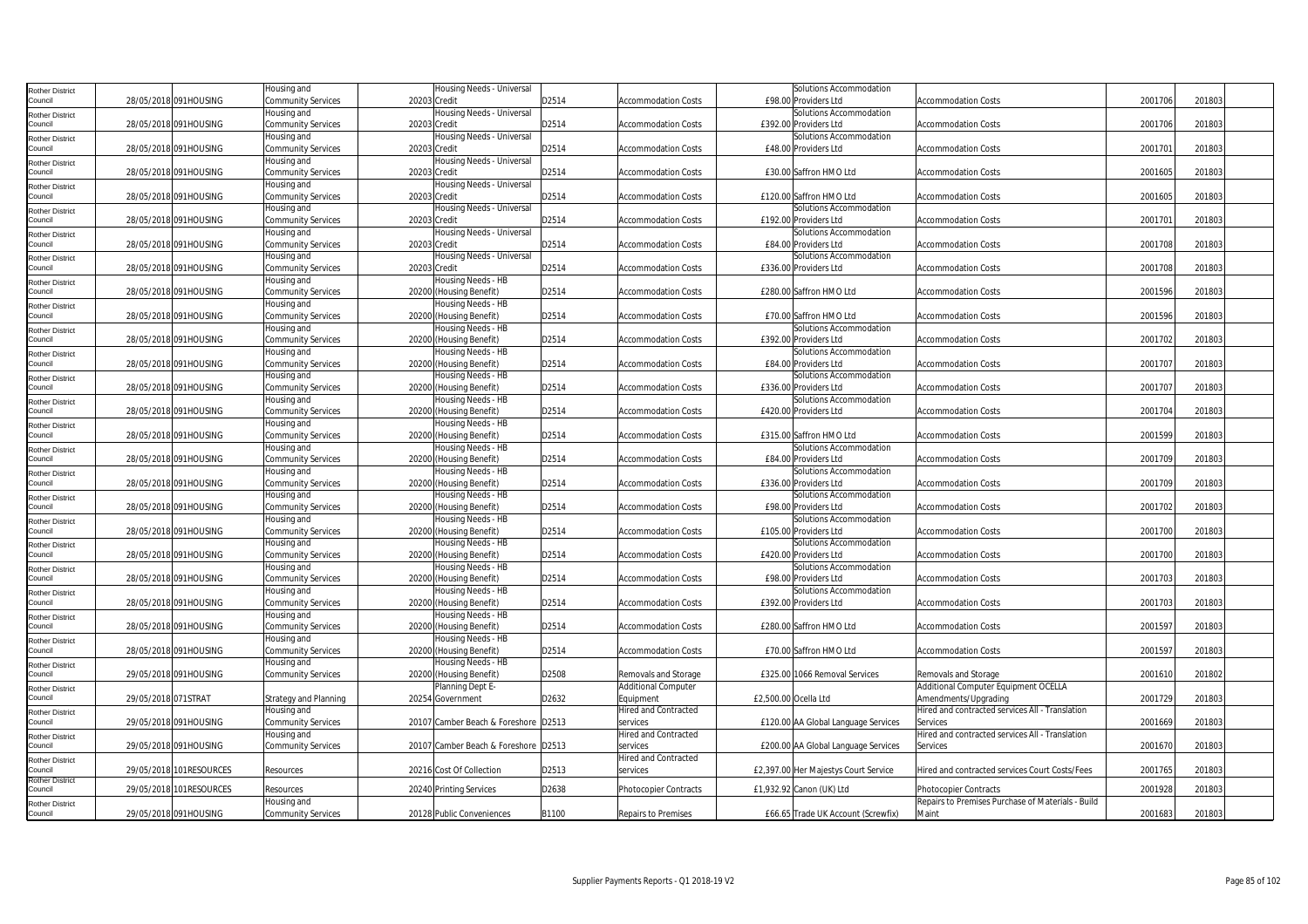| <b>Rother District</b>            |                         | Housing and                       | Housing Needs - Universal                     |       |                             | Solutions Accommodation                          |                                                            |         |        |  |
|-----------------------------------|-------------------------|-----------------------------------|-----------------------------------------------|-------|-----------------------------|--------------------------------------------------|------------------------------------------------------------|---------|--------|--|
| Council                           | 28/05/2018 091HOUSING   | Community Services                | 20203 Credit                                  | D2514 | <b>Accommodation Costs</b>  | £98.00 Providers Ltd                             | <b>Accommodation Costs</b>                                 | 2001706 | 201803 |  |
| <b>Rother District</b>            |                         | Housing and                       | Housing Needs - Universal                     |       |                             | Solutions Accommodation                          |                                                            |         |        |  |
| Council                           | 28/05/2018 091HOUSING   | <b>Community Services</b>         | 20203 Credit                                  | D2514 | Accommodation Costs         | £392.00 Providers Ltd                            | <b>Accommodation Costs</b>                                 | 2001706 | 201803 |  |
| <b>Rother District</b>            |                         | Housing and                       | Housing Needs - Universal                     |       |                             | Solutions Accommodation                          |                                                            |         |        |  |
| Council                           | 28/05/2018 091HOUSING   | Community Services                | 20203 Credit                                  | D2514 | <b>Accommodation Costs</b>  | £48.00 Providers Ltd                             | <b>Accommodation Costs</b>                                 | 2001701 | 201803 |  |
| <b>Rother District</b>            |                         | Housing and                       | Housing Needs - Universal                     |       |                             |                                                  |                                                            |         |        |  |
| Council                           | 28/05/2018 091HOUSING   | Community Services                | 20203 Credit                                  | D2514 | <b>Accommodation Costs</b>  | £30.00 Saffron HMO Ltd                           | <b>Accommodation Costs</b>                                 | 2001605 | 201803 |  |
| <b>Rother District</b>            |                         | Housing and                       | Housing Needs - Universal                     |       |                             |                                                  |                                                            |         |        |  |
| Council                           | 28/05/2018 091HOUSING   | Community Services                | 20203 Credit                                  | D2514 | Accommodation Costs         | £120.00 Saffron HMO Ltd                          | Accommodation Costs                                        | 2001605 | 201803 |  |
| <b>Rother District</b>            |                         | Housing and                       | Housing Needs - Universal                     |       |                             | Solutions Accommodation                          |                                                            |         |        |  |
| Council                           | 28/05/2018 091HOUSING   | Community Services                | 20203 Credit                                  | D2514 | <b>Accommodation Costs</b>  | £192.00 Providers Ltd                            | <b>Accommodation Costs</b>                                 | 2001701 | 201803 |  |
| <b>Rother District</b>            |                         | Housing and                       | Housing Needs - Universal                     |       |                             | Solutions Accommodation                          |                                                            |         |        |  |
| Council                           | 28/05/2018 091HOUSING   | Community Services                | 20203 Credit                                  | D2514 | <b>Accommodation Costs</b>  | £84.00 Providers Ltd                             | <b>Accommodation Costs</b>                                 | 2001708 | 201803 |  |
| <b>Rother District</b>            |                         | Housing and                       | Housing Needs - Universal                     |       |                             | Solutions Accommodation                          |                                                            |         |        |  |
| Council                           | 28/05/2018 091HOUSING   | Community Services                | 20203 Credit                                  | D2514 | Accommodation Costs         | £336.00 Providers Ltd                            | Accommodation Costs                                        | 2001708 | 201803 |  |
| <b>Rother District</b>            |                         | Housing and                       | Housing Needs - HB                            |       |                             |                                                  |                                                            |         |        |  |
| Council                           | 28/05/2018 091HOUSING   | Community Services                | 20200 (Housing Benefit)                       | D2514 | <b>Accommodation Costs</b>  | £280.00 Saffron HMO Ltd                          | <b>Accommodation Costs</b>                                 | 2001596 | 201803 |  |
| <b>Rother District</b>            |                         | Housing and                       | Housing Needs - HB                            |       |                             |                                                  |                                                            |         |        |  |
| Council                           | 28/05/2018 091HOUSING   | Community Services                | 20200 (Housing Benefit)                       | D2514 | <b>Accommodation Costs</b>  | £70.00 Saffron HMO Ltd                           | <b>Accommodation Costs</b>                                 | 2001596 | 201803 |  |
| <b>Rother District</b>            |                         | Housing and                       | Housing Needs - HB                            |       |                             | Solutions Accommodation                          |                                                            |         |        |  |
| Council                           | 28/05/2018 091HOUSING   | Community Services                | 20200 (Housing Benefit)                       | D2514 | Accommodation Costs         | £392.00 Providers Ltd                            | Accommodation Costs                                        | 2001702 | 201803 |  |
| <b>Rother District</b>            |                         | Housing and                       | Housing Needs - HB                            |       |                             | Solutions Accommodation                          |                                                            |         |        |  |
| Council                           | 28/05/2018 091HOUSING   | Community Services                | 20200 (Housing Benefit)                       | D2514 | <b>Accommodation Costs</b>  | £84.00 Providers Ltd                             | <b>Accommodation Costs</b>                                 | 2001707 | 201803 |  |
| <b>Rother District</b>            |                         | Housing and                       | Housing Needs - HB                            |       |                             | Solutions Accommodation                          |                                                            |         |        |  |
| Council                           | 28/05/2018 091HOUSING   | Community Services                | 20200 (Housing Benefit)                       | D2514 | <b>Accommodation Costs</b>  | £336.00 Providers Ltd                            | <b>Accommodation Costs</b>                                 | 2001707 | 201803 |  |
| <b>Rother District</b>            |                         | Housing and                       | Housing Needs - HB                            |       |                             | Solutions Accommodation                          |                                                            |         |        |  |
| Council                           | 28/05/2018 091HOUSING   | Community Services                | 20200 (Housing Benefit)                       | D2514 | <b>Accommodation Costs</b>  | £420.00 Providers Ltd                            | <b>Accommodation Costs</b>                                 | 2001704 | 201803 |  |
| <b>Rother District</b>            |                         | Housing and                       | Housing Needs - HB                            |       |                             |                                                  |                                                            |         |        |  |
| Council                           | 28/05/2018 091HOUSING   | Community Services                | 20200 (Housing Benefit)                       | D2514 | Accommodation Costs         | £315.00 Saffron HMO Ltd                          | <b>Accommodation Costs</b>                                 | 2001599 | 201803 |  |
| <b>Rother District</b>            |                         | Housing and                       | Housing Needs - HB                            |       |                             | Solutions Accommodation                          |                                                            |         |        |  |
| Council                           | 28/05/2018 091HOUSING   | Community Services                | 20200 (Housing Benefit)                       | D2514 | <b>Accommodation Costs</b>  | £84.00 Providers Ltd                             | <b>Accommodation Costs</b>                                 | 2001709 | 201803 |  |
| <b>Rother District</b>            |                         | Housing and                       | Housing Needs - HB                            |       |                             | Solutions Accommodation                          |                                                            |         |        |  |
| Council                           | 28/05/2018 091HOUSING   | <b>Community Services</b>         | 20200 (Housing Benefit)                       | D2514 | <b>Accommodation Costs</b>  | £336.00 Providers Ltd                            | <b>Accommodation Costs</b>                                 | 2001709 | 201803 |  |
| <b>Rother District</b>            |                         | Housing and                       | Housing Needs - HB                            |       |                             | Solutions Accommodation                          |                                                            |         |        |  |
| Council                           | 28/05/2018 091HOUSING   | Community Services                | 20200 (Housing Benefit)                       | D2514 | Accommodation Costs         | £98.00 Providers Ltd                             | <b>Accommodation Costs</b>                                 | 2001702 | 201803 |  |
| <b>Rother District</b><br>Council | 28/05/2018 091HOUSING   | Housing and<br>Community Services | Housing Needs - HB<br>20200 (Housing Benefit) | D2514 | <b>Accommodation Costs</b>  | Solutions Accommodation<br>£105.00 Providers Ltd | <b>Accommodation Costs</b>                                 | 2001700 | 201803 |  |
|                                   |                         | Housing and                       | Housing Needs - HB                            |       |                             | Solutions Accommodation                          |                                                            |         |        |  |
| <b>Rother District</b><br>Council | 28/05/2018 091HOUSING   | Community Services                | 20200 (Housing Benefit)                       | D2514 | <b>Accommodation Costs</b>  | £420.00 Providers Ltd                            | <b>Accommodation Costs</b>                                 | 2001700 | 201803 |  |
|                                   |                         | Housing and                       | Housing Needs - HB                            |       |                             | Solutions Accommodation                          |                                                            |         |        |  |
| <b>Rother District</b><br>Council | 28/05/2018 091HOUSING   | Community Services                | 20200 (Housing Benefit)                       | D2514 | <b>Accommodation Costs</b>  | £98.00 Providers Ltd                             | <b>Accommodation Costs</b>                                 | 2001703 | 201803 |  |
|                                   |                         | Housing and                       | Housing Needs - HB                            |       |                             | Solutions Accommodation                          |                                                            |         |        |  |
| <b>Rother District</b><br>Council | 28/05/2018 091HOUSING   | Community Services                | 20200 (Housing Benefit)                       | D2514 | <b>Accommodation Costs</b>  | £392.00 Providers Ltd                            | <b>Accommodation Costs</b>                                 | 2001703 | 201803 |  |
|                                   |                         | Housing and                       | Housing Needs - HB                            |       |                             |                                                  |                                                            |         |        |  |
| <b>Rother District</b><br>Council | 28/05/2018 091HOUSING   | Community Services                | 20200 (Housing Benefit)                       | D2514 | Accommodation Costs         | £280.00 Saffron HMO Ltd                          | Accommodation Costs                                        | 2001597 | 201803 |  |
| <b>Rother District</b>            |                         | Housing and                       | Housing Needs - HB                            |       |                             |                                                  |                                                            |         |        |  |
| Council                           | 28/05/2018 091HOUSING   | Community Services                | 20200 (Housing Benefit)                       | D2514 | <b>Accommodation Costs</b>  | £70.00 Saffron HMO Ltd                           | <b>Accommodation Costs</b>                                 | 2001597 | 201803 |  |
| <b>Rother District</b>            |                         | Housing and                       | Housing Needs - HB                            |       |                             |                                                  |                                                            |         |        |  |
| Council                           | 29/05/2018 091HOUSING   | Community Services                | 20200 (Housing Benefit)                       | D2508 | Removals and Storage        | £325.00 1066 Removal Services                    | Removals and Storage                                       | 2001610 | 201802 |  |
| <b>Rother District</b>            |                         |                                   | Planning Dept E-                              |       | <b>Additional Computer</b>  |                                                  | Additional Computer Equipment OCELLA                       |         |        |  |
| Council                           | 29/05/2018 071STRAT     | <b>Strategy and Planning</b>      | 20254 Government                              | D2632 | Equipment                   | £2,500.00 Ocella Ltd                             | Amendments/Upgrading                                       | 2001729 | 201803 |  |
| <b>Rother District</b>            |                         | Housing and                       |                                               |       | <b>Hired and Contracted</b> |                                                  | Hired and contracted services All - Translation            |         |        |  |
| Council                           | 29/05/2018 091HOUSING   | Community Services                | 20107 Camber Beach & Foreshore D2513          |       | services                    | £120.00 AA Global Language Services              | Services                                                   | 2001669 | 201803 |  |
| <b>Rother District</b>            |                         | Housing and                       |                                               |       | <b>Hired and Contracted</b> |                                                  | Hired and contracted services All - Translation            |         |        |  |
| Council                           | 29/05/2018 091HOUSING   | Community Services                | 20107 Camber Beach & Foreshore D2513          |       | services                    | £200.00 AA Global Language Services              | Services                                                   | 2001670 | 201803 |  |
| <b>Rother District</b>            |                         |                                   |                                               |       | Hired and Contracted        |                                                  |                                                            |         |        |  |
| Council                           | 29/05/2018 101RESOURCES | Resources                         | 20216 Cost Of Collection                      | D2513 | services                    | £2,397.00 Her Majestys Court Service             | Hired and contracted services Court Costs/Fees             | 2001765 | 201803 |  |
| <b>Rother District</b>            |                         |                                   |                                               |       |                             |                                                  |                                                            |         |        |  |
| Council                           | 29/05/2018 101RESOURCES | Resources                         | 20240 Printing Services                       | D2638 | Photocopier Contracts       | £1,932.92 Canon (UK) Ltd                         | Photocopier Contracts                                      | 2001928 | 201803 |  |
| <b>Rother District</b>            |                         | Housing and                       |                                               | B1100 |                             |                                                  | Repairs to Premises Purchase of Materials - Build<br>Maint | 2001683 | 201803 |  |
| Council                           | 29/05/2018 091HOUSING   | Community Services                | 20128 Public Conveniences                     |       | Repairs to Premises         | £66.65 Trade UK Account (Screwfix)               |                                                            |         |        |  |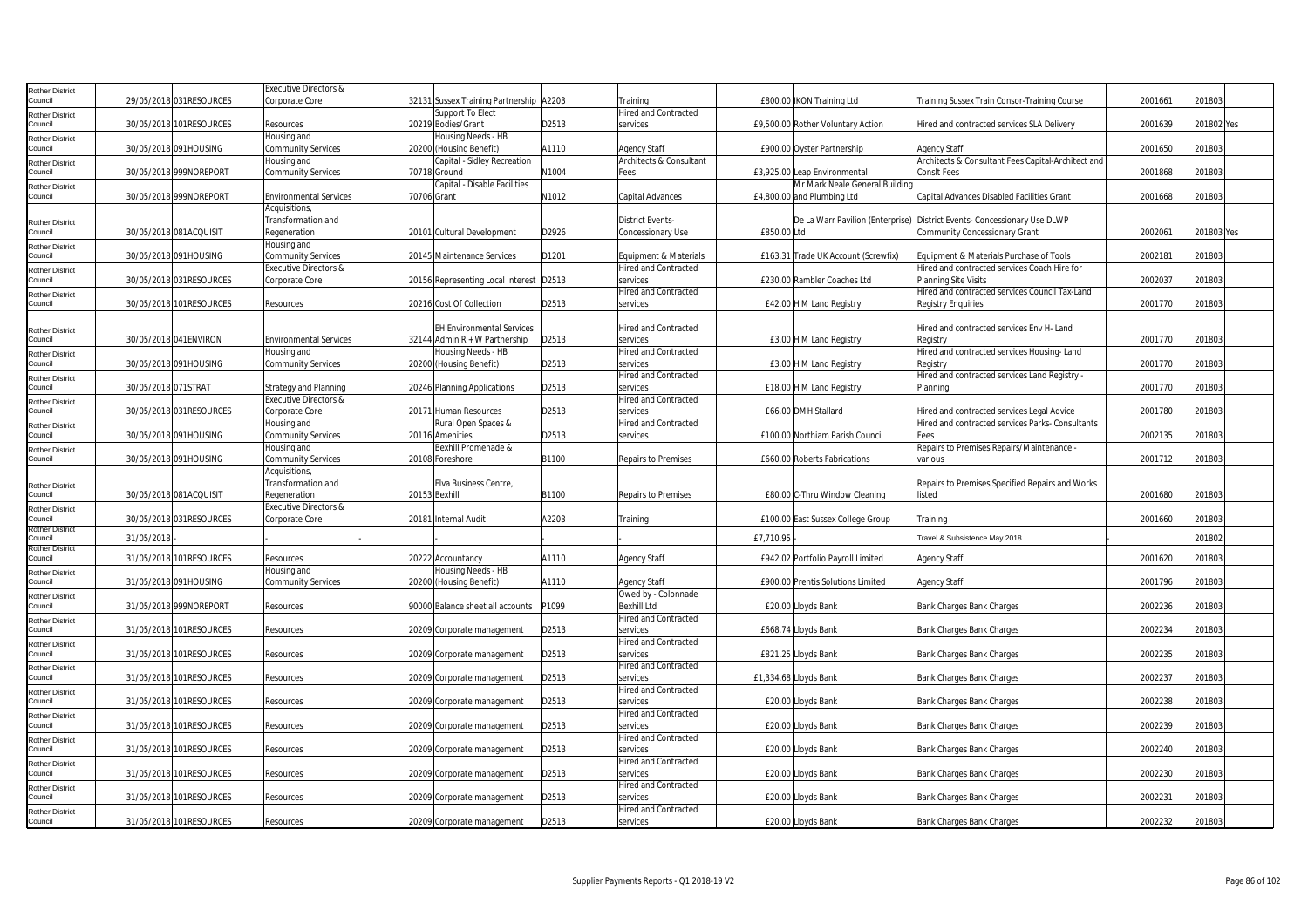| Rother District            |                     |                          | <b>Executive Directors &amp;</b>                       |                                                        |       |                                                      |                                     |                                                                                         |         |            |  |
|----------------------------|---------------------|--------------------------|--------------------------------------------------------|--------------------------------------------------------|-------|------------------------------------------------------|-------------------------------------|-----------------------------------------------------------------------------------------|---------|------------|--|
| Council                    |                     | 29/05/2018 031 RESOURCES | Corporate Core                                         | 32131 Sussex Training Partnership A2203                |       | Training                                             | £800.00 IKON Training Ltd           | Training Sussex Train Consor-Training Course                                            | 2001661 | 201803     |  |
| Rother District            |                     |                          |                                                        | Support To Elect                                       |       | <b>Hired and Contracted</b>                          |                                     |                                                                                         |         |            |  |
| Council                    |                     | 30/05/2018 101RESOURCES  | Resources                                              | 20219 Bodies/Grant                                     | D2513 | services                                             | £9,500.00 Rother Voluntary Action   | Hired and contracted services SLA Delivery                                              | 200163  | 201802 Yes |  |
| Rother District            |                     |                          | Housing and                                            | Housing Needs - HB                                     |       |                                                      |                                     |                                                                                         |         |            |  |
| Council                    |                     | 30/05/2018 091HOUSING    | <b>Community Services</b>                              | 20200 (Housing Benefit)<br>Capital - Sidley Recreation | A1110 | <b>Agency Staff</b><br>Architects & Consultant       | £900.00 Oyster Partnership          | Agency Staff                                                                            | 2001650 | 201803     |  |
| Rother District<br>Council |                     | 30/05/2018 999NOREPORT   | Housing and<br><b>Community Services</b>               | 70718 Ground                                           | N1004 | Fees                                                 | £3,925.00 Leap Environmental        | Architects & Consultant Fees Capital-Architect and<br>ConsIt Fees                       | 2001868 | 201803     |  |
| Rother District            |                     |                          |                                                        | Capital - Disable Facilities                           |       |                                                      | Mr Mark Neale General Building      |                                                                                         |         |            |  |
| Council                    |                     | 30/05/2018 999NOREPORT   | <b>Environmental Services</b>                          | 70706 Grant                                            | N1012 | Capital Advances                                     | £4,800.00 and Plumbing Ltd          | Capital Advances Disabled Facilities Grant                                              | 2001668 | 201803     |  |
|                            |                     |                          | Acquisitions                                           |                                                        |       |                                                      |                                     |                                                                                         |         |            |  |
| Rother District            |                     |                          | Transformation and                                     |                                                        |       | <b>District Events-</b>                              |                                     | De La Warr Pavilion (Enterprise) District Events- Concessionary Use DLWP                |         |            |  |
| Council                    |                     | 30/05/2018 081ACQUISIT   | Regeneration                                           | 20101 Cultural Development                             | D2926 | <b>Concessionary Use</b>                             | £850.00 Ltd                         | Community Concessionary Grant                                                           | 200206  | 201803 Yes |  |
| Rother District            |                     |                          | Housing and                                            |                                                        |       |                                                      |                                     |                                                                                         |         |            |  |
| Council                    |                     | 30/05/2018 091HOUSING    | Community Services<br><b>Executive Directors &amp;</b> | 20145 Maintenance Services                             | D1201 | Equipment & Materials<br><b>Hired and Contracted</b> | £163.31 Trade UK Account (Screwfix) | Equipment & Materials Purchase of Tools<br>Hired and contracted services Coach Hire for | 200218  | 201803     |  |
| Rother District<br>Council |                     | 30/05/2018 031RESOURCES  | Corporate Core                                         | 20156 Representing Local Interest D2513                |       | services                                             | £230.00 Rambler Coaches Ltd         | Planning Site Visits                                                                    | 2002037 | 201803     |  |
|                            |                     |                          |                                                        |                                                        |       | <b>Hired and Contracted</b>                          |                                     | Hired and contracted services Council Tax-Land                                          |         |            |  |
| Rother District<br>Council |                     | 30/05/2018 101RESOURCES  | Resources                                              | 20216 Cost Of Collection                               | D2513 | services                                             | £42.00 H M Land Registry            | Registry Enquiries                                                                      | 2001770 | 201803     |  |
|                            |                     |                          |                                                        |                                                        |       |                                                      |                                     |                                                                                         |         |            |  |
| Rother District            |                     |                          |                                                        | <b>EH Environmental Services</b>                       |       | Hired and Contracted                                 |                                     | Hired and contracted services Env H- Land                                               |         |            |  |
| Council                    |                     | 30/05/2018 041ENVIRON    | <b>Environmental Services</b>                          | 32144 Admin $R + W$ Partnership                        | D2513 | services                                             | £3.00 H M Land Registry             | Registry                                                                                | 2001770 | 201803     |  |
| Rother District            |                     |                          | Housing and                                            | Housing Needs - HB                                     |       | Hired and Contracted                                 |                                     | Hired and contracted services Housing-Land                                              |         |            |  |
| Council                    |                     | 30/05/2018 091HOUSING    | <b>Community Services</b>                              | 20200 (Housing Benefit)                                | D2513 | services                                             | £3.00 H M Land Registry             | Registry                                                                                | 2001770 | 201803     |  |
| Rother District<br>Council | 30/05/2018 071STRAT |                          | <b>Strategy and Planning</b>                           | 20246 Planning Applications                            | D2513 | <b>Hired and Contracted</b><br>services              |                                     | Hired and contracted services Land Registry -<br>Planning                               | 2001770 | 201803     |  |
| Rother District            |                     |                          | Executive Directors &                                  |                                                        |       | <b>Hired and Contracted</b>                          | £18.00 H M Land Registry            |                                                                                         |         |            |  |
| Council                    |                     | 30/05/2018 031RESOURCES  | Corporate Core                                         | 20171 Human Resources                                  | D2513 | services                                             | £66.00 DMH Stallard                 | Hired and contracted services Legal Advice                                              | 2001780 | 201803     |  |
| Rother District            |                     |                          | Housing and                                            | Rural Open Spaces &                                    |       | <b>Hired and Contracted</b>                          |                                     | Hired and contracted services Parks-Consultants                                         |         |            |  |
| Council                    |                     | 30/05/2018 091HOUSING    | <b>Community Services</b>                              | 20116 Amenities                                        | D2513 | services                                             | £100.00 Northiam Parish Council     | Fees                                                                                    | 2002135 | 201803     |  |
| Rother District            |                     |                          | Housing and                                            | Bexhill Promenade &                                    |       |                                                      |                                     | Repairs to Premises Repairs/Maintenance -                                               |         |            |  |
| Council                    |                     | 30/05/2018 091HOUSING    | <b>Community Services</b>                              | 20108 Foreshore                                        | B1100 | Repairs to Premises                                  | £660.00 Roberts Fabrications        | various                                                                                 | 2001712 | 201803     |  |
|                            |                     |                          | Acquisitions,                                          |                                                        |       |                                                      |                                     |                                                                                         |         |            |  |
| Rother District<br>Council |                     | 30/05/2018 081ACQUISIT   | Transformation and<br>Regeneration                     | Elva Business Centre.<br>20153 Bexhill                 | B1100 | <b>Repairs to Premises</b>                           | £80.00 C-Thru Window Cleaning       | Repairs to Premises Specified Repairs and Works<br>listed                               | 2001680 | 201803     |  |
|                            |                     |                          | Executive Directors &                                  |                                                        |       |                                                      |                                     |                                                                                         |         |            |  |
| Rother District<br>Council |                     | 30/05/2018 031RESOURCES  | Corporate Core                                         | 20181 Internal Audit                                   | A2203 | Training                                             | £100.00 East Sussex College Group   | Training                                                                                | 2001660 | 201803     |  |
| Rother District            |                     |                          |                                                        |                                                        |       |                                                      |                                     |                                                                                         |         |            |  |
| Council<br>Rother District | 31/05/2018          |                          |                                                        |                                                        |       |                                                      | £7,710.95                           | Travel & Subsistence May 2018                                                           |         | 201802     |  |
| Council                    |                     | 31/05/2018 101RESOURCES  | Resources                                              | 20222 Accountancy                                      | A1110 | <b>Agency Staff</b>                                  | £942.02 Portfolio Payroll Limited   | <b>Agency Staff</b>                                                                     | 2001620 | 201803     |  |
| Rother District            |                     |                          | lousing and                                            | Housing Needs - HB                                     |       |                                                      |                                     |                                                                                         |         |            |  |
| Council                    |                     | 31/05/2018 091HOUSING    | <b>Community Services</b>                              | 20200 (Housing Benefit)                                | A1110 | <b>Agency Staff</b>                                  | £900.00 Prentis Solutions Limited   | Agency Staff                                                                            | 2001796 | 201803     |  |
| Rother District            |                     |                          |                                                        |                                                        |       | Owed by - Colonnade                                  |                                     |                                                                                         |         |            |  |
| Council                    |                     | 31/05/2018 999NOREPORT   | Resources                                              | 90000 Balance sheet all accounts                       | P1099 | Bexhill Ltd                                          | £20.00 Lloyds Bank                  | Bank Charges Bank Charges                                                               | 2002236 | 201803     |  |
| Rother District<br>Council |                     | 31/05/2018 101RESOURCES  | Resources                                              |                                                        | D2513 | <b>Hired and Contracted</b><br>services              | £668.74 Lloyds Bank                 | Bank Charges Bank Charges                                                               | 2002234 | 201803     |  |
|                            |                     |                          |                                                        | 20209 Corporate management                             |       | <b>Hired and Contracted</b>                          |                                     |                                                                                         |         |            |  |
| Rother District<br>Council |                     | 31/05/2018 101RESOURCES  | Resources                                              | 20209 Corporate management                             | D2513 | services                                             | £821.25 Lloyds Bank                 | Bank Charges Bank Charges                                                               | 2002235 | 201803     |  |
| Rother District            |                     |                          |                                                        |                                                        |       | <b>Hired and Contracted</b>                          |                                     |                                                                                         |         |            |  |
| Council                    |                     | 31/05/2018 101RESOURCES  | Resources                                              | 20209 Corporate management                             | D2513 | services                                             | £1,334.68 Lloyds Bank               | Bank Charges Bank Charges                                                               | 2002237 | 201803     |  |
| Rother District            |                     |                          |                                                        |                                                        |       | Hired and Contracted                                 |                                     |                                                                                         |         |            |  |
| Council                    |                     | 31/05/2018 101 RESOURCES | Resources                                              | 20209 Corporate management                             | D2513 | services                                             | £20.00 Lloyds Bank                  | Bank Charges Bank Charges                                                               | 2002238 | 201803     |  |
| Rother District            |                     |                          |                                                        |                                                        |       | Hired and Contracted                                 |                                     |                                                                                         |         |            |  |
| Council                    |                     | 31/05/2018 101RESOURCES  | Resources                                              | 20209 Corporate management                             | D2513 | services                                             | £20.00 Lloyds Bank                  | Bank Charges Bank Charges                                                               | 200223  | 201803     |  |
| Rother District<br>council |                     | 31/05/2018 101RESOURCES  | Resources                                              | 20209 Corporate management                             | D2513 | <b>Hired and Contracted</b><br>services              | £20.00 Lloyds Bank                  | Bank Charges Bank Charges                                                               | 2002240 | 201803     |  |
|                            |                     |                          |                                                        |                                                        |       | <b>Hired and Contracted</b>                          |                                     |                                                                                         |         |            |  |
| Rother District<br>Council |                     | 31/05/2018 101RESOURCES  | Resources                                              | 20209 Corporate management                             | D2513 | services                                             | £20.00 Lloyds Bank                  | Bank Charges Bank Charges                                                               | 2002230 | 201803     |  |
| Rother District            |                     |                          |                                                        |                                                        |       | Hired and Contracted                                 |                                     |                                                                                         |         |            |  |
| Council                    |                     | 31/05/2018 101RESOURCES  | Resources                                              | 20209 Corporate management                             | D2513 | services                                             | £20.00 Lloyds Bank                  | Bank Charges Bank Charges                                                               | 200223  | 201803     |  |
| Rother District            |                     |                          |                                                        |                                                        |       | <b>Hired and Contracted</b>                          |                                     |                                                                                         |         |            |  |
| Council                    |                     | 31/05/2018 101RESOURCES  | Resources                                              | 20209 Corporate management                             | D2513 | services                                             | £20.00 Lloyds Bank                  | Bank Charges Bank Charges                                                               | 2002232 | 201803     |  |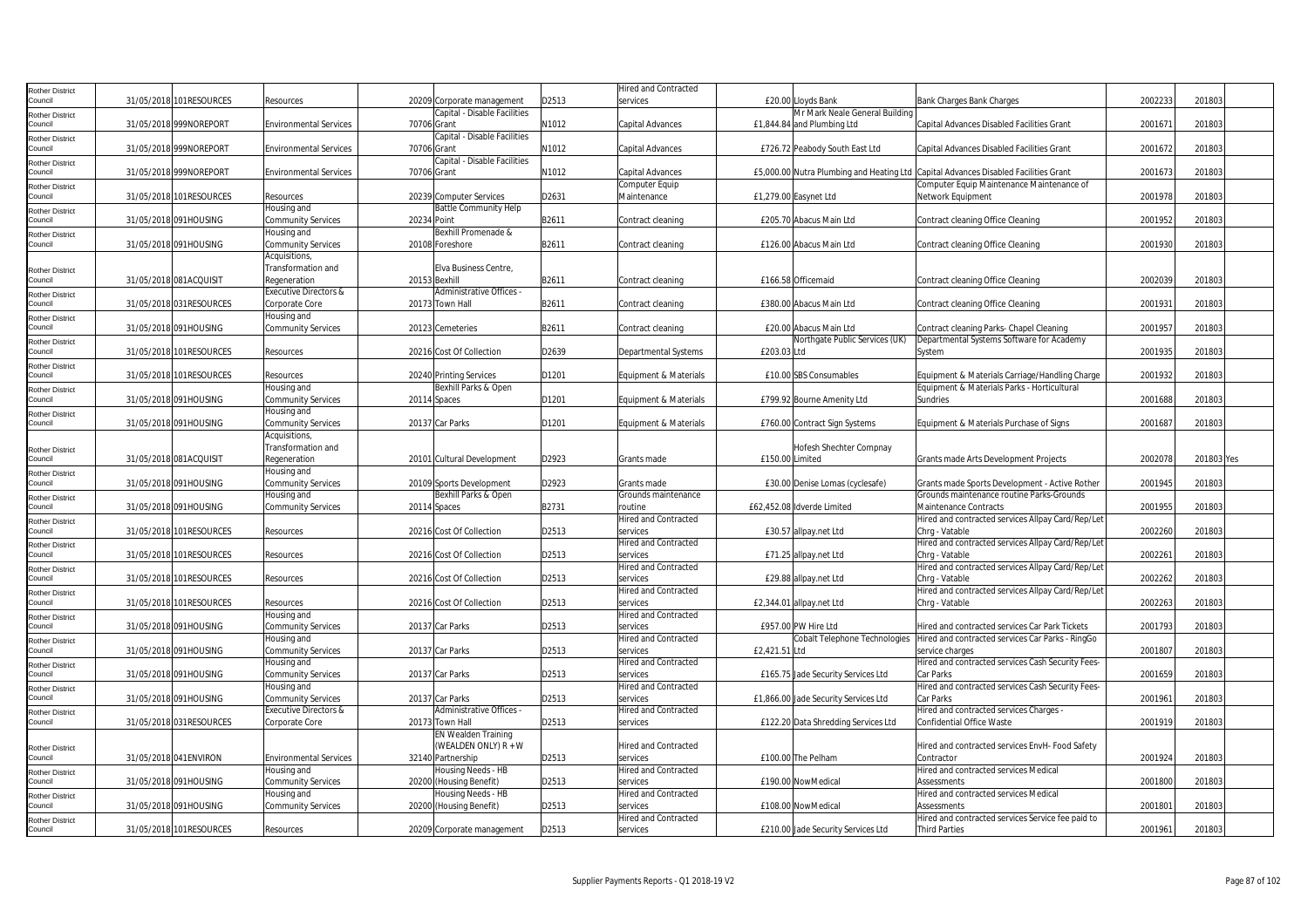|                                   |                         |                                  |             |                              |       | <b>Hired and Contracted</b> |                 |                                                      |                                                                                     |         |            |  |
|-----------------------------------|-------------------------|----------------------------------|-------------|------------------------------|-------|-----------------------------|-----------------|------------------------------------------------------|-------------------------------------------------------------------------------------|---------|------------|--|
| <b>Rother District</b><br>Council | 31/05/2018 101RESOURCES | Resources                        |             |                              | D2513 | services                    |                 |                                                      |                                                                                     | 2002233 |            |  |
|                                   |                         |                                  |             | 20209 Corporate management   |       |                             |                 | £20.00 Lloyds Bank<br>Mr Mark Neale General Building | Bank Charges Bank Charges                                                           |         | 201803     |  |
| <b>Rother District</b>            |                         |                                  |             | Capital - Disable Facilities |       |                             |                 |                                                      |                                                                                     |         |            |  |
| Council                           | 31/05/2018 999NOREPORT  | <b>Environmental Services</b>    | 70706 Grant |                              | N1012 | Capital Advances            |                 | £1,844.84 and Plumbing Ltd                           | Capital Advances Disabled Facilities Grant                                          | 200167  | 201803     |  |
| <b>Rother District</b>            |                         |                                  |             | Capital - Disable Facilities |       |                             |                 |                                                      |                                                                                     |         |            |  |
| Council                           | 31/05/2018 999NOREPORT  | <b>Environmental Services</b>    | 70706 Grant |                              | N1012 | Capital Advances            |                 | £726.72 Peabody South East Ltd                       | Capital Advances Disabled Facilities Grant                                          | 2001672 | 201803     |  |
| <b>Rother District</b>            |                         |                                  |             | Capital - Disable Facilities |       |                             |                 |                                                      |                                                                                     |         |            |  |
| Council                           | 31/05/2018 999NOREPORT  | <b>Environmental Services</b>    | 70706 Grant |                              | N1012 | Capital Advances            |                 |                                                      | £5,000.00 Nutra Plumbing and Heating Ltd Capital Advances Disabled Facilities Grant | 2001673 | 201803     |  |
| <b>Rother District</b>            |                         |                                  |             |                              |       | Computer Equip              |                 |                                                      | Computer Equip Maintenance Maintenance of                                           |         |            |  |
| Council                           | 31/05/2018 101RESOURCES | Resources                        |             | 20239 Computer Services      | D2631 | Maintenance                 |                 | £1,279.00 Easynet Ltd                                | Network Equipment                                                                   | 2001978 | 201803     |  |
|                                   |                         | Housing and                      |             | <b>Battle Community Help</b> |       |                             |                 |                                                      |                                                                                     |         |            |  |
| <b>Rother District</b><br>Council | 31/05/2018 091HOUSING   |                                  | 20234 Point |                              | B2611 | Contract cleaning           |                 | £205.70 Abacus Main Ltd                              | Contract cleaning Office Cleaning                                                   | 2001952 | 201803     |  |
|                                   |                         | <b>Community Services</b>        |             |                              |       |                             |                 |                                                      |                                                                                     |         |            |  |
| Rother District                   |                         | Housing and                      |             | Bexhill Promenade &          |       |                             |                 |                                                      |                                                                                     |         |            |  |
| Council                           | 31/05/2018 091HOUSING   | <b>Community Services</b>        |             | 20108 Foreshore              | B2611 | Contract cleaning           |                 | £126.00 Abacus Main Ltd                              | Contract cleaning Office Cleaning                                                   | 2001930 | 201803     |  |
|                                   |                         | Acquisitions,                    |             |                              |       |                             |                 |                                                      |                                                                                     |         |            |  |
| <b>Rother District</b>            |                         | Transformation and               |             | Elva Business Centre,        |       |                             |                 |                                                      |                                                                                     |         |            |  |
| Council                           | 31/05/2018 081ACQUISIT  | Regeneration                     |             | 20153 Bexhill                | B2611 | Contract cleaning           |                 | £166.58 Officemaid                                   | Contract cleaning Office Cleaning                                                   | 2002039 | 201803     |  |
| <b>Rother District</b>            |                         | <b>Executive Directors &amp;</b> |             | Administrative Offices -     |       |                             |                 |                                                      |                                                                                     |         |            |  |
| Council                           | 31/05/2018 031RESOURCES | Corporate Core                   |             | 20173 Town Hall              | B2611 | Contract cleaning           |                 | £380.00 Abacus Main Ltd                              | Contract cleaning Office Cleaning                                                   | 200193  | 201803     |  |
|                                   |                         | Housing and                      |             |                              |       |                             |                 |                                                      |                                                                                     |         |            |  |
| <b>Rother District</b><br>Council | 31/05/2018 091HOUSING   | <b>Community Services</b>        |             | 20123 Cemeteries             | B2611 | Contract cleaning           |                 | £20.00 Abacus Main Ltd                               | Contract cleaning Parks- Chapel Cleaning                                            | 200195  | 201803     |  |
|                                   |                         |                                  |             |                              |       |                             |                 |                                                      |                                                                                     |         |            |  |
| <b>Rother District</b>            |                         |                                  |             |                              |       |                             |                 | Northgate Public Services (UK)                       | Departmental Systems Software for Academy                                           |         |            |  |
| Council                           | 31/05/2018 101RESOURCES | Resources                        |             | 20216 Cost Of Collection     | D2639 | Departmental Systems        | £203.03 Ltd     |                                                      | System                                                                              | 2001935 | 201803     |  |
| Rother District                   |                         |                                  |             |                              |       |                             |                 |                                                      |                                                                                     |         |            |  |
| Council                           | 31/05/2018 101RESOURCES | Resources                        |             | 20240 Printing Services      | D1201 | Equipment & Materials       |                 | £10.00 SBS Consumables                               | Equipment & Materials Carriage/Handling Charge                                      | 2001932 | 201803     |  |
| <b>Rother District</b>            |                         | Housing and                      |             | Bexhill Parks & Open         |       |                             |                 |                                                      | Equipment & Materials Parks - Horticultural                                         |         |            |  |
| Council                           | 31/05/2018 091HOUSING   | <b>Community Services</b>        |             | 20114 Spaces                 | D1201 | Equipment & Materials       |                 | £799.92 Bourne Amenity Ltd                           | Sundries                                                                            | 2001688 | 201803     |  |
|                                   |                         | Housing and                      |             |                              |       |                             |                 |                                                      |                                                                                     |         |            |  |
| <b>Rother District</b><br>Council | 31/05/2018 091HOUSING   | <b>Community Services</b>        |             | 20137 Car Parks              | D1201 | Equipment & Materials       |                 | £760.00 Contract Sign Systems                        | Equipment & Materials Purchase of Signs                                             | 2001687 | 201803     |  |
|                                   |                         |                                  |             |                              |       |                             |                 |                                                      |                                                                                     |         |            |  |
|                                   |                         | Acquisitions,                    |             |                              |       |                             |                 |                                                      |                                                                                     |         |            |  |
| <b>Rother District</b>            |                         | Transformation and               |             |                              |       |                             |                 | Hofesh Shechter Compnay                              |                                                                                     |         |            |  |
| Council                           | 31/05/2018 081ACQUISIT  | Regeneration                     |             | 20101 Cultural Development   | D2923 | Grants made                 | £150.00 Limited |                                                      | Grants made Arts Development Projects                                               | 2002078 | 201803 Yes |  |
| Rother District                   |                         | Housing and                      |             |                              |       |                             |                 |                                                      |                                                                                     |         |            |  |
| Council                           | 31/05/2018 091HOUSING   | <b>Community Services</b>        |             | 20109 Sports Development     | D2923 | Grants made                 |                 | £30.00 Denise Lomas (cyclesafe)                      | Grants made Sports Development - Active Rother                                      | 2001945 | 201803     |  |
| <b>Rother District</b>            |                         | Housing and                      |             | Bexhill Parks & Open         |       | Grounds maintenance         |                 |                                                      | Grounds maintenance routine Parks-Grounds                                           |         |            |  |
| Council                           | 31/05/2018 091HOUSING   | <b>Community Services</b>        |             | 20114 Spaces                 | B2731 | routine                     |                 | £62,452.08 Idverde Limited                           | Maintenance Contracts                                                               | 2001955 | 201803     |  |
| <b>Rother District</b>            |                         |                                  |             |                              |       | <b>Hired and Contracted</b> |                 |                                                      | Hired and contracted services Allpay Card/Rep/Let                                   |         |            |  |
| Council                           | 31/05/2018 101RESOURCES | Resources                        |             | 20216 Cost Of Collection     | D2513 | services                    |                 | £30.57 allpay.net Ltd                                | Chrq - Vatable                                                                      | 2002260 | 201803     |  |
|                                   |                         |                                  |             |                              |       | <b>Hired and Contracted</b> |                 |                                                      | Hired and contracted services Allpay Card/Rep/Let                                   |         |            |  |
| Rother District                   |                         |                                  |             |                              |       |                             |                 |                                                      |                                                                                     |         |            |  |
| Council                           | 31/05/2018 101RESOURCES | Resources                        |             | 20216 Cost Of Collection     | D2513 | services                    |                 | £71.25 allpay.net Ltd                                | Chrq - Vatable                                                                      | 2002261 | 201803     |  |
| <b>Rother District</b>            |                         |                                  |             |                              |       | <b>Hired and Contracted</b> |                 |                                                      | Hired and contracted services Allpay Card/Rep/Let                                   |         |            |  |
| Council                           | 31/05/2018 101RESOURCES | Resources                        |             | 20216 Cost Of Collection     | D2513 | services                    |                 | £29.88 allpay.net Ltd                                | Chrq - Vatable                                                                      | 2002262 | 201803     |  |
| <b>Rother District</b>            |                         |                                  |             |                              |       | <b>Hired and Contracted</b> |                 |                                                      | Hired and contracted services Allpay Card/Rep/Let                                   |         |            |  |
| Council                           | 31/05/2018 101RESOURCES | Resources                        |             | 20216 Cost Of Collection     | D2513 | services                    |                 | £2,344.01 allpay.net Ltd                             | Chrg - Vatable                                                                      | 2002263 | 201803     |  |
| <b>Rother District</b>            |                         | Housing and                      |             |                              |       | <b>Hired and Contracted</b> |                 |                                                      |                                                                                     |         |            |  |
| Council                           | 31/05/2018 091HOUSING   | <b>Community Services</b>        |             | 20137 Car Parks              | D2513 | services                    |                 | £957.00 PW Hire Ltd                                  | Hired and contracted services Car Park Tickets                                      | 2001793 | 201803     |  |
| <b>Rother District</b>            |                         | Housing and                      |             |                              |       | <b>Hired and Contracted</b> |                 | Cobalt Telephone Technologies                        | Hired and contracted services Car Parks - RingGo                                    |         |            |  |
| Council                           | 31/05/2018 091HOUSING   | <b>Community Services</b>        |             | 20137 Car Parks              | D2513 | services                    | £2,421.51 Ltd   |                                                      | service charges                                                                     | 200180  | 201803     |  |
|                                   |                         | Housing and                      |             |                              |       | <b>Hired and Contracted</b> |                 |                                                      | Hired and contracted services Cash Security Fees-                                   |         |            |  |
| <b>Rother District</b><br>Council | 31/05/2018 091HOUSING   |                                  |             |                              | D2513 | services                    |                 | £165.75 Jade Security Services Ltd                   | Car Parks                                                                           | 2001659 | 201803     |  |
|                                   |                         | <b>Community Services</b>        |             | 20137 Car Parks              |       |                             |                 |                                                      |                                                                                     |         |            |  |
| <b>Rother District</b>            |                         | Housing and                      |             |                              |       | <b>Hired and Contracted</b> |                 |                                                      | Hired and contracted services Cash Security Fees-                                   |         |            |  |
| Council                           | 31/05/2018 091HOUSING   | <b>Community Services</b>        |             | 20137 Car Parks              | D2513 | services                    |                 | £1,866.00 Jade Security Services Ltd                 | Car Parks                                                                           | 2001961 | 201803     |  |
| <b>Rother District</b>            |                         | <b>Executive Directors &amp;</b> |             | Administrative Offices -     |       | <b>Hired and Contracted</b> |                 |                                                      | Hired and contracted services Charges -                                             |         |            |  |
| Council                           | 31/05/2018 031RESOURCES | Corporate Core                   |             | 20173 Town Hall              | D2513 | services                    |                 | £122.20 Data Shredding Services Ltd                  | Confidential Office Waste                                                           | 2001919 | 201803     |  |
|                                   |                         |                                  |             | EN Wealden Training          |       |                             |                 |                                                      |                                                                                     |         |            |  |
| <b>Rother District</b>            |                         |                                  |             | (WEALDEN ONLY) R + W         |       | <b>Hired and Contracted</b> |                 |                                                      | Hired and contracted services EnvH- Food Safety                                     |         |            |  |
| Council                           | 31/05/2018 041 ENVIRON  | <b>Environmental Services</b>    |             | 32140 Partnership            | D2513 | services                    |                 | £100.00 The Pelham                                   | Contractor                                                                          | 2001924 | 201803     |  |
|                                   |                         | Housing and                      |             | Housing Needs - HB           |       | Hired and Contracted        |                 |                                                      | Hired and contracted services Medical                                               |         |            |  |
| <b>Rother District</b><br>Council |                         |                                  |             |                              |       |                             |                 |                                                      |                                                                                     |         |            |  |
|                                   | 31/05/2018 091HOUSING   | <b>Community Services</b>        |             | 20200 (Housing Benefit)      | D2513 | services                    |                 | £190.00 NowMedical                                   | Assessments                                                                         | 2001800 | 201803     |  |
| <b>Rother District</b>            |                         | Housing and                      |             | Housing Needs - HB           |       | <b>Hired and Contracted</b> |                 |                                                      | Hired and contracted services Medical                                               |         |            |  |
| Council                           | 31/05/2018 091HOUSING   | <b>Community Services</b>        |             | 20200 (Housing Benefit)      | D2513 | services                    |                 | £108.00 NowMedical                                   | <b>Assessments</b>                                                                  | 200180  | 201803     |  |
| <b>Rother District</b>            |                         |                                  |             |                              |       | <b>Hired and Contracted</b> |                 |                                                      | Hired and contracted services Service fee paid to                                   |         |            |  |
| Council                           | 31/05/2018 101RESOURCES | Resources                        |             | 20209 Corporate management   | D2513 | services                    |                 | £210.00 Jade Security Services Ltd                   | <b>Third Parties</b>                                                                | 2001961 | 201803     |  |
|                                   |                         |                                  |             |                              |       |                             |                 |                                                      |                                                                                     |         |            |  |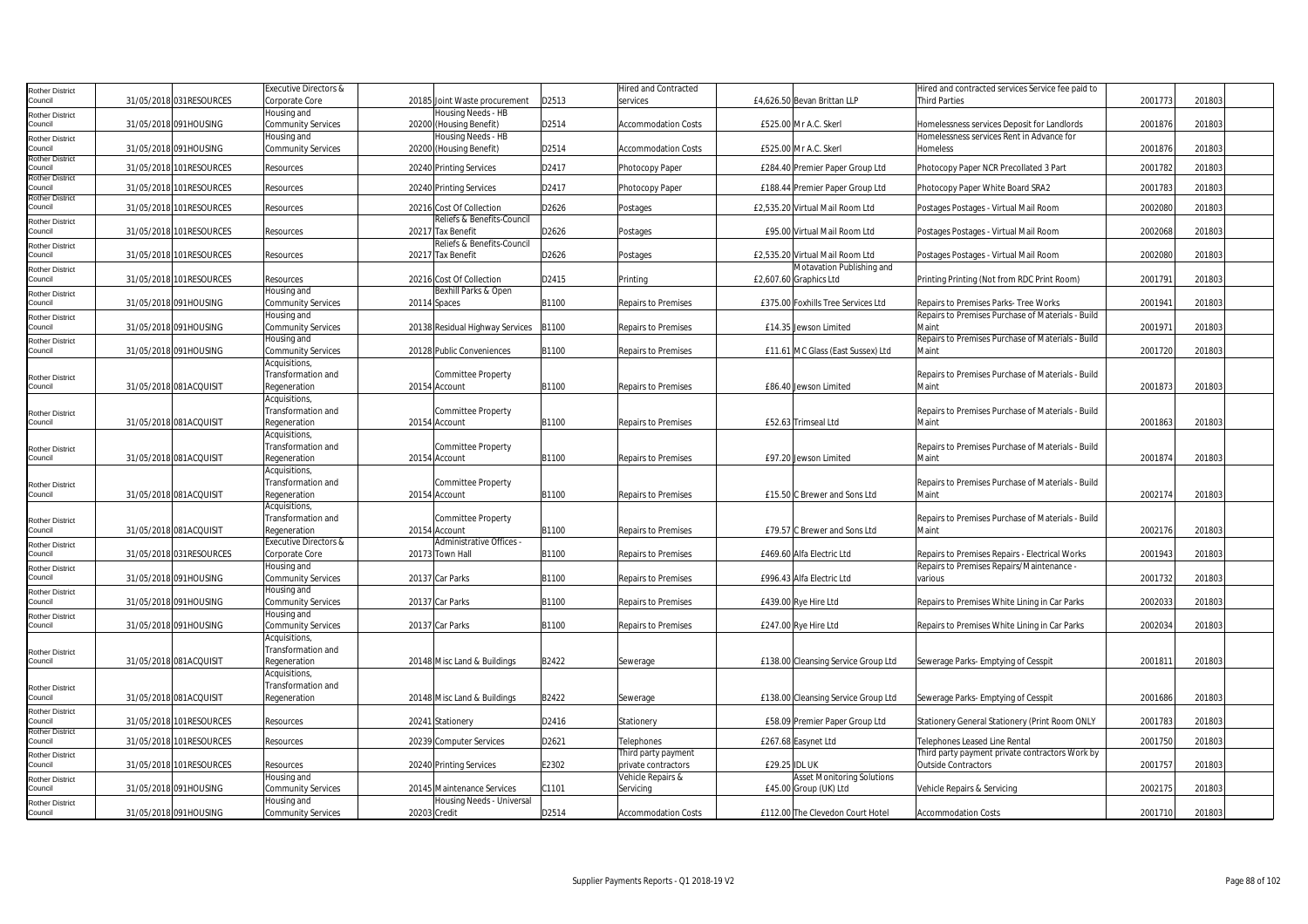| <b>Rother District</b>            |                          | <b>Executive Directors &amp;</b>  |                                 |       | Hired and Contracted       |               |                                     | Hired and contracted services Service fee paid to |         |        |  |
|-----------------------------------|--------------------------|-----------------------------------|---------------------------------|-------|----------------------------|---------------|-------------------------------------|---------------------------------------------------|---------|--------|--|
| Council                           | 31/05/2018 031RESOURCES  | Corporate Core                    | 20185 Joint Waste procurement   | D2513 | services                   |               | £4,626.50 Bevan Brittan LLP         | <b>Third Parties</b>                              | 2001773 | 201803 |  |
| <b>Rother District</b>            |                          | Housing and                       | <b>Housing Needs - HB</b>       |       |                            |               |                                     |                                                   |         |        |  |
| Council                           | 31/05/2018 091HOUSING    | Community Services                | 20200 (Housing Benefit)         | D2514 | <b>Accommodation Costs</b> |               | £525.00 Mr A.C. Skerl               | Homelessness services Deposit for Landlords       | 200187  | 201803 |  |
| <b>Rother District</b>            |                          | Housing and                       | Housing Needs - HB              |       |                            |               |                                     | Homelessness services Rent in Advance for         |         |        |  |
| Council                           | 31/05/2018 091HOUSING    | Community Services                | 20200 (Housing Benefit)         | D2514 | <b>Accommodation Costs</b> |               | £525.00 Mr A.C. Skerl               | Homeless                                          | 2001876 | 201803 |  |
| <b>Rother District</b>            |                          |                                   |                                 |       |                            |               |                                     |                                                   |         |        |  |
| Council<br><b>Rother District</b> | 31/05/2018 101RESOURCES  | Resources                         | 20240 Printing Services         | D2417 | Photocopy Paper            |               | £284.40 Premier Paper Group Ltd     | Photocopy Paper NCR Precollated 3 Part            | 2001782 | 201803 |  |
| Council                           | 31/05/2018 101RESOURCES  | Resources                         | 20240 Printing Services         | D2417 | Photocopy Paper            |               | £188.44 Premier Paper Group Ltd     | Photocopy Paper White Board SRA2                  | 2001783 | 201803 |  |
| <b>Rother District</b>            |                          |                                   |                                 |       |                            |               |                                     |                                                   |         |        |  |
| Council                           | 31/05/2018 101RESOURCES  | Resources                         | 20216 Cost Of Collection        | D2626 | Postages                   |               | £2,535.20 Virtual Mail Room Ltd     | Postages Postages - Virtual Mail Room             | 2002080 | 201803 |  |
| <b>Rother District</b>            |                          |                                   | Reliefs & Benefits-Council      |       |                            |               |                                     |                                                   |         |        |  |
| Council                           | 31/05/2018 101 RESOURCES | Resources                         | 20217 Tax Benefit               | D2626 | Postages                   |               | £95.00 Virtual Mail Room Ltd        | Postages Postages - Virtual Mail Room             | 2002068 | 201803 |  |
| <b>Rother District</b>            |                          |                                   | Reliefs & Benefits-Council      |       |                            |               |                                     |                                                   |         |        |  |
| Council                           | 31/05/2018 101RESOURCES  | Resources                         | 20217 Tax Benefit               | D2626 | Postages                   |               | £2,535.20 Virtual Mail Room Ltd     | Postages Postages - Virtual Mail Room             | 2002080 | 201803 |  |
| <b>Rother District</b>            |                          |                                   |                                 |       |                            |               | Motavation Publishing and           |                                                   |         |        |  |
| Council                           | 31/05/2018 101RESOURCES  | Resources                         | 20216 Cost Of Collection        | D2415 | Printing                   |               | £2,607.60 Graphics Ltd              | Printing Printing (Not from RDC Print Room)       | 2001791 | 201803 |  |
| <b>Rother District</b>            |                          | Housing and                       | Bexhill Parks & Open            |       |                            |               |                                     |                                                   |         |        |  |
| Council                           | 31/05/2018 091HOUSING    | Community Services                | 20114 Spaces                    | B1100 | Repairs to Premises        |               | £375.00 Foxhills Tree Services Ltd  | Repairs to Premises Parks-Tree Works              | 2001941 | 201803 |  |
| Rother District                   |                          | Housing and                       |                                 |       |                            |               |                                     | Repairs to Premises Purchase of Materials - Build |         |        |  |
| Council                           | 31/05/2018 091HOUSING    | Community Services                | 20138 Residual Highway Services | B1100 | Repairs to Premises        |               | £14.35 Jewson Limited               | Main                                              | 2001971 | 201803 |  |
| <b>Rother District</b>            |                          | Housing and                       |                                 |       |                            |               |                                     | Repairs to Premises Purchase of Materials - Build |         |        |  |
| Council                           | 31/05/2018 091HOUSING    | Community Services                | 20128 Public Conveniences       | B1100 | Repairs to Premises        |               | £11.61 MC Glass (East Sussex) Ltd   | Maint                                             | 200172  | 201803 |  |
|                                   |                          | Acquisitions,                     |                                 |       |                            |               |                                     |                                                   |         |        |  |
| <b>Rother District</b>            |                          | Transformation and                | <b>Committee Property</b>       |       |                            |               |                                     | Repairs to Premises Purchase of Materials - Build |         |        |  |
| Council                           | 31/05/2018 081ACQUISIT   | Regeneration                      | 20154 Account                   | B1100 | Repairs to Premises        |               | £86.40 Jewson Limited               | Maint                                             | 2001873 | 201803 |  |
|                                   |                          | Acquisitions,                     |                                 |       |                            |               |                                     |                                                   |         |        |  |
| <b>Rother District</b>            |                          | Transformation and                | Committee Property              |       |                            |               |                                     | Repairs to Premises Purchase of Materials - Build |         |        |  |
| Council                           | 31/05/2018 081ACQUISIT   | Regeneration                      | 20154 Account                   | B1100 | <b>Repairs to Premises</b> |               | £52.63 Trimseal Ltd                 | Maint                                             | 2001863 | 201803 |  |
|                                   |                          | Acquisitions,                     |                                 |       |                            |               |                                     |                                                   |         |        |  |
| <b>Rother District</b>            |                          | Transformation and                | Committee Property              |       |                            |               |                                     | Repairs to Premises Purchase of Materials - Build |         |        |  |
| Council                           | 31/05/2018 081ACQUISIT   | Regeneration                      | 20154 Account                   | B1100 | Repairs to Premises        |               | £97.20 Jewson Limited               | Maint                                             | 2001874 | 201803 |  |
|                                   |                          | Acquisitions,                     |                                 |       |                            |               |                                     |                                                   |         |        |  |
| <b>Rother District</b>            |                          | Transformation and                | Committee Property              |       |                            |               |                                     | Repairs to Premises Purchase of Materials - Build |         |        |  |
| Council                           | 31/05/2018 081ACQUISIT   | Regeneration                      | 20154 Account                   | B1100 | Repairs to Premises        |               | £15.50 C Brewer and Sons Ltd        | Maint                                             | 2002174 | 201803 |  |
|                                   |                          | Acquisitions,                     |                                 |       |                            |               |                                     |                                                   |         |        |  |
| <b>Rother District</b>            |                          | Transformation and                | Committee Property              |       |                            |               |                                     | Repairs to Premises Purchase of Materials - Build |         |        |  |
| Council                           | 31/05/2018 081ACQUISIT   | Regeneration                      | 20154 Account                   | B1100 | Repairs to Premises        |               | £79.57 C Brewer and Sons Ltd        | Maint                                             | 2002176 | 201803 |  |
| Rother District                   |                          | <b>Executive Directors &amp;</b>  | Administrative Offices -        |       |                            |               |                                     |                                                   |         |        |  |
| Council                           | 31/05/2018 031RESOURCES  | Corporate Core                    | 20173 Town Hall                 | B1100 | Repairs to Premises        |               | £469.60 Alfa Electric Ltd           | Repairs to Premises Repairs - Electrical Works    | 200194  | 201803 |  |
| <b>Rother District</b><br>Council |                          | Housing and                       |                                 |       |                            |               |                                     | Repairs to Premises Repairs/Maintenance -         |         |        |  |
|                                   | 31/05/2018 091HOUSING    | Community Services<br>Housing and | 20137 Car Parks                 | B1100 | Repairs to Premises        |               | £996.43 Alfa Electric Ltd           | various                                           | 200173  | 201803 |  |
| <b>Rother District</b><br>Council | 31/05/2018 091HOUSING    | Community Services                | 20137 Car Parks                 | B1100 | Repairs to Premises        |               | £439.00 Rve Hire Ltd                | Repairs to Premises White Lining in Car Parks     | 2002033 | 201803 |  |
|                                   |                          | Housing and                       |                                 |       |                            |               |                                     |                                                   |         |        |  |
| <b>Rother District</b><br>Council | 31/05/2018 091HOUSING    | <b>Community Services</b>         | 20137 Car Parks                 | B1100 | Repairs to Premises        |               | £247.00 Rye Hire Ltd                | Repairs to Premises White Lining in Car Parks     | 2002034 | 201803 |  |
|                                   |                          | Acquisitions,                     |                                 |       |                            |               |                                     |                                                   |         |        |  |
|                                   |                          | Transformation and                |                                 |       |                            |               |                                     |                                                   |         |        |  |
| <b>Rother District</b><br>Council | 31/05/2018 081ACQUISIT   | Regeneration                      | 20148 Misc Land & Buildings     | B2422 | Sewerage                   |               | £138.00 Cleansing Service Group Ltd | Sewerage Parks- Emptying of Cesspit               | 200181  | 201803 |  |
|                                   |                          | Acquisitions,                     |                                 |       |                            |               |                                     |                                                   |         |        |  |
| <b>Rother District</b>            |                          | Transformation and                |                                 |       |                            |               |                                     |                                                   |         |        |  |
| Council                           | 31/05/2018 081ACQUISIT   | Regeneration                      | 20148 Misc Land & Buildings     | B2422 | Sewerage                   |               | £138.00 Cleansing Service Group Ltd | Sewerage Parks- Emptying of Cesspit               | 2001686 | 201803 |  |
| <b>Rother District</b>            |                          |                                   |                                 |       |                            |               |                                     |                                                   |         |        |  |
| Council                           | 31/05/2018 101RESOURCES  | Resources                         | 20241 Stationery                | D2416 | Stationery                 |               | £58.09 Premier Paper Group Ltd      | Stationery General Stationery (Print Room ONLY    | 2001783 | 201803 |  |
| <b>Rother District</b>            |                          |                                   |                                 |       |                            |               |                                     |                                                   |         |        |  |
| Council                           | 31/05/2018 101RESOURCES  | Resources                         | 20239 Computer Services         | D2621 | Telephones                 |               | £267.68 Easynet Ltd                 | Telephones Leased Line Rental                     | 2001750 | 201803 |  |
| <b>Rother District</b>            |                          |                                   |                                 |       | Third party payment        |               |                                     | Third party payment private contractors Work by   |         |        |  |
| Council                           | 31/05/2018 101RESOURCES  | Resources                         | 20240 Printing Services         | E2302 | private contractors        | £29.25 IDL UK |                                     | <b>Outside Contractors</b>                        | 2001757 | 201803 |  |
| <b>Rother District</b>            |                          | Housing and                       |                                 |       | Vehicle Repairs &          |               | <b>Asset Monitoring Solutions</b>   |                                                   |         |        |  |
| Council                           | 31/05/2018 091HOUSING    | <b>Community Services</b>         | 20145 Maintenance Services      | C1101 | Servicing                  |               | £45.00 Group (UK) Ltd               | Vehicle Repairs & Servicing                       | 2002175 | 201803 |  |
| <b>Rother District</b>            |                          | Housing and                       | Housing Needs - Universal       |       |                            |               |                                     |                                                   |         |        |  |
| Council                           | 31/05/2018 091HOUSING    | <b>Community Services</b>         | 20203 Credit                    | D2514 | <b>Accommodation Costs</b> |               | £112.00 The Clevedon Court Hotel    | <b>Accommodation Costs</b>                        | 2001710 | 201803 |  |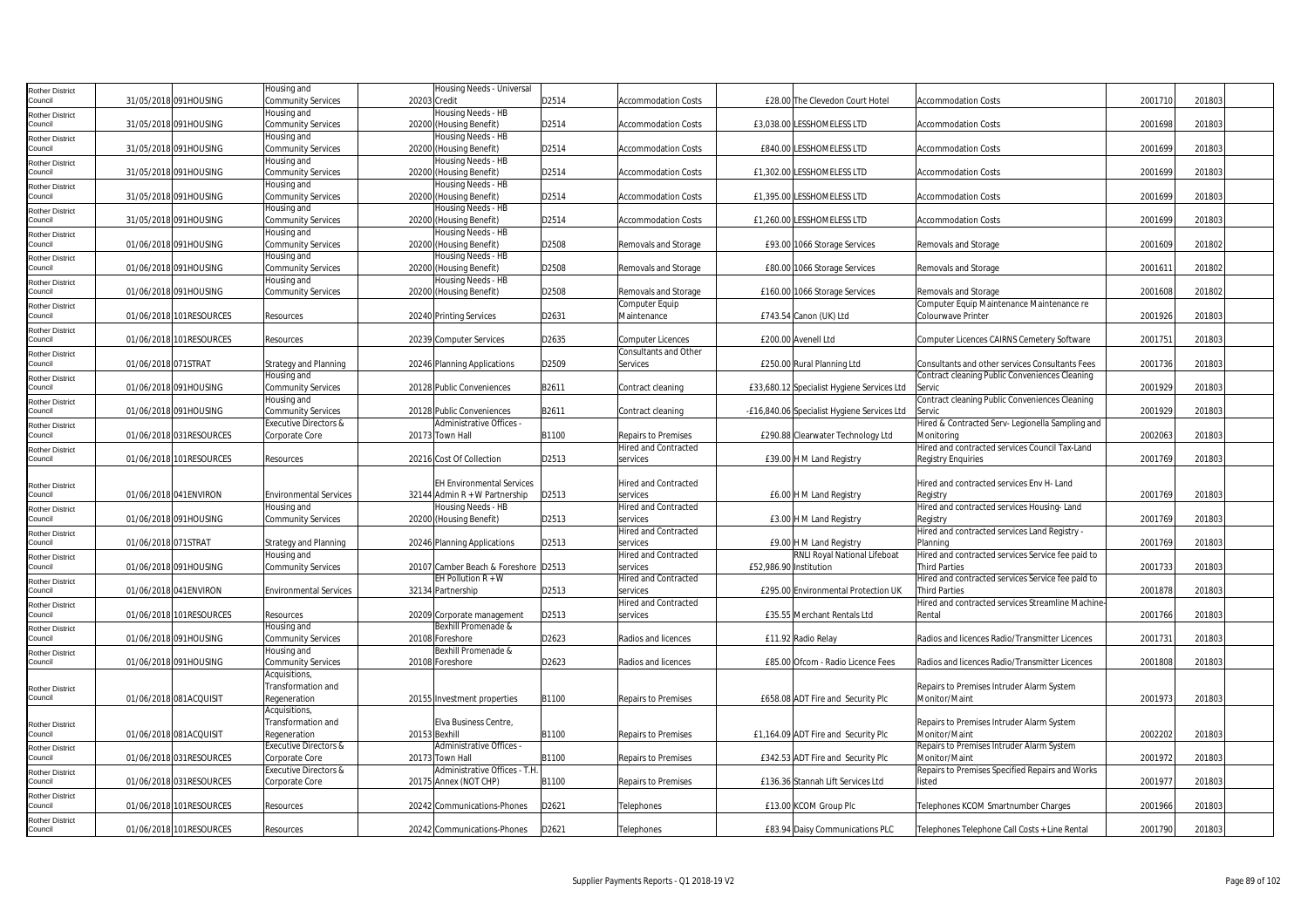| <b>Rother District</b>            |                         | Housing and                         | Housing Needs - Universal                     |       |                                                    |                                                        |                                                                           |         |        |  |
|-----------------------------------|-------------------------|-------------------------------------|-----------------------------------------------|-------|----------------------------------------------------|--------------------------------------------------------|---------------------------------------------------------------------------|---------|--------|--|
| Council                           | 31/05/2018 091HOUSING   | Community Services                  | 20203 Credit                                  | D2514 | <b>Accommodation Costs</b>                         | £28.00 The Clevedon Court Hotel                        | <b>Accommodation Costs</b>                                                | 2001710 | 201803 |  |
| <b>Rother District</b>            |                         | Housing and                         | Housing Needs - HB                            |       |                                                    |                                                        |                                                                           |         |        |  |
| Council                           | 31/05/2018 091HOUSING   | Community Services                  | 20200 (Housing Benefit)                       | D2514 | <b>Accommodation Costs</b>                         | £3,038.00 LESSHOMELESS LTD                             | <b>Accommodation Costs</b>                                                | 2001698 | 201803 |  |
| <b>Rother District</b><br>Council | 31/05/2018 091HOUSING   | Housing and<br>Community Services   | Housing Needs - HB<br>20200 (Housing Benefit) | D2514 | <b>Accommodation Costs</b>                         | <b>£840.00 LESSHOMELESS LTD</b>                        | <b>Accommodation Costs</b>                                                | 2001699 | 201803 |  |
|                                   |                         | Housing and                         | Housing Needs - HB                            |       |                                                    |                                                        |                                                                           |         |        |  |
| <b>Rother District</b><br>Council | 31/05/2018 091HOUSING   | Community Services                  | 20200 (Housing Benefit)                       | D2514 | <b>Accommodation Costs</b>                         | £1,302.00 LESSHOMELESS LTD                             | Accommodation Costs                                                       | 2001699 | 201803 |  |
| <b>Rother District</b>            |                         | Housing and                         | Housing Needs - HB                            |       |                                                    |                                                        |                                                                           |         |        |  |
| Council                           | 31/05/2018 091HOUSING   | Community Services                  | 20200 (Housing Benefit)                       | D2514 | <b>Accommodation Costs</b>                         | £1,395.00 LESSHOMELESS LTD                             | <b>Accommodation Costs</b>                                                | 2001699 | 201803 |  |
| <b>Rother District</b>            |                         | Housing and                         | Housing Needs - HB                            |       |                                                    |                                                        |                                                                           |         |        |  |
| Council                           | 31/05/2018 091HOUSING   | Community Services                  | 20200 (Housing Benefit)                       | D2514 | <b>Accommodation Costs</b>                         | £1,260.00 LESSHOMELESS LTD                             | <b>Accommodation Costs</b>                                                | 2001699 | 201803 |  |
| <b>Rother District</b>            |                         | Housing and                         | Housing Needs - HB                            |       |                                                    |                                                        |                                                                           |         |        |  |
| Council                           | 01/06/2018 091HOUSING   | Community Services                  | 20200 (Housing Benefit)                       | D2508 | Removals and Storage                               | £93.00 1066 Storage Services                           | Removals and Storage                                                      | 2001609 | 201802 |  |
| <b>Rother District</b>            |                         | Housing and                         | Housing Needs - HB                            |       |                                                    |                                                        |                                                                           |         |        |  |
| Council                           | 01/06/2018 091HOUSING   | Community Services                  | 20200 (Housing Benefit)                       | D2508 | Removals and Storage                               | £80.00 1066 Storage Services                           | Removals and Storage                                                      | 200161  | 201802 |  |
| <b>Rother District</b><br>Council | 01/06/2018 091HOUSING   | Housing and<br>Community Services   | Housing Needs - HB<br>20200 (Housing Benefit) | D2508 | Removals and Storage                               | £160.00 1066 Storage Services                          | Removals and Storage                                                      | 2001608 | 201802 |  |
|                                   |                         |                                     |                                               |       | Computer Equip                                     |                                                        | Computer Equip Maintenance Maintenance re                                 |         |        |  |
| <b>Rother District</b><br>Council | 01/06/2018 101RESOURCES | Resources                           | 20240 Printing Services                       | D2631 | Maintenance                                        | £743.54 Canon (UK) Ltd                                 | Colourwave Printer                                                        | 2001926 | 201803 |  |
| <b>Rother District</b>            |                         |                                     |                                               |       |                                                    |                                                        |                                                                           |         |        |  |
| Council                           | 01/06/2018 101RESOURCES | Resources                           | 20239 Computer Services                       | D2635 | <b>Computer Licences</b>                           | £200.00 Avenell Ltd                                    | Computer Licences CAIRNS Cemetery Software                                | 2001751 | 201803 |  |
| <b>Rother District</b>            |                         |                                     |                                               |       | Consultants and Other                              |                                                        |                                                                           |         |        |  |
| Council                           | 01/06/2018 071STRAT     | Strategy and Planning               | 20246 Planning Applications                   | D2509 | Services                                           | £250.00 Rural Planning Ltd                             | Consultants and other services Consultants Fees                           | 2001736 | 201803 |  |
| <b>Rother District</b>            |                         | Housing and                         |                                               |       |                                                    |                                                        | Contract cleaning Public Conveniences Cleaning                            |         |        |  |
| Council                           | 01/06/2018 091HOUSING   | Community Services                  | 20128 Public Conveniences                     | B2611 | Contract cleaning                                  | £33,680.12 Specialist Hygiene Services Ltd             | Servic                                                                    | 2001929 | 201803 |  |
| <b>Rother District</b>            |                         | Housing and                         |                                               |       |                                                    |                                                        | Contract cleaning Public Conveniences Cleaning                            |         |        |  |
| Council                           | 01/06/2018 091HOUSING   | Community Services                  | 20128 Public Conveniences                     | B2611 | Contract cleaning                                  | -£16,840.06 Specialist Hygiene Services Ltd            | Servic                                                                    | 2001929 | 201803 |  |
| <b>Rother District</b><br>Council |                         | <b>Executive Directors &amp;</b>    | Administrative Offices -                      | B1100 |                                                    |                                                        | lired & Contracted Serv-Legionella Sampling and                           | 2002063 | 201803 |  |
|                                   | 01/06/2018 031RESOURCES | Corporate Core                      | 20173 Town Hall                               |       | Repairs to Premises<br><b>Hired and Contracted</b> | £290.88 Clearwater Technology Ltd                      | Monitorina<br>Hired and contracted services Council Tax-Land              |         |        |  |
| <b>Rother District</b><br>Council | 01/06/2018 101RESOURCES | Resources                           | 20216 Cost Of Collection                      | D2513 | services                                           | £39.00 H M Land Registry                               | <b>Registry Enquiries</b>                                                 | 2001769 | 201803 |  |
|                                   |                         |                                     |                                               |       |                                                    |                                                        |                                                                           |         |        |  |
| <b>Rother District</b>            |                         |                                     | <b>EH Environmental Services</b>              |       | <b>Hired and Contracted</b>                        |                                                        | Hired and contracted services Env H- Land                                 |         |        |  |
| Council                           | 01/06/2018 041 ENVIRON  | <b>Environmental Services</b>       | 32144 Admin $R + W$ Partnership               | D2513 | services                                           | £6.00 H M Land Registry                                | Registry                                                                  | 2001769 | 201803 |  |
| <b>Rother District</b>            |                         | Housing and                         | Housing Needs - HB                            |       | <b>Hired and Contracted</b>                        |                                                        | Hired and contracted services Housing-Land                                |         |        |  |
| Council                           | 01/06/2018 091HOUSING   | Community Services                  | 20200 (Housing Benefit)                       | D2513 | services                                           | £3.00 H M Land Registry                                | Registry                                                                  | 2001769 | 201803 |  |
| <b>Rother District</b>            |                         |                                     |                                               |       | <b>Hired and Contracted</b>                        |                                                        | Hired and contracted services Land Registry -                             |         |        |  |
| Council                           | 01/06/2018 071STRAT     | <b>Strategy and Planning</b>        | 20246 Planning Applications                   | D2513 | services                                           | £9.00 H M Land Registry                                | Planning                                                                  | 2001769 | 201803 |  |
| <b>Rother District</b><br>Council | 01/06/2018 091HOUSING   | Housing and<br>Community Services   | 20107 Camber Beach & Foreshore D2513          |       | Hired and Contracted<br>services                   | RNLI Royal National Lifeboat<br>£52,986.90 Institution | Hired and contracted services Service fee paid to<br><b>Third Parties</b> | 2001733 | 201803 |  |
|                                   |                         |                                     | EH Pollution $R + W$                          |       | <b>Hired and Contracted</b>                        |                                                        | Hired and contracted services Service fee paid to                         |         |        |  |
| <b>Rother District</b><br>Council | 01/06/2018 041 ENVIRON  | <b>Environmental Services</b>       | 32134 Partnership                             | D2513 | services                                           | £295.00 Environmental Protection UK                    | <b>Third Parties</b>                                                      | 2001878 | 201803 |  |
| <b>Rother District</b>            |                         |                                     |                                               |       | <b>Hired and Contracted</b>                        |                                                        | Hired and contracted services Streamline Machine-                         |         |        |  |
| Council                           | 01/06/2018 101RESOURCES | Resources                           | 20209 Corporate management                    | D2513 | services                                           | £35.55 Merchant Rentals Ltd                            | Rental                                                                    | 2001766 | 201803 |  |
| Rother District                   |                         | Housing and                         | Bexhill Promenade &                           |       |                                                    |                                                        |                                                                           |         |        |  |
| Council                           | 01/06/2018 091HOUSING   | Community Services                  | 20108 Foreshore                               | D2623 | Radios and licences                                | £11.92 Radio Relay                                     | Radios and licences Radio/Transmitter Licences                            | 2001731 | 201803 |  |
| <b>Rother District</b>            |                         | Housing and                         | Bexhill Promenade &                           |       |                                                    |                                                        |                                                                           |         |        |  |
| Council                           | 01/06/2018 091HOUSING   | Community Services                  | 20108 Foreshore                               | D2623 | Radios and licences                                | £85.00 Ofcom - Radio Licence Fees                      | Radios and licences Radio/Transmitter Licences                            | 2001808 | 201803 |  |
|                                   |                         | Acquisitions,                       |                                               |       |                                                    |                                                        |                                                                           |         |        |  |
| <b>Rother District</b>            | 01/06/2018 081ACQUISIT  | Transformation and                  |                                               | B1100 |                                                    |                                                        | Repairs to Premises Intruder Alarm System                                 | 2001973 |        |  |
| Council                           |                         | Regeneration                        | 20155 Investment properties                   |       | Repairs to Premises                                | £658.08 ADT Fire and Security Plc                      | Monitor/Maint                                                             |         | 201803 |  |
|                                   |                         | Acquisitions,<br>Transformation and | Elva Business Centre,                         |       |                                                    |                                                        | Repairs to Premises Intruder Alarm System                                 |         |        |  |
| <b>Rother District</b><br>Council | 01/06/2018 081ACQUISIT  | Regeneration                        | 20153 Bexhill                                 | B1100 | Repairs to Premises                                | £1,164.09 ADT Fire and Security Plc                    | Monitor/Maint                                                             | 2002202 | 201803 |  |
| <b>Rother District</b>            |                         | Executive Directors &               | Administrative Offices -                      |       |                                                    |                                                        | Repairs to Premises Intruder Alarm System                                 |         |        |  |
| Council                           | 01/06/2018 031RESOURCES | Corporate Core                      | 20173 Town Hall                               | B1100 | Repairs to Premises                                | £342.53 ADT Fire and Security Plc                      | Monitor/Maint                                                             | 2001972 | 201803 |  |
| <b>Rother District</b>            |                         | Executive Directors &               | Administrative Offices - T.H                  |       |                                                    |                                                        | Repairs to Premises Specified Repairs and Works                           |         |        |  |
| Council                           | 01/06/2018 031RESOURCES | Corporate Core                      | 20175 Annex (NOT CHP)                         | B1100 | Repairs to Premises                                | £136.36 Stannah Lift Services Ltd                      | listed                                                                    | 200197  | 201803 |  |
| <b>Rother District</b>            |                         |                                     |                                               |       |                                                    |                                                        |                                                                           |         |        |  |
| Council                           | 01/06/2018 101RESOURCES | Resources                           | 20242 Communications-Phones                   | D2621 | Telephones                                         | £13.00 KCOM Group Plc                                  | Telephones KCOM Smartnumber Charges                                       | 2001966 | 201803 |  |
| <b>Rother District</b>            |                         |                                     |                                               |       |                                                    |                                                        |                                                                           |         |        |  |
| Council                           | 01/06/2018 101RESOURCES | Resources                           | 20242 Communications-Phones                   | D2621 | Telephones                                         | £83.94 Daisy Communications PLC                        | Telephones Telephone Call Costs + Line Rental                             | 2001790 | 201803 |  |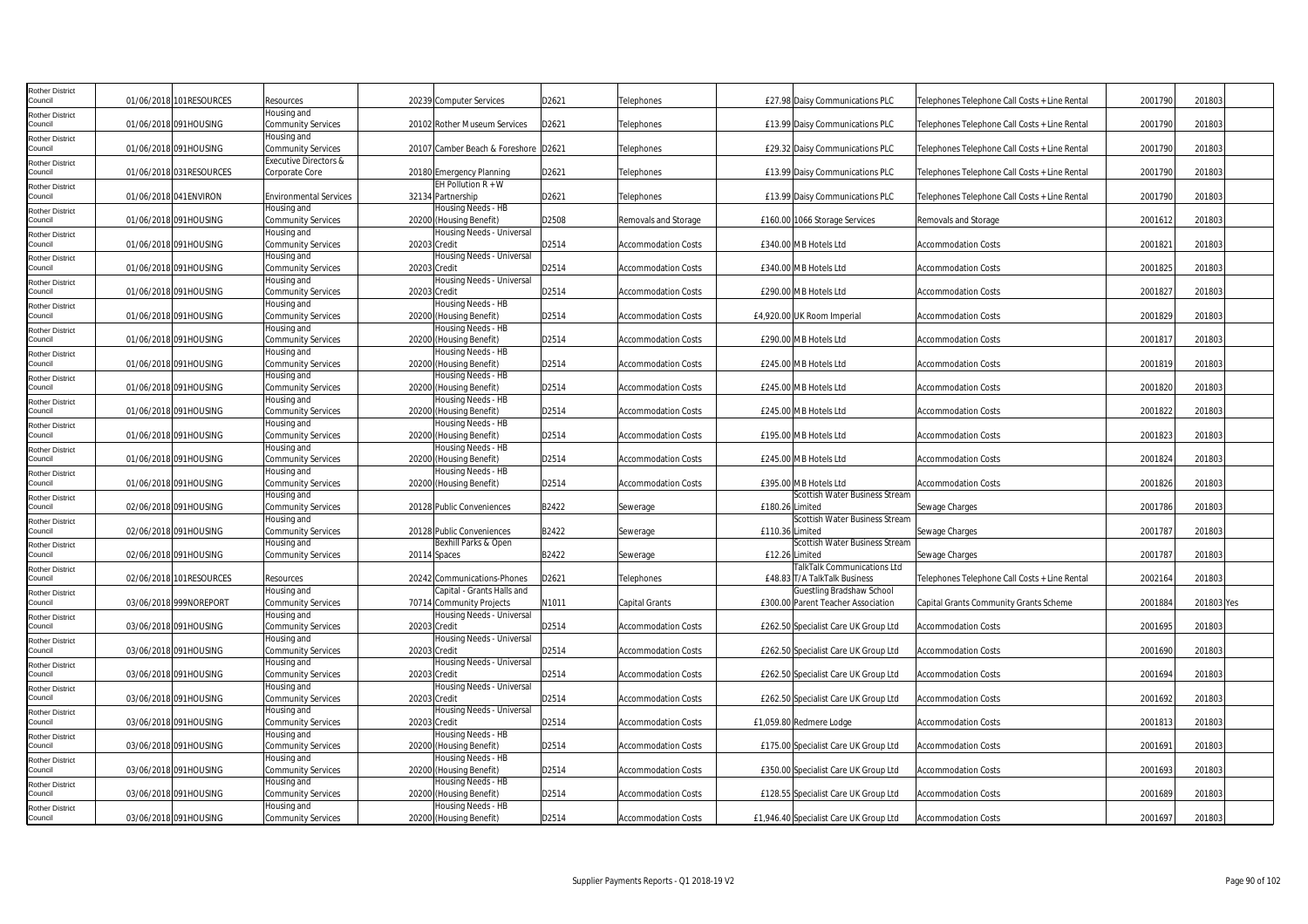| Rother District                   |                          |                                              |                                               |       |                            |                                                             |                                               |         |            |
|-----------------------------------|--------------------------|----------------------------------------------|-----------------------------------------------|-------|----------------------------|-------------------------------------------------------------|-----------------------------------------------|---------|------------|
| Council                           | 01/06/2018 101RESOURCES  | Resources                                    | 20239 Computer Services                       | D2621 | Telephones                 | <b>£27.98 Daisy Communications PLC</b>                      | Telephones Telephone Call Costs + Line Rental | 2001790 | 201803     |
| Rother District<br>council        | 01/06/2018 091HOUSING    | lousing and                                  | 20102 Rother Museum Services                  | D2621 |                            |                                                             |                                               | 2001790 | 201803     |
|                                   |                          | <b>Community Services</b><br>Housing and     |                                               |       | Telephones                 | £13.99 Daisy Communications PLC                             | Telephones Telephone Call Costs + Line Rental |         |            |
| <b>Rother District</b><br>Council | 01/06/2018 091HOUSING    | <b>Community Services</b>                    | 20107 Camber Beach & Foreshore D2621          |       | Telephones                 | £29.32 Daisy Communications PLC                             | Telephones Telephone Call Costs + Line Rental | 2001790 | 201803     |
| Rother District                   |                          | Executive Directors &                        |                                               |       |                            |                                                             |                                               |         |            |
| Council                           | 01/06/2018 031 RESOURCES | Corporate Core                               | 20180 Emergency Planning                      | D2621 | Telephones                 | £13.99 Daisy Communications PLC                             | Felephones Telephone Call Costs + Line Rental | 2001790 | 201803     |
| Rother District                   |                          |                                              | EH Pollution $R + W$                          |       |                            |                                                             |                                               |         |            |
| Council                           | 01/06/2018 041ENVIRON    | <b>Environmental Services</b><br>Housing and | 32134 Partnership<br>Housing Needs - HB       | D2621 | Telephones                 | £13.99 Daisy Communications PLC                             | Telephones Telephone Call Costs + Line Rental | 2001790 | 201803     |
| Rother District<br>Council        | 01/06/2018 091HOUSING    | <b>Community Services</b>                    | 20200 (Housing Benefit)                       | D2508 | Removals and Storage       | £160.00 1066 Storage Services                               | Removals and Storage                          | 2001612 | 201803     |
| Rother District                   |                          | Housing and                                  | Housing Needs - Universal                     |       |                            |                                                             |                                               |         |            |
| Council                           | 01/06/2018 091HOUSING    | <b>Community Services</b>                    | 20203 Credit                                  | D2514 | <b>Accommodation Costs</b> | £340.00 MB Hotels Ltd                                       | <b>Accommodation Costs</b>                    | 2001821 | 201803     |
| <b>Rother District</b>            |                          | Housing and                                  | Housing Needs - Universal                     |       |                            |                                                             |                                               |         |            |
| Council                           | 01/06/2018 091HOUSING    | <b>Community Services</b><br>Housing and     | 20203 Credit<br>Housing Needs - Universal     | D2514 | <b>Accommodation Costs</b> | £340.00 MB Hotels Ltd                                       | <b>Accommodation Costs</b>                    | 2001825 | 201803     |
| Rother District<br>Council        | 01/06/2018 091HOUSING    | <b>Community Services</b>                    | 20203 Credit                                  | D2514 | <b>Accommodation Costs</b> | £290.00 MB Hotels Ltd                                       | <b>Accommodation Costs</b>                    | 2001827 | 201803     |
| Rother District                   |                          | Housing and                                  | Housing Needs - HB                            |       |                            |                                                             |                                               |         |            |
| Council                           | 01/06/2018 091HOUSING    | <b>Community Services</b>                    | 20200 (Housing Benefit)                       | D2514 | <b>Accommodation Costs</b> | £4,920.00 UK Room Imperial                                  | Accommodation Costs                           | 2001829 | 201803     |
| Rother District                   |                          | Housing and                                  | Housing Needs - HB                            |       |                            |                                                             |                                               |         |            |
| Council                           | 01/06/2018 091HOUSING    | <b>Community Services</b>                    | 20200 (Housing Benefit)                       | D2514 | <b>Accommodation Costs</b> | £290.00 MB Hotels Ltd                                       | <b>Accommodation Costs</b>                    | 2001817 | 201803     |
| Rother District<br>council        | 01/06/2018 091HOUSING    | Housing and<br>Community Services            | lousing Needs - HB<br>20200 (Housing Benefit) | D2514 | <b>Accommodation Costs</b> | £245.00 MB Hotels Ltd                                       | <b>Accommodation Costs</b>                    | 2001819 | 201803     |
| <b>Rother District</b>            |                          | Housing and                                  | Housing Needs - HB                            |       |                            |                                                             |                                               |         |            |
| Council                           | 01/06/2018 091HOUSING    | Community Services                           | 20200 (Housing Benefit)                       | D2514 | Accommodation Costs        | £245.00 MB Hotels Ltd                                       | <b>Accommodation Costs</b>                    | 2001820 | 201803     |
| Rother District                   |                          | Housing and                                  | Housing Needs - HB                            |       |                            |                                                             |                                               |         |            |
| Council                           | 01/06/2018 091HOUSING    | <b>Community Services</b>                    | 20200 (Housing Benefit)                       | D2514 | <b>Accommodation Costs</b> | £245.00 MB Hotels Ltd                                       | <b>Accommodation Costs</b>                    | 2001822 | 201803     |
| Rother District<br>Council        | 01/06/2018 091HOUSING    | Housing and<br><b>Community Services</b>     | Housing Needs - HB<br>20200 (Housing Benefit) | D2514 | <b>Accommodation Costs</b> | £195.00 MB Hotels Ltd                                       | <b>Accommodation Costs</b>                    | 2001823 | 201803     |
| Rother District                   |                          | Housing and                                  | Housing Needs - HB                            |       |                            |                                                             |                                               |         |            |
| Council                           | 01/06/2018 091HOUSING    | <b>Community Services</b>                    | 20200 (Housing Benefit)                       | D2514 | <b>Accommodation Costs</b> | £245.00 MB Hotels Ltd                                       | <b>Accommodation Costs</b>                    | 2001824 | 201803     |
| Rother District                   |                          | Housing and                                  | Housing Needs - HB                            |       |                            |                                                             |                                               |         |            |
| ouncil                            | 01/06/2018 091HOUSING    | Community Services                           | 20200 (Housing Benefit)                       | D2514 | <b>Accommodation Costs</b> | £395.00 MB Hotels Ltd                                       | <b>Accommodation Costs</b>                    | 2001826 | 201803     |
| <b>Rother District</b><br>Council | 02/06/2018 091HOUSING    | Housing and<br>Community Services            | 20128 Public Conveniences                     | B2422 | Sewerage                   | Scottish Water Business Stream<br>£180.26 Limited           | Sewage Charges                                | 2001786 | 201803     |
| Rother District                   |                          | lousing and                                  |                                               |       |                            | Scottish Water Business Stream                              |                                               |         |            |
| Council                           | 02/06/2018 091HOUSING    | <b>Community Services</b>                    | 20128 Public Conveniences                     | B2422 | Sewerage                   | £110.36 Limited                                             | Sewage Charges                                | 2001787 | 201803     |
| Rother District                   |                          | Housing and                                  | Bexhill Parks & Open                          |       |                            | Scottish Water Business Stream                              |                                               |         |            |
| Council                           | 02/06/2018 091HOUSING    | <b>Community Services</b>                    | 20114 Spaces                                  | B2422 | Sewerage                   | £12.26 Limited                                              | Sewage Charges                                | 2001787 | 201803     |
| Rother District<br>Council        | 02/06/2018 101RESOURCES  | Resources                                    | 20242 Communications-Phones                   | D2621 | Telephones                 | TalkTalk Communications Ltd<br>£48.83 T/A TalkTalk Business | Telephones Telephone Call Costs + Line Rental | 2002164 | 201803     |
| Rother District                   |                          | Housing and                                  | Capital - Grants Halls and                    |       |                            | Guestling Bradshaw School                                   |                                               |         |            |
| Council                           | 03/06/2018 999NOREPORT   | <b>Community Services</b>                    | 70714 Community Projects                      | N1011 | Capital Grants             | £300.00 Parent Teacher Association                          | Capital Grants Community Grants Scheme        | 2001884 | 201803 Yes |
| <b>Rother District</b>            |                          | Housing and                                  | Housing Needs - Universal                     |       |                            |                                                             |                                               |         |            |
| Council                           | 03/06/2018 091HOUSING    | <b>Community Services</b>                    | 20203 Credit                                  | D2514 | <b>Accommodation Costs</b> | £262.50 Specialist Care UK Group Ltd                        | <b>Accommodation Costs</b>                    | 2001695 | 201803     |
| Rother District<br>Council        | 03/06/2018 091HOUSING    | Housing and<br>Community Services            | Housing Needs - Universal<br>20203 Credit     | D2514 | <b>Accommodation Costs</b> | £262.50 Specialist Care UK Group Ltd                        | <b>Accommodation Costs</b>                    | 2001690 | 201803     |
| Rother District                   |                          | lousing and                                  | Housing Needs - Universal                     |       |                            |                                                             |                                               |         |            |
| Council                           | 03/06/2018 091HOUSING    | Community Services                           | 20203 Credit                                  | D2514 | <b>Accommodation Costs</b> | £262.50 Specialist Care UK Group Ltd                        | <b>Accommodation Costs</b>                    | 2001694 | 201803     |
| Rother District                   |                          | Housing and                                  | lousing Needs - Universal                     |       |                            |                                                             |                                               |         |            |
| Council                           | 03/06/2018 091HOUSING    | Community Services                           | 20203 Credit                                  | D2514 | <b>Accommodation Costs</b> | £262.50 Specialist Care UK Group Ltd                        | <b>Accommodation Costs</b>                    | 2001692 | 201803     |
| Rother District<br>ouncil         | 03/06/2018 091HOUSING    | Housing and<br><b>Community Services</b>     | Housing Needs - Universal<br>20203 Credit     | D2514 | <b>Accommodation Costs</b> | £1,059.80 Redmere Lodge                                     | <b>Accommodation Costs</b>                    | 2001813 | 201803     |
|                                   |                          | Housing and                                  | Housing Needs - HB                            |       |                            |                                                             |                                               |         |            |
| <b>Rother District</b><br>Council | 03/06/2018 091HOUSING    | <b>Community Services</b>                    | 20200 (Housing Benefit)                       | D2514 | <b>Accommodation Costs</b> | £175.00 Specialist Care UK Group Ltd                        | <b>Accommodation Costs</b>                    | 2001691 | 201803     |
| Rother District                   |                          | Housing and                                  | Housing Needs - HB                            |       |                            |                                                             |                                               |         |            |
| Council                           | 03/06/2018 091HOUSING    | Community Services                           | 20200 (Housing Benefit)                       | D2514 | Accommodation Costs        | £350.00 Specialist Care UK Group Ltd                        | <b>Accommodation Costs</b>                    | 2001693 | 201803     |
| Rother District                   | 03/06/2018 091HOUSING    | Housing and                                  | Housing Needs - HB                            | D2514 |                            | £128.55 Specialist Care UK Group Ltd                        |                                               | 2001689 | 201803     |
| Council<br>Rother District        |                          | <b>Community Services</b><br>Housing and     | 20200 (Housing Benefit)<br>Housing Needs - HB |       | <b>Accommodation Costs</b> |                                                             | <b>Accommodation Costs</b>                    |         |            |
| Council                           | 03/06/2018 091HOUSING    | <b>Community Services</b>                    | 20200 (Housing Benefit)                       | D2514 | <b>Accommodation Costs</b> | £1,946.40 Specialist Care UK Group Ltd                      | <b>Accommodation Costs</b>                    | 2001697 | 201803     |
|                                   |                          |                                              |                                               |       |                            |                                                             |                                               |         |            |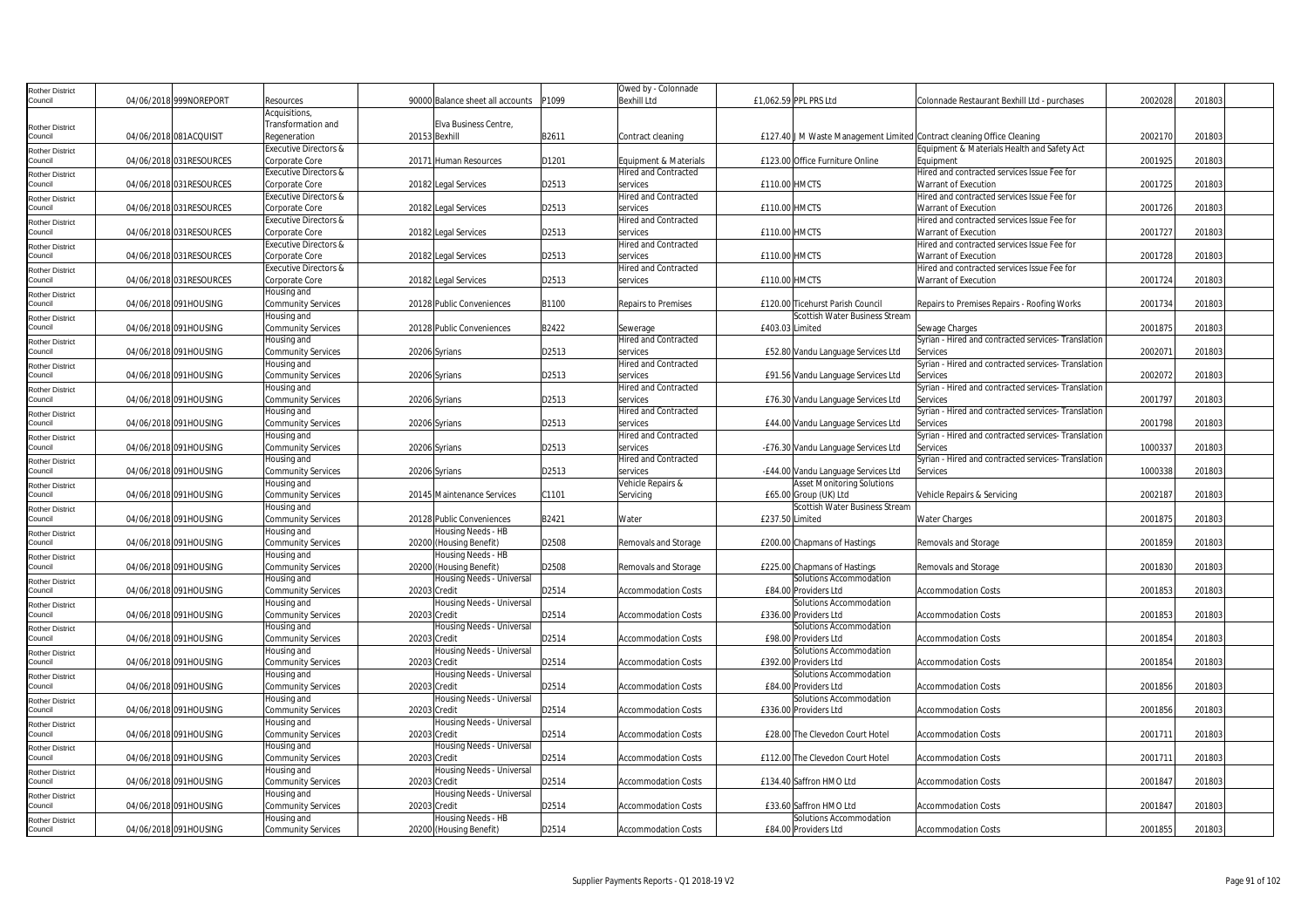| Rother District                   |                         |                                                    |               |                                  |       | Owed by - Colonnade                     |                                                                        |                                                                     |         |        |  |
|-----------------------------------|-------------------------|----------------------------------------------------|---------------|----------------------------------|-------|-----------------------------------------|------------------------------------------------------------------------|---------------------------------------------------------------------|---------|--------|--|
| Council                           | 04/06/2018 999NOREPORT  | Resources                                          |               | 90000 Balance sheet all accounts | P1099 | <b>Bexhill Ltd</b>                      | £1,062.59 PPL PRS Ltd                                                  | Colonnade Restaurant Bexhill Ltd - purchases                        | 2002028 | 201803 |  |
|                                   |                         | Acquisitions,                                      |               |                                  |       |                                         |                                                                        |                                                                     |         |        |  |
| <b>Rother District</b>            |                         | Transformation and                                 |               | Elva Business Centre,            |       |                                         |                                                                        |                                                                     |         |        |  |
| Council                           | 04/06/2018 081ACQUISIT  | Regeneration                                       | 20153 Bexhill |                                  | B2611 | Contract cleaning                       | £127.40 J M Waste Management Limited Contract cleaning Office Cleaning |                                                                     | 2002170 | 201803 |  |
| <b>Rother District</b>            |                         | Executive Directors &                              |               |                                  |       |                                         |                                                                        | Equipment & Materials Health and Safety Act                         |         |        |  |
| Council                           | 04/06/2018 031RESOURCES | Corporate Core                                     |               | 20171 Human Resources            | D1201 | Equipment & Materials                   | £123.00 Office Furniture Online                                        | Eauipment                                                           | 2001925 | 201803 |  |
| <b>Rother District</b>            |                         | Executive Directors &                              |               |                                  |       | <b>Hired and Contracted</b>             |                                                                        | Hired and contracted services Issue Fee for                         |         |        |  |
| Council                           | 04/06/2018 031RESOURCES | Corporate Core                                     |               | 20182 Legal Services             | D2513 | services                                | £110.00 HMCTS                                                          | Warrant of Execution                                                | 2001725 | 201803 |  |
| <b>Rother District</b>            |                         | Executive Directors &                              |               |                                  |       | <b>Hired and Contracted</b>             |                                                                        | Hired and contracted services Issue Fee for                         |         |        |  |
| Council                           | 04/06/2018 031RESOURCES | Corporate Core                                     |               | 20182 Legal Services             | D2513 | services                                | £110.00 HMCTS                                                          | Warrant of Execution                                                | 2001726 | 201803 |  |
| <b>Rother District</b>            |                         | Executive Directors &                              |               |                                  |       | <b>Hired and Contracted</b>             |                                                                        | Hired and contracted services Issue Fee for                         |         |        |  |
| Council                           | 04/06/2018 031RESOURCES | Corporate Core<br><b>Executive Directors &amp;</b> |               | 20182 Legal Services             | D2513 | services<br><b>Hired and Contracted</b> | £110.00 HMCTS                                                          | Warrant of Execution<br>Hired and contracted services Issue Fee for | 2001727 | 201803 |  |
| <b>Rother District</b><br>Council | 04/06/2018 031RESOURCES | Corporate Core                                     |               | 20182 Legal Services             | D2513 | services                                | £110.00 HMCTS                                                          | Warrant of Execution                                                | 2001728 | 201803 |  |
|                                   |                         | Executive Directors &                              |               |                                  |       | <b>Hired and Contracted</b>             |                                                                        | Hired and contracted services Issue Fee for                         |         |        |  |
| <b>Rother District</b><br>Council | 04/06/2018 031RESOURCES | Corporate Core                                     |               | 20182 Legal Services             | D2513 | services                                | £110.00 HMCTS                                                          | Warrant of Execution                                                | 2001724 | 201803 |  |
|                                   |                         | Housing and                                        |               |                                  |       |                                         |                                                                        |                                                                     |         |        |  |
| <b>Rother District</b><br>Council | 04/06/2018 091HOUSING   | Community Services                                 |               | 20128 Public Conveniences        | B1100 | Repairs to Premises                     | £120.00 Ticehurst Parish Council                                       | Repairs to Premises Repairs - Roofing Works                         | 2001734 | 201803 |  |
|                                   |                         | Housing and                                        |               |                                  |       |                                         | Scottish Water Business Stream                                         |                                                                     |         |        |  |
| <b>Rother District</b><br>Council | 04/06/2018 091HOUSING   | Community Services                                 |               | 20128 Public Conveniences        | B2422 | Sewerage                                | £403.03 Limited                                                        | Sewage Charges                                                      | 200187  | 201803 |  |
| <b>Rother District</b>            |                         | Housing and                                        |               |                                  |       | <b>Hired and Contracted</b>             |                                                                        | Syrian - Hired and contracted services- Translation                 |         |        |  |
| Council                           | 04/06/2018 091HOUSING   | Community Services                                 | 20206 Syrians |                                  | D2513 | services                                | £52.80 Vandu Language Services Ltd                                     | Services                                                            | 200207  | 201803 |  |
| <b>Rother District</b>            |                         | Housing and                                        |               |                                  |       | Hired and Contracted                    |                                                                        | Syrian - Hired and contracted services- Translation                 |         |        |  |
| Council                           | 04/06/2018 091HOUSING   | Community Services                                 | 20206 Syrians |                                  | D2513 | services                                | £91.56 Vandu Language Services Ltd                                     | Services                                                            | 2002072 | 201803 |  |
| <b>Rother District</b>            |                         | Housing and                                        |               |                                  |       | Hired and Contracted                    |                                                                        | Syrian - Hired and contracted services- Translation                 |         |        |  |
| Council                           | 04/06/2018 091HOUSING   | Community Services                                 | 20206 Syrians |                                  | D2513 | services                                | £76.30 Vandu Language Services Ltd                                     | Services                                                            | 2001797 | 201803 |  |
| <b>Rother District</b>            |                         | Housing and                                        |               |                                  |       | <b>Hired and Contracted</b>             |                                                                        | Syrian - Hired and contracted services-Translation                  |         |        |  |
| Council                           | 04/06/2018 091HOUSING   | Community Services                                 | 20206 Syrians |                                  | D2513 | services                                | £44.00 Vandu Language Services Ltd                                     | Services                                                            | 2001798 | 201803 |  |
| <b>Rother District</b>            |                         | Housing and                                        |               |                                  |       | <b>Hired and Contracted</b>             |                                                                        | Syrian - Hired and contracted services-Translation                  |         |        |  |
| Council                           | 04/06/2018 091HOUSING   | Community Services                                 | 20206 Syrians |                                  | D2513 | services                                | -£76.30 Vandu Language Services Ltd                                    | Services                                                            | 1000337 | 201803 |  |
| Rother District                   |                         | Housing and                                        |               |                                  |       | Hired and Contracted                    |                                                                        | Syrian - Hired and contracted services- Translation                 |         |        |  |
| Council                           | 04/06/2018 091HOUSING   | Community Services                                 | 20206 Syrians |                                  | D2513 | services                                | -£44.00 Vandu Language Services Ltd                                    | Services                                                            | 1000338 | 201803 |  |
| <b>Rother District</b>            |                         | Housing and                                        |               |                                  |       | Vehicle Repairs &                       | <b>Asset Monitoring Solutions</b>                                      |                                                                     |         |        |  |
| Council                           | 04/06/2018 091HOUSING   | Community Services                                 |               | 20145 Maintenance Services       | C1101 | Servicing                               | £65.00 Group (UK) Ltd                                                  | Vehicle Repairs & Servicing                                         | 2002187 | 201803 |  |
| <b>Rother District</b>            |                         | Housing and                                        |               |                                  |       |                                         | Scottish Water Business Stream                                         |                                                                     |         |        |  |
| Council                           | 04/06/2018 091HOUSING   | Community Services                                 |               | 20128 Public Conveniences        | B2421 | Water                                   | £237.50 Limited                                                        | Water Charges                                                       | 2001875 | 201803 |  |
| <b>Rother District</b>            |                         | Housing and                                        |               | Housing Needs - HB               |       |                                         |                                                                        |                                                                     |         |        |  |
| Council                           | 04/06/2018 091HOUSING   | Community Services                                 |               | 20200 (Housing Benefit)          | D2508 | Removals and Storage                    | £200.00 Chapmans of Hastings                                           | Removals and Storage                                                | 2001859 | 201803 |  |
| <b>Rother District</b>            |                         | Housing and                                        |               | Housing Needs - HB               | D2508 |                                         |                                                                        |                                                                     |         |        |  |
| Council                           | 04/06/2018 091HOUSING   | <b>Community Services</b>                          |               | 20200 (Housing Benefit)          |       | Removals and Storage                    | £225.00 Chapmans of Hastings                                           | Removals and Storage                                                | 2001830 | 201803 |  |
| <b>Rother District</b><br>Council | 04/06/2018 091HOUSING   | Housing and                                        | 20203 Credit  | Housing Needs - Universal        | D2514 |                                         | Solutions Accommodation<br>£84.00 Providers Ltd                        |                                                                     | 2001853 | 201803 |  |
|                                   |                         | Community Services<br>Housing and                  |               | Housing Needs - Universal        |       | Accommodation Costs                     | Solutions Accommodation                                                | Accommodation Costs                                                 |         |        |  |
| <b>Rother District</b><br>Council | 04/06/2018 091HOUSING   | Community Services                                 | 20203 Credit  |                                  | D2514 | <b>Accommodation Costs</b>              | £336.00 Providers Ltd                                                  | <b>Accommodation Costs</b>                                          | 2001853 | 201803 |  |
| Rother District                   |                         | Housing and                                        |               | Housing Needs - Universal        |       |                                         | Solutions Accommodation                                                |                                                                     |         |        |  |
| Council                           | 04/06/2018 091HOUSING   | Community Services                                 | 20203 Credit  |                                  | D2514 | <b>Accommodation Costs</b>              | £98.00 Providers Ltd                                                   | <b>Accommodation Costs</b>                                          | 2001854 | 201803 |  |
| <b>Rother District</b>            |                         | Housing and                                        |               | Housing Needs - Universal        |       |                                         | Solutions Accommodation                                                |                                                                     |         |        |  |
| Council                           | 04/06/2018 091HOUSING   | Community Services                                 | 20203 Credit  |                                  | D2514 | Accommodation Costs                     | £392.00 Providers Ltd                                                  | <b>Accommodation Costs</b>                                          | 2001854 | 201803 |  |
| <b>Rother District</b>            |                         | Housing and                                        |               | Housing Needs - Universal        |       |                                         | Solutions Accommodation                                                |                                                                     |         |        |  |
| Council                           | 04/06/2018 091HOUSING   | Community Services                                 | 20203 Credit  |                                  | D2514 | <b>Accommodation Costs</b>              | £84.00 Providers Ltd                                                   | <b>Accommodation Costs</b>                                          | 2001856 | 201803 |  |
| <b>Rother District</b>            |                         | Housing and                                        |               | Housing Needs - Universal        |       |                                         | Solutions Accommodation                                                |                                                                     |         |        |  |
| Council                           | 04/06/2018 091HOUSING   | Community Services                                 | 20203 Credit  |                                  | D2514 | <b>Accommodation Costs</b>              | £336.00 Providers Ltd                                                  | <b>Accommodation Costs</b>                                          | 2001856 | 201803 |  |
| <b>Rother District</b>            |                         | Housing and                                        |               | Housing Needs - Universal        |       |                                         |                                                                        |                                                                     |         |        |  |
| Council                           | 04/06/2018 091HOUSING   | Community Services                                 | 20203 Credit  |                                  | D2514 | <b>Accommodation Costs</b>              | £28.00 The Clevedon Court Hotel                                        | <b>Accommodation Costs</b>                                          | 2001711 | 201803 |  |
| <b>Rother District</b>            |                         | Housing and                                        |               | Housing Needs - Universal        |       |                                         |                                                                        |                                                                     |         |        |  |
| Council                           | 04/06/2018 091HOUSING   | Community Services                                 | 20203 Credit  |                                  | D2514 | Accommodation Costs                     | £112.00 The Clevedon Court Hotel                                       | Accommodation Costs                                                 | 2001711 | 201803 |  |
| <b>Rother District</b>            |                         | Housing and                                        |               | Housing Needs - Universal        |       |                                         |                                                                        |                                                                     |         |        |  |
| Council                           | 04/06/2018 091HOUSING   | Community Services                                 | 20203 Credit  |                                  | D2514 | <b>Accommodation Costs</b>              | £134.40 Saffron HMO Ltd                                                | <b>Accommodation Costs</b>                                          | 2001847 | 201803 |  |
| <b>Rother District</b>            |                         | Housing and                                        |               | Housing Needs - Universal        |       |                                         |                                                                        |                                                                     |         |        |  |
| Council                           | 04/06/2018 091HOUSING   | Community Services                                 | 20203 Credit  |                                  | D2514 | <b>Accommodation Costs</b>              | £33.60 Saffron HMO Ltd                                                 | <b>Accommodation Costs</b>                                          | 2001847 | 201803 |  |
| <b>Rother District</b>            |                         | Housing and                                        |               | Housing Needs - HB               |       |                                         | Solutions Accommodation                                                |                                                                     |         |        |  |
| Council                           | 04/06/2018 091HOUSING   | <b>Community Services</b>                          |               | 20200 (Housing Benefit)          | D2514 | <b>Accommodation Costs</b>              | £84.00 Providers Ltd                                                   | <b>Accommodation Costs</b>                                          | 2001855 | 201803 |  |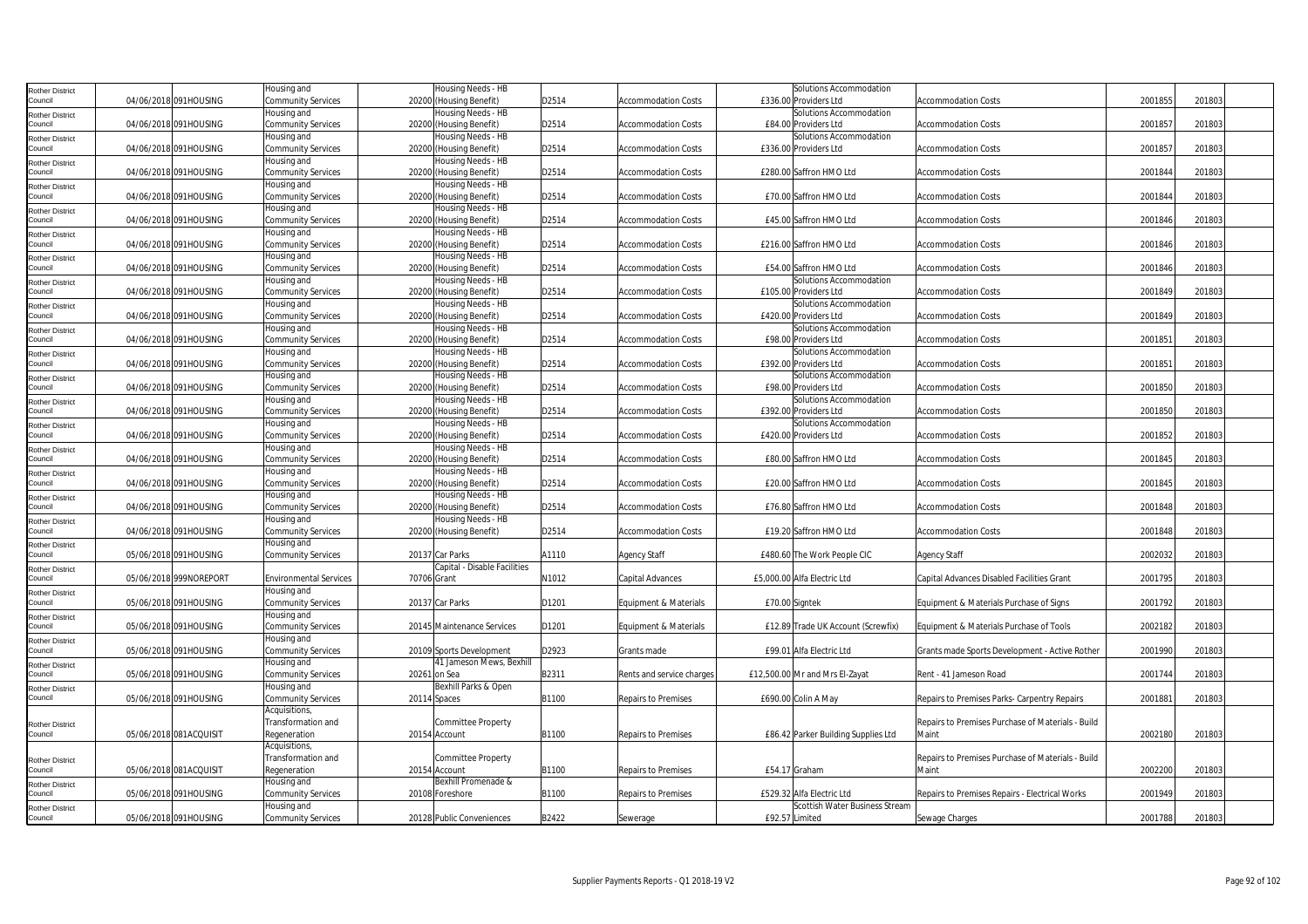| <b>Rother District</b>            |                        | Housing and                   | Housing Needs - HB           |       |                            | Solutions Accommodation             |                                                   |         |        |  |
|-----------------------------------|------------------------|-------------------------------|------------------------------|-------|----------------------------|-------------------------------------|---------------------------------------------------|---------|--------|--|
| Council                           | 04/06/2018 091HOUSING  | Community Services            | 20200 (Housing Benefit)      | D2514 | <b>Accommodation Costs</b> | £336.00 Providers Ltd               | <b>Accommodation Costs</b>                        | 2001855 | 201803 |  |
| <b>Rother District</b>            |                        | Housing and                   | Housing Needs - HB           |       |                            | Solutions Accommodation             |                                                   |         |        |  |
| Council                           | 04/06/2018 091HOUSING  | Community Services            | 20200 (Housing Benefit)      | D2514 | <b>Accommodation Costs</b> | £84.00 Providers Ltd                | <b>Accommodation Costs</b>                        | 2001857 | 201803 |  |
| <b>Rother District</b>            |                        | Housing and                   | Housing Needs - HB           |       |                            | Solutions Accommodation             |                                                   |         |        |  |
| Council                           | 04/06/2018 091HOUSING  | Community Services            | 20200 (Housing Benefit)      | D2514 | Accommodation Costs        | £336.00 Providers Ltd               | <b>Accommodation Costs</b>                        | 2001857 | 201803 |  |
| <b>Rother District</b>            |                        | Housing and                   | Housing Needs - HB           |       |                            |                                     |                                                   |         |        |  |
| Council                           | 04/06/2018 091HOUSING  | Community Services            | 20200 (Housing Benefit)      | D2514 | <b>Accommodation Costs</b> | £280.00 Saffron HMO Ltd             | <b>Accommodation Costs</b>                        | 2001844 | 201803 |  |
|                                   |                        | Housing and                   | Housing Needs - HB           |       |                            |                                     |                                                   |         |        |  |
| <b>Rother District</b><br>Council | 04/06/2018 091HOUSING  | Community Services            | 20200 (Housing Benefit)      | D2514 | <b>Accommodation Costs</b> | £70.00 Saffron HMO Ltd              | Accommodation Costs                               | 2001844 | 201803 |  |
| <b>Rother District</b>            |                        | Housing and                   | Housing Needs - HB           |       |                            |                                     |                                                   |         |        |  |
| Council                           | 04/06/2018 091HOUSING  | Community Services            | 20200 (Housing Benefit)      | D2514 | <b>Accommodation Costs</b> | £45.00 Saffron HMO Ltd              | <b>Accommodation Costs</b>                        | 2001846 | 201803 |  |
| <b>Rother District</b>            |                        | Housing and                   | Housing Needs - HB           |       |                            |                                     |                                                   |         |        |  |
| Council                           | 04/06/2018 091HOUSING  | Community Services            | 20200 (Housing Benefit)      | D2514 | <b>Accommodation Costs</b> | £216.00 Saffron HMO Ltd             | <b>Accommodation Costs</b>                        | 2001846 | 201803 |  |
| <b>Rother District</b>            |                        | Housing and                   | Housing Needs - HB           |       |                            |                                     |                                                   |         |        |  |
| Council                           | 04/06/2018 091HOUSING  | Community Services            | 20200 (Housing Benefit)      | D2514 | <b>Accommodation Costs</b> | £54.00 Saffron HMO Ltd              | <b>Accommodation Costs</b>                        | 2001846 | 201803 |  |
| <b>Rother District</b>            |                        | Housing and                   | Housing Needs - HB           |       |                            | Solutions Accommodation             |                                                   |         |        |  |
| Council                           | 04/06/2018 091HOUSING  | Community Services            | 20200 (Housing Benefit)      | D2514 | <b>Accommodation Costs</b> | £105.00 Providers Ltd               | <b>Accommodation Costs</b>                        | 2001849 | 201803 |  |
| <b>Rother District</b>            |                        | Housing and                   | Housing Needs - HB           |       |                            | Solutions Accommodation             |                                                   |         |        |  |
| Council                           | 04/06/2018 091HOUSING  | Community Services            | 20200 (Housing Benefit)      | D2514 | <b>Accommodation Costs</b> | £420.00 Providers Ltd               | <b>Accommodation Costs</b>                        | 2001849 | 201803 |  |
| <b>Rother District</b>            |                        | Housing and                   | Housing Needs - HB           |       |                            | Solutions Accommodation             |                                                   |         |        |  |
| Council                           | 04/06/2018 091HOUSING  | Community Services            | 20200 (Housing Benefit)      | D2514 | <b>Accommodation Costs</b> | £98.00 Providers Ltd                | <b>Accommodation Costs</b>                        | 2001851 | 201803 |  |
| <b>Rother District</b>            |                        | Housing and                   | Housing Needs - HB           |       |                            | Solutions Accommodation             |                                                   |         |        |  |
| Council                           | 04/06/2018 091HOUSING  | Community Services            | 20200 (Housing Benefit)      | D2514 | <b>Accommodation Costs</b> | £392.00 Providers Ltd               | <b>Accommodation Costs</b>                        | 2001851 | 201803 |  |
| <b>Rother District</b>            |                        | Housing and                   | Housing Needs - HB           |       |                            | Solutions Accommodation             |                                                   |         |        |  |
| Council                           | 04/06/2018 091HOUSING  | Community Services            | 20200 (Housing Benefit)      | D2514 | <b>Accommodation Costs</b> | £98.00 Providers Ltd                | <b>Accommodation Costs</b>                        | 2001850 | 201803 |  |
| <b>Rother District</b>            |                        | Housing and                   | Housing Needs - HB           |       |                            | Solutions Accommodation             |                                                   |         |        |  |
| Council                           | 04/06/2018 091HOUSING  | Community Services            | 20200 (Housing Benefit)      | D2514 | <b>Accommodation Costs</b> | £392.00 Providers Ltd               | <b>Accommodation Costs</b>                        | 2001850 | 201803 |  |
| <b>Rother District</b>            |                        | Housing and                   | Housing Needs - HB           |       |                            | Solutions Accommodation             |                                                   |         |        |  |
| Council                           | 04/06/2018 091HOUSING  | Community Services            | 20200 (Housing Benefit)      | D2514 | <b>Accommodation Costs</b> | £420.00 Providers Ltd               | <b>Accommodation Costs</b>                        | 2001852 | 201803 |  |
| <b>Rother District</b>            |                        | Housing and                   | Housing Needs - HB           |       |                            |                                     |                                                   |         |        |  |
| Council                           | 04/06/2018 091HOUSING  | Community Services            | 20200 (Housing Benefit)      | D2514 | Accommodation Costs        | £80.00 Saffron HMO Ltd              | <b>Accommodation Costs</b>                        | 2001845 | 201803 |  |
| <b>Rother District</b>            |                        | Housing and                   | Housing Needs - HB           |       |                            |                                     |                                                   |         |        |  |
| Council                           | 04/06/2018 091HOUSING  | Community Services            | 20200 (Housing Benefit)      | D2514 | <b>Accommodation Costs</b> | £20.00 Saffron HMO Ltd              | <b>Accommodation Costs</b>                        | 2001845 | 201803 |  |
| <b>Rother District</b>            |                        | Housing and                   | Housing Needs - HB           |       |                            |                                     |                                                   |         |        |  |
| Council                           | 04/06/2018 091HOUSING  | Community Services            | 20200 (Housing Benefit)      | D2514 | <b>Accommodation Costs</b> | £76.80 Saffron HMO Ltd              | <b>Accommodation Costs</b>                        | 2001848 | 201803 |  |
| <b>Rother District</b>            |                        | Housing and                   | Housing Needs - HB           |       |                            |                                     |                                                   |         |        |  |
| Council                           | 04/06/2018 091HOUSING  | Community Services            | 20200 (Housing Benefit)      | D2514 | <b>Accommodation Costs</b> | £19.20 Saffron HMO Ltd              | <b>Accommodation Costs</b>                        | 2001848 | 201803 |  |
| <b>Rother District</b>            |                        | Housing and                   |                              |       |                            |                                     |                                                   |         |        |  |
| Council                           | 05/06/2018 091HOUSING  | Community Services            | 20137 Car Parks              | A1110 | <b>Agency Staff</b>        | £480.60 The Work People CIC         | Agency Staff                                      | 2002032 | 201803 |  |
| <b>Rother District</b>            |                        |                               | Capital - Disable Facilities |       |                            |                                     |                                                   |         |        |  |
| Council                           | 05/06/2018 999NOREPORT | <b>Environmental Services</b> | 70706 Grant                  | N1012 | Capital Advances           | £5,000.00 Alfa Electric Ltd         | Capital Advances Disabled Facilities Grant        | 2001795 | 201803 |  |
| <b>Rother District</b>            |                        | Housing and                   |                              |       |                            |                                     |                                                   |         |        |  |
| Council                           | 05/06/2018 091HOUSING  | Community Services            | 20137 Car Parks              | D1201 | Equipment & Materials      | £70.00 Signtek                      | Equipment & Materials Purchase of Signs           | 2001792 | 201803 |  |
| <b>Rother District</b>            |                        | Housing and                   |                              |       |                            |                                     |                                                   |         |        |  |
| Council                           | 05/06/2018 091HOUSING  | Community Services            | 20145 Maintenance Services   | D1201 | Equipment & Materials      | £12.89 Trade UK Account (Screwfix)  | Equipment & Materials Purchase of Tools           | 2002182 | 201803 |  |
| <b>Rother District</b>            |                        | Housing and                   |                              |       |                            |                                     |                                                   |         |        |  |
| Council                           | 05/06/2018 091HOUSING  | Community Services            | 20109 Sports Development     | D2923 | Grants made                | £99.01 Alfa Electric Ltd            | Grants made Sports Development - Active Rother    | 2001990 | 201803 |  |
| <b>Rother District</b>            |                        | Housing and                   | 41 Jameson Mews, Bexhill     |       |                            |                                     |                                                   |         |        |  |
| Council                           | 05/06/2018 091HOUSING  | <b>Community Services</b>     | 20261 on Sea                 | B2311 | Rents and service charges  | £12,500.00 Mr and Mrs El-Zayat      | Rent - 41 Jameson Road                            | 2001744 | 201803 |  |
| Rother District                   |                        | Housing and                   | Bexhill Parks & Open         |       |                            |                                     |                                                   |         |        |  |
| Council                           | 05/06/2018 091HOUSING  | Community Services            | 20114 Spaces                 | B1100 | Repairs to Premises        | £690.00 Colin A May                 | Repairs to Premises Parks- Carpentry Repairs      | 2001881 | 201803 |  |
|                                   |                        | Acquisitions,                 |                              |       |                            |                                     |                                                   |         |        |  |
| <b>Rother District</b>            |                        | Transformation and            | <b>Committee Property</b>    |       |                            |                                     | Repairs to Premises Purchase of Materials - Build |         |        |  |
| Council                           | 05/06/2018 081ACQUISIT | Regeneration                  | 20154 Account                | B1100 | Repairs to Premises        | £86.42 Parker Building Supplies Ltd | Maint                                             | 2002180 | 201803 |  |
|                                   |                        | Acquisitions,                 |                              |       |                            |                                     |                                                   |         |        |  |
| <b>Rother District</b>            |                        | Transformation and            | Committee Property           |       |                            |                                     | Repairs to Premises Purchase of Materials - Build |         |        |  |
| Council                           | 05/06/2018 081ACQUISIT | Regeneration                  | 20154 Account                | B1100 | Repairs to Premises        | £54.17 Graham                       | Maint                                             | 2002200 | 201803 |  |
| <b>Rother District</b>            |                        | Housing and                   | Bexhill Promenade &          |       |                            |                                     |                                                   |         |        |  |
| Council                           | 05/06/2018 091HOUSING  | Community Services            | 20108 Foreshore              | B1100 | Repairs to Premises        | £529.32 Alfa Electric Ltd           | Repairs to Premises Repairs - Electrical Works    | 2001949 | 201803 |  |
| <b>Rother District</b>            |                        | Housing and                   |                              |       |                            | Scottish Water Business Stream      |                                                   |         |        |  |
| Council                           | 05/06/2018 091HOUSING  | Community Services            | 20128 Public Conveniences    | B2422 | Sewerage                   | £92.57 Limited                      | Sewage Charges                                    | 2001788 | 201803 |  |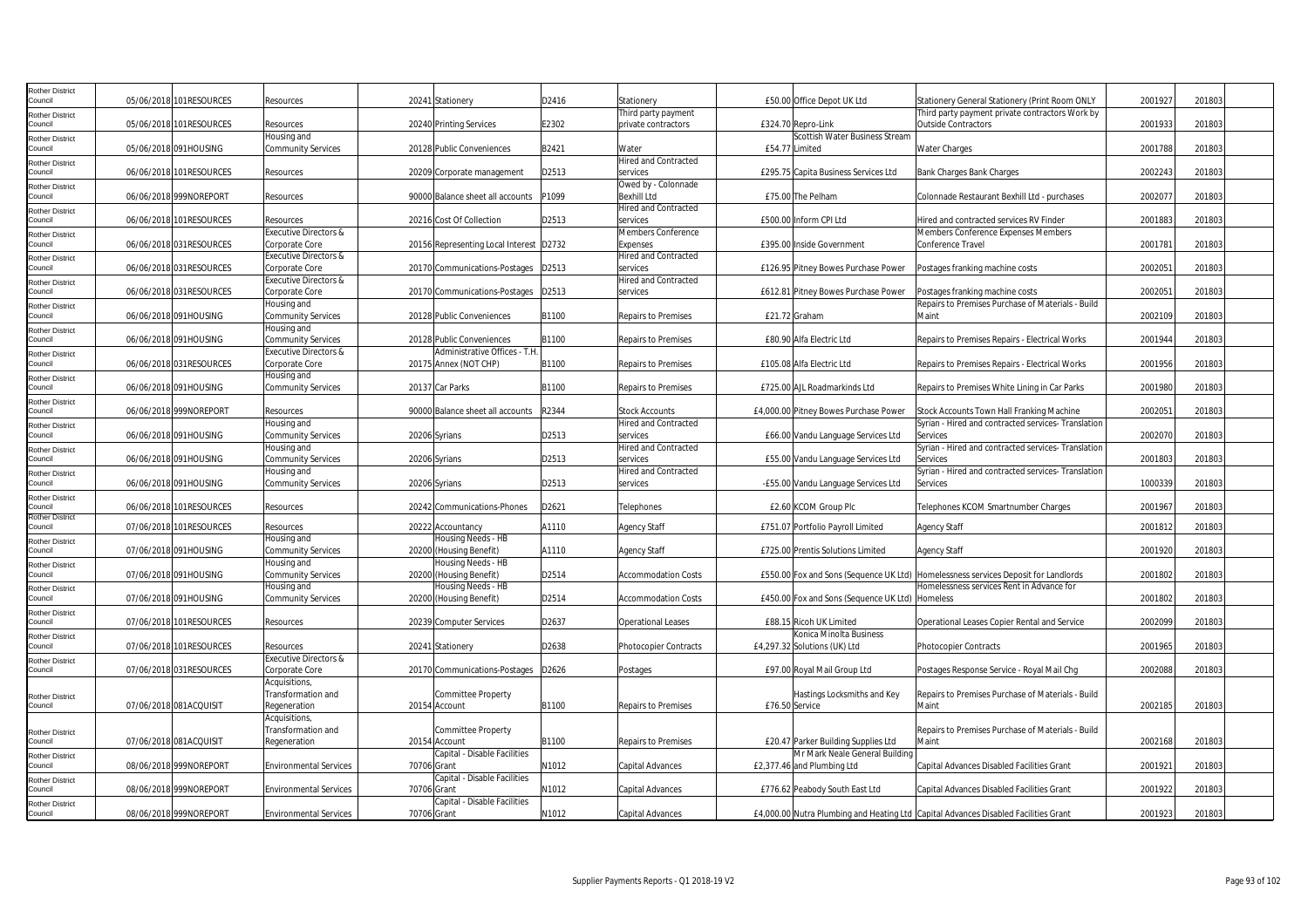| Rother District            |                          |                                  |                                         |       |                             |                                                                                     |                                                                                    |         |        |  |
|----------------------------|--------------------------|----------------------------------|-----------------------------------------|-------|-----------------------------|-------------------------------------------------------------------------------------|------------------------------------------------------------------------------------|---------|--------|--|
| Council                    | 05/06/2018 101RESOURCES  | Resources                        | 20241 Stationery                        | D2416 | Stationery                  | £50.00 Office Depot UK Ltd                                                          | Stationery General Stationery (Print Room ONLY                                     | 2001927 | 201803 |  |
| Rother District            |                          |                                  |                                         |       | Third party payment         |                                                                                     | Third party payment private contractors Work by                                    |         |        |  |
| Council                    | 05/06/2018 101 RESOURCES | Resources                        | 20240 Printing Services                 | E2302 | private contractors         | £324.70 Repro-Link                                                                  | <b>Outside Contractors</b>                                                         | 2001933 | 201803 |  |
| <b>Rother District</b>     |                          | Housing and                      |                                         |       |                             | Scottish Water Business Stream                                                      |                                                                                    |         |        |  |
| Council                    | 05/06/2018 091HOUSING    | <b>Community Services</b>        | 20128 Public Conveniences               | B2421 | Water                       | £54.77 Limited                                                                      | Water Charges                                                                      | 2001788 | 201803 |  |
| Rother District            |                          |                                  |                                         |       | <b>Hired and Contracted</b> |                                                                                     |                                                                                    |         |        |  |
| Council                    | 06/06/2018 101RESOURCES  | Resources                        | 20209 Corporate management              | D2513 | services                    | £295.75 Capita Business Services Ltd                                                | Bank Charges Bank Charges                                                          | 2002243 | 201803 |  |
| Rother District            |                          |                                  |                                         |       | Owed by - Colonnade         |                                                                                     |                                                                                    |         |        |  |
| Council                    | 06/06/2018 999NOREPORT   | Resources                        | 90000 Balance sheet all accounts        | P1099 | Bexhill Ltd                 | £75.00 The Pelham                                                                   | Colonnade Restaurant Bexhill Ltd - purchases                                       | 2002077 | 201803 |  |
| Rother District            |                          |                                  |                                         |       | <b>Hired and Contracted</b> |                                                                                     |                                                                                    |         |        |  |
| Council                    | 06/06/2018 101RESOURCES  | Resources                        | 20216 Cost Of Collection                | D2513 | services                    | £500.00 Inform CPI Ltd                                                              | Hired and contracted services RV Finder                                            | 2001883 | 201803 |  |
| Rother District            |                          | <b>Executive Directors &amp;</b> |                                         |       | Members Conference          |                                                                                     | Members Conference Expenses Members                                                |         |        |  |
| Council                    | 06/06/2018 031RESOURCES  | Corporate Core                   | 20156 Representing Local Interest D2732 |       | Expenses                    | £395.00 Inside Government                                                           | Conference Travel                                                                  | 2001781 | 201803 |  |
| <b>Rother District</b>     |                          | <b>Executive Directors &amp;</b> |                                         |       | Hired and Contracted        |                                                                                     |                                                                                    |         |        |  |
| Council                    | 06/06/2018 031RESOURCES  | Corporate Core                   | 20170 Communications-Postages           | D2513 | services                    | £126.95 Pitney Bowes Purchase Power                                                 | Postages franking machine costs                                                    | 200205  | 201803 |  |
| Rother District            |                          | <b>Executive Directors &amp;</b> |                                         |       | <b>Hired and Contracted</b> |                                                                                     |                                                                                    |         |        |  |
| Council                    | 06/06/2018 031RESOURCES  | Corporate Core                   | 20170 Communications-Postages           | D2513 | services                    | £612.81 Pitney Bowes Purchase Power                                                 | Postages franking machine costs                                                    | 200205  | 201803 |  |
| <b>Rother District</b>     |                          | Housing and                      |                                         |       |                             |                                                                                     | Repairs to Premises Purchase of Materials - Build                                  |         |        |  |
| Council                    | 06/06/2018 091HOUSING    | <b>Community Services</b>        | 20128 Public Conveniences               | B1100 | Repairs to Premises         | £21.72 Graham                                                                       | Maint                                                                              | 2002109 | 201803 |  |
| <b>Rother District</b>     |                          | Housing and                      |                                         |       |                             |                                                                                     |                                                                                    |         |        |  |
| Council                    | 06/06/2018 091HOUSING    | <b>Community Services</b>        | 20128 Public Conveniences               | B1100 | Repairs to Premises         | £80.90 Alfa Electric Ltd                                                            | Repairs to Premises Repairs - Electrical Works                                     | 2001944 | 201803 |  |
| Rother District            |                          | <b>Executive Directors &amp;</b> | Administrative Offices - T.H.           |       |                             |                                                                                     |                                                                                    |         |        |  |
| Council                    | 06/06/2018 031RESOURCES  | Corporate Core                   | 20175 Annex (NOT CHP)                   | B1100 | Repairs to Premises         | £105.08 Alfa Electric Ltd                                                           | Repairs to Premises Repairs - Electrical Works                                     | 2001956 | 201803 |  |
| Rother District            |                          | Housing and                      |                                         |       |                             |                                                                                     |                                                                                    |         |        |  |
| Council                    | 06/06/2018 091HOUSING    | <b>Community Services</b>        | 20137 Car Parks                         | B1100 | <b>Repairs to Premises</b>  | £725.00 AJL Roadmarkinds Ltd                                                        | Repairs to Premises White Lining in Car Parks                                      | 2001980 | 201803 |  |
| <b>Rother District</b>     |                          |                                  |                                         |       |                             |                                                                                     |                                                                                    |         |        |  |
| Council                    | 06/06/2018 999NOREPORT   | Resources                        | 90000 Balance sheet all accounts        | R2344 | <b>Stock Accounts</b>       | £4,000.00 Pitney Bowes Purchase Power                                               | Stock Accounts Town Hall Franking Machine                                          | 200205  | 201803 |  |
| <b>Rother District</b>     |                          | Housing and                      |                                         |       | <b>Hired and Contracted</b> |                                                                                     | Syrian - Hired and contracted services- Translation                                |         |        |  |
| Council                    | 06/06/2018 091HOUSING    | <b>Community Services</b>        | 20206 Syrians                           | D2513 | services                    | £66.00 Vandu Language Services Ltd                                                  | Services                                                                           | 2002070 | 201803 |  |
| Rother District            |                          | Housing and                      |                                         |       | <b>Hired and Contracted</b> |                                                                                     | Syrian - Hired and contracted services-Translation                                 |         |        |  |
| Council                    | 06/06/2018 091HOUSING    | <b>Community Services</b>        | 20206 Syrians                           | D2513 | services                    | £55.00 Vandu Language Services Ltd                                                  | Services                                                                           | 2001803 | 201803 |  |
| Rother District            |                          | Housing and                      |                                         |       | Hired and Contracted        |                                                                                     | Syrian - Hired and contracted services- Translation                                |         |        |  |
| Council                    | 06/06/2018 091HOUSING    | <b>Community Services</b>        | 20206 Syrians                           | D2513 | services                    | -£55.00 Vandu Language Services Ltd                                                 | Services                                                                           | 1000339 | 201803 |  |
| Rother District<br>Council | 06/06/2018 101RESOURCES  |                                  | 20242 Communications-Phones             | D2621 |                             |                                                                                     |                                                                                    | 2001967 | 201803 |  |
| Rother District            |                          | Resources                        |                                         |       | Telephones                  | £2.60 KCOM Group Plc                                                                | Telephones KCOM Smartnumber Charges                                                |         |        |  |
| Council                    | 07/06/2018 101RESOURCES  | Resources                        | 20222 Accountancy                       | A1110 | <b>Agency Staff</b>         | £751.07 Portfolio Payroll Limited                                                   | Agency Staff                                                                       | 2001812 | 201803 |  |
| Rother District            |                          | Housing and                      | Housing Needs - HB                      |       |                             |                                                                                     |                                                                                    |         |        |  |
| council                    | 07/06/2018 091HOUSING    | Community Services               | 20200 (Housing Benefit)                 | A1110 | <b>Agency Staff</b>         | £725.00 Prentis Solutions Limited                                                   | Agency Staff                                                                       | 2001920 | 201803 |  |
| Rother District            |                          | Housing and                      | Housing Needs - HB                      |       |                             |                                                                                     |                                                                                    |         |        |  |
| Council                    | 07/06/2018 091HOUSING    | <b>Community Services</b>        | 20200 (Housing Benefit)                 | D2514 | Accommodation Costs         |                                                                                     | £550.00 Fox and Sons (Sequence UK Ltd) Homelessness services Deposit for Landlords | 2001802 | 201803 |  |
| Rother District            |                          | lousing and                      | Housing Needs - HB                      |       |                             |                                                                                     | Iomelessness services Rent in Advance for                                          |         |        |  |
| Council                    | 07/06/2018 091HOUSING    | <b>Community Services</b>        | 20200 (Housing Benefit)                 | D2514 | <b>Accommodation Costs</b>  | £450.00 Fox and Sons (Sequence UK Ltd) Homeless                                     |                                                                                    | 2001802 | 201803 |  |
| <b>Rother District</b>     |                          |                                  |                                         |       |                             |                                                                                     |                                                                                    |         |        |  |
| Council                    | 07/06/2018 101 RESOURCES | Resources                        | 20239 Computer Services                 | D2637 | <b>Operational Leases</b>   | £88.15 Ricoh UK Limited                                                             | Operational Leases Copier Rental and Service                                       | 2002099 | 201803 |  |
| Rother District            |                          |                                  |                                         |       |                             | Konica Minolta Business                                                             |                                                                                    |         |        |  |
| Council                    | 07/06/2018 101RESOURCES  | Resources                        | 20241 Stationery                        | D2638 | Photocopier Contracts       | £4,297.32 Solutions (UK) Ltd                                                        | Photocopier Contracts                                                              | 2001965 | 201803 |  |
| Rother District            |                          | <b>Executive Directors &amp;</b> |                                         |       |                             |                                                                                     |                                                                                    |         |        |  |
| Council                    | 07/06/2018 031RESOURCES  | Corporate Core                   | 20170 Communications-Postages           | D2626 | Postages                    | £97.00 Royal Mail Group Ltd                                                         | Postages Response Service - Royal Mail Chg                                         | 2002088 | 201803 |  |
|                            |                          | Acquisitions                     |                                         |       |                             |                                                                                     |                                                                                    |         |        |  |
| <b>Rother District</b>     |                          | Transformation and               | Committee Property                      |       |                             | Hastings Locksmiths and Key                                                         | Repairs to Premises Purchase of Materials - Build                                  |         |        |  |
| Council                    | 07/06/2018 081ACQUISIT   | Regeneration                     | 20154 Account                           | B1100 | Repairs to Premises         | £76.50 Service                                                                      | Maint                                                                              | 2002185 | 201803 |  |
|                            |                          | Acquisitions,                    |                                         |       |                             |                                                                                     |                                                                                    |         |        |  |
| Rother District            |                          | Transformation and               | Committee Property                      |       |                             |                                                                                     | Repairs to Premises Purchase of Materials - Build                                  |         |        |  |
| Council                    | 07/06/2018 081ACQUISIT   | Regeneration                     | 20154 Account                           | B1100 | Repairs to Premises         | £20.47 Parker Building Supplies Ltd                                                 | Maint                                                                              | 2002168 | 201803 |  |
| Rother District            |                          |                                  | Capital - Disable Facilities            |       |                             | Mr Mark Neale General Building                                                      |                                                                                    |         |        |  |
| Council                    | 08/06/2018 999NOREPORT   | <b>Environmental Services</b>    | 70706 Grant                             | N1012 | Capital Advances            | £2,377.46 and Plumbing Ltd                                                          | Capital Advances Disabled Facilities Grant                                         | 2001921 | 201803 |  |
| Rother District            |                          |                                  | Capital - Disable Facilities            |       |                             |                                                                                     |                                                                                    |         |        |  |
| Council                    | 08/06/2018 999NOREPORT   | <b>Environmental Services</b>    | 70706 Grant                             | N1012 | Capital Advances            | £776.62 Peabody South East Ltd                                                      | Capital Advances Disabled Facilities Grant                                         | 2001922 | 201803 |  |
| Rother District            |                          |                                  | Capital - Disable Facilities            |       |                             |                                                                                     |                                                                                    |         |        |  |
| Council                    | 08/06/2018 999NOREPORT   | <b>Environmental Services</b>    | 70706 Grant                             | N1012 | Capital Advances            | £4,000.00 Nutra Plumbing and Heating Ltd Capital Advances Disabled Facilities Grant |                                                                                    | 2001923 | 201803 |  |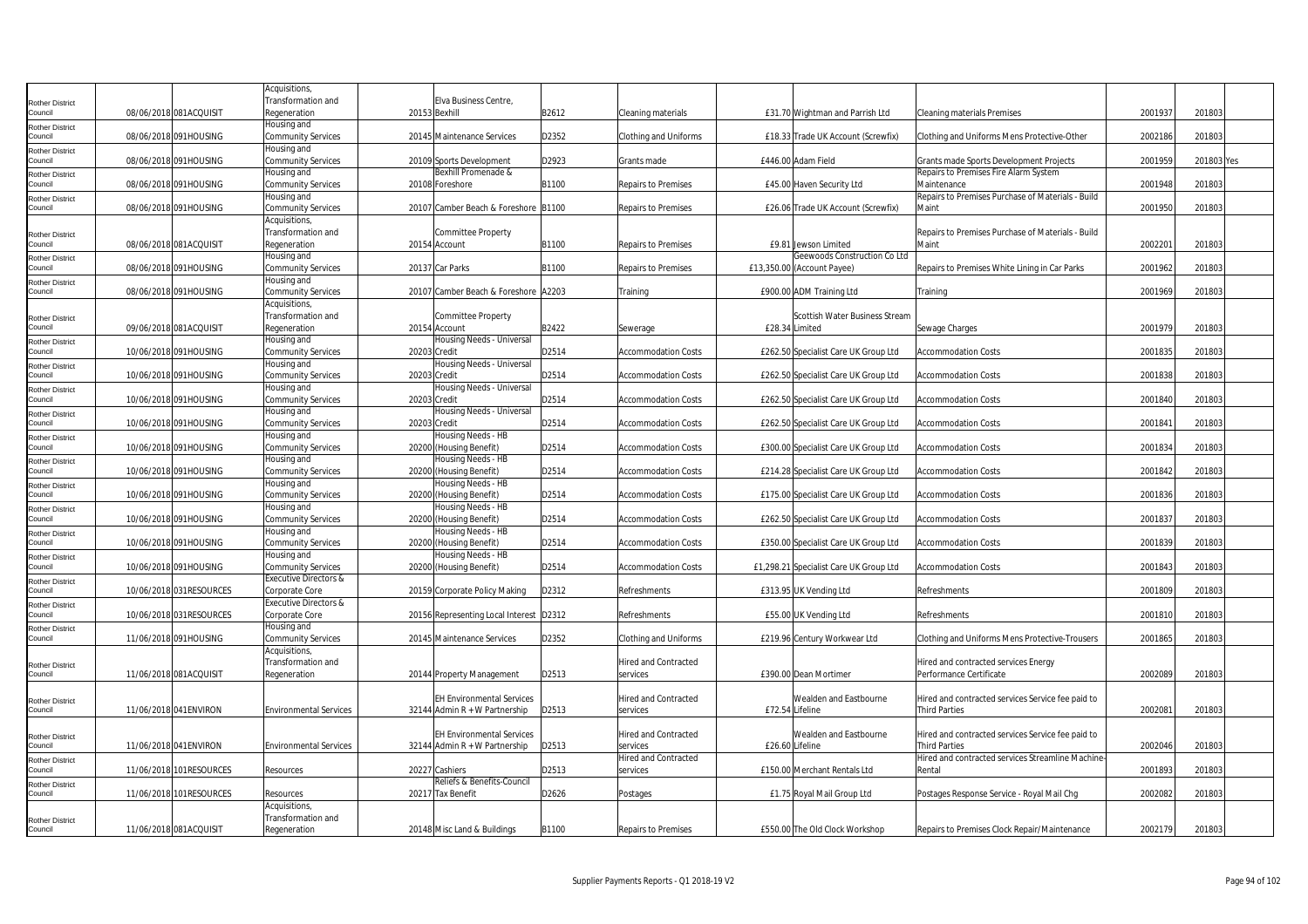|                                   |                          | Acquisitions,                                      |                                               |       |                             |                 |                                                      |                                                   |         |            |  |
|-----------------------------------|--------------------------|----------------------------------------------------|-----------------------------------------------|-------|-----------------------------|-----------------|------------------------------------------------------|---------------------------------------------------|---------|------------|--|
| <b>Rother District</b>            |                          | Transformation and                                 | Elva Business Centre,                         |       |                             |                 |                                                      |                                                   |         |            |  |
| Council                           | 08/06/2018 081ACQUISIT   | Regeneration                                       | 20153 Bexhill                                 | B2612 | Cleaning materials          |                 | £31.70 Wightman and Parrish Ltd                      | Cleaning materials Premises                       | 2001937 | 201803     |  |
| Rother District<br>Council        |                          | Housing and                                        |                                               |       |                             |                 |                                                      |                                                   |         |            |  |
|                                   | 08/06/2018 091HOUSING    | <b>Community Services</b><br>Housing and           | 20145 Maintenance Services                    | D2352 | Clothing and Uniforms       |                 | £18.33 Trade UK Account (Screwfix)                   | Clothing and Uniforms Mens Protective-Other       | 2002186 | 201803     |  |
| Rother District<br>council        | 08/06/2018 091HOUSING    | <b>Community Services</b>                          | 20109 Sports Development                      | D2923 | Grants made                 |                 | £446.00 Adam Field                                   | Grants made Sports Development Projects           | 2001959 | 201803 Yes |  |
| Rother District                   |                          | Housing and                                        | Bexhill Promenade &                           |       |                             |                 |                                                      | Repairs to Premises Fire Alarm System             |         |            |  |
| Council                           | 08/06/2018 091HOUSING    | <b>Community Services</b>                          | 20108 Foreshore                               | B1100 | <b>Repairs to Premises</b>  |                 | £45.00 Haven Security Ltd                            | Maintenance                                       | 2001948 | 201803     |  |
| <b>Rother District</b>            |                          | Housing and                                        |                                               |       |                             |                 |                                                      | Repairs to Premises Purchase of Materials - Build |         |            |  |
| council                           | 08/06/2018 091HOUSING    | <b>Community Services</b>                          | 20107 Camber Beach & Foreshore B1100          |       | Repairs to Premises         |                 | £26.06 Trade UK Account (Screwfix)                   | Maint                                             | 2001950 | 201803     |  |
|                                   |                          | Acquisitions,                                      |                                               |       |                             |                 |                                                      |                                                   |         |            |  |
| Rother District                   |                          | Transformation and                                 | Committee Property                            |       |                             |                 |                                                      | Repairs to Premises Purchase of Materials - Build |         |            |  |
| Council                           | 08/06/2018 081ACQUISIT   | Regeneration<br>Housing and                        | 20154 Account                                 | B1100 | Repairs to Premises         |                 | £9.81 Jewson Limited<br>Geewoods Construction Co Ltd | Maint                                             | 200220  | 201803     |  |
| Rother District<br>Council        | 08/06/2018 091HOUSING    | <b>Community Services</b>                          | 20137 Car Parks                               | B1100 | Repairs to Premises         |                 | £13,350.00 (Account Payee)                           | Repairs to Premises White Lining in Car Parks     | 2001962 | 201803     |  |
| Rother District                   |                          | Housing and                                        |                                               |       |                             |                 |                                                      |                                                   |         |            |  |
| council                           | 08/06/2018 091HOUSING    | <b>Community Services</b>                          | 20107 Camber Beach & Foreshore A2203          |       | Training                    |                 | £900.00 ADM Training Ltd                             | Training                                          | 2001969 | 201803     |  |
|                                   |                          | Acquisitions                                       |                                               |       |                             |                 |                                                      |                                                   |         |            |  |
| <b>Rother District</b>            |                          | Transformation and                                 | Committee Property                            |       |                             |                 | Scottish Water Business Stream                       |                                                   |         |            |  |
| council                           | 09/06/2018 081ACQUISIT   | Regeneration                                       | 20154 Account                                 | B2422 | Sewerage                    |                 | £28.34 Limited                                       | Sewage Charges                                    | 2001979 | 201803     |  |
| <b>Rother District</b>            |                          | Housing and                                        | Housing Needs - Universal                     |       |                             |                 |                                                      |                                                   |         |            |  |
| Council                           | 10/06/2018 091HOUSING    | <b>Community Services</b>                          | 20203 Credit                                  | D2514 | <b>Accommodation Costs</b>  |                 | £262.50 Specialist Care UK Group Ltd                 | <b>Accommodation Costs</b>                        | 2001835 | 201803     |  |
| Rother District<br>Council        | 10/06/2018 091HOUSING    | Housing and<br><b>Community Services</b>           | Housing Needs - Universal<br>20203 Credit     | D2514 | Accommodation Costs         |                 | £262.50 Specialist Care UK Group Ltd                 | <b>Accommodation Costs</b>                        | 2001838 | 201803     |  |
|                                   |                          | lousing and                                        | Housing Needs - Universal                     |       |                             |                 |                                                      |                                                   |         |            |  |
| Rother District<br>Council        | 10/06/2018 091HOUSING    | <b>Community Services</b>                          | 20203 Credit                                  | D2514 | Accommodation Costs         |                 | £262.50 Specialist Care UK Group Ltd                 | <b>Accommodation Costs</b>                        | 2001840 | 201803     |  |
| Rother District                   |                          | Housing and                                        | Housing Needs - Universal                     |       |                             |                 |                                                      |                                                   |         |            |  |
| council                           | 10/06/2018 091HOUSING    | <b>Community Services</b>                          | 20203 Credit                                  | D2514 | <b>Accommodation Costs</b>  |                 | £262.50 Specialist Care UK Group Ltd                 | <b>Accommodation Costs</b>                        | 2001841 | 201803     |  |
| Rother District                   |                          | Housing and                                        | Housing Needs - HB                            |       |                             |                 |                                                      |                                                   |         |            |  |
| Council                           | 10/06/2018 091HOUSING    | <b>Community Services</b>                          | 20200 (Housing Benefit)                       | D2514 | <b>Accommodation Costs</b>  |                 | £300.00 Specialist Care UK Group Ltd                 | <b>Accommodation Costs</b>                        | 2001834 | 201803     |  |
| <b>Rother District</b>            |                          | Housing and                                        | Housing Needs - HB                            |       |                             |                 |                                                      |                                                   |         |            |  |
| Council                           | 10/06/2018 091HOUSING    | <b>Community Services</b><br>Housing and           | 20200 (Housing Benefit)<br>Housing Needs - HB | D2514 | <b>Accommodation Costs</b>  |                 | £214.28 Specialist Care UK Group Ltd                 | Accommodation Costs                               | 2001842 | 201803     |  |
| Rother District<br>Council        | 10/06/2018 091HOUSING    | <b>Community Services</b>                          | 20200 (Housing Benefit)                       | D2514 | <b>Accommodation Costs</b>  |                 | £175.00 Specialist Care UK Group Ltd                 | <b>Accommodation Costs</b>                        | 2001836 | 201803     |  |
| Rother District                   |                          | Housing and                                        | Housing Needs - HB                            |       |                             |                 |                                                      |                                                   |         |            |  |
| Council                           | 10/06/2018 091HOUSING    | <b>Community Services</b>                          | 20200 (Housing Benefit)                       | D2514 | <b>Accommodation Costs</b>  |                 | £262.50 Specialist Care UK Group Ltd                 | <b>Accommodation Costs</b>                        | 2001837 | 201803     |  |
| Rother District                   |                          | Housing and                                        | Housing Needs - HB                            |       |                             |                 |                                                      |                                                   |         |            |  |
| Council                           | 10/06/2018 091HOUSING    | <b>Community Services</b>                          | 20200 (Housing Benefit)                       | D2514 | Accommodation Costs         |                 | £350.00 Specialist Care UK Group Ltd                 | <b>Accommodation Costs</b>                        | 2001839 | 201803     |  |
| Rother District                   |                          | Housing and                                        | Housing Needs - HB                            |       |                             |                 |                                                      |                                                   |         |            |  |
| Council                           | 10/06/2018 091HOUSING    | <b>Community Services</b>                          | 20200 (Housing Benefit)                       | D2514 | <b>Accommodation Costs</b>  |                 | £1,298.21 Specialist Care UK Group Ltd               | Accommodation Costs                               | 2001843 | 201803     |  |
| Rother District<br>council        | 10/06/2018 031RESOURCES  | <b>Executive Directors &amp;</b><br>Corporate Core | 20159 Corporate Policy Making                 | D2312 | Refreshments                |                 | £313.95 UK Vending Ltd                               | Refreshments                                      | 2001809 | 201803     |  |
|                                   |                          | <b>Executive Directors &amp;</b>                   |                                               |       |                             |                 |                                                      |                                                   |         |            |  |
| <b>Rother District</b><br>Council | 10/06/2018 031RESOURCES  | Corporate Core                                     | 20156 Representing Local Interest D2312       |       | Refreshments                |                 | £55.00 UK Vending Ltd                                | <b>Refreshments</b>                               | 2001810 | 201803     |  |
| Rother District                   |                          | Housing and                                        |                                               |       |                             |                 |                                                      |                                                   |         |            |  |
| Council                           | 11/06/2018 091HOUSING    | Community Services                                 | 20145 Maintenance Services                    | D2352 | Clothing and Uniforms       |                 | £219.96 Century Workwear Ltd                         | Clothing and Uniforms Mens Protective-Trousers    | 2001865 | 201803     |  |
|                                   |                          | Acquisitions,                                      |                                               |       |                             |                 |                                                      |                                                   |         |            |  |
| <b>Rother District</b>            |                          | Transformation and                                 |                                               |       | Hired and Contracted        |                 |                                                      | Hired and contracted services Energy              |         |            |  |
| Council                           | 11/06/2018 081ACQUISIT   | Regeneration                                       | 20144 Property Management                     | D2513 | services                    |                 | £390.00 Dean Mortimer                                | Performance Certificate                           | 2002089 | 201803     |  |
|                                   |                          |                                                    | <b>EH Environmental Services</b>              |       | Hired and Contracted        |                 | Wealden and Eastbourne                               | Hired and contracted services Service fee paid to |         |            |  |
| <b>Rother District</b><br>Council | 11/06/2018 041 ENVIRON   | <b>Environmental Services</b>                      | 32144 Admin $R + W$ Partnership               | D2513 | services                    | £72.54 Lifeline |                                                      | <b>Third Parties</b>                              | 200208  | 201803     |  |
|                                   |                          |                                                    |                                               |       |                             |                 |                                                      |                                                   |         |            |  |
| Rother District                   |                          |                                                    | <b>EH Environmental Services</b>              |       | Hired and Contracted        |                 | Wealden and Eastbourne                               | Hired and contracted services Service fee paid to |         |            |  |
| Council                           | 11/06/2018 041 ENVIRON   | <b>Environmental Services</b>                      | 32144 Admin R + W Partnership                 | D2513 | services                    | £26.60 Lifeline |                                                      | <b>Third Parties</b>                              | 2002046 | 201803     |  |
| Rother District                   |                          |                                                    |                                               |       | <b>Hired and Contracted</b> |                 |                                                      | Hired and contracted services Streamline Machine- |         |            |  |
| Council                           | 11/06/2018 101 RESOURCES | Resources                                          | 20227 Cashiers                                | D2513 | services                    |                 | £150.00 Merchant Rentals Ltd                         | Rental                                            | 2001893 | 201803     |  |
| Rother District                   |                          |                                                    | Reliefs & Benefits-Council                    |       |                             |                 |                                                      |                                                   |         |            |  |
| Council                           | 11/06/2018 101RESOURCES  | Resources                                          | 20217 Tax Benefit                             | D2626 | Postages                    |                 | £1.75 Royal Mail Group Ltd                           | Postages Response Service - Royal Mail Chg        | 2002082 | 201803     |  |
|                                   |                          | Acquisitions,<br>Transformation and                |                                               |       |                             |                 |                                                      |                                                   |         |            |  |
| Rother District<br>Council        | 11/06/2018 081ACQUISIT   | Regeneration                                       | 20148 Misc Land & Buildings                   | B1100 | <b>Repairs to Premises</b>  |                 | £550.00 The Old Clock Workshop                       | Repairs to Premises Clock Repair/Maintenance      | 2002179 | 201803     |  |
|                                   |                          |                                                    |                                               |       |                             |                 |                                                      |                                                   |         |            |  |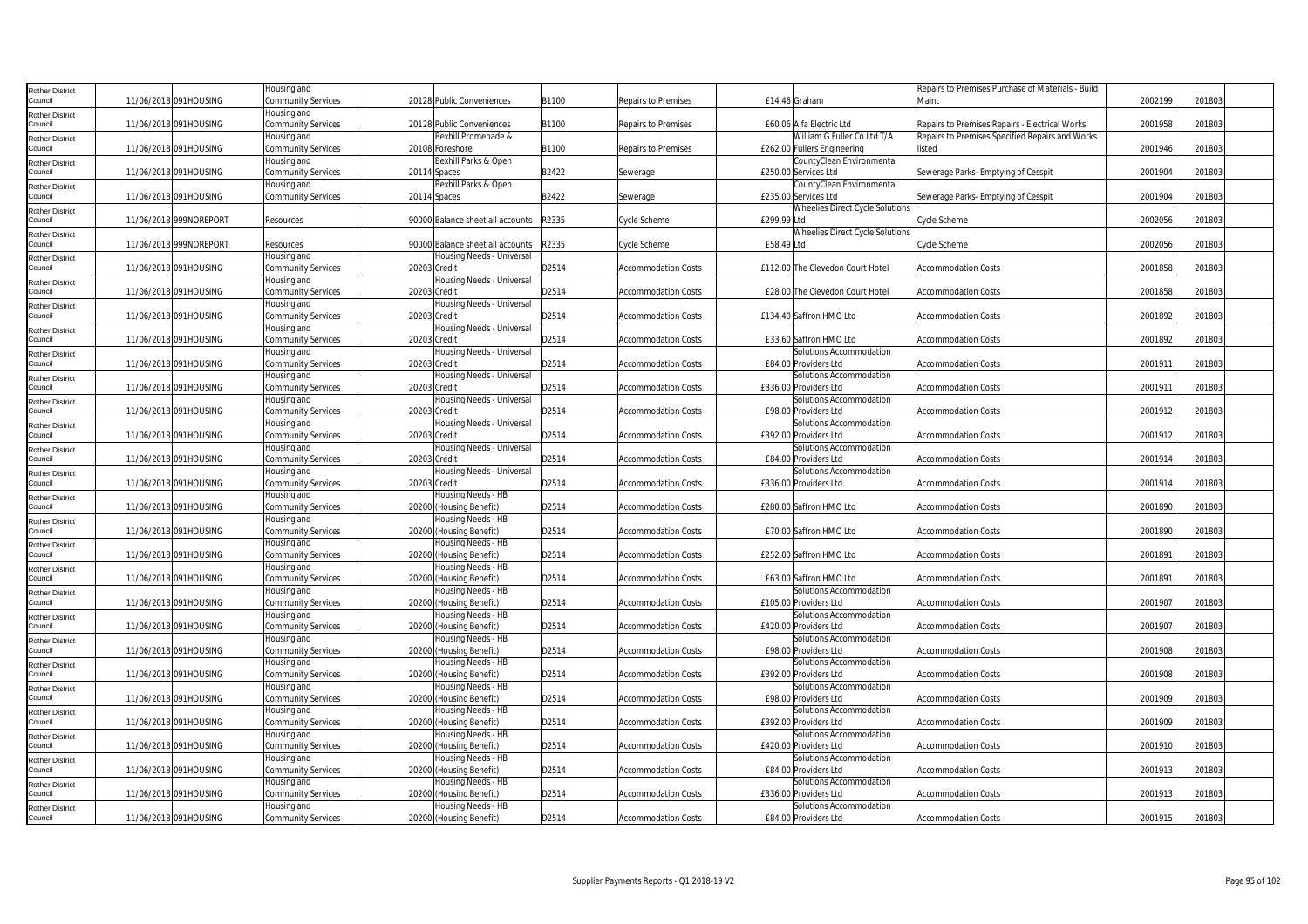| Rother District                   |                        | Housing and               |                                  |       |                            |                                  | Repairs to Premises Purchase of Materials - Build |         |        |  |
|-----------------------------------|------------------------|---------------------------|----------------------------------|-------|----------------------------|----------------------------------|---------------------------------------------------|---------|--------|--|
| Council                           | 11/06/2018 091HOUSING  | Community Services        | 20128 Public Conveniences        | B1100 | <b>Repairs to Premises</b> | £14.46 Graham                    | Maint                                             | 2002199 | 201803 |  |
| Rother District                   |                        | Housing and               |                                  |       |                            |                                  |                                                   |         |        |  |
| Council                           | 11/06/2018 091HOUSING  | <b>Community Services</b> | 20128 Public Conveniences        | B1100 | Repairs to Premises        | £60.06 Alfa Electric Ltd         | Repairs to Premises Repairs - Electrical Works    | 2001958 | 201803 |  |
| <b>Rother District</b>            |                        | Housing and               | Bexhill Promenade &              |       |                            | William G Fuller Co Ltd T/A      | Repairs to Premises Specified Repairs and Works   |         |        |  |
| Council                           | 11/06/2018 091HOUSING  | <b>Community Services</b> | 20108 Foreshore                  | B1100 | Repairs to Premises        | £262.00 Fullers Engineering      | listed                                            | 2001946 | 201803 |  |
| Rother District                   |                        | Housing and               | Bexhill Parks & Open             |       |                            | CountyClean Environmental        |                                                   |         |        |  |
| Council                           | 11/06/2018 091HOUSING  | <b>Community Services</b> | 20114 Spaces                     | B2422 | Sewerage                   | £250.00 Services Ltd             | Sewerage Parks- Emptying of Cesspit               | 2001904 | 201803 |  |
|                                   |                        | Housing and               | Bexhill Parks & Open             |       |                            | CountyClean Environmental        |                                                   |         |        |  |
| Rother District<br>Council        | 11/06/2018 091HOUSING  | <b>Community Services</b> | 20114 Spaces                     | B2422 | Sewerage                   | £235.00 Services Ltd             | Sewerage Parks- Emptying of Cesspit               | 2001904 | 201803 |  |
|                                   |                        |                           |                                  |       |                            | Wheelies Direct Cycle Solutions  |                                                   |         |        |  |
| Rother District<br>Council        | 11/06/2018 999NOREPORT | Resources                 | 90000 Balance sheet all accounts | R2335 | Cycle Scheme               | £299.99 Ltd                      | Cycle Scheme                                      | 2002056 | 201803 |  |
|                                   |                        |                           |                                  |       |                            | Wheelies Direct Cycle Solutions  |                                                   |         |        |  |
| Rother District<br>ouncil         | 11/06/2018 999NOREPORT | Resources                 | 90000 Balance sheet all accounts | R2335 | Cycle Scheme               | £58.49 Ltd                       | Cycle Scheme                                      | 2002056 | 201803 |  |
|                                   |                        |                           |                                  |       |                            |                                  |                                                   |         |        |  |
| <b>Rother District</b>            |                        | Housing and               | Housing Needs - Universal        |       |                            |                                  | <b>Accommodation Costs</b>                        |         |        |  |
| Council                           | 11/06/2018 091HOUSING  | <b>Community Services</b> | 20203 Credit                     | D2514 | <b>Accommodation Costs</b> | £112.00 The Clevedon Court Hotel |                                                   | 2001858 | 201803 |  |
| Rother District                   |                        | Housing and               | Housing Needs - Universal        |       |                            |                                  |                                                   |         |        |  |
| Council                           | 11/06/2018 091HOUSING  | <b>Community Services</b> | 20203 Credit                     | D2514 | <b>Accommodation Costs</b> | £28.00 The Clevedon Court Hotel  | <b>Accommodation Costs</b>                        | 2001858 | 201803 |  |
| Rother District                   |                        | lousing and               | Housing Needs - Universal        |       |                            |                                  |                                                   |         |        |  |
| Council                           | 11/06/2018 091HOUSING  | <b>Community Services</b> | 20203 Credit                     | D2514 | <b>Accommodation Costs</b> | £134.40 Saffron HMO Ltd          | <b>Accommodation Costs</b>                        | 2001892 | 201803 |  |
| <b>Rother District</b>            |                        | Housing and               | Housing Needs - Universal        |       |                            |                                  |                                                   |         |        |  |
| Council                           | 11/06/2018 091HOUSING  | Community Services        | 20203 Credit                     | D2514 | <b>Accommodation Costs</b> | £33.60 Saffron HMO Ltd           | <b>Accommodation Costs</b>                        | 2001892 | 201803 |  |
| <b>Rother District</b>            |                        | Housing and               | Housing Needs - Universal        |       |                            | Solutions Accommodation          |                                                   |         |        |  |
| ouncil                            | 11/06/2018 091HOUSING  | <b>Community Services</b> | 20203 Credit                     | D2514 | <b>Accommodation Costs</b> | £84.00 Providers Ltd             | <b>Accommodation Costs</b>                        | 200191  | 201803 |  |
| <b>Rother District</b>            |                        | Housing and               | Housing Needs - Universal        |       |                            | Solutions Accommodation          |                                                   |         |        |  |
| Council                           | 11/06/2018 091HOUSING  | <b>Community Services</b> | 20203 Credit                     | D2514 | <b>Accommodation Costs</b> | £336.00 Providers Ltd            | <b>Accommodation Costs</b>                        | 2001911 | 201803 |  |
| Rother District                   |                        | Housing and               | Housing Needs - Universal        |       |                            | Solutions Accommodation          |                                                   |         |        |  |
| Council                           | 11/06/2018 091HOUSING  | Community Services        | 20203 Credit                     | D2514 | <b>Accommodation Costs</b> | £98.00 Providers Ltd             | <b>Accommodation Costs</b>                        | 2001912 | 201803 |  |
| Rother District                   |                        | Housing and               | Housing Needs - Universal        |       |                            | Solutions Accommodation          |                                                   |         |        |  |
| Council                           | 11/06/2018 091HOUSING  | <b>Community Services</b> | 20203 Credit                     | D2514 | <b>Accommodation Costs</b> | £392.00 Providers Ltd            | Accommodation Costs                               | 2001912 | 201803 |  |
| Rother District                   |                        | Housing and               | lousing Needs - Universal        |       |                            | Solutions Accommodation          |                                                   |         |        |  |
| Council                           | 11/06/2018 091HOUSING  | <b>Community Services</b> | 20203 Credit                     | D2514 | <b>Accommodation Costs</b> | £84.00 Providers Ltd             | <b>Accommodation Costs</b>                        | 2001914 | 201803 |  |
| <b>Rother District</b>            |                        | Housing and               | Housing Needs - Universal        |       |                            | Solutions Accommodation          |                                                   |         |        |  |
| Council                           | 11/06/2018 091HOUSING  | <b>Community Services</b> | 20203 Credit                     | D2514 | <b>Accommodation Costs</b> | £336.00 Providers Ltd            | <b>Accommodation Costs</b>                        | 200191  | 201803 |  |
| <b>Rother District</b>            |                        | Housing and               | Housing Needs - HB               |       |                            |                                  |                                                   |         |        |  |
| Council                           | 11/06/2018 091HOUSING  | <b>Community Services</b> | 20200 (Housing Benefit)          | D2514 | <b>Accommodation Costs</b> | £280.00 Saffron HMO Ltd          | <b>Accommodation Costs</b>                        | 2001890 | 201803 |  |
| Rother District                   |                        | lousing and               | Housing Needs - HB               |       |                            |                                  |                                                   |         |        |  |
| Council                           | 11/06/2018 091HOUSING  | <b>Community Services</b> | 20200 (Housing Benefit)          | D2514 | <b>Accommodation Costs</b> | £70.00 Saffron HMO Ltd           | <b>Accommodation Costs</b>                        | 2001890 | 201803 |  |
| Rother District                   |                        | Housing and               | Housing Needs - HB               |       |                            |                                  |                                                   |         |        |  |
| Council                           | 11/06/2018 091HOUSING  | Community Services        | 20200 (Housing Benefit)          | D2514 | <b>Accommodation Costs</b> | £252.00 Saffron HMO Ltd          | Accommodation Costs                               | 2001891 | 201803 |  |
| Rother District                   |                        | Housing and               | lousing Needs - HB               |       |                            |                                  |                                                   |         |        |  |
| Council                           | 11/06/2018 091HOUSING  | Community Services        | 20200 (Housing Benefit)          | D2514 | <b>Accommodation Costs</b> | £63.00 Saffron HMO Ltd           | <b>Accommodation Costs</b>                        | 2001891 | 201803 |  |
| Rother District                   |                        | Housing and               | lousing Needs - HB               |       |                            | Solutions Accommodation          |                                                   |         |        |  |
| ouncil                            | 11/06/2018 091HOUSING  | <b>Community Services</b> | 20200 (Housing Benefit)          | D2514 | <b>Accommodation Costs</b> | £105.00 Providers Ltd            | <b>Accommodation Costs</b>                        | 2001907 | 201803 |  |
| Rother District                   |                        | Housing and               | Housing Needs - HB               |       |                            | Solutions Accommodation          |                                                   |         |        |  |
| Council                           | 11/06/2018 091HOUSING  | <b>Community Services</b> | 20200 (Housing Benefit)          | D2514 | <b>Accommodation Costs</b> | £420.00 Providers Ltd            | <b>Accommodation Costs</b>                        | 2001907 | 201803 |  |
| Rother District                   |                        | Housing and               | Housing Needs - HB               |       |                            | Solutions Accommodation          |                                                   |         |        |  |
| Council                           | 11/06/2018 091HOUSING  | <b>Community Services</b> | 20200 (Housing Benefit)          | D2514 | <b>Accommodation Costs</b> | £98.00 Providers Ltd             | <b>Accommodation Costs</b>                        | 2001908 | 201803 |  |
| Rother District                   |                        | lousing and               | Housing Needs - HB               |       |                            | Solutions Accommodation          |                                                   |         |        |  |
| Council                           | 11/06/2018 091HOUSING  | Community Services        | 20200 (Housing Benefit)          | D2514 | <b>Accommodation Costs</b> | £392.00 Providers Ltd            | <b>Accommodation Costs</b>                        | 2001908 | 201803 |  |
| Rother District                   |                        | Housing and               | Housing Needs - HB               |       |                            | Solutions Accommodation          |                                                   |         |        |  |
| Council                           | 11/06/2018 091HOUSING  | Community Services        | 20200 (Housing Benefit)          | D2514 | <b>Accommodation Costs</b> | £98.00 Providers Ltd             | <b>Accommodation Costs</b>                        | 2001909 | 201803 |  |
|                                   |                        | Housing and               | Housing Needs - HB               |       |                            | Solutions Accommodation          |                                                   |         |        |  |
| <b>Rother District</b><br>ouncil  | 11/06/2018 091HOUSING  | <b>Community Services</b> | 20200 (Housing Benefit)          | D2514 | <b>Accommodation Costs</b> | £392.00 Providers Ltd            | <b>Accommodation Costs</b>                        | 2001909 | 201803 |  |
|                                   |                        | Housing and               | Housing Needs - HB               |       |                            | Solutions Accommodation          |                                                   |         |        |  |
| <b>Rother District</b><br>Council | 11/06/2018 091HOUSING  | <b>Community Services</b> | 20200 (Housing Benefit)          | D2514 | <b>Accommodation Costs</b> | £420.00 Providers Ltd            | <b>Accommodation Costs</b>                        | 2001910 | 201803 |  |
|                                   |                        | Housing and               | Housing Needs - HB               |       |                            | Solutions Accommodation          |                                                   |         |        |  |
| Rother District                   | 11/06/2018 091HOUSING  |                           |                                  | D2514 | <b>Accommodation Costs</b> | £84.00 Providers Ltd             | <b>Accommodation Costs</b>                        | 2001913 | 201803 |  |
| Council                           |                        | Community Services        | 20200 (Housing Benefit)          |       |                            |                                  |                                                   |         |        |  |
| Rother District                   |                        | Housing and               | Housing Needs - HB               |       |                            | Solutions Accommodation          |                                                   | 2001913 | 201803 |  |
| Council                           | 11/06/2018 091HOUSING  | <b>Community Services</b> | 20200 (Housing Benefit)          | D2514 | <b>Accommodation Costs</b> | £336.00 Providers Ltd            | <b>Accommodation Costs</b>                        |         |        |  |
| Rother District                   |                        | Housing and               | Housing Needs - HB               |       |                            | Solutions Accommodation          |                                                   |         |        |  |
| Council                           | 11/06/2018 091HOUSING  | <b>Community Services</b> | 20200 (Housing Benefit)          | D2514 | <b>Accommodation Costs</b> | £84.00 Providers Ltd             | <b>Accommodation Costs</b>                        | 2001915 | 201803 |  |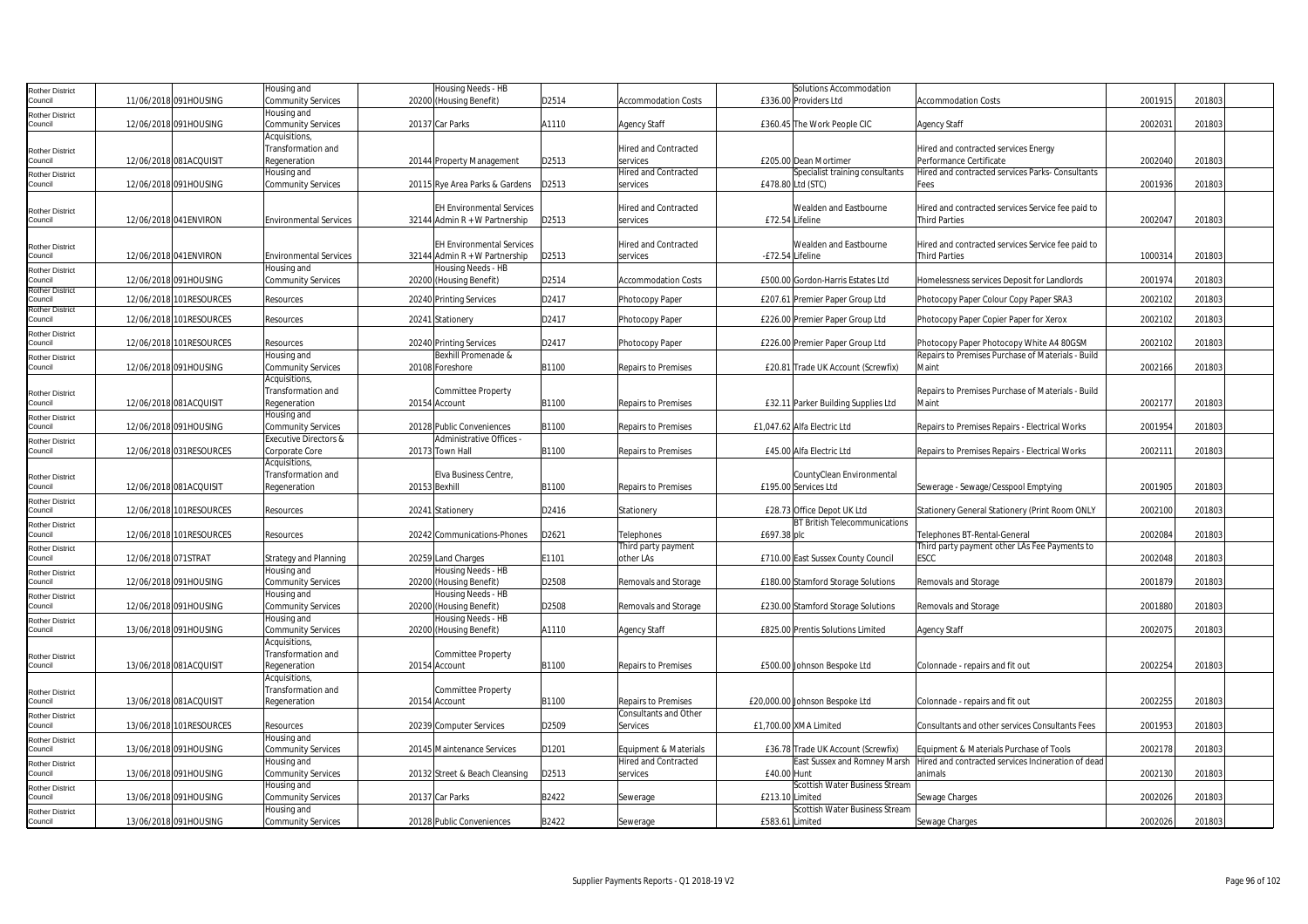| <b>Rother District</b>            |                     |                          | Housing and                      | Housing Needs - HB               |       |                             |                  | Solutions Accommodation              |                                                    |         |        |  |
|-----------------------------------|---------------------|--------------------------|----------------------------------|----------------------------------|-------|-----------------------------|------------------|--------------------------------------|----------------------------------------------------|---------|--------|--|
| Council                           |                     | 11/06/2018 091HOUSING    | <b>Community Services</b>        | 20200 (Housing Benefit)          | D2514 | <b>Accommodation Costs</b>  |                  | £336.00 Providers Ltd                | <b>Accommodation Costs</b>                         | 2001915 | 201803 |  |
| <b>Rother District</b>            |                     |                          | Housing and                      |                                  |       |                             |                  |                                      |                                                    |         |        |  |
| Council                           |                     | 12/06/2018 091HOUSING    | <b>Community Services</b>        | 20137 Car Parks                  | A1110 | <b>Agency Staff</b>         |                  | £360.45 The Work People CIC          | <b>Agency Staff</b>                                | 200203  | 201803 |  |
|                                   |                     |                          | Acquisitions,                    |                                  |       |                             |                  |                                      |                                                    |         |        |  |
| <b>Rother District</b>            |                     |                          | Transformation and               |                                  |       | Hired and Contracted        |                  |                                      | Hired and contracted services Energy               |         |        |  |
| Council                           |                     | 12/06/2018 081ACQUISIT   | Regeneration                     | 20144 Property Management        | D2513 | services                    |                  | £205.00 Dean Mortimer                | Performance Certificate                            | 2002040 | 201803 |  |
| <b>Rother District</b>            |                     |                          | Housing and                      |                                  |       | <b>Hired and Contracted</b> |                  | Specialist training consultants      | Hired and contracted services Parks- Consultants   |         |        |  |
| Council                           |                     | 12/06/2018 091HOUSING    | <b>Community Services</b>        | 20115 Rye Area Parks & Gardens   | D2513 | services                    |                  | £478.80 Ltd (STC)                    | Fees                                               | 200193  | 20180  |  |
|                                   |                     |                          |                                  |                                  |       |                             |                  |                                      |                                                    |         |        |  |
| <b>Rother District</b>            |                     |                          |                                  | <b>EH Environmental Services</b> |       | <b>Hired and Contracted</b> |                  | Wealden and Eastbourne               | Hired and contracted services Service fee paid to  |         |        |  |
| Council                           |                     | 12/06/2018 041 ENVIRON   | <b>Environmental Services</b>    | 32144 Admin $R + W$ Partnership  | D2513 | services                    |                  | £72.54 Lifeline                      | Third Parties                                      | 2002047 | 201803 |  |
|                                   |                     |                          |                                  |                                  |       |                             |                  |                                      |                                                    |         |        |  |
|                                   |                     |                          |                                  | <b>EH Environmental Services</b> |       | Hired and Contracted        |                  | Wealden and Eastbourne               | Hired and contracted services Service fee paid to  |         |        |  |
| <b>Rother District</b><br>Council |                     | 12/06/2018 041 ENVIRON   | <b>Environmental Services</b>    | 32144 Admin R + W Partnership    | D2513 | services                    | -£72.54 Lifeline |                                      | <b>Third Parties</b>                               | 1000314 | 201803 |  |
|                                   |                     |                          | Housing and                      | Housing Needs - HB               |       |                             |                  |                                      |                                                    |         |        |  |
| <b>Rother District</b><br>Council |                     | 12/06/2018 091HOUSING    | Community Services               | 20200 (Housing Benefit)          | D2514 | <b>Accommodation Costs</b>  |                  | £500.00 Gordon-Harris Estates Ltd    | Homelessness services Deposit for Landlords        | 2001974 | 201803 |  |
| <b>Rother District</b>            |                     |                          |                                  |                                  |       |                             |                  |                                      |                                                    |         |        |  |
| Council                           |                     | 12/06/2018 101RESOURCES  | Resources                        | 20240 Printing Services          | D2417 | Photocopy Paper             |                  | £207.61 Premier Paper Group Ltd      | Photocopy Paper Colour Copy Paper SRA3             | 2002102 | 201803 |  |
| <b>Rother District</b>            |                     |                          |                                  |                                  |       |                             |                  |                                      |                                                    |         |        |  |
| Council                           |                     | 12/06/2018 101RESOURCES  | Resources                        | 20241 Stationery                 | D2417 | Photocopy Paper             |                  | £226.00 Premier Paper Group Ltd      | Photocopy Paper Copier Paper for Xerox             | 2002102 | 201803 |  |
| <b>Rother District</b>            |                     |                          |                                  |                                  |       |                             |                  |                                      |                                                    |         |        |  |
| Council                           |                     | 12/06/2018 101RESOURCES  | Resources                        | 20240 Printing Services          | D2417 | Photocopy Paper             |                  | £226.00 Premier Paper Group Ltd      | Photocopy Paper Photocopy White A4 80GSM           | 200210  | 201803 |  |
| <b>Rother District</b>            |                     |                          | Housing and                      | Bexhill Promenade &              |       |                             |                  |                                      | Repairs to Premises Purchase of Materials - Build  |         |        |  |
| Council                           |                     | 12/06/2018 091HOUSING    | Community Services               | 20108 Foreshore                  | B1100 | Repairs to Premises         |                  | £20.81 Trade UK Account (Screwfix)   | Maint                                              | 2002166 | 201803 |  |
|                                   |                     |                          | Acquisitions,                    |                                  |       |                             |                  |                                      |                                                    |         |        |  |
| <b>Rother District</b>            |                     |                          | Transformation and               | Committee Property               |       |                             |                  |                                      | Repairs to Premises Purchase of Materials - Build  |         |        |  |
| Council                           |                     | 12/06/2018 081ACQUISIT   | Regeneration                     | 20154 Account                    | B1100 | Repairs to Premises         |                  | £32.11 Parker Building Supplies Ltd  | Maint                                              | 200217  | 201803 |  |
| <b>Rother District</b>            |                     |                          | Housing and                      |                                  |       |                             |                  |                                      |                                                    |         |        |  |
| Council                           |                     | 12/06/2018 091HOUSING    | Community Services               | 20128 Public Conveniences        | B1100 | Repairs to Premises         |                  | £1,047.62 Alfa Electric Ltd          | Repairs to Premises Repairs - Electrical Works     | 2001954 | 201803 |  |
| <b>Rother District</b>            |                     |                          | <b>Executive Directors &amp;</b> | Administrative Offices           |       |                             |                  |                                      |                                                    |         |        |  |
| Council                           |                     | 12/06/2018 031 RESOURCES | Corporate Core                   | 20173 Town Hall                  | B1100 | Repairs to Premises         |                  | £45.00 Alfa Electric Ltd             | Repairs to Premises Repairs - Electrical Works     | 2002111 | 201803 |  |
|                                   |                     |                          | Acquisitions,                    |                                  |       |                             |                  |                                      |                                                    |         |        |  |
| <b>Rother District</b>            |                     |                          | Transformation and               | Elva Business Centre             |       |                             |                  | CountyClean Environmental            |                                                    |         |        |  |
| Council                           |                     | 12/06/2018 081ACQUISIT   | Regeneration                     | 20153 Bexhill                    | B1100 | Repairs to Premises         |                  | £195.00 Services Ltd                 | Sewerage - Sewage/Cesspool Emptying                | 2001905 | 201803 |  |
| <b>Rother District</b>            |                     |                          |                                  |                                  |       |                             |                  |                                      |                                                    |         |        |  |
| Council                           |                     | 12/06/2018 101RESOURCES  | Resources                        | 20241 Stationery                 | D2416 | Stationery                  |                  | £28.73 Office Depot UK Ltd           | Stationery General Stationery (Print Room ONLY     | 2002100 | 201803 |  |
| <b>Rother District</b>            |                     |                          |                                  |                                  |       |                             |                  | <b>BT British Telecommunications</b> |                                                    |         |        |  |
| Council                           |                     | 12/06/2018 101RESOURCES  | Resources                        | 20242 Communications-Phones      | D2621 | Telephones                  | £697.38 plc      |                                      | Telephones BT-Rental-General                       | 2002084 | 201803 |  |
| <b>Rother District</b>            |                     |                          |                                  |                                  |       | Third party payment         |                  |                                      | Third party payment other LAs Fee Payments to      |         |        |  |
| Council                           | 12/06/2018 071STRAT |                          | <b>Strategy and Planning</b>     | 20259 Land Charges               | E1101 | other LAs                   |                  | £710.00 East Sussex County Council   | ESCC                                               | 2002048 | 201803 |  |
| <b>Rother District</b>            |                     |                          | Housing and                      | Housing Needs - HB               |       |                             |                  |                                      |                                                    |         |        |  |
| Council                           |                     | 12/06/2018 091HOUSING    | Community Services               | 20200 (Housing Benefit)          | D2508 | Removals and Storage        |                  | £180.00 Stamford Storage Solutions   | Removals and Storage                               | 2001879 | 201803 |  |
| <b>Rother District</b>            |                     |                          | Housing and                      | Housing Needs - HB               |       |                             |                  |                                      |                                                    |         |        |  |
| Council                           |                     | 12/06/2018 091HOUSING    | <b>Community Services</b>        | 20200 (Housing Benefit)          | D2508 | Removals and Storage        |                  | £230.00 Stamford Storage Solutions   | Removals and Storage                               | 2001880 | 201803 |  |
| <b>Rother District</b>            |                     |                          | Housing and                      | Housing Needs - HB               |       |                             |                  |                                      |                                                    |         |        |  |
| Council                           |                     | 13/06/2018 091HOUSING    | <b>Community Services</b>        | 20200 (Housing Benefit)          | A1110 | <b>Agency Staff</b>         |                  | £825.00 Prentis Solutions Limited    | <b>Agency Staff</b>                                | 2002075 | 201803 |  |
|                                   |                     |                          | Acquisitions,                    |                                  |       |                             |                  |                                      |                                                    |         |        |  |
| <b>Rother District</b>            |                     |                          | Transformation and               | <b>Committee Property</b>        |       |                             |                  |                                      |                                                    |         |        |  |
| Council                           |                     | 13/06/2018 081ACQUISIT   | Regeneration                     | 20154 Account                    | B1100 | Repairs to Premises         |                  | £500.00 Johnson Bespoke Ltd          | Colonnade - repairs and fit out                    | 2002254 | 201803 |  |
|                                   |                     |                          | Acquisitions,                    |                                  |       |                             |                  |                                      |                                                    |         |        |  |
| <b>Rother District</b>            |                     |                          | Transformation and               | Committee Property               |       |                             |                  |                                      |                                                    |         |        |  |
| Council                           |                     | 13/06/2018 081ACQUISIT   | Regeneration                     | 20154 Account                    | B1100 | Repairs to Premises         |                  | £20,000.00 Johnson Bespoke Ltd       | Colonnade - repairs and fit out                    | 2002255 | 201803 |  |
| <b>Rother District</b>            |                     |                          |                                  |                                  |       | Consultants and Other       |                  |                                      |                                                    |         |        |  |
| Council                           |                     | 13/06/2018 101 RESOURCES | Resources                        | 20239 Computer Services          | D2509 | Services                    |                  | £1.700.00 XMA Limited                | Consultants and other services Consultants Fees    | 2001953 | 201803 |  |
| <b>Rother District</b>            |                     |                          | Housing and                      |                                  |       |                             |                  |                                      |                                                    |         |        |  |
| Council                           |                     | 13/06/2018 091HOUSING    | <b>Community Services</b>        | 20145 Maintenance Services       | D1201 | Equipment & Materials       |                  | £36.78 Trade UK Account (Screwfix)   | Equipment & Materials Purchase of Tools            | 2002178 | 201803 |  |
| <b>Rother District</b>            |                     |                          | Housing and                      |                                  |       | <b>Hired and Contracted</b> |                  | East Sussex and Romney Marsh         | Hired and contracted services Incineration of dead |         |        |  |
| Council                           |                     | 13/06/2018 091HOUSING    | <b>Community Services</b>        | 20132 Street & Beach Cleansing   | D2513 | services                    | £40.00 Hunt      |                                      | animals                                            | 2002130 | 201803 |  |
| <b>Rother District</b>            |                     |                          | Housing and                      |                                  |       |                             |                  | Scottish Water Business Stream       |                                                    |         |        |  |
| Council                           |                     | 13/06/2018 091HOUSING    | <b>Community Services</b>        | 20137 Car Parks                  | B2422 | Sewerage                    | £213.10 Limited  |                                      | Sewage Charges                                     | 2002026 | 201803 |  |
| <b>Rother District</b>            |                     |                          | Housing and                      |                                  |       |                             |                  | Scottish Water Business Stream       |                                                    |         |        |  |
| Council                           |                     | 13/06/2018 091HOUSING    | <b>Community Services</b>        | 20128 Public Conveniences        | B2422 | Sewerage                    | £583.61 Limited  |                                      | Sewage Charges                                     | 2002026 | 201803 |  |
|                                   |                     |                          |                                  |                                  |       |                             |                  |                                      |                                                    |         |        |  |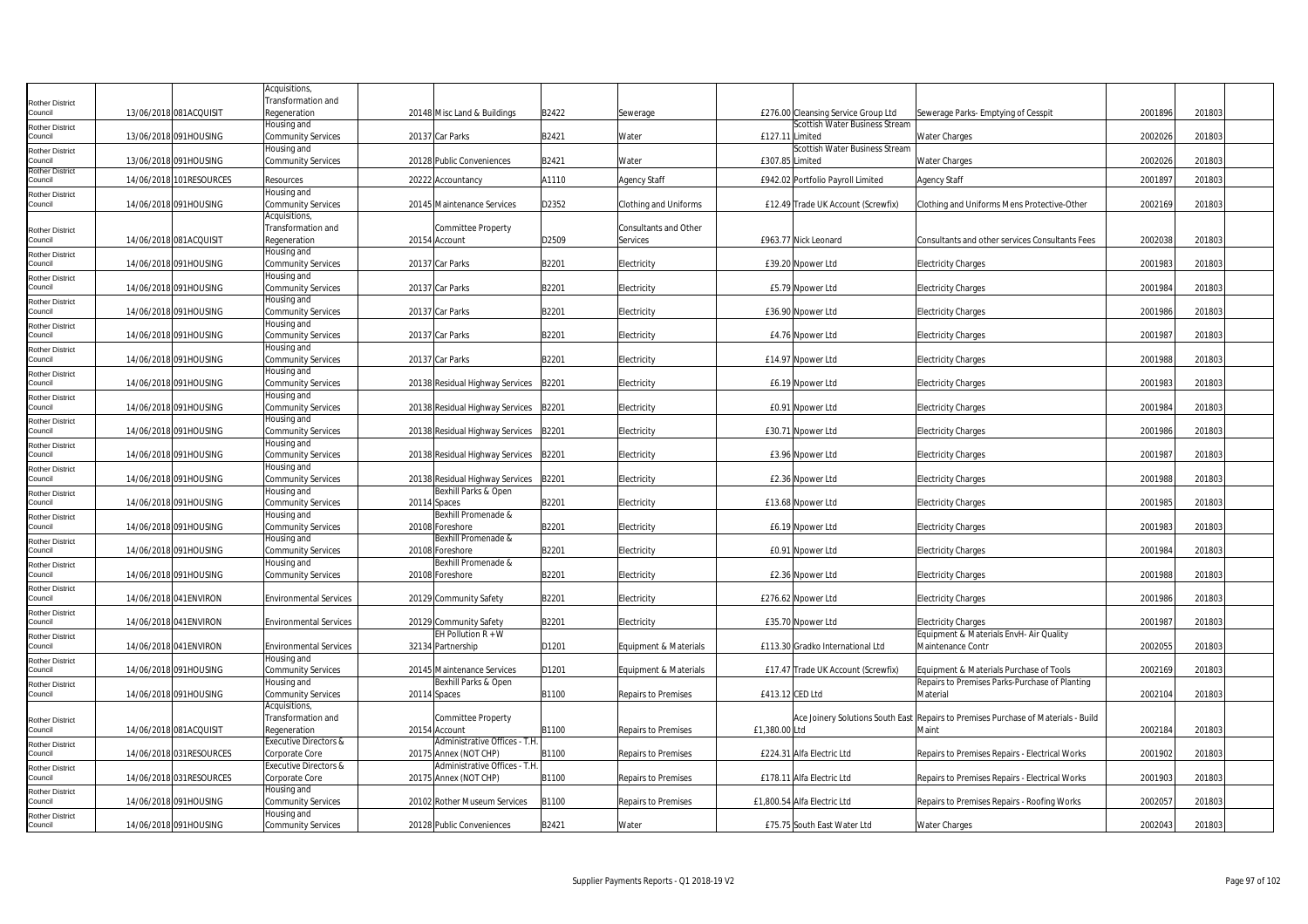|                                   |                         | Acquisitions,                      |              |                                                        |       |                                   |                                                   |                                                                                    |         |        |
|-----------------------------------|-------------------------|------------------------------------|--------------|--------------------------------------------------------|-------|-----------------------------------|---------------------------------------------------|------------------------------------------------------------------------------------|---------|--------|
| <b>Rother District</b>            |                         | Transformation and                 |              |                                                        |       |                                   |                                                   |                                                                                    |         |        |
| Council                           | 13/06/2018 081ACQUISIT  | Regeneration                       |              | 20148 Misc Land & Buildings                            | B2422 | Sewerage                          | £276.00 Cleansing Service Group Ltd               | Sewerage Parks- Emptying of Cesspit                                                | 2001896 | 201803 |
| <b>Rother District</b><br>Council | 13/06/2018 091HOUSING   | Housing and<br>Community Services  |              | 20137 Car Parks                                        | B2421 | Water                             | Scottish Water Business Stream<br>£127.11 Limited | Water Charges                                                                      | 2002026 | 201803 |
| <b>Rother District</b>            |                         | Housing and                        |              |                                                        |       |                                   | Scottish Water Business Stream                    |                                                                                    |         |        |
| Council                           | 13/06/2018 091HOUSING   | Community Services                 |              | 20128 Public Conveniences                              | B2421 | Water                             | £307.85 Limited                                   | Water Charges                                                                      | 2002026 | 201803 |
| <b>Rother District</b><br>Council | 14/06/2018 101RESOURCES | Resources                          |              | 20222 Accountancy                                      | A1110 | Agency Staff                      | £942.02 Portfolio Payroll Limited                 | Agency Staff                                                                       | 2001897 | 201803 |
| <b>Rother District</b>            |                         | Housing and                        |              |                                                        |       |                                   |                                                   |                                                                                    |         |        |
| Council                           | 14/06/2018 091HOUSING   | Community Services                 |              | 20145 Maintenance Services                             | D2352 | Clothing and Uniforms             | £12.49 Trade UK Account (Screwfix)                | Clothing and Uniforms Mens Protective-Other                                        | 2002169 | 201803 |
|                                   |                         | Acquisitions,                      |              |                                                        |       |                                   |                                                   |                                                                                    |         |        |
| <b>Rother District</b><br>Council | 14/06/2018 081ACQUISIT  | Transformation and<br>Regeneration |              | Committee Property<br>20154 Account                    | D2509 | Consultants and Other<br>Services | £963.77 Nick Leonard                              |                                                                                    | 2002038 | 201803 |
| <b>Rother District</b>            |                         | Housing and                        |              |                                                        |       |                                   |                                                   | Consultants and other services Consultants Fees                                    |         |        |
| Council                           | 14/06/2018 091HOUSING   | Community Services                 |              | 20137 Car Parks                                        | B2201 | Electricity                       | £39.20 Noower Ltd                                 | <b>Electricity Charges</b>                                                         | 2001983 | 201803 |
| <b>Rother District</b>            |                         | Housing and                        |              |                                                        |       |                                   |                                                   |                                                                                    |         |        |
| Council                           | 14/06/2018 091HOUSING   | Community Services                 |              | 20137 Car Parks                                        | B2201 | Electricity                       | £5.79 Npower Ltd                                  | <b>Electricity Charges</b>                                                         | 2001984 | 201803 |
| <b>Rother District</b><br>Council | 14/06/2018 091HOUSING   | Housing and<br>Community Services  |              | 20137 Car Parks                                        | B2201 | Electricity                       | £36.90 Npower Ltd                                 | <b>Electricity Charges</b>                                                         | 2001986 | 201803 |
| <b>Rother District</b>            |                         | Housing and                        |              |                                                        |       |                                   |                                                   |                                                                                    |         |        |
| Council                           | 14/06/2018 091HOUSING   | Community Services                 |              | 20137 Car Parks                                        | B2201 | Electricity                       | £4.76 Npower Ltd                                  | <b>Electricity Charges</b>                                                         | 2001987 | 201803 |
| <b>Rother District</b>            |                         | Housing and                        |              |                                                        |       |                                   |                                                   |                                                                                    |         |        |
| Council                           | 14/06/2018 091HOUSING   | Community Services                 |              | 20137 Car Parks                                        | B2201 | Electricity                       | £14.97 Npower Ltd                                 | <b>Electricity Charges</b>                                                         | 2001988 | 201803 |
| <b>Rother District</b><br>Council | 14/06/2018 091HOUSING   | Housing and<br>Community Services  |              | 20138 Residual Highway Services                        | B2201 | Electricity                       | £6.19 Npower Ltd                                  | <b>Electricity Charges</b>                                                         | 2001983 | 201803 |
| <b>Rother District</b>            |                         | Housing and                        |              |                                                        |       |                                   |                                                   |                                                                                    |         |        |
| Council                           | 14/06/2018 091HOUSING   | Community Services                 |              | 20138 Residual Highway Services                        | B2201 | Electricity                       | £0.91 Npower Ltd                                  | <b>Electricity Charges</b>                                                         | 2001984 | 201803 |
| <b>Rother District</b>            |                         | Housing and                        |              |                                                        |       |                                   |                                                   |                                                                                    |         |        |
| Council                           | 14/06/2018 091HOUSING   | Community Services                 |              | 20138 Residual Highway Services                        | B2201 | Electricity                       | £30.71 Npower Ltd                                 | <b>Electricity Charges</b>                                                         | 2001986 | 201803 |
| <b>Rother District</b><br>Council | 14/06/2018 091HOUSING   | Housing and<br>Community Services  |              | 20138 Residual Highway Services                        | B2201 | Electricity                       | £3.96 Npower Ltd                                  | <b>Electricity Charges</b>                                                         | 2001987 | 201803 |
| <b>Rother District</b>            |                         | Housing and                        |              |                                                        |       |                                   |                                                   |                                                                                    |         |        |
| Council                           | 14/06/2018 091HOUSING   | Community Services                 |              | 20138 Residual Highway Services                        | B2201 | Electricity                       | £2.36 Npower Ltd                                  | <b>Electricity Charges</b>                                                         | 2001988 | 201803 |
| <b>Rother District</b>            |                         | Housing and                        |              | Bexhill Parks & Open                                   |       |                                   |                                                   |                                                                                    |         |        |
| Council                           | 14/06/2018 091HOUSING   | Community Services<br>Housing and  | 20114 Spaces | Bexhill Promenade &                                    | B2201 | Electricity                       | £13.68 Npower Ltd                                 | <b>Electricity Charges</b>                                                         | 2001985 | 201803 |
| <b>Rother District</b><br>Council | 14/06/2018 091HOUSING   | Community Services                 |              | 20108 Foreshore                                        | B2201 | Electricity                       | £6.19 Npower Ltd                                  | <b>Electricity Charges</b>                                                         | 2001983 | 201803 |
| <b>Rother District</b>            |                         | Housing and                        |              | Bexhill Promenade &                                    |       |                                   |                                                   |                                                                                    |         |        |
| Council                           | 14/06/2018 091HOUSING   | Community Services                 |              | 20108 Foreshore                                        | B2201 | Electricity                       | £0.91 Npower Ltd                                  | <b>Electricity Charges</b>                                                         | 2001984 | 201803 |
| <b>Rother District</b>            |                         | Housing and                        |              | Bexhill Promenade &                                    |       |                                   |                                                   |                                                                                    |         |        |
| Council<br><b>Rother District</b> | 14/06/2018 091HOUSING   | Community Services                 |              | 20108 Foreshore                                        | B2201 | Electricity                       | £2.36 Npower Ltd                                  | <b>Electricity Charges</b>                                                         | 2001988 | 201803 |
| Council                           | 14/06/2018 041 ENVIRON  | <b>Environmental Services</b>      |              | 20129 Community Safety                                 | B2201 | Electricity                       | £276.62 Npower Ltd                                | <b>Electricity Charges</b>                                                         | 2001986 | 201803 |
| <b>Rother District</b>            |                         |                                    |              |                                                        |       |                                   |                                                   |                                                                                    |         |        |
| Council                           | 14/06/2018 041 ENVIRON  | <b>Environmental Services</b>      |              | 20129 Community Safety                                 | B2201 | Electricity                       | £35.70 Npower Ltd                                 | <b>Electricity Charges</b>                                                         | 2001987 | 201803 |
| <b>Rother District</b><br>Council | 14/06/2018 041 ENVIRON  | <b>Environmental Services</b>      |              | EH Pollution $R + W$<br>32134 Partnership              | D1201 | Equipment & Materials             | £113.30 Gradko International Ltd                  | Equipment & Materials EnvH- Air Quality<br>Maintenance Contr                       | 200205  | 201803 |
| <b>Rother District</b>            |                         | Housing and                        |              |                                                        |       |                                   |                                                   |                                                                                    |         |        |
| Council                           | 14/06/2018 091HOUSING   | Community Services                 |              | 20145 Maintenance Services                             | D1201 | Equipment & Materials             | £17.47 Trade UK Account (Screwfix)                | Equipment & Materials Purchase of Tools                                            | 2002169 | 201803 |
| <b>Rother District</b>            |                         | Housing and                        |              | Bexhill Parks & Open                                   |       |                                   |                                                   | Repairs to Premises Parks-Purchase of Planting                                     |         |        |
| Council                           | 14/06/2018 091HOUSING   | <b>Community Services</b>          |              | 20114 Spaces                                           | B1100 | Repairs to Premises               | £413.12 CED Ltd                                   | Material                                                                           | 2002104 | 201803 |
|                                   |                         | Acquisitions<br>Transformation and |              | <b>Committee Property</b>                              |       |                                   |                                                   | Ace Joinery Solutions South East Repairs to Premises Purchase of Materials - Build |         |        |
| <b>Rother District</b><br>Council | 14/06/2018 081ACQUISIT  | Regeneration                       |              | 20154 Account                                          | B1100 | Repairs to Premises               | £1,380.00 Ltd                                     | Maint                                                                              | 2002184 | 201803 |
| <b>Rother District</b>            |                         | <b>Executive Directors &amp;</b>   |              | Administrative Offices - T.H.                          |       |                                   |                                                   |                                                                                    |         |        |
| Council                           | 14/06/2018 031RESOURCES | Corporate Core                     |              | 20175 Annex (NOT CHP)                                  | B1100 | Repairs to Premises               | £224.31 Alfa Electric Ltd                         | Repairs to Premises Repairs - Electrical Works                                     | 2001902 | 201803 |
| <b>Rother District</b><br>Council | 14/06/2018 031RESOURCES | Executive Directors &              |              | Administrative Offices - T.H.<br>20175 Annex (NOT CHP) | B1100 | Repairs to Premises               | £178.11 Alfa Electric Ltd                         |                                                                                    | 2001903 | 201803 |
| <b>Rother District</b>            |                         | Corporate Core<br>Housing and      |              |                                                        |       |                                   |                                                   | Repairs to Premises Repairs - Electrical Works                                     |         |        |
| Council                           | 14/06/2018 091HOUSING   | Community Services                 |              | 20102 Rother Museum Services                           | B1100 | <b>Repairs to Premises</b>        | £1,800.54 Alfa Electric Ltd                       | Repairs to Premises Repairs - Roofing Works                                        | 2002057 | 201803 |
| <b>Rother District</b>            |                         | Housing and                        |              |                                                        |       |                                   |                                                   |                                                                                    |         |        |
| Council                           | 14/06/2018 091HOUSING   | Community Services                 |              | 20128 Public Conveniences                              | B2421 | Water                             | £75.75 South East Water Ltd                       | Water Charges                                                                      | 2002043 | 201803 |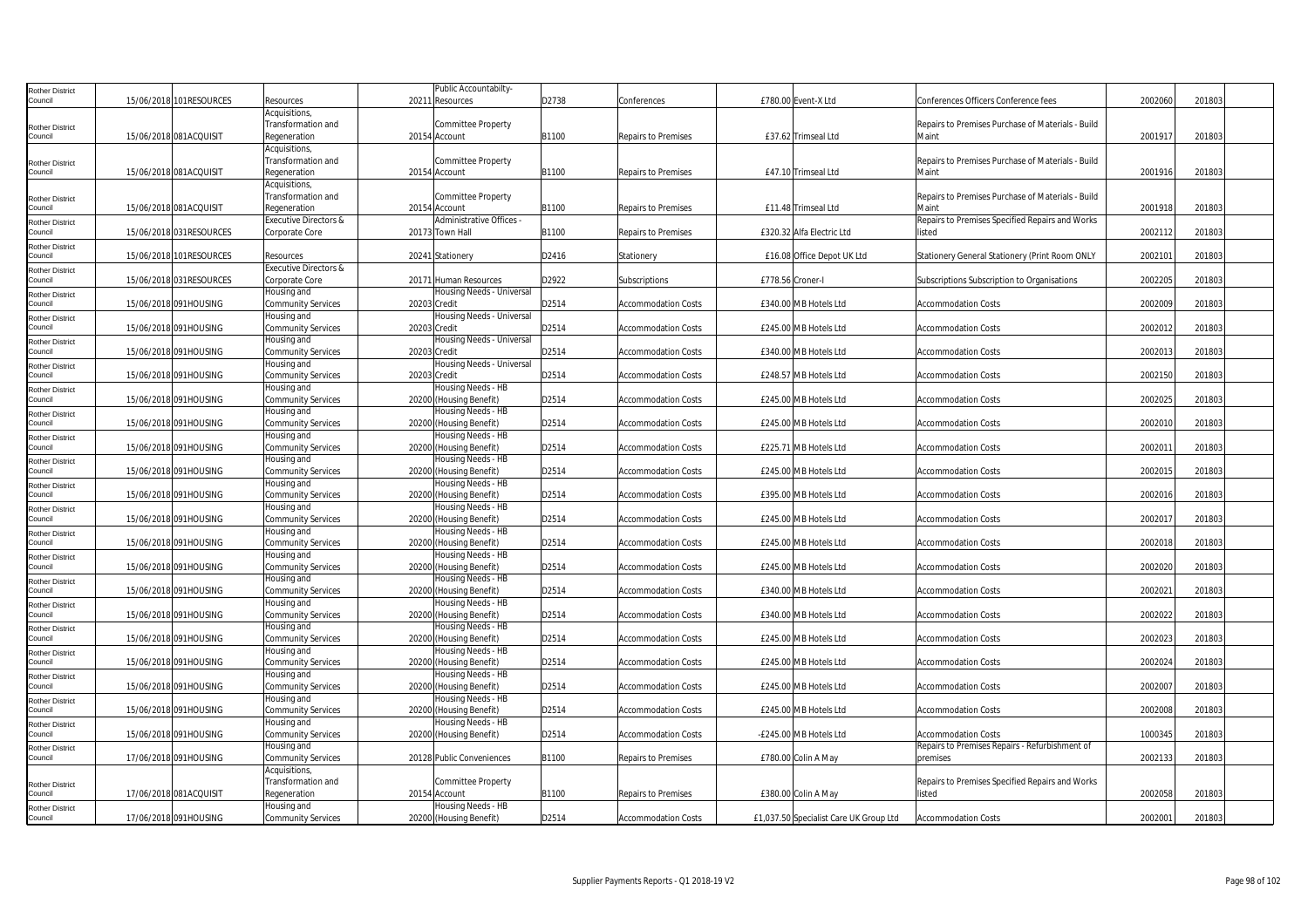| Rother District        |                         |                                  | Public Accountabilty      |       |                            |                                        |                                                   |         |        |  |
|------------------------|-------------------------|----------------------------------|---------------------------|-------|----------------------------|----------------------------------------|---------------------------------------------------|---------|--------|--|
| Council                | 15/06/2018 101RESOURCES | Resources                        | 20211 Resources           | D2738 | Conferences                | £780.00 Event-X Ltd                    | Conferences Officers Conference fees              | 2002060 | 201803 |  |
|                        |                         | Acquisitions                     |                           |       |                            |                                        |                                                   |         |        |  |
| <b>Rother District</b> |                         | Transformation and               | Committee Property        |       |                            |                                        | Repairs to Premises Purchase of Materials - Build |         |        |  |
| Council                | 15/06/2018 081ACQUISIT  | Regeneration                     | 20154 Account             | B1100 | <b>Repairs to Premises</b> | £37.62 Trimseal Ltd                    | Maint                                             | 2001917 | 201803 |  |
|                        |                         | Acquisitions,                    |                           |       |                            |                                        |                                                   |         |        |  |
| Rother District        |                         | Transformation and               | Committee Property        |       |                            |                                        | Repairs to Premises Purchase of Materials - Build |         |        |  |
| Council                | 15/06/2018 081ACQUISIT  | Regeneration                     | 20154 Account             | B1100 | <b>Repairs to Premises</b> | £47.10 Trimseal Ltd                    | Maint                                             | 2001916 | 201803 |  |
|                        |                         | Acquisitions,                    |                           |       |                            |                                        |                                                   |         |        |  |
| <b>Rother District</b> |                         | Transformation and               | Committee Property        |       |                            |                                        | Repairs to Premises Purchase of Materials - Build |         |        |  |
| Council                | 15/06/2018 081ACQUISIT  | Regeneration                     | 20154 Account             | B1100 | <b>Repairs to Premises</b> | £11.48 Trimseal Ltd                    | Maint                                             | 2001918 | 201803 |  |
| Rother District        |                         | <b>Executive Directors &amp;</b> | Administrative Offices -  |       |                            |                                        | Repairs to Premises Specified Repairs and Works   |         |        |  |
| Council                | 15/06/2018 031RESOURCES | Corporate Core                   | 20173 Town Hall           | B1100 | Repairs to Premises        | £320.32 Alfa Electric Ltd              | listed                                            | 200211  | 201803 |  |
| Rother District        |                         |                                  |                           |       |                            |                                        |                                                   |         |        |  |
| Council                | 15/06/2018 101RESOURCES | Resources                        | 20241 Stationery          | D2416 | Stationery                 | £16.08 Office Depot UK Ltd             | Stationery General Stationery (Print Room ONLY    | 2002101 | 201803 |  |
| Rother District        |                         | <b>Executive Directors &amp;</b> |                           |       |                            |                                        |                                                   |         |        |  |
| Council                | 15/06/2018 031RESOURCES | Corporate Core                   | 20171 Human Resources     | D2922 | Subscriptions              | £778.56 Croner-I                       | Subscriptions Subscription to Organisations       | 2002205 | 201803 |  |
| Rother District        |                         | Housing and                      | Housing Needs - Universal |       |                            |                                        |                                                   |         |        |  |
| Council                | 15/06/2018 091HOUSING   | <b>Community Services</b>        | 20203 Credit              | D2514 | <b>Accommodation Costs</b> | £340.00 MB Hotels Ltd                  | <b>Accommodation Costs</b>                        | 2002009 | 201803 |  |
| <b>Rother District</b> |                         | Housing and                      | Housing Needs - Universal |       |                            |                                        |                                                   |         |        |  |
| Council                | 15/06/2018 091HOUSING   | <b>Community Services</b>        | 20203 Credit              | D2514 | Accommodation Costs        | £245.00 MB Hotels Ltd                  | Accommodation Costs                               | 2002012 | 201803 |  |
| Rother District        |                         | Housing and                      | Housing Needs - Universal |       |                            |                                        |                                                   |         |        |  |
| Council                | 15/06/2018 091HOUSING   | <b>Community Services</b>        | 20203 Credit              | D2514 | <b>Accommodation Costs</b> | £340.00 MB Hotels Ltd                  | <b>Accommodation Costs</b>                        | 200201  | 201803 |  |
| Rother District        |                         | lousing and                      | Housing Needs - Universal |       |                            |                                        |                                                   |         |        |  |
| Council                | 15/06/2018 091HOUSING   | <b>Community Services</b>        | 20203 Credit              | D2514 | <b>Accommodation Costs</b> | £248.57 MB Hotels Ltd                  | Accommodation Costs                               | 2002150 | 201803 |  |
| Rother District        |                         | Housing and                      | Housing Needs - HB        |       |                            |                                        |                                                   |         |        |  |
| Council                | 15/06/2018 091HOUSING   | <b>Community Services</b>        | 20200 (Housing Benefit)   | D2514 | <b>Accommodation Costs</b> | £245.00 MB Hotels Ltd                  | <b>Accommodation Costs</b>                        | 2002025 | 201803 |  |
| Rother District        |                         | Housing and                      | lousing Needs - HB        |       |                            |                                        |                                                   |         |        |  |
| ouncil                 | 15/06/2018 091HOUSING   | <b>Community Services</b>        | 20200 (Housing Benefit)   | D2514 | <b>Accommodation Costs</b> | £245.00 MB Hotels Ltd                  | <b>Accommodation Costs</b>                        | 2002010 | 201803 |  |
| <b>Rother District</b> |                         | Housing and                      | <b>Housing Needs - HB</b> |       |                            |                                        |                                                   |         |        |  |
| Council                | 15/06/2018 091HOUSING   | <b>Community Services</b>        | 20200 (Housing Benefit)   | D2514 | <b>Accommodation Costs</b> | £225.71 MB Hotels Ltd                  | <b>Accommodation Costs</b>                        | 200201  | 201803 |  |
| Rother District        |                         | Housing and                      | Housing Needs - HB        |       |                            |                                        |                                                   |         |        |  |
| Council                | 15/06/2018 091HOUSING   | <b>Community Services</b>        | 20200 (Housing Benefit)   | D2514 | Accommodation Costs        | £245.00 MB Hotels Ltd                  | Accommodation Costs                               | 2002015 | 201803 |  |
| Rother District        |                         | Housing and                      | Housing Needs - HB        |       |                            |                                        |                                                   |         |        |  |
| Council                | 15/06/2018 091HOUSING   | <b>Community Services</b>        | 20200 (Housing Benefit)   | D2514 | <b>Accommodation Costs</b> | £395.00 MB Hotels Ltd                  | <b>Accommodation Costs</b>                        | 2002016 | 201803 |  |
| Rother District        |                         | Housing and                      | Housing Needs - HB        |       |                            |                                        |                                                   |         |        |  |
| Council                | 15/06/2018 091HOUSING   | <b>Community Services</b>        | 20200 (Housing Benefit)   | D2514 | <b>Accommodation Costs</b> | £245.00 MB Hotels Ltd                  | <b>Accommodation Costs</b>                        | 2002017 | 201803 |  |
| <b>Rother District</b> |                         | lousing and                      | Housing Needs - HB        |       |                            |                                        |                                                   |         |        |  |
| ouncil                 | 15/06/2018 091HOUSING   | <b>Community Services</b>        | 20200 (Housing Benefit)   | D2514 | Accommodation Costs        | £245.00 MB Hotels Ltd                  | Accommodation Costs                               | 2002018 | 201803 |  |
| <b>Rother District</b> |                         | Housing and                      | Housing Needs - HB        |       |                            |                                        |                                                   |         |        |  |
| Council                | 15/06/2018 091HOUSING   | <b>Community Services</b>        | 20200 (Housing Benefit)   | D2514 | <b>Accommodation Costs</b> | £245.00 MB Hotels Ltd                  | <b>Accommodation Costs</b>                        | 2002020 | 201803 |  |
| Rother District        |                         | Housing and                      | Housing Needs - HB        |       |                            |                                        |                                                   |         |        |  |
| Council                | 15/06/2018 091HOUSING   | Community Services               | 20200 (Housing Benefit)   | D2514 | <b>Accommodation Costs</b> | £340.00 MB Hotels Ltd                  | <b>Accommodation Costs</b>                        | 2002021 | 201803 |  |
| Rother District        |                         | lousing and                      | Housing Needs - HB        |       |                            |                                        |                                                   |         |        |  |
| Council                | 15/06/2018 091HOUSING   | Community Services               | 20200 (Housing Benefit)   | D2514 | <b>Accommodation Costs</b> | £340.00 MB Hotels Ltd                  | Accommodation Costs                               | 2002022 | 201803 |  |
| <b>Rother District</b> |                         | Housing and                      | lousing Needs - HB        |       |                            |                                        |                                                   |         |        |  |
| Council                | 15/06/2018 091HOUSING   | <b>Community Services</b>        | 20200 (Housing Benefit)   | D2514 | <b>Accommodation Costs</b> | £245.00 MB Hotels Ltd                  | <b>Accommodation Costs</b>                        | 2002023 | 201803 |  |
| <b>Rother District</b> |                         | Housing and                      | Housing Needs - HB        |       |                            |                                        |                                                   |         |        |  |
| council                | 15/06/2018 091HOUSING   | <b>Community Services</b>        | 20200 (Housing Benefit)   | D2514 | <b>Accommodation Costs</b> | £245.00 MB Hotels Ltd                  | <b>Accommodation Costs</b>                        | 2002024 | 201803 |  |
| <b>Rother District</b> |                         | Housing and                      | Housing Needs - HB        |       |                            |                                        |                                                   |         |        |  |
| Council                | 15/06/2018 091HOUSING   | <b>Community Services</b>        | 20200 (Housing Benefit)   | D2514 | Accommodation Costs        | £245.00 MB Hotels Ltd                  | Accommodation Costs                               | 2002007 | 201803 |  |
| Rother District        |                         | Housing and                      | Housing Needs - HB        |       |                            |                                        |                                                   |         |        |  |
| Council                | 15/06/2018 091HOUSING   | Community Services               | 20200 (Housing Benefit)   | D2514 | <b>Accommodation Costs</b> | £245.00 MB Hotels Ltd                  | <b>Accommodation Costs</b>                        | 2002008 | 201803 |  |
| Rother District        |                         | Housing and                      | Housing Needs - HB        |       |                            |                                        |                                                   |         |        |  |
| Council                | 15/06/2018 091HOUSING   | <b>Community Services</b>        | 20200 (Housing Benefit)   | D2514 | <b>Accommodation Costs</b> | -£245.00 MB Hotels Ltd                 | Accommodation Costs                               | 1000345 | 201803 |  |
| Rother District        |                         | Housing and                      |                           |       |                            |                                        | Repairs to Premises Repairs - Refurbishment of    |         |        |  |
| Council                | 17/06/2018 091HOUSING   | <b>Community Services</b>        | 20128 Public Conveniences | B1100 | Repairs to Premises        | £780.00 Colin A May                    | premises                                          | 2002133 | 201803 |  |
|                        |                         | Acquisitions                     |                           |       |                            |                                        |                                                   |         |        |  |
| <b>Rother District</b> |                         | Transformation and               | Committee Property        |       |                            |                                        | Repairs to Premises Specified Repairs and Works   |         |        |  |
| Council                | 17/06/2018 081ACQUISIT  | Regeneration                     | 20154 Account             | B1100 | <b>Repairs to Premises</b> | £380.00 Colin A May                    | listed                                            | 2002058 | 201803 |  |
| Rother District        |                         | Housing and                      | lousing Needs - HB        |       |                            |                                        |                                                   |         |        |  |
| Council                | 17/06/2018 091HOUSING   | <b>Community Services</b>        | 20200 (Housing Benefit)   | D2514 | <b>Accommodation Costs</b> | £1,037.50 Specialist Care UK Group Ltd | <b>Accommodation Costs</b>                        | 2002001 | 201803 |  |
|                        |                         |                                  |                           |       |                            |                                        |                                                   |         |        |  |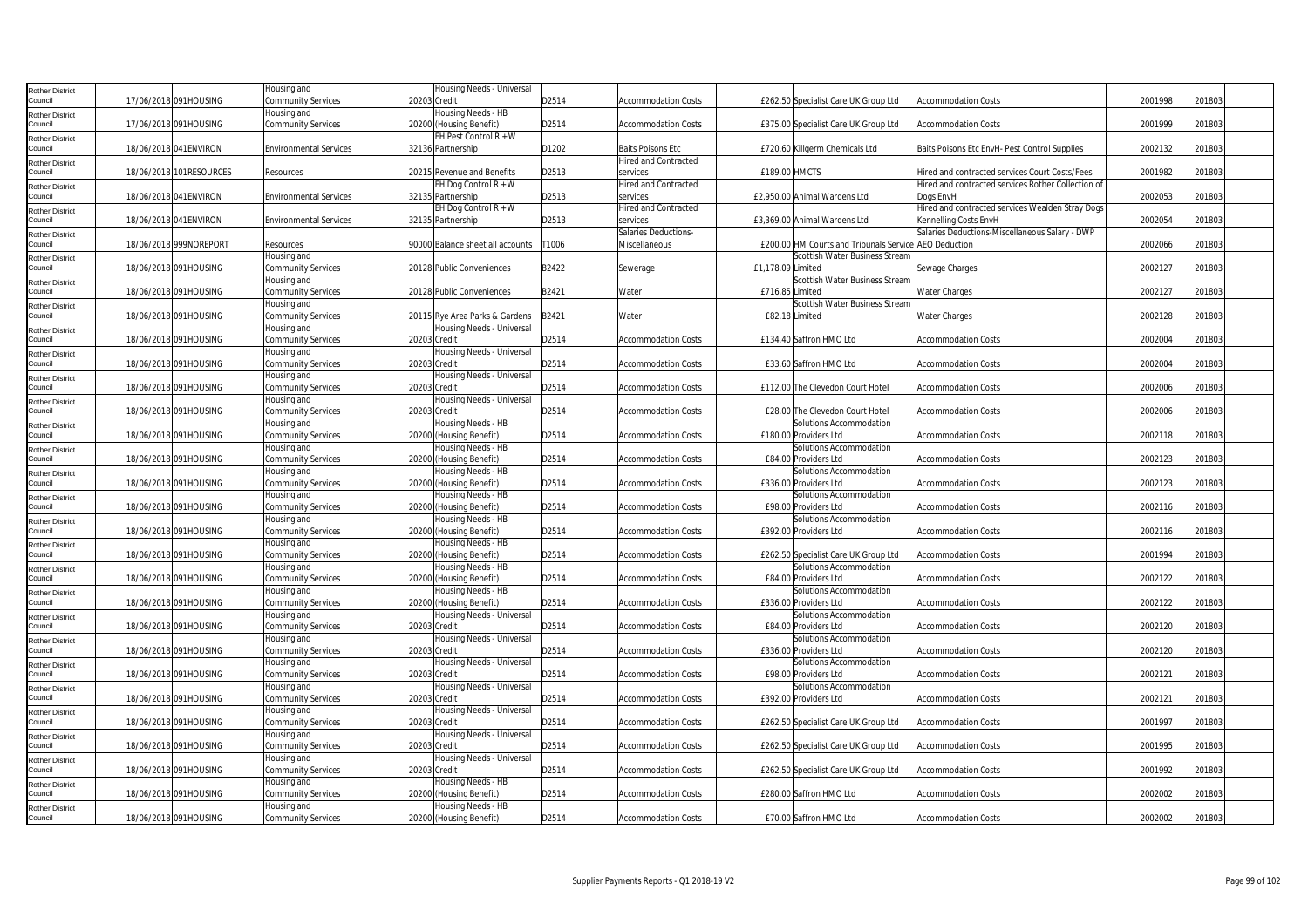| Rother District            |                         | Housing and                   | Housing Needs - Universal                     |       |                             |                   |                                                       |                                                    |         |        |  |
|----------------------------|-------------------------|-------------------------------|-----------------------------------------------|-------|-----------------------------|-------------------|-------------------------------------------------------|----------------------------------------------------|---------|--------|--|
| Council                    | 17/06/2018 091HOUSING   | Community Services            | 20203 Credit                                  | D2514 | <b>Accommodation Costs</b>  |                   | £262.50 Specialist Care UK Group Ltd                  | <b>Accommodation Costs</b>                         | 2001998 | 201803 |  |
| Rother District            |                         | Housing and                   | Housing Needs - HB                            |       |                             |                   |                                                       |                                                    |         |        |  |
| Council                    | 17/06/2018 091HOUSING   | <b>Community Services</b>     | 20200 (Housing Benefit)                       | D2514 | <b>Accommodation Costs</b>  |                   | £375.00 Specialist Care UK Group Ltd                  | <b>Accommodation Costs</b>                         | 2001999 | 201803 |  |
|                            |                         |                               | $EH$ Pest Control $R + W$                     |       |                             |                   |                                                       |                                                    |         |        |  |
| Rother District<br>Council | 18/06/2018 041 ENVIRON  | <b>Environmental Services</b> | 32136 Partnership                             | D1202 | <b>Baits Poisons Etc</b>    |                   | £720.60 Killgerm Chemicals Ltd                        | Baits Poisons Etc EnvH- Pest Control Supplies      | 2002132 | 201803 |  |
|                            |                         |                               |                                               |       | <b>Hired and Contracted</b> |                   |                                                       |                                                    |         |        |  |
| Rother District<br>Council | 18/06/2018 101RESOURCES | Resources                     | 20215 Revenue and Benefits                    | D2513 | services                    | £189.00 HMCTS     |                                                       | Hired and contracted services Court Costs/Fees     | 2001982 | 201803 |  |
|                            |                         |                               | EH Dog Control $R + W$                        |       | Hired and Contracted        |                   |                                                       | Hired and contracted services Rother Collection of |         |        |  |
| Rother District<br>Council | 18/06/2018 041 ENVIRON  | <b>Environmental Services</b> | 32135 Partnership                             | D2513 | services                    |                   | £2,950.00 Animal Wardens Ltd                          | Dogs EnvH                                          | 2002053 | 201803 |  |
|                            |                         |                               | EH Dog Control R + W                          |       | <b>Hired and Contracted</b> |                   |                                                       | Hired and contracted services Wealden Stray Dogs   |         |        |  |
| Rother District<br>Council | 18/06/2018 041 ENVIRON  | <b>Environmental Services</b> | 32135 Partnership                             | D2513 | services                    |                   | £3.369.00 Animal Wardens Ltd                          | Kennelling Costs EnvH                              | 2002054 | 201803 |  |
|                            |                         |                               |                                               |       | Salaries Deductions-        |                   |                                                       | Salaries Deductions-Miscellaneous Salary - DWP     |         |        |  |
| Rother District<br>ouncil  | 18/06/2018 999NOREPORT  | Resources                     | 90000 Balance sheet all accounts              | T1006 | Miscellaneous               |                   | £200.00 HM Courts and Tribunals Service AEO Deduction |                                                    | 2002066 | 201803 |  |
|                            |                         | Housing and                   |                                               |       |                             |                   | Scottish Water Business Stream                        |                                                    |         |        |  |
| Rother District<br>Council | 18/06/2018 091HOUSING   | <b>Community Services</b>     | 20128 Public Conveniences                     | B2422 | Sewerage                    | £1,178.09 Limited |                                                       | Sewage Charges                                     | 2002127 | 201803 |  |
| Rother District            |                         | Housing and                   |                                               |       |                             |                   | Scottish Water Business Stream                        |                                                    |         |        |  |
| Council                    | 18/06/2018 091HOUSING   | <b>Community Services</b>     | 20128 Public Conveniences                     | B2421 | Water                       | £716.85 Limited   |                                                       | Water Charges                                      | 2002127 | 201803 |  |
| Rother District            |                         | Housing and                   |                                               |       |                             |                   | Scottish Water Business Stream                        |                                                    |         |        |  |
| Council                    | 18/06/2018 091HOUSING   | Community Services            | 20115 Rye Area Parks & Gardens                | B2421 | Water                       |                   | £82.18 Limited                                        | Water Charges                                      | 2002128 | 201803 |  |
| Rother District            |                         | Housing and                   | Housing Needs - Universal                     |       |                             |                   |                                                       |                                                    |         |        |  |
| Council                    | 18/06/2018 091HOUSING   | Community Services            | 20203 Credit                                  | D2514 | <b>Accommodation Costs</b>  |                   | £134.40 Saffron HMO Ltd                               | <b>Accommodation Costs</b>                         | 2002004 | 201803 |  |
| <b>Rother District</b>     |                         | Housing and                   | Housing Needs - Universal                     |       |                             |                   |                                                       |                                                    |         |        |  |
| ouncil                     | 18/06/2018 091HOUSING   | <b>Community Services</b>     | 20203 Credit                                  | D2514 | <b>Accommodation Costs</b>  |                   | £33.60 Saffron HMO Ltd                                | <b>Accommodation Costs</b>                         | 2002004 | 201803 |  |
| <b>Rother District</b>     |                         | Housing and                   | Housing Needs - Universal                     |       |                             |                   |                                                       |                                                    |         |        |  |
| Council                    | 18/06/2018 091HOUSING   | <b>Community Services</b>     | 20203 Credit                                  | D2514 | <b>Accommodation Costs</b>  |                   | £112.00 The Clevedon Court Hotel                      | <b>Accommodation Costs</b>                         | 2002006 | 201803 |  |
| Rother District            |                         | Housing and                   | Housing Needs - Universal                     |       |                             |                   |                                                       |                                                    |         |        |  |
| Council                    | 18/06/2018 091HOUSING   | Community Services            | 20203 Credit                                  | D2514 | <b>Accommodation Costs</b>  |                   | £28.00 The Clevedon Court Hotel                       | <b>Accommodation Costs</b>                         | 2002006 | 201803 |  |
| Rother District            |                         | Housing and                   | Housing Needs - HB                            |       |                             |                   | Solutions Accommodation                               |                                                    |         |        |  |
| Council                    | 18/06/2018 091HOUSING   | Community Services            | 20200 (Housing Benefit)                       | D2514 | <b>Accommodation Costs</b>  |                   | £180.00 Providers Ltd                                 | Accommodation Costs                                | 2002118 | 201803 |  |
| Rother District            |                         | Housing and                   | Housing Needs - HB                            |       |                             |                   | Solutions Accommodation                               |                                                    |         |        |  |
| Council                    | 18/06/2018 091HOUSING   | Community Services            | 20200 (Housing Benefit)                       | D2514 | <b>Accommodation Costs</b>  |                   | £84.00 Providers Ltd                                  | <b>Accommodation Costs</b>                         | 2002123 | 201803 |  |
| <b>Rother District</b>     |                         | Housing and                   | Housing Needs - HB                            |       |                             |                   | Solutions Accommodation                               |                                                    |         |        |  |
| council                    | 18/06/2018 091HOUSING   | <b>Community Services</b>     | 20200 (Housing Benefit)                       | D2514 | <b>Accommodation Costs</b>  |                   | £336.00 Providers Ltd                                 | <b>Accommodation Costs</b>                         | 2002123 | 201803 |  |
| Rother District            |                         | Housing and                   | Housing Needs - HB                            |       |                             |                   | Solutions Accommodation                               |                                                    |         |        |  |
| Council                    | 18/06/2018 091HOUSING   | <b>Community Services</b>     | 20200 (Housing Benefit)                       | D2514 | <b>Accommodation Costs</b>  |                   | £98.00 Providers Ltd                                  | <b>Accommodation Costs</b>                         | 2002116 | 201803 |  |
| Rother District            |                         | Housing and                   | Housing Needs - HB                            |       |                             |                   | Solutions Accommodation                               |                                                    |         |        |  |
| Council                    | 18/06/2018 091HOUSING   | <b>Community Services</b>     | 20200 (Housing Benefit)                       | D2514 | <b>Accommodation Costs</b>  |                   | £392.00 Providers Ltd                                 | <b>Accommodation Costs</b>                         | 2002116 | 201803 |  |
| Rother District            |                         | Housing and                   | Housing Needs - HB                            |       |                             |                   |                                                       |                                                    |         |        |  |
| Council                    | 18/06/2018 091HOUSING   | <b>Community Services</b>     | 20200 (Housing Benefit)                       | D2514 | <b>Accommodation Costs</b>  |                   | £262.50 Specialist Care UK Group Ltd                  | <b>Accommodation Costs</b>                         | 2001994 | 201803 |  |
| Rother District            |                         | Housing and                   | Housing Needs - HB                            |       |                             |                   | Solutions Accommodation                               |                                                    |         |        |  |
| Council                    | 18/06/2018 091HOUSING   | <b>Community Services</b>     | 20200 (Housing Benefit)                       | D2514 | <b>Accommodation Costs</b>  |                   | £84.00 Providers Ltd                                  | <b>Accommodation Costs</b>                         | 2002122 | 201803 |  |
| Rother District            |                         | Housing and                   | Housing Needs - HB                            |       |                             |                   | Solutions Accommodation                               |                                                    |         |        |  |
| ouncil                     | 18/06/2018 091HOUSING   | <b>Community Services</b>     | 20200 (Housing Benefit)                       | D2514 | <b>Accommodation Costs</b>  |                   | £336.00 Providers Ltd                                 | <b>Accommodation Costs</b>                         | 2002122 | 201803 |  |
| <b>Rother District</b>     |                         | Housing and                   | Housing Needs - Universal                     |       |                             |                   | Solutions Accommodation                               |                                                    |         |        |  |
| Council                    | 18/06/2018 091HOUSING   | <b>Community Services</b>     | 20203 Credit                                  | D2514 | <b>Accommodation Costs</b>  |                   | £84.00 Providers Ltd                                  | <b>Accommodation Costs</b>                         | 2002120 | 201803 |  |
| Rother District            |                         | Housing and                   | Housing Needs - Universal                     |       |                             |                   | Solutions Accommodation                               |                                                    |         |        |  |
| Council                    | 18/06/2018 091HOUSING   | Community Services            | 20203 Credit                                  | D2514 | <b>Accommodation Costs</b>  |                   | £336.00 Providers Ltd                                 | <b>Accommodation Costs</b>                         | 2002120 | 201803 |  |
| Rother District            |                         | Housing and                   | Housing Needs - Universal                     |       |                             |                   | Solutions Accommodation                               |                                                    |         |        |  |
| Council                    | 18/06/2018 091HOUSING   | Community Services            | 20203 Credit                                  | D2514 | <b>Accommodation Costs</b>  |                   | £98.00 Providers Ltd                                  | <b>Accommodation Costs</b>                         | 2002121 | 201803 |  |
| Rother District            |                         | Housing and                   | Housing Needs - Universal                     |       |                             |                   | Solutions Accommodation                               |                                                    |         |        |  |
| Council                    | 18/06/2018 091HOUSING   | Community Services            | 20203 Credit                                  | D2514 | <b>Accommodation Costs</b>  |                   | £392.00 Providers Ltd                                 | <b>Accommodation Costs</b>                         | 2002121 | 201803 |  |
| <b>Rother District</b>     |                         | Housing and                   | Housing Needs - Universal                     |       |                             |                   |                                                       |                                                    |         |        |  |
| ouncil                     | 18/06/2018 091HOUSING   | <b>Community Services</b>     | 20203 Credit                                  | D2514 | <b>Accommodation Costs</b>  |                   | £262.50 Specialist Care UK Group Ltd                  | <b>Accommodation Costs</b>                         | 2001991 | 201803 |  |
| <b>Rother District</b>     |                         | Housing and                   | Housing Needs - Universal                     |       |                             |                   |                                                       |                                                    |         |        |  |
| Council                    | 18/06/2018 091HOUSING   | <b>Community Services</b>     | 20203 Credit                                  | D2514 | <b>Accommodation Costs</b>  |                   | £262.50 Specialist Care UK Group Ltd                  | <b>Accommodation Costs</b>                         | 2001995 | 201803 |  |
| Rother District            |                         | Housing and                   | Housing Needs - Universal                     |       |                             |                   |                                                       |                                                    |         |        |  |
| Council                    | 18/06/2018 091HOUSING   | Community Services            | 20203 Credit                                  | D2514 | <b>Accommodation Costs</b>  |                   | £262.50 Specialist Care UK Group Ltd                  | <b>Accommodation Costs</b>                         | 2001992 | 201803 |  |
| Rother District<br>Council | 18/06/2018 091HOUSING   | Housing and                   | Housing Needs - HB<br>20200 (Housing Benefit) | D2514 |                             |                   | £280.00 Saffron HMO Ltd                               | <b>Accommodation Costs</b>                         | 2002002 | 201803 |  |
|                            |                         | Community Services            |                                               |       | <b>Accommodation Costs</b>  |                   |                                                       |                                                    |         |        |  |
| Rother District<br>Council |                         | Housing and                   | Housing Needs - HB                            | D2514 |                             |                   |                                                       | <b>Accommodation Costs</b>                         | 2002002 | 201803 |  |
|                            | 18/06/2018 091HOUSING   | <b>Community Services</b>     | 20200 (Housing Benefit)                       |       | <b>Accommodation Costs</b>  |                   | £70.00 Saffron HMO Ltd                                |                                                    |         |        |  |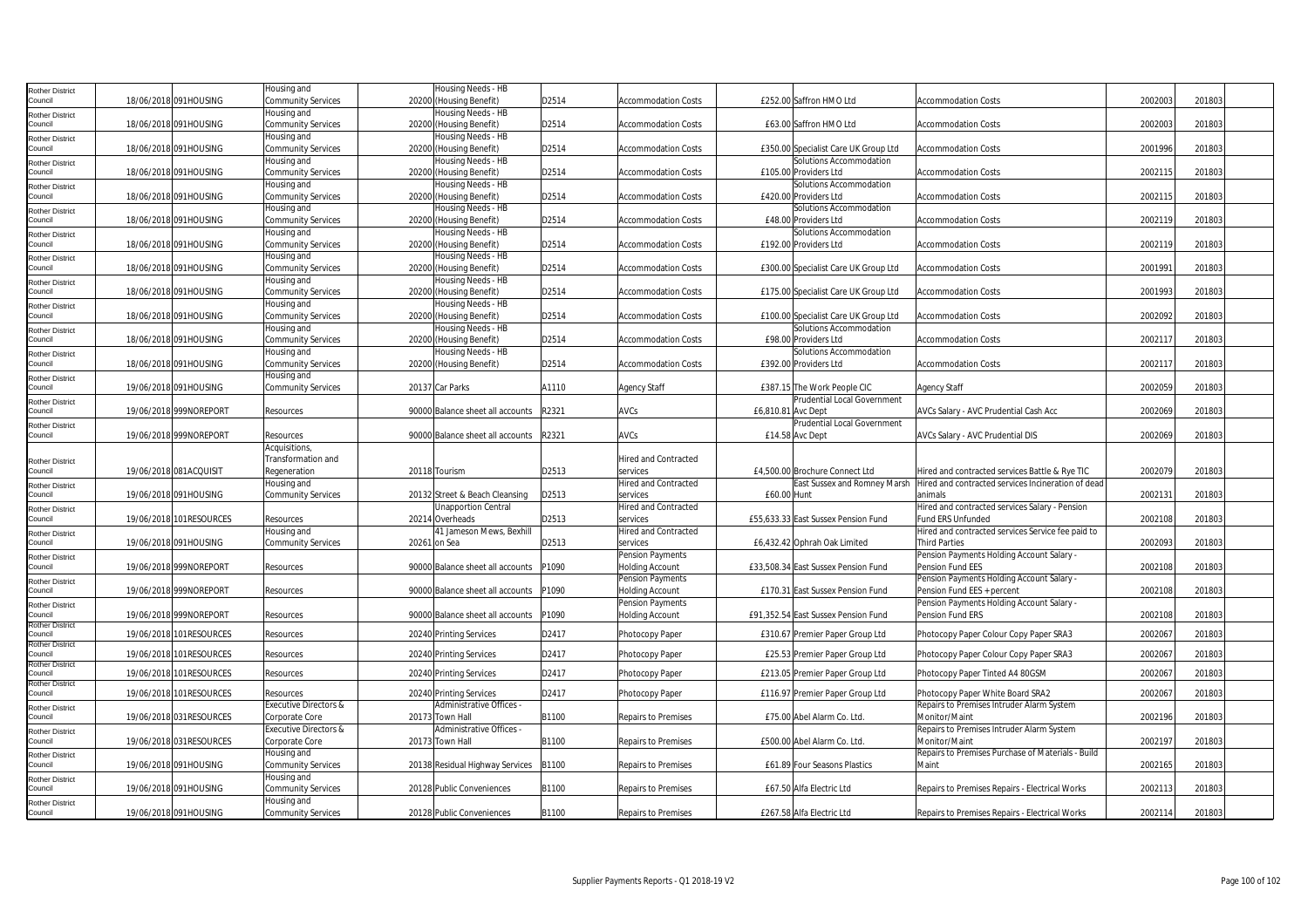| <b>Rother District</b>            |                         | Housing and                       | Housing Needs - HB               |       |                             |                    |                                      |                                                    |         |        |  |
|-----------------------------------|-------------------------|-----------------------------------|----------------------------------|-------|-----------------------------|--------------------|--------------------------------------|----------------------------------------------------|---------|--------|--|
| Council                           | 18/06/2018 091HOUSING   | Community Services                | 20200 (Housing Benefit)          | D2514 | <b>Accommodation Costs</b>  |                    | £252.00 Saffron HMO Ltd              | <b>Accommodation Costs</b>                         | 2002003 | 201803 |  |
| <b>Rother District</b>            |                         | Housing and                       | Housing Needs - HB               |       |                             |                    |                                      |                                                    |         |        |  |
| Council                           | 18/06/2018 091HOUSING   | Community Services                | 20200 (Housing Benefit)          | D2514 | <b>Accommodation Costs</b>  |                    | £63.00 Saffron HMO Ltd               | <b>Accommodation Costs</b>                         | 2002003 | 201803 |  |
| <b>Rother District</b>            |                         | Housing and                       | Housing Needs - HB               |       |                             |                    |                                      |                                                    |         |        |  |
| Council                           | 18/06/2018 091HOUSING   | Community Services                | 20200 (Housing Benefit)          | D2514 | <b>Accommodation Costs</b>  |                    | £350.00 Specialist Care UK Group Ltd | <b>Accommodation Costs</b>                         | 2001996 | 201803 |  |
| <b>Rother District</b>            |                         | Housing and                       | Housing Needs - HB               |       |                             |                    | Solutions Accommodation              |                                                    |         |        |  |
| Council                           | 18/06/2018 091HOUSING   | Community Services                | 20200 (Housing Benefit)          | D2514 | <b>Accommodation Costs</b>  |                    | £105.00 Providers Ltd                | <b>Accommodation Costs</b>                         | 2002115 | 201803 |  |
| <b>Rother District</b>            |                         | Housing and                       | Housing Needs - HB               |       |                             |                    | Solutions Accommodation              |                                                    |         |        |  |
| Council                           | 18/06/2018 091HOUSING   | Community Services                | 20200 (Housing Benefit)          | D2514 | <b>Accommodation Costs</b>  |                    | £420.00 Providers Ltd                | <b>Accommodation Costs</b>                         | 2002115 | 201803 |  |
| <b>Rother District</b>            |                         | Housing and                       | Housing Needs - HB               |       |                             |                    | Solutions Accommodation              |                                                    |         |        |  |
| Council                           | 18/06/2018 091HOUSING   | Community Services                | 20200 (Housing Benefit)          | D2514 | <b>Accommodation Costs</b>  |                    | £48.00 Providers Ltd                 | <b>Accommodation Costs</b>                         | 2002119 | 201803 |  |
|                                   |                         | Housing and                       | Housing Needs - HB               |       |                             |                    | Solutions Accommodation              |                                                    |         |        |  |
| <b>Rother District</b><br>Council | 18/06/2018 091HOUSING   | Community Services                | 20200 (Housing Benefit)          | D2514 | <b>Accommodation Costs</b>  |                    | £192.00 Providers Ltd                | <b>Accommodation Costs</b>                         | 2002119 | 201803 |  |
|                                   |                         | Housing and                       | Housing Needs - HB               |       |                             |                    |                                      |                                                    |         |        |  |
| <b>Rother District</b><br>Council | 18/06/2018 091HOUSING   | Community Services                | 20200 (Housing Benefit)          | D2514 | <b>Accommodation Costs</b>  |                    | £300.00 Specialist Care UK Group Ltd | <b>Accommodation Costs</b>                         | 2001991 | 201803 |  |
|                                   |                         | Housing and                       | Housing Needs - HB               |       |                             |                    |                                      |                                                    |         |        |  |
| <b>Rother District</b><br>Council | 18/06/2018 091HOUSING   | <b>Community Services</b>         | 20200 (Housing Benefit)          | D2514 | <b>Accommodation Costs</b>  |                    | £175.00 Specialist Care UK Group Ltd | <b>Accommodation Costs</b>                         | 2001993 | 201803 |  |
|                                   |                         | Housing and                       | Housing Needs - HB               |       |                             |                    |                                      |                                                    |         |        |  |
| Rother District<br>Council        | 18/06/2018 091HOUSING   | Community Services                | 20200 (Housing Benefit)          | D2514 | <b>Accommodation Costs</b>  |                    | £100.00 Specialist Care UK Group Ltd | <b>Accommodation Costs</b>                         | 2002092 | 201803 |  |
|                                   |                         | Housing and                       | Housing Needs - HB               |       |                             |                    | Solutions Accommodation              |                                                    |         |        |  |
| <b>Rother District</b><br>Council | 18/06/2018 091HOUSING   | <b>Community Services</b>         | 20200 (Housing Benefit)          | D2514 | <b>Accommodation Costs</b>  |                    | £98.00 Providers Ltd                 | <b>Accommodation Costs</b>                         | 2002117 | 201803 |  |
|                                   |                         | Housing and                       | Housing Needs - HB               |       |                             |                    | Solutions Accommodation              |                                                    |         |        |  |
| <b>Rother District</b><br>Council | 18/06/2018 091HOUSING   |                                   |                                  | D2514 | <b>Accommodation Costs</b>  |                    | £392.00 Providers Ltd                | <b>Accommodation Costs</b>                         | 2002117 | 201803 |  |
|                                   |                         | Community Services<br>Housing and | 20200 (Housing Benefit)          |       |                             |                    |                                      |                                                    |         |        |  |
| <b>Rother District</b><br>Council | 19/06/2018 091HOUSING   | Community Services                | 20137 Car Parks                  | A1110 |                             |                    | £387.15 The Work People CIC          |                                                    | 2002059 | 201803 |  |
|                                   |                         |                                   |                                  |       | <b>Agency Staff</b>         |                    | <b>Prudential Local Government</b>   | Agency Staff                                       |         |        |  |
| <b>Rother District</b><br>Council | 19/06/2018 999NOREPORT  | Resources                         | 90000 Balance sheet all accounts | R2321 | <b>AVCs</b>                 | £6.810.81 Avc Dept |                                      |                                                    | 2002069 | 201803 |  |
|                                   |                         |                                   |                                  |       |                             |                    |                                      | AVCs Salary - AVC Prudential Cash Acc              |         |        |  |
| <b>Rother District</b><br>Council |                         |                                   |                                  | R2321 | AVCs                        |                    | Prudential Local Government          |                                                    | 2002069 | 201803 |  |
|                                   | 19/06/2018 999NOREPORT  | Resources<br>Acquisitions,        | 90000 Balance sheet all accounts |       |                             |                    | £14.58 Avc Dept                      | AVCs Salary - AVC Prudential DIS                   |         |        |  |
|                                   |                         |                                   |                                  |       | <b>Hired and Contracted</b> |                    |                                      |                                                    |         |        |  |
| <b>Rother District</b>            |                         | Transformation and                |                                  |       |                             |                    |                                      |                                                    |         |        |  |
| Council                           | 19/06/2018 081ACQUISIT  | Regeneration                      | 20118 Tourism                    | D2513 | services                    |                    | £4.500.00 Brochure Connect Ltd       | Hired and contracted services Battle & Rve TIC     | 2002079 | 201803 |  |
| <b>Rother District</b>            |                         | Housing and                       |                                  |       | <b>Hired and Contracted</b> |                    | East Sussex and Romney Marsh         | Hired and contracted services Incineration of dead |         |        |  |
| Council                           | 19/06/2018 091HOUSING   | Community Services                | 20132 Street & Beach Cleansing   | D2513 | services                    | £60.00 Hunt        |                                      | animals                                            | 2002131 | 201803 |  |
| <b>Rother District</b>            |                         |                                   | <b>Unapportion Central</b>       |       | <b>Hired and Contracted</b> |                    |                                      | Hired and contracted services Salary - Pension     |         |        |  |
| Council                           | 19/06/2018 101RESOURCES | Resources                         | 20214 Overheads                  | D2513 | services                    |                    | £55,633.33 East Sussex Pension Fund  | Fund ERS Unfunded                                  | 2002108 | 201803 |  |
| <b>Rother District</b>            |                         | Housing and                       | 41 Jameson Mews, Bexhill         |       | <b>Hired and Contracted</b> |                    |                                      | Hired and contracted services Service fee paid to  |         |        |  |
| Council                           | 19/06/2018 091HOUSING   | Community Services                | 20261 on Sea                     | D2513 | services                    |                    | £6,432.42 Ophrah Oak Limited         | <b>Third Parties</b>                               | 2002093 | 201803 |  |
| <b>Rother District</b>            |                         |                                   |                                  |       | Pension Payments            |                    |                                      | Pension Payments Holding Account Salary -          |         |        |  |
| Council                           | 19/06/2018 999NOREPORT  | Resources                         | 90000 Balance sheet all accounts | P1090 | <b>Holding Account</b>      |                    | £33,508.34 East Sussex Pension Fund  | Pension Fund EES                                   | 2002108 | 201803 |  |
| <b>Rother District</b>            |                         |                                   |                                  |       | Pension Payments            |                    |                                      | Pension Payments Holding Account Salary -          |         |        |  |
| Council                           | 19/06/2018 999NOREPORT  | Resources                         | 90000 Balance sheet all accounts | P1090 | <b>Holding Account</b>      |                    | £170.31 East Sussex Pension Fund     | Pension Fund EES + percent                         | 2002108 | 201803 |  |
| <b>Rother District</b>            |                         |                                   |                                  |       | Pension Payments            |                    |                                      | Pension Payments Holding Account Salary -          |         |        |  |
| Council<br><b>Rother District</b> | 19/06/2018 999NOREPORT  | Resources                         | 90000 Balance sheet all accounts | P1090 | <b>Holding Account</b>      |                    | £91,352.54 East Sussex Pension Fund  | Pension Fund ERS                                   | 2002108 | 201803 |  |
| Council                           | 19/06/2018 101RESOURCES | Resources                         | 20240 Printing Services          | D2417 | Photocopy Paper             |                    | £310.67 Premier Paper Group Ltd      | Photocopy Paper Colour Copy Paper SRA3             | 2002067 | 201803 |  |
| <b>Rother District</b>            |                         |                                   |                                  |       |                             |                    |                                      |                                                    |         |        |  |
| Council                           | 19/06/2018 101RESOURCES | Resources                         | 20240 Printing Services          | D2417 | Photocopy Paper             |                    | £25.53 Premier Paper Group Ltd       | Photocopy Paper Colour Copy Paper SRA3             | 2002067 | 201803 |  |
| <b>Rother District</b>            |                         |                                   |                                  |       |                             |                    |                                      |                                                    |         |        |  |
| Council                           | 19/06/2018 101RESOURCES | Resources                         | 20240 Printing Services          | D2417 | Photocopy Paper             |                    | £213.05 Premier Paper Group Ltd      | Photocopy Paper Tinted A4 80GSM                    | 2002067 | 201803 |  |
| <b>Rother District</b><br>Council | 19/06/2018 101RESOURCES | Resources                         | 20240 Printing Services          | D2417 | Photocopy Paper             |                    | £116.97 Premier Paper Group Ltd      | Photocopy Paper White Board SRA2                   | 2002067 | 201803 |  |
|                                   |                         | Executive Directors &             | Administrative Offices -         |       |                             |                    |                                      | Repairs to Premises Intruder Alarm System          |         |        |  |
| <b>Rother District</b><br>Council | 19/06/2018 031RESOURCES | Corporate Core                    | 20173 Town Hall                  | B1100 | <b>Repairs to Premises</b>  |                    | £75.00 Abel Alarm Co. Ltd.           | Monitor/Maint                                      | 2002196 | 201803 |  |
|                                   |                         | Executive Directors &             | Administrative Offices -         |       |                             |                    |                                      | Repairs to Premises Intruder Alarm System          |         |        |  |
| <b>Rother District</b><br>Council | 19/06/2018 031RESOURCES | Corporate Core                    | 20173 Town Hall                  | B1100 | <b>Repairs to Premises</b>  |                    | £500.00 Abel Alarm Co. Ltd.          | Monitor/Maint                                      | 2002197 | 201803 |  |
|                                   |                         | Housing and                       |                                  |       |                             |                    |                                      | Repairs to Premises Purchase of Materials - Build  |         |        |  |
| <b>Rother District</b><br>Council | 19/06/2018 091HOUSING   | Community Services                |                                  | B1100 |                             |                    |                                      | Maint                                              | 2002165 | 201803 |  |
|                                   |                         |                                   | 20138 Residual Highway Services  |       | Repairs to Premises         |                    | £61.89 Four Seasons Plastics         |                                                    |         |        |  |
| Rother District<br>Council        |                         | Housing and                       |                                  |       |                             |                    |                                      |                                                    |         |        |  |
|                                   | 19/06/2018 091HOUSING   | Community Services                | 20128 Public Conveniences        | B1100 | Repairs to Premises         |                    | £67.50 Alfa Electric Ltd             | Repairs to Premises Repairs - Electrical Works     | 2002113 | 201803 |  |
| <b>Rother District</b>            |                         | Housing and                       |                                  |       |                             |                    |                                      |                                                    |         |        |  |
| Council                           | 19/06/2018 091HOUSING   | Community Services                | 20128 Public Conveniences        | B1100 | <b>Repairs to Premises</b>  |                    | £267.58 Alfa Electric Ltd            | Repairs to Premises Repairs - Electrical Works     | 2002114 | 201803 |  |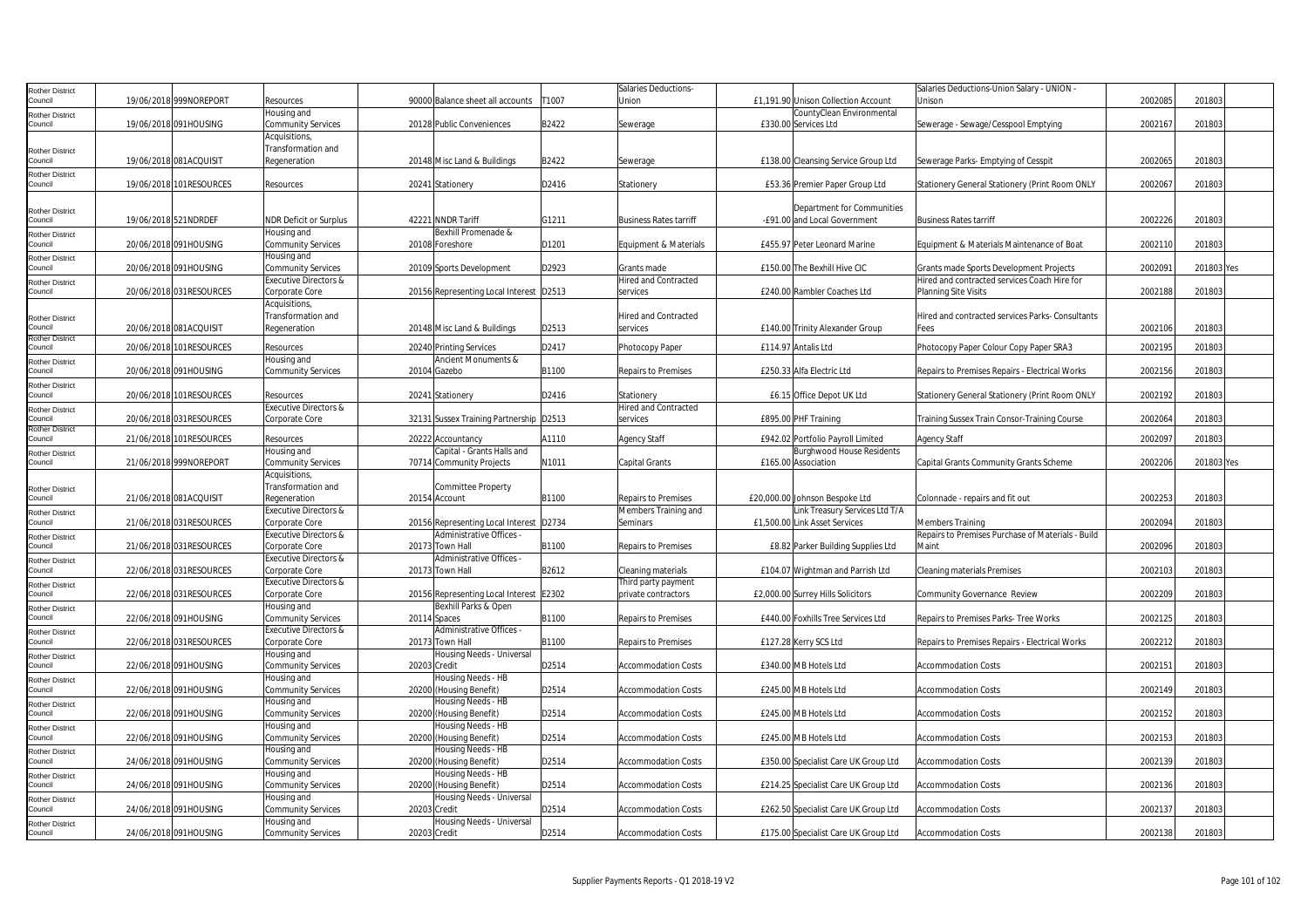| Rother District            |                      |                         |                                  |                                         |       | Salaries Deductions-          |                                      | Salaries Deductions-Union Salary - UNION          |         |            |  |
|----------------------------|----------------------|-------------------------|----------------------------------|-----------------------------------------|-------|-------------------------------|--------------------------------------|---------------------------------------------------|---------|------------|--|
| Council                    |                      | 19/06/2018 999NOREPORT  | Resources                        | 90000 Balance sheet all accounts        | T1007 | Union                         | £1,191.90 Unison Collection Account  | Unison                                            | 2002085 | 201803     |  |
| Rother District            |                      |                         | Housing and                      |                                         |       |                               | CountyClean Environmental            |                                                   |         |            |  |
| Council                    |                      | 19/06/2018 091HOUSING   | <b>Community Services</b>        | 20128 Public Conveniences               | B2422 | Sewerage                      | £330.00 Services Ltd                 | Sewerage - Sewage/Cesspool Emptying               | 200216  | 201803     |  |
|                            |                      |                         | Acquisitions,                    |                                         |       |                               |                                      |                                                   |         |            |  |
| <b>Rother District</b>     |                      |                         | Transformation and               |                                         |       |                               |                                      |                                                   |         |            |  |
| Council                    |                      | 19/06/2018 081ACQUISIT  | Regeneration                     | 20148 Misc Land & Buildings             | B2422 | Sewerage                      | £138.00 Cleansing Service Group Ltd  | Sewerage Parks- Emptying of Cesspit               | 2002065 | 201803     |  |
| Rother District            |                      |                         |                                  |                                         |       |                               |                                      |                                                   |         |            |  |
| Council                    |                      | 19/06/2018 101RESOURCES | Resources                        | 20241 Stationery                        | D2416 | Stationery                    | £53.36 Premier Paper Group Ltd       | Stationery General Stationery (Print Room ONLY    | 2002067 | 201803     |  |
|                            |                      |                         |                                  |                                         |       |                               |                                      |                                                   |         |            |  |
| <b>Rother District</b>     |                      |                         |                                  |                                         |       |                               | Department for Communities           |                                                   |         |            |  |
| Council                    | 19/06/2018 521NDRDEF |                         | <b>NDR Deficit or Surplus</b>    | 42221 NNDR Tariff                       | G1211 | <b>Business Rates tarriff</b> | -£91.00 and Local Government         | <b>Business Rates tarriff</b>                     | 2002226 | 201803     |  |
| Rother District            |                      |                         | Housing and                      | Bexhill Promenade &                     |       |                               |                                      |                                                   |         |            |  |
| Council                    |                      | 20/06/2018 091HOUSING   | <b>Community Services</b>        | 20108 Foreshore                         | D1201 | Equipment & Materials         | £455.97 Peter Leonard Marine         | Equipment & Materials Maintenance of Boat         | 2002110 | 201803     |  |
| Rother District            |                      |                         | lousing and                      |                                         |       |                               |                                      |                                                   |         |            |  |
| ouncil                     |                      | 20/06/2018 091HOUSING   | <b>Community Services</b>        | 20109 Sports Development                | D2923 | Grants made                   | £150.00 The Bexhill Hive CIC         | Grants made Sports Development Projects           | 200209  | 201803 Yes |  |
| <b>Rother District</b>     |                      |                         | Executive Directors &            |                                         |       | <b>Hired and Contracted</b>   |                                      | Hired and contracted services Coach Hire for      |         |            |  |
| Council                    |                      | 20/06/2018 031RESOURCES | Corporate Core                   | 20156 Representing Local Interest D2513 |       | services                      | £240.00 Rambler Coaches Ltd          | Planning Site Visits                              | 2002188 | 201803     |  |
|                            |                      |                         | Acquisitions,                    |                                         |       |                               |                                      |                                                   |         |            |  |
| Rother District            |                      |                         | Transformation and               |                                         |       | Hired and Contracted          |                                      | Hired and contracted services Parks- Consultants  |         |            |  |
| Council                    |                      | 20/06/2018 081ACQUISIT  | Regeneration                     | 20148 Misc Land & Buildings             | D2513 | services                      | £140.00 Trinity Alexander Group      | Fees                                              | 2002106 | 201803     |  |
| Rother District            |                      |                         |                                  |                                         |       |                               |                                      |                                                   |         |            |  |
| Council                    |                      | 20/06/2018 101RESOURCES | Resources                        | 20240 Printing Services                 | D2417 | Photocopy Paper               | £114.97 Antalis Ltd                  | Photocopy Paper Colour Copy Paper SRA3            | 2002195 | 201803     |  |
| Rother District            |                      |                         | Housing and                      | Ancient Monuments &                     |       |                               |                                      |                                                   |         |            |  |
| Council                    |                      | 20/06/2018 091HOUSING   | <b>Community Services</b>        | 20104 Gazebo                            | B1100 | Repairs to Premises           | £250.33 Alfa Electric Ltd            | Repairs to Premises Repairs - Electrical Works    | 2002156 | 201803     |  |
| Rother District            |                      |                         |                                  |                                         |       |                               |                                      |                                                   |         |            |  |
| Council                    |                      | 20/06/2018 101RESOURCES | Resources                        | 20241 Stationery                        | D2416 | Stationery                    | £6.15 Office Depot UK Ltd            | Stationery General Stationery (Print Room ONLY    | 2002192 | 201803     |  |
| Rother District            |                      |                         | Executive Directors &            |                                         |       | Hired and Contracted          |                                      |                                                   |         |            |  |
| Council<br>Rother District |                      | 20/06/2018 031RESOURCES | Corporate Core                   | 32131 Sussex Training Partnership D2513 |       | services                      | £895.00 PHF Training                 | Training Sussex Train Consor-Training Course      | 2002064 | 201803     |  |
| Council                    |                      | 21/06/2018 101RESOURCES | Resources                        | 20222 Accountancy                       | A1110 | <b>Agency Staff</b>           | £942.02 Portfolio Payroll Limited    | Agency Staff                                      | 2002097 | 201803     |  |
| Rother District            |                      |                         | Housing and                      | Capital - Grants Halls and              |       |                               | <b>Burghwood House Residents</b>     |                                                   |         |            |  |
| Council                    |                      | 21/06/2018 999NOREPORT  | <b>Community Services</b>        | 70714 Community Projects                | N1011 | Capital Grants                | £165.00 Association                  | Capital Grants Community Grants Scheme            | 2002206 | 201803 Yes |  |
|                            |                      |                         | Acquisitions                     |                                         |       |                               |                                      |                                                   |         |            |  |
| Rother District            |                      |                         | Transformation and               | Committee Property                      |       |                               |                                      |                                                   |         |            |  |
| Council                    |                      | 21/06/2018 081ACQUISIT  | Regeneration                     | 20154 Account                           | B1100 | <b>Repairs to Premises</b>    | £20,000.00 Johnson Bespoke Ltd       | Colonnade - repairs and fit out                   | 2002253 | 201803     |  |
| Rother District            |                      |                         | <b>Executive Directors &amp;</b> |                                         |       | Members Training and          | Link Treasury Services Ltd T/A       |                                                   |         |            |  |
| Council                    |                      | 21/06/2018 031RESOURCES | Corporate Core                   | 20156 Representing Local Interest       | D2734 | Seminars                      | £1,500.00 Link Asset Services        | Members Training                                  | 2002094 | 201803     |  |
| <b>Rother District</b>     |                      |                         | Executive Directors &            | Administrative Offices -                |       |                               |                                      | Repairs to Premises Purchase of Materials - Build |         |            |  |
| Council                    |                      | 21/06/2018 031RESOURCES | Corporate Core                   | 20173 Town Hall                         | B1100 | Repairs to Premises           | £8.82 Parker Building Supplies Ltd   | Maint                                             | 2002096 | 201803     |  |
| <b>Rother District</b>     |                      |                         | Executive Directors &            | Administrative Offices -                |       |                               |                                      |                                                   |         |            |  |
| Council                    |                      | 22/06/2018 031RESOURCES | Corporate Core                   | 20173 Town Hall                         | B2612 | Cleaning materials            | £104.07 Wightman and Parrish Ltd     | Cleaning materials Premises                       | 2002103 | 201803     |  |
| Rother District            |                      |                         | <b>Executive Directors &amp;</b> |                                         |       | Third party payment           |                                      |                                                   |         |            |  |
| Council                    |                      | 22/06/2018 031RESOURCES | Corporate Core                   | 20156 Representing Local Interest E2302 |       | private contractors           | £2,000.00 Surrey Hills Solicitors    | Community Governance Review                       | 2002209 | 201803     |  |
| Rother District            |                      |                         | Housing and                      | Bexhill Parks & Open                    |       |                               |                                      |                                                   |         |            |  |
| Council                    |                      | 22/06/2018 091HOUSING   | Community Services               | 20114 Spaces                            | B1100 | <b>Repairs to Premises</b>    | £440.00 Foxhills Tree Services Ltd   | Repairs to Premises Parks- Tree Works             | 2002125 | 201803     |  |
| Rother District            |                      |                         | <b>Executive Directors &amp;</b> | Administrative Offices -                |       |                               |                                      |                                                   |         |            |  |
| Council                    |                      | 22/06/2018 031RESOURCES | Corporate Core                   | 20173 Town Hall                         | B1100 | <b>Repairs to Premises</b>    | £127.28 Kerry SCS Ltd                | Repairs to Premises Repairs - Electrical Works    | 2002212 | 201803     |  |
| Rother District            |                      |                         | Housing and                      | Housing Needs - Universal               |       |                               |                                      |                                                   |         |            |  |
| Council                    |                      | 22/06/2018 091HOUSING   | <b>Community Services</b>        | 20203 Credit                            | D2514 | <b>Accommodation Costs</b>    | £340.00 MB Hotels Ltd                | <b>Accommodation Costs</b>                        | 2002151 | 201803     |  |
| <b>Rother District</b>     |                      |                         | Housing and                      | Housing Needs - HB                      |       |                               |                                      |                                                   |         |            |  |
| Council                    |                      | 22/06/2018 091HOUSING   | <b>Community Services</b>        | 20200 (Housing Benefit)                 | D2514 | Accommodation Costs           | £245.00 MB Hotels Ltd                | Accommodation Costs                               | 2002149 | 201803     |  |
| Rother District            |                      |                         | lousing and                      | Housing Needs - HB                      |       |                               |                                      |                                                   |         |            |  |
| Council                    |                      | 22/06/2018 091HOUSING   | <b>Community Services</b>        | 20200 (Housing Benefit)                 | D2514 | <b>Accommodation Costs</b>    | £245.00 MB Hotels Ltd                | <b>Accommodation Costs</b>                        | 2002152 | 201803     |  |
| Rother District            |                      |                         | Housing and                      | Housing Needs - HB                      |       |                               |                                      |                                                   |         |            |  |
| Council                    |                      | 22/06/2018 091HOUSING   | <b>Community Services</b>        | 20200 (Housing Benefit)                 | D2514 | <b>Accommodation Costs</b>    | £245.00 MB Hotels Ltd                | <b>Accommodation Costs</b>                        | 2002153 | 201803     |  |
| Rother District            |                      |                         | Housing and                      | Housing Needs - HB                      |       |                               |                                      |                                                   |         |            |  |
| Council                    |                      | 24/06/2018 091HOUSING   | <b>Community Services</b>        | 20200 (Housing Benefit)                 | D2514 | <b>Accommodation Costs</b>    | £350.00 Specialist Care UK Group Ltd | <b>Accommodation Costs</b>                        | 2002139 | 201803     |  |
| Rother District            |                      |                         | Housing and                      | Housing Needs - HB                      |       |                               |                                      |                                                   |         |            |  |
| Council                    |                      | 24/06/2018 091HOUSING   | <b>Community Services</b>        | 20200 (Housing Benefit)                 | D2514 | <b>Accommodation Costs</b>    | £214.25 Specialist Care UK Group Ltd | <b>Accommodation Costs</b>                        | 2002136 | 201803     |  |
| Rother District            |                      |                         | Housing and                      | Housing Needs - Universal               |       |                               |                                      |                                                   |         |            |  |
| Council                    |                      | 24/06/2018 091HOUSING   | Community Services               | 20203 Credit                            | D2514 | <b>Accommodation Costs</b>    | £262.50 Specialist Care UK Group Ltd | <b>Accommodation Costs</b>                        | 2002137 | 201803     |  |
| <b>Rother District</b>     |                      |                         | Housing and                      | lousing Needs - Universal               |       |                               |                                      |                                                   |         |            |  |
| Council                    |                      | 24/06/2018 091HOUSING   | <b>Community Services</b>        | 20203 Credit                            | D2514 | <b>Accommodation Costs</b>    | £175.00 Specialist Care UK Group Ltd | <b>Accommodation Costs</b>                        | 2002138 | 201803     |  |